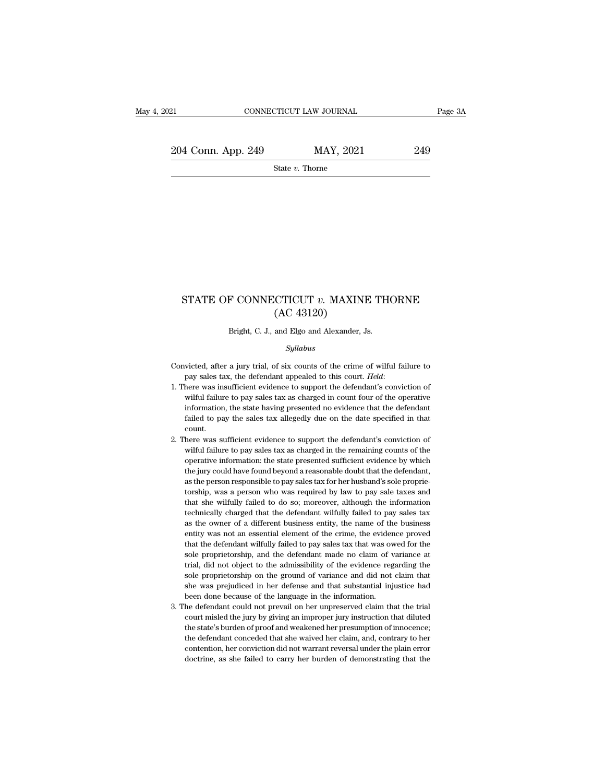21 CONNECTICUT LAW JOURNAL Page 3A<br>  $204$  Conn. App. 249 MAY, 2021 249<br>
State v. Thorne

State *v.* Thorne

# ${\bf STATE~OF~CONNECTICUT}~v.~{\bf MAXINE~THORNE}\\ ({\bf AC~43120})$  $[ACTICUT v. MAXIN]$ <br>(AC 43120)<br>and Elgo and Alexander,  $\frac{1}{2}$ STATE OF CONNECTICUT  $v$ . MAXINE THORNE<br>(AC 43120)<br>Bright, C. J., and Elgo and Alexander, Js.

### *Syllabus*

- (AC 43120)<br>
Bright, C. J., and Elgo and Alexander, Js.<br>  $Syllabus$ <br>
Convicted, after a jury trial, of six counts of the crime of wilful failure to<br>
pay sales tax, the defendant appealed to this court. *Held*:
- pay sales tax, the defendant appealed to this court. *Held*: 1. There was insufficient evidence to support the defendant's conviction of wilful failure to pay sales tax, as charged in count four of the operative of wilful *Syllabus*<br>wicted, after a jury trial, of six counts of the crime of wilful failure to<br>pay sales tax, the defendant appealed to this court. *Held*:<br>here was insufficient evidence to support the defendant's conviction of<br>wi sytuabus<br>information, after a jury trial, of six counts of the crime of wilful failure to<br>pay sales tax, the defendant appealed to this court. *Held*:<br>here was insufficient evidence to support the defendant's conviction of victed, after a jury trial, of six counts of the crime of wilful failure to pay sales tax, the defendant appealed to this court. *Held*:<br>here was insufficient evidence to support the defendant's conviction of wilful failur count. 2. There was insufficient evidence to support the defendant's conviction of wilful failure to pay sales tax as charged in count four of the operative information, the state having presented no evidence that the defendant f wilful failure to pay sales tax as charged in count four of the operative<br>information, the state having presented no evidence that the defendant<br>failed to pay the sales tax allegedly due on the date specified in that<br>count
- information, the state having presented no evidence that the defendant failed to pay the sales tax allegedly due on the date specified in that count.<br>here was sufficient evidence to support the defendant's conviction of wi failed to pay the sales tax allegedly due on the date specified in that count.<br>
There was sufficient evidence to support the defendant's conviction of wilful failure to pay sales tax as charged in the remaining counts of t 2. There was sufficient evidence to support the defendant's conviction of wilful failure to pay sales tax as charged in the remaining counts of the operative information: the state presented sufficient evidence by which t here was sufficient evidence to support the defendant's conviction of wilful failure to pay sales tax as charged in the remaining counts of the operative information: the state presented sufficient evidence by which the ju wilful failure to pay sales tax as charged in the remaining counts of the operative information: the state presented sufficient evidence by which the jury could have found beyond a reasonable doubt that the defendant, as t operative information: the state presented sufficient evidence by which<br>the jury could have found beyond a reasonable doubt that the defendant,<br>as the person responsible to pay sales tax for her husband's sole proprie-<br>tor the jury could have found beyond a reasonable doubt that the defendant, as the person responsible to pay sales tax for her husband's sole proprietorship, was a person who was required by law to pay sale taxes and that she as the person responsible to pay sales tax for her husband's sole proprie-<br>torship, was a person who was required by law to pay sale taxes and<br>that she wilfully failed to do so; moreover, although the information<br>technical torship, was a person who was required by law to pay sale taxes and that she wilfully failed to do so; moreover, although the information technically charged that the defendant wilfully failed to pay sales tax as the owner that she wilfully failed to do so; moreover, although the information technically charged that the defendant wilfully failed to pay sales tax as the owner of a different business entity, the name of the business entity was technically charged that the defendant wilfully failed to pay sales tax<br>as the owner of a different business entity, the name of the business<br>entity was not an essential element of the crime, the evidence proved<br>that the d as the owner of a different business entity, the name of the business entity was not an essential element of the crime, the evidence proved that the defendant wilfully failed to pay sales tax that was owed for the sole pro entity was not an essential element of the crime, the evidence proved<br>that the defendant wilfully failed to pay sales tax that was owed for the<br>sole proprietorship, and the defendant made no claim of variance at<br>trial, did that the defendant wilfully failed to pay sales tax that was over<br>sole proprietorship, and the defendant made no claim of v<br>trial, did not object to the admissibility of the evidence reg<br>sole proprietorship on the ground o sole proprietorship, and the defendant made no claim of variance at trial, did not object to the admissibility of the evidence regarding the sole proprietorship on the ground of variance and did not claim that she was pre trial, did not object to the admissibility of the evidence regarding the sole proprietorship on the ground of variance and did not claim that she was prejudiced in her defense and that substantial injustice had been done b
- sole proprietorship on the ground of variance and did not claim that<br>she was prejudiced in her defense and that substantial injustice had<br>been done because of the language in the information.<br>he defendant could not prevail she was prejudiced in her defense and that substantial injustice had<br>been done because of the language in the information.<br>The defendant could not prevail on her unpreserved claim that the trial<br>court misled the jury by gi been done because of the language in the information.<br>he defendant could not prevail on her unpreserved claim that the trial<br>court misled the jury by giving an improper jury instruction that diluted<br>the state's burden of p 3. The defendant could not prevail on her unpreserved claim that the trial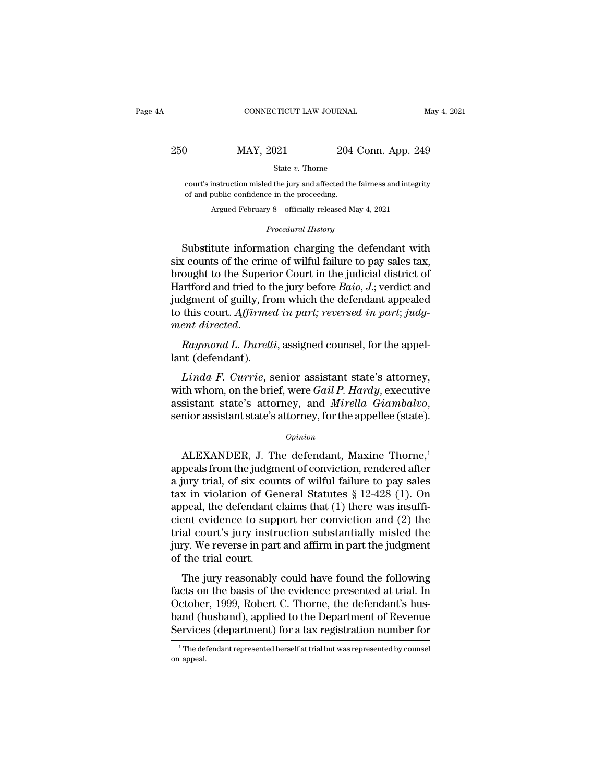# $\begin{tabular}{lllll} \multicolumn{2}{l}{{\small\textsf{CONNECTICUT LAW JOURNAL}}}&\text{May 4, 2021}\\ \multicolumn{2}{l}{\small\textsf{May 2021}}&\text{204 Conn. App. 249}\\ & \multicolumn{2}{l}{\small\textsf{State $v$.} There}\end{tabular}$ State *v.* Thorne MAY, 2021 204 Conn. App. 249<br>
State v. Thorne<br>
court's instruction misled the jury and affected the fairness and integrity<br>
of and public confidence in the proceeding. MAY,  $2021$  204<br>
State v. Thorne<br>
court's instruction misled the jury and affected the<br>
of and public confidence in the proceeding.<br>
Argued February 8—officially released M  $MAY$ , 2021 204 Conn. App. 24<br>State v. Thorne<br>instruction misled the jury and affected the fairness and integrit<br>public confidence in the proceeding.<br>Argued February 8—officially released May 4, 2021

*Procedural History*<br>*Procedural History*<br>*Procedural History*<br>**Procedural History**<br>**Procedural History** 

State v. Thorne<br>
state v. Thorne<br>
court's instruction misled the jury and affected the fairness and integrity<br>
of and public confidence in the proceeding.<br>
Argued February 8—officially released May 4, 2021<br>
Procedural Hist court's instruction misled the jury and affected the fairness and integrity<br>of and public confidence in the proceeding.<br>Argued February 8—officially released May 4, 2021<br> $Procedural History$ <br>Substitute information charging the defendan of and public confidence in the proceeding.<br>Argued February 8—officially released May 4, 2021<br>Procedural History<br>Substitute information charging the defendant with<br>six counts of the crime of wilful failure to pay sales tax Argued February 8—officially released May 4, 2021<br> *Procedural History*<br>
Substitute information charging the defendant with<br>
six counts of the crime of wilful failure to pay sales tax,<br>
brought to the Superior Court in the Frocedural History<br>Substitute information charging the defendant with<br>six counts of the crime of wilful failure to pay sales tax,<br>brought to the Superior Court in the judicial district of<br>Hartford and tried to the jury bef Frocedard History<br>six counts of the crime of wilful failure to pay sales tax,<br>brought to the Superior Court in the judicial district of<br>Hartford and tried to the jury before *Baio*, *J*.; verdict and<br>judgment of guilty, fr Substitute information charging the defendant with<br>six counts of the crime of wilful failure to pay sales tax,<br>brought to the Superior Court in the judicial district of<br>Hartford and tried to the jury before *Baio*, *J*.; v Brought to the superior<br>Hartford and tried to the<br>judgment of guilty, fro<br>to this court. Affirmed<br>ment directed.<br>Raymond L. Durelli<br>lant (defendant).<br>Linda F. Currie, s *Lindament of guilty, from which the defendant appealed<br>this court. Affirmed in part; reversed in part; judgent directed.<br><i>Raymond L. Durelli*, assigned counsel, for the appel-<br>*Linda F. Currie*, senior assistant state's a

to this court. *Affirmed in part; reversed in part; judgment directed.*<br> *Raymond L. Durelli, assigned counsel, for the appellant (defendant).*<br> *Linda F. Currie, senior assistant state's attorney,*<br>
with whom, on the brie ment directed.<br>
Raymond L. Durelli, assigned counsel, for the appel-<br>
lant (defendant).<br>
Linda F. Currie, senior assistant state's attorney,<br>
with whom, on the brief, were Gail P. Hardy, executive<br>
assistant state's attorn Linda F. Currie, senior assistant state's attorney,<br>th whom, on the brief, were Gail P. Hardy, executive<br>sistant state's attorney, and Mirella Giambalvo,<br>mior assistant state's attorney, for the appellee (state).<br> $o_{pinion}$ <br>

# *Opinion*

appeals from the judgment of conviction, rendered after assistant state's attorney, and *Mirella Giambalvo*,<br>senior assistant state's attorney, for the appellee (state).<br> $opinion$ <br>ALEXANDER, J. The defendant, Maxine Thorne,<sup>1</sup><br>appeals from the judgment of conviction, rendered after senior assistant state's attorney, for the appellee (state).<br>  $\phi_{pinion}$ <br>
ALEXANDER, J. The defendant, Maxine Thorne,<sup>1</sup><br>
appeals from the judgment of conviction, rendered after<br>
a jury trial, of six counts of wilful failur *Opinion*<br>
ALEXANDER, J. The defendant, Maxine Thorne,<sup>1</sup><br>
appeals from the judgment of conviction, rendered after<br>
a jury trial, of six counts of wilful failure to pay sales<br>
tax in violation of General Statutes  $\S$  12-4 ALEXANDER, J. The defendant, Maxine Thorne,<sup>1</sup><br>appeals from the judgment of conviction, rendered after<br>a jury trial, of six counts of wilful failure to pay sales<br>tax in violation of General Statutes § 12-428 (1). On<br>appea ALEXANDER, J. The defendant, Maxine Thorne,<sup>1</sup><br>appeals from the judgment of conviction, rendered after<br>a jury trial, of six counts of wilful failure to pay sales<br>tax in violation of General Statutes § 12-428 (1). On<br>appea appeals from the judgment of conviction, rendered after<br>a jury trial, of six counts of wilful failure to pay sales<br>tax in violation of General Statutes § 12-428 (1). On<br>appeal, the defendant claims that (1) there was insuf a jury trial, of six courtax in violation of Ge<br>appeal, the defendant court evidence to supperficial court's jury instrial court's jury instrium.<br>Jury. We reverse in part of the trial court.<br>The jury reasonably a in violation of defieral baataces  $\frac{1}{8}$  12–420 (1). On<br>peal, the defendant claims that (1) there was insuffi-<br>ent evidence to support her conviction and (2) the<br>al court's jury instruction substantially misled the<br>r diplear, the deterministic claims that (1) there was fissure<br>cient evidence to support her conviction and (2) the<br>trial court's jury instruction substantially misled the<br>jury. We reverse in part and affirm in part the judg

Each evidence to support her conviction and  $(z)$  are<br>trial court's jury instruction substantially misled the<br>jury. We reverse in part and affirm in part the judgment<br>of the trial court.<br>The jury reasonably could have foun band (but is jury installation substantian) inside the judgment<br>of the trial court.<br>The jury reasonably could have found the following<br>facts on the basis of the evidence presented at trial. In<br>October, 1999, Robert C. Thor of the trial court.<br>The jury reasonably could have found the following<br>facts on the basis of the evidence presented at trial. In<br>October, 1999, Robert C. Thorne, the defendant's hus-<br>band (husband), applied to the Departme facts on the basis of the evidence presented at trial. In October, 1999, Robert C. Thorne, the defendant's hus-<br>band (husband), applied to the Department of Revenue<br>Services (department) for a tax registration number for<br> Services (department) for a tax registration number for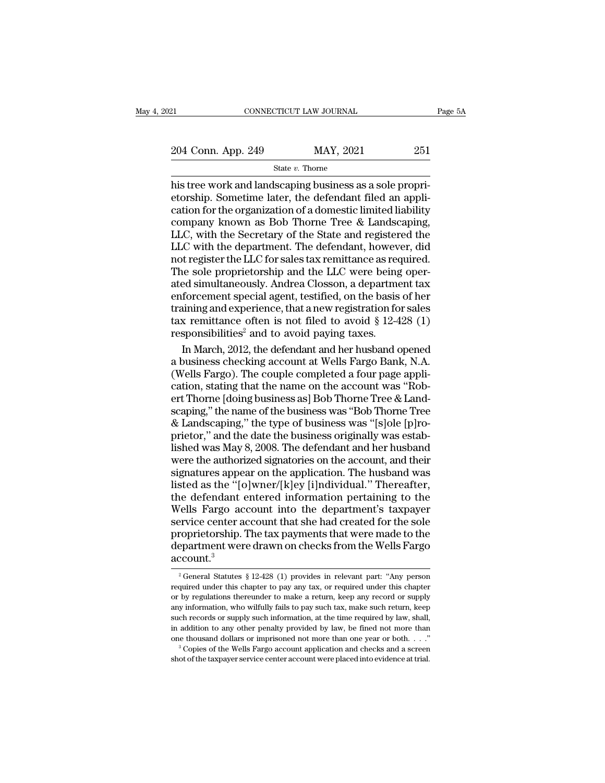21 CONNECTICUT LAW JOURNAL Page 5A<br>  $204$  Conn. App. 249 MAY, 2021 251<br>
State v. Thorne

State *v.* Thorne

 $\begin{array}{ccc} \text{204 Conn. App. 249} & \text{MAX, 2021} & \text{251} \ \hline & \\ \text{State $v$.} & \text{There} & \\ \text{his tree work and landscaping business as a sole propri-} \\ \text{etorship.} & \text{Sometime later, the defendant filed an application for the organization of a domestic limited liability} \end{array}$ 204 Conn. App. 249 MAY, 2021 251<br>
State v. Thorne<br>
his tree work and landscaping business as a sole propri-<br>
etorship. Sometime later, the defendant filed an appli-<br>
cation for the organization of a domestic limited liabi 204 Conn. App. 249 MAY, 2021 251<br>
State v. Thorne<br>
his tree work and landscaping business as a sole propri-<br>
etorship. Sometime later, the defendant filed an appli-<br>
cation for the organization of a domestic limited liabi 204 Conn. App. 249 MAY, 2021 251<br>
State v. Thorne 251<br>
his tree work and landscaping business as a sole propri-<br>
etorship. Sometime later, the defendant filed an application for the organization of a domestic limited liab Solution and the State v. Thorne<br>
his tree work and landscaping business as a sole propri-<br>
etorship. Sometime later, the defendant filed an appli-<br>
cation for the organization of a domestic limited liability<br>
company kno State  $v$ . Thome<br>his tree work and landscaping business as a sole propri-<br>etorship. Sometime later, the defendant filed an appli-<br>cation for the organization of a domestic limited liability<br>company known as Bob Thorne Tre his tree work and landscaping business as a sole propri-<br>etorship. Sometime later, the defendant filed an appli-<br>cation for the organization of a domestic limited liability<br>company known as Bob Thorne Tree & Landscaping,<br>L etorship. Sometime later, the defendant filed an application for the organization of a domestic limited liability company known as Bob Thorne Tree & Landscaping, LLC, with the Secretary of the State and registered the LLC cation for the organization of a domestic limited liability<br>company known as Bob Thorne Tree & Landscaping,<br>LLC, with the Secretary of the State and registered the<br>LLC with the department. The defendant, however, did<br>not r company known as Bob Thorne Tree & Landscaping,<br>LLC, with the Secretary of the State and registered the<br>LLC with the department. The defendant, however, did<br>not register the LLC for sales tax remittance as required.<br>The so LLC, with the Secretary of the State and registered the<br>LLC with the department. The defendant, however, did<br>not register the LLC for sales tax remittance as required.<br>The sole proprietorship and the LLC were being oper-<br> LLC with the department. The defendant, however, did<br>not register the LLC for sales tax remittance as required.<br>The sole proprietorship and the LLC were being oper-<br>ated simultaneously. Andrea Closson, a department tax<br>en not register the LLC for sales tax remittance as rec<br>The sole proprietorship and the LLC were being<br>ated simultaneously. Andrea Closson, a departme<br>enforcement special agent, testified, on the basis<br>training and experience ie sole proprietorship and the LLC were being oper-<br>ed simultaneously. Andrea Closson, a department tax<br>forcement special agent, testified, on the basis of her<br>uning and experience, that a new registration for sales<br>x remi ated simultaneously. Andrea Closson, a department tax<br>enforcement special agent, testified, on the basis of her<br>training and experience, that a new registration for sales<br>tax remittance often is not filed to avoid § 12-428

enforcement special agent, testified, on the basis of her<br>training and experience, that a new registration for sales<br>tax remittance often is not filed to avoid § 12-428 (1)<br>responsibilities<sup>2</sup> and to avoid paying taxes.<br>In training and experience, that a new registration for sales<br>tax remittance often is not filed to avoid § 12-428 (1)<br>responsibilities<sup>2</sup> and to avoid paying taxes.<br>In March, 2012, the defendant and her husband opened<br>a busin tax remittance often is not filed to avoid  $\S$  12-428 (1)<br>responsibilities<sup>2</sup> and to avoid paying taxes.<br>In March, 2012, the defendant and her husband opened<br>a business checking account at Wells Fargo Bank, N.A.<br>(Wells Fa responsibilities<sup>2</sup> and to avoid paying taxes.<br>In March, 2012, the defendant and her husband opened<br>a business checking account at Wells Fargo Bank, N.A.<br>(Wells Fargo). The couple completed a four page appli-<br>cation, stati In March, 2012, the defendant and her husband opened<br>a business checking account at Wells Fargo Bank, N.A.<br>(Wells Fargo). The couple completed a four page appli-<br>cation, stating that the name on the account was "Rob-<br>ert T a business checking account at Wells Fargo Bank, N.A. (Wells Fargo). The couple completed a four page application, stating that the name on the account was "Robert Thorne [doing business as] Bob Thorne Tree & Landscaping," (Wells Fargo). The couple completed a four page application, stating that the name on the account was "Rob-<br>ert Thorne [doing business as] Bob Thorne Tree & Land-<br>scaping," the name of the business was "Bob Thorne Tree<br>& L cation, stating that the name on the account was "Robert Thorne [doing business as] Bob Thorne Tree & Landscaping," the name of the business was "Bob Thorne Tree & Landscaping," the type of business was "[s]ole [p]roprieto ert Thorne [doing business as] Bob Thorne Tree & Land-<br>scaping," the name of the business was "Bob Thorne Tree<br>& Landscaping," the type of business was "[s]ole [p]ro-<br>prietor," and the date the business originally was esta scaping," the name of the business was "Bob Thorne Tree & Landscaping," the type of business was "[s]ole [p]ro-<br>prietor," and the date the business originally was estab-<br>lished was May 8, 2008. The defendant and her husban & Landscaping," the type of business was "[s]ole [p]ro-<br>prietor," and the date the business originally was estab-<br>lished was May 8, 2008. The defendant and her husband<br>were the authorized signatories on the account, and t prietor," and the date the business originally was established was May 8, 2008. The defendant and her husband<br>were the authorized signatories on the account, and their<br>signatures appear on the application. The husband was Fished was May 8, 2008. The defendant and her husband<br>were the authorized signatories on the account, and their<br>signatures appear on the application. The husband was<br>listed as the "[o]wner/[k]ey [i]ndividual." Thereafter, were the authorized signatories on the account, and their<br>signatures appear on the application. The husband was<br>listed as the "[o]wner/[k]ey [i]ndividual." Thereafter,<br>the defendant entered information pertaining to the<br>W signatures appear on the application. The husband was<br>listed as the "[o]wner/[k]ey [i]ndividual." Thereafter,<br>the defendant entered information pertaining to the<br>Wells Fargo account into the department's taxpayer<br>service account.<sup>3</sup> ervice center account that she had created for the sole<br>roprietorship. The tax payments that were made to the<br>epartment were drawn on checks from the Wells Fargo<br>ccount.<sup>3</sup><br><sup>2</sup> General Statutes § 12-428 (1) provides in rel proprietorship. The tax payments that were made to the<br>department were drawn on checks from the Wells Fargo<br>account.<sup>3</sup><br><sup>2</sup> General Statutes § 12-428 (1) provides in relevant part: "Any person<br>required under this chapter t

department were drawn on checks from the Wells Fargo account.<sup>3</sup><br> $^{2}$  General Statutes § 12-428 (1) provides in relevant part: "Any person required under this chapter to pay any tax, or required under this chapter or by  $\frac{1}{2}$  account.<sup>3</sup><br>
<sup>2</sup> General Statutes § 12-428 (1) provides in relevant part: "Any person required under this chapter to pay any tax, or required under this chapter or by regulations thereunder to make a return, kee  $\frac{1}{2}$  General Statutes § 12-428 (1) provides in relevant part: "Any person required under this chapter to pay any tax, or required under this chapter or by regulations thereunder to make a return, keep any record or s <sup>2</sup> General Statutes § 12-428 (1) provides in relevant part: "Any person required under this chapter to pay any tax, or required under this chapter or by regulations thereunder to make a return, keep any record or supply required under this chapter to pay any tax, or required under this chapter or by regulations thereunder to make a return, keep any record or supply any information, who wilfully fails to pay such tax, make such return, ke any information, who wilfully fails to pay such tax, make such return, keep such records or supply such information, at the time required by law, shall, in addition to any other penalty provided by law, be fined not more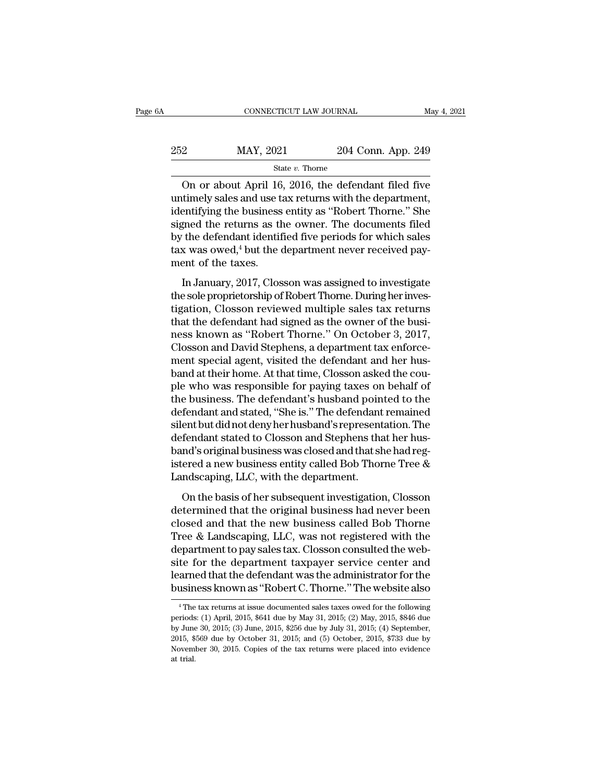| jΑ  | CONNECTICUT LAW JOURNAL |                    | May 4, 2021 |
|-----|-------------------------|--------------------|-------------|
| 252 | MAY, 2021               | 204 Conn. App. 249 |             |
|     | State $v$ . Thorne      |                    |             |

CONNECTICUT LAW JOURNAL May 4, 2021<br>
2014 Conn. App. 249<br>
31 State v. Thorne<br>
2016, the defendant filed five<br>
2016, the defendant filed five<br>
2016, the defendant filed five<br>
2016, the defendant filed five<br>
2016, the depar 252 MAY, 2021 204 Conn. App. 249<br>  $\frac{252}{\text{State } v. \text{ Thorne}}$  On or about April 16, 2016, the defendant filed five<br>
untimely sales and use tax returns with the department,<br>
identifying the business entity as "Robert Thorne." S 252 MAY, 2021 204 Conn. App. 249<br>
State v. Thorne<br>
On or about April 16, 2016, the defendant filed five<br>
untimely sales and use tax returns with the department,<br>
identifying the business entity as "Robert Thorne." She<br>
si 252 MAY, 2021 204 Conn. App. 249<br>  $\frac{\text{State } v. \text{ Thorne}}{\text{Other}}$ <br>
On or about April 16, 2016, the defendant filed five<br>
untimely sales and use tax returns with the department,<br>
identifying the business entity as "Robert Thorne." By the defendant filed five<br>on or about April 16, 2016, the defendant filed five<br>untimely sales and use tax returns with the department,<br>identifying the business entity as "Robert Thorne." She<br>signed the returns as the ow State v. Thome<br>
On or about April 16, 2016, the defendant filed five<br>
untimely sales and use tax returns with the department,<br>
identifying the business entity as "Robert Thorne." She<br>
signed the returns as the owner. The On or about April 16<br>untimely sales and use t<br>identifying the business<br>signed the returns as the<br>by the defendant identif<br>tax was owed,<sup>4</sup> but the q<br>ment of the taxes.<br>In January, 2017, Clos Example 1 and the contributions when the department,<br>
entifying the business entity as "Robert Thorne." She<br>
gned the returns as the owner. The documents filed<br>
the defendant identified five periods for which sales<br>
x was the signed the returns as the owner. The documents filed<br>by the defendant identified five periods for which sales<br>tax was owed,<sup>4</sup> but the department never received pay-<br>ment of the taxes.<br>In January, 2017, Closson was ass

by the defendant identified five periods for which sales<br>tax was owed,<sup>4</sup> but the department never received pay-<br>ment of the taxes.<br>In January, 2017, Closson was assigned to investigate<br>the sole proprietorship of Robert T  $t$  and signed as the department never received payment of the taxes.<br>In January, 2017, Closson was assigned to investigate<br>the sole proprietorship of Robert Thorne. During her inves-<br>tigation, Closson reviewed multiple s nent of the taxes.<br>
In January, 2017, Closson was assigned to investigate<br>
the sole proprietorship of Robert Thorne. During her inves-<br>
tigation, Closson reviewed multiple sales tax returns<br>
that the defendant had signed a In January, 2017, Closson was assigned to investigate<br>the sole proprietorship of Robert Thorne. During her inves-<br>tigation, Closson reviewed multiple sales tax returns<br>that the defendant had signed as the owner of the busi In January, 2017, Closson was assigned to investigate<br>the sole proprietorship of Robert Thorne. During her inves-<br>tigation, Closson reviewed multiple sales tax returns<br>that the defendant had signed as the owner of the busi the sole proprietorship of Robert Thorne. During her investigation, Closson reviewed multiple sales tax returns<br>that the defendant had signed as the owner of the busi-<br>ness known as "Robert Thorne." On October 3, 2017,<br>Clo tigation, Closson reviewed multiple sales tax returns<br>that the defendant had signed as the owner of the busi-<br>ness known as "Robert Thorne." On October 3, 2017,<br>Closson and David Stephens, a department tax enforce-<br>ment sp that the defendant had signed as the owner of the business known as "Robert Thorne." On October 3, 2017,<br>Closson and David Stephens, a department tax enforce-<br>ment special agent, visited the defendant and her hus-<br>band at ness known as "Robert Thorne." On October 3, 2017,<br>Closson and David Stephens, a department tax enforce-<br>ment special agent, visited the defendant and her hus-<br>band at their home. At that time, Closson asked the cou-<br>ple w Closson and David Stephens, a department tax enforcement special agent, visited the defendant and her husband at their home. At that time, Closson asked the couple who was responsible for paying taxes on behalf of the busi ment special agent, visited the defendant and her hus-<br>band at their home. At that time, Closson asked the cou-<br>ple who was responsible for paying taxes on behalf of<br>the business. The defendant's husband pointed to the<br>def band at their home. At that time, Closson asked the couple who was responsible for paying taxes on behalf of<br>the business. The defendant's husband pointed to the<br>defendant and stated, "She is." The defendant remained<br>silen ple who was responsible for paying taxes on behalf of<br>the business. The defendant's husband pointed to the<br>defendant and stated, "She is." The defendant remained<br>silent but did not deny her husband's representation. The<br>de the business. The defendant's husband poin<br>defendant and stated, "She is." The defendant<br>silent but did not deny her husband's represent<br>defendant stated to Closson and Stephens tha<br>band's original business was closed and renaans and stated, Sine E. The detendant Femantical<br>ent but did not deny her husband's representation. The<br>fendant stated to Closson and Stephens that her hus-<br>nd's original business was closed and that she had reg-<br>ered Modern Sand Stephens that her hus-<br>defendant stated to Closson and Stephens that her hus-<br>band's original business was closed and that she had reg-<br>istered a new business entity called Bob Thorne Tree &<br>Landscaping, LLC, w

constant stated to chosen and stephent and her mass<br>band's original business was closed and that she had registered a new business entity called Bob Thorne Tree &<br>Landscaping, LLC, with the department.<br>On the basis of her Exand B Brightar & darkess was crossed and that shortle ideal of<br>istered a new business entity called Bob Thorne Tree &<br>Landscaping, LLC, with the department.<br>On the basis of her subsequent investigation, Closson<br>determine Landscaping, LLC, with the department.<br>
On the basis of her subsequent investigation, Closson<br>
determined that the original business had never been<br>
closed and that the new business called Bob Thorne<br>
Tree & Landscaping, L Sanascapang, 22.9 was are department.<br>
On the basis of her subsequent investigation, Closson<br>
determined that the original business had never been<br>
closed and that the new business called Bob Thorne<br>
Tree & Landscaping, LL On the basis of her subsequent investigation, Closson<br>determined that the original business had never been<br>closed and that the new business called Bob Thorne<br>Tree & Landscaping, LLC, was not registered with the<br>department determined that the original business had never been<br>closed and that the new business called Bob Thorne<br>Tree & Landscaping, LLC, was not registered with the<br>department to pay sales tax. Closson consulted the web-<br>site for department to pay sales tax. Closson consulted the website for the department taxpayer service center and learned that the defendant was the administrator for the business known as "Robert C. Thorne." The website also  $\over$ site for the department taxpayer service center and<br>learned that the defendant was the administrator for the<br>business known as "Robert C. Thorne." The website also<br><sup>4</sup> The tax returns at issue documented sales taxes owed f

learned that the defendant was the administrator for the business known as "Robert C. Thorne." The website also<br><sup>4</sup> The tax returns at issue documented sales taxes owed for the following<br>periods: (1) April, 2015, \$641 due business known as "Robert C. Thorne." The website also<br>
<sup>4</sup> The tax returns at issue documented sales taxes owed for the following<br>
periods: (1) April, 2015, \$641 due by May 31, 2015; (2) May, 2015, \$846 due<br>
by June 30, 2 <sup>4</sup> The tax returns at issue documented sales taxes owed for the following periods: (1) April, 2015, \$641 due by May 31, 2015; (2) May, 2015, \$846 due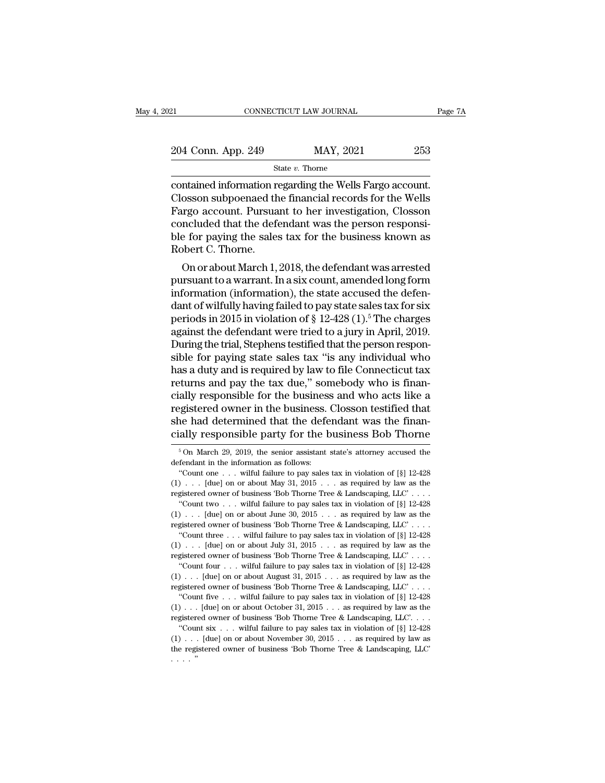| 21                 | CONNECTICUT LAW JOURNAL | Page 7A |
|--------------------|-------------------------|---------|
| 204 Conn. App. 249 | MAY, 2021               | 253     |
|                    | State $v$ . Thorne      |         |

contained information regarding the Wells Fargo account.<br>
Fargo account.<br>
Closson subpoenaed the financial records for the Wells<br>
Fargo account.<br>
Pargo account.<br>
Pargo account.<br>
Pargo account.  $\frac{204 \text{ Conn. App. 249}}{\text{State } v. \text{ Thorne}}$ <br>  $\frac{253}{\text{State } v. \text{ Thorne}}$ <br>  $\frac{253}{\text{Containered information regarding the Wells Fargo account.}}$ <br>  $\frac{253}{\text{Fargo account.} \text{ Pursuant to her investigation, Closson} }$ <br>  $\frac{253}{\text{Fargo account.} \text{ Pursuant to her investigation, Closson} }$  $\frac{204 \text{ Conn. App. 249}}{\text{State } v. \text{ Thorne}}$ <br>  $\frac{\text{State } v. \text{ Thorne}}{\text{Containered information regarding the Wells Fargo account.}}$ <br>
Closson subpoenaed the financial records for the Wells<br>
Fargo account. Pursuant to her investigation, Closson<br>
concluded that the defendant was the perso 204 Conn. App. 249 MAY, 2021 253<br>
State v. Thorne<br>
contained information regarding the Wells Fargo account.<br>
Closson subpoenaed the financial records for the Wells<br>
Fargo account. Pursuant to her investigation, Closson<br>
c  $\begin{array}{c}\n\hline\n\text{State } v. \text{ There exists, } 1 \leq i \leq n. \text{ There exists, } 1 \leq i \leq n. \text{ There exists, } 1 \leq i \leq n. \text{ Consider the following inequality: } \begin{cases}\n\hline\n\text{Class} & \text{if } i \leq n. \text{ } \text{if } i \leq n. \text{ } \text{if } i \leq n. \text{ } \text{if } i \leq n. \text{ } \text{if } i \leq n. \text{ } \text{if } i \leq n. \text{ } \text{if } i \leq n. \text{ } \text{if } i \leq n. \text{ } \text$ <sup>58</sup><br>Closson subpoenaed the<br>Closson subpoenaed the<br>Fargo account. Pursua<br>concluded that the defe<br>ble for paying the sales<br>Robert C. Thorne.<br>On or about March 1, mained information regarding the wells rango account.<br>
osson subpoenaed the financial records for the Wells<br>
irgo account. Pursuant to her investigation, Closson<br>
included that the defendant was the person responsi-<br>
e for Crosson suppoenaed the infiancial records for the wells<br>Fargo account. Pursuant to her investigation, Closson<br>concluded that the defendant was the person responsi-<br>ble for paying the sales tax for the business known as<br>Rob

rargo account. Pursuant to her investigation, Closson<br>concluded that the defendant was the person responsi-<br>ble for paying the sales tax for the business known as<br>Robert C. Thorne.<br>On or about March 1, 2018, the defendant concluded that the defendant was the person responsi-<br>ble for paying the sales tax for the business known as<br>Robert C. Thorne.<br>On or about March 1, 2018, the defendant was arrested<br>pursuant to a warrant. In a six count, a bie for paying the saies tax for the business known as<br>Robert C. Thorne.<br>On or about March 1, 2018, the defendant was arrested<br>pursuant to a warrant. In a six count, amended long form<br>information (information), the state a Frobert C. Thome.<br>
On or about March 1, 2018, the defendant was arrested<br>
pursuant to a warrant. In a six count, amended long form<br>
information (information), the state accused the defen-<br>
dant of wilfully having failed t On or about March 1, 2018, the defendant was arrested<br>pursuant to a warrant. In a six count, amended long form<br>information (information), the state accused the defen-<br>dant of wilfully having failed to pay state sales tax pursuant to a warrant. In a six count, amended long form<br>information (information), the state accused the defen-<br>dant of wilfully having failed to pay state sales tax for six<br>periods in 2015 in violation of § 12-428 (1).<sup>5</sup> information (information), the state accused the defendant of wilfully having failed to pay state sales tax for six<br>periods in 2015 in violation of § 12-428 (1).<sup>5</sup> The charges<br>against the defendant were tried to a jury in dant of wilfully having failed to pay state sales tax for six<br>periods in 2015 in violation of § 12-428 (1).<sup>5</sup> The charges<br>against the defendant were tried to a jury in April, 2019.<br>During the trial, Stephens testified tha periods in 2015 in violation of § 12-428 (1).<sup>5</sup> The charges<br>against the defendant were tried to a jury in April, 2019.<br>During the trial, Stephens testified that the person respon-<br>sible for paying state sales tax "is any against the defendant were tried to a jury in April, 2019.<br>During the trial, Stephens testified that the person responsible for paying state sales tax "is any individual who<br>has a duty and is required by law to file Connec During the trial, Stephens testified that the person responsible for paying state sales tax "is any individual who has a duty and is required by law to file Connecticut tax returns and pay the tax due," somebody who is fin sible for paying state sales tax "is any individual who<br>has a duty and is required by law to file Connecticut tax<br>returns and pay the tax due," somebody who is finan-<br>cially responsible for the business and who acts like ally responsible for the business and who acts like a<br>gistered owner in the business. Closson testified that<br>he had determined that the defendant was the finan-<br>ally responsible party for the business Bob Thorne<br> $\frac{5}{6}$  registered owner in the business.<br>
she had determined that the defe<br>
cially responsible party for the k<br>  $\frac{1}{5}$  On March 29, 2019, the senior assistant<br>
defendant in the information as follows:<br>
"Count one . . . wilful The had determined that the defendant was the finan-<br>ally responsible party for the business Bob Thorne<br><sup>5</sup>On March 29, 2019, the senior assistant state's attorney accused the<br>fendant in the information as follows:<br>"Count

cially responsible party for the business Bob Thorne<br>
<sup>5</sup> On March 29, 2019, the senior assistant state's attorney accused the<br>
defendant in the information as follows:<br>
"Count one . . . wilful failure to pay sales tax in From March 29, 2019, the senior assistant state's attorney accused the defendant in the information as follows:<br>"Count one . . . wilful failure to pay sales tax in violation of [§] 12-428 (1) . . . [due] on or about May 3 <sup>5</sup> On March 29, 2019, the senior assistant state's attorney accused the fendant in the information as follows:<br>
"Count one . . . wilful failure to pay sales tax in violation of [§] 12-428<br>  $\ldots$  . . . . . . . . . . . . . defendant in the information as follows:<br>
"Count one . . . wilful failure to pay sales tax in violation of [§] 12-428<br>  $(1) \ldots$  [due] on or about May 31, 2015 . . . as required by law as the<br>
registered owner of business "Count one . . . wilful failure to pay sales tax in violation of [§] 12-428 (1) . . . [due] on or about May 31, 2015 . . . as required by law as the registered owner of business 'Bob Thorne Tree & Landscaping, LLC' . . .  $\cdot$ ... [due] on or about May 31, 2015... as required by law as the gistered owner of business 'Bob Thorne Tree & Landscaping, LLC'....<br>"Count two... wilful failure to pay sales tax in violation of [§] 12-428<br> $\cdot$ ... [due registered owner of business 'Bob Thorne Tree & Landscaping, LLC'....<br>
"Count two ... wilful failure to pay sales tax in violation of [§] 12-428<br>
(1) ... [due] on or about June 30, 2015 ... as required by law as the<br>
regi "Count two . . . wilful failure to pay sales tax in violation of [§] 12-428 (1) . . . [due] on or about June 30, 2015 . . . as required by law as the registered owner of business 'Bob Thorne Tree & Landscaping, LLC' . . . The state of the matrice of the state of  $\{3\}$  and  $\{4\}$  and  $\{5\}$  and  $\{5\}$  and  $\{6\}$  and  $\{7\}$  and  $\{8\}$  and  $\{8\}$  and  $\{8\}$  and  $\{8\}$  and  $\{100\}$  or about July 31, 2015  $\ldots$  as required by law as registered owner of business 'Bob Thorne Tree & Landscaping, LLC'...<br>
"Count three ... wilful failure to pay sales tax in violation of  $[\S]$  12-428<br>
(1) ... [due] on or about July 31, 2015 ... as required by law as the<br>
r "Count three ... wilful failure to pay sales tax in violation of [§] 12-428 (1) ... [due] on or about July 31, 2015 ... as required by law as the registered owner of business 'Bob Thorne Tree & Landscaping, LLC' ... "Coun ).... [due] on or about July 31, 2015... as required by law as the gistered owner of business 'Bob Thorne Tree & Landscaping, LLC'....<br>"Count four ... wilful failure to pay sales tax in violation of [§] 12-428<br>)... [due] o registered owner of business 'Bob Thorne Tree & Landscaping, LLC'...<br>
"Count four ... wilful failure to pay sales tax in violation of  $[\$] 12-428$ <br>
(1) ... [due] on or about August 31, 2015 ... as required by law as the<br> "Count four ... wilful failure to pay sales tax in violation of [§] 12-428 (1) ... [due] on or about August 31, 2015 ... as required by law as the registered owner of business 'Bob Thorne Tree & Landscaping, LLC'.... "Cou ''Count six . . . wilful failure to pay sales tax in violation of [§] 12-428

registered owner of business 'Bob Thorne Tree & Landscaping, LLC' . . . . <br> "Count five . . . wilful failure to pay sales tax in violation of [§] 12-428 (1) . . . [due] on or about October 31, 2015 . . . as required by la "Count five . . . wilful failure to pay sales tax in violation of [§] 12-428 (1) . . . [due] on or about October 31, 2015 . . . as required by law as the registered owner of business 'Bob Thorne Tree & Landscaping, LLC'.  $(1) \ldots$ <br>register "Count"<br> $(1) \ldots$ <br>the regi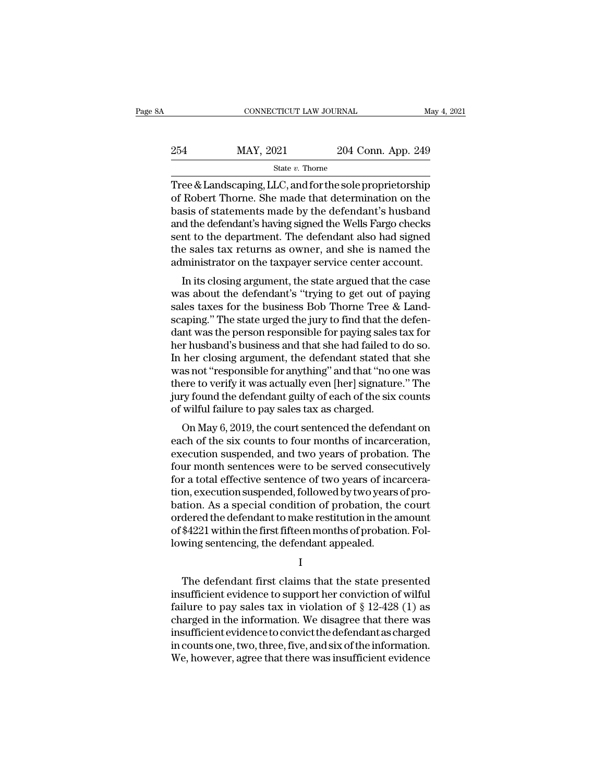| A   | CONNECTICUT LAW JOURNAL |                    | May 4, 2021 |
|-----|-------------------------|--------------------|-------------|
| 254 | MAY, 2021               | 204 Conn. App. 249 |             |
|     | State v. Thorne         |                    |             |

CONNECTICUT LAW JOURNAL May 4, 2021<br>
264 MAY, 2021 204 Conn. App. 249<br>
31 State v. Thorne<br>
Tree & Landscaping, LLC, and for the sole proprietorship<br>
of Robert Thorne. She made that determination on the<br>
basis of statements 254 MAY, 2021 204 Conn. App. 249<br>  $\frac{\text{State } v. \text{ Thorne}}{\text{Tree & Landscaping, LLC, and for the sole propertieship}}$ <br>
of Robert Thorne. She made that determination on the basis of statements made by the defendant's husband<br>
and the defendant's having signed the Well  $\begin{array}{r} \text{MAX, 2021} \text{204 Conn. App. 249} \ \text{State } v. \text{ Thorne} \ \end{array}$ <br>
Tree & Landscaping, LLC, and for the sole proprietorship<br>
of Robert Thorne. She made that determination on the<br>
basis of statements made by the defendant's husband<br> 254 MAY, 2021 204 Conn. App. 249<br>  $\frac{\text{State } v. \text{ Thorne}}{\text{Tree & Landscaping, LLC, and for the sole propertieship}}$ <br>
of Robert Thorne. She made that determination on the basis of statements made by the defendant's husband<br>
and the defendant's having signed the Well State v. Thorne<br>
State v. Thorne<br>
Tree & Landscaping, LLC, and for the sole proprietorship<br>
of Robert Thorne. She made that determination on the<br>
basis of statements made by the defendant's husband<br>
and the defendant's ha state v. Thome<br>Tree & Landscaping, LLC, and for the sole proprietorship<br>of Robert Thorne. She made that determination on the<br>basis of statements made by the defendant's husband<br>and the defendant's having signed the Wells F Tree & Landscaping, LLC, and for the sole proprietorship<br>of Robert Thorne. She made that determination on the<br>basis of statements made by the defendant's husband<br>and the defendant's having signed the Wells Fargo checks<br>sen Robert Thome. She hade that determination on the<br>sis of statements made by the defendant's husband<br>d the defendant's having signed the Wells Fargo checks<br>int to the department. The defendant also had signed<br>e sales tax ret basis of statements made by the defendant's husband<br>and the defendant's having signed the Wells Fargo checks<br>sent to the department. The defendant also had signed<br>the sales tax returns as owner, and she is named the<br>admin

and the defendant's naving sighed the wells rango checks<br>sent to the department. The defendant also had signed<br>the sales tax returns as owner, and she is named the<br>administrator on the taxpayer service center account.<br>In i sent to the department. The defendant also had signed<br>the sales tax returns as owner, and she is named the<br>administrator on the taxpayer service center account.<br>In its closing argument, the state argued that the case<br>was a the sales tax returns as owner, and she is named the<br>administrator on the taxpayer service center account.<br>In its closing argument, the state argued that the case<br>was about the defendant's "trying to get out of paying<br>sale administrator on the taxpayer service center account.<br>In its closing argument, the state argued that the case<br>was about the defendant's "trying to get out of paying<br>sales taxes for the business Bob Thorne Tree & Land-<br>scap In its closing argument, the state argued that the case<br>was about the defendant's "trying to get out of paying<br>sales taxes for the business Bob Thorne Tree & Land-<br>scaping." The state urged the jury to find that the defen was about the defendant's "trying to get out of paying<br>sales taxes for the business Bob Thorne Tree & Land-<br>scaping." The state urged the jury to find that the defen-<br>dant was the person responsible for paying sales tax fo sales taxes for the business Bob Thorne Tree & Land-<br>scaping." The state urged the jury to find that the defen-<br>dant was the person responsible for paying sales tax for<br>her husband's business and that she had failed to do scaping." The state urged the jury to find that the defendant was the person responsible for paying sales tax for<br>her husband's business and that she had failed to do so.<br>In her closing argument, the defendant stated that dant was the person responsible for paying sales<br>her husband's business and that she had failed to<br>In her closing argument, the defendant stated th<br>was not "responsible for anything" and that "no o<br>there to verify it was a r nusband s business and that she had raned to do so.<br>
her closing argument, the defendant stated that she<br>
as not "responsible for anything" and that "no one was<br>
ere to verify it was actually even [her] signature." The<br> In her closing argument, the defendant stated that she<br>was not "responsible for anything" and that "no one was<br>there to verify it was actually even [her] signature." The<br>jury found the defendant guilty of each of the six c

was not responsible for anything and that ho one was<br>there to verify it was actually even [her] signature." The<br>jury found the defendant guilty of each of the six counts<br>of wilful failure to pay sales tax as charged.<br>On Ma four months actually even prefigered consecutively jury found the defendant guilty of each of the six counts of wilful failure to pay sales tax as charged.<br>On May 6, 2019, the court sentenced the defendant on each of the s for a total effective sentence of two years of probation.<br>As a scharged on May 6, 2019, the court sentenced the defendant on<br>each of the six counts to four months of incarceration,<br>execution suspended, and two years of pro or which randre to pay sates tax as charged.<br>On May 6, 2019, the court sentenced the defendant on<br>each of the six counts to four months of incarceration,<br>execution suspended, and two years of probation. The<br>four month sent On May 6, 2019, the court sentenced the defendant on<br>each of the six counts to four months of incarceration,<br>execution suspended, and two years of probation. The<br>four month sentences were to be served consecutively<br>for a each of the six counts to four months of incarceration,<br>execution suspended, and two years of probation. The<br>four month sentences were to be served consecutively<br>for a total effective sentence of two years of incarcera-<br>ti execution suspended, and two years of probation. The<br>four month sentences were to be served consecutively<br>for a total effective sentence of two years of incarcera-<br>tion, execution suspended, followed by two years of pro-<br>b four month sentences were to be served consector a total effective sentence of two years of incation, execution suspended, followed by two years bation. As a special condition of probation, the ordered the defendant to mak tion. As a special condition of probation, the court<br>dered the defendant to make restitution in the amount<br>\$4221 within the first fifteen months of probation. Fol-<br>wing sentencing, the defendant appealed.<br>I<br>The defendant f

I and the set of  $\mathbf I$ 

ordered the defendant to make restitution in the amount<br>of \$4221 within the first fifteen months of probation. Fol-<br>lowing sentencing, the defendant appealed.<br>I<br>The defendant first claims that the state presented<br>insuffici of \$4221 within the first fifteen months of probation. Fol-<br>lowing sentencing, the defendant appealed.<br>I<br>The defendant first claims that the state presented<br>insufficient evidence to support her conviction of wilful<br>failure lowing sentencing, the defendant appealed.<br>
I<br>
The defendant first claims that the state presented<br>
insufficient evidence to support her conviction of wilful<br>
failure to pay sales tax in violation of § 12-428 (1) as<br>
charg insufficientevidencetoconvictthedefendantascharged The defendant first claims that the state presented<br>insufficient evidence to support her conviction of wilful<br>failure to pay sales tax in violation of  $\S$  12-428 (1) as<br>charged in the information. We disagree that there w The defendant first claims that the state presented<br>insufficient evidence to support her conviction of wilful<br>failure to pay sales tax in violation of  $\S$  12-428 (1) as<br>charged in the information. We disagree that there w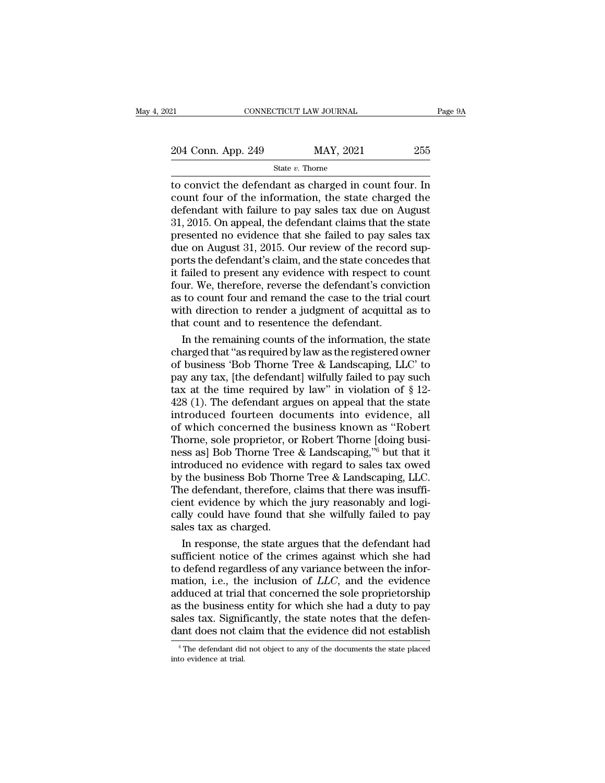| 121                | CONNECTICUT LAW JOURNAL | Page 9A |
|--------------------|-------------------------|---------|
| 204 Conn. App. 249 | MAY, 2021               | 255     |
|                    | State $v$ . Thorne      |         |

EXECTIAN CONNECTICUT LAW JOURNAL Page 9A<br>
204 Conn. App. 249 MAY, 2021 255<br>
3tate v. Thorne<br>
10 convict the defendant as charged in count four. In<br>
count four of the information, the state charged the<br>
defendant with fail 204 Conn. App. 249 MAY, 2021 255<br>
State v. Thorne<br>
to convict the defendant as charged in count four. In<br>
count four of the information, the state charged the<br>
defendant with failure to pay sales tax due on August<br>
31 201 204 Conn. App. 249 MAY, 2021 255<br>
State v. Thorne<br>
to convict the defendant as charged in count four. In<br>
count four of the information, the state charged the<br>
defendant with failure to pay sales tax due on August<br>
31, 20 204 Conn. App. 249 MAY, 2021 255<br>  $\frac{31}{204}$  State v. Thorne<br>
to convict the defendant as charged in count four. In<br>
count four of the information, the state charged the<br>
defendant with failure to pay sales tax due on A Solution and the state v. Thome<br>
state v. Thome<br>
to convict the defendant as charged in count four. In<br>
count four of the information, the state charged the<br>
defendant with failure to pay sales tax due on August<br>
31, 2015 State v. Thorne<br>to convict the defendant as charged in count four. In<br>count four of the information, the state charged the<br>defendant with failure to pay sales tax due on August<br>31, 2015. On appeal, the defendant claims th to convict the defendant as charged in count four. In<br>count four of the information, the state charged the<br>defendant with failure to pay sales tax due on August<br>31, 2015. On appeal, the defendant claims that the state<br>pres count four of the information, the state charged the<br>defendant with failure to pay sales tax due on August<br>31, 2015. On appeal, the defendant claims that the state<br>presented no evidence that she failed to pay sales tax<br>due defendant with failure to pay sales tax due on August<br>31, 2015. On appeal, the defendant claims that the state<br>presented no evidence that she failed to pay sales tax<br>due on August 31, 2015. Our review of the record sup-<br>po 31, 2015. On appeal, the defendant claims that the state<br>presented no evidence that she failed to pay sales tax<br>due on August 31, 2015. Our review of the record sup-<br>ports the defendant's claim, and the state concedes that presented no evidence that she failed to pay sales tax<br>due on August 31, 2015. Our review of the record sup-<br>ports the defendant's claim, and the state concedes that<br>it failed to present any evidence with respect to count<br> due on August 31, 2015. Our review of the record<br>ports the defendant's claim, and the state concedes<br>it failed to present any evidence with respect to c<br>four. We, therefore, reverse the defendant's convi<br>as to count four a rts the defendant's claim, and the state concedes that<br>failed to present any evidence with respect to count<br>ur. We, therefore, reverse the defendant's conviction<br>to count four and remand the case to the trial court<br>th dire it failed to present any evidence with respect to count<br>four. We, therefore, reverse the defendant's conviction<br>as to count four and remand the case to the trial court<br>with direction to render a judgment of acquittal as to

four. We, therefore, reverse the defendant's conviction<br>as to count four and remand the case to the trial court<br>with direction to render a judgment of acquittal as to<br>that count and to resentence the defendant.<br>In the rem as to count four and remand the case to the trial court<br>with direction to render a judgment of acquittal as to<br>that count and to resentence the defendant.<br>In the remaining counts of the information, the state<br>charged that with direction to render a judgment of acquittal as to<br>that count and to resentence the defendant.<br>In the remaining counts of the information, the state<br>charged that "as required by law as the registered owner<br>of business that count and to resentence the defendant.<br>
In the remaining counts of the information, the state<br>
charged that "as required by law as the registered owner<br>
of business 'Bob Thorne Tree & Landscaping, LLC' to<br>
pay any ta In the remaining counts of the information, the state<br>charged that "as required by law as the registered owner<br>of business 'Bob Thorne Tree & Landscaping, LLC' to<br>pay any tax, [the defendant] wilfully failed to pay such<br>t charged that "as required by law as the registered owner<br>of business 'Bob Thorne Tree & Landscaping, LLC' to<br>pay any tax, [the defendant] wilfully failed to pay such<br>tax at the time required by law" in violation of § 12-<br>4 of business 'Bob Thorne Tree & Landscaping, LLC' to<br>pay any tax, [the defendant] wilfully failed to pay such<br>tax at the time required by law" in violation of § 12-<br>428 (1). The defendant argues on appeal that the state<br>in pay any tax, [the defendant] wilfully failed to pay such tax at the time required by law" in violation of  $\S$  12-428 (1). The defendant argues on appeal that the state introduced fourteen documents into evidence, all of w tax at the time required by law" in violation of  $\S$  12-<br>428 (1). The defendant argues on appeal that the state<br>introduced fourteen documents into evidence, all<br>of which concerned the business known as "Robert<br>Thorne, sol 428 (1). The defendant argues on appeal that the state<br>introduced fourteen documents into evidence, all<br>of which concerned the business known as "Robert<br>Thorne, sole proprietor, or Robert Thorne [doing busi-<br>ness as] Bob introduced fourteen documents into evidence, all<br>of which concerned the business known as "Robert<br>Thorne, sole proprietor, or Robert Thorne [doing busi-<br>ness as] Bob Thorne Tree & Landscaping,"<sup>6</sup> but that it<br>introduced no of which concerned the business known as "Robert<br>Thorne, sole proprietor, or Robert Thorne [doing business as] Bob Thorne Tree & Landscaping,"<sup>6</sup> but that it<br>introduced no evidence with regard to sales tax owed<br>by the busi Thorne, sole proprietor, or Robert Thorne [doing business as] Bob Thorne Tree & Landscaping,"<sup>6</sup> but that it introduced no evidence with regard to sales tax owed by the business Bob Thorne Tree & Landscaping, LLC. The defe ness as] Bob Thorne Tree<br>introduced no evidence w<br>by the business Bob Thorn<br>The defendant, therefore,<br>cient evidence by which t<br>cally could have found th<br>sales tax as charged.<br>In response, the state an roduced no evidence with regard to sales tax owed<br>
the business Bob Thorne Tree & Landscaping, LLC.<br>
he defendant, therefore, claims that there was insuffi-<br>
ent evidence by which the jury reasonably and logi-<br>
lly could h by the business Bob Thorne Tree & Landscaping, LLC.<br>The defendant, therefore, claims that there was insufficient evidence by which the jury reasonably and logically could have found that she wilfully failed to pay sales t

The defendant, therefore, claims that there was insufficient evidence by which the jury reasonably and logically could have found that she wilfully failed to pay sales tax as charged.<br>In response, the state argues that th cient evidence by which the jury reasonably and logically could have found that she wilfully failed to pay sales tax as charged.<br>In response, the state argues that the defendant had sufficient notice of the crimes against cally could have found that she wilfully failed to pay<br>sales tax as charged.<br>In response, the state argues that the defendant had<br>sufficient notice of the crimes against which she had<br>to defend regardless of any variance b sales tax as charged.<br>
In response, the state argues that the defendant had<br>
sufficient notice of the crimes against which she had<br>
to defend regardless of any variance between the infor-<br>
mation, i.e., the inclusion of In response, the state argues that the defendant had sufficient notice of the crimes against which she had to defend regardless of any variance between the information, i.e., the inclusion of  $LLC$ , and the evidence adduce sufficient notice of the crimes against which she had<br>to defend regardless of any variance between the infor-<br>mation, i.e., the inclusion of *LLC*, and the evidence<br>adduced at trial that concerned the sole proprietorship<br>a dduced at trial that concerned the sole proprietorship<br>is the business entity for which she had a duty to pay<br>alles tax. Significantly, the state notes that the defen-<br>ant does not claim that the evidence did not establish Figure as the business<br>sales tax. Significant does not clear that the evidence at trial.<br> $\frac{1}{\sqrt{1-\frac{1}{n}}}$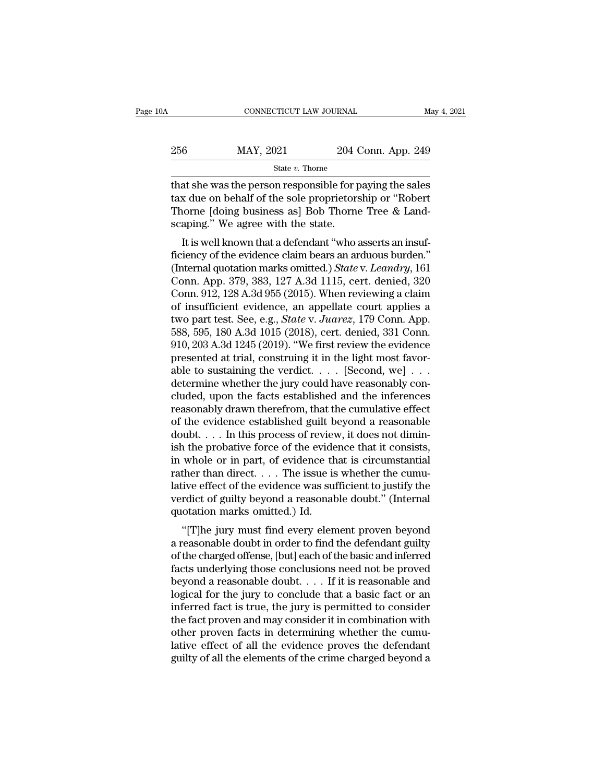| )A  | CONNECTICUT LAW JOURNAL |                    | May 4, 2021 |
|-----|-------------------------|--------------------|-------------|
| 256 | MAY, 2021               | 204 Conn. App. 249 |             |
|     | State v. Thorne         |                    |             |

CONNECTICUT LAW JOURNAL May 4, 2021<br>256 MAY, 2021 204 Conn. App. 249<br>3tate v. Thorne<br>that she was the person responsible for paying the sales<br>tax due on behalf of the sole proprietorship or "Robert<br>Thorne Idoing business 256 MAY, 2021 204 Conn. App. 249<br>
State v. Thorne<br>
that she was the person responsible for paying the sales<br>
tax due on behalf of the sole proprietorship or "Robert<br>
Thorne [doing business as] Bob Thorne Tree & Land-256 MAY, 2021 204 Conn. App. 249<br>  $\frac{\text{State } v. \text{ Thorne}}{\text{State } v. \text{ Thorne}}$ <br>
that she was the person responsible for paying the sales<br>
tax due on behalf of the sole proprietorship or "Robert<br>
Thorne [doing business as] Bob Thorne Tr  $\begin{tabular}{ll} \multicolumn{1}{l}{{\bf{256}}} & {\bf{MAX, 2021}} & {\bf{204}} & {\bf{204}} \\ & {\bf{State}\textit{ }v. \textit{Thorne}} \\ & {\bf{that she was the person responsible for }\bf{I}} \\ & {\bf{tax due on behalf of the sole properties}} \\ & {\bf{Thorne [doing business as] Bob Thorna scaping.' We agree with the state.} \\ & {\bf{It is well known that a defendant "who}:} \end{tabular}$ State v. Thorne<br>at she was the person responsible for paying the sales<br>x due on behalf of the sole proprietorship or "Robert<br>iorne [doing business as] Bob Thorne Tree & Land-<br>aping." We agree with the state.<br>It is well kn that she was the person responsible for paying the sales<br>tax due on behalf of the sole proprietorship or "Robert<br>Thorne [doing business as] Bob Thorne Tree & Land-<br>scaping." We agree with the state.<br>It is well known that

that she was the person responsible for paying the sales<br>tax due on behalf of the sole proprietorship or "Robert<br>Thorne [doing business as] Bob Thorne Tree & Land-<br>scaping." We agree with the state.<br>It is well known that a rax due on behan of the sole prophetorship of Robert<br>Thorne [doing business as] Bob Thorne Tree & Land-<br>scaping." We agree with the state.<br>It is well known that a defendant "who asserts an insuf-<br>ficiency of the evidence Thorne [doing business as] bob Thorne Tree & Land-<br>scaping." We agree with the state.<br>It is well known that a defendant "who asserts an insuf-<br>ficiency of the evidence claim bears an arduous burden."<br>(Internal quotation m scaping. We agree with the state.<br>
It is well known that a defendant "who asserts an insuf-<br>
ficiency of the evidence claim bears an arduous burden."<br>
(Internal quotation marks omitted.) *State v. Leandry*, 161<br>
Conn. App It is well known that a defendant "who asserts an insuf-<br>ficiency of the evidence claim bears an arduous burden."<br>(Internal quotation marks omitted.) *State* v. *Leandry*, 161<br>Conn. App. 379, 383, 127 A.3d 1115, cert. deni ficiency of the evidence claim bears an arduous burden."<br>(Internal quotation marks omitted.) *State* v. Leandry, 161<br>Conn. App. 379, 383, 127 A.3d 1115, cert. denied, 320<br>Conn. 912, 128 A.3d 955 (2015). When reviewing a cl (Internal quotation marks omitted.) *State* v. *Leandry*, 161<br>Conn. App. 379, 383, 127 A.3d 1115, cert. denied, 320<br>Conn. 912, 128 A.3d 955 (2015). When reviewing a claim<br>of insufficient evidence, an appellate court applie Conn. App. 379, 383, 127 A.3d 1115, cert. denied, 320<br>Conn. 912, 128 A.3d 955 (2015). When reviewing a claim<br>of insufficient evidence, an appellate court applies a<br>two part test. See, e.g., *State v. Juarez*, 179 Conn. Ap Conn. 912, 128 A.3d 955 (2015). When reviewing a claim<br>of insufficient evidence, an appellate court applies a<br>two part test. See, e.g., *State v. Juarez*, 179 Conn. App.<br>588, 595, 180 A.3d 1015 (2018), cert. denied, 331 C of insufficient evidence, an appellate court applies a<br>two part test. See, e.g., *State* v. *Juarez*, 179 Conn. App.<br>588, 595, 180 A.3d 1015 (2018), cert. denied, 331 Conn.<br>910, 203 A.3d 1245 (2019). "We first review the two part test. See, e.g., *State v. Juarez*, 179 Conn. App.<br>588, 595, 180 A.3d 1015 (2018), cert. denied, 331 Conn.<br>910, 203 A.3d 1245 (2019). "We first review the evidence<br>presented at trial, construing it in the light m 588, 595, 180 A.3d 1015 (2018), cert. denied, 331 Conn.<br>910, 203 A.3d 1245 (2019). "We first review the evidence<br>presented at trial, construing it in the light most favor-<br>able to sustaining the verdict. . . . . [Second, 910, 203 A.3d 1245 (2019). "We first review the evidence<br>presented at trial, construing it in the light most favor-<br>able to sustaining the verdict. . . . [Second, we] . . .<br>determine whether the jury could have reasonably presented at trial, construing it in the light most favorable to sustaining the verdict. . . . . [Second, we] . . . . determine whether the jury could have reasonably concluded, upon the facts established and the inferenc able to sustaining the verdict. . . . . [Second, we] . . .<br>determine whether the jury could have reasonably concluded, upon the facts established and the inferences<br>reasonably drawn therefrom, that the cumulative effect<br>o determine whether the jury could have reasonably concluded, upon the facts established and the inferences reasonably drawn therefrom, that the cumulative effect of the evidence established guilt beyond a reasonable doubt. cluded, upon the facts established and the inferences<br>reasonably drawn therefrom, that the cumulative effect<br>of the evidence established guilt beyond a reasonable<br>doubt.... In this process of review, it does not dimin-<br>is reasonably drawn therefrom, that the cumulative effect<br>of the evidence established guilt beyond a reasonable<br>doubt. . . . In this process of review, it does not dimin-<br>ish the probative force of the evidence that it consi of the evidence established guilt beyond a reasonable<br>doubt.... In this process of review, it does not dimin-<br>ish the probative force of the evidence that it consists,<br>in whole or in part, of evidence that is circumstanti doubt. . . . In this process of review, it does not diminish the probative force of the evidence that it consists, in whole or in part, of evidence that is circumstantial rather than direct. . . . The issue is whether the The probative force of the evidence that it consists,<br>
whole or in part, of evidence that is circumstantial<br>
ther than direct.... The issue is whether the cumu-<br>
ive effect of the evidence was sufficient to justify the<br>
r In whole of in part, or evidence that is circumstantial<br>rather than direct. . . . The issue is whether the cumu-<br>lative effect of the evidence was sufficient to justify the<br>verdict of guilty beyond a reasonable doubt." (In

Fainer than unect.  $\ldots$  The issue is whether the cultural<br>lative effect of the evidence was sufficient to justify the<br>verdict of guilty beyond a reasonable doubt." (Internal<br>quotation marks omitted.) Id.<br>"[T]he jury must rative effect of the evidence was sufficient to justify the<br>verdict of guilty beyond a reasonable doubt." (Internal<br>quotation marks omitted.) Id.<br>"[T]he jury must find every element proven beyond<br>a reasonable doubt in orde vertuct of guitty beyond a reasonable doubt. (Internation marks omitted.) Id.<br>
"[T]he jury must find every element proven beyond<br>
a reasonable doubt in order to find the defendant guilty<br>
of the charged offense, [but] each "[T]he jury must find every element proven beyond<br>a reasonable doubt in order to find the defendant guilty<br>of the charged offense, [but] each of the basic and inferred<br>facts underlying those conclusions need not be proved "[T]he jury must find every element proven beyond<br>a reasonable doubt in order to find the defendant guilty<br>of the charged offense, [but] each of the basic and inferred<br>facts underlying those conclusions need not be proved a reasonable doubt in order to find the defendant guilty<br>of the charged offense, [but] each of the basic and inferred<br>facts underlying those conclusions need not be proved<br>beyond a reasonable doubt. . . . If it is reasona of the charged offense, [but] each of the basic and inferred facts underlying those conclusions need not be proved<br>beyond a reasonable doubt. . . . If it is reasonable and<br>logical for the jury to conclude that a basic fac facts underlying those conclusions need not be proved<br>beyond a reasonable doubt. . . . If it is reasonable and<br>logical for the jury to conclude that a basic fact or an<br>inferred fact is true, the jury is permitted to consi beyond a reasonable doubt. . . . If it is reasonable and logical for the jury to conclude that a basic fact or an inferred fact is true, the jury is permitted to consider the fact proven and may consider it in combination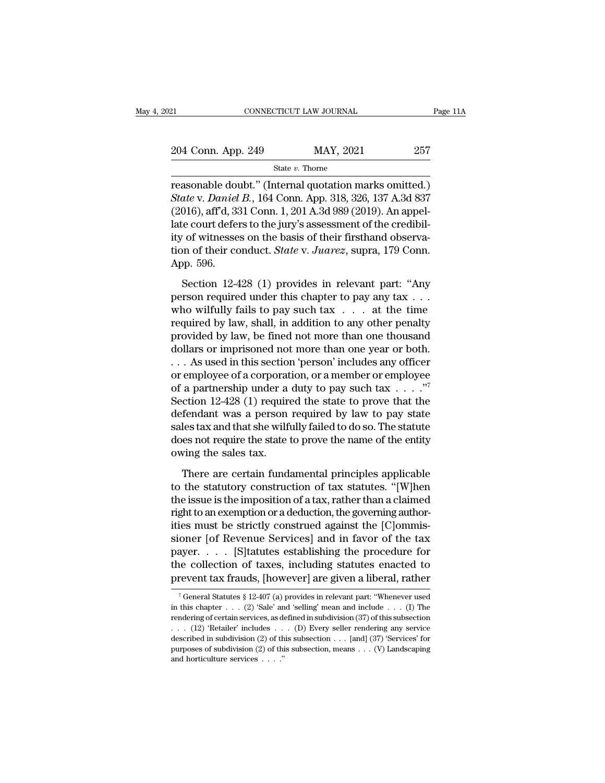21 CONNECTICUT LAW JOURNAL Page 11A<br>
204 Conn. App. 249 MAY, 2021 257<br>
State v. Thorne

State *v.* Thorne

reasonable doubt.'' (Internal quotation marks omitted.)<br>
State v. Daniel B., 164 Conn. App. 318, 326, 137 A.3d 837<br>
(2016) of d 221 Conn 1 201 A 2d 080 (2010) Appropel *State v. Thorne*<br> *State v. Thorne*<br> **State v.** *Daniel B.*, 164 Conn. App. 318, 326, 137 A.3d 837<br> *State v. Daniel B.*, 164 Conn. App. 318, 326, 137 A.3d 837<br>
(2016), aff'd, 331 Conn. 1, 201 A.3d 989 (2019). An appel-<br> 204 Conn. App. 249 MAY, 2021 257<br>
State v. Thome<br>
reasonable doubt." (Internal quotation marks omitted.)<br>
State v. Daniel B., 164 Conn. App. 318, 326, 137 A.3d 837<br>
(2016), aff'd, 331 Conn. 1, 201 A.3d 989 (2019). An appel 204 Conn. App. 249 MAY, 2021 257<br>
State v. Thorne<br>
reasonable doubt." (Internal quotation marks omitted.)<br> *State v. Daniel B.*, 164 Conn. App. 318, 326, 137 A.3d 837<br>
(2016), aff'd, 331 Conn. 1, 201 A.3d 989 (2019). An a State v. Thorne<br>
reasonable doubt." (Internal quotation marks omitted.)<br> *State v. Daniel B.*, 164 Conn. App. 318, 326, 137 A.3d 837<br>
(2016), aff'd, 331 Conn. 1, 201 A.3d 989 (2019). An appel-<br>
late court defers to the ju state v. Inome<br>reasonable doubt." (Internal quotation marks omitted.)<br>State v. *Daniel B.*, 164 Conn. App. 318, 326, 137 A.3d 837<br>(2016), aff<sup>7</sup>d, 331 Conn. 1, 201 A.3d 989 (2019). An appel-<br>late court defers to the jury's reasonable dou<br>*State* v. *Daniel*<br>(2016), aff<sup>7</sup>d, 33<br>late court defer<br>ity of witnesse<br>tion of their cc<br>App. 596.<br>Section 12-4 Section 12-428 (1) provides in relevant part: "Any<br>section 1, 201 A.3d 989 (2019). An appel-<br>te court defers to the jury's assessment of the credibil-<br>of witnesses on the basis of their firsthand observa-<br>on of their condu Late court defers to the jury's assessment of the credibility of witnesses on the basis of their firsthand observation of their conduct. *State* v. *Juarez*, supra, 179 Conn.<br>App. 596.<br>Section 12-428 (1) provides in relev

who wilfully of witnesses on the basis of their firsthand observa-<br>tion of their conduct. *State* v. *Juarez*, supra, 179 Conn.<br>App. 596.<br>Section 12-428 (1) provides in relevant part: "Any<br>person required under this chapt region of their conduct. State v. Juarez, supra, 179 Conn.<br>App. 596.<br>Section 12-428 (1) provides in relevant part: "Any<br>person required under this chapter to pay any tax . . .<br>who wilfully fails to pay such tax . . . at t App. 596.<br>
Section 12-428 (1) provides in relevant part: "Any<br>
person required under this chapter to pay any tax  $\dots$ <br>
who wilfully fails to pay such tax  $\dots$  at the time<br>
required by law, shall, in addition to any other Section 12-428 (1) provides in relevant part: "Any<br>person required under this chapter to pay any tax . . .<br>who wilfully fails to pay such tax  $\ldots$  at the time<br>required by law, shall, in addition to any other penalty<br>prov Section 12-428 (1) provides in relevant part: "Any<br>person required under this chapter to pay any tax . . .<br>who wilfully fails to pay such tax . . . at the time<br>required by law, shall, in addition to any other penalty<br>prov person required under this chapter to pay any tax . . .<br>who wilfully fails to pay such tax . . . . at the time<br>required by law, shall, in addition to any other penalty<br>provided by law, be fined not more than one thousand<br> who wilfully fails to pay such tax . . . . at the time<br>required by law, shall, in addition to any other penalty<br>provided by law, be fined not more than one thousand<br>dollars or imprisoned not more than one year or both.<br>. required by law, shall, in addition to any other penalty<br>provided by law, be fined not more than one thousand<br>dollars or imprisoned not more than one year or both.<br> $\ldots$  As used in this section 'person' includes any offic provided by law, be fined not more than one thousand<br>dollars or imprisoned not more than one year or both.<br>... As used in this section 'person' includes any officer<br>or employee of a corporation, or a member or employee<br>of dollars or imprisoned not more than one year or both.<br>  $\ldots$  As used in this section 'person' includes any officer<br>
or employee of a corporation, or a member or employee<br>
of a partnership under a duty to pay such tax  $\ldots$ ... As used in this section 'person' includes any officer<br>or employee of a corporation, or a member or employee<br>of a partnership under a duty to pay such tax ....."<br>Section 12-428 (1) required the state to prove that the<br> or employee of a corporat<br>of a partnership under a<br>Section 12-428 (1) require<br>defendant was a person<br>sales tax and that she wilfu<br>does not require the state t<br>owing the sales tax.<br>There are certain funds  $\frac{1}{2}$  and  $\frac{1}{2}$  and  $\frac{1}{2}$  and  $\frac{1}{2}$  and  $\frac{1}{2}$  and  $\frac{1}{2}$  and  $\frac{1}{2}$  and  $\frac{1}{2}$  and  $\frac{1}{2}$  and  $\frac{1}{2}$  are certain fundamental bota so. The statute ess not require the state to prove the n to the statute the statute of the statute statute statute status and that she wilfully failed to do so. The statute does not require the state to prove the name of the entity owing the sales tax.<br>
There are certain fundame

Example is the interest of a tax in the induction of the statute<br>does not require the state to prove the name of the entity<br>owing the sales tax.<br>There are certain fundamental principles applicable<br>to the statutory construc right to an equire the state to prove the name of the entity<br>does not require the state to prove the name of the entity<br>owing the sales tax.<br>There are certain fundamental principles applicable<br>to the statutory construction is must be state of prove are rather of the state,<br>owing the sales tax.<br>There are certain fundamental principles applicable<br>to the statutory construction of tax statutes. "[W]hen<br>the issue is the imposition of a tax, rathe There are certain fundamental principles applicable<br>to the statutory construction of tax statutes. "[W]hen<br>the issue is the imposition of a tax, rather than a claimed<br>right to an exemption or a deduction, the governing au There are certain fundamental principles applicable<br>to the statutory construction of tax statutes. "[W]hen<br>the issue is the imposition of a tax, rather than a claimed<br>right to an exemption or a deduction, the governing au to the statutory construction of tax statutes. "[W]hen<br>the issue is the imposition of a tax, rather than a claimed<br>right to an exemption or a deduction, the governing author-<br>ities must be strictly construed against the [C the issue is the imposition of a tax, rather than a claimed<br>right to an exemption or a deduction, the governing author-<br>ities must be strictly construed against the [C]ommis-<br>sioner [of Revenue Services] and in favor of t oner [or Kevenue Services] and in ravor of the tax<br>ayer. . . . [S] tatutes establishing the procedure for<br>ne collection of taxes, including statutes enacted to<br>revent tax frauds, [however] are given a liberal, rather<br> $^7$ payer. . . . . [S] tatutes establishing the procedure for<br>the collection of taxes, including statutes enacted to<br>prevent tax frauds, [however] are given a liberal, rather<br> $\frac{1}{100}$   $\frac{1}{100}$   $\frac{1}{100}$   $\frac{1}{100}$   $\$ 

the collection of taxes, including statutes enacted to<br>prevent tax frauds, [however] are given a liberal, rather<br> $\frac{1}{10}$  feneral Statutes § 12-407 (a) provides in relevant part: "Whenever used<br>in this chapter . . . (2) **Prevent tax frauds, [however] are given a liberal, rather**<br>
<sup>7</sup> General Statutes § 12-407 (a) provides in relevant part: "Whenever used<br>
in this chapter . . . (2) 'Sale' and 'selling' mean and include . . . (I) The<br>
rend prevent tax matures, [HOWEVEI] are given a moenar, rather<br>
<sup>7</sup> General Statutes § 12-407 (a) provides in relevant part: "Whenever used<br>
in this chapter . . . (2) 'Sale' and 'selling' mean and include . . . (I) The<br>
render <sup>7</sup> General Statutes § 12-407 (a) provides in relevant part: "Whenever used<br>in this chapter . . . (2) 'Sale' and 'selling' mean and include . . . (I) The<br>rendering of certain services, as defined in subdivision (37) of th in this chapter . . . . (2) 'Sale' and 'selling' mean and include . . . . (I) The rendering of certain services, as defined in subdivision (37) of this subsection . . . . (12) 'Retailer' includes . . . . (D) Every seller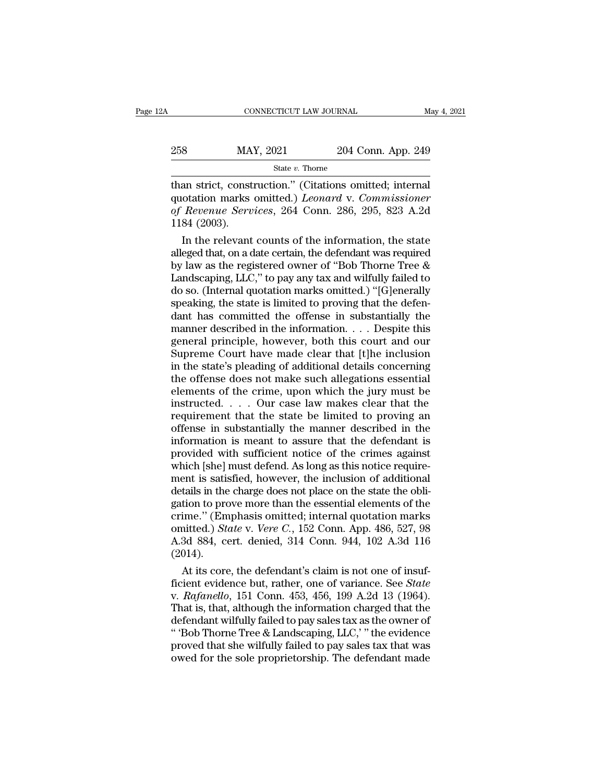| Α   | CONNECTICUT LAW JOURNAL |                    | May 4, 2021 |
|-----|-------------------------|--------------------|-------------|
| 258 | MAY, 2021               | 204 Conn. App. 249 |             |
|     | State $v$ . Thorne      |                    |             |

CONNECTICUT LAW JOURNAL May 4, 20<br>
258 MAY, 2021 204 Conn. App. 249<br>
301 State v. Thorne<br>
204 Conn. App. 249<br>
204 Conn. App. 249<br>
204 Conn. App. 249<br>
205 Services 264 Conn. 286 205 823 A 2d MAY, 2021 204 Conn. App. 249<br>
State v. Thorne<br>
than strict, construction." (Citations omitted; internal<br>
quotation marks omitted.) *Leonard* v. *Commissioner*<br>
of Revenue Services, 264 Conn. 286, 295, 823 A.2d<br>
1184 (2003) *Of Revenue Services, 264 Conn. App. 249*<br> *State v. Thorne*<br> *State v. Thorne*<br> *Citations omitted; internal*<br> *of Revenue Services, 264 Conn. 286, 295, 823 A.2d*<br> *A.2d*<br> *A.2d*<br> *A.2d*<br> *C.2003).* MA<br>
1184 (2003).<br>
1184 (2003).<br>
1184 (2003).<br>
1184 (2003).<br>
1184 relevant State v. Thorne<br>
an strict, construction." (Citations omitted; internal<br>
otation marks omitted.) *Leonard* v. Commissioner<br> *Revenue Services*, 264 Conn. 286, 295, 823 A.2d<br>
84 (2003).<br>
In the relevant counts of the infor than strict, construction." (Citations omitted; internal<br>quotation marks omitted.) *Leonard* v. *Commissioner*<br>of *Revenue Services*, 264 Conn. 286, 295, 823 A.2d<br>1184 (2003).<br>In the relevant counts of the information, th

than strict, construction." (Citations omitted; internal<br>quotation marks omitted.) *Leonard* v. *Commissioner*<br>of Revenue Services, 264 Conn. 286, 295, 823 A.2d<br>1184 (2003).<br>In the relevant counts of the information, the quotation marks omitted.) *Leonard* v. Commissioner<br>of Revenue Services, 264 Conn. 286, 295, 823 A.2d<br>1184 (2003).<br>In the relevant counts of the information, the state<br>alleged that, on a date certain, the defendant was req of Revenue Services, 264 Conn. 286, 295, 823 A.2d<br>1184 (2003).<br>In the relevant counts of the information, the state<br>alleged that, on a date certain, the defendant was required<br>by law as the registered owner of "Bob Thorne 1184 (2003).<br>In the relevant counts of the information, the state<br>alleged that, on a date certain, the defendant was required<br>by law as the registered owner of "Bob Thorne Tree &<br>Landscaping, LLC," to pay any tax and wilfu In the relevant counts of the information, the state<br>alleged that, on a date certain, the defendant was required<br>by law as the registered owner of "Bob Thorne Tree &<br>Landscaping, LLC," to pay any tax and wilfully failed t alleged that, on a date certain, the defendant was required<br>by law as the registered owner of "Bob Thorne Tree &<br>Landscaping, LLC," to pay any tax and wilfully failed to<br>do so. (Internal quotation marks omitted.) "[G]enera by law as the registered owner of "Bob Thorne Tree &<br>Landscaping, LLC," to pay any tax and wilfully failed to<br>do so. (Internal quotation marks omitted.) "[G]enerally<br>speaking, the state is limited to proving that the defen Landscaping, LLC," to pay any tax and wilfully failed to<br>do so. (Internal quotation marks omitted.) "[G]enerally<br>speaking, the state is limited to proving that the defen-<br>dant has committed the offense in substantially th do so. (Internal quotation marks omitted.) "[G]enerally<br>speaking, the state is limited to proving that the defen-<br>dant has committed the offense in substantially the<br>manner described in the information. . . . Despite this<br> speaking, the state is limited to proving that the defendant has committed the offense in substantially the manner described in the information.... Despite this general principle, however, both this court and our Supreme dant has committed the offense in substantially the<br>manner described in the information.... Despite this<br>general principle, however, both this court and our<br>Supreme Court have made clear that [t]he inclusion<br>in the state' manner described in the information. . . . Despite this<br>general principle, however, both this court and our<br>Supreme Court have made clear that [t]he inclusion<br>in the state's pleading of additional details concerning<br>the of general principle, however, both this court and our<br>Supreme Court have made clear that [t]he inclusion<br>in the state's pleading of additional details concerning<br>the offense does not make such allegations essential<br>elements Supreme Court have made clear that [t]he inclusion<br>in the state's pleading of additional details concerning<br>the offense does not make such allegations essential<br>elements of the crime, upon which the jury must be<br>instructe in the state's pleading of additional details concerning<br>the offense does not make such allegations essential<br>elements of the crime, upon which the jury must be<br>instructed.... Our case law makes clear that the<br>requirement the offense does not make such allegations essential<br>elements of the crime, upon which the jury must be<br>instructed.... Our case law makes clear that the<br>requirement that the state be limited to proving an<br>offense in subst elements of the crime, upon which the jury must be<br>instructed.  $\ldots$  Our case law makes clear that the<br>requirement that the state be limited to proving an<br>offense in substantially the manner described in the<br>information i instructed. . . . Our case law makes clear that the requirement that the state be limited to proving an offense in substantially the manner described in the information is meant to assure that the defendant is provided wit requirement that the state be limited to proving an offense in substantially the manner described in the information is meant to assure that the defendant is provided with sufficient notice of the crimes against which [she offense in substantially the manner described in the<br>information is meant to assure that the defendant is<br>provided with sufficient notice of the crimes against<br>which [she] must defend. As long as this notice require-<br>ment information is meant to assure that the defendant is<br>provided with sufficient notice of the crimes against<br>which [she] must defend. As long as this notice require-<br>ment is satisfied, however, the inclusion of additional<br>d provided with sufficient notice of the crimes against<br>which [she] must defend. As long as this notice require-<br>ment is satisfied, however, the inclusion of additional<br>details in the charge does not place on the state the o which [she] must defend. As long as this notice requirement is satisfied, however, the inclusion of additional details in the charge does not place on the state the obligation to prove more than the essential elements of t (2014). tails in the charge does not place on the state the obli-<br>tion to prove more than the essential elements of the<br>ime." (Emphasis omitted; internal quotation marks<br>nitted.) *State* v. *Vere C.*, 152 Conn. App. 486, 527, 98<br> gation to prove more than the essential elements of the<br>crime." (Emphasis omitted; internal quotation marks<br>omitted.) *State* v. *Vere C.*, 152 Conn. App. 486, 527, 98<br>A.3d 884, cert. denied, 314 Conn. 944, 102 A.3d 116<br>(2

crime." (Emphasis omitted; internal quotation marks<br>omitted.) *State* v. *Vere C.*, 152 Conn. App. 486, 527, 98<br>A.3d 884, cert. denied, 314 Conn. 944, 102 A.3d 116<br>(2014).<br>At its core, the defendant's claim is not one of i omitted.) *State v. Vere C.*, 152 Conn. App. 486, 527, 98<br>A.3d 884, cert. denied, 314 Conn. 944, 102 A.3d 116<br>(2014).<br>At its core, the defendant's claim is not one of insuf-<br>ficient evidence but, rather, one of variance. A.3d 884, cert. denied, 314 Conn. 944, 102 A.3d 116<br>(2014).<br>At its core, the defendant's claim is not one of insuf-<br>ficient evidence but, rather, one of variance. See *State*<br>v. *Rafanello*, 151 Conn. 453, 456, 199 A.2d 1 (2014).<br>
At its core, the defendant's claim is not one of insuf-<br>
ficient evidence but, rather, one of variance. See *State*<br>
v. *Rafanello*, 151 Conn. 453, 456, 199 A.2d 13 (1964).<br>
That is, that, although the informatio At its core, the defendant's claim is not one of insuf-<br>ficient evidence but, rather, one of variance. See *State*<br>v. Rafanello, 151 Conn. 453, 456, 199 A.2d 13 (1964).<br>That is, that, although the information charged that ficient evidence but, rather, one of variance. See *State* v. Rafanello, 151 Conn. 453, 456, 199 A.2d 13 (1964). That is, that, although the information charged that the defendant wilfully failed to pay sales tax as the ow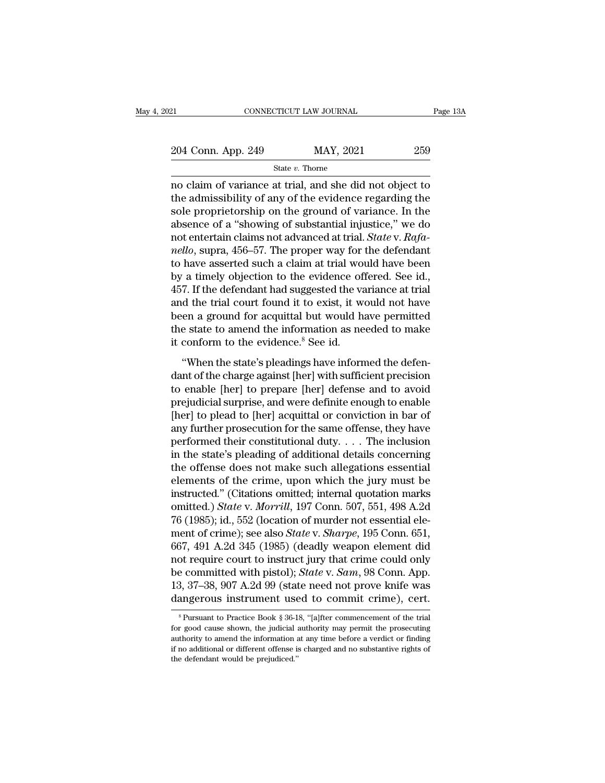| 21 | CONNECTICUT LAW JOURNAL | Page 13A |
|----|-------------------------|----------|

Page 13A<br>
204 Conn. App. 249 MAY, 2021 259<br>
31 MAY, 2021 259<br>
320 State v. Thorne<br>
259<br>
26 May of the did not object to<br>
26 May of the evidence regarding the<br>
26 Alle admissibility of any of the evidence regarding the 204 Conn. App. 249 MAY, 2021 259<br>
State v. Thorne<br>
no claim of variance at trial, and she did not object to<br>
the admissibility of any of the evidence regarding the<br>
sole proprietorship on the ground of variance. In the<br>
s 204 Conn. App. 249 MAY, 2021 259<br>
State v. Thorne<br>
no claim of variance at trial, and she did not object to<br>
the admissibility of any of the evidence regarding the<br>
sole proprietorship on the ground of variance. In the<br>
a 204 Conn. App. 249 MAY, 2021 259<br>  $\frac{\text{State } v. \text{ Thorne}}{\text{not claim of variance at trial, and she did not object to}}$ <br>
no claim of variance at trial, and she did not object to<br>
the admissibility of any of the evidence regarding the<br>
sole proprietorship on the ground of state *v*. Thorne<br>
no claim of variance at trial, and she did not object to<br>
the admissibility of any of the evidence regarding the<br>
sole proprietorship on the ground of variance. In the<br>
absence of a "showing of substanti suae *v*. Inome<br>
no claim of variance at trial, and she did not object to<br>
the admissibility of any of the evidence regarding the<br>
sole proprietorship on the ground of variance. In the<br>
absence of a "showing of substantial no claim of variance at trial, and she did not object to<br>the admissibility of any of the evidence regarding the<br>sole proprietorship on the ground of variance. In the<br>absence of a "showing of substantial injustice," we do<br>n the admissibility of any of the evidence regarding the sole proprietorship on the ground of variance. In the absence of a "showing of substantial injustice," we do not entertain claims not advanced at trial. *State* v. *R* sole proprietorship on the ground of variance. In the absence of a "showing of substantial injustice," we do not entertain claims not advanced at trial. *State* v. *Rafa-nello*, supra, 456–57. The proper way for the defe absence of a "showing of substantial injustice," we do<br>not entertain claims not advanced at trial. *State* v. *Rafa-*<br>*nello*, supra, 456–57. The proper way for the defendant<br>to have asserted such a claim at trial would ha not entertain claims not advanced at trial. *State* v. *Rafa-*<br>*nello*, supra, 456–57. The proper way for the defendant<br>to have asserted such a claim at trial would have been<br>by a timely objection to the evidence offered. nello, supra, 456–57. The proper way for the defendant<br>to have asserted such a claim at trial would have been<br>by a timely objection to the evidence offered. See id.,<br>457. If the defendant had suggested the variance at tria to have asserted such a claim at trial wo<br>by a timely objection to the evidence of<br>457. If the defendant had suggested the va<br>and the trial court found it to exist, it w<br>been a ground for acquittal but would h<br>the state to 7. If the defendant had suggested the variance at trial<br>d the trial court found it to exist, it would not have<br>en a ground for acquittal but would have permitted<br>e state to amend the information as needed to make<br>conform t and the trial court found it to exist, it would not have<br>been a ground for acquittal but would have permitted<br>the state to amend the information as needed to make<br>it conform to the evidence.<sup>8</sup> See id.<br>"When the state's pl

been a ground for acquittal but would have permitted<br>the state to amend the information as needed to make<br>it conform to the evidence.<sup>8</sup> See id.<br>"When the state's pleadings have informed the defen-<br>dant of the charge again the state to amend the information as needed to make<br>it conform to the evidence.<sup>8</sup> See id.<br>"When the state's pleadings have informed the defen-<br>dant of the charge against [her] with sufficient precision<br>to enable [her] to it conform to the evidence.<sup>8</sup> See id.<br>
"When the state's pleadings have informed the defen-<br>
dant of the charge against [her] with sufficient precision<br>
to enable [her] to prepare [her] defense and to avoid<br>
prejudicial s "When the state's pleadings have informed the defendant of the charge against [her] with sufficient precision to enable [her] to prepare [her] defense and to avoid prejudicial surprise, and were definite enough to enable "When the state's pleadings have informed the defen-<br>dant of the charge against [her] with sufficient precision<br>to enable [her] to prepare [her] defense and to avoid<br>prejudicial surprise, and were definite enough to enabl dant of the charge against [her] with sufficient precision<br>to enable [her] to prepare [her] defense and to avoid<br>prejudicial surprise, and were definite enough to enable<br>[her] to plead to [her] acquittal or conviction in b to enable [her] to prepare [her] defense and to avoid<br>prejudicial surprise, and were definite enough to enable<br>[her] to plead to [her] acquittal or conviction in bar of<br>any further prosecution for the same offense, they ha prejudicial surprise, and were definite enough to enable<br>[her] to plead to [her] acquittal or conviction in bar of<br>any further prosecution for the same offense, they have<br>performed their constitutional duty.... The inclus [her] to plead to [her] acquittal or conviction in bar of<br>any further prosecution for the same offense, they have<br>performed their constitutional duty. . . . The inclusion<br>in the state's pleading of additional details conc any further prosecution for the same offense, they have<br>performed their constitutional duty. . . . The inclusion<br>in the state's pleading of additional details concerning<br>the offense does not make such allegations essential performed their constitutional duty. . . . The inclusion<br>in the state's pleading of additional details concerning<br>the offense does not make such allegations essential<br>elements of the crime, upon which the jury must be<br>ins in the state's pleading of additional details concerning<br>the offense does not make such allegations essential<br>elements of the crime, upon which the jury must be<br>instructed." (Citations omitted; internal quotation marks<br>omi the offense does not make such allegations essential<br>elements of the crime, upon which the jury must be<br>instructed." (Citations omitted; internal quotation marks<br>omitted.) *State* v. *Morrill*, 197 Conn. 507, 551, 498 A.2d elements of the crime, upon which the jury must be<br>instructed." (Citations omitted; internal quotation marks<br>omitted.) *State* v. *Morrill*, 197 Conn. 507, 551, 498 A.2d<br>76 (1985); id., 552 (location of murder not essenti instructed." (Citations omitted; internal quotation marks<br>omitted.) *State* v. *Morrill*, 197 Conn. 507, 551, 498 A.2d<br>76 (1985); id., 552 (location of murder not essential ele-<br>ment of crime); see also *State* v. *Sharpe* omitted.) *State v. Morrill*, 197 Conn. 507, 551, 498 A.2d<br>76 (1985); id., 552 (location of murder not essential ele-<br>ment of crime); see also *State v. Sharpe*, 195 Conn. 651,<br>667, 491 A.2d 345 (1985) (deadly weapon eleme 76 (1985); id., 552 (location of murder not essential element of crime); see also *State* v. *Sharpe*, 195 Conn. 651, 667, 491 A.2d 345 (1985) (deadly weapon element did not require court to instruct jury that crime could not require court to instruct jury that crime could only<br>be committed with pistol); *State* v. *Sam*, 98 Conn. App.<br>13, 37–38, 907 A.2d 99 (state need not prove knife was<br>dangerous instrument used to commit crime), cert.<br> be committed with pistol); *State* v. *Sam*, 98 Conn. App.<br>13, 37–38, 907 A.2d 99 (state need not prove knife was<br>dangerous instrument used to commit crime), cert.<br><sup>8</sup> Pursuant to Practice Book § 36-18, "[a]fter commencem

<sup>13, 37–38, 907</sup> A.2d 99 (state need not prove knife was dangerous instrument used to commit crime), cert.<br>
<sup>8</sup> Pursuant to Practice Book § 36-18, "[a]fter commencement of the trial for good cause shown, the judicial author dangerous instrument used to commit crime), cert.<br>
<sup>8</sup> Pursuant to Practice Book § 36-18, "[a]fter commencement of the trial<br>
for good cause shown, the judicial authority may permit the prosecuting<br>
authority to amend the  ${}^8$  Pursuant to Practice Book § 36-18, "[a]fter commencement of the trial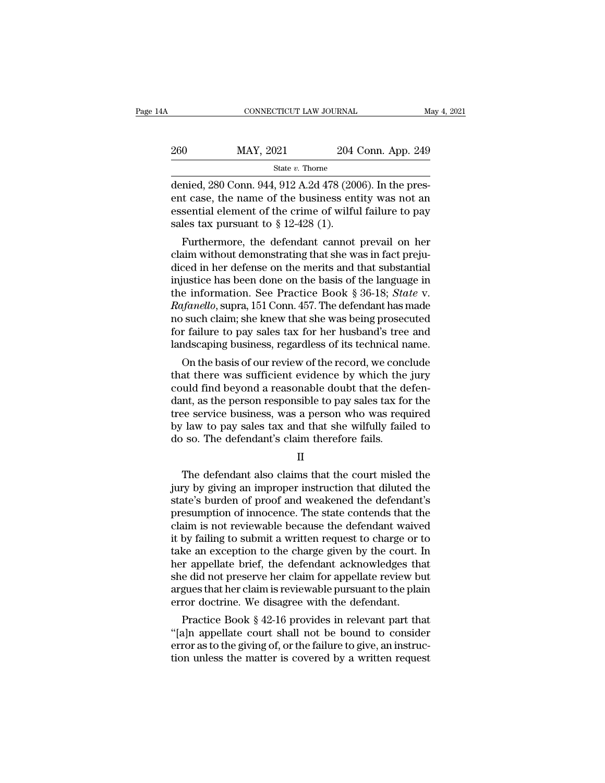| łΑ  | CONNECTICUT LAW JOURNAL |                    | May 4, 2021 |
|-----|-------------------------|--------------------|-------------|
| 260 | MAY, 2021               | 204 Conn. App. 249 |             |
|     | State $v$ . Thorne      |                    |             |

CONNECTICUT LAW JOURNAL<br>
260 MAY, 2021 204 Conn. App. 249<br>
31 State v. Thorne<br>
2016). In the pres-<br>
280 Conn. 944, 912 A.2d 478 (2006). In the pres-<br>
2016 entities to the pres-<br>
2016 and the pres-<br>
2016 and the pres-260 MAY, 2021 204 Conn. App. 249<br>  $\frac{\text{State } v. \text{ Thorne}}{\text{denied, 280 Conn. 944, 912 A.2d 478 (2006).} \text{ In the present case, the name of the business entity was not an essential element of the crime of will fall the to pay.}$ 260 MAY, 2021 204 Conn. App. 249<br>
State v. Thorne<br>
denied, 280 Conn. 944, 912 A.2d 478 (2006). In the pres-<br>
ent case, the name of the business entity was not an<br>
essential element of the crime of wilful failure to pay<br>
s  $\begin{array}{r} \text{260} & \text{MAX, } 2021 & 204 \\ \hline \\ \text{34.} & \text{34.} & 204 \\ \text{35.} & \text{478 (20)} \\ \text{46.} & \text{478 (20)} \\ \text{57.} & \text{48.} & \text{49.} \\ \text{58.} & \text{49.} & \text{49.} \\ \text{69.} & \text{50.} & \text{40.} \\ \text{60.} & \text{512-428 (1)}. \\ \text{70.} & \text{52-428 (20)}. \\ \end{array}$ State v. Thorne<br>
Furthermore, the defendant case, the name of the business entity was not an<br>
sential element of the crime of wilful failure to pay<br>
les tax pursuant to § 12-428 (1).<br>
Furthermore, the defendant cannot pre denied,  $280$  Conn.  $944$ ,  $912$  A. $2d$   $478$   $(2006)$ . In the present case, the name of the business entity was not an essential element of the crime of wilful failure to pay sales tax pursuant to  $\S 12-428$  (1).<br>Further

defined, 280 Confit. 944, 912 A.2d 478 (2000). If the present case, the name of the business entity was not an essential element of the crime of wilful failure to pay sales tax pursuant to § 12-428 (1).<br>Furthermore, the d ent case, the name of the business entity was not an<br>essential element of the crime of wilful failure to pay<br>sales tax pursuant to  $\S 12-428$  (1).<br>Furthermore, the defendant cannot prevail on her<br>claim without demonstrati essential element of the crime of wintui failure to pay<br>sales tax pursuant to § 12-428 (1).<br>Furthermore, the defendant cannot prevail on her<br>claim without demonstrating that she was in fact preju-<br>diced in her defense on t sales tax pursuant to  $\S$  12-428 (1).<br> *Furthermore, the defendant cannot prevail on her*<br>
claim without demonstrating that she was in fact preju-<br>
diced in her defense on the merits and that substantial<br>
injustice has bee Furthermore, the defendant cannot prevail on her<br>claim without demonstrating that she was in fact preju-<br>diced in her defense on the merits and that substantial<br>injustice has been done on the basis of the language in<br>the i claim without demonstrating that she was in fact preju-<br>diced in her defense on the merits and that substantial<br>injustice has been done on the basis of the language in<br>the information. See Practice Book § 36-18; *State* v. diced in her defense on the merits and that substantial<br>injustice has been done on the basis of the language in<br>the information. See Practice Book § 36-18; *State* v.<br>*Rafanello*, supra, 151 Conn. 457. The defendant has ma distice has been done on the basis of the language in<br>e information. See Practice Book § 36-18; *State* v.<br>*tfanello*, supra, 151 Conn. 457. The defendant has made<br>such claim; she knew that she was being prosecuted<br>r failu the information. See Practice Book § 50-18; *State V.*<br>
Rafanello, supra, 151 Conn. 457. The defendant has made<br>
no such claim; she knew that she was being prosecuted<br>
for failure to pay sales tax for her husband's tree an

rayaneuo, supra, 151 Conn. 457. The defendant has made<br>no such claim; she knew that she was being prosecuted<br>for failure to pay sales tax for her husband's tree and<br>landscaping business, regardless of its technical name.<br>O the such claim; she knew that she was being prosecuted<br>for failure to pay sales tax for her husband's tree and<br>landscaping business, regardless of its technical name.<br>On the basis of our review of the record, we conclude<br>t for failure to pay sales tax for her husband's tree and<br>landscaping business, regardless of its technical name.<br>On the basis of our review of the record, we conclude<br>that there was sufficient evidence by which the jury<br>cou randscaping business, regardiess of its technical name.<br>
On the basis of our review of the record, we conclude<br>
that there was sufficient evidence by which the jury<br>
could find beyond a reasonable doubt that the defen-<br>
da On the basis of our review of the record, we cond<br>that there was sufficient evidence by which the<br>could find beyond a reasonable doubt that the do<br>dant, as the person responsible to pay sales tax fo<br>tree service business, nt, as the person responsible to pay sales tax for the<br>ee service business, was a person who was required<br>law to pay sales tax and that she wilfully failed to<br>iso. The defendant's claim therefore fails.<br>II<br>The defendant al

II

tree service business, was a person who was required<br>by law to pay sales tax and that she wilfully failed to<br>do so. The defendant's claim therefore fails.<br>II<br>The defendant also claims that the court misled the<br>jury by givi by law to pay sales tax and that she wilfully failed to<br>
do so. The defendant's claim therefore fails.<br>
II<br>
The defendant also claims that the court misled the<br>
jury by giving an improper instruction that diluted the<br>
stat do so. The defendant's claim therefore fails.<br>
II<br>
The defendant also claims that the court misled the<br>
jury by giving an improper instruction that diluted the<br>
state's burden of proof and weakened the defendant's<br>
presump II<br>In The defendant also claims that the court misled the<br>jury by giving an improper instruction that diluted the<br>state's burden of proof and weakened the defendant's<br>presumption of innocence. The state contends that the<br>c If<br>it is defendant also claims that the court misled the<br>jury by giving an improper instruction that diluted the<br>state's burden of proof and weakened the defendant's<br>presumption of innocence. The state contends that the<br>cl The defendant also claims that the court misled the<br>jury by giving an improper instruction that diluted the<br>state's burden of proof and weakened the defendant's<br>presumption of innocence. The state contends that the<br>claim i jury by giving an improper instruction that diluted the state's burden of proof and weakened the defendant's presumption of innocence. The state contends that the claim is not reviewable because the defendant waived it by state's burden of proof and weakened the defendant's<br>presumption of innocence. The state contends that the<br>claim is not reviewable because the defendant waived<br>it by failing to submit a written request to charge or to<br>take presumption of innocence. The state contends that the claim is not reviewable because the defendant waived it by failing to submit a written request to charge or to take an exception to the charge given by the court. In he claim is not reviewable because the defendant waive<br>it by failing to submit a written request to charge or t<br>take an exception to the charge given by the court. I<br>her appellate brief, the defendant acknowledges tha<br>she did by falling to submit a written request to charge or to<br>ke an exception to the charge given by the court. In<br>r appellate brief, the defendant acknowledges that<br>e did not preserve her claim for appellate review but<br>gues that take an exception to the charge given by the court. In<br>her appellate brief, the defendant acknowledges that<br>she did not preserve her claim for appellate review but<br>argues that her claim is reviewable pursuant to the plain<br>

ner appenate brief, the detendant acknowledges that<br>she did not preserve her claim for appellate review but<br>argues that her claim is reviewable pursuant to the plain<br>error doctrine. We disagree with the defendant.<br>Practice she did not preserve her claim for appenate review but<br>argues that her claim is reviewable pursuant to the plain<br>error doctrine. We disagree with the defendant.<br>Practice Book § 42-16 provides in relevant part that<br>"[a]n ap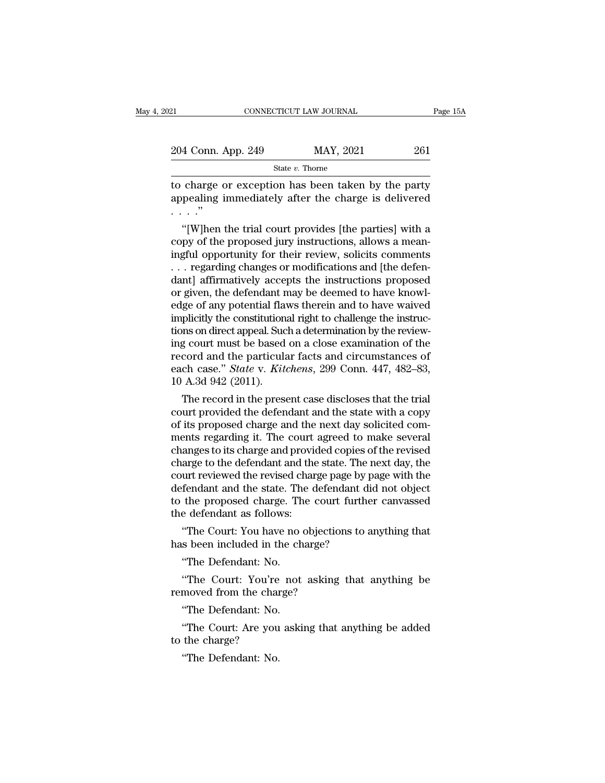| 21                 | CONNECTICUT LAW JOURNAL | Page 15A |  |
|--------------------|-------------------------|----------|--|
|                    |                         |          |  |
| 204 Conn. App. 249 | MAY, 2021               | 261      |  |
|                    | State $v$ . Thorne      |          |  |

EXECTE CONNECTICUT LAW JOURNAL Page 15A<br>
204 Conn. App. 249 MAY, 2021 261<br>
State v. Thorne<br>
to charge or exception has been taken by the party<br>
appealing immediately after the charge is delivered<br>
" 204 Conn. App. 249 MAY, 2021 261<br>
State v. Thorne<br>
to charge or exception has been taken by the party<br>
appealing immediately after the charge is delivered<br>  $\cdots$ .  $\frac{204 \text{ Conn. } I}{\text{to charge of}}$ <br>to charge of<br>appealing i<br> $\cdots$  .''<br>"[W]hen  $\frac{4 \text{ Conn. App. 249}}{\text{State } v. \text{ Thorne}}$ <br>
charge or exception has been taken by the party<br>
pealing immediately after the charge is delivered<br>
..."<br>
"[W]hen the trial court provides [the parties] with a<br>
py of the proposed jury ins

State v. Thorne<br>to charge or exception has been taken by the party<br>appealing immediately after the charge is delivered<br> $\cdots$ ."<br>"[W]hen the trial court provides [the parties] with a<br>copy of the proposed jury instructions, to charge or exception has been taken by the party<br>appealing immediately after the charge is delivered<br> $\cdots$ ."<br>"[W]hen the trial court provides [the parties] with a<br>copy of the proposed jury instructions, allows a mean-<br>i to charge or exception has been taken by the party<br>appealing immediately after the charge is delivered<br> $\cdots$ ."<br>"[W]hen the trial court provides [the parties] with a<br>copy of the proposed jury instructions, allows a mean-<br>i appearing immediately after the charge is defivered<br>  $\cdots$ ."<br>
"[W]hen the trial court provides [the parties] with a<br>
copy of the proposed jury instructions, allows a mean-<br>
ingful opportunity for their review, solicits co "[W]hen the trial court provides [the parties] with a<br>copy of the proposed jury instructions, allows a mean-<br>ingful opportunity for their review, solicits comments<br> $\ldots$  regarding changes or modifications and [the defen-<br> "[W]hen the trial court provides [the parties] with a<br>copy of the proposed jury instructions, allows a mean-<br>ingful opportunity for their review, solicits comments<br> $\ldots$  regarding changes or modifications and [the defen-<br> copy of the proposed jury instructions, allows a mean-<br>ingful opportunity for their review, solicits comments<br>... regarding changes or modifications and [the defen-<br>dant] affirmatively accepts the instructions proposed<br>or ingful opportunity for their review, solicits comments<br>
... regarding changes or modifications and [the defen-<br>
dant] affirmatively accepts the instructions proposed<br>
or given, the defendant may be deemed to have knowl-<br>
e ... regarding changes or modifications and [the defendant] affirmatively accepts the instructions proposed or given, the defendant may be deemed to have knowledge of any potential flaws therein and to have waived implicit dant] affirmatively accepts the instructions proposed<br>or given, the defendant may be deemed to have knowl-<br>edge of any potential flaws therein and to have waived<br>implicitly the constitutional right to challenge the instru or given, the defendant may be deemed to have knowledge of any potential flaws therein and to have waived implicitly the constitutional right to challenge the instructions on direct appeal. Such a determination by the revi edge of any potential flam<br>implicitly the constitution<br>tions on direct appeal. Suce<br>ing court must be based<br>record and the particula<br>each case." *State* v. *Kite*<br>10 A.3d 942 (2011).<br>The record in the prese plicitly the constitutional right to challenge the instructions on direct appeal. Such a determination by the reviewing court must be based on a close examination of the cord and the particular facts and circumstances of c tions on direct appeal. Such a determination by the reviewing court must be based on a close examination of the<br>record and the particular facts and circumstances of<br>each case." *State* v. *Kitchens*, 299 Conn. 447, 482–83,

ing court must be based on a close examination of the<br>record and the particular facts and circumstances of<br>each case." *State* v. *Kitchens*, 299 Conn. 447, 482–83,<br>10 A.3d 942 (2011).<br>The record in the present case disclo record and the particular racts and circumstances of<br>each case." *State* v. *Kitchens*, 299 Conn. 447, 482–83,<br>10 A.3d 942 (2011).<br>The record in the present case discloses that the trial<br>court provided the defendant and th each case." *State* v. *Kutchens*, 299 Conn. 447, 482–83,<br>10 A.3d 942 (2011).<br>The record in the present case discloses that the trial<br>court provided the defendant and the state with a copy<br>of its proposed charge and the ne To A.3d 942 (2011).<br>The record in the present case discloses that the trial<br>court provided the defendant and the state with a copy<br>of its proposed charge and the next day solicited com-<br>ments regarding it. The court agreed The record in the present case discloses that the trial<br>court provided the defendant and the state with a copy<br>of its proposed charge and the next day solicited com-<br>ments regarding it. The court agreed to make several<br>cha court provided the defendant and the state with a copy<br>of its proposed charge and the next day solicited com-<br>ments regarding it. The court agreed to make several<br>changes to its charge and provided copies of the revised<br>ch of its proposed charge and the next day solicited comments regarding it. The court agreed to make several changes to its charge and provided copies of the revised charge to the defendant and the state. The next day, the co ments regarding it. The court<br>changes to its charge and provid<br>charge to the defendant and the<br>court reviewed the revised char<br>defendant and the state. The d<br>to the proposed charge. The of<br>the defendant as follows:<br>"The Co anges to its charge and provided copies of the revised<br>arge to the defendant and the state. The next day, the<br>urt reviewed the revised charge page by page with the<br>fendant and the state. The defendant did not object<br>the pr charge to the detendant and the state. The r<br>court reviewed the revised charge page by p<br>defendant and the state. The defendant di<br>to the proposed charge. The court furthe<br>the defendant as follows:<br>"The Court: You have no fendant and the state. The<br>the proposed charge. The<br>e defendant as follows:<br>"The Court: You have no or<br>s been included in the ch<br>"The Defendant: No.<br>"The Court: You're not

the proposed charge. The court further canvassed<br>
e defendant as follows:<br>
"The Court: You have no objections to anything that<br>
s been included in the charge?<br>
"The Defendant: No.<br>
"The Court: You're not asking that anythi the defendant as follows:<br>
"The Court: You have no objectio<br>
has been included in the charge?<br>
"The Defendant: No.<br>
"The Court: You're not asking<br>
removed from the charge?<br>
"The Defendant: No.

"The Court: You have no of<br>s been included in the ch<br>"The Defendant: No.<br>"The Court: You're not<br>moved from the charge?<br>"The Defendant: No.<br>"The Court: Are you aski "The Defendant: No.<br>"The Court: You're not asking that anything be<br>moved from the charge?<br>"The Defendant: No.<br>"The Court: Are you asking that anything be added<br>the charge? "The Defendant: No.<br>"The Court: You're<br>removed from the char<br>"The Defendant: No.<br>"The Court: Are you<br>to the charge?<br>"The Defendant: No.

"The Court: You're<br>moved from the chair<br>"The Defendant: No.<br>"The Court: Are you<br>the charge?<br>"The Defendant: No.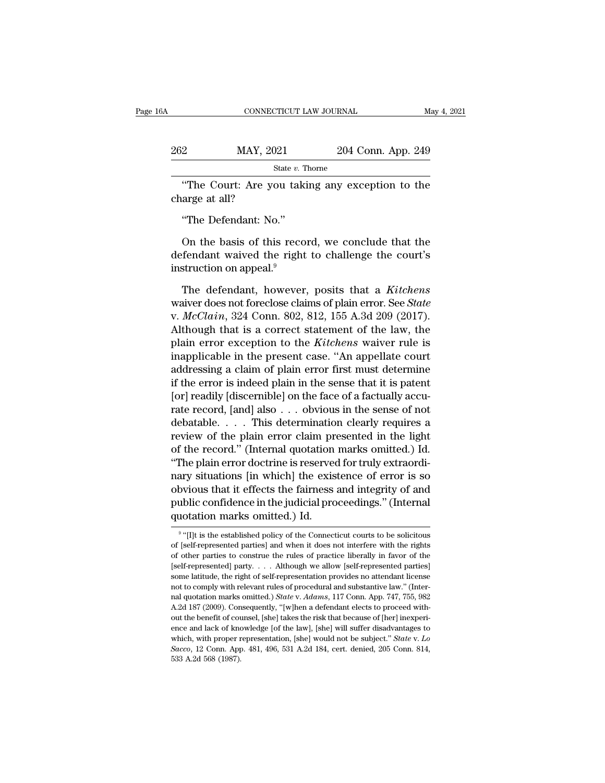| jА             | CONNECTICUT LAW JOURNAL |                                                   | May 4, 2021 |
|----------------|-------------------------|---------------------------------------------------|-------------|
| 262            | MAY, 2021               | 204 Conn. App. 249                                |             |
|                | State $v$ . Thorne      |                                                   |             |
| charge at all? |                         | "The Court: Are you taking any exception to the   |             |
|                | "The Defendant: No."    |                                                   |             |
|                |                         | On the basis of this record, we conclude that the |             |

State v. Thome<br>
State v. Thome<br>
The Court: Are you taking any exception to the<br>
arge at all?<br>
The Defendant: No."<br>
On the basis of this record, we conclude that the<br>
fendant waived the right to challenge the court's<br>
stru The Court: Are you taking any exception to the<br>charge at all?<br>"The Defendant: No."<br>On the basis of this record, we conclude that the<br>defendant waived the right to challenge the court's<br>instruction on appeal.<sup>9</sup> The Court. Are you taked<br>charge at all?<br>"The Defendant: No."<br>On the basis of this reco<br>defendant waived the right<br>instruction on appeal.<sup>9</sup><br>The defendant, however "The Defendant: No."<br>
On the basis of this record, we conclude that the<br>
fendant waived the right to challenge the court's<br>
struction on appeal.<sup>9</sup><br>
The defendant, however, posits that a *Kitchens*<br>
structions of plain err

Ine Detendant. No.<br>
On the basis of this record, we conclude that the<br>
defendant waived the right to challenge the court's<br>
instruction on appeal.<sup>9</sup><br>
The defendant, however, posits that a *Kitchens*<br>
waiver does not forec On the basis of this record, we conclude that the<br>defendant waived the right to challenge the court's<br>instruction on appeal.<sup>9</sup><br>The defendant, however, posits that a *Kitchens*<br>waiver does not foreclose claims of plain err defendant waived the right to challenge the court's<br>instruction on appeal.<sup>9</sup><br>The defendant, however, posits that a *Kitchens*<br>waiver does not foreclose claims of plain error. See *State*<br>v. *McClain*, 324 Conn. 802, 812, instruction on appeal.<sup>9</sup><br>The defendant, however, posits that a *Kitchens*<br>waiver does not foreclose claims of plain error. See *State*<br>v. *McClain*, 324 Conn. 802, 812, 155 A.3d 209 (2017).<br>Although that is a correct stat The defendant, however, posits that a *Kitchens*<br>waiver does not foreclose claims of plain error. See *State*<br>v. *McClain*, 324 Conn. 802, 812, 155 A.3d 209 (2017).<br>Although that is a correct statement of the law, the<br>plai The defendant, however, posits that a Kitchens<br>waiver does not foreclose claims of plain error. See *State*<br>v. *McClain*, 324 Conn. 802, 812, 155 A.3d 209 (2017).<br>Although that is a correct statement of the law, the<br>plain waver does not foreclose claims of plain error. See *State*<br>v.  $McClaim$ , 324 Conn. 802, 812, 155 A.3d 209 (2017).<br>Although that is a correct statement of the law, the<br>plain error exception to the *Kitchens* waiver rule is<br>ina v. *McClain*, 324 Conn. 802, 812, 155 A.3d 209 (2017).<br>Although that is a correct statement of the law, the<br>plain error exception to the *Kitchens* waiver rule is<br>inapplicable in the present case. "An appellate court<br>addr Although that is a correct statement of the law, the<br>plain error exception to the *Kitchens* waiver rule is<br>inapplicable in the present case. "An appellate court<br>addressing a claim of plain error first must determine<br>if t plain error exception to the *Kitchens* waiver rule is<br>inapplicable in the present case. "An appellate court<br>addressing a claim of plain error first must determine<br>if the error is indeed plain in the sense that it is pate inapplicable in the present case. "An appellate court<br>addressing a claim of plain error first must determine<br>if the error is indeed plain in the sense that it is patent<br>[or] readily [discernible] on the face of a factuall addressing a claim of plain error first must determine<br>if the error is indeed plain in the sense that it is patent<br>[or] readily [discernible] on the face of a factually accu-<br>rate record, [and] also . . . obvious in the se If the error is indeed plain in the sense that it is patent<br>[or] readily [discernible] on the face of a factually accu-<br>rate record, [and] also . . . obvious in the sense of not<br>debatable. . . . . This determination clearl [or] readily [discernible] on the face of a factually accurate record, [and] also  $\dots$  obvious in the sense of not debatable.  $\dots$  . This determination clearly requires a review of the plain error claim presented in the l rate record, [and] also  $\dots$  obvious in the sense of not<br>debatable.  $\dots$  . This determination clearly requires a<br>review of the plain error claim presented in the light<br>of the record." (Internal quotation marks omitted.) I debatable. . . . . This determination clearly requires a<br>review of the plain error claim presented in the light<br>of the record." (Internal quotation marks omitted.) Id.<br>"The plain error doctrine is reserved for truly extrao review of the plain error claim prof the record." (Internal quotation "The plain error doctrine is reserved mary situations [in which] the exis obvious that it effects the fairness public confidence in the judicial product The existence of error is so<br>
vious that it effects the fairness and integrity of and<br>
blic confidence in the judicial proceedings." (Internal<br>
otation marks omitted.) Id.<br>
"[I]t is the established policy of the Connecticu obvious that it effects the fairness and integrity of and<br>public confidence in the judicial proceedings." (Internal<br>quotation marks omitted.) Id.<br><sup>9</sup> "[I]t is the established policy of the Connecticut courts to be solicito

<sup>&</sup>lt;sup>9</sup> "[I]t is the established policy of the Connecticut courts to be solicitous public confidence in the judicial proceedings." (Internal<br>quotation marks omitted.) Id.<br><sup>9</sup> "[I]t is the established policy of the Connecticut courts to be solicitous<br>of [self-represented parties] and when it does not inte quotation marks omitted.) Id.<br>  $\bullet$  "[I]t is the established policy of the Connecticut courts to be solicitous<br>
of [self-represented parties] and when it does not interfere with the rights<br>
of other parties to construe th some latitude, the right of self-representation provides no attendant license <sup>9</sup> "[I]t is the established policy of the Connecticut courts to be solicitous of [self-represented parties] and when it does not interfere with the rights of other parties to construe the rules of practice liberally in f f [self-represented parties] and when it does not interfere with the rights of other parties to construe the rules of practice liberally in favor of the [self-represented] party. . . . Although we allow [self-represented p of other parties to construe the rules of practice liberally in favor of the [self-represented] party. . . . Although we allow [self-represented parties] some latitude, the right of self-representation provides no attenda Superfitted particles and the benefit of counsel and the benefit of the benefiting isome lattitude, the right of self-representation provides no attendant license not to comply with relevant rules of procedural and substa some latitude, the right of self-representation provides no attendant license not to comply with relevant rules of procedural and substantive law." (Internal quotation marks omitted.) *State v. Adams*, 117 Conn. App. 747, some the comply with relevant rules of procedural and substantive law." (Internal quotation marks omitted.) *State* v. *Adams*, 117 Conn. App. 747, 755, 982 A.2d 187 (2009). Consequently, "[w]hen a defendant elects to proc relation marks omitted.) *State v. Adams*, 117 Conn. App. 747, 755, 982 A.2d 187 (2009). Consequently, "[w]hen a defendant elects to proceed without the benefit of counsel, [she] takes the risk that because of [her] inexpe A.2d 187 (2009). Consequently, "[w]hen a defendant elects to proceed with-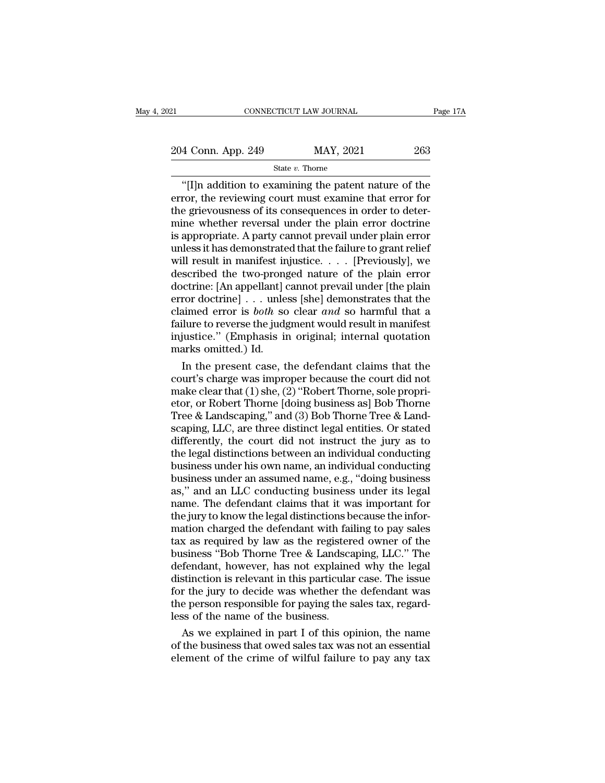21 CONNECTICUT LAW JOURNAL Page 17A<br>
204 Conn. App. 249 MAY, 2021 263

# State *v.* Thorne

CONNECTICUT LAW JOURNAL Page 17A<br>
4 Conn. App. 249 MAY, 2021 263<br>
State v. Thorne<br>
"[I]n addition to examining the patent nature of the<br>
ror, the reviewing court must examine that error for<br>
a griovousness of its consequen 204 Conn. App. 249 MAY, 2021 263<br>
State v. Thorne<br>
"[I]n addition to examining the patent nature of the<br>
error, the reviewing court must examine that error for<br>
the grievousness of its consequences in order to deter-<br>
min 204 Conn. App. 249 MAY, 2021 263<br>
State v. Thorne<br>
"[I]n addition to examining the patent nature of the<br>
error, the reviewing court must examine that error for<br>
the grievousness of its consequences in order to deter-<br>
min 204 Conn. App. 249 MAY, 2021 263<br>
State v. Thorne<br>
"[I]n addition to examining the patent nature of the<br>
error, the reviewing court must examine that error for<br>
the grievousness of its consequences in order to deter-<br>
min Solution 1.1 and the party of the state v. Thorne<br>
"[I]n addition to examining the patent nature of the<br>
error, the reviewing court must examine that error for<br>
the grievousness of its consequences in order to deter-<br>
min State v. Thorne<br>
"[I]n addition to examining the patent nature of the<br>
error, the reviewing court must examine that error for<br>
the grievousness of its consequences in order to deter-<br>
mine whether reversal under the plain "[I]n addition to examining the patent nature of the<br>error, the reviewing court must examine that error for<br>the grievousness of its consequences in order to deter-<br>mine whether reversal under the plain error doctrine<br>is a error, the reviewing court must examine that error for<br>the grievousness of its consequences in order to deter-<br>mine whether reversal under the plain error doctrine<br>is appropriate. A party cannot prevail under plain error<br>u the grievousness of its consequences in order to deter-<br>mine whether reversal under the plain error doctrine<br>is appropriate. A party cannot prevail under plain error<br>unless it has demonstrated that the failure to grant re mine whether reversal under the plain error doctrine<br>is appropriate. A party cannot prevail under plain error<br>unless it has demonstrated that the failure to grant relief<br>will result in manifest injustice. . . . [Previousl is appropriate. A party cannot prevail under plain error<br>unless it has demonstrated that the failure to grant relief<br>will result in manifest injustice.  $\dots$  [Previously], we<br>described the two-pronged nature of the plain e unless it has demonstrated that the failure to grant relief<br>will result in manifest injustice. . . . . [Previously], we<br>described the two-pronged nature of the plain error<br>doctrine: [An appellant] cannot prevail under [th will result in manifest injustice.... [Previously], we<br>described the two-pronged nature of the plain error<br>doctrine: [An appellant] cannot prevail under [the plain<br>error doctrine] ... unless [she] demonstrates that the<br>cl described the two-prong<br>doctrine: [An appellant] derror doctrine] . . . unle<br>claimed error is *both* so<br>failure to reverse the judg<br>injustice.'' (Emphasis in<br>marks omitted.) Id.<br>In the present case, t In the plane of the plane of the plane of the plane of doctrine] . . . unless [she] demonstrates that the aimed error is *both* so clear *and* so harmful that a llure to reverse the judgment would result in manifest justi error doctrine] . . . unless [she] demonstrates that the<br>claimed error is *both* so clear *and* so harmful that a<br>failure to reverse the judgment would result in manifest<br>injustice." (Emphasis in original; internal quotat

claimed error is *both* so clear *and* so harmful that a failure to reverse the judgment would result in manifest injustice." (Emphasis in original; internal quotation marks omitted.) Id.<br>In the present case, the defendan failure to reverse the judgment would result in manifest<br>injustice." (Emphasis in original; internal quotation<br>marks omitted.) Id.<br>In the present case, the defendant claims that the<br>court's charge was improper because the injustice." (Emphasis in original; internal quotation marks omitted.) Id.<br>
In the present case, the defendant claims that the court's charge was improper because the court did not make clear that (1) she, (2) "Robert Thor marks omitted.) Id.<br>
In the present case, the defendant claims that the<br>
court's charge was improper because the court did not<br>
make clear that (1) she, (2) "Robert Thorne, sole propri-<br>
etor, or Robert Thorne [doing busin In the present case, the defendant claims that the<br>court's charge was improper because the court did not<br>make clear that (1) she, (2) "Robert Thorne, sole propri-<br>etor, or Robert Thorne [doing business as] Bob Thorne<br>Tree court's charge was improper because the court did not<br>make clear that (1) she, (2) "Robert Thorne, sole propri-<br>etor, or Robert Thorne [doing business as] Bob Thorne<br>Tree & Landscaping," and (3) Bob Thorne Tree & Land-<br>sca make clear that (1) she, (2) "Robert Thorne, sole propri-<br>etor, or Robert Thorne [doing business as] Bob Thorne<br>Tree & Landscaping," and (3) Bob Thorne Tree & Land-<br>scaping, LLC, are three distinct legal entities. Or stat etor, or Robert Thorne [doing business as] Bob Thorne<br>Tree & Landscaping," and (3) Bob Thorne Tree & Land-<br>scaping, LLC, are three distinct legal entities. Or stated<br>differently, the court did not instruct the jury as to<br>t Tree & Landscaping," and  $(3)$  Bob Thorne Tree & Landscaping, LLC, are three distinct legal entities. Or stated differently, the court did not instruct the jury as to the legal distinctions between an individual conductin scaping, LLC, are three distinct legal entities. Or stated<br>differently, the court did not instruct the jury as to<br>the legal distinctions between an individual conducting<br>business under his own name, an individual conductin differently, the court did not instruct the jury as to<br>the legal distinctions between an individual conducting<br>business under his own name, an individual conducting<br>business under an assumed name, e.g., "doing business<br>as, the legal distinctions between an individual conducting<br>business under his own name, an individual conducting<br>business under an assumed name, e.g., "doing business<br>as," and an LLC conducting business under its legal<br>name. business under his own name, an individual conducting<br>business under an assumed name, e.g., "doing business<br>as," and an LLC conducting business under its legal<br>name. The defendant claims that it was important for<br>the jury business under an assumed name, e.g., "doing business<br>as," and an LLC conducting business under its legal<br>name. The defendant claims that it was important for<br>the jury to know the legal distinctions because the infor-<br>mati as," and an LLC conducting business under its legal<br>name. The defendant claims that it was important for<br>the jury to know the legal distinctions because the infor-<br>mation charged the defendant with failing to pay sales<br>tax name. The defendant claims that it was important for<br>the jury to know the legal distinctions because the infor-<br>mation charged the defendant with failing to pay sales<br>tax as required by law as the registered owner of the<br>b the jury to know the legal distinctions because the information charged the defendant with failing to pay sales<br>tax as required by law as the registered owner of the<br>business "Bob Thorne Tree & Landscaping, LLC." The<br>defen mation charged the defendant with failing to pay sales<br>tax as required by law as the registered owner of the<br>business "Bob Thorne Tree & Landscaping, LLC." The<br>defendant, however, has not explained why the legal<br>distinctio tax as required by law as the register<br>business "Bob Thorne Tree & Landsca<br>defendant, however, has not explaine<br>distinction is relevant in this particular<br>for the jury to decide was whether the<br>the person responsible for p siness "Bob Thorne Tree & Landscaping, LLC." The<br>fendant, however, has not explained why the legal<br>stinction is relevant in this particular case. The issue<br>r the jury to decide was whether the defendant was<br>e person respo defendant, however, has not explained why the legal<br>distinction is relevant in this particular case. The issue<br>for the jury to decide was whether the defendant was<br>the person responsible for paying the sales tax, regard-<br>l distinction is relevant in this particular case. The issue<br>for the jury to decide was whether the defendant was<br>the person responsible for paying the sales tax, regard-<br>less of the name of the business.<br>As we explained in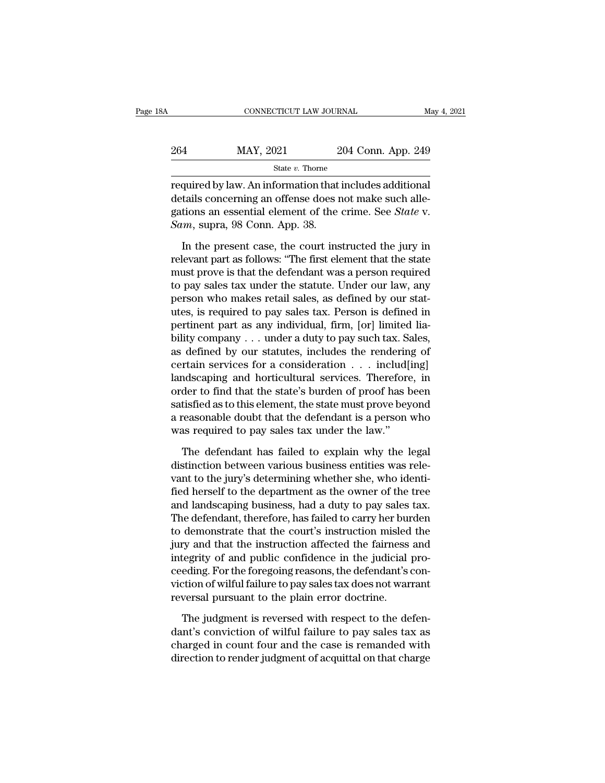| Α   | CONNECTICUT LAW JOURNAL |                    | May 4, 2021 |
|-----|-------------------------|--------------------|-------------|
|     |                         |                    |             |
| 264 | MAY, 2021               | 204 Conn. App. 249 |             |
|     | State $v$ . Thorne      |                    |             |

CONNECTICUT LAW JOURNAL May 4, 20<br>
264 MAY, 2021 204 Conn. App. 249<br>
304 State v. Thorne<br>
10204 Conn. App. 249<br>
204 Conn. App. 249<br>
204 Conn. App. 249<br>
204 Conn. App. 249<br>
204 Conn. App. 249<br>
204 Conn. App. 249<br>
204 Conn. 264 MAY, 2021 204 Conn. App. 249<br>  $\frac{\text{State } v. \text{ Thorne}}{\text{required by law. An information that includes additional  
details concerning an offers does not make such alle-  
gations an essential element of the crime. See *State v.*  
Sum. Q9 Conn. Ann. 29$ MAY, 2021 204 Conn. App. 249<br>
State v. Thome<br>
required by law. An information that includes additional<br>
details concerning an offense does not make such alle-<br>
gations an essential element of the crime. See *State* v.<br> *Sa* 264 MAY, 2021<br>
<sup>State v. Thorne</sup><br>
required by law. An information that<br>
details concerning an offense does r<br>
gations an essential element of the<br> *Sam*, supra, 98 Conn. App. 38.<br>
In the present case, the court ins State  $v$ . Thorne<br>
quired by law. An information that includes additional<br>
tails concerning an offense does not make such alle-<br>
tions an essential element of the crime. See *State* v.<br>  $m$ , supra, 98 Conn. App. 38.<br>
In t required by law. An information that includes additional<br>details concerning an offense does not make such alle-<br>gations an essential element of the crime. See *State* v.<br>*Sam*, supra, 98 Conn. App. 38.<br>In the present case,

details concerning an offense does not make such allegations an essential element of the crime. See *State* v.<br> *Sam*, supra, 98 Conn. App. 38.<br>
In the present case, the court instructed the jury in<br>
relevant part as follo gations an essential element of the crime. See *State* v.<br> *Sam*, supra, 98 Conn. App. 38.<br>
In the present case, the court instructed the jury in<br>
relevant part as follows: "The first element that the state<br>
must prove is *Sam*, supra, 98 Conn. App. 38.<br>In the present case, the court instructed the jury in relevant part as follows: "The first element that the state must prove is that the defendant was a person required to pay sales tax und In the present case, the court instructed the jury in<br>relevant part as follows: "The first element that the state<br>must prove is that the defendant was a person required<br>to pay sales tax under the statute. Under our law, an In the present case, the court instructed the jury in relevant part as follows: "The first element that the state must prove is that the defendant was a person required to pay sales tax under the statute. Under our law, a relevant part as follows: "The first element that the state<br>must prove is that the defendant was a person required<br>to pay sales tax under the statute. Under our law, any<br>person who makes retail sales, as defined by our sta must prove is that the defendant was a person required<br>to pay sales tax under the statute. Under our law, any<br>person who makes retail sales, as defined by our stat-<br>utes, is required to pay sales tax. Person is defined in<br> to pay sales tax under the statute. Under our law, any<br>person who makes retail sales, as defined by our stat-<br>utes, is required to pay sales tax. Person is defined in<br>pertinent part as any individual, firm, [or] limited li person who makes retail sales, as defined by our stat-<br>utes, is required to pay sales tax. Person is defined in<br>pertinent part as any individual, firm, [or] limited lia-<br>bility company . . . under a duty to pay such tax. S utes, is required to pay sales tax. Person is defined in<br>pertinent part as any individual, firm, [or] limited lia-<br>bility company . . . under a duty to pay such tax. Sales,<br>as defined by our statutes, includes the renderin pertinent part as any individual, firm, [or] limited lia-<br>bility company . . . under a duty to pay such tax. Sales,<br>as defined by our statutes, includes the rendering of<br>certain services for a consideration . . . includ[in bility company . . . under a duty to pay such tax. Sales,<br>as defined by our statutes, includes the rendering of<br>certain services for a consideration  $\ldots$  includ[ing]<br>landscaping and horticultural services. Therefore, in<br> as defined by our statutes, includes the rendering certain services for a consideration  $\ldots$  includ[1] landscaping and horticultural services. Therefore order to find that the state's burden of proof has b satisfied as t ndscaping and horticultural services. Therefore, in<br>der to find that the state's burden of proof has been<br>tisfied as to this element, the state must prove beyond<br>reasonable doubt that the defendant is a person who<br>as requi order to find that the state's burden of proof has been<br>satisfied as to this element, the state must prove beyond<br>a reasonable doubt that the defendant is a person who<br>was required to pay sales tax under the law."<br>The defe

satisfied as to this element, the state must prove beyond<br>a reasonable doubt that the defendant is a person who<br>was required to pay sales tax under the law."<br>The defendant has failed to explain why the legal<br>distinction be a reasonable doubt that the defendant is a person who<br>was required to pay sales tax under the law."<br>The defendant has failed to explain why the legal<br>distinction between various business entities was rele-<br>vant to the jury was required to pay sales tax under the law."<br>The defendant has failed to explain why the legal<br>distinction between various business entities was rele-<br>vant to the jury's determining whether she, who identi-<br>fied herself t The defendant has failed to explain why the legal<br>distinction between various business entities was rele-<br>vant to the jury's determining whether she, who identi-<br>fied herself to the department as the owner of the tree<br>and The defendant has failed to explain why the legal<br>distinction between various business entities was rele-<br>vant to the jury's determining whether she, who identi-<br>fied herself to the department as the owner of the tree<br>and distinction between various business entities was relevant to the jury's determining whether she, who identified herself to the department as the owner of the tree and landscaping business, had a duty to pay sales tax. The vant to the jury's determining whether she, who identified herself to the department as the owner of the tree<br>and landscaping business, had a duty to pay sales tax.<br>The defendant, therefore, has failed to carry her burden<br> fied herself to the department as the owner of the tree<br>and landscaping business, had a duty to pay sales tax.<br>The defendant, therefore, has failed to carry her burden<br>to demonstrate that the court's instruction misled the and landscaping business, had a duty to pay sales tax.<br>The defendant, therefore, has failed to carry her burden<br>to demonstrate that the court's instruction misled the<br>jury and that the instruction affected the fairness and The defendant, therefore, has failed to carry her bur<br>to demonstrate that the court's instruction misled<br>jury and that the instruction affected the fairness<br>integrity of and public confidence in the judicial<br>ceeding. For t ry and that the instruction affected the fairness and<br>tegrity of and public confidence in the judicial pro-<br>eding. For the foregoing reasons, the defendant's con-<br>tion of wilful failure to pay sales tax does not warrant<br>ve integrity of and public confidence in the judicial proceeding. For the foregoing reasons, the defendant's conviction of wilful failure to pay sales tax does not warrant reversal pursuant to the plain error doctrine.<br>The ju

ceeding. For the foregoing reasons, the defendant's conviction of wilful failure to pay sales tax does not warrant<br>reversal pursuant to the plain error doctrine.<br>The judgment is reversed with respect to the defen-<br>dant's c viction of wilful failure to pay sales tax does not warrant<br>reversal pursuant to the plain error doctrine.<br>The judgment is reversed with respect to the defen-<br>dant's conviction of wilful failure to pay sales tax as<br>charged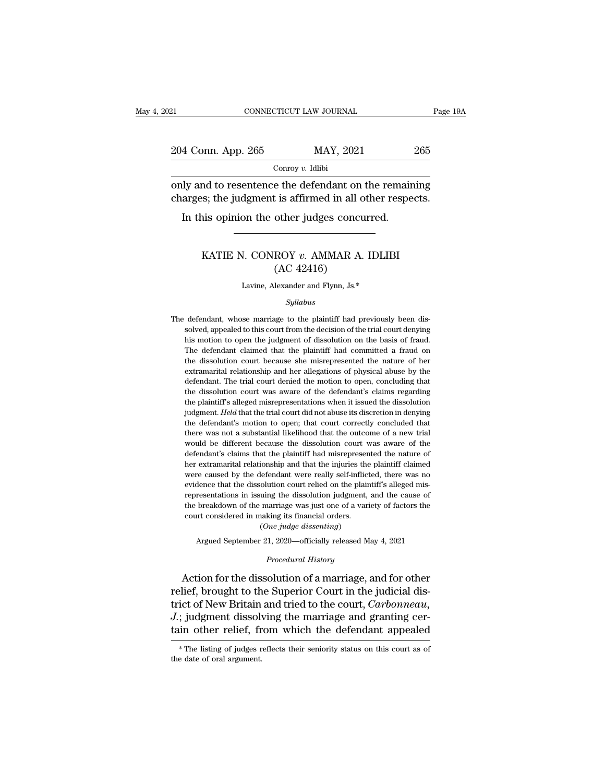| 121                                                                                                               | CONNECTICUT LAW JOURNAL                     | Page 19A |
|-------------------------------------------------------------------------------------------------------------------|---------------------------------------------|----------|
| 204 Conn. App. 265                                                                                                | MAY, 2021                                   | 265      |
|                                                                                                                   | Conroy $v$ . Idlibi                         |          |
| only and to resentence the defendant on the remaining<br>charges; the judgment is affirmed in all other respects. |                                             |          |
|                                                                                                                   | In this opinion the other judges concurred. |          |

med to resentence the defendant on the remaining<br>
is; the judgment is affirmed in all other respects.<br>
is opinion the other judges concurred.<br> **KATIE N. CONROY** *v***. AMMAR A. IDLIBI**<br>
(AC 42416)

# t is affirmed in all of<br>t is affirmed in all of<br>other judges concu<br>NOY v. AMMAR A.<br>(AC 42416)<br>lexander and Flynn, Js.\* KATIE N. CONROY  $v$ . AMMAR A. IDLIBI<br>(AC 42416)<br>Lavine, Alexander and Flynn, Js.\*

## *Syllabus*

 $\rm (AC~42416)$ <br>Lavine, Alexander and Flynn, Js.\*<br> $Syllabus$ <br>The defendant, whose marriage to the plaintiff had previously been dis-<br>solved, appealed to this court from the decision of the trial court denying Example 1997 (AC 42410)<br>Lavine, Alexander and Flynn, Js.\*<br>Syllabus<br>defendant, whose marriage to the plaintiff had previously been dis-<br>solved, appealed to this court from the decision of the trial court denying<br>his motion Lavine, Alexander and Flynn, Js. $*$ <br>  $Syllabus$ <br>
defendant, whose marriage to the plaintiff had previously been dissolved, appealed to this court from the decision of the trial court denying<br>
his motion to open the judgment of  $Syllabus$ <br>defendant, whose marriage to the plaintiff had previously been dissolved, appealed to this court from the decision of the trial court denying<br>his motion to open the judgment of dissolution on the basis of fraud.<br>The Syllabus<br>defendant, whose marriage to the plaintiff had previously been dis-<br>solved, appealed to this court from the decision of the trial court denying<br>his motion to open the judgment of dissolution on the basis of fraud. defendant, whose marriage to the plaintiff had previously been dissolved, appealed to this court from the decision of the trial court denying his motion to open the judgment of dissolution on the basis of fraud. The defend solved, appealed to this court from the decision of the trial court denying<br>his motion to open the judgment of dissolution on the basis of fraud.<br>The defendant claimed that the plaintiff had committed a fraud on<br>the dissol his motion to open the judgment of dissolution on the basis of fraud. The defendant claimed that the plaintiff had committed a fraud on the dissolution court because she misrepresented the nature of her extramarital relat The defendant claimed that the plaintiff had committed a fraud on<br>the dissolution court because she misrepresented the nature of her<br>extramarital relationship and her allegations of physical abuse by the<br>defendant. The tr the dissolution court because she misrepresented the nature of her extramarital relationship and her allegations of physical abuse by the defendant. The trial court denied the motion to open, concluding that the dissolution court was aware of the defendant's claims regarding the plaintif defendant. The trial court denied the motion to open, concluding that<br>the dissolution court was aware of the defendant's claims regarding<br>the plaintiff's alleged misrepresentations when it issued the dissolution<br>judgment. the dissolution court was aware of the defendant's claims regarding<br>the plaintiff's alleged misrepresentations when it issued the dissolution<br>judgment. Held that the trial court did not abuse its discretion in denying<br>the the plaintiff's alleged misrepresentations when it issued the dissolution<br>indigment. Held that the trial court did not abuse its discretion in denying<br>the defendant's motion to open; that court correctly concluded that<br>the in the matter and the trial court did not abuse its discretion in denying<br>indigment. Held that the trial court did not abuse its discretion in denying<br>the defendant's motion to open; that court correctly concluded that<br>the were defendant's motion to open; that court correctly concluded that there was not a substantial likelihood that the outcome of a new trial would be different because the dissolution court was aware of the defendant's clai there was not a substantial likelihood that the outcome of a new trial would be different because the dissolution court was aware of the defendant's claims that the plaintiff had misrepresented the nature of her extramarit would be different because the dissolution court was aware of the defendant's claims that the plaintiff had misrepresented the nature of her extramarital relationship and that the injuries the plaintiff claimed were caused defendant's claims that the plaintiff had misrepresented the nature of<br>her extramarital relationship and that the injuries the plaintiff claimed<br>were caused by the defendant were really self-inflicted, there was no<br>evidenc her extramarital relationship and that the injuries the plaintiff claimed were caused by the defendant were really self-inflicted, there was no evidence that the dissolution court relied on the plaintiff's alleged mis-<br>re % were caused by the defendant were really self-inflicted, there was no evidence that the dissolution court relied on the plaintiff's alleged mis-<br>representations in issuing the dissolution judgment, and the cause of<br>the dence that the dissolution court relied on the plaintiff's alleged mis-<br>resentations in issuing the dissolution judgment, and the cause of<br>breakdown of the marriage was just one of a variety of factors the<br>urt considered i the breakdown of the marriage was just one of a variety of factors the<br>court considered in making its financial orders.<br>(One judge dissenting)<br>Argued September 21, 2020—officially released May 4, 2021<br>*Procedural History*<br>

representations in issuing the the dissolution judgment, and the cause of<br>the breakdown of the marriage was just one of a variety of factors the<br>court considered in making its financial orders.<br>(One judge dissenting)<br>Argue court considered in making its financial orders.<br>
(One judge dissenting)<br>
Argued September 21, 2020—officially released May 4, 2021<br>
Procedural History<br>
Action for the dissolution of a marriage, and for other<br>
relief, brou (*One judge dissenting*)<br>
Argued September 21, 2020—officially released May 4, 2021<br> *Procedural History*<br>
Action for the dissolution of a marriage, and for other<br>
relief, brought to the Superior Court in the judicial dis-Argued September 21, 2020—officially released May 4, 2021<br> *Procedural History*<br> **Action for the dissolution of a marriage, and for other relief, brought to the Superior Court in the judicial dis-<br>
trict of New Britain and** Procedural History<br>Action for the dissolution of a marriage, and for other<br>relief, brought to the Superior Court in the judicial dis-<br>trict of New Britain and tried to the court, *Carbonneau*,<br>J.; judgment dissolving the m ellet, brought to the Supernor Court in the judicial dis-<br>ict of New Britain and tried to the court, *Carbonneau*,<br>; judgment dissolving the marriage and granting cer-<br>in other relief, from which the defendant appealed<br>\*Th trict of New Britain<br>J.; judgment dissolv<br>tain other relief, fr<br>\*The listing of judges r<br>the date of oral argument.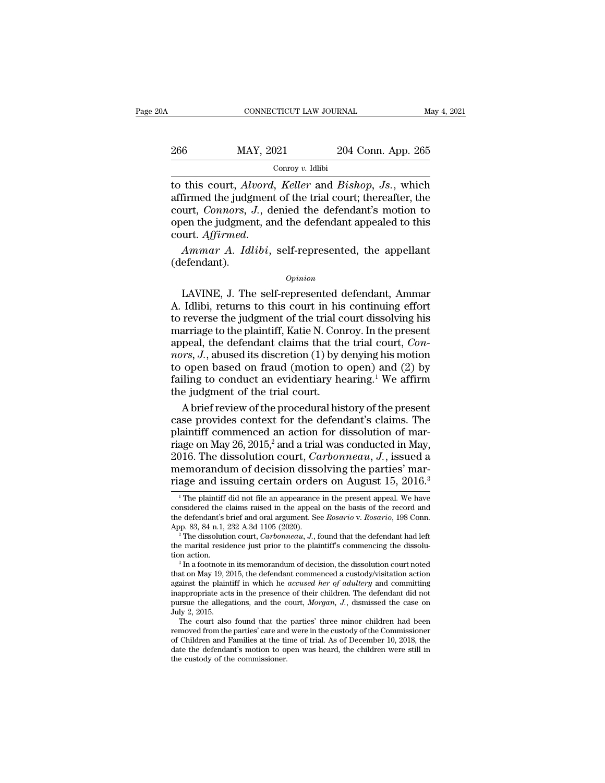| ЭA  | CONNECTICUT LAW JOURNAL |                    | May 4, 2021 |
|-----|-------------------------|--------------------|-------------|
| 266 | MAY, 2021               | 204 Conn. App. 265 |             |
|     | Conroy $v$ . Idlibi     |                    |             |

THE CONNECTICUT LAW JOURNAL<br>
266 MAY, 2021 204 Conn. App. 265<br>
Conroy v. Idlibi<br>
204 Conn. App. 265<br>
2011 204 Conn. App. 265<br>
2011 2011 2012 11 2012 11 2012 11:30<br>
2011 2011 2011 2012 12:41<br>
2011 2011 2012 12:51<br>
2011 2012 266 MAY, 2021 204 Conn. App. 265<br>
conroy v. Idlibi<br>
to this court, *Alvord*, *Keller* and *Bishop*, *Js.*, which<br>
affirmed the judgment of the trial court; thereafter, the<br>
court, *Connors*, *J.*, denied the defendant's m 266 MAY, 2021 204 Conn. App. 265<br>
Conroy v. Idlibi<br>
to this court, *Alvord*, *Keller* and *Bishop*, *Js.*, which<br>
affirmed the judgment of the trial court; thereafter, the<br>
court, *Connors*, *J.*, denied the defendant's mo 266 MAY, 2021 204 Conn. App. 265<br>
Conroy v. Idlibi<br>
to this court, *Alvord*, *Keller* and *Bishop*, *Js.*, which<br>
affirmed the judgment of the trial court; thereafter, the<br>
court, *Connors*, *J.*, denied the defendant's m conroy v. labb<br>to this court, *Alvord*, *Keller* and *Bishop*, *Js.*, which<br>affirmed the judgment of the trial court; thereafter, the<br>court, *Connors*, *J.*, denied the defendant's motion to<br>open the judgment, and the defe

(defendant).

# *Opinion*

dri, Comors, D., denied the defendant s motion to<br>
en the judgment, and the defendant appealed to this<br>
urt. *Affirmed.*<br>
Ammar A. *Idlibi*, self-represented, the appellant<br>
efendant).<br>
Opinion<br>
LAVINE, J. The self-represe open are jaughtent, and the determinant appeared to this<br>court. Affirmed.<br>Ammar A. Idlibi, self-represented, the appellant<br>(defendant).<br>Depinion<br>LAVINE, J. The self-represented defendant, Ammar<br>A. Idlibi, returns to this c Ammar A. Idlibi, self-represented, the appellant<br>
(defendant).<br>  $opinion$ <br>
LAVINE, J. The self-represented defendant, Ammar<br>
A. Idlibi, returns to this court in his continuing effort<br>
to reverse the judgment of the trial court Ammar A. Idlibi, self-represented, the appellant<br>
(defendant).<br>  $\qquad$ <br>
LAVINE, J. The self-represented defendant, Ammar<br>
A. Idlibi, returns to this court in his continuing effort<br>
to reverse the judgment of the trial cour opinion<br>
LAVINE, J. The self-represented defendant, Ammar<br>
A. Idlibi, returns to this court in his continuing effort<br>
to reverse the judgment of the trial court dissolving his<br>
marriage to the plaintiff, Katie N. Conroy. I *Opinion*<br> *LAVINE, J.* The self-represented defendant, Ammar<br>
A. Idlibi, returns to this court in his continuing effort<br>
to reverse the judgment of the trial court dissolving his<br>
marriage to the plaintiff, Katie N. Conro LAVINE, J. The self-represented defendant, Ammar<br>A. Idlibi, returns to this court in his continuing effort<br>to reverse the judgment of the trial court dissolving his<br>marriage to the plaintiff, Katie N. Conroy. In the prese A. Idlibi, returns to this court in his continuing effort<br>to reverse the judgment of the trial court dissolving his<br>marriage to the plaintiff, Katie N. Conroy. In the present<br>appeal, the defendant claims that the trial co to reverse the judgment of the trial container to reverse the judgment of the trial comarriage to the plaintiff, Katie N. Con appeal, the defendant claims that th *nors*, *J*., abused its discretion (1) by court to open ba arriage to the plaintiff, Katie N. Conroy. In the present<br>peal, the defendant claims that the trial court, *Con-*<br> $rs$ , *J*., abused its discretion (1) by denying his motion<br>open based on fraud (motion to open) and (2) by<br> appeal, the defendant claims that the trial court, *Connors*, *J*., abused its discretion (1) by denying his motion<br>to open based on fraud (motion to open) and (2) by<br>failing to conduct an evidentiary hearing.<sup>1</sup> We affir

*nors, J.*, abused its discretion (1) by denying his motion<br>to open based on fraud (motion to open) and (2) by<br>failing to conduct an evidentiary hearing.<sup>1</sup> We affirm<br>the judgment of the trial court.<br>A brief review of the to open based on fraud (motion to open) and (2) by<br>failing to conduct an evidentiary hearing.<sup>1</sup> We affirm<br>the judgment of the trial court.<br>A brief review of the procedural history of the present<br>case provides context for failing to conduct an evidentiary hearing.<sup>1</sup> We affirm<br>the judgment of the trial court.<br>A brief review of the procedural history of the present<br>case provides context for the defendant's claims. The<br>plaintiff commenced an the judgment of the trial court.<br>A brief review of the procedural history of the present<br>case provides context for the defendant's claims. The<br>plaintiff commenced an action for dissolution of mar-<br>riage on May 26, 2015,<sup>2</sup> A brief review of the procedural history of the present<br>case provides context for the defendant's claims. The<br>plaintiff commenced an action for dissolution of mar-<br>riage on May 26, 2015,<sup>2</sup> and a trial was conducted in Ma riage on May 26, 2015,<sup>2</sup> and a trial was conducted in May, 2016. The dissolution court, *Carbonneau*, *J*., issued a memorandum of decision dissolving the parties' marriage and issuing certain orders on August 15, 2016.<sup></sup> 2016. The dissolution court, *Carbonneau*, *J*., issued a<br>memorandum of decision dissolving the parties' mar-<br>riage and issuing certain orders on August 15, 2016.<sup>3</sup><br><sup>1</sup>The plaintiff did not file an appearance in the pres

EUTO. The dissolution Court, Carloonhead, J., issued a<br>memorandum of decision dissolving the parties' mar-<br>riage and issuing certain orders on August 15, 2016.<sup>3</sup><br><sup>1</sup>The plaintiff did not file an appearance in the present memorandum of decision dissolving the parties' marriage and issuing certain orders on August 15, 2016.<sup>3</sup><br><sup>1</sup>The plaintiff did not file an appearance in the present appeal. We have considered the claims raised in the appea <sup>1</sup> The plaintiff did not file an appearance in the present appeal. We have considered the claims raised in the appeal on the basis of the record and the defendant's brief and oral argument. See *Rosario* v. *Rosario*, 19

<sup>&</sup>lt;sup>2</sup> The dissolution court, *Carbonneau*, *J*., found that the defendant had left the marital residence just prior to the plaintiff's commencing the dissolution action.<br><sup>3</sup> In a footnote in its memorandum of decision, the

the defendant's brief and oral argument. See *Rosario* v. *Rosario*, 198 Conn.<br>App. 83, 84 n.1, 232 A.3d 1105 (2020).<br><sup>2</sup> The dissolution court, *Carbonneau*, *J*., found that the defendant had left<br>the marital residence App. 83, 84 n.1, 232 A.3d 1105 (2020).<br><sup>2</sup> The dissolution court, *Carbonneau*, *J.*, found that the defendant had left<br>the marital residence just prior to the plaintiff's commencing the dissolu-<br>tion action.<br><sup>3</sup> In a foot <sup>2</sup> The dissolution court, *Carbonneau*, *J*., found that the defendant had left<br>the marital residence just prior to the plaintiff's commencing the dissolu-<br>tion action.<br><sup>3</sup> In a footnote in its memorandum of decision, th the marital residence just prior to the plaintiff's commencing the dissolution action.<br><sup>3</sup> In a footnote in its memorandum of decision, the dissolution court noted that on May 19, 2015, the defendant commenced a custody/vi tion action.<br>
<sup>3</sup> In a footnote in<br>
that on May 19, 20<br>
against the plaint<br>
inappropriate act<br>
pursue the allega<br>
July 2, 2015.<br>
The court also<br>
Pursue also <sup>3</sup> In a footnote in its memorandum of decision, the dissolution court noted<br>at on May 19, 2015, the defendant commenced a custody/visitation action<br>ainst the plaintiff in which he *accused her of adultery* and committing that on May 19, 2015, the defendant commenced a custody/visitation action against the plaintiff in which he *accused her of adultery* and committing inappropriate acts in the presence of their children. The defendant did

against the plaintiff in which he *accused her of adultery* and committing inappropriate acts in the presence of their children. The defendant did not pursue the allegations, and the court, *Morgan*, *J*., dismissed the c inappropriate acts in the presence of their children. The defendant did not<br>pursue the allegations, and the court, *Morgan*, *J*., dismissed the case on<br>July 2, 2015.<br>The court also found that the parties' three minor chi July 2, 2015.<br>The court also found that the parties' three minor children had been<br>removed from the parties' care and were in the custody of the Commissioner<br>of Children and Families at the time of trial. As of December 10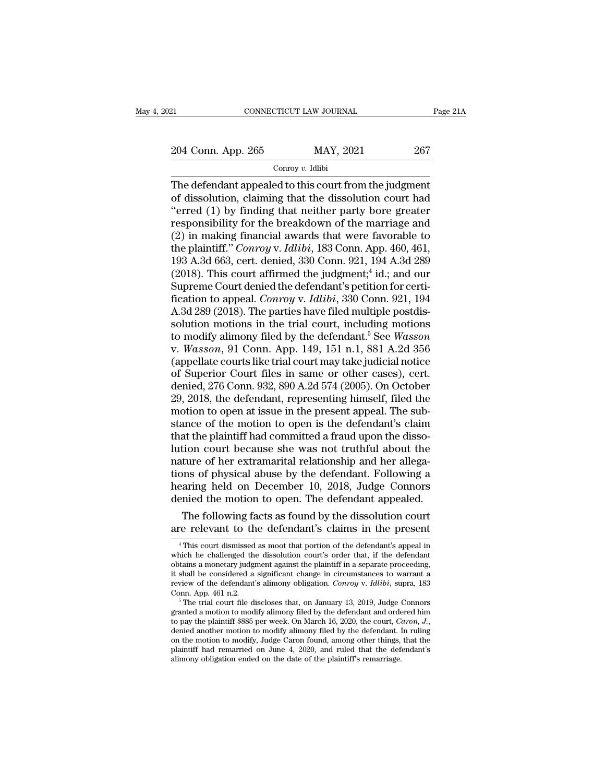## Conroy *v.* Idlibi

EXECTE AN JOURNAL Page 21.<br>
204 Conn. App. 265 MAY, 2021 267<br>
Conroy v. Idlibi<br>
267<br>
The defendant appealed to this court from the judgment<br>
of dissolution, claiming that the dissolution court had<br>
"orred (1) by finding t  $\frac{204 \text{ Conn. App. 265}}{\text{Convov } v. \text{ Idibi}}$ <br>
The defendant appealed to this court from the judgment<br>
of dissolution, claiming that the dissolution court had<br>
"erred (1) by finding that neither party bore greater<br>
responsibility fo 204 Conn. App. 265 MAY, 2021 267<br>
Conroy v. Idlibi<br>
The defendant appealed to this court from the judgment<br>
of dissolution, claiming that the dissolution court had<br>
"erred (1) by finding that neither party bore greater<br>
r 204 Conn. App. 265 MAY, 2021 267<br>
Conroy v. Idlibi<br>
The defendant appealed to this court from the judgment<br>
of dissolution, claiming that the dissolution court had<br>
"erred (1) by finding that neither party bore greater<br>
r (2) in making financial awards that were favorable to the plaintif." Conroy v. Idlibit<br>
"The defendant appealed to this court from the judgment<br>
of dissolution, claiming that the dissolution court had<br>
"erred (1) by findi Conroy *v*. Idlibi<br>The defendant appealed to this court from the judgment<br>of dissolution, claiming that the dissolution court had<br>"erred (1) by finding that neither party bore greater<br>responsibility for the breakdown of th The defendant appealed to this court from the judgment<br>of dissolution, claiming that the dissolution court had<br>"erred (1) by finding that neither party bore greater<br>responsibility for the breakdown of the marriage and<br>(2) of dissolution, claiming that the dissolution court had<br>
"erred (1) by finding that neither party bore greater<br>
responsibility for the breakdown of the marriage and<br>
(2) in making financial awards that were favorable to<br> n court had<br>ore greater<br>arriage and<br>avorable to<br>pp. 460, 461,<br>94 A.3d 289<br>id.; and our<br>on for certi-<br>nn\_921\_194 "erred (1) by finding that neither party bore greater<br>responsibility for the breakdown of the marriage and<br>(2) in making financial awards that were favorable to<br>the plaintiff." *Conroy* v. *Idlibi*, 183 Conn. App. 460, 46 responsibility for the breakdown of the marriage and<br>(2) in making financial awards that were favorable to<br>the plaintiff." *Conroy* v. *Idlibi*, 183 Conn. App. 460, 461,<br>193 A.3d 663, cert. denied, 330 Conn. 921, 194 A.3d (2) in making financial awards that were favorable to<br>the plaintiff." *Conroy* v. *Idlibi*, 183 Conn. App. 460, 461,<br>193 A.3d 663, cert. denied, 330 Conn. 921, 194 A.3d 289<br>(2018). This court affirmed the judgment;<sup>4</sup> id. the plaintiff." *Conroy v. Idlibi*, 183 Conn. App. 460, 461, 193 A.3d 663, cert. denied, 330 Conn. 921, 194 A.3d 289 (2018). This court affirmed the judgment;<sup>4</sup> id.; and our Supreme Court denied the defendant's petition 193 A.3d 663, cert. denied, 330 Conn. 921, 194 A.3d 289 (2018). This court affirmed the judgment;<sup>4</sup> id.; and our Supreme Court denied the defendant's petition for certification to appeal. *Conroy v. Idlibi*, 330 Conn. 92 (2018). This court affirmed the judgment,<sup>4</sup> id.; and our<br>Supreme Court denied the defendant's petition for certi-<br>fication to appeal. *Conroy v. Idlibi*, 330 Conn. 921, 194<br>A.3d 289 (2018). The parties have filed multiple Supreme Court denied the defendant's petition for certi-<br>fication to appeal. *Conroy v. Idlibi*, 330 Conn. 921, 194<br>A.3d 289 (2018). The parties have filed multiple postdis-<br>solution motions in the trial court, including fication to appeal. *Conroy* v. *Idlibi*, 330 Conn. 921, 194<br>A.3d 289 (2018). The parties have filed multiple postdis-<br>solution motions in the trial court, including motions<br>to modify alimony filed by the defendant.<sup>5</sup> See A.3d 289 (2018). The parties have filed multiple postdissolution motions in the trial court, including motions<br>to modify alimony filed by the defendant.<sup>5</sup> See *Wasson*<br>v. *Wasson*, 91 Conn. App. 149, 151 n.1, 881 A.2d 356 solution motions in the trial court, including motions<br>to modify alimony filed by the defendant.<sup>5</sup> See *Wasson*<br>v. *Wasson*, 91 Conn. App. 149, 151 n.1, 881 A.2d 356<br>(appellate courts like trial court may take judicial no to modify alimony filed by the defendant.<sup>5</sup> See *Wasson* v. *Wasson*, 91 Conn. App. 149, 151 n.1, 881 A.2d 356 (appellate courts like trial court may take judicial notice of Superior Court files in same or other cases), v. *Wasson*, 91 Conn. App. 149, 151 n.1, 881 A.2d 356<br>(appellate courts like trial court may take judicial notice<br>of Superior Court files in same or other cases), cert.<br>denied, 276 Conn. 932, 890 A.2d 574 (2005). On Octobe (appellate courts like trial court may take judicial notice<br>of Superior Court files in same or other cases), cert.<br>denied, 276 Conn. 932, 890 A.2d 574 (2005). On October<br>29, 2018, the defendant, representing himself, file of Superior Court files in same or other cases), cert.<br>denied, 276 Conn. 932, 890 A.2d 574 (2005). On October<br>29, 2018, the defendant, representing himself, filed the<br>motion to open at issue in the present appeal. The subdenied, 276 Conn. 932, 890 A.2d 574 (2005). On October 29, 2018, the defendant, representing himself, filed the motion to open at issue in the present appeal. The substance of the motion to open is the defendant's claim th 29, 2018, the defendant, representing himself, filed the<br>motion to open at issue in the present appeal. The sub-<br>stance of the motion to open is the defendant's claim<br>that the plaintiff had committed a fraud upon the disso motion to open at issue in the present appeal. The substance of the motion to open is the defendant's claim<br>that the plaintiff had committed a fraud upon the disso-<br>lution court because she was not truthful about the<br>natur stance of the motion to open is the defendant's claim<br>that the plaintiff had committed a fraud upon the disso-<br>lution court because she was not truthful about the<br>nature of her extramarital relationship and her allega-<br>tio at the plaintiff had committed a fraud upon the dissotion court because she was not truthful about the ture of her extramarital relationship and her allegans of physical abuse by the defendant. Following a aring held on De Iution court because she was not truthful about the<br>nature of her extramarital relationship and her allega-<br>tions of physical abuse by the defendant. Following a<br>hearing held on December 10, 2018, Judge Connors<br>denied the

earing neid on December 10, 2018, Judge Connors<br>enied the motion to open. The defendant appealed.<br>The following facts as found by the dissolution court<br>re relevant to the defendant's claims in the present<br><sup>4</sup>This court dis denied the motion to open. The defendant appealed.<br>The following facts as found by the dissolution court<br>are relevant to the defendant's claims in the present<br><sup>4</sup>This court dismissed as moot that portion of the defendant's The following facts as found by the dissolution court<br>are relevant to the defendant's claims in the present<br> $\frac{4}{10}$  This court dismissed as moot that portion of the defendant's appeal in<br>which he challenged the dissolu The following facts as found by the dissolution court<br>are relevant to the defendant's claims in the present<br> $\frac{4}{1}$  This court dismissed as moot that portion of the defendant's appeal in<br>which he challenged the dissolut are relevant to the defendant's claims in the present<br>
<sup>4</sup> This court dismissed as moot that portion of the defendant's appeal in<br>
which he challenged the dissolution court's order that, if the defendant<br>
obtains a monetar <sup>4</sup> This court dismissed as moot that portion of the defendant's appeal in which he challenged the dissolution court's order that, if the defendant obtains a monetary judgment against the plaintiff in a separate proceedin which he challenged the dissolution court's order that, if the defendant obtains a monetary judgment against the plaintiff in a separate proceeding, it shall be considered a significant change in circumstances to warrant

obtains a monetary judgment against the plaintiff in a separate proceeding,<br>it shall be considered a significant change in circumstances to warrant a<br>review of the defendant's alimony obligation. *Conroy v. Idlibi*, supra, review of the defendant's alimony obligation. *Conroy* v. *Idlibi*, supra, 183<br>Conn. App. 461 n.2.<br><sup>5</sup> The trial court file discloses that, on January 13, 2019, Judge Connors<br>granted a motion to modify alimony filed by the Conn. App. 461 n.2.<br>
<sup>5</sup> The trial court file discloses that, on January 13, 2019, Judge Connors<br>
granted a motion to modify alimony filed by the defendant and ordered him<br>
to pay the plaintiff \$885 per week. On March 16, <sup>5</sup> The trial court file discloses that, on January 13, 2019, Judge granted a motion to modify alimony filed by the defendant and order to pay the plaintiff \$885 per week. On March 16, 2020, the court,  $C$  denied another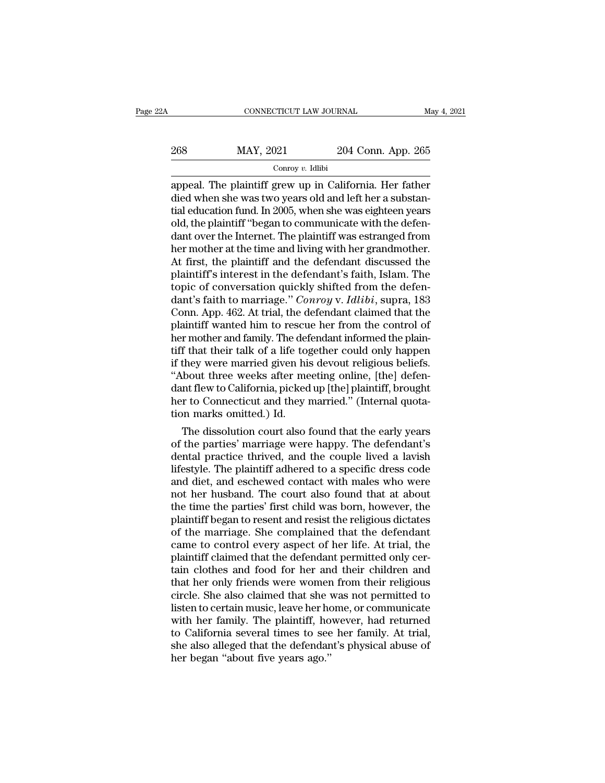| 2Α  | CONNECTICUT LAW JOURNAL |                    | May 4, 2021 |
|-----|-------------------------|--------------------|-------------|
| 268 | MAY, 2021               | 204 Conn. App. 265 |             |
|     | Conroy $v$ . Idlibi     |                    |             |

CONNECTICUT LAW JOURNAL May 4, 2021<br>
2013 2014 2016 2016<br>
2014 Conn. App. 265<br>
2014 Conn. App. 265<br>
2014 Conn. App. 265<br>
2015 2016 2016 2016 2017 2018<br>
2016 2017 2018 2018 2019 2016 2017 2018<br>
2019 2016 2017 2016 2018 201 268 MAY, 2021 204 Conn. App. 265<br>  $\frac{1}{2}$  Conroy v. Idibi<br>
appeal. The plaintiff grew up in California. Her father<br>
died when she was two years old and left her a substantial<br>
education fund. In 2005, when she was eight 268 MAY, 2021 204 Conn. App. 265<br>  $\frac{\text{Conv } v. \text{ Idlibi}}{\text{2005}}$ <br>
appeal. The plaintiff grew up in California. Her father<br>
died when she was two years old and left her a substantial<br>
education fund. In 2005, when she was eigh 268 MAY, 2021 204 Conn. App. 265<br>  $\frac{1}{2}$  Conroy v. Idlibi<br>
appeal. The plaintiff grew up in California. Her father<br>
died when she was two years old and left her a substantial<br>
education fund. In 2005, when she was eigh Concord over the Internet. The plaintiff grew up in California. Her father<br>died when she was two years old and left her a substantial education fund. In 2005, when she was eighteen years<br>old, the plaintiff "began to commu  $\frac{\text{Conv } v. \text{ Idibi}}{\text{appended when she was two years old and left her a substantial education fund. In 2005, when she was eighteen years old, the plaintiff "begin to communicate with the defendant over the Internet. The plaintiff was estranged from her mother at the time and living with her grandmother. At first, the plaintiff and the defendant discussed the plaintiff's interest in the defendant's faith.$ appeal. The plaintiff grew up in California. Her father<br>died when she was two years old and left her a substantial education fund. In 2005, when she was eighteen years<br>old, the plaintiff "began to communicate with the defe died when she was two years old and left her a substantial education fund. In 2005, when she was eighteen years<br>old, the plaintiff "began to communicate with the defen-<br>dant over the Internet. The plaintiff was estranged f tial education fund. In 2005, when she was eighteen years<br>old, the plaintiff "began to communicate with the defen-<br>dant over the Internet. The plaintiff was estranged from<br>her mother at the time and living with her grandmo old, the plaintiff "began to communicate with the defen-<br>dant over the Internet. The plaintiff was estranged from<br>her mother at the time and living with her grandmother.<br>At first, the plaintiff and the defendant discussed dant over the Internet. The plaintiff was estranged from<br>her mother at the time and living with her grandmother.<br>At first, the plaintiff and the defendant discussed the<br>plaintiff's interest in the defendant's faith, Islam. her mother at the time and living with her grandmother.<br>At first, the plaintiff and the defendant discussed the<br>plaintiff's interest in the defendant's faith, Islam. The<br>topic of conversation quickly shifted from the defen At first, the plaintiff and the defendant discussed the plaintiff's interest in the defendant's faith, Islam. The topic of conversation quickly shifted from the defendant's faith to marriage." *Conroy v. Idlibi*, supra, 18 plaintiff's interest in the defendant's faith, Islam. The<br>topic of conversation quickly shifted from the defen-<br>dant's faith to marriage." *Conroy v. Idlibi*, supra, 183<br>Conn. App. 462. At trial, the defendant claimed that topic of conversation quickly shifted from the defendant's faith to marriage." *Conroy v. Idlibi*, supra, 183<br>Conn. App. 462. At trial, the defendant claimed that the<br>plaintiff wanted him to rescue her from the control of<br> dant's faith to marriage." *Conroy* v. *Idlibi*, supra, 183<br>Conn. App. 462. At trial, the defendant claimed that the<br>plaintiff wanted him to rescue her from the control of<br>her mother and family. The defendant informed the Conn. App. 462. At trial, the defendant claimed that the plaintiff wanted him to rescue her from the control of her mother and family. The defendant informed the plaintiff that their talk of a life together could only happ plaintiff wanted him to rescue her from the control of<br>her mother and family. The defendant informed the plain-<br>tiff that their talk of a life together could only happen<br>if they were married given his devout religious beli her mother and family. The def<br>tiff that their talk of a life tog<br>if they were married given his<br>"About three weeks after me<br>dant flew to California, picked<br>her to Connecticut and they i<br>tion marks omitted.) Id.<br>The dissol I that their talk of a life together could only happen<br>they were married given his devout religious beliefs.<br>bout three weeks after meeting online, [the] defen-<br>nt flew to California, picked up [the] plaintiff, brought<br>r t If they were married given his devout religious beliefs.<br>
"About three weeks after meeting online, [the] defendant flew to California, picked up [the] plaintiff, brought<br>
her to Connecticut and they married." (Internal quo

"About three weeks after meeting online, [the] defendant flew to California, picked up [the] plaintiff, brought<br>her to Connecticut and they married." (Internal quotation marks omitted.) Id.<br>The dissolution court also foun dant flew to California, picked up [the] plaintiff, brought<br>her to Connecticut and they married." (Internal quota-<br>tion marks omitted.) Id.<br>The dissolution court also found that the early years<br>of the parties' marriage wer her to Connecticut and they married." (Internal quotation marks omitted.) Id.<br>The dissolution court also found that the early years<br>of the parties' marriage were happy. The defendant's<br>dental practice thrived, and the coup tion marks omitted.) Id.<br>
The dissolution court also found that the early years<br>
of the parties' marriage were happy. The defendant's<br>
dental practice thrived, and the couple lived a lavish<br>
lifestyle. The plaintiff adhere The dissolution court also found that the early years<br>of the parties' marriage were happy. The defendant's<br>dental practice thrived, and the couple lived a lavish<br>lifestyle. The plaintiff adhered to a specific dress code<br>an of the parties' marriage were happy. The defendant's<br>dental practice thrived, and the couple lived a lavish<br>lifestyle. The plaintiff adhered to a specific dress code<br>and diet, and eschewed contact with males who were<br>not h dental practice thrived, and the couple lived a lavish<br>lifestyle. The plaintiff adhered to a specific dress code<br>and diet, and eschewed contact with males who were<br>not her husband. The court also found that at about<br>the ti lifestyle. The plaintiff adhered to a specific dress code<br>and diet, and eschewed contact with males who were<br>not her husband. The court also found that at about<br>the time the parties' first child was born, however, the<br>plai and diet, and eschewed contact with males who were<br>not her husband. The court also found that at about<br>the time the parties' first child was born, however, the<br>plaintiff began to resent and resist the religious dictates<br>of not her husband. The court also found that at about<br>the time the parties' first child was born, however, the<br>plaintiff began to resent and resist the religious dictates<br>of the marriage. She complained that the defendant<br>ca the time the parties' first child was born, however, the plaintiff began to resent and resist the religious dictates of the marriage. She complained that the defendant came to control every aspect of her life. At trial, th plaintiff began to resent and resist the religious dictates<br>of the marriage. She complained that the defendant<br>came to control every aspect of her life. At trial, the<br>plaintiff claimed that the defendant permitted only cer of the marriage. She complained that the defendant<br>came to control every aspect of her life. At trial, the<br>plaintiff claimed that the defendant permitted only cer-<br>tain clothes and food for her and their children and<br>that came to control every aspect of her life. At trial, the plaintiff claimed that the defendant permitted only certain clothes and food for her and their children and that her only friends were women from their religious circ plaintiff claimed that the defendant permitted only certain clothes and food for her and their children and that her only friends were women from their religious circle. She also claimed that she was not permitted to liste tain clothes and food for her and their children and<br>that her only friends were women from their religious<br>circle. She also claimed that she was not permitted to<br>listen to certain music, leave her home, or communicate<br>with that her only friends were womer<br>circle. She also claimed that she<br>listen to certain music, leave her ho<br>with her family. The plaintiff, ho<br>to California several times to see<br>she also alleged that the defendar<br>her began "a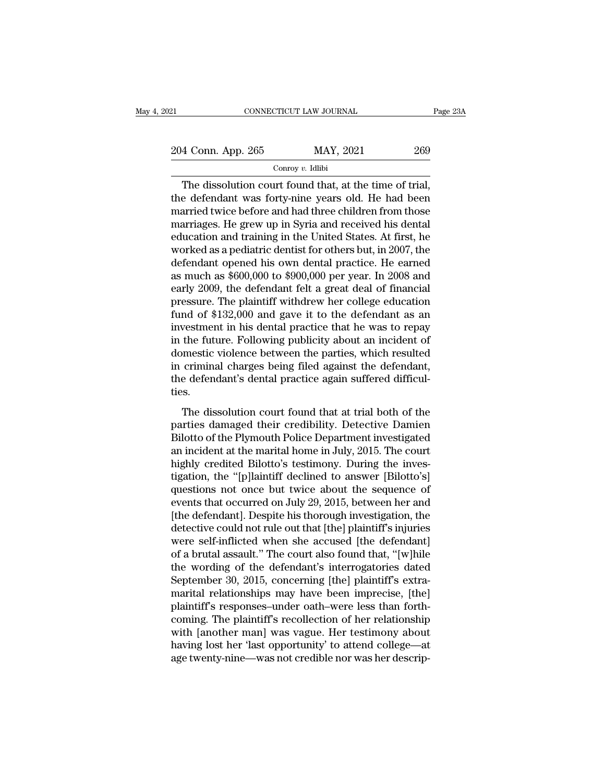21 CONNECTICUT LAW JOURNAL Page 23A<br>
204 Conn. App. 265 MAY, 2021 269<br>
Conroy v. Idlibi Conroy *v.* Idlibi

 $\begin{tabular}{c c c} \multicolumn{1}{c|}{\text{CONRECTICUT LAW JOURNAL}} & \text{Page 2} \end{tabular}$   $\begin{tabular}{c c c} \multicolumn{1}{c|}{\text{Conrow $v$. Idlibi}}\\ \hline \multicolumn{1}{c}{\text{Conrow $v$. Idlibi}}\\ \hline \multicolumn{1}{c}{\text{The dissolution court found that, at the time of trial,}}\\ \multicolumn{1}{c}{\text{the defendant was forty-nine years old. He had been} }\\ \multicolumn{1}{c}{\text{AFT}} & \text{AFT} & \text{AFT} & \text{BFT} \\ \multicolumn{1}{c}{\text{AFT}} & \$ 204 Conn. App. 265 MAY, 2021 269<br>
Conroy v. Idlibi<br>
The dissolution court found that, at the time of trial,<br>
the defendant was forty-nine years old. He had been<br>
married twice before and had three children from those<br>
mar 204 Conn. App. 265 MAY, 2021 269<br>
Conroy v. Idlibi<br>
The dissolution court found that, at the time of trial,<br>
the defendant was forty-nine years old. He had been<br>
married twice before and had three children from those<br>
mar 204 Conn. App. 265 MAY, 2021 269<br>
Conroy v. Idibi<br>
The dissolution court found that, at the time of trial,<br>
the defendant was forty-nine years old. He had been<br>
married twice before and had three children from those<br>
marr For the United States. The dissolution court found that, at the time of trial,<br>the defendant was forty-nine years old. He had been<br>married twice before and had three children from those<br>marriages. He grew up in Syria and Conroy v. Idibi<br>The dissolution court found that, at the time of trial,<br>the defendant was forty-nine years old. He had been<br>married twice before and had three children from those<br>marriages. He grew up in Syria and receive The dissolution court found that, at the time of trial,<br>the defendant was forty-nine years old. He had been<br>married twice before and had three children from those<br>marriages. He grew up in Syria and received his dental<br>educ the defendant was forty-nine years old. He had been<br>married twice before and had three children from those<br>marriages. He grew up in Syria and received his dental<br>education and training in the United States. At first, he<br>wo married twice before and had three children from those<br>marriages. He grew up in Syria and received his dental<br>education and training in the United States. At first, he<br>worked as a pediatric dentist for others but, in 2007, marriages. He grew up in Syria and received his dental<br>education and training in the United States. At first, he<br>worked as a pediatric dentist for others but, in 2007, the<br>defendant opened his own dental practice. He earne education and training in the United States. At first, he<br>worked as a pediatric dentist for others but, in 2007, the<br>defendant opened his own dental practice. He earned<br>as much as \$600,000 to \$900,000 per year. In 2008 and worked as a pediatric dentist for others but, in 2007, the<br>defendant opened his own dental practice. He earned<br>as much as \$600,000 to \$900,000 per year. In 2008 and<br>early 2009, the defendant felt a great deal of financial<br> defendant opened his own dental practice. He earned<br>as much as \$600,000 to \$900,000 per year. In 2008 and<br>early 2009, the defendant felt a great deal of financial<br>pressure. The plaintiff withdrew her college education<br>fund as much as \$600,000 to \$900,000 per year. In 2008 and<br>early 2009, the defendant felt a great deal of financial<br>pressure. The plaintiff withdrew her college education<br>fund of \$132,000 and gave it to the defendant as an<br>inve early 2009, the defendant felt a great deal of financial<br>pressure. The plaintiff withdrew her college education<br>fund of \$132,000 and gave it to the defendant as an<br>investment in his dental practice that he was to repay<br>in pressure. The plaintiff withdrew her college education<br>fund of \$132,000 and gave it to the defendant as an<br>investment in his dental practice that he was to repay<br>in the future. Following publicity about an incident of<br>dome ties. The future. Following publicity about an incident of<br>the future. Following publicity about an incident of<br>eriminal charges being filed against the defendant,<br>e defendant's dental practice again suffered difficul-<br>s.<br>The di m are ratate. Following passincry associative in included<br>domestic violence between the parties, which resulted<br>in criminal charges being filed against the defendant,<br>the defendant's dental practice again suffered difficul

in criminal charges being filed against the defendant,<br>the defendant's dental practice again suffered difficul-<br>ties.<br>The dissolution court found that at trial both of the<br>parties damaged their credibility. Detective Damie In criminal enlarges seing med against are detendant,<br>the defendant's dental practice again suffered difficul-<br>ties.<br>The dissolution court found that at trial both of the<br>parties damaged their credibility. Detective Damien ties.<br>
The dissolution court found that at trial both of the<br>
parties damaged their credibility. Detective Damien<br>
Bilotto of the Plymouth Police Department investigated<br>
an incident at the marital home in July, 2015. The The dissolution court found that at trial both of the<br>parties damaged their credibility. Detective Damien<br>Bilotto of the Plymouth Police Department investigated<br>an incident at the marital home in July, 2015. The court<br>hig The dissolution court found that at trial both of the<br>parties damaged their credibility. Detective Damien<br>Bilotto of the Plymouth Police Department investigated<br>an incident at the marital home in July, 2015. The court<br>high parties damaged their credibility. Detective Damien<br>Bilotto of the Plymouth Police Department investigated<br>an incident at the marital home in July, 2015. The court<br>highly credited Bilotto's testimony. During the inves-<br>tig Bilotto of the Plymouth Police Department investigated<br>an incident at the marital home in July, 2015. The court<br>highly credited Bilotto's testimony. During the inves-<br>tigation, the "[p]laintiff declined to answer [Bilotto' an incident at the marital home in July, 2015. The court<br>highly credited Bilotto's testimony. During the inves-<br>tigation, the "[p]laintiff' declined to answer [Bilotto's]<br>questions not once but twice about the sequence of<br> highly credited Bilotto's testimony. During the investigation, the "[p]laintiff declined to answer [Bilotto's]<br>questions not once but twice about the sequence of<br>events that occurred on July 29, 2015, between her and<br>[the tigation, the "[p]laintiff declined to answer [Bilotto's]<br>questions not once but twice about the sequence of<br>events that occurred on July 29, 2015, between her and<br>[the defendant]. Despite his thorough investigation, the<br>d questions not once but twice about the sequence of<br>events that occurred on July 29, 2015, between her and<br>[the defendant]. Despite his thorough investigation, the<br>detective could not rule out that [the] plaintiff's injurie events that occurred on July 29, 2015, between her and<br>[the defendant]. Despite his thorough investigation, the<br>detective could not rule out that [the] plaintiff's injuries<br>were self-inflicted when she accused [the defenda [the defendant]. Despite his thorough investigation, the detective could not rule out that [the] plaintiff's injuries were self-inflicted when she accused [the defendant] of a brutal assault." The court also found that, "[ detective could not rule out that [the] plaintiff's injuries<br>were self-inflicted when she accused [the defendant]<br>of a brutal assault." The court also found that, "[w]hile<br>the wording of the defendant's interrogatories dat were self-inflicted when she accused [the defendant]<br>of a brutal assault." The court also found that, "[w]hile<br>the wording of the defendant's interrogatories dated<br>September 30, 2015, concerning [the] plaintiff's extra-<br>ma of a brutal assault." The court also found that, "[w]hile<br>the wording of the defendant's interrogatories dated<br>September 30, 2015, concerning [the] plaintiff's extra-<br>marital relationships may have been imprecise, [the]<br>pl the wording of the defendant's interrogatories dated<br>September 30, 2015, concerning [the] plaintiff's extra-<br>marital relationships may have been imprecise, [the]<br>plaintiff's responses-under oath-were less than forth-<br>comin September 30, 2015, concerning [the] plaintiff's extra-<br>marital relationships may have been imprecise, [the]<br>plaintiff's responses–under oath–were less than forth-<br>coming. The plaintiff's recollection of her relationship<br>w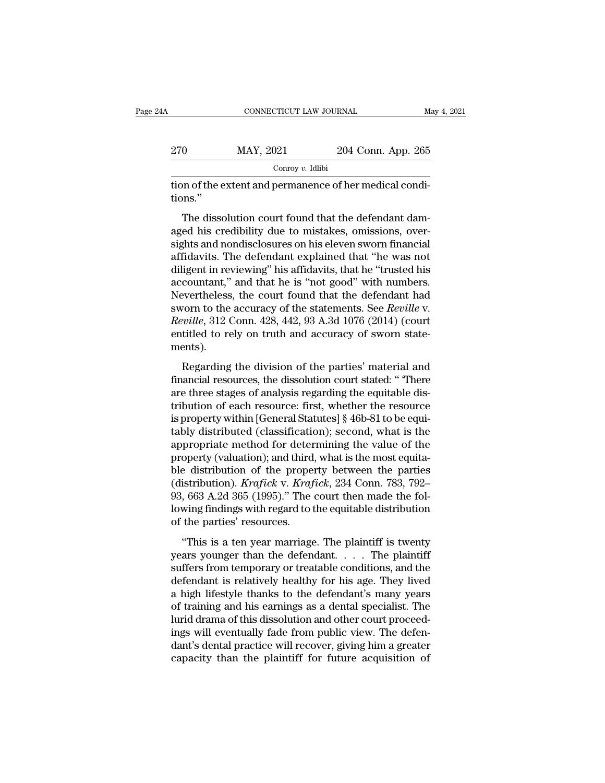|     | CONNECTICUT LAW JOURNAL |                    | May 4, 2021 |
|-----|-------------------------|--------------------|-------------|
| 270 | MAY, 2021               | 204 Conn. App. 265 |             |
|     | Conroy $v$ . Idlibi     |                    |             |

MAY, 2021 204 Conn. App. 265<br>
Conroy v. Idibi<br>
on of the extent and permanence of her medical condi-<br>
ons."<br>
The dissolution court found that the defendant dam-<br>
ed his credibility due to mistakes, omissions, over-<br>
she an 270 MAY, 2021 204 Conn. App. 265<br>  $\frac{\text{Conv } v. \text{ Idlibi}}{\text{Conv } v. \text{ Idlibi}}$ <br>
tion of the extent and permanence of her medical conditions."<br>
The dissolution court found that the defendant damaged his credibility due to mistakes, om  $\frac{1}{100}$  Conroy v. Idibi<br>tion of the extent and permanence of her medical condi-<br>tions."<br>The dissolution court found that the defendant dam-<br>aged his credibility due to mistakes, omissions, over-<br>sights and nondisclosu tion of the extent and permanence of her medical conditions."<br>The dissolution court found that the defendant dam-<br>aged his credibility due to mistakes, omissions, over-<br>sights and nondisclosures on his eleven sworn financi dions."<br>The dissolution court found that the defendant dam-<br>aged his credibility due to mistakes, omissions, over-<br>sights and nondisclosures on his eleven sworn financial<br>affidavits. The defendant explained that "he was no The dissolution court found that the defendant dam-<br>aged his credibility due to mistakes, omissions, over-<br>sights and nondisclosures on his eleven sworn financial<br>affidavits. The defendant explained that "he was not<br>dilige The dissolution court found that the defendant dam-<br>aged his credibility due to mistakes, omissions, over-<br>sights and nondisclosures on his eleven sworn financial<br>affidavits. The defendant explained that "he was not<br>dilig aged his credibility due to mistakes, omissions, over-<br>sights and nondisclosures on his eleven sworn financial<br>affidavits. The defendant explained that "he was not<br>diligent in reviewing" his affidavits, that he "trusted hi sights and nondisclosures on his eleven sworn financial<br>affidavits. The defendant explained that "he was not<br>diligent in reviewing" his affidavits, that he "trusted his<br>accountant," and that he is "not good" with numbers.<br> affidavits. The defendant explained that "he was not diligent in reviewing" his affidavits, that he "trusted his accountant," and that he is "not good" with numbers. Nevertheless, the court found that the defendant had swo ments). Exercitively, the court found that the defendant had<br>vorn to the accuracy of the statements. See *Reville* v.<br>*wille*, 312 Conn. 428, 442, 93 A.3d 1076 (2014) (court<br>titled to rely on truth and accuracy of sworn state-<br>ent financial resources, the court found that the determined had<br>sworn to the accuracy of the statements. See *Reville* v.<br>*Reville*, 312 Conn. 428, 442, 93 A.3d 1076 (2014) (court<br>entitled to rely on truth and accuracy of swo

sworn to are accuracy of are statements. See *Reville*, 312 Conn. 428, 442, 93 A.3d 1076 (2014) (court<br>entitled to rely on truth and accuracy of sworn state-<br>ments).<br>Regarding the division of the parties' material and<br>fina tribution of the particles of sworn state-<br>tentitled to rely on truth and accuracy of sworn state-<br>ments).<br>Regarding the division of the parties' material and<br>financial resources, the dissolution court stated: "There<br>are t ments).<br>
Regarding the division of the parties' material and<br>
financial resources, the dissolution court stated: " There<br>
are three stages of analysis regarding the equitable dis-<br>
tribution of each resource: first, whethe Regarding the division of the parties' material and<br>financial resources, the dissolution court stated: " There<br>are three stages of analysis regarding the equitable dis-<br>tribution of each resource: first, whether the resour Regarding the division of the parties' material and<br>financial resources, the dissolution court stated: " There<br>are three stages of analysis regarding the equitable dis-<br>tribution of each resource: first, whether the resour financial resources, the dissolution court stated: "There<br>are three stages of analysis regarding the equitable dis-<br>tribution of each resource: first, whether the resource<br>is property within [General Statutes] § 46b-81 to are three stages of analysis regarding the equitable distribution of each resource: first, whether the resource<br>is property within [General Statutes] § 46b-81 to be equi-<br>tably distributed (classification); second, what i tribution of each resource: first, whether the resource<br>is property within [General Statutes] § 46b-81 to be equi-<br>tably distributed (classification); second, what is the<br>appropriate method for determining the value of the is property within [General Statutes] § 46b-81 to be equitably distributed (classification); second, what is the appropriate method for determining the value of the property (valuation); and third, what is the most equita tably distributed (classification); second, what is the appropriate method for determining the value of the property (valuation); and third, what is the most equitable distribution of the property between the parties (dist appropriate method for deter<br>property (valuation); and third<br>ble distribution of the prope<br>(distribution). *Krafick* v. *Kraf*<br>93, 663 A.2d 365 (1995)." The<br>lowing findings with regard to t<br>of the parties' resources.<br>"This ''This is a ten year marriage. The plaintiff is twenty (distribution). *Krafick* v. *Krafick*, 234 Conn. 783, 792–93, 663 A.2d 365 (1995)." The court then made the following findings with regard to the equitable distribution of the parties' resources.<br>"This is a ten year marr

(abarbatator). Evaluated in transferred in the set of the nation of 53, 663 A.2d 365 (1995)." The court then made the following findings with regard to the equitable distribution of the parties' resources.<br>"This is a ten defendant is relatively. The coard and hadden of the parties' resources.<br>
"This is a ten year marriage. The plaintiff is twenty<br>
years younger than the defendant.... The plaintiff<br>
suffers from temporary or treatable condi Forms intends with equivalent distribution<br>of the parties' resources.<br>"This is a ten year marriage. The plaintiff is twenty<br>years younger than the defendant.... The plaintiff<br>suffers from temporary or treatable conditions, "This is a ten year marriage. The plaintiff is twenty<br>years younger than the defendant.... The plaintiff<br>suffers from temporary or treatable conditions, and the<br>defendant is relatively healthy for his age. They lived<br>a hi "This is a ten year marriage. The plaintiff is twenty<br>years younger than the defendant.... The plaintiff<br>suffers from temporary or treatable conditions, and the<br>defendant is relatively healthy for his age. They lived<br>a hi years younger than the defendant. . . . The plaintiff suffers from temporary or treatable conditions, and the defendant is relatively healthy for his age. They lived a high lifestyle thanks to the defendant's many years of suffers from temporary or treatable conditions, and the defendant is relatively healthy for his age. They lived a high lifestyle thanks to the defendant's many years of training and his earnings as a dental specialist. The defendant is relatively healthy for his age. They lived<br>a high lifestyle thanks to the defendant's many years<br>of training and his earnings as a dental specialist. The<br>lurid drama of this dissolution and other court proceed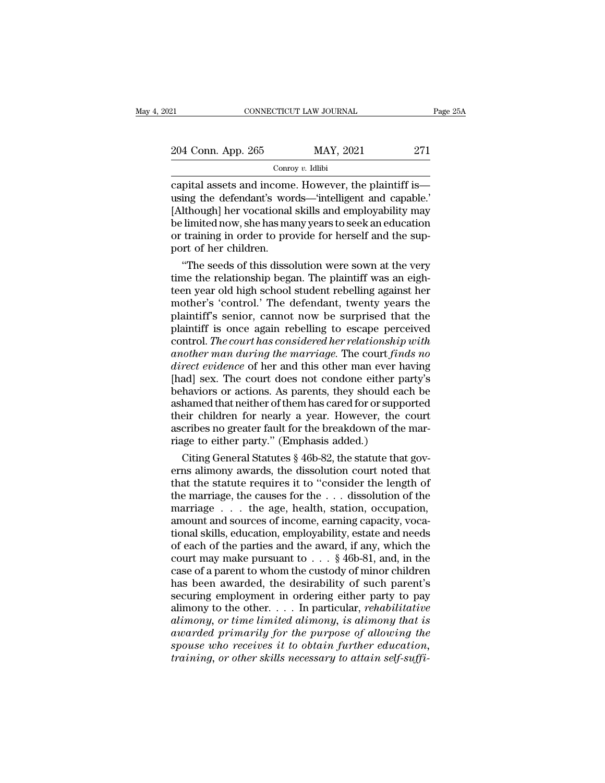| 21                 | CONNECTICUT LAW JOURNAL | Page 25A |
|--------------------|-------------------------|----------|
| 204 Conn. App. 265 | MAY, 2021               | 271      |
|                    | Conroy $v$ . Idlibi     |          |

connecticut LAW JOURNAL Page 25A<br>
204 Conn. App. 265 MAY, 2021 271<br>
Conroy v. Idlibi<br>
capital assets and income. However, the plaintiff is—<br>
using the defendant's words—'intelligent and capable.'<br>
[Although] be vecational 204 Conn. App. 265 MAY, 2021 271<br>
Conroy v. Idlibi<br>
capital assets and income. However, the plaintiff is—<br>
using the defendant's words—'intelligent and capable.'<br>
[Although] her vocational skills and employability may<br>
be 204 Conn. App. 265 MAY, 2021 271<br>  $\frac{\text{Convy } v. \text{ Idibi}}{\text{copy } v. \text{ Idibi}}$ <br>
capital assets and income. However, the plaintiff is—<br>
using the defendant's words—'intelligent and capable.'<br>
[Although] her vocational skills and employ 204 Conn. App. 265 MAY, 2021 271<br>
Conroy v. Idlibi<br>
capital assets and income. However, the plaintiff is—<br>
using the defendant's words—'intelligent and capable.'<br>
[Although] her vocational skills and employability may<br>
be Corresponding to the sum of the sum of the plaintiff is<br>capital assets and income. However, the plaintiff is<br>using the defendant's words—'intelligent and capable.'<br>[Although] her vocational skills and employability may<br>be Concerned assets and income<br>using the defendant's worley<br>(Although) her vocational<br>be limited now, she has may<br>or training in order to proform of her children.<br>"The seeds of this disso pital assets and income. However, the plaintiff is—<br>ing the defendant's words—'intelligent and capable.'<br>Ithough] her vocational skills and employability may<br>limited now, she has many years to seek an education<br>training in using the defendant's words—'intelligent and capable.'<br>[Although] her vocational skills and employability may<br>be limited now, she has many years to seek an education<br>or training in order to provide for herself and the sup-

[Although] her vocational skills and employability may<br>be limited now, she has many years to seek an education<br>or training in order to provide for herself and the sup-<br>port of her children.<br>"The seeds of this dissolution w be limited now, she has many years to seek an education<br>or training in order to provide for herself and the sup-<br>port of her children.<br>"The seeds of this dissolution were sown at the very<br>time the relationship began. The p or training in order to provide for herself and the sup-<br>port of her children.<br>"The seeds of this dissolution were sown at the very<br>time the relationship began. The plaintiff was an eigh-<br>teen year old high school student port of her children.<br>
"The seeds of this dissolution were sown at the very<br>
time the relationship began. The plaintiff was an eigh-<br>
teen year old high school student rebelling against her<br>
mother's 'control.' The defenda "The seeds of this dissolution were sown at the very<br>time the relationship began. The plaintiff was an eigh-<br>teen year old high school student rebelling against her<br>mother's 'control.' The defendant, twenty years the<br>plain time the relationship began. The plaintiff was an eighteen year old high school student rebelling against her mother's 'control.' The defendant, twenty years the plaintiff's senior, cannot now be surprised that the plainti teen year old high school student rebelling against her<br>mother's 'control.' The defendant, twenty years the<br>plaintiff's senior, cannot now be surprised that the<br>plaintiff is once again rebelling to escape perceived<br>control mother's 'control.' The defendant, twenty years the<br>plaintiff's senior, cannot now be surprised that the<br>plaintiff is once again rebelling to escape perceived<br>control. *The court has considered her relationship with*<br>anoth plaintiff's senior, cannot now be surprised that the<br>plaintiff is once again rebelling to escape perceived<br>control. The court has considered her relationship with<br>another man during the marriage. The court finds no<br>direct plaintiff is once again rebelling to escape perceived<br>control. *The court has considered her relationship with*<br>another man during the marriage. The court finds no<br>direct evidence of her and this other man ever having<br>[had control. *The court has considered her relationship with*<br>another man during the marriage. The court finds no<br>direct evidence of her and this other man ever having<br>[had] sex. The court does not condone either party's<br>behav another man during the marriage. The court finds no<br>direct evidence of her and this other man ever having<br>[had] sex. The court does not condone either party's<br>behaviors or actions. As parents, they should each be<br>ashamed t direct evidence of her and this other man ever helphal] sex. The court does not condone either party behaviors or actions. As parents, they should eads as a shamed that neither of them has cared for or suppetheir children ad] sex. The court does not condone either party's<br>haviors or actions. As parents, they should each be<br>hamed that neither of them has cared for or supported<br>eir children for nearly a year. However, the court<br>cribes no grea behaviors or actions. As parents, they should each be<br>ashamed that neither of them has cared for or supported<br>their children for nearly a year. However, the court<br>ascribes no greater fault for the breakdown of the mar-<br>ria

ashamed that neither of them has cared for or supported<br>their children for nearly a year. However, the court<br>ascribes no greater fault for the breakdown of the mar-<br>riage to either party." (Emphasis added.)<br>Citing General their children for nearly a year. However, the court<br>ascribes no greater fault for the breakdown of the mar-<br>riage to either party." (Emphasis added.)<br>Citing General Statutes § 46b-82, the statute that gov-<br>erns alimony aw ascribes no greater fault for the breakdown of the marriage to either party." (Emphasis added.)<br>Citing General Statutes § 46b-82, the statute that governs alimony awards, the dissolution court noted that<br>that the statute r riage to either party." (Emphasis added.)<br>Citing General Statutes § 46b-82, the statute that governs alimony awards, the dissolution court noted that<br>that the statute requires it to "consider the length of<br>the marriage, t Citing General Statutes § 46b-82, the statute that governs alimony awards, the dissolution court noted that<br>that the statute requires it to "consider the length of<br>the marriage, the causes for the  $\ldots$  dissolution of the erns alimony awards, the dissolution court noted that<br>that the statute requires it to "consider the length of<br>the marriage, the causes for the . . . dissolution of the<br>marriage . . . the age, health, station, occupation,<br> that the statute requires it to "consider the length of<br>the marriage, the causes for the . . . dissolution of the<br>marriage . . . the age, health, station, occupation,<br>amount and sources of income, earning capacity, voca-<br> the marriage, the causes for the ... dissolution of the<br>marriage ... the age, health, station, occupation,<br>amount and sources of income, earning capacity, voca-<br>tional skills, education, employability, estate and needs<br>of marriage  $\ldots$  the age, health, station, occupation,<br>amount and sources of income, earning capacity, voca-<br>tional skills, education, employability, estate and needs<br>of each of the parties and the award, if any, which the<br> amount and sources of income, earning capacity, vocational skills, education, employability, estate and needs of each of the parties and the award, if any, which the court may make pursuant to  $\ldots$  § 46b-81, and, in the tional skills, education, employability, estate and needs<br>of each of the parties and the award, if any, which the<br>court may make pursuant to  $\ldots$  § 46b-81, and, in the<br>case of a parent to whom the custody of minor childr of each of the parties and the award, if any, which the<br>court may make pursuant to  $\ldots$  \$ 46b-81, and, in the<br>case of a parent to whom the custody of minor children<br>has been awarded, the desirability of such parent's<br>sec  $a$  court may make pursuant to  $\dots$  \$ 46b-81, and, in the case of a parent to whom the custody of minor children has been awarded, the desirability of such parent's securing employment in ordering either party to pay alim rease of a parent to whom the custody of minor children<br>has been awarded, the desirability of such parent's<br>securing employment in ordering either party to pay<br>alimony to the other. . . . In particular, *rehabilitative*<br>al has been awarded, the desirability of such parent's<br>securing employment in ordering either party to pay<br>alimony to the other.... In particular, *rehabilitative*<br>alimony, or time limited alimony, is alimony that is<br>awarded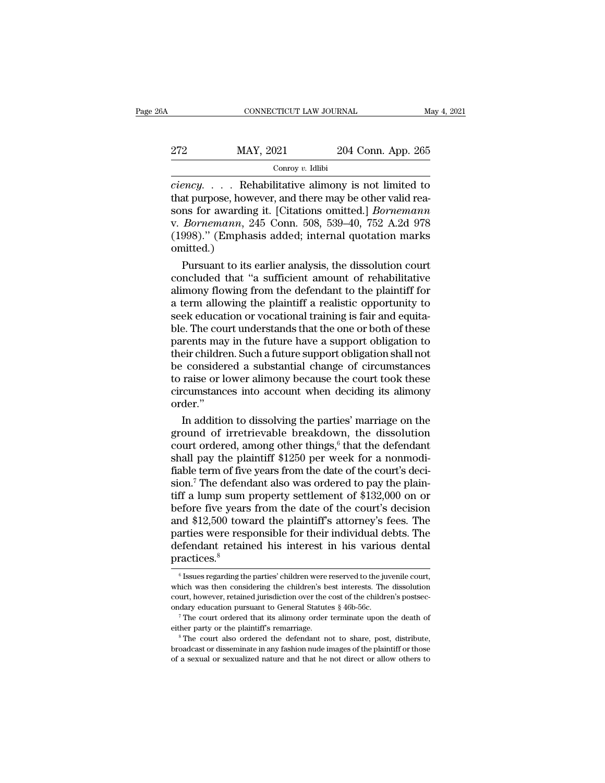| 6A  | CONNECTICUT LAW JOURNAL |                    | May 4, 2021 |
|-----|-------------------------|--------------------|-------------|
| 272 | MAY, 2021               | 204 Conn. App. 265 |             |
|     | Conroy $v$ . Idlibi     |                    |             |

**cONNECTICUT LAW JOURNAL** May 4, 2021<br> **convert of AVAY, 2021** 204 Conn. App. 265<br> **convert of AVAY, 2021** 204 Conn. App. 265<br> **ciency.** . . . . Rehabilitative alimony is not limited to<br>
that purpose, however, and there ma 272 MAY, 2021 204 Conn. App. 265<br>  $\frac{1}{2}$  Conroy v. Idlibi<br>  $\frac{1}{2}$  Conroy v. Idlibi<br>  $\frac{1}{2}$  Conroy v. Idlibi<br>
that purpose, however, and there may be other valid rea-<br>
sons for awarding it. [Citations omitted.] *B* Sons Form 2021<br>
Sons Form 2021<br>
Sons Form 2021<br>
Sons Form 2021<br>
Sons for awarding it. [Citations omitted.] *Bornemann*<br>
Exportemann, 245 Conn. 508, 539–40, 752 A.2d 978<br>
(1998)," (Emphasis added: internal quotation marks Xarry, 2021 204 Conn. App. 265<br>
272 MAY, 2021 204 Conn. App. 265<br>
2*ciency.* . . . . Rehabilitative alimony is not limited to<br>
that purpose, however, and there may be other valid reasons for awarding it. [Citations omitted Conroy v. Idlibi<br>
Conroy v. Idlibi<br>
Ciency..... Rehabilitative alimony is not limited to<br>
that purpose, however, and there may be other valid reasons for awarding it. [Citations omitted.] *Bornemann*<br>
v. *Bornemann*, 245 C omitted.) ency..... Rehabilitative alimony is not limited to<br>at purpose, however, and there may be other valid rea-<br>ns for awarding it. [Citations omitted.] *Bornemann*<br>*Bornemann*, 245 Conn. 508, 539–40, 752 A.2d 978<br>998)." (Empha that purpose, however, and there may be other valid reasons for awarding it. [Citations omitted.] *Bornemann*<br>v. *Bornemann*, 245 Conn. 508, 539–40, 752 A.2d 978<br>(1998)." (Emphasis added; internal quotation marks<br>omitted.)

sons for awarding it. [Citations omitted.] *Bornemann*<br>v. *Bornemann*, 245 Conn. 508, 539–40, 752 A.2d 978<br>(1998)." (Emphasis added; internal quotation marks<br>omitted.)<br>Pursuant to its earlier analysis, the dissolution cour v. *Bornemann*, 245 Conn. 508, 539–40, 752 A.2d 978<br>(1998)." (Emphasis added; internal quotation marks<br>omitted.)<br>Pursuant to its earlier analysis, the dissolution court<br>concluded that "a sufficient amount of rehabilitative (1998)." (Emphasis added; internal quotation marks<br>omitted.)<br>Pursuant to its earlier analysis, the dissolution court<br>concluded that "a sufficient amount of rehabilitative<br>alimony flowing from the defendant to the plaintiff omitted.)<br>
Pursuant to its earlier analysis, the dissolution court<br>
concluded that "a sufficient amount of rehabilitative<br>
alimony flowing from the defendant to the plaintiff for<br>
a term allowing the plaintiff a realistic Pursuant to its earlier analysis, the dissolution court<br>concluded that "a sufficient amount of rehabilitative<br>alimony flowing from the defendant to the plaintiff for<br>a term allowing the plaintiff a realistic opportunity to concluded that "a sufficient amount of rehabilitative<br>alimony flowing from the defendant to the plaintiff for<br>a term allowing the plaintiff a realistic opportunity to<br>seek education or vocational training is fair and equit alimony flowing from the defendant to the plaintiff for<br>a term allowing the plaintiff a realistic opportunity to<br>seek education or vocational training is fair and equita-<br>ble. The court understands that the one or both of a term allowing the plaintiff a realistic opportunity to<br>seek education or vocational training is fair and equita-<br>ble. The court understands that the one or both of these<br>parents may in the future have a support obligatio seek education or vocational training is fair and equita-<br>ble. The court understands that the one or both of these<br>parents may in the future have a support obligation to<br>their children. Such a future support obligation sha order.'' rents may in the future have a support obligation to<br>eir children. Such a future support obligation shall not<br>considered a substantial change of circumstances<br>raise or lower alimony because the court took these<br>cumstances their children. Such a future support obligation shall not<br>be considered a substantial change of circumstances<br>to raise or lower alimony because the court took these<br>circumstances into account when deciding its alimony<br>ord

be considered a substantial change of circumstances<br>to raise or lower alimony because the court took these<br>circumstances into account when deciding its alimony<br>order."<br>In addition to dissolving the parties' marriage on the to raise or lower alimony because the court took these<br>circumstances into account when deciding its alimony<br>order."<br>In addition to dissolving the parties' marriage on the<br>ground of irretrievable breakdown, the dissolution circumstances into account when deciding its alimony<br>order."<br>In addition to dissolving the parties' marriage on the<br>ground of irretrievable breakdown, the dissolution<br>court ordered, among other things,<sup>6</sup> that the defendan order."<br>In addition to dissolving the parties' marriage on the<br>ground of irretrievable breakdown, the dissolution<br>court ordered, among other things,<sup>6</sup> that the defendant<br>shall pay the plaintiff \$1250 per week for a nonmo In addition to dissolving the parties' marriage on the<br>ground of irretrievable breakdown, the dissolution<br>court ordered, among other things,<sup>6</sup> that the defendant<br>shall pay the plaintiff \$1250 per week for a nonmodi-<br>fiab ground of irretrievable breakdown, the dissolution<br>court ordered, among other things,<sup>6</sup> that the defendant<br>shall pay the plaintiff \$1250 per week for a nonmodi-<br>fiable term of five years from the date of the court's decicourt ordered, among other things,<sup>6</sup> that the defendant<br>shall pay the plaintiff \$1250 per week for a nonmodi-<br>fiable term of five years from the date of the court's deci-<br>sion.<sup>7</sup> The defendant also was ordered to pay th shall pay the plaintiff \$1250 per week for a nonmodi-<br>fiable term of five years from the date of the court's deci-<br>sion.<sup>7</sup> The defendant also was ordered to pay the plain-<br>tiff a lump sum property settlement of \$132,000 o fiable term of five years from the date of the court's decision.<sup>7</sup> The defendant also was ordered to pay the plaintiff a lump sum property settlement of  $$132,000$  on or before five years from the date of the court's dec practices.<sup>8</sup> and \$12,500 toward the plaintiff's attorney's fees. The arties were responsible for their individual debts. The efendant retained his interest in his various dental ractices.<sup>8</sup>  $\frac{1}{6}$  Issues regarding the parties' chi parties were responsible for their individual debts. The defendant retained his interest in his various dental practices.<sup>8</sup><br> $\frac{1}{10}$  suses regarding the parties' children were reserved to the juvenile court, which was

defendant retained his interest in his various dental<br>practices.<sup>8</sup><br> $\frac{1}{6}$  Issues regarding the parties' children were reserved to the juvenile court,<br>which was then considering the children's best interests. The disso practices.<sup>8</sup><br>
<sup>6</sup> Issues regarding the parties' children were reserved to the juvenile court,<br>
which was then considering the children's best interests. The dissolution<br>
court, however, retained jurisdiction over the cost  $^\circ$  Issues regarding the parties' children were reserved to the juvenile court, which was then considering the children's best interests. The dissolution court, however, retained jurisdiction over the cost of the childre

broadcast or disseminate in any fashion over the cost of the children's postsec-<br>ondary education pursuant to General Statutes § 46b-56c.<br><sup>7</sup> The court ordered that its alimony order terminate upon the death of<br>either part  $^\tau$  The court ordered that its alimony order terminate upon the death of either party or the plaintiff's remarriage.<br> $^\circ$  The court also ordered the defendant not to share, post, distribute, broadcast or disseminate in a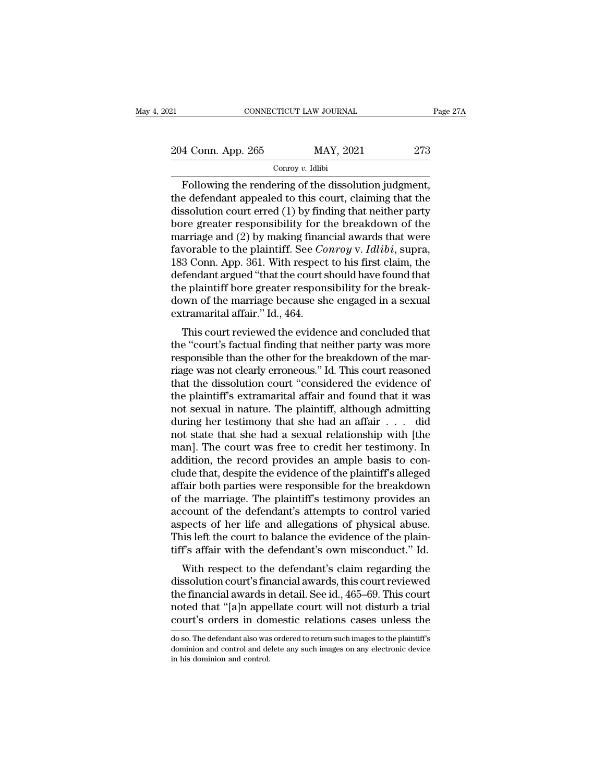| 121                | CONNECTICUT LAW JOURNAL | Page 27A |
|--------------------|-------------------------|----------|
| 204 Conn. App. 265 | MAY, 2021               | 273      |
|                    | Conroy $v$ . Idlibi     |          |

Fage 2<br>
Following the rendering of the dissolution judgment,<br>
Following the rendering of the dissolution judgment,<br>
Following the rendering of the dissolution judgment,<br>
e defendant appealed to this court, claiming that th 204 Conn. App. 265 MAY, 2021 273<br>
Conroy v. Idlibi<br>
Following the rendering of the dissolution judgment,<br>
the defendant appealed to this court, claiming that the<br>
dissolution court erred (1) by finding that neither party<br> 204 Conn. App. 265 MAY, 2021 273<br>
Conroy v. Idibi<br>
Following the rendering of the dissolution judgment,<br>
the defendant appealed to this court, claiming that the<br>
dissolution court erred (1) by finding that neither party<br> 204 Conn. App. 265 MAY, 2021 273<br>
Conroy v. Idlibi<br>
Following the rendering of the dissolution judgment,<br>
the defendant appealed to this court, claiming that the<br>
dissolution court erred (1) by finding that neither party<br> Following the rendering of the dissolution judgment,<br>
the defendant appealed to this court, claiming that the<br>
dissolution court erred (1) by finding that neither party<br>
bore greater responsibility for the breakdown of th Following the rendering of the dissolution judgment,<br>the defendant appealed to this court, claiming that the<br>dissolution court erred (1) by finding that neither party<br>bore greater responsibility for the breakdown of the<br>ma Following the rendering of the dissolution judgment,<br>the defendant appealed to this court, claiming that the<br>dissolution court erred (1) by finding that neither party<br>bore greater responsibility for the breakdown of the<br>m the defendant appealed to this court, claiming that the dissolution court erred (1) by finding that neither party bore greater responsibility for the breakdown of the marriage and (2) by making financial awards that were dissolution court erred (1) by finding that neither party<br>bore greater responsibility for the breakdown of the<br>marriage and (2) by making financial awards that were<br>favorable to the plaintiff. See *Conroy* v. *Idlibi*, su bore greater responsibility for the breakdown of the marriage and (2) by making financial awards that were favorable to the plaintiff. See *Conroy* v. *Idlibi*, supra, 183 Conn. App. 361. With respect to his first claim, marriage and (2) by making finan<br>favorable to the plaintiff. See *Co*<br>183 Conn. App. 361. With respect<br>defendant argued "that the court s<br>the plaintiff bore greater respone<br>down of the marriage because sh<br>extramarital affa For a compare to the planntni. See Controy v. Tattot, supra,<br>3 Conn. App. 361. With respect to his first claim, the<br>fendant argued "that the court should have found that<br>e plaintiff bore greater responsibility for the bre too Collit. App. 501. With respect to his first claim, the<br>defendant argued "that the court should have found that<br>the plaintiff bore greater responsibility for the break-<br>down of the marriage because she engaged in a sexu

referant argued that the court should have found that<br>the plaintiff bore greater responsibility for the break-<br>down of the marriage because she engaged in a sexual<br>extramarital affair." Id., 464.<br>This court reviewed the ev riage was not clearly errors and concluded that<br>the "court" is court reviewed the evidence and concluded that<br>the "court's factual finding that neither party was more<br>responsible than the other for the breakdown of the mar down of the marriage because she engaged in a sexual extramarital affair." Id., 464.<br>This court reviewed the evidence and concluded that<br>the "court's factual finding that neither party was more<br>responsible than the other f Extramarital affair. Td., 404.<br>This court reviewed the evidence and concluded that<br>the "court's factual finding that neither party was more<br>responsible than the other for the breakdown of the mar-<br>riage was not clearly err This court reviewed the evidence and concluded that<br>the "court's factual finding that neither party was more<br>responsible than the other for the breakdown of the mar-<br>riage was not clearly erroneous." Id. This court reason the "court's factual finding that neither party was more<br>responsible than the other for the breakdown of the mar-<br>riage was not clearly erroneous." Id. This court reasoned<br>that the dissolution court "considered the evidenc responsible than the other for the breakdown of the marriage was not clearly erroneous." Id. This court reasoned<br>that the dissolution court "considered the evidence of<br>the plaintiff's extramarital affair and found that it riage was not clearly erroneous." Id. This court reasoned<br>that the dissolution court "considered the evidence of<br>the plaintiff's extramarital affair and found that it was<br>not sexual in nature. The plaintiff, although admit that the dissolution court "considered the evidence of<br>the plaintiff's extramarital affair and found that it was<br>not sexual in nature. The plaintiff, although admitting<br>during her testimony that she had an affair . . . did the plaintiff's extramarital affair and found that it was<br>not sexual in nature. The plaintiff, although admitting<br>during her testimony that she had an affair . . . did<br>not state that she had a sexual relationship with [the not sexual in nature. The plaintiff, although admitting<br>during her testimony that she had an affair  $\dots$  did<br>not state that she had a sexual relationship with [the<br>man]. The court was free to credit her testimony. In<br>addi during her testimony that she had an affair . . . did<br>not state that she had a sexual relationship with [the<br>man]. The court was free to credit her testimony. In<br>addition, the record provides an ample basis to con-<br>clude t not state that she had a sexual relationship with [the<br>man]. The court was free to credit her testimony. In<br>addition, the record provides an ample basis to con-<br>clude that, despite the evidence of the plaintiff's alleged<br>a man]. The court was free to credit her testimony. In addition, the record provides an ample basis to conclude that, despite the evidence of the plaintiff's alleged affair both parties were responsible for the breakdown of addition, the record provides an ample basis to conclude that, despite the evidence of the plaintiff's alleged affair both parties were responsible for the breakdown of the marriage. The plaintiff's testimony provides an a clude that, despite the evidence of the plaintiff's alleged<br>affair both parties were responsible for the breakdown<br>of the marriage. The plaintiff's testimony provides an<br>account of the defendant's attempts to control varie rain both parties were responsible for the breakdown<br>the marriage. The plaintiff's testimony provides an<br>count of the defendant's attempts to control varied<br>pects of her life and allegations of physical abuse.<br>is left the of the financial awards in detail. See id., 465–69. This court<br>notes that "is financial abuse. This left the court to balance the evidence of the plain-<br>tiff's affair with the defendant's own misconduct." Id.<br>With respect

account of the defendant's attempts to control varied<br>aspects of her life and allegations of physical abuse.<br>This left the court to balance the evidence of the plain-<br>tiff's affair with the defendant's own misconduct." Id. aspects of her life and anegations of physical abuse.<br>This left the court to balance the evidence of the plain-<br>tiff's affair with the defendant's own misconduct." Id.<br>With respect to the defendant's claim regarding the<br>di This fert the court to balance the evidence of the plant-<br>tiff's affair with the defendant's own misconduct." Id.<br>With respect to the defendant's claim regarding the<br>dissolution court's financial awards, this court reviewe dissolution court's financial awards, this court reviewed<br>the financial awards in detail. See id., 465–69. This court<br>noted that "[a]n appellate court will not disturb a trial<br>court's orders in domestic relations cases unl the financial awards in detail. See id., 465–69. This court<br>noted that "[a]n appellate court will not disturb a trial<br>court's orders in domestic relations cases unless the<br>doso. The defendant also was ordered to return suc noted that "[a]n appe<br>court's orders in doi<br>do so. The defendant also was<br>dominion and control and de<br>in his dominion and control.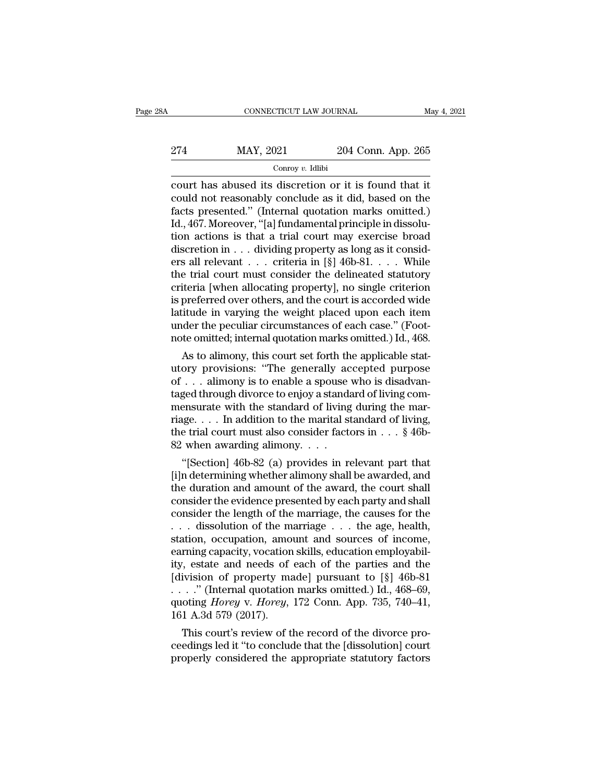# EXECUTE CONNECTICUT LAW JOURNAL May 4, 2021<br>274 MAY, 2021 204 Conn. App. 265<br>Conroy v. Idlibi

# Conroy *v.* Idlibi

CONNECTICUT LAW JOURNAL May 4, 202<br>
274 MAY, 2021 204 Conn. App. 265<br>
Conroy v. Idlibi<br>
court has abused its discretion or it is found that it<br>
could not reasonably conclude as it did, based on the<br>
facts presented." (Inte 274 MAY, 2021 204 Conn. App. 265<br>
court has abused its discretion or it is found that it<br>
could not reasonably conclude as it did, based on the<br>
facts presented." (Internal quotation marks omitted.)<br>
Id. 467 Moreover "[al 274 MAY, 2021 204 Conn. App. 265<br>  $\frac{1}{\text{Convy } v. \text{ Idibi}}$ <br>
court has abused its discretion or it is found that it<br>
could not reasonably conclude as it did, based on the<br>
facts presented.'' (Internal quotation marks omitted. 274 MAY, 2021 204 Conn. App. 265<br>  $\frac{1}{2}$  Conroy v. Idlibi<br>
court has abused its discretion or it is found that it<br>
could not reasonably conclude as it did, based on the<br>
facts presented." (Internal quotation marks omit Conroy v. Idlibi<br>
court has abused its discretion or it is found that it<br>
could not reasonably conclude as it did, based on the<br>
facts presented." (Internal quotation marks omitted.)<br>
Id., 467. Moreover, "[a] fundamental Conroy v. Idibi<br>
court has abused its discretion or it is found that it<br>
could not reasonably conclude as it did, based on the<br>
facts presented." (Internal quotation marks omitted.)<br>
Id., 467. Moreover, "[a] fundamental p court has abused its discretion or it is found that it<br>could not reasonably conclude as it did, based on the<br>facts presented." (Internal quotation marks omitted.)<br>Id., 467. Moreover, "[a] fundamental principle in dissolucould not reasonably conclude as it did, based on the<br>facts presented." (Internal quotation marks omitted.)<br>Id., 467. Moreover, "[a] fundamental principle in dissolu-<br>tion actions is that a trial court may exercise broad<br> facts presented." (Internal quotation marks omitted.)<br>Id., 467. Moreover, "[a] fundamental principle in dissolution actions is that a trial court may exercise broad<br>discretion in . . . dividing property as long as it cons Id., 467. Moreover, "[a] fundamental principle in dissolution actions is that a trial court may exercise broad discretion in . . . dividing property as long as it considers all relevant . . . criteria in [§] 46b-81. . . . tion actions is that a trial court may exercise broad<br>discretion in  $\ldots$  dividing property as long as it consid-<br>ers all relevant  $\ldots$  criteria in [§] 46b-81.  $\ldots$  While<br>the trial court must consider the delineated sta discretion in . . . dividing property as long as it considers all relevant . . . criteria in [§] 46b-81. . . . While the trial court must consider the delineated statutory criteria [when allocating property], no single cr ers all relevant . . . criteria in [§] 46b-81. . . . While<br>the trial court must consider the delineated statutory<br>criteria [when allocating property], no single criterion<br>is preferred over others, and the court is accorded e trial court must consider the delineated statutory<br>iteria [when allocating property], no single criterion<br>preferred over others, and the court is accorded wide<br>itude in varying the weight placed upon each item<br>der the pe criteria [when allocating property], no single criterion<br>is preferred over others, and the court is accorded wide<br>latitude in varying the weight placed upon each item<br>under the peculiar circumstances of each case." (Foot-<br>

is preferred over others, and the court is accorded wide<br>latitude in varying the weight placed upon each item<br>under the peculiar circumstances of each case." (Foot-<br>note omitted; internal quotation marks omitted.) Id., 468 raturate in varying the weight placed upon each tem<br>under the peculiar circumstances of each case." (Foot-<br>note omitted; internal quotation marks omitted.) Id., 468.<br>As to alimony, this court set forth the applicable statunder the pecular circumstances of each case. (Foot-<br>note omitted; internal quotation marks omitted.) Id., 468.<br>As to alimony, this court set forth the applicable stat-<br>utory provisions: "The generally accepted purpose<br>of riage. . . . In addition to the marital standard of living, As to alimony, this court set forth the applicable stat-<br>utory provisions: "The generally accepted purpose<br>of . . . alimony is to enable a spouse who is disadvan-<br>taged through divorce to enjoy a standard of living com-<br>m utory provisions: "The generally according alimony is to enable a spouse taged through divorce to enjoy a standament award mensurate with the standard of living riage. . . . In addition to the marital st the trial court m  $\ldots$  all mony is to enable a spouse who is disadvanced through divorce to enjoy a standard of living com-<br>ensurate with the standard of living during the mar-<br>ige.... In addition to the marital standard of living,<br>e tria taged through divorce to enjoy a standard of living com-<br>mensurate with the standard of living during the mar-<br>riage.... In addition to the marital standard of living,<br>the trial court must also consider factors in  $\ldots$  §

mensurate with the standard of living during the marriage. . . . In addition to the marital standard of living,<br>the trial court must also consider factors in . . . § 46b-<br>82 when awarding alimony. . . .<br>"[Section] 46b-82 riage.... In addition to the marrital standard of hying,<br>the trial court must also consider factors in ... § 46b-<br>82 when awarding alimony....<br>"[Section] 46b-82 (a) provides in relevant part that<br>[i]n determining whether the trial court must also consider factors in  $\ldots$  s 400-<br>82 when awarding alimony.  $\ldots$ <br>"[Section] 46b-82 (a) provides in relevant part that<br>[i]n determining whether alimony shall be awarded, and<br>the duration and amoun 82 when awarding almony. . . . .<br>
"[Section] 46b-82 (a) provides in relevant part that<br>
[i]n determining whether alimony shall be awarded, and<br>
the duration and amount of the award, the court shall<br>
consider the evidence "[Section] 46b-82 (a) provides in relevant part that [i]n determining whether alimony shall be awarded, and the duration and amount of the award, the court shall consider the evidence presented by each party and shall con [i]n determining whether alimony shall be awarded, and<br>the duration and amount of the award, the court shall<br>consider the evidence presented by each party and shall<br>consider the length of the marriage, the causes for the<br> the duration and amount of the award, the court shall<br>consider the evidence presented by each party and shall<br>consider the length of the marriage, the causes for the<br> $\ldots$  dissolution of the marriage  $\ldots$  the age, health consider the evidence presented by each party and shall<br>consider the length of the marriage, the causes for the<br>... dissolution of the marriage ... the age, health,<br>station, occupation, amount and sources of income,<br>earni consider the length of the marriage, the causes for the ... dissolution of the marriage ... the age, health, station, occupation, amount and sources of income, earning capacity, vocation skills, education employability, e ... dissolution of the marriage ... the age, health,<br>station, occupation, amount and sources of income,<br>earning capacity, vocation skills, education employabil-<br>ity, estate and needs of each of the parties and the<br>[divisio station, occupation, amo<br>earning capacity, vocation<br>ity, estate and needs of<br>[division of property ma<br> $\ldots$ ..." (Internal quotation<br>quoting *Horey* v. *Horey*,<br>161 A.3d 579 (2017).<br>This court's review of t rning capacity, vocation skills, equivalently, estate and needs of each of the parties and the ivision of property made] pursuant to  $[\S]$  46b-81 . ." (Internal quotation marks omitted.) Id., 468–69, oting *Horey* v. *Hor* ity, estate and needs of each of the parties and the<br>[division of property made] pursuant to [§] 46b-81<br>...." (Internal quotation marks omitted.) Id., 468–69,<br>quoting *Horey* v. *Horey*, 172 Conn. App. 735, 740–41,<br>161 A. property made pursuant to  $\lceil 8 \rceil$  468–69,<br>  $\dots$ ." (Internal quotation marks omitted.) Id., 468–69,<br>
quoting *Horey* v. *Horey*, 172 Conn. App. 735, 740–41,<br>
161 A.3d 579 (2017).<br>
This court's review of the record of th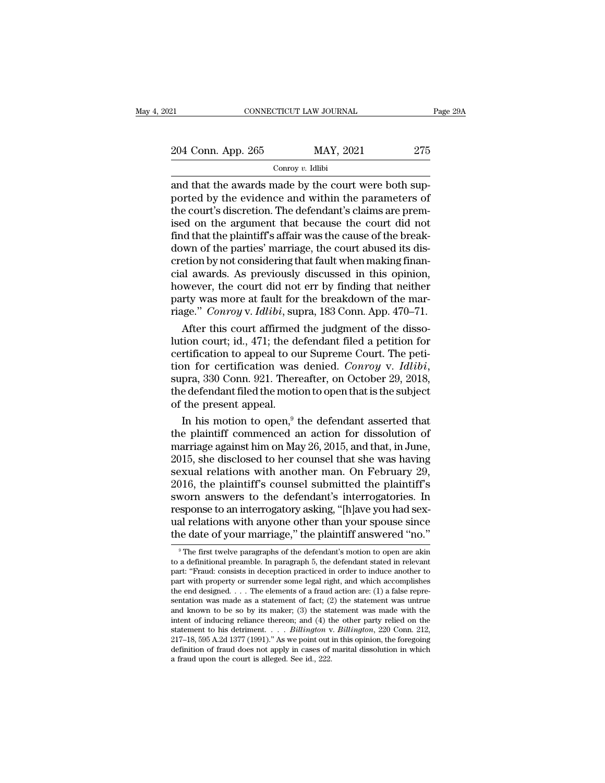21 CONNECTICUT LAW JOURNAL Page 29A<br>
204 Conn. App. 265 MAY, 2021 275<br>
Conroy v. Idlibi

## Conroy *v.* Idlibi

EXECTE AW JOURNAL<br>
204 Conn. App. 265 MAY, 2021 275<br>
275<br>
276 Conroy v. Idlibi<br>
276 Conroy v. Idlibi<br>
276 Conroy v. Idlibi<br>
276 Conroy v. Idlibi<br>
276 Conroy v. Idlibi<br>
276 Conroy v. Idlibi<br>
276 Conroy v. Idlibi 204 Conn. App. 265 MAY, 2021 275<br>
Conroy v. Idlibi<br>
and that the awards made by the court were both sup-<br>
ported by the evidence and within the parameters of<br>
the court's discretion. The defendant's claims are premised on 204 Conn. App. 265 MAY, 2021 275<br>
Conroy v. Idibi<br>
and that the awards made by the court were both sup-<br>
ported by the evidence and within the parameters of<br>
the court's discretion. The defendant's claims are prem-<br>
ised 204 Conn. App. 265 MAY, 2021 275<br>
Conroy v. Idlibi<br>
and that the awards made by the court were both sup-<br>
ported by the evidence and within the parameters of<br>
the court's discretion. The defendant's claims are prem-<br>
ised Find that the awards made by the court were both sup-<br>ported by the evidence and within the parameters of<br>the court's discretion. The defendant's claims are prem-<br>ised on the argument that because the court did not<br>find t Conroy v. Idlibi<br>and that the awards made by the court were both sup-<br>ported by the evidence and within the parameters of<br>the court's discretion. The defendant's claims are prem-<br>ised on the argument that because the cour and that the awards made by the court were both supported by the evidence and within the parameters of the court's discretion. The defendant's claims are premised on the argument that because the court did not find that th ported by the evidence and within the parameters of<br>the court's discretion. The defendant's claims are prem-<br>ised on the argument that because the court did not<br>find that the plaintiff's affair was the cause of the break-<br> the court's discretion. The defendant's claims are premised on the argument that because the court did not<br>find that the plaintiff's affair was the cause of the break-<br>down of the parties' marriage, the court abused its di ised on the argument that because the court did not<br>find that the plaintiff's affair was the cause of the break-<br>down of the parties' marriage, the court abused its dis-<br>cretion by not considering that fault when making fi find that the plaintiff's affair was the cause of the break-<br>down of the parties' marriage, the court abused its dis-<br>cretion by not considering that fault when making finan-<br>cial awards. As previously discussed in this op wm of the parties' marriage, the court abused its dis-<br>etion by not considering that fault when making finan-<br>al awards. As previously discussed in this opinion,<br>wever, the court did not err by finding that neither<br>rty wa cretion by not considering that fault when making finan-<br>cial awards. As previously discussed in this opinion,<br>however, the court did not err by finding that neither<br>party was more at fault for the breakdown of the mar-<br>ri

cial awards. As previously discussed in this opinion,<br>however, the court did not err by finding that neither<br>party was more at fault for the breakdown of the mar-<br>riage." *Conroy v. Idlibi*, supra, 183 Conn. App. 470–71.<br> however, the court did not err by finding that neither<br>party was more at fault for the breakdown of the mar-<br>riage." *Conroy* v. *Idlibi*, supra, 183 Conn. App. 470–71.<br>After this court affirmed the judgment of the disso-<br> riage." Conroy v. Idlibi, supra, 183 Conn. App.  $470-71$ .<br>
After this court affirmed the judgment of the dissolution court; id.,  $471$ ; the defendant filed a petition for<br>
certification to appeal to our Supreme Court. The After this court affirmed<br>lution court; id., 471; the de<br>certification to appeal to ou<br>tion for certification was<br>supra, 330 Conn. 921. There<br>the defendant filed the motion<br>of the present appeal.<br>In his motion to open,<sup>9</sup> tion court; id., 471; the defendant filed a petition for<br>rtification to appeal to our Supreme Court. The peti-<br>pn for certification was denied. *Conroy v. Idlibi*,<br>pra, 330 Conn. 921. Thereafter, on October 29, 2018,<br>e de certification to appeal to our Supreme Court. The petition for certification was denied. *Conroy v. Idlibi*, supra, 330 Conn. 921. Thereafter, on October 29, 2018, the defendant filed the motion to open that is the subjec

tion for certification was denied. Conroy v. Idibb,<br>supra, 330 Conn. 921. Thereafter, on October 29, 2018,<br>the defendant filed the motion to open that is the subject<br>of the present appeal.<br>In his motion to open,<sup>9</sup> the de supra, 330 Conn. 921. Thereafter, on October 29, 2018,<br>the defendant filed the motion to open that is the subject<br>of the present appeal.<br>In his motion to open,<sup>9</sup> the defendant asserted that<br>the plaintiff commenced an acti the defendant filed the motion to open that is the subject<br>of the present appeal.<br>In his motion to open,<sup>9</sup> the defendant asserted that<br>the plaintiff commenced an action for dissolution of<br>marriage against him on May 26, 2 of the present appeal.<br>
In his motion to open,<sup>9</sup> the defendant asserted that<br>
the plaintiff' commenced an action for dissolution of<br>
marriage against him on May 26, 2015, and that, in June,<br>
2015, she disclosed to her cou In his motion to open,<sup>9</sup> the defendant asserted that<br>the plaintiff commenced an action for dissolution of<br>marriage against him on May 26, 2015, and that, in June,<br>2015, she disclosed to her counsel that she was having<br>se the plaintiff commenced an action for dissolution of<br>marriage against him on May 26, 2015, and that, in June,<br>2015, she disclosed to her counsel that she was having<br>sexual relations with another man. On February 29,<br>2016, marriage against him on May 26, 2015, and that, in June,<br>2015, she disclosed to her counsel that she was having<br>sexual relations with another man. On February 29,<br>2016, the plaintiff's counsel submitted the plaintiff's<br>swo 2015, she disclosed to her counsel that she was having<br>sexual relations with another man. On February 29,<br>2016, the plaintiff's counsel submitted the plaintiff's<br>sworn answers to the defendant's interrogatories. In<br>respon worn answers to the defendant's interrogatories. In<br>sponse to an interrogatory asking, "[h]ave you had sex-<br>al relations with anyone other than your spouse since<br>ie date of your marriage," the plaintiff answered "no."<br><sup>9</sup>T response to an interrogatory asking, "[h]ave you had sex-<br>ual relations with anyone other than your spouse since<br>the date of your marriage," the plaintiff answered "no."<br>"The first twelve paragraphs of the defendant's moti

ual relations with anyone other than your spouse since<br>the date of your marriage," the plaintiff answered "no."<br> $\frac{1}{2}$  The first twelve paragraphs of the defendant's motion to open are akin<br>to a definitional preamble. The date of your marriage," the plaintiff answered "no."<br>
The first twelve paragraphs of the defendant's motion to open are akin<br>
to a definitional preamble. In paragraph 5, the defendant stated in relevant<br>
part: "Fraud: the date of your marriage," the plaintiff answered "no."<br>
<sup>9</sup> The first twelve paragraphs of the defendant's motion to open are akin<br>
to a definitional preamble. In paragraph 5, the defendant stated in relevant<br>
part: "Fr <sup>9</sup> The first twelve paragraphs of the defendant's motion to open are akin to a definitional preamble. In paragraph 5, the defendant stated in relevant part: "Fraud: consists in deception practiced in order to induce anot The first twelve paragraphs of the defendant's motion to open are akin to a definitional preamble. In paragraph 5, the defendant stated in relevant part: "Fraud: consists in deception practiced in order to induce another to a definitional preamble. In paragraph 5, the defendant stated in relevant<br>part: "Fraud: consists in deception practiced in order to induce another to<br>part with property or surrender some legal right, and which accompli part: "Fraud: consists in deception practiced in order to induce another to part with property or surrender some legal right, and which accomplishes the end designed. . . . The elements of a fraud action are: (1) a false r part with property or surrender some legal right, and which accomplishes<br>the end designed.... The elements of a fraud action are: (1) a false repre-<br>sentation was made as a statement of fact; (2) the statement was untrue<br> the end designed. . . . The elements of a fraud action are: (1) a false representation was made as a statement of fact; (2) the statement was untrue and known to be so by its maker; (3) the statement was made with the int sentation was made as a statement of fact; (2) the statement was untrue<br>and known to be so by its maker; (3) the statement was made with the<br>intent of inducing reliance thereon; and (4) the other party relied on the<br>state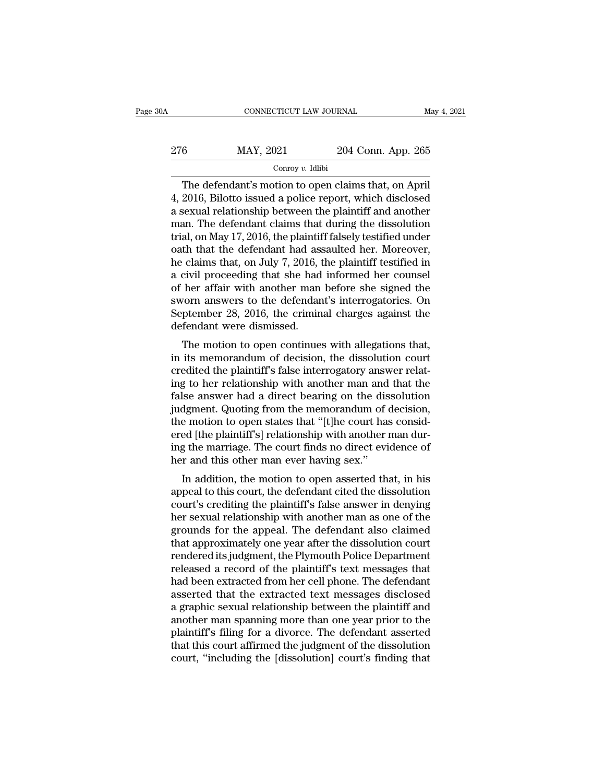| ЭA  | CONNECTICUT LAW JOURNAL |                    | May 4, 2021 |
|-----|-------------------------|--------------------|-------------|
| 276 | MAY, 2021               | 204 Conn. App. 265 |             |
|     | Conroy $v$ . Idlibi     |                    |             |

CONNECTICUT LAW JOURNAL May 4, 20<br>
6 MAY, 2021 204 Conn. App. 265<br>
Conroy v. Idlibi<br>
The defendant's motion to open claims that, on April<br>
2016, Bilotto issued a police report, which disclosed<br>
Sexual relationship between 276 MAY, 2021 204 Conn. App. 265<br>  $\frac{\text{Conv } y. \text{ Idlibi}}{\text{Conv } y. \text{ Idlibi}}$ <br>
The defendant's motion to open claims that, on April<br>
4, 2016, Bilotto issued a police report, which disclosed<br>
a sexual relationship between the plainti 276 MAY, 2021 204 Conn. App. 265<br>  $\frac{1}{2}$  Conroy v. Idlibi<br>
The defendant's motion to open claims that, on April<br>
4, 2016, Bilotto issued a police report, which disclosed<br>
a sexual relationship between the plaintiff and 276 MAY, 2021 204 Conn. App. 265<br>
Conroy v. Idlibi<br>
The defendant's motion to open claims that, on April<br>
4, 2016, Bilotto issued a police report, which disclosed<br>
a sexual relationship between the plaintiff and another<br> The defendant's motion to open claims that, on April<br>4, 2016, Bilotto issued a police report, which disclosed<br>a sexual relationship between the plaintiff and another<br>man. The defendant claims that during the dissolution<br>t Conroy v. Idibi<br>
The defendant's motion to open claims that, on April<br>
4, 2016, Bilotto issued a police report, which disclosed<br>
a sexual relationship between the plaintiff and another<br>
man. The defendant claims that duri The defendant's motion to open claims that, on April 4, 2016, Bilotto issued a police report, which disclosed a sexual relationship between the plaintiff and another man. The defendant claims that during the dissolution tr 4, 2016, Bilotto issued a police report, which disclosed<br>a sexual relationship between the plaintiff and another<br>man. The defendant claims that during the dissolution<br>trial, on May 17, 2016, the plaintiff falsely testified a sexual relationship between the plaintiff and another<br>man. The defendant claims that during the dissolution<br>trial, on May 17, 2016, the plaintiff falsely testified under<br>oath that the defendant had assaulted her. Moreove man. The defendant claims that during the dissolution<br>trial, on May 17, 2016, the plaintiff falsely testified under<br>oath that the defendant had assaulted her. Moreover,<br>he claims that, on July 7, 2016, the plaintiff testif trial, on May 17, 2016, the plaintiff falsely testified under<br>oath that the defendant had assaulted her. Moreover,<br>he claims that, on July 7, 2016, the plaintiff testified in<br>a civil proceeding that she had informed her co oath that the defendant had ass<br>he claims that, on July 7, 2016, t<br>a civil proceeding that she had<br>of her affair with another man<br>sworn answers to the defendan<br>September 28, 2016, the crimin<br>defendant were dismissed.<br>The m The motion of starts that, on  $\frac{1}{2}$  and  $\frac{1}{2}$  are plant. The motion to open continues the signed the torn answers to the defendant's interrogatories. On ptember 28, 2016, the criminal charges against the fendant w a civil proceeding that she had informed her courser<br>of her affair with another man before she signed the<br>sworn answers to the defendant's interrogatories. On<br>September 28, 2016, the criminal charges against the<br>defendant

or her analy with another man before she signed the<br>sworn answers to the defendant's interrogatories. On<br>September 28, 2016, the criminal charges against the<br>defendant were dismissed.<br>The motion to open continues with alle sworn answers to the defendant s interrogatories. On<br>September 28, 2016, the criminal charges against the<br>defendant were dismissed.<br>The motion to open continues with allegations that,<br>in its memorandum of decision, the dis September 28, 2010, the Crimital charges against the<br>defendant were dismissed.<br>The motion to open continues with allegations that,<br>in its memorandum of decision, the dissolution court<br>credited the plaintiff's false interro The motion to open continues with allegations that,<br>in its memorandum of decision, the dissolution court<br>credited the plaintiff's false interrogatory answer relat-<br>ing to her relationship with another man and that the<br>fals The motion to open continues with allegations that,<br>in its memorandum of decision, the dissolution court<br>credited the plaintiff's false interrogatory answer relat-<br>ing to her relationship with another man and that the<br>fals in its memorandum of decision, the dissolution court<br>credited the plaintiff's false interrogatory answer relat-<br>ing to her relationship with another man and that the<br>false answer had a direct bearing on the dissolution<br>jud credited the plaintiff's false interrogatory answer relating to her relationship with another man and that the false answer had a direct bearing on the dissolution judgment. Quoting from the memorandum of decision, the mot ing to her relationship with another man and<br>false answer had a direct bearing on the dis<br>judgment. Quoting from the memorandum of the<br>motion to open states that "[t]he court has<br>ered [the plaintiff's] relationship with an In a different management. Quoting from the memorandum of decision,<br>a motion to open states that "[t]he court has consided [the plaintiff's] relationship with another man dur-<br>g the marriage. The court finds no direct evid dughtent. Quoting from the memorantum of decision,<br>the motion to open states that "[t]he court has consid-<br>ered [the plaintiff's] relationship with another man dur-<br>ing the marriage. The court finds no direct evidence of<br>h

the motion to open states that "[t]he court has considered [the plaintiff's] relationship with another man during the marriage. The court finds no direct evidence of her and this other man ever having sex."<br>In addition, th Freed [the plantiff s] relationship with another man during the marriage. The court finds no direct evidence of her and this other man ever having sex."<br>In addition, the motion to open asserted that, in his appeal to this In addition, the court intus no unect evidence of<br>her and this other man ever having sex."<br>In addition, the motion to open asserted that, in his<br>appeal to this court, the defendant cited the dissolution<br>court's crediting t the failure of the motion to open asserted that, in his<br>appeal to this court, the defendant cited the dissolution<br>court's crediting the plaintiff's false answer in denying<br>her sexual relationship with another man as one of In addition, the motion to open asserted that, in his<br>appeal to this court, the defendant cited the dissolution<br>court's crediting the plaintiff's false answer in denying<br>her sexual relationship with another man as one of t appeal to this court, the defendant cited the dissolution<br>court's crediting the plaintiff's false answer in denying<br>her sexual relationship with another man as one of the<br>grounds for the appeal. The defendant also claimed<br> court's crediting the plaintiff's false answer in denying<br>her sexual relationship with another man as one of the<br>grounds for the appeal. The defendant also claimed<br>that approximately one year after the dissolution court<br>re her sexual relationship with another man as one of the<br>grounds for the appeal. The defendant also claimed<br>that approximately one year after the dissolution court<br>rendered its judgment, the Plymouth Police Department<br>releas grounds for the appeal. The defendant also claimed<br>that approximately one year after the dissolution court<br>rendered its judgment, the Plymouth Police Department<br>released a record of the plaintiff's text messages that<br>had b that approximately one year after the dissolution court<br>rendered its judgment, the Plymouth Police Department<br>released a record of the plaintiff's text messages that<br>had been extracted from her cell phone. The defendant<br>as rendered its judgment, the Plymouth Police Department<br>released a record of the plaintiff's text messages that<br>had been extracted from her cell phone. The defendant<br>asserted that the extracted text messages disclosed<br>a grap released a record of the plaintiff's text messages that<br>had been extracted from her cell phone. The defendant<br>asserted that the extracted text messages disclosed<br>a graphic sexual relationship between the plaintiff and<br>anot had been extracted from her cell phone. The defendant<br>asserted that the extracted text messages disclosed<br>a graphic sexual relationship between the plaintiff and<br>another man spanning more than one year prior to the<br>plainti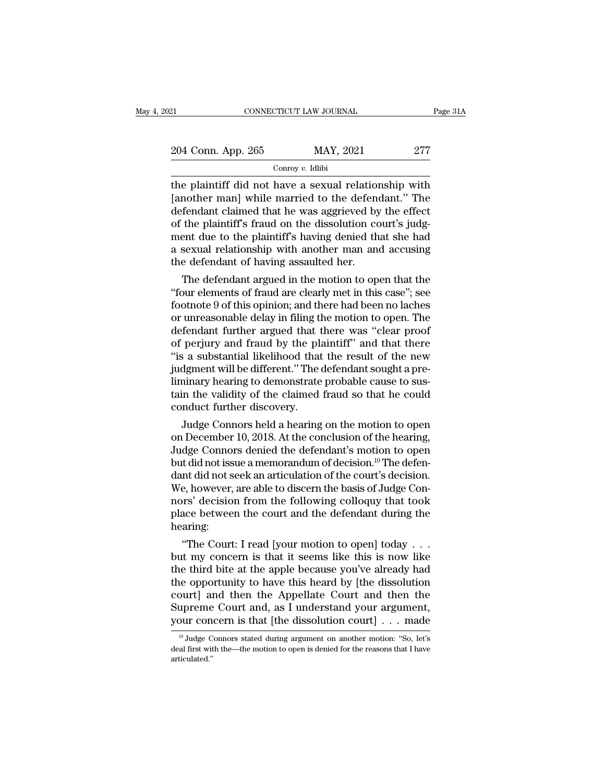| 121                | CONNECTICUT LAW JOURNAL | Page 31A |
|--------------------|-------------------------|----------|
| 204 Conn. App. 265 | MAY, 2021               | 277      |
|                    | Conroy $v$ . Idlibi     |          |

EXECT PROXIMAL Page 31A<br>
204 Conn. App. 265 MAY, 2021 277<br>
Conroy v. Idlibi<br>
the plaintiff did not have a sexual relationship with<br>
[another man] while married to the defendant." The<br>
defendant claimed that he was aggriga  $\frac{204 \text{ Conn. App. 265}}{\text{Conv } v. \text{ Idibi}}$ <br>
The plaintiff did not have a sexual relationship with<br>
[another man] while married to the defendant.'' The<br>
defendant claimed that he was aggrieved by the effect<br>
of the plaintiff's frau 204 Conn. App. 265 MAY, 2021 277<br>
Conroy v. Idlibi<br>
the plaintiff did not have a sexual relationship with<br>
[another man] while married to the defendant." The<br>
defendant claimed that he was aggrieved by the effect<br>
of the 204 Conn. App. 265 MAY, 2021 277<br>
Conroy v. Idibi<br>
the plaintiff did not have a sexual relationship with<br>
[another man] while married to the defendant." The<br>
defendant claimed that he was aggrieved by the effect<br>
of the p Contain  $\frac{1}{\text{Prop}(v)}$  in the plaintiff did not have a sexual relationship with [another man] while married to the defendant." The defendant claimed that he was aggrieved by the effect of the plaintiff's fraud on the diss Conroy v. Idibi<br>the plaintiff did not have a sexual relationship with<br>[another man] while married to the defendant." The<br>defendant claimed that he was aggrieved by the effect<br>of the plaintiff's fraud on the dissolution co the plaintiff did not have a sexual relation [another man] while married to the defendefendant claimed that he was aggrieved by of the plaintiff's fraud on the dissolution coment due to the plaintiff's having denied that s fendant claimed that he was aggrieved by the effect<br>the plaintiff's fraud on the dissolution court's judg-<br>ent due to the plaintiff's having denied that she had<br>sexual relationship with another man and accusing<br>e defendant derendant claimed that he was aggrieved by the effect<br>of the plaintiff's fraud on the dissolution court's judg-<br>ment due to the plaintiff's having denied that she had<br>a sexual relationship with another man and accusing<br>the

or the plaintiff is having denied that she had<br>a sexual relationship with another man and accusing<br>the defendant of having assaulted her.<br>The defendant argued in the motion to open that the<br>"four elements of fraud are clea ment due to the plaintiff s having denied that she had<br>a sexual relationship with another man and accusing<br>the defendant of having assaulted her.<br>The defendant argued in the motion to open that the<br>"four elements of fraud a sexual relationship with another man and accusing<br>the defendant of having assaulted her.<br>The defendant argued in the motion to open that the<br>"four elements of fraud are clearly met in this case"; see<br>footnote 9 of this o the defendant of having assaulted her.<br>
The defendant argued in the motion to open that the<br>
"four elements of fraud are clearly met in this case"; see<br>
footnote 9 of this opinion; and there had been no laches<br>
or unreason The defendant argued in the motion to open that the<br>"four elements of fraud are clearly met in this case"; see<br>footnote 9 of this opinion; and there had been no laches<br>or unreasonable delay in filing the motion to open. Th "four elements of fraud are clearly met in this case"; see<br>footnote 9 of this opinion; and there had been no laches<br>or unreasonable delay in filing the motion to open. The<br>defendant further argued that there was "clear pro footnote 9 of this opinion; and there had been no laches<br>or unreasonable delay in filing the motion to open. The<br>defendant further argued that there was "clear proof<br>of perjury and fraud by the plaintiff" and that there<br>"i or unreasonable delay in filing the motion to open. The<br>defendant further argued that there was "clear proof<br>of perjury and fraud by the plaintiff" and that there<br>"is a substantial likelihood that the result of the new<br>jud defendant further argued that tof perjury and fraud by the plate of perjury and fraud by the plate is a substantial likelihood that judgment will be different." The liminary hearing to demonstrate tain the validity of the perjury and fraud by the plaintiff and that there<br>is a substantial likelihood that the result of the new<br>dgment will be different." The defendant sought a pre-<br>ninary hearing to demonstrate probable cause to sus-<br>in the va is a substantial intermood that the result of the new<br>judgment will be different." The defendant sought a pre-<br>liminary hearing to demonstrate probable cause to sus-<br>tain the validity of the claimed fraud so that he could

Judgment will be different. The defendant sought a pre-<br>liminary hearing to demonstrate probable cause to sus-<br>tain the validity of the claimed fraud so that he could<br>conduct further discovery.<br>Judge Connors held a hearing liminary nearing to demonstrate probable cause to sustain the validity of the claimed fraud so that he could<br>conduct further discovery.<br>Judge Connors held a hearing on the motion to open<br>on December 10, 2018. At the conclu tain the validity of the claimed fraud so that he could<br>conduct further discovery.<br>Judge Connors held a hearing on the motion to open<br>on December 10, 2018. At the conclusion of the hearing,<br>Judge Connors denied the defenda Conduct further discovery.<br>Judge Connors held a hearing on the motion to open<br>on December 10, 2018. At the conclusion of the hearing,<br>Judge Connors denied the defendant's motion to open<br>but did not issue a memorandum of de Judge Connors held a hearing on the motion to open<br>on December 10, 2018. At the conclusion of the hearing,<br>Judge Connors denied the defendant's motion to open<br>but did not issue a memorandum of decision.<sup>10</sup> The defen-<br>dant on December 10, 2018. At the conclusion of the hearing,<br>Judge Connors denied the defendant's motion to open<br>but did not issue a memorandum of decision.<sup>10</sup> The defen-<br>dant did not seek an articulation of the court's decisi hearing: It did not issue a memorandum of decision." The defen-<br>
Int did not seek an articulation of the court's decision.<br>
E, however, are able to discern the basis of Judge Con-<br>
It's decision from the following colloquy that too dant did not seek an articulation of the court s decision.<br>We, however, are able to discern the basis of Judge Con-<br>nors' decision from the following colloquy that took<br>place between the court and the defendant during the<br>

we, nowever, are able to discern the basis of Judge Connors' decision from the following colloquy that took<br>place between the court and the defendant during the<br>hearing:<br>"The Court: I read [your motion to open] today . . . nors decision from the following colloquy that took<br>place between the court and the defendant during the<br>hearing:<br>"The Court: I read [your motion to open] today . . .<br>but my concern is that it seems like this is now like<br>t place between the court and the derendant during the<br>hearing:<br>"The Court: I read [your motion to open] today  $\ldots$ <br>but my concern is that it seems like this is now like<br>the third bite at the apple because you've already h mearing:<br>
"The Court: I read [your motion to open] today . . .<br>
but my concern is that it seems like this is now like<br>
the third bite at the apple because you've already had<br>
the opportunity to have this heard by [the dis "The Court: I read [your motion to open] today . . . but my concern is that it seems like this is now like the third bite at the apple because you've already had the opportunity to have this heard by [the dissolution cour ie opportunity to have this heard by [the dissolution<br>ourt] and then the Appellate Court and then the<br>upreme Court and, as I understand your argument,<br>our concern is that [the dissolution court]  $\dots$  made<br><sup>10</sup> Judge Conno court] and then the Appellate Court and then the<br>Supreme Court and, as I understand your argument,<br>your concern is that [the dissolution court] . . . made<br> $\frac{10 \text{ Judge Connors stated during argument on another motion: "So, let's}$ <br>deal first with the—the motion to ope

articulated.''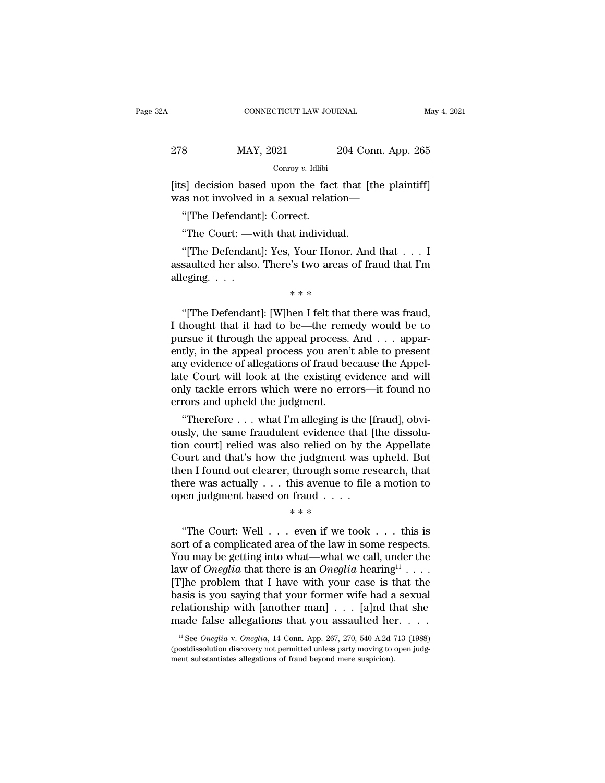| Α   | CONNECTICUT LAW JOURNAL                                                                           |                    | May 4, 2021 |
|-----|---------------------------------------------------------------------------------------------------|--------------------|-------------|
|     |                                                                                                   |                    |             |
| 278 | MAY, 2021                                                                                         | 204 Conn. App. 265 |             |
|     | Conroy $v$ . Idlibi                                                                               |                    |             |
|     | [its] decision based upon the fact that [the plaintiff]<br>was not involved in a sexual relation— |                    |             |
|     | "The Defendant: Correct."                                                                         |                    |             |
|     | "The Court: —with that individual.                                                                |                    |             |

 $\frac{1}{\text{Conv} \times \text{1}}$   $\frac{1}{\text{Conv} \times \text{1}}$ <br>
S] decision based upon the fact that [t<br>
as not involved in a sexual relation—<br>
"[The Defendant]: Correct.<br>
"The Court: —with that individual.<br>
"[The Defendant]: Yes, Your Honor. A

Solution based upon the fact that [the plaintiff]<br>
as not involved in a sexual relation—<br>
"[The Defendant]: Correct.<br>
"The Court: —with that individual.<br>
"[The Defendant]: Yes, Your Honor. And that . . . I<br>
saulted her als [its] decision based upon the fact that [the plaintiff]<br>was not involved in a sexual relation—<br>"[The Defendant]: Correct.<br>"The Court: —with that individual.<br>"[The Defendant]: Yes, Your Honor. And that  $\dots$  I<br>assaulted her was not involved i<br>
"[The Defendant<br>
"The Court: —w<br>
"[The Defendant<br>
assaulted her also.<br>
alleging. . . . rect.<br>ut individual.<br>Your Honor.<br>'s two areas of<br>\* \* \* \* "The Court: —with that individual.<br>"[The Defendant]: Yes, Your Honor. And that . . . I<br>saulted her also. There's two areas of fraud that I'm<br>eging. . . .<br>\*\*\*<br>"[The Defendant]: [W]hen I felt that there was fraud,<br>hought tha

"[The Defendant]: Yes, Your Honor. And that . . . I<br>assaulted her also. There's two areas of fraud that I'm<br>alleging. . . .<br> $**$ <br>"[The Defendant]: [W]hen I felt that there was fraud,<br>I thought that it had to be—the remedy assaulted her also. There's two areas of fraud that I'm<br>alleging. . . .<br>\*\*\*<br>"[The Defendant]: [W]hen I felt that there was fraud,<br>I thought that it had to be—the remedy would be to<br>pursue it through the appeal process. And <sup>\*\*\*</sup><br>
"[The Defendant]: [W]hen I felt that there was fraud,<br>
I thought that it had to be—the remedy would be to<br>
pursue it through the appeal process. And . . . appar-<br>
ently, in the appeal process you aren't able to pres  $**$ <br>"[The Defendant]: [W]hen I felt that there was fraud,<br>I thought that it had to be—the remedy would be to<br>pursue it through the appeal process. And  $\ldots$  appar-<br>ently, in the appeal process you aren't able to present<br>a "The Defendant]: [W]hen I felt that there was fraud,<br>I thought that it had to be—the remedy would be to<br>pursue it through the appeal process. And  $\ldots$  appar-<br>ently, in the appeal process you aren't able to present<br>any ev "[The Defendant]: [W]hen I felt that there was fraud,<br>I thought that it had to be—the remedy would be to<br>pursue it through the appeal process. And  $\dots$  appar-<br>ently, in the appeal process you aren't able to present<br>any ev I thought that it had to be—the rem-<br>pursue it through the appeal process.<br>ently, in the appeal process you aren'<br>any evidence of allegations of fraud be<br>late Court will look at the existing e<br>only tackle errors which were ''Therefore . . . what I'm alleging is the [fraud], obviently, in the appeal process you aren't able to present<br>any evidence of allegations of fraud because the Appel-<br>late Court will look at the existing evidence and will<br>only tackle errors which were no errors—it found no<br>err

any evidence or allegations or fraud because the Appellate Court will look at the existing evidence and will only tackle errors which were no errors—it found no errors and upheld the judgment.<br>"Therefore . . . what I'm all rate Court will look at the existing evidence and will<br>only tackle errors which were no errors—it found no<br>errors and upheld the judgment.<br>"Therefore . . . what I'm alleging is the [fraud], obvi-<br>ously, the same fraudulent only tackle errors which were no errors—it found no<br>errors and upheld the judgment.<br>"Therefore . . . what I'm alleging is the [fraud], obvi-<br>ously, the same fraudulent evidence that [the dissolu-<br>tion court] relied was als errors and upneta the judgment.<br>
"Therefore . . . what I'm alleging is the [fraud], obviously, the same fraudulent evidence that [the dissolution court] relied was also relied on by the Appellate<br>
Court and that's how the "Therefore . . . what I'm alleging is the [f ously, the same fraudulent evidence that [ tion court] relied was also relied on by th Court and that's how the judgment was then I found out clearer, through some resthere was mt evidence tr<br>so relied on b<br>e judgment w<br>through som<br>his avenue to<br>fraud . . . . .<br>\* \* \* even if we to burt and that's how the judgment was upheld. But<br>
en I found out clearer, through some research, that<br>
ere was actually . . . this avenue to file a motion to<br>
en judgment based on fraud . . . .<br>
\*\*\*<br>
"The Court: Well . . .

then I found out clearer, through some research, that<br>there was actually . . . this avenue to file a motion to<br>open judgment based on fraud . . . .<br> $**$ <br>"The Court: Well . . . even if we took . . . this is<br>sort of a compli there was actually . . . this avenue to file a motion to<br>open judgment based on fraud . . . .<br> $****$ <br>"The Court: Well . . . even if we took . . . this is<br>sort of a complicated area of the law in some respects.<br>You may be ge open judgment based on fraud . . . .<br>
\*\*\*<br>
"The Court: Well . . . even if we took . . . this is<br>
sort of a complicated area of the law in some respects.<br>
You may be getting into what—what we call, under the<br>
law of *Onegli* open judgment based on fraud . . . .<br>  $***$ <br>
"The Court: Well . . . even if we took . . . this is<br>
sort of a complicated area of the law in some respects.<br>
You may be getting into what—what we call, under the<br>
law of *Onegl* "The Court: Well . . . even if we took . . . this is<br>sort of a complicated area of the law in some respects.<br>You may be getting into what—what we call, under the<br>law of *Oneglia* that there is an *Oneglia* hearing<sup>11</sup> . . "The Court: Well . . . even if we took . . . this is<br>sort of a complicated area of the law in some respects.<br>You may be getting into what—what we call, under the<br>law of *Oneglia* that there is an *Oneglia* hearing<sup>11</sup> . . sort of a complicated area of the law in some respects.<br>You may be getting into what—what we call, under the<br>law of *Oneglia* that there is an *Oneglia* hearing<sup>11</sup> . . . .<br>[T]he problem that I have with your case is that The problem that I have with your case is that the<br>asis is you saying that your former wife had a sexual<br>lationship with [another man] . . . [a]nd that she<br>ade false allegations that you assaulted her. . . . .<br><sup>11</sup> See *O* basis is you saying that your former wife had a sexual relationship with [another man] . . . [a]nd that she made false allegations that you assaulted her. . . . .  $\frac{1}{12}$  See *Oneglia* v. *Oneglia*, 14 Conn. App. 267,

relationship with [another man] . . . [a]nd the made false allegations that you assaulted here  $\frac{1}{12}$  see *Oneglia* v. *Oneglia*, 14 Conn. App. 267, 270, 540 A.2d is (postdissolution discovery not permitted unless par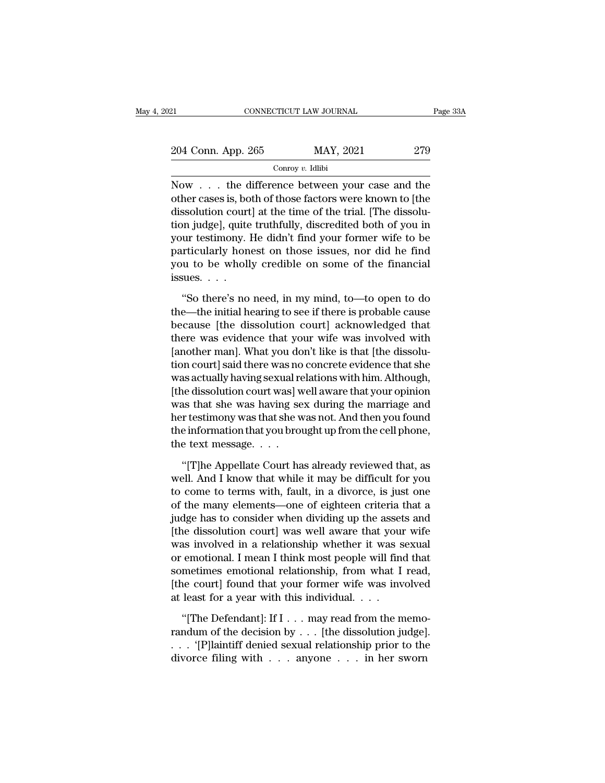| 21                 | CONNECTICUT LAW JOURNAL | Page 33A |
|--------------------|-------------------------|----------|
| 204 Conn. App. 265 | MAY, 2021               | 279      |
|                    | Conroy $v$ . Idlibi     |          |

CONNECTICUT LAW JOURNAL Page 33A<br>
204 Conn. App. 265 MAY, 2021 279<br>
Conroy v. Idlibi<br>
Now . . . the difference between your case and the<br>
other cases is, both of those factors were known to [the<br>
discolution courtl at the 204 Conn. App. 265 MAY, 2021 279<br>
Conroy v. Idlibi<br>
Now . . . the difference between your case and the<br>
other cases is, both of those factors were known to [the<br>
dissolution court] at the time of the trial. [The dissolu-<br> 204 Conn. App. 265 MAY, 2021 279<br>
Conroy v. Idlibi<br>
Now . . . the difference between your case and the<br>
other cases is, both of those factors were known to [the<br>
dissolution court] at the time of the trial. [The dissolu-<br> 204 Conn. App. 265 MAY, 2021 279<br>
Conroy v. Idlibi<br>
Now . . . the difference between your case and the<br>
other cases is, both of those factors were known to [the<br>
dissolution court] at the time of the trial. [The dissolu-<br> Conroy v. Idlibi<br>Now . . . the difference between your case and the<br>other cases is, both of those factors were known to [the<br>dissolution court] at the time of the trial. [The dissolu-<br>tion judge], quite truthfully, discre Follow *b*. Initial<br>Now . . . the difference between your case and the<br>other cases is, both of those factors were known to [the<br>dissolution court] at the time of the trial. [The dissolu-<br>tion judge], quite truthfully, dis Now . . . the difference between your case and the other cases is, both of those factors were known to [the dissolution court] at the time of the trial. [The dissolution judge], quite truthfully, discredited both of you i other cases is, bo<br>dissolution court<br>tion judge], quite<br>your testimony. l<br>particularly hon<br>you to be wholl<br>issues. . . .<br>"So there's no on judge], quite truthfully, discredited both of you in<br>
ur testimony. He didn't find your former wife to be<br>
perticularly honest on those issues, nor did he find<br>
u to be wholly credible on some of the financial<br>
sues.... your testimony. He didn't find your former wife to be<br>particularly honest on those issues, nor did he find<br>you to be wholly credible on some of the financial<br>issues. . . .<br>"So there's no need, in my mind, to—to open to do<br>

particularly honest on those issues, nor did he find<br>you to be wholly credible on some of the financial<br>issues. . . .<br>"So there's no need, in my mind, to—to open to do<br>the—the initial hearing to see if there is probable c by the wholly credible on some of the financial<br>issues. . . .<br>"So there's no need, in my mind, to—to open to do<br>the—the initial hearing to see if there is probable cause<br>because [the dissolution court] acknowledged that<br>t fissues.  $\ldots$ <br>"So there's no need, in my mind, to—to open to do<br>the—the initial hearing to see if there is probable cause<br>because [the dissolution court] acknowledged that<br>there was evidence that your wife was involved w "So there's no need, in my mind, to—to open to do<br>the—the initial hearing to see if there is probable cause<br>because [the dissolution court] acknowledged that<br>there was evidence that your wife was involved with<br>[another man "So there's no need, in my mind, to—to open to do<br>the—the initial hearing to see if there is probable cause<br>because [the dissolution court] acknowledged that<br>there was evidence that your wife was involved with<br>[another man the—the initial hearing to see if there is probable cause<br>because [the dissolution court] acknowledged that<br>there was evidence that your wife was involved with<br>[another man]. What you don't like is that [the dissolu-<br>tion because [the dissolution court] acknowledged that<br>there was evidence that your wife was involved with<br>[another man]. What you don't like is that [the dissolu-<br>tion court] said there was no concrete evidence that she<br>was ac there was evidence that your wife was involved with<br>[another man]. What you don't like is that [the dissolu-<br>tion court] said there was no concrete evidence that she<br>was actually having sexual relations with him. Although, [another man]. What you don't like is that [the dissolution court] said there was no concrete evidence that she<br>was actually having sexual relations with him. Although,<br>[the dissolution court was] well aware that your opin tion court] said there was no<br>was actually having sexual re<br>[the dissolution court was] w<br>was that she was having se<br>her testimony was that she w<br>the information that you brou<br>the text message. . . . .<br>"[T]he Appellate Cou has that she was having sex during the marriage and<br>
alternation court was having sex during the marriage and<br>
alternation that you brought up from the cell phone,<br>
alternation that you brought up from the cell phone,<br>
alt was that she was having sex during the marriage and<br>her testimony was that she was not. And then you found<br>the information that you brought up from the cell phone,<br>the text message.  $\dots$ <br>"[T]he Appellate Court has already

her testimony was that she was not. And then you found<br>the information that you brought up from the cell phone,<br>the text message. . . .<br>"[T]he Appellate Court has already reviewed that, as<br>well. And I know that while it ma the information that you brought up from the cell phone,<br>
the text message.  $\ldots$ <br>
"[T]he Appellate Court has already reviewed that, as<br>
well. And I know that while it may be difficult for you<br>
to come to terms with, faul the text message. . . .<br>"[T]he Appellate Court has already reviewed that, as<br>well. And I know that while it may be difficult for you<br>to come to terms with, fault, in a divorce, is just one<br>of the many elements—one of eight "[T]he Appellate Court has already reviewed that, as<br>well. And I know that while it may be difficult for you<br>to come to terms with, fault, in a divorce, is just one<br>of the many elements—one of eighteen criteria that a<br>jud "[T]he Appellate Court has already reviewed that, as<br>well. And I know that while it may be difficult for you<br>to come to terms with, fault, in a divorce, is just one<br>of the many elements—one of eighteen criteria that a<br>judg well. And I know that while it may be difficult for you<br>to come to terms with, fault, in a divorce, is just one<br>of the many elements—one of eighteen criteria that a<br>judge has to consider when dividing up the assets and<br>[th to come to terms with, fault, in a divorce, is just one<br>of the many elements—one of eighteen criteria that a<br>judge has to consider when dividing up the assets and<br>[the dissolution court] was well aware that your wife<br>was i of the many elements—one of eighteen criteria that a<br>judge has to consider when dividing up the assets and<br>[the dissolution court] was well aware that your wife<br>was involved in a relationship whether it was sexual<br>or emot judge has to consider when dividing up the asset<br>[the dissolution court] was well aware that your<br>was involved in a relationship whether it was s<br>or emotional. I mean I think most people will find<br>sometimes emotional rela as involved in a relationship whether it was sexual<br>
emotional. I mean I think most people will find that<br>
metimes emotional relationship, from what I read,<br>
ne court] found that your former wife was involved<br>
least for a or emotional. I mean I think most people will find that<br>sometimes emotional relationship, from what I read,<br>[the court] found that your former wife was involved<br>at least for a year with this individual. . . .<br>"[The Defenda

sometimes emotional relationship, from what I read,<br>
[the court] found that your former wife was involved<br>
at least for a year with this individual. . . .<br>
"[The Defendant]: If I . . . may read from the memo-<br>
randum of th [the court] found that your former wife was involved<br>at least for a year with this individual. . . .<br>"[The Defendant]: If I . . . may read from the memo<br>randum of the decision by . . . [the dissolution judge]<br>. . . "[P]la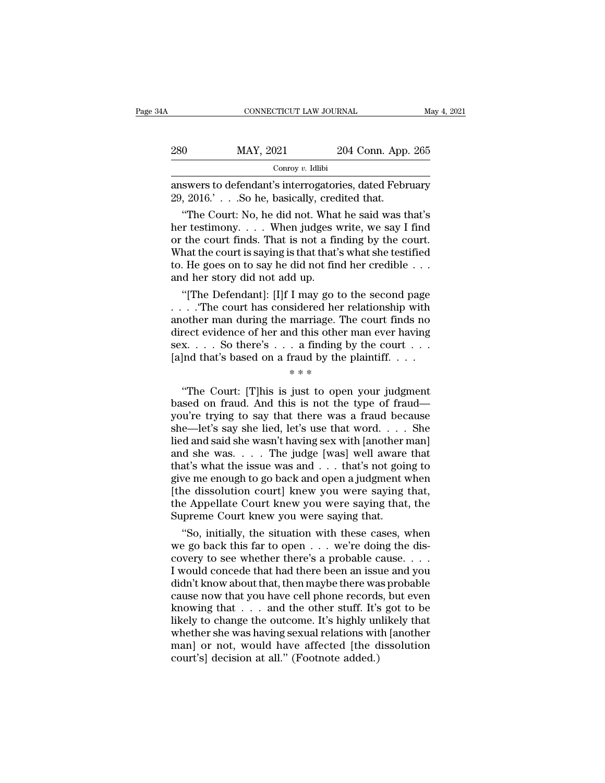| łΑ  | CONNECTICUT LAW JOURNAL                                                                                |                    | May 4, 2021 |
|-----|--------------------------------------------------------------------------------------------------------|--------------------|-------------|
| 280 | MAY, 2021                                                                                              | 204 Conn. App. 265 |             |
|     | Conroy $v$ . Idlibi                                                                                    |                    |             |
|     | answers to defendant's interrogatories, dated February<br>29, 2016.'. So he, basically, credited that. |                    |             |
|     | "The Court: No, he did not. What he said was that's                                                    |                    |             |

 $\frac{0}{100}$  MAY, 2021 204 Conn. App. 265<br>  $\frac{1}{100}$  Conroy v. Idlibi<br>
swers to defendant's interrogatories, dated February<br>
2016.'.. So he, basically, credited that.<br>
"The Court: No, he did not. What he said was that's<br> 280 MAY, 2021 204 Conn. App. 265<br>
conroy v. Idlibi<br>
answers to defendant's interrogatories, dated February<br>
29, 2016.'. So he, basically, credited that.<br>
"The Court: No, he did not. What he said was that's<br>
her testimony. Conroy v. Idlibi<br>
answers to defendant's interrogatories, dated February<br>
29, 2016.'.. So he, basically, credited that.<br>
"The Court: No, he did not. What he said was that's<br>
her testimony.... When judges write, we say I f Example 20. Example 20. Example 29, 2016.<br>
29, 2016.  $\cdot$  . . . So he, basically, credited that.<br>
"The Court: No, he did not. What he said was that's<br>
her testimony. . . . . When judges write, we say I find<br>
or the court answers to defendant's interrogatories, dated February<br>29, 2016.'.. So he, basically, credited that.<br>"The Court: No, he did not. What he said was that's<br>her testimony.... When judges write, we say I find<br>or the court find 29, 2016.'  $\ldots$  So he, basically, crec<br>
"The Court: No, he did not. What<br>
her testimony.  $\ldots$  When judges v<br>
or the court finds. That is not a fit<br>
What the court is saying is that that'<br>
to. He goes on to say he did no "The Court: No, he did not. What he said was that's<br>
r testimony. . . . When judges write, we say I find<br>
the court finds. That is not a finding by the court.<br>
hat the court is saying is that that's what she testified<br>
. her testimony. . . . When judges write, we say I find<br>or the court finds. That is not a finding by the court.<br>What the court is saying is that that's what she testified<br>to. He goes on to say he did not find her credible .

or the court finds. That is not a finding by the court.<br>
What the court is saying is that that's what she testified<br>
to. He goes on to say he did not find her credible . . .<br>
and her story did not add up.<br>
"[The Defendant What the court is saying is that that's what she testified<br>to. He goes on to say he did not find her credible . . .<br>and her story did not add up.<br>"[The Defendant]: [I]f I may go to the second page<br>. . . . . . . . . . . Th to. He goes on to say he did not find her credible . . .<br>and her story did not add up.<br>"[The Defendant]: [I]f I may go to the second page<br>. . . . "The court has considered her relationship with<br>another man during the marr and her story did not add up.<br>
"[The Defendant]: [I]f I may go to the second page<br>
. . . . . . . . . The court has considered her relationship with<br>
another man during the marriage. The court finds no<br>
direct evidence of I may go to t<br>sidered her re<br>marriage. The<br>d this other r<br>. a finding by<br>raud by the p<br>\* \* \* The court has considered field relationship with<br>
other man during the marriage. The court finds no<br>
rect evidence of her and this other man ever having<br>  $x \t ...$  So there's  $\ldots$  a finding by the court  $\ldots$ <br>  $** *$ <br>
"The Co

direct evidence of her and this other man ever having<br>sex.... So there's ... a finding by the court ...<br>[a]nd that's based on a fraud by the plaintiff....<br> $**$ <br>"The Court: [T]his is just to open your judgment<br>based on frau sex.... So there's ... a finding by the court ...<br>[a]nd that's based on a fraud by the plaintiff....<br> $**$ <br>"The Court: [T]his is just to open your judgment<br>based on fraud. And this is not the type of fraud—<br>you're trying to [a]nd that's based on a fraud by the plaintiff....<br>  $**$ <br>
"The Court: [T]his is just to open your judgment<br>
based on fraud. And this is not the type of fraud—<br>
you're trying to say that there was a fraud because<br>
she—let's The Court: [T]his is just to open your judgment<br>
\*\*\*<br>
"The Court: [T]his is just to open your judgment<br>
based on fraud. And this is not the type of fraud—<br>
you're trying to say that there was a fraud because<br>
she—let's sa <sup>\*\*\*</sup><br>
"The Court: [T]his is just to open your judgment<br>
based on fraud. And this is not the type of fraud—<br>
you're trying to say that there was a fraud because<br>
she—let's say she lied, let's use that word. . . . She<br>
lie "The Court: [T]his is just to open your judgment<br>based on fraud. And this is not the type of fraud—<br>you're trying to say that there was a fraud because<br>she—let's say she lied, let's use that word. . . . She<br>lied and said based on fraud. And this is not the type of fraud—<br>you're trying to say that there was a fraud because<br>she—let's say she lied, let's use that word. . . . She<br>lied and said she wasn't having sex with [another man]<br>and she you're trying to say that there was a fraud because<br>she—let's say she lied, let's use that word. . . . She<br>lied and said she wasn't having sex with [another man]<br>and she was. . . . The judge [was] well aware that<br>that's w she—let's say she lied, let's use that word. . . . She<br>lied and said she wasn't having sex with [another man]<br>and she was. . . . The judge [was] well aware that<br>that's what the issue was and . . . that's not going to<br>give lied and said she wasn't having sex with [another i and she was. . . . The judge [was] well aware that's what the issue was and . . . that's not goingive me enough to go back and open a judgment v<br>[the dissolution court] d she was. . . . The judge [was] well aware that<br>at's what the issue was and . . . that's not going to<br>ve me enough to go back and open a judgment when<br>ne dissolution court] knew you were saying that,<br>the Appellate Court k that's what the issue was and . . . that's not going to<br>give me enough to go back and open a judgment when<br>[the dissolution court] knew you were saying that,<br>the Appellate Court knew you were saying that, the<br>Supreme Cour

give me enough to go back and open a judgment when<br>[the dissolution court] knew you were saying that,<br>the Appellate Court knew you were saying that, the<br>Supreme Court knew you were saying that.<br>"So, initially, the situatio [the dissolution court] knew you were saying that,<br>the Appellate Court knew you were saying that, the<br>Supreme Court knew you were saying that.<br>"So, initially, the situation with these cases, when<br>we go back this far to ope the Appellate Court knew you were saying that, the<br>Supreme Court knew you were saying that.<br>"So, initially, the situation with these cases, when<br>we go back this far to open . . . we're doing the dis-<br>covery to see whether Supreme Court knew you were saying that.<br>
"So, initially, the situation with these cases, when<br>
we go back this far to open  $\ldots$  we're doing the dis-<br>
covery to see whether there's a probable cause.  $\ldots$ <br>
I would conced "So, initially, the situation with these cases, when<br>we go back this far to open  $\ldots$  we're doing the dis-<br>covery to see whether there's a probable cause.  $\ldots$ <br>I would concede that had there been an issue and you<br>didn't we go back this far to open  $\dots$  we're doing the discovery to see whether there's a probable cause.  $\dots$  I would concede that had there been an issue and you didn't know about that, then maybe there was probable cause now covery to see whether there's a probable cause. . . . .<br>I would concede that had there been an issue and you<br>didn't know about that, then maybe there was probable<br>cause now that you have cell phone records, but even<br>knowi I would concede that had there been an issue and you<br>didn't know about that, then maybe there was probable<br>cause now that you have cell phone records, but even<br>knowing that . . . and the other stuff. It's got to be<br>likely didn't know about that, then maybe there wa<br>cause now that you have cell phone records<br>knowing that . . . and the other stuff. It's<br>likely to change the outcome. It's highly un<br>whether she was having sexual relations wit<br>m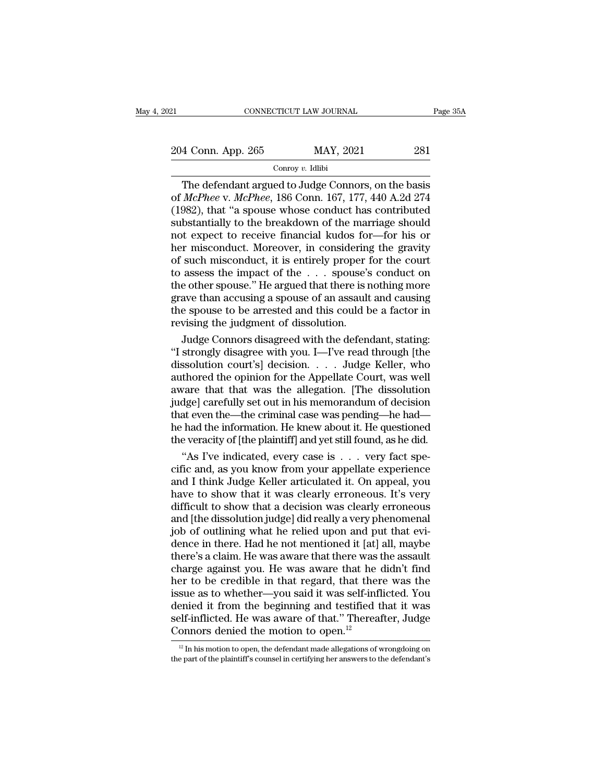21 CONNECTICUT LAW JOURNAL Page 35A<br>
204 Conn. App. 265 MAY, 2021 281<br>
Conroy v. Idlibi

# Conroy *v.* Idlibi

CONNECTICUT LAW JOURNAL Page 35A<br>
4 Conn. App. 265 MAY, 2021 281<br>
Conroy v. Idlibi<br>
The defendant argued to Judge Connors, on the basis<br> *McPhee* v. *McPhee*, 186 Conn. 167, 177, 440 A.2d 274<br>
982) that "a spouse whose con 204 Conn. App. 265 MAY, 2021 281<br>
Conroy *v.* Idlibi<br>
The defendant argued to Judge Connors, on the basis<br>
of *McPhee* v. *McPhee*, 186 Conn. 167, 177, 440 A.2d 274<br>
(1982), that "a spouse whose conduct has contributed<br>
su 204 Conn. App. 265 MAY, 2021 281<br>
Conroy v. Idlibi<br>
The defendant argued to Judge Connors, on the basis<br>
of *McPhee* v. *McPhee*, 186 Conn. 167, 177, 440 A.2d 274<br>
(1982), that "a spouse whose conduct has contributed<br>
sub 204 Conn. App. 265 MAY, 2021 281<br>
Conroy v. Idlibi<br>
The defendant argued to Judge Connors, on the basis<br>
of *McPhee* v. *McPhee*, 186 Conn. 167, 177, 440 A.2d 274<br>
(1982), that "a spouse whose conduct has contributed<br>
sub The defendant argued to Judge Connors, on the basis<br>of *McPhee* v. *McPhee*, 186 Conn. 167, 177, 440 A.2d 274<br>(1982), that "a spouse whose conduct has contributed<br>substantially to the breakdown of the marriage should<br>not Conroy v. Idlibi<br>
The defendant argued to Judge Connors, on the basis<br>
of *McPhee* v. *McPhee*, 186 Conn. 167, 177, 440 A.2d 274<br>
(1982), that "a spouse whose conduct has contributed<br>
substantially to the breakdown of the The defendant argued to Judge Connors, on the basis<br>of *McPhee* v. *McPhee*, 186 Conn. 167, 177, 440 A.2d 274<br>(1982), that "a spouse whose conduct has contributed<br>substantially to the breakdown of the marriage should<br>not of *McPhee* v. *McPhee*, 186 Conn. 167, 177, 440 A.2d 274 (1982), that "a spouse whose conduct has contributed substantially to the breakdown of the marriage should not expect to receive financial kudos for—for his or her (1982), that "a spouse whose conduct has contributed<br>substantially to the breakdown of the marriage should<br>not expect to receive financial kudos for—for his or<br>her misconduct. Moreover, in considering the gravity<br>of such substantially to the breakdown of the marriage should<br>not expect to receive financial kudos for—for his or<br>her misconduct. Moreover, in considering the gravity<br>of such misconduct, it is entirely proper for the court<br>to ass not expect to receive financial kudos for—for his or<br>her misconduct. Moreover, in considering the gravity<br>of such misconduct, it is entirely proper for the court<br>to assess the impact of the  $\dots$  spouse's conduct on<br>the ot her misconduct. Moreover, in considering<br>of such misconduct, it is entirely proper f<br>to assess the impact of the . . . spouse's<br>the other spouse." He argued that there is r<br>grave than accusing a spouse of an assault<br>the sp such misconduct, it is entirely proper for the court<br>assess the impact of the  $\ldots$  spouse's conduct on<br>e other spouse." He argued that there is nothing more<br>ave than accusing a spouse of an assault and causing<br>e spouse t to assess the impact of the . . . spouse's conduct on<br>the other spouse." He argued that there is nothing more<br>grave than accusing a spouse of an assault and causing<br>the spouse to be arrested and this could be a factor in<br>r

the other spouse." He argued that there is nothing more<br>grave than accusing a spouse of an assault and causing<br>the spouse to be arrested and this could be a factor in<br>revising the judgment of dissolution.<br>Judge Connors dis grave than accusing a spouse of an assault and causing<br>the spouse to be arrested and this could be a factor in<br>revising the judgment of dissolution.<br>Judge Connors disagreed with the defendant, stating:<br>"I strongly disagree the spouse to be arrested and this could be a factor in<br>revising the judgment of dissolution.<br>Judge Connors disagreed with the defendant, stating:<br>"I strongly disagree with you. I—I've read through [the<br>dissolution court's revising the judgment of dissolution.<br>Judge Connors disagreed with the defendant, stating:<br>"I strongly disagree with you. I—I've read through [the<br>dissolution court's] decision. . . . Judge Keller, who<br>authored the opinion Judge Connors disagreed with the defendant, stating:<br>"I strongly disagree with you. I—I've read through [the<br>dissolution court's] decision. . . . . Judge Keller, who<br>authored the opinion for the Appellate Court, was well<br>a "I strongly disagree with you. I—I've read through [the dissolution court's] decision. . . . Judge Keller, who authored the opinion for the Appellate Court, was well aware that that was the allegation. [The dissolution jud dissolution court's] decision. . . . Judge Keller, who authored the opinion for the Appellate Court, was well aware that that was the allegation. [The dissolution judge] carefully set out in his memorandum of decision that thored the opinion for the Appellate Court, was well<br>vare that that was the allegation. [The dissolution<br>dge] carefully set out in his memorandum of decision<br>at even the—the criminal case was pending—he had—<br>had the inform aware that that was the allegation. [The dissolution<br>judge] carefully set out in his memorandum of decision<br>that even the—the criminal case was pending—he had—<br>he had the information. He knew about it. He questioned<br>the ve

judge] carefully set out in his memorandum of decision<br>that even the—the criminal case was pending—he had—<br>he had the information. He knew about it. He questioned<br>the veracity of [the plaintiff] and yet still found, as he that even the—the criminal case was pending—he had—<br>he had the information. He knew about it. He questioned<br>the veracity of [the plaintiff] and yet still found, as he did.<br>"As I've indicated, every case is . . . very fact he had the information. He knew about it. He questioned<br>the veracity of [the plaintiff] and yet still found, as he did.<br>"As I've indicated, every case is . . . very fact spe-<br>cific and, as you know from your appellate expe the veracity of [the plaintiff] and yet still found, as he did.<br>
"As I've indicated, every case is  $\ldots$  very fact specific and, as you know from your appellate experience<br>
and I think Judge Keller articulated it. On appe "As I've indicated, every case is  $\ldots$  very fact specific and, as you know from your appellate experience and I think Judge Keller articulated it. On appeal, you have to show that it was clearly erroneous. It's very diff cific and, as you know from your appellate experience<br>and I think Judge Keller articulated it. On appeal, you<br>have to show that it was clearly erroneous. It's very<br>difficult to show that a decision was clearly erroneous<br>an and I think Judge Keller articulated it. On appeal, you<br>have to show that it was clearly erroneous. It's very<br>difficult to show that a decision was clearly erroneous<br>and [the dissolution judge] did really a very phenomenal have to show that it was clearly erroneous. It's very<br>difficult to show that a decision was clearly erroneous<br>and [the dissolution judge] did really a very phenomenal<br>job of outlining what he relied upon and put that evi-<br> difficult to show that a decision was clearly erroneous<br>and [the dissolution judge] did really a very phenomenal<br>job of outlining what he relied upon and put that evi-<br>dence in there. Had he not mentioned it [at] all, mayb and [the dissolution judge] did really a very phenomenal<br>job of outlining what he relied upon and put that evi-<br>dence in there. Had he not mentioned it [at] all, maybe<br>there's a claim. He was aware that there was the assau job of outlining what he relied upon and put that evi-<br>dence in there. Had he not mentioned it [at] all, maybe<br>there's a claim. He was aware that there was the assault<br>charge against you. He was aware that he didn't find<br>h dence in there. Had he not mentioned it [at] all, maybe<br>there's a claim. He was aware that there was the assault<br>charge against you. He was aware that he didn't find<br>her to be credible in that regard, that there was the<br>i there's a claim. He was aware that there was that<br>charge against you. He was aware that he her to be credible in that regard, that then<br>issue as to whether—you said it was self-infl<br>denied it from the beginning and testif sue as to whether—you said it was self-inflicted. You<br>enied it from the beginning and testified that it was<br>elf-inflicted. He was aware of that." Thereafter, Judge<br>onnors denied the motion to open.<sup>12</sup><br><sup>12</sup> In his motion t denied it from the beginning and testified that it was<br>self-inflicted. He was aware of that." Thereafter, Judge<br>Connors denied the motion to open.<sup>12</sup><br> $\frac{12 \text{ In his motion to open, the defendant made allegations of wrong doing on the part of the plaintiff's course in certifying her answers to the defendant's$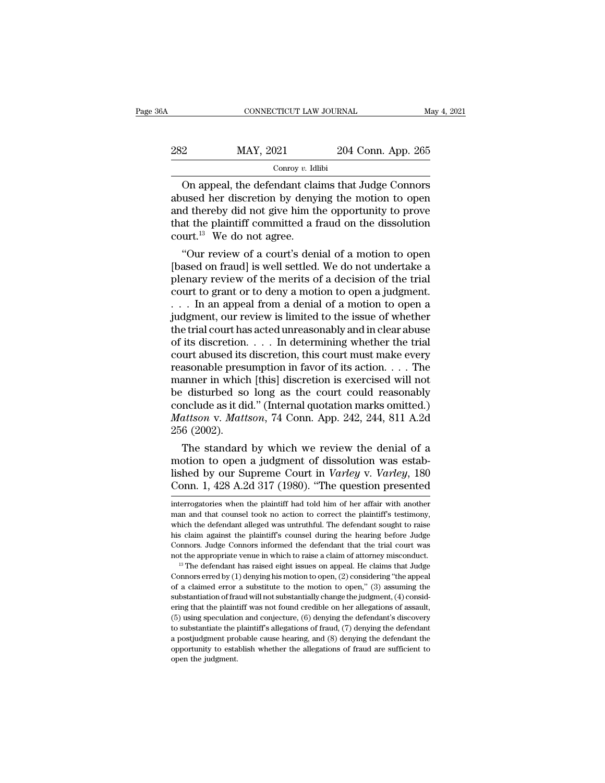| 6A  | CONNECTICUT LAW JOURNAL |                    | May 4, 2021 |
|-----|-------------------------|--------------------|-------------|
| 282 | MAY, 2021               | 204 Conn. App. 265 |             |
|     | Conroy $v$ . Idlibi     |                    |             |

CONNECTICUT LAW JOURNAL May 4, 2021<br>
204 Conn. App. 265<br>
Conroy v. Idlibi<br>
204 Conn. App. 265<br>
Conroy v. Idlibi<br>
204 Conn. App. 265<br>
204 Connors<br>
204 Conn. App. 265<br>
204 Connors<br>
204 Connors<br>
204 Connors<br>
204 Connors<br>
204 282 MAY, 2021 204 Conn. App. 265<br>  $\frac{\text{Conv } v. \text{ Idlibi}}{\text{Conv } v. \text{ Idlibi}}$ <br>
On appeal, the defendant claims that Judge Connors<br>
abused her discretion by denying the motion to open<br>
and thereby did not give him the opportunity to 282 MAY, 2021 204 Conn. App. 265<br>
Conroy v. Idibi<br>
On appeal, the defendant claims that Judge Connors<br>
abused her discretion by denying the motion to open<br>
and thereby did not give him the opportunity to prove<br>
that the p 282 MAY, 2021 204 Conn. App. 265<br>
Conroy v. Idlibi<br>
On appeal, the defendant claims that Judge Connors<br>
abused her discretion by denying the motion to open<br>
and thereby did not give him the opportunity to prove<br>
that the Conroy v. Idl<br>
Conroy v. Idl<br>
Conroy v. Idl<br>
abused her discretion by deny<br>
and thereby did not give him that the plaintiff committed a f<br>
court.<sup>13</sup> We do not agree.<br>
"Our review of a court's den On appeal, the defendant claims that Judge Connors<br>
used her discretion by denying the motion to open<br>
d thereby did not give him the opportunity to prove<br>
at the plaintiff committed a fraud on the dissolution<br>
urt.<sup>13</sup> We On appeal, the defendant claims that Judge Connors<br>abused her discretion by denying the motion to open<br>and thereby did not give him the opportunity to prove<br>that the plaintiff committed a fraud on the dissolution<br>court.<sup>1</sup>

abused her discretion by denying the motion to open<br>and thereby did not give him the opportunity to prove<br>that the plaintiff committed a fraud on the dissolution<br>court.<sup>13</sup> We do not agree.<br>"Our review of a court's denial and thereby did not give him the opportunity to prove<br>that the plaintiff committed a fraud on the dissolution<br>court.<sup>13</sup> We do not agree.<br>"Our review of a court's denial of a motion to open<br>[based on fraud] is well settled that the plaintiff commutted a fraud on the dissolution<br>
court.<sup>13</sup> We do not agree.<br>
"Our review of a court's denial of a motion to open<br>
[based on fraud] is well settled. We do not undertake a<br>
plenary review of the mer court." We do not agree.<br>
"Our review of a court's denial of a motion to open<br>
[based on fraud] is well settled. We do not undertake a<br>
plenary review of the merits of a decision of the trial<br>
court to grant or to deny a m "Our review of a court's denial of a motion to open<br>[based on fraud] is well settled. We do not undertake a<br>plenary review of the merits of a decision of the trial<br>court to grant or to deny a motion to open a judgment.<br> $\d$ [based on fraud] is well settled. We do not undertake a<br>plenary review of the merits of a decision of the trial<br>court to grant or to deny a motion to open a judgment.<br> $\dots$  In an appeal from a denial of a motion to open a<br> plenary review of the merits of a decision of the trial<br>court to grant or to deny a motion to open a judgment.<br>. . . . In an appeal from a denial of a motion to open a<br>judgment, our review is limited to the issue of whethe court to grant or to deny a motion to open a judgment.<br>
. . . In an appeal from a denial of a motion to open a<br>
judgment, our review is limited to the issue of whether<br>
the trial court has acted unreasonably and in clear . . . In an appeal from a denial of a motion to open a judgment, our review is limited to the issue of whether the trial court has acted unreasonably and in clear abuse of its discretion. . . . In determining whether the judgment, our review is limited to the issue of whether<br>the trial court has acted unreasonably and in clear abuse<br>of its discretion. . . . In determining whether the trial<br>court abused its discretion, this court must make the trial court has acted unreasonably and in clear abuse<br>of its discretion. . . . In determining whether the trial<br>court abused its discretion, this court must make every<br>reasonable presumption in favor of its action. . of its discretion. . . . In determining whether the trial<br>court abused its discretion, this court must make every<br>reasonable presumption in favor of its action. . . . The<br>manner in which [this] discretion is exercised will court abused its<br>reasonable presu<br>manner in which<br>be disturbed so<br>conclude as it di<br>*Mattson* v. *Matt*<br>256 (2002).<br>The standard asonable presumption in favor of its action. . . . The<br>anner in which [this] discretion is exercised will not<br>disturbed so long as the court could reasonably<br>nclude as it did." (Internal quotation marks omitted.)<br>attson v manner in which [this] discretion is exercised will not<br>be disturbed so long as the court could reasonably<br>conclude as it did." (Internal quotation marks omitted.)<br>*Mattson v. Mattson*, 74 Conn. App. 242, 244, 811 A.2d<br>25

be disturbed so long as the court could reasonably<br>conclude as it did." (Internal quotation marks omitted.)<br>*Mattson* v. *Mattson*, 74 Conn. App. 242, 244, 811 A.2d<br>256 (2002).<br>The standard by which we review the denial of conclude as it did. (Internal quotation marks omitted.)<br> *Mattson* v. *Mattson*, 74 Conn. App. 242, 244, 811 A.2d<br>
256 (2002).<br>
The standard by which we review the denial of a<br>
motion to open a judgment of dissolution was The standard by which we review the denial of a<br>motion to open a judgment of dissolution was estab-<br>lished by our Supreme Court in *Varley* v. *Varley*, 180<br>Conn. 1, 428 A.2d 317 (1980). "The question presented<br>interrogato motion to open a judgment of dissolution was established by our Supreme Court in *Varley* v. *Varley*, 180 Conn. 1, 428 A.2d 317 (1980). "The question presented interrogatories when the plaintiff had told him of her affair

his claim against the plaintiff's counsel during the hearing before Judge Connors. Judge Connors informed the defendant that the trial court was not the appropriate venue in which to raise a claim of attorney misconduct.<br> Connors. Judge Connors informed the defendant that the trial court was not the appropriate venue in which to raise a claim of attorney misconduct.<br><sup>13</sup> The defendant has raised eight issues on appeal. He claims that Judge From the appropriate venue in which to raise a claim of attorney misconduct.<br>
<sup>13</sup> The defendant has raised eight issues on appeal. He claims that Judge<br>
Connors erred by (1) denying his motion to open, (2) considering "t <sup>13</sup> The defendant has raised eight issues on appeal. He claims that Judge Connors erred by (1) denying his motion to open, (2) considering "the appeal of a claimed error a substitute to the motion to open," (3) assuming Connors erred by (1) denying his motion to open, (2) considering "the appeal of a claimed error a substitute to the motion to open," (3) assuming the substantiation of fraud will not substantially change the judgment, (4) of a claimed error a substitute to the motion to open," (3) assuming the substantiation of fraud will not substantially change the judgment, (4) considering that the plaintiff was not found credible on her allegations of substantiation of fraud will not substantially change the judgment, (4) considering that the plaintiff was not found credible on her allegations of assault, (5) using speculation and conjecture, (6) denying the defendant' substantiation of fraud will not substantially change the judgment,  $(4)$  considering that the plaintiff was not found credible on her allegations of assault, (5) using speculation and conjecture, (6) denying the defendan

lished by our Supreme Court in *Varley* v. *Varley*, 180<br>Conn. 1, 428 A.2d 317 (1980). "The question presented<br>interrogatories when the plaintiff had told him of her affair with another<br>man and that counsel took no action **Conn.** 1, 428 A.2d 317 (1980). "The question presented<br>interrogatories when the plaintiff had told him of her affair with another<br>man and that counsel took no action to correct the plaintiff's testimony,<br>which the defend COILIT. 1, 428 A.20 317 (1980). The question presented<br>interrogatories when the plaintiff had told him of her affair with another<br>man and that counsel took no action to correct the plaintiff's testimony,<br>which the defendan interrogatories when the plaintiff had told him of her affair with another man and that counsel took no action to correct the plaintiff's testimony, which the defendant alleged was untruthful. The defendant sought to rais which the defendant alleged was untruthful. The defendant sought to raise<br>his claim against the plaintiff's counsel during the hearing before Judge<br>Connors. Judge Connors informed the defendant that the trial court was<br>no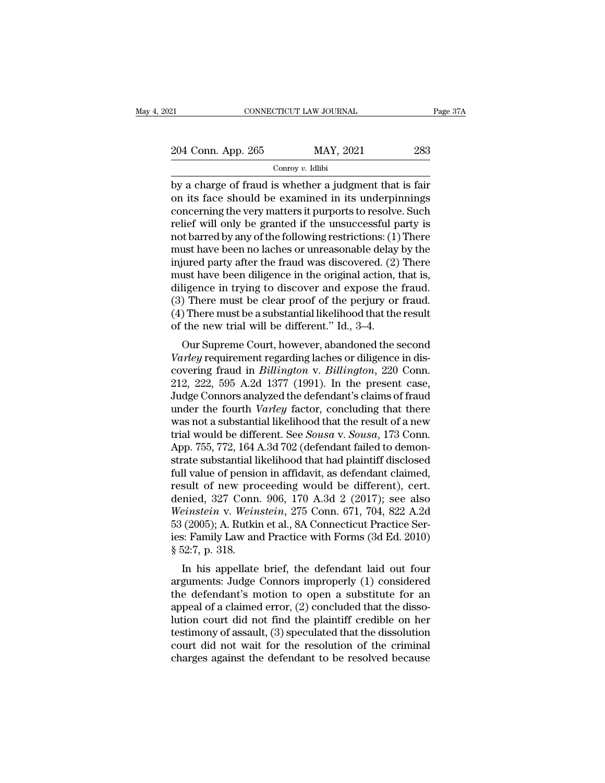| 21                 | CONNECTICUT LAW JOURNAL | Page 37A |
|--------------------|-------------------------|----------|
| 204 Conn. App. 265 | MAY, 2021               | 283      |
|                    | Conroy $v$ . Idlibi     |          |

 $\begin{array}{ccc}\n & \text{COMRECTICUT LAW JOURNAL} & \text{Page 37A} \\
 \hline\n 204 \text{ Conn. App. 265} & \text{MAX, } 2021 & 283 \\
 \hline\n & \text{Conv } v. \text{ Idibi} & \text{by a charge of } \text{frau is whether a judgment that is fair} \\
 \text{on its face should be examined in its underpinnings} & \text{concerning the } v \text{cvx} \text{ matters it numerates to resolve. Such}\n \end{array}$ 204 Conn. App. 265 MAY, 2021 283<br>
Conroy v. Idlibi<br>
by a charge of fraud is whether a judgment that is fair<br>
on its face should be examined in its underpinnings<br>
concerning the very matters it purports to resolve. Such<br>
r 204 Conn. App. 265 MAY, 2021 283<br>
Conroy v. Idlibi<br>
by a charge of fraud is whether a judgment that is fair<br>
on its face should be examined in its underpinnings<br>
concerning the very matters it purports to resolve. Such<br>
r 204 Conn. App. 265 MAY, 2021 283<br>
Conroy v. Idlibi<br>
by a charge of fraud is whether a judgment that is fair<br>
on its face should be examined in its underpinnings<br>
concerning the very matters it purports to resolve. Such<br>
r Constant-of the following control of the following restrictions:<br>
by a charge of fraud is whether a judgment that is fair<br>
on its face should be examined in its underpinnings<br>
concerning the very matters it purports to re Conroy v. Idibi<br>
by a charge of fraud is whether a judgment that is fair<br>
on its face should be examined in its underpinnings<br>
concerning the very matters it purports to resolve. Such<br>
relief will only be granted if the u by a charge of fraud is whether a judgment that is fair<br>on its face should be examined in its underpinnings<br>concerning the very matters it purports to resolve. Such<br>relief will only be granted if the unsuccessful party is<br> on its face should be examined in its underpinnings<br>concerning the very matters it purports to resolve. Such<br>relief will only be granted if the unsuccessful party is<br>not barred by any of the following restrictions: (1) The concerning the very matters it purports to resolve. Such<br>relief will only be granted if the unsuccessful party is<br>not barred by any of the following restrictions: (1) There<br>must have been no laches or unreasonable delay by relief will only be granted if the unsuccessful party is<br>not barred by any of the following restrictions: (1) There<br>must have been no laches or unreasonable delay by the<br>injured party after the fraud was discovered. (2) Th not barred by any of the following restrictions: (1) There<br>must have been no laches or unreasonable delay by the<br>injured party after the fraud was discovered. (2) There<br>must have been diligence in the original action, that must have been no laches or unreasonable delay<br>injured party after the fraud was discovered. (2)<br>must have been diligence in the original action,<br>diligence in trying to discover and expose the<br>(3) There must be clear proof different party after the fraud was discovered. (2) There<br>ust have been diligence in the original action, that is,<br>ligence in trying to discover and expose the fraud.<br>) There must be clear proof of the perjury or fraud.<br>T *Varley* requirement regarding laches or different.<br> *Variety or fraud.*<br>
(3) There must be clear proof of the perjury or fraud.<br>
(4) There must be a substantial likelihood that the result<br>
of the new trial will be differe

dingence in trying to discover and expose the riadd.<br>
(3) There must be clear proof of the perjury or fraud.<br>
(4) There must be a substantial likelihood that the result<br>
of the new trial will be different." Id., 3–4.<br>
Our (3) There must be clear proof of the perjury of fraud.<br>
(4) There must be a substantial likelihood that the result<br>
of the new trial will be different." Id., 3–4.<br>
Our Supreme Court, however, abandoned the second<br>
Varley (4) There must be a substantial intermoducinat the result<br>of the new trial will be different." Id., 3–4.<br>Our Supreme Court, however, abandoned the second<br>Varley requirement regarding laches or diligence in dis-<br>covering f or the flew trial will be different. Tu., 5–4.<br>
Our Supreme Court, however, abandoned the second<br> *Varley* requirement regarding laches or diligence in dis-<br>
covering fraud in *Billington* v. *Billington*, 220 Conn.<br>
212, Our Supreme Court, however, abandoned the second<br>Varley requirement regarding laches or diligence in dis-<br>covering fraud in *Billington* v. *Billington*, 220 Conn.<br>212, 222, 595 A.2d 1377 (1991). In the present case,<br>Judge Varley requirement regarding laches or diligence in discovering fraud in *Billington* v. *Billington*, 220 Conn.<br>212, 222, 595 A.2d 1377 (1991). In the present case,<br>Judge Connors analyzed the defendant's claims of fraud<br>u covering fraud in *Billington* v. *Billington*, 220 Conn.<br>212, 222, 595 A.2d 1377 (1991). In the present case,<br>Judge Connors analyzed the defendant's claims of fraud<br>under the fourth *Varley* factor, concluding that there<br> 212, 222, 595 A.2d 1377 (1991). In the present case,<br>Judge Connors analyzed the defendant's claims of fraud<br>under the fourth *Varley* factor, concluding that there<br>was not a substantial likelihood that the result of a new Judge Connors analyzed the defendant's claims of fraud<br>under the fourth *Varley* factor, concluding that there<br>was not a substantial likelihood that the result of a new<br>trial would be different. See *Sousa* v. *Sousa*, 17 under the fourth *Varley* factor, concluding that there was not a substantial likelihood that the result of a new trial would be different. See *Sousa* v. *Sousa*, 173 Conn. App. 755, 772, 164 A.3d 702 (defendant failed t was not a substantial likelihood that the result of a new<br>trial would be different. See *Sousa* v. *Sousa*, 173 Conn.<br>App. 755, 772, 164 A.3d 702 (defendant failed to demon-<br>strate substantial likelihood that had plaintiff *Weinstein* Irial would be different. See *Sousa* v. *Sousa*, 173 Conn.<br>
App. 755, 772, 164 A.3d 702 (defendant failed to demonstrate substantial likelihood that had plaintiff disclosed<br>
full value of pension in affidavit, App. 755, 772, 164 A.3d 702 (defendant failed to demonstrate substantial likelihood that had plaintiff disclosed full value of pension in affidavit, as defendant claimed, result of new proceeding would be different), cert strate substantial likelihood that had plaintiff disclosed<br>full value of pension in affidavit, as defendant claimed,<br>result of new proceeding would be different), cert.<br>denied, 327 Conn. 906, 170 A.3d 2 (2017); see also<br>We full value of pensic<br>result of new pro<br>denied, 327 Conn<br>Weinstein v. Wein<br>53 (2005); A. Rutkin<br>ies: Family Law an<br>§ 52:7, p. 318.<br>In his appellate suit of new proceeding would be different), cert.<br>
mied, 327 Conn. 906, 170 A.3d 2 (2017); see also<br> *einstein* v. Weinstein, 275 Conn. 671, 704, 822 A.2d<br>
(2005); A. Rutkin et al., 8A Connecticut Practice Ser-<br>
i: Family defined, 327 Collif. 900, 170 A.3d 2 (2017), see also<br>
Weinstein v. Weinstein, 275 Conn. 671, 704, 822 A.2d<br>
53 (2005); A. Rutkin et al., 8A Connecticut Practice Ser-<br>
ies: Family Law and Practice with Forms (3d Ed. 2010)

werkstein v. werkstein, 275 Collil. 071, 704, 822 A.2d<br>53 (2005); A. Rutkin et al., 8A Connecticut Practice Ser-<br>ies: Family Law and Practice with Forms (3d Ed. 2010)<br> $\$  52:7, p. 318.<br>In his appellate brief, the defendan 33 (2005), A. Kutkin et a.., 8A Connecticut Fractice ser-<br>ies: Family Law and Practice with Forms (3d Ed. 2010)<br>§ 52:7, p. 318.<br>In his appellate brief, the defendant laid out four<br>arguments: Judge Connors improperly (1) c les. Family Law and Fractice with Forms (5d Ed. 2010)<br>
§ 52:7, p. 318.<br>
In his appellate brief, the defendant laid out four<br>
arguments: Judge Connors improperly (1) considered<br>
the defendant's motion to open a substitute s 52.7, p. 318.<br>In his appellate brief, the defendant laid out four<br>arguments: Judge Connors improperly (1) considered<br>the defendant's motion to open a substitute for an<br>appeal of a claimed error, (2) concluded that the d In his appellate brief, the defendant laid out four<br>arguments: Judge Connors improperly (1) considered<br>the defendant's motion to open a substitute for an<br>appeal of a claimed error, (2) concluded that the disso-<br>lution cour arguments: Judge Connors improperly (1) considered<br>the defendant's motion to open a substitute for an<br>appeal of a claimed error, (2) concluded that the disso-<br>lution court did not find the plaintiff credible on her<br>testimo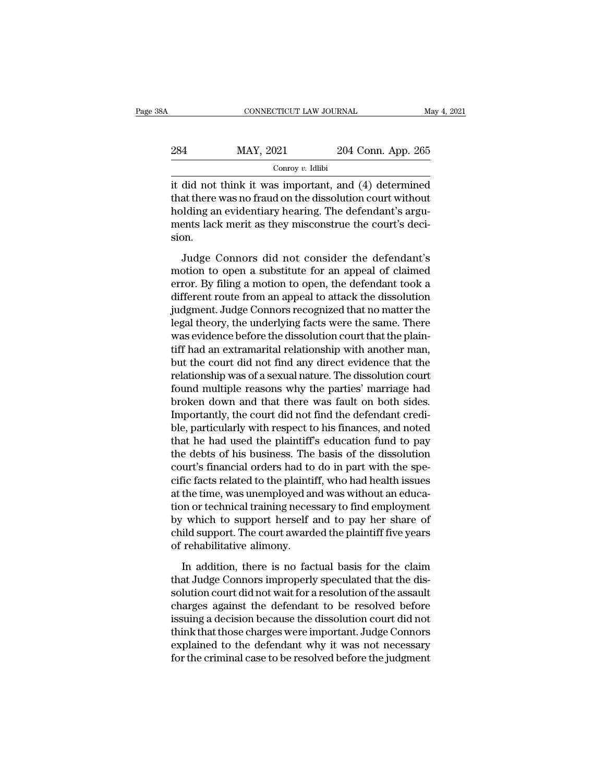| 8Α  | CONNECTICUT LAW JOURNAL |                    | May 4, 2021 |
|-----|-------------------------|--------------------|-------------|
| 284 | MAY, 2021               | 204 Conn. App. 265 |             |
|     | Conroy $v$ . Idlibi     |                    |             |

CONNECTICUT LAW JOURNAL May 4, 2021<br>
284 MAY, 2021 204 Conn. App. 265<br>  $\frac{1}{2}$  Conroy v. Idlibi<br>
it did not think it was important, and (4) determined<br>
that there was no fraud on the dissolution court without 284 MAY, 2021 204 Conn. App. 265<br>  $\frac{\text{Conv } y. \text{ Idlibi}}{\text{Corroy } v. \text{ Idlibi}}$ <br>
it did not think it was important, and (4) determined<br>
that there was no fraud on the dissolution court without<br>
holding an evidentiary hearing. The de MAY, 2021 204 Conn. App. 265<br>
Conroy v. Idlibi<br>
it did not think it was important, and (4) determined<br>
that there was no fraud on the dissolution court without<br>
holding an evidentiary hearing. The defendant's argu-<br>
ments 284 MAY, 2021 204 Conn. App. 265<br>  $\frac{1}{\text{Conv } v \cdot \text{Idlibi}}$ <br>
it did not think it was important, and (4) determined<br>
that there was no fraud on the dissolution court without<br>
holding an evidentiary hearing. The defendant's ar sion. did not think it was important, and (4) determined<br>at there was no fraud on the dissolution court without<br>plding an evidentiary hearing. The defendant's argu-<br>ents lack merit as they misconstrue the court's deci-<br>pn.<br>Judge matrice and the distribution to the dissolution court without<br>holding an evidentiary hearing. The defendant's argu-<br>ments lack merit as they misconstrue the court's deci-<br>sion.<br>Judge Connors did not consider the defendant'

error. By filing an evidentiary hearing. The defendant's arguments lack merit as they misconstrue the court's decision.<br>Judge Connors did not consider the defendant's motion to open a substitute for an appeal of claimed er different route from an appeal to attack the different route of a substitute for an appeal of claimed<br>error. By filing a motion to open, the defendant's<br>different route from an appeal to attack the dissolution<br>judgment. Ju Judge Connors did not consider the defendant's<br>motion to open a substitute for an appeal of claimed<br>error. By filing a motion to open, the defendant took a<br>different route from an appeal to attack the dissolution<br>judgment. Judge Connors did not consider the defendant's<br>motion to open a substitute for an appeal of claimed<br>error. By filing a motion to open, the defendant took a<br>different route from an appeal to attack the dissolution<br>judgment. Judge Connors did not consider the defendant's<br>motion to open a substitute for an appeal of claimed<br>error. By filing a motion to open, the defendant took a<br>different route from an appeal to attack the dissolution<br>judgment. motion to open a substitute for an appeal of claimed<br>error. By filing a motion to open, the defendant took a<br>different route from an appeal to attack the dissolution<br>judgment. Judge Connors recognized that no matter the<br>le error. By filing a motion to open, the defendant took a<br>different route from an appeal to attack the dissolution<br>judgment. Judge Connors recognized that no matter the<br>legal theory, the underlying facts were the same. There different route from an appeal to attack the dissolution<br>judgment. Judge Connors recognized that no matter the<br>legal theory, the underlying facts were the same. There<br>was evidence before the dissolution court that the plai judgment. Judge Connors recognized that no matter the<br>legal theory, the underlying facts were the same. There<br>was evidence before the dissolution court that the plain-<br>tiff had an extramarital relationship with another man legal theory, the underlying facts were the same. There<br>was evidence before the dissolution court that the plain-<br>tiff had an extramarital relationship with another man,<br>but the court did not find any direct evidence that was evidence before the dissolution court that the plain-<br>tiff had an extramarital relationship with another man,<br>but the court did not find any direct evidence that the<br>relationship was of a sexual nature. The dissolution tiff had an extramarital relationship with another man,<br>but the court did not find any direct evidence that the<br>relationship was of a sexual nature. The dissolution court<br>found multiple reasons why the parties' marriage ha but the court did not find any direct evidence that the relationship was of a sexual nature. The dissolution court<br>found multiple reasons why the parties' marriage had<br>broken down and that there was fault on both sides.<br>Im relationship was of a sexual nature. The dissolution court<br>found multiple reasons why the parties' marriage had<br>broken down and that there was fault on both sides.<br>Importantly, the court did not find the defendant credi-<br>b found multiple reasons why the parties' marriage had<br>broken down and that there was fault on both sides.<br>Importantly, the court did not find the defendant credi-<br>ble, particularly with respect to his finances, and noted<br>th broken down and that there was fault on both sides.<br>Importantly, the court did not find the defendant credi-<br>ble, particularly with respect to his finances, and noted<br>that he had used the plaintiff's education fund to pay<br> Importantly, the court did not find the defendant credible, particularly with respect to his finances, and noted that he had used the plaintiff's education fund to pay the debts of his business. The basis of the dissolutio ble, particularly with respect to his finances, and noted<br>that he had used the plaintiff's education fund to pay<br>the debts of his business. The basis of the dissolution<br>court's financial orders had to do in part with the s that he had used the plaintiff's education fund to pay<br>the debts of his business. The basis of the dissolution<br>court's financial orders had to do in part with the spe-<br>cific facts related to the plaintiff, who had health i the debts of his business. The basis of the dissolution<br>court's financial orders had to do in part with the spe-<br>cific facts related to the plaintiff, who had health issues<br>at the time, was unemployed and was without an ed court's financial orders had to<br>cific facts related to the plainti<br>at the time, was unemployed ar<br>tion or technical training neces<br>by which to support herself a<br>child support. The court award<br>of rehabilitative alimony.<br>In the time, was unemployed and was without an educa-<br>on or technical training necessary to find employment<br>which to support herself and to pay her share of<br>ild support. The court awarded the plaintiff five years<br>rehabilitati tion or technical training necessary to find employment<br>by which to support herself and to pay her share of<br>child support. The court awarded the plaintiff five years<br>of rehabilitative alimony.<br>In addition, there is no fact

by which to support herself and to pay her share of<br>child support. The court awarded the plaintiff five years<br>of rehabilitative alimony.<br>In addition, there is no factual basis for the claim<br>that Judge Connors improperly sp child support. The court awarded the plaintiff five years<br>of rehabilitative alimony.<br>In addition, there is no factual basis for the claim<br>that Judge Connors improperly speculated that the dis-<br>solution court did not wait f of rehabilitative alimony.<br>
In addition, there is no factual basis for the claim<br>
that Judge Connors improperly speculated that the dis-<br>
solution court did not wait for a resolution of the assault<br>
charges against the def In addition, there is no factual basis for the claim<br>that Judge Connors improperly speculated that the dis-<br>solution court did not wait for a resolution of the assault<br>charges against the defendant to be resolved before<br>is In addition, there is no factual basis for the claim<br>that Judge Connors improperly speculated that the dis-<br>solution court did not wait for a resolution of the assault<br>charges against the defendant to be resolved before<br>is that Judge Connors improperly speculated that the dissolution court did not wait for a resolution of the assault<br>charges against the defendant to be resolved before<br>issuing a decision because the dissolution court did not<br>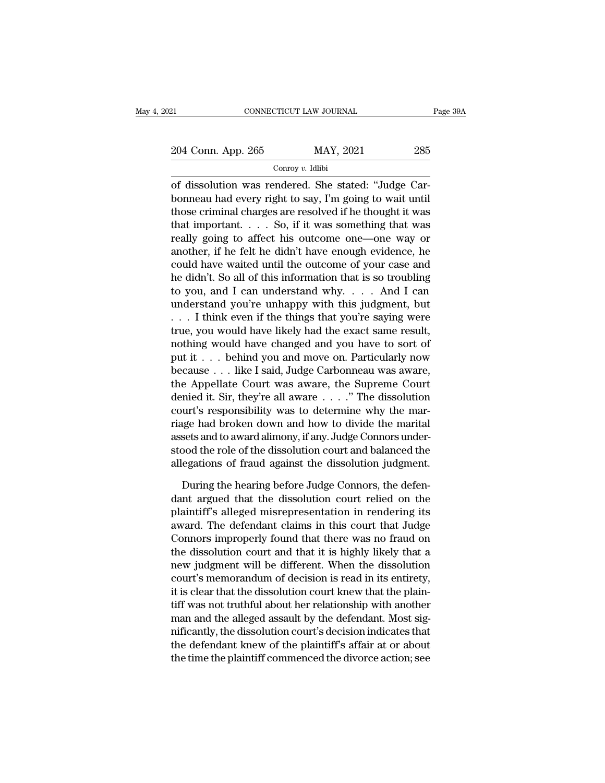EXECTIVE CONNECTICUT LAW JOURNAL Page 39A<br>204 Conn. App. 265 MAY, 2021 285<br>Conroy v. Idlibi

# Conroy *v.* Idlibi

CONNECTICUT LAW JOURNAL<br>
204 Conn. App. 265 MAY, 2021 285<br>
Conroy v. Idlibi<br>
of dissolution was rendered. She stated: "Judge Car-<br>
bonneau had every right to say, I'm going to wait until<br>
these eximinal charges are resolve 204 Conn. App. 265 MAY, 2021 285<br>
Conroy v. Idlibi<br>
of dissolution was rendered. She stated: "Judge Car-<br>
bonneau had every right to say, I'm going to wait until<br>
those criminal charges are resolved if he thought it was<br> 204 Conn. App. 265 MAY, 2021 285<br>  $\frac{\text{Conv } v. \text{ Idlibi}}{\text{Conv of}}$ <br>
of dissolution was rendered. She stated: "Judge Car-<br>
bonneau had every right to say, I'm going to wait until<br>
those criminal charges are resolved if he thought 204 Conn. App. 265 MAY, 2021 285<br>
Conroy v. Idlibi<br>
of dissolution was rendered. She stated: "Judge Car-<br>
bonneau had every right to say, I'm going to wait until<br>
those criminal charges are resolved if he thought it was<br> Conroy v. Idlibi<br>
of dissolution was rendered. She stated: "Judge Car-<br>
bonneau had every right to say, I'm going to wait until<br>
those criminal charges are resolved if he thought it was<br>
that important. . . . . So, if it comby  $v$  hand of dissolution was rendered. She stated: "Judge Car-<br>bonneau had every right to say, I'm going to wait until<br>those criminal charges are resolved if he thought it was<br>that important. . . . . So, if it was so of dissolution was rendered. She stated: "Judge Car-<br>bonneau had every right to say, I'm going to wait until<br>those criminal charges are resolved if he thought it was<br>that important.... So, if it was something that was<br>rea bonneau had every right to say, I'm going to wait until<br>those criminal charges are resolved if he thought it was<br>that important.... So, if it was something that was<br>really going to affect his outcome one—one way or<br>anothe those criminal charges are resolved if he thought it was<br>that important.... So, if it was something that was<br>really going to affect his outcome one—one way or<br>another, if he felt he didn't have enough evidence, he<br>could h that important. . . . So, if it was something that was<br>really going to affect his outcome one—one way or<br>another, if he felt he didn't have enough evidence, he<br>could have waited until the outcome of your case and<br>he didn' really going to affect his outcome one—one way or<br>another, if he felt he didn't have enough evidence, he<br>could have waited until the outcome of your case and<br>he didn't. So all of this information that is so troubling<br>to yo another, if he felt he didn't have enough evidence, he could have waited until the outcome of your case and he didn't. So all of this information that is so troubling to you, and I can understand why. . . . And I can unde could have waited until the outcome of your case and<br>he didn't. So all of this information that is so troubling<br>to you, and I can understand why. . . . And I can<br>understand you're unhappy with this judgment, but<br> $\dots$  I th he didn't. So all of this information that is so troubling<br>to you, and I can understand why.... And I can<br>understand you're unhappy with this judgment, but<br> $\dots$  I think even if the things that you're saying were<br>true, you to you, and I can understand why. . . . And I can<br>understand you're unhappy with this judgment, but<br>. . . I think even if the things that you're saying were<br>true, you would have likely had the exact same result,<br>nothing w understand you're unhappy with this judgment, but<br>  $\ldots$  I think even if the things that you're saying were<br>
true, you would have likely had the exact same result,<br>
nothing would have changed and you have to sort of<br>
put ... I think even if the things that you're saying were<br>true, you would have likely had the exact same result,<br>nothing would have changed and you have to sort of<br>put it ... behind you and move on. Particularly now<br>because true, you would have likely had the exact same result,<br>nothing would have changed and you have to sort of<br>put it . . . behind you and move on. Particularly now<br>because . . . like I said, Judge Carbonneau was aware,<br>the App nothing would have changed and you have to sort of<br>put it . . . behind you and move on. Particularly now<br>because . . . like I said, Judge Carbonneau was aware,<br>the Appellate Court was aware, the Supreme Court<br>denied it. S put it . . . behind you and move on. Particularly now<br>because . . . like I said, Judge Carbonneau was aware,<br>the Appellate Court was aware, the Supreme Court<br>denied it. Sir, they're all aware . . . . ." The dissolution<br>cou because . . . like I said, Judge Carbonneau was aware,<br>the Appellate Court was aware, the Supreme Court<br>denied it. Sir, they're all aware . . . . ." The dissolution<br>court's responsibility was to determine why the mar-<br>riag the Appellate Court was aware, the Supreme Court<br>denied it. Sir, they're all aware  $\dots$ ." The dissolution<br>court's responsibility was to determine why the mar-<br>riage had broken down and how to divide the marital<br>assets and urt's responsibility was to determine why the marital<br>ge had broken down and how to divide the marital<br>sets and to award alimony, if any. Judge Connors under-<br>bood the role of the dissolution court and balanced the<br>egation riage had broken down and how to divide the marital<br>assets and to award alimony, if any. Judge Connors under-<br>stood the role of the dissolution court and balanced the<br>allegations of fraud against the dissolution judgment.<br>

assets and to award alimony, if any. Judge Connors understood the role of the dissolution court and balanced the allegations of fraud against the dissolution judgment.<br>During the hearing before Judge Connors, the defendant stood the role of the dissolution court and balanced the<br>allegations of fraud against the dissolution judgment.<br>During the hearing before Judge Connors, the defen-<br>dant argued that the dissolution court relied on the<br>plain allegations of fraud against the dissolution judgment.<br>
During the hearing before Judge Connors, the defen-<br>
dant argued that the dissolution court relied on the<br>
plaintiff's alleged misrepresentation in rendering its<br>
awa During the hearing before Judge Connors, the defendant argued that the dissolution court relied on the plaintiff's alleged misrepresentation in rendering its award. The defendant claims in this court that Judge Connors imp During the hearing before Judge Connors, the defen-<br>dant argued that the dissolution court relied on the<br>plaintiff's alleged misrepresentation in rendering its<br>award. The defendant claims in this court that Judge<br>Connors i dant argued that the dissolution court relied on the<br>plaintiff's alleged misrepresentation in rendering its<br>award. The defendant claims in this court that Judge<br>Connors improperly found that there was no fraud on<br>the disso plaintiff's alleged misrepresentation in rendering its<br>award. The defendant claims in this court that Judge<br>Connors improperly found that there was no fraud on<br>the dissolution court and that it is highly likely that a<br>new award. The defendant claims in this court that Judge<br>Connors improperly found that there was no fraud on<br>the dissolution court and that it is highly likely that a<br>new judgment will be different. When the dissolution<br>court' Connors improperly found that there was no fraud on<br>the dissolution court and that it is highly likely that a<br>new judgment will be different. When the dissolution<br>court's memorandum of decision is read in its entirety,<br>it the dissolution court and that it is highly likely that a<br>new judgment will be different. When the dissolution<br>court's memorandum of decision is read in its entirety,<br>it is clear that the dissolution court knew that the pl new judgment will be different. When the dissolution<br>court's memorandum of decision is read in its entirety,<br>it is clear that the dissolution court knew that the plain-<br>tiff was not truthful about her relationship with ano court's memorandum of decision is read in its entirety,<br>it is clear that the dissolution court knew that the plain-<br>tiff was not truthful about her relationship with another<br>man and the alleged assault by the defendant. Mo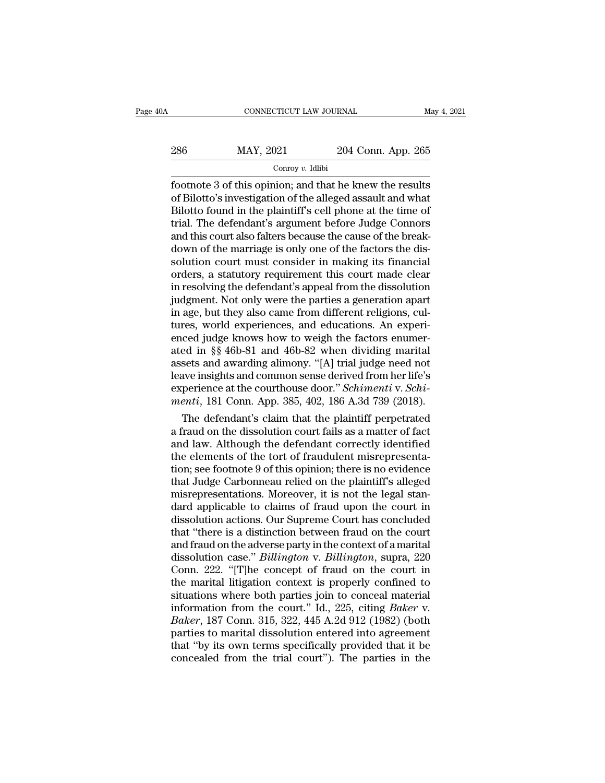# EXECUTE CONNECTICUT LAW JOURNAL May 4, 2021<br>286 MAY, 2021 204 Conn. App. 265<br>Conroy v. Idlibi

# Conroy *v.* Idlibi

For the same connection of the set of this opinion; and that he knew the results<br>of Bilotto's investigation of the alleged assault and what<br> $\frac{1}{\text{Rilotto's investigation of the alleged assault and what}}$ 286 MAY, 2021 204 Conn. App. 265<br>
Conroy v. Idlibi<br>
footnote 3 of this opinion; and that he knew the results<br>
of Bilotto's investigation of the alleged assault and what<br>
Bilotto found in the plaintiff's cell phone at the 286 MAY, 2021 204 Conn. App. 265<br>
Conroy v. Idlibi<br>
footnote 3 of this opinion; and that he knew the results<br>
of Bilotto's investigation of the alleged assault and what<br>
Bilotto found in the plaintiff's cell phone at the 286 MAY, 2021 204 Conn. App. 265<br>
Conroy v. Idlibi<br>
footnote 3 of this opinion; and that he knew the results<br>
of Bilotto's investigation of the alleged assault and what<br>
Bilotto found in the plaintiff's cell phone at the Concording the court and that he knew the results<br>footnote 3 of this opinion; and that he knew the results<br>of Bilotto's investigation of the alleged assault and what<br>Bilotto found in the plaintiff's cell phone at the time  $\frac{1}{10000}$  Conroy v. Idibi<br>footnote 3 of this opinion; and that he knew the results<br>of Bilotto's investigation of the alleged assault and what<br>Bilotto found in the plaintiff's cell phone at the time of<br>trial. The defen footnote 3 of this opinion; and that he knew the results<br>of Bilotto's investigation of the alleged assault and what<br>Bilotto found in the plaintiff's cell phone at the time of<br>trial. The defendant's argument before Judge Co of Bilotto's investigation of the alleged assault and what<br>Bilotto found in the plaintiff's cell phone at the time of<br>trial. The defendant's argument before Judge Connors<br>and this court also falters because the cause of th Bilotto found in the plaintiff's cell phone at the time of<br>trial. The defendant's argument before Judge Connors<br>and this court also falters because the cause of the break-<br>down of the marriage is only one of the factors th trial. The defendant's argument before Judge Connors<br>and this court also falters because the cause of the break-<br>down of the marriage is only one of the factors the dis-<br>solution court must consider in making its financial and this court also falters because the cause of the break-<br>down of the marriage is only one of the factors the dis-<br>solution court must consider in making its financial<br>orders, a statutory requirement this court made clea down of the marriage is only one of the factors the dissolution court must consider in making its financial<br>orders, a statutory requirement this court made clear<br>in resolving the defendant's appeal from the dissolution<br>jud solution court must consider in making its financial<br>orders, a statutory requirement this court made clear<br>in resolving the defendant's appeal from the dissolution<br>judgment. Not only were the parties a generation apart<br>in orders, a statutory requirement this court made clear<br>in resolving the defendant's appeal from the dissolution<br>judgment. Not only were the parties a generation apart<br>in age, but they also came from different religions, cul in resolving the defendant's appeal from the dissolution<br>judgment. Not only were the parties a generation apart<br>in age, but they also came from different religions, cul-<br>tures, world experiences, and educations. An experijudgment. Not only were the parties a generation apart<br>in age, but they also came from different religions, cul-<br>tures, world experiences, and educations. An experi-<br>enced judge knows how to weigh the factors enumer-<br>ated in age, but they also came from different religions, cultures, world experiences, and educations. An experienced judge knows how to weigh the factors enumerated in §§ 46b-81 and 46b-82 when dividing marital assets and awar tures, world experiences, and educations. An experienced judge knows how to weigh the factors enumerated in §§ 46b-81 and 46b-82 when dividing marital assets and awarding alimony. "[A] trial judge need not leave insights a ced judge knows now to weigh the factors enumer-<br>ed in §§ 46b-81 and 46b-82 when dividing marital<br>sets and awarding alimony. "[A] trial judge need not<br>ave insights and common sense derived from her life's<br>perience at the c ated in §§ 460-81 and 460-82 when dividing marital<br>assets and awarding alimony. "[A] trial judge need not<br>leave insights and common sense derived from her life's<br>experience at the courthouse door." *Schimenti* v. *Schi-<br>me* 

assets and awarding alimony. "[A] trial judge need not<br>leave insights and common sense derived from her life's<br>experience at the courthouse door." *Schimenti* v. *Schi-<br>menti*, 181 Conn. App. 385, 402, 186 A.3d 739 (2018). teave insights and common sense derived from her life's<br>experience at the courthouse door." *Schimenti* v. *Schi-<br>menti*, 181 Conn. App. 385, 402, 186 A.3d 739 (2018).<br>The defendant's claim that the plaintiff perpetrated<br>a experience at the courthouse door." Schimenti v. Schimenti, 181 Conn. App. 385, 402, 186 A.3d 739 (2018).<br>The defendant's claim that the plaintiff perpetrated<br>a fraud on the dissolution court fails as a matter of fact<br>and menti, 181 Conn. App. 385, 402, 186 A.3d 739 (2018).<br>
The defendant's claim that the plaintiff perpetrated<br>
a fraud on the dissolution court fails as a matter of fact<br>
and law. Although the defendant correctly identified<br> The defendant's claim that the plaintiff perpetrated<br>a fraud on the dissolution court fails as a matter of fact<br>and law. Although the defendant correctly identified<br>the elements of the tort of fraudulent misrepresenta-<br>tio a fraud on the dissolution court fails as a matter of fact<br>and law. Although the defendant correctly identified<br>the elements of the tort of fraudulent misrepresenta-<br>tion; see footnote 9 of this opinion; there is no eviden and law. Although the defendant correctly identified<br>the elements of the tort of fraudulent misrepresenta-<br>tion; see footnote 9 of this opinion; there is no evidence<br>that Judge Carbonneau relied on the plaintiff's alleged<br> the elements of the tort of fraudulent misrepresentation; see footnote 9 of this opinion; there is no evidence that Judge Carbonneau relied on the plaintiff's alleged misrepresentations. Moreover, it is not the legal stand tion; see footnote 9 of this opinion; there is no evidence<br>that Judge Carbonneau relied on the plaintiff's alleged<br>misrepresentations. Moreover, it is not the legal stan-<br>dard applicable to claims of fraud upon the court i that Judge Carbonneau relied on the plaintiff's alleged<br>misrepresentations. Moreover, it is not the legal stan-<br>dard applicable to claims of fraud upon the court in<br>dissolution actions. Our Supreme Court has concluded<br>that misrepresentations. Moreover, it is not the legal stan-<br>dard applicable to claims of fraud upon the court in<br>dissolution actions. Our Supreme Court has concluded<br>that "there is a distinction between fraud on the court<br>and dard applicable to claims of fraud upon the court in<br>dissolution actions. Our Supreme Court has concluded<br>that "there is a distinction between fraud on the court<br>and fraud on the adverse party in the context of a marital<br>d dissolution actions. Our Supreme Court has concluded<br>that "there is a distinction between fraud on the court<br>and fraud on the adverse party in the context of a marital<br>dissolution case." *Billington* v. *Billington*, supra that "there is a distinction between fraud on the court<br>and fraud on the adverse party in the context of a marital<br>dissolution case." *Billington* v. *Billington*, supra, 220<br>Conn. 222. "[T]he concept of fraud on the court and fraud on the adverse party in the context of a marital<br>dissolution case." *Billington* v. *Billington*, supra, 220<br>Conn. 222. "[T]he concept of fraud on the court in<br>the marital litigation context is properly confined dissolution case." *Billington* v. *Billington*, supra, 220<br>Conn. 222. "[T]he concept of fraud on the court in<br>the marital litigation context is properly confined to<br>situations where both parties join to conceal material<br>i Conn. 222. "[T]he concept of fraud on the court in<br>the marital litigation context is properly confined to<br>situations where both parties join to conceal material<br>information from the court." Id., 225, citing *Baker* v.<br>*Bak* the marital litigation context is properly confined to<br>situations where both parties join to conceal material<br>information from the court." Id., 225, citing *Baker* v.<br>*Baker*, 187 Conn. 315, 322, 445 A.2d 912 (1982) (both<br>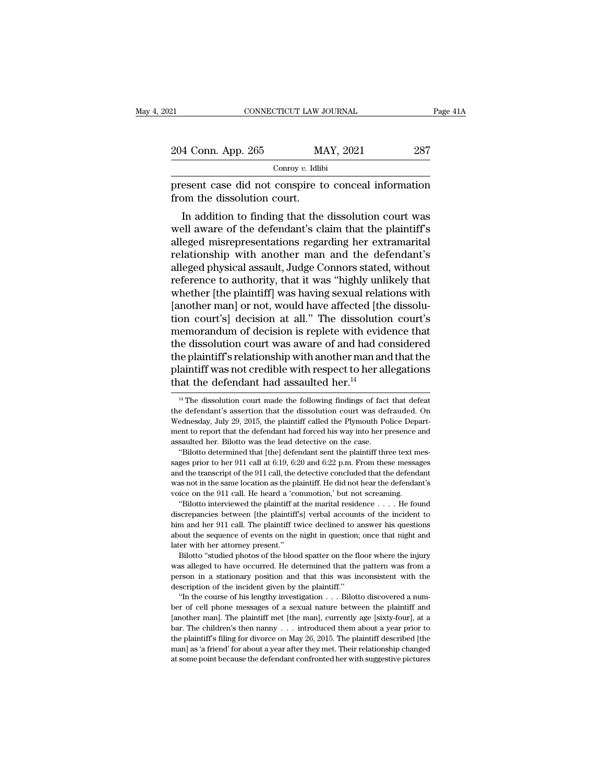| 21                                                                                  | CONNECTICUT LAW JOURNAL |                                                       |     | Page 41A |  |
|-------------------------------------------------------------------------------------|-------------------------|-------------------------------------------------------|-----|----------|--|
|                                                                                     |                         |                                                       |     |          |  |
| 204 Conn. App. 265                                                                  |                         | MAY, 2021                                             | 287 |          |  |
|                                                                                     | Conroy $v$ . Idlibi     |                                                       |     |          |  |
| present case did not conspire to conceal information<br>from the dissolution court. |                         |                                                       |     |          |  |
|                                                                                     |                         | In addition to finding that the dissolution court was |     |          |  |

 $\frac{1}{287}$ <br>  $\frac{1}{287}$ <br>  $\frac{1}{287}$ <br>  $\frac{1}{287}$ <br>  $\frac{1}{287}$ <br>  $\frac{1}{287}$ <br>  $\frac{1}{287}$ <br>  $\frac{1}{288}$ <br>  $\frac{1}{288}$ <br>  $\frac{1}{288}$ <br>  $\frac{1}{288}$ <br>  $\frac{1}{288}$ <br>  $\frac{1}{288}$ <br>  $\frac{1}{288}$ <br>  $\frac{1}{288}$ <br>  $\frac{1}{288}$ <br>  $\frac{1}{288}$ <br> 204 Conn. App. 265 MAY, 2021 287<br>
Conroy v. Idlibi<br>
present case did not conspire to conceal information<br>
from the dissolution court.<br>
In addition to finding that the dissolution court was<br>
well aware of the defendant's c  $\frac{1}{2}$  Conroy v. Idlibi<br>
present case did not conspire to conceal information<br>
from the dissolution court.<br>
In addition to finding that the dissolution court was<br>
well aware of the defendant's claim that the plaintiff' present case did not conspire to conceal information<br>from the dissolution court.<br>In addition to finding that the dissolution court was<br>well aware of the defendant's claim that the plaintiff's<br>alleged misrepresentations reg present case and not conspire to concear information<br>from the dissolution court.<br>In addition to finding that the dissolution court was<br>well aware of the defendant's claim that the plaintiff's<br>alleged misrepresentations reg In addition to finding that the dissolution court was<br>well aware of the defendant's claim that the plaintiff's<br>alleged misrepresentations regarding her extramarital<br>relationship with another man and the defendant's<br>alleged In addition to finding that the dissolution court was<br>well aware of the defendant's claim that the plaintiff's<br>alleged misrepresentations regarding her extramarital<br>relationship with another man and the defendant's<br>alleged well aware of the defendant's claim that the plaintiff's<br>alleged misrepresentations regarding her extramarital<br>relationship with another man and the defendant's<br>alleged physical assault, Judge Connors stated, without<br>refer alleged misrepresentations regarding her extramarital<br>relationship with another man and the defendant's<br>alleged physical assault, Judge Connors stated, without<br>reference to authority, that it was "highly unlikely that<br>whet relationship with another man and the defendant's<br>alleged physical assault, Judge Connors stated, without<br>reference to authority, that it was "highly unlikely that<br>whether [the plaintiff] was having sexual relations with<br>[ alleged physical assault, Judge Connors stated, without<br>reference to authority, that it was "highly unlikely that<br>whether [the plaintiff] was having sexual relations with<br>[another man] or not, would have affected [the diss reference to authority, that it was "highly unlikely that<br>whether [the plaintiff] was having sexual relations with<br>[another man] or not, would have affected [the dissolu-<br>tion court's] decision at all." The dissolution cou whether [the plaintiff] was having sexual relations with<br>[another man] or not, would have affected [the dissolution court's] decision at all." The dissolution court's<br>memorandum of decision is replete with evidence that<br>th [another man] or not, would have affected [thtion court's] decision at all." The dissolution memorandum of decision is replete with evid the dissolution court was aware of and had comet the plaintiff's relationship with a ie dissolution court was aware of and had considered<br>the plaintiff's relationship with another man and that the<br>laintiff was not credible with respect to her allegations<br>at the defendant had assaulted her.<sup>14</sup><br><sup>14</sup> The dis the plaintiff's relationship with another man and that the plaintiff was not credible with respect to her allegations that the defendant had assaulted her.<sup>14</sup><br><sup>14</sup> The dissolution court made the following findings of fac

bigger priority of the 911 call, the detective concluded that the defendant was not in the same location as the plaintiff. He did not hear the defendant's voice on the 911 call. He heard a 'commotion,' but not screaming. was not in the same location as the plaintiff. He did not hear the defendant's voice on the 911 call. He heard a 'commotion,' but not screaming. "Bilotto interviewed the plaintiff at the marital residence  $\dots$ . He found d wave on the 911 call. He heard a 'co<br>
"Bilotto interviewed the plaintiff at<br>
discrepancies between [the plaintiff at<br>
discrepancies between [the plaintiff the<br>
him and her 911 call. The plaintiff tv<br>
about the sequence of "Bilotto interviewed the plaintiff at the marital residence  $\ldots$ . He found screepancies between [the plaintiff's] verbal accounts of the incident to m and her 911 call. The plaintiff twice declined to answer his question discrepancies between [the plaintiff's] verbal accounts of the incident to him and her 911 call. The plaintiff twice declined to answer his questions about the sequence of events on the night in question; once that night a

men while the person in a stationary position and that this was inconsistent with her attorney present."<br>Bilotto "studied photos of the blood spatter on the floor where the injury was alleged to have occurred. He determine him and her 911 call. The plaintiff twice declined to answer his questions<br>about the sequence of events on the night in question; once that night and<br>later with her attorney present."<br>Bilotto "studied photos of the blood For with her attorney present."<br>
Bilotto "studied photos of the blood spatter on the floor where the injury<br>
as alleged to have occurred. He determined that the pattern was from a<br>
smoon in a stationary position and that t Bilotto "studied photos of the blood spatter on the floor where the injury<br>was alleged to have occurred. He determined that the pattern was from a<br>person in a stationary position and that this was inconsistent with the<br>des

was alleged to have occurred. He determined that the pattern was from a person in a stationary position and that this was inconsistent with the description of the incident given by the plaintiff." <br>"In the course of his l between the incident specifical that this was inconsistent with the description of the incident given by the plaintiff."<br>
"In the course of his lengthy investigation . . . Bilotto discovered a num-<br>
ber of cell phone mess description of the incident given by the plaintiff."<br>
"In the course of his lengthy investigation  $\ldots$ . Bilotto discovered a num-<br>
ber of cell phone messages of a sexual nature between the plaintiff and<br>
[another man]. T "In the course of his lengthy investigation . . . Bilotto discovered a number of cell phone messages of a sexual nature between the plaintiff and [another man]. The plaintiff met [the man], currently age [sixty-four], at ber of cell phone messages of a sexual nature between the plaintiff and [another man]. The plaintiff met [the man], currently age [sixty-four], at a bar. The children's then nanny  $\ldots$  introduced them about a year prior

plaintiff was not credible with respect to her allegations<br>that the defendant had assaulted her.<sup>14</sup><br><sup>14</sup> The dissolution court made the following findings of fact that defeat<br>the defendant's assertion that the dissolution that the defendant had assaulted her.<sup>14</sup><br><sup>14</sup> The dissolution court made the following findings of fact that defeat<br>the defendant's assertion that the dissolution court was defrauded. On<br>Wednesday, July 29, 2015, the pla that the defendant had assaulted her.<sup>14</sup><br><sup>14</sup> The dissolution court made the following findings of fact that defeat<br>the defendant's assertion that the dissolution court was defrauded. On<br>Wednesday, July 29, 2015, the pla <sup>14</sup> The dissolution court made the following findings of fact that defeate defendant's assertion that the dissolution court was defrauded. One<br>dednesday, July 29, 2015, the plaintiff called the Plymouth Police Depart-<br>en the defendant's assertion that the dissolution court was defrauded. On Wednesday, July 29, 2015, the plaintiff called the Plymouth Police Department to report that the defendant had forced his way into her presence and ass

are well and the Plymouth Police Depart-<br>and the set of the plaintiff called the Plymouth Police Depart-<br>ment to report that the defendant had forced his way into her presence and<br>assaulted her. Bilotto was the lead detect ment to report that the defendant had forced his way into her presence and assaulted her. Bilotto was the lead detective on the case.<br>
"Bilotto determined that [the] defendant sent the plaintiff three text messages prior t assaulted her. Bilotto was the lead detective on the case.<br>
"Bilotto determined that [the] defendant sent the plaintiff three text magges prior to her 911 call at 6:19, 6:20 and 6:22 p.m. From these message and the transc "Bilotto determined that [the] defendant sent the plaintiff three text mes-<br>"Bilotto determined that [the] defendant sent the plaintiff three text mes-<br>ges prior to her 911 call at 6:19, 6:20 and 6:22 p.m. From these mess sages prior to her 911 call at 6:19, 6:20 and 6:22 p.m. From these messages and the transcript of the 911 call, the detective concluded that the defendant was not in the same location as the plaintiff. He did not hear the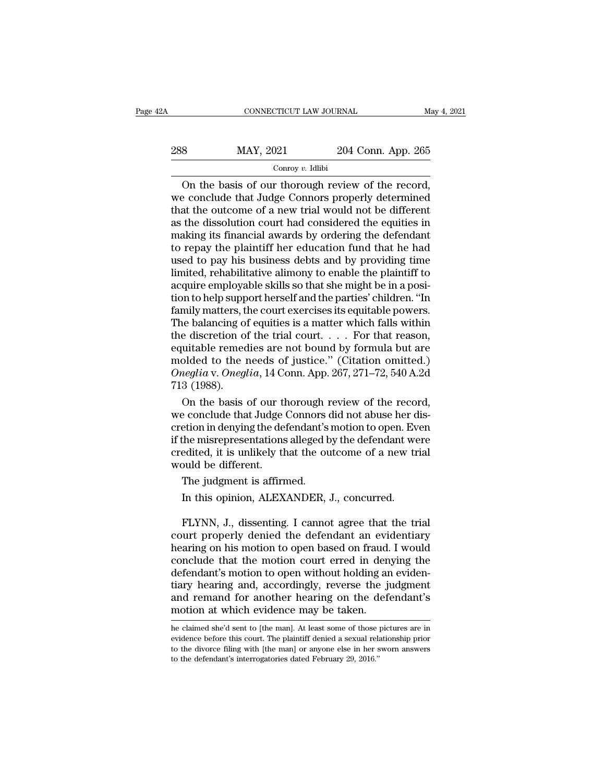| 2A  | CONNECTICUT LAW JOURNAL |                    | May 4, 2021 |
|-----|-------------------------|--------------------|-------------|
| 288 | MAY, 2021               | 204 Conn. App. 265 |             |
|     | Conroy $v$ . Idlibi     |                    |             |

CONNECTICUT LAW JOURNAL May 4, 2<br>  $\frac{9}{4}$  MAY, 2021 204 Conn. App. 265<br>
Conroy v. Idlibi<br>
On the basis of our thorough review of the record,<br>
be conclude that Judge Connors properly determined<br>
at the outcome of a new t 288 MAY, 2021 204 Conn. App. 265<br>
Conclude that Judge Connors properly determined<br>
that the outcome of a new trial would not be different<br>
as the dissolution court had considered the equities in 288 MAY, 2021 204 Conn. App. 265<br>
Conroy v. Idlibi<br>
On the basis of our thorough review of the record,<br>
we conclude that Judge Connors properly determined<br>
that the outcome of a new trial would not be different<br>
as the di 288 MAY, 2021 204 Conn. App. 265<br>
Conroy v. Idlibi<br>
On the basis of our thorough review of the record,<br>
we conclude that Judge Connors properly determined<br>
that the outcome of a new trial would not be different<br>
as the di Concording the basis of our thorough review of the record,<br>we conclude that Judge Connors properly determined<br>that the outcome of a new trial would not be different<br>as the dissolution court had considered the equities in<br> Conroy v. Idlibi<br>
On the basis of our thorough review of the record,<br>
we conclude that Judge Connors properly determined<br>
that the outcome of a new trial would not be different<br>
as the dissolution court had considered the On the basis of our thorough review of the record,<br>we conclude that Judge Connors properly determined<br>that the outcome of a new trial would not be different<br>as the dissolution court had considered the equities in<br>making it we conclude that Judge Connors properly determined<br>that the outcome of a new trial would not be different<br>as the dissolution court had considered the equities in<br>making its financial awards by ordering the defendant<br>to rep that the outcome of a new trial would not be different<br>as the dissolution court had considered the equities in<br>making its financial awards by ordering the defendant<br>to repay the plaintiff her education fund that he had<br>use as the dissolution court had considered the equities in<br>making its financial awards by ordering the defendant<br>to repay the plaintiff her education fund that he had<br>used to pay his business debts and by providing time<br>limit making its financial awards by ordering the defendant<br>to repay the plaintiff her education fund that he had<br>used to pay his business debts and by providing time<br>limited, rehabilitative alimony to enable the plaintiff to<br>ac to repay the plaintiff her education fund that he had<br>used to pay his business debts and by providing time<br>limited, rehabilitative alimony to enable the plaintiff to<br>acquire employable skills so that she might be in a pos used to pay his business debts and by providing time<br>limited, rehabilitative alimony to enable the plaintiff to<br>acquire employable skills so that she might be in a posi-<br>tion to help support herself and the parties' childr limited, rehabilitative alimony to enable the plaintiff to<br>acquire employable skills so that she might be in a posi-<br>tion to help support herself and the parties' children. "In<br>family matters, the court exercises its equi acquire employable skills so that she might be in a position to help support herself and the parties' children. "In family matters, the court exercises its equitable powers.<br>The balancing of equities is a matter which fall tion to help support herself and the parties' children. "In family matters, the court exercises its equitable powers.<br>The balancing of equities is a matter which falls within<br>the discretion of the trial court. . . . . For family matters, the balancing of<br>The balancing of<br>the discretion of<br>equitable remed<br>molded to the 1<br>Oneglia v. Oneglia v. Oneglia<br>T13 (1988).<br>On the basis ie balancing of equities is a matter which falls within<br>e discretion of the trial court.... For that reason,<br>uitable remedies are not bound by formula but are<br>olded to the needs of justice." (Citation omitted.)<br>ineglia v. the discretion of the trial court. . . . . For that reason,<br>equitable remedies are not bound by formula but are<br>molded to the needs of justice." (Citation omitted.)<br>Oneglia v. Oneglia, 14 Conn. App. 267, 271–72, 540 A.2d<br>

equitable remedies are not bound by formula but are<br>molded to the needs of justice." (Citation omitted.)<br>Oneglia v. Oneglia, 14 Conn. App. 267, 271–72, 540 A.2d<br>713 (1988).<br>On the basis of our thorough review of the record molded to the needs of justice." (Citation omitted.)<br>
Oneglia v. Oneglia, 14 Conn. App. 267, 271–72, 540 A.2d<br>
713 (1988).<br>
On the basis of our thorough review of the record,<br>
we conclude that Judge Connors did not abuse h Oneglia v. Oneglia, 14 Conn. App. 267, 271–72, 540 A.2d<br>713 (1988).<br>On the basis of our thorough review of the record,<br>we conclude that Judge Connors did not abuse her dis-<br>cretion in denying the defendant's motion to open 713 (1988).<br>
On the basis of our the we conclude that Judge (cretion in denying the defit the misrepresentations<br>
credited, it is unlikely the would be different.<br>
The judgment is affirm On the basis of our thorough if<br>e conclude that Judge Connors of<br>etion in denying the defendant's<br>the misrepresentations alleged b<br>edited, it is unlikely that the ou<br>ould be different.<br>The judgment is affirmed.<br>In this opi Function in denying the defendant's motion to open. Even the misrepresentations alleged by the defendant we edited, it is unlikely that the outcome of a new trould be different.<br>The judgment is affirmed.<br>In this opinion, A

FREE HISTEPTESENTATIONS AITSERVED BY THE CHEFINIAN WET EXERCITED AND BE different.<br>The judgment is affirmed.<br>In this opinion, ALEXANDER, J., concurred.<br>FLYNN, J., dissenting. I cannot agree that the trial<br>urt properly deni created, it is unitely that the outcome of a new trial<br>would be different.<br>The judgment is affirmed.<br>In this opinion, ALEXANDER, J., concurred.<br>FLYNN, J., dissenting. I cannot agree that the trial<br>court properly denied the The judgment is affirmed.<br>
In this opinion, ALEXANDER, J., concurred.<br>
FLYNN, J., dissenting. I cannot agree that the trial<br>
court properly denied the defendant an evidentiary<br>
hearing on his motion to open based on fraud. The judgment is affirmed.<br>
In this opinion, ALEXANDER, J., concurred.<br>
FLYNN, J., dissenting. I cannot agree that the trial<br>
court properly denied the defendant an evidentiary<br>
hearing on his motion to open based on fraud. In this opinion, ALEXANDER, J., concurred.<br>FLYNN, J., dissenting. I cannot agree that the trial<br>court properly denied the defendant an evidentiary<br>hearing on his motion to open based on fraud. I would<br>conclude that the mot FLYNN, J., dissenting. I cannot agree that the trial<br>court properly denied the defendant an evidentiary<br>hearing on his motion to open based on fraud. I would<br>conclude that the motion court erred in denying the<br>defendant's FLYNN, J., dissenting. I cannot agree that the trial<br>court properly denied the defendant an evidentiary<br>hearing on his motion to open based on fraud. I would<br>conclude that the motion court erred in denying the<br>defendant's court properly denied the defendant an evidence<br>hearing on his motion to open based on fraud.<br>conclude that the motion court erred in den<br>defendant's motion to open without holding ar<br>tiary hearing and, accordingly, revers defendant's motion to open without holding an evidentiary hearing and, accordingly, reverse the judgment<br>and remand for another hearing on the defendant's<br>motion at which evidence may be taken.<br>he claimed she'd sent to [th tiary hearing and, accordingly, reverse the judgment<br>and remand for another hearing on the defendant's<br>motion at which evidence may be taken.<br>he claimed she'd sent to [the man]. At least some of those pictures are in<br>evide motion at which evidence may be taken.

and remand for another hearing on the defendant's<br>motion at which evidence may be taken.<br>he claimed she'd sent to [the man]. At least some of those pictures are in<br>evidence before this court. The plaintiff denied a sexual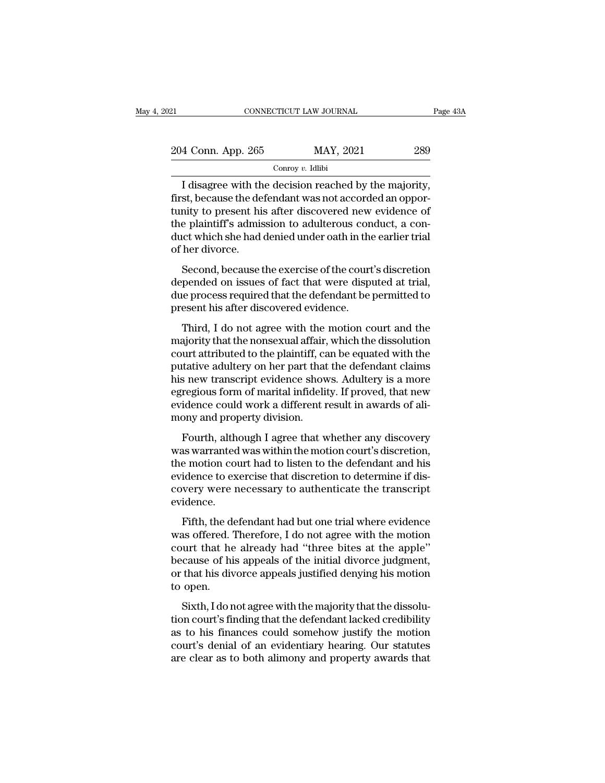| 21                                                                                                                | CONNECTICUT LAW JOURNAL                               | Page 43A |
|-------------------------------------------------------------------------------------------------------------------|-------------------------------------------------------|----------|
| 204 Conn. App. 265                                                                                                | MAY, 2021                                             | 289      |
|                                                                                                                   | Conroy $v$ . Idlibi                                   |          |
| first, because the defendant was not accorded an oppor-<br>tunity to present his ofter discovered new evidence of | I disagree with the decision reached by the majority, |          |

 $\frac{204 \text{ Conn. App. 265}}{\text{Conroy } v. \text{ Idibi}}$  and  $\frac{289}{\text{Conroy } v. \text{ Idibi}}$ <br>I disagree with the decision reached by the majority, first, because the defendant was not accorded an opportunity to present his after discovered new evidenc 204 Conn. App. 265 MAY, 2021 289<br>
Conroy v. Idlibi<br>
I disagree with the decision reached by the majority,<br>
first, because the defendant was not accorded an oppor-<br>
tunity to present his after discovered new evidence of<br>
t 204 Conn. App. 265 MAY, 2021 289<br>
Conroy v. Idlibi<br>
I disagree with the decision reached by the majority,<br>
first, because the defendant was not accorded an oppor-<br>
tunity to present his after discovered new evidence of<br>
t Contain steps 200 Contains and Convey v. Idlibit<br>
I disagree with the decision reached by the majority,<br>
first, because the defendant was not accorded an oppor-<br>
tunity to present his after discovered new evidence of<br>
the I disagree with the<br>first, because the de<br>tunity to present his<br>the plaintiff's admis<br>duct which she had<br>of her divorce.<br>Second, because t r disagret with the decision reached by the majorny,<br>st, because the defendant was not accorded an oppor-<br>nity to present his after discovered new evidence of<br>e plaintiff's admission to adulterous conduct, a con-<br>court's d tunity to present his after discovered new evidence of<br>the plaintiff's admission to adulterous conduct, a con-<br>duct which she had denied under oath in the earlier trial<br>of her divorce.<br>Second, because the exercise of the c

dulty to present his after discovered new evidence of<br>the plaintiff's admission to adulterous conduct, a con-<br>duct which she had denied under oath in the earlier trial<br>of her divorce.<br>Second, because the exercise of the co Free plantin's admission to addite outs conduct which she had denied under oath in the of her divorce.<br>Second, because the exercise of the court depended on issues of fact that were dispute process required that the defend her divorce.<br>Second, because the exercise of the court's discretion<br>pended on issues of fact that were disputed at trial,<br>e process required that the defendant be permitted to<br>esent his after discovered evidence.<br>Third, I Second, because the exercise of the court's discretion<br>depended on issues of fact that were disputed at trial,<br>due process required that the defendant be permitted to<br>present his after discovered evidence.<br>Third, I do not

court, because the exercise of the court's disserted<br>depended on issues of fact that were disputed at trial,<br>due process required that the defendant be permitted to<br>present his after discovered evidence.<br>Third, I do not ag due process required that the defendant be permitted to<br>present his after discovered evidence.<br>Third, I do not agree with the motion court and the<br>majority that the nonsexual affair, which the dissolution<br>court attributed and process required that the deterministic permitted to<br>present his after discovered evidence.<br>Third, I do not agree with the motion court and the<br>majority that the nonsexual affair, which the dissolution<br>court attributed Third, I do not agree with the motion court and the<br>majority that the nonsexual affair, which the dissolution<br>court attributed to the plaintiff, can be equated with the<br>putative adultery on her part that the defendant clai Third, I do not agree with the motion court and the majority that the nonsexual affair, which the dissolution court attributed to the plaintiff, can be equated with the putative adultery on her part that the defendant clai majority that the nonsexual affair,<br>court attributed to the plaintiff, ca<br>putative adultery on her part that<br>his new transcript evidence show<br>egregious form of marital infidelit<br>evidence could work a different r<br>mony and p In translated to the plaintin, call be equated with the defendant claims<br>s new transcript evidence shows. Adultery is a more<br>regious form of marital infidelity. If proved, that new<br>idence could work a different result in a parameter additery on her part that the detendant elamis<br>his new transcript evidence shows. Adultery is a more<br>egregious form of marital infidelity. If proved, that new<br>evidence could work a different result in awards of a

the wall as the motion of marital infidelity. If proved, that new<br>evidence could work a different result in awards of ali-<br>mony and property division.<br>Fourth, although I agree that whether any discovery<br>was warranted was w egregious form of maritar infidently. If proved, that hew<br>evidence could work a different result in awards of ali-<br>mony and property division.<br>Fourth, although I agree that whether any discovery<br>was warranted was within th Fourth, although I agree that whether any discovery<br>was warranted was within the motion court's discretion,<br>the motion court had to listen to the defendant and his<br>evidence to exercise that discretion to determine if dis-<br> evidence. Fourta, althought I agree that whether any useovery<br>as warranted was within the motion court's discretion,<br>e motion court had to listen to the defendant and his<br>idence to exercise that discretion to determine if dis-<br>very was warranced was whall the motion courts discretion;<br>the motion court had to listen to the defendant and his<br>evidence to exercise that discretion to determine if dis-<br>covery were necessary to authenticate the transcript<br>e

evidence to exercise that discretion to determine if discovery were necessary to authenticate the transcript<br>evidence.<br>Fifth, the defendant had but one trial where evidence<br>was offered. Therefore, I do not agree with the m bevidence to exercise that unserted to determine it used<br>covery were necessary to authenticate the transcript<br>evidence.<br>Fifth, the defendant had but one trial where evidence<br>was offered. Therefore, I do not agree with the evidence.<br>Fifth, the defendant had but one trial where evidence<br>was offered. Therefore, I do not agree with the motion<br>court that he already had "three bites at the apple"<br>because of his appeals of the initial divorce judg Fifth, the d<br>was offered. '<br>court that he<br>because of hi<br>or that his div<br>to open.<br>Sixth, I do n First, the deterministic of the mail where existence<br>as offered. Therefore, I do not agree with the motion<br>urt that he already had "three bites at the apple"<br>cause of his appeals of the initial divorce judgment,<br>that his d All solution court that he already had "three bites at the apple"<br>because of his appeals of the initial divorce judgment,<br>or that his divorce appeals justified denying his motion<br>to open.<br>Sixth, I do not agree with the maj

because of his appeals of the initial divorce judgment,<br>or that his divorce appeals justified denying his motion<br>to open.<br>Sixth, I do not agree with the majority that the dissolu-<br>tion court's finding that the defendant la court's denial of an evidentiary hearing his motion<br>to open.<br>Sixth, I do not agree with the majority that the dissolu-<br>tion court's finding that the defendant lacked credibility<br>as to his finances could somehow justify the are alignment and the distribution of the majority that the dissolution court's finding that the defendant lacked credibility as to his finances could somehow justify the motion court's denial of an evidentiary hearing. Ou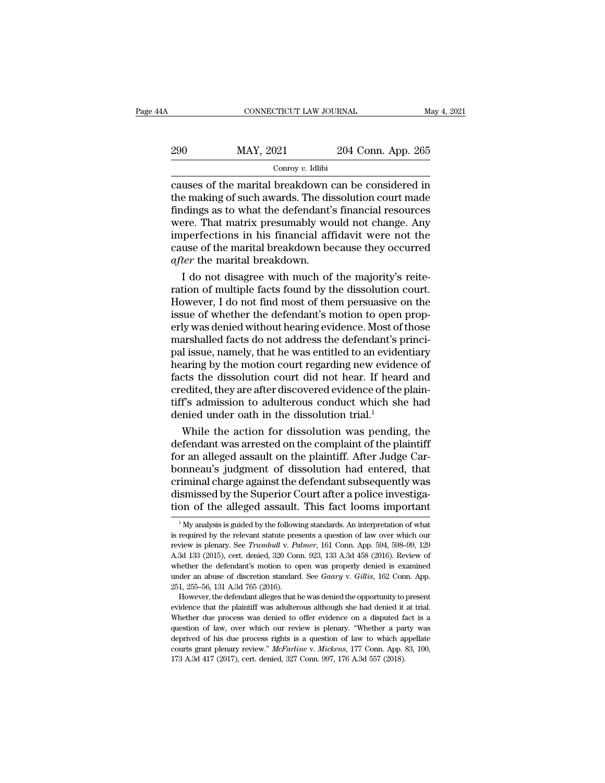| 4A  | CONNECTICUT LAW JOURNAL |                    | May 4, 2021 |
|-----|-------------------------|--------------------|-------------|
| 290 | MAY, 2021               | 204 Conn. App. 265 |             |
|     | Conroy $v$ . Idlibi     |                    |             |

 $\begin{array}{r} \text{COMRECTICUT LAW JOURNAL} \qquad \text{May 4, 2021} \ \text{204 Conn. App. 265} \ \hline \text{Convey } v. \text{ Idlibi} \ \text{causes of the martial breakdown can be considered in} \ \text{the making of such awards. The dissolution court made} \ \text{findings as to what the defendant's financial resources.} \end{array}$ 290 MAY, 2021 204 Conn. App. 265<br>  $\frac{\text{Conv } v. \text{ Idlibi}}{\text{conv of the partial breakdown can be considered in}}$ <br>
the making of such awards. The dissolution court made<br>
findings as to what the defendant's financial resources<br>
were That matrix presumably would not chan  $\frac{\text{MAN}, 2021}{\text{Convov } v. \text{ Idlibi}}$ <br>  $\frac{\text{Convov } v. \text{ Idlibi}}{\text{causes of the marital breakdown can be considered in}}$ <br>
the making of such awards. The dissolution court made<br>
findings as to what the defendant's financial resources<br>
were. That matrix presumably would not ch  $\frac{\text{MAY, 2021}}{\text{Convy } v. \text{ Idibi}}$ <br>  $\frac{\text{Convy } v. \text{ Idibi}}{\text{causes of the marital breakdown can be considered in}}$ <br>
the making of such awards. The dissolution court made<br>
findings as to what the defendant's financial resources<br>
were. That matrix presumably would not cha  $\frac{1}{\text{Conv}(y)}$  and  $\frac{1}{\text{Conv}(y)}$  and  $\frac{1}{\text{Conv}(y)}$  and  $\frac{1}{\text{Conv}(y)}$  and  $\frac{1}{\text{Conv}(y)}$  are considered in the making of such awards. The dissolution court made findings as to what the defendant's financial resources we Conroy v. Idlibi<br>causes of the marital breakdown can be considered in<br>the making of such awards. The dissolution court made<br>findings as to what the defendant's financial resources<br>were. That matrix presumably would not ch causes of the marital breakdown of<br>the making of such awards. The disfindings as to what the defendant's<br>were. That matrix presumably wo<br>imperfections in his financial aff<br>cause of the marital breakdown be<br>*after* the mari is e making of such awards. The dissolution court made<br>Indings as to what the defendant's financial resources<br>Pree. That matrix presumably would not change. Any<br>perfections in his financial affidavit were not the<br>use of th findings as to what the defendant's financial resources<br>were. That matrix presumably would not change. Any<br>imperfections in his financial affidavit were not the<br>cause of the marital breakdown.<br>I do not disagree with much o

were. That matrix presumably would not change. Any<br>imperfections in his financial affidavit were not the<br>cause of the marital breakdown because they occurred<br>a*fter* the marital breakdown.<br>I do not disagree with much of th imperfections in his financial affidavit were not the<br>cause of the marital breakdown because they occurred<br>after the marital breakdown.<br>I do not disagree with much of the majority's reite-<br>ration of multiple facts found by cause of the marital breakdown because they occurred<br>after the marital breakdown.<br>I do not disagree with much of the majority's reite-<br>ration of multiple facts found by the dissolution court.<br>However, I do not find most of after the marital breakdown.<br>
I do not disagree with much of the majority's reite-<br>
ration of multiple facts found by the dissolution court.<br>
However, I do not find most of them persuasive on the<br>
issue of whether the defe I do not disagree with much of the majority's reite-<br>ration of multiple facts found by the dissolution court.<br>However, I do not find most of them persuasive on the<br>issue of whether the defendant's motion to open prop-<br>erly ration of multiple facts found by the dissolution court.<br>However, I do not find most of them persuasive on the<br>issue of whether the defendant's motion to open prop-<br>erly was denied without hearing evidence. Most of those<br>m However, I do not find most of them persuasive on the<br>issue of whether the defendant's motion to open prop-<br>erly was denied without hearing evidence. Most of those<br>marshalled facts do not address the defendant's princi-<br>pa issue of whether the defendant's motion to open prop-<br>erly was denied without hearing evidence. Most of those<br>marshalled facts do not address the defendant's princi-<br>pal issue, namely, that he was entitled to an evidentiar erly was denied without hearing evidence. Most of those<br>marshalled facts do not address the defendant's princi-<br>pal issue, namely, that he was entitled to an evidentiary<br>hearing by the motion court regarding new evidence o marshalled facts do not address the defendant's p<br>pal issue, namely, that he was entitled to an evider<br>hearing by the motion court regarding new evider<br>facts the dissolution court did not hear. If hear<br>credited, they are a I issue, namely, that he was entitled to an evidentiary<br>aring by the motion court regarding new evidence of<br>cts the dissolution court did not hear. If heard and<br>edited, they are after discovered evidence of the plain-<br>f's hearing by the motion court regarding new evidence of<br>facts the dissolution court did not hear. If heard and<br>credited, they are after discovered evidence of the plain-<br>tiff's admission to adulterous conduct which she had<br>d

facts the dissolution court did not hear. If heard and<br>credited, they are after discovered evidence of the plain-<br>tiff's admission to adulterous conduct which she had<br>denied under oath in the dissolution trial.<sup>1</sup><br>While th credited, they are after discovered evidence of the plain-<br>tiff's admission to adulterous conduct which she had<br>denied under oath in the dissolution trial.<sup>1</sup><br>While the action for dissolution was pending, the<br>defendant was tiff's admission to adulterous conduct which she had<br>denied under oath in the dissolution trial.<sup>1</sup><br>While the action for dissolution was pending, the<br>defendant was arrested on the complaint of the plaintiff<br>for an alleged denied under oath in the dissolution trial.<sup>1</sup><br>While the action for dissolution was pending, the<br>defendant was arrested on the complaint of the plaintiff<br>for an alleged assault on the plaintiff. After Judge Car-<br>bonneau's While the action for dissolution was pending, the defendant was arrested on the complaint of the plaintiff for an alleged assault on the plaintiff. After Judge Carbonneau's judgment of dissolution had entered, that crimin onneau's judgment of dissolution had entered, that<br>iminal charge against the defendant subsequently was<br>ismissed by the Superior Court after a police investiga-<br>on of the alleged assault. This fact looms important<br><sup>1</sup>My an criminal charge against the defendant subsequently was<br>dismissed by the Superior Court after a police investiga-<br>tion of the alleged assault. This fact looms important<br><sup>1</sup>My analysis is guided by the following standards. A

dismissed by the Superior Court after a police investiga-<br>tion of the alleged assault. This fact looms important<br><sup>1</sup>My analysis is guided by the following standards. An interpretation of what<br>is required by the relevant st tion of the alleged assault. This fact looms important  $\frac{1}{N}$  My analysis is guided by the following standards. An interpretation of what is required by the relevant statute presents a question of law over which our re LIOIT OF LITE alreged assaure. This fact footnts important<br>
<sup>1</sup> My analysis is guided by the following standards. An interpretation of what<br>
is required by the relevant statute presents a question of law over which our<br>
r <sup>1</sup> My analysis is guided by the following standards. An interpretation of what is required by the relevant statute presents a question of law over which our review is plenary. See *Trumbull v. Palmer*, 161 Conn. App. 594 is required by the relevant statute present<br>review is plenary. See Trumbull v. Pa<br>A.3d 133 (2015), cert. denied, 320 Con<br>whether the defendant's motion to op<br>under an abuse of discretion standard<br>251, 255–56, 131 A.3d 765 A 3d 133 (2015), cert. denied, 320 Conn. 923, 133 A 3d 458 (2016). Review of whether the defendant's motion to open was properly denied is examined under an abuse of discretion standard. See *Gaary v. Gillis*, 162 Conn. Ap

<sup>251, 255–56, 131</sup> A.3d 765 (2016).<br>However, the defendant alleges that he was denied the opportunity to present<br>evidence that the plaintiff was adulterous although she had denied it at trial.<br>Whether due process was denied The defendant's motion to open was properly denied is examined<br>whether the defendant's motion to open was properly denied is examined<br>under an abuse of discretion standard. See *Gaary* v. *Gillis*, 162 Conn. App.<br>251, 255– under an abuse of discretion standard. See *Gaary* v. *Gillis*, 162 Conn. App. 251, 255–56, 131 A.3d 765 (2016).<br>
However, the defendant alleges that he was denied the opportunity to present evidence that the plaintiff wa 251, 255-56, 131 A.3d 765 (2016).<br>
However, the defendant alleges that he was denied the opportunity to present<br>
evidence that the plaintiff was adulterous although she had denied it at trial.<br>
Whether due process was den However, the defendant alleges that he was denied the opportunity to present evidence that the plaintiff was adulterous although she had denied it at trial. Whether due process was denied to offer evidence on a disputed fa evidence that the plaintiff was adulterous although she had denied it Whether due process was denied to offer evidence on a disputed faquestion of law, over which our review is plenary. "Whether a paradeprived of his due p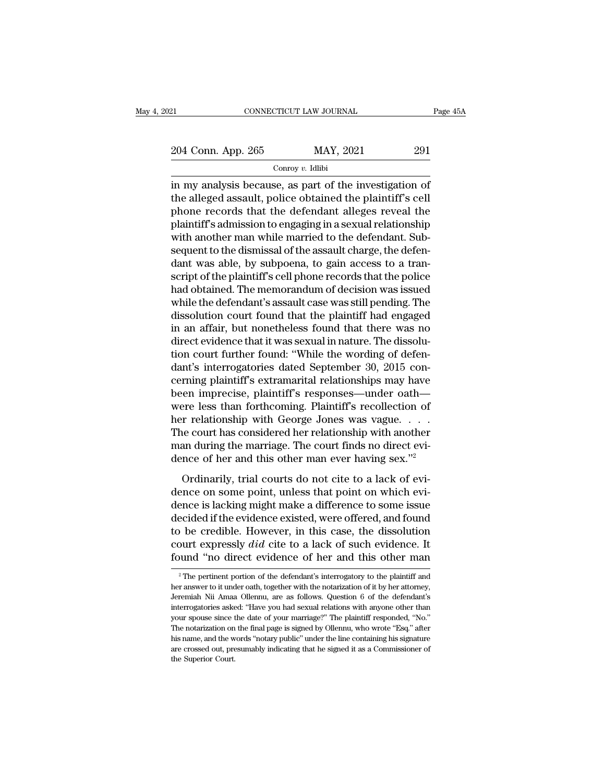Conroy *v.* Idlibi

EXECT EXECT PROXIMAL Page  $45/204$  Conn. App. 265 MAY, 2021 291<br>Conroy v. Idlibi<br>in my analysis because, as part of the investigation of<br>the alleged assault, police obtained the plaintiff's cell<br>phone records that the def 204 Conn. App. 265 MAY, 2021 291<br>  $\frac{\text{Conv } v. \text{ Idlibi}}{\text{Conv } v. \text{ Idlibi}}$ <br>
in my analysis because, as part of the investigation of<br>
the alleged assault, police obtained the plaintiff's cell<br>
phone records that the defendant alle 204 Conn. App. 265 MAY, 2021 291<br>  $\frac{\text{Conv } v. \text{ Idibi}}{\text{Conv } v. \text{ Idibi}}$ <br>
in my analysis because, as part of the investigation of<br>
the alleged assault, police obtained the plaintiff's cell<br>
phone records that the defendant allege 204 Conn. App. 265 MAY, 2021 291<br>  $\frac{\text{Conv } v. \text{ Idlibi}}{\text{Conv } v. \text{ Idlibi}}$ <br>
in my analysis because, as part of the investigation of<br>
the alleged assault, police obtained the plaintiff's cell<br>
phone records that the defendant alle Conroy v. Idlibi<br>in my analysis because, as part of the investigation of<br>the alleged assault, police obtained the plaintiff's cell<br>phone records that the defendant alleges reveal the<br>plaintiff's admission to engaging in a  $\begin{tabular}{l} \hline \hline \textit{conroy $v$.} \hline \textit{and} \end{tabular}$  in my analysis because, as part of the investigation of the alleged assault, police obtained the plaintiff's cell phone records that the defendant alleges reveal the plaintiff's a in my analysis because, as part of the investigation of<br>the alleged assault, police obtained the plaintiff's cell<br>phone records that the defendant alleges reveal the<br>plaintiff's admission to engaging in a sexual relationsh the alleged assault, police obtained the plaintiff's cell<br>phone records that the defendant alleges reveal the<br>plaintiff's admission to engaging in a sexual relationship<br>with another man while married to the defendant. Subphone records that the defendant alleges reveal the<br>plaintiff's admission to engaging in a sexual relationship<br>with another man while married to the defendant. Sub-<br>sequent to the dismissal of the assault charge, the defen plaintiff's admission to engaging in a sexual relationship<br>with another man while married to the defendant. Sub-<br>sequent to the dismissal of the assault charge, the defen-<br>dant was able, by subpoena, to gain access to a tr with another man while married to the defendant. Sub-<br>sequent to the dismissal of the assault charge, the defen-<br>dant was able, by subpoena, to gain access to a tran-<br>script of the plaintiff's cell phone records that the p sequent to the dismissal of the assault charge, the defendant was able, by subpoena, to gain access to a transcript of the plaintiff's cell phone records that the police had obtained. The memorandum of decision was issued dant was able, by subpoena, to gain access to a transcript of the plaintiff's cell phone records that the police had obtained. The memorandum of decision was issued while the defendant's assault case was still pending. The script of the plaintiff's cell phone records that the police<br>had obtained. The memorandum of decision was issued<br>while the defendant's assault case was still pending. The<br>dissolution court found that the plaintiff had enga had obtained. The memorandum of decision was issued<br>while the defendant's assault case was still pending. The<br>dissolution court found that the plaintiff had engaged<br>in an affair, but nonetheless found that there was no<br>dir while the defendant's assault case was still pending. The<br>dissolution court found that the plaintiff had engaged<br>in an affair, but nonetheless found that there was no<br>direct evidence that it was sexual in nature. The disso dissolution court found that the plaintiff had engaged<br>in an affair, but nonetheless found that there was no<br>direct evidence that it was sexual in nature. The dissolu-<br>tion court further found: "While the wording of defenin an affair, but nonetheless found that there was no<br>direct evidence that it was sexual in nature. The dissolu-<br>tion court further found: "While the wording of defen-<br>dant's interrogatories dated September 30, 2015 con-<br>c direct evidence that it was sexual in nature. The dissolution court further found: "While the wording of defendant's interrogatories dated September 30, 2015 concerning plaintiff's extramarital relationships may have been tion court further found: "While the wording of defen-<br>dant's interrogatories dated September 30, 2015 con-<br>cerning plaintiff's extramarital relationships may have<br>been imprecise, plaintiff's responses—under oath—<br>were les dant's interrogatories dated September 30, 2015 concerning plaintiff's extramarital relationships may have<br>been imprecise, plaintiff's responses—under oath—<br>were less than forthcoming. Plaintiff's recollection of<br>her rela cerning plaintiff's extramarital relationships may have<br>been imprecise, plaintiff's responses—under oath—<br>were less than forthcoming. Plaintiff's recollection of<br>her relationship with George Jones was vague. . . . .<br>The co ordinarily, praining a large matter start<br>are less than forthcoming. Plaintiff's recollection of<br>the court has considered her relationship with another<br>an during the marriage. The court finds no direct evi-<br>nce of her and dence on some point, unless that point of the relationship with George Jones was vague.<br>The court has considered her relationship with another man during the marriage. The court finds no direct evi-<br>dence of her and this o

The court has considered her relationship with another<br>man during the marriage. The court finds no direct evi-<br>dence of her and this other man ever having sex."<sup>2</sup><br>Ordinarily, trial courts do not cite to a lack of evi-<br>den Fig. 2. The court finds no direct evidence of her and this other man ever having sex."<sup>2</sup><br>Ordinarily, trial courts do not cite to a lack of evidence on some point, unless that point on which evidence is lacking might make the definition of her and this other man ever having sex."<sup>2</sup><br>Ordinarily, trial courts do not cite to a lack of evi-<br>dence on some point, unless that point on which evi-<br>dence is lacking might make a difference to some iss court of the latter that the state that the state of the control of the control dence on some point, unless that point on which evidence is lacking might make a difference to some issue decided if the evidence existed, wer Ordinarily, trial courts do not cite to a lack of evidence on some point, unless that point on which evidence is lacking might make a difference to some issue decided if the evidence existed, were offered, and found to be be credible. However, in this case, the dissolution<br>ourt expressly  $did$  cite to a lack of such evidence. It<br>uund "no direct evidence of her and this other man<br> $^2$ The pertinent portion of the defendant's interrogatory to t to be credible. However, in this case, the dissolution court expressly  $did$  cite to a lack of such evidence. It found "no direct evidence of her and this other man  $\frac{1}{2}$  The pertinent portion of the defendant's interro

court expressly *did* cite to a lack of such evidence. It found "no direct evidence of her and this other man  $\frac{1}{2}$ "The pertinent portion of the defendant's interrogatory to the plaintiff and her answer to it under oa found "no direct evidence of her and this other man  $\overline{a}$  and  $\overline{b}$  are pertinent portion of the defendant's interrogatory to the plaintiff and her answer to it under oath, together with the notarization of it by he Found Tho direct evidence of the article in this other filam<br>
<sup>2</sup> The pertinent portion of the defendant's interrogatory to the plaintiff and<br>
her answer to it under oath, together with the notarization of it by her attorn <sup>2</sup> The pertinent portion of the defendant's interrogatory to the plaintiff and her answer to it under oath, together with the notarization of it by her attorney, Jeremiah Nii Amaa Ollennu, are as follows. Question 6 of t Frame presents to it under oath, together with the notarization of it by her attorney, Jeremiah Nii Amaa Ollennu, are as follows. Question 6 of the defendant's interrogatories asked: "Have you had sexual relations with any Leremiah Nii Amaa Ollennu, are as follows. Question 6 of the defendant's interrogatories asked: "Have you had sexual relations with anyone other than your spouse since the date of your marriage?" The plaintiff responded, " interrogatories asked: "Have you had sexual relations with anyone other than your spouse since the date of your marriage?" The plaintiff responded, "No." The notarization on the final page is signed by Ollennu, who wrote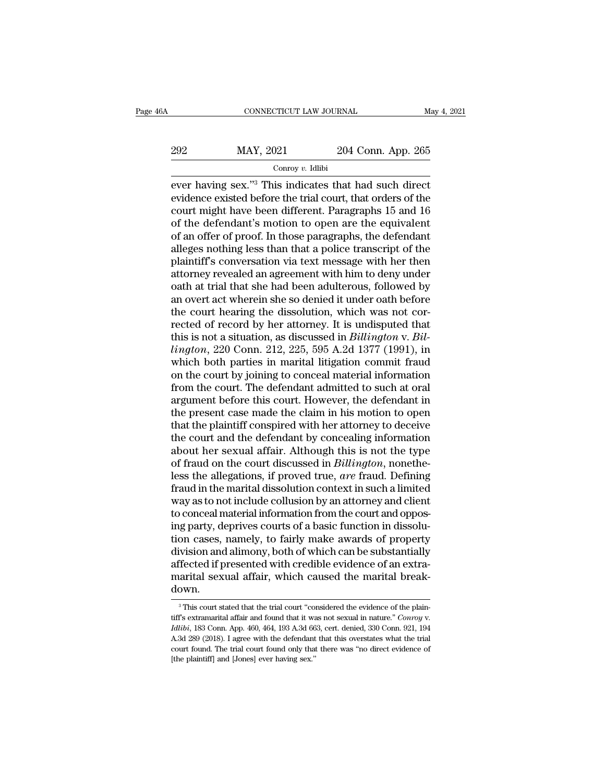| 6A  | CONNECTICUT LAW JOURNAL |                    | May 4, 2021 |
|-----|-------------------------|--------------------|-------------|
| 292 | MAY, 2021               | 204 Conn. App. 265 |             |
|     | Conroy $v$ . Idlibi     |                    |             |

EVERTIGUT LAW JOURNAL May 4, 2021<br>
2022 MAY, 2021 204 Conn. App. 265<br>
Conroy v. Idlibi<br>
ever having sex.''<sup>3</sup> This indicates that had such direct<br>
evidence existed before the trial court, that orders of the<br>
court might ha 292 MAY, 2021 204 Conn. App. 265<br>
conroy v. Idlibi<br>
ever having sex."<sup>3</sup> This indicates that had such direct<br>
evidence existed before the trial court, that orders of the<br>
court might have been different. Paragraphs 15 and 292 MAY, 2021 204 Conn. App. 265<br>
Conroy v. Idibi<br>
ever having sex."<sup>3</sup> This indicates that had such direct<br>
evidence existed before the trial court, that orders of the<br>
court might have been different. Paragraphs 15 and 202 MAY, 2021 204 Conn. App. 265<br>  $\frac{1}{2}$  Conroy v. Idlibi<br>
ever having sex."<sup>3</sup> This indicates that had such direct<br>
evidence existed before the trial court, that orders of the<br>
court might have been different. Paragra Conroy v. Idlibi<br>
onroy v. Idlibi<br>
ever having sex."<sup>3</sup> This indicates that had such direct<br>
evidence existed before the trial court, that orders of the<br>
court might have been different. Paragraphs 15 and 16<br>
of the defen Conroy v. Idlibi<br>
ever having sex."<sup>3</sup> This indicates that had such direct<br>
evidence existed before the trial court, that orders of the<br>
court might have been different. Paragraphs 15 and 16<br>
of the defendant's motion to ever having sex."<sup>3</sup> This indicates that had such direct<br>evidence existed before the trial court, that orders of the<br>court might have been different. Paragraphs 15 and 16<br>of the defendant's motion to open are the equivalen evidence existed before the trial court, that orders of the court might have been different. Paragraphs 15 and 16 of the defendant's motion to open are the equivalent of an offer of proof. In those paragraphs, the defendan court might have been different. Paragraphs 15 and 16<br>of the defendant's motion to open are the equivalent<br>of an offer of proof. In those paragraphs, the defendant<br>alleges nothing less than that a police transcript of the<br> of the defendant's motion to open are the equivalent<br>of an offer of proof. In those paragraphs, the defendant<br>alleges nothing less than that a police transcript of the<br>plaintiff's conversation via text message with her the of an offer of proof. In those paragraphs, the defendant alleges nothing less than that a police transcript of the plaintiff's conversation via text message with her then attorney revealed an agreement with him to deny un alleges nothing less than that a police transcript of the plaintiff's conversation via text message with her then attorney revealed an agreement with him to deny under oath at trial that she had been adulterous, followed b plaintiff's conversation via text message with her then<br>attorney revealed an agreement with him to deny under<br>oath at trial that she had been adulterous, followed by<br>an overt act wherein she so denied it under oath before<br> attorney revealed an agreement with him to deny under<br>oath at trial that she had been adulterous, followed by<br>an overt act wherein she so denied it under oath before<br>the court hearing the dissolution, which was not cor-<br>re oath at trial that she had been adulterous, followed by<br>an overt act wherein she so denied it under oath before<br>the court hearing the dissolution, which was not cor-<br>rected of record by her attorney. It is undisputed that<br> an overt act wherein she so denied it under oath before<br>the court hearing the dissolution, which was not cor-<br>rected of record by her attorney. It is undisputed that<br>this is not a situation, as discussed in *Billington* v. the court hearing the dissolution, which was not corrected of record by her attorney. It is undisputed that<br>this is not a situation, as discussed in *Billington* v. *Billington*, 220 Conn. 212, 225, 595 A.2d 1377 (1991), i rected of record by her attorney. It is undisputed that<br>this is not a situation, as discussed in *Billington* v. *Bil-<br>lington*, 220 Conn. 212, 225, 595 A.2d 1377 (1991), in<br>which both parties in marital litigation commit this is not a situation, as discussed in *Billington* v. *Billington*, 220 Conn. 212, 225, 595 A.2d 1377 (1991), in which both parties in marital litigation commit fraud on the court by joining to conceal material informat *lington*, 220 Conn. 212, 225, 595 A.2d 1377 (1991), in<br>which both parties in marital litigation commit fraud<br>on the court by joining to conceal material information<br>from the court. The defendant admitted to such at oral<br> which both parties in marital litigation commit fraud<br>on the court by joining to conceal material information<br>from the court. The defendant admitted to such at oral<br>argument before this court. However, the defendant in<br>the on the court by joining to conceal material information<br>from the court. The defendant admitted to such at oral<br>argument before this court. However, the defendant in<br>the present case made the claim in his motion to open<br>tha from the court. The defendant admitted to such at oral argument before this court. However, the defendant in the present case made the claim in his motion to open that the plaintiff conspired with her attorney to deceive t argument before this court. However, the defendant in<br>the present case made the claim in his motion to open<br>that the plaintiff conspired with her attorney to deceive<br>the court and the defendant by concealing information<br>ab the present case made the claim in his motion to open<br>that the plaintiff conspired with her attorney to deceive<br>the court and the defendant by concealing information<br>about her sexual affair. Although this is not the type<br>o that the plaintiff conspired with her attorney to deceive<br>the court and the defendant by concealing information<br>about her sexual affair. Although this is not the type<br>of fraud on the court discussed in *Billington*, noneth the court and the defendant by concealing information<br>about her sexual affair. Although this is not the type<br>of fraud on the court discussed in *Billington*, nonethe-<br>less the allegations, if proved true, *are* fraud. Defi about her sexual affair. Although this is not the type<br>of fraud on the court discussed in *Billington*, nonethe-<br>less the allegations, if proved true, *are* fraud. Defining<br>fraud in the marital dissolution context in such of fraud on the court discussed in *Billington*, nonetheless the allegations, if proved true, *are* fraud. Defining fraud in the marital dissolution context in such a limited way as to not include collusion by an attorney less the allegations, if proved true, *are* fraud. Defining<br>fraud in the marital dissolution context in such a limited<br>way as to not include collusion by an attorney and client<br>to conceal material information from the cour fraud in the marital dissolution context in such a limited<br>way as to not include collusion by an attorney and client<br>to conceal material information from the court and oppos-<br>ing party, deprives courts of a basic function way as to not include collusion by an attorney and client<br>to conceal material information from the court and oppos-<br>ing party, deprives courts of a basic function in dissolu-<br>tion cases, namely, to fairly make awards of pr down. ivision and alimony, both of which can be substantially<br>"fected if presented with credible evidence of an extra-<br>arital sexual affair, which caused the marital break-<br>DWN.<br>"This court stated that the trial court "considere

affected if presented with credible evidence of an extra-<br>marital sexual affair, which caused the marital break-<br>down.<br><sup>3</sup> This court stated that the trial court "considered the evidence of the plain-<br>iff's extramarital af A.3d 289 (2018). I agree with the defendant that the widence of the plain-<br>
Intiffs extramarital affair and found that it was not sexual in nature." Conroy v.<br>
Idibi, 183 Conn. App. 460, 464, 193 A.3d 663, cert. denied, 33 This court stated that the trial court "considered the evidence of the plaintiff's extramarital affair and found that it was not sexual in nature." Conroy v. *Idlibi*, 183 Conn. App. 460, 464, 193 A.3d 663, cert. denied, <sup>3</sup> This court stated that the trial court "court"<br>fiff's extramarital affair and found that it was *Idlibi*, 183 Conn. App. 460, 464, 193 A.3d 66<br>A.3d 289 (2018). I agree with the defendant<br>court found. The trial court f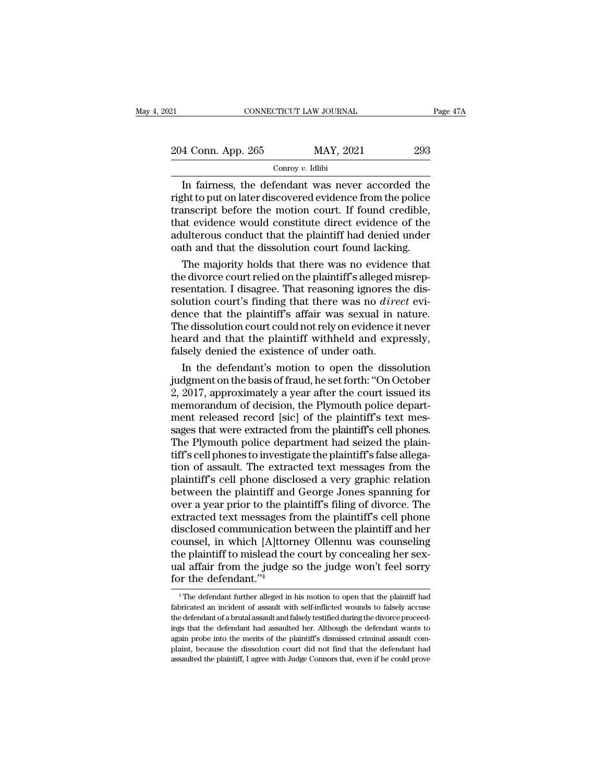| 21                 | CONNECTICUT LAW JOURNAL | Page 47A |
|--------------------|-------------------------|----------|
| 204 Conn. App. 265 | MAY, 2021               | 293      |
|                    | Conroy $v$ . Idlibi     |          |

CONNECTICUT LAW JOURNAL Page 47A<br>
4 Conn. App. 265 MAY, 2021 293<br>
Conroy v. Idlibi<br>
In fairness, the defendant was never accorded the<br>
ght to put on later discovered evidence from the police<br>
enscript before the motion cou 204 Conn. App. 265 MAY, 2021 293<br>
Conroy v. Idlibi<br>
In fairness, the defendant was never accorded the<br>
right to put on later discovered evidence from the police<br>
transcript before the motion court. If found credible,<br>
that 204 Conn. App. 265 MAY, 2021 293<br>
Conroy v. Idlibi<br>
In fairness, the defendant was never accorded the<br>
right to put on later discovered evidence from the police<br>
transcript before the motion court. If found credible,<br>
tha 204 Conn. App. 265 MAY, 2021 293<br>  $\frac{1}{\text{Conv } v. \text{ Idibi}}$ <br>
In fairness, the defendant was never accorded the<br>
right to put on later discovered evidence from the police<br>
transcript before the motion court. If found credible,<br> and the plant of the same of the plant of the plant of the right to put on later discovered evidence from the police transcript before the motion court. If found credible, that evidence would constitute direct evidence of  $\frac{1}{2}$  Conroy v. Idlibi<br>In fairness, the defendant was never accorded the right to put on later discovered evidence from the police<br>transcript before the motion court. If found credible,<br>that evidence would constitute In fairness, the defendant was never accorded the<br>ght to put on later discovered evidence from the police<br>anscript before the motion court. If found credible,<br>at evidence would constitute direct evidence of the<br>ulterous co right to put on later discovered evidence from the police<br>transcript before the motion court. If found credible,<br>that evidence would constitute direct evidence of the<br>adulterous conduct that the plaintiff had denied under<br>

transcript before the motion court. If found credible,<br>that evidence would constitute direct evidence of the<br>adulterous conduct that the plaintiff had denied under<br>oath and that the dissolution court found lacking.<br>The maj that evidence would constitute direct evidence of the<br>adulterous conduct that the plaintiff had denied under<br>oath and that the dissolution court found lacking.<br>The majority holds that there was no evidence that<br>the divorce adulterous conduct that the plaintiff had denied under<br>oath and that the dissolution court found lacking.<br>The majority holds that there was no evidence that<br>the divorce court relied on the plaintiff's alleged misrep-<br>resen oath and that the dissolution court found lacking.<br>The majority holds that there was no evidence that<br>the divorce court relied on the plaintiff's alleged misrep-<br>resentation. I disagree. That reasoning ignores the dis-<br>sol The majority holds that there was no evidence that<br>the divorce court relied on the plaintiff's alleged misrep-<br>resentation. I disagree. That reasoning ignores the dis-<br>solution court's finding that there was no *direct* ev the divorce court relied on the plaintiff's alleged n<br>resentation. I disagree. That reasoning ignores tl<br>solution court's finding that there was no *dire*<br>dence that the plaintiff's affair was sexual in r<br>The dissolution c sentation. I disagree. That reasoning ignores the dis-<br>lution court's finding that there was no *direct* evi-<br>nce that the plaintiff's affair was sexual in nature.<br>le dissolution court could not rely on evidence it never<br>a solution court's finding that there was no *direct* evi-<br>dence that the plaintiff's affair was sexual in nature.<br>The dissolution court could not rely on evidence it never<br>heard and that the plaintiff withheld and expressly

dence that the plaintiff's affair was sexual in nature.<br>The dissolution court could not rely on evidence it never<br>heard and that the plaintiff withheld and expressly,<br>falsely denied the existence of under oath.<br>In the defe The dissolution court could not rely on evidence it never<br>heard and that the plaintiff withheld and expressly,<br>falsely denied the existence of under oath.<br>In the defendant's motion to open the dissolution<br>judgment on the b heard and that the plaintiff withheld and expressly, falsely denied the existence of under oath.<br>In the defendant's motion to open the dissolution<br>judgment on the basis of fraud, he set forth: "On October<br>2, 2017, approxim falsely denied the existence of under oath.<br>
In the defendant's motion to open the dissolution<br>
judgment on the basis of fraud, he set forth: "On October<br>
2, 2017, approximately a year after the court issued its<br>
memorandu In the defendant's motion to open the dissolution<br>judgment on the basis of fraud, he set forth: "On October<br>2, 2017, approximately a year after the court issued its<br>memorandum of decision, the Plymouth police depart-<br>ment judgment on the basis of fraud, he set forth: "On October<br>2, 2017, approximately a year after the court issued its<br>memorandum of decision, the Plymouth police depart-<br>ment released record [sic] of the plaintiff's text mes- $\frac{2}{2}$ , 2017, approximately a year after the court issued its<br>memorandum of decision, the Plymouth police depart-<br>ment released record [sic] of the plaintiff's text mes-<br>sages that were extracted from the plaintiff's c memorandum of decision, the Plymouth police department released record [sic] of the plaintiff's text messages that were extracted from the plaintiff's cell phones.<br>The Plymouth police department had seized the plaintiff's ment released record [sic] of the plaintiff's text mes-<br>sages that were extracted from the plaintiff's cell phones.<br>The Plymouth police department had seized the plain-<br>tiff's cell phones to investigate the plaintiff's fal sages that were extracted from the plaintiff's cell phones.<br>The Plymouth police department had seized the plaintiff's cell phones to investigate the plaintiff's false allegation of assault. The extracted text messages from The Plymouth police department had seized the plaintiff's cell phones to investigate the plaintiff's false allegation of assault. The extracted text messages from the plaintiff's cell phone disclosed a very graphic relatio tiff's cell phones to investigate the plaintiff's false allegation of assault. The extracted text messages from the plaintiff's cell phone disclosed a very graphic relation between the plaintiff and George Jones spanning f tion of assault. The extracted text messages from the plaintiff's cell phone disclosed a very graphic relation<br>between the plaintiff and George Jones spanning for<br>over a year prior to the plaintiff's filing of divorce. The plaintiff's cell phone disclosed a very graphic relation<br>between the plaintiff and George Jones spanning for<br>over a year prior to the plaintiff's filing of divorce. The<br>extracted text messages from the plaintiff's cell pho between the plaintiff and George Jones spanning for<br>over a year prior to the plaintiff's filing of divorce. The<br>extracted text messages from the plaintiff's cell phone<br>disclosed communication between the plaintiff and her<br> over a year prior to the planet<br>extracted text messages fidisclosed communication<br>counsel, in which [A]ttor<br>the plaintiff to mislead the<br>ual affair from the judge s<br>for the defendant."<sup>4</sup> bounsel, in which [A]ttorney Ollennu was counseling<br>ne plaintiff to mislead the court by concealing her sex-<br>al affair from the judge so the judge won't feel sorry<br>or the defendant."<sup>4</sup><br><sup>4</sup>The defendant further alleged in the plaintiff to mislead the court by concealing her sex-<br>ual affair from the judge so the judge won't feel sorry<br>for the defendant."<sup>4</sup><br> $\frac{4}{1}$  The defendant further alleged in his motion to open that the plaintiff had

ual affair from the judge so the judge won't feel sorry<br>for the defendant."<sup>4</sup><br> $\overline{ }$   $\overline{ }$  The defendant further alleged in his motion to open that the plaintiff had<br>fabricated an incident of assault with self-inflict for the defendant  $\frac{1}{4}$ <br>for the defendant  $\frac{1}{4}$ <br> $\frac{1}{4}$  The defendant further alleged in his motion to open that the plaintiff had<br>fabricated an incident of assault with self-inflicted wounds to falsely accuse<br>t <sup>4</sup> The defendant further alleged in his motion to open that the plaintiff had fabricated an incident of assault with self-inflicted wounds to falsely accuse the defendant of a brutal assault and falsely testified during  $^4$  The defendant further alleged in his motion to open that the plaintiff had fabricated an incident of assault with self-inflicted wounds to falsely accuse the defendant of a brutal assault and falsely testified during fabricated an incident of assault with self-inflicted wounds to falsely accuse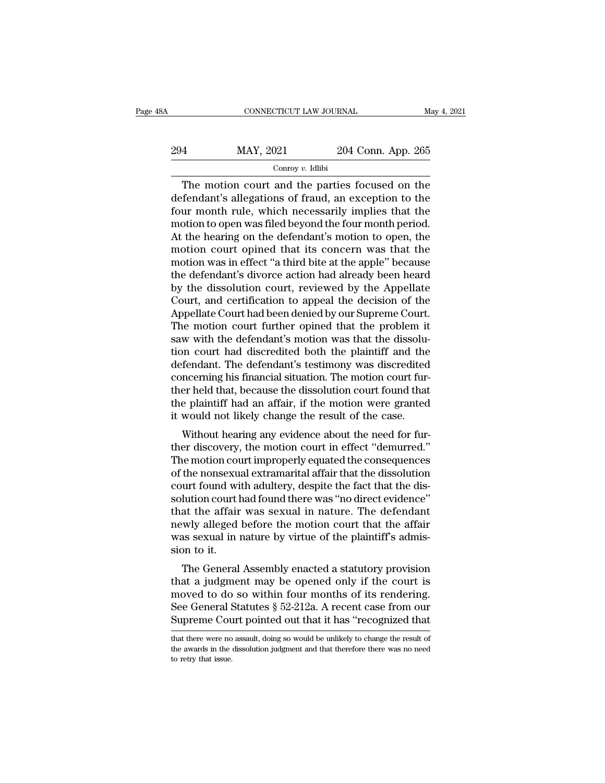| 8Α  | CONNECTICUT LAW JOURNAL |                    | May 4, 2021 |
|-----|-------------------------|--------------------|-------------|
| 294 | MAY, 2021               | 204 Conn. App. 265 |             |
|     | Conroy $v$ . Idlibi     |                    |             |

CONNECTICUT LAW JOURNAL May 4, 2021<br>  $\begin{array}{r}\n 4 \text{ MAY, } 2021 \text{ } \text{204 Conn. App. 265}\n \hline\n \text{Conv } v. \text{ Idibi}\n \end{array}$ The motion court and the parties focused on the fendant's allegations of fraud, an exception to the urn month rule, w 294 MAY, 2021 204 Conn. App. 265<br>  $\frac{\text{Conv } v. \text{ Idibi}}{\text{Conv of } v. \text{ Idibi}}$ <br>
The motion court and the parties focused on the<br>
defendant's allegations of fraud, an exception to the<br>
four month rule, which necessarily implies that th  $\frac{294}{\text{Convy } v. \text{ Idibi}}$ <br>
The motion court and the parties focused on the<br>
defendant's allegations of fraud, an exception to the<br>
four month rule, which necessarily implies that the<br>
motion to open was filed beyond the fou 294 MAY, 2021 204 Conn. App. 265<br>
Conroy v. Idlibi<br>
The motion court and the parties focused on the<br>
defendant's allegations of fraud, an exception to the<br>
four month rule, which necessarily implies that the<br>
motion to op The motion court and the parties focused on the<br>defendant's allegations of fraud, an exception to the<br>four month rule, which necessarily implies that the<br>motion to open was filed beyond the four month period.<br>At the heari Conroy v. Idibi<br>
The motion court and the parties focused on the<br>
defendant's allegations of fraud, an exception to the<br>
four month rule, which necessarily implies that the<br>
motion to open was filed beyond the four month The motion court and the parties focused on the<br>defendant's allegations of fraud, an exception to the<br>four month rule, which necessarily implies that the<br>motion to open was filed beyond the four month period.<br>At the hearin defendant's allegations of fraud, an exception to the<br>four month rule, which necessarily implies that the<br>motion to open was filed beyond the four month period.<br>At the hearing on the defendant's motion to open, the<br>motion four month rule, which necessarily implies that the<br>motion to open was filed beyond the four month period.<br>At the hearing on the defendant's motion to open, the<br>motion court opined that its concern was that the<br>motion was motion to open was filed beyond the four month period.<br>At the hearing on the defendant's motion to open, the<br>motion court opined that its concern was that the<br>motion was in effect "a third bite at the apple" because<br>the de At the hearing on the defendant's motion to open, the<br>motion court opined that its concern was that the<br>motion was in effect "a third bite at the apple" because<br>the defendant's divorce action had already been heard<br>by the motion court opined that its concern was that the<br>motion was in effect "a third bite at the apple" because<br>the defendant's divorce action had already been heard<br>by the dissolution court, reviewed by the Appellate<br>Court, an motion was in effect "a third bite at the apple" because<br>the defendant's divorce action had already been heard<br>by the dissolution court, reviewed by the Appellate<br>Court, and certification to appeal the decision of the<br>Appe the defendant's divorce action had already been heard<br>by the dissolution court, reviewed by the Appellate<br>Court, and certification to appeal the decision of the<br>Appellate Court had been denied by our Supreme Court.<br>The mot by the dissolution court, reviewed by the Appellate<br>Court, and certification to appeal the decision of the<br>Appellate Court had been denied by our Supreme Court.<br>The motion court further opined that the problem it<br>saw with Court, and certification to appeal the decision of the Appellate Court had been denied by our Supreme Court.<br>The motion court further opined that the problem it<br>saw with the defendant's motion was that the dissolu-<br>tion co Appellate Court had been denied by our Supreme Court.<br>The motion court further opined that the problem it<br>saw with the defendant's motion was that the dissolu-<br>tion court had discredited both the plaintiff and the<br>defendan The motion court further opined that the problem it<br>saw with the defendant's motion was that the dissolu-<br>tion court had discredited both the plaintiff and the<br>defendant. The defendant's testimony was discredited<br>concernin saw with the defendant's motion was that the dissolution court had discredited both the plaintiff and the defendant. The defendant's testimony was discredited concerning his financial situation. The motion court further he In court had uscredied both the plaintiff and the<br>fendant. The defendant's testimony was discredited<br>ncerning his financial situation. The motion court fur-<br>er held that, because the dissolution court found that<br>e plaintif defendant. The defendant s' testimony was discredited<br>concerning his financial situation. The motion court fur-<br>ther held that, because the dissolution court found that<br>the plaintiff had an affair, if the motion were grant

Concerning ins miancial situation. The motion court ful-<br>ther held that, because the dissolution court found that<br>the plaintiff had an affair, if the motion were granted<br>it would not likely change the result of the case.<br>W ther held that, because the dissolution count found that<br>the plaintiff had an affair, if the motion were granted<br>it would not likely change the result of the case.<br>Without hearing any evidence about the need for fur-<br>ther it would not likely change the result of the case.<br>Without hearing any evidence about the need for fur-<br>ther discovery, the motion court in effect "demurred."<br>The motion court improperly equated the consequences<br>of the non It would not likely change the result of the case.<br>Without hearing any evidence about the need for fur-<br>ther discovery, the motion court in effect "demurred."<br>The motion court improperly equated the consequences<br>of the non Without hearing any evidence about the need for fur-<br>ther discovery, the motion court in effect "demurred."<br>The motion court improperly equated the consequences<br>of the nonsexual extramarital affair that the dissolution<br>cou ther discovery, the motion court in effect "demurred."<br>The motion court improperly equated the consequences<br>of the nonsexual extramarital affair that the dissolution<br>court found with adultery, despite the fact that the dis The motion court improperly equated the consequences<br>of the nonsexual extramarital affair that the dissolution<br>court found with adultery, despite the fact that the dis-<br>solution court had found there was "no direct evidenc of the nonsexu<br>court found wi<br>solution court l<br>that the affair<br>newly alleged<br>was sexual in 1<br>sion to it.<br>The General Introduct what additery, despite the fact that the uss-<br>Iution court had found there was "no direct evidence"<br>at the affair was sexual in nature. The defendant<br>wly alleged before the motion court that the affair<br>as sexual solution count had found there was no direct evidence<br>that the affair was sexual in nature. The defendant<br>newly alleged before the motion court that the affair<br>was sexual in nature by virtue of the plaintiff's admis-<br>sion

mat the arian was sexual in hattie. The defendant<br>newly alleged before the motion court that the affair<br>was sexual in nature by virtue of the plaintiff's admis-<br>sion to it.<br>The General Assembly enacted a statutory provisi The alternative section in the and the statutes was sexual in nature by virtue of the plaintiff's admission to it.<br>The General Assembly enacted a statutory provision that a judgment may be opened only if the court is moved was sexual in nature by virtue of the plaintin's admission to it.<br>The General Assembly enacted a statutory provision<br>that a judgment may be opened only if the court is<br>moved to do so within four months of its rendering.<br>Se that a judgment may be opened only if the court is<br>moved to do so within four months of its rendering.<br>See General Statutes  $\S~52-212a$ . A recent case from our<br>Supreme Court pointed out that it has "recognized that<br>that t moved to do so within four months of its rendering.<br>See General Statutes  $\S 52-212a$ . A recent case from our<br>Supreme Court pointed out that it has "recognized that<br>that there were no assault, doing so would be unlikely to See General Supreme Cou<br>
that there were no<br>
the awards in the<br>
to retry that issue.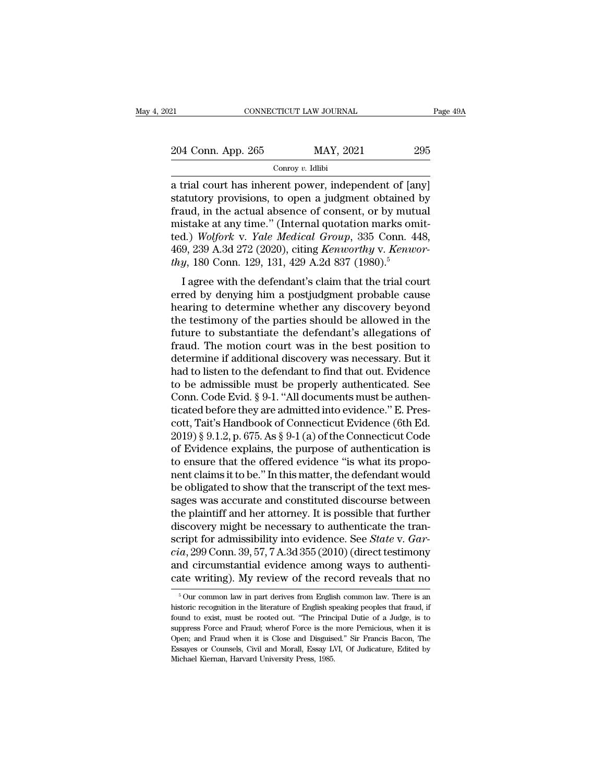EXECTIVE CONNECTICUT LAW JOURNAL Page 49A<br>204 Conn. App. 265 MAY, 2021 295<br>Conroy v. Idlibi

Conroy *v.* Idlibi

EXECTIVE TREE THE CONNECTICUT LAW JOURNAL Page  $49/2$ <br>
204 Conn. App. 265 MAY, 2021 295<br>
205 Conroy v. Idlibi<br>
201 a trial court has inherent power, independent of [any]<br>
31 statutory provisions, to open a judgment obtain  $\frac{204 \text{ Conn. App. 265}}{\text{Conv } v. \text{ Idibi}}$ <br>
a trial court has inherent power, independent of [any]<br>
statutory provisions, to open a judgment obtained by<br>
fraud, in the actual absence of consent, or by mutual<br>
mistake at any time." 204 Conn. App. 265 MAY, 2021 295<br>
Conroy v. Idlibi<br>
a trial court has inherent power, independent of [any]<br>
statutory provisions, to open a judgment obtained by<br>
fraud, in the actual absence of consent, or by mutual<br>
mist 204 Conn. App. 265 MAY, 2021 295<br>
Conroy v. Idlibi<br>
a trial court has inherent power, independent of [any]<br>
statutory provisions, to open a judgment obtained by<br>
fraud, in the actual absence of consent, or by mutual<br>
mist Containty Press Containty, 2021<br>
Conroy *v.* Idlibi<br>
a trial court has inherent power, independent of [any]<br>
statutory provisions, to open a judgment obtained by<br>
fraud, in the actual absence of consent, or by mutual<br>
mist <sup>Conroy v. Idibi<br>a trial court has inherent power, independent of [any]<br>statutory provisions, to open a judgment obtained by<br>fraud, in the actual absence of consent, or by mutual<br>mistake at any time." (Internal quotation m</sup> a trial court has inherent power, independent of [an statutory provisions, to open a judgment obtained fraud, in the actual absence of consent, or by mutu mistake at any time." (Internal quotation marks om ted.) *Wolfork v* Matterly provisions, to open a judgment obtained by<br>
aud, in the actual absence of consent, or by mutual<br>
istake at any time." (Internal quotation marks omit-<br>
d.) Wolfork v. Yale Medical Group, 335 Conn. 448,<br>
9, 239 A.3 mistake at any time." (Internal quotation marks omitted.) *Wolfork v. Yale Medical Group*, 335 Conn. 448, 469, 239 A.3d 272 (2020), citing *Kenworthy v. Kenworthy*, 180 Conn. 129, 131, 429 A.2d 837 (1980).<sup>5</sup><br>I agree with

mistake at any time. (internal quotation marks omneted.) Wolfork v. Yale Medical Group, 335 Conn. 448, 469, 239 A.3d 272 (2020), citing Kenworthy v. Kenworthy, 180 Conn. 129, 131, 429 A.2d 837 (1980).<sup>5</sup><br>I agree with the d ted.) woyon v. The meating oroup, 555 Colli. 446,<br>469, 239 A.3d 272 (2020), citing *Kenworthy* v. *Kenworthy*, 180 Conn. 129, 131, 429 A.2d 837 (1980).<sup>5</sup><br>I agree with the defendant's claim that the trial court<br>erred by d For a star and the defendant's claim that the trial court<br>thy, 180 Conn. 129, 131, 429 A.2d 837 (1980).<sup>5</sup><br>I agree with the defendant's claim that the trial court<br>erred by denying him a postjudgment probable cause<br>hearing Fraud. The motion count. The motion court of the motion court are meaning to determine whether any discovery beyond the testimony of the parties should be allowed in the future to substantiate the defendant's allegations I agree with the defendant's claim that the trial court<br>erred by denying him a postjudgment probable cause<br>hearing to determine whether any discovery beyond<br>the testimony of the parties should be allowed in the<br>future to s erred by denying him a postjudgment probable cause<br>hearing to determine whether any discovery beyond<br>the testimony of the parties should be allowed in the<br>future to substantiate the defendant's allegations of<br>fraud. The mo hearing to determine whether any discovery beyond<br>the testimony of the parties should be allowed in the<br>future to substantiate the defendant's allegations of<br>fraud. The motion court was in the best position to<br>determine if the testimony of the parties should be allowed in the<br>future to substantiate the defendant's allegations of<br>fraud. The motion court was in the best position to<br>determine if additional discovery was necessary. But it<br>had to future to substantiate the defendant's allegations of<br>fraud. The motion court was in the best position to<br>determine if additional discovery was necessary. But it<br>had to listen to the defendant to find that out. Evidence<br>t fraud. The motion court was in the best position to<br>determine if additional discovery was necessary. But it<br>had to listen to the defendant to find that out. Evidence<br>to be admissible must be properly authenticated. See<br>Co determine if additional discovery was necessary. But it<br>had to listen to the defendant to find that out. Evidence<br>to be admissible must be properly authenticated. See<br>Conn. Code Evid. § 9-1. "All documents must be authen-<br> had to listen to the defendant to find that out. Evidence<br>to be admissible must be properly authenticated. See<br>Conn. Code Evid. § 9-1. "All documents must be authen-<br>ticated before they are admitted into evidence." E. Pres to be admissible must be properly authenticated. See<br>Conn. Code Evid. § 9-1. "All documents must be authen-<br>ticated before they are admitted into evidence." E. Pres-<br>cott, Tait's Handbook of Connecticut Evidence (6th Ed.<br> Conn. Code Evid. § 9-1. "All documents must be authenticated before they are admitted into evidence." E. Prescott, Tait's Handbook of Connecticut Evidence (6th Ed. 2019) § 9.1.2, p. 675. As § 9-1 (a) of the Connecticut Cod ticated before they are admitted into evidence." E. Prescott, Tait's Handbook of Connecticut Evidence (6th Ed.<br>2019) § 9.1.2, p. 675. As § 9-1 (a) of the Connecticut Code<br>of Evidence explains, the purpose of authentication cott, Tait's Handbook of Connecticut Evidence (6th Ed.<br>2019) § 9.1.2, p. 675. As § 9-1 (a) of the Connecticut Code<br>of Evidence explains, the purpose of authentication is<br>to ensure that the offered evidence "is what its pro 2019) § 9.1.2, p. 675. As § 9-1 (a) of the Connecticut Code<br>of Evidence explains, the purpose of authentication is<br>to ensure that the offered evidence "is what its propo-<br>nent claims it to be." In this matter, the defenda of Evidence explains, the purpose of authentication is<br>to ensure that the offered evidence "is what its propo-<br>nent claims it to be." In this matter, the defendant would<br>be obligated to show that the transcript of the tex to ensure that the offered evidence "is what its proponent claims it to be." In this matter, the defendant would<br>be obligated to show that the transcript of the text mes-<br>sages was accurate and constituted discourse betwee rent claims it to be." In this matter, the defendant would<br>be obligated to show that the transcript of the text mes-<br>sages was accurate and constituted discourse between<br>the plaintiff and her attorney. It is possible that be obligated to show that the transcript of the text messages was accurate and constituted discourse between<br>the plaintiff and her attorney. It is possible that further<br>discovery might be necessary to authenticate the tran sages was accurate and constituted discourse between<br>the plaintiff and her attorney. It is possible that further<br>discovery might be necessary to authenticate the tran-<br>script for admissibility into evidence. See *State* v script for admissibility into evidence. See *State* v. *Garcia*, 299 Conn. 39, 57, 7 A.3d 355 (2010) (direct testimony and circumstantial evidence among ways to authenticate writing). My review of the record reveals that *cia*, 299 Conn. 39, 57, 7 A.3d 355 (2010) (direct testimony and circumstantial evidence among ways to authenticate writing). My review of the record reveals that no  $\frac{1}{5}$  Our common law in part derives from English c

and circumstantial evidence among ways to authenticate writing). My review of the record reveals that no  $50$ ur common law in part derives from English common law. There is an historic recognition in the literature of Eng cate writing). My review of the record reveals that no<br>
<sup>5</sup> Our common law in part derives from English common law. There is an<br>
historic recognition in the literature of English speaking peoples that fraud, if<br>
found to e Cate WITCHING). My Teview OT the TeCOTO Tevears that HO<br>
<sup>5</sup> Our common law in part derives from English common law. There is an<br>
historic recognition in the literature of English speaking peoples that fraud, if<br>
found to  $^\circ$  Our common law in part derives from English common law. There is an historic recognition in the literature of English speaking peoples that fraud, if found to exist, must be rooted out. "The Principal Dutie of a Judg historic recognition in the literature of English speaking peoples that fraud, if found to exist, must be rooted out. "The Principal Dutie of a Judge, is to suppress Force and Fraud; wherof Force is the more Pernicious, wh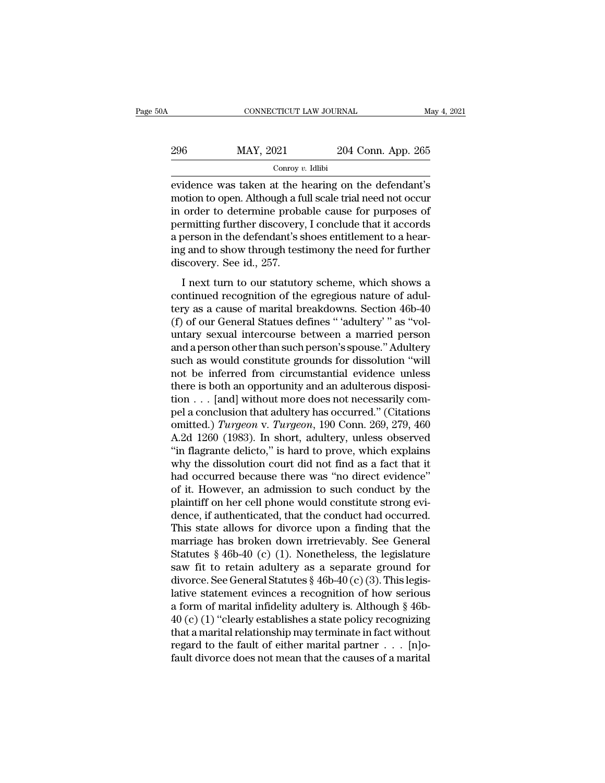| 0A  | CONNECTICUT LAW JOURNAL |                    | May 4, 2021 |
|-----|-------------------------|--------------------|-------------|
| 296 | MAY, 2021               | 204 Conn. App. 265 |             |
|     | Conroy $v$ . Idlibi     |                    |             |

EXECUTE CONNECTICUT LAW JOURNAL May 4, 2021<br>
204 Conn. App. 265<br>  $\frac{\text{Conv } v. \text{ Idlibi}}{\text{Conv } v. \text{ Idlibi}}$ <br>
evidence was taken at the hearing on the defendant's<br>
motion to open. Although a full scale trial need not occur<br>
in order 296 MAY, 2021 204 Conn. App. 265<br>  $\frac{\text{Conv } v. \text{ Idibi}}{\text{evidence was taken at the hearing on the defendant's}}$ <br>
motion to open. Although a full scale trial need not occur<br>
in order to determine probable cause for purposes of<br>
normitting further discovery. Leonalyde 296 MAY, 2021 204 Conn. App. 265<br>  $\frac{1}{2}$  Conroy v. Idlibi<br>
evidence was taken at the hearing on the defendant's<br>
motion to open. Although a full scale trial need not occur<br>
in order to determine probable cause for purp 296 MAY, 2021 204 Conn. App. 265<br>  $\frac{\text{Conv } y. \text{ Idlibi}}{\text{every } v. \text{ Idlibi}}$ <br>
evidence was taken at the hearing on the defendant's<br>
motion to open. Although a full scale trial need not occur<br>
in order to determine probable cause fo Figure 1991 and the defendant's<br>conroy *v*. Idibi<br>motion to open. Although a full scale trial need not occur<br>in order to determine probable cause for purposes of<br>permitting further discovery, I conclude that it accords<br>a From the defendant's evidence was taken at the hearing on the defendant's motion to open. Although a full scale trial need not occur in order to determine probable cause for purposes of permitting further discovery, I con evidence was taken at the l<br>motion to open. Although a fi<br>in order to determine proba<br>permitting further discovery<br>a person in the defendant's s<br>ing and to show through test<br>discovery. See id., 257.<br>I next turn to our stat order to determine probable cause for purposes of<br>order to determine probable cause for purposes of<br>person in the defendant's shoes entitlement to a hear-<br>g and to show through testimony the need for further<br>scovery. See i remitting further discovery, I conclude that it accords<br>a person in the defendant's shoes entitlement to a hear-<br>ing and to show through testimony the need for further<br>discovery. See id., 257.<br>I next turn to our statutory

Fernalism parallel also very, i conclude that it accords<br>a person in the defendant's shoes entitlement to a hear-<br>ing and to show through testimony the need for further<br>discovery. See id., 257.<br>I next turn to our statutory ing and to show through testimony the need for further<br>ting and to show through testimony the need for further<br>discovery. See id., 257.<br>I next turn to our statutory scheme, which shows a<br>continued recognition of the egregi discovery. See id., 257.<br>
I next turn to our statutory scheme, which shows a<br>
continued recognition of the egregious nature of adul-<br>
tery as a cause of marital breakdowns. Section 46b-40<br>
(f) of our General Statues define I next turn to our statutory scheme, which shows a<br>continued recognition of the egregious nature of adul-<br>tery as a cause of marital breakdowns. Section 46b-40<br>(f) of our General Statues defines "'adultery' " as "vol-<br>unta I next turn to our statutory scheme, which shows a<br>continued recognition of the egregious nature of adul-<br>tery as a cause of marital breakdowns. Section 46b-40<br>(f) of our General Statues defines "'adultery'' as "vol-<br>untar continued recognition of the egregious nature of adultery as a cause of marital breakdowns. Section 46b-40 (f) of our General Statues defines "'adultery'" as "voluntary sexual intercourse between a married person and a per tery as a cause of marital breakdowns. Section 46b-40 (f) of our General Statues defines "'adultery'" as "voluntary sexual intercourse between a married person and a person other than such person's spouse." Adultery such a (f) of our General Statues defines "'adultery'" as "voluntary sexual intercourse between a married person<br>and a person other than such person's spouse." Adultery<br>such as would constitute grounds for dissolution "will<br>not untary sexual intercourse between a married person<br>and a person other than such person's spouse." Adultery<br>such as would constitute grounds for dissolution "will<br>not be inferred from circumstantial evidence unless<br>there i and a person other than such person's spouse." Adultery<br>such as would constitute grounds for dissolution "will<br>not be inferred from circumstantial evidence unless<br>there is both an opportunity and an adulterous disposi-<br>tio such as would constitute grounds for dissolution "will<br>not be inferred from circumstantial evidence unless<br>there is both an opportunity and an adulterous disposi-<br>tion . . . [and] without more does not necessarily com-<br>pe not be inferred from circumstantial evidence unless<br>there is both an opportunity and an adulterous disposi-<br>tion . . . [and] without more does not necessarily com-<br>pel a conclusion that adultery has occurred." (Citations<br> there is both an opportunity and an adulterous disposition . . . [and] without more does not necessarily compel a conclusion that adultery has occurred." (Citations omitted.) Turgeon v. Turgeon, 190 Conn. 269, 279, 460 A. tion . . . [and] without more does not necessarily compel a conclusion that adultery has occurred." (Citations omitted.) *Turgeon* v. *Turgeon*, 190 Conn. 269, 279, 460 A.2d 1260 (1983). In short, adultery, unless observe pel a conclusion that adultery has occurred." (Citations<br>omitted.) *Turgeon* v. *Turgeon*, 190 Conn. 269, 279, 460<br>A.2d 1260 (1983). In short, adultery, unless observed<br>"in flagrante delicto," is hard to prove, which expla omitted.) *Turgeon* v. *Turgeon*, 190 Conn. 269, 279, 460<br>A.2d 1260 (1983). In short, adultery, unless observed<br>"in flagrante delicto," is hard to prove, which explains<br>why the dissolution court did not find as a fact that A.2d 1260 (1983). In short, adultery, unless observed<br>"in flagrante delicto," is hard to prove, which explains<br>why the dissolution court did not find as a fact that it<br>had occurred because there was "no direct evidence"<br>of "in flagrante delicto," is hard to prove, which explains<br>why the dissolution court did not find as a fact that it<br>had occurred because there was "no direct evidence"<br>of it. However, an admission to such conduct by the<br>pla why the dissolution court did not find as a fact that it<br>had occurred because there was "no direct evidence"<br>of it. However, an admission to such conduct by the<br>plaintiff on her cell phone would constitute strong evi-<br>denc had occurred because there was "no direct evidence"<br>of it. However, an admission to such conduct by the<br>plaintiff on her cell phone would constitute strong evi-<br>dence, if authenticated, that the conduct had occurred.<br>This of it. However, an admission to such conduct by the plaintiff on her cell phone would constitute strong evidence, if authenticated, that the conduct had occurred.<br>This state allows for divorce upon a finding that the marr plaintiff on her cell phone would constitute strong evidence, if authenticated, that the conduct had occurred.<br>This state allows for divorce upon a finding that the marriage has broken down irretrievably. See General Statu dence, if authenticated, that the conduct had occurred.<br>This state allows for divorce upon a finding that the<br>marriage has broken down irretrievably. See General<br>Statutes § 46b-40 (c) (1). Nonetheless, the legislature<br>saw This state allows for divorce upon a finding that the<br>marriage has broken down irretrievably. See General<br>Statutes § 46b-40 (c) (1). Nonetheless, the legislature<br>saw fit to retain adultery as a separate ground for<br>divorce marriage has broken down irretrievably. See General<br>Statutes § 46b-40 (c) (1). Nonetheless, the legislature<br>saw fit to retain adultery as a separate ground for<br>divorce. See General Statutes § 46b-40 (c) (3). This legis-<br>l Statutes § 46b-40 (c) (1). Nonetheless, the legislature<br>saw fit to retain adultery as a separate ground for<br>divorce. See General Statutes § 46b-40 (c) (3). This legis-<br>lative statement evinces a recognition of how serious saw fit to retain adultery as a separate ground for<br>divorce. See General Statutes § 46b-40 (c) (3). This legis-<br>lative statement evinces a recognition of how serious<br>a form of marital infidelity adultery is. Although § 46 divorce. See General Statutes § 46b-40 (c) (3). This legis-<br>lative statement evinces a recognition of how serious<br>a form of marital infidelity adultery is. Although § 46b-<br>40 (c) (1) "clearly establishes a state policy re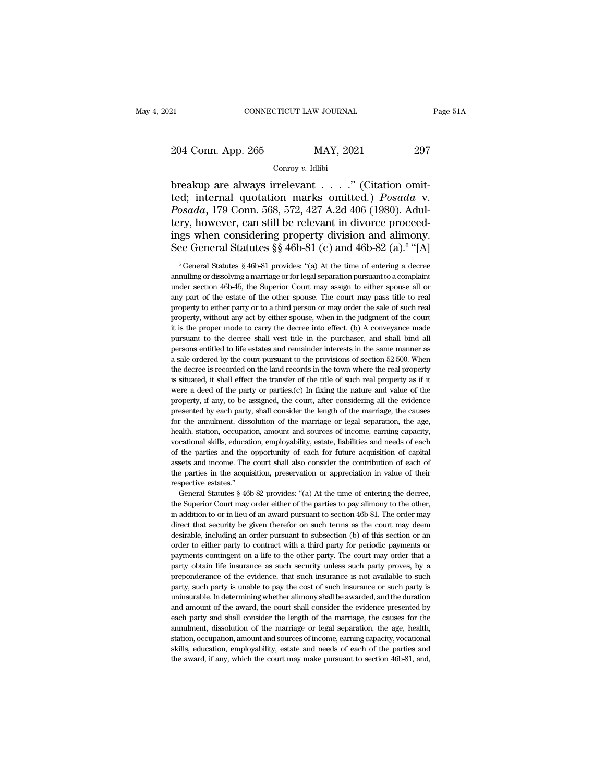Conroy *v.* Idlibi

ERECTIVE AN JOURNAL<br>
204 Conn. App. 265 MAY, 2021 297<br>
297 Conroy v. Idlibi<br>
breakup are always irrelevant . . . . . " (Citation omit-<br>
ted; internal quotation marks omitted.) *Posada* v.<br>
Posada 179 Conn. 568, 572, 427, 4 204 Conn. App. 265 MAY, 2021 297<br>
Conroy v. Idlibi<br>
breakup are always irrelevant . . . . . " (Citation omit-<br>
ted; internal quotation marks omitted.) *Posada* v.<br> *Posada*, 179 Conn. 568, 572, 427 A.2d 406 (1980). Adultar *Posada*, 179 Conney v. Idibi<br> *Posada*, 179 Conney v. Idibi<br> *Posada*, 179 Conn. 568, 572, 427 A.2d 406 (1980). Adultery, however, can still be relevant in divorce proceedings when considering property division and alimon 204 Conn. App. 265 MAY, 2021 297<br>
Conroy v. Idlibi<br>
breakup are always irrelevant . . . . . " (Citation omit-<br>
ted; internal quotation marks omitted.) *Posada* v.<br> *Posada*, 179 Conn. 568, 572, 427 A.2d 406 (1980). Adul-<br> For Conditionary 1999. 2009<br>
Conroy v. Idlibi<br>
Dreakup are always irrelevant . . . . . " (Citation omit-<br>
ted; internal quotation marks omitted.) *Posada* v.<br> *Posada*, 179 Conn. 568, 572, 427 A.2d 406 (1980). Adul-<br>
tery Conroy v. Idlibi<br>
breakup are always irrelevant . . . ." (Citation omit-<br>
ted; internal quotation marks omitted.) *Posada* v.<br> *Posada*, 179 Conn. 568, 572, 427 A.2d 406 (1980). Adul-<br>
tery, however, can still be relevant osada, 179 Conn. 568, 572, 427 A.2d 406 (1980). Adul-<br>ry, however, can still be relevant in divorce proceed-<br>gs when considering property division and alimony.<br>ee General Statutes § 46b-81 (c) and 46b-82 (a).<sup>6</sup> "[A]<br><sup>6</sup> tery, however, can still be relevant in divorce proceedings when considering property division and alimony.<br>See General Statutes §§ 46b-81 (c) and 46b-82 (a).<sup>6</sup> "[A]<br><sup>6</sup> General Statutes § 46b-81 provides: "(a) At the ti

Something property division and annionly.<br>See General Statutes §  $6$  46b-81 (c) and 46b-82 (a).<sup>6</sup> "[A]<br><sup>6</sup> General Statutes § 46b-81 provides: "(a) At the time of entering a decree<br>annulling or dissolving a marriage or f ings when considering property division and alimony.<br>See General Statutes §§ 46b-81 (c) and 46b-82 (a).<sup>6</sup> "[A]<br>
<sup>6</sup> General Statutes § 46b-81 provides: "(a) At the time of entering a decree<br>
annulling or dissolving a mar be definer and Statutes sy 400-01 (C) and 400-02 (a). [A]  $\frac{1}{2}$  or the set of either sale of entering a decree annulling or dissolving a marriage or for legal separation pursuant to a complaint under section 46b-45, t <sup>6</sup> General Statutes § 46b-81 provides: "(a) At the time of entering a decree annulling or dissolving a marriage or for legal separation pursuant to a complaint under section 46b-45, the Superior Court may assign to eithe it is the property and a complaint under section 46b-45, the Superior Court may assign to either spouse all or any part of the estate of the other spouse. The court may pass title to real property to either party or to a t under section 46b-45, the Superior Court may assign to either spouse all or any part of the estate of the other spouse. The court may pass title to real property to either party or to a third person or may order the sale any part of the estate of the other spouse. The court may pass title to real property to either party or to a third person or may order the sale of such real property, without any act by either spouse, when in the judgmen a spectry to either party or to a third person or may order the sale of such real property, without any act by either spouse, when in the judgment of the court it is the proper mode to carry the decree into effect. (b) A c property, without any act by either spouse, when in the judgment of the court<br>it is the proper mode to carry the decree into effect. (b) A conveyance made<br>pursuant to the decree shall vest title in the purchaser, and shall it is the proper mode to carry the decree into effect. (b) A conveyance made pursuant to the decree shall vest title in the purchaser, and shall bind all persons entitled to life estates and remainder interests in the sam we were readed of the decree shall vest title in the purchaser, and shall bind all persons entitled to life estates and remainder interests in the same manner as a sale ordered by the court pursuant to the provisions of se persons entitled to life estates and remainder interests in the same manner as<br>a sale ordered by the court pursuant to the provisions of section 52-500. When<br>the decree is recorded on the land records in the town where the presented by the court pursuant to the provisions of section 52-500. When<br>the decree is recorded on the land records in the town where the real property<br>is situated, it shall effect the transfer of the title of such real p For the alternation of the land records in the town where the real property is situated, it shall effect the transfer of the title of such real property as if it were a deed of the party or parties.(c) In fixing the nature is situated, it shall effect the transfer of the title of such real property as if it were a deed of the party or parties.(c) In fixing the nature and value of the property, if any, to be assigned, the court, after consid were a deed of the party or parties.(c) In fixing the nature and value of the property, if any, to be assigned, the court, after considering all the evidence presented by each party, shall consider the length of the marri property, if any, to be assigned, the court, after considering all the evidence<br>presented by each party, shall consider the length of the marriage, the causes<br>for the annulment, dissolution of the marriage or legal separa property, a day, we set also consider the length of the marriage, the causes for the annulment, dissolution of the marriage or legal separation, the age, health, station, occupation, amount and sources of income, earning c for the annulment, dissolution of the marriage or legal separation, the age, health, station, occupation, amount and sources of income, earning capacity, vocational skills, education, employability, estate, liabilities and respective estates.<br>
The alth, station, occupation<br>
occupational skills, educated<br>
of the parties and the essents and income. The<br>
the parties in the acqui<br>
increases.''<br>
General Statutes § 461 cational skills, education, employability, estate, liabilities and needs of each the parties and the opportunity of each for future acquisition of capital sets and income. The court shall also consider the contribution of For the parties and the opportunity of each for future acquisition of capital assets and income. The court shall also consider the contribution of each of the parties in the acquisition, preservation or appreciation in va

assets and income. The court shall also consider the contribution of each of the parties in the acquisition, preservation or appreciation in value of their respective estates."<br>
General Statutes  $§$  46b-82 provides: "(a) the parties in the acquisition, preservation or appreciation in value of their respective estates."<br>
General Statutes § 46b-82 provides: "(a) At the time of entering the decree, the Superior Court may order either of the respective estates."<br>
General Statutes § 46b-82 provides: "(a) At the time of entering the decree,<br>
the Superior Court may order either of the parties to pay alimony to the other,<br>
in addition to or in lieu of an award pur General Statutes § 46b-82 provides: "(a) At the time of entering the decree, the Superior Court may order either of the parties to pay alimony to the other, in addition to or in lieu of an award pursuant to section 46b-81. the Superior Court may order either of the parties to pay alimony to the other, in addition to or in lieu of an award pursuant to section 46b-81. The order may direct that security be given therefor on such terms as the co in addition to or in lieu of an award pursuant to section 46b-81. The order may direct that security be given therefor on such terms as the court may deem desirable, including an order pursuant to subsection (b) of this se in each direct that security be given therefor on such terms as the court may deem desirable, including an order pursuant to subsection (b) of this section or an order to either party to contract with a third party for per desirable, including an order pursuant to subsection (b) of this section or an order to either party to contract with a third party for periodic payments or payments contingent on a life to the other party. The court may o order to either party to contract with a third party for periodic payments or payments contingent on a life to the other party. The court may order that a party obtain life insurance as such security unless such party prov payments contingent on a life to the other party. The court may order that a party obtain life insurance as such security unless such party proves, by a preponderance of the evidence, that such insurance is not available t party obtain life insurance as such security unless such party proves, by a preponderance of the evidence, that such insurance is not available to such party, such party is unable to pay the cost of such insurance or such pearly produce of the evidence, that such insurance is not available to such party, such party is unable to pay the cost of such insurance or such party is uninsurable. In determining whether alimony shall be awarded, and preparty, such party is unable to pay the cost of such insurance or such party is uninsurable. In determining whether alimony shall be awarded, and the duration and amount of the award, the court shall consider the evidenc placty, stacking the determining whether alimony shall be awarded, and the duration and amount of the award, the court shall consider the evidence presented by each party and shall consider the length of the marriage, the uninsurable. In determining whether alimony shall be awarded, and the duration and amount of the award, the court shall consider the evidence presented by each party and shall consider the length of the marriage, the cause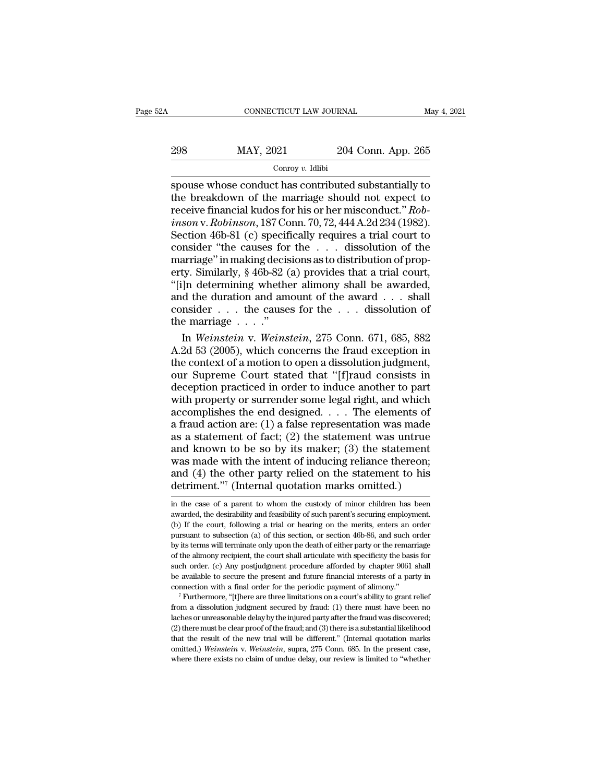| A   | CONNECTICUT LAW JOURNAL |                    | May 4, 2021 |
|-----|-------------------------|--------------------|-------------|
|     |                         |                    |             |
| 298 | MAY, 2021               | 204 Conn. App. 265 |             |
|     | Conroy $v$ . Idlibi     |                    |             |

# Conroy *v.* Idlibi

 $\begin{tabular}{ll} \multicolumn{1}{l}{{\text{COMRECTICUT LAW JOURNAL}}} & \multicolumn{1}{l}{May 4, 2021} \\ \hline & \multicolumn{1}{l}{\text{Convy } v} & \text{Idlibi} \\ \hline & \multicolumn{1}{l}{\text{Convy } v} & \text{Idlibi} \\ \hline & \multicolumn{1}{l}{\text{Spouse whose conduct has contributed substantially to}} \\ \hline & \multicolumn{1}{l}{\text{the breakdown of the marriage should not expect to}} \\ \hline & \text{receive financial kudes for his or her microoluct "Boh.} \end{tabular}$ 298 MAY, 2021 204 Conn. App. 265<br>
conroy v. Idlibi<br>
spouse whose conduct has contributed substantially to<br>
the breakdown of the marriage should not expect to<br>
receive financial kudos for his or her misconduct." Rob-<br>
inso recept financial kudos for his or her misconduct in the breakdown of the marriage should not expect to the marriage should not expect to the marriage should not expect to the marriage should not expect to the marriage shou *i Connet 201 204 Conn. App. 265*<br> *Conroy v. Idlibi*<br> *inspouse whose conduct has contributed substantially to*<br> *interming the marriage should not expect to*<br> *receive financial kudos for his or her misconduct." <i>Rob* Section 46b-81 (c) specifically requires a trial court of the matrices and the breakdown of the matriage should not expect to receive financial kudos for his or her misconduct." *Robinson* v. *Robinson*, 187 Conn. 70, 72, Conroy v. Idlibi<br>
spouse whose conduct has contributed substantially to<br>
the breakdown of the marriage should not expect to<br>
receive financial kudos for his or her misconduct." *Rob-*<br> *inson* v. *Robinson*, 187 Conn. 70, spouse whose conduct has contributed substantially to<br>the breakdown of the marriage should not expect to<br>receive financial kudos for his or her misconduct." *Rob-<br>inson* v. *Robinson*, 187 Conn. 70, 72, 444 A.2d 234 (1982 the breakdown of the marriage should not expect to<br>receive financial kudos for his or her misconduct." *Rob-<br>inson* v. *Robinson*, 187 Conn. 70, 72, 444 A.2d 234 (1982).<br>Section 46b-81 (c) specifically requires a trial cou receive financial kudos for his or her misconduct." *Robinson* v. *Robinson*, 187 Conn. 70, 72, 444 A.2d 234 (1982).<br>Section 46b-81 (c) specifically requires a trial court to consider "the causes for the  $\dots$  dissolution *inson* v. *Robinson*, 187 Conn. 70, 72, 444 A.2d 234 (1982).<br>Section 46b-81 (c) specifically requires a trial court to consider "the causes for the . . . dissolution of the marriage" in making decisions as to distributio Section 46b-81 (c) specifically requires a trial court to consider "the causes for the . . . dissolution of the marriage" in making decisions as to distribution of property. Similarly, § 46b-82 (a) provides that a trial c Section 46b-81 (c) specifically requires a trial court to consider "the causes for the . . . dissolution of the marriage" in making decisions as to distribution of property. Similarly,  $\frac{8}{16}$ -82 (a) provides that a tr arriage" in making decisions as to distribution of prop-<br>ty. Similarly, § 46b-82 (a) provides that a trial court,<br>]n determining whether alimony shall be awarded,<br>d the duration and amount of the award . . . shall<br>nsider . erty. Similarly, § 46b-82 (a) provides that a trial court,<br>"[i]n determining whether alimony shall be awarded,<br>and the duration and amount of the award . . . shall<br>consider . . . the causes for the . . . dissolution of<br>th

"[i]n determining whether alimony shall be awarded,<br>
and the duration and amount of the award . . . shall<br>
consider . . . the causes for the . . . dissolution of<br>
the marriage . . . ."<br>
In *Weinstein* v. *Weinstein*, 275 and the duration and amount of the award . . . shall<br>consider . . . the causes for the . . . dissolution of<br>the marriage . . . ."<br>In Weinstein v. Weinstein, 275 Conn. 671, 685, 882<br>A.2d 53 (2005), which concerns the fraud consider . . . the causes for the . . . dissolution of<br>the marriage . . . ."<br>In *Weinstein* v. *Weinstein*, 275 Conn. 671, 685, 882<br>A.2d 53 (2005), which concerns the fraud exception in<br>the context of a motion to open a d the marriage  $\dots$ ."<br>
In *Weinstein* v. *Weinstein*, 275 Conn. 671, 685, 882<br>
A.2d 53 (2005), which concerns the fraud exception in<br>
the context of a motion to open a dissolution judgment,<br>
our Supreme Court stated that "[ In Weinstein v. Weinstein, 275 Conn. 671, 685, 882<br>A.2d 53 (2005), which concerns the fraud exception in<br>the context of a motion to open a dissolution judgment,<br>our Supreme Court stated that "[f]raud consists in<br>deception A.2d 53 (2005), which concerns the fraud exception in<br>the context of a motion to open a dissolution judgment,<br>our Supreme Court stated that "[f]raud consists in<br>deception practiced in order to induce another to part<br>with the context of a motion to open a dissolution judgment,<br>our Supreme Court stated that "[f]raud consists in<br>deception practiced in order to induce another to part<br>with property or surrender some legal right, and which<br>acco our Supreme Court stated that "[f]raud consists in<br>deception practiced in order to induce another to part<br>with property or surrender some legal right, and which<br>accomplishes the end designed. . . . The elements of<br>a fraud deception practiced in order to induce another to part<br>with property or surrender some legal right, and which<br>accomplishes the end designed. . . . The elements of<br>a fraud action are: (1) a false representation was made<br>as with property or surrender some legal right, and which<br>accomplishes the end designed. . . . The elements of<br>a fraud action are: (1) a false representation was made<br>as a statement of fact; (2) the statement was untrue<br>and accomplishes the end designed. . . . The elements of<br>a fraud action are: (1) a false representation was made<br>as a statement of fact; (2) the statement was untrue<br>and known to be so by its maker; (3) the statement<br>was made and known to be so by its maker; (3) the statement<br>was made with the intent of inducing reliance thereon;<br>and (4) the other party relied on the statement to his<br>detriment."<sup>7</sup> (Internal quotation marks omitted.)<br>in the ca was made with the intent of inducing reliance thereon;<br>and (4) the other party relied on the statement to his<br>detriment."<sup>7</sup> (Internal quotation marks omitted.)<br>in the case of a parent to whom the custody of minor children

such order. (c) Any postjudgment procedure afforded by chapter 9061 shall<br>be available to secure the present and future financial interests of a party in<br>connection with a final order for the periodic payment of alimony." be available to search and future financial interests of a party in connection with a final order for the periodic payment of alimony."<br>
<sup>7</sup> Furthermore, "[t]here are three limitations on a court's ability to grant relief connection with a final order for the periodic payment of alimony."<br>
Turthermore, "[t]here are three limitations on a court's ability to grant relief<br>
from a dissolution judgment secured by fraud: (1) there must have been <sup>7</sup> Furthermore, "[t]here are three limitations on a court's ability to grant relief from a dissolution judgment secured by fraud: (1) there must have been no laches or unreasonable delay by the injured party after the fra from a dissolution judgment secured by fraud: (1) there must have been no laches or unreasonable delay by the injured party after the fraud was discovered; (2) there must be clear proof of the fraud; and (3) there is a su

and (4) the other party relied on the statement to his detriment."<sup>7</sup> (Internal quotation marks omitted.)<br>
in the case of a parent to whom the custody of minor children has been<br>
awarded, the desirability and feasibility detriment."<sup>7</sup> (Internal quotation marks omitted.)<br>detriment."<sup>7</sup> (Internal quotation marks omitted.)<br>in the case of a parent to whom the custody of minor children has been<br>awarded, the desirability and feasibility of suc detriment. The court in quotation interns onlined.)<br>in the case of a parent to whom the custody of minor children has been<br>awarded, the desirability and feasibility of such parent's securing employment.<br>(b) If the court, f in the case of a parent to whom the custody of minor children has been awarded, the desirability and feasibility of such parent's securing employment.<br>(b) If the court, following a trial or hearing on the merits, enters an such a warded, the desirability and feasibility of such parent's securing employment.<br>(b) If the court, following a trial or hearing on the merits, enters an order pursuant to subsection (a) of this section, or section 46b be available to secure the present and future financial interests. The present and of the court, following a trial or hearing on the merits, enters an order by its terms will terminate only upon the death of either party pursuant to subsection (a) of this section, or section 46b-86, and such order<br>by its terms will terminate only upon the death of either party or the remarriage<br>of the alimony recipient, the court shall articulate with spec from a dissolution judgment secured by fraud: (1) there must have been no laches or unreasonable dependent procedure afforded by chapter 9061 shall be available to secure the present and future financial interests of a pa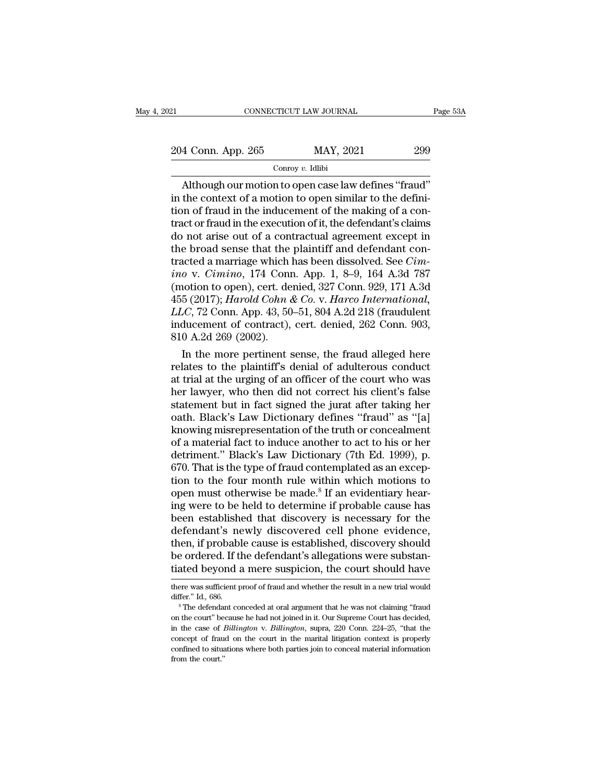21 CONNECTICUT LAW JOURNAL Page 53A<br>204 Conn. App. 265 MAY, 2021 299<br>Conroy v. Idlibi

### Conroy *v.* Idlibi

CONNECTICUT LAW JOURNAL Page<br>
4 Conn. App. 265 MAY, 2021 299<br>
Conroy v. Idlibi<br>
Although our motion to open case law defines "fraud"<br>
the context of a motion to open similar to the defini-<br>
the context of a motion to open 204 Conn. App. 265 MAY, 2021 299<br>
Conroy v. Idlibi<br>
Although our motion to open case law defines "fraud"<br>
in the context of a motion to open similar to the defini-<br>
tion of fraud in the inducement of the making of a contr 204 Conn. App. 265 MAY, 2021 299<br>
Conroy v. Idlibi<br>
Although our motion to open case law defines "fraud"<br>
in the context of a motion to open similar to the defini-<br>
tion of fraud in the inducement of the making of a con-<br> 204 Conn. App. 265 MAY, 2021 299<br>
Conroy v. Idlibi<br>
Although our motion to open case law defines "fraud"<br>
in the context of a motion to open similar to the defini-<br>
tion of fraud in the inducement of the making of a con-<br> Contain  $\frac{1}{252}$  Contain  $\frac{1}{252}$  Conroy v. Idlibi<br>
Although our motion to open case law defines "fraud"<br>
in the context of a motion to open similar to the defini-<br>
tion of fraud in the inducement of the making of a Example 174 Conneign and the plant of the definition of fraud in the inducement of the making of a contract or fraud in the inducement of the making of a contract or fraud in the execution of it, the defendant's claims do Although our motion to open case law defines "fraud"<br>in the context of a motion to open similar to the defini-<br>tion of fraud in the inducement of the making of a con-<br>tract or fraud in the execution of it, the defendant's in the context of a motion to open similar to the definition of fraud in the inducement of the making of a contract or fraud in the execution of it, the defendant's claims do not arise out of a contractual agreement except tion of fraud in the inducement of the making of a contract or fraud in the execution of it, the defendant's claims<br>do not arise out of a contractual agreement except in<br>the broad sense that the plaintiff and defendant co tract or fraud in the execution of it, the defendant's claims<br>do not arise out of a contractual agreement except in<br>the broad sense that the plaintiff and defendant con-<br>tracted a marriage which has been dissolved. See *Ci* do not arise out of a contractual agreement except in<br>the broad sense that the plaintiff and defendant con-<br>tracted a marriage which has been dissolved. See *Cim-*<br>ino v. *Cimino*, 174 Conn. App. 1, 8–9, 164 A.3d 787<br>(moti the broad sense that the plaintiff and defendant contracted a marriage which has been dissolved. See *Cimino* v. *Cimino*, 174 Conn. App. 1, 8–9, 164 A.3d 787 (motion to open), cert. denied, 327 Conn. 929, 171 A.3d 455 (2 tracted a marriage which in<br>
ino v. Cimino, 174 Conr<br>
(motion to open), cert. de<br>
455 (2017); *Harold Cohn d*<br> *LLC*, 72 Conn. App. 43, 50<br>
inducement of contract),<br>
810 A.2d 269 (2002).<br>
In the more pertinent s o v. Cimino, 174 Conn. App. 1, 8–9, 164 A.3d 787<br>
iotion to open), cert. denied, 327 Conn. 929, 171 A.3d<br>
5 (2017); *Harold Cohn & Co. v. Harco International*,<br> *C.*, 72 Conn. App. 43, 50–51, 804 A.2d 218 (fraudulent<br>
duc (motion to open), cert. denied, 327 Conn. 929, 171 A.3d<br>455 (2017); *Harold Cohn & Co. v. Harco International,*<br> $LLC$ , 72 Conn. App. 43, 50–51, 804 A.2d 218 (fraudulent<br>inducement of contract), cert. denied, 262 Conn. 903,

455 (2017); *Harold Cohn & Co.* v. *Harco International,*<br>*LLC*, 72 Conn. App. 43, 50–51, 804 A.2d 218 (fraudulent<br>inducement of contract), cert. denied, 262 Conn. 903,<br>810 A.2d 269 (2002).<br>In the more pertinent sense, th *LLC*, 72 Conn. App. 43, 50–51, 804 A.2d 218 (fraudulent<br>inducement of contract), cert. denied, 262 Conn. 903,<br>810 A.2d 269 (2002).<br>In the more pertinent sense, the fraud alleged here<br>relates to the plaintiff's denial of inducement of contract), cert. denied, 262 Conn. 903,<br>810 A.2d 269 (2002).<br>In the more pertinent sense, the fraud alleged here<br>relates to the plaintiff's denial of adulterous conduct<br>at trial at the urging of an officer of 810 A.2d 269 (2002).<br>
In the more pertinent sense, the fraud alleged here<br>
relates to the plaintiff's denial of adulterous conduct<br>
at trial at the urging of an officer of the court who was<br>
her lawyer, who then did not co In the more pertinent sense, the fraud alleged here<br>relates to the plaintiff's denial of adulterous conduct<br>at trial at the urging of an officer of the court who was<br>her lawyer, who then did not correct his client's false<br> relates to the plaintiff's denial of adulterous conduct<br>at trial at the urging of an officer of the court who was<br>her lawyer, who then did not correct his client's false<br>statement but in fact signed the jurat after taking at trial at the urging of an officer of the court who was<br>her lawyer, who then did not correct his client's false<br>statement but in fact signed the jurat after taking her<br>oath. Black's Law Dictionary defines "fraud" as "[a] her lawyer, who then did not correct his client's false<br>statement but in fact signed the jurat after taking her<br>oath. Black's Law Dictionary defines "fraud" as "[a]<br>knowing misrepresentation of the truth or concealment<br>of statement but in fact signed the jurat after taking her<br>oath. Black's Law Dictionary defines "fraud" as "[a]<br>knowing misrepresentation of the truth or concealment<br>of a material fact to induce another to act to his or her<br>d oath. Black's Law Dictionary defines "fraud" as "[a] knowing misrepresentation of the truth or concealment of a material fact to induce another to act to his or her detriment." Black's Law Dictionary (7th Ed. 1999), p. 670 knowing misrepresentation of the truth or concealment<br>of a material fact to induce another to act to his or her<br>detriment." Black's Law Dictionary (7th Ed. 1999), p.<br>670. That is the type of fraud contemplated as an excepof a material fact to induce another to act to his or her<br>detriment." Black's Law Dictionary (7th Ed. 1999), p.<br>670. That is the type of fraud contemplated as an excep-<br>tion to the four month rule within which motions to<br>o detriment." Black's Law Dictionary (7th Ed. 1999), p.<br>670. That is the type of fraud contemplated as an exception to the four month rule within which motions to<br>open must otherwise be made.<sup>8</sup> If an evidentiary hear-<br>ing w 670. That is the type of fraud contemplated as an exception to the four month rule within which motions to open must otherwise be made.<sup>8</sup> If an evidentiary hearing were to be held to determine if probable cause has been e tion to the four month rule within which motions to<br>open must otherwise be made.<sup>8</sup> If an evidentiary hear-<br>ing were to be held to determine if probable cause has<br>been established that discovery is necessary for the<br>defend open must otherwise be made.<sup>8</sup> If an evidentiary hearing were to be held to determine if probable cause has been established that discovery is necessary for the defendant's newly discovered cell phone evidence, then, if p defendant's newly discovered cell phone evidence,<br>then, if probable cause is established, discovery should<br>be ordered. If the defendant's allegations were substan-<br>tiated beyond a mere suspicion, the court should have<br>ther then, if probable cause is established, discovery should<br>be ordered. If the defendant's allegations were substan-<br>tiated beyond a mere suspicion, the court should have<br>there was sufficient proof of fraud and whether the re

be ordered. If the defendant's allegations were substantiated beyond a mere suspicion, the court should have there was sufficient proof of fraud and whether the result in a new trial would differ." Id., 686.<br>
<sup>8</sup> The defen in the case of *Billington* v. *Billington*, une court Should have<br>there was sufficient proof of fraud and whether the result in a new trial would<br>differ." Id., 686.<br><sup>8</sup> The defendant conceded at oral argument that he was there was sufficient proof of fraud and whether the result in a new trial would<br>differ." Id., 686.<br><sup>8</sup> The defendant conceded at oral argument that he was not claiming "fraud<br>on the court" because he had not joined in it. differ." Id., 686.<br>
<sup>8</sup> The defendant conceded at oral argument that he was not claiming "fraud<br>
on the court" because he had not joined in it. Our Supreme Court has decided,<br>
in the case of *Billington* v. *Billington*, s on the court" because he had not joined in it. Our Supreme Court has decided, in the case of *Billington* v. *Billington*, supra, 220 Conn. 224–25, "that the concept of fraud on the court in the marital litigation context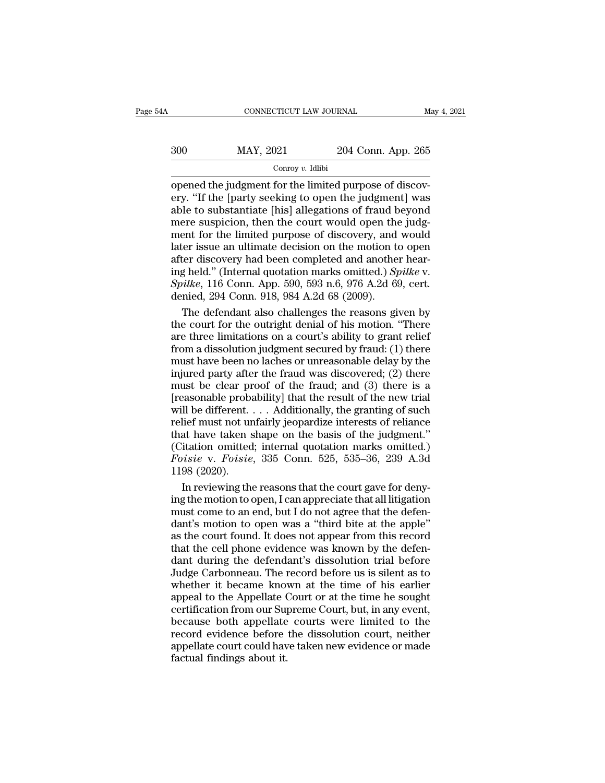| 4Α  | CONNECTICUT LAW JOURNAL |                    | May 4, 2021 |
|-----|-------------------------|--------------------|-------------|
| 300 | MAY, 2021               | 204 Conn. App. 265 |             |
|     | Conroy $v$ . Idlibi     |                    |             |

CONNECTICUT LAW JOURNAL<br>
ODER MAY, 2021 204 Conn. App. 265<br>
Conroy v. Idlibi<br>
Opened the judgment for the limited purpose of discov-<br>
ery. "If the [party seeking to open the judgment] was<br>
able to substantiate [his] allega  $\begin{array}{r} \hline \text{300} \text{~} \text{~} \text{MAX, 2021} \text{~} \text{~} \text{204 Conn. App. 265} \ \hline \text{conroy } v. \text{ Idibi} \ \hline \text{opened the judgment for the limited purpose of discovery.} \ \text{``If the [party seeking to open the judgment] was able to substantiate [his] allegations of fraud beyond mere suspicion, then the court would open the index-} \end{array}$  $\begin{array}{r} \text{300}\qquad \text{MAX, } 2021\qquad \text{204 Conn. App. 265}\ \text{300}\qquad \text{14.} \end{array}$  Conroy v. Idibi<br>opened the judgment for the limited purpose of discovery. "If the [party seeking to open the judgment] was<br>able to substantiate [his] al  $\frac{300}{\text{S}}$  MAY, 2021 204 Conn. App. 265<br>  $\frac{300}{\text{Corroy } v. \text{ Idlibi}}$ <br>
opened the judgment for the limited purpose of discovery. "If the [party seeking to open the judgment] was<br>
able to substantiate [his] allegations of ment for the limited purpose of discovery. "If the [party seeking to open the judgment] was<br>able to substantiate [his] allegations of fraud beyond<br>mere suspicion, then the court would open the judgment for the limited pur Conroy v. Idlibi<br>
opened the judgment for the limited purpose of discov-<br>
ery. "If the [party seeking to open the judgment] was<br>
able to substantiate [his] allegations of fraud beyond<br>
mere suspicion, then the court would opened the judgment for the limited purpose of discovery. "If the [party seeking to open the judgment] was<br>able to substantiate [his] allegations of fraud beyond<br>mere suspicion, then the court would open the judg-<br>ment for ery. "If the [party seeking to open the judgment] was<br>able to substantiate [his] allegations of fraud beyond<br>mere suspicion, then the court would open the judg-<br>ment for the limited purpose of discovery, and would<br>later is able to substantiate [his] allegations of fraud beyond<br>mere suspicion, then the court would open the judg-<br>ment for the limited purpose of discovery, and would<br>later issue an ultimate decision on the motion to open<br>after d mere suspicion, then the court would open the<br>ment for the limited purpose of discovery, and<br>later issue an ultimate decision on the motion to<br>after discovery had been completed and anothe<br>ing held." (Internal quotation m ent for the limited purpose of discovery, and would<br>ter issue an ultimate decision on the motion to open<br>ter discovery had been completed and another hear-<br>g held." (Internal quotation marks omitted.) *Spilke* v.<br>*ilke*, 1 later issue an ultimate decision on the motion to open<br>after discovery had been completed and another hear-<br>ing held." (Internal quotation marks omitted.) *Spilke* v.<br>*Spilke*, 116 Conn. App. 590, 593 n.6, 976 A.2d 69, cer

after discovery had been completed and another hear-<br>ing held." (Internal quotation marks omitted.) *Spilke* v.<br>*Spilke*, 116 Conn. App. 590, 593 n.6, 976 A.2d 69, cert.<br>denied, 294 Conn. 918, 984 A.2d 68 (2009).<br>The defen ing held." (Internal quotation marks omitted.) *Spilke* v.<br> *Spilke*, 116 Conn. App. 590, 593 n.6, 976 A.2d 69, cert.<br>
denied, 294 Conn. 918, 984 A.2d 68 (2009).<br>
The defendant also challenges the reasons given by<br>
the co Spilke, 116 Conn. App. 590, 593 n.6, 976 A.2d 69, cert.<br>denied, 294 Conn. 918, 984 A.2d 68 (2009).<br>The defendant also challenges the reasons given by<br>the court for the outright denial of his motion. "There<br>are three limit denied, 294 Conn. 918, 984 A.2d 68 (2009).<br>
The defendant also challenges the reasons given by<br>
the court for the outright denial of his motion. "There<br>
are three limitations on a court's ability to grant relief<br>
from a di The defendant also challenges the reasons given by<br>the court for the outright denial of his motion. "There<br>are three limitations on a court's ability to grant relief<br>from a dissolution judgment secured by fraud; (1) there<br> The court for the outright denial of his motion. "There<br>are three limitations on a court's ability to grant relief<br>from a dissolution judgment secured by fraud: (1) there<br>must have been no laches or unreasonable delay by are three limitations on a court's ability to grant relief<br>from a dissolution judgment secured by fraud: (1) there<br>must have been no laches or unreasonable delay by the<br>injured party after the fraud was discovered; (2) the from a dissolution judgment secured by fraud: (1) there must have been no laches or unreasonable delay by the injured party after the fraud was discovered; (2) there must be clear proof of the fraud; and (3) there is a [r that a dissolution, and is on the shape of the injured party after the fraud was discovered; (2) there must be clear proof of the fraud; and (3) there is a [reasonable probability] that the result of the new trial will be injured party after the fraud was discovered; (2) there must be clear proof of the fraud; and (3) there is a [reasonable probability] that the result of the new trial will be different.... Additionally, the granting of su *Formal be clear proof of the fraud; and (3) there is a*<br> *Freasonable probability*] that the result of the new trial<br>
will be different.... Additionally, the granting of such<br>
relief must not unfairly jeopardize interests France so cheap<br>
[reasonable proba<br>
will be different.<br>
relief must not ur<br>
that have taken s<br>
(Citation omitted<br>
Foisie v. Foisie<br>
1198 (2020).<br>
In reviewing the Il be different. . . . Additionally, the granting of such<br>lief must not unfairly jeopardize interests of reliance<br>at have taken shape on the basis of the judgment."<br>itation omitted; internal quotation marks omitted.)<br>*isi* relief must not unfairly jeopardize interests of reliance<br>that have taken shape on the basis of the judgment."<br>(Citation omitted; internal quotation marks omitted.)<br>Foisie v. Foisie, 335 Conn. 525, 535–36, 239 A.3d<br>1198 (2

that have taken shape on the basis of the judgment."<br>(Citation omitted; internal quotation marks omitted.)<br> $Foisie$  v.  $Foisie$ , 335 Conn. 525, 535–36, 239 A.3d<br>1198 (2020).<br>In reviewing the reasons that the court gave for deny (Citation omitted; internal quotation marks omitted.)<br> *Foisie* v. *Foisie*, 335 Conn. 525, 535–36, 239 A.3d<br>
1198 (2020).<br>
In reviewing the reasons that the court gave for deny-<br>
ing the motion to open, I can appreciate Foisie v. Foisie, 335 Conn. 525, 535–36, 239 A.3d<br>1198 (2020).<br>In reviewing the reasons that the court gave for deny-<br>ing the motion to open, I can appreciate that all litigation<br>must come to an end, but I do not agree tha 1198 (2020).<br>In reviewing the reasons that the court gave for deny-<br>ing the motion to open, I can appreciate that all litigation<br>must come to an end, but I do not agree that the defen-<br>dant's motion to open was a "third bi In reviewing the reasons that the court gave for deny-<br>ing the motion to open, I can appreciate that all litigation<br>must come to an end, but I do not agree that the defen-<br>dant's motion to open was a "third bite at the app Ing the motion to open, I can appreciate that all litigation<br>must come to an end, but I do not agree that the defen-<br>dant's motion to open was a "third bite at the apple"<br>as the court found. It does not appear from this re must come to an end, but I do not agree that the defendant's motion to open was a "third bite at the apple" as the court found. It does not appear from this record that the cell phone evidence was known by the defendant du France Court of the Appel and the Hindel of the Apple"<br>as the court found. It does not appear from this record<br>that the cell phone evidence was known by the defen-<br>dant during the defendant's dissolution trial before<br>Judge as the court found. It does not appear from this record<br>that the cell phone evidence was known by the defen-<br>dant during the defendant's dissolution trial before<br>Judge Carbonneau. The record before us is silent as to<br>wheth and that the cell phone evidence was known by the defendant during the defendant's dissolution trial before Judge Carbonneau. The record before us is silent as to whether it became known at the time of his earlier appeal t record during the defendant's dissolution trial before<br>Judge Carbonneau. The record before us is silent as to<br>whether it became known at the time of his earlier<br>appeal to the Appellate Court or at the time he sought<br>certif Judge Carbonneau. The record before us is silent as to whether it became known at the time of his earlier appeal to the Appellate Court or at the time he sought certification from our Supreme Court, but, in any event, beca Facture Transmitted whether it became know<br>appeal to the Appellate (certification from our Sup<br>because both appellate<br>record evidence before<br>appellate court could have<br>factual findings about it.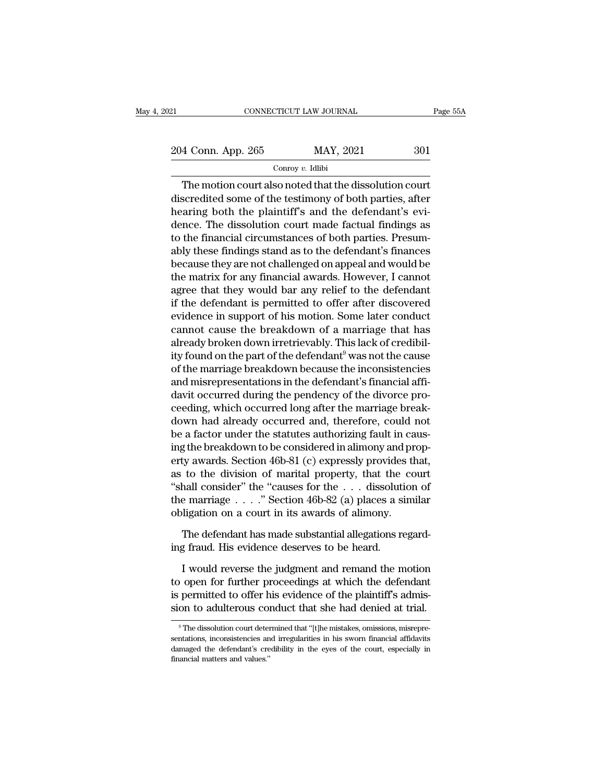EXECTIVE CONNECTICUT LAW JOURNAL Page 55A<br>204 Conn. App. 265 MAY, 2021 301<br>Conroy v. Idlibi

# Conroy *v.* Idlibi

CONNECTICUT LAW JOURNAL Page 55/<br>
4 Conn. App. 265 MAY, 2021 301<br>
Conroy v. Idlibi<br>
The motion court also noted that the dissolution court<br>
scredited some of the testimony of both parties, after<br>
paring both the plaintiff' 204 Conn. App. 265 MAY, 2021 301<br>
Conroy v. Idlibi<br>
The motion court also noted that the dissolution court<br>
discredited some of the testimony of both parties, after<br>
hearing both the plaintiff's and the defendant's evi- $\frac{204 \text{ Conn. App. 265}}{\text{Convy } v. \text{ Idibi}}$ <br>The motion court also noted that the dissolution court<br>discredited some of the testimony of both parties, after<br>hearing both the plaintiff's and the defendant's evi-<br>dence. The dissoluti 204 Conn. App. 265 MAY, 2021 301<br>
Conroy v. Idlibi<br>
The motion court also noted that the dissolution court<br>
discredited some of the testimony of both parties, after<br>
hearing both the plaintiff's and the defendant's evi-<br> Conroy  $v$ . Idibi<br>
The motion court also noted that the dissolution court<br>
discredited some of the testimony of both parties, after<br>
hearing both the plaintiff's and the defendant's evi-<br>
dence. The dissolution court made The motion court also noted that the dissolution court<br>discredited some of the testimony of both parties, after<br>hearing both the plaintiff's and the defendant's evi-<br>dence. The dissolution court made factual findings as<br>t The motion court also noted that the dissolution court<br>discredited some of the testimony of both parties, after<br>hearing both the plaintiff's and the defendant's evi-<br>dence. The dissolution court made factual findings as<br>to discredited some of the testimony of both parties, after<br>hearing both the plaintiff's and the defendant's evi-<br>dence. The dissolution court made factual findings as<br>to the financial circumstances of both parties. Presum-<br>a hearing both the plaintiff's and the defendant's evi-<br>dence. The dissolution court made factual findings as<br>to the financial circumstances of both parties. Presum-<br>ably these findings stand as to the defendant's finances<br>b dence. The dissolution court made factual findings as<br>to the financial circumstances of both parties. Presum-<br>ably these findings stand as to the defendant's finances<br>because they are not challenged on appeal and would be<br> to the financial circumstances of both parties. Presum-<br>ably these findings stand as to the defendant's finances<br>because they are not challenged on appeal and would be<br>the matrix for any financial awards. However, I cannot ably these findings stand as to the defendant's finances<br>because they are not challenged on appeal and would be<br>the matrix for any financial awards. However, I cannot<br>agree that they would bar any relief to the defendant<br>i because they are not challenged on appeal and would be<br>the matrix for any financial awards. However, I cannot<br>agree that they would bar any relief to the defendant<br>if the defendant is permitted to offer after discovered<br>ev the matrix for any financial awards. However, I cannot<br>agree that they would bar any relief to the defendant<br>if the defendant is permitted to offer after discovered<br>evidence in support of his motion. Some later conduct<br>can agree that they would bar any relief to the defendant<br>if the defendant is permitted to offer after discovered<br>evidence in support of his motion. Some later conduct<br>cannot cause the breakdown of a marriage that has<br>already if the defendant is permitted to offer after discovered<br>evidence in support of his motion. Some later conduct<br>cannot cause the breakdown of a marriage that has<br>already broken down irretrievably. This lack of credibil-<br>ity evidence in support of his motion. Some later conduct<br>cannot cause the breakdown of a marriage that has<br>already broken down irretrievably. This lack of credibil-<br>ity found on the part of the defendant<sup>9</sup> was not the cause<br> cannot cause the breakdown of a marriage that has<br>already broken down irretrievably. This lack of credibil-<br>ity found on the part of the defendant<sup>9</sup> was not the cause<br>of the marriage breakdown because the inconsistencies<br> already broken down irretrievably. This lack of credibil-<br>ity found on the part of the defendant<sup>9</sup> was not the cause<br>of the marriage breakdown because the inconsistencies<br>and misrepresentations in the defendant's financia ity found on the part of the defendant<sup>9</sup> was not the cause<br>of the marriage breakdown because the inconsistencies<br>and misrepresentations in the defendant's financial affi-<br>davit occurred during the pendency of the divorce of the marriage breakdown because the inconsistencies<br>and misrepresentations in the defendant's financial affi-<br>davit occurred during the pendency of the divorce pro-<br>ceeding, which occurred long after the marriage break-<br> and misrepresentations in the defendant's financial affi-<br>davit occurred during the pendency of the divorce pro-<br>ceeding, which occurred long after the marriage break-<br>down had already occurred and, therefore, could not<br>be davit occurred during the pendency of the divorce pro-<br>ceeding, which occurred long after the marriage break-<br>down had already occurred and, therefore, could not<br>be a factor under the statutes authorizing fault in caus-<br>in ceeding, which occurred long after the marriage break-<br>down had already occurred and, therefore, could not<br>be a factor under the statutes authorizing fault in caus-<br>ing the breakdown to be considered in alimony and prop-<br>e down had already occurred and, therefore, could not<br>be a factor under the statutes authorizing fault in caus-<br>ing the breakdown to be considered in alimony and prop-<br>erty awards. Section 46b-81 (c) expressly provides that, be a factor under the statutes authorizing fault in ca<br>ing the breakdown to be considered in alimony and pr<br>erty awards. Section 46b-81 (c) expressly provides th<br>as to the division of marital property, that the co<br>"shall c by awards. Section 46b-81 (c) expressly provides that, to the division of marital property, that the court hall consider" the "causes for the  $\ldots$  dissolution of e marriage  $\ldots$ ." Section 46b-82 (a) places a similar dig as to the division of marital property, that the "shall consider" the "causes for the  $\ldots$  dissolution the marriage  $\ldots$ ." Section 46b-82 (a) places a simple obligation on a court in its awards of alimony.<br>The defendant I would reverse the judgment and remainder and remaining the defendant has made substantial allegations regard-<br>I would reverse the judgment and remand the motion<br>open for further proceedings at which the defendant<br>normit

the marriage . . . . . Section 400-82 (a) places a simular<br>obligation on a court in its awards of alimony.<br>The defendant has made substantial allegations regard-<br>ing fraud. His evidence deserves to be heard.<br>I would revers Free defendant has made substantial allegations regarding fraud. His evidence deserves to be heard.<br>I would reverse the judgment and remand the motion to open for further proceedings at which the defendant is permitted to The defendant has made substantial allegations regarding fraud. His evidence deserves to be heard.<br>I would reverse the judgment and remand the motion<br>to open for further proceedings at which the defendant<br>is permitted to o I would reverse the judgment and remand the motion<br>to open for further proceedings at which the defendant<br>is permitted to offer his evidence of the plaintiff's admis-<br>sion to adulterous conduct that she had denied at tria to open for further proceedings at which the defendant<br>is permitted to offer his evidence of the plaintiff's admis-<br>sion to adulterous conduct that she had denied at trial.<br><sup>9</sup> The dissolution court determined that "[t]he

is permitted to offer his evidence of the plaintiff's admission to adulterous conduct that she had denied at trial.<br>
<sup>9</sup> The dissolution court determined that "[t]he mistakes, omissions, misrepresentations, inconsistencies **Sion to adulterous complementation**<br>
<sup>9</sup> The dissolution court deter sentations, inconsistencies and analyzed the defendant's crefinancial matters and values."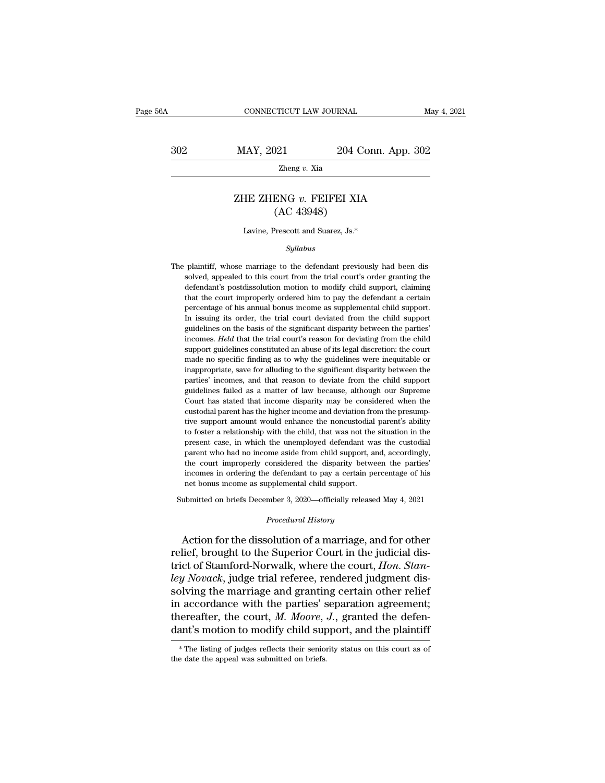CONNECTICUT LAW JOURNAL May 4, 2021<br>302 MAY, 2021 204 Conn. App. 302<br>204 Conn. App. 302

Zheng *v.* Xia

# MAY, 2021 204 Conn. App. 302<br>
<sup>Zheng *v*. Xia<br>
ZHE ZHENG *v*. FEIFEI XIA<br>
(AC 43948)</sup>  $\begin{array}{ll} \textcolor{blue}{204}\text{ C}\cdot \textcolor{blue}{204}\text{ C}\cdot \textcolor{blue}{204}\text{ C}\cdot \textcolor{blue}{204}\text{ C}\cdot \textcolor{blue}{204}\text{ C}\cdot \textcolor{blue}{204}\text{ C}\cdot \textcolor{blue}{204}\text{ C}\cdot \textcolor{blue}{204}\text{ C}\cdot \textcolor{blue}{204}\text{ C}\cdot \textcolor{blue}{204}\text{ C}\cdot \textcolor{blue}{204}\text{ C}\cdot \textcolor{blue}{204}\text{ C}\cdot \textcolor{blue}{204}\text{ C}\cdot \textcolor{blue}{204}\text{ C}\cdot \textcolor$ HE ZHENG v. FEIFEI XIA<br>
(AC 43948)<br>
Lavine, Prescott and Suarez, Js.\*

### *Syllabus*

 $(AC 43948)$ <br>Lavine, Prescott and Suarez, Js.\*<br> $Syllabus$ <br>The plaintiff, whose marriage to the defendant previously had been dis-<br>solved, appealed to this court from the trial court's order granting the<br>defendant's postdissolut  $\label{eq:22} \begin{split} \text{Lavine, Present and Suarez, Js.}^*\\ \text{Syllabus}\\ \text{plaintext, whose marriage to the defendant previously had been dissolved, appeared to this court from the trial court's order granting the defendant's postdissolution motion to modify child support, claiming} \end{split}$ Lavine, Prescott and Suarez, Js.\*<br>Syllabus<br>plaintiff, whose marriage to the defendant previously had been dis-<br>solved, appealed to this court from the trial court's order granting the<br>defendant's postdissolution motion to Syllabus<br>plaintiff, whose marriage to the defendant previously had been dis-<br>solved, appealed to this court from the trial court's order granting the<br>defendant's postdissolution motion to modify child support, claiming<br>tha symaons<br>plaintiff, whose marriage to the defendant previously had been dis-<br>solved, appealed to this court from the trial court's order granting the<br>defendant's postdissolution motion to modify child support, claiming<br>that plaintiff, whose marriage to the defendant previously had been dissolved, appealed to this court from the trial court's order granting the defendant's postdissolution motion to modify child support, claiming that the court publical probability of the basis of the basis of the basis of the basis of the defendant's postdissolution motion to modify child support, claiming that the court improperly ordered him to pay the defendant a certain perc defendant's postdissolution motion to modify child support, claiming that the court improperly ordered him to pay the defendant a certain percentage of his annual bonus income as supplemental child support. In issuing its that the court improperly ordered him to pay the defendant a certain percentage of his annual bonus income as supplemental child support. In issuing its order, the trial court deviated from the child support guidelines on encentage of his annual bonus income as supplemental child support.<br>In issuing its order, the trial court deviated from the child support<br>In issuing its order, the trial court deviated from the child support<br>guidelines on In issuing its order, the trial court deviated from the child support guidelines on the basis of the significant disparity between the parties' incomes. *Held* that the trial court's reason for deviating from the child sup guidelines on the basis of the significant disparity between the parties' incomes. *Held* that the trial court's reason for deviating from the child support guidelines constituted an abuse of its legal discretion: the cour incomes. *Held* that the trial court's reason for deviating from the child support guidelines constituted an abuse of its legal discretion: the court made no specific finding as to why the guidelines were inequitable or in support guidelines constituted an abuse of its legal discretion: the court<br>made no specific finding as to why the guidelines were inequitable or<br>inappropriate, save for alluding to the significant disparity between the<br>par supperty assumed to specific finding as to why the guidelines were inequitable or inappropriate, save for alluding to the significant disparity between the parties' incomes, and that reason to deviate from the child suppor mappropriate, save for alluding to the significant disparity between the parties' incomes, and that reason to deviate from the child support guidelines failed as a matter of law because, although our Supreme Court has stat marphologypromas, and that reason to deviate from the child support guidelines failed as a matter of law because, although our Supreme Court has stated that income disparity may be considered when the custodial parent has pudelines failed as a matter of law because, although our Supreme<br>Court has stated that income disparity may be considered when the<br>custodial parent has the higher income and deviation from the presump-<br>tive support amount guidelines failed as a matter of law because, although our Supreme Court has stated that income disparity may be considered when the custodial parent has the higher income and deviation from the presumptive support amount custodial parent has the higher income and deviation from the presumptive support amount would enhance the noncustodial parent's ability to foster a relationship with the child, that was not the situation in the present ca income support amount would enhance the noncustodial parent's ability<br>to foster a relationship with the child, that was not the situation in the<br>present case, in which the unemployed defendant was the custodial<br>parent who to foster a relationship with the child, that was not the present case, in which the unemployed defendant was parent who had no income aside from child support, a the court improperly considered the disparity between incom present case, in which the unemployed defendant was the custodial<br>parent who had no income aside from child support, and, accordingly,<br>the court improperly considered the disparity between the parties'<br>incomes in ordering From the disparity between defendant to pay a certain proplemental child support.<br> **Procedural History**<br> *Procedural History*<br> **Procedural History** the court improperly considered the disparity between the parties'<br>incomes in ordering the defendant to pay a certain percentage of his<br>net bonus income as supplemental child support.<br>ubmitted on briefs December 3, 2020—of

incomes in ordering the defendant to pay a certain percentage of his<br>net bonus income as supplemental child support.<br>Submitted on briefs December 3, 2020—officially released May 4, 2021<br>Procedural History<br>Action for the di net bonus income as supplemental child support.<br>
Submitted on briefs December 3, 2020—officially released May 4, 2021<br> *Procedural History*<br>
Action for the dissolution of a marriage, and for other<br>
relief, brought to the S Submitted on briefs December 3, 2020—officially released May 4, 2021<br> *Procedural History*<br> **Action for the dissolution of a marriage, and for other relief, brought to the Superior Court in the judicial dis-<br>
trict of Stam** *Procedural History*<br>Action for the dissolution of a marriage, and for other<br>relief, brought to the Superior Court in the judicial dis-<br>trict of Stamford-Norwalk, where the court, *Hon. Stan-<br>ley Novack*, judge trial refer Froceaard Hasory<br>Action for the dissolution of a marriage, and for other<br>relief, brought to the Superior Court in the judicial dis-<br>trict of Stamford-Norwalk, where the court, *Hon. Stan-*<br>ley *Novack*, judge trial refere Action for the dissolution of a marriage, and for other<br>relief, brought to the Superior Court in the judicial dis-<br>trict of Stamford-Norwalk, where the court, *Hon. Stan-*<br>ley *Novack*, judge trial referee, rendered judgme relief, brought to the Superior Court in the judicial district of Stamford-Norwalk, where the court, *Hon. Stan-*<br>*ley Novack*, judge trial referee, rendered judgment dissolving the marriage and granting certain other reli solving the marriage and granting certain other relief<br>in accordance with the parties' separation agreement;<br>thereafter, the court,  $M$ . Moore,  $J$ ., granted the defen-<br>dant's motion to modify child support, and the plain dant's motion to modify child support, and the plaintiff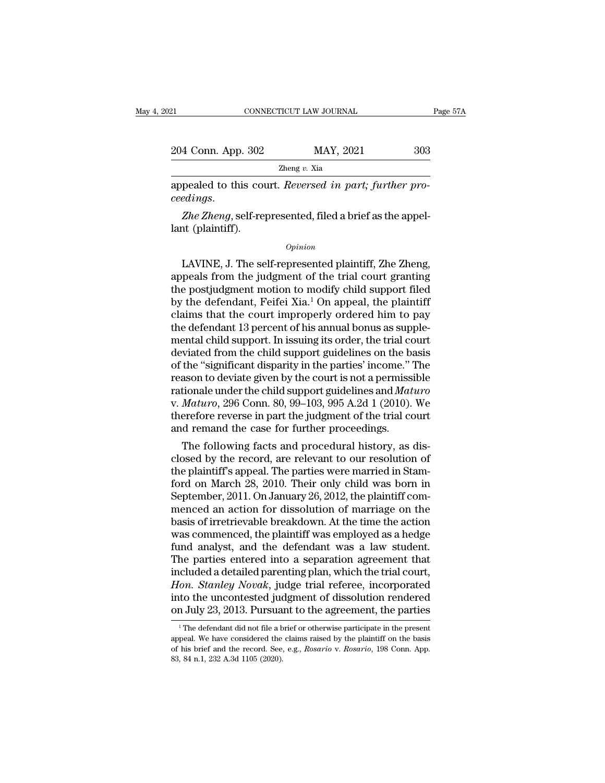| 121                                                                                   | CONNECTICUT LAW JOURNAL | Page 57A |
|---------------------------------------------------------------------------------------|-------------------------|----------|
| 204 Conn. App. 302                                                                    | MAY, 2021               | 303      |
|                                                                                       | Zheng $v$ . Xia         |          |
| appealed to this court. Reversed in part; further pro-<br><i>ceedings.</i>            |                         |          |
| <i>Zhe Zheng</i> , self-represented, filed a brief as the appel-<br>lant (plaintiff). |                         |          |
|                                                                                       | Opinion                 |          |

### *Opinion*

pealed to this court. *Reversed in part; further pro-*<br>edings.<br>Zhe Zheng, self-represented, filed a brief as the appel-<br>nt (plaintiff).<br>Divinion to proper plaintiff, Zhe Zheng,<br>peals from the judgment of the trial court gr ceedings.<br> *Zhe Zheng*, self-represented, filed a brief as the appellant (plaintiff).<br>  $\begin{array}{c}opinion\\[2mm] \hline\end{array}$ <br>
LAVINE, J. The self-represented plaintiff, Zhe Zheng,<br>
appeals from the judgment of the trial court granting *Zhe Zheng*, self-represented, filed a brief as the appel-<br>lant (plaintiff).<br>*Opinion*<br>LAVINE, J. The self-represented plaintiff, Zhe Zheng,<br>appeals from the judgment of the trial court granting<br>the postjudgment motion to lant (plaintiff).<br>  $\begin{array}{c} 0 & \text{pr}_1 \text{min} \end{array}$ <br>
LAVINE, J. The self-represented plaintiff, Zhe Zheng,<br>
appeals from the judgment of the trial court granting<br>
the postjudgment motion to modify child support filed<br>
by the  $o$ <sub>pinion</sub><br>LAVINE, J. The self-represented plaintiff, Zhe Zheng,<br>appeals from the judgment of the trial court granting<br>the postjudgment motion to modify child support filed<br>by the defendant, Feifei Xia.<sup>1</sup> On appeal, the  $\omega_{pinion}$ <br>LAVINE, J. The self-represented plaintiff, Zhe Zheng,<br>appeals from the judgment of the trial court granting<br>the postjudgment motion to modify child support filed<br>by the defendant, Feifei Xia.<sup>1</sup> On appeal, the pl LAVINE, J. The self-represented plaintiff, Zhe Zheng,<br>appeals from the judgment of the trial court granting<br>the postjudgment motion to modify child support filed<br>by the defendant, Feifei Xia.<sup>1</sup> On appeal, the plaintiff<br>cl appeals from the judgment of the trial court granting<br>the postjudgment motion to modify child support filed<br>by the defendant, Feifei Xia.<sup>1</sup> On appeal, the plaintiff<br>claims that the court improperly ordered him to pay<br>the the postjudgment motion to modify child support filed<br>by the defendant, Feifei Xia.<sup>1</sup> On appeal, the plaintiff<br>claims that the court improperly ordered him to pay<br>the defendant 13 percent of his annual bonus as supple-<br>me by the defendant, Feifei Xia.<sup>1</sup> On appeal, the plaintiff<br>claims that the court improperly ordered him to pay<br>the defendant 13 percent of his annual bonus as supple-<br>mental child support. In issuing its order, the trial c claims that the court improperly ordered him to pay<br>the defendant 13 percent of his annual bonus as supple-<br>mental child support. In issuing its order, the trial court<br>deviated from the child support guidelines on the basi the defendant 13 percent of his annual bonus as supple-<br>mental child support. In issuing its order, the trial court<br>deviated from the child support guidelines on the basis<br>of the "significant disparity in the parties' inco mental child support. In issuing its order, the trial court<br>deviated from the child support guidelines on the basis<br>of the "significant disparity in the parties' income." The<br>reason to deviate given by the court is not a p deviated from the child support guidelines on the bot the "significant disparity in the parties' income."<br>reason to deviate given by the court is not a permissicationale under the child support guidelines and *Mat*<br>v. *Mat* the "significant disparity in the parties" income." The<br>ason to deviate given by the court is not a permissible<br>tionale under the child support guidelines and *Maturo*<br> $Maturo$ , 296 Conn. 80, 99–103, 995 A.2d 1 (2010). We<br>er reason to deviate given by the court is not a permissible<br>rationale under the child support guidelines and *Maturo*<br>v. *Maturo*, 296 Conn. 80, 99–103, 995 A.2d 1 (2010). We<br>therefore reverse in part the judgment of the tri

rationale under the child support guidelines and *Maturo*<br>v. *Maturo*, 296 Conn. 80, 99–103, 995 A.2d 1 (2010). We<br>therefore reverse in part the judgment of the trial court<br>and remand the case for further proceedings.<br>The v. *Maturo*, 296 Conn. 80, 99–103, 995 A.2d 1 (2010). We<br>therefore reverse in part the judgment of the trial court<br>and remand the case for further proceedings.<br>The following facts and procedural history, as dis-<br>closed by therefore reverse in part the judgment of the trial court<br>and remand the case for further proceedings.<br>The following facts and procedural history, as dis-<br>closed by the record, are relevant to our resolution of<br>the plainti and remand the case for further proceedings.<br>
The following facts and procedural history, as disclosed by the record, are relevant to our resolution of<br>
the plaintiff's appeal. The parties were married in Stam-<br>
ford on Ma The following facts and procedural history, as dis-<br>closed by the record, are relevant to our resolution of<br>the plaintiff's appeal. The parties were married in Stam-<br>ford on March 28, 2010. Their only child was born in<br>Sep closed by the record, are relevant to our resolution of<br>the plaintiff's appeal. The parties were married in Stam-<br>ford on March 28, 2010. Their only child was born in<br>September, 2011. On January 26, 2012, the plaintiff com the plaintiff's appeal. The parties were married in Stam-<br>ford on March 28, 2010. Their only child was born in<br>September, 2011. On January 26, 2012, the plaintiff com-<br>menced an action for dissolution of marriage on the<br>ba ford on March 28, 2010. Their only child was born in<br>September, 2011. On January 26, 2012, the plaintiff com-<br>menced an action for dissolution of marriage on the<br>basis of irretrievable breakdown. At the time the action<br>wa September, 2011. On January 26, 2012, the plaintiff com-<br>menced an action for dissolution of marriage on the<br>basis of irretrievable breakdown. At the time the action<br>was commenced, the plaintiff was employed as a hedge<br>fun menced an action for dissolution of marriage on the<br>basis of irretrievable breakdown. At the time the action<br>was commenced, the plaintiff was employed as a hedge<br>fund analyst, and the defendant was a law student.<br>The parti basis of irretrievable breakdown. At the time the action<br>was commenced, the plaintiff was employed as a hedge<br>fund analyst, and the defendant was a law student.<br>The parties entered into a separation agreement that<br>included was commenced, the plaintiff was employed as a hedge<br>fund analyst, and the defendant was a law student.<br>The parties entered into a separation agreement that<br>included a detailed parenting plan, which the trial court,<br>*Hon.* icluded a detailed parenting plan, which the trial court,<br>fon. *Stanley Novak*, judge trial referee, incorporated<br>to the uncontested judgment of dissolution rendered<br>a July 23, 2013. Pursuant to the agreement, the parties<br> Hon. Stanley Novak, judge trial referee, incorporated<br>into the uncontested judgment of dissolution rendered<br>on July 23, 2013. Pursuant to the agreement, the parties<br><sup>1</sup>The defendant did not file a brief or otherwise partic on July 23, 2013. Pursuant to the agreement, the parties

into the uncontested judgment of dissolution rendered<br>on July 23, 2013. Pursuant to the agreement, the parties<br><sup>1</sup>The defendant did not file a brief or otherwise participate in the present<br>appeal. We have considered the cl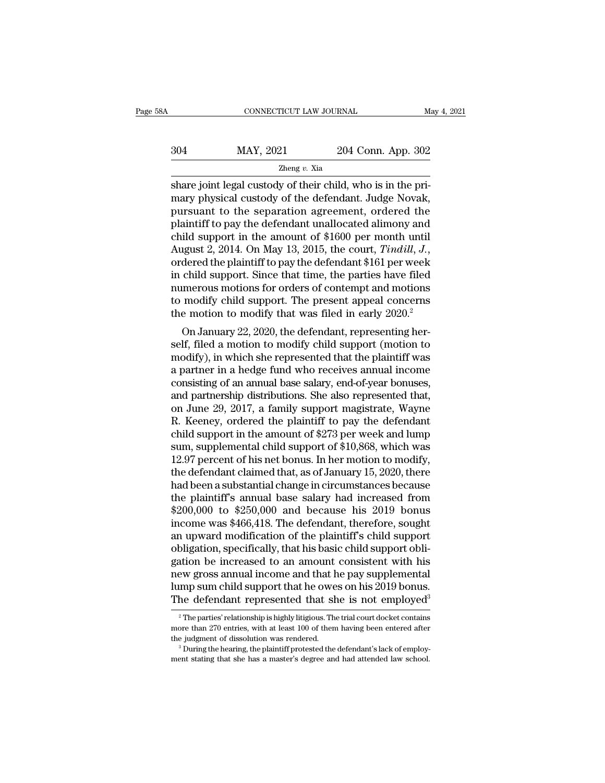| А   | CONNECTICUT LAW JOURNAL |                    | May 4, 2021 |
|-----|-------------------------|--------------------|-------------|
|     |                         |                    |             |
| 304 | MAY, 2021               | 204 Conn. App. 302 |             |
|     | Zheng $v$ . Xia         |                    |             |

share joint legal custody of their child, who is in the primary physical custody of their child, who is in the primary physical custody of the defendant. Judge Novak,  $\frac{\text{MAX}}{\text{2021}}$  204 Conn. App. 302<br>204 Conn. App. 302<br>204 Conn. App. 302<br>204 Conn. App. 302<br>204 Conn. App. 302<br>204 Conn. App. 302<br>205 Share joint legal custody of the defendant. Judge Novak,<br>2011<br>2013 pursuant to the se  $\frac{\text{MAP, 2021}}{\text{Zheng } v. \text{ Xia}}$ <br>  $\frac{\text{Zheng } v. \text{ Xia}}{\text{share joint legal custody of their child, who is in the primary physical custody of the defendant. Judge Novak, pursuit to the separation agreement, ordered the plaintiff to pay the defendant unallocated alimony and child sunport in the amount of $1600 nor month until$  $\frac{\text{MAY, 2021}}{\text{Zheng } v. \text{ Xia}}$ <br>
share joint legal custody of their child, who is in the pri-<br>
mary physical custody of the defendant. Judge Novak,<br>
pursuant to the separation agreement, ordered the<br>
plaintiff to pay the d The amount of their child, who is in the primary physical custody of their child, who is in the primary physical custody of the defendant. Judge Novak, pursuant to the separation agreement, ordered the plaintiff to pay th August 2, 2014. On May 13, 2015, the court, *Tindill*, *J.*, ordered the plaintiff to pay the defendant \$161 per week mary physical custody of the defendant. Judge Novak,<br>pursuant to the separation agreement, ordered the<br>plaintiff to pay the defendant unallocated alimony and<br>child support in the amount of \$1600 per month until<br>August 2, 2 pursuant to the separation agreement, ordered the<br>plaintiff to pay the defendant unallocated alimony and<br>child support in the amount of \$1600 per month until<br>August 2, 2014. On May 13, 2015, the court, *Tindill*, *J.*,<br>ord plaintiff to pay the defendant unallocated alimony and<br>child support in the amount of \$1600 per month until<br>August 2, 2014. On May 13, 2015, the court, *Tindill*, *J.*,<br>ordered the plaintiff to pay the defendant \$161 per w child support in the amount of \$1600 per month until<br>August 2, 2014. On May 13, 2015, the court, *Tindill*, *J.*,<br>ordered the plaintiff to pay the defendant \$161 per week<br>in child support. Since that time, the parties have gust 2, 2014. On may 13, 2015, the court, *Timatut*, *J.*, dered the plaintiff to pay the defendant \$161 per week child support. Since that time, the parties have filed merous motions for orders of contempt and motions mo ordered the plantifilm to pay the deferminant \$101 per week<br>in child support. Since that time, the parties have filed<br>numerous motions for orders of contempt and motions<br>to modify child support. The present appeal concerns

m chud support. Since that thre, the parties have fied<br>numerous motions for orders of contempt and motions<br>to modify child support. The present appeal concerns<br>the motion to modify that was filed in early 2020.<sup>2</sup><br>On Janua munerous motions for orders of contempt and motions<br>to modify child support. The present appeal concerns<br>the motion to modify that was filed in early 2020.<sup>2</sup><br>On January 22, 2020, the defendant, representing her-<br>self, fil the motion to modify that was filed in early  $2020$ .<sup>2</sup><br>
On January 22, 2020, the defendant, representing herself, filed a motion to modify child support (motion to<br>
modify), in which she represented that the plaintiff wa the motion to modify that was filed in early 2020.<br>
On January 22, 2020, the defendant, representing herself, filed a motion to modify child support (motion to<br>
modify), in which she represented that the plaintiff was<br>
a p On January 22, 2020, the defendant, representing herself, filed a motion to modify child support (motion to modify), in which she represented that the plaintiff was a partner in a hedge fund who receives annual income con self, filed a motion to modify child support (motion to<br>modify), in which she represented that the plaintiff was<br>a partner in a hedge fund who receives annual income<br>consisting of an annual base salary, end-of-year bonuses modify), in which she represented that the plaintiff was<br>a partner in a hedge fund who receives annual income<br>consisting of an amual base salary, end-of-year bonuses,<br>and partnership distributions. She also represented tha a partner in a hedge fund who receives annual income<br>consisting of an annual base salary, end-of-year bonuses,<br>and partnership distributions. She also represented that,<br>on June 29, 2017, a family support magistrate, Wayne<br> consisting of an annual base salary, end-of-year bonuses,<br>and partnership distributions. She also represented that,<br>on June 29, 2017, a family support magistrate, Wayne<br>R. Keeney, ordered the plaintiff to pay the defendant and partnership distributions. She also represented that,<br>on June 29, 2017, a family support magistrate, Wayne<br>R. Keeney, ordered the plaintiff to pay the defendant<br>child support in the amount of \$273 per week and lump<br>sum on June 29, 2017, a family support magistrate, Wayne<br>R. Keeney, ordered the plaintiff to pay the defendant<br>child support in the amount of \$273 per week and lump<br>sum, supplemental child support of \$10,868, which was<br>12.97 R. Keeney, ordered the plaintiff to pay the defendant<br>child support in the amount of \$273 per week and lump<br>sum, supplemental child support of \$10,868, which was<br>12.97 percent of his net bonus. In her motion to modify,<br>th child support in the amount of \$273 per week and lump<br>sum, supplemental child support of \$10,868, which was<br>12.97 percent of his net bonus. In her motion to modify,<br>the defendant claimed that, as of January 15, 2020, there sum, supplemental child support of \$10,868, which was 12.97 percent of his net bonus. In her motion to modify, the defendant claimed that, as of January 15, 2020, there had been a substantial change in circumstances becaus 12.97 percent of his net bonus. In her motion to modify,<br>the defendant claimed that, as of January 15, 2020, there<br>had been a substantial change in circumstances because<br>the plaintiff's annual base salary had increased fro the defendant claimed that, as of January 15, 2020, there had been a substantial change in circumstances because<br>the plaintiff's annual base salary had increased from<br>\$200,000 to \$250,000 and because his 2019 bonus<br>income had been a substantial change in circumstances because<br>the plaintiff's annual base salary had increased from<br>\$200,000 to \$250,000 and because his 2019 bonus<br>income was \$466,418. The defendant, therefore, sought<br>an upward m the plaintiff's annual base salary had increased from<br>\$200,000 to \$250,000 and because his 2019 bonus<br>income was \$466,418. The defendant, therefore, sought<br>an upward modification of the plaintiff's child support<br>obligation \$200,000 to \$250,000 and because his 2019 bonus<br>income was \$466,418. The defendant, therefore, sought<br>an upward modification of the plaintiff's child support<br>obligation, specifically, that his basic child support obli-<br>ga income was \$466,418. The defendant, therefore, sought<br>an upward modification of the plaintiff's child support<br>obligation, specifically, that his basic child support obli-<br>gation be increased to an amount consistent with h ation be increased to an amount consistent with his<br>ew gross annual income and that he pay supplemental<br>mp sum child support that he owes on his 2019 bonus.<br>he defendant represented that she is not employed<sup>3</sup><br><sup>2</sup>The parti more than 270 entries, with at least 100 of them having been entered after the judgment of dissolution was rendered.<br>The parties' relationship is highly litigious. The trial court docket contains more than 270 entries, wit

Iump sum child support that he owes on his 2019 bonus.<br>The defendant represented that she is not employed<sup>3</sup><br><sup>2</sup>The parties' relationship is highly litigious. The trial court docket contains<br>more than 270 entries, with at The defendant represented that she is not employed<sup>3</sup><br><sup>2</sup> The parties' relationship is highly litigious. The trial court docket contains<br>more than 270 entries, with at least 100 of them having been entered after<br>the judgm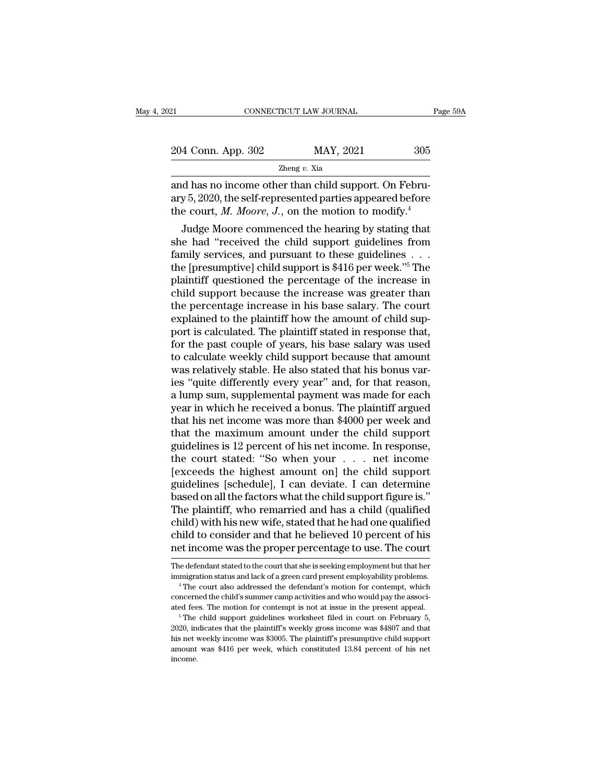| 121                | CONNECTICUT LAW JOURNAL | Page 59A |
|--------------------|-------------------------|----------|
| 204 Conn. App. 302 | MAY, 2021               | 305      |
|                    | Zheng $v$ . Xia         |          |

EXECTE AN OVENAL CONNECTICUT LAW JOURNAL<br>
204 Conn. App. 302 MAY, 2021 305<br>
2013 Zheng v. Xia<br>
2014 An An On income other than child support. On Febru-<br>
2020, the self-represented parties appeared before 204 Conn. App. 302 MAY, 2021 305<br>  $\frac{204 \text{ Conn. App. 302}}{2 \text{heng } v. \text{ Xia}}$ <br>
and has no income other than child support. On February 5, 2020, the self-represented parties appeared before<br>
the court, *M. Moore, J.*, on the motio 204 Conn. App. 302 MAY, 2021 305<br>
2011 2021 2021<br>
2021 2021 2021<br>
2021 2021 2020, the self-represented parties appeared before<br>
the court, *M. Moore*, *J.*, on the motion to modify.<sup>4</sup><br>
Judge Moore commenced the hearing by  $\frac{4 \text{ Conn. App. 302}}{\text{Zheng } v. \text{ Xia}}$ <br>
d has no income other than child support. On Febru-<br>
y 5, 2020, the self-represented parties appeared before<br>
e court, *M. Moore*, *J.*, on the motion to modify.<sup>4</sup><br>
Judge Moore commenced

 $\frac{Z \text{heng } v. \text{ Xia}}{Z \text{heng } v. \text{ Via}}$ <br>and has no income other than child support. On February 5, 2020, the self-represented parties appeared before<br>the court, *M. Moore*, *J.*, on the motion to modify.<sup>4</sup><br>Judge Moore commenc and has no income other than child support. On February 5, 2020, the self-represented parties appeared before<br>the court, *M. Moore*, *J.*, on the motion to modify.<sup>4</sup><br>Judge Moore commenced the hearing by stating that<br>she and has no income other than child support. On February 5, 2020, the self-represented parties appeared before<br>the court, *M. Moore*, *J.*, on the motion to modify.<sup>4</sup><br>Judge Moore commenced the hearing by stating that<br>she ary 3, 2020, the sen-represented parties appeared before<br>the court, *M. Moore*, *J.*, on the motion to modify.<sup>4</sup><br>Judge Moore commenced the hearing by stating that<br>she had "received the child support guidelines from<br>famil Ludge Moore commenced the hearing by stating that<br>she had "received the child support guidelines from<br>family services, and pursuant to these guidelines  $\dots$ <br>the [presumptive] child support is \$416 per week."<sup>5</sup> The<br>plaint Judge Moore commenced the hearing by stating that<br>she had "received the child support guidelines from<br>family services, and pursuant to these guidelines  $\dots$ <br>the [presumptive] child support is \$416 per week."<sup>5</sup> The<br>plaint she had "received the child support guidelines from<br>family services, and pursuant to these guidelines  $\dots$ .<br>the [presumptive] child support is \$416 per week."<sup>5</sup> The<br>plaintiff questioned the percentage of the increase in<br> family services, and pursuant to these guidelines . . . the [presumptive] child support is \$416 per week." $5$  The plaintiff questioned the percentage of the increase in child support because the increase was greater than the [presumptive] child support is \$416 per week."<sup>5</sup> The<br>plaintiff questioned the percentage of the increase in<br>child support because the increase was greater than<br>the percentage increase in his base salary. The court<br>exp plaintiff questioned the percentage of the increase in child support because the increase was greater than<br>the percentage increase in his base salary. The court<br>explained to the plaintiff how the amount of child sup-<br>port child support because the increase was greater than<br>the percentage increase in his base salary. The court<br>explained to the plaintiff how the amount of child sup-<br>port is calculated. The plaintiff stated in response that,<br>f the percentage increase in his base salary. The court<br>explained to the plaintiff how the amount of child sup-<br>port is calculated. The plaintiff stated in response that,<br>for the past couple of years, his base salary was use explained to the plaintiff how the amount of child support is calculated. The plaintiff stated in response that,<br>for the past couple of years, his base salary was used<br>to calculate weekly child support because that amount<br> port is calculated. The plaintiff stated in response that,<br>for the past couple of years, his base salary was used<br>to calculate weekly child support because that amount<br>was relatively stable. He also stated that his bonus v for the past couple of years, his base salary was used<br>to calculate weekly child support because that amount<br>was relatively stable. He also stated that his bonus var-<br>ies "quite differently every year" and, for that reason to calculate weekly child support because that amount<br>was relatively stable. He also stated that his bonus var-<br>ies "quite differently every year" and, for that reason,<br>a lump sum, supplemental payment was made for each<br>ye was relatively stable. He also stated that his bonus varies "quite differently every year" and, for that reason,<br>a lump sum, supplemental payment was made for each<br>year in which he received a bonus. The plaintiff argued<br>th ies "quite differently every year" and, for that reason,<br>a lump sum, supplemental payment was made for each<br>year in which he received a bonus. The plaintiff argued<br>that his net income was more than \$4000 per week and<br>that a lump sum, supplemental payment was made for each<br>year in which he received a bonus. The plaintiff argued<br>that his net income was more than \$4000 per week and<br>that the maximum amount under the child support<br>guidelines is year in which he received a bonus. The plaintiff argued<br>that his net income was more than \$4000 per week and<br>that the maximum amount under the child support<br>guidelines is 12 percent of his net income. In response,<br>the cour that his net income was more than \$4000 per week and<br>that the maximum amount under the child support<br>guidelines is 12 percent of his net income. In response,<br>the court stated: "So when your . . . . net income<br>[exceeds the that the maximum amount under the child support<br>guidelines is 12 percent of his net income. In response,<br>the court stated: "So when your  $\ldots$  net income<br>[exceeds the highest amount on] the child support<br>guidelines [sched guidelines is 12 percent of his net income. In response,<br>the court stated: "So when your . . . net income<br>[exceeds the highest amount on] the child support<br>guidelines [schedule], I can deviate. I can determine<br>based on all the court stated: "So when your . . . . net income<br>[exceeds the highest amount on] the child support<br>guidelines [schedule], I can deviate. I can determine<br>based on all the factors what the child support figure is."<br>The pla [exceeds the highest amount on] the child support<br>guidelines [schedule], I can deviate. I can determine<br>based on all the factors what the child support figure is."<br>The plaintiff, who remarried and has a child (qualified<br>ch The plaintiff, who remarried and has a child (qualified<br>child) with his new wife, stated that he had one qualified<br>child to consider and that he believed 10 percent of his<br>net income was the proper percentage to use. The c child) with his new wife, stated that he had one qualified<br>child to consider and that he believed 10 percent of his<br>met income was the proper percentage to use. The court<br>The defendant stated to the court that she is seeki

child to consider and that he believed 10 percent of his<br>net income was the proper percentage to use. The court<br>The defendant stated to the court that she is seeking employment but that her<br>immigration status and lack of a The defendant stated to the court that she is seeking employment but that her immigration status and lack of a green card present employability problems.<br>
"The court also addressed the defendant's motion for contempt, whic

<sup>2020,</sup> indicates that the plaintiff's method in contempt and present employability problems.<br>
<sup>4</sup> The court also addressed the defendant's motion for contempt, which concerned the child's summer camp activities and who wou The court also addressed the defendant's motion for contempt, which<br>
"The court also addressed the defendant's motion for contempt, which<br>
concerned the child's summer camp activities and who would pay the associ-<br>
ated fe concerned the child's summer camp activities and who would pay the associated fees. The motion for contempt is not at issue in the present appeal.<br>
<sup>5</sup> The child support guidelines worksheet filed in court on February 5, 2 income.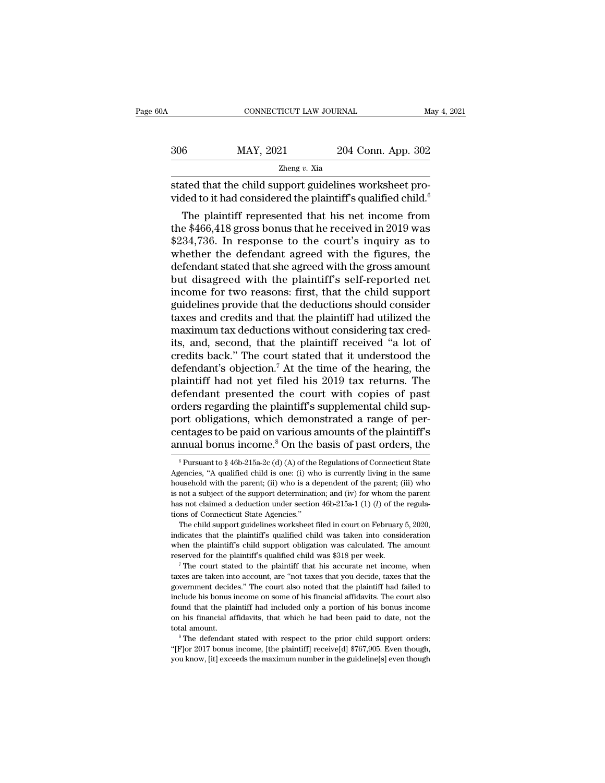|     | CONNECTICUT LAW JOURNAL |                    | May 4, 2021 |
|-----|-------------------------|--------------------|-------------|
|     |                         |                    |             |
| 306 | MAY, 2021               | 204 Conn. App. 302 |             |
|     | Zheng $v$ . Xia         |                    |             |

 $\begin{array}{c|c} \multicolumn{1}{l}{{\bf CONNECTICUT LAW JOURNAL}} & \multicolumn{1}{l}{\bf{M}} \hline \multicolumn{1}{l}{\bf{306}} & {\bf {MAY, 2021}} & {\bf {204 Conn. App. 302}} \\ & & \\ \multicolumn{1}{l}{\bf{204 Conn. App. 302}} & \\ \hline \multicolumn{1}{l}{\bf{316}K} & \multicolumn{1}{l}{\bf{327:}~\n\hline \multicolumn{1}{l}{\bf{338:}~\n\hline \multicolumn{1}{l}{\bf{348:}~\n\hline \$ vided to it had considered the plaintiff's qualified child.<sup>6</sup>

MAY, 2021 204 Conn. App. 302<br>  $\frac{Z \text{heng } v. \text{ Xia}}{z \text{heng } v. \text{ Via}}$ <br>
ated that the child support guidelines worksheet pro-<br>
ded to it had considered the plaintiff's qualified child.<br>
The plaintiff represented that his net in 306 MAY, 2021 204 Conn. App. 302<br>  $\frac{206}{2 \text{heng } v. \text{ Xia}}$ <br>
stated that the child support guidelines worksheet pro-<br>
vided to it had considered the plaintiff's qualified child.<sup>6</sup><br>
The plaintiff represented that his net in  $\frac{z_{\text{heng } v. \text{ Xia}}}{z_{\text{heng } v. \text{ Via}}}$ <br>
stated that the child support guidelines worksheet pro-<br>
vided to it had considered the plaintiff's qualified child.<sup>6</sup><br>
The plaintiff represented that his net income from<br>
the \$466,4 stated that the child support guidelines worksheet provided to it had considered the plaintiff's qualified child.<sup>6</sup><br>The plaintiff represented that his net income from<br>the \$466,418 gross bonus that he received in 2019 was stated that the child support guidelines worksheet provided to it had considered the plaintiff's qualified child.<sup>6</sup><br>The plaintiff represented that his net income from<br>the \$466,418 gross bonus that he received in 2019 was<br> vided to it had considered the plaintiff squalified child.<br>
The plaintiff represented that his net income from<br>
the \$466,418 gross bonus that he received in 2019 was<br>
\$234,736. In response to the court's inquiry as to<br>
whe The plaintiff represented that his net income from<br>the \$466,418 gross bonus that he received in 2019 was<br>\$234,736. In response to the court's inquiry as to<br>whether the defendant agreed with the figures, the<br>defendant state the \$466,418 gross bonus that he received in 2019 was<br>\$234,736. In response to the court's inquiry as to<br>whether the defendant agreed with the figures, the<br>defendant stated that she agreed with the gross amount<br>but disagre \$234,736. In response to the court's inquiry as to<br>whether the defendant agreed with the figures, the<br>defendant stated that she agreed with the gross amount<br>but disagreed with the plaintiff's self-reported net<br>income for t whether the defendant agreed with the figures, the<br>defendant stated that she agreed with the gross amount<br>but disagreed with the plaintiff's self-reported net<br>income for two reasons: first, that the child support<br>guideline defendant stated that she agreed with the gross amount<br>but disagreed with the plaintiff's self-reported net<br>income for two reasons: first, that the child support<br>guidelines provide that the deductions should consider<br>taxes but disagreed with the plaintiff's self-reported net<br>income for two reasons: first, that the child support<br>guidelines provide that the deductions should consider<br>taxes and credits and that the plaintiff had utilized the<br>ma income for two reasons: first, that the child support<br>guidelines provide that the deductions should consider<br>taxes and credits and that the plaintiff had utilized the<br>maximum tax deductions without considering tax cred-<br>it guidelines provide that the deductions should consider<br>taxes and credits and that the plaintiff had utilized the<br>maximum tax deductions without considering tax cred-<br>its, and, second, that the plaintiff received "a lot of<br> taxes and credits and that the plaintiff had utilized the<br>maximum tax deductions without considering tax cred-<br>its, and, second, that the plaintiff received "a lot of<br>credits back." The court stated that it understood the<br> maximum tax deductions without considering tax credits, and, second, that the plaintiff received "a lot of credits back." The court stated that it understood the defendant's objection.<sup>7</sup> At the time of the hearing, the pl its, and, second, that the plaintiff received "a lot of<br>credits back." The court stated that it understood the<br>defendant's objection.<sup>7</sup> At the time of the hearing, the<br>plaintiff had not yet filed his 2019 tax returns. The credits back." The court stated that it understood the<br>defendant's objection.<sup>7</sup> At the time of the hearing, the<br>plaintiff had not yet filed his 2019 tax returns. The<br>defendant presented the court with copies of past<br>order defendant's objection.<sup>7</sup> At the time of the hearing, the plaintiff had not yet filed his 2019 tax returns. The defendant presented the court with copies of past orders regarding the plaintiff's supplemental child support rders regarding the plaintiff's supplemental child sup-<br>ort obligations, which demonstrated a range of per-<br>entages to be paid on various amounts of the plaintiff's<br>nnual bonus income.<sup>8</sup> On the basis of past orders, the<br> port obligations, which demonstrated a range of percentages to be paid on various amounts of the plaintiff's annual bonus income.<sup>8</sup> On the basis of past orders, the  $\frac{1}{2}$  Pursuant to  $\frac{8}{2}$  46b-215a-2c (d) (A) of

when the plaintiff's dialong was calculated. The amount reserved for the support determination; and (iv) for whom the parent has not claimed a deduction under section 46b-215a-1 (1) (*l*) of the regulations of Connecticut reserved for the plaintiff's qualified child was taken into considerations of Connecticut State Agencies."<br>The child support guidelines worksheet filed in court on February 5, 2020, indicates that the plaintiff's qualifie The child support guidelines worksheet filed in court on February 5, 2020,<br>indicates that the plaintiff's qualified child was taken into consideration<br>when the plaintiff's child support obligation was calculated. The amoun

indicates that the plaintiff's qualified child was taken into consideration when the plaintiff's child support obligation was calculated. The amount reserved for the plaintiff's qualified child was \$318 per week.<br>
<sup>7</sup> The when the plaintiff's child support obligation was calculated. The amount reserved for the plaintiff's qualified child was \$318 per week.<br>
<sup>7</sup> The court stated to the plaintiff that his accurate net income, when taxes are Found that the plaintiff's qualified child was \$318 per week.<br>
The court stated to the plaintiff that his accurate net income, when<br>
taxes are taken into account, are "not taxes that you decide, taxes that the<br>
government The court stated to the plaintiff that his accurate net income, when<br>taxes are taken into account, are "not taxes that you decide, taxes that the<br>government decides." The court also noted that the plaintiff had failed to<br>i taxes are taken into account, are "not taxes that you decide, taxes that the government decides." The court also noted that the plaintiff had failed to include his bonus income on some of his financial affidavits. The cour From the bonus income on some of his financial affidavits. The court also found that the plaintiff had included only a portion of his bonus income on his financial affidavits, that which he had been paid to date, not the t fromd that the plaintiff had included only a portion of his bonus income<br>on his financial affidavits, that which he had been paid to date, not the<br>total amount.<br><sup>8</sup> The defendant stated with respect to the prior child sup

centages to be paid on various amounts of the plaintiff's<br>annual bonus income.<sup>8</sup> On the basis of past orders, the<br><sup>6</sup>Pursuant to § 46b-215a-2c (d) (A) of the Regulations of Connecticut State<br>Agencies, "A qualified child annual bonus income.<sup>8</sup> On the basis of past orders, the  $\frac{1}{6}$  Pursuant to  $\frac{1}{6}$  46b-215a-2c (d) (A) of the Regulations of Connecticut State Agencies, "A qualified child is one: (i) who is currently living in the annual bonus income. On the basis of past orders, the<br>
<sup>6</sup> Pursuant to § 46b-215a-2c (d) (A) of the Regulations of Connecticut State<br>
Agencies, "A qualified child is one: (i) who is currently living in the same<br>
household <sup>6</sup> Pursuant to § 46b-215a-2c (d) (A) of the Agencies, "A qualified child is one: (i) who household with the parent; (ii) who is a dis not a subject of the support determinations of Connecticut State Agencies." The child Fencies, "A qualified child is one: (i) who is currently living in the same<br>gencies, "A qualified child is one: (i) who is currently living in the same<br>usehold with the parent; (iii) who is a dependent of the parent; (iii Expansion in the parent; (ii) who is a dependent of the parent; (iii) who is not a subject of the support determination; and (iv) for whom the parent has not claimed a deduction under section 46b-215a-1 (1) (*l*) of the r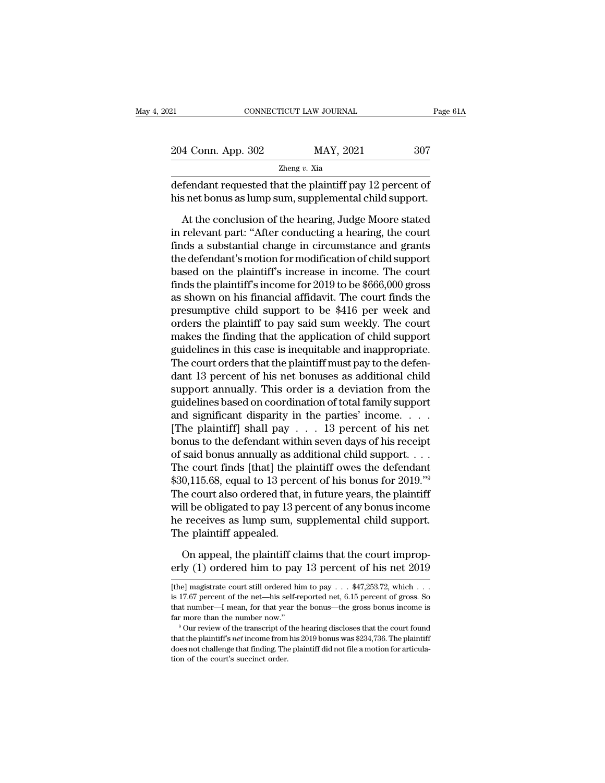| 21                                                                                                                                                                        | CONNECTICUT LAW JOURNAL | Page 61A |
|---------------------------------------------------------------------------------------------------------------------------------------------------------------------------|-------------------------|----------|
|                                                                                                                                                                           |                         |          |
| 204 Conn. App. 302                                                                                                                                                        | MAY, 2021               | 307      |
|                                                                                                                                                                           | Zheng $v$ . Xia         |          |
| defendant requested that the plaintiff pay 12 percent of<br>his net bonus as lump sum, supplemental child support.                                                        |                         |          |
| At the conclusion of the hearing, Judge Moore stated<br>in relevant part: "After conducting a hearing, the court<br>finds a substantial shange in sixsumstance and graphs |                         |          |

 $\frac{z_{\text{beng }v} \times x_{\text{ia}}}{z_{\text{heng }v} \times x_{\text{ia}}}$ <br>
defendant requested that the plaintiff pay 12 percent of<br>
his net bonus as lump sum, supplemental child support.<br>
At the conclusion of the hearing, Judge Moore stated<br>
in rele  $z$ heng  $v$ . Xia<br>defendant requested that the plaintiff pay 12 percent of<br>his net bonus as lump sum, supplemental child support.<br>At the conclusion of the hearing, Judge Moore stated<br>in relevant part: "After conducting a h defendant requested that the plaintiff pay 12 percent of<br>his net bonus as lump sum, supplemental child support.<br>At the conclusion of the hearing, Judge Moore stated<br>in relevant part: "After conducting a hearing, the court<br> his net bonus as lump sum, supplemental child support.<br>At the conclusion of the hearing, Judge Moore stated<br>in relevant part: "After conducting a hearing, the court<br>finds a substantial change in circumstance and grants<br>the At the conclusion of the hearing, Judge Moore stated<br>in relevant part: "After conducting a hearing, the court<br>finds a substantial change in circumstance and grants<br>the defendant's motion for modification of child support<br> At the conclusion of the hearing, Judge Moore stated<br>in relevant part: "After conducting a hearing, the court<br>finds a substantial change in circumstance and grants<br>the defendant's motion for modification of child support<br>b in relevant part: "After conducting a hearing, the court<br>finds a substantial change in circumstance and grants<br>the defendant's motion for modification of child support<br>based on the plaintiff's increase in income. The court finds a substantial change in circumstance and grants<br>the defendant's motion for modification of child support<br>based on the plaintiff's increase in income. The court<br>finds the plaintiff's income for 2019 to be \$666,000 gro the defendant's motion for modification of child support<br>based on the plaintiff's increase in income. The court<br>finds the plaintiff's income for 2019 to be \$666,000 gross<br>as shown on his financial affidavit. The court find based on the plaintiff's increase in income. The court<br>finds the plaintiff's income for 2019 to be \$666,000 gross<br>as shown on his financial affidavit. The court finds the<br>presumptive child support to be \$416 per week and<br>o finds the plaintiff's income for 2019 to be  $$666,000$  gross<br>as shown on his financial affidavit. The court finds the<br>presumptive child support to be  $$416$  per week and<br>orders the plaintiff to pay said sum weekly. The co as shown on his financial affidavit. The court finds the<br>presumptive child support to be \$416 per week and<br>orders the plaintiff to pay said sum weekly. The court<br>makes the finding that the application of child support<br>guid presumptive child support to be \$416 per week and<br>orders the plaintiff to pay said sum weekly. The court<br>makes the finding that the application of child support<br>guidelines in this case is inequitable and inappropriate.<br>The orders the plaintiff to pay said sum weekly. The court<br>makes the finding that the application of child support<br>guidelines in this case is inequitable and inappropriate.<br>The court orders that the plaintiff must pay to the d makes the finding that the application of child support<br>guidelines in this case is inequitable and inappropriate.<br>The court orders that the plaintiff must pay to the defen-<br>dant 13 percent of his net bonuses as additional guidelines in this case is inequitable and inappropriate.<br>The court orders that the plaintiff must pay to the defen-<br>dant 13 percent of his net bonuses as additional child<br>support annually. This order is a deviation from t The court orders that the plaintiff must pay to the defendant 13 percent of his net bonuses as additional child<br>support annually. This order is a deviation from the<br>guidelines based on coordination of total family support dant 13 percent of his net bonuses as additional child<br>support annually. This order is a deviation from the<br>guidelines based on coordination of total family support<br>and significant disparity in the parties' income....<br>[Th support annually. This order is a deviation from the<br>guidelines based on coordination of total family support<br>and significant disparity in the parties' income. . . . .<br>[The plaintiff] shall pay . . . 13 percent of his net guidelines based on coordination of total family support<br>and significant disparity in the parties' income. . . . .<br>[The plaintiff] shall pay . . . 13 percent of his net<br>bonus to the defendant within seven days of his rece and significant disparity in the parties' income. . . . . . [The plaintiff] shall pay . . . 13 percent of his net bonus to the defendant within seven days of his receipt of said bonus annually as additional child support. [The plaintiff] shall pay  $\ldots$  13 percent of his net<br>bonus to the defendant within seven days of his receipt<br>of said bonus annually as additional child support.  $\ldots$ <br>The court finds [that] the plaintiff owes the defenda bonus to the defendant within seven days of his receipt<br>of said bonus annually as additional child support....<br>The court finds [that] the plaintiff owes the defendant<br>\$30,115.68, equal to 13 percent of his bonus for 2019. of said bonus annually as admose the court finds [that] the plays 30,115.68, equal to 13 perce The court also ordered that, will be obligated to pay 13 perce receives as lump sum, sum the plaintiff appealed.<br>On appeal, the 0,115.68, equal to 13 percent of his bonus for 2019."<sup>9</sup><br>he court also ordered that, in future years, the plaintiff<br>Il be obligated to pay 13 percent of any bonus income<br>receives as lump sum, supplemental child support.<br>h The court also ordered that, in future years, the plaintiff<br>will be obligated to pay 13 percent of any bonus income<br>he receives as lump sum, supplemental child support.<br>The plaintiff appealed.<br>On appeal, the plaintiff cla

The plaintiff appealed.<br>
On appeal, the plaintiff claims that the court improperly (1) ordered him to pay 13 percent of his net 2019<br>
[the] magistrate court still ordered him to pay . . . \$47,253.72, which . . .<br>
is 17.67

On appeal, the plaintiff claims that the court improperly (1) ordered him to pay 13 percent of his net 2019<br>
[the] magistrate court still ordered him to pay  $\dots$  \$47,253.72, which  $\dots$  is 17.67 percent of the net—his self On appeal, the plaintiff claims that the court improp-<br>erly (1) ordered him to pay 13 percent of his net 2019<br>[the] magistrate court still ordered him to pay  $\dots$  \$47,253.72, which  $\dots$ <br>is 17.67 percent of the net—his sel erly (1) ordered him to pay 13 percent of his net 2019<br>[the] magistrate court still ordered him to pay  $\ldots$  \$47,253.72, which  $\ldots$  is 17.67 percent of the net—his self-reported net, 6.15 percent of gross. So<br>that number is 17.67 percent of the net—his self-reported net,  $6.15$  percent of gross. So that number—I mean, for that year the bonus—the gross bonus income is

<sup>[</sup>the] magistrate court still ordered him to pay . . . \$47,253.72, which . . . is 17.67 percent of the net—his self-reported net, 6.15 percent of gross. So that number—I mean, for that year the bonus—the gross bonus income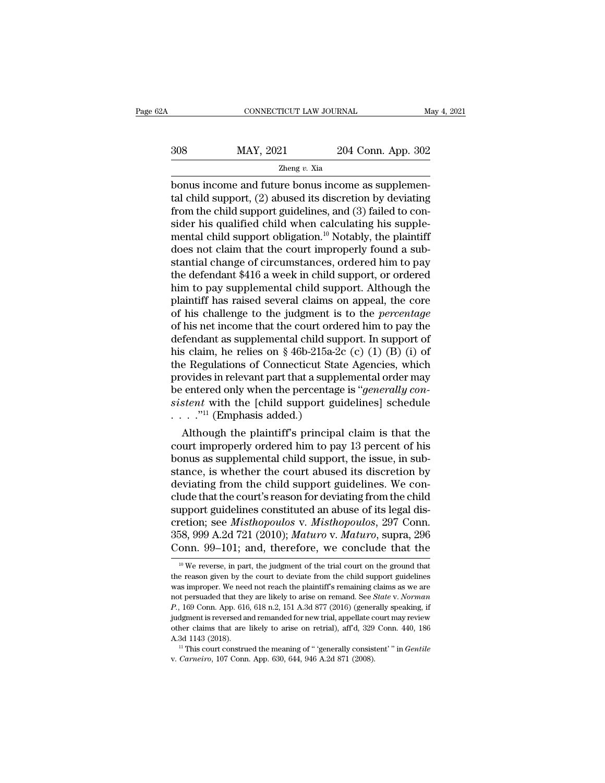| .Α  | CONNECTICUT LAW JOURNAL |                    | May 4, 2021 |
|-----|-------------------------|--------------------|-------------|
| 308 | MAY, 2021               | 204 Conn. App. 302 |             |
|     | Zheng $v$ . Xia         |                    |             |

 $\begin{array}{lll}\n & \text{COMRECTICUT LAW JOURNAL} & \text{M} \\
 & \text{MAY, 2021} & \text{204 Conn. App. 302} \\
 & \text{Zheng } v. \text{ Xia} & \text{bonus income and future bonus income as supplement} \\
 & \text{tal child support, (2) abused its discretion by deviating from the child support,\\ \n\end{array}$  $\frac{\text{MAX, } 2021}{\text{Zheng } v. \text{ Xia}}$ <br>
bonus income and future bonus income as supplemental child support, (2) abused its discretion by deviating<br>
from the child support guidelines, and (3) failed to consider his qualified child  $\frac{\text{MAY, 2021}}{\text{Zheng } v. \text{ Xia}}$ <br>
bonus income and future bonus income as supplemental child support, (2) abused its discretion by deviating<br>
from the child support guidelines, and (3) failed to con-<br>
sider his qualified ch  $\frac{308}{2000}$  MAY, 2021 204 Conn. App. 302<br>  $\frac{208}{2000}$   $\frac{204}{2000}$  Conn. App. 302<br>
bonus income and future bonus income as supplemen-<br>
tal child support, (2) abused its discretion by deviating<br>
from the child supp Then  $y$  and  $\overline{z}$  also  $\overline{z}$  also  $\overline{z}$  also  $\overline{z}$  also  $\overline{z}$  also  $\overline{z}$  also  $\overline{z}$  also  $\overline{z}$  also  $\overline{z}$  also  $\overline{z}$  also  $\overline{z}$  also  $\overline{z}$  also  $\overline{z}$  also  $\overline{z}$  also  $\overline{z}$  als  $\frac{Z \text{heng } v. \text{ Xia}}{Z \text{heng } v. \text{ Xia}}$ <br>bonus income and future bonus income as supplemen-<br>tal child support, (2) abused its discretion by deviating<br>from the child support guidelines, and (3) failed to con-<br>sider his qualifi bonus income and future bonus income as supplemental child support, (2) abused its discretion by deviating<br>from the child support guidelines, and (3) failed to consider his qualified child when calculating his supplemental tal child support, (2) abused its discretion by deviating<br>from the child support guidelines, and (3) failed to con-<br>sider his qualified child when calculating his supple-<br>mental child support obligation.<sup>10</sup> Notably, the from the child support guidelines, and (3) failed to consider his qualified child when calculating his supplemental child support obligation.<sup>10</sup> Notably, the plaintiff does not claim that the court improperly found a sub sider his qualified child when calculating his supplemental child support obligation.<sup>10</sup> Notably, the plaintiff does not claim that the court improperly found a substantial change of circumstances, ordered him to pay the mental child support obligation.<sup>10</sup> Notably, the plaintiff<br>does not claim that the court improperly found a sub-<br>stantial change of circumstances, ordered him to pay<br>the defendant \$416 a week in child support, or ordered<br> does not claim that the court improperly found a substantial change of circumstances, ordered him to pay<br>the defendant \$416 a week in child support, or ordered<br>him to pay supplemental child support. Although the<br>plaintiff stantial change of circumstances, ordered him to pay<br>the defendant \$416 a week in child support, or ordered<br>him to pay supplemental child support. Although the<br>plaintiff has raised several claims on appeal, the core<br>of his the defendant \$416 a week in child support, or ordered<br>him to pay supplemental child support. Although the<br>plaintiff has raised several claims on appeal, the core<br>of his challenge to the judgment is to the *percentage*<br>of him to pay supplemental child support. Although the<br>plaintiff has raised several claims on appeal, the core<br>of his challenge to the judgment is to the *percentage*<br>of his net income that the court ordered him to pay the<br>de plaintiff has raised several claims on appeal, the core<br>of his challenge to the judgment is to the *percentage*<br>of his net income that the court ordered him to pay the<br>defendant as supplemental child support. In support of of his challenge to the judgment is to the *percentage*<br>of his net income that the court ordered him to pay the<br>defendant as supplemental child support. In support of<br>his claim, he relies on § 46b-215a-2c (c) (1) (B) (i)<br>o of his net income that the court ordered him to pay the<br>defendant as supplemental child support. In support of<br>his claim, he relies on § 46b-215a-2c (c) (1) (B) (i) of<br>the Regulations of Connecticut State Agencies, which<br>p defendant as supplemental child sup<br>his claim, he relies on § 46b-215a-2<br>the Regulations of Connecticut Sta<br>provides in relevant part that a supp<br>be entered only when the percentag<br>sistent with the [child support gu<br>..... Although the plaintiff's principal claim is that the pure as employed as a supplemental order may entered only when the percentage is "*generally constent* with the [child support guidelines] schedule ..."<sup>11</sup> (Emphasis a the Regulations of Connecticut State Agencies, which<br>provides in relevant part that a supplemental order may<br>be entered only when the percentage is "*generally con-<br>sistent* with the [child support guidelines] schedule<br> $\d$ 

provides in relevant part that a supplemental order may<br>be entered only when the percentage is "*generally con-*<br>sistent with the [child support guidelines] schedule<br> $\cdots$ ."<sup>11</sup> (Emphasis added.)<br>Although the plaintiff's be entered only when the percentage is *generaty consistent* with the [child support guidelines] schedule<br>  $\ldots$ ."<sup>11</sup> (Emphasis added.)<br>
Although the plaintiff's principal claim is that the<br>
court improperly ordered him deviating from the child support guidelines. We con-Although the plaintiff's principal claim is that the<br>court improperly ordered him to pay 13 percent of his<br>bonus as supplemental child support, the issue, in sub-<br>stance, is whether the court abused its discretion by<br>devi Although the plaintiff's principal claim is that the court improperly ordered him to pay 13 percent of his bonus as supplemental child support, the issue, in substance, is whether the court abused its discretion by deviat court improperly ordered him to pay 13 percent of his<br>bonus as supplemental child support, the issue, in sub-<br>stance, is whether the court abused its discretion by<br>deviating from the child support guidelines. We con-<br>clude bonus as supplemental child support, the issue, in substance, is whether the court abused its discretion by deviating from the child support guidelines. We conclude that the court's reason for deviating from the child supp stance, is whether the court abused its discretion by<br>deviating from the child support guidelines. We con-<br>clude that the court's reason for deviating from the child<br>support guidelines constituted an abuse of its legal dis upport guidelines constituted an abuse of its legal dis-<br>retion; see *Misthopoulos v. Misthopoulos*, 297 Conn.<br>58, 999 A.2d 721 (2010); *Maturo v. Maturo*, supra, 296<br>onn. 99–101; and, therefore, we conclude that the<br><sup>10</sup> cretion; see *Misthopoulos v. Misthopoulos*, 297 Conn.<br>358, 999 A.2d 721 (2010); *Maturo v. Maturo*, supra, 296<br>Conn. 99–101; and, therefore, we conclude that the<br><sup>10</sup> We reverse, in part, the judgment of the trial court

<sup>358, 999</sup> A.2d 721 (2010); *Maturo* v. *Maturo*, supra, 296<br>Conn. 99–101; and, therefore, we conclude that the<br><sup>10</sup>We reverse, in part, the judgment of the trial court on the ground that<br>the reason given by the court to de Conn. 99–101; and, therefore, we conclude that the<br><sup>10</sup> We reverse, in part, the judgment of the trial court on the ground that<br>the reason given by the court to deviate from the child support guidelines<br>was improper. We ne Conn. 99–101; and, therefore, we conclude that the<br>
<sup>10</sup> We reverse, in part, the judgment of the trial court on the ground that<br>
the reason given by the court to deviate from the child support guidelines<br>
was improper. W <sup>10</sup> We reverse, in part, the judgment of the trial court on the ground that the reason given by the court to deviate from the child support guidelines was improper. We need not reach the plaintiff's remaining claims as w the reason given by the court to deviate from the child support guidelines was improper. We need not reach the plaintiff's remaining claims as we are not persuaded that they are likely to arise on remand. See *State v. No* A. 3d 1143 (2018). <sup>11</sup> This court construed the meaning of "' 'generally consistent' and  $P$ , 169 Conn. App. 616, 618 n.2, 151 A.3d 877 (2016) (generally speaking, if judgment is reversed and remanded for new trial, appel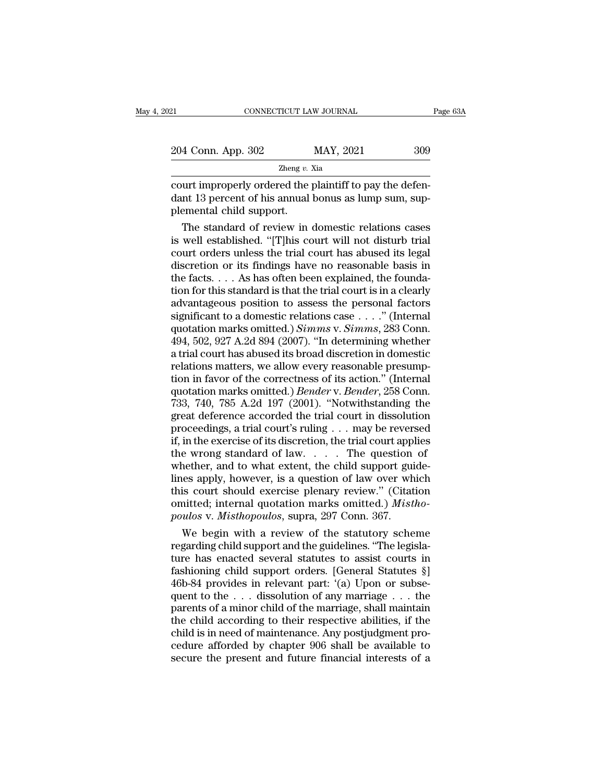| 121                | CONNECTICUT LAW JOURNAL | Page 63A |
|--------------------|-------------------------|----------|
| 204 Conn. App. 302 | MAY, 2021               | 309      |
|                    | Zheng $v$ . Xia         |          |

connecticut LAW JOURNAL<br>
204 Conn. App. 302 MAY, 2021 309<br>
2011 Zheng v. Xia<br>
2011 Theory ordered the plaintiff to pay the defen-<br>
2011 Theory ordered the plaintiff to pay the defen-<br>
2011 Theory ordered the plaintiff to p 204 Conn. App. 302 MAY, 2021 309<br>
<sup>Zheng v. Xia</sup><br>
court improperly ordered the plaintiff to pay the defendant 13 percent of his annual bonus as lump sum, supplemental child support.  $\frac{204 \text{ Conn. App. } 302}{2 \text{heng } v.}$ <br>
court improperly ordered the joint 13 percent of his annual plemental child support.<br>
The standard of review in  $\frac{\text{A}\text{Conn. App. 302}}{\text{Zheng } v. \text{ Xia}}$ <br>  $\frac{\text{Zheng } v. \text{Xia}}{\text{Utt} \text{improperly ordered the plaintiff to pay the defendant 13 percent of his annual bonus as lump sum, sup-  
emental child support.}$ The standard of review in domestic relations cases<br>
well established. "[T]his court will not disturb trial<br>
uut ordors unlo

 $\frac{Z \text{heng } v. \text{ Xia}}{C \text{ourt} \text{improperly ordered the plaintiff to pay the defendant 13 percent of his annual bonus as lump sum, supplemental child support.}$ <br>The standard of review in domestic relations cases is well established. "[T]his court will not disturb trial court orders unless the trial court has abused its lega Example 19 and the plaintiff to pay the defendant 13 percent of his annual bonus as lump sum, supplemental child support.<br>The standard of review in domestic relations cases<br>is well established. "[T]his court will not distu court improperly ordered the plaintiff to pay the defen-<br>dant 13 percent of his annual bonus as lump sum, sup-<br>plemental child support.<br>The standard of review in domestic relations cases<br>is well established. "[T]his court dant 13 percent of his annual bonus as lump sum, sup-<br>plemental child support.<br>The standard of review in domestic relations cases<br>is well established. "[T]his court will not disturb trial<br>court orders unless the trial cou plemental child support.<br>
The standard of review in domestic relations cases<br>
is well established. "[T]his court will not disturb trial<br>
court orders unless the trial court has abused its legal<br>
discretion or its findings The standard of review in domestic relations cases<br>is well established. "[T]his court will not disturb trial<br>court orders unless the trial court has abused its legal<br>discretion or its findings have no reasonable basis in<br> is well established. "[T]his court will not disturb trial<br>court orders unless the trial court has abused its legal<br>discretion or its findings have no reasonable basis in<br>the facts.... As has often been explained, the foun court orders unless the trial court has abused its legal<br>discretion or its findings have no reasonable basis in<br>the facts.... As has often been explained, the founda-<br>tion for this standard is that the trial court is in a discretion or its findings have no reasonable basis in<br>the facts.... As has often been explained, the founda-<br>tion for this standard is that the trial court is in a clearly<br>advantageous position to assess the personal fac the facts.... As has often been explained, the foundation for this standard is that the trial court is in a clearly advantageous position to assess the personal factors significant to a domestic relations case ...." (Inte tion for this standard is that the trial court is in a clearly<br>advantageous position to assess the personal factors<br>significant to a domestic relations case  $\dots$ ." (Internal<br>quotation marks omitted.) *Simms* v. *Simms*, 2 advantageous position to assess the personal factors<br>significant to a domestic relations case . . . ." (Internal<br>quotation marks omitted.) *Simms* v. *Simms*, 283 Conn.<br>494, 502, 927 A.2d 894 (2007). "In determining wheth significant to a domestic relations case . . . ." (Internal quotation marks omitted.) *Simms* v. *Simms*, 283 Conn.<br>494, 502, 927 A.2d 894 (2007). "In determining whether a trial court has abused its broad discretion in do quotation marks omitted.) *Simms* v. *Simms*, 283 Conn.<br>494, 502, 927 A.2d 894 (2007). "In determining whether<br>a trial court has abused its broad discretion in domestic<br>relations matters, we allow every reasonable presump- $\overline{494}$ , 502, 927 A.2d 894 (2007). "In determining whether<br>a trial court has abused its broad discretion in domestic<br>relations matters, we allow every reasonable presump-<br>tion in favor of the correctness of its action. a trial court has abused its broad discretion in domestic<br>relations matters, we allow every reasonable presump-<br>tion in favor of the correctness of its action." (Internal<br>quotation marks omitted.) *Bender* v. *Bender*, 258 relations matters, we allow every reasonable presumption in favor of the correctness of its action." (Internal<br>quotation marks omitted.) *Bender* v. *Bender*, 258 Conn.<br>733, 740, 785 A.2d 197 (2001). "Notwithstanding the<br>g tion in favor of the correctness of its action." (Internal<br>quotation marks omitted.) *Bender* v. *Bender*, 258 Conn.<br>733, 740, 785 A.2d 197 (2001). "Notwithstanding the<br>great deference accorded the trial court in dissolut quotation marks omitted.) *Bender* v. *Bender*, 258 Conn.<br>733, 740, 785 A.2d 197 (2001). "Notwithstanding the<br>great deference accorded the trial court in dissolution<br>proceedings, a trial court's ruling . . . may be revers 733, 740, 785 A.2d 197 (2001). "Notwithstanding the<br>great deference accorded the trial court in dissolution<br>proceedings, a trial court's ruling . . . may be reversed<br>if, in the exercise of its discretion, the trial court great deference accorded the trial court in dissolution<br>proceedings, a trial court's ruling . . . may be reversed<br>if, in the exercise of its discretion, the trial court applies<br>the wrong standard of law. . . . . The quest proceedings, a trial court's ruling . . . may be reversed<br>if, in the exercise of its discretion, the trial court applies<br>the wrong standard of law . . . . The question of<br>whether, and to what extent, the child support guid Fi, in the exercise of its discretion, the trial court apple the wrong standard of law.  $\ldots$  The question whether, and to what extent, the child support guidines apply, however, is a question of law over when this court e wrong standard of law.  $\ldots$  The question of<br>nether, and to what extent, the child support guide-<br>les apply, however, is a question of law over which<br>is court should exercise plenary review." (Citation<br>nitted; internal whether, and to what extent, the child support guide-<br>lines apply, however, is a question of law over which<br>this court should exercise plenary review." (Citation<br>omitted; internal quotation marks omitted.) *Mistho-*<br>poulos

lines apply, however, is a question of law over which<br>this court should exercise plenary review." (Citation<br>omitted; internal quotation marks omitted.) *Mistho-<br>poulos* v. *Misthopoulos*, supra, 297 Conn. 367.<br>We begin wi this court should exercise plenary review." (Citation<br>
omitted; internal quotation marks omitted.) *Mistho-*<br> *poulos v. Misthopoulos*, supra, 297 Conn. 367.<br>
We begin with a review of the statutory scheme<br>
regarding chil omitted; internal quotation marks omitted.) *Mistho-*<br>poulos v. *Misthopoulos*, supra, 297 Conn. 367.<br>We begin with a review of the statutory scheme<br>regarding child support and the guidelines. "The legisla-<br>ture has enact poulos v. Misthopoulos, supra, 297 Conn. 367.<br>
We begin with a review of the statutory scheme<br>
regarding child support and the guidelines. "The legisla-<br>
ture has enacted several statutes to assist courts in<br>
fashioning c We begin with a review of the statutory scheme<br>regarding child support and the guidelines. "The legisla-<br>ture has enacted several statutes to assist courts in<br>fashioning child support orders. [General Statutes  $\S$ ]<br>46b-84 regarding child support and the guidelines. "The legislature has enacted several statutes to assist courts in fashioning child support orders. [General Statutes §] 46b-84 provides in relevant part: '(a) Upon or subsequent ture has enacted several statutes to assist courts in fashioning child support orders. [General Statutes §] 46b-84 provides in relevant part: '(a) Upon or subsequent to the . . . dissolution of any marriage . . . the paren fashioning child support orders. [General Statutes  $\S$ ]<br>46b-84 provides in relevant part: '(a) Upon or subsequent to the . . . dissolution of any marriage . . . the<br>parents of a minor child of the marriage, shall maintain 46b-84 provides in relevant part:  $'(a)$  Upon or subsequent to the  $\dots$  dissolution of any marriage  $\dots$  the parents of a minor child of the marriage, shall maintain the child according to their respective abilities, if th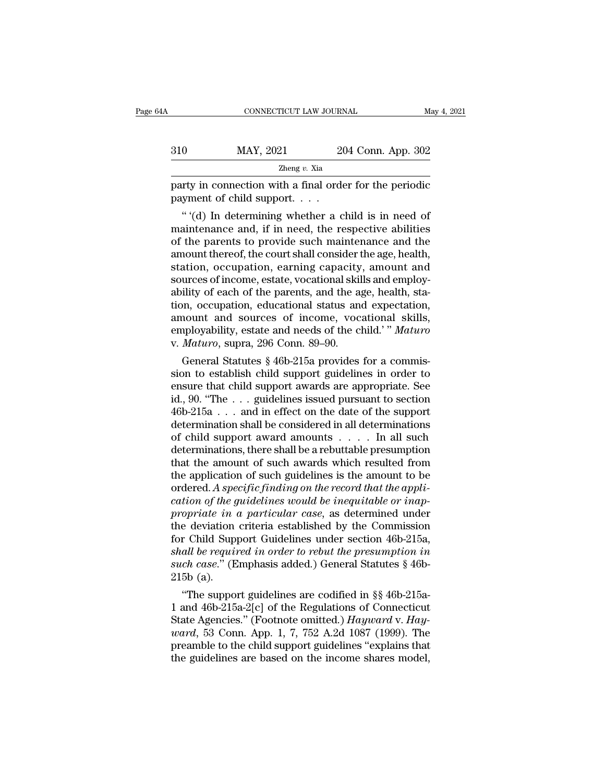| A   | CONNECTICUT LAW JOURNAL                                                                       |                    | May 4, 2021 |
|-----|-----------------------------------------------------------------------------------------------|--------------------|-------------|
|     |                                                                                               |                    |             |
| 310 | MAY, 2021                                                                                     | 204 Conn. App. 302 |             |
|     | Zheng $v$ . Xia                                                                               |                    |             |
|     | party in connection with a final order for the periodic<br>payment of child support. $\ldots$ |                    |             |
|     | "(d) In determining whether a child is in need of                                             |                    |             |

<sup>2021</sup> 204 Conn. App. 302<br>
<sup>Zheng v. Xia</sup><br> *Theng v. Xia*<br> *Theng v. Xia*<br> *Theng v. Xia*<br> *Theng v. Xia*<br> *Theng v. Xia*<br> *Theng v. Xia*<br> *Theng v. Xia*<br> *Theng v. Xia*<br> *Theng v. Xia*<br> *Theng v. Xia*<br> *Theng v. Xia*<br> *T* 310 MAY, 2021 204 Conn. App. 302<br>  $\frac{204 \text{ Conn. App. } 302}{2 \text{heng } v. \text{ Xia}}$ <br>
party in connection with a final order for the periodic<br>
payment of child support....<br>
"(d) In determining whether a child is in need of<br>
maintenance Example 19  $\mu$  Xia<br>  $\mu$  and  $\mu$  and  $\mu$  are formulated payment of child support.<br>  $\mu$  (d) In determining whether a child is in need of<br>
maintenance and, if in need, the respective abilities<br>
of the parents to provide party in connection with a final order for the periodic<br>payment of child support.  $\dots$ <br>"(d) In determining whether a child is in need of<br>maintenance and, if in need, the respective abilities<br>of the parents to provide such party in connection with a final order for the periodic<br>payment of child support.  $\dots$ <br>"(d) In determining whether a child is in need of<br>maintenance and, if in need, the respective abilities<br>of the parents to provide such payment or child support.<br>
"'(d) In determining whether a child is in need of<br>
maintenance and, if in need, the respective abilities<br>
of the parents to provide such maintenance and the<br>
amount thereof, the court shall cons "(d) In determining whether a child is in need of maintenance and, if in need, the respective abilities of the parents to provide such maintenance and the amount thereof, the court shall consider the age, health, station, maintenance and, if in need, the respective abilities<br>of the parents to provide such maintenance and the<br>amount thereof, the court shall consider the age, health,<br>station, occupation, earning capacity, amount and<br>sources o of the parents to provide such maintenance and the<br>amount thereof, the court shall consider the age, health,<br>station, occupation, earning capacity, amount and<br>sources of income, estate, vocational skills and employ-<br>abilit amount thereof, the court shall consider the age, health,<br>station, occupation, earning capacity, amount and<br>sources of income, estate, vocational skills and employ-<br>ability of each of the parents, and the age, health, stastation, occupation, earning capacity<br>sources of income, estate, vocational skil<br>ability of each of the parents, and the a<sub>st</sub><br>tion, occupation, educational status and<br>amount and sources of income, voca<br>employability, esta urces of income, estate, vocational skills and employ-<br>ility of each of the parents, and the age, health, sta-<br>on, occupation, educational status and expectation,<br>nount and sources of income, vocational skills,<br>pployabilit ability of each of the parents, and the age, neatrh, station, occupation, educational status and expectation, amount and sources of income, vocational skills, employability, estate and needs of the child." *Maturo* v. *Ma* 

tion, occupation, educational status and expectation,<br>amount and sources of income, vocational skills,<br>employability, estate and needs of the child.'" Maturo<br>v. Maturo, supra, 296 Conn. 89–90.<br>General Statutes § 46b-215a amount and sources of income, vocational skills,<br>employability, estate and needs of the child.'" Maturo<br>v. Maturo, supra, 296 Conn. 89–90.<br>General Statutes § 46b-215a provides for a commis-<br>sion to establish child support employability, estate and needs of the child. Maturo<br>v. Maturo, supra, 296 Conn. 89–90.<br>General Statutes § 46b-215a provides for a commis-<br>sion to establish child support guidelines in order to<br>ensure that child support a v. *Maturo*, supra, 296 Conn. 89–90.<br>
General Statutes § 46b-215a provides for a commission to establish child support guidelines in order to<br>
ensure that child support awards are appropriate. See<br>
id., 90. "The . . . gui General Statutes § 46b-215a provides for a commission to establish child support guidelines in order to ensure that child support awards are appropriate. See id., 90. "The . . . guidelines issued pursuant to section 46b-2 sion to establish child support guidelines in order to<br>ensure that child support awards are appropriate. See<br>id., 90. "The  $\dots$  guidelines issued pursuant to section<br>46b-215a  $\dots$  and in effect on the date of the support<br> ensure that child support awards are appropriate. See<br>id., 90. "The . . . guidelines issued pursuant to section<br>46b-215a . . . and in effect on the date of the support<br>determination shall be considered in all determinatio id., 90. "The  $\dots$  guidelines issued pursuant to section 46b-215a  $\dots$  and in effect on the date of the support determination shall be considered in all determinations of child support award amounts  $\dots$ . In all such dete 46b-215a  $\dots$  and in effect on the date of the support determination shall be considered in all determinations of child support award amounts  $\dots$ . In all such determinations, there shall be a rebuttable presumption that determination shall be considered in all determinations<br>of child support award amounts . . . . . In all such<br>determinations, there shall be a rebuttable presumption<br>that the amount of such awards which resulted from<br>the ap of child support award amounts . . . . . In all such<br>determinations, there shall be a rebuttable presumption<br>that the amount of such awards which resulted from<br>the application of such guidelines is the amount to be<br>ordered determinations, there shall be a rebuttable presumption<br>that the amount of such awards which resulted from<br>the application of such guidelines is the amount to be<br>ordered. A specific finding on the record that the appli-<br>ca that the amount of such awards which resulted from<br>the application of such guidelines is the amount to be<br>ordered. A specific finding on the record that the appli-<br>cation of the guidelines would be inequitable or inap-<br>pr the application of such guidelines is the amount to be<br>ordered. A specific finding on the record that the appli-<br>cation of the guidelines would be inequitable or inap-<br>propriate in a particular case, as determined under<br>th ordered. A specific finding on the record that the application of the guidelines would be inequitable or inappropriate in a particular case, as determined under the deviation criteria established by the Commission for Chil 215b (a). oprate in a particular case, as determined under<br>
e deviation criteria established by the Commission<br>
r Child Support Guidelines under section 46b-215a,<br> *all be required in order to rebut the presumption in*<br> *ch case.*" the deviation criteria established by the Commission<br>for Child Support Guidelines under section 46b-215a,<br>shall be required in order to rebut the presumption in<br>such case." (Emphasis added.) General Statutes § 46b-<br>215b (

For Child Support Guidelines under section 400-215a,<br>
shall be required in order to rebut the presumption in<br>
such case." (Emphasis added.) General Statutes § 46b-<br>
215b (a).<br>
"The support guidelines are codified in §§ 46b *ward to required in order to reout the presumption in*<br> *wath case.*" (Emphasis added.) General Statutes § 46b-<br>
215b (a).<br>
"The support guidelines are codified in §§ 46b-215a-<br>
1 and 46b-215a-2[c] of the Regulations of C such case." (Emphasis added.) General Statutes  $\gamma$  400-215b (a).<br>
"The support guidelines are codified in  $\S$ <sup>8</sup> 46b-215a-1 and 46b-215a-2[c] of the Regulations of Connecticut<br>
State Agencies." (Footnote omitted.) *Haywa* 2150 (a).<br>
"The support guidelines are codified in §§ 46b-215a-<br>
1 and 46b-215a-2[c] of the Regulations of Connecticut<br>
State Agencies." (Footnote omitted.) *Hayward v. Hay-*<br> *ward*, 53 Conn. App. 1, 7, 752 A.2d 1087 (19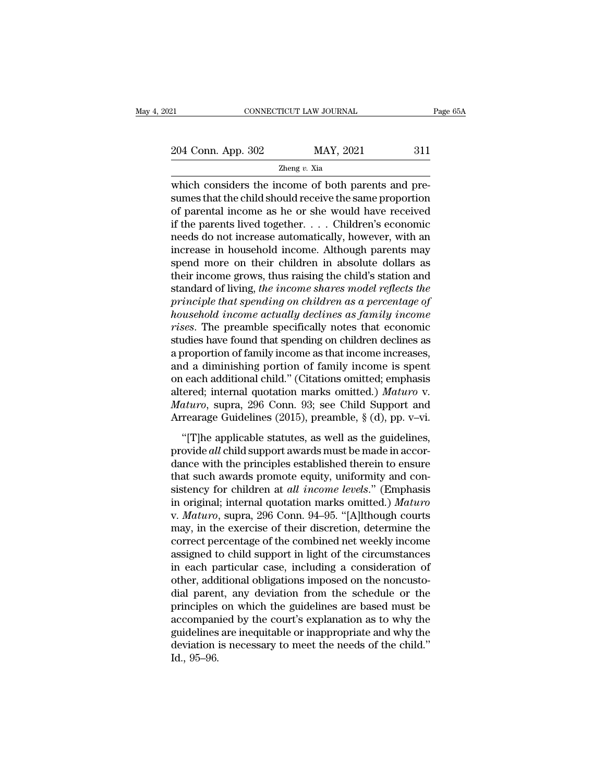| 21                 | CONNECTICUT LAW JOURNAL | Page 65A |  |
|--------------------|-------------------------|----------|--|
|                    |                         |          |  |
| 204 Conn. App. 302 | MAY, 2021               | 311      |  |
|                    | Zheng $v$ . Xia         |          |  |

CONNECTICUT LAW JOURNAL<br>
204 Conn. App. 302 MAY, 2021 311<br>
2011 Zheng v. Xia<br>
2011 Which considers the income of both parents and pre-<br>
2011 Should receive the same proportion<br>
2011 Should receive the same proportion<br>
2011 204 Conn. App. 302 MAY, 2021 311<br>  $\frac{204 \text{ Conn. App. 302}}{2 \text{heng } v. \text{ Xia}}$ <br>
which considers the income of both parents and presumes that the child should receive the same proportion<br>
of parental income as he or she would have 204 Conn. App. 302 MAY, 2021 311<br>  $\frac{204 \text{ Conn. App. } 302}{2 \text{heng } v. \text{ Xia}}$ <br>
which considers the income of both parents and pre-<br>
sumes that the child should receive the same proportion<br>
of parental income as he or she would ha 204 Conn. App. 302 MAY, 2021 311<br>  $\frac{204 \text{ Con. App. 302}}{2 \text{heng } v. \text{ Xia}}$ <br>
which considers the income of both parents and pre-<br>
sumes that the child should receive the same proportion<br>
of parental income as he or she would h The second of the norm of both parents and pre-<br>sumes that the child should receive the same proportion<br>of parental income as he or she would have received<br>if the parents lived together. . . . Children's economic<br>needs do  $\frac{1}{2}$  and  $\frac{1}{2}$  are  $\frac{1}{2}$  are income of both parents and presumes that the child should receive the same proportion of parental income as he or she would have received if the parents lived together. . . . Chil which considers the income of both parents and pre-<br>sumes that the child should receive the same proportion<br>of parental income as he or she would have received<br>if the parents lived together. . . . Children's economic<br>need sumes that the child should receive the same proportion<br>of parental income as he or she would have received<br>if the parents lived together. . . . Children's economic<br>needs do not increase automatically, however, with an<br>in of parental income as he or she would have received<br>if the parents lived together. . . . Children's economic<br>needs do not increase automatically, however, with an<br>increase in household income. Although parents may<br>spend mo *if the parents lived together.* . . . Children's economic<br>needs do not increase automatically, however, with an<br>increase in household income. Although parents may<br>spend more on their children in absolute dollars as<br>their reeds do not increase automatically, however, with an increase in household income. Although parents may spend more on their children in absolute dollars as their income grows, thus raising the child's station and standard increase in household income. Although parents may<br>spend more on their children in absolute dollars as<br>their income grows, thus raising the child's station and<br>standard of living, *the income shares model reflects the*<br>pri spend more on their children in absolute dollars as<br>their income grows, thus raising the child's station and<br>standard of living, *the income shares model reflects the*<br>principle that spending on children as a percentage of their income grows, thus raising the child's station and<br>standard of living, *the income shares model reflects the*<br>*principle that spending on children as a percentage of*<br>*household income actually declines as family inc* standard of living, the income shares model reflects the<br>principle that spending on children as a percentage of<br>household income actually declines as family income<br>rises. The preamble specifically notes that economic<br>studi principle that spending on children as a percentage of<br>household income actually declines as family income<br>rises. The preamble specifically notes that economic<br>studies have found that spending on children declines as<br>a pro household income actually declines as family income<br>rises. The preamble specifically notes that economic<br>studies have found that spending on children declines as<br>a proportion of family income as that income increases,<br>and *rises.* The preamble specifically notes that economic studies have found that spending on children declines as a proportion of family income as that income increases, and a diminishing portion of family income is spent on studies have found that spending on children declines as<br>a proportion of family income as that income increases,<br>and a diminishing portion of family income is spent<br>on each additional child." (Citations omitted.) *Maturo* A a diminishing portion of family income is spent<br>
(each additional child." (Citations omitted; emphasis<br>
(ered; internal quotation marks omitted.) *Maturo* v.<br> *aturo*, supra, 296 Conn. 93; see Child Support and<br>
rearage and a diministing portion of flaming messic is spend<br>on each additional child." (Citations omitted.) *Maturo* v.<br>*Maturo*, supra, 296 Conn. 93; see Child Support and<br>Arrearage Guidelines (2015), preamble, § (d), pp. v–vi.<br>

altered; internal quotation marks omitted.) *Maturo* v.<br>Maturo, supra, 296 Conn. 93; see Child Support and<br>Arrearage Guidelines (2015), preamble,  $\S$  (d), pp. v–vi.<br>"[T]he applicable statutes, as well as the guidelines,<br>p Maturo, supra, 296 Conn. 93; see Child Support and<br>Arrearage Guidelines (2015), preamble, § (d), pp. v–vi.<br>"[T]he applicable statutes, as well as the guidelines,<br>provide all child support awards must be made in accor-<br>dan Arrearage Guidelines (2015), preamble,  $\S$  (d), pp. v–vi.<br>
"[T]he applicable statutes, as well as the guidelines,<br>
provide *all* child support awards must be made in accor-<br>
dance with the principles established therein t "[T]he applicable statutes, as well as the guidelines,<br>provide *all* child support awards must be made in accordance with the principles established therein to ensure<br>that such awards promote equity, uniformity and consis "[T]he applicable statutes, as well as the guidelines,<br>provide *all* child support awards must be made in accor-<br>dance with the principles established therein to ensure<br>that such awards promote equity, uniformity and con-<br> provide *all* child support awards must be made in accordance with the principles established therein to ensure<br>that such awards promote equity, uniformity and consistency for children at *all income levels.*" (Emphasis<br>in dance with the principles established therein to ensure<br>that such awards promote equity, uniformity and con-<br>sistency for children at *all income levels.*" (Emphasis<br>in original; internal quotation marks omitted.) *Maturo* that such awards promote equity, uniformity and consistency for children at *all income levels.*" (Emphasis<br>in original; internal quotation marks omitted.) *Maturo*<br>v. *Maturo*, supra, 296 Conn. 94–95. "[A]lthough courts<br>m sistency for children at *all income levels.*" (Emphasis<br>in original; internal quotation marks omitted.) *Maturo*<br>v. *Maturo*, supra, 296 Conn. 94–95. "[A]lthough courts<br>may, in the exercise of their discretion, determine in original; internal quotation marks omitted.) Maturo<br>v. Maturo, supra, 296 Conn. 94–95. "[A]lthough courts<br>may, in the exercise of their discretion, determine the<br>correct percentage of the combined net weekly income<br>assi v. *Maturo*, supra, 296 Conn. 94–95. "[A]lthough courts<br>may, in the exercise of their discretion, determine the<br>correct percentage of the combined net weekly income<br>assigned to child support in light of the circumstances<br>i may, in the exercise of their discretion, determine the correct percentage of the combined net weekly income assigned to child support in light of the circumstances in each particular case, including a consideration of oth correct percentage of the combined net weekly income<br>assigned to child support in light of the circumstances<br>in each particular case, including a consideration of<br>other, additional obligations imposed on the noncusto-<br>dial assigned to child support in light of the circumstances<br>in each particular case, including a consideration of<br>other, additional obligations imposed on the noncusto-<br>dial parent, any deviation from the schedule or the<br>princ in each particular case, including a consideration of<br>other, additional obligations imposed on the noncusto-<br>dial parent, any deviation from the schedule or the<br>principles on which the guidelines are based must be<br>accompan other, add<br>dial paren<br>principles<br>accompan<br>guidelines<br>deviation i<br>Id., 95–96.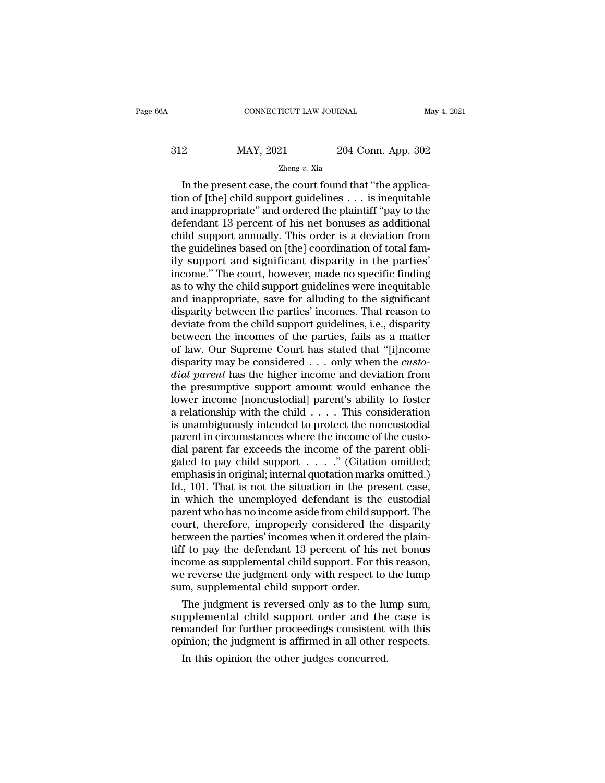# CONNECTICUT LAW JOURNAL May 4, 2021<br>312 MAY, 2021 204 Conn. App. 302<br>204 Conn. App. 302 Zheng *v.* Xia

CONNECTICUT LAW JOURNAL<br>
2014 Conn. App. 302<br>
204 Conn. App. 302<br>
204 Conn. App. 302<br>
204 Conn. App. 302<br>
204 Conn. App. 302<br>
204 Conn. App. 302<br>
204 Conn. App. 302<br>
204 Conn. App. 302<br>
204 Conn. App. 302<br>
204 Conn. App.  $\begin{array}{r} \n 312 \text{ } \text{MAP, } 2021 \text{ } \text{204 Conn. App. 302} \\
 \hline \text{Zheng } v. \text{ Xia} \text{In the present case, the court found that "the application of [the] child support guidelines . . . is inequitable and inappropriate" and ordered the plaintiff "pay to the defendant 13 percent of his net houses as additional.} \n\end{array}$ 312 MAY, 2021 204 Conn. App. 302<br>  $\frac{204 \text{ Conn. App. } 302}{2 \text{heng } v. \text{ Xia}}$ <br>
In the present case, the court found that "the application of [the] child support guidelines . . . is inequitable<br>
and inappropriate" and ordered the  $\frac{\text{MAP, 2021}}{\text{Zheng } v. \text{ Xia}}$ <br>
In the present case, the court found that "the application of [the] child support guidelines . . . is inequitable<br>
and inappropriate" and ordered the plaintiff "pay to the<br>
defendant 13 perc EVI COLLECT LATERTY 2021<br>
Zheng v. Xia<br>
In the present case, the court found that "the applica-<br>
tion of [the] child support guidelines . . . is inequitable<br>
and inappropriate" and ordered the plaintiff "pay to the<br>
defen Zheng v. Xia<br>In the present case, the court found that "the applica-<br>tion of [the] child support guidelines  $\ldots$  is inequitable<br>and inappropriate" and ordered the plaintiff "pay to the<br>defendant 13 percent of his net bon In the present case, the court found that "the application of [the] child support guidelines  $\ldots$  is inequitable and inappropriate" and ordered the plaintiff "pay to the defendant 13 percent of his net bonuses as additio tion of [the] child support guidelines . . . is inequitable<br>and inappropriate" and ordered the plaintiff "pay to the<br>defendant 13 percent of his net bonuses as additional<br>child support annually. This order is a deviation f and inappropriate" and ordered the plaintiff "pay to the<br>defendant 13 percent of his net bonuses as additional<br>child support annually. This order is a deviation from<br>the guidelines based on [the] coordination of total famdefendant 13 percent of his net bonuses as additional<br>child support annually. This order is a deviation from<br>the guidelines based on [the] coordination of total fam-<br>ily support and significant disparity in the parties'<br>in child support annually. This order is a deviation from<br>the guidelines based on [the] coordination of total fam-<br>ily support and significant disparity in the parties'<br>income." The court, however, made no specific finding<br>as the guidelines based on [the] coordination of total family support and significant disparity in the parties'<br>income." The court, however, made no specific finding<br>as to why the child support guidelines were inequitable<br>and ily support and significant disparity in the parties'<br>income." The court, however, made no specific finding<br>as to why the child support guidelines were inequitable<br>and inappropriate, save for alluding to the significant<br>di income." The court, however, made no specific finding<br>as to why the child support guidelines were inequitable<br>and inappropriate, save for alluding to the significant<br>disparity between the parties' incomes. That reason to<br>d as to why the child support guidelines were inequitable<br>and inappropriate, save for alluding to the significant<br>disparity between the parties' incomes. That reason to<br>deviate from the child support guidelines, i.e., dispar and inappropriate, save for alluding to the significant<br>disparity between the parties' incomes. That reason to<br>deviate from the child support guidelines, i.e., disparity<br>between the incomes of the parties, fails as a matte disparity between the parties' incomes. That reason to<br>deviate from the child support guidelines, i.e., disparity<br>between the incomes of the parties, fails as a matter<br>of law. Our Supreme Court has stated that "[i]ncome<br>di deviate from the child support guidelines, i.e., disparity<br>between the incomes of the parties, fails as a matter<br>of law. Our Supreme Court has stated that "[i]ncome<br>disparity may be considered . . . only when the *custo-<br>* between the incomes of the parties, fails as a matter<br>of law. Our Supreme Court has stated that "[i]ncome<br>disparity may be considered . . . only when the *custo-<br>dial parent* has the higher income and deviation from<br>the p of law. Our Supreme Court has stated that "[i]ncome disparity may be considered . . . only when the *custo-<br>dial parent* has the higher income and deviation from the presumptive support amount would enhance the lower inco disparity may be considered  $\ldots$  only when the *custo-<br>dial parent* has the higher income and deviation from<br>the presumptive support amount would enhance the<br>lower income [noncustodial] parent's ability to foster<br>a relat dial parent has the higher income and deviation from<br>the presumptive support amount would enhance the<br>lower income [noncustodial] parent's ability to foster<br>a relationship with the child  $\dots$ . This consideration<br>is unambi the presumptive support amount would enhance the<br>lower income [noncustodial] parent's ability to foster<br>a relationship with the child  $\dots$ . This consideration<br>is unambiguously intended to protect the noncustodial<br>parent i lower income [noncustodial] parent's ability to foster<br>a relationship with the child . . . . This consideration<br>is unambiguously intended to protect the noncustodial<br>parent in circumstances where the income of the custo-<br> a relationship with the child  $\ldots$ . This consideration<br>is unambiguously intended to protect the noncustodial<br>parent in circumstances where the income of the custo-<br>dial parent far exceeds the income of the parent obli-<br>g is unambiguously intended to protect the noncustodial<br>parent in circumstances where the income of the custo-<br>dial parent far exceeds the income of the parent obli-<br>gated to pay child support  $\dots$ ." (Citation omitted;<br>emph parent in circumstances where the income of the custo-<br>dial parent far exceeds the income of the parent obli-<br>gated to pay child support  $\dots$ . " (Citation omitted;<br>emphasis in original; internal quotation marks omitted.)<br> dial parent far exceeds the income of the parent obligated to pay child support  $\dots$ ." (Citation omitted;<br>emphasis in original; internal quotation marks omitted.)<br>Id., 101. That is not the situation in the present case,<br>i gated to pay child support  $\dots$ . " (Citation omitted; emphasis in original; internal quotation marks omitted.)<br>Id., 101. That is not the situation in the present case,<br>in which the unemployed defendant is the custodial<br>pa emphasis in original; internal quotation marks omitted.)<br>Id., 101. That is not the situation in the present case,<br>in which the unemployed defendant is the custodial<br>parent who has no income aside from child support. The<br>co Id., 101. That is not the situation in the present case,<br>in which the unemployed defendant is the custodial<br>parent who has no income aside from child support. The<br>court, therefore, improperly considered the disparity<br>betwe in which the unemployed defendant is the custodial<br>parent who has no income aside from child support. The<br>court, therefore, improperly considered the disparity<br>between the parties' incomes when it ordered the plain-<br>tiff t parent who has no income aside from child support, therefore, improperly considered the between the parties' incomes when it ordered tiff to pay the defendant 13 percent of his income as supplemental child support. For the urt, therefore, improperly considered the disparity<br>tween the parties' incomes when it ordered the plain-<br>f to pay the defendant 13 percent of his net bonus<br>come as supplemental child support. For this reason,<br>e reverse th between the parties' incomes when it ordered the plain-<br>tiff to pay the defendant 13 percent of his net bonus<br>income as supplemental child support. For this reason,<br>we reverse the judgment only with respect to the lump<br>sum

tiff to pay the defendant 13 percent of his net bonus<br>income as supplemental child support. For this reason,<br>we reverse the judgment only with respect to the lump<br>sum, supplemental child support order.<br>The judgment is reve income as supplemental child support. For this reason,<br>we reverse the judgment only with respect to the lump<br>sum, supplemental child support order.<br>The judgment is reversed only as to the lump sum,<br>supplemental child suppo In this opinion the other judges concurred.<br>In the judgment is reversed only as to the lupplemental child support order and the manded for further proceedings consistent<br>inion; the judgment is affirmed in all other In this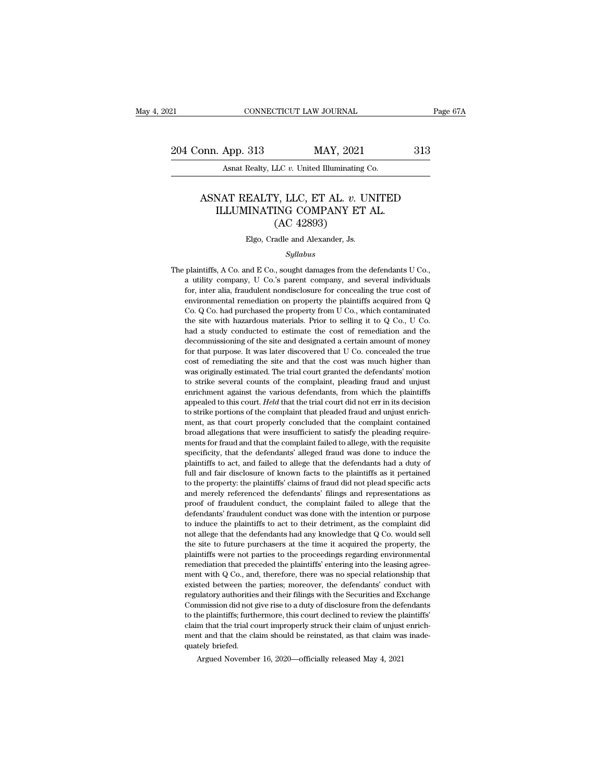21 CONNECTICUT LAW JOURNAL Page 67A<br>
204 Conn. App. 313 MAY, 2021 313<br>
Asnat Realty, LLC v. United Illuminating Co. EXTERT 2018 CONNECTICUT LAW JOURNAL<br>204 Conn. App. 313 MAY, 2021<br>Asnat Realty, LLC *v.* United Illuminating Co.

# 911 MAY, 2021 313<br>Asnat Realty, LLC *v*. United Illuminating Co.<br>ASNAT REALTY, LLC, ET AL. *v*. UNITED<br>ILLUMINATING COMPANY ET AL. App. 313 MAY, 2021<br>Asnat Realty, LLC v. United Illuminating Co.<br>NAT REALTY, LLC, ET AL. v. UNITED<br>ILLUMINATING COMPANY ET AL. (AC 42893) MAY, 2021<br>
LC v. United Illuminating<br>
Y, LLC, ET AL. v. UNG COMPANY ET<br>
(AC 42893)<br>
adle and Alexander, Js. ASNAT REALTY, LLC, ET AL. *v.* UNITED<br>ILLUMINATING COMPANY ET AL.<br>(AC 42893)<br>Elgo, Cradle and Alexander, Js.

### *Syllabus*

THE PLAINT COMPAINT ET AL.<br>
(AC 42893)<br>
Elgo, Cradle and Alexander, Js.<br>
Syllabus<br>
The plaintiffs, A Co. and E Co., sought damages from the defendants U Co.,<br>
a utility company, U Co.'s parent company, and several individu  $(AC 42893)$ <br>Elgo, Cradle and Alexander, Js.<br>Syllabus<br>plaintiffs, A Co. and E Co., sought damages from the defendants U Co.,<br>a utility company, U Co.'s parent company, and several individuals<br>for, inter alia, fraudulent no for Elgo, Cradle and Alexander, Js.<br>Syllabus<br>plaintiffs, A Co. and E Co., sought damages from the defendants U Co.,<br>a utility company, U Co.'s parent company, and several individuals<br>for, inter alia, fraudulent nondisclosu Engles Syllabus<br>
Syllabus<br>
plaintiffs, A Co. and E Co., sought damages from the defendants U Co.,<br>
a utility company, U Co.'s parent company, and several individuals<br>
for, inter alia, fraudulent nondisclosure for concealin Syllabus<br>
Syllabus<br>
plaintiffs, A Co. and E Co., sought damages from the defendants U Co.,<br>
a utility company, U Co.'s parent company, and several individuals<br>
for, inter alia, fraudulent nondisclosure for concealing the plaintiffs, A Co. and E Co., sought damages from the defendants U Co., a utility company, U Co.'s parent company, and several individuals for, inter alia, fraudulent nondisclosure for concealing the true cost of environme plantans, A co. and D co., sought dantages from the detendants c co.,<br>a utility company, U Co.'s parent company, and several individuals<br>for, inter alia, fraudulent nondisclosure for concealing the true cost of<br>environment decommissioning of the site and designated a certain must of money of environmental remediation on property the plaintiffs acquired from Q Co. Q Co. had purchased the property from U Co., which contaminated the site with h for, inter ana, maddicial iondiscosure for conceaning the true cost of environmental remediation on property from U Co., which contaminated the site with hazardous materials. Prior to selling it to Q Co., U Co. had a stud Co. Q Co. had purchased the property from U Co., which contaminated the site with hazardous materials. Prior to selling it to Q Co., U Co. had a study conducted to estimate the cost of remediation and the decommissioning co.  $\φ$  co. had puchased an property nont c co., which contain<br>the site with hazardous materials. Prior to selling it to  $Q$  Co, U Co.<br>had a study conducted to estimate the cost of remediation and the<br>decommissioning of the site with hazardous materials. Prior to selling it to  $Q$  Co., U Co.<br>had a study conducted to estimate the cost of remediation and the<br>decommissioning of the site and designated a certain amount of money<br>for that purp had a stady conducted to estimate the cost of reinculation and the decommissioning of the site and designated a certain amount of money for that purpose. It was later discovered that U Co. concealed the true cost of remedi accommissioning or are sixt and designated a ecrtain amount of money<br>for that purpose. It was later discovered that U Co. concealed the true<br>cost of remediating the site and that the cost was much higher than<br>was originall tor that purpose. It was hact used vector that C collected the direct cost of remediating the site and that the cost was much higher than was originally estimated. The trial court granted the defendants' motion to strike s cost of reinculating the site and that the cost was much ingiter than<br>was originally estimated. The trial court granted the defendants' motion<br>to strike several counts of the complaint, pleading fraud and unjust<br>enrichment was originary estimated. The that court granted the determinates inotion<br>to strike several counts of the complaint, pleading fraud and unjust<br>enrichment against the various defendants, from which the plaintiffs<br>appealed to to strike several collis of the complaint, preading hadd and thijts.<br>enrichment against the various defendants, from which the plaintiffs<br>appealed to this court. Held that the trial court did not err in its decision<br>to str all a speed to this court. *Held* that the trial court did not err in its decision<br>to strike portions of the complaint that pleaded fraud and unjust enrich-<br>ment, as that court properly concluded that the complaint contain to strike portions of the complaint that pleaded fraud and unjust enrichment, as that court properly concluded that the complaint contained broad allegations that were insufficient to satisfy the pleading requirements for for the same pottons of the complaint that pedaced flate and and dijust christment, as that court properly concluded that the complaint contained broad allegations that were insufficient to satisfy the pleading requirement them, as unat contributed that the complaint contained<br>broad allegations that were insufficient to satisfy the pleading require-<br>ments for fraud and that the complaint failed to allege, with the requisite<br>specificity, that and antigrations that were insufficient to satisfy the preating requirements for fraud and that the complaint failed to allege, with the requisite specificity, that the defendants' alleged fraud was done to induce the plai provides the distance of fraudulent complaint failed to allege, which it equisibe specificity, that the defendants' alleged fraud was done to induce the plaintiffs to act, and failed to allege that the defendants had a dut spectricity, that the defendants' antiged maturement was done to indice the plaintiffs to act, and failed to allege that the defendants had a duty of full and fair disclosure of known facts to the plaintiffs as it pertaine plantaris to act, and rance to ancge that the derentialis had a duty of<br>full and fair disclosure of known facts to the plaintiffs as it pertained<br>to the property: the plaintiffs' claims of fraud did not plead specific acts not allege that the property: the plaintiffs' claims of fraud did not plead specific acts<br>and merely referenced the defendants' filings and representations as<br>proof of fraudulent conduct, the complaint failed to allege tha to the property, the plantinis claims of hadd do not plead specific acts<br>and merely referenced the defendants' filings and representations as<br>proof of fraudulent conduct was done with the intention or purpose<br>to induce the and mercy referenced are detendants rimgs and representations as<br>proof of fraudulent conduct, the complaint failed to allege that the<br>defendants' fraudulent conduct was done with the intention or purpose<br>to induce the plai defendants' fraudulent conduct, the complaint ranced to ancige that the defendants' fraudulent conduct was done with the intention or purpose to induce the plaintiffs to act to their detriment, as the complaint did not all determinals maddle to condect was done what are interfaced to induce the plaintiffs to act to their detriment, as the complaint did not allege that the defendants had any knowledge that  $Q$  Co. would sell the site to futu for the parties; moreover, the defendants' conduct with regulatory and the site to future purchasers at the time it acquired the property, the plaintiffs were not parties to the proceedings regarding environmental remediat regulatory and the verticality and any showtedge that  $Q$  co. would self the site to future purchasers at the time it acquired the property, the plaintiffs were not parties to the proceedings regarding environmental remedi the sact to future putchasets at the three in acquired the property, the plaintiffs were not parties to the proceedings regarding environmental remediation that preceded the plaintiffs' entering into the leasing agreement plantaris were not parties to the proceedings regarding environmentar<br>remediation that preceded the plaintiffs' entering into the leasing agree-<br>ment with Q Co., and, therefore, there was no special relationship that<br>exist ment with Q Co., and, therefore, there was no special relationship that existed between the parties; moreover, the defendants' conduct with regulatory authorities and their filings with the Securities and Exchange Commiss ment with a co., and, therefore, there was no special relationship that existed between the parties; moreover, the defendants' conduct with regulatory authorities and their filings with the Securities and Exchange Commissi Existed between the<br>regulatory authorities<br>Commission did not g<br>to the plaintiffs; furth<br>claim that the cliquately briefed.<br>Argued Novembe n mission did not give rise to a duty of disclosure from the defate the plaintiffs; furthermore, this court declined to review the pl<br>m that the trial court improperly struck their claim of unjust<br>at and that the claim sho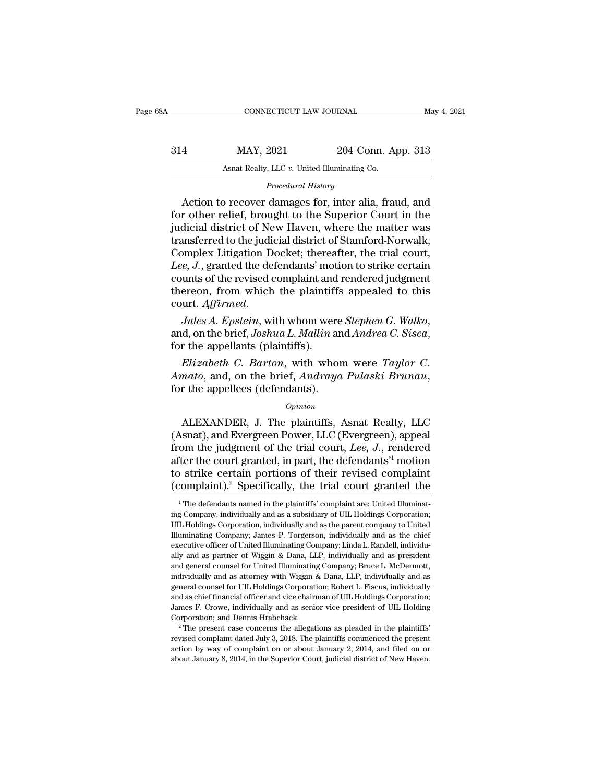| 38A | CONNECTICUT LAW JOURNAL                      |                                                       | May 4, 2021 |
|-----|----------------------------------------------|-------------------------------------------------------|-------------|
| 314 | MAY, 2021                                    | 204 Conn. App. 313                                    |             |
|     | Asnat Realty, LLC v. United Illuminating Co. |                                                       |             |
|     | Procedural History                           |                                                       |             |
|     |                                              | Action to recover damages for, inter alia, fraud, and |             |

MAY, 2021 204 Conn. App. 313<br>Asnat Realty, LLC v. United Illuminating Co.<br>Procedural History<br>Action to recover damages for, inter alia, fraud, and<br>r other relief, brought to the Superior Court in the<br>dicial district of Now For other relief, brought to the Superior Court in the set of the Superior Court in the substitution of New Haven, where the matter was transformed to the judicial district of New Haven, where the matter was transformed t  $\begin{array}{r} \text{MAX, 2021} \\ \text{Asnat } \text{Realty, LLC } v. \text{ United Illuminating Co.} \\ \text{Procedural History} \\ \text{Action to recover damages for, inter alia, fraud, and for other relief, brought to the Superior Court in the judicial district of New Haven, where the matter was transferred to the judicial district of Stamford-Norwalk, Complex Litation Docks: thorough text, the trial court. \end{array}$ Asnat Realty, LLC v. United Illuminating Co.<br>
Procedural History<br>
Action to recover damages for, inter alia, fraud, and<br>
for other relief, brought to the Superior Court in the<br>
judicial district of New Haven, where the mat Procedural History<br>
Procedural History<br>
Action to recover damages for, inter alia, fraud, and<br>
for other relief, brought to the Superior Court in the<br>
judicial district of New Haven, where the matter was<br>
transferred to th *Procedural History*<br>
Action to recover damages for, inter alia, fraud, and<br>
for other relief, brought to the Superior Court in the<br>
judicial district of New Haven, where the matter was<br>
transferred to the judicial distric Action to recover damages for, inter alia, fraud, and<br>for other relief, brought to the Superior Court in the<br>judicial district of New Haven, where the matter was<br>transferred to the judicial district of Stamford-Norwalk,<br>Co for other relief, brought to the Superior Court in the<br>judicial district of New Haven, where the matter was<br>transferred to the judicial district of Stamford-Norwalk,<br>Complex Litigation Docket; thereafter, the trial court,<br> court. *Affirmed. Jules A. Epstein*, with whom were *Taylor C. Elizabeth* C. Bartines *Lee, J.*, granted the defendants' motion to strike certain counts of the revised complaint and rendered judgment thereon, from which the plaintiffs appe

*Elizabeth C. Barton, with whom were Stephen G. Walko,*<br>*Lules A. Epstein, with whom were Stephen G. Walko,*<br>*d, on the brief, Joshua L. Mallin and Andrea C. Sisca,*<br>r the appellants (plaintiffs).<br>*Elizabeth C. Barton, wit Affirmed.*<br> *Alles A. Epstein,* with whom were *Stephen G. Walko*,<br>
and, on the brief, *Joshua L. Mallin* and *Andrea C. Sisca*,<br>
for the appellants (plaintiffs).<br> *Elizabeth C. Barton*, with whom were *Taylor C.*<br> *Amato* 

r the appellants (plaintiffs).<br> *Elizabeth C. Barton*, with whom were *Taylor C.*<br> *nato*, and, on the brief, *Andraya Pulaski Brunau*,<br>
r the appellees (defendants).<br> *Opinion*<br>
ALEXANDER, J. The plaintiffs, Asnat Realty,

## *Opinion*

Elizabeth C. Barton, with whom were *Taylor C.*<br>Amato, and, on the brief, Andraya Pulaski Brunau,<br>for the appellees (defendants).<br>*Opinion*<br>ALEXANDER, J. The plaintiffs, Asnat Realty, LLC<br>(Asnat), and Evergreen Power, LLC *Entrance C. Barton*, whit whom were *Tagtor* O.<br>*Amato*, and, on the brief, *Andraya Pulaski Brunau*,<br>for the appellees (defendants).<br>*Opinion*<br>ALEXANDER, J. The plaintiffs, Asnat Realty, LLC<br>(Asnat), and Evergreen Power, Finally, and, of the strict, Theorigo Takashe Dramaa,<br>for the appellees (defendants).<br> $opinion$ <br>ALEXANDER, J. The plaintiffs, Asnat Realty, LLC<br>(Asnat), and Evergreen Power, LLC (Evergreen), appeal<br>from the judgment of the tri opinion<br>  $\Omega$  and Evergreen Power, LLC (Evergreen), appeal<br>
from the judgment of the trial court, *Lee*, *J*., rendered<br>
after the court granted, in part, the defendants<sup>11</sup> motion<br>
to strike certain portions of their rev *Opinion*<br>
ALEXANDER, J. The plaintiffs, Asnat Realty, LLC<br>
(Asnat), and Evergreen Power, LLC (Evergreen), appeal<br>
from the judgment of the trial court, Lee, J., rendered<br>
after the court granted, in part, the defendants<sup></sup> om the judgment of the trial court, *Lee*, *J*., rendered<br>iter the court granted, in part, the defendants<sup>1</sup> motion<br>o strike certain portions of their revised complaint<br>complaint).<sup>2</sup> Specifically, the trial court granted after the court granted, in part, the defendants<sup>1</sup> motion<br>to strike certain portions of their revised complaint<br>(complaint).<sup>2</sup> Specifically, the trial court granted the<br><sup>1</sup>The defendants named in the plaintiffs' complain

to strike certain portions of their revised complaint (complaint).<sup>2</sup> Specifically, the trial court granted the <sup>1</sup>The defendants named in the plaintiffs' complaint are: United Illuminating Company, individually and as a s (complaint).<sup>2</sup> Specifically, the trial court granted the  $\frac{1}{1}$  The defendants named in the plaintiffs' complaint are: United Illuminating Company, individually and as a subsidiary of UIL Holdings Corporation; UIL Hol executive officer of United Illuminating Company; Linda Court grantied Illuminating Company, individually and as a subsidiary of ULI Holdings Corporation; UIL Holdings Corporation, individually and as the parent company to <sup>1</sup> The defendants named in the plaintiffs' complaint are: United Illuminating Company, individually and as a subsidiary of UIL Holdings Corporation; UIL Holdings Corporation, individually and as the parent company to Uni ing Company, individually and as a subsidiary of UIL Holdings Corporation;<br>UIL Holdings Corporation, individually and as the parent company to United<br>Illuminating Company; James P. Torgerson, individually and as the chief<br> III Holdings Corporation, individually and as the parent company to United Illuminating Company; James P. Torgerson, individually and as the chief executive officer of United Illuminating Company; Linda L. Randell, individ Illuminating Company; James P. Torgerson, individually and as the chief executive officer of United Illuminating Company; Linda L. Randell, individually and as partner of Wiggin & Dana, LLP, individually and as president a executive officer of United Illuminating Company; Linda L. Randell, individually and as partner of Wiggin & Dana, LLP, individually and as president and general counsel for United Illuminating Company; Bruce L. McDermott, ally and as partner of Wiggin & Dana, LLP, individually and as president and general counsel for United Illuminating Company; Bruce L. McDermott, individually and as attorney with Wiggin & Dana, LLP, individually and as ge and general counsel for United Illuminating Company; Bruce L. McDermott, individually and as attorney with Wiggin & Dana, LLP, individually and as general counsel for UIL Holdings Corporation; Robert L. Fiscus, individuall individually and as attorney with Wiggin & Dana, LLP, individually and as general counsel for UIL Holdings Corporation; Robert L. Fiscus, individually and as chief financial officer and vice chairman of UIL Holdings Corpo and as chief financial officer and vice chairman of UIL Holdings Corporation; James F. Crowe, individually and as senior vice president of UIL Holding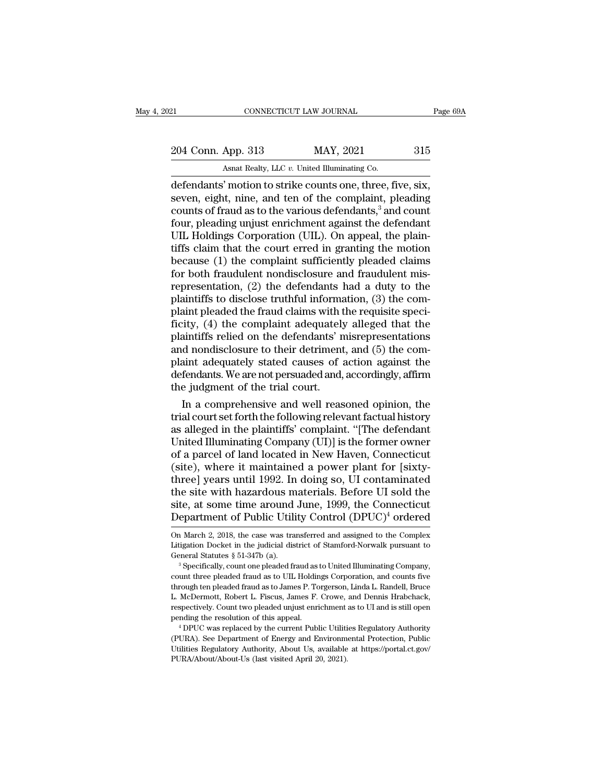21 CONNECTICUT LAW JOURNAL Page 69A<br>
204 Conn. App. 313 MAY, 2021 315<br>
Asnat Realty, LLC v. United Illuminating Co. CONNECTICUT LAW JOURNAL<br>
204 Conn. App. 313 MAY, 2021 315<br>
Asnat Realty, LLC *v.* United Illuminating Co.<br>
defendants' motion to strike counts one, three, five, six,

Eq. CONNECTICUT LAW JOURNAL Page (Page 1944)<br>
204 Conn. App. 313 MAY, 2021 315<br>
Asnat Realty, LLC v. United Illuminating Co.<br>
defendants' motion to strike counts one, three, five, six, seven, eight, nine, and ten of the co 204 Conn. App. 313 MAY, 2021 315<br>Asnat Realty, LLC v. United Illuminating Co.<br>defendants' motion to strike counts one, three, five, six,<br>seven, eight, nine, and ten of the complaint, pleading<br>counts of fraud as to the vari 204 Conn. App. 313 MAY, 2021 315<br>Asnat Realty, LLC v. United Illuminating Co.<br>defendants' motion to strike counts one, three, five, six,<br>seven, eight, nine, and ten of the complaint, pleading<br>counts of fraud as to the var 204 Conn. App. 313 MAY, 2021 315<br>Asnat Realty, LLC v. United Illuminating Co.<br>defendants' motion to strike counts one, three, five, six,<br>seven, eight, nine, and ten of the complaint, pleading<br>counts of fraud as to the var Ashat Realty, LLC v. United Illuminating Co.<br>
defendants' motion to strike counts one, three, five, six,<br>
seven, eight, nine, and ten of the complaint, pleading<br>
counts of fraud as to the various defendants,<sup>3</sup> and count<br> Asnat Realty, LLC  $v$ . United Illuminating Co.<br>
defendants' motion to strike counts one, three, five, six,<br>
seven, eight, nine, and ten of the complaint, pleading<br>
counts of fraud as to the various defendants,<sup>3</sup> and coun defendants' motion to strike counts one, three, five, six,<br>seven, eight, nine, and ten of the complaint, pleading<br>counts of fraud as to the various defendants,<sup>3</sup> and count<br>four, pleading unjust enrichment against the defe seven, eight, nine, and ten of the complaint, pleading<br>counts of fraud as to the various defendants,<sup>3</sup> and count<br>four, pleading unjust enrichment against the defendant<br>UIL Holdings Corporation (UIL). On appeal, the plaincounts of fraud as to the various defendants,<sup>3</sup> and count<br>four, pleading unjust enrichment against the defendant<br>UIL Holdings Corporation (UIL). On appeal, the plain-<br>tiffs claim that the court erred in granting the motio four, pleading unjust enrichment against the defendant<br>UIL Holdings Corporation (UIL). On appeal, the plain-<br>tiffs claim that the court erred in granting the motion<br>because (1) the complaint sufficiently pleaded claims<br>for UIL Holdings Corporation (UIL). On appeal, the plaintiffs claim that the court erred in granting the motion because (1) the complaint sufficiently pleaded claims for both fraudulent nondisclosure and fraudulent mis-<br>repres tiffs claim that the court erred in granting the motion<br>because (1) the complaint sufficiently pleaded claims<br>for both fraudulent nondisclosure and fraudulent mis-<br>representation, (2) the defendants had a duty to the<br>plain because (1) the complaint sufficiently pleaded claims<br>for both fraudulent nondisclosure and fraudulent mis-<br>representation, (2) the defendants had a duty to the<br>plaintiffs to disclose truthful information, (3) the com-<br>pla for both fraudulent nondisclosure and fraudulent mis-<br>representation, (2) the defendants had a duty to the<br>plaintiffs to disclose truthful information, (3) the com-<br>plaint pleaded the fraud claims with the requisite speci representation, (2) the defendants had a duty to the plaintiffs to disclose truthful information, (3) the complaint pleaded the fraud claims with the requisite specificity, (4) the complaint adequately alleged that the pla plaintiffs to disclose truthful information, (3) the com-<br>plaint pleaded the fraud claims with the requisite speci-<br>ficity, (4) the complaint adequately alleged that the<br>plaintiffs relied on the defendants' misrepresentati plaint pleaded the fraud claims with t<br>ficity, (4) the complaint adequately<br>plaintiffs relied on the defendants' n<br>and nondisclosure to their detriment<br>plaint adequately stated causes of a<br>defendants. We are not persuaded In a complaint adequately alleged that the<br>aintiffs relied on the defendants' misrepresentations<br>d nondisclosure to their detriment, and (5) the com-<br>aint adequately stated causes of action against the<br>fendants. We are not plaintiffs relied on the defendants' misrepresentations<br>and nondisclosure to their detriment, and (5) the com-<br>plaint adequately stated causes of action against the<br>defendants. We are not persuaded and, accordingly, affirm

and nondisclosure to their detriment, and (5) the complaint adequately stated causes of action against the defendants. We are not persuaded and, accordingly, affirm the judgment of the trial court.<br>
In a comprehensive and plaint adequately stated causes of action against the<br>defendants. We are not persuaded and, accordingly, affirm<br>the judgment of the trial court.<br>In a comprehensive and well reasoned opinion, the<br>trial court set forth the f defendants. We are not persuaded and, accordingly, affirm<br>the judgment of the trial court.<br>In a comprehensive and well reasoned opinion, the<br>trial court set forth the following relevant factual history<br>as alleged in the pl the judgment of the trial court.<br>
In a comprehensive and well reasoned opinion, the<br>
trial court set forth the following relevant factual history<br>
as alleged in the plaintiffs' complaint. "[The defendant<br>
United Illuminati In a comprehensive and well reasoned opinion, the<br>trial court set forth the following relevant factual history<br>as alleged in the plaintiffs' complaint. "[The defendant<br>United Illuminating Company (UI)] is the former owner<br> trial court set forth the following relevant factual history<br>as alleged in the plaintiffs' complaint. "[The defendant<br>United Illuminating Company (UI)] is the former owner<br>of a parcel of land located in New Haven, Connecti as alleged in the plaintiffs' complaint. "[The defendant<br>United Illuminating Company (UI)] is the former owner<br>of a parcel of land located in New Haven, Connecticut<br>(site), where it maintained a power plant for [sixty-<br>thr United Illuminating Company (UI)] is the former owner<br>of a parcel of land located in New Haven, Connecticut<br>(site), where it maintained a power plant for [sixty-<br>three] years until 1992. In doing so, UI contaminated<br>the s three] years until 1992. In doing so, UI contaminated<br>the site with hazardous materials. Before UI sold the<br>site, at some time around June, 1999, the Connecticut<br>Department of Public Utility Control (DPUC)<sup>4</sup> ordered<br>on Ma the site with hazardous materials. Before UI sold the site, at some time around June, 1999, the Connecticut Department of Public Utility Control  $(DPUC)^4$  ordered on March 2, 2018, the case was transferred and assigned to t

site, at some time around June, 1999, the Connecticut<br>Department of Public Utility Control (DPUC)<sup>4</sup> ordered<br>On March 2, 2018, the case was transferred and assigned to the Complex<br>Litigation Docket in the judicial district

Department Of Public Utility Control (DPUC) Ordered<br>On March 2, 2018, the case was transferred and assigned to the Complex<br>Litigation Docket in the judicial district of Stamford-Norwalk pursuant to<br>General Statutes § 51-34 On March 2, 2018, the case was transferred and assigned to the Complex<br>Litigation Docket in the judicial district of Stamford-Norwalk pursuant to<br>General Statutes § 51-347b (a).<br><sup>3</sup> Specifically, count one pleaded fraud a On March 2, 2018, the case was transferred and assigned to the Complex Litigation Docket in the judicial district of Stamford-Norwalk pursuant to General Statutes § 51-347b (a).<br><sup>3</sup> Specifically, count one pleaded fraud a General Statutes § 51-347b (a).<br>
<sup>3</sup> Specifically, count one pleaded fraud as to United Illuminating Company,<br>
count three pleaded fraud as to UIL Holdings Corporation, and counts five<br>
through ten pleaded fraud as to Jame <sup>9</sup> Specifically, count one pleaded fraud as to United Illuminating Company,<br>count three pleaded fraud as to UIL Holdings Corporation, and counts five<br>through ten pleaded fraud as to James P. Torgerson, Linda L. Randell, B University of the pleaded fraud as to James P. Torgerson, Linda L. Randell, Bruce L. McDermott, Robert L. Fiscus, James F. Crowe, and Dennis Hrabchack, respectively. Count two pleaded unjust enrichment as to UI and is stil respectively. Count two pleaded unjust enrichment as to UI and is still open

L. McDermott, Robert L. Fiscus, James F. Crowe, and Dennis Hrabchack, respectively. Count two pleaded unjust enrichment as to UI and is still open pending the resolution of this appeal.<br>
"DPUC was replaced by the current P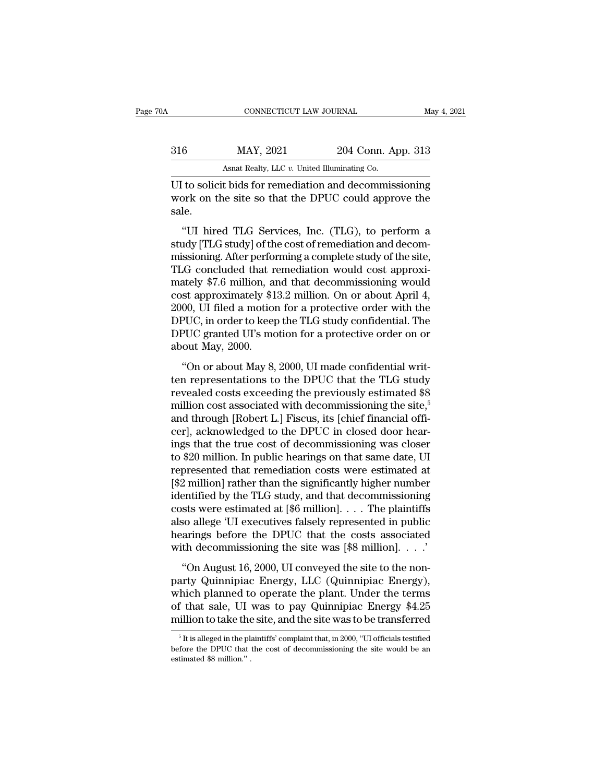| May 4, 2021 |
|-------------|
|             |
|             |
|             |

CONNECTICUT LAW JOURNAL May 4, 2021<br>
316 MAY, 2021 204 Conn. App. 313<br>
Asnat Realty, LLC v. United Illuminating Co.<br>
UI to solicit bids for remediation and decommissioning<br>
work on the site so that the DPUC could approve t MAY, 2021 204 Conn. App. 313<br>Asnat Realty, LLC v. United Illuminating Co.<br>UI to solicit bids for remediation and decommissioning<br>work on the site so that the DPUC could approve the<br>sale. sale.  $\frac{\text{MAX, } 2021}{\text{Asnat } \text{Realty, } \text{LLC } v. \text{ United Illuminating Co.}}$ <br>
The solicit bids for remediation and decommissioning<br>
ork on the site so that the DPUC could approve the<br>
Le.<br>
"UI hired TLG Services, Inc. (TLG), to perform a<br>
udy [TLG stu

Asnat Realty, LLC  $v$ . United Illuminating Co.<br>
UI to solicit bids for remediation and decommissioning<br>
work on the site so that the DPUC could approve the<br>
sale.<br>
"UI hired TLG Services, Inc. (TLG), to perform a<br>
study [ UI to solicit bids for remediation and decommissioning<br>work on the site so that the DPUC could approve the<br>sale.<br>"UI hired TLG Services, Inc. (TLG), to perform a<br>study [TLG study] of the cost of remediation and decom-<br>miss For to solicit bids for reinculation and decommissioning<br>work on the site so that the DPUC could approve the<br>sale.<br>"UI hired TLG Services, Inc. (TLG), to perform a<br>study [TLG study] of the cost of remediation and decom-<br>m sale.<br>
"UI hired TLG Services, Inc. (TLG), to perform a<br>
study [TLG study] of the cost of remediation and decom-<br>
missioning. After performing a complete study of the site,<br>
TLG concluded that remediation would cost approx "UI hired TLG Services, Inc. (TLG), to perform a<br>study [TLG study] of the cost of remediation and decom-<br>missioning. After performing a complete study of the site,<br>TLG concluded that remediation would cost approxi-<br>mately "UI hired TLG Services, Inc. (TLG), to perform a<br>study [TLG study] of the cost of remediation and decom-<br>missioning. After performing a complete study of the site,<br>TLG concluded that remediation would cost approxi-<br>mately study [TLG study] of the cost of remediation and decom-<br>missioning. After performing a complete study of the site,<br>TLG concluded that remediation would cost approxi-<br>mately \$7.6 million, and that decommissioning would<br>cost missioning. After performing a complete study of the site,<br>TLG concluded that remediation would cost approxi-<br>mately \$7.6 million, and that decommissioning would<br>cost approximately \$13.2 million. On or about April 4,<br>2000, TLG concluded that r<br>mately \$7.6 million, an<br>cost approximately \$1<br>2000, UI filed a motion<br>DPUC, in order to keep<br>DPUC granted UI's mo<br>about May, 2000.<br>"On or about May 8, Exacty 41.5 minion, and and decommissioning would<br>st approximately \$13.2 million. On or about April 4,<br>00, UI filed a motion for a protective order with the<br>PUC, in order to keep the TLG study confidential. The<br>PUC granted 2000, UI filed a motion for a protective order with the<br>DPUC, in order to keep the TLG study confidential. The<br>DPUC granted UI's motion for a protective order on or<br>about May, 2000.<br>"On or about May 8, 2000, UI made confi

DPUC, in order to keep the TLG study confidential. The<br>DPUC granted UI's motion for a protective order on or<br>about May, 2000.<br>"On or about May 8, 2000, UI made confidential writ-<br>ten representations to the DPUC that the T DPUC granted UI's motion for a protective order on or<br>about May, 2000.<br>"On or about May 8, 2000, UI made confidential writ-<br>ten representations to the DPUC that the TLG study<br>revealed costs exceeding the previously estima ET CO granded CT5 modern for a procedure order on or<br>about May, 2000.<br>"On or about May 8, 2000, UI made confidential writ-<br>ten representations to the DPUC that the TLG study<br>revealed costs exceeding the previously estimate "On or about May 8, 2000, UI made confidential writ-<br>ten representations to the DPUC that the TLG study<br>revealed costs exceeding the previously estimated \$8<br>million cost associated with decommissioning the site,<sup>5</sup><br>and th "On or about May 8, 2000, UI made confidential writ-<br>ten representations to the DPUC that the TLG study<br>revealed costs exceeding the previously estimated \$8<br>million cost associated with decommissioning the site,<sup>5</sup><br>and th ten representations to the DPUC that the TLG study<br>revealed costs exceeding the previously estimated \$8<br>million cost associated with decommissioning the site,<sup>5</sup><br>and through [Robert L.] Fiscus, its [chief financial offi-<br>c revealed costs exceeding the previously estimated \$8<br>million cost associated with decommissioning the site,<sup>5</sup><br>and through [Robert L.] Fiscus, its [chief financial offi-<br>cer], acknowledged to the DPUC in closed door hear-<br> million cost associated with decommissioning the site,<sup>5</sup><br>and through [Robert L.] Fiscus, its [chief financial offi-<br>cer], acknowledged to the DPUC in closed door hear-<br>ings that the true cost of decommissioning was closer and through [Robert L.] Fiscus, its [chief financial officer], acknowledged to the DPUC in closed door hearings that the true cost of decommissioning was closer to \$20 million. In public hearings on that same date, UI repr cer], acknowledged to the DPUC in closed door hearings that the true cost of decommissioning was closer to \$20 million. In public hearings on that same date, UI represented that remediation costs were estimated at [\$2 mill ings that the true cost of decommissioning was closer<br>to \$20 million. In public hearings on that same date, UI<br>represented that remediation costs were estimated at<br>[\$2 million] rather than the significantly higher number<br>i to \$20 million. In public hearings on that same date, UI<br>represented that remediation costs were estimated at<br>[\$2 million] rather than the significantly higher number<br>identified by the TLG study, and that decommissioning<br> represented that remediation costs were estimated at [\$2 million] rather than the significantly higher number identified by the TLG study, and that decommissioning costs were estimated at [\$6 million]. . . . The plaintiff Infinited by the TLG study, and that decommissioning<br>
entified by the TLG study, and that decommissioning<br>
sts were estimated at [\$6 million]. . . . The plaintiffs<br>
so allege 'UI executives falsely represented in public<br>
a costs were estimated at [\$6 million].  $\ldots$  The plaintiffs<br>also allege 'UI executives falsely represented in public<br>hearings before the DPUC that the costs associated<br>with decommissioning the site was [\$8 million].  $\ldots$ .

also allege 'UI executives falsely represented in public<br>hearings before the DPUC that the costs associated<br>with decommissioning the site was [\$8 million]. . . .'<br>"On August 16, 2000, UI conveyed the site to the non-<br>part designed in passes and the DPUC that the costs associated<br>with decommissioning the site was [\$8 million]. . . ."<br>"On August 16, 2000, UI conveyed the site to the non-<br>party Quinnipiac Energy, LLC (Quinnipiac Energy),<br>which with decommissioning the site was [\$8 million]. . . .'<br>
"On August 16, 2000, UI conveyed the site to the non-<br>
party Quinnipiac Energy, LLC (Quinnipiac Energy),<br>
which planned to operate the plant. Under the terms<br>
of tha arty Quinnipiac Energy, LLC (Quinnipiac Energy),<br>hich planned to operate the plant. Under the terms<br>f that sale, UI was to pay Quinnipiac Energy \$4.25<br>illion to take the site, and the site was to be transferred<br><sup>5</sup>It is al which planned to operate the plant. Under the terms<br>of that sale, UI was to pay Quinnipiac Energy \$4.25<br>million to take the site, and the site was to be transferred<br> $\frac{1}{10}$ <br>it is alleged in the plaintiffs' complaint th

<sup>%</sup> of that sale, UI million to take the million to take the  $\frac{1}{10}$  is alleged in the planet before the DPUC that estimated \$8 million."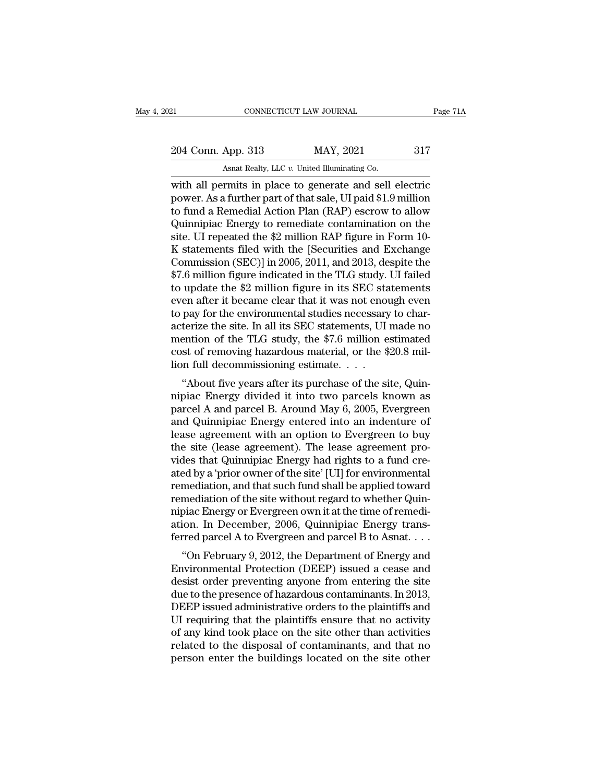21 CONNECTICUT LAW JOURNAL Page 71A<br>
204 Conn. App. 313 MAY, 2021 317<br>
Asnat Realty, LLC v. United Illuminating Co.

CONNECTICUT LAW JOURNAL<br>
204 Conn. App. 313 MAY, 2021 317<br>
Asnat Realty, LLC *v.* United Illuminating Co.<br>
with all permits in place to generate and sell electric EXECTE AN SOURNAL Page 71A<br>
204 Conn. App. 313 MAY, 2021 317<br>
Asnat Realty, LLC v. United Illuminating Co.<br>
With all permits in place to generate and sell electric<br>
power. As a further part of that sale, UI paid \$1.9 milli 204 Conn. App. 313 MAY, 2021 317<br>Asnat Realty, LLC v. United Illuminating Co.<br>With all permits in place to generate and sell electric<br>power. As a further part of that sale, UI paid \$1.9 million<br>to fund a Remedial Action Pl 204 Conn. App. 313 MAY, 2021 317<br>Asnat Realty, LLC v. United Illuminating Co.<br>with all permits in place to generate and sell electric<br>power. As a further part of that sale, UI paid \$1.9 million<br>to fund a Remedial Action P 204 Conn. App. 313 MAY, 2021 317<br>Asnat Realty, LLC v. United Illuminating Co.<br>with all permits in place to generate and sell electric<br>power. As a further part of that sale, UI paid \$1.9 million<br>to fund a Remedial Action P Similarly, LLC v. United Illuminating Co.<br>
with all permits in place to generate and sell electric<br>
power. As a further part of that sale, UI paid \$1.9 million<br>
to fund a Remedial Action Plan (RAP) escrow to allow<br>
Quinni Ashat Realty, LLC v. United Illuminating Co.<br>
with all permits in place to generate and sell electric<br>
power. As a further part of that sale, UI paid \$1.9 million<br>
to fund a Remedial Action Plan (RAP) escrow to allow<br>
Qui with all permits in place to generate and sell electric<br>power. As a further part of that sale, UI paid \$1.9 million<br>to fund a Remedial Action Plan (RAP) escrow to allow<br>Quinnipiac Energy to remediate contamination on the<br>s power. As a further part of that sale, UI paid \$1.9 million<br>to fund a Remedial Action Plan (RAP) escrow to allow<br>Quinnipiac Energy to remediate contamination on the<br>site. UI repeated the \$2 million RAP figure in Form 10-<br>K to fund a Remedial Action Plan (RAP) escrow to allow<br>Quinnipiac Energy to remediate contamination on the<br>site. UI repeated the \$2 million RAP figure in Form 10-<br>K statements filed with the [Securities and Exchange<br>Commissi Quinnipiac Energy to remediate contamination on the<br>site. UI repeated the \$2 million RAP figure in Form 10-<br>K statements filed with the [Securities and Exchange<br>Commission (SEC)] in 2005, 2011, and 2013, despite the<br>\$7.6 m site. UI repeated the \$2 million RAP figure in Form 10-<br>K statements filed with the [Securities and Exchange<br>Commission (SEC)] in 2005, 2011, and 2013, despite the<br>\$7.6 million figure indicated in the TLG study. UI failed<br> K statements filed with the [Securities and Exchange<br>Commission (SEC)] in 2005, 2011, and 2013, despite the<br>\$7.6 million figure indicated in the TLG study. UI failed<br>to update the \$2 million figure in its SEC statements<br>ev Commission (SEC)] in 2005, 2011, and 2013, despite the<br>\$7.6 million figure indicated in the TLG study. UI failed<br>to update the \$2 million figure in its SEC statements<br>even after it became clear that it was not enough even<br> \$7.6 million figure indicated in the TLG study. UI failed<br>to update the \$2 million figure in its SEC statements<br>even after it became clear that it was not enough even<br>to pay for the environmental studies necessary to char to update the \$2 million figure in its SEC sta<br>even after it became clear that it was not enou<br>to pay for the environmental studies necessary<br>acterize the site. In all its SEC statements, UI<br>mention of the TLG study, the \$ En after it became clear that it was not enough even<br>
pay for the environmental studies necessary to char-<br>
terize the site. In all its SEC statements, UI made no<br>
ention of the TLG study, the \$7.6 million estimated<br>
st o to pay for the environmental studies hecessary to characterize the site. In all its SEC statements, UI made no<br>mention of the TLG study, the \$7.6 million estimated<br>cost of removing hazardous material, or the \$20.8 mil-<br>lio

acterize the site. In an its SEC statements, Of hiade no<br>mention of the TLG study, the \$7.6 million estimated<br>cost of removing hazardous material, or the \$20.8 mil-<br>lion full decommissioning estimate. . . .<br>"About five yea mention of the TEG study, the  $\phi$ 7.0 minion estimated<br>cost of removing hazardous material, or the \$20.8 mil-<br>lion full decommissioning estimate. . . .<br>"About five years after its purchase of the site, Quin-<br>nipiac Energy cost of removing nazaroots material, or the  $\phi$ 20.8 million full decommissioning estimate. . . .<br>
"About five years after its purchase of the site, Quinnipiac Energy divided it into two parcels known as<br>
parcel A and par "About five years after its purchase of the site, Quin-<br>nipiac Energy divided it into two parcels known as<br>parcel A and parcel B. Around May 6, 2005, Evergreen<br>and Quinnipiac Energy entered into an indenture of<br>lease agree "About five years after its purchase of the site, Quinnipiac Energy divided it into two parcels known as parcel A and parcel B. Around May 6, 2005, Evergreen and Quinnipiac Energy entered into an indenture of lease agreem nipiac Energy divided it into two parcels known as<br>parcel A and parcel B. Around May 6, 2005, Evergreen<br>and Quinnipiac Energy entered into an indenture of<br>lease agreement with an option to Evergreen to buy<br>the site (lease parcel A and parcel B. Around May 6, 2005, Evergreen<br>and Quinnipiac Energy entered into an indenture of<br>lease agreement with an option to Evergreen to buy<br>the site (lease agreement). The lease agreement pro-<br>vides that Qui and Quinnipiac Energy entered into an indenture of<br>lease agreement with an option to Evergreen to buy<br>the site (lease agreement). The lease agreement pro-<br>vides that Quinnipiac Energy had rights to a fund cre-<br>ated by a 'p lease agreement with an option to Evergreen to buy<br>the site (lease agreement). The lease agreement pro-<br>vides that Quinnipiac Energy had rights to a fund cre-<br>ated by a 'prior owner of the site' [UI] for environmental<br>reme the site (lease agreement). The lease agreement provides that Quinnipiac Energy had rights to a fund created by a 'prior owner of the site' [UI] for environmental remediation, and that such fund shall be applied toward rem vides that Quinnipiac Energy had rights to a fund cre-<br>ated by a 'prior owner of the site' [UI] for environmental<br>remediation, and that such fund shall be applied toward<br>remediation of the site without regard to whether Qu ed by a prior owner of the site [OI] for environmental<br>"mediation, and that such fund shall be applied toward<br>mediation of the site without regard to whether Quin-<br>piac Energy or Evergreen own it at the time of remedi-<br>ion remediation, and that such rund shall be applied toward<br>remediation of the site without regard to whether Quin-<br>nipiac Energy or Evergreen own it at the time of remedi-<br>ation. In December, 2006, Quinnipiac Energy trans-<br>fe

remediation of the site without regard to whether Quin-<br>nipiac Energy or Evergreen own it at the time of remedi-<br>ation. In December, 2006, Quinnipiac Energy trans-<br>ferred parcel A to Evergreen and parcel B to Asnat. . . .<br> mplac Energy of Evergreen own it at the three of reinediation. In December, 2006, Quinnipiac Energy transferred parcel A to Evergreen and parcel B to Asnat....<br>"On February 9, 2012, the Department of Energy and Environment ation. In December, 2000, Quintiplac Energy transferred parcel A to Evergreen and parcel B to Asnat....<br>"On February 9, 2012, the Department of Energy and<br>Environmental Protection (DEEP) issued a cease and<br>desist order pre Ferred parcer A to Evergreen and parcer B to Ashat. . . . .<br>"On February 9, 2012, the Department of Energy and<br>Environmental Protection (DEEP) issued a cease and<br>desist order preventing anyone from entering the site<br>due to "On February 9, 2012, the Department of Energy and<br>Environmental Protection (DEEP) issued a cease and<br>desist order preventing anyone from entering the site<br>due to the presence of hazardous contaminants. In 2013,<br>DEEP issue Environmental Protection (DEEP) issued a cease and<br>desist order preventing anyone from entering the site<br>due to the presence of hazardous contaminants. In 2013,<br>DEEP issued administrative orders to the plaintiffs and<br>UI re desist order preventing anyone from entering the site<br>due to the presence of hazardous contaminants. In 2013,<br>DEEP issued administrative orders to the plaintiffs and<br>UI requiring that the plaintiffs ensure that no activity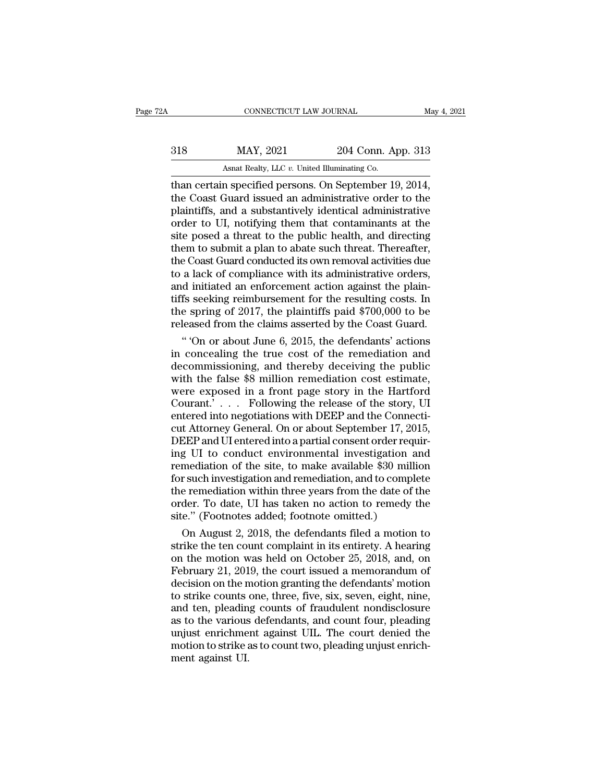| A   | CONNECTICUT LAW JOURNAL                                       |                    | May 4, 2021 |
|-----|---------------------------------------------------------------|--------------------|-------------|
| 318 | MAY, 2021                                                     | 204 Conn. App. 313 |             |
|     | Asnat Realty, LLC v. United Illuminating Co.                  |                    |             |
|     | than certain specified persons $\Omega$ n September 19 $2014$ |                    |             |

CONNECTICUT LAW JOURNAL May 4, 2<br>
318 MAY, 2021 204 Conn. App. 313<br>
Asnat Realty, LLC v. United Illuminating Co.<br>
Than certain specified persons. On September 19, 2014,<br>
the Coast Guard issued an administrative order to th MAY, 2021 204 Conn. App. 313<br>Asnat Realty, LLC v. United Illuminating Co.<br>Than certain specified persons. On September 19, 2014,<br>the Coast Guard issued an administrative order to the<br>plaintiffs, and a substantively identic  $\frac{\text{MAX, } 2021}{\text{Asnat } \text{Realty, } \text{LLC } v \cdot \text{United Illuminating Co.}}$ <br>
than certain specified persons. On September 19, 2014,<br>
the Coast Guard issued an administrative order to the<br>
plaintiffs, and a substantively identical administrative<br>
ord  $MAY$ , 2021 204 Conn. App. 313<br>Asnat Realty, LLC v. United Illuminating Co.<br>Than certain specified persons. On September 19, 2014,<br>the Coast Guard issued an administrative order to the<br>plaintiffs, and a substantively ident site a threat to the U.S. United Illuminating Co.<br>
than certain specified persons. On September 19, 2014,<br>
the Coast Guard issued an administrative order to the<br>
plaintiffs, and a substantively identical administrative<br>
o Asnat Realty, LLC  $v$ . United Illuminating Co.<br>
than certain specified persons. On September 19, 2014,<br>
the Coast Guard issued an administrative order to the<br>
plaintiffs, and a substantively identical administrative<br>
orde than certain specified persons. On September 19, 2014,<br>the Coast Guard issued an administrative order to the<br>plaintiffs, and a substantively identical administrative<br>order to UI, notifying them that contaminants at the<br>sit the Coast Guard issued an administrative order to the plaintiffs, and a substantively identical administrative order to UI, notifying them that contaminants at the site posed a threat to the public health, and directing th plaintiffs, and a substantively identical administrative<br>order to UI, notifying them that contaminants at the<br>site posed a threat to the public health, and directing<br>them to submit a plan to abate such threat. Thereafter,<br> order to UI, notifying them that contaminants at the<br>site posed a threat to the public health, and directing<br>them to submit a plan to abate such threat. Thereafter,<br>the Coast Guard conducted its own removal activities due<br> site posed a threat to the public health, and directing<br>them to submit a plan to abate such threat. Thereafter,<br>the Coast Guard conducted its own removal activities due<br>to a lack of compliance with its administrative order them to submit a plan to abate such threat. Thereafter,<br>the Coast Guard conducted its own removal activities due<br>to a lack of compliance with its administrative orders,<br>and initiated an enforcement action against the plain e Coast Guard conducted its own removal activities due<br>
a lack of compliance with its administrative orders,<br>
d initiated an enforcement action against the plain-<br>
fs seeking reimbursement for the resulting costs. In<br>
e sp to a lack of compliance with its administrative orders,<br>and initiated an enforcement action against the plain-<br>tiffs seeking reimbursement for the resulting costs. In<br>the spring of 2017, the plaintiffs paid \$700,000 to be

and initiated an enforcement action against the plain-<br>tiffs seeking reimbursement for the resulting costs. In<br>the spring of 2017, the plaintiffs paid \$700,000 to be<br>released from the claims asserted by the Coast Guard.<br>"O tiffs seeking reimbursement for the resulting costs. In<br>the spring of 2017, the plaintiffs paid \$700,000 to be<br>released from the claims asserted by the Coast Guard.<br>"On or about June 6, 2015, the defendants' actions<br>in co the spring of 2017, the plaintiffs paid  $$700,000$  to be<br>released from the claims asserted by the Coast Guard.<br>"On or about June 6, 2015, the defendants' actions<br>in concealing the true cost of the remediation and<br>decommis released from the claims asserted by the Coast Guard.<br>
" 'On or about June 6, 2015, the defendants' actions<br>
in concealing the true cost of the remediation and<br>
decommissioning, and thereby deceiving the public<br>
with the f "On or about June 6, 2015, the defendants' actions<br>in concealing the true cost of the remediation and<br>decommissioning, and thereby deceiving the public<br>with the false \$8 million remediation cost estimate,<br>were exposed in in concealing the true cost of the remediation and<br>decommissioning, and thereby deceiving the public<br>with the false \$8 million remediation cost estimate,<br>were exposed in a front page story in the Hartford<br>Courant.'... Foll decommissioning, and thereby deceiving the public<br>with the false \$8 million remediation cost estimate,<br>were exposed in a front page story in the Hartford<br>Courant.'... Following the release of the story, UI<br>entered into neg with the false  $$8$  million remediation cost estimate,<br>were exposed in a front page story in the Hartford<br>Courant.' . . . Following the release of the story, UI<br>entered into negotiations with DEEP and the Connecti-<br>cut At were exposed in a front page story in the Hartford<br>Courant.' . . . Following the release of the story, UI<br>entered into negotiations with DEEP and the Connecti-<br>cut Attorney General. On or about September 17, 2015,<br>DEEP an For Surant.<br>
Courant. Following the release of the story, UI entered into negotiations with DEEP and the Connecticut Attorney General. On or about September 17, 2015, DEEP and UI entered into a partial consent order requir entered into negotiations with DEEP and the Connecticut Attorney General. On or about September 17, 2015, DEEP and UI entered into a partial consent order requiring UI to conduct environmental investigation and remediation cut Attorney General. On or about September 17, 2015,<br>DEEP and UI entered into a partial consent order requir-<br>ing UI to conduct environmental investigation and<br>remediation of the site, to make available \$30 million<br>for su DEEP and UI entered into a partial consent order req<br>ing UI to conduct environmental investigation are<br>remediation of the site, to make available \$30 mill<br>for such investigation and remediation, and to compl<br>the remediatio g UI to conduct environmental investigation and<br>mediation of the site, to make available \$30 million<br>r such investigation and remediation, and to complete<br>e remediation within three years from the date of the<br>der. To date, remediation of the site, to make available \$30 million<br>for such investigation and remediation, and to complete<br>the remediation within three years from the date of the<br>order. To date, UI has taken no action to remedy the<br>si

for such investigation and remediation, and to complete<br>the remediation within three years from the date of the<br>order. To date, UI has taken no action to remedy the<br>site." (Footnotes added; footnote omitted.)<br>On August 2, the remediation within three years from the date of the<br>order. To date, UI has taken no action to remedy the<br>site." (Footnotes added; footnote omitted.)<br>On August 2, 2018, the defendants filed a motion to<br>strike the ten co order. To date, UI has taken no action to remedy the<br>site." (Footnotes added; footnote omitted.)<br>On August 2, 2018, the defendants filed a motion to<br>strike the ten count complaint in its entirety. A hearing<br>on the motion w site." (Footnotes added; footnote omitted.)<br>
On August 2, 2018, the defendants filed a motion to<br>
strike the ten count complaint in its entirety. A hearing<br>
on the motion was held on October 25, 2018, and, on<br>
February 21, On August 2, 2018, the defendants filed a motion to<br>strike the ten count complaint in its entirety. A hearing<br>on the motion was held on October 25, 2018, and, on<br>February 21, 2019, the court issued a memorandum of<br>decision strike the ten count complaint in its entirety. A hearing<br>on the motion was held on October 25, 2018, and, on<br>February 21, 2019, the court issued a memorandum of<br>decision on the motion granting the defendants' motion<br>to st on the motion was held on October 25, 2018, and, on<br>February 21, 2019, the court issued a memorandum of<br>decision on the motion granting the defendants' motion<br>to strike counts one, three, five, six, seven, eight, nine,<br>and February 21, 2019, the court issued a memorandum of<br>decision on the motion granting the defendants' motion<br>to strike counts one, three, five, six, seven, eight, nine,<br>and ten, pleading counts of fraudulent nondisclosure<br>as decision on the n<br>to strike counts<br>and ten, pleadin<br>as to the various<br>unjust enrichme<br>motion to strike a<br>ment against UI.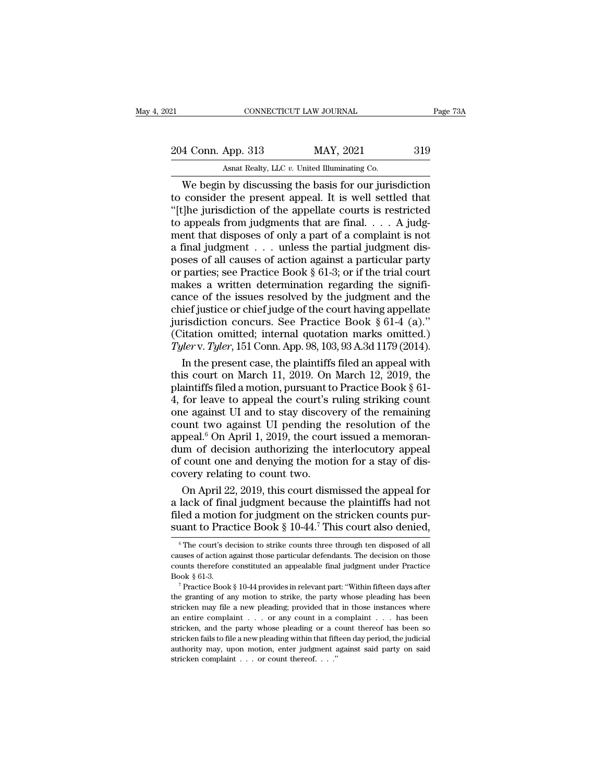21 CONNECTICUT LAW JOURNAL Page 73A<br>204 Conn. App. 313 MAY, 2021 319<br>Asnat Realty, LLC v. United Illuminating Co. CONNECTICUT LAW JOURNAL<br>
204 Conn. App. 313 MAY, 2021 319<br>
Asnat Realty, LLC *v.* United Illuminating Co.<br>
We begin by discussing the basis for our jurisdiction

CONNECTICUT LAW JOURNAL Page 73A<br>
4 Conn. App. 313 MAY, 2021 319<br>
Asnat Realty, LLC v. United Illuminating Co.<br>
We begin by discussing the basis for our jurisdiction<br>
consider the present appeal. It is well settled that<br>
T 204 Conn. App. 313 MAY, 2021 319<br>Asnat Realty, LLC v. United Illuminating Co.<br>We begin by discussing the basis for our jurisdiction<br>to consider the present appeal. It is well settled that<br>"[t]he jurisdiction of the appell 204 Conn. App. 313 MAY, 2021 319<br>Asnat Realty, LLC v. United Illuminating Co.<br>We begin by discussing the basis for our jurisdiction<br>to consider the present appeal. It is well settled that<br>"[t]he jurisdiction of the appell 204 Conn. App. 313 MAY, 2021 319<br>Asnat Realty, LLC v. United Illuminating Co.<br>We begin by discussing the basis for our jurisdiction<br>to consider the present appeal. It is well settled that<br>"[t]he jurisdiction of the appell MENT, 2021 6012 1910<br>
Ment Realty, LLC v. United Illuminating Co.<br>
We begin by discussing the basis for our jurisdiction<br>
to consider the present appeal. It is well settled that<br>
"[t]he jurisdiction of the appellate court Asnat Realty, LLC v. United Illuminating Co.<br>We begin by discussing the basis for our jurisdiction<br>to consider the present appeal. It is well settled that<br>"[t]he jurisdiction of the appellate courts is restricted<br>to appea We begin by discussing the basis for our jurisdiction<br>to consider the present appeal. It is well settled that<br>"[t]he jurisdiction of the appellate courts is restricted<br>to appeals from judgments that are final.... A judg-<br> to consider the present appeal. It is well settled that "[t]he jurisdiction of the appellate courts is restricted to appeals from judgments that are final.... A judgment that disposes of only a part of a complaint is not "[t]he jurisdiction of the appellate courts is restricted<br>to appeals from judgments that are final.  $\ldots$  A judgment that disposes of only a part of a complaint is not<br>a final judgment  $\ldots$  unless the partial judgment di to appeals from judgments that are final. . . . A judgment that disposes of only a part of a complaint is not<br>a final judgment . . . unless the partial judgment dis-<br>poses of all causes of action against a particular part ment that disposes of only a part of a complaint is not<br>a final judgment . . . unless the partial judgment dis-<br>poses of all causes of action against a particular party<br>or parties; see Practice Book § 61-3; or if the tria a final judgment . . . . unless the partial judgment disposes of all causes of action against a particular party<br>or parties; see Practice Book § 61-3; or if the trial court<br>makes a written determination regarding the sign poses of all causes of action against a particular party<br>or parties; see Practice Book § 61-3; or if the trial court<br>makes a written determination regarding the signifi-<br>cance of the issues resolved by the judgment and th For parties; see Practice Book § 61-3; or if the trial court makes a written determination regarding the significance of the issues resolved by the judgment and the chief justice or chief judge of the court having appellat akes a written determination regarding the signifi-<br>nce of the issues resolved by the judgment and the<br>ief justice or chief judge of the court having appellate<br>risdiction concurs. See Practice Book § 61-4 (a)."<br>itation om cance of the issues resolved by the judgment and the chief justice or chief judge of the court having appellate jurisdiction concurs. See Practice Book  $\S 61-4$  (a)." (Citation omitted; internal quotation marks omitted.)

chief justice or chief judge of the court having appellate<br>jurisdiction concurs. See Practice Book § 61-4 (a)."<br>(Citation omitted; internal quotation marks omitted.)<br> $\text{Ty}lerv. \text{Ty}ler$ , 151 Conn. App. 98, 103, 93 A.3d 1179 jurisdiction concurs. See Practice Book § 61-4 (a)."<br>(Citation omitted; internal quotation marks omitted.)<br>
Tyler v. Tyler, 151 Conn. App. 98, 103, 93 A.3d 1179 (2014).<br>
In the present case, the plaintiffs filed an appeal (Citation omitted; internal quotation marks omitted.)<br>
Tyler v. Tyler, 151 Conn. App. 98, 103, 93 A.3d 1179 (2014).<br>
In the present case, the plaintiffs filed an appeal with<br>
this court on March 11, 2019. On March 12, 201 Tyler v. Tyler, 151 Conn. App. 98, 103, 93 A.3d 1179 (2014).<br>
In the present case, the plaintiffs filed an appeal with<br>
this court on March 11, 2019. On March 12, 2019, the<br>
plaintiffs filed a motion, pursuant to Practice In the present case, the plaintiffs filed an appeal with<br>this court on March 11, 2019. On March 12, 2019, the<br>plaintiffs filed a motion, pursuant to Practice Book § 61-<br>4, for leave to appeal the court's ruling striking c this court on March 11, 2019. On March 12, 2019, the plaintiffs filed a motion, pursuant to Practice Book § 61-<br>4, for leave to appeal the court's ruling striking count<br>one against UI and to stay discovery of the remainin plaintiffs filed a motion, pursuant to Practice Book § 61-<br>4, for leave to appeal the court's ruling striking count<br>one against UI and to stay discovery of the remaining<br>count two against UI pending the resolution of the<br>  $\frac{4}{5}$ , for leave to appeal the court's r<br>one against UI and to stay discove<br>count two against UI pending th<br>appeal.<sup>6</sup> On April 1, 2019, the court<br>dum of decision authorizing the i<br>of count one and denying the moti<br>co ie against UI and to stay discovery of the remaining<br>unt two against UI pending the resolution of the<br>peal.<sup>6</sup> On April 1, 2019, the court issued a memoran-<br>im of decision authorizing the interlocutory appeal<br>count one and count two against UI pending the resolution of the<br>appeal.<sup>6</sup> On April 1, 2019, the court issued a memoran-<br>dum of decision authorizing the interlocutory appeal<br>of count one and denying the motion for a stay of dis-<br>cover

appeal.<sup>6</sup> On April 1, 2019, the court issued a memorandum of decision authorizing the interlocutory appeal of count one and denying the motion for a stay of discovery relating to count two.<br>On April 22, 2019, this court dum of decision authorizing the interlocutory appeal<br>of count one and denying the motion for a stay of dis-<br>covery relating to count two.<br>On April 22, 2019, this court dismissed the appeal for<br>a lack of final judgment bec On April 22, 2019, this court dismissed the appeal for lack of final judgment because the plaintiffs had not led a motion for judgment on the stricken counts pur-<br>tant to Practice Book § 10-44.<sup>7</sup> This court also denied, a lack of final judgment because the plaintiffs had not<br>filed a motion for judgment on the stricken counts pur-<br>suant to Practice Book  $\S 10-44$ .<sup>7</sup> This court also denied,<br><sup>6</sup> The court's decision to strike counts three

filed a motion for judgment on the stricken counts pursuant to Practice Book § 10-44.<sup>7</sup> This court also denied,<br>
<sup>®</sup> The court's decision to strike counts three through ten disposed of all causes of action against those suant to Practice Book § 10-44.<sup>7</sup> This court also denied,<br>
<sup>6</sup> The court's decision to strike counts three through ten disposed of all causes of action against those particular defendants. The decision on those counts th  $^\circ$  The court's decision to strike counts three through ten disposed of all causes of action against those particular defendants. The decision on those counts therefore constituted an appealable final judgment under Prac

causes of action against those particular defendants. The decision on those counts therefore constituted an appealable final judgment under Practice Book § 01-3.<br><sup>7</sup> Practice Book § 10-44 provides in relevant part: "Withi counts therefore constituted an appealable final judgment under Practice Book § 61-3.<br>
<sup>7</sup> Practice Book § 10-44 provides in relevant part: "Within fifteen days after the granting of any motion to strike, the party whose Book § 61-3.<br>
<sup>7</sup> Practice Book § 10-44 provides in relevant part: "Within fifteen days after the granting of any motion to strike, the party whose pleading has been stricken may file a new pleading; provided that in thos Book § 61-3.<br>
<sup>7</sup> Practice Book § 10-44 provides in relevant part: "Within fifteen days after<br>
the granting of any motion to strike, the party whose pleading has been<br>
stricken may file a new pleading; provided that in th the granting of any motion to strike, the party whose pleading has been stricken may file a new pleading; provided that in those instances where an entire complaint . . . or any count in a complaint . . . has been so stri stricken may file a new pleading; provided that in those instances where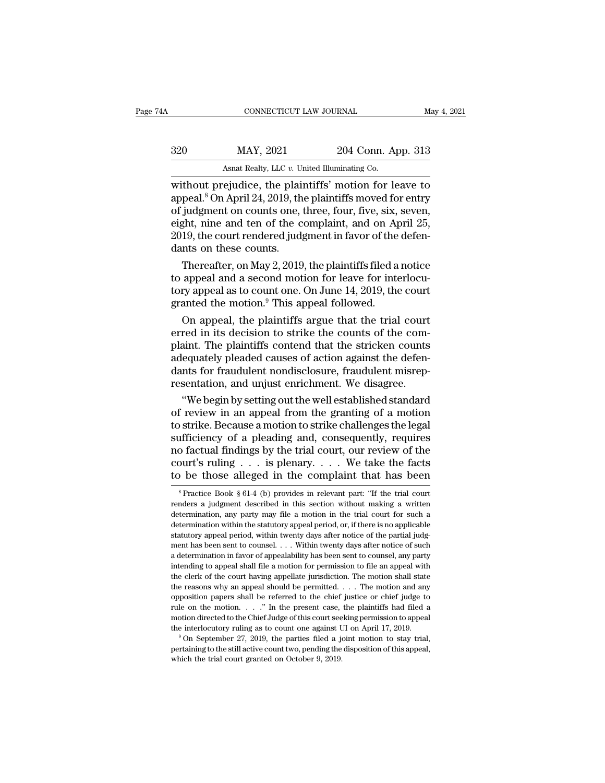| 4A  | CONNECTICUT LAW JOURNAL                               |                    | May 4, 2021 |
|-----|-------------------------------------------------------|--------------------|-------------|
| 320 | MAY, 2021                                             | 204 Conn. App. 313 |             |
|     | Asnat Realty, LLC v. United Illuminating Co.          |                    |             |
|     | without prejudice the plaintiffs' motion for leave to |                    |             |

CONNECTICUT LAW JOURNAL May 4, 2021<br>
204 Conn. App. 313<br>
204 Conn. App. 313<br>
320 MAY, 2021 204 Conn. App. 313<br>
313<br>
204 Conn. App. 313<br>
204 Conn. App. 313<br>
204 Conn. App. 313<br>
204 Conn. App. 313<br>
2010, the plaintiffs' moti 320 MAY, 2021 204 Conn. App. 313<br>Asnat Realty, LLC v. United Illuminating Co.<br>without prejudice, the plaintiffs' motion for leave to<br>appeal.<sup>8</sup> On April 24, 2019, the plaintiffs moved for entry<br>of judgment on counts one, t 320 MAY, 2021 204 Conn. App. 313<br>Asnat Realty, LLC v. United Illuminating Co.<br>without prejudice, the plaintiffs' motion for leave to<br>appeal.<sup>8</sup> On April 24, 2019, the plaintiffs moved for entry<br>of judgment on counts one, 320 MAY, 2021 204 Conn. App. 313<br>Asnat Realty, LLC v. United Illuminating Co.<br>without prejudice, the plaintiffs' motion for leave to<br>appeal.<sup>8</sup> On April 24, 2019, the plaintiffs moved for entry<br>of judgment on counts one, As a Realty, LLC v. United Illuminating Co.<br>
without prejudice, the plaintiffs' motion for leave to<br>
appeal.<sup>8</sup> On April 24, 2019, the plaintiffs moved for entry<br>
of judgment on counts one, three, four, five, six, seven,<br> Ashat Realty, LLC  $v$ . University, LLC  $v$ . University of public appeal.<sup>8</sup> On April 24, 2019, the of judgment on counts one, is eight, nine and ten of the c 2019, the court rendered judgmats on these counts.<br>Thereafter, thout prejudice, the plaintiffs' motion for leave to<br>peal.<sup>8</sup> On April 24, 2019, the plaintiffs moved for entry<br>judgment on counts one, three, four, five, six, seven,<br>ght, nine and ten of the complaint, and on April 25,<br>1 appeal.° On April 24, 2019, the plaintiffs moved for entry<br>of judgment on counts one, three, four, five, six, seven,<br>eight, nine and ten of the complaint, and on April 25,<br>2019, the court rendered judgment in favor of the

of judgment on counts one, three, four, five, six, seven,<br>eight, nine and ten of the complaint, and on April 25,<br>2019, the court rendered judgment in favor of the defen-<br>dants on these counts.<br>Thereafter, on May 2, 2019, t eight, nine and ten of the complaint, and on Ap<br>2019, the court rendered judgment in favor of the<br>dants on these counts.<br>Thereafter, on May 2, 2019, the plaintiffs filed a<br>to appeal and a second motion for leave for inte<br>t The contributed and a second matter in the plaintiffs filed a notice<br>appeal and a second motion for leave for interlocu-<br>ry appeal as to count one. On June 14, 2019, the court<br>anted the motion.<sup>9</sup> This appeal followed.<br>On Thereafter, on May 2, 2019, the plaintiffs filed a notice<br>to appeal and a second motion for leave for interlocu-<br>tory appeal as to count one. On June 14, 2019, the court<br>granted the motion.<sup>9</sup> This appeal followed.<br>On app

Thereafter, on May 2, 2019, the plaintiffs filed a notice<br>to appeal and a second motion for leave for interlocu-<br>tory appeal as to count one. On June 14, 2019, the court<br>granted the motion.<sup>9</sup> This appeal followed.<br>On app to appeal and a second motion for leave for interlocutory appeal as to count one. On June 14, 2019, the court granted the motion.<sup>9</sup> This appeal followed.<br>On appeal, the plaintiffs argue that the trial court erred in its d tory appeal as to count one. On June 14, 2019, the court<br>granted the motion.<sup>9</sup> This appeal followed.<br>On appeal, the plaintiffs argue that the trial court<br>erred in its decision to strike the counts of the com-<br>plaint. The granted the motion." This appeal followed.<br>
On appeal, the plaintiffs argue that the trial court<br>
erred in its decision to strike the counts of the com-<br>
plaint. The plaintiffs contend that the stricken counts<br>
adequately On appeal, the plaintiffs argue that the trial court<br>red in its decision to strike the counts of the com-<br>aint. The plaintiffs contend that the stricken counts<br>equately pleaded causes of action against the defen-<br>nts for f erred in its decision to strike the counts of the com-<br>plaint. The plaintiffs contend that the stricken counts<br>adequately pleaded causes of action against the defen-<br>dants for fraudulent nondisclosure, fraudulent misrep-<br>r

plaint. The plaintiffs contend that the stricken counts<br>adequately pleaded causes of action against the defen-<br>dants for fraudulent nondisclosure, fraudulent misrep-<br>resentation, and unjust enrichment. We disagree.<br>"We beg adequately pleaded causes of action against the defen-<br>dants for fraudulent nondisclosure, fraudulent misrep-<br>resentation, and unjust enrichment. We disagree.<br>"We begin by setting out the well established standard<br>of revie dants for fraudulent nondisclosure, fraudulent misrep-<br>resentation, and unjust enrichment. We disagree.<br>"We begin by setting out the well established standard<br>of review in an appeal from the granting of a motion<br>to strike. resentation, and unjust enrichment. We disagree.<br>
"We begin by setting out the well established standard<br>
of review in an appeal from the granting of a motion<br>
to strike. Because a motion to strike challenges the legal<br>
su "We begin by setting out the well established standard<br>of review in an appeal from the granting of a motion<br>to strike. Because a motion to strike challenges the legal<br>sufficiency of a pleading and, consequently, requires<br> fificiency of a pleading and, consequently, requires<br>o factual findings by the trial court, our review of the<br>ourt's ruling . . . is plenary. . . . We take the facts<br>be those alleged in the complaint that has been<br> ${}^8$ Pr renders a judgment described in the complaint that has been obthose alleged in the complaint that has been  $\frac{1}{2}$   $\frac{1}{2}$   $\frac{1}{2}$   $\frac{1}{2}$   $\frac{1}{2}$   $\frac{1}{2}$   $\frac{1}{2}$   $\frac{1}{2}$   $\frac{1}{2}$   $\frac{1}{2}$   $\frac{1}{2}$   $\frac{$ 

court's ruling . . . is plenary. . . . We take the facts<br>to be those alleged in the complaint that has been<br> $\frac{}{\text{{}s\text{}Fraction}}$   $\frac{}{\text{...}}$   $\frac{}{\text{...}}$   $\frac{}{\text{...}}$   $\frac{}{\text{...}}$   $\frac{}{\text{...}}$   $\frac{}{\text{...}}$   $\frac{}{\text{...}}$   $\frac{}{\text{...}}$   $\frac{}{\text{$ to be those alleged in the complaint that has been<br>specified with the status without all all our periods of  $\frac{1}{2}$  and  $\frac{1}{2}$  and  $\frac{1}{2}$  and  $\frac{1}{2}$  and  $\frac{1}{2}$  and  $\frac{1}{2}$  are interesting a written determi renders a judgment described in this section without making a written determination, any party may file a motion in the trial court for such a determination within the statutory appeal period, or, if there is no applicabl <sup>8</sup> Practice Book § 61-4 (b) provides in relevant part: "If the trial court renders a judgment described in this section without making a written determination, any party may file a motion in the trial court for such a de renders a judgment described in this section without making a written determination, any party may file a motion in the trial court for such a determination within the statutory appeal period, or, if there is no applicabl determination, any party may file a motion in the trial court for such a determination within the statutory appeal period, or, if there is no applicable statutory appeal period, within twenty days after notice of the parti determination within the statutory appeal period, or, if there is no applicable statutory appeal period, within twenty days after notice of the partial judgment has been sent to counsel. . . . Within twenty days after noti statutory appeal period, within twenty days after notice of the partial judgment has been sent to counsel. . . . Within twenty days after notice of such a determination in favor of appealability has been sent to counsel, a ment has been sent to counsel. . . . Within twenty days after notice of such a determination in favor of appealability has been sent to counsel, any party intending to appeal shall file a motion for permission to file an rule on the motion. . . .'' In the present case, the plaintiffs had filed a intending to appeal shall file a motion for permission to file an appeal with the clerk of the court having appellate jurisdiction. The motion shall state the reasons why an appeal should be permitted. . . . The motion an the clerk of the court having appellate jurisdiction. The motion shall state the reasons why an appeal should be permitted.  $\ldots$  The motion and any opposition papers shall be referred to the chief justice or chief judge % opposition papers shall be referred to the chief justice or chief judge to rule on the motion. . . ." In the present case, the plaintiffs had filed a motion directed to the Chief Judge of this court seeking permission t rule on the motion. . . ." In the present case, the plaintiffs had filed a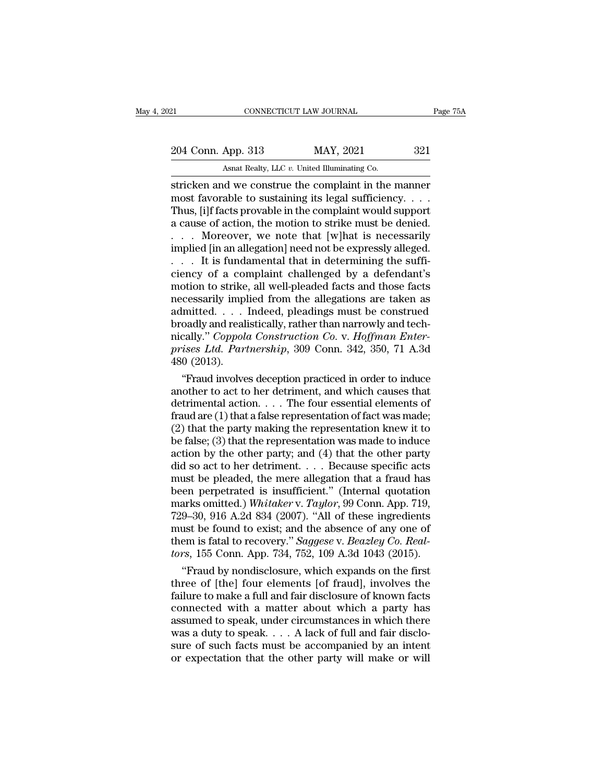CONNECTICUT LAW JOURNAL<br>
204 Conn. App. 313 MAY, 2021 321<br>
Asnat Realty, LLC *v.* United Illuminating Co.<br>
stricken and we construe the complaint in the manner EREAN CONNECTICUT LAW JOURNAL Page 75A<br>
204 Conn. App. 313 MAY, 2021 321<br>
Asnat Realty, LLC v. United Illuminating Co.<br>
Stricken and we construe the complaint in the manner<br>
most favorable to sustaining its legal sufficien 204 Conn. App. 313 MAY, 2021 321<br>Asnat Realty, LLC v. United Illuminating Co.<br>Stricken and we construe the complaint in the manner<br>most favorable to sustaining its legal sufficiency. . . .<br>Thus, [i]f facts provable in the 204 Conn. App. 313 MAY, 2021 321<br>Asnat Realty, LLC v. United Illuminating Co.<br>stricken and we construe the complaint in the manner<br>most favorable to sustaining its legal sufficiency....<br>Thus, [i]f facts provable in the co 204 Conn. App. 313 MAY, 2021 321<br>Asnat Realty, LLC v. United Illuminating Co.<br>stricken and we construe the complaint in the manner<br>most favorable to sustaining its legal sufficiency....<br>Thus, [i]f facts provable in the co As a Realty, LLC v. United Illuminating Co.<br>
stricken and we construe the complaint in the manner<br>
most favorable to sustaining its legal sufficiency. . . .<br>
Thus, [i]f facts provable in the complaint would support<br>
a cau Asnat Realty, LLC v. United Illuminating Co.<br>
stricken and we construe the complaint in the manner<br>
most favorable to sustaining its legal sufficiency....<br>
Thus, [i]f facts provable in the complaint would support<br>
a cause stricken and we construe the complaint in the manner<br>most favorable to sustaining its legal sufficiency. . . . Thus, [i]f facts provable in the complaint would support<br>a cause of action, the motion to strike must be denie most favorable to sustaining its legal sufficiency. . . . Thus, [i]f facts provable in the complaint would support<br>a cause of action, the motion to strike must be denied.<br>. . . . Moreover, we note that [w]hat is necessari Thus, [i]f facts provable in the complaint would support<br>
a cause of action, the motion to strike must be denied.<br>  $\dots$  Moreover, we note that [w]hat is necessarily<br>
implied [in an allegation] need not be expressly allege a cause of action, the motion to strike must be denied.<br>
. . . . Moreover, we note that [w]hat is necessarily<br>
implied [in an allegation] need not be expressly alleged.<br>
. . . It is fundamental that in determining the suff . . . . Moreover, we note that [w]hat is necessarily<br>implied [in an allegation] need not be expressly alleged.<br>. . . . It is fundamental that in determining the suffi-<br>ciency of a complaint challenged by a defendant's<br>mot implied [in an allegation] need not be expressly alleged.<br>
. . . . It is fundamental that in determining the sufficiency of a complaint challenged by a defendant's<br>
motion to strike, all well-pleaded facts and those facts It is fundamental that in determining the sufficiency of a complaint challenged by a defendant's<br>motion to strike, all well-pleaded facts and those facts<br>necessarily implied from the allegations are taken as<br>admitted. . . ciency of a complaint challenged by a defendant's<br>motion to strike, all well-pleaded facts and those facts<br>necessarily implied from the allegations are taken as<br>admitted. . . . Indeed, pleadings must be construed<br>broadly a motion to strike<br>necessarily impl<br>admitted. . . .<br>broadly and reali<br>nically." *Coppola*<br>prises Ltd. Part<br>480 (2013).<br>"Fraud involve cessarily implied from the allegations are taken as<br>
limitted.... Indeed, pleadings must be construed<br>
oadly and realistically, rather than narrowly and tech-<br>
cally." *Coppola Construction Co.* v. *Hoffman Enter-<br>
ises L* admitted. . . . . Indeed, pleadings must be construed<br>broadly and realistically, rather than narrowly and tech-<br>nically." *Coppola Construction Co.* v. *Hoffman Enter-*<br>prises Ltd. Partnership, 309 Conn. 342, 350, 71 A.3d

broadly and realistically, rather than narrowly and tech-<br>nically." *Coppola Construction Co.* v. *Hoffman Enter-*<br>prises *Ltd. Partnership*, 309 Conn. 342, 350, 71 A.3d<br>480 (2013).<br>"Fraud involves deception practiced in mically." Coppola Construction Co. v. Hoffman Enter-<br>prises Ltd. Partnership, 309 Conn. 342, 350, 71 A.3d<br>480 (2013).<br>"Fraud involves deception practiced in order to induce<br>another to act to her detriment, and which causes prises Ltd. Partnership, 309 Conn. 342, 350, 71 A.3d<br>480 (2013).<br>"Fraud involves deception practiced in order to induce<br>another to act to her detriment, and which causes that<br>detrimental action.... The four essential elem 480 (2013).<br>
"Fraud involves deception practiced in order to induce<br>
another to act to her detriment, and which causes that<br>
detrimental action.... The four essential elements of<br>
fraud are (1) that a false representation "Fraud involves deception practiced in order to induce<br>another to act to her detriment, and which causes that<br>detrimental action.... The four essential elements of<br>fraud are (1) that a false representation of fact was mad another to act to her detriment, and which causes that<br>detrimental action. . . . The four essential elements of<br>fraud are (1) that a false representation of fact was made;<br>(2) that the party making the representation knew detrimental action. . . . The four essential elements of<br>fraud are (1) that a false representation of fact was made;<br>(2) that the party making the representation knew it to<br>be false; (3) that the representation was made t fraud are (1) that a false representation of fact was made;<br>
(2) that the party making the representation knew it to<br>
be false; (3) that the representation was made to induce<br>
action by the other party; and (4) that the o (2) that the party making the representation knew it to be false; (3) that the representation was made to induce action by the other party; and (4) that the other party did so act to her detriment.  $\ldots$  Because specific be false; (3) that the representation was made to induce<br>action by the other party; and (4) that the other party<br>did so act to her detriment.... Because specific acts<br>must be pleaded, the mere allegation that a fraud has<br> action by the other party; and (4) that the other party<br>did so act to her detriment.... Because specific acts<br>must be pleaded, the mere allegation that a fraud has<br>been perpetrated is insufficient." (Internal quotation<br>ma did so act to her detriment. . . . Because specific acts<br>must be pleaded, the mere allegation that a fraud has<br>been perpetrated is insufficient." (Internal quotation<br>marks omitted.) *Whitaker* v. *Taylor*, 99 Conn. App. 71 must be pleaded, the mere allegation that a fraud has<br>been perpetrated is insufficient." (Internal quotation<br>marks omitted.) *Whitaker* v. *Taylor*, 99 Conn. App. 719,<br>729–30, 916 A.2d 834 (2007). "All of these ingredients en perpetrated is insufficient." (Internal quotation<br>arks omitted.) *Whitaker v. Taylor*, 99 Conn. App. 719,<br>9–30, 916 A.2d 834 (2007). "All of these ingredients<br>ust be found to exist; and the absence of any one of<br>em is marks omitted.) Whitaker v. Taylor, 99 Conn. App. 719,<br>729–30, 916 A.2d 834 (2007). "All of these ingredients<br>must be found to exist; and the absence of any one of<br>them is fatal to recovery." Saggese v. Beazley Co. Real-<br>

729–30, 916 A.2d 834 (2007). "All of these ingredients<br>must be found to exist; and the absence of any one of<br>them is fatal to recovery." *Saggese* v. *Beazley Co. Real-*<br>tors, 155 Conn. App. 734, 752, 109 A.3d 1043 (2015) must be found to exist; and the absence of any one of<br>them is fatal to recovery." Saggese v. Beazley Co. Real-<br>tors, 155 Conn. App. 734, 752, 109 A.3d 1043 (2015).<br>"Fraud by nondisclosure, which expands on the first<br>three them is fatal to recovery." Saggese v. Beazley Co. Real-<br>tors, 155 Conn. App. 734, 752, 109 A.3d 1043 (2015).<br>
"Fraud by nondisclosure, which expands on the first<br>three of [the] four elements [of fraud], involves the<br>fail tors, 155 Conn. App. 734, 752, 109 A.3d 1043 (2015).<br>
"Fraud by nondisclosure, which expands on the first<br>
three of [the] four elements [of fraud], involves the<br>
failure to make a full and fair disclosure of known facts<br> "Fraud by nondisclosure, which expands on the first<br>three of [the] four elements [of fraud], involves the<br>failure to make a full and fair disclosure of known facts<br>connected with a matter about which a party has<br>assumed t three of [the] four elements [of fraud], involves the failure to make a full and fair disclosure of known facts connected with a matter about which a party has assumed to speak, under circumstances in which there was a dut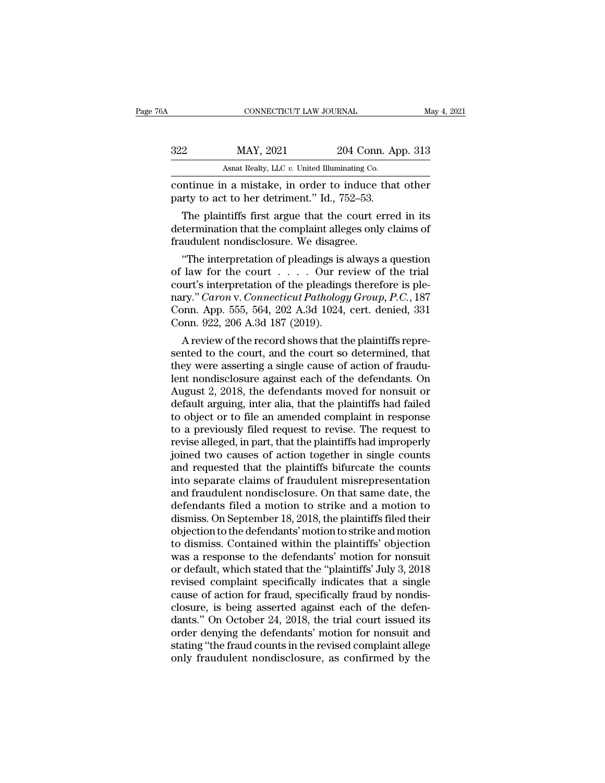| 76A |                                              | CONNECTICUT LAW JOURNAL                                                                              |                    | May 4, 2021 |  |
|-----|----------------------------------------------|------------------------------------------------------------------------------------------------------|--------------------|-------------|--|
|     | 322                                          | MAY, 2021                                                                                            | 204 Conn. App. 313 |             |  |
|     | Asnat Realty, LLC v. United Illuminating Co. |                                                                                                      |                    |             |  |
|     |                                              | continue in a mistake, in order to induce that other<br>party to act to her detriment." Id., 752–53. |                    |             |  |
|     |                                              | The plaintiffs first argue that the court erred in its                                               |                    |             |  |

MAY, 2021 204 Conn. App. 313<br>Asnat Realty, LLC v. United Illuminating Co.<br>The plaintiffs first argue that the court erred in its<br>termination that the complaint alleges only claims of<br>audulont pondisclosure. We discare  $\frac{\text{max}}{\text{Rank} \text{Rely, LLC } v. \text{ United Illuminating Co.}}$ <br>
continue in a mistake, in order to induce that other<br>
party to act to her detriment." Id., 752–53.<br>
The plaintiffs first argue that the court erred in its<br>
determination that the compla Fraudulent nondisclosure. We disagree.<br>
Solution a mistake, in order to induce the party to act to her detriment." Id., 752–53.<br>
The plaintiffs first argue that the court explement determination that the complaint alleges ntinue in a mistake, in order to induce that other<br>
rty to act to her detriment." Id., 752–53.<br>
The plaintiffs first argue that the court erred in its<br>
termination that the complaint alleges only claims of<br>
undulent nondi

party to act to her detriment." Id., 752–53.<br>
The plaintiffs first argue that the court erred in its<br>
determination that the complaint alleges only claims of<br>
fraudulent nondisclosure. We disagree.<br>
"The interpretation of The plaintiffs first argue that the court erred in its<br>determination that the complaint alleges only claims of<br>fraudulent nondisclosure. We disagree.<br>"The interpretation of pleadings is always a question<br>of law for the co Ine plaintiffs first argue that the court erred in its<br>determination that the complaint alleges only claims of<br>fraudulent nondisclosure. We disagree.<br>"The interpretation of pleadings is always a question<br>of law for the cou determination that the complaint alleges only claims of<br>fraudulent nondisclosure. We disagree.<br>"The interpretation of pleadings is always a question<br>of law for the court . . . . Our review of the trial<br>court's interpretati Traudulent nondisclosure. We disagre<br>
"The interpretation of pleadings is<br>
of law for the court  $\ldots$ . Our re<br>
court's interpretation of the pleading<br>
nary." *Caron* v. *Connecticut Patholog*<br>
Conn. App. 555, 564, 202 A.3 The interpretation of pleadings is always a question<br>law for the court . . . . . Our review of the trial<br>urt's interpretation of the pleadings therefore is ple-<br>ry." *Caron* v. *Connecticut Pathology Group*, *P.C.*, 187<br>p or law for the court  $\ldots$  and the pleadings therefore is ple-<br>nary." *Caron v. Connecticut Pathology Group, P.C.*, 187<br>Conn. App. 555, 564, 202 A.3d 1024, cert. denied, 331<br>Conn. 922, 206 A.3d 187 (2019).<br>A review of the

court s interpretation of the pleadings therefore is ple-<br>nary." *Caron* v. *Connecticut Pathology Group, P.C.*, 187<br>Conn. App. 555, 564, 202 A.3d 1024, cert. denied, 331<br>Conn. 922, 206 A.3d 187 (2019).<br>A review of the re hary. Caron v. Connecticut Pathology Group, P.C., 187<br>Conn. App. 555, 564, 202 A.3d 1024, cert. denied, 331<br>Conn. 922, 206 A.3d 187 (2019).<br>A review of the record shows that the plaintiffs repre-<br>sented to the court, and t Conn. App. 555, 564, 202 A.3d 1024, cert. denied, 351<br>Conn. 922, 206 A.3d 187 (2019).<br>A review of the record shows that the plaintiffs repre-<br>sented to the court, and the court so determined, that<br>they were asserting a sin Conn. 922, 206 A.3d 187 (2019).<br>
A review of the record shows that the plaintiffs represented to the court, and the court so determined, that<br>
they were asserting a single cause of action of fraudu-<br>
lent nondisclosure ag A review of the record shows that the plaintiffs represented to the court, and the court so determined, that<br>they were asserting a single cause of action of fraudu-<br>lent nondisclosure against each of the defendants. On<br>Aug sented to the court, and the court so determined, that<br>they were asserting a single cause of action of fraudu-<br>lent nondisclosure against each of the defendants. On<br>August 2, 2018, the defendants moved for nonsuit or<br>defau they were asserting a single cause of action of fraudulent nondisclosure against each of the defendants. On August 2, 2018, the defendants moved for nonsuit or default arguing, inter alia, that the plaintiffs had failed to lent nondisclosure against each of the defendants. On<br>August 2, 2018, the defendants moved for nonsuit or<br>default arguing, inter alia, that the plaintiffs had failed<br>to object or to file an amended complaint in response<br>to August 2, 2018, the defendants moved for nonsuit or<br>default arguing, inter alia, that the plaintiffs had failed<br>to object or to file an amended complaint in response<br>to a previously filed request to revise. The request to<br> default arguing, inter alia, that the plaintiffs had failed<br>to object or to file an amended complaint in response<br>to a previously filed request to revise. The request to<br>revise alleged, in part, that the plaintiffs had imp to object or to file an amended complaint in response<br>to a previously filed request to revise. The request to<br>revise alleged, in part, that the plaintiffs had improperly<br>joined two causes of action together in single count to a previously filed request to revise. The request to<br>revise alleged, in part, that the plaintiffs had improperly<br>joined two causes of action together in single counts<br>and requested that the plaintiffs bifurcate the coun revise alleged, in part, that the plaintiffs had improperly<br>joined two causes of action together in single counts<br>and requested that the plaintiffs bifurcate the counts<br>into separate claims of fraudulent misrepresentation<br> joined two causes of action together in single counts<br>and requested that the plaintiffs bifurcate the counts<br>into separate claims of fraudulent misrepresentation<br>and fraudulent nondisclosure. On that same date, the<br>defenda and requested that the plaintiffs bifurcate the counts<br>into separate claims of fraudulent misrepresentation<br>and fraudulent nondisclosure. On that same date, the<br>defendants filed a motion to strike and a motion to<br>dismiss. into separate claims of fraudulent misrepresentation<br>and fraudulent nondisclosure. On that same date, the<br>defendants filed a motion to strike and a motion to<br>dismiss. On September 18, 2018, the plaintiffs filed their<br>objec and fraudulent nondisclosure. On that same date, the<br>defendants filed a motion to strike and a motion to<br>dismiss. On September 18, 2018, the plaintiffs filed their<br>objection to the defendants' motion to strike and motion<br>t defendants filed a motion to strike and a motion to<br>dismiss. On September 18, 2018, the plaintiffs filed their<br>objection to the defendants' motion to strike and motion<br>to dismiss. Contained within the plaintiffs' objection dismiss. On September 18, 2018, the plaintiffs filed their<br>objection to the defendants' motion to strike and motion<br>to dismiss. Contained within the plaintiffs' objection<br>was a response to the defendants' motion for nonsui objection to the defendants' motion to strike and motion<br>to dismiss. Contained within the plaintiffs' objection<br>was a response to the defendants' motion for nonsuit<br>or default, which stated that the "plaintiffs' July 3, 20 to dismiss. Contained within the plaintiffs' objection<br>was a response to the defendants' motion for nonsuit<br>or default, which stated that the "plaintiffs' July 3, 2018<br>revised complaint specifically indicates that a single was a response to the defendants' motion for nonsuit<br>or default, which stated that the "plaintiffs' July 3, 2018<br>revised complaint specifically indicates that a single<br>cause of action for fraud, specifically fraud by nondi or default, which stated that the "plaintiffs' July 3, 2018<br>revised complaint specifically indicates that a single<br>cause of action for fraud, specifically fraud by nondis-<br>closure, is being asserted against each of the def revised complaint specifically indicates that a single cause of action for fraud, specifically fraud by nondisclosure, is being asserted against each of the defendants." On October 24, 2018, the trial court issued its orde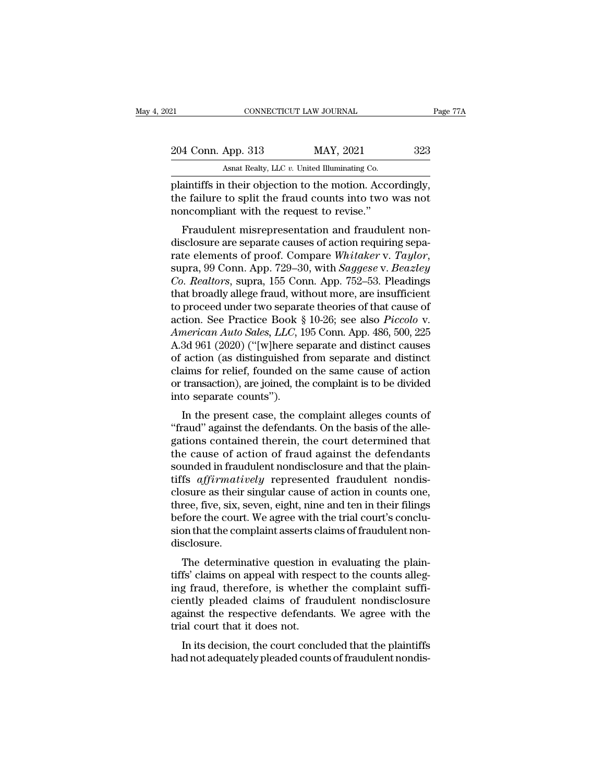| 12                 | CONNECTICUT LAW JOURNAL                                  | Page 77A |
|--------------------|----------------------------------------------------------|----------|
| 204 Conn. App. 313 | MAY, 2021                                                | 323      |
|                    | Asnat Realty, LLC $v$ . United Illuminating Co.          |          |
|                    | plaintiffs in their objection to the motion. Accordingly |          |

Planet Connect Connect Connect Connect Connect Connect Connect Connect Connect Connect Connect Connect Connect Connect Connect Connect Connect Connect Connect Connect Connect Connect Connect Connect Connect Connect Connect 204 Conn. App. 313 MAY, 2021 323<br>Asnat Realty, LLC v. United Illuminating Co.<br>plaintiffs in their objection to the motion. Accordingly,<br>the failure to split the fraud counts into two was not<br>noncompliant with the request t 204 Conn. App. 313 MAY, 2021<br>Asnat Realty, LLC v. United Illuminating Co.<br>plaintiffs in their objection to the motion. Accordine failure to split the fraud counts into two<br>noncompliant with the request to revise.''<br>Fraudul  $\frac{4 \text{ Conn. App. 313}}{4 \text{ Sant } \text{Realty, LLC } v.}$  United Illuminating Co.<br>  $\frac{4 \text{ Saintiffs}}{2 \text{ in } \text{ their object}}$  objection to the motion. Accordingly,<br>  $\frac{4 \text{ failure to split the fraud counts into two was not}\n sclosure are separate causes of action requiring sepa-  
 the elements of proof. Compare *Whidker V. Taulor*$ 

Asnat Realty, LLC  $v$ . United Illuminating Co.<br>
plaintiffs in their objection to the motion. Accordingly,<br>
the failure to split the fraud counts into two was not<br>
noncompliant with the request to revise."<br>
Fraudulent misr plaintiffs in their objection to the motion. Accordingly,<br>the failure to split the fraud counts into two was not<br>noncompliant with the request to revise."<br>Fraudulent misrepresentation and fraudulent non-<br>disclosure are sep real the rande to spin the riadic counts into two was not<br>
moncompliant with the request to revise."<br>
Fraudulent misrepresentation and fraudulent non-<br>
disclosure are separate causes of action requiring separate<br>
elements Fraudulent misrepresentation and fraudulent non-<br>disclosure are separate causes of action requiring separate elements of proof. Compare *Whitaker v. Taylor*,<br>supra, 99 Conn. App. 729–30, with *Saggese v. Beazley*<br>*Co. Rea* Fraudulent misrepresentation and fraudulent non-<br>disclosure are separate causes of action requiring sepa-<br>rate elements of proof. Compare *Whitaker v. Taylor*,<br>supra, 99 Conn. App. 729–30, with *Saggese v. Beazley*<br>*Co. R* disclosure are separate causes of action requiring separate elements of proof. Compare Whitaker v. Taylor, supra, 99 Conn. App. 729–30, with *Saggese v. Beazley Co. Realtors*, supra, 155 Conn. App. 752–53. Pleadings that rate elements of proof. Compare Whitaker v. *Taylor*,<br>
supra, 99 Conn. App. 729–30, with *Saggese* v. *Beazley*<br> *Co. Realtors*, supra, 155 Conn. App. 752–53. Pleadings<br>
that broadly allege fraud, without more, are insuffi supra, 99 Conn. App. 729–30, with *Saggese* v. *Beazley*<br>Co. *Realtors*, supra, 155 Conn. App. 752–53. Pleadings<br>that broadly allege fraud, without more, are insufficient<br>to proceed under two separate theories of that caus Co. Realtors, supra, 155 Conn. App. 752–53. Pleadings<br>that broadly allege fraud, without more, are insufficient<br>to proceed under two separate theories of that cause of<br>action. See Practice Book § 10-26; see also *Piccolo* that broadly allege fraud, without more, are insufficient<br>to proceed under two separate theories of that cause of<br>action. See Practice Book § 10-26; see also *Piccolo* v.<br>American Auto Sales, LLC, 195 Conn. App. 486, 500, to proceed under two separate theories of that cause of<br>action. See Practice Book § 10-26; see also *Piccolo* v.<br>American Auto Sales, LLC, 195 Conn. App. 486, 500, 225<br>A.3d 961 (2020) ("[w]here separate and distinct causes action. See Practice Book §<br>American Auto Sales, LLC, 1<br>A.3d 961 (2020) ("[w]here se<br>of action (as distinguished 1<br>claims for relief, founded or<br>or transaction), are joined, th<br>into separate counts").<br>In the present case, In the present case, the complaint alleges counts of and distinct causes action (as distinguished from separate and distinct alleges for relief, founded on the same cause of action transaction), are joined, the complaint i A.5d 301 (2020) ( [w]nere separate and distinct causes<br>of action (as distinguished from separate and distinct<br>claims for relief, founded on the same cause of action<br>or transaction), are joined, the complaint is to be divi

of action (as usunguished from separate and ulsunct<br>claims for relief, founded on the same cause of action<br>or transaction), are joined, the complaint is to be divided<br>into separate counts").<br>In the present case, the compla claims for Fener, founded on the same cause of action<br>or transaction), are joined, the complaint is to be divided<br>into separate counts").<br>In the present case, the complaint alleges counts of<br>"fraud" against the defendants. or transaction), are joined, the complaint is to be divided<br>into separate counts").<br>The the present case, the complaint alleges counts of<br>"fraud" against the defendants. On the basis of the alle-<br>gations contained therein, In the present case, the complaint alleges counts of<br>
"fraud" against the defendants. On the basis of the alle-<br>
gations contained therein, the court determined that<br>
the cause of action of fraud against the defendants<br>
so In the present case, the complaint alleges counts of "fraud" against the defendants. On the basis of the allegations contained therein, the court determined that the cause of action of fraud against the defendants sounded "fraud" against the defendants. On the basis of the allegations contained therein, the court determined that<br>the cause of action of fraud against the defendants<br>sounded in fraudulent nondisclosure and that the plain-<br>tiff gations contained therein, the court determined that<br>the cause of action of fraud against the defendants<br>sounded in fraudulent nondisclosure and that the plain-<br>tiffs *affirmatively* represented fraudulent nondis-<br>closure the cause of action of fraud against the defendants<br>sounded in fraudulent nondisclosure and that the plain-<br>tiffs *affirmatively* represented fraudulent nondis-<br>closure as their singular cause of action in counts one,<br>thre disclosure. Is afformatively Tepresented Tradition in counts one,<br>ree, five, six, seven, eight, nine and ten in their filings<br>fore the court. We agree with the trial court's conclu-<br>on that the complaint asserts claims of fraudulent n three, five, six, seven, eight, nine and ten in their filings<br>before the court. We agree with the trial court's conclu-<br>sion that the complaint asserts claims of fraudulent non-<br>disclosure.<br>The determinative question in ev

three, ive, six, seven, eight, three and ten in their images<br>before the court. We agree with the trial court's conclu-<br>sion that the complaint asserts claims of fraudulent non-<br>disclosure.<br>The determinative question in eva before the court. We agree with the trial court's conclusion that the complaint asserts claims of fraudulent non-<br>disclosure.<br>The determinative question in evaluating the plain-<br>tiffs' claims on appeal with respect to the sion that the complaint asserts claims of fraudulent hon-<br>disclosure.<br>The determinative question in evaluating the plain-<br>tiffs' claims on appeal with respect to the counts alleg-<br>ing fraud, therefore, is whether the compl The determinative question in<br>tiffs' claims on appeal with respo<br>ing fraud, therefore, is whethe<br>ciently pleaded claims of frau<br>against the respective defendan<br>trial court that it does not.<br>In its decision, the court concl The determinative question in evaluating the plant-<br>fs' claims on appeal with respect to the counts alleg-<br>g fraud, therefore, is whether the complaint suffi-<br>ently pleaded claims of fraudulent nondisclosure<br>ainst the resp this chains on appear what respect to the counts alreating fraud, therefore, is whether the complaint sufficiently pleaded claims of fraudulent nondisclosure against the respective defendants. We agree with the trial court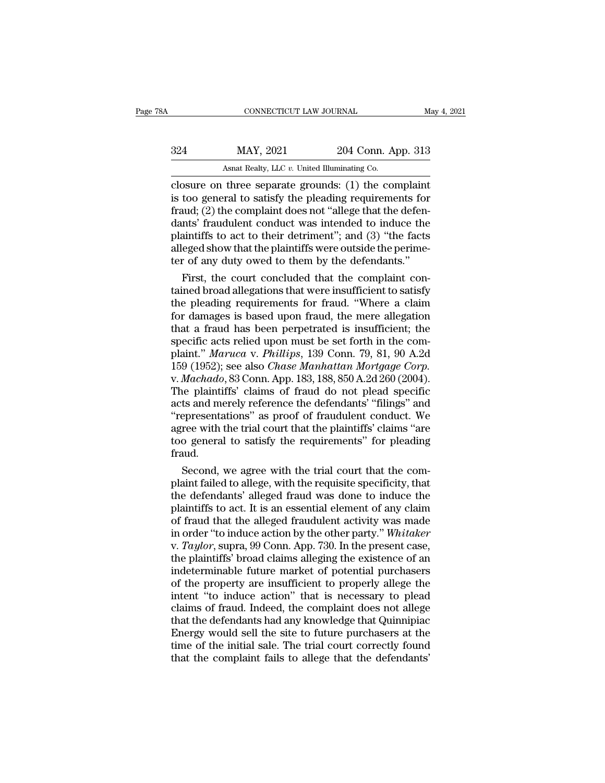| CONNECTICUT LAW JOURNAL<br>May 4, 2021                 |
|--------------------------------------------------------|
| 204 Conn. App. 313                                     |
| Asnat Realty, LLC v. United Illuminating Co.           |
| closure on three separate grounds: $(1)$ the complaint |

connectricut LAW JOURNAL May 4, 202<br>
324 MAY, 2021 204 Conn. App. 313<br>
4 Asnat Realty, LLC v. United Illuminating Co.<br>
closure on three separate grounds: (1) the complaint<br>
is too general to satisfy the pleading requiremen 324 MAY, 2021 204 Conn. App. 313<br>Asnat Realty, LLC v. United Illuminating Co.<br>Closure on three separate grounds: (1) the complaint<br>is too general to satisfy the pleading requirements for<br>fraud; (2) the complaint does not "  $\frac{\text{324}}{\text{444444}}$  MAY, 2021 204 Conn. App. 313<br>Asnat Realty, LLC v. United Illuminating Co.<br>Closure on three separate grounds: (1) the complaint<br>is too general to satisfy the pleading requirements for<br>fraud; (2) the c  $\frac{\text{MAY, 2021}}{\text{Asnat } \text{Realty, LLC } v. \text{ United Illuminating Co.}}$ <br>
closure on three separate grounds: (1) the complaint<br>
is too general to satisfy the pleading requirements for<br>
fraud; (2) the complaint does not "allege that the defen-<br>
dants' As a Realty, LLC v. United Illuminating Co.<br>
closure on three separate grounds: (1) the complaint<br>
is too general to satisfy the pleading requirements for<br>
fraud; (2) the complaint does not "allege that the defen-<br>
dants' As a Realty, LLC v. United Illuminating Co.<br>
closure on three separate grounds: (1) the complaint<br>
is too general to satisfy the pleading requirements for<br>
fraud; (2) the complaint does not "allege that the defen-<br>
dants' closure on three separate grounds: (1) the complaint<br>is too general to satisfy the pleading requirements for<br>fraud; (2) the complaint does not "allege that the defen-<br>dants' fraudulent conduct was intended to induce the<br>p too general to satisfy the pleading requirements for<br>
uud; (2) the complaint does not "allege that the defen-<br>
nts' fraudulent conduct was intended to induce the<br>
initiffs to act to their detriment"; and (3) "the facts<br>
e fraud; (2) the complaint does not "allege that the defen-<br>dants' fraudulent conduct was intended to induce the<br>plaintiffs to act to their detriment"; and (3) "the facts<br>alleged show that the plaintiffs were outside the pe

dants' fraudulent conduct was intended to induce the<br>plaintiffs to act to their detriment"; and (3) "the facts<br>alleged show that the plaintiffs were outside the perime-<br>ter of any duty owed to them by the defendants."<br>Firs plaintiffs to act to their detriment"; and (3) "the facts<br>alleged show that the plaintiffs were outside the perime-<br>ter of any duty owed to them by the defendants."<br>First, the court concluded that the complaint con-<br>tained alleged show that the plaintiffs were outside the perimeter of any duty owed to them by the defendants."<br>First, the court concluded that the complaint con-<br>tained broad allegations that were insufficient to satisfy<br>the ple ter of any duty owed to them by the defendants."<br>First, the court concluded that the complaint con-<br>tained broad allegations that were insufficient to satisfy<br>the pleading requirements for fraud. "Where a claim<br>for damage First, the court concluded that the complaint contained broad allegations that were insufficient to satisfy the pleading requirements for fraud. "Where a claim for damages is based upon fraud, the mere allegation that a fr tained broad allegations that were insufficient to satisfy<br>the pleading requirements for fraud. "Where a claim<br>for damages is based upon fraud, the mere allegation<br>that a fraud has been perpetrated is insufficient; the<br>spe the pleading requirements for fraud. "Where a claim<br>for damages is based upon fraud, the mere allegation<br>that a fraud has been perpetrated is insufficient; the<br>specific acts relied upon must be set forth in the com-<br>plaint for damages is based upon fraud, the mere allegation<br>that a fraud has been perpetrated is insufficient; the<br>specific acts relied upon must be set forth in the com-<br>plaint." *Maruca v. Phillips*, 139 Conn. 79, 81, 90 A.2d<br>1 that a fraud has been perpetrated is insufficient; the<br>specific acts relied upon must be set forth in the com-<br>plaint." *Maruca v. Phillips*, 139 Conn. 79, 81, 90 A.2d<br>159 (1952); see also *Chase Manhattan Mortgage Corp.*<br> specific acts relied upon must be set forth in the complaint." *Maruca v. Phillips*, 139 Conn. 79, 81, 90 A.2d<br>159 (1952); see also *Chase Manhattan Mortgage Corp.*<br>v. *Machado*, 83 Conn. App. 183, 188, 850 A.2d 260 (2004) plaint." *Maruca* v. *Phillips*, 139 Conn. 79, 81, 90 A.2d<br>159 (1952); see also *Chase Manhattan Mortgage Corp*.<br>v. *Machado*, 83 Conn. App. 183, 188, 850 A.2d 260 (2004).<br>The plaintiffs' claims of fraud do not plead speci 159 (1952); see also *Chase Manhattan Mortgage Corp.*<br>v. *Machado*, 83 Conn. App. 183, 188, 850 A.2d 260 (2004).<br>The plaintiffs' claims of fraud do not plead specific<br>acts and merely reference the defendants' "filings" and fraud. is plaintiffs' claims of fraud do not plead specific<br>ts and merely reference the defendants' "filings" and<br>epresentations" as proof of fraudulent conduct. We<br>ree with the trial court that the plaintiffs' claims "are<br>o gene acts and merely reference the defendants' "filings" and<br>"representations" as proof of fraudulent conduct. We<br>agree with the trial court that the plaintiffs' claims "are<br>too general to satisfy the requirements" for pleading

"representations" as proof of fraudulent conduct. We<br>agree with the trial court that the plaintiffs' claims "are<br>too general to satisfy the requirements" for pleading<br>fraud.<br>Second, we agree with the trial court that the c agree with the trial court that the plaintiffs' claims "are<br>too general to satisfy the requirements" for pleading<br>fraud.<br>Second, we agree with the trial court that the com-<br>plaint failed to allege, with the requisite speci too general to satisfy the requirements" for pleading<br>fraud.<br>Second, we agree with the trial court that the com-<br>plaint failed to allege, with the requisite specificity, that<br>the defendants' alleged fraud was done to induc fraud.<br>Second, we agree with the trial court that the complaint failed to allege, with the requisite specificity, that<br>the defendants' alleged fraud was done to induce the<br>plaintiffs to act. It is an essential element of a Second, we agree with the trial court that the complaint failed to allege, with the requisite specificity, that the defendants' alleged fraud was done to induce the plaintiffs to act. It is an essential element of any clai plaint failed to allege, with the requisite specificity, that<br>the defendants' alleged fraud was done to induce the<br>plaintiffs to act. It is an essential element of any claim<br>of fraud that the alleged fraudulent activity wa the defendants' alleged fraud was done to induce the plaintiffs to act. It is an essential element of any claim of fraud that the alleged fraudulent activity was made in order "to induce action by the other party." Whitake plaintiffs to act. It is an essential element of any claim<br>of fraud that the alleged fraudulent activity was made<br>in order "to induce action by the other party." Whitaker<br>v. Taylor, supra, 99 Conn. App. 730. In the present of fraud that the alleged fraudulent activity was made<br>in order "to induce action by the other party." Whitaker<br>v. Taylor, supra, 99 Conn. App. 730. In the present case,<br>the plaintiffs' broad claims alleging the existence in order "to induce action by the other party." Whitaker<br>v. Taylor, supra, 99 Conn. App. 730. In the present case,<br>the plaintiffs' broad claims alleging the existence of an<br>indeterminable future market of potential purchas v. *Taylor*, supra, 99 Conn. App. 730. In the present case, the plaintiffs' broad claims alleging the existence of an indeterminable future market of potential purchasers of the property are insufficient to properly allege the plaintiffs' broad claims alleging the existence of an indeterminable future market of potential purchasers<br>of the property are insufficient to properly allege the<br>intent "to induce action" that is necessary to plead<br>cl indeterminable future market of potential purchasers<br>of the property are insufficient to properly allege the<br>intent "to induce action" that is necessary to plead<br>claims of fraud. Indeed, the complaint does not allege<br>that of the property are insufficient to properly allege the<br>intent "to induce action" that is necessary to plead<br>claims of fraud. Indeed, the complaint does not allege<br>that the defendants had any knowledge that Quinnipiac<br>Ener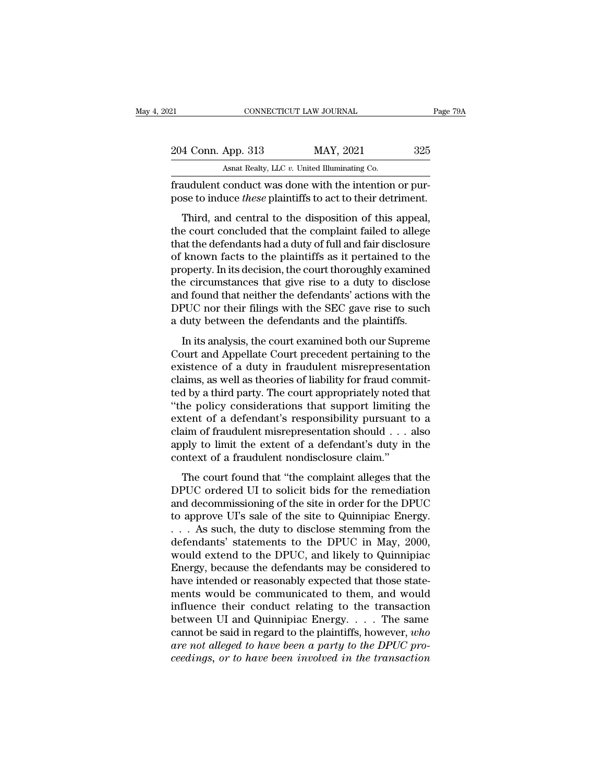| 121                                                                                                                         | CONNECTICUT LAW JOURNAL                      | Page 79A |
|-----------------------------------------------------------------------------------------------------------------------------|----------------------------------------------|----------|
|                                                                                                                             |                                              |          |
| 204 Conn. App. 313                                                                                                          | MAY, 2021                                    | 325      |
|                                                                                                                             | Asnat Realty, LLC v. United Illuminating Co. |          |
| fraudulent conduct was done with the intention or pur-<br>pose to induce <i>these</i> plaintiffs to act to their detriment. |                                              |          |
| Third, and central to the disposition of this appeal,                                                                       |                                              |          |
| the court concluded that the complaint failed to allege<br>that the defendants had a duty of full and fair disclosure       |                                              |          |

204 Conn. App. 313 MAY, 2021 325<br>Asnat Realty, LLC v. United Illuminating Co.<br>
fraudulent conduct was done with the intention or pur-<br>
pose to induce *these* plaintiffs to act to their detriment.<br>
Third, and central to th Asnat Realty, LLC  $v$ . United Illuminating Co.<br>
fraudulent conduct was done with the intention or pur-<br>
pose to induce *these* plaintiffs to act to their detriment.<br>
Third, and central to the disposition of this appeal,<br> fraudulent conduct was done with the intention or pur-<br>pose to induce *these* plaintiffs to act to their detriment.<br>Third, and central to the disposition of this appeal,<br>the court concluded that the complaint failed to all madulation conduct was done what the interfactor of pur-<br>pose to induce *these* plaintiffs to act to their detriment.<br>Third, and central to the disposition of this appeal,<br>the court concluded that the complaint failed to a Third, and central to the disposition of this appeal,<br>the court concluded that the complaint failed to allege<br>that the defendants had a duty of full and fair disclosure<br>of known facts to the plaintiffs as it pertained to t Third, and central to the disposition of this appeal,<br>the court concluded that the complaint failed to allege<br>that the defendants had a duty of full and fair disclosure<br>of known facts to the plaintiffs as it pertained to t the court concluded that the complaint failed to allege<br>that the defendants had a duty of full and fair disclosure<br>of known facts to the plaintiffs as it pertained to the<br>property. In its decision, the court thoroughly exa that the defendants had a duty of full and fair disclosure<br>of known facts to the plaintiffs as it pertained to the<br>property. In its decision, the court thoroughly examined<br>the circumstances that give rise to a duty to disc Inform races to the plantims as a pertained to the<br>operty. In its decision, the court thoroughly examined<br>e circumstances that give rise to a duty to disclose<br>d found that neither the defendants' actions with the<br>PUC nor t property: in its decision, the court and oughly examined<br>the circumstances that give rise to a duty to disclose<br>and found that neither the defendants' actions with the<br>DPUC nor their filings with the SEC gave rise to such<br>

and found that neither the defendants' actions with the<br>DPUC nor their filings with the SEC gave rise to such<br>a duty between the defendants and the plaintiffs.<br>In its analysis, the court examined both our Supreme<br>Court and and road and redder are determined accords what are<br>DPUC nor their filings with the SEC gave rise to such<br>a duty between the defendants and the plaintiffs.<br>In its analysis, the court examined both our Supreme<br>Court and App Et out the different and the bile gave the to stack<br>a duty between the defendants and the plaintiffs.<br>In its analysis, the court examined both our Supreme<br>Court and Appellate Court precedent pertaining to the<br>existence of In its analysis, the court examined both our Supreme<br>Court and Appellate Court precedent pertaining to the<br>existence of a duty in fraudulent misrepresentation<br>claims, as well as theories of liability for fraud commit-<br>ted In its analysis, the court examined both our Supreme<br>Court and Appellate Court precedent pertaining to the<br>existence of a duty in fraudulent misrepresentation<br>claims, as well as theories of liability for fraud commit-<br>ted Court and Appellate Court precedent pertaining to the existence of a duty in fraudulent misrepresentation claims, as well as theories of liability for fraud committed by a third party. The court appropriately noted that " existence of a duty in fraudulent misrepresentation<br>claims, as well as theories of liability for fraud commit-<br>ted by a third party. The court appropriately noted that<br>"the policy considerations that support limiting the<br>e claims, as well as theories of liability for fraud com<br>ted by a third party. The court appropriately noted<br>"the policy considerations that support limiting<br>extent of a defendant's responsibility pursuant<br>claim of fraudulen The policy considerations that support limiting the policy considerations that support limiting the tent of a defendant's responsibility pursuant to a saim of fraudulent misrepresentation should  $\dots$  also ply to limit the extent of a defendant's responsibility pursuant to a<br>claim of fraudulent misrepresentation should  $\dots$  also<br>apply to limit the extent of a defendant's duty in the<br>context of a fraudulent nondisclosure claim."<br>The court fo

calian of fraudulent misrepresentation should  $\dots$  also<br>apply to limit the extent of a defendant's duty in the<br>context of a fraudulent nondisclosure claim."<br>The court found that "the complaint alleges that the<br>DPUC ordere apply to limit the extent of a defendant's duty in the<br>context of a fraudulent nondisclosure claim."<br>The court found that "the complaint alleges that the<br>DPUC ordered UI to solicit bids for the remediation<br>and decommissio repry so mins are entert of a determining context of a fraudulent nondisclosure claim."<br>
The court found that "the complaint alleges that the<br>
DPUC ordered UI to solicit bids for the remediation<br>
and decommissioning of the The court found that "the complaint alleges that the<br>DPUC ordered UI to solicit bids for the remediation<br>and decommissioning of the site in order for the DPUC<br>to approve UI's sale of the site to Quinnipiac Energy.<br>. . . As The court found that "the complaint alleges that the<br>DPUC ordered UI to solicit bids for the remediation<br>and decommissioning of the site in order for the DPUC<br>to approve UI's sale of the site to Quinnipiac Energy.<br> $\dots$  As DPUC ordered UI to solicit bids for the remediation<br>and decommissioning of the site in order for the DPUC<br>to approve UI's sale of the site to Quinnipiac Energy.<br>. . . As such, the duty to disclose stemming from the<br>defenda and decommissioning of the site in order for the DPUC<br>to approve UI's sale of the site to Quinnipiac Energy.<br> $\ldots$  As such, the duty to disclose stemming from the<br>defendants' statements to the DPUC in May, 2000,<br>would ext to approve UI's sale of the site to Quinnipiac Energy.<br>  $\dots$  As such, the duty to disclose stemming from the<br>
defendants' statements to the DPUC in May, 2000,<br>
would extend to the DPUC, and likely to Quinnipiac<br>
Energy, b ... As such, the duty to disclose stemming from the defendants' statements to the DPUC in May, 2000, would extend to the DPUC, and likely to Quinnipiac Energy, because the defendants may be considered to have intended or defendants' statements to the DPUC in May, 2000,<br>would extend to the DPUC, and likely to Quinnipiac<br>Energy, because the defendants may be considered to<br>have intended or reasonably expected that those state-<br>ments would be would extend to the DPUC, and likely to Quinnipiac<br>Energy, because the defendants may be considered to<br>have intended or reasonably expected that those state-<br>ments would be communicated to them, and would<br>influence their c Energy, because the defendants may be considered to have intended or reasonably expected that those statements would be communicated to them, and would influence their conduct relating to the transaction between UI and Qui have intended or reasonably expected that those statements would be communicated to them, and would influence their conduct relating to the transaction between UI and Quinnipiac Energy. . . . The same cannot be said in reg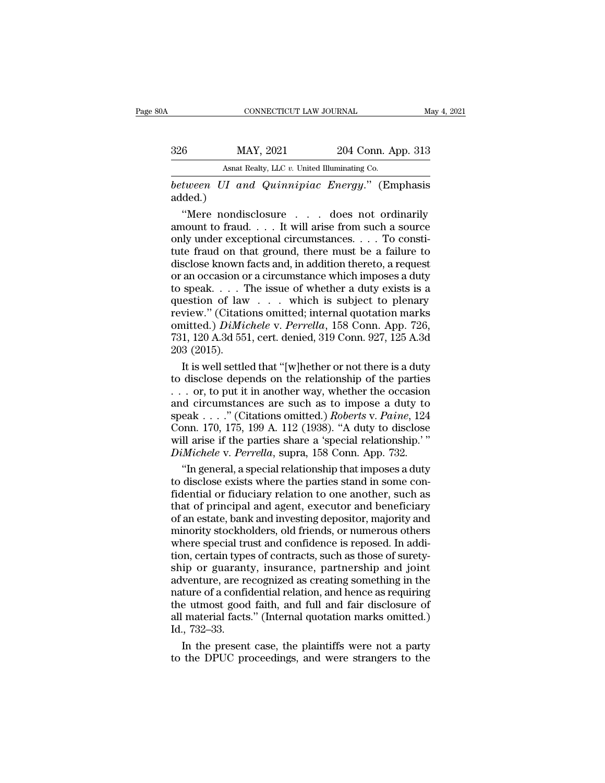# EXECUTE CONNECTICUT LAW JOURNAL May 4, 2021<br>326 MAY, 2021 204 Conn. App. 313<br>Asnat Realty, LLC v. United Illuminating Co. CONNECTICUT LAW JOURNAL<br>
MAY, 2021 204 Conn. App. 313<br>
Asnat Realty, LLC *v.* United Illuminating Co.<br> *between UI and Quinnipiac Energy.*" (Emphasis

*between UI and Quinnipiac Energy.''* (Emphasis added.) added.)

 $\frac{\text{MAX, 2021}}{\text{Asnat } \text{Realty, LLC } v. \text{ United Illuminating Co.}}$ <br>
tween UI and Quinnipiac Energy." (Emphasis ded.)<br>
"Mere nondisclosure . . . does not ordinarily nount to fraud. . . . It will arise from such a source of the under exceptional ci 326 MAY, 2021 204 Conn. App. 313<br>
Asnat Realty, LLC v. United Illuminating Co.<br>
between UI and Quinnipiac Energy." (Emphasis<br>
added.)<br>
"Mere nondisclosure . . . does not ordinarily<br>
amount to fraud.... It will arise from Asnat Realty, LLC v. United Illuminating Co.<br>
between UI and Quinnipiac Energy." (Emphasis<br>
added.)<br>
"Mere nondisclosure . . . does not ordinarily<br>
amount to fraud. . . . It will arise from such a source<br>
only under excep Asha Realty, E.C. if the manufating controller that details added.)<br>
Subsettute fraud. The must be a failure of the must be a failure to disclose known facts and, in addition thereto, a request or an occasion or a circums between UI and Quinnipiac Energy." (Emphasis<br>added.)<br>"Mere nondisclosure . . . does not ordinarily<br>amount to fraud.... It will arise from such a source<br>only under exceptional circumstances.... To consti-<br>tute fraud on tha added.)<br>
"Mere nondisclosure . . . does not ordinarily<br>
amount to fraud. . . . It will arise from such a source<br>
only under exceptional circumstances. . . . To consti-<br>
tute fraud on that ground, there must be a failure to "Mere nondisclosure . . . . does not ordinarily<br>amount to fraud. . . . It will arise from such a source<br>only under exceptional circumstances. . . . To consti-<br>tute fraud on that ground, there must be a failure to<br>disclose amount to fraud. . . . It will arise from such a source<br>only under exceptional circumstances. . . . To consti-<br>tute fraud on that ground, there must be a failure to<br>disclose known facts and, in addition thereto, a request only under exceptional circumstances. . . . To constitute fraud on that ground, there must be a failure to disclose known facts and, in addition thereto, a request or an occasion or a circumstance which imposes a duty to tute fraud on that ground, there must be a failure to disclose known facts and, in addition thereto, a request or an occasion or a circumstance which imposes a duty to speak. . . . The issue of whether a duty exists is a q disclose known facts and, in addition thereto, a request<br>or an occasion or a circumstance which imposes a duty<br>to speak. . . . The issue of whether a duty exists is a<br>question of law . . . which is subject to plenary<br>revie or an occasion of<br>to speak. . . . . . . . .<br>question of law<br>review.'' (Citatio<br>review.'' (Citatio<br>731, 120 A.3d 55<br>203 (2015).<br>It is well settle speak. . . . The issue of whether a duty exists is a<br>estion of law . . . which is subject to plenary<br>view." (Citations omitted; internal quotation marks<br>initted.)  $DiMichele$  v. Perrella, 158 Conn. App. 726,<br>1, 120 A.3d 551, ce question of law . . . which is subject to plenary<br>review." (Citations omitted; internal quotation marks<br>omitted.) *DiMichele* v. *Perrella*, 158 Conn. App. 726,<br>731, 120 A.3d 551, cert. denied, 319 Conn. 927, 125 A.3d<br>203

review." (Citations omitted; internal quotation marks<br>
omitted.) *DiMichele* v. *Perrella*, 158 Conn. App. 726,<br>
731, 120 A.3d 551, cert. denied, 319 Conn. 927, 125 A.3d<br>
203 (2015).<br>
It is well settled that "[w]hether or omitted.) *DiMichele v. Perrella*, 158 Conn. App. 726, 731, 120 A.3d 551, cert. denied, 319 Conn. 927, 125 A.3d 203 (2015).<br>
It is well settled that "[w]hether or not there is a duty to disclose depends on the relationshi 731, 120 A.3d 551, cert. denied, 319 Conn. 927, 125 A.3d<br>203 (2015).<br>It is well settled that "[w]hether or not there is a duty<br>to disclose depends on the relationship of the parties<br>... or, to put it in another way, whethe 203 (2015).<br>
It is well settled that "[w]hether or not there is a duty<br>
to disclose depends on the relationship of the parties<br>
... or, to put it in another way, whether the occasion<br>
and circumstances are such as to impo It is well settled that "[w]hether or not there is a duty<br>to disclose depends on the relationship of the parties<br>... or, to put it in another way, whether the occasion<br>and circumstances are such as to impose a duty to<br>spe *Dimichele* v. *Perrella*, superally of the parties . . . . or, to put it in another way, whether the occasion and circumstances are such as to impose a duty to speak . . . ." (Citations omitted.) *Roberts v. Paine*, 124 C . or, to put it in another way, whether the occasion<br>
d circumstances are such as to impose a duty to<br>
eak . . . ." (Citations omitted.) *Roberts v. Paine*, 124<br>
pnn. 170, 175, 199 A. 112 (1938). "A duty to disclose<br>
ll a and circumstances are such as to impose a duty to<br>speak . . . ." (Citations omitted.) *Roberts* v. *Paine*, 124<br>Conn. 170, 175, 199 A. 112 (1938). "A duty to disclose<br>will arise if the parties share a 'special relationshi

speak . . . ." (Citations omitted.) *Roberts v. Paine*, 124<br>Conn. 170, 175, 199 A. 112 (1938). "A duty to disclose<br>will arise if the parties share a 'special relationship.'"<br>*DiMichele v. Perrella*, supra, 158 Conn. App. Conn. 170, 175, 199 A. 112 (1938). "A duty to disclose<br>will arise if the parties share a 'special relationship.'"<br>*DiMichele* v. *Perrella*, supra, 158 Conn. App. 732.<br>"In general, a special relationship that imposes a dut will arise if the parties share a 'special relationship.'"<br> *DiMichele* v. *Perrella*, supra, 158 Conn. App. 732.<br>
"In general, a special relationship that imposes a duty<br>
to disclose exists where the parties stand in some DiMichele v. Perrella, supra, 158 Conn. App. 732.<br>
"In general, a special relationship that imposes a duty<br>
to disclose exists where the parties stand in some con-<br>
fidential or fiduciary relation to one another, such as<br> "In general, a special relationship that imposes a duty<br>to disclose exists where the parties stand in some con-<br>fidential or fiduciary relation to one another, such as<br>that of principal and agent, executor and beneficiary<br> to disclose exists where the parties stand in some con-<br>fidential or fiduciary relation to one another, such as<br>that of principal and agent, executor and beneficiary<br>of an estate, bank and investing depositor, majority and fidential or fiduciary relation to one another, such as<br>that of principal and agent, executor and beneficiary<br>of an estate, bank and investing depositor, majority and<br>minority stockholders, old friends, or numerous others<br> that of principal and agent, executor and beneficiary<br>of an estate, bank and investing depositor, majority and<br>minority stockholders, old friends, or numerous others<br>where special trust and confidence is reposed. In addi-<br> of an estate, bank and investing depositor, majority and<br>minority stockholders, old friends, or numerous others<br>where special trust and confidence is reposed. In addi-<br>tion, certain types of contracts, such as those of sur minority stockholders, old friends, or numerous others<br>where special trust and confidence is reposed. In addi-<br>tion, certain types of contracts, such as those of surety-<br>ship or guaranty, insurance, partnership and joint<br>a where special trust and confidence is reposed. In addition, certain types of contracts, such as those of surety-<br>ship or guaranty, insurance, partnership and joint adventure, are recognized as creating something in the<br>nat tion, certain type<br>ship or guarant<br>adventure, are re<br>nature of a confid<br>the utmost good<br>all material facts<br>Id., 732–33.<br>In the present ip or guaranty, insurance, partnership and joint<br>venture, are recognized as creating something in the<br>ture of a confidential relation, and hence as requiring<br>e utmost good faith, and full and fair disclosure of<br>material fa adventure, are recognized as creating something in the<br>nature of a confidential relation, and hence as requiring<br>the utmost good faith, and full and fair disclosure of<br>all material facts." (Internal quotation marks omitted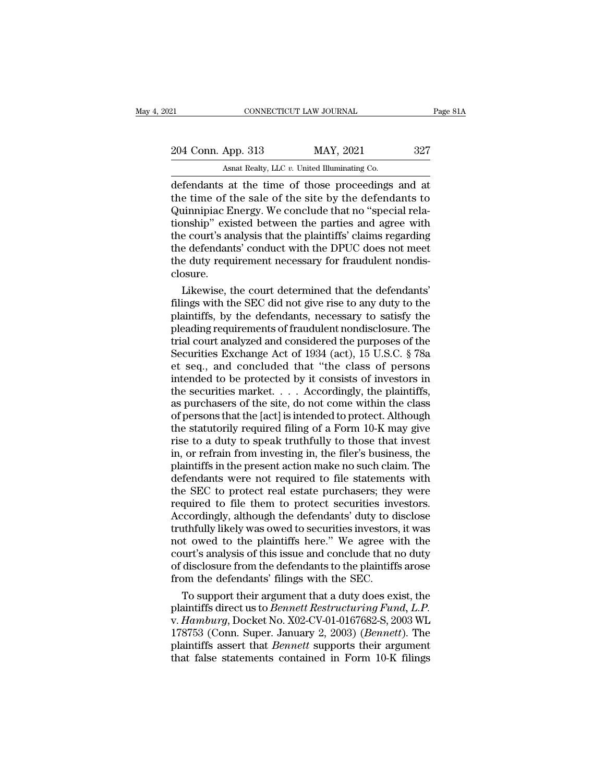| 21                 | CONNECTICUT LAW JOURNAL                            | Page 81A |
|--------------------|----------------------------------------------------|----------|
| 204 Conn. App. 313 | MAY, 2021                                          | 327      |
|                    | Asnat Realty, LLC v. United Illuminating Co.       |          |
|                    | defendants at the time of those proceedings and at |          |

CONNECTICUT LAW JOURNAL Page 81.<br>
204 Conn. App. 313 MAY, 2021 327<br>
Asnat Realty, LLC v. United Illuminating Co.<br>
defendants at the time of those proceedings and at<br>
the time of the sale of the site by the defendants to<br>
Q 204 Conn. App. 313 MAY, 2021 327<br>Asnat Realty, LLC v. United Illuminating Co.<br>defendants at the time of those proceedings and at<br>the time of the sale of the site by the defendants to<br>Quinnipiac Energy. We conclude that no 204 Conn. App. 313 MAY, 2021 327<br>Asnat Realty, LLC v. United Illuminating Co.<br>defendants at the time of those proceedings and at<br>the time of the sale of the site by the defendants to<br>Quinnipiac Energy. We conclude that no 204 Conn. App. 313 MAY, 2021 327<br>Asnat Realty, LLC v. United Illuminating Co.<br>defendants at the time of those proceedings and at<br>the time of the sale of the site by the defendants to<br>Quinnipiac Energy. We conclude that no Asiat Realty, LLC v. United Illuminating Co.<br>
defendants at the time of those proceedings and at<br>
the time of the sale of the site by the defendants to<br>
Quinnipiac Energy. We conclude that no "special rela-<br>
tionship" exi Asnat Realty, LLC  $v$ . United Illuminating Co.<br>
defendants at the time of those proceedings and at<br>
the time of the sale of the site by the defendants to<br>
Quinnipiac Energy. We conclude that no "special rela-<br>
tionship" e defendants at the time of those proceedings and at<br>the time of the sale of the site by the defendants to<br>Quinnipiac Energy. We conclude that no "special rela-<br>tionship" existed between the parties and agree with<br>the court' closure. unnipiac Energy. We conclude that no "special rela-<br>mship" existed between the parties and agree with<br>e court's analysis that the plaintiffs' claims regarding<br>e defendants' conduct with the DPUC does not meet<br>e duty requir tionship" existed between the parties and agree with<br>the court's analysis that the plaintiffs' claims regarding<br>the defendants' conduct with the DPUC does not meet<br>the duty requirement necessary for fraudulent nondis-<br>clos

the court's analysis that the plaintiffs' claims regarding<br>the defendants' conduct with the DPUC does not meet<br>the duty requirement necessary for fraudulent nondis-<br>closure.<br>Likewise, the court determined that the defendan the defendants' conduct with the DPUC does not meet<br>the duty requirement necessary for fraudulent nondis-<br>closure.<br>Likewise, the court determined that the defendants'<br>filings with the SEC did not give rise to any duty to t the duty requirement necessary for fraudulent nondis-<br>closure.<br>Likewise, the court determined that the defendants'<br>filings with the SEC did not give rise to any duty to the<br>plaintiffs, by the defendants, necessary to satis closure.<br>
Likewise, the court determined that the defendants'<br>
filings with the SEC did not give rise to any duty to the<br>
plaintiffs, by the defendants, necessary to satisfy the<br>
pleading requirements of fraudulent nondisc Likewise, the court determined that the defendants'<br>filings with the SEC did not give rise to any duty to the<br>plaintiffs, by the defendants, necessary to satisfy the<br>pleading requirements of fraudulent nondisclosure. The<br>t filings with the SEC did not give rise to any duty to the plaintiffs, by the defendants, necessary to satisfy the pleading requirements of fraudulent nondisclosure. The trial court analyzed and considered the purposes of t plaintiffs, by the defendants, necessary to satisfy the pleading requirements of fraudulent nondisclosure. The trial court analyzed and considered the purposes of the Securities Exchange Act of 1934 (act), 15 U.S.C. § 78a pleading requirements of fraudulent nondisclosure. The<br>trial court analyzed and considered the purposes of the<br>Securities Exchange Act of 1934 (act), 15 U.S.C. § 78a<br>et seq., and concluded that "the class of persons<br>intend trial court analyzed and considered the purposes of the<br>Securities Exchange Act of 1934 (act), 15 U.S.C. § 78a<br>et seq., and concluded that "the class of persons<br>intended to be protected by it consists of investors in<br>the s Securities Exchange Act of 1934 (act),  $15$  U.S.C. § 78a<br>et seq., and concluded that "the class of persons<br>intended to be protected by it consists of investors in<br>the securities market.... Accordingly, the plaintiffs,<br>as et seq., and concluded that "the class of persons<br>intended to be protected by it consists of investors in<br>the securities market. . . . Accordingly, the plaintiffs,<br>as purchasers of the site, do not come within the class<br>of intended to be protected by it consists of investors in<br>the securities market. . . . Accordingly, the plaintiffs,<br>as purchasers of the site, do not come within the class<br>of persons that the [act] is intended to protect. A the securities market. . . . . Accordingly, the plaintiffs,<br>as purchasers of the site, do not come within the class<br>of persons that the [act] is intended to protect. Although<br>the statutorily required filing of a Form 10-K as purchasers of the site, do not come within the class<br>of persons that the [act] is intended to protect. Although<br>the statutorily required filing of a Form 10-K may give<br>rise to a duty to speak truthfully to those that in of persons that the [act] is intended to protect. Although<br>the statutorily required filing of a Form 10-K may give<br>rise to a duty to speak truthfully to those that invest<br>in, or refrain from investing in, the filer's busin the statutorily required filing of a Form 10-K may give<br>rise to a duty to speak truthfully to those that invest<br>in, or refrain from investing in, the filer's business, the<br>plaintiffs in the present action make no such clai rise to a duty to speak truthfully to those that invest<br>in, or refrain from investing in, the filer's business, the<br>plaintiffs in the present action make no such claim. The<br>defendants were not required to file statements w in, or refrain from investing in, the filer's business, the plaintiffs in the present action make no such claim. The defendants were not required to file statements with the SEC to protect real estate purchasers; they were plaintiffs in the present action make no such claim. The<br>defendants were not required to file statements with<br>the SEC to protect real estate purchasers; they were<br>required to file them to protect securities investors.<br>Acco defendants were not required to file statements with<br>the SEC to protect real estate purchasers; they were<br>required to file them to protect securities investors.<br>Accordingly, although the defendants' duty to disclose<br>truthf the SEC to protect real estate purchasers; they were<br>required to file them to protect securities investors.<br>Accordingly, although the defendants' duty to disclose<br>truthfully likely was owed to securities investors, it was<br> required to file them to protect securities in<br>Accordingly, although the defendants' duty to d<br>truthfully likely was owed to securities investors<br>not owed to the plaintiffs here." We agree w<br>court's analysis of this issue cordingly, although the defendants' duty to disclose<br>ithfully likely was owed to securities investors, it was<br>it owed to the plaintiffs here." We agree with the<br>urt's analysis of this issue and conclude that no duty<br>discl truthfully likely was owed to securities investors, it was<br>not owed to the plaintiffs here." We agree with the<br>court's analysis of this issue and conclude that no duty<br>of disclosure from the defendants to the plaintiffs ar

not owed to the plaintiffs here." We agree with the<br>court's analysis of this issue and conclude that no duty<br>of disclosure from the defendants to the plaintiffs arose<br>from the defendants' filings with the SEC.<br>To support t court's analysis of this issue and conclude that no duty<br>of disclosure from the defendants to the plaintiffs arose<br>from the defendants' filings with the SEC.<br>To support their argument that a duty does exist, the<br>plaintiffs of disclosure from the defendants to the plaintiffs arose<br>from the defendants' filings with the SEC.<br>To support their argument that a duty does exist, the<br>plaintiffs direct us to *Bennett Restructuring Fund*, *L.P.*<br>v. *Ha* from the defendants' filings with the SEC.<br>To support their argument that a duty does exist, the<br>plaintiffs direct us to *Bennett Restructuring Fund, L.P.*<br>v. *Hamburg*, Docket No. X02-CV-01-0167682-S, 2003 WL<br>178753 (Conn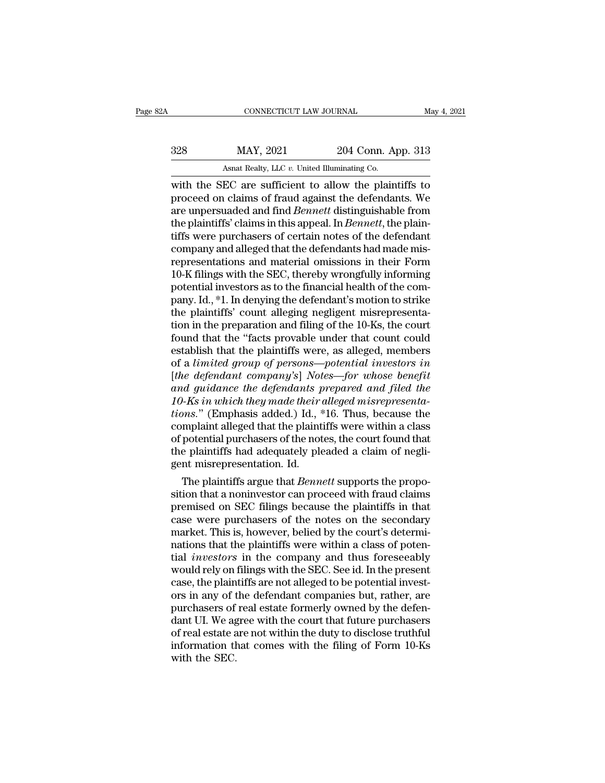| May 4, 2021                                            |
|--------------------------------------------------------|
| 204 Conn. App. 313                                     |
|                                                        |
| with the SEC are sufficient to allow the plaintiffs to |

CONNECTICUT LAW JOURNAL May 4, 2021<br>
MAY, 2021 204 Conn. App. 313<br>
Asnat Realty, LLC v. United Illuminating Co.<br>
With the SEC are sufficient to allow the plaintiffs to<br>
proceed on claims of fraud against the defendants. We MAY, 2021 204 Conn. App. 313<br>Asnat Realty, LLC v. United Illuminating Co.<br>With the SEC are sufficient to allow the plaintiffs to<br>proceed on claims of fraud against the defendants. We<br>are unpersuaded and find *Bennett* dist 328 MAY, 2021 204 Conn. App. 313<br>Asnat Realty, LLC v. United Illuminating Co.<br>with the SEC are sufficient to allow the plaintiffs to<br>proceed on claims of fraud against the defendants. We<br>are unpersuaded and find *Bennett* MAY, 2021 204 Conn. App. 313<br>Asnat Realty, LLC v. United Illuminating Co.<br>with the SEC are sufficient to allow the plaintiffs to<br>proceed on claims of fraud against the defendants. We<br>are unpersuaded and find *Bennett* dist Asnat Realty, LLC v. United Illuminating Co.<br>
with the SEC are sufficient to allow the plaintiffs to<br>
proceed on claims of fraud against the defendants. We<br>
are unpersuaded and find *Bennett* distinguishable from<br>
the pla Ashat Realty, LLC v. United Illuminating Co.<br>
with the SEC are sufficient to allow the plaintiffs to<br>
proceed on claims of fraud against the defendants. We<br>
are unpersuaded and find *Bennett* distinguishable from<br>
the pla with the SEC are sufficient to allow the plaintiffs to<br>proceed on claims of fraud against the defendants. We<br>are unpersuaded and find *Bennett* distinguishable from<br>the plaintiffs' claims in this appeal. In *Bennett*, the proceed on claims of fraud against the defendants. We<br>are unpersuaded and find *Bennett* distinguishable from<br>the plaintiffs' claims in this appeal. In *Bennett*, the plain-<br>tiffs were purchasers of certain notes of the de are unpersuaded and find *Bennett* distinguishable from<br>the plaintiffs' claims in this appeal. In *Bennett*, the plain-<br>tiffs were purchasers of certain notes of the defendant<br>company and alleged that the defendants had ma the plaintiffs' claims in this appeal. In *Bennett*, the plaintiffs were purchasers of certain notes of the defendant<br>company and alleged that the defendants had made mis-<br>representations and material omissions in their Fo tiffs were purchasers of certain notes of the defendant<br>company and alleged that the defendants had made mis-<br>representations and material omissions in their Form<br>10-K filings with the SEC, thereby wrongfully informing<br>pot company and alleged that the defendants had made mis-<br>representations and material omissions in their Form<br>10-K filings with the SEC, thereby wrongfully informing<br>potential investors as to the financial health of the com-<br> representations and material omissions in their Form<br>10-K filings with the SEC, thereby wrongfully informing<br>potential investors as to the financial health of the com-<br>pany. Id., \*1. In denying the defendant's motion to st 10-K filings with the SEC, thereby wrongfully informing<br>potential investors as to the financial health of the com-<br>pany. Id., \*1. In denying the defendant's motion to strike<br>the plaintiffs' count alleging negligent misrep potential investors as to the financial health of the company. Id., \*1. In denying the defendant's motion to strike<br>the plaintiffs' count alleging negligent misrepresenta-<br>tion in the preparation and filing of the 10-Ks, t pany. Id., \*1. In denying the defendant's motion to strike<br>the plaintiffs' count alleging negligent misrepresenta-<br>tion in the preparation and filing of the 10-Ks, the court<br>found that the "facts provable under that count the plaintiffs' count alleging negligent misrepresentation in the preparation and filing of the 10-Ks, the court<br>found that the "facts provable under that count could<br>establish that the plaintiffs were, as alleged, members tion in the preparation and filing of the 10-Ks, the court<br>found that the "facts provable under that count could<br>establish that the plaintiffs were, as alleged, members<br>of a *limited group of persons—potential investors in* found that the "facts provable under that count could<br>establish that the plaintiffs were, as alleged, members<br>of a *limited group of persons—potential investors in*<br>[*the defendant company's*] *Notes—for whose benefit*<br>and establish that the plaintiffs were, as alleged, members<br>of a *limited group of persons—potential investors in*<br>[*the defendant company's*] Notes—for whose benefit<br>and guidance the defendants prepared and filed the<br>10-Ks in of a limited group of persons—potential investors in<br>[the defendant company's] Notes—for whose benefit<br>and guidance the defendants prepared and filed the<br>10-Ks in which they made their alleged misrepresenta-<br>tions." (Empha [the defendant company's] Notes—for whose benefit<br>and guidance the defendants prepared and filed the<br>10-Ks in which they made their alleged misrepresenta-<br>tions." (Emphasis added.) Id., \*16. Thus, because the<br>complaint al and guidance the defendants p<br>10-Ks in which they made their  $\alpha$ <br>tions." (Emphasis added.) Id., \*<br>complaint alleged that the plaint<br>of potential purchasers of the not<br>the plaintiffs had adequately ple<br>gent misrepresentat As *in which they made their alleged misrepresenta-*<br>ms." (Emphasis added.) Id., \*16. Thus, because the<br>mplaint alleged that the plaintiffs were within a class<br>potential purchasers of the notes, the court found that<br>e plai tions." (Emphasis added.) Id., \*16. Thus, because the<br>complaint alleged that the plaintiffs were within a class<br>of potential purchasers of the notes, the court found that<br>the plaintiffs had adequately pleaded a claim of ne

complaint alleged that the plaintiffs were within a class<br>of potential purchasers of the notes, the court found that<br>the plaintiffs had adequately pleaded a claim of negli-<br>gent misrepresentation. Id.<br>The plaintiffs argue or potential purchasers of the notes, the court found that<br>the plaintiffs had adequately pleaded a claim of negli-<br>gent misrepresentation. Id.<br>The plaintiffs argue that *Bennett* supports the propo-<br>sition that a noninvest the plaintiffs nad adequately pleaded a claim of negligent misrepresentation. Id.<br>The plaintiffs argue that *Bennett* supports the proposition that a noninvestor can proceed with fraud claims<br>premised on SEC filings becaus gent misrepresentation. Id.<br>The plaintiffs argue that *Bennett* supports the proposition that a noninvestor can proceed with fraud claims<br>premised on SEC filings because the plaintiffs in that<br>case were purchasers of the n The plaintiffs argue that *Bennett* supports the proposition that a noninvestor can proceed with fraud claims<br>premised on SEC filings because the plaintiffs in that<br>case were purchasers of the notes on the secondary<br>market sition that a noninvestor can proceed with fraud claims<br>premised on SEC filings because the plaintiffs in that<br>case were purchasers of the notes on the secondary<br>market. This is, however, belied by the court's determi-<br>nat premised on SEC filings because the plaintiffs in that<br>case were purchasers of the notes on the secondary<br>market. This is, however, belied by the court's determi-<br>nations that the plaintiffs were within a class of poten-<br>t case were purchasers of the notes on the secondary<br>market. This is, however, belied by the court's determi-<br>nations that the plaintiffs were within a class of poten-<br>tial *investors* in the company and thus foreseeably<br>wou market. This is, however, belied by the court's determinations that the plaintiffs were within a class of potential *investors* in the company and thus foreseeably would rely on filings with the SEC. See id. In the present nations that the plaintiffs were within a class of potential *investors* in the company and thus foreseeably<br>would rely on filings with the SEC. See id. In the present<br>case, the plaintiffs are not alleged to be potential i tial *investors* in the company and thus foreseeably<br>would rely on filings with the SEC. See id. In the present<br>case, the plaintiffs are not alleged to be potential invest-<br>ors in any of the defendant companies but, rather would rely on filings with the SEC. See id. In the present case, the plaintiffs are not alleged to be potential invest-<br>ors in any of the defendant companies but, rather, are<br>purchasers of real estate formerly owned by the case, the plain<br>ors in any of t<br>purchasers of<br>dant UI. We ag<br>of real estate a<br>information th<br>with the SEC.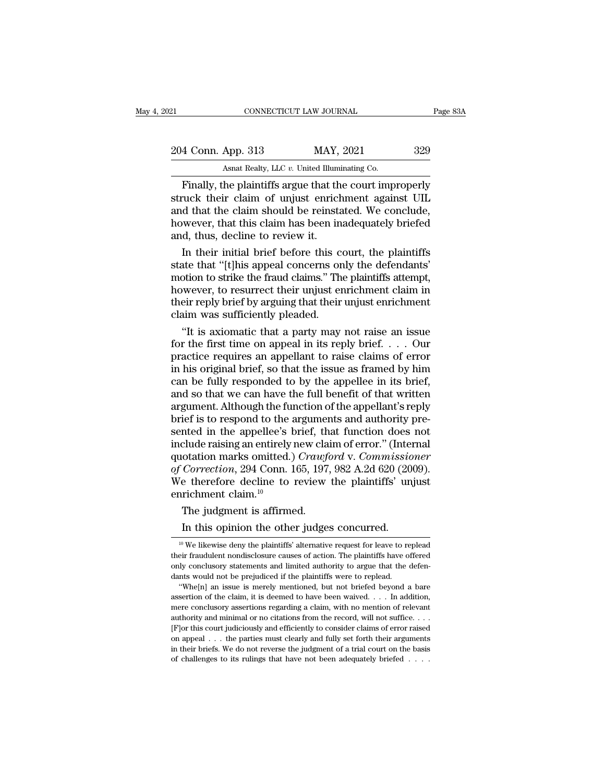| 21                 | CONNECTICUT LAW JOURNAL                                 | Page 83A |
|--------------------|---------------------------------------------------------|----------|
| 204 Conn. App. 313 | MAY, 2021                                               | 329      |
|                    | Asnat Realty, LLC $v$ . United Illuminating Co.         |          |
|                    | Finally, the plaintiffs argue that the court improperly |          |

Finally, the plaintiffs argue that the court improperly<br>
Finally, the plaintiffs argue that the court improperly<br>
The plaintiffs argue that the court improperly<br>
The plaintiffs argue that the court improperly<br>
The claim of 204 Conn. App. 313 MAY, 2021 329<br>Asnat Realty, LLC v. United Illuminating Co.<br>Finally, the plaintiffs argue that the court improperly<br>struck their claim of unjust enrichment against UIL<br>and that the claim should be reinsta 204 Conn. App. 313 MAY, 2021 329<br>Asnat Realty, LLC  $v$ . United Illuminating Co.<br>Finally, the plaintiffs argue that the court improperly<br>struck their claim of unjust enrichment against UIL<br>and that the claim should be rein 204 Conn. App. 313 MAY, 2021 329<br>Asnat Realty, LLC v. United Illuminating Co.<br>Finally, the plaintiffs argue that the court improperly<br>struck their claim of unjust enrichment against UIL<br>and that the claim should be reinsta  $\frac{1}{20}$  Asnat Realty, LLC v. United Illumin Finally, the plaintiffs argue that the struck their claim of unjust enrich and that the claim should be reinsta however, that this claim has been in and, thus, decline to rev Islat heads, also at entired manufactures.<br>
Finally, the plaintiffs argue that the court improperly<br>
ruck their claim of unjust enrichment against UIL<br>
d that the claim should be reinstated. We conclude,<br>
wever, that this Finally, the plaintiffs argue that the court improperly<br>struck their claim of unjust enrichment against UIL<br>and that the claim should be reinstated. We conclude,<br>however, that this claim has been inadequately briefed<br>and,

struck their claim of unjust enrichment against UIL<br>and that the claim should be reinstated. We conclude,<br>however, that this claim has been inadequately briefed<br>and, thus, decline to review it.<br>In their initial brief befor and that the claim should be reinstated. We conclude,<br>however, that this claim has been inadequately briefed<br>and, thus, decline to review it.<br>In their initial brief before this court, the plaintiffs<br>state that "[t]his appe however, that this claim has been inadequately briefed<br>and, thus, decline to review it.<br>In their initial brief before this court, the plaintiffs<br>state that "[t]his appeal concerns only the defendants'<br>motion to strike the and, thus, decline to review it.<br>
In their initial brief before this court, the plaintiffs<br>
state that "[t]his appeal concerns only the defendants'<br>
motion to strike the fraud claims." The plaintiffs attempt,<br>
however, to In their initial brief before this court, the plaintiffs<br>
ate that "[t]his appeal concerns only the defendants"<br>
botion to strike the fraud claims." The plaintiffs attempt,<br>
wever, to resurrect their unjust enrichment cla state that "[t]his appeal concerns only the defendants'<br>motion to strike the fraud claims." The plaintiffs attempt,<br>however, to resurrect their unjust enrichment claim in<br>their reply brief by arguing that their unjust enri

motion to strike the fraud claims." The plaintiffs attempt,<br>however, to resurrect their unjust enrichment claim in<br>their reply brief by arguing that their unjust enrichment<br>claim was sufficiently pleaded.<br>"It is axiomatic however, to resurrect their unjust enrichment claim in<br>their reply brief by arguing that their unjust enrichment<br>claim was sufficiently pleaded.<br>"It is axiomatic that a party may not raise an issue<br>for the first time on a their reply brief by arguing that their unjust enrichment<br>claim was sufficiently pleaded.<br>"It is axiomatic that a party may not raise an issue<br>for the first time on appeal in its reply brief. . . . Our<br>practice requires an claim was sufficiently pleaded.<br>
"It is axiomatic that a party may not raise an issue<br>
for the first time on appeal in its reply brief.... Our<br>
practice requires an appellant to raise claims of error<br>
in his original brie "It is axiomatic that a party may not raise an issue<br>for the first time on appeal in its reply brief. . . . Our<br>practice requires an appellant to raise claims of error<br>in his original brief, so that the issue as framed by for the first time on appeal in its reply brief.  $\dots$  Our practice requires an appellant to raise claims of error in his original brief, so that the issue as framed by him can be fully responded to by the appellee in its practice requires an appellant to raise claims of error<br>in his original brief, so that the issue as framed by him<br>can be fully responded to by the appellee in its brief,<br>and so that we can have the full benefit of that wri in his original brief, so that the issue as framed by him<br>can be fully responded to by the appellee in its brief,<br>and so that we can have the full benefit of that written<br>argument. Although the function of the appellant's can be fully responded to by the appellee in its brief,<br>and so that we can have the full benefit of that written<br>argument. Although the function of the appellant's reply<br>brief is to respond to the arguments and authority p and so that we can have the full benefit of that written<br>argument. Although the function of the appellant's reply<br>brief is to respond to the arguments and authority pre-<br>sented in the appellee's brief, that function does n argument. Although the function of the appellant's reply<br>brief is to respond to the arguments and authority pre-<br>sented in the appellee's brief, that function does not<br>include raising an entirely new claim of error." (Inte brief is to respond to the sented in the appellee's linclude raising an entirely quotation marks omitted.) of Correction, 294 Conn. If we therefore decline to enrichment claim.<sup>10</sup> The judgment is affirmed. nted in the appellee's brief, the clude raising an entirely new class<br>otation marks omitted.) *Crawfo*<br>*Correction*, 294 Conn. 165, 197<sub>,</sub><br>e therefore decline to review<br>richment claim.<sup>10</sup><br>The judgment is affirmed.<br>In this In this opinion the other judges concurred.<br>
The judgment is affirmed.<br>
The judgment is affirmed.<br>
In this opinion the other judges concurred.<br>
The likewise deny the plaintiffs' alternative request for leave to real.

their fraudulent nondisclosure causes of action. The plaintiffs have offered only conclusory statements and limited authority to argue that the defendants would not be prejudiced if the plaintiffs were to replead. "Whe[n] only conclusory statements and limited authority to argue that the defendants would not be prejudiced if the plaintiffs were to replead. "Whe[n] an issue is merely mentioned, but not briefed beyond a bare assertion of the dants would not be prejudiced if the plaintiffs were to replead.<br>
"Whe[n] an issue is merely mentioned, but not briefed beyond a bare<br>
assertion of the claim, it is deemed to have been waived. . . . In addition,<br>
mere con "Whe[n] an issue is merely mentioned, but not briefed beyond a bare<br>assertion of the claim, it is deemed to have been waived. . . . In addition,<br>mere conclusory assertions regarding a claim, with no mention of relevant<br>au in the claim, it is deemed to have been waived.  $\ldots$  In addition, mere conclusory assertions regarding a claim, with no mention of relevant authority and minimal or no citations from the record, will not suffice.  $\ldots$  I mere conclusory assertions regarding a claim, with no mention of relevant authority and minimal or no citations from the record, will not suffice. . . . [F]<br>or this court judiciously and efficiently to consider claims of

<sup>10</sup> The judgment is affirmed.<br>
10 The judgment is affirmed.<br>
10 We likewise deny the plaintiffs' alternative request for leave to replead<br>
10 We likewise deny the plaintiffs' alternative request for leave to replead<br>
eir f The judgment is affirmed.<br>
In this opinion the other judges concurred.<br>
<sup>10</sup> We likewise deny the plaintiffs' alternative request for leave to replead<br>
their fraudulent nondisclosure causes of action. The plaintiffs have The judgment is affirmed.<br>In this opinion the other judges concurred.<br><sup>10</sup> We likewise deny the plaintiffs' alternative request for leave to replead<br>their fraudulent nondisclosure causes of action. The plaintiffs have off In this opinion the other judges concurred.<br>
<sup>10</sup> We likewise deny the plaintiffs' alternative request for leave to replead.<br>
their fraudulent nondisclosure causes of action. The plaintiffs have o<br>
only conclusory stateme In this opinion the other judges concurred.<br>
<sup>10</sup> We likewise deny the plaintiffs' alternative request for leave to replead<br>
eir fraudulent nondisclosure causes of action. The plaintiffs have offered<br>
uly conclusory state <sup>10</sup> We likewise deny the plaintiffs' alternative request for leave to replead their fraudulent nondisclosure causes of action. The plaintiffs have offered only conclusory statements and limited authority to argue that th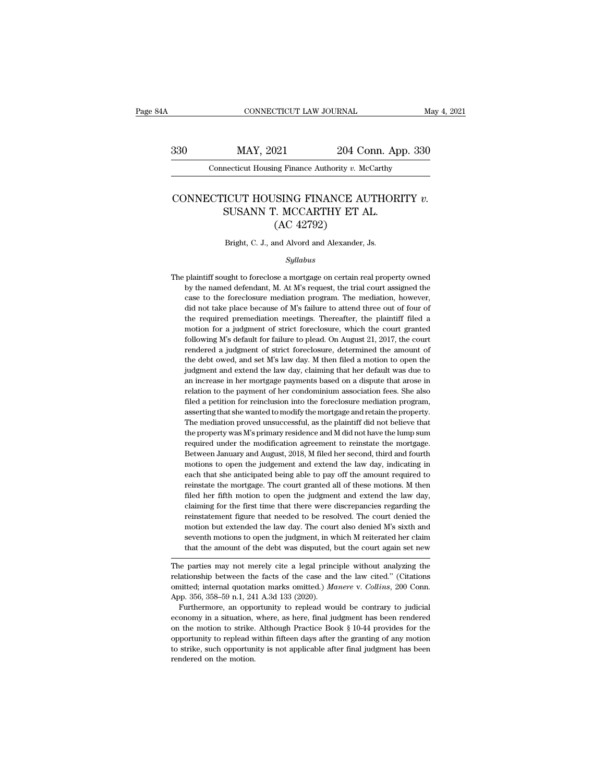# EXECUTE CONNECTICUT LAW JOURNAL May 4, 2021<br>330 MAY, 2021 204 Conn. App. 330<br>204 Connecticut Housing Finance Authority v. McCarthy CONNECTICUT LAW JOURNAL<br>MAY, 2021 204 Conn. App. 330<br>Connecticut Housing Finance Authority *v.* McCarthy

## MAY, 2021 204 Conn. App. 330<br>
Connecticut Housing Finance Authority *v.* McCarthy<br>
CONNECTICUT HOUSING FINANCE AUTHORITY *v.*<br>
SUSANN T. MCCARTHY ET AL. MAY, 2021 204 Conn. Approximate CONNET 204 Conn. Approximate CONNET AUTHORISUSANN T. MCCARTHY ET AL. (AC 42792) (AC 42792)<br>
My Finance Authority v. M<br>
MISING FINANCE A<br>
(AC 42792)<br>
Muld Alvord and Alexander, CONNECTICUT HOUSING FINANCE AUTHORITY  $v$ .<br>SUSANN T. MCCARTHY ET AL.<br>(AC 42792)<br>Bright, C. J., and Alvord and Alexander, Js.

## *Syllabus*

( $\rm AC~42792$ )<br>Bright, C. J., and Alvord and Alexander, Js.<br> $Syllabus$ <br>The plaintiff sought to foreclose a mortgage on certain real property owned<br>by the named defendant, M. At M's request, the trial court assigned the Bright, C. J., and Alvord and Alexander, Js.<br>Syllabus<br>plaintiff sought to foreclose a mortgage on certain real property owned<br>by the named defendant, M. At M's request, the trial court assigned the<br>case to the foreclosure Bright, C. J., and Alvord and Alexander, Js.<br>
Syllabus<br>
plaintiff sought to foreclose a mortgage on certain real property owned<br>
by the named defendant, M. At M's request, the trial court assigned the<br>
case to the foreclos *Syllabus*<br>plaintiff sought to foreclose a mortgage on certain real property owned<br>by the named defendant, M. At M's request, the trial court assigned the<br>case to the foreclosure mediation program. The mediation, however, syttables by the required of correction meetings. The required property of the rame defendant, M. At M's request, the trial court assigned the case to the foreclosure mediation program. The mediation, however, did not take plaintiff sought to foreclose a mortgage on certain real property owned<br>by the named defendant, M. At M's request, the trial court assigned the<br>case to the foreclosure mediation program. The mediation, however,<br>did not tak put the named defendant, M. At M's request, the trial court assigned the case to the foreclosure mediation program. The mediation, however, did not take place because of M's failure to attend three out of four of the requi rendered a judgment of strict foreclosure, the mediation, however, did not take place because of M's failure to attend three out of four of the required premediation meetings. Thereafter, the plaintiff filed a motion for did not take place because of M's failure to attend three out of four of the required premediation meetings. Thereafter, the plaintiff filed a motion for a judgment of strict foreclosure, which the court granted following the required premediation meetings. Thereafter, the plaintiff filed a motion for a judgment of strict foreclosure, which the court granted following M's default for failure to plead. On August 21, 2017, the court rendered and the mortion for a judgment of strict foreclosure, which the court granted following M's default for failure to plead. On August 21, 2017, the court rendered a judgment of strict foreclosure, determined the amount of th following M's default for failure to plead. On August 21, 2017, the court rendered a judgment of strict foreclosure, determined the amount of the debt owed, and set M's law day. M then filed a motion to open the judgment a filed a petition of strict foreclosure, determined the amount of the debt owed, and set M's law day. M then filed a motion to open the judgment and extend the law day, claiming that her default was due to an increase in he the debt owed, and set M's law day. M then filed a motion to open the judgment and extend the law day, claiming that her default was due to an increase in her mortgage payments based on a dispute that arose in relation to judgment and extend the law day, claiming that her default was due to<br>an increase in her mortgage payments based on a dispute that arose in<br>relation to the payment of her condominium association fees. She also<br>filed a peti an increase in her mortgage payments based on a dispute that arose in relation to the payment of her condominium association fees. She also filed a petition for reinclusion into the foreclosure mediation program, asserting an increase in her mortgage payments based on a dispute that arose in relation to the payment of her condominium association fees. She also filed a petition for reinclusion into the foreclosure mediation program, asserting filed a petition for reinclusion into the foreclosure mediation program, asserting that she wanted to modify the mortgage and retain the property. The mediation proved unsuccessful, as the plaintiff did not believe that th asserting that she wanted to modify the mortgage and retain the property.<br>The mediation proved unsuccessful, as the plaintiff did not believe that<br>the property was M's primary residence and M did not have the lump sum<br>requ The mediation proved unsuccessful, as the plaintiff did not believe that the property was M's primary residence and M did not have the lump sum required under the modification agreement to reinstate the mortgage. Between J the property was M's primary residence and M did not have the lump sum<br>required under the modification agreement to reinstate the mortgage.<br>Between January and August, 2018, M filed her second, third and fourth<br>motions to each that she anticipated being able to pay off the amount required to reinstate the mortgage. The court granted all of these motions. M then filed her fifth motion to open the judgment and extend the law day, claiming for Between January and August, 2018, M filed her second, third and fourth motions to open the judgement and extend the law day, indicating in each that she anticipated being able to pay off the amount required to reinstate th motions to open the judgement and extend the law day, indicating in each that she anticipated being able to pay off the amount required to reinstate the mortgage. The court granted all of these motions. M then filed her fi each that she anticipated being able to pay off the amount required to reinstate the mortgage. The court granted all of these motions. M then filed her fifth motion to open the judgment and extend the law day, claiming for reinstate the mortgage. The court granted all of these motions. M then filed her fifth motion to open the judgment and extend the law day, claiming for the first time that there were discrepancies regarding the reinstateme filed her fifth motion to open the judgment and extend the law day, claiming for the first time that there were discrepancies regarding the reinstatement figure that needed to be resolved. The court denied the motion but e Examing for the first three that there were uscrepancies regarding the<br>reinstatement figure that needed to be resolved. The court denied the<br>motion but extended the law day. The court also denied M's sixth and<br>seventh moti relationship between the law day. The court also denied M's sixth and seventh motions to open the judgment, in which M reiterated her claim that the amount of the debt was disputed, but the court again set new The parties

motion but extended the law day. The court also defiled *M* is sixth and<br>seventh motions to open the judgment, in which *M* reiterated her claim<br>that the amount of the debt was disputed, but the court again set new<br>The par seventh motions to open the judgment, in w<br>that the amount of the debt was disputed, l<br>The parties may not merely cite a legal princ<br>relationship between the facts of the case and<br>omitted; internal quotation marks omitted In the amount of the debt was disputed, but the court again set new<br>he parties may not merely cite a legal principle without analyzing the<br>ationship between the facts of the case and the law cited." (Citations<br>inted; inter The parties may not merely cite a legal principle without analyzing the relationship between the facts of the case and the law cited." (Citations omitted; internal quotation marks omitted.) *Manere* v. *Collins*, 200 Conn

The motion the motion the facts of the case and the law cited." (Citations omitted; internal quotation marks omitted.) *Manere* v. *Collins*, 200 Conn. App. 356, 358–59 n.1, 241 A.3d 133 (2020).<br>Furthermore, an opportunity omitted; internal quotation marks omitted.) *Manere* v. *Collins*, 200 Conn.<br>App. 356, 358–59 n.1, 241 A.3d 133 (2020).<br>Furthermore, an opportunity to replead would be contrary to judicial<br>economy in a situation, where, a App. 356, 358–59 n.1, 241 A.3d 133 (2020).<br>
Furthermore, an opportunity to replead would be contrary to judicial<br>
economy in a situation, where, as here, final judgment has been rendered<br>
on the motion to strike. Although App. 356, 358–59 n.1, 241 A.3d 133 (2020).<br>Furthermore, an opportunity to replead would be contrary to judicial economy in a situation, where, as here, final judgment has been rendered on the motion to strike. Although Pr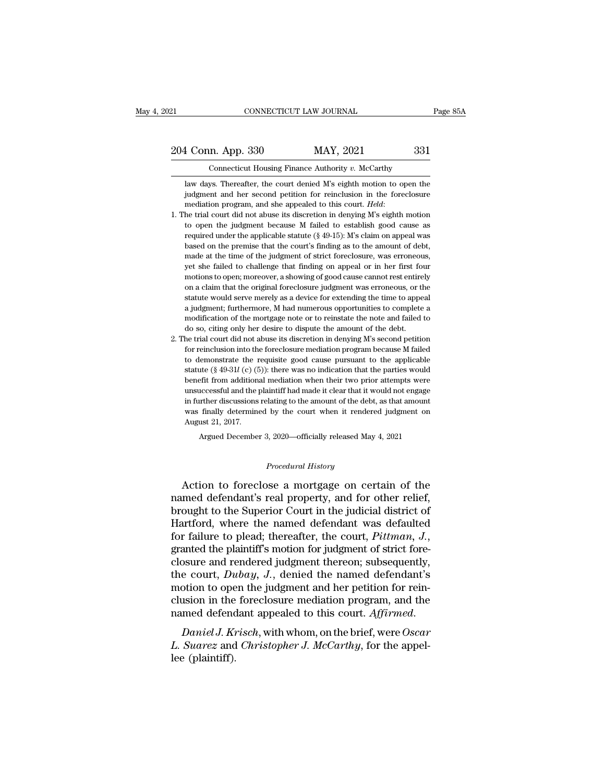# EXECTIVE CONNECTICUT LAW JOURNAL Page 85A<br>204 Conn. App. 330 MAY, 2021 331<br>Connecticut Housing Finance Authority v. McCarthy CONNECTICUT LAW JOURNAL<br>
204 Conn. App. 330 MAY, 2021 331<br>
Connecticut Housing Finance Authority *v. McCarthy*<br>
law days. Thereafter, the court denied M's eighth motion to open the

1 Conn. App. 330 MAY, 2021 331<br>Connecticut Housing Finance Authority v. McCarthy<br>law days. Thereafter, the court denied M's eighth motion to open the<br>judgment and her second petition for reinclusion in the foreclosure 1 Conn. App. 330 MAY, 2021 331<br>
Connecticut Housing Finance Authority v. McCarthy<br>
law days. Thereafter, the court denied M's eighth motion to open the<br>
judgment and her second petition for reinclusion in the foreclosure<br> 204 Conn. App. 330 MAY, 2021 331<br>
Connecticut Housing Finance Authority v. McCarthy<br>
law days. Thereafter, the court denied M's eighth motion to open the<br>
judgment and her second petition for reinclusion in the foreclosure

- Connecticut Housing Finance Authority v. McCarthy<br>law days. Thereafter, the court denied M's eighth motion to open the<br>judgment and her second petition for reinclusion in the foreclosure<br>mediation program, and she appeale law days. Thereafter, the court denied M's eighth motion to open the judgment and her second petition for reinclusion in the foreclosure mediation program, and she appealed to this court. *Held*: the trial court did not a in diagrement and her second petition for reinclusion in the open are<br>mediation program, and she appealed to this court. *Held*:<br>he trial court did not abuse its discretion in denying M's eighth motion<br>to open the judgment mediation program, and she appealed to this court. Held:<br>mediation program, and she appealed to this court. Held:<br>he trial court did not abuse its discretion in denying M's eighth motion<br>to open the judgment because M fai Free trial court did not abuse its discretion in denying  $M$ 's eighth motion to open the judgment because  $M$  failed to establish good cause as required under the applicable statute (§ 49-15):  $M$ 's claim on appeal was ba motions to open the judgment because M failed to establish good cause as<br>required under the applicable statute (§ 49-15): M's claim on appeal was<br>based on the premise that the court's finding as to the amount of debt,<br>mad required under the applicable statute ( $\S$  49-15): M's claim on appeal was based on the premise that the court's finding as to the amount of debt, made at the time of the judgment of strict foreclosure, was erroneous, yet based on the premise that the court's finding as to the amount of debt, made at the time of the judgment of strict foreclosure, was erroneous, yet she failed to challenge that finding on appeal or in her first four motions made at the time of the judgment of strict foreclosure, was erroneous, yet she failed to challenge that finding on appeal or in her first four motions to open; moreover, a showing of good cause cannot rest entirely on a cl yet she failed to challenge that finding on appeal or in her first four motions to open; moreover, a showing of good cause cannot rest entirely on a claim that the original foreclosure judgment was erroneous, or the statut yet she failed to challenge that finding on appeal or in her first four motions to open; moreover, a showing of good cause cannot rest entirely on a claim that the original foreclosure judgment was erroneous, or the statut on a claim that the original foreclosure judgment was erroneous, or the statute would serve merely as a device for extending the time to appeal a judgment; furthermore, M had numerous opportunities to complete a modificati statute would serve merely as a device for extending the time to appeal<br>a judgment; furthermore, M had numerous opportunities to complete a<br>modification of the mortgage note or to reinstate the note and failed to<br>do so, ci
- a judgment; furthermore, M had nunerous opportunities to complete a modification of the mortgage note or to reinstate the note and failed to do so, citing only her desire to dispute the amount of the debt.<br>he trial court statute (§ 49-31*l* (c) (5)): there was no indication of the mortgage note or to reinstate the note and failed to do so, citing only her desire to dispute the amount of the debt. The trial court did not abuse its discretio do so, citing only her desire to dispute the amount of the debt.<br>
the trial court did not abuse its discretion in denying M's second petition<br>
for reinclusion into the foreclosure mediation program because M failed<br>
to de the trial court did not abuse its discretion in denying M's second petition for reinclusion into the foreclosure mediation program because M failed to demonstrate the requisite good cause pursuant to the applicable statut for reinclusion into the foreclosure mediation program because M failed to demonstrate the requisite good cause pursuant to the applicable statute (§ 49-31 $l$  (c) (5)): there was no indication that the parties would benef to demonstrate the requisite good cause pursuant to the applicable statute ( $\S$  49-31 $l$  (c) (5)): there was no indication that the parties would benefit from additional mediation when their two prior attempts were unsucc statute  $(\S 49-31l)$  (c)  $(\S$  benefit from addition<br>unsuccessful and the pin further discussions<br>was finally determine<br>August 21, 2017.<br>Argued Decembe benefit from additional mediation when their two prior attempts were unsuccessful and the plaintiff had made it clear that it would not engage in further discussions relating to the amount of the debt, as that amount was was finally determined by the court when it rendered judgment on<br>August 21, 2017.<br>Argued December 3, 2020—officially released May 4, 2021<br>*Procedural History*<br>Action to foreclose a mortgage on certain of the

Action to foreclose a mortgage on certain of the<br>mediator of the section of the disc state and the disc state and the disc was finally determined by the court when it rendered judgment on<br>Argued December 3, 2020—officially August 21, 2017.<br>
Argued December 3, 2020—officially released May 4, 2021<br>
Procedural History<br>
Action to foreclose a mortgage on certain of the<br>
named defendant's real property, and for other relief,<br>
brought to the Superi Argued December 3, 2020—officially released May 4, 2021<br> *Procedural History*<br>
Action to foreclose a mortgage on certain of the<br>
named defendant's real property, and for other relief,<br>
brought to the Superior Court in the Procedural History<br>Action to foreclose a mortgage on certain of the<br>named defendant's real property, and for other relief,<br>brought to the Superior Court in the judicial district of<br>Hartford, where the named defendant was d Frocedural History<br>Action to foreclose a mortgage on certain of the<br>named defendant's real property, and for other relief,<br>brought to the Superior Court in the judicial district of<br>Hartford, where the named defendant was d Action to foreclose a mortgage on certain of the<br>named defendant's real property, and for other relief,<br>brought to the Superior Court in the judicial district of<br>Hartford, where the named defendant was defaulted<br>for failu named defendant's real property, and for other relief,<br>brought to the Superior Court in the judicial district of<br>Hartford, where the named defendant was defaulted<br>for failure to plead; thereafter, the court, *Pittman*, *J.* brought to the Superior Court in the judicial district of Hartford, where the named defendant was defaulted for failure to plead; thereafter, the court,  $Pittman$ ,  $J$ , granted the plaintiff's motion for judgment of strict fo Hartford, where the named defendant was defaulted<br>for failure to plead; thereafter, the court, *Pittman*, *J.*,<br>granted the plaintiff's motion for judgment of strict fore-<br>closure and rendered judgment thereon; subsequentl for failure to plead; thereafter, the court, *Pittman*, *J.*,<br>granted the plaintiff's motion for judgment of strict fore-<br>closure and rendered judgment thereon; subsequently,<br>the court, *Dubay*, *J.*, denied the named defe *Christopher Consule and Tendered Judgment thereon, subsequenty,* the court, *Dubay, J.*, denied the named defendant's motion to open the judgment and her petition for reinclusion in the foreclosure mediation program, and die Court, *Da*<br>motion to ope<br>clusion in the<br>named defend<br>*Daniel J. Kr*<br>*L. Suarez* and<br>lee (plaintiff).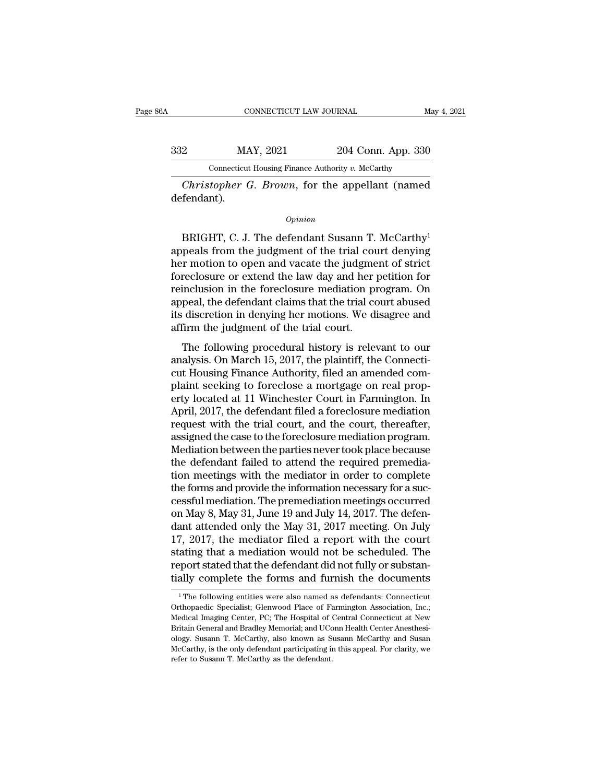| A   | CONNECTICUT LAW JOURNAL                           |                    | May 4, 2021 |
|-----|---------------------------------------------------|--------------------|-------------|
| 332 | MAY, 2021                                         | 204 Conn. App. 330 |             |
|     | Connecticut Housing Finance Authority v. McCarthy |                    |             |

*Opinion*

Connecticut Housing Finance Authority v. McCarthy<br>
Christopher G. Brown, for the appellant (named<br>
fendant).<br>
Opinion<br>
BRIGHT, C. J. The defendant Susann T. McCarthy<sup>1</sup><br>
peals from the judgment of the trial court denying<br> Christopher G. Brown, for the appellant (named<br>defendant).<br> $\frac{opinion}{opinion}$ <br>BRIGHT, C. J. The defendant Susann T. McCarthy<sup>1</sup><br>appeals from the judgment of the trial court denying<br>her motion to open and vacate the judgment of Christopher G. Brown, for the appellant (named<br>defendant).<br> $opinion$ <br> $BrIGHT$ , C. J. The defendant Susann T. McCarthy<sup>1</sup><br>appeals from the judgment of the trial court denying<br>her motion to open and vacate the judgment of strict<br>fo opinion<br>
opinion<br>
BRIGHT, C. J. The defendant Susann T. McCarthy<sup>1</sup><br>
appeals from the judgment of the trial court denying<br>
her motion to open and vacate the judgment of strict<br>
foreclosure or extend the law day and her pet **EXAMPLE CONTENT CONTENT CONTENT CONTEXT CONTEXT (CONTEXT)**<br>appeals from the judgment of the trial court denying<br>her motion to open and vacate the judgment of strict<br>foreclosure or extend the law day and her petition for<br>r BRIGHT, C. J. The defendant Susann T. McCarthy<sup>1</sup><br>appeals from the judgment of the trial court denying<br>her motion to open and vacate the judgment of strict<br>foreclosure or extend the law day and her petition for<br>reinclusio BRIGHT, C. J. The defendant Susann T. McCarthy<sup>1</sup><br>appeals from the judgment of the trial court denying<br>her motion to open and vacate the judgment of strict<br>foreclosure or extend the law day and her petition for<br>reinclusion appeals from the judgment of the trial counter motion to open and vacate the judgme<br>foreclosure or extend the law day and her<br>reinclusion in the foreclosure mediation pr<br>appeal, the defendant claims that the trial co<br>its d r motion to open and vacate the judgment of strict<br>reclosure or extend the law day and her petition for<br>inclusion in the foreclosure mediation program. On<br>peal, the defendant claims that the trial court abused<br>discretion i Foreclosure of extend the law day and her petrion for<br>reinclusion in the foreclosure mediation program. On<br>appeal, the defendant claims that the trial court abused<br>its discretion in denying her motions. We disagree and<br>aff

reficults of a final correction in the force<br>to appeal, the defendant claims that the trial court abused<br>its discretion in denying her motions. We disagree and<br>affirm the judgment of the trial court.<br>The following procedur appear, the deterministic trains that the trial court abused<br>its discretion in denying her motions. We disagree and<br>affirm the judgment of the trial court.<br>The following procedural history is relevant to our<br>analysis. On M restand at the judgment of the trial court.<br>The following procedural history is relevant to our<br>analysis. On March 15, 2017, the plaintiff, the Connecti-<br>cut Housing Finance Authority, filed an amended com-<br>plaint seeking The following procedural history is relevant to our analysis. On March 15, 2017, the plaintiff, the Connecticut Housing Finance Authority, filed an amended complaint seeking to foreclose a mortgage on real property located The following procedural history is relevant to our<br>analysis. On March 15, 2017, the plaintiff, the Connecti-<br>cut Housing Finance Authority, filed an amended com-<br>plaint seeking to foreclose a mortgage on real prop-<br>erty l analysis. On March 15, 2017, the plaintiff, the Connecticut Housing Finance Authority, filed an amended complaint seeking to foreclose a mortgage on real property located at 11 Winchester Court in Farmington. In April, 201 cut Housing Finance Authority, filed an amended complaint seeking to foreclose a mortgage on real property located at 11 Winchester Court in Farmington. In April, 2017, the defendant filed a foreclosure mediation request w plaint seeking to foreclose a mortgage on real property located at 11 Winchester Court in Farmington. In April, 2017, the defendant filed a foreclosure mediation request with the trial court, and the court, thereafter, ass erty located at 11 Winchester Court in Farmington. In<br>April, 2017, the defendant filed a foreclosure mediation<br>request with the trial court, and the court, thereafter,<br>assigned the case to the foreclosure mediation program April, 2017, the defendant filed a foreclosure mediation<br>request with the trial court, and the court, thereafter,<br>assigned the case to the foreclosure mediation program.<br>Mediation between the parties never took place beca request with the trial court, and the court, thereafter,<br>assigned the case to the foreclosure mediation program.<br>Mediation between the parties never took place because<br>the defendant failed to attend the required premedia-<br> assigned the case to the foreclosure mediation program.<br>Mediation between the parties never took place because<br>the defendant failed to attend the required premedia-<br>tion meetings with the mediator in order to complete<br>the Mediation between the parties never took place because<br>the defendant failed to attend the required premedia-<br>tion meetings with the mediator in order to complete<br>the forms and provide the information necessary for a suc-<br>c the defendant failed to attend the required premediation meetings with the mediator in order to complete the forms and provide the information necessary for a successful mediation. The premediation meetings occurred on May tion meetings with the mediator in order to complete<br>the forms and provide the information necessary for a suc-<br>cessful mediation. The premediation meetings occurred<br>on May 8, May 31, June 19 and July 14, 2017. The defen-<br> the forms and provide the information necessary for a successful mediation. The premediation meetings occurred<br>on May 8, May 31, June 19 and July 14, 2017. The defen-<br>dant attended only the May 31, 2017 meeting. On July<br>17 cessful mediation. The premediation meetings occurred<br>on May 8, May 31, June 19 and July 14, 2017. The defen-<br>dant attended only the May 31, 2017 meeting. On July<br>17, 2017, the mediator filed a report with the court<br>statin 17, 2017, the mediator filed a report with the court stating that a mediation would not be scheduled. The report stated that the defendant did not fully or substantially complete the forms and furnish the documents  $\frac{1}{$ stating that a mediation would not be scheduled. The<br>report stated that the defendant did not fully or substan-<br>tially complete the forms and furnish the documents<br><sup>1</sup>The following entities were also named as defendants: C

report stated that the defendant did not fully or substantially complete the forms and furnish the documents<br><sup>1</sup>The following entities were also named as defendants: Connecticut Orthopaedic Specialist; Glenwood Place of Fa tially complete the forms and furnish the documents<br>
<sup>1</sup> The following entities were also named as defendants: Connecticut<br>
Orthopaedic Specialist; Glenwood Place of Farmington Association, Inc.;<br>
Medical Imaging Center, P The following entities were also named as defendants: Connecticut<br>
The following entities were also named as defendants: Connecticut<br>
Orthopaedic Specialist; Glenwood Place of Farmington Association, Inc.;<br>
Medical Imaging <sup>1</sup> The following entities were also named as defendants: Connecticut Orthopaedic Specialist; Glenwood Place of Farmington Association, Inc.; Medical Imaging Center, PC; The Hospital of Central Connecticut at New Britain Medical Imaging Center, PC; The Hospital of Central Connecticut at New Britain General and Bradley Memorial; and UConn Health Center Anesthesiology. Susann T. McCarthy, also known as Susann McCarthy and Susan McCarthy, is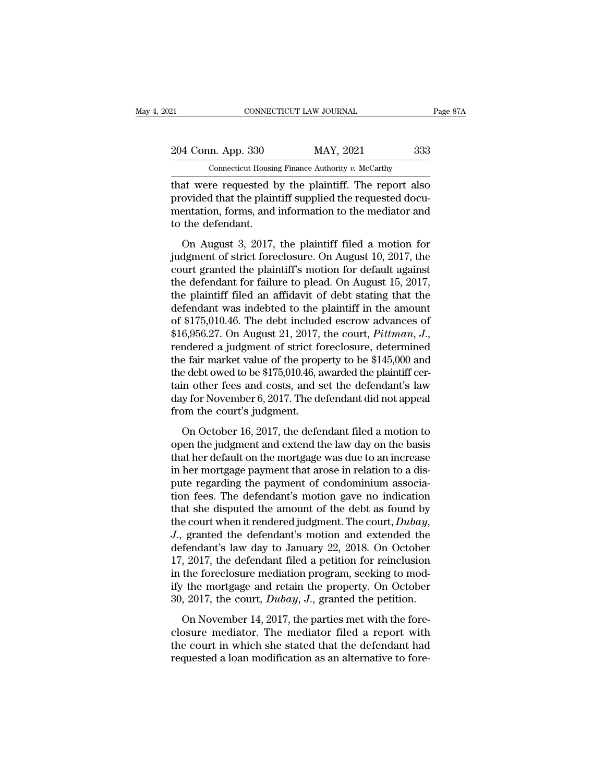| 21                                                   | CONNECTICUT LAW JOURNAL                           | Page 87A |
|------------------------------------------------------|---------------------------------------------------|----------|
| 204 Conn. App. 330                                   | MAY, 2021                                         | 333      |
|                                                      | Connecticut Housing Finance Authority v. McCarthy |          |
| that were requested by the plaintiff The report also |                                                   |          |

EXECTIVE DEAL THE REVIEW OF THE REVIEW ON THE REVIEW ON A SET ON A SET ONLY A SUPER CONNECTICUT LAW JOURNAL THAT A SUPER CONNECTION of the plaintiff. The report also provided that the plaintiff supplied the requested docum 204 Conn. App. 330 MAY, 2021 333<br>
Connecticut Housing Finance Authority v. McCarthy<br>
that were requested by the plaintiff. The report also<br>
provided that the plaintiff supplied the requested docu-<br>
mentation, forms, and in 204 Conn. App. 330 MAY, 2021 333<br>
Connecticut Housing Finance Authority v. McCarthy<br>
that were requested by the plaintiff. The report also<br>
provided that the plaintiff supplied the requested documentation, forms, and info 204 Conn. App. 330<br>
Connecticut Housin<br>
that were requested b<br>
provided that the plain<br>
mentation, forms, and<br>
to the defendant.<br>
On August 3, 2017, Connecticut Housing Finance Authority v. McCarthy<br>
at were requested by the plaintiff. The report also<br>
ovided that the plaintiff supplied the requested docu-<br>
entation, forms, and information to the mediator and<br>
the def that were requested by the plaintiff. The report also<br>provided that the plaintiff supplied the requested documentation, forms, and information to the mediator and<br>to the defendant.<br>On August 3, 2017, the plaintiff filed a

France Tequested by the plaint. The report association provided that the plaintiff supplied the requested documentation, forms, and information to the mediator and to the defendant.<br>On August 3, 2017, the plaintiff filed a provided that the plantiff supplied the requested doed<br>mentation, forms, and information to the mediator and<br>to the defendant.<br>On August 3, 2017, the plaintiff filed a motion for<br>judgment of strict foreclosure. On August 1 to the defendant.<br>
On August 3, 2017, the plaintiff filed a motion for<br>
judgment of strict foreclosure. On August 10, 2017, the<br>
court granted the plaintiff's motion for default against<br>
the defendant for failure to plead. On August 3, 2017, the plaintiff filed a motion for<br>judgment of strict foreclosure. On August 10, 2017, the<br>court granted the plaintiff's motion for default against<br>the defendant for failure to plead. On August 15, 2017,<br> On August 3, 2017, the plaintiff filed a motion for<br>judgment of strict foreclosure. On August 10, 2017, the<br>court granted the plaintiff's motion for default against<br>the defendant for failure to plead. On August 15, 2017,<br> judgment of strict foreclosure. On August 10, 2017, the<br>court granted the plaintiff's motion for default against<br>the defendant for failure to plead. On August 15, 2017,<br>the plaintiff filed an affidavit of debt stating that the defendant for failure to plead. On August 15, 2017,<br>the plaintiff filed an affidavit of debt stating that the<br>defendant was indebted to the plaintiff in the amount<br>of \$175,010.46. The debt included escrow advances of<br> the plaintiff filed an affidavit of debt stating that the defendant was indebted to the plaintiff in the amount of \$175,010.46. The debt included escrow advances of \$16,956.27. On August 21, 2017, the court,  $Pittman$ ,  $J$ , r defendant was indebted to the plaintiff in the amount<br>of \$175,010.46. The debt included escrow advances of<br>\$16,956.27. On August 21, 2017, the court, *Pittman*, *J.*,<br>rendered a judgment of strict foreclosure, determined<br>t of \$175,010.46. The debt included escrow advances of \$16,956.27. On August 21, 2017, the court, *Pittman*, *J*., rendered a judgment of strict foreclosure, determined the fair market value of the property to be \$145,000 an  $$16,956.27$ . On August 21, 2017,<br>rendered a judgment of strict fc<br>the fair market value of the prop<br>the debt owed to be  $$175,010.46$ , a<br>tain other fees and costs, and s<br>day for November 6, 2017. The de<br>from the court's ratered a jacquierit of strict forcerssare, determined<br>e fair market value of the property to be \$145,000 and<br>e debt owed to be \$175,010.46, awarded the plaintiff cer-<br>in other fees and costs, and set the defendant's law<br>y the debt owed to be \$175,010.46, awarded the plaintiff certain other fees and costs, and set the defendant's law day for November 6, 2017. The defendant did not appeal from the court's judgment.<br>On October 16, 2017, the d

tain other fees and costs, and set the defendant's law<br>day for November 6, 2017. The defendant did not appeal<br>from the court's judgment.<br>On October 16, 2017, the defendant filed a motion to<br>open the judgment and extend the day for November 6, 2017. The defendant did not appeal<br>from the court's judgment.<br>On October 16, 2017, the defendant filed a motion to<br>open the judgment and extend the law day on the basis<br>that her default on the mortgage put in the court's judgment.<br>
On October 16, 2017, the defendant filed a motion to<br>
open the judgment and extend the law day on the basis<br>
that her default on the mortgage was due to an increase<br>
in her mortgage payment th on october 16, 2017, the defendant filed a motion to<br>open the judgment and extend the law day on the basis<br>that her default on the mortgage was due to an increase<br>in her mortgage payment that arose in relation to a dis-<br>p On October 16, 2017, the defendant filed a motion to<br>open the judgment and extend the law day on the basis<br>that her default on the mortgage was due to an increase<br>in her mortgage payment that arose in relation to a dis-<br>p open the judgment and extend the law day on the basis<br>that her default on the mortgage was due to an increase<br>in her mortgage payment that arose in relation to a dis-<br>pute regarding the payment of condominium associa-<br>tion in her mortgage payment that arose in relation to a dis-<br>pute regarding the payment of condominium associa-<br>tion fees. The defendant's motion gave no indication<br>that she disputed the amount of the debt as found by<br>the cou pute regarding the payment of condominium association fees. The defendant's motion gave no indication<br>that she disputed the amount of the debt as found by<br>the court when it rendered judgment. The court,  $Dubay$ ,<br> $J$ ., grant tion fees. The defendant's motion gave no indication<br>that she disputed the amount of the debt as found by<br>the court when it rendered judgment. The court,  $Dubay$ ,<br> $J$ ., granted the defendant's motion and extended the<br>defend that she disputed the amount of the debt as found by<br>the court when it rendered judgment. The court,  $Dubay$ ,<br>J., granted the defendant's motion and extended the<br>defendant's law day to January 22, 2018. On October<br>17, 2017, the court when it rendered judgment. The court,  $Dubay$ ,  $J$ ., granted the defendant's motion and extended the defendant's law day to January 22, 2018. On October 17, 2017, the defendant filed a petition for reinclusion in fendant's law day to January 22, 2018. On October, 2017, the defendant filed a petition for reinclusion the foreclosure mediation program, seeking to moder the mortgage and retain the property. On October, 2017, the court 17, 2017, the defendant filed a petition for reinclusion<br>in the foreclosure mediation program, seeking to mod-<br>ify the mortgage and retain the property. On October<br>30, 2017, the court, *Dubay*, *J.*, granted the petition.

It, 2011, are determined a perform for remembership in the foreclosure mediation program, seeking to modify the mortgage and retain the property. On October 30, 2017, the court, *Dubay*, *J*., granted the petition.<br>On Nov ify the mortgage and retain the property. On October 30, 2017, the court, *Dubay*, *J*., granted the petition.<br>On November 14, 2017, the parties met with the fore-<br>closure mediator. The mediator filed a report with<br>the co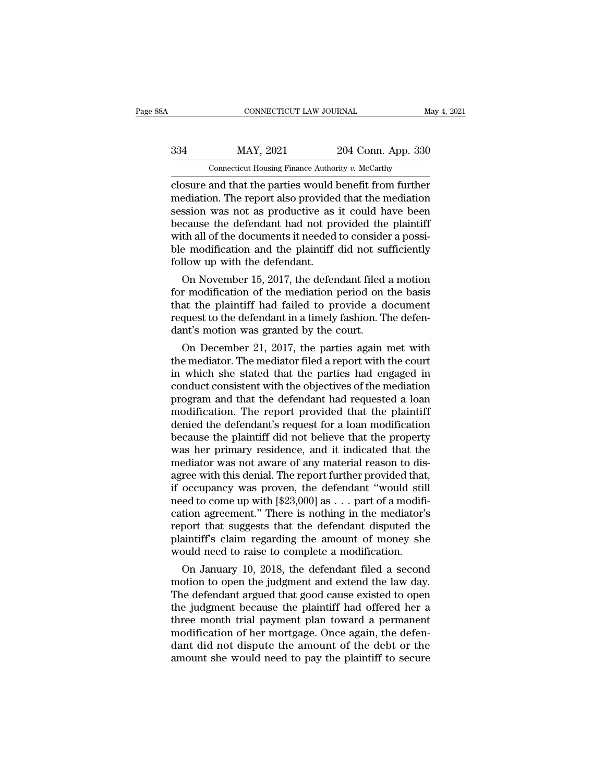# EXECUTE CONNECTICUT LAW JOURNAL May 4, 2021<br>334 MAY, 2021 204 Conn. App. 330<br>204 Connecticut Housing Finance Authority v. McCarthy CONNECTICUT LAW JOURNAL<br>MAY, 2021 204 Conn. App. 330<br>Connecticut Housing Finance Authority *v. McCarthy*<br>and that the parties would benefit from further

CONNECTICUT LAW JOURNAL May 4, 2021<br>
204 Conn. App. 330<br>
Connecticut Housing Finance Authority v. McCarthy<br>
Closure and that the parties would benefit from further<br>
mediation. The report also provided that the mediation<br>
s MAY, 2021 204 Conn. App. 330<br>
Connecticut Housing Finance Authority v. McCarthy<br>
Closure and that the parties would benefit from further<br>
mediation. The report also provided that the mediation<br>
session was not as productiv  $\begin{tabular}{ c c c c} \multicolumn{1}{c}{{\bf{MAY, 2021}}} & {\bf{204 Conn. App. 330}}\\ \hline \multicolumn{1}{c}{{\bf{Connecticut Housing Finance Authority $v. McCarthy}}} \\ \hline \multicolumn{1}{c}{{\bf{closure and that the parties would benefit from further} }}\\ \hline \multicolumn{1}{c}{{\bf{median in the report also provided that the mediator}}}\\ \hline \multicolumn{1}{c}{{\bf{Hul.} The report also provided that the mediator} }\\ \hline \multicolumn{1}{c}{{\bf{Hul.} The development of a model to consider a possi} }\\ \hline \multicolumn{1}{c}{{\bf{Hul.} The development$  $\frac{334}{204}$  MAY, 2021 204 Conn. App. 330<br>
Connecticut Housing Finance Authority v. McCarthy<br>
closure and that the parties would benefit from further<br>
mediation. The report also provided that the mediation<br>
session was n Connecticut Housing Finance Authority v. McCarthy<br>Closure and that the parties would benefit from further<br>mediation. The report also provided that the mediation<br>session was not as productive as it could have been<br>because t Connecticut Housing Finance Authority  $v$ . McCarthy<br>closure and that the parties would benefit from further<br>mediation. The report also provided that the mediation<br>session was not as productive as it could have been<br>becaus closure and that the parties would hediation. The report also provided<br>session was not as productive as<br>because the defendant had not pr<br>with all of the documents it needed<br>ble modification and the plaintiff<br>follow up with equation. The report also provided that the mediation<br>ssion was not as productive as it could have been<br>cause the defendant had not provided the plaintiff<br>th all of the documents it needed to consider a possi-<br>e-modificati session was not as productive as it could nave been<br>because the defendant had not provided the plaintiff<br>with all of the documents it needed to consider a possi-<br>ble modification and the plaintiff did not sufficiently<br>foll

because the detendant had not provided the plaintiff<br>with all of the documents it needed to consider a possi-<br>ble modification and the plaintiff did not sufficiently<br>follow up with the defendant.<br>On November 15, 2017, the with all of the documents it needed to consider a possible modification and the plaintiff did not sufficiently follow up with the defendant.<br>On November 15, 2017, the defendant filed a motion for modification of the mediat ble modification and the plaintiff did not sufollow up with the defendant.<br>
On November 15, 2017, the defendant filed<br>
for modification of the mediation period on<br>
that the plaintiff had failed to provide a d<br>
request to t On November 15, 2017, the defendant filed a motion<br>r modification of the mediation period on the basis<br>at the plaintiff had failed to provide a document<br>quest to the defendant in a timely fashion. The defen-<br>nt's motion w On November 15, 2017, the defendant filed a motion<br>for modification of the mediation period on the basis<br>that the plaintiff had failed to provide a document<br>request to the defendant in a timely fashion. The defen-<br>dant's

for modification of the mediation period on the basis<br>that the plaintiff had failed to provide a document<br>request to the defendant in a timely fashion. The defen-<br>dant's motion was granted by the court.<br>On December 21, 201 that the plaintiff had failed to provide a document<br>request to the defendant in a timely fashion. The defen-<br>dant's motion was granted by the court.<br>On December 21, 2017, the parties again met with<br>the mediator. The mediat request to the defendant in a timely fashion. The defendant's motion was granted by the court.<br>
On December 21, 2017, the parties again met with<br>
the mediator. The mediator filed a report with the court<br>
in which she state dent is motion was granted by the court.<br>
On December 21, 2017, the parties again met with<br>
the mediator. The mediator filed a report with the court<br>
in which she stated that the parties had engaged in<br>
conduct consistent On December 21, 2017, the parties again met with<br>the mediator. The mediator filed a report with the court<br>in which she stated that the parties had engaged in<br>conduct consistent with the objectives of the mediation<br>program the mediator. The mediator filed a report with the court<br>in which she stated that the parties had engaged in<br>conduct consistent with the objectives of the mediation<br>program and that the defendant had requested a loan<br>modif in which she stated that the parties had engaged in<br>conduct consistent with the objectives of the mediation<br>program and that the defendant had requested a loan<br>modification. The report provided that the plaintiff<br>denied th conduct consistent with the objectives of the mediation<br>program and that the defendant had requested a loan<br>modification. The report provided that the plaintiff<br>denied the defendant's request for a loan modification<br>becaus program and that the defendant had requested a loan<br>modification. The report provided that the plaintiff<br>denied the defendant's request for a loan modification<br>because the plaintiff did not believe that the property<br>was he modification. The report provided that the plaintiff<br>denied the defendant's request for a loan modification<br>because the plaintiff did not believe that the property<br>was her primary residence, and it indicated that the<br>medi denied the defendant's request for a loan modification<br>because the plaintiff did not believe that the property<br>was her primary residence, and it indicated that the<br>mediator was not aware of any material reason to dis-<br>agre because the plaintiff did not believe that the property<br>was her primary residence, and it indicated that the<br>mediator was not aware of any material reason to dis-<br>agree with this denial. The report further provided that,<br>i was her primary residence, and it indicated that the<br>mediator was not aware of any material reason to dis-<br>agree with this denial. The report further provided that,<br>if occupancy was proven, the defendant "would still<br>need mediator was not aware of any material reason to dis-<br>agree with this denial. The report further provided that,<br>if occupancy was proven, the defendant "would still<br>need to come up with [\$23,000] as . . . part of a modifi-<br> agree with this denial. The report further provided that<br>if occupancy was proven, the defendant "would still<br>need to come up with  $[23,000]$  as . . . part of a modification agreement." There is nothing in the mediator"<br>re occupancy was proven, the defendant would still<br>ed to come up with [\$23,000] as  $\dots$  part of a modifi-<br>tion agreement." There is nothing in the mediator's<br>port that suggests that the defendant disputed the<br>aintiff's claim motion agreement." There is nothing in the mediator's<br>report that suggests that the defendant disputed the<br>plaintiff's claim regarding the amount of money she<br>would need to raise to complete a modification.<br>On January 10,

cauon agreement." There is nothing in the mediator's<br>report that suggests that the defendant disputed the<br>plaintiff's claim regarding the amount of money she<br>would need to raise to complete a modification.<br>On January 10, 2 report that suggests that the detendant disputed the<br>plaintiff's claim regarding the amount of money she<br>would need to raise to complete a modification.<br>On January 10, 2018, the defendant filed a second<br>motion to open the plantiful secular regarding the amount of money she<br>would need to raise to complete a modification.<br>On January 10, 2018, the defendant filed a second<br>motion to open the judgment and extend the law day.<br>The defendant argued would need to raise to complete a modification.<br>On January 10, 2018, the defendant filed a second<br>motion to open the judgment and extend the law day.<br>The defendant argued that good cause existed to open<br>the judgment becaus On January 10, 2018, the defendant filed a second<br>motion to open the judgment and extend the law day.<br>The defendant argued that good cause existed to open<br>the judgment because the plaintiff had offered her a<br>three month tr motion to open the judgment and extend the law day.<br>The defendant argued that good cause existed to open<br>the judgment because the plaintiff had offered her a<br>three month trial payment plan toward a permanent<br>modification o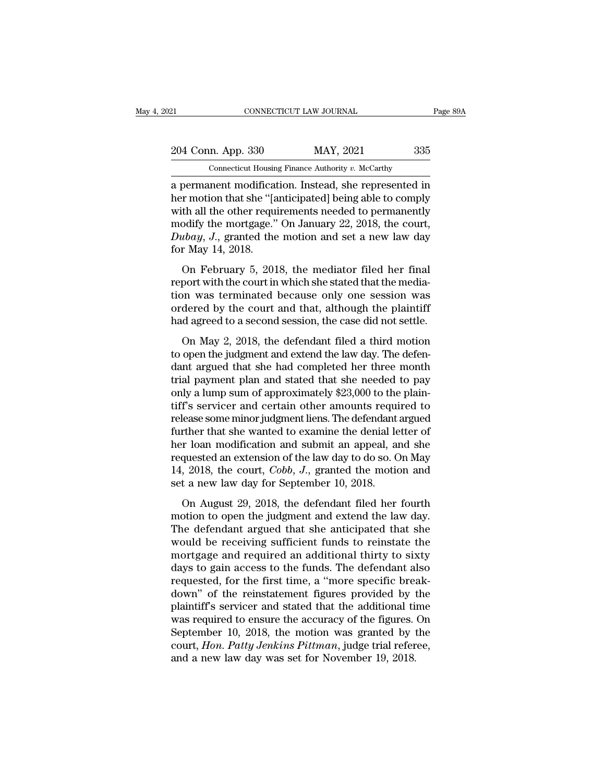EXECUTE 21 CONNECTICUT LAW JOURNAL Page 89A<br>204 Conn. App. 330 MAY, 2021 335<br>Connecticut Housing Finance Authority v. McCarthy CONNECTICUT LAW JOURNAL<br>
204 Conn. App. 330 MAY, 2021 335<br>
Connecticut Housing Finance Authority *v.* McCarthy<br>
a permanent modification. Instead, she represented in

EXECTIVE DURINAL Page 89A<br>
204 Conn. App. 330 MAY, 2021 335<br>
204 Connecticut Housing Finance Authority v. McCarthy<br>
201 Connecticut Housing Finance Authority v. McCarthy<br>
201 Dermanent modification. Instead, she represente 204 Conn. App. 330 MAY, 2021 335<br>
Connecticut Housing Finance Authority v. McCarthy<br>
a permanent modification. Instead, she represented in<br>
her motion that she "[anticipated] being able to comply<br>
with all the other requir 204 Conn. App. 330 MAY, 2021 335<br>
Connecticut Housing Finance Authority v. McCarthy<br>
a permanent modification. Instead, she represented in<br>
her motion that she "[anticipated] being able to comply<br>
with all the other requi 204 Conn. App. 330 MAY, 2021 335<br>
Connecticut Housing Finance Authority v. McCarthy<br>
a permanent modification. Instead, she represented in<br>
her motion that she "[anticipated] being able to comply<br>
with all the other requi Contain 1<sub>1</sub> Procedure 1.1111, 2011<br> *Dubayed a permanent modification.* Instead, she represented in<br>
her motion that she "[anticipated] being able to comply<br>
with all the other requirements needed to permanently<br>
modify t Connecticut Housin<br>
a permanent modificat<br>
her motion that she "[a<br>
with all the other requi<br>
modify the mortgage."<br>
Dubay, J., granted the<br>
for May 14, 2018.<br>
On February 5, 201 bermancin modification. Instead, site represented in<br>
Ir motion that she "[anticipated] being able to comply<br>
th all the other requirements needed to permanently<br>
odify the mortgage." On January 22, 2018, the court,<br> *thay* ref model and she funct-pated forms able to comply<br>with all the other requirements needed to permanently<br>modify the mortgage." On January 22, 2018, the court,<br> $Dubay$ , J., granted the motion and set a new law day<br>for May 14

which an the other requirements needed to permanently<br>modify the mortgage." On January 22, 2018, the court,<br>Dubay, J., granted the motion and set a new law day<br>for May 14, 2018.<br>On February 5, 2018, the mediator filed her modary are mortgage. On standary 22, 2010, the court,  $Dubay$ , J., granted the motion and set a new law day for May 14, 2018.<br>On February 5, 2018, the mediator filed her final report with the court in which she stated that  $Baway$ ,  $\sigma$ , granted are included and set a new haw day<br>for May 14, 2018.<br>On February 5, 2018, the mediator filed her final<br>report with the court in which she stated that the media-<br>tion was terminated because only one se On February 5, 2018, the mediator filed her final<br>port with the court in which she stated that the media-<br>on was terminated because only one session was<br>dered by the court and that, although the plaintiff<br>d agreed to a sec on February 9, 2010, the mediator fired for final<br>report with the court in which she stated that the media-<br>tion was terminated because only one session was<br>ordered by the court and that, although the plaintiff<br>had agreed

report what are court in which she stated that the media<br>tion was terminated because only one session was<br>ordered by the court and that, although the plaintiff<br>had agreed to a second session, the case did not settle.<br>On Ma from was commatted because only one session was<br>ordered by the court and that, although the plaintiff<br>had agreed to a second session, the case did not settle.<br>On May 2, 2018, the defendant filed a third motion<br>to open the ondered by the court and that, although the plainting<br>had agreed to a second session, the case did not settle.<br>On May 2, 2018, the defendant filed a third motion<br>to open the judgment and extend the law day. The defen-<br>dant In May 2, 2018, the defendant filed a third motion<br>to open the judgment and extend the law day. The defen-<br>dant argued that she had completed her three month<br>trial payment plan and stated that she needed to pay<br>only a lump On May 2, 2018, the defendant filed a third motion<br>to open the judgment and extend the law day. The defen-<br>dant argued that she had completed her three month<br>trial payment plan and stated that she needed to pay<br>only a lump to open the judgment and extend the law day. The defendant argued that she had completed her three month<br>trial payment plan and stated that she needed to pay<br>only a lump sum of approximately \$23,000 to the plain-<br>tiff's se dant argued that she had completed her three month<br>trial payment plan and stated that she needed to pay<br>only a lump sum of approximately \$23,000 to the plain-<br>tiff's servicer and certain other amounts required to<br>release trial payment plan and stated that she needed to pay<br>only a lump sum of approximately \$23,000 to the plain-<br>tiff's servicer and certain other amounts required to<br>release some minor judgment liens. The defendant argued<br>fur only a lump sum of approximately \$23,000 to the plain-<br>tiff's servicer and certain other amounts required to<br>release some minor judgment liens. The defendant argued<br>further that she wanted to examine the denial letter of<br>h tiff's servicer and certain other amounts requirelease some minor judgment liens. The defendant further that she wanted to examine the denial lever loan modification and submit an appeal, and requested an extension of the refluence that she wanted to examine the denial letter of<br>ther that she wanted to examine the denial letter of<br>r loan modification and submit an appeal, and she<br>quested an extension of the law day to do so. On May<br>, 2018, motion that the wanted to channic the definal retact of<br>her loan modification and submit an appeal, and she<br>requested an extension of the law day to do so. On May<br>14, 2018, the court, *Cobb*, *J.*, granted the motion and<br>s

requested an extension of the law day to do so. On May 14, 2018, the court, *Cobb*, *J*., granted the motion and set a new law day for September 10, 2018.<br>On August 29, 2018, the defendant filed her fourth motion to open 14, 2018, the court, *Cobb*, *J*., granted the motion and<br>set a new law day for September 10, 2018.<br>On August 29, 2018, the defendant filed her fourth<br>motion to open the judgment and extend the law day.<br>The defendant argu more and required an additional thirty to sixty<br>day to perfect and republement and extend the fourth<br>motion to open the judgment and extend the law day.<br>The defendant argued that she anticipated that she<br>would be receivin on August 29, 2018, the defendant filed her fourth<br>motion to open the judgment and extend the law day.<br>The defendant argued that she anticipated that she<br>would be receiving sufficient funds to reinstate the<br>mortgage and re On August 29, 2018, the defendant filed her fourth<br>motion to open the judgment and extend the law day.<br>The defendant argued that she anticipated that she<br>would be receiving sufficient funds to reinstate the<br>mortgage and re motion to open the judgment and extend the law day.<br>The defendant argued that she anticipated that she<br>would be receiving sufficient funds to reinstate the<br>mortgage and required an additional thirty to sixty<br>days to gain a The defendant argued that she anticipated that she<br>would be receiving sufficient funds to reinstate the<br>mortgage and required an additional thirty to sixty<br>days to gain access to the funds. The defendant also<br>requested, fo would be receiving sufficient funds to reinstate the<br>mortgage and required an additional thirty to sixty<br>days to gain access to the funds. The defendant also<br>requested, for the first time, a "more specific break-<br>down" of mortgage and required an additional thirty to sixty<br>days to gain access to the funds. The defendant also<br>requested, for the first time, a "more specific break-<br>down" of the reinstatement figures provided by the<br>plaintiff's days to gain access to the funds. The defendant also<br>requested, for the first time, a "more specific break-<br>down" of the reinstatement figures provided by the<br>plaintiff's servicer and stated that the additional time<br>was re requested, for the first time, a "more specific breadown" of the reinstatement figures provided by the plaintiff's servicer and stated that the additional tiwas required to ensure the accuracy of the figures.<br>September 10,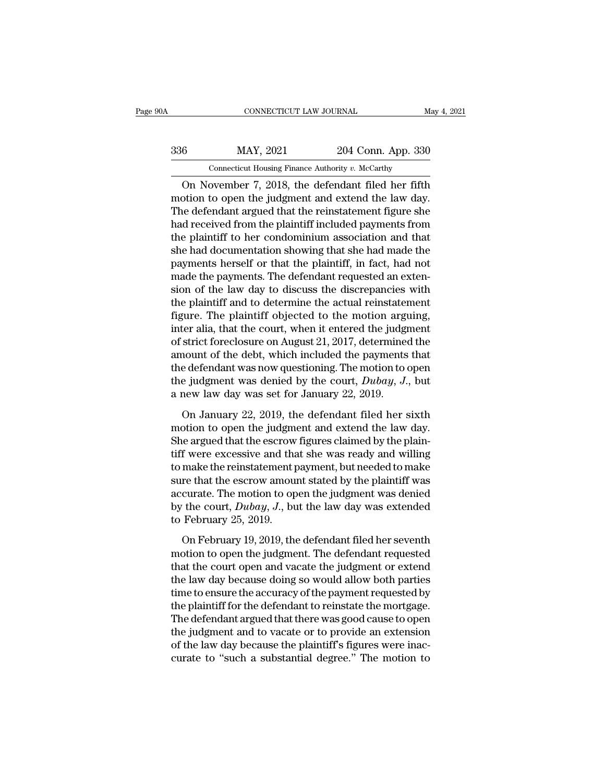| 0A  | CONNECTICUT LAW JOURNAL                           |                    | May 4, 2021 |
|-----|---------------------------------------------------|--------------------|-------------|
| 336 | MAY, 2021                                         | 204 Conn. App. 330 |             |
|     | Connecticut Housing Finance Authority v. McCarthy |                    |             |
|     | On November 7 2018 the defendant filed her fifth  |                    |             |

CONNECTICUT LAW JOURNAL May 4, 2021<br>
6 MAY, 2021 204 Conn. App. 330<br>
Connecticut Housing Finance Authority v. McCarthy<br>
On November 7, 2018, the defendant filed her fifth<br>
otion to open the judgment and extend the law day. MAY, 2021 204 Conn. App. 330<br>
Connecticut Housing Finance Authority v. McCarthy<br>
On November 7, 2018, the defendant filed her fifth<br>
motion to open the judgment and extend the law day.<br>
The defendant argued that the reinst  $\frac{\text{MAY, 2021}}{\text{Comecticut Housing Finance Authority } v. \text{ McCarthy}}$ <br>On November 7, 2018, the defendant filed her fifth<br>motion to open the judgment and extend the law day.<br>The defendant argued that the reinstatement figure she<br>had received from the plain  $\frac{\text{MAY, 2021}}{\text{Commetric}}$   $\frac{204 \text{ Conn. App. 330}}{\text{Commetric. How many}}$ <br>
On November 7, 2018, the defendant filed her fifth<br>
motion to open the judgment and extend the law day.<br>
The defendant argued that the reinstatement figure she<br>
had re Connecticut Housing Finance Authority v. McCarthy<br>
On November 7, 2018, the defendant filed her fifth<br>
motion to open the judgment and extend the law day.<br>
The defendant argued that the reinstatement figure she<br>
had recei Connected Housing Finance Authority v. McCartity<br>
On November 7, 2018, the defendant filed her fifth<br>
motion to open the judgment and extend the law day.<br>
The defendant argued that the reinstatement figure she<br>
had receiv On November 7, 2018, the defendant filed her fifth<br>motion to open the judgment and extend the law day.<br>The defendant argued that the reinstatement figure she<br>had received from the plaintiff included payments from<br>the plain motion to open the judgment and extend the law day.<br>The defendant argued that the reinstatement figure she<br>had received from the plaintiff included payments from<br>the plaintiff to her condominium association and that<br>she ha The defendant argued that the reinstatement figure she<br>had received from the plaintiff included payments from<br>the plaintiff to her condominium association and that<br>she had documentation showing that she had made the<br>paymen had received from the plaintiff included payments from<br>the plaintiff to her condominium association and that<br>she had documentation showing that she had made the<br>payments herself or that the plaintiff, in fact, had not<br>made the plaintiff to her condominium association and that<br>she had documentation showing that she had made the<br>payments herself or that the plaintiff, in fact, had not<br>made the payments. The defendant requested an exten-<br>sion she had documentation showing that she had made the payments herself or that the plaintiff, in fact, had not made the payments. The defendant requested an extension of the law day to discuss the discrepancies with the plai payments herself or that the plaintiff, in fact, had not<br>made the payments. The defendant requested an exten-<br>sion of the law day to discuss the discrepancies with<br>the plaintiff and to determine the actual reinstatement<br>fi made the payments. The defendant requested an extension of the law day to discuss the discrepancies with<br>the plaintiff and to determine the actual reinstatement<br>figure. The plaintiff objected to the motion arguing,<br>inter sion of the law day to discuss the discrepancies with<br>the plaintiff and to determine the actual reinstatement<br>figure. The plaintiff objected to the motion arguing,<br>inter alia, that the court, when it entered the judgment<br> the plaintiff and to determine the actual reinstatement<br>figure. The plaintiff objected to the motion arguing,<br>inter alia, that the court, when it entered the judgment<br>of strict foreclosure on August 21, 2017, determined th figure. The plaintiff objected to the motion arguiter alia, that the court, when it entered the judge of strict foreclosure on August 21, 2017, determined amount of the debt, which included the payments the defendant was strict foreclosure on August 21, 2017, determined the<br>nount of the debt, which included the payments that<br>e defendant was now questioning. The motion to open<br>e judgment was denied by the court,  $Dubay$ ,  $J$ ., but<br>new law da amount of the debt, which included the payments that<br>the defendant was now questioning. The motion to open<br>the judgment was denied by the court, *Dubay*, *J*., but<br>a new law day was set for January 22, 2019.<br>On January 22

the defendant was now questioning. The motion to open<br>the judgment was denied by the court,  $Dubay$ ,  $J$ ., but<br>a new law day was set for January 22, 2019.<br>On January 22, 2019, the defendant filed her sixth<br>motion to open th the judgment was denied by the court, *Dubay*, *J*., but<br>a new law day was set for January 22, 2019.<br>On January 22, 2019, the defendant filed her sixth<br>motion to open the judgment and extend the law day.<br>She argued that t a new law day was set for January 22, 2019.<br>
On January 22, 2019, the defendant filed her sixth<br>
motion to open the judgment and extend the law day.<br>
She argued that the escrow figures claimed by the plain-<br>
tiff were exc On January 22, 2019, the defendant filed her sixth<br>motion to open the judgment and extend the law day.<br>She argued that the escrow figures claimed by the plain-<br>tiff were excessive and that she was ready and willing<br>to mak On January 22, 2019, the defendant filed her sixth<br>motion to open the judgment and extend the law day.<br>She argued that the escrow figures claimed by the plain-<br>tiff were excessive and that she was ready and willing<br>to mak motion to open the judgment and extend the law day.<br>She argued that the escrow figures claimed by the plain-<br>tiff were excessive and that she was ready and willing<br>to make the reinstatement payment, but needed to make<br>sure She argued that the escrow<br>tiff were excessive and that<br>to make the reinstatement p<br>sure that the escrow amou<br>accurate. The motion to op<br>by the court,  $Dubay$ , J., bu<br>to February 25, 2019.<br>On February 19, 2019, the make the reinstatement payment, but needed to make<br>re that the escrow amount stated by the plaintiff was<br>curate. The motion to open the judgment was denied<br>the court,  $Dubay$ ,  $J$ ., but the law day was extended<br>February 25, sure that the escrow amount stated by the plaintiff was<br>accurate. The motion to open the judgment was denied<br>by the court,  $Dubay$ ,  $J$ ., but the law day was extended<br>to February 25, 2019.<br>On February 19, 2019, the defendan

accurate. The motion to open the judgment was denied<br>by the court,  $Dubay$ ,  $J$ ., but the law day was extended<br>to February 25, 2019.<br>On February 19, 2019, the defendant filed her seventh<br>motion to open the judgment. The def by the court, *Dubay*, *J*., but the law day was extended<br>to February 25, 2019.<br>On February 19, 2019, the defendant filed her seventh<br>motion to open the judgment. The defendant requested<br>that the court open and vacate the to February 25, 2019.<br>
On February 19, 2019, the defendant filed her seventh<br>
motion to open the judgment. The defendant requested<br>
that the court open and vacate the judgment or extend<br>
the law day because doing so would On February 19, 2019, the defendant filed her seventh<br>motion to open the judgment. The defendant requested<br>that the court open and vacate the judgment or extend<br>the law day because doing so would allow both parties<br>time to On February 19, 2019, the defendant filed her seventh<br>motion to open the judgment. The defendant requested<br>that the court open and vacate the judgment or extend<br>the law day because doing so would allow both parties<br>time to motion to open the judgment. The defendant requested<br>that the court open and vacate the judgment or extend<br>the law day because doing so would allow both parties<br>time to ensure the accuracy of the payment requested by<br>the p that the court open and vacate the judgment or extend<br>the law day because doing so would allow both parties<br>time to ensure the accuracy of the payment requested by<br>the plaintiff for the defendant to reinstate the mortgage. the law day because doing so would allow both parties<br>time to ensure the accuracy of the payment requested by<br>the plaintiff for the defendant to reinstate the mortgage.<br>The defendant argued that there was good cause to ope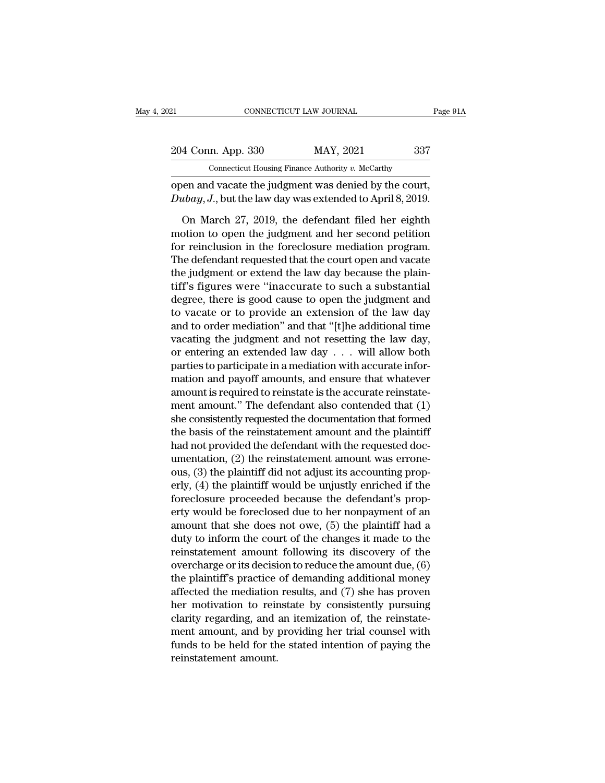| 21                 | CONNECTICUT LAW JOURNAL                                                                                            | Page 91A |
|--------------------|--------------------------------------------------------------------------------------------------------------------|----------|
| 204 Conn. App. 330 | MAY, 2021                                                                                                          | 337      |
|                    | Connecticut Housing Finance Authority v. McCarthy                                                                  |          |
|                    | open and vacate the judgment was denied by the court,<br>Dubay, J., but the law day was extended to April 8, 2019. |          |
|                    | On March 27, 2019, the defendant filed her eighth                                                                  |          |

4 Conn. App. 330 MAY, 2021 337<br>
Connecticut Housing Finance Authority v. McCarthy<br>
Jeen and vacate the judgment was denied by the court,<br>  $u b a y, J$ , but the law day was extended to April 8, 2019.<br>
On March 27, 2019, the de Connecticut Housing Finance Authority v. McCarthy<br>
open and vacate the judgment was denied by the court,<br>
Dubay, J., but the law day was extended to April 8, 2019.<br>
On March 27, 2019, the defendant filed her eighth<br>
motio Connecticut Housing Finance Authority v. McCarthy<br>
open and vacate the judgment was denied by the court,<br>  $Dubay, J.,$  but the law day was extended to April 8, 2019.<br>
On March 27, 2019, the defendant filed her eighth<br>
motion open and vacate the judgment was denied by the court,<br>  $Dubay, J$ ., but the law day was extended to April 8, 2019.<br>
On March 27, 2019, the defendant filed her eighth<br>
motion to open the judgment and her second petition<br>
for Dubay, J., but the law day was extended to April 8, 2019.<br>
On March 27, 2019, the defendant filed her eighth<br>
motion to open the judgment and her second petition<br>
for reinclusion in the foreclosure mediation program.<br>
The On March 27, 2019, the defendant filed her eighth<br>motion to open the judgment and her second petition<br>for reinclusion in the foreclosure mediation program.<br>The defendant requested that the court open and vacate<br>the judgmen On March 27, 2019, the defendant filed her eighth<br>motion to open the judgment and her second petition<br>for reinclusion in the foreclosure mediation program.<br>The defendant requested that the court open and vacate<br>the judgmen motion to open the judgment and her second petition<br>for reinclusion in the foreclosure mediation program.<br>The defendant requested that the court open and vacate<br>the judgment or extend the law day because the plain-<br>tiff's for reinclusion in the foreclosure mediation program.<br>The defendant requested that the court open and vacate<br>the judgment or extend the law day because the plain-<br>tiff's figures were "inaccurate to such a substantial<br>degre The defendant requested that the court open and vacate<br>the judgment or extend the law day because the plain-<br>tiff's figures were "inaccurate to such a substantial<br>degree, there is good cause to open the judgment and<br>to va the judgment or extend the law day because the plain-<br>tiff's figures were "inaccurate to such a substantial<br>degree, there is good cause to open the judgment and<br>to vacate or to provide an extension of the law day<br>and to o tiff's figures were "inaccurate to such a substantial<br>degree, there is good cause to open the judgment and<br>to vacate or to provide an extension of the law day<br>and to order mediation" and that "[t]he additional time<br>vacati degree, there is good cause to open the judgment and<br>to vacate or to provide an extension of the law day<br>and to order mediation" and that "[t]he additional time<br>vacating the judgment and not resetting the law day,<br>or enter to vacate or to provide an extension of the law day<br>and to order mediation" and that "[t]he additional time<br>vacating the judgment and not resetting the law day,<br>or entering an extended law day  $\dots$  will allow both<br>parties and to order mediation" and that "[t]he additional time<br>vacating the judgment and not resetting the law day,<br>or entering an extended law day  $\ldots$  will allow both<br>parties to participate in a mediation with accurate inforvacating the judgment and not resetting the law day,<br>or entering an extended law day  $\ldots$  will allow both<br>parties to participate in a mediation with accurate infor-<br>mation and payoff amounts, and ensure that whatever<br>amo or entering an extended law day  $\ldots$  will allow both<br>parties to participate in a mediation with accurate infor-<br>mation and payoff amounts, and ensure that whatever<br>amount is required to reinstate is the accurate reinstat parties to participate in a mediation with accurate information and payoff amounts, and ensure that whatever<br>amount is required to reinstate is the accurate reinstate-<br>ment amount." The defendant also contended that (1)<br>sh mation and payoff amounts, and ensure that whatever<br>amount is required to reinstate is the accurate reinstate-<br>ment amount." The defendant also contended that (1)<br>she consistently requested the documentation that formed<br>th amount is required to reinstate is the accurate reinstatement amount." The defendant also contended that (1) she consistently requested the documentation that formed the basis of the reinstatement amount and the plaintiff ment amount." The defendant also contended that (1)<br>she consistently requested the documentation that formed<br>the basis of the reinstatement amount and the plaintiff<br>had not provided the defendant with the requested doc-<br>um she consistently requested the documentation that formed<br>the basis of the reinstatement amount and the plaintiff<br>had not provided the defendant with the requested doc-<br>umentation, (2) the reinstatement amount was errone-<br> the basis of the reinstatement amount and the plaintiff<br>had not provided the defendant with the requested doc-<br>umentation, (2) the reinstatement amount was errone-<br>ous, (3) the plaintiff did not adjust its accounting prophad not provided the defendant with the requested doc-<br>umentation, (2) the reinstatement amount was errone-<br>ous, (3) the plaintiff did not adjust its accounting prop-<br>erly, (4) the plaintiff would be unjustly enriched if t umentation, (2) the reinstatement amount was errone-<br>ous, (3) the plaintiff did not adjust its accounting prop-<br>erly, (4) the plaintiff would be unjustly enriched if the<br>foreclosure proceeded because the defendant's propous, (3) the plaintiff did not adjust its accounting properly, (4) the plaintiff would be unjustly enriched if the foreclosure proceeded because the defendant's property would be foreclosed due to her nonpayment of an amou erly, (4) the plaintiff would be unjustly enriched if the<br>foreclosure proceeded because the defendant's prop-<br>erty would be foreclosed due to her nonpayment of an<br>amount that she does not owe, (5) the plaintiff had a<br>duty foreclosure proceeded because the defendant's property would be foreclosed due to her nonpayment of an amount that she does not owe, (5) the plaintiff had a duty to inform the court of the changes it made to the reinstatem erty would be foreclosed due to her nonpayment of an<br>amount that she does not owe, (5) the plaintiff had a<br>duty to inform the court of the changes it made to the<br>reinstatement amount following its discovery of the<br>overchar amount that she does not owe, (5) the plaintiff had a<br>duty to inform the court of the changes it made to the<br>reinstatement amount following its discovery of the<br>overcharge or its decision to reduce the amount due, (6)<br>the duty to inform the court of the changes it made to the<br>reinstatement amount following its discovery of the<br>overcharge or its decision to reduce the amount due, (6)<br>the plaintiff's practice of demanding additional money<br>aff reinstatement amount following its discovery of the<br>overcharge or its decision to reduce the amount due, (6)<br>the plaintiff's practice of demanding additional money<br>affected the mediation results, and (7) she has proven<br>her overcharge or its decision to reduce the amount due, (6)<br>the plaintiff's practice of demanding additional money<br>affected the mediation results, and (7) she has proven<br>her motivation to reinstate by consistently pursuing<br>cl the plaintiff's practice<br>affected the mediation<br>her motivation to reir<br>clarity regarding, and<br>ment amount, and by<br>funds to be held for th<br>reinstatement amount.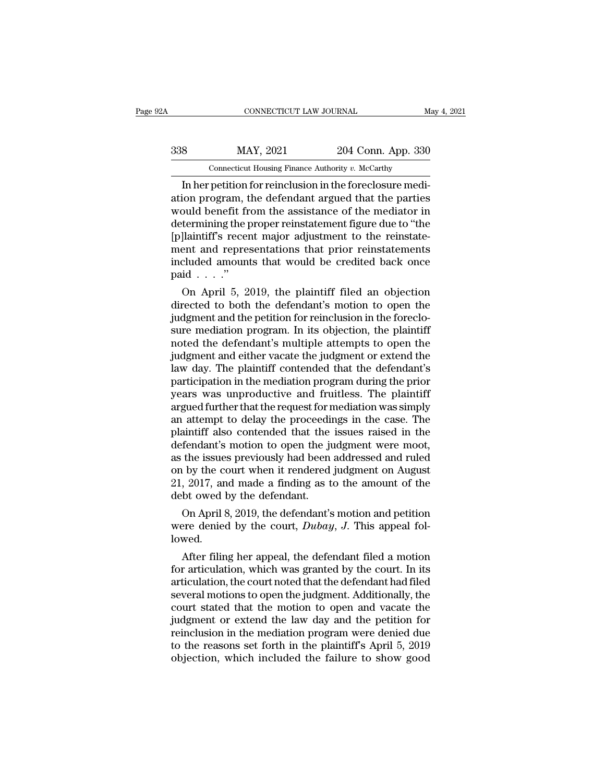# EXECUTE CONNECTICUT LAW JOURNAL May 4, 2021<br>338 MAY, 2021 204 Conn. App. 330<br>Connecticut Housing Finance Authority v. McCarthy CONNECTICUT LAW JOURNAL<br>MAY, 2021 204 Conn. App. 330<br>Connecticut Housing Finance Authority *v. McCarthy*<br>netition for reinclusion in the foreclosure medi

CONNECTICUT LAW JOURNAL<br>
IMAY, 2021 204 Conn. App. 330<br>
Connecticut Housing Finance Authority v. McCarthy<br>
In her petition for reinclusion in the foreclosure medi-<br>
ion program, the defendant argued that the parties<br>
and b MAY, 2021 204 Conn. App. 330<br>
Connecticut Housing Finance Authority v. McCarthy<br>
In her petition for reinclusion in the foreclosure mediation<br>
program, the defendant argued that the parties<br>
would benefit from the assistan  $\frac{\text{MAX, 2021}}{\text{Connecticut Housing Finance Authority } v. \text{ McCarthy}}$ <br>
In her petition for reinclusion in the foreclosure mediation program, the defendant argued that the parties<br>
would benefit from the assistance of the mediator in<br>
determining the proper  $\frac{338}{\text{R}}$  MAY, 2021 204 Conn. App. 330<br>
Connecticut Housing Finance Authority v. McCarthy<br>
In her petition for reinclusion in the foreclosure mediation program, the defendant argued that the parties<br>
would benefit fr  $\frac{p}{p}$  connecticut Housing Finance Authority v. McCarthy<br>
In her petition for reinclusion in the foreclosure medi-<br>
ation program, the defendant argued that the parties<br>
would benefit from the assistance of the mediato Connecticut Housing Finance Authority v. McCarthy<br>
In her petition for reinclusion in the foreclosure medi-<br>
ation program, the defendant argued that the parties<br>
would benefit from the assistance of the mediator in<br>
dete In her petition for reinclusion in the foreclosure mediation program, the defendant argued that the parties would benefit from the assistance of the mediator in determining the proper reinstatement figure due to "the [p]l ation program, t<br>would benefit fr<br>determining the µ<br>[p]laintiff's recen<br>ment and repre:<br>included amoun<br>paid . . . ."<br>On April 5, 2 build benefit from the assistance of the mediator in<br>termining the proper reinstatement figure due to "the<br>]laintiff's recent major adjustment to the reinstate-<br>ent and representations that prior reinstatements<br>cluded amo determining the proper reinstatement ingure due to the<br>
[p]laintiff's recent major adjustment to the reinstate-<br>
ment and representations that prior reinstatements<br>
included amounts that would be credited back once<br>
paid .

planturs recent major aquistment to the reinstatement and representations that prior reinstatements<br>included amounts that would be credited back once<br>paid  $\dots$ ."<br>On April 5, 2019, the plaintiff filed an objection<br>directed ment and representations that prior reinstatements<br>included amounts that would be credited back once<br>paid  $\ldots$ ."<br>On April 5, 2019, the plaintiff filed an objection<br>directed to both the defendant's motion to open the<br>judg mcluded amounts that would be credited back once<br>paid . . . ."<br>On April 5, 2019, the plaintiff filed an objection<br>directed to both the defendant's motion to open the<br>judgment and the petition for reinclusion in the forecl paid  $\ldots$ <br>On April 5, 2019, the plaintiff filed an objection<br>directed to both the defendant's motion to open the<br>judgment and the petition for reinclusion in the foreclo-<br>sure mediation program. In its objection, the pla On April 5, 2019, the plaintiff filed an objection<br>directed to both the defendant's motion to open the<br>judgment and the petition for reinclusion in the foreclo-<br>sure mediation program. In its objection, the plaintiff<br>noted directed to both the defendant's motion to open the<br>judgment and the petition for reinclusion in the foreclo-<br>sure mediation program. In its objection, the plaintiff<br>noted the defendant's multiple attempts to open the<br>judg judgment and the petition for reinclusion in the foreclosure mediation program. In its objection, the plaintiff<br>noted the defendant's multiple attempts to open the<br>judgment and either vacate the judgment or extend the<br>law sure mediation program. In its objection, the plaintiff<br>noted the defendant's multiple attempts to open the<br>judgment and either vacate the judgment or extend the<br>law day. The plaintiff contended that the defendant's<br>partic noted the defendant's multiple attempts to open the<br>judgment and either vacate the judgment or extend the<br>law day. The plaintiff contended that the defendant's<br>participation in the mediation program during the prior<br>years judgment and either vacate the judgment or extend the<br>law day. The plaintiff contended that the defendant's<br>participation in the mediation program during the prior<br>years was unproductive and fruitless. The plaintiff<br>argued law day. The plaintiff contended that the defendant's<br>participation in the mediation program during the prior<br>years was unproductive and fruitless. The plaintiff<br>argued further that the request for mediation was simply<br>an participation in the mediation program during the prior<br>years was unproductive and fruitless. The plaintiff<br>argued further that the request for mediation was simply<br>an attempt to delay the proceedings in the case. The<br>plai years was unproductive and fruitless. The plaintiff<br>argued further that the request for mediation was simply<br>an attempt to delay the proceedings in the case. The<br>plaintiff also contended that the issues raised in the<br>defen argued further that the request for mediation was simply<br>an attempt to delay the proceedings in the case. The<br>plaintiff also contended that the issues raised in the<br>defendant's motion to open the judgment were moot,<br>as the an attempt to delay the proceeding<br>plaintiff also contended that the<br>defendant's motion to open the ju<br>as the issues previously had been<br>on by the court when it rendered<br>21, 2017, and made a finding as t<br>debt owed by the d Fendant's motion to open the judgment were moot,<br>the issues previously had been addressed and ruled<br>to by the court when it rendered judgment on August<br>, 2017, and made a finding as to the amount of the<br>bt owed by the def derendant's motion to open the judgment were moot,<br>as the issues previously had been addressed and ruled<br>on by the court when it rendered judgment on August<br>21, 2017, and made a finding as to the amount of the<br>debt owed by

lowed.  $\frac{1}{2}$ , 2017, and made a finding as to the amount of the<br>bt owed by the defendant.<br>On April 8, 2019, the defendant's motion and petition<br>per denied by the court, *Dubay*, *J*. This appeal fol-<br>wed.<br>After filing her app

debt owed by the defendant.<br>
On April 8, 2019, the defendant's motion and petition<br>
were denied by the court,  $Dubay$ , J. This appeal fol-<br>
lowed.<br>
After filing her appeal, the defendant filed a motion<br>
for articulation, wh On April 8, 2019, the defendant's motion and petition<br>were denied by the court,  $Dubay$ ,  $J$ . This appeal fol-<br>lowed.<br>After filing her appeal, the defendant filed a motion<br>for articulation, which was granted by the court. I On April 8, 2019, the defendant s motion and petition<br>were denied by the court,  $Dubay$ , J. This appeal fol-<br>lowed.<br>After filing her appeal, the defendant filed a motion<br>for articulation, which was granted by the court. In were denied by the court,  $Duody$ ,  $J$ . This appeal followed.<br>
After filing her appeal, the defendant filed a motion<br>
for articulation, which was granted by the court. In its<br>
articulation, the court noted that the defendant ided in After filing her appeal, the defendant filed a motion<br>for articulation, which was granted by the court. In its<br>articulation, the court noted that the defendant had filed<br>several motions to open the judgment. Additi After filing her appeal, the defendant filed a motion<br>for articulation, which was granted by the court. In its<br>articulation, the court noted that the defendant had filed<br>several motions to open the judgment. Additionally, for articulation, which was granted by the court. In its<br>articulation, the court noted that the defendant had filed<br>several motions to open the judgment. Additionally, the<br>court stated that the motion to open and vacate th articulation, the court noted that the defendant had filed<br>several motions to open the judgment. Additionally, the<br>court stated that the motion to open and vacate the<br>judgment or extend the law day and the petition for<br>rei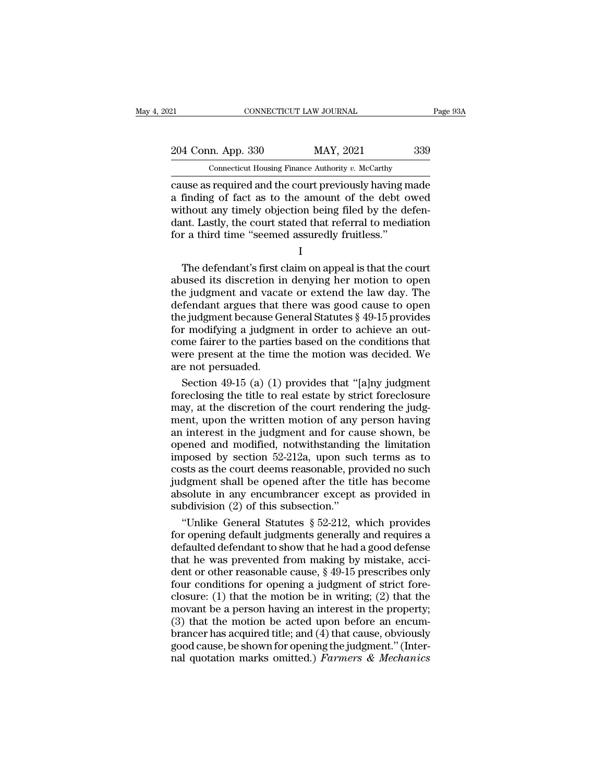21 CONNECTICUT LAW JOURNAL Page 93A<br>204 Conn. App. 330 MAY, 2021 339<br>Connecticut Housing Finance Authority v. McCarthy

CONNECTICUT LAW JOURNAL<br>
204 Conn. App. 330 MAY, 2021 339<br>
Connecticut Housing Finance Authority *v.* McCarthy<br>
cause as required and the court previously having made connectricut LAW JOURNAL Page 93A<br>
204 Conn. App. 330 MAY, 2021 339<br>
Connecticut Housing Finance Authority v. McCarthy<br>
cause as required and the court previously having made<br>
a finding of fact as to the amount of the debt 204 Conn. App. 330 MAY, 2021 339<br>
Connecticut Housing Finance Authority v. McCarthy<br>
cause as required and the court previously having made<br>
a finding of fact as to the amount of the debt owed<br>
without any timely objection 204 Conn. App. 330 MAY, 2021 339<br>
Connecticut Housing Finance Authority v. McCarthy<br>
cause as required and the court previously having made<br>
a finding of fact as to the amount of the debt owed<br>
without any timely objectio 204 Conn. App. 330 MAY, 2021 339<br>
Connecticut Housing Finance Authority v. McCarthy<br>
cause as required and the court previously having made<br>
a finding of fact as to the amount of the debt owed<br>
without any timely objection For a third thousing Finance Authority v. McCarthy<br>
cause as required and the court previously having n<br>
a finding of fact as to the amount of the debt of<br>
without any timely objection being filed by the defant. Lastly, th definding of fact as to the amount of the debt owed<br>thout any timely objection being filed by the defen-<br>nt. Lastly, the court stated that referral to mediation<br>r a third time "seemed assuredly fruitless."<br> $I$ <br>The defenda

I

a midnig of fact as to the amount of the debt owed<br>without any timely objection being filed by the defen-<br>dant. Lastly, the court stated that referral to mediation<br>for a third time "seemed assuredly fruitless."<br>I<br>The defen without any thiely objection being fied by the defendant. Lastly, the court stated that referral to mediation<br>for a third time "seemed assuredly fruitless."<br> $I$ <br>The defendant's first claim on appeal is that the court<br>abus dant. Lastly, the court stated that fererral to inediation<br>for a third time "seemed assuredly fruitless."<br>I<br>The defendant's first claim on appeal is that the court<br>abused its discretion in denying her motion to open<br>the j I<br>I<br>The defendant's first claim on appeal is that the court<br>abused its discretion in denying her motion to open<br>the judgment and vacate or extend the law day. The<br>defendant argues that there was good cause to open<br>the judg I<br>I The defendant's first claim on appeal is that the court<br>abused its discretion in denying her motion to open<br>the judgment and vacate or extend the law day. The<br>defendant argues that there was good cause to open<br>the judg The defendant's first claim on appeal is that the court<br>abused its discretion in denying her motion to open<br>the judgment and vacate or extend the law day. The<br>defendant argues that there was good cause to open<br>the judgmen abused its discretion in denying her motion to open<br>the judgment and vacate or extend the law day. The<br>defendant argues that there was good cause to open<br>the judgment because General Statutes § 49-15 provides<br>for modifying the judgment and vacat<br>defendant argues that t<br>the judgment because Ge<br>for modifying a judgme<br>come fairer to the partie<br>were present at the time<br>are not persuaded.<br>Section 49-15 (a) (1) fendant argues that there was good cause to open<br>e judgment because General Statutes  $\S$  49-15 provides<br>r modifying a judgment in order to achieve an out-<br>me fairer to the parties based on the conditions that<br>ere present the judgment because General Statutes  $\S$  49-15 provides<br>for modifying a judgment in order to achieve an out-<br>come fairer to the parties based on the conditions that<br>were present at the time the motion was decided. We<br>are

for modifying a judgment in order to achieve an outcome fairer to the parties based on the conditions that were present at the time the motion was decided. We are not persuaded.<br>Section 49-15 (a) (1) provides that "[a]ny come fairer to the parties based on the conditions that<br>were present at the time the motion was decided. We<br>are not persuaded.<br>Section 49-15 (a) (1) provides that "[a]ny judgment<br>foreclosing the title to real estate by str were present at the time the motion was decided. We<br>are not persuaded.<br>Section 49-15 (a) (1) provides that "[a]ny judgment<br>foreclosing the title to real estate by strict foreclosure<br>may, at the discretion of the court rend are not persuaded.<br>
Section 49-15 (a) (1) provides that "[a]ny judgment<br>
foreclosing the title to real estate by strict foreclosure<br>
may, at the discretion of the court rendering the judg-<br>
ment, upon the written motion of Section 49-15 (a) (1) provides that "[a]ny judgment<br>foreclosing the title to real estate by strict foreclosure<br>may, at the discretion of the court rendering the judg-<br>ment, upon the written motion of any person having<br>an foreclosing the title to real estate by strict foreclosure<br>may, at the discretion of the court rendering the judg-<br>ment, upon the written motion of any person having<br>an interest in the judgment and for cause shown, be<br>open may, at the discretion of the court rendering the judgment, upon the written motion of any person having<br>an interest in the judgment and for cause shown, be<br>opened and modified, notwithstanding the limitation<br>imposed by se ment, upon the written motion of any person having<br>an interest in the judgment and for cause shown, be<br>opened and modified, notwithstanding the limitation<br>imposed by section 52-212a, upon such terms as to<br>costs as the cour an interest in the judgment and for ca<br>opened and modified, notwithstanding<br>imposed by section 52-212a, upon suc<br>costs as the court deems reasonable, pre<br>judgment shall be opened after the titl<br>absolute in any encumbrance ened and modified, notwithstanding the limitation<br>posed by section 52-212a, upon such terms as to<br>sts as the court deems reasonable, provided no such<br>dgment shall be opened after the title has become<br>solute in any encumbra imposed by section 52-212a, upon such terms as to<br>costs as the court deems reasonable, provided no such<br>judgment shall be opened after the title has become<br>absolute in any encumbrancer except as provided in<br>subdivision (2

costs as the court deems reasonable, provided no such<br>judgment shall be opened after the title has become<br>absolute in any encumbrancer except as provided in<br>subdivision (2) of this subsection."<br>"Unlike General Statutes  $\S$ judgment shall be opened after the title has become<br>absolute in any encumbrancer except as provided in<br>subdivision (2) of this subsection."<br>"Unlike General Statutes  $\S 52-212$ , which provides<br>for opening default judgments absolute in any encumbrancer except as provided in<br>subdivision (2) of this subsection."<br>"Unlike General Statutes  $\S 52-212$ , which provides<br>for opening default judgments generally and requires a<br>defaulted defendant to sho subdivision (2) of this subsection."<br>
"Unlike General Statutes  $\S$  52-212, which provides<br>
for opening default judgments generally and requires a<br>
defaulted defendant to show that he had a good defense<br>
that he was preven "Unlike General Statutes  $\S$  52-212, which provides<br>for opening default judgments generally and requires a<br>defaulted defendant to show that he had a good defense<br>that he was prevented from making by mistake, acci-<br>dent or for opening default judgments generally and requires a<br>defaulted defendant to show that he had a good defense<br>that he was prevented from making by mistake, acci-<br>dent or other reasonable cause,  $\S$  49-15 prescribes only<br>f defaulted defendant to show that he had a good defense<br>that he was prevented from making by mistake, acci-<br>dent or other reasonable cause, § 49-15 prescribes only<br>four conditions for opening a judgment of strict fore-<br>clos that he was prevented from making by mistake, accident or other reasonable cause,  $\S$  49-15 prescribes only four conditions for opening a judgment of strict fore-<br>closure: (1) that the motion be in writing; (2) that the m dent or other reasonable cause,  $\S$  49-15 prescribes only<br>four conditions for opening a judgment of strict fore-<br>closure: (1) that the motion be in writing; (2) that the<br>movant be a person having an interest in the proper Four conditions for opening a judgment of strict fore-<br>closure: (1) that the motion be in writing; (2) that the<br>movant be a person having an interest in the property;<br>(3) that the motion be acted upon before an encum-<br>bra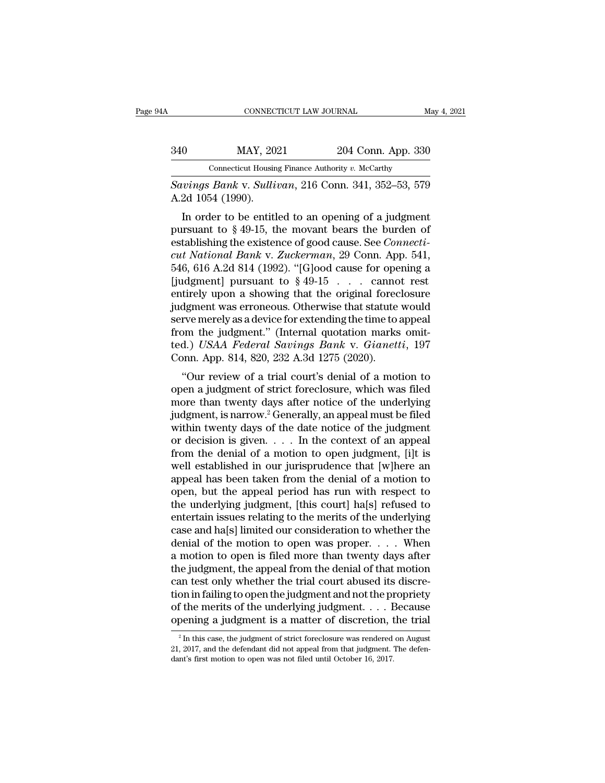|     | CONNECTICUT LAW JOURNAL                                |                    | May 4, 2021 |
|-----|--------------------------------------------------------|--------------------|-------------|
| 340 | MAY, 2021                                              | 204 Conn. App. 330 |             |
|     | Connecticut Housing Finance Authority v. McCarthy      |                    |             |
|     | <i>Savinas Bank y Sullivan</i> 216 Conn 341 352–53 579 |                    |             |

*Savings Bank* v. *Sullivan*, 216 Conn. 341, 352–53, 579<br> *Savings Bank* v. *Sullivan*, 216 Conn. 341, 352–53, 579<br>
A.2d 1054 (1990). MAY, 202<br>
Connecticut Housin<br>
Savings Bank v. Sullia<br>
A.2d 1054 (1990).<br>
In order to be entitl

In Order to be entitled to an opening of a judgment of the big is the control of the beam of the big of a judgment of a 49-15, the movant bears the burden of the big big is the overton of the distinct of the state of the c 340 MAY, 2021 204 Conn. App. 330<br>
Connecticut Housing Finance Authority v. McCarthy<br>
Savings Bank v. Sullivan, 216 Conn. 341, 352–53, 579<br>
A.2d 1054 (1990).<br>
In order to be entitled to an opening of a judgment<br>
pursuant t Connecticut Housing Finance Authority v. McCarthy<br>
Savings Bank v. Sullivan, 216 Conn. 341, 352–53, 579<br>
A.2d 1054 (1990).<br>
In order to be entitled to an opening of a judgment<br>
pursuant to § 49-15, the movant bears the bur *cut National Bank* v. *Sullivan*, 216 Conn. 341, 352–53, 579<br>
A.2d 1054 (1990).<br>
In order to be entitled to an opening of a judgment<br>
pursuant to § 49-15, the movant bears the burden of<br>
establishing the existence of good Savings Bank v. Sautoan, 210 Collit. 341, 352–55, 519<br>A.2d 1054 (1990).<br>In order to be entitled to an opening of a judgment<br>pursuant to § 49-15, the movant bears the burden of<br>establishing the existence of good cause. See Example 1990).<br>
In order to be entitled to an opening of a judgment<br>
pursuant to § 49-15, the movant bears the burden of<br>
establishing the existence of good cause. See *Connecti-*<br> *cut National Bank v. Zuckerman*, 29 Con In order to be entitled to an opening of a judgment<br>pursuant to § 49-15, the movant bears the burden of<br>establishing the existence of good cause. See *Connecti-*<br>*cut National Bank* v. Zuckerman, 29 Conn. App. 541,<br>546, 6 pursuant to § 49-15, the movant bears the burden of<br>establishing the existence of good cause. See *Connecti-*<br>*cut National Bank v. Zuckerman*, 29 Conn. App. 541,<br>546, 616 A.2d 814 (1992). "[G]ood cause for opening a<br>[jud establishing the existence of good cause. See *Connecticut National Bank* v. Zuckerman, 29 Conn. App. 541, 546, 616 A.2d 814 (1992). "[G]ood cause for opening a [judgment] pursuant to § 49-15 . . . . cannot rest entirely cut National Bank v. Zuckerman, 29 Conn. App. 541, 546, 616 A.2d 814 (1992). "[G]ood cause for opening a [judgment] pursuant to  $\S$  49-15 . . . . cannot rest entirely upon a showing that the original foreclosure judgment 546, 616 A.2d 814 (1992). "[G]ood cause for opening a<br>[judgment] pursuant to § 49-15 . . . cannot rest<br>entirely upon a showing that the original foreclosure<br>judgment was erroneous. Otherwise that statute would<br>serve merely [judgment] pursuant to  $\S$  49-15 . . . . canno entirely upon a showing that the original forec judgment was erroneous. Otherwise that statute serve merely as a device for extending the time to is from the judgment." (Inte they upon a showing that the original foreclosure<br>dgment was erroneous. Otherwise that statute would<br>rve merely as a device for extending the time to appeal<br>om the judgment." (Internal quotation marks omit-<br>d.) USAA Federa guagment was erroneous. Other wise that statute would<br>serve merely as a device for extending the time to appeal<br>from the judgment." (Internal quotation marks omit-<br>ted.) USAA Federal Savings Bank v. Gianetti, 197<br>Conn. Ap

serve merely as a device for extending the time to appear<br>from the judgment." (Internal quotation marks omit-<br>ted.) USAA Federal Savings Bank v. Gianetti, 197<br>Conn. App. 814, 820, 232 A.3d 1275 (2020).<br>"Our review of a tri from the judgment. (Internal quotation hiarks onlited.) USAA Federal Savings Bank v. Gianetti, 197<br>Conn. App. 814, 820, 232 A.3d 1275 (2020).<br>
"Our review of a trial court's denial of a motion to<br>
open a judgment of strict Conn. App. 814, 820, 232 A.3d 1275 (2020).<br>
"Our review of a trial court's denial of a motion to<br>
open a judgment of strict foreclosure, which was filed<br>
more than twenty days after notice of the underlying<br>
judgment, is Confl. App. 814, 820, 252 A.5d 1275 (2020).<br>
"Our review of a trial court's denial of a motion to<br>
open a judgment of strict foreclosure, which was filed<br>
more than twenty days after notice of the underlying<br>
judgment, is "Our review of a trial court's denial of a motion to<br>open a judgment of strict foreclosure, which was filed<br>more than twenty days after notice of the underlying<br>judgment, is narrow.<sup>2</sup> Generally, an appeal must be filed<br>w open a judgment of strict foreclosure, which was filed<br>more than twenty days after notice of the underlying<br>judgment, is narrow.<sup>2</sup> Generally, an appeal must be filed<br>within twenty days of the date notice of the judgment<br>o more than twenty days after notice of the underlying<br>judgment, is narrow.<sup>2</sup> Generally, an appeal must be filed<br>within twenty days of the date notice of the judgment<br>or decision is given. . . . . In the context of an appe judgment, is narrow.<sup>2</sup> Generally, an appeal must be filed<br>within twenty days of the date notice of the judgment<br>or decision is given. . . . . In the context of an appeal<br>from the denial of a motion to open judgment, [i]t within twenty days of the date notice of the judgment<br>or decision is given. . . . In the context of an appeal<br>from the denial of a motion to open judgment, [i]t is<br>well established in our jurisprudence that [w]here an<br>app or decision is given. . . . In the context of an appeal<br>from the denial of a motion to open judgment, [i]t is<br>well established in our jurisprudence that [w]here an<br>appeal has been taken from the denial of a motion to<br>open from the denial of a motion to open judgment, [i]t is<br>well established in our jurisprudence that [w]here an<br>appeal has been taken from the denial of a motion to<br>open, but the appeal period has run with respect to<br>the unde well established in our jurisprudence that [w]here an<br>appeal has been taken from the denial of a motion to<br>open, but the appeal period has run with respect to<br>the underlying judgment, [this court] ha[s] refused to<br>entertai appeal has been taken from the denial of a motion to<br>open, but the appeal period has run with respect to<br>the underlying judgment, [this court] ha[s] refused to<br>entertain issues relating to the merits of the underlying<br>case open, but the appeal period has run with respect to<br>the underlying judgment, [this court] ha[s] refused to<br>entertain issues relating to the merits of the underlying<br>case and ha[s] limited our consideration to whether the<br>d the underlying judgment, [this court] ha[s] refused to<br>entertain issues relating to the merits of the underlying<br>case and ha[s] limited our consideration to whether the<br>denial of the motion to open was proper. . . . When<br>a entertain issues relating to the merits of the underlying<br>case and ha[s] limited our consideration to whether the<br>denial of the motion to open was proper. . . . When<br>a motion to open is filed more than twenty days after<br>th case and ha[s] limited our consideration to whether the<br>denial of the motion to open was proper. . . . When<br>a motion to open is filed more than twenty days after<br>the judgment, the appeal from the denial of that motion<br>can denial of the motion to open was proper. . . . When<br>a motion to open is filed more than twenty days after<br>the judgment, the appeal from the denial of that motion<br>can test only whether the trial court abused its discre-<br>ti an test only whether the trial court abused its discre-<br>on in failing to open the judgment and not the propriety<br>f the merits of the underlying judgment. . . . Because<br>pening a judgment is a matter of discretion, the tria tion in failing to open the judgment and not the propriety<br>of the merits of the underlying judgment. . . . Because<br>opening a judgment is a matter of discretion, the trial<br> $\frac{2}{1}$  in this case, the judgment of strict for of the merits of the underlying judgment. . . . The opening a judgment is a matter of discretion, the  $\frac{1}{2}$  In this case, the judgment of strict foreclosure was rendered 21, 2017, and the defendant did not appeal from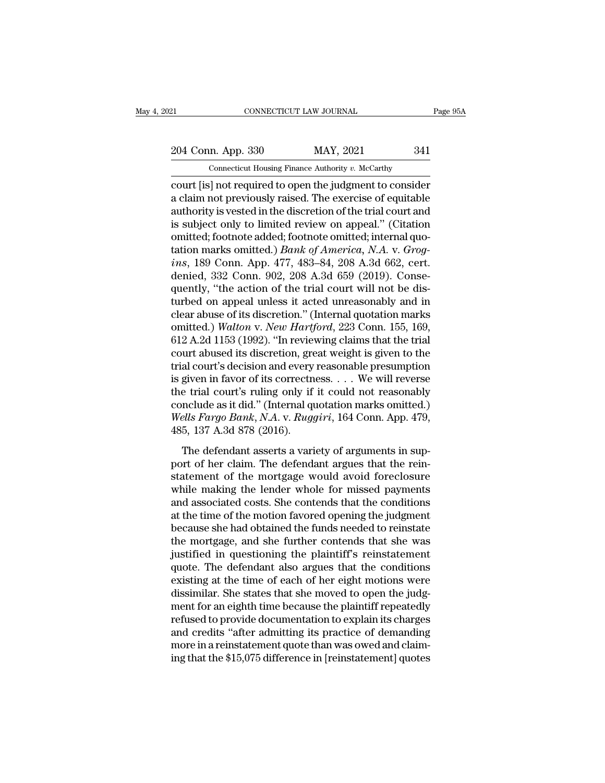21 CONNECTICUT LAW JOURNAL Page 95A<br>
204 Conn. App. 330 MAY, 2021 341<br>
Connecticut Housing Finance Authority v. McCarthy

CONNECTICUT LAW JOURNAL<br>
204 Conn. App. 330 MAY, 2021 341<br>
Connecticut Housing Finance Authority *v.* McCarthy<br>
court [is] not required to open the judgment to consider connecticut LAW JOURNAL Page 95A<br>
204 Conn. App. 330 MAY, 2021 341<br>
Connecticut Housing Finance Authority v. McCarthy<br>
court [is] not required to open the judgment to consider<br>
a claim not previously raised. The exercise o 204 Conn. App. 330 MAY, 2021 341<br>
Connecticut Housing Finance Authority v. McCarthy<br>
court [is] not required to open the judgment to consider<br>
a claim not previously raised. The exercise of equitable<br>
authority is vested i 204 Conn. App. 330 MAY, 2021 341<br>
Connecticut Housing Finance Authority v. McCarthy<br>
court [is] not required to open the judgment to consider<br>
a claim not previously raised. The exercise of equitable<br>
authority is vested 204 Conn. App. 330 MAY, 2021 341<br>
Connecticut Housing Finance Authority v. McCarthy<br>
court [is] not required to open the judgment to consider<br>
a claim not previously raised. The exercise of equitable<br>
authority is vested Connecticut Housing Finance Authority v. McCarthy<br>
court [is] not required to open the judgment to consider<br>
a claim not previously raised. The exercise of equitable<br>
authority is vested in the discretion of the trial cour Connecticut Housing Finance Authority v. McCarthy<br>
court [is] not required to open the judgment to consider<br>
a claim not previously raised. The exercise of equitable<br>
authority is vested in the discretion of the trial cour court [is] not required to open the judgment to consider<br>a claim not previously raised. The exercise of equitable<br>authority is vested in the discretion of the trial court and<br>is subject only to limited review on appeal." ( a claim not previously raised. The exercise of equitable<br>authority is vested in the discretion of the trial court and<br>is subject only to limited review on appeal." (Citation<br>omitted; footnote added; footnote omitted; inter authority is vested in the discretion of the trial court and<br>is subject only to limited review on appeal." (Citation<br>omitted; footnote added; footnote omitted; internal quo-<br>tation marks omitted.) *Bank of America*, *N.A.* is subject only to limited review on appeal." (Citation<br>omitted; footnote added; footnote omitted; internal quo-<br>tation marks omitted.) *Bank of America*, *N.A.* v. *Grog-*<br>ins, 189 Conn. App. 477, 483–84, 208 A.3d 662, c omitted; footnote added; footnote omitted; internal quotation marks omitted.) *Bank of America*, *N.A.* v. *Grogins*, 189 Conn. App. 477, 483–84, 208 A.3d 662, cert.<br>denied, 332 Conn. 902, 208 A.3d 659 (2019). Consequently tation marks omitted.) *Bank of America*, *N.A.* v. *Grogins*, 189 Conn. App. 477, 483–84, 208 A.3d 662, cert.<br>denied, 332 Conn. 902, 208 A.3d 659 (2019). Conse-<br>quently, "the action of the trial court will not be dis-<br>tur *ins*, 189 Conn. App. 477, 483–84, 208 A.3d 662, cert.<br>denied, 332 Conn. 902, 208 A.3d 659 (2019). Conse-<br>quently, "the action of the trial court will not be dis-<br>turbed on appeal unless it acted unreasonably and in<br>clear denied, 332 Conn. 902, 208 A.3d 659 (2019). Consequently, "the action of the trial court will not be disturbed on appeal unless it acted unreasonably and in clear abuse of its discretion." (Internal quotation marks omitted quently, "the action of the trial court will not be dis-<br>turbed on appeal unless it acted unreasonably and in<br>clear abuse of its discretion." (Internal quotation marks<br>omitted.) Walton v. New Hartford, 223 Conn. 155, 169,<br> turbed on appeal unless it acted unreasonably and in<br>clear abuse of its discretion." (Internal quotation marks<br>omitted.) Walton v. New Hartford, 223 Conn. 155, 169,<br>612 A.2d 1153 (1992). "In reviewing claims that the trial clear abuse of its discretion." (Internal quotation marks<br>
omitted.) Walton v. New Hartford, 223 Conn. 155, 169,<br>
612 A.2d 1153 (1992). "In reviewing claims that the trial<br>
court abused its discretion, great weight is giv omitted.) Walton v. New Hartford, 223 Conn. 155, 169, 612 A.2d 1153 (1992). "In reviewing claims that the trial court abused its discretion, great weight is given to the trial court's decision and every reasonable presumpt 612 A.2d 1153 (1992). "In reviewing claims that the trial court abused its discretion, great weight is given to the trial court's decision and every reasonable presumption is given in favor of its correctness. . . . We wil court abused its discretion, gre<br>trial court's decision and every<br>is given in favor of its correctn<br>the trial court's ruling only if<br>conclude as it did." (Internal q<br>Wells Fargo Bank, N.A. v. Rugg<br>485, 137 A.3d 878 (2016). given in favor of its correctness.  $\dots$  We will reverse<br>e trial court's ruling only if it could not reasonably<br>nclude as it did." (Internal quotation marks omitted.)<br>*ells Fargo Bank*, *N.A.* v. *Ruggiri*, 164 Conn. App. portent fraction of his correctness.  $\ldots$  we will reverse the trial court's ruling only if it could not reasonably conclude as it did." (Internal quotation marks omitted.) Wells Fargo Bank, N.A. v. Ruggiri, 164 Conn. App

state and courts range only in the codd not reasonably<br>conclude as it did." (Internal quotation marks omitted.)<br>Wells Fargo Bank, N.A. v. Ruggiri, 164 Conn. App. 479,<br>485, 137 A.3d 878 (2016).<br>The defendant asserts a varie Wells Fargo Bank, N.A. v. Ruggiri, 164 Conn. App. 479,<br>Wells Fargo Bank, N.A. v. Ruggiri, 164 Conn. App. 479,<br>485, 137 A.3d 878 (2016).<br>The defendant asserts a variety of arguments in sup-<br>port of her claim. The defendant mease Tango Bana, MTC Costair, 1916 Coluit, 1919, 110, 485, 137 A.3d 878 (2016).<br>The defendant asserts a variety of arguments in support of her claim. The defendant argues that the rein-<br>statement of the mortgage would avo The defendant asserts a variety of arguments in sup-<br>port of her claim. The defendant argues that the rein-<br>statement of the mortgage would avoid foreclosure<br>while making the lender whole for missed payments<br>and associated The defendant asserts a variety of arguments in support of her claim. The defendant argues that the reinstatement of the mortgage would avoid foreclosure while making the lender whole for missed payments and associated cos port of her claim. The defendant argues that the rein-<br>statement of the mortgage would avoid foreclosure<br>while making the lender whole for missed payments<br>and associated costs. She contends that the conditions<br>at the time statement of the mortgage would avoid foreclosure<br>while making the lender whole for missed payments<br>and associated costs. She contends that the conditions<br>at the time of the motion favored opening the judgment<br>because she while making the lender whole for missed payments<br>and associated costs. She contends that the conditions<br>at the time of the motion favored opening the judgment<br>because she had obtained the funds needed to reinstate<br>the mor and associated costs. She contends that the conditions<br>at the time of the motion favored opening the judgment<br>because she had obtained the funds needed to reinstate<br>the mortgage, and she further contends that she was<br>justi at the time of the motion favored opening the judgment<br>because she had obtained the funds needed to reinstate<br>the mortgage, and she further contends that she was<br>justified in questioning the plaintiff's reinstatement<br>quote because she had obtained the funds needed to reinstate<br>the mortgage, and she further contends that she was<br>justified in questioning the plaintiff's reinstatement<br>quote. The defendant also argues that the conditions<br>existin the mortgage, and she further contends that she was<br>justified in questioning the plaintiff's reinstatement<br>quote. The defendant also argues that the conditions<br>existing at the time of each of her eight motions were<br>dissimi justified in questioning the plaintiff's reinstatement<br>quote. The defendant also argues that the conditions<br>existing at the time of each of her eight motions were<br>dissimilar. She states that she moved to open the judg-<br>men quote. The defendant also argues that the conditions<br>existing at the time of each of her eight motions were<br>dissimilar. She states that she moved to open the judg-<br>ment for an eighth time because the plaintiff repeatedly<br>r existing at the time of each of her eight motions were<br>dissimilar. She states that she moved to open the judg-<br>ment for an eighth time because the plaintiff repeatedly<br>refused to provide documentation to explain its charge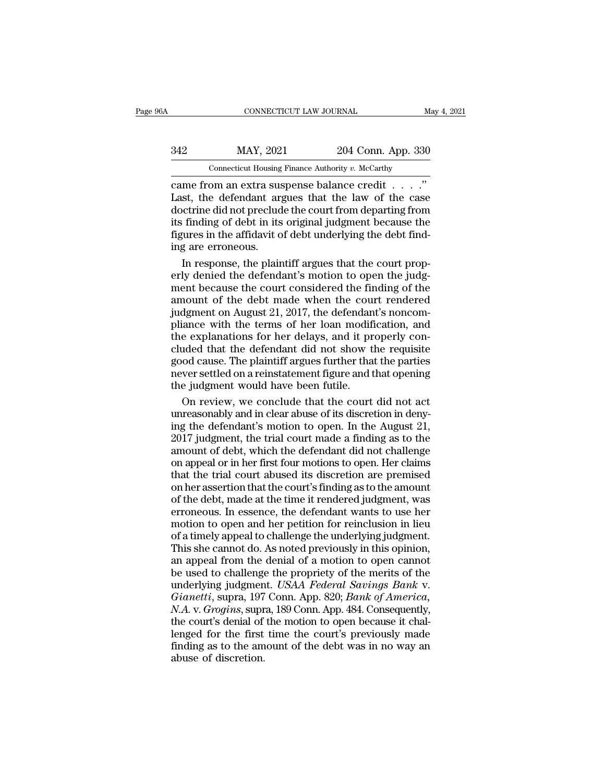| A                                                 | CONNECTICUT LAW JOURNAL |                    | May 4, 2021 |  |  |
|---------------------------------------------------|-------------------------|--------------------|-------------|--|--|
| 342                                               | MAY, 2021               | 204 Conn. App. 330 |             |  |  |
| Connecticut Housing Finance Authority v. McCarthy |                         |                    |             |  |  |

CONNECTICUT LAW JOURNAL<br>
CONNECTICUT LAW JOURNAL<br>
CONNECTICUT LAW JOURNAL<br>
CONNECTICUT 204 Conn. App. 330<br>
Connecticut Housing Finance Authority *v.* McCarthy<br>
Came from an extra suspense balance credit . . . . .''<br>
Last,  $\begin{array}{r} \text{MAX, } 2021 \\ \text{Connecticut Housing Finance Authority } v. \text{ McCarthy} \\ \text{came from an extra subsense balance credit . . . ." \\ \text{Last, the defendant argues that the law of the case doctrine did not preclude the court from departing from its finding of debt in its original judgment because the$  $\begin{array}{r} \text{MAY, 2021} \text{204 Conn. App. 330} \ \hline \text{Connecticut Housing Finance Authority } v. \text{ McCarthy} \ \text{came from an extra suspense balance credit . . . ."} \ \text{Last, the defendant argues that the law of the case doctrine did not preclude the court from departing from its finding of debt in its original judgment because the figures in the affidavit of debt underlying the debt find.} \end{array}$ 342 MAY, 2021 204 Conn. App. 330<br>
Connecticut Housing Finance Authority v. McCarthy<br>
came from an extra suspense balance credit . . . ."<br>
Last, the defendant argues that the law of the case<br>
doctrine did not preclude the Figure 1942<br>
For the affinite dependence  $\frac{204 \text{ Coth}}{n}$ . App. 550<br>
came from an extra suspense balance credit . . . . ."<br>
Last, the defendant argues that the law of the case<br>
doctrine did not preclude the court from de Connecticut Housing<br>
came from an extra sus<br>
Last, the defendant arg<br>
doctrine did not preclud<br>
its finding of debt in its<br>
figures in the affidavit o<br>
ing are erroneous.<br>
In response, the plair In the from an extra suspense balance credit  $\ldots$ ."<br>
In the defendant argues that the law of the case<br>
certrine did not preclude the court from departing from<br>
finding of debt in its original judgment because the<br>
gures Last, the defendant argues that the law of the case<br>doctrine did not preclude the court from departing from<br>its finding of debt in its original judgment because the<br>figures in the affidavit of debt underlying the debt find

doctrine did not preclude the court from departing from<br>its finding of debt in its original judgment because the<br>figures in the affidavit of debt underlying the debt find-<br>ing are erroneous.<br>In response, the plaintiff argu its finding of debt in its original judgment because the<br>figures in the affidavit of debt underlying the debt find-<br>ing are erroneous.<br>In response, the plaintiff argues that the court prop-<br>erly denied the defendant's moti figures in the affidavit of debt underlying the debt find-<br>ing are erroneous.<br>In response, the plaintiff argues that the court prop-<br>erly denied the defendant's motion to open the judg-<br>ment because the court considered th ing are erroneous.<br>In response, the plaintiff argues that the court prop-<br>erly denied the defendant's motion to open the judg-<br>ment because the court considered the finding of the<br>amount of the debt made when the court ren In response, the plaintiff argues that the court properly denied the defendant's motion to open the judgment because the court considered the finding of the amount of the debt made when the court rendered judgment on Augus erly denied the defendant's motion to open the judg-<br>erly denied the defendant's motion to open the judg-<br>ment because the court considered the finding of the<br>amount of the debt made when the court rendered<br>judgment on Aug Figures are because the court considered the finding of the<br>amount of the debt made when the court rendered<br>judgment on August 21, 2017, the defendant's noncom-<br>pliance with the terms of her loan modification, and<br>the expl never settled on a reinstate and the court rendered<br>judgment on August 21, 2017, the defendant's noncom-<br>pliance with the terms of her loan modification, and<br>the explanations for her delays, and it properly con-<br>cluded tha milled in the last 21, 2017, the defendant pliance with the terms of her loan modifit<br>pliance with the terms of her loan modifit<br>the explanations for her delays, and it pr<br>cluded that the defendant did not show the<br>good ca iance with the terms of her loan modification, and<br>e explanations for her delays, and it properly con-<br>uded that the defendant did not show the requisite<br>od cause. The plaintiff argues further that the parties<br>ver settled the explanations for her delays, and it properly concluded that the defendant did not show the requisite good cause. The plaintiff argues further that the parties never settled on a reinstatement figure and that opening th

cluded that the defendant did not show the requisite<br>good cause. The plaintiff argues further that the parties<br>never settled on a reinstatement figure and that opening<br>the judgment would have been futile.<br>On review, we con good cause. The plaintiff argues further that the parties<br>never settled on a reinstatement figure and that opening<br>the judgment would have been futile.<br>On review, we conclude that the court did not act<br>unreasonably and in never settled on a reinstatement figure and that opening<br>the judgment would have been futile.<br>On review, we conclude that the court did not act<br>unreasonably and in clear abuse of its discretion in deny-<br>ing the defendant's the judgment would have been futile.<br>
On review, we conclude that the court did not act<br>
unreasonably and in clear abuse of its discretion in deny-<br>
ing the defendant's motion to open. In the August 21,<br>
2017 judgment, the On review, we conclude that the court did not act<br>unreasonably and in clear abuse of its discretion in deny-<br>ing the defendant's motion to open. In the August 21,<br>2017 judgment, the trial court made a finding as to the<br>amo on review, we concease that the court and not amount in deny-<br>ing the defendant's motion to open. In the August 21,<br>2017 judgment, the trial court made a finding as to the<br>amount of debt, which the defendant did not challe and the defendant's motion to open. In the August 21,<br>2017 judgment, the trial court made a finding as to the<br>amount of debt, which the defendant did not challenge<br>on appeal or in her first four motions to open. Her claims exploration of the trial court made a finding as to the<br>amount of debt, which the defendant did not challenge<br>on appeal or in her first four motions to open. Her claims<br>that the trial court abused its discretion are premis Eventy Judgetten, we wish the defendant did not challenge<br>amount of debt, which the defendant did not challenge<br>on appeal or in her first four motions to open. Her claims<br>that the trial court abused its discretion are prem allo are a time are in the decoration of a time the decoration of appeal or in her first four motions to open. Her claims<br>that the trial court abused its discretion are premised<br>on her assertion that the court's finding as In the trial court abused its discretion are premised<br>on her assertion that the court's finding as to the amount<br>of the debt, made at the time it rendered judgment, was<br>erroneous. In essence, the defendant wants to use her on her assertion that the court's finding as to the amount<br>of the debt, made at the time it rendered judgment, was<br>erroneous. In essence, the defendant wants to use her<br>motion to open and her petition for reinclusion in l be debt, made at the time it rendered judgment, was<br>erroneous. In essence, the defendant wants to use her<br>motion to open and her petition for reinclusion in lieu<br>of a timely appeal to challenge the underlying judgment.<br>Thi or and deste, made at the antic to condected galgancia, was<br>erroneous. In essence, the defendant wants to use her<br>motion to open and her petition for reinclusion in lieu<br>of a timely appeal to challenge the underlying judgm *Gianetia, and a determinate walles to assume the motion to open and her petition for reinclusion in lieu* of a timely appeal to challenge the underlying judgment. This she cannot do. As noted previously in this opinion, a *N.A. N.A. N.A. N.A. N.A. N.A. N.A. N.A. N.A. N.A. N.A. N.A. N.A. N.A. N.A. N.A. N.A. N.A. N.A. N.A. N.A. N.A. N.A. N.A. N.A. N.A. N.A. N.A. N.A. N.A. N.A. N.A.* This she cannot do. As noted previously in this opinion,<br>This she cannot do. As noted previously in this opinion,<br>an appeal from the denial of a motion to open cannot<br>be used to challenge the propriety of the merits of the France of the first time derived providing in the open cannot<br>be used to challenge the propriety of the merits of the<br>underlying judgment. USAA Federal Savings Bank v.<br>Gianetti, supra, 197 Conn. App. 820; Bank of America,<br> an appear a challenge the propriety of the merits of the underlying judgment. USAA Federal Savings Bank v. Gianetti, supra, 197 Conn. App. 820; Bank of America, N.A. v. Grogins, supra, 189 Conn. App. 484. Consequently, the underlying judgmen<br>Gianetti, supra, 197<br>N.A. v. Grogins, supr<br>the court's denial of<br>lenged for the first<br>finding as to the am<br>abuse of discretion.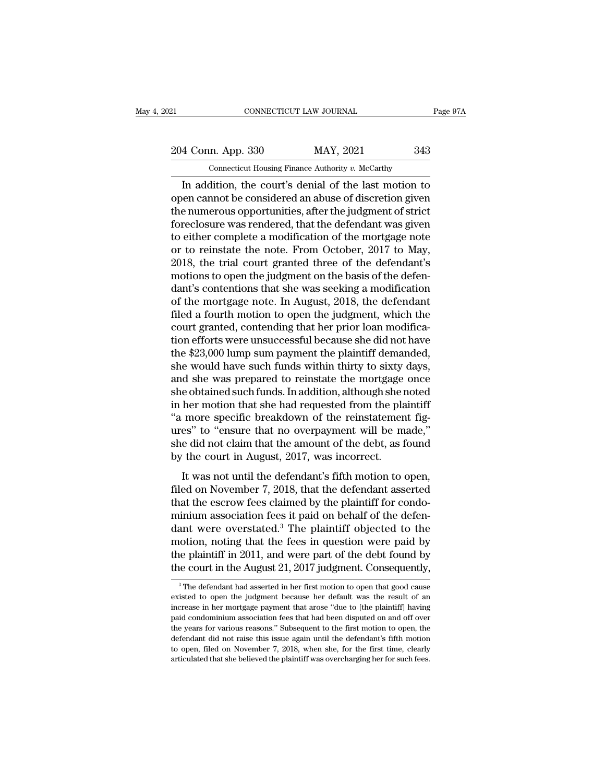EXECTIVE CONNECTICUT LAW JOURNAL Page 97A<br>204 Conn. App. 330 MAY, 2021 343<br>Connecticut Housing Finance Authority v. McCarthy

CONNECTICUT LAW JOURNAL<br>
204 Conn. App. 330 MAY, 2021 343<br>
Connecticut Housing Finance Authority *v.* McCarthy<br>
In addition, the court's denial of the last motion to CONNECTICUT LAW JOURNAL Page 97A<br>
4 Conn. App. 330 MAY, 2021 343<br>
Connecticut Housing Finance Authority v. McCarthy<br>
In addition, the court's denial of the last motion to<br>
en cannot be considered an abuse of discretion giv 204 Conn. App. 330 MAY, 2021 343<br>
Connecticut Housing Finance Authority v. McCarthy<br>
In addition, the court's denial of the last motion to<br>
open cannot be considered an abuse of discretion given<br>
the numerous opportunities 204 Conn. App. 330 MAY, 2021 343<br>
Connecticut Housing Finance Authority v. McCarthy<br>
In addition, the court's denial of the last motion to<br>
open cannot be considered an abuse of discretion given<br>
the numerous opportunitie 204 Conn. App. 330 MAY, 2021 343<br>
Connecticut Housing Finance Authority v. McCarthy<br>
In addition, the court's denial of the last motion to<br>
open cannot be considered an abuse of discretion given<br>
the numerous opportunitie Connecticut Housing Finance Authority v. McCarthy<br>
In addition, the court's denial of the last motion to<br>
open cannot be considered an abuse of discretion given<br>
the numerous opportunities, after the judgment of strict<br>
f Connecticut Housing Finance Authority v. McCarthy<br>In addition, the court's denial of the last motion to<br>open cannot be considered an abuse of discretion given<br>the numerous opportunities, after the judgment of strict<br>forec In addition, the court's denial of the last motion to<br>open cannot be considered an abuse of discretion given<br>the numerous opportunities, after the judgment of strict<br>foreclosure was rendered, that the defendant was given<br>t open cannot be considered an abuse of discretion given<br>the numerous opportunities, after the judgment of strict<br>foreclosure was rendered, that the defendant was given<br>to either complete a modification of the mortgage note<br> the numerous opportunities, after the judgment of strict<br>foreclosure was rendered, that the defendant was given<br>to either complete a modification of the mortgage note<br>or to reinstate the note. From October, 2017 to May,<br>20 foreclosure was rendered, that the defendant was given<br>to either complete a modification of the mortgage note<br>or to reinstate the note. From October, 2017 to May,<br>2018, the trial court granted three of the defendant's<br>moti to either complete a modification of the mortgage note<br>or to reinstate the note. From October, 2017 to May,<br>2018, the trial court granted three of the defendant's<br>motions to open the judgment on the basis of the defen-<br>dan or to reinstate the note. From October, 2017 to May, 2018, the trial court granted three of the defendant's motions to open the judgment on the basis of the defendant's contentions that she was seeking a modification of th 2018, the trial court granted three of the defendant's<br>motions to open the judgment on the basis of the defen-<br>dant's contentions that she was seeking a modification<br>of the mortgage note. In August, 2018, the defendant<br>fil motions to open the judgment on the basis of the defendant's contentions that she was seeking a modification<br>of the mortgage note. In August, 2018, the defendant<br>filed a fourth motion to open the judgment, which the<br>court dant's contentions that she was seeking a modification<br>of the mortgage note. In August, 2018, the defendant<br>filed a fourth motion to open the judgment, which the<br>court granted, contending that her prior loan modifica-<br>tion of the mortgage note. In August, 2018, the defendant<br>filed a fourth motion to open the judgment, which the<br>court granted, contending that her prior loan modifica-<br>tion efforts were unsuccessful because she did not have<br>the filed a fourth motion to open the judgment, which the<br>court granted, contending that her prior loan modifica-<br>tion efforts were unsuccessful because she did not have<br>the \$23,000 lump sum payment the plaintiff demanded,<br>she court granted, contending that her prior loan modification efforts were unsuccessful because she did not have<br>the \$23,000 lump sum payment the plaintiff demanded,<br>she would have such funds within thirty to sixty days,<br>and tion efforts were unsuccessful because she did not have<br>the \$23,000 lump sum payment the plaintiff demanded,<br>she would have such funds within thirty to sixty days,<br>and she was prepared to reinstate the mortgage once<br>she ob the \$23,000 lump sum payment the plaintiff demanded,<br>she would have such funds within thirty to sixty days,<br>and she was prepared to reinstate the mortgage once<br>she obtained such funds. In addition, although she noted<br>in h she would have such funds within thirty to sixty days,<br>and she was prepared to reinstate the mortgage once<br>she obtained such funds. In addition, although she noted<br>in her motion that she had requested from the plaintiff<br>"a and she was prepared to reinstate the mortgage<br>she obtained such funds. In addition, although she r<br>in her motion that she had requested from the pla<br>"a more specific breakdown of the reinstatemen<br>ures" to "ensure that no It was not until the defendant's fifth motion to open,<br>es<sup>3</sup> to "ensure that no overpayment will be made,"<br>e did not claim that the amount of the debt, as found<br>the court in August, 2017, was incorrect.<br>It was not until th filed on November 7, 2018, that the defendant asserted<br>that the debt, as found by the court in August, 2017, was incorrect.<br>It was not until the defendant's fifth motion to open,<br>filed on November 7, 2018, that the defenda

The estimate of the transaction of the surface of the estimate of the estimate of the debt, as found by the court in August, 2017, was incorrect.<br>It was not until the defendant's fifth motion to open, filed on November 7, she did not claim that the amount of the debt, as found<br>by the court in August, 2017, was incorrect.<br>It was not until the defendant's fifth motion to open,<br>filed on November 7, 2018, that the defendant asserted<br>that the es by the court in August, 2017, was incorrect.<br>It was not until the defendant's fifth motion to open,<br>filed on November 7, 2018, that the defendant asserted<br>that the escrow fees claimed by the plaintiff for condo-<br>minium as It was not until the defendant's fifth motion to open,<br>filed on November 7, 2018, that the defendant asserted<br>that the escrow fees claimed by the plaintiff for condo-<br>minium association fees it paid on behalf of the defen It was not until the defendant's fifth motion to open,<br>filed on November 7, 2018, that the defendant asserted<br>that the escrow fees claimed by the plaintiff for condo-<br>minium association fees it paid on behalf of the defenfiled on November 7, 2018, that the defendant asserted<br>that the escrow fees claimed by the plaintiff for condo-<br>minium association fees it paid on behalf of the defen-<br>dant were overstated.<sup>3</sup> The plaintiff objected to the ant were overstated." The plaintiff objected to the obtion, noting that the fees in question were paid by the plaintiff in 2011, and were part of the debt found by the court in the August 21, 2017 judgment. Consequently, motion, noting that the fees in question were paid by<br>the plaintiff in 2011, and were part of the debt found by<br>the court in the August 21, 2017 judgment. Consequently,<br><sup>3</sup>The defendant had asserted in her first motion to

the plaintiff in 2011, and were part of the debt found by<br>the court in the August 21, 2017 judgment. Consequently,<br> $^{\circ}$ The defendant had asserted in her first motion to open that good cause<br>existed to open the judgment the court in the August 21, 2017 judgment. Consequently,<br>
<sup>3</sup> The defendant had asserted in her first motion to open that good cause<br>
existed to open the judgment because her default was the result of an<br>
increase in her The COUTCIN THE AUGUST 21, 2017 JUDGETHETT. CONSEQUENTLY,<br>
<sup>3</sup> The defendant had asserted in her first motion to open that good cause<br>
existed to open the judgment because her default was the result of an<br>
increase in her <sup>3</sup> The defendant had asserted in her first motion to open that good cause existed to open the judgment because her default was the result of an increase in her mortgage payment that arose "due to [the plaintiff] having p existed to open the judgment because her default was the result of an increase in her mortgage payment that arose "due to [the plaintiff] having paid condominium association fees that had been disputed on and off over the existed to open the judgment because her default was the result of an increase in her mortgage payment that arose "due to [the plaintiff] having paid condominium association fees that had been disputed on and off over the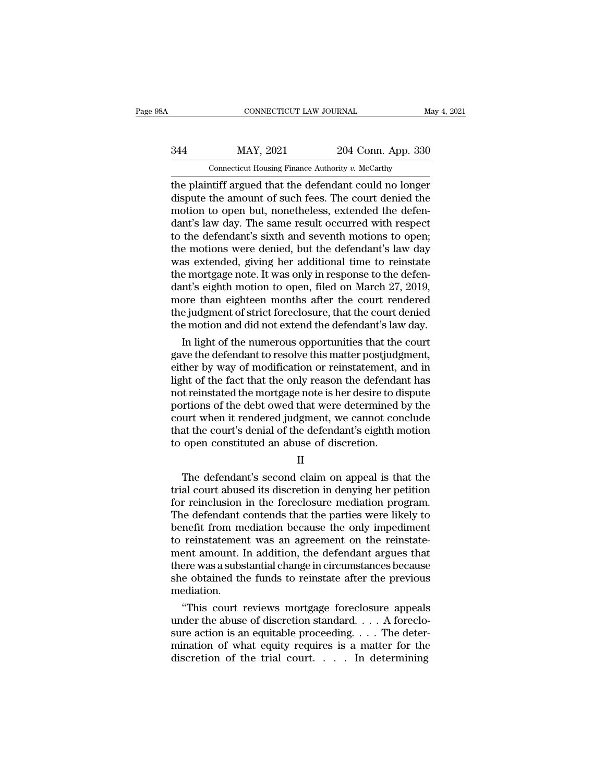# CONNECTICUT LAW JOURNAL May 4, 2021<br>344 MAY, 2021 204 Conn. App. 330<br>Connecticut Housing Finance Authority v. McCarthy CONNECTICUT LAW JOURNAL<br>MAY, 2021 204 Conn. App. 330<br>Connecticut Housing Finance Authority *v. McCarthy*<br>At iff argued that the defendant could no longer

TREE CONNECTICUT LAW JOURNAL May 4, 2021<br>
344 MAY, 2021 204 Conn. App. 330<br>
204 Conn. App. 330<br>
204 Conn. App. 330<br>
204 Conn. App. 330<br>
204 Conn. App. 330<br>
204 Conn. App. 330<br>
204 Conn. App. 330<br>
204 Conn. App. 330<br>
204 Co MAY, 2021 204 Conn. App. 330<br>
Connecticut Housing Finance Authority v. McCarthy<br>
the plaintiff argued that the defendant could no longer<br>
dispute the amount of such fees. The court denied the<br>
motion to open but, nonethele  $\frac{\text{MAY, 2021}}{\text{Connectedity in 204}}$  Conn. App. 330<br>  $\frac{\text{Connectedity of 204}}{\text{Generality of 204}}$ <br>  $\frac{\text{Conjecture of 204}}{\text{The plaintext of 204}}$ <br>  $\frac{\text{Conjecture of 204}}{\text{The equivalent of 204}}$ <br>  $\frac{\text{Conjecture of 204}}{\text{The number of 204}}$ <br>  $\frac{\text{Conjecture of 204}}{\text{The number of 204}}$ <br>  $\frac{\text{Conjecture of 204}}{\text{The number of 204}}$ <br>  $\frac{\$  $\frac{\text{MAY, 2021}}{\text{Connecticut Housing Finance Authority } v. \text{ McCarthy}}$ <br>
the plaintiff argued that the defendant could no longer<br>
dispute the amount of such fees. The court denied the<br>
motion to open but, nonetheless, extended the defen-<br>
dant's law day. The Connecticut Housing Finance Authority v. McCarthy<br>the plaintiff argued that the defendant could no longer<br>dispute the amount of such fees. The court denied the<br>motion to open but, nonetheless, extended the defen-<br>dant's l Connecticut Housing Finance Authority  $v$ . McCarthy<br>the plaintiff argued that the defendant could no longer<br>dispute the amount of such fees. The court denied the<br>motion to open but, nonetheless, extended the defen-<br>dant's the plaintiff argued that the defendant could no longer<br>dispute the amount of such fees. The court denied the<br>motion to open but, nonetheless, extended the defen-<br>dant's law day. The same result occurred with respect<br>to th dispute the amount of such fees. The court denied the motion to open but, nonetheless, extended the defendant's law day. The same result occurred with respect to the defendant's sixth and seventh motions to open; the motio motion to open but, nonetheless, extended the defen-<br>dant's law day. The same result occurred with respect<br>to the defendant's sixth and seventh motions to open;<br>the motions were denied, but the defendant's law day<br>was exte dant's law day. The same result occurred with respect<br>to the defendant's sixth and seventh motions to open;<br>the motions were denied, but the defendant's law day<br>was extended, giving her additional time to reinstate<br>the mor to the defendant's sixth and seventh motions to open;<br>the motions were denied, but the defendant's law day<br>was extended, giving her additional time to reinstate<br>the mortgage note. It was only in response to the defen-<br>dant the motions were denied, but the defendant's law day<br>was extended, giving her additional time to reinstate<br>the mortgage note. It was only in response to the defen-<br>dant's eighth motion to open, filed on March 27, 2019,<br>mor as extended, giving her additional time to reinstate<br>e mortgage note. It was only in response to the defen-<br>nt's eighth motion to open, filed on March 27, 2019,<br>ore than eighteen months after the court rendered<br>e judgment the mortgage note. It was only in response to the deten-<br>dant's eighth motion to open, filed on March 27, 2019,<br>more than eighteen months after the court rendered<br>the judgment of strict foreclosure, that the court denied<br>t

dant's eighth motion to open, tiled on March 27, 2019,<br>more than eighteen months after the court rendered<br>the judgment of strict foreclosure, that the court denied<br>the motion and did not extend the defendant's law day.<br>In more than eighteen months atter the court rendered<br>the judgment of strict foreclosure, that the court denied<br>the motion and did not extend the defendant's law day.<br>In light of the numerous opportunities that the court<br>gave the judgment of strict foreclosure, that the court denied<br>the motion and did not extend the defendant's law day.<br>In light of the numerous opportunities that the court<br>gave the defendant to resolve this matter postjudgment, the motion and did not extend the defendant's law day.<br>
In light of the numerous opportunities that the court<br>
gave the defendant to resolve this matter postjudgment,<br>
either by way of modification or reinstatement, and in In light of the numerous opportunities that the court<br>gave the defendant to resolve this matter postjudgment,<br>either by way of modification or reinstatement, and in<br>light of the fact that the only reason the defendant has<br> gave the defendant to resolve this matter postjudgment,<br>either by way of modification or reinstatement, and in<br>light of the fact that the only reason the defendant has<br>not reinstated the mortgage note is her desire to disp either by way of modification or reinstatement, i<br>light of the fact that the only reason the defendar<br>not reinstated the mortgage note is her desire to d<br>portions of the debt owed that were determined l<br>court when it rende The defendant's second claim on appear and the defendant's denial of the defendant's eighth motion<br>open constituted an abuse of discretion.<br>II<br>The defendant's second claim on appeal is that the<br>al court abused its discreti

II

For abused in the determined by the court when it rendered judgment, we cannot conclude<br>that the court's denial of the defendant's eighth motion<br>to open constituted an abuse of discretion.<br>II<br>The defendant's second claim o For reinclusion in the defendant's eighth motion<br>to open constituted an abuse of discretion.<br>II<br>The defendant's second claim on appeal is that the<br>trial court abused its discretion in denying her petition<br>for reinclusion i The defendant's second claim on appeal is that the<br>
The defendant's second claim on appeal is that the<br>
trial court abused its discretion in denying her petition<br>
for reinclusion in the foreclosure mediation program.<br>
The II<br>II<br>The defendant's second claim on appeal is that the<br>trial court abused its discretion in denying her petition<br>for reinclusion in the foreclosure mediation program.<br>The defendant contends that the parties were likely t II<br>The defendant's second claim on appeal is that the<br>trial court abused its discretion in denying her petition<br>for reinclusion in the foreclosure mediation program.<br>The defendant contends that the parties were likely to<br>b The defendant's second claim on appeal is that the<br>trial court abused its discretion in denying her petition<br>for reinclusion in the foreclosure mediation program.<br>The defendant contends that the parties were likely to<br>bene trial court abused its discretion in denying her petition<br>for reinclusion in the foreclosure mediation program.<br>The defendant contends that the parties were likely to<br>benefit from mediation because the only impediment<br>to r for reinclusion in the foreclosure mediation program.<br>The defendant contends that the parties were likely to<br>benefit from mediation because the only impediment<br>to reinstatement was an agreement on the reinstate-<br>ment amoun mediation. nefit from mediation because the only impediment<br>
reinstatement was an agreement on the reinstate-<br>
ent amount. In addition, the defendant argues that<br>
ere was a substantial change in circumstances because<br>
e obtained the to reinstatement was an agreement on the reinstatement amount. In addition, the defendant argues that<br>there was a substantial change in circumstances because<br>she obtained the funds to reinstate after the previous<br>mediation

ment amount. In addition, the detendant argues that<br>there was a substantial change in circumstances because<br>she obtained the funds to reinstate after the previous<br>mediation.<br>"This court reviews mortgage foreclosure appeals there was a substantial change in circumstances because<br>she obtained the funds to reinstate after the previous<br>mediation.<br>"This court reviews mortgage foreclosure appeals<br>under the abuse of discretion standard.... A forecl she obtained the funds to reinstate after the previous<br>mediation.<br>"This court reviews mortgage foreclosure appeals<br>under the abuse of discretion standard.... A foreclo-<br>sure action is an equitable proceeding.... The deter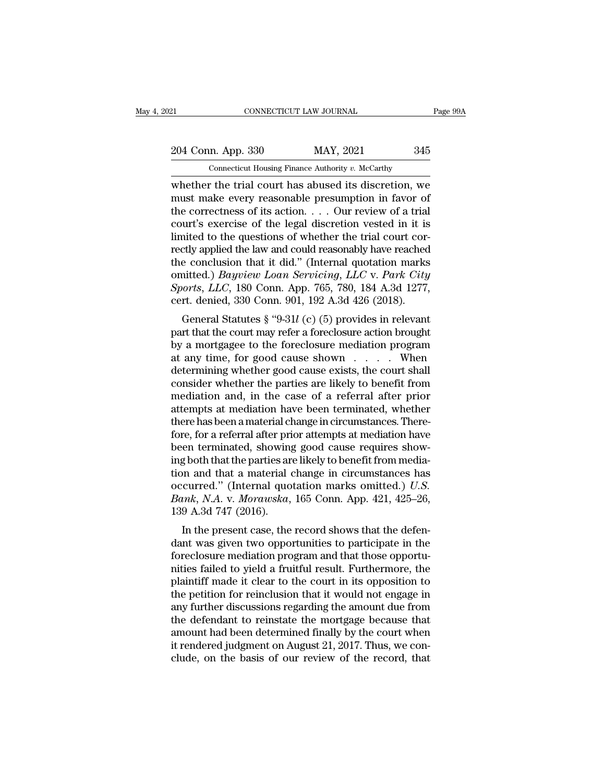21 CONNECTICUT LAW JOURNAL Page 99A<br>
204 Conn. App. 330 MAY, 2021 345<br>
Connecticut Housing Finance Authority v. McCarthy

CONNECTICUT LAW JOURNAL<br>
204 Conn. App. 330 MAY, 2021 345<br>
Connecticut Housing Finance Authority *v.* McCarthy<br>
whether the trial court has abused its discretion, we EXECUTE CONNECTICUT LAW JOURNAL Page 99A<br>
204 Conn. App. 330 MAY, 2021 345<br>
Connecticut Housing Finance Authority v. McCarthy<br>
whether the trial court has abused its discretion, we<br>
must make every reasonable presumption i 204 Conn. App. 330 MAY, 2021 345<br>
Connecticut Housing Finance Authority v. McCarthy<br>
whether the trial court has abused its discretion, we<br>
must make every reasonable presumption in favor of<br>
the correctness of its action 204 Conn. App. 330 MAY, 2021 345<br>
Connecticut Housing Finance Authority v. McCarthy<br>
whether the trial court has abused its discretion, we<br>
must make every reasonable presumption in favor of<br>
the correctness of its action 204 Conn. App. 330 MAY, 2021 345<br>
Connecticut Housing Finance Authority v. McCarthy<br>
whether the trial court has abused its discretion, we<br>
must make every reasonable presumption in favor of<br>
the correctness of its action Contain Experience Authority v. McCarthy<br>
whether the trial court has abused its discretion, we<br>
must make every reasonable presumption in favor of<br>
the correctness of its action.... Our review of a trial<br>
court's exercis Connecticut Housing Finance Authority v. McCarthy<br>whether the trial court has abused its discretion, we<br>must make every reasonable presumption in favor of<br>the correctness of its action.... Our review of a trial<br>court's ex whether the trial court has abused its discretion, we<br>must make every reasonable presumption in favor of<br>the correctness of its action.... Our review of a trial<br>court's exercise of the legal discretion vested in it is<br>lim must make every reasonable presumption in favor of<br>the correctness of its action. . . . Our review of a trial<br>court's exercise of the legal discretion vested in it is<br>limited to the questions of whether the trial court cor the correctness of its action. . . . Our review of a trial court's exercise of the legal discretion vested in it is limited to the questions of whether the trial court correctly applied the law and could reasonably have re court's exercise of the legal discretion vested in it is<br>limited to the questions of whether the trial court cor-<br>rectly applied the law and could reasonably have reached<br>the conclusion that it did." (Internal quotation m the divided to the questions of whether the trial court con-<br>ettly applied the law and could reasonably have reached<br>e conclusion that it did." (Internal quotation marks<br>nitted.) *Bayview Loan Servicing*, *LLC* v. *Park Ci* particular the conclusion that it did." (Internal quotation marks<br>
omitted.) *Bayview Loan Servicing, LLC* v. *Park City*<br> *Sports, LLC*, 180 Conn. App. 765, 780, 184 A.3d 1277,<br>
cert. denied, 330 Conn. 901, 192 A.3d 426

the conclusion that it did. (Internal quotation marks<br>
omitted.) *Bayview Loan Servicing*, *LLC* v. *Park City*<br> *Sports, LLC*, 180 Conn. App. 765, 780, 184 A.3d 1277,<br>
cert. denied, 330 Conn. 901, 192 A.3d 426 (2018).<br>
G Sports, LLC, 180 Conn. App. 765, 780, 184 A.3d 1277,<br>Sports, LLC, 180 Conn. App. 765, 780, 184 A.3d 1277,<br>cert. denied, 330 Conn. 901, 192 A.3d 426 (2018).<br>General Statutes § "9-31l (c) (5) provides in relevant<br>part that determining whether good cause exists, the court shall consider whether the parties are likely to benefit from modistion and in the case of a referral after prior modistion and in the case of a referral after prior modist cent. denied, 350 Conn. 301, 132 A.5d 420 (2016).<br>
General Statutes § "9-31*l* (c) (5) provides in relevant<br>
part that the court may refer a foreclosure action brought<br>
by a mortgagee to the foreclosure mediation program<br> General Statutes § "9-31 $l$  (c) (5) provides in relevant<br>part that the court may refer a foreclosure action brought<br>by a mortgagee to the foreclosure mediation program<br>at any time, for good cause shown  $\dots$ . When<br>determin part that the court may refer a foreclosure action brought<br>by a mortgagee to the foreclosure mediation program<br>at any time, for good cause shown  $\dots$ . When<br>determining whether good cause exists, the court shall<br>consider w by a mortgagee to the foreclosure mediation program<br>at any time, for good cause shown  $\ldots$ . When<br>determining whether good cause exists, the court shall<br>consider whether the parties are likely to benefit from<br>mediation an at any time, for good cause shown . . . . . When<br>determining whether good cause exists, the court shall<br>consider whether the parties are likely to benefit from<br>mediation and, in the case of a referral after prior<br>attempts determining whether good cause exists, the court shall consider whether the parties are likely to benefit from mediation and, in the case of a referral after prior attempts at mediation have been terminated, whether there consider whether the parties are likely to benefit from<br>mediation and, in the case of a referral after prior<br>attempts at mediation have been terminated, whether<br>there has been a material change in circumstances. There-<br>fo mediation and, in the case of a referral after prior<br>attempts at mediation have been terminated, whether<br>there has been a material change in circumstances. There-<br>fore, for a referral after prior attempts at mediation hav attempts at mediation have been terminated, whether<br>there has been a material change in circumstances. There-<br>fore, for a referral after prior attempts at mediation have<br>been terminated, showing good cause requires show-<br>i there has been a material change in circumstances. Therefore, for a referral after prior attempts at mediation have<br>been terminated, showing good cause requires show-<br>ing both that the parties are likely to benefit from me fore, for a referral after pri<br>been terminated, showing<br>ing both that the parties ar<br>tion and that a material o<br>occurred." (Internal quo<br>Bank, N.A. v. Morawska,<br>139 A.3d 747 (2016).<br>In the present case, the In the particle and that the particle show-<br>
I both that the parties are likely to benefit from media-<br>
In and that a material change in circumstances has<br>
ccurred." (Internal quotation marks omitted.) U.S.<br>
In k, N.A. v. mg both that the parties are intery to benefit from media-<br>tion and that a material change in circumstances has<br>occurred." (Internal quotation marks omitted.) U.S.<br>Bank, N.A. v. Morawska, 165 Conn. App. 421, 425–26,<br>139 A

for and that a material change in circumstances has<br>occurred." (Internal quotation marks omitted.) U.S.<br>Bank, N.A. v. Morawska, 165 Conn. App. 421, 425–26,<br>139 A.3d 747 (2016).<br>In the present case, the record shows that t becurred. (Internal quotation marks onlitted.) 0.5.<br> *Bank, N.A. v. Morawska*, 165 Conn. App. 421, 425–26,<br>
139 A.3d 747 (2016).<br>
In the present case, the record shows that the defen-<br>
dant was given two opportunities to Bank, *N.A. V. Mortwska*, 105 Collit. App. 421, 425–20,<br>139 A.3d 747 (2016).<br>In the present case, the record shows that the defen-<br>dant was given two opportunities to participate in the<br>foreclosure mediation program and t In the present case, the record shows that the defendant was given two opportunities to participate in the foreclosure mediation program and that those opportunities failed to yield a fruitful result. Furthermore, the pla In the present case, the record shows that the defen-<br>dant was given two opportunities to participate in the<br>foreclosure mediation program and that those opportu-<br>nities failed to yield a fruitful result. Furthermore, the<br> dant was given two opportunities to participate in the<br>foreclosure mediation program and that those opportu-<br>nities failed to yield a fruitful result. Furthermore, the<br>plaintiff made it clear to the court in its opposition foreclosure mediation program and that those opportunities failed to yield a fruitful result. Furthermore, the plaintiff made it clear to the court in its opposition to the petition for reinclusion that it would not engage mities failed to yield a fruitful result. Furthermore, the plaintiff made it clear to the court in its opposition to the petition for reinclusion that it would not engage in any further discussions regarding the amount due plaintiff made it clear to the court in its opposition to<br>the petition for reinclusion that it would not engage in<br>any further discussions regarding the amount due from<br>the defendant to reinstate the mortgage because that<br>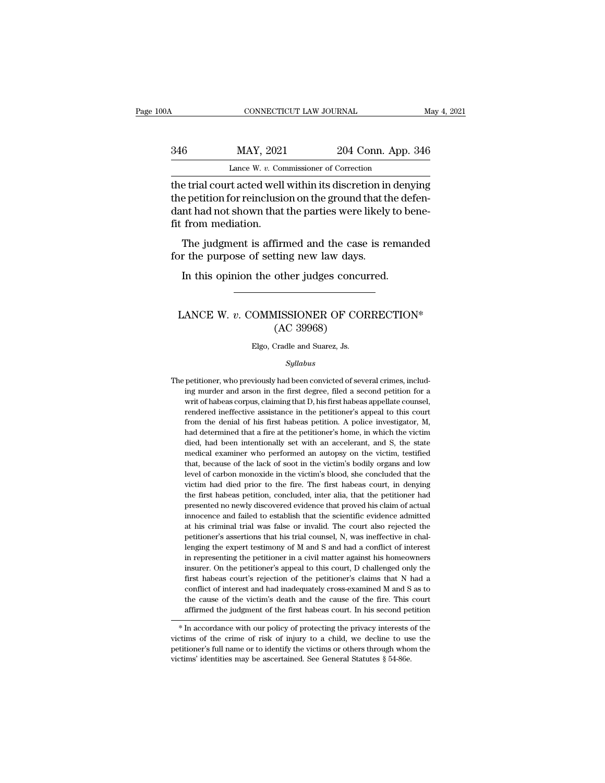# CONNECTICUT LAW JOURNAL May 4, 2021<br>346 MAY, 2021 204 Conn. App. 346<br>Lance W. v. Commissioner of Correction CONNECTICUT LAW JOURNAL<br>MAY, 2021 204 Conn. App.<br>Lance W. *v.* Commissioner of Correction<br>of acted well within its discretion in dem

CONNECTICUT LAW JOURNAL May 4, 2021<br>
346 MAY, 2021 204 Conn. App. 346<br>
Lance W. v. Commissioner of Correction<br>
the trial court acted well within its discretion in denying<br>
the petition for reinclusion on the ground that th MAY, 2021 204 Conn. App. 346<br>Lance W. v. Commissioner of Correction<br>the trial court acted well within its discretion in denying<br>the petition for reinclusion on the ground that the defen-<br>dant had not shown that the parties  $\begin{array}{lll} \text{MAY, 2021} & \text{204 Conn. App. 346} \\ \text{Lance W. v. Commissioner of Correction} \\ \text{the trial court acted well within its discretion in denying the pertinent for reinclusion on the ground that the defendant had not shown that the parties were likely to benefit from mediation.} \end{array}$ MAY, 2021<br>
Lance W. v. Con<br>
the trial court acted well<br>
the petition for reinclusid<br>
dant had not shown that<br>
fit from mediation.<br>
The judgment is affirm Lance W.  $v$ . Commissioner of Correction<br>
e trial court acted well within its discretion in denying<br>
e petition for reinclusion on the ground that the defen-<br>
nt had not shown that the parties were likely to bene-<br>
from m for the trial court acted well within its discretion in<br>the petition for reinclusion on the ground that the<br>dant had not shown that the parties were likely<br>fit from mediation.<br>The judgment is affirmed and the case is re<br>fo e petition for reinclusion on the ground that the dent had not shown that the parties were likely to be from mediation.<br>The judgment is affirmed and the case is remand r the purpose of setting new law days.<br>In this opinion

The judgment is affirmed and the case is remanded<br>or the purpose of setting new law days.<br>In this opinion the other judges concurred.<br>LANCE W. *v*. COMMISSIONER OF CORRECTION\*<br>(AC 39968)

## The case of the case<br>tting new law days.<br>other judges concu<br>MISSIONER OF CO.<br>(AC 39968)<br>Cradle and Suarez, Js. LANCE W.  $v$ . COMMISSIONER OF CORRECTION\*<br>(AC 39968)<br>Elgo, Cradle and Suarez, Js.

## *Syllabus*

(AC 39968)<br>Elgo, Cradle and Suarez, Js.<br>Syllabus<br>The petitioner, who previously had been convicted of several crimes, includ-<br>ing murder and arson in the first degree, filed a second petition for a Elgo, Cradle and Suarez, Js.<br>
Syllabus<br>
petitioner, who previously had been convicted of several crimes, includ-<br>
ing murder and arson in the first degree, filed a second petition for a<br>
writ of habeas corpus, claiming tha Elgo, Cradle and Suarez, Js.<br>
Syllabus<br>
petitioner, who previously had been convicted of several crimes, includ-<br>
ing murder and arson in the first degree, filed a second petition for a<br>
writ of habeas corpus, claiming tha *Syllabus*<br>petitioner, who previously had been convicted of several crimes, includ-<br>ing murder and arson in the first degree, filed a second petition for a<br>writ of habeas corpus, claiming that D, his first habeas appellate *Syllabus*<br>petitioner, who previously had been convicted of several crimes, includ-<br>ing murder and arson in the first degree, filed a second petition for a<br>writ of habeas corpus, claiming that D, his first habeas appellate petitioner, who previously had been convicted of several crimes, including murder and arson in the first degree, filed a second petition for a writ of habeas corpus, claiming that D, his first habeas appellate counsel, ren ing murder and arson in the first degree, filed a second petition for a writ of habeas corpus, claiming that D, his first habeas appellate counsel, rendered ineffective assistance in the petitioner's appeal to this court f writ of habeas corpus, claiming that D, his first habeas appellate counsel, rendered ineffective assistance in the petitioner's appeal to this court from the denial of his first habeas petition. A police investigator, M, h rendered ineffective assistance in the petitioner's appeal to this court<br>from the denial of his first habeas petition. A police investigator, M,<br>had determined that a fire at the petitioner's home, in which the victim<br>died from the denial of his first habeas petition. A police investigator, M, had determined that a fire at the petitioner's home, in which the victim died, had been intentionally set with an accelerant, and S, the state medical had determined that a fire at the petitioner's home, in which the victim died, had been intentionally set with an accelerant, and S, the state medical examiner who performed an autopsy on the victim, testified that, becaus died, had been intentionally set with an accelerant, and S, the state medical examiner who performed an autopsy on the victim, testified that, because of the lack of soot in the victim's bodily organs and low level of carb medical examiner who performed an autopsy on the victim, testified that, because of the lack of soot in the victim's bodily organs and low level of carbon monoxide in the victim's blood, she concluded that the victim had d that, because of the lack of soot in the victim's bodily organs and low<br>level of carbon monoxide in the victim's blood, she concluded that the<br>victim had died prior to the fire. The first habeas court, in denying<br>the first level of carbon monoxide in the victim's blood, she concluded that the victim had died prior to the fire. The first habeas court, in denying the first habeas petition, concluded, inter alia, that the petitioner had present victim had died prior to the fire. The first habeas court, in denying<br>the first habeas petition, concluded, inter alia, that the petitioner had<br>presented no newly discovered evidence that proved his claim of actual<br>innocen the first habeas petition, concluded, inter alia, that the petitioner had presented no newly discovered evidence that proved his claim of actual innocence and failed to establish that the scientific evidence admitted at hi presented no newly discovered evidence that proved his claim of actual innocence and failed to establish that the scientific evidence admitted at his criminal trial was false or invalid. The court also rejected the petitio innocence and failed to establish that the scientific evidence admitted at his criminal trial was false or invalid. The court also rejected the petitioner's assertions that his trial counsel, N, was ineffective in challeng at his criminal trial was false or invalid. The court also rejected the petitioner's assertions that his trial counsel, N, was ineffective in challenging the expert testimony of M and S and had a conflict of interest in re petitioner's assertions that his trial counsel, N, was ineffective in challenging the expert testimony of M and S and had a conflict of interest in representing the petitioner in a civil matter against his homeowners insur petitioner's assertions that his trial counsel, N, was ineffective in challenging the expert testimony of M and S and had a conflict of interest in representing the petitioner in a civil matter against his homeowners insur in representing the petitioner in a civil matter against his homeowners<br>insurer. On the petitioner's appeal to this court, D challenged only the<br>first habeas court's rejection of the petitioner's claims that N had a<br>confl Insurer. On the pethology is a count, D challenged only the<br>first habeas court's rejection of the petitioner's claims that N had a<br>conflict of interest and had inadequately cross-examined M and S as to<br>the cause of the vic inst nabeas courts rejection of the petitioner's crains that N had a<br>conflict of interest and had inadequately cross-examined M and S as to<br>the cause of the victim's death and the cause of the fire. This court<br>affirmed the

performance of the victim's death and the cause of the fire. This court<br>affirmed the judgment of the first habeas court. In his second petition<br>\* In accordance with our policy of protecting the privacy interests of the<br>vic  $*$  In accordance with our policy of protecting the privacy interests of the victims of the crime of risk of injury to a child, we decline to use the petitioner's full name or to identify the victims or others through who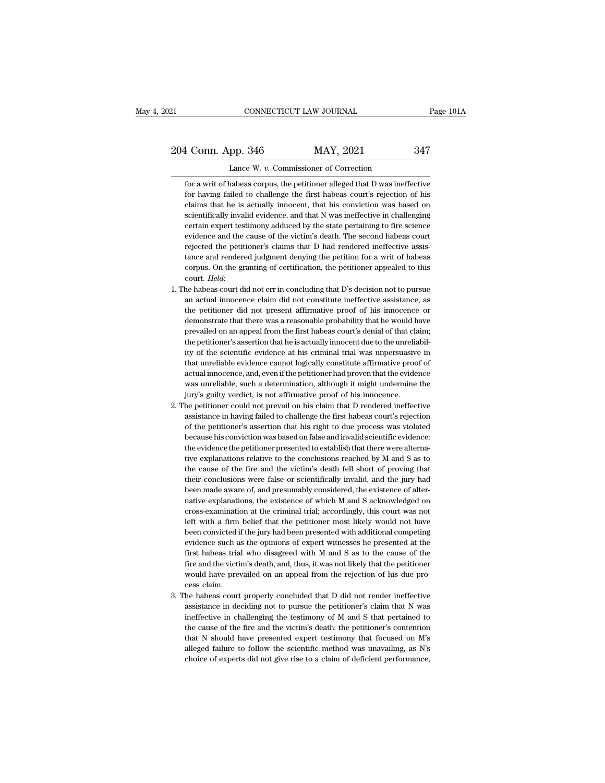# 21 CONNECTICUT LAW JOURNAL Page 101A<br>
204 Conn. App. 346 MAY, 2021 347<br>
Lance W. v. Commissioner of Correction Eq. 204 Conn. App. 346 MAY, 2021 2347<br>Example W. *v.* Commissioner of Correction<br>For a writ of habeas corpus, the petitioner alleged that D was ineffective

For a writ of habeas corpus, the petitioner alleged that D was ineffective<br>for a writ of habeas corpus, the petitioner alleged that D was ineffective<br>for having failed to challenge the first habeas court's rejection of his For Having failed to challenge the first habeas court's rejection<br>for a writ of habeas corpus, the petitioner alleged that D was ineffective<br>for having failed to challenge the first habeas court's rejection of his<br>claims t 1 Conn. App. 346 MAY, 2021 347<br>Lance W. v. Commissioner of Correction<br>for a writ of habeas corpus, the petitioner alleged that D was ineffective<br>for having failed to challenge the first habeas court's rejection of his<br>clai Figure 11<br>
Lance W.  $v$ . Commissioner of Correction<br>
for a writ of habeas corpus, the petitioner alleged that D was ineffective<br>
for having failed to challenge the first habeas court's rejection of his<br>
claims that he is a Lance W.  $v$ . Commissioner of Correction<br>for a writ of habeas corpus, the petitioner alleged that D was ineffective<br>for having failed to challenge the first habeas court's rejection of his<br>claims that he is actually innoc for a writ of habeas corpus, the petitioner alleged that D was ineffective<br>for having failed to challenge the first habeas court's rejection of his<br>claims that he is actually innocent, that his conviction was based on<br>scie for having failed to challenge the first habeas court's rejection of his claims that he is actually innocent, that his conviction was based on scientifically invalid evidence, and that N was ineffective in challenging cert claims that he is actually innocent, that his conviction was based on scientifically invalid evidence, and that N was ineffective in challenging certain expert testimony adduced by the state pertaining to fire science evid scientifically invalid evidence, and that N was ineffective in challenging<br>certain expert testimony adduced by the state pertaining to fire science<br>evidence and the cause of the victim's death. The second habeas court<br>reje evidence and the cause of the victim's death. The second habeas court<br>rejected the petitioner's claims that D had rendered ineffective assis-<br>tance and rendered judgment denying the petition for a writ of habeas<br>corpus. On rejected the petitioner's claims that D had rendered ineffective assistance and rendered judgment denying the petition for a writ of habeas corpus. On the granting of certification, the petitioner appealed to this court.

- tance and rendered judgment denying the petition for a writ of habeas corpus. On the granting of certification, the petitioner appealed to this court. *Held*:<br>he habeas court did not err in concluding that D's decision not corpus. On the granting of certification, the petitioner appealed to this court. *Held*:<br>he habeas court did not err in concluding that D's decision not to pursue<br>an actual innocence claim did not constitute ineffective as court. Held:<br>he habeas court did not err in concluding that D's decision not to pursue<br>an actual innocence claim did not constitute ineffective assistance, as<br>the petitioner did not present affirmative proof of his innocen the habeas court did not err in concluding that D's decision not to pursue<br>an actual innocence claim did not constitute ineffective assistance, as<br>the petitioner did not present affirmative proof of his innocence or<br>demons an actual innocence claim did not constitute ineffective assistance, as<br>the petitioner did not present affirmative proof of his innocence or<br>demonstrate that there was a reasonable probability that he would have<br>prevailed an actual innocence claim did not constitute ineffective assistance, as<br>the petitioner did not present affirmative proof of his innocence or<br>demonstrate that there was a reasonable probability that he would have<br>prevailed demonstrate that there was a reasonable probability that he would have<br>prevailed on an appeal from the first habeas court's denial of that claim;<br>the petitioner's assertion that he is actually innocent due to the unreliabi prevailed on an appeal from the first habeas court's denial of that claim;<br>the petitioner's assertion that he is actually innocent due to the unreliabil-<br>ity of the scientific evidence at his criminal trial was unpersuasiv the petitioner's assertion that he is actually innocent due to the unreliativ of the scientific evidence at his criminal trial was unpersuasive that unreliable evidence cannot logically constitute affirmative proor actual ity of the scientific evidence at his criminal trial was unpersuasive in that unreliable evidence cannot logically constitute affirmative proof of actual innocence, and, even if the petitioner had proven that the evidence that unreliable evidence cannot logically constitute affirmative proof of actual innocence, and, even if the petitioner had proven that the evidence was unreliable, such a determination, although it might undermine the jur
- actual innocence, and, even if the petitioner had proven that the evidence<br>was unreliable, such a determination, although it might undermine the<br>jury's guilty verdict, is not affirmative proof of his innocence.<br>he petition was unreliable, such a determination, although it might undermine the jury's guilty verdict, is not affirmative proof of his innocence.<br>he petitioner could not prevail on his claim that D rendered ineffective assistance in jury's guilty verdict, is not affirmative proof of his innocence.<br>he petitioner could not prevail on his claim that D rendered ineffective<br>assistance in having failed to challenge the first habeas court's rejection<br>of the the petitioner could not prevail on his claim that D rendered ineffective assistance in having failed to challenge the first habeas court's rejection of the petitioner's assertion that his right to due process was violated assistance in having failed to challenge the first habeas court's rejection<br>of the petitioner's assertion that his right to due process was violated<br>because his conviction was based on false and invalid scientific evidence of the petitioner's assertion that his right to due process was violated<br>because his conviction was based on false and invalid scientific evidence:<br>the evidence the petitioner presented to establish that there were alterna because his conviction was based on false and invalid scientific evidence:<br>the evidence the petitioner presented to establish that there were alterna-<br>tive explanations relative to the conclusions reached by M and S as to<br> the evidence the petitioner presented to establish that there were alternative explanations relative to the conclusions reached by M and S as to the cause of the fire and the victim's death fell short of proving that their tive explanations relative to the conclusions reached by M and S as to the cause of the fire and the victim's death fell short of proving that their conclusions were false or scientifically invalid, and the jury had been m the cause of the fire and the victim's death fell short of proving that their conclusions were false or scientifically invalid, and the jury had been made aware of, and presumably considered, the existence of alternative e their conclusions were false or scientifically invalid, and the jury had<br>been made aware of, and presumably considered, the existence of alter-<br>native explanations, the existence of which M and S acknowledged on<br>cross-exam been made aware of, and presumably considered, the existence of alternative explanations, the existence of which M and S acknowledged on cross-examination at the criminal trial; accordingly, this court was not left with a native explanations, the existence of which M and S acknowledged on cross-examination at the criminal trial; accordingly, this court was not left with a firm belief that the petitioner most likely would not have been convi cross-examination at the criminal trial; accordingly, this court was not<br>left with a firm belief that the petitioner most likely would not have<br>been convicted if the jury had been presented with additional competing<br>eviden left with a firm belief that the petitioner most likely would not have been convicted i<br>evidence such a<br>first habeas tria<br>fire and the victi<br>would have prev<br>cess claim.<br>he habeas court % evidence such as the opinions of expert witnesses he presented at the first habeas trial who disagreed with  $M$  and  $S$  as to the cause of the fire and the victim's death, and, thus, it was not likely that the petitione first habeas trial who disagreed with M and S as to the cause of the fire and the victim's death, and, thus, it was not likely that the petitioner would have prevailed on an appeal from the rejection of his due process cl
- fire and the victim's death, and, thus, it was not likely that the petitioner<br>would have prevailed on an appeal from the rejection of his due pro-<br>cess claim.<br>he habeas court properly concluded that D did not render ineffe would have prevailed on an appeal from the rejection of his due process claim.<br>he habeas court properly concluded that D did not render ineffective<br>assistance in deciding not to pursue the petitioner's claim that N was<br>ine cess claim.<br>he habeas court properly concluded that D did not render ineffective<br>assistance in deciding not to pursue the petitioner's claim that N was<br>ineffective in challenging the testimony of M and S that pertained to<br> he habeas court properly concluded that D did not render ineffective<br>assistance in deciding not to pursue the petitioner's claim that N was<br>ineffective in challenging the testimony of M and S that pertained to<br>the cause of assistance in deciding not to pursue the petitioner's claim that N was ineffective in challenging the testimony of M and S that pertained to the cause of the fire and the victim's death: the petitioner's contention that N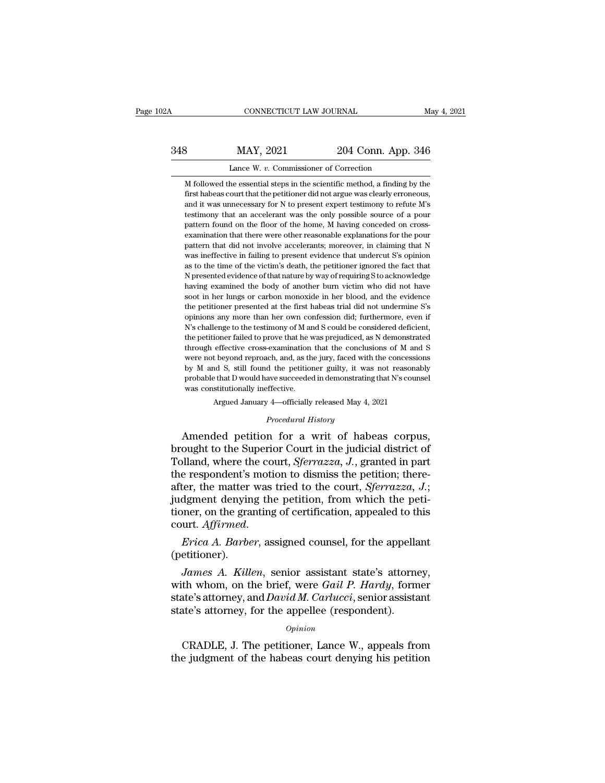# CONNECTICUT LAW JOURNAL May 4, 2021<br>348 MAY, 2021 204 Conn. App. 346<br>Lance W. v. Commissioner of Correction CONNECTICUT LAW JOURNAL<br>MAY, 2021 204 Conn. App.<br>Lance W. *v.* Commissioner of Correction<br>he essential steps in the scientific method, a finding b

M followed the essential steps in the scientific method, a finding by the first habeas court that the petitioner did not argue was clearly erroneous, MAY, 2021 204 Conn. App. 346<br>Lance W. v. Commissioner of Correction<br>M followed the essential steps in the scientific method, a finding by the<br>first habeas court that the petitioner did not argue was clearly erroneous,<br>and MAY, 2021 204 Conn. App. 346<br>Lance W. v. Commissioner of Correction<br>M followed the essential steps in the scientific method, a finding by the<br>first habeas court that the petitioner did not argue was clearly erroneous,<br>and THE TERRY ISLAL TRANSFORM TO LARGE MET A SURVEY THE MUSLEM MUSLEM IS A SERVICE THAT A A SURVEY TO A SURVEY TO A political was unnecessary for N to present expert testimony to refute M's the only possible source of a pour p Lance W.  $v$ . Commissioner of Correction<br>M followed the essential steps in the scientific method, a finding by the<br>first habeas court that the petitioner did not argue was clearly erroneous,<br>and it was unnecessary for N t M followed the essential steps in the scientific method, a finding by the first habeas court that the petitioner did not argue was clearly erroneous, and it was unnecessary for N to present expert testimony to refute M's pattern that did not involve accelerants; moreover, in claiming that New Scheme and it was unnecessary for N to present expert testimony to refute M's testimony that an accelerant was the only possible source of a pour pat mothemeters count that the perfective in antiotal gue was clearly choncous, and it was unnecessary for N to present expert testimony to refute M's testimony that an accelerant was the only possible source of a pour pattern diata to the sumecessary for the present eigent essaminary of retail in the station of the time operatern found on the floor of the home, M having conceded on cross-<br>examination that there were other reasonable explanation Ecsamony date an accordance of the home, M having conceded on cross-<br>examination that there were other reasonable explanations for the pour<br>pattern that did not involve accelerants; moreover, in claiming that N<br>was ineffec pattern found of alternoof of are flome, in having conceded on cross-<br>examination that there were other reasonable explanations for the pour<br>pattern that did not involve accelerants; moreover, in claiming that N<br>was ineffe shall make the monority of the beat in the matter were valued in the pattern that did not involve accelerants; moreover, in claiming that N was ineffective in failing to present evidence that undercut S's opinion as to the pattern that the first habeas trial in the first habeas ineffective in failing to present evidence that undercut S's opinion as to the time of the victim's death, the petitioner ignored the fact that N presented evidence o mas increasive in namig to present evidence that and and accred is is opinion as to the time of the victim's death, the petitioner ignored the fact that N presented evidence of that nature by way of requiring S to acknowle N presented evidence of that nature by way of requiring S to acknowledge having examined the body of another burn victim who did not have soot in her lungs or carbon monoxide in her blood, and the evidence the petitioner The petitioner failed to prove that he was preduring but a have soot in her lungs or carbon monoxide in her blood, and the evidence the petitioner presented at the first habeas trial did not undermine S's opinions any more the petitioner presented at the first habeas trial who did not native soot in her lungs or carbon monoxide in her blood, and the evidence the petitioner presented at the first habeas trial did not undermine S's opinions an soot in the range of canon monotate in the bood, and are crudence the petitioner presented at the first habeas trial did not undermine S's opinions any more than her own confession did; furthermore, even if N's challenge t and presented at alter instructed and and not antennance is opinions any more than her own confession did; furthermore, even if N's challenge to the testimony of M and S could be considered deficient, the petitioner failed Note that that D would have succeeded in demonstrating that N's challenge to the testimony of M and S could be considered deficient, the petitioner failed to prove that he was prejudiced, as N demonstrated through effecti the petitioner failed to prove that he was prejudiced, as N demonstrated through effective cross-examination that the conclusions of M and S were not beyond reproach, and, as the jury, faced with the concessions by M and % through effective cross-examination that the conclusions of M and S were not beyond reproach, and, as the jury, faced with the concessions by M and S, still found the petitioner guilty, it was not reasonably probable th were not beyond reproach, and, as the jury, faced with the concessions<br>by M and S, still found the petitioner guilty, it was not reasonably<br>probable that D would have succeeded in demonstrating that N's counsel<br>was consti

Argued January 4—officially released May 4, 2021<br>*Procedural History*<br>Amended petition for a writ of habeas corpus, by M and S, still found the petitioner guilty, it was not reasonably<br>probable that D would have succeeded in demonstrating that N's counsel<br>was constitutionally ineffective.<br>Argued January 4—officially released May 4, 2021 From the court of habeas constitutionally ineffective.<br>Argued January 4—officially released May 4, 2021<br>*Procedural History*<br>Amended petition for a writ of habeas corpus,<br>brought to the Superior Court in the judicial distr Argued January 4—officially released May 4, 2021<br> *Procedural History*<br>
Amended petition for a writ of habeas corpus,<br>
brought to the Superior Court in the judicial district of<br>
Tolland, where the court, *Sferrazza*, *J*., Frocedural History<br>
Procedural History<br>
Amended petition for a writ of habeas corpus,<br>
brought to the Superior Court in the judicial district of<br>
Tolland, where the court, *Sferrazza*, *J.*, granted in part<br>
the respondent *Procedural History*<br>Amended petition for a writ of habeas corpus,<br>brought to the Superior Court in the judicial district of<br>Tolland, where the court, *Sferrazza*, *J.*, granted in part<br>the respondent's motion to dismiss t Amended petition for a writ of habeas corpus,<br>brought to the Superior Court in the judicial district of<br>Tolland, where the court, *Sferrazza*, J., granted in part<br>the respondent's motion to dismiss the petition; there-<br>aft Tolland, where the court, *Sferrazza*, *J*., granted in part<br>the respondent's motion to dismiss the petition; there-<br>after, the matter was tried to the court, *Sferrazza*, *J*.;<br>judgment denying the petition, from which th *James A. Killen, senior assistant state's attorney, and David M Carlucci senior assistant* state's attorney, the whom, on the brief, were *Gail P. Hardy*, former atta's attorney, the whom, on the brief, were *Gail P. Hard* 

(petitioner).

with whom, on the granting of certification, appealed to this<br>court. *Affirmed.*<br>*Erica A. Barber*, assigned counsel, for the appellant<br>(petitioner).<br>*James A. Killen*, senior assistant state's attorney,<br>with whom, on the stately, on the granting of continuation, dippedicate of this<br>court. Affirmed.<br>Frica A. Barber, assigned counsel, for the appellant<br>(petitioner).<br>James A. Killen, senior assistant state's attorney,<br>with whom, on the brief, Frica A. Barber, assigned counsel, for the appella<br>(petitioner).<br>James A. Killen, senior assistant state's attorne<br>with whom, on the brief, were Gail P. Hardy, form<br>state's attorney, and David M. Carlucci, senior assista<br> *James A. Killen*, senior assistant state's attorney,<br>th whom, on the brief, were *Gail P. Hardy*, former<br>ate's attorney, and *David M. Carlucci*, senior assistant<br>ate's attorney, for the appellee (respondent).<br>*Opinion*<br>C with whom, on the brief, were *Gail P. Hardy*, former state's attorney, and *David M. Carlucci*, senior assistant state's attorney, for the appellee (respondent).<br>  $o$ <sub>*opinion*</sub> CRADLE, J. The petitioner, Lance W., appea

## *Opinion*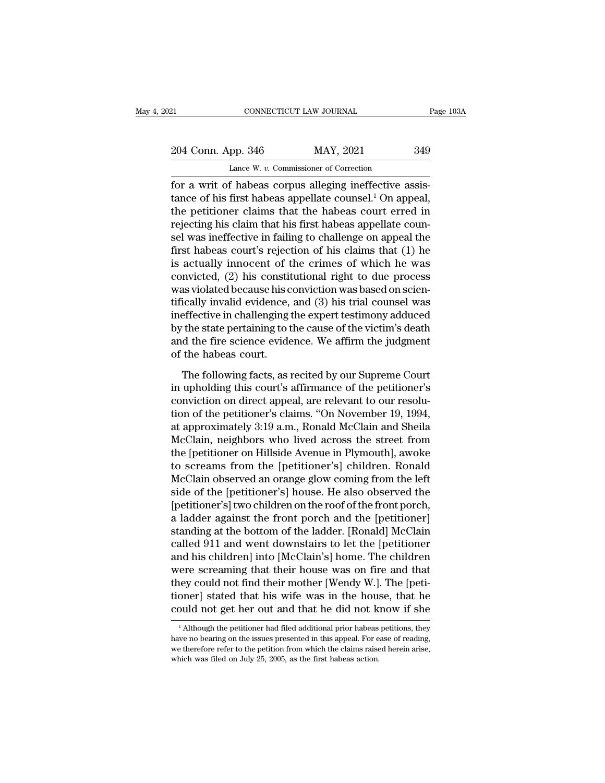21 CONNECTICUT LAW JOURNAL Page 103A<br>204 Conn. App. 346 MAY, 2021 349<br>Lance W. v. Commissioner of Correction CONNECTICUT LAW JOURNAL<br>
pp. 346 MAY, 2021<br>
Lance W. *v.* Commissioner of Correction<br>
f habeas corpus alleging ineffective as

For a writ of habeas corpus alleging ineffective assistance of his first habeas appellate counsel.<sup>1</sup> On appeal,<br>
the nettioner claims that the habeas corpus alleging ineffective assistance of his first habeas appellate co 204 Conn. App. 346 MAY, 2021 349<br>Lance W. v. Commissioner of Correction<br>for a writ of habeas corpus alleging ineffective assis-<br>tance of his first habeas appellate counsel.<sup>1</sup> On appeal,<br>the petitioner claims that the habe 204 Conn. App. 346 MAY, 2021 349<br>
Lance W. v. Commissioner of Correction<br>
for a writ of habeas corpus alleging ineffective assis-<br>
tance of his first habeas appellate counsel.<sup>1</sup> On appeal,<br>
the petitioner claims that the 204 Conn. App. 346 MAY, 2021 349<br>
Lance W. v. Commissioner of Correction<br>
for a writ of habeas corpus alleging ineffective assis-<br>
tance of his first habeas appellate counsel.<sup>1</sup> On appeal,<br>
the petitioner claims that the Lance W. v. Commissioner of Correction<br>
for a writ of habeas corpus alleging ineffective assis-<br>
tance of his first habeas appellate counsel.<sup>1</sup> On appeal,<br>
the petitioner claims that the habeas court erred in<br>
rejecting Lance w. v. Commissioner of Correction<br>for a writ of habeas corpus alleging ineffective assis-<br>tance of his first habeas appellate counsel.<sup>1</sup> On appeal,<br>the petitioner claims that the habeas court erred in<br>rejecting his for a writ of habeas corpus alleging ineffective assistance of his first habeas appellate counsel.<sup>1</sup> On appeal, the petitioner claims that the habeas court erred in rejecting his claim that his first habeas appellate cou tance of his first habeas appellate counsel.<sup>1</sup> On appeal,<br>the petitioner claims that the habeas court erred in<br>rejecting his claim that his first habeas appellate coun-<br>sel was ineffective in failing to challenge on appe the petitioner claims that the habeas court erred in rejecting his claim that his first habeas appellate counsel was ineffective in failing to challenge on appeal the first habeas court's rejection of his claims that (1) h rejecting his claim that his first habeas appellate counsel was ineffective in failing to challenge on appeal the first habeas court's rejection of his claims that (1) he is actually innocent of the crimes of which he was sel was ineffective in failing to challenge on appeal the<br>first habeas court's rejection of his claims that (1) he<br>is actually innocent of the crimes of which he was<br>convicted, (2) his constitutional right to due process<br>w first habeas court's rejection of his claims that (1) he<br>is actually innocent of the crimes of which he was<br>convicted, (2) his constitutional right to due process<br>was violated because his conviction was based on scien-<br>tif is actually innocent of the crimes of which he was<br>convicted, (2) his constitutional right to due process<br>was violated because his conviction was based on scien-<br>tifically invalid evidence, and (3) his trial counsel was<br>in convicted, (2) his constit<br>was violated because his c<br>tifically invalid evidence,<br>ineffective in challenging t<br>by the state pertaining to t<br>and the fire science evide<br>of the habeas court.<br>The following facts, as i The following facts, as recited by our Supreme Court<br>up invalid evidence, and (3) his trial counsel was<br>effective in challenging the expert testimony adduced<br>the state pertaining to the cause of the victim's death<br>d the fi ineffective in challenging the expert testimony adduced<br>by the state pertaining to the cause of the victim's death<br>and the fire science evidence. We affirm the judgment<br>of the habeas court.<br>The following facts, as recited

by the state pertaining to the cause of the victim's death<br>and the fire science evidence. We affirm the judgment<br>of the habeas court.<br>The following facts, as recited by our Supreme Court<br>in upholding this court's affirman the fire science evidence. We affirm the judgment<br>and the fire science evidence. We affirm the judgment<br>of the habeas court.<br>The following facts, as recited by our Supreme Court<br>in upholding this court's affirmance of the and the labeas court.<br>
The following facts, as recited by our Supreme Court<br>
in upholding this court's affirmance of the petitioner's<br>
conviction on direct appeal, are relevant to our resolu-<br>
tion of the petitioner's clai The following facts, as recited by our Supreme Court<br>in upholding this court's affirmance of the petitioner's<br>conviction on direct appeal, are relevant to our resolu-<br>tion of the petitioner's claims. "On November 19, 1994, The following facts, as recited by our Supreme Court<br>in upholding this court's affirmance of the petitioner's<br>conviction on direct appeal, are relevant to our resolu-<br>tion of the petitioner's claims. "On November 19, 1994, in upholding this court's affirmance of the petitioner's<br>conviction on direct appeal, are relevant to our resolu-<br>tion of the petitioner's claims. "On November 19, 1994,<br>at approximately 3:19 a.m., Ronald McClain and Sheil conviction on direct appeal, are relevant to our resolution of the petitioner's claims. "On November 19, 1994, at approximately 3:19 a.m., Ronald McClain and Sheila McClain, neighbors who lived across the street from the [ tion of the petitioner's claims. "On November 19, 1994,<br>at approximately 3:19 a.m., Ronald McClain and Sheila<br>McClain, neighbors who lived across the street from<br>the [petitioner on Hillside Avenue in Plymouth], awoke<br>to sc at approximately 3:19 a.m., Ronald McClain and Sheila<br>McClain, neighbors who lived across the street from<br>the [petitioner on Hillside Avenue in Plymouth], awoke<br>to screams from the [petitioner's] children. Ronald<br>McClain o McClain, neighbors who lived across the street from<br>the [petitioner on Hillside Avenue in Plymouth], awoke<br>to screams from the [petitioner's] children. Ronald<br>McClain observed an orange glow coming from the left<br>side of th the [petitioner on Hillside Avenue in Plymouth], awoke<br>to screams from the [petitioner's] children. Ronald<br>McClain observed an orange glow coming from the left<br>side of the [petitioner's] house. He also observed the<br>[petiti to screams from the [petitioner's] children. Ronald<br>McClain observed an orange glow coming from the left<br>side of the [petitioner's] house. He also observed the<br>[petitioner's] two children on the roof of the front porch,<br>a McClain observed an orange glow coming from the left<br>side of the [petitioner's] house. He also observed the<br>[petitioner's] two children on the roof of the front porch,<br>a ladder against the front porch and the [petitioner]<br> side of the [petitioner's] house. He also observed the<br>[petitioner's] two children on the roof of the front porch,<br>a ladder against the front porch and the [petitioner]<br>standing at the bottom of the ladder. [Ronald] McClai [petitioner's] two children on the roof of the front porch,<br>a ladder against the front porch and the [petitioner]<br>standing at the bottom of the ladder. [Ronald] McClain<br>called 911 and went downstairs to let the [petitioner a ladder against the front porch and the [petitioner]<br>standing at the bottom of the ladder. [Ronald] McClain<br>called 911 and went downstairs to let the [petitioner<br>and his children] into [McClain's] home. The children<br>were standing at the bottom of the ladder. [Ronald] McClain<br>called 911 and went downstairs to let the [petitioner<br>and his children] into [McClain's] home. The children<br>were screaming that their house was on fire and that<br>they c ere screaming that their nouse was on fire and that<br>hey could not find their mother [Wendy W.]. The [peti-<br>oner] stated that his wife was in the house, that he<br>puld not get her out and that he did not know if she<br><sup>1</sup> Altho they could not find their mother [Wendy W.]. The [petitioner] stated that his wife was in the house, that he could not get her out and that he did not know if she  $\frac{1}{1}$  Although the petitioner had filed additional pri

tioner] stated that his wife was in the house, that he could not get her out and that he did not know if she  $^{-1}$ Although the petitioner had filed additional prior habeas petitions, they have no bearing on the issues pre could not get her out and that he did not k<br>
<sup>1</sup> Although the petitioner had filed additional prior habeas<br>
have no bearing on the issues presented in this appeal. For e<br>
we therefore refer to the petition from which the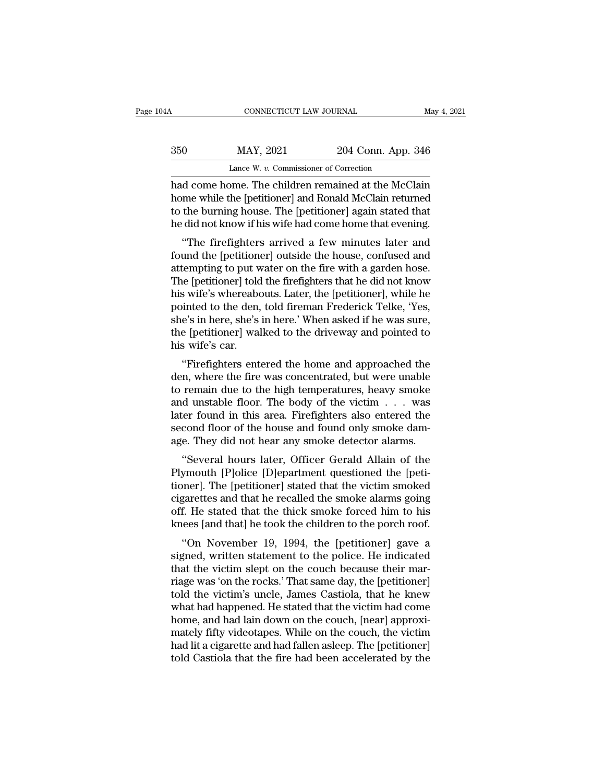# CONNECTICUT LAW JOURNAL May 4, 2021<br>350 MAY, 2021 204 Conn. App. 346<br>Lance W. v. Commissioner of Correction CONNECTICUT LAW JOURNAL<br>MAY, 2021 204 Conn. App.<br>Lance W. *v.* Commissioner of Correction<br>Dime The children remained at the McC

CONNECTICUT LAW JOURNAL May 4, 2021<br>
MAY, 2021 204 Conn. App. 346<br>
Lance W. v. Commissioner of Correction<br>
had come home. The children remained at the McClain<br>
home while the [petitioner] and Ronald McClain returned<br>
to th MAY, 2021 204 Conn. App. 346<br>Lance W. v. Commissioner of Correction<br>had come home. The children remained at the McClain<br>home while the [petitioner] and Ronald McClain returned<br>to the burning house. The [petitioner] again s  $\begin{tabular}{ c c c} \multicolumn{1}{c}{{\bf{MAY, 2021}}} & \multicolumn{1}{c}{{\bf{204 Conn. App. 346}}}\\ \hline \textbf{Lance W. }v.\textbf{ Commissioner of Correction} \\ \hline \textbf{had come home. The children remained at the McClain home while the [petitioner] and Ronald McClain returned to the burning house. The [petitioner] again stated that he did not know if his wife had come home that evening.} \end{tabular}$ he did not know if his wife had come home that evening. Lance W.  $v$ . Commissioner of Correction<br>
d come home. The children remained at the McClain<br>
ime while the [petitioner] and Ronald McClain returned<br>
the burning house. The [petitioner] again stated that<br>
did not know if h had come home. The children remained at the McClain<br>home while the [petitioner] and Ronald McClain returned<br>to the burning house. The [petitioner] again stated that<br>he did not know if his wife had come home that evening.<br>"

rad colle holle. The childrent remained at the McClain<br>home while the [petitioner] and Ronald McClain returned<br>to the burning house. The [petitioner] again stated that<br>he did not know if his wife had come home that evening From the while the [petitioner] and notial metallitied<br>to the burning house. The [petitioner] again stated that<br>he did not know if his wife had come home that evening.<br>"The firefighters arrived a few minutes later and<br>foun to the burning notse. The [petitioner] again stated that<br>he did not know if his wife had come home that evening.<br>"The firefighters arrived a few minutes later and<br>found the [petitioner] outside the house, confused and<br>atte if the did not know it its wife had come none that evening.<br>
"The firefighters arrived a few minutes later and<br>
found the [petitioner] outside the house, confused and<br>
attempting to put water on the fire with a garden hose "The firefighters arrived a few minutes later and<br>found the [petitioner] outside the house, confused and<br>attempting to put water on the fire with a garden hose.<br>The [petitioner] told the firefighters that he did not know<br>h found the [petitioner] outside the house, confused and<br>attempting to put water on the fire with a garden hose.<br>The [petitioner] told the firefighters that he did not know<br>his wife's whereabouts. Later, the [petitioner], wh attempting to put w<br>The [petitioner] told<br>his wife's whereabo<br>pointed to the den,<br>she's in here, she's<br>the [petitioner] wal<br>his wife's car.<br>"Firefighters ent Experimental the menginers that he did not know<br>
s wife's whereabouts. Later, the [petitioner], while he<br>
inted to the den, told fireman Frederick Telke, 'Yes,<br>
e's in here, she's in here.' When asked if he was sure,<br>
e [p den, told fireman Frederick Telke, 'Yes,<br>she's in here, she's in here.' When asked if he was sure,<br>the [petitioner] walked to the driveway and pointed to<br>his wife's car.<br>"Firefighters entered the home and approached the<br>de

pointed to the den, told infernal Prederick Terke, Tes,<br>she's in here, she's in here.' When asked if he was sure,<br>the [petitioner] walked to the driveway and pointed to<br>his wife's car.<br>"Firefighters entered the home and ap she s in here, she s in here. When asked it he was sure,<br>the [petitioner] walked to the driveway and pointed to<br>his wife's car.<br>"Firefighters entered the home and approached the<br>den, where the fire was concentrated, but we later founder and approached the discreeness wife's car.<br>
"Firefighters entered the home and approached the den, where the fire was concentrated, but were unable<br>
to remain due to the high temperatures, heavy smoke<br>
and un "Firefighters entered the home and approached the<br>den, where the fire was concentrated, but were unable<br>to remain due to the high temperatures, heavy smoke<br>and unstable floor. The body of the victim  $\dots$  was<br>later found i "Firefighters entered the home and approached the<br>den, where the fire was concentrated, but were unable<br>to remain due to the high temperatures, heavy smoke<br>and unstable floor. The body of the victim  $\dots$  was<br>later found i It, where the me was concentrated, but were unable<br>
remain due to the high temperatures, heavy smoke<br>
d unstable floor. The body of the victim . . . was<br>
ter found in this area. Firefighters also entered the<br>
cond floor of to remain the to the high temperatures, heavy showe<br>and unstable floor. The body of the victim . . . was<br>later found in this area. Firefighters also entered the<br>second floor of the house and found only smoke dam-<br>age. They

and distable hoof. The body of the victim  $\ldots$  was<br>later found in this area. Firefighters also entered the<br>second floor of the house and found only smoke dam-<br>age. They did not hear any smoke detector alarms.<br>"Several hou rater found in this area. Frienginers also entered the<br>second floor of the house and found only smoke dam-<br>age. They did not hear any smoke detector alarms.<br>"Several hours later, Officer Gerald Allain of the<br>Plymouth [P]ol second noor of the house and found only showe dam-<br>age. They did not hear any smoke detector alarms.<br>"Several hours later, Officer Gerald Allain of the<br>Plymouth [P]olice [D]epartment questioned the [peti-<br>tioner]. The [pet age. They did not hear any shoke detector alarms.<br>
"Several hours later, Officer Gerald Allain of the<br>
Plymouth [P]olice [D]epartment questioned the [peti-<br>
tioner]. The [petitioner] stated that the victim smoked<br>
cigarett Several hours fater, Officer Gerald Alliam of the<br>
symouth [P]olice [D]epartment questioned the [peti-<br>
ner]. The [petitioner] stated that the victim smoked<br>
garettes and that he recalled the smoke alarms going<br>
f. He stat Figure 1 Julie 1 place [D] epartment questioned the [peut-<br>tioner]. The [petitioner] stated that the victim smoked<br>cigarettes and that he recalled the smoke alarms going<br>off. He stated that the thick smoke forced him to h

toller]. The [petholer] stated that the victim shoked<br>cigarettes and that he recalled the smoke alarms going<br>off. He stated that the thick smoke forced him to his<br>knees [and that] he took the children to the porch roof.<br>"O rigareties and that he recanced the shloke atarins going<br>off. He stated that the thick smoke forced him to his<br>knees [and that] he took the children to the porch roof.<br>"On November 19, 1994, the [petitioner] gave a<br>signed, on: The stated that the thick shoke forced film to fits<br>knees [and that] he took the children to the porch roof.<br>"On November 19, 1994, the [petitioner] gave a<br>signed, written statement to the police. He indicated<br>that the whees [and that] he took the children to the porch roof.<br>
"On November 19, 1994, the [petitioner] gave a<br>
signed, written statement to the police. He indicated<br>
that the victim slept on the couch because their mar-<br>
riage "On November 19, 1994, the [petitioner] gave a<br>signed, written statement to the police. He indicated<br>that the victim slept on the couch because their mar-<br>riage was 'on the rocks.' That same day, the [petitioner]<br>told the signed, written statement to the police. He indicated<br>that the victim slept on the couch because their mar-<br>riage was 'on the rocks.' That same day, the [petitioner]<br>told the victim's uncle, James Castiola, that he knew<br>wh that the victim slept on the couch because their marriage was 'on the rocks.' That same day, the [petitioner] told the victim's uncle, James Castiola, that he knew what had happened. He stated that the victim had come home riage was 'on the rocks.' That same day, the [petitioner] told the victim's uncle, James Castiola, that he knew<br>what had happened. He stated that the victim had come<br>home, and had lain down on the couch, [near] approxi-<br>ma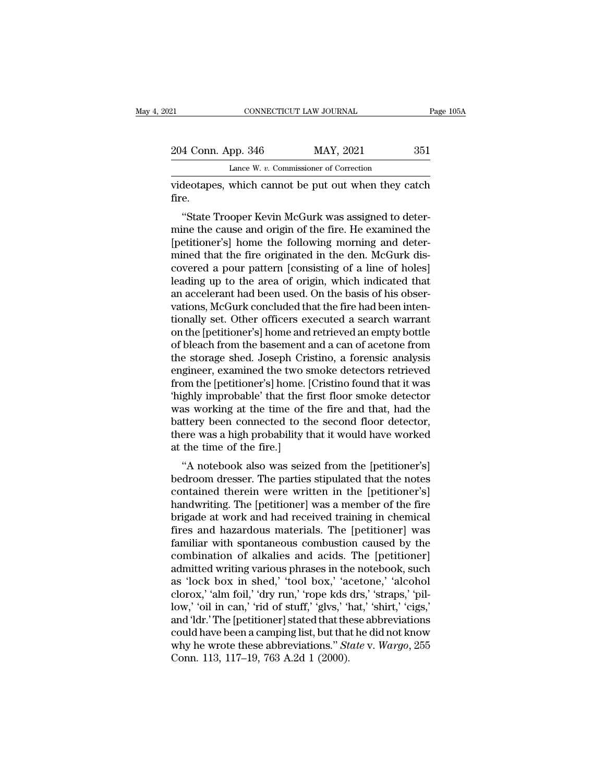| 12                 | CONNECTICUT LAW JOURNAL                            | Page 105A |
|--------------------|----------------------------------------------------|-----------|
| 204 Conn. App. 346 | MAY, 2021                                          | 351       |
|                    | Lance W. v. Commissioner of Correction             |           |
|                    | videotanes which cannot be put out when they catch |           |

CONNECTICUT LAW JOURNAL Page 105A<br>204 Conn. App. 346 MAY, 2021 351<br>Lance W. v. Commissioner of Correction<br>videotapes, which cannot be put out when they catch<br>fire. fire.

4 Conn. App. 346 MAY, 2021 351<br>
Lance W. v. Commissioner of Correction<br>
deotapes, which cannot be put out when they catch<br>
e.<br>
"State Trooper Kevin McGurk was assigned to deter-<br>
ine the cause and origin of the fire. He ex 204 Conn. App. 346 MAY, 2021 351<br>
Lance W. v. Commissioner of Correction<br>
videotapes, which cannot be put out when they catch<br>
fire.<br>
"State Trooper Kevin McGurk was assigned to deter-<br>
mine the cause and origin of the fi Lance W. v. Commissioner of Correction<br>
videotapes, which cannot be put out when they catch<br>
fire.<br>
"State Trooper Kevin McGurk was assigned to deter-<br>
mine the cause and origin of the fire. He examined the<br>
[petitioner's] videotapes, which cannot be put out when they catch<br>fire.<br>"State Trooper Kevin McGurk was assigned to deter-<br>mine the cause and origin of the fire. He examined the<br>[petitioner's] home the following morning and deter-<br>mined videotapes, which cannot be put out when they catch<br>fire.<br>"State Trooper Kevin McGurk was assigned to deter-<br>mine the cause and origin of the fire. He examined the<br>[petitioner's] home the following morning and deter-<br>mined "State Trooper Kevin McGurk was assigned to deter-<br>mine the cause and origin of the fire. He examined the<br>[petitioner's] home the following morning and deter-<br>mined that the fire originated in the den. McGurk dis-<br>covered "State Trooper Kevin McGurk was assigned to determine the cause and origin of the fire. He examined the [petitioner's] home the following morning and determined that the fire originated in the den. McGurk discovered a pour mine the cause and origin of the fire. He examined the [petitioner's] home the following morning and determined that the fire originated in the den. McGurk discovered a pour pattern [consisting of a line of holes] leading [petitioner's] home the following morning and deter-<br>mined that the fire originated in the den. McGurk dis-<br>covered a pour pattern [consisting of a line of holes]<br>leading up to the area of origin, which indicated that<br>an a mined that the fire originated in the den. McGurk discovered a pour pattern [consisting of a line of holes] leading up to the area of origin, which indicated that an accelerant had been used. On the basis of his observatio covered a pour pattern [consisting of a line of holes]<br>leading up to the area of origin, which indicated that<br>an accelerant had been used. On the basis of his obser-<br>vations, McGurk concluded that the fire had been inten-<br> leading up to the area of origin, which indicated that<br>an accelerant had been used. On the basis of his obser-<br>vations, McGurk concluded that the fire had been inten-<br>tionally set. Other officers executed a search warrant<br> an accelerant had been used. On the basis of his observations, McGurk concluded that the fire had been intentionally set. Other officers executed a search warrant on the [petitioner's] home and retrieved an empty bottle of vations, McGurk concluded that the fire had been intentionally set. Other officers executed a search warrant<br>on the [petitioner's] home and retrieved an empty bottle<br>of bleach from the basement and a can of acetone from<br>th tionally set. Other officers executed a search warrant<br>on the [petitioner's] home and retrieved an empty bottle<br>of bleach from the basement and a can of acetone from<br>the storage shed. Joseph Cristino, a forensic analysis<br>e on the [petitioner's] home and retrieved an empty bottle<br>of bleach from the basement and a can of acetone from<br>the storage shed. Joseph Cristino, a forensic analysis<br>engineer, examined the two smoke detectors retrieved<br>fro of bleach from the basement and a can of acetone from<br>the storage shed. Joseph Cristino, a forensic analysis<br>engineer, examined the two smoke detectors retrieved<br>from the [petitioner's] home. [Cristino found that it was<br>'h the storage shed. Joseph Cristino, a forensic analysis<br>engineer, examined the two smoke detectors retrieved<br>from the [petitioner's] home. [Cristino found that it was<br>'highly improbable' that the first floor smoke detector<br> engineer, examined the two sr<br>from the [petitioner's] home. [('highly improbable' that the fire<br>was working at the time of the<br>battery been connected to the<br>there was a high probability the at the time of the fire.]<br>"A not The interpretational point of the first floor smoke detector<br>
as working at the time of the fire and that, had the<br>
ttery been connected to the second floor detector,<br>
ere was a high probability that it would have worked<br> headwriting The partitional was a momber detector<br>was working at the time of the fire and that, had the<br>battery been connected to the second floor detector,<br>there was a high probability that it would have worked<br>at the tim

was working at the time of the fire and that, had the<br>battery been connected to the second floor detector,<br>there was a high probability that it would have worked<br>at the time of the fire.]<br>"A notebook also was seized from t battery been connected to the second hoor detector,<br>there was a high probability that it would have worked<br>at the time of the fire.]<br>"A notebook also was seized from the [petitioner's]<br>bedroom dresser. The parties stipulat there was a high probability that it would have worked<br>at the time of the fire.]<br>"A notebook also was seized from the [petitioner's]<br>bedroom dresser. The parties stipulated that the notes<br>contained therein were written in at the time of the fire.]<br>
"A notebook also was seized from the [petitioner's]<br>
bedroom dresser. The parties stipulated that the notes<br>
contained therein were written in the [petitioner's]<br>
handwriting. The [petitioner] wa "A notebook also was seized from the [petitioner's]<br>bedroom dresser. The parties stipulated that the notes<br>contained therein were written in the [petitioner's]<br>handwriting. The [petitioner] was a member of the fire<br>brigade bedroom dresser. The parties stipulated that the notes<br>contained therein were written in the [petitioner's]<br>handwriting. The [petitioner] was a member of the fire<br>brigade at work and had received training in chemical<br>fires contained therein were written in the [petitioner's]<br>handwriting. The [petitioner] was a member of the fire<br>brigade at work and had received training in chemical<br>fires and hazardous materials. The [petitioner] was<br>familiar handwriting. The [petitioner] was a member of the fire<br>brigade at work and had received training in chemical<br>fires and hazardous materials. The [petitioner] was<br>familiar with spontaneous combustion caused by the<br>combinatio brigade at work and had received training in chemical<br>fires and hazardous materials. The [petitioner] was<br>familiar with spontaneous combustion caused by the<br>combination of alkalies and acids. The [petitioner]<br>admitted writ fires and hazardous materials. The [petitioner] was<br>familiar with spontaneous combustion caused by the<br>combination of alkalies and acids. The [petitioner]<br>admitted writing various phrases in the notebook, such<br>as 'lock box familiar with spontaneous combustion caused by the<br>combination of alkalies and acids. The [petitioner]<br>admitted writing various phrases in the notebook, such<br>as 'lock box in shed,' 'tool box,' 'acetone,' 'alcohol<br>clorox,' combination of alkalies and acids. The [petitioner]<br>admitted writing various phrases in the notebook, such<br>as 'lock box in shed,' 'tool box,' 'acetone,' 'alcohol<br>clorox,' 'alm foil,' 'dry run,' 'rope kds drs,' 'straps,' 'p admitted writing various phrases in the notebook, such<br>as 'lock box in shed,' 'tool box,' 'acetone,' 'alcohol<br>clorox,' 'alm foil,' 'dry run,' 'rope kds drs,' 'straps,' 'pil-<br>low,' 'oil in can,' 'rid of stuff,' 'glvs,' 'hat as 'lock box in shed,' 'tool box,' 'acclorox,' 'alm foil,' 'dry run,' 'rope kds<br>low,' 'oil in can,' 'rid of stuff,' 'glvs,' 'l<br>and 'ldr.' The [petitioner] stated that the<br>could have been a camping list, but tha<br>why he wrot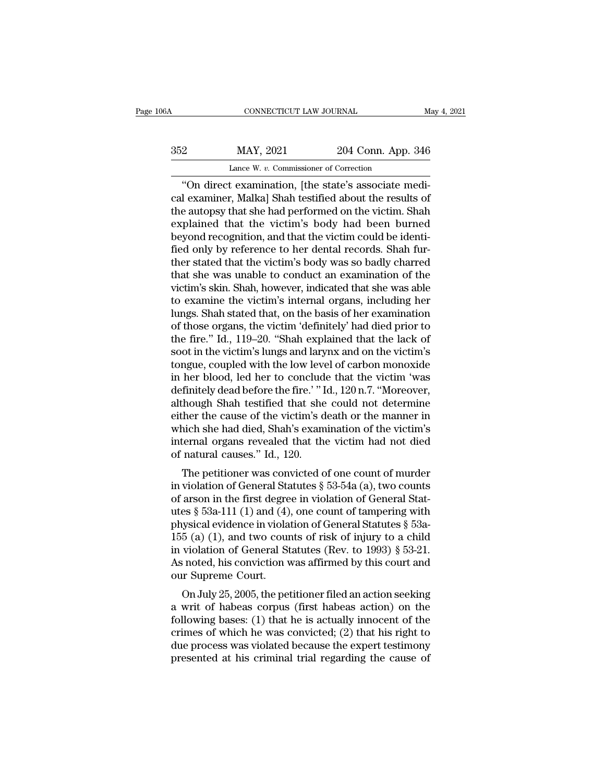| .06A | CONNECTICUT LAW JOURNAL                             |                    | May 4, 2021 |
|------|-----------------------------------------------------|--------------------|-------------|
| 352  | MAY, 2021                                           | 204 Conn. App. 346 |             |
|      | Lance W. v. Commissioner of Correction              |                    |             |
|      | "On direct examination [the state's associate medi- |                    |             |

CONNECTICUT LAW JOURNAL<br>
22 MAY, 2021 204 Conn. App. 346<br>
Lance W. v. Commissioner of Correction<br>
"On direct examination, [the state's associate medi-<br>
lexaminer, Malka] Shah testified about the results of Malkal 2021 204 Conn. App. 346<br>Lance W. v. Commissioner of Correction<br>"On direct examination, [the state's associate medical examiner, Malka] Shah testified about the results of<br>the autopsy that she had performed on the vi  $\frac{\text{max}}{\text{base } w.v. \text{ Commissioner of Correction}}$ <br>
"On direct examination, [the state's associate medical examiner, Malka] Shah testified about the results of the autopsy that she had performed on the victim. Shah explained that the victim's bo 352 MAY, 2021 204 Conn. App. 346<br>
Lance W.  $v$ . Commissioner of Correction<br>
"On direct examination, [the state's associate medical examiner, Malka] Shah testified about the results of<br>
the autopsy that she had performed o Lance W. v. Commissioner of Correction<br>
"On direct examination, [the state's associate medi-<br>
cal examiner, Malka] Shah testified about the results of<br>
the autopsy that she had performed on the victim. Shah<br>
explained that Lance W. v. Commissioner of Correction<br>
"On direct examination, [the state's associate medi-<br>
cal examiner, Malka] Shah testified about the results of<br>
the autopsy that she had performed on the victim. Shah<br>
explained that "On direct examination, [the state's associate medical examiner, Malka] Shah testified about the results of the autopsy that she had performed on the victim. Shah explained that the victim's body had been burned beyond rec cal examiner, Malka] Shah testified about the results of<br>the autopsy that she had performed on the victim. Shah<br>explained that the victim's body had been burned<br>beyond recognition, and that the victim could be identi-<br>fied the autopsy that she had performed on the victim. Shah, explained that the victim's body had been burned beyond recognition, and that the victim could be identified only by reference to her dental records. Shah further sta explained that the victim's body had been burned<br>beyond recognition, and that the victim could be identi-<br>fied only by reference to her dental records. Shah fur-<br>ther stated that the victim's body was so badly charred<br>that beyond recognition, and that the victim could be identi-<br>fied only by reference to her dental records. Shah fur-<br>ther stated that the victim's body was so badly charred<br>that she was unable to conduct an examination of the<br> fied only by reference to her dental records. Shah fur-<br>ther stated that the victim's body was so badly charred<br>that she was unable to conduct an examination of the<br>victim's skin. Shah, however, indicated that she was able ther stated that the victim's body was so badly charred<br>that she was unable to conduct an examination of the<br>victim's skin. Shah, however, indicated that she was able<br>to examine the victim's internal organs, including her<br> that she was unable to conduct an examination of the victim's skin. Shah, however, indicated that she was able to examine the victim's internal organs, including her lungs. Shah stated that, on the basis of her examination victim's skin. Shah, however, indicated that she was able<br>to examine the victim's internal organs, including her<br>lungs. Shah stated that, on the basis of her examination<br>of those organs, the victim 'definitely' had died pr to examine the victim's internal organs, including her<br>lungs. Shah stated that, on the basis of her examination<br>of those organs, the victim 'definitely' had died prior to<br>the fire." Id., 119–20. "Shah explained that the la lungs. Shah stated that, on the basis of her examination<br>of those organs, the victim 'definitely' had died prior to<br>the fire.'' Id., 119–20. ''Shah explained that the lack of<br>soot in the victim's lungs and larynx and on th of those organs, the victim 'definitely' had died prior to<br>the fire." Id., 119–20. "Shah explained that the lack of<br>soot in the victim's lungs and larynx and on the victim's<br>tongue, coupled with the low level of carbon mon the fire." Id., 119–20. "Shah explained that the lack of<br>soot in the victim's lungs and larynx and on the victim's<br>tongue, coupled with the low level of carbon monoxide<br>in her blood, led her to conclude that the victim 'wa soot in the victim's lungs and larynx and on the victim's<br>tongue, coupled with the low level of carbon monoxide<br>in her blood, led her to conclude that the victim 'was<br>definitely dead before the fire.' "Id., 120 n.7. "Moreo tongue, coupled with the low level of carbon monoxide<br>in her blood, led her to conclude that the victim 'was<br>definitely dead before the fire.' " Id., 120 n.7. "Moreover,<br>although Shah testified that she could not determine in her blood, led her to conclude that the victim 'was<br>definitely dead before the fire.' "Id., 120 n.7. "Moreover,<br>although Shah testified that she could not determine<br>either the cause of the victim's death or the manner Thutely dead before the fire. The rate of the could not determine<br>there the cause of the victim's death or the manner in<br>nich she had died, Shah's examination of the victim's<br>ternal organs revealed that the victim had not athough shart testined that she colld not determine<br>either the cause of the victim's death or the manner in<br>which she had died, Shah's examination of the victim's<br>internal organs revealed that the victim had not died<br>of n

which she had died, Shah's examination of the victim's<br>internal organs revealed that the victim had not died<br>of natural causes." Id., 120.<br>The petitioner was convicted of one count of murder<br>in violation of General Statut which she had died, shart's examination of the victim's<br>internal organs revealed that the victim had not died<br>of natural causes." Id., 120.<br>The petitioner was convicted of one count of murder<br>in violation of General Statu meernal organs revealed that the victim had not died<br>of natural causes." Id., 120.<br>The petitioner was convicted of one count of murder<br>in violation of General Statutes § 53-54a (a), two counts<br>of arson in the first degree The petitioner was convicted of one count of murder<br>in violation of General Statutes § 53-54a (a), two counts<br>of arson in the first degree in violation of General Stat-<br>utes § 53a-111 (1) and (4), one count of tampering w The petitioner was convicted of one count of murder<br>in violation of General Statutes § 53-54a (a), two counts<br>of arson in the first degree in violation of General Stat-<br>utes § 53a-111 (1) and (4), one count of tampering w in violation of General Statutes § 53-54a (a), two counts<br>of arson in the first degree in violation of General Stat-<br>utes § 53a-111 (1) and (4), one count of tampering with<br>physical evidence in violation of General Statut of arson in the first degre<br>utes § 53a-111 (1) and (4)<br>physical evidence in viola<br>155 (a) (1), and two cour<br>in violation of General St<br>As noted, his conviction v<br>our Supreme Court.<br>On July 25, 2005, the pet besizes a boat in violation of General Statutes § 53a-<br>5 (a) (1), and two counts of risk of injury to a child<br>violation of General Statutes (Rev. to 1993) § 53-21.<br>i noted, his conviction was affirmed by this court and<br>ir physical evidence in violation of General statutes y 35a-<br>155 (a) (1), and two counts of risk of injury to a child<br>in violation of General Statutes (Rev. to 1993) § 53-21.<br>As noted, his conviction was affirmed by this cou

following bases: (1) that he is actually innocent of the crimes of which was affirmed by this court and<br>our Supreme Court.<br>On July 25, 2005, the petitioner filed an action seeking<br>a writ of habeas corpus (first habeas act In violation of defieral statutes (nev. to 1995) y 35-21.<br>As noted, his conviction was affirmed by this court and<br>our Supreme Court.<br>On July 25, 2005, the petitioner filed an action seeking<br>a writ of habeas corpus (first h As noted, his conviction was antimed by this court and<br>our Supreme Court.<br>On July 25, 2005, the petitioner filed an action seeking<br>a writ of habeas corpus (first habeas action) on the<br>following bases: (1) that he is actual our supreme Court.<br>
On July 25, 2005, the petitioner filed an action seeking<br>
a writ of habeas corpus (first habeas action) on the<br>
following bases: (1) that he is actually innocent of the<br>
crimes of which he was convicted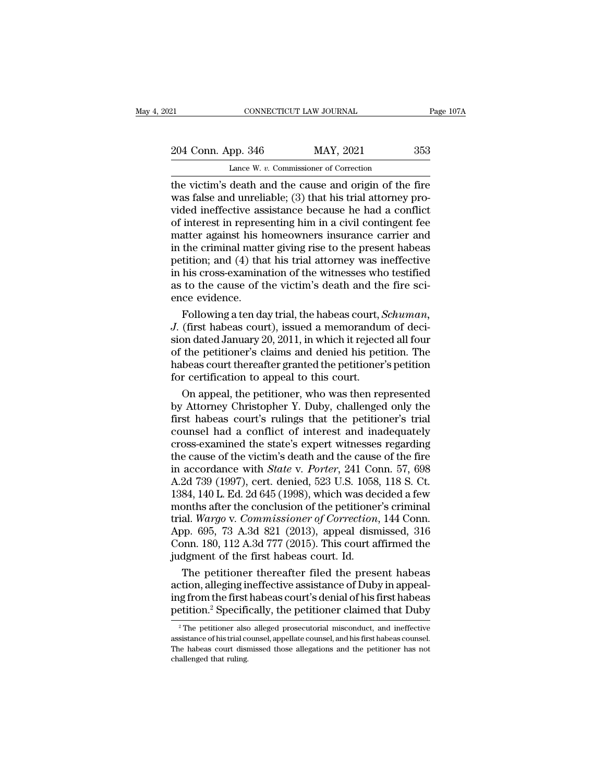21 CONNECTICUT LAW JOURNAL Page 107A<br>
204 Conn. App. 346 MAY, 2021 353<br>
Lance W. v. Commissioner of Correction CONNECTICUT LAW JOURNAL<br>pp. 346 MAY, 2021<br>Lance W. *v.* Commissioner of Correction<br>death and the cause and origin of the

CONNECTICUT LAW JOURNAL Page 107A<br>
204 Conn. App. 346 MAY, 2021 353<br>
Lance W. v. Commissioner of Correction<br>
the victim's death and the cause and origin of the fire<br>
was false and unreliable; (3) that his trial attorney pr 204 Conn. App. 346 MAY, 2021 353<br>Lance W. v. Commissioner of Correction<br>the victim's death and the cause and origin of the fire<br>was false and unreliable; (3) that his trial attorney pro-<br>vided ineffective assistance becaus 204 Conn. App. 346 MAY, 2021 353<br>
Lance W. v. Commissioner of Correction<br>
the victim's death and the cause and origin of the fire<br>
was false and unreliable; (3) that his trial attorney pro-<br>
vided ineffective assistance b 204 Conn. App. 346 MAY, 2021 353<br>
Lance W.  $v$ . Commissioner of Correction<br>
the victim's death and the cause and origin of the fire<br>
was false and unreliable; (3) that his trial attorney pro-<br>
vided ineffective assistance Lance W. v. Commissioner of Correction<br>the victim's death and the cause and origin of the fire<br>was false and unreliable; (3) that his trial attorney pro-<br>vided ineffective assistance because he had a conflict<br>of interest Lance W.  $v$ . Commissioner of Correction<br>the victim's death and the cause and origin of the fire<br>was false and unreliable; (3) that his trial attorney pro-<br>vided ineffective assistance because he had a conflict<br>of interes the victim's death and the cause and origin of the fire<br>was false and unreliable; (3) that his trial attorney pro-<br>vided ineffective assistance because he had a conflict<br>of interest in representing him in a civil contingen was false and unreliable; (3) that his trial attorney pro-<br>vided ineffective assistance because he had a conflict<br>of interest in representing him in a civil contingent fee<br>matter against his homeowners insurance carrier an vided ineffective assistance because he had a conflict<br>of interest in representing him in a civil contingent fee<br>matter against his homeowners insurance carrier and<br>in the criminal matter giving rise to the present habeas<br> of interest in repress<br>matter against his h<br>in the criminal matte<br>petition; and (4) tha<br>in his cross-examina<br>as to the cause of t<br>ence evidence.<br>Following a ten da factor against his homeowners insurance carrier and<br>the criminal matter giving rise to the present habeas<br>tition; and (4) that his trial attorney was ineffective<br>his cross-examination of the witnesses who testified<br>to the in the criminal matter giving rise to the present habeas<br>petition; and (4) that his trial attorney was ineffective<br>in his cross-examination of the witnesses who testified<br>as to the cause of the victim's death and the fire

petition; and (4) that his trial attorney was ineffective<br>in his cross-examination of the witnesses who testified<br>as to the cause of the victim's death and the fire sci-<br>ence evidence.<br>Following a ten day trial, the habeas in his cross-examination of the witnesses who testified<br>as to the cause of the victim's death and the fire sci-<br>ence evidence.<br>Following a ten day trial, the habeas court, *Schuman*,<br>J. (first habeas court), issued a memo as to the cause of the victim's death and the fire sci-<br>ence evidence.<br>Following a ten day trial, the habeas court, *Schuman*,<br>J. (first habeas court), issued a memorandum of deci-<br>sion dated January 20, 2011, in which it ence evidence.<br>Following a ten day trial, the habeas court,  $\mathcal{G}$ .<br> $\mathcal{J}$ . (first habeas court), issued a memorandur<br>sion dated January 20, 2011, in which it reject<br>of the petitioner's claims and denied his pet<br>habea Following a ten day trial, the habeas court, *Schuman*,<br>(first habeas court), issued a memorandum of deci-<br>on dated January 20, 2011, in which it rejected all four<br>the petitioner's claims and denied his petition. The<br>beas J. (first habeas court), issued a memorandum of decision dated January 20, 2011, in which it rejected all four<br>of the petitioner's claims and denied his petition. The<br>habeas court thereafter granted the petitioner's petiti

sion dated January 20, 2011, in which it rejected all four<br>of the petitioner's claims and denied his petition. The<br>habeas court thereafter granted the petitioner's petition<br>for certification to appeal to this court.<br>On app of the petitioner's claims and denied his petition. The<br>habeas court thereafter granted the petitioner's petition<br>for certification to appeal to this court.<br>On appeal, the petitioner, who was then represented<br>by Attorney C habeas court thereafter granted the petitioner's petition<br>for certification to appeal to this court.<br>On appeal, the petitioner, who was then represented<br>by Attorney Christopher Y. Duby, challenged only the<br>first habeas cou for certification to appeal to this court.<br>
On appeal, the petitioner, who was then represented<br>
by Attorney Christopher Y. Duby, challenged only the<br>
first habeas court's rulings that the petitioner's trial<br>
counsel had On appeal, the petitioner, who was then represented<br>by Attorney Christopher Y. Duby, challenged only the<br>first habeas court's rulings that the petitioner's trial<br>counsel had a conflict of interest and inadequately<br>cross-ex by Attorney Christopher Y. Duby, challenged only the<br>first habeas court's rulings that the petitioner's trial<br>counsel had a conflict of interest and inadequately<br>cross-examined the state's expert witnesses regarding<br>the ca first habeas court's rulings that the petitioner's trial<br>counsel had a conflict of interest and inadequately<br>cross-examined the state's expert witnesses regarding<br>the cause of the victim's death and the cause of the fire<br>i counsel had a conflict of interest and inadequately<br>cross-examined the state's expert witnesses regarding<br>the cause of the victim's death and the cause of the fire<br>in accordance with *State* v. *Porter*, 241 Conn. 57, 698<br> cross-examined the state's expert witnesses regarding<br>the cause of the victim's death and the cause of the fire<br>in accordance with *State* v. *Porter*, 241 Conn. 57, 698<br>A.2d 739 (1997), cert. denied, 523 U.S. 1058, 118 S. the cause of the victim's death and the cause of the fire<br>in accordance with *State* v. *Porter*, 241 Conn. 57, 698<br>A.2d 739 (1997), cert. denied, 523 U.S. 1058, 118 S. Ct.<br>1384, 140 L. Ed. 2d 645 (1998), which was decided in accordance with *State* v. *Porter*, 241 Conn. 57, 698<br>A.2d 739 (1997), cert. denied, 523 U.S. 1058, 118 S. Ct.<br>1384, 140 L. Ed. 2d 645 (1998), which was decided a few<br>months after the conclusion of the petitioner's cri A.2d 739 (1997), cert. denied, 523 U.S. 1058<br>1384, 140 L. Ed. 2d 645 (1998), which was dee<br>months after the conclusion of the petitione<br>trial. *Wargo* v. *Commissioner of Correction*<br>App. 695, 73 A.3d 821 (2013), appeal d 84, 140 L. Ed. 2d 645 (1998), which was decided a few<br>onths after the conclusion of the petitioner's criminal<br>al. *Wargo* v. *Commissioner of Correction*, 144 Conn.<br>pp. 695, 73 A.3d 821 (2013), appeal dismissed, 316<br>pnn. 1 months after the conclusion of the petitioner's criminal<br>trial. Wargo v. Commissioner of Correction, 144 Conn.<br>App. 695, 73 A.3d 821 (2013), appeal-dismissed, 316<br>Conn. 180, 112 A.3d 777 (2015). This court affirmed the<br>ju trial. *Wargo* v. *Commissioner of Correction*, 144 Conn.<br>App. 695, 73 A.3d 821 (2013), appeal dismissed, 316<br>Conn. 180, 112 A.3d 777 (2015). This court affirmed the<br>judgment of the first habeas court. Id.<br>The petitioner t

App. 695, 73 A.3d 821 (2013), appeal dismissed, 316<br>Conn. 180, 112 A.3d 777 (2015). This court affirmed the<br>judgment of the first habeas court. Id.<br>The petitioner thereafter filed the present habeas<br>action, alleging ineff The petitioner thereafter filed the present habeas<br>ction, alleging ineffective assistance of Duby in appeal-<br>g from the first habeas court's denial of his first habeas<br>etition.<sup>2</sup> Specifically, the petitioner claimed that action, alleging ineffective assistance of Duby in appealing from the first habeas court's denial of his first habeas petition.<sup>2</sup> Specifically, the petitioner claimed that Duby<sup>2</sup> The petitioner also alleged prosecutorial

ing from the first habeas court's denial of his first habeas<br>petition.<sup>2</sup> Specifically, the petitioner claimed that Duby<br><sup>a</sup>The petitioner also alleged prosecutorial misconduct, and ineffective<br>assistance of his trial coun petition.<sup>2</sup> Specifically, the petitioner claimed that Duby<br><sup>2</sup> The petitioner also alleged prosecutorial misconduct, and ineffective<br>assistance of his trial counsel, appellate counsel, and his first habeas counsel.<br>The h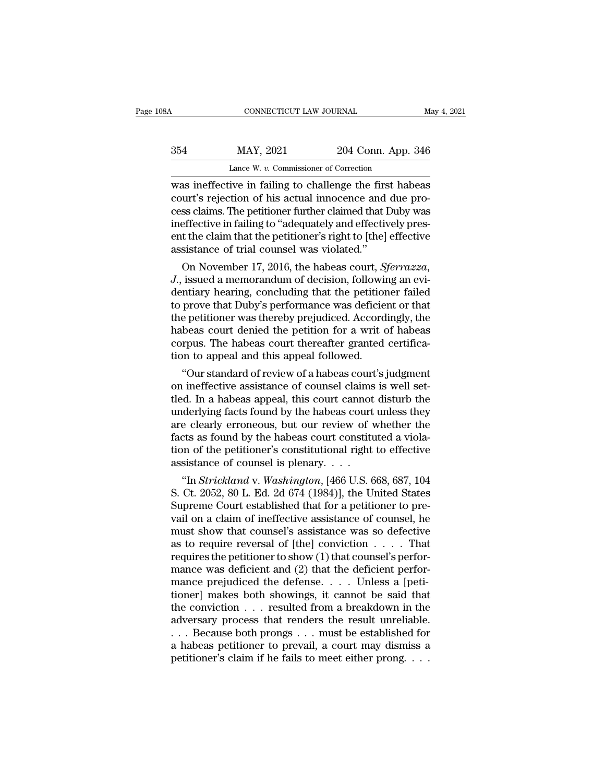# CONNECTICUT LAW JOURNAL May 4, 2021<br>354 MAY, 2021 204 Conn. App. 346<br>Lance W. v. Commissioner of Correction CONNECTICUT LAW JOURNAL<br>MAY, 2021 204 Conn. App.<br>Lance W. *v.* Commissioner of Correction<br>ive in failing to challenge the first hab

CONNECTICUT LAW JOURNAL May 4, 2021<br>
MAY, 2021 204 Conn. App. 346<br>
Lance W. v. Commissioner of Correction<br>
was ineffective in failing to challenge the first habeas<br>
court's rejection of his actual innocence and due pro-Example 204 Conn. App. 346<br>Lance W. v. Commissioner of Correction<br>was ineffective in failing to challenge the first habeas<br>court's rejection of his actual innocence and due pro-<br>cess claims. The petitioner further claimed 354 MAY, 2021 204 Conn. App. 346<br>
Lance W. v. Commissioner of Correction<br>
was ineffective in failing to challenge the first habeas<br>
court's rejection of his actual innocence and due pro-<br>
cess claims. The petitioner furth  $\frac{354}{\text{Lance W. } v. \text{ Commissioner of Correction}}$ <br>Lance W.  $v. \text{ Commissioner of Correction}}$ <br>was ineffective in failing to challenge the first habeas<br>court's rejection of his actual innocence and due pro-<br>cess claims. The petitioner further claimed that Duby was Lance W. v. Commissioner of Correction<br>was ineffective in failing to challenge the first habeas<br>court's rejection of his actual innocence and due pro-<br>cess claims. The petitioner further claimed that Duby was<br>ineffective i Lance W.  $v$ . Commissioner of Correction<br>was ineffective in failing to challenge the firs<br>court's rejection of his actual innocence and<br>cess claims. The petitioner further claimed that I<br>ineffective in failing to "adequat as menective in railing to challenge the first nabeas<br>surt's rejection of his actual innocence and due pro-<br>ss claims. The petitioner further claimed that Duby was<br>effective in failing to "adequately and effectively pres-<br> *J.*, issued a memorandum of decision, following an evi-dentrical pro-<br>*J.*, issued a memoral and the petitioner's right to [the] effectively present the claim that the petitioner's right to [the] effective assistance of t

cess claims. The petitioner further claimed that Duby was<br>ineffective in failing to "adequately and effectively pres-<br>ent the claim that the petitioner's right to [the] effective<br>assistance of trial counsel was violated."<br> meriective in railing to adequately and effectively present the claim that the petitioner's right to [the] effective<br>assistance of trial counsel was violated."<br>On November 17, 2016, the habeas court, *Sferrazza*,<br>J., issue ent the claim that the petitioner's right to [the] effective<br>assistance of trial counsel was violated."<br>On November 17, 2016, the habeas court, *Sferrazza*,<br>J., issued a memorandum of decision, following an evi-<br>dentiary h assistance or trial counsel was violated.<br>
On November 17, 2016, the habeas court, *Sferrazza*,<br>
J., issued a memorandum of decision, following an evi-<br>
dentiary hearing, concluding that the petitioner failed<br>
to prove tha On November 17, 2016, the habeas court, *Sferrazza*, J., issued a memorandum of decision, following an evidentiary hearing, concluding that the petitioner failed to prove that Duby's performance was deficient or that the p J., issued a memorandum of decision, followindentiary hearing, concluding that the petition to prove that Duby's performance was deficie the petitioner was thereby prejudiced. Accord habeas court denied the petition for a Thuary nearing, concluding that the petitioner railed<br>prove that Duby's performance was deficient or that<br>e petitioner was thereby prejudiced. Accordingly, the<br>beas court denied the petition for a writ of habeas<br>rpus. The to prove that Duby s performance was deficient or that<br>the petitioner was thereby prejudiced. Accordingly, the<br>habeas court denied the petition for a writ of habeas<br>corpus. The habeas court thereafter granted certifica-<br>ti

the petitioner was thereby prejudiced. Accordingly, the<br>habeas court denied the petition for a writ of habeas<br>corpus. The habeas court thereafter granted certifica-<br>tion to appeal and this appeal followed.<br>"Our standard of nabeas court denied the petition for a writ of nabeas<br>corpus. The habeas court thereafter granted certifica-<br>tion to appeal and this appeal followed.<br>"Our standard of review of a habeas court's judgment<br>on ineffective assi corpus. The nabeas court inereatter granted certification to appeal and this appeal followed.<br>
"Our standard of review of a habeas court's judgment<br>
on ineffective assistance of counsel claims is well set-<br>
tled. In a habe fraction to appear and this appear followed.<br>
"Our standard of review of a habeas court's judgment<br>
on ineffective assistance of counsel claims is well set-<br>
tled. In a habeas appeal, this court cannot disturb the<br>
underly "Our standard of review of a habeas court's judgment<br>on ineffective assistance of counsel claims is well set-<br>tled. In a habeas appeal, this court cannot disturb the<br>underlying facts found by the habeas court unless they<br> on ineffective assistance of counsel claims<br>tled. In a habeas appeal, this court cannot<br>underlying facts found by the habeas court<br>are clearly erroneous, but our review of  $\tau$ <br>facts as found by the habeas court constitut (a. in a nabeas appeal, this court cannot disturb the<br>derlying facts found by the habeas court unless they<br>e clearly erroneous, but our review of whether the<br>ts as found by the habeas court constituted a viola-<br>m of the pe underlying racts round by the nabeas court unless they<br>are clearly erroneous, but our review of whether the<br>facts as found by the habeas court constituted a viola-<br>tion of the petitioner's constitutional right to effectiv

are clearly erroneous, but our review of whether the<br>facts as found by the habeas court constituted a viola-<br>tion of the petitioner's constitutional right to effective<br>assistance of counsel is plenary....<br>"In *Strickland* racts as round by the nabeas court constituted a violation of the petitioner's constitutional right to effective assistance of counsel is plenary. . . .<br>
"In *Strickland* v. *Washington*, [466 U.S. 668, 687, 104<br>
S. Ct. 2 tion of the petitioner's constitutional right to effective<br>assistance of counsel is plenary. . . .<br>"In *Strickland* v. *Washington*, [466 U.S. 668, 687, 104<br>S. Ct. 2052, 80 L. Ed. 2d 674 (1984)], the United States<br>Supreme assistance or counser is pienary. . . .<br>
"In *Strickland v. Washington*, [466 U.S. 668, 687, 104<br>
S. Ct. 2052, 80 L. Ed. 2d 674 (1984)], the United States<br>
Supreme Court established that for a petitioner to pre-<br>
vail on "In *Strickland* v. *Washington*, [466 U.S. 668, 687, 104<br>S. Ct. 2052, 80 L. Ed. 2d 674 (1984)], the United States<br>Supreme Court established that for a petitioner to pre-<br>vail on a claim of ineffective assistance of couns S. Ct. 2052, 80 L. Ed. 2d 674 (1984)], the United States<br>Supreme Court established that for a petitioner to pre-<br>vail on a claim of ineffective assistance of counsel, he<br>must show that counsel's assistance was so defective Supreme Court established that for a petitioner to prevail on a claim of ineffective assistance of counsel, he<br>must show that counsel's assistance was so defective<br>as to require reversal of [the] conviction . . . . That<br>r vail on a claim of ineffective assistance of counsel, he<br>must show that counsel's assistance was so defective<br>as to require reversal of [the] conviction . . . . That<br>requires the petitioner to show (1) that counsel's perf must show that counsel's assistance was so defective<br>as to require reversal of [the] conviction . . . . That<br>requires the petitioner to show (1) that counsel's perfor-<br>mance was deficient and (2) that the deficient perfor as to require reversal of [the] conviction . . . . That<br>requires the petitioner to show (1) that counsel's perfor-<br>mance was deficient and (2) that the deficient perfor-<br>mance prejudiced the defense. . . . Unless a [petirequires the petitioner to show (1) that counsel's perfor-<br>mance was deficient and (2) that the deficient perfor-<br>mance prejudiced the defense. . . . Unless a [peti-<br>tioner] makes both showings, it cannot be said that<br>the mance was deficient and (2) that the deficient perfor-<br>mance prejudiced the defense. . . . Unless a [peti-<br>tioner] makes both showings, it cannot be said that<br>the conviction . . . resulted from a breakdown in the<br>adversar mance prejudiced the defense. . . . . Unless a [petitioner] makes both showings, it cannot be said that the conviction . . . resulted from a breakdown in the adversary process that renders the result unreliable. . . . Bec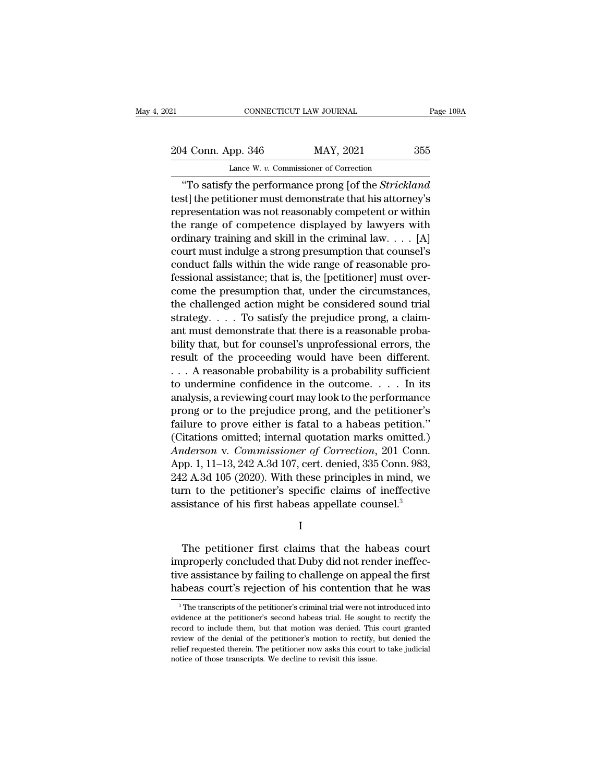21 CONNECTICUT LAW JOURNAL Page 109A<br>
204 Conn. App. 346 MAY, 2021 355<br>
Lance W. v. Commissioner of Correction CONNECTICUT LAW JOURNAL<br>
pp. 346 MAY, 2021<br>
Lance W. *v.* Commissioner of Correction<br> *v*. the performance props [of the *Strick]* 

CONNECTICUT LAW JOURNAL Page 109A<br>
4 Conn. App. 346 MAY, 2021 355<br>
Lance W. v. Commissioner of Correction<br>
"To satisfy the performance prong [of the *Strickland*<br>
st] the petitioner must demonstrate that his attorney's<br>
pr 204 Conn. App. 346 MAY, 2021 355<br>Lance W. v. Commissioner of Correction<br>"To satisfy the performance prong [of the *Strickland*<br>test] the petitioner must demonstrate that his attorney's<br>representation was not reasonably com 204 Conn. App. 346 MAY, 2021 355<br>
Lance W. v. Commissioner of Correction<br>
"To satisfy the performance prong [of the *Strickland*<br>
test] the petitioner must demonstrate that his attorney's<br>
representation was not reasonabl 204 Conn. App. 346 MAY, 2021 355<br>
Lance W. v. Commissioner of Correction<br>
"To satisfy the performance prong [of the *Strickland*<br>
test] the petitioner must demonstrate that his attorney's<br>
representation was not reasonabl Lance W. v. Commissioner of Correction<br>
"To satisfy the performance prong [of the *Strickland*<br>
test] the petitioner must demonstrate that his attorney's<br>
representation was not reasonably competent or within<br>
the range o Earte w. *v.* Commissioner or correction<br>
"To satisfy the performance prong [of the *Strickland*<br>
test] the petitioner must demonstrate that his attorney's<br>
representation was not reasonably competent or within<br>
the range "To satisfy the performance prong [of the *Strickland* test] the petitioner must demonstrate that his attorney's representation was not reasonably competent or within the range of competence displayed by lawyers with ordi test] the petitioner must demonstrate that his attorney's<br>representation was not reasonably competent or within<br>the range of competence displayed by lawyers with<br>ordinary training and skill in the criminal law. . . . [A]<br>c representation was not reasonably competent or within<br>the range of competence displayed by lawyers with<br>ordinary training and skill in the criminal law. . . . [A]<br>court must indulge a strong presumption that counsel's<br>cond the range of competence displayed by lawyers with<br>ordinary training and skill in the criminal law. . . . [A]<br>court must indulge a strong presumption that counsel's<br>conduct falls within the wide range of reasonable pro-<br>fe ordinary training and skill in the criminal law.  $\dots$  [A]<br>court must indulge a strong presumption that counsel's<br>conduct falls within the wide range of reasonable pro-<br>fessional assistance; that is, the [petitioner] must court must indulge a strong presumption that counsel's<br>conduct falls within the wide range of reasonable pro-<br>fessional assistance; that is, the [petitioner] must over-<br>come the presumption that, under the circumstances,<br>t conduct falls within the wide range of reasonable pro-<br>fessional assistance; that is, the [petitioner] must over-<br>come the presumption that, under the circumstances,<br>the challenged action might be considered sound trial<br>st ressional assistance; that is, the [petitioner] must over-<br>come the presumption that, under the circumstances,<br>the challenged action might be considered sound trial<br>strategy.... To satisfy the prejudice prong, a claim-<br>ant come the presumption that, under the circumstances,<br>the challenged action might be considered sound trial<br>strategy.... To satisfy the prejudice prong, a claim-<br>ant must demonstrate that there is a reasonable proba-<br>bility the challenged action might be considered sound trial<br>strategy. . . . To satisfy the prejudice prong, a claim-<br>ant must demonstrate that there is a reasonable proba-<br>bility that, but for counsel's unprofessional errors, th strategy. . . . . To satisfy the prejudice prong, a claim-<br>ant must demonstrate that there is a reasonable proba-<br>bility that, but for counsel's unprofessional errors, the<br>result of the proceeding would have been different ant must demonstrate that there is a reasonable probability that, but for counsel's unprofessional errors, the<br>result of the proceeding would have been different.<br>... A reasonable probability is a probability sufficient<br>to bility that, but for counsel's unprofessional errors, the<br>result of the proceeding would have been different.<br> $\ldots$  A reasonable probability is a probability sufficient<br>to undermine confidence in the outcome.  $\ldots$  In its result of the proceeding would have been different.<br>  $\ldots$  A reasonable probability is a probability sufficient<br>
to undermine confidence in the outcome.  $\ldots$  In its<br>
analysis, a reviewing court may look to the performanc *A* reasonable probability is a probability sufficient<br>to undermine confidence in the outcome. . . . In its<br>analysis, a reviewing court may look to the performance<br>prong or to the prejudice prong, and the petitioner's<br>fail to undermine confidence in the outcome.  $\dots$  . In its<br>analysis, a reviewing court may look to the performance<br>prong or to the prejudice prong, and the petitioner's<br>failure to prove either is fatal to a habeas petition."<br>( analysis, a reviewing court may look to the performance<br>prong or to the prejudice prong, and the petitioner's<br>failure to prove either is fatal to a habeas petition."<br>(Citations omitted; internal quotation marks omitted.)<br> prong or to the prejudice prong, and the petitioner's<br>failure to prove either is fatal to a habeas petition."<br>(Citations omitted; internal quotation marks omitted.)<br>Anderson v. Commissioner of Correction, 201 Conn.<br>App. 1, failure to prove either is fatal to a habeas petition."<br>(Citations omitted; internal quotation marks omitted.)<br>Anderson v. Commissioner of Correction, 201 Conn.<br>App. 1, 11–13, 242 A.3d 107, cert. denied, 335 Conn. 983,<br>242  $T_{\rm p}$ . 1, 11–15, 212 1.5d 101, een.: defined, 555 conn.: 555,<br>
2 A.3d 105 (2020). With these principles in mind, we<br>
rm to the petitioner's specific claims of ineffective<br>
sistance of his first habeas appellate counsel

I

 $\frac{1}{2}$  in the red 100 (2020). What are<br>term to the petitioner's specific claims of ineffective<br>assistance of his first habeas appellate counsel.<sup>3</sup><br>I<br>The petitioner first claims that the habeas court<br>improperly conclud assistance of his first habeas appellate counsel.<sup>3</sup><br>I<br>The petitioner first claims that the habeas court<br>improperly concluded that Duby did not render ineffec-<br>tive assistance by failing to challenge on appeal the first<br>ha I<br>I<br>The petitioner first claims that the habeas court<br>improperly concluded that Duby did not render ineffec-<br>tive assistance by failing to challenge on appeal the first<br>habeas court's rejection of his contention that he wa The petitioner first claims that the habeas court<br>improperly concluded that Duby did not render ineffec-<br>tive assistance by failing to challenge on appeal the first<br>habeas court's rejection of his contention that he was<br>improperly concluded that Duby did not render ineffective assistance by failing to challenge on appeal the first habeas court's rejection of his contention that he was  $\frac{1}{\pi}$ The transcripts of the petitioner's criminal

tive assistance by failing to challenge on appeal the first<br>habeas court's rejection of his contention that he was<br><sup>3</sup>The transcripts of the petitioner's criminal trial were not introduced into<br>evidence at the petitioner's habeas court's rejection of his contention that he was<br>
<sup>3</sup> The transcripts of the petitioner's criminal trial were not introduced into<br>
evidence at the petitioner's second habeas trial. He sought to rectify the<br>
record to relieved to the petitioner's criminal trial were not introduced into<br>avidence at the petitioner's second habeas trial. He sought to rectify the<br>record to include them, but that motion was denied. This court granted<br>review <sup>3</sup> The transcripts of the petitioner's criminal trial were not evidence at the petitioner's second habeas trial. He sough record to include them, but that motion was denied. This review of the denial of the petitioner's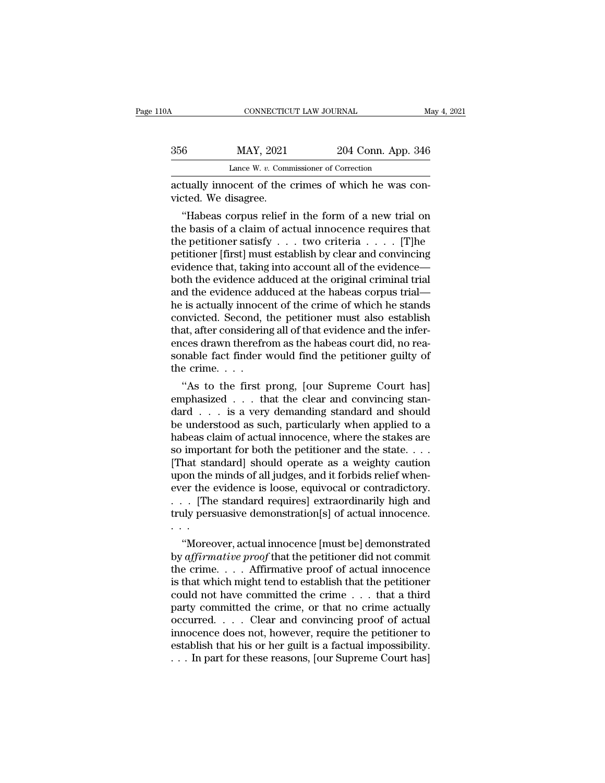| 10A | CONNECTICUT LAW JOURNAL                                                      |                    | May 4, 2021 |  |
|-----|------------------------------------------------------------------------------|--------------------|-------------|--|
| 356 | MAY, 2021                                                                    | 204 Conn. App. 346 |             |  |
|     | Lance W. $v$ . Commissioner of Correction                                    |                    |             |  |
|     | actually innocent of the crimes of which he was con-<br>victed. We disagree. |                    |             |  |
|     | "Habeas corpus relief in the form of a new trial on                          |                    |             |  |

 $\frac{\text{MAP, 2021}}{\text{Lance W. } v. \text{ Commissioner of Correction}}$ <br>
tually innocent of the crimes of which he was concreted. We disagree.<br>
"Habeas corpus relief in the form of a new trial on e basis of a claim of actual innocence requires that 356 MAY, 2021 204 Conn. App. 346<br>
Lance W. v. Commissioner of Correction<br>
actually innocent of the crimes of which he was convicted. We disagree.<br>
"Habeas corpus relief in the form of a new trial on<br>
the basis of a claim Lance W. v. Commissioner of Correction<br>
actually innocent of the crimes of which he was con-<br>
victed. We disagree.<br>
"Habeas corpus relief in the form of a new trial on<br>
the basis of a claim of actual innocence requires th actually innocent of the crimes of which he was convicted. We disagree.<br>
"Habeas corpus relief in the form of a new trial on<br>
the basis of a claim of actual innocence requires that<br>
the petitioner satisfy . . . two criteri actually innocent of the crimes of which he was convicted. We disagree.<br>
"Habeas corpus relief in the form of a new trial on<br>
the basis of a claim of actual innocence requires that<br>
the petitioner satisfy . . . two criteri victed. we disagree.<br>
"Habeas corpus relief in the form of a new trial on<br>
the basis of a claim of actual innocence requires that<br>
the petitioner satisfy  $\ldots$  two criteria  $\ldots$ . [T]<br>
petitioner [first] must establish by "Habeas corpus relief in the form of a new trial on<br>the basis of a claim of actual innocence requires that<br>the petitioner satisfy  $\dots$  two criteria  $\dots$ . [T]he<br>petitioner [first] must establish by clear and convincing<br>evi the basis of a claim of actual innocence requires that<br>the petitioner satisfy  $\ldots$  two criteria  $\ldots$ . [T]he<br>petitioner [first] must establish by clear and convincing<br>evidence that, taking into account all of the evidenc the petitioner satisfy  $\ldots$  two criteria  $\ldots$ . [T]he<br>petitioner [first] must establish by clear and convincing<br>evidence that, taking into account all of the evidence—<br>both the evidence adduced at the original criminal t petitioner [first] must establish by clear and convincing<br>evidence that, taking into account all of the evidence—<br>both the evidence adduced at the original criminal trial<br>and the evidence adduced at the habeas corpus trial evidence that, taking into account all of the evidence—<br>both the evidence adduced at the original criminal trial<br>and the evidence adduced at the habeas corpus trial—<br>he is actually innocent of the crime of which he stands<br> both the evidence adduced at the original criminal trial<br>and the evidence adduced at the habeas corpus trial—<br>he is actually innocent of the crime of which he stands<br>convicted. Second, the petitioner must also establish<br>th and the evidence ade<br>he is actually innoce<br>convicted. Second, 1<br>that, after considerin<br>ences drawn therefre<br>sonable fact finder<br>the crime. . . .<br>"As to the first <sub>l</sub> The first prong, the first prong of the first properties are the first proof of that evidence and the inferces drawn therefrom as the habeas court did, no rea-<br>nable fact finder would find the petitioner guilty of<br>e crime. convicted. Second, the petitioner must also establish<br>that, after considering all of that evidence and the infer-<br>ences drawn therefrom as the habeas court did, no rea-<br>sonable fact finder would find the petitioner guilty

that, after considering all of that evidence and the inter-<br>ences drawn therefrom as the habeas court did, no rea-<br>sonable fact finder would find the petitioner guilty of<br>the crime. . . .<br>"As to the first prong, [our Supr ences drawn therefrom as the habeas court did, no reasonable fact finder would find the petitioner guilty of<br>the crime....<br>"As to the first prong, [our Supreme Court has]<br>emphasized ... that the clear and convincing stansonable fact finder would find the petitioner guilty of<br>the crime. . . .<br>"As to the first prong, [our Supreme Court has]<br>emphasized . . . that the clear and convincing stan-<br>dard . . . is a very demanding standard and sho the crime. . . .<br>
"As to the first prong, [our Supreme Court has]<br>
emphasized . . . that the clear and convincing stan-<br>
dard . . . is a very demanding standard and should<br>
be understood as such, particularly when applied "As to the first prong, [our Supreme Court has]<br>emphasized . . . that the clear and convincing standard . . . is a very demanding standard and should<br>be understood as such, particularly when applied to a<br>habeas claim of a emphasized  $\ldots$  that the clear and convincing standard  $\ldots$  is a very demanding standard and should<br>be understood as such, particularly when applied to a<br>habeas claim of actual innocence, where the stakes are<br>so importa dard . . . is a very demanding standard and should<br>be understood as such, particularly when applied to a<br>habeas claim of actual innocence, where the stakes are<br>so important for both the petitioner and the state. . . .<br>[Tha be understood as such, particularly when applied to a<br>habeas claim of actual innocence, where the stakes are<br>so important for both the petitioner and the state. . . .<br>[That standard] should operate as a weighty caution<br>upo habeas claim of actual innocence, where the stakes are<br>so important for both the petitioner and the state. . . .<br>[That standard] should operate as a weighty caution<br>upon the minds of all judges, and it forbids relief when so import<br>
[That sta<br>
upon the<br>
ever the<br>
... [The<br>
truly pers<br>
...<br>
...<br>
... mat standard] should operate as a weighty caution<br>
on the minds of all judges, and it forbids relief when-<br>
er the evidence is loose, equivocal or contradictory.<br>
. [The standard requires] extraordinarily high and<br>
uly per

upon the minds of all judges, and it forbids relief when-<br>ever the evidence is loose, equivocal or contradictory.<br>
. . . [The standard requires] extraordinarily high and<br>
truly persuasive demonstration[s] of actual innocen ever the evidence is loose, equivocal or contradictory.<br>
. . . [The standard requires] extraordinarily high and<br>
truly persuasive demonstration[s] of actual innocence.<br>
. . .<br>
"Moreover, actual innocence [must be] demonst  $\cdots$  [The standard requires] extraordinarily high and<br>truly persuasive demonstration[s] of actual innocence.<br> $\cdots$ <br>"Moreover, actual innocence [must be] demonstrated<br>by *affirmative proof* that the petitioner did not com could not have committations of actual modernical modernical with "Moreover, actual innocence [must be] demonstrated by *affirmative proof* that the petitioner did not commit the crime . . . . Affirmative proof of actual "Moreover, actual innocence [must be] demonstrated<br>by *affirmative proof* that the petitioner did not commit<br>the crime.... Affirmative proof of actual innocence<br>is that which might tend to establish that the petitioner<br>co "Moreover, actual innocence [must be] demonstrated<br>by *affirmative proof* that the petitioner did not commit<br>the crime.... Affirmative proof of actual innocence<br>is that which might tend to establish that the petitioner<br>co by *affirmative proof* that the petitioner did not commit<br>the crime. . . . Affirmative proof of actual innocence<br>is that which might tend to establish that the petitioner<br>could not have committed the crime . . . that a th the crime. . . . Affirmative proof of actual innocence<br>is that which might tend to establish that the petitioner<br>could not have committed the crime . . . that a third<br>party committed the crime, or that no crime actually<br>o is that which might tend to establish that the petitioner<br>could not have committed the crime . . . that a third<br>party committed the crime, or that no crime actually<br>occurred. . . . Clear and convincing proof of actual<br>inn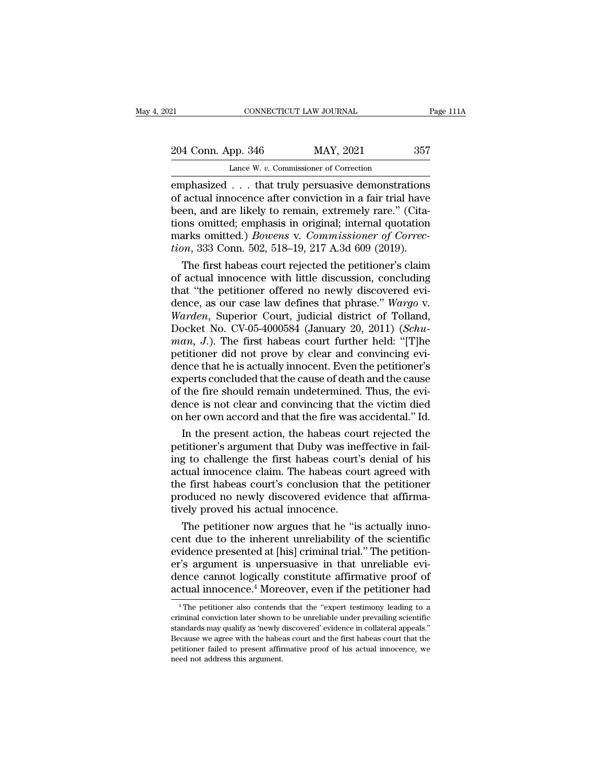21 CONNECTICUT LAW JOURNAL Page 111A<br>
204 Conn. App. 346 MAY, 2021 357<br>
Lance W. v. Commissioner of Correction CONNECTICUT LAW JOURNAL<br>
pp. 346 MAY, 2021<br>
Lance W. *v.* Commissioner of Correction<br>
that truly persuasive demonstrati

EXECTI SOMETHE END SURVEY TO PARE THE PARAL PAGE 1114<br>
204 Conn. App. 346 MAY, 2021 357<br>
Lance W. v. Commissioner of Correction<br>
emphasized . . . that truly persuasive demonstrations<br>
of actual innocence after conviction i 204 Conn. App. 346 MAY, 2021 357<br>Lance W. v. Commissioner of Correction<br>emphasized . . . that truly persuasive demonstrations<br>of actual innocence after conviction in a fair trial have<br>been, and are likely to remain, extrem 204 Conn. App. 346 MAY, 2021 357<br>
Lance W. v. Commissioner of Correction<br>
emphasized . . . that truly persuasive demonstrations<br>
of actual innocence after conviction in a fair trial have<br>
been, and are likely to remain, e 204 Conn. App. 346 MAY, 2021 357<br>
Lance W. v. Commissioner of Correction<br>
emphasized . . . that truly persuasive demonstrations<br>
of actual innocence after conviction in a fair trial have<br>
been, and are likely to remain, e Lance W. v. Commissioner of Correction<br>
emphasized . . . that truly persuasive demonstrations<br>
of actual innocence after conviction in a fair trial have<br>
been, and are likely to remain, extremely rare." (Cita-<br>
tions omitt Lance W. v. Commissioner of Correction<br>
emphasized . . . that truly persuasive demonstrations<br>
of actual innocence after conviction in a fair trial have<br>
been, and are likely to remain, extremely rare." (Cita-<br>
tions omitt representing a court in the first habeas court rejected the petition of the petition of the petition arks omitted; emphasis in original; internal quotation arks omitted.) *Bowens v. Commissioner of Correction*, 333 Conn. of actual innocence after conviction in a fair trial have<br>been, and are likely to remain, extremely rare." (Cita-<br>tions omitted; emphasis in original; internal quotation<br>marks omitted.) *Bowens* v. *Commissioner of Correc-*

been, and are likely to remain, extremely rare." (Citations omitted; emphasis in original; internal quotation marks omitted.) *Bowens v. Commissioner of Correction*, 333 Conn. 502, 518–19, 217 A.3d 609 (2019). The first ha tions omitted; emphasis in original; internal quotation<br>marks omitted.) *Bowens* v. *Commissioner of Correc-<br>tion*, 333 Conn. 502, 518–19, 217 A.3d 609 (2019).<br>The first habeas court rejected the petitioner's claim<br>of actu marks omitted.) *Bowens* v. *Commissioner of Correction*, 333 Conn. 502, 518–19, 217 A.3d 609 (2019).<br>
The first habeas court rejected the petitioner's claim<br>
of actual innocence with little discussion, concluding<br>
that "t tion, 333 Conn. 502, 518–19, 217 A.3d 609 (2019).<br>The first habeas court rejected the petitioner's claim<br>of actual innocence with little discussion, concluding<br>that "the petitioner offered no newly discovered evi-<br>dence, a The first habeas court rejected the petitioner's claim<br>of actual innocence with little discussion, concluding<br>that "the petitioner offered no newly discovered evi-<br>dence, as our case law defines that phrase." *Wargo v.*<br>*W* of actual innocence with little discussion, concluding<br>that "the petitioner offered no newly discovered evi-<br>dence, as our case law defines that phrase." Wargo v.<br>Warden, Superior Court, judicial district of Tolland,<br>Docke that "the petitioner offered no newly discovered evi-<br>dence, as our case law defines that phrase." Wargo v.<br>Warden, Superior Court, judicial district of Tolland,<br>Docket No. CV-05-4000584 (January 20, 2011) (*Schu-*<br>man, J. dence, as our case law defines that phrase." Wargo v.<br>Warden, Superior Court, judicial district of Tolland,<br>Docket No. CV-05-4000584 (January 20, 2011) (*Schuman, J.*). The first habeas court further held: "[T]he<br>petitione Warden, Superior Court, judicial district of Tolland,<br>Docket No. CV-05-4000584 (January 20, 2011) (*Schuman, J.*). The first habeas court further held: "[T]he<br>petitioner did not prove by clear and convincing evi-<br>dence tha Docket No. CV-05-4000584 (January 20, 2011) (*Schuman*, *J*.). The first habeas court further held: "[T]he petitioner did not prove by clear and convincing evidence that he is actually innocent. Even the petitioner's exper man,  $J$ .). The first habeas court further held: "[T]he petitioner did not prove by clear and convincing evidence that he is actually innocent. Even the petitioner's experts concluded that the cause of death and the cause titioner did not prove by clear and convincing evi-<br>nce that he is actually innocent. Even the petitioner's<br>perts concluded that the cause of death and the cause<br>the fire should remain undetermined. Thus, the evi-<br>nce is n dence that he is actually innocent. Even the petitioner's<br>experts concluded that the cause of death and the cause<br>of the fire should remain undetermined. Thus, the evi-<br>dence is not clear and convincing that the victim die

experts concluded that the cause of death and the cause<br>of the fire should remain undetermined. Thus, the evi-<br>dence is not clear and convincing that the victim died<br>on her own accord and that the fire was accidental." Id. of the fire should remain undetermined. Thus, the evidence is not clear and convincing that the victim died<br>on her own accord and that the fire was accidental." Id.<br>In the present action, the habeas court rejected the<br>peti dence is not clear and convincing that the victim died<br>on her own accord and that the fire was accidental." Id.<br>In the present action, the habeas court rejected the<br>petitioner's argument that Duby was ineffective in fail-<br> on her own accord and that the fire was accidental." Id.<br>In the present action, the habeas court rejected the<br>petitioner's argument that Duby was ineffective in fail-<br>ing to challenge the first habeas court's denial of his In the present action, the habeas cour<br>petitioner's argument that Duby was ine-<br>ing to challenge the first habeas court's<br>actual innocence claim. The habeas cou<br>the first habeas court's conclusion that<br>produced no newly di tutioner's argument that Duby was ineffective in fail-<br>g to challenge the first habeas court's denial of his<br>tual innocence claim. The habeas court agreed with<br>e first habeas court's conclusion that the petitioner<br>oduced n ing to challenge the first habeas court's denial of his<br>actual innocence claim. The habeas court agreed with<br>the first habeas court's conclusion that the petitioner<br>produced no newly discovered evidence that affirma-<br>tivel

actual innocence claim. The habeas court agreed with<br>the first habeas court's conclusion that the petitioner<br>produced no newly discovered evidence that affirma-<br>tively proved his actual innocence.<br>The petitioner now argues the first habeas court's conclusion that the petitioner<br>produced no newly discovered evidence that affirma-<br>tively proved his actual innocence.<br>The petitioner now argues that he "is actually inno-<br>cent due to the inherent produced no newly discovered evidence that affirmatively proved his actual innocence.<br>The petitioner now argues that he "is actually innocent due to the inherent unreliability of the scientific<br>evidence presented at [his] tively proved his actual innocence.<br>The petitioner now argues that he "is actually inno-<br>cent due to the inherent unreliability of the scientific<br>evidence presented at [his] criminal trial." The petition-<br>er's argument is vidence presented at [his] criminal trial." The petition-<br>
"'s argument is unpersuasive in that unreliable evi-<br>
ence cannot logically constitute affirmative proof of<br>
ttual innocence.<sup>4</sup> Moreover, even if the petitioner er's argument is unpersuasive in that unreliable evidence cannot logically constitute affirmative proof of actual innocence.<sup>4</sup> Moreover, even if the petitioner had<br><sup>4</sup> The petitioner also contends that the "expert testimo

dence cannot logically constitute affirmative proof of actual innocence.<sup>4</sup> Moreover, even if the petitioner had<br> $\overline{ }$ <sup>4</sup> The petitioner also contends that the "expert testimony leading to a criminal conviction later sh actual innocence.<sup>4</sup> Moreover, even if the petitioner had<br><sup>4</sup> The petitioner also contends that the "expert testimony leading to a<br>criminal conviction later shown to be unreliable under prevailing scientific<br>standards may actual Innocence. Moreover, even II the petitioner had<br>
<sup>4</sup> The petitioner also contends that the "expert testimony leading to a<br>
criminal conviction later shown to be unreliable under prevailing scientific<br>
standards may <sup>4</sup> The petitioner also contends<br>criminal conviction later shown<br>standards may qualify as 'newly of<br>Because we agree with the habes<br>petitioner failed to present affir<br>need not address this argument.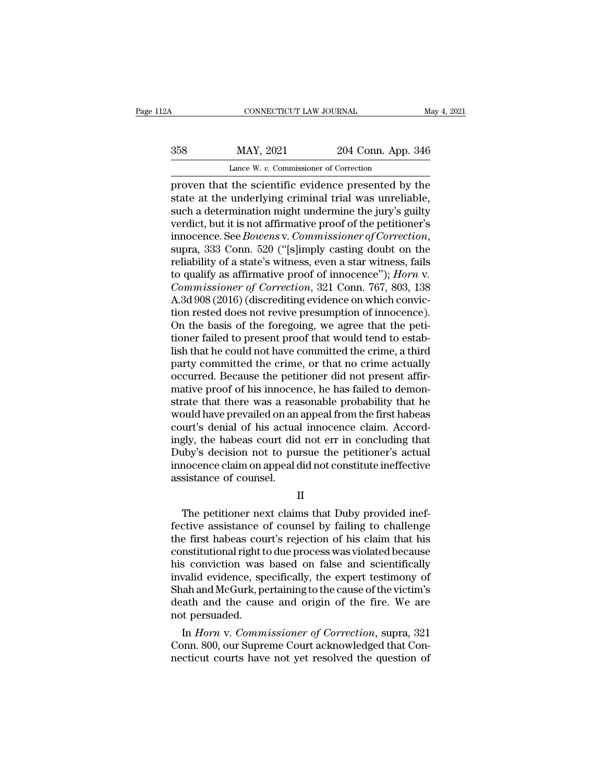| CONNECTICUT LAW JOURNAL<br>May 4, 2021               |
|------------------------------------------------------|
| 204 Conn. App. 346                                   |
| Lance W. v. Commissioner of Correction               |
| proven that the scientific evidence presented by the |

CONNECTICUT LAW JOURNAL May 4, 2021<br>
358 MAY, 2021 204 Conn. App. 346<br>
Lance W. v. Commissioner of Correction<br>
proven that the scientific evidence presented by the<br>
state at the underlying criminal trial was unreliable,<br>
s State Mark 2021 204 Conn. App. 346<br>Lance W. v. Commissioner of Correction<br>proven that the scientific evidence presented by the<br>state at the underlying criminal trial was unreliable,<br>such a determination might undermine the  $\frac{\text{max}}{\text{base W. v. Commissioner of Correction}}$ <br>
Lance W. v. Commissioner of Correction<br>
proven that the scientific evidence presented by the<br>
state at the underlying criminal trial was unreliable,<br>
such a determination might undermine the jury's 358 MAY, 2021 204 Conn. App. 346<br>
Lance W. v. Commissioner of Correction<br>
proven that the scientific evidence presented by the<br>
state at the underlying criminal trial was unreliable,<br>
such a determination might undermine Lance W. v. Commissioner of Correction<br>proven that the scientific evidence presented by the<br>state at the underlying criminal trial was unreliable,<br>such a determination might undermine the jury's guilty<br>verdict, but it is n proven that the scientific evidence presented by the<br>state at the underlying criminal trial was unreliable,<br>such a determination might undermine the jury's guilty<br>verdict, but it is not affirmative proof of the petitioner' state at the underlying criminal trial was unreliable,<br>such a determination might undermine the jury's guilty<br>verdict, but it is not affirmative proof of the petitioner's<br>innocence. See *Bowens* v. *Commissioner of Correct* verdict, but it is not affirmative proof of the petitioner's<br>innocence. See *Bowens* v. *Commissioner of Correction*,<br>supra, 333 Conn. 520 ("[s]imply casting doubt on the<br>reliability of a state's witness, even a star witne innocence. See *Bowens* v. *Commissioner of Correction*,<br>supra, 333 Conn. 520 ("[s]imply casting doubt on the<br>reliability of a state's witness, even a star witness, fails<br>to qualify as affirmative proof of innocence"); *Ho* supra, 333 Conn. 520 ("[s]imply casting doubt on the reliability of a state's witness, even a star witness, fails to qualify as affirmative proof of innocence"); *Horn v.* Commissioner of Correction, 321 Conn. 767, 803, 13 reliability of a state's witness, even a star witness, fails<br>to qualify as affirmative proof of innocence''); *Horn v.*<br>*Commissioner of Correction*, 321 Conn. 767, 803, 138<br>A.3d 908 (2016) (discrediting evidence on which to qualify as affirmative proof of innocence"); *Horn* v.<br>Commissioner of Correction, 321 Conn. 767, 803, 138<br>A.3d 908 (2016) (discrediting evidence on which convic-<br>tion rested does not revive presumption of innocence).<br>O Commissioner of Correction, 321 Conn. 767, 803, 138<br>A.3d 908 (2016) (discrediting evidence on which conviction<br>rested does not revive presumption of innocence).<br>On the basis of the foregoing, we agree that the peti-<br>tioner A.3d 908 (2016) (discrediting evidence on which conviction rested does not revive presumption of innocence).<br>On the basis of the foregoing, we agree that the petitioner failed to present proof that would tend to establish tion rested does not revive presumption of innocence).<br>On the basis of the foregoing, we agree that the petitioner failed to present proof that would tend to establish that he could not have committed the crime, a third<br>pa On the basis of the foregoing, we agree that the petitioner failed to present proof that would tend to establish that he could not have committed the crime, a third party committed the crime, or that no crime actually occu tioner failed to present proof that would tend to establish that he could not have committed the crime, a third<br>party committed the crime, or that no crime actually<br>occurred. Because the petitioner did not present affir-<br>m lish that he could not have committed the crime, a third<br>party committed the crime, or that no crime actually<br>occurred. Because the petitioner did not present affir-<br>mative proof of his innocence, he has failed to demon-<br>s party committed the crime, or that no crime actually<br>occurred. Because the petitioner did not present affir-<br>mative proof of his innocence, he has failed to demon-<br>strate that there was a reasonable probability that he<br>wou occurred. Because the petitioner did not present affirmative proof of his innocence, he has failed to demonstrate that there was a reasonable probability that he would have prevailed on an appeal from the first habeas cour mative proof of his innocence, he has failed to demonstrate that there was a reasonable probability that he would have prevailed on an appeal from the first habeas court's denial of his actual innocence claim. Accordingly, strate that there was a rea<br>would have prevailed on an<br>court's denial of his actua<br>ingly, the habeas court did<br>Duby's decision not to pur<br>innocence claim on appeal c<br>assistance of counsel. results are to the habeas court did not err in concluding that<br>the petitioner's actual<br>mocence claim on appeal did not constitute ineffective<br>sistance of counsel.<br>II<br>The petitioner next claims that Duby provided inef-<br>ctiv

II

Duby's decision not to pursue the petitioner's actual<br>innocence claim on appeal did not constitute ineffective<br>assistance of counsel.<br>II<br>The petitioner next claims that Duby provided inef-<br>fective assistance of counsel by innocence claim on appeal did not constitute ineffective<br>assistance of counsel.<br>II<br>The petitioner next claims that Duby provided inef-<br>fective assistance of counsel by failing to challenge<br>the first habeas court's rejectio assistance of counsel.<br>
II<br>
The petitioner next claims that Duby provided inef-<br>
fective assistance of counsel by failing to challenge<br>
the first habeas court's rejection of his claim that his<br>
constitutional right to due II<br>
The petitioner next claims that Duby provided inef-<br>
fective assistance of counsel by failing to challenge<br>
the first habeas court's rejection of his claim that his<br>
constitutional right to due process was violated bec II<br>The petitioner next claims that Duby provided inef-<br>fective assistance of counsel by failing to challenge<br>the first habeas court's rejection of his claim that his<br>constitutional right to due process was violated because The petitioner next claims that Duby provided ineffective assistance of counsel by failing to challenge<br>the first habeas court's rejection of his claim that his<br>constitutional right to due process was violated because<br>his fective assistance of counsel by failing to challenge<br>the first habeas court's rejection of his claim that his<br>constitutional right to due process was violated because<br>his conviction was based on false and scientifically<br>i the first habeas cou<br>constitutional right t<br>his conviction was<br>invalid evidence, sp<br>Shah and McGurk, po<br>death and the caus<br>not persuaded.<br>In *Horn* v. Comm Institutional right to due process was violated because<br>
In conviction was based on false and scientifically<br>
valid evidence, specifically, the expert testimony of<br>
ah and McGurk, pertaining to the cause of the victim's<br>
a ms conviction was based on faise and scientifically<br>invalid evidence, specifically, the expert testimony of<br>Shah and McGurk, pertaining to the cause of the victim's<br>death and the cause and origin of the fire. We are<br>not pe nivalled evidence, specifically, the expert testimony of<br>Shah and McGurk, pertaining to the cause of the victim's<br>death and the cause and origin of the fire. We are<br>not persuaded.<br>In *Horn* v. *Commissioner of Correction*,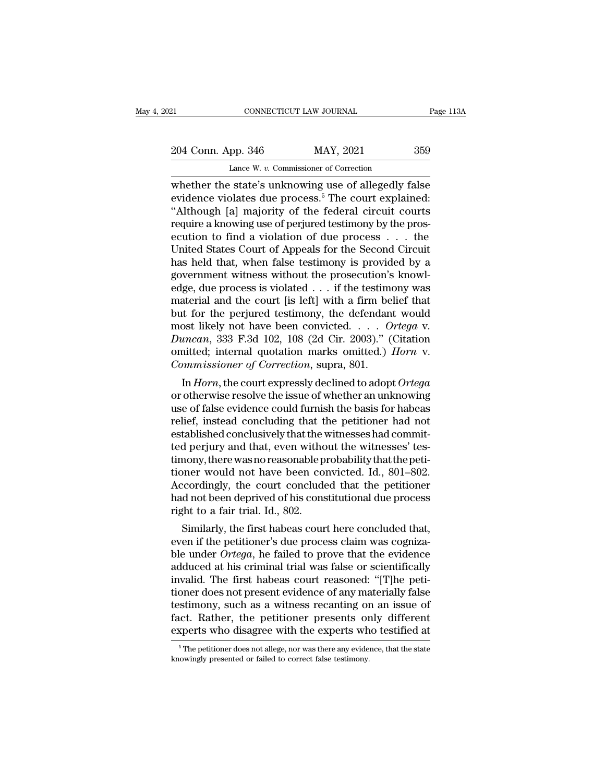21 CONNECTICUT LAW JOURNAL Page 113A<br>204 Conn. App. 346 MAY, 2021 359<br>Lance W. v. Commissioner of Correction CONNECTICUT LAW JOURNAL<br>
pp. 346 MAY, 2021<br>
Lance W. *v.* Commissioner of Correction<br>
Hate's unknowing use of allegedly f

CONNECTICUT LAW JOURNAL Page 113A<br>
204 Conn. App. 346 MAY, 2021 359<br>
Lance W. v. Commissioner of Correction<br>
whether the state's unknowing use of allegedly false<br>
evidence violates due process.<sup>5</sup> The court explained:<br>
"Al 204 Conn. App. 346 MAY, 2021 359<br>Lance W. v. Commissioner of Correction<br>whether the state's unknowing use of allegedly false<br>evidence violates due process.<sup>5</sup> The court explained:<br>"Although [a] majority of the federal circ 204 Conn. App. 346 MAY, 2021 359<br>
Lance W. v. Commissioner of Correction<br>
whether the state's unknowing use of allegedly false<br>
evidence violates due process.<sup>5</sup> The court explained:<br>
"Although [a] majority of the federal 204 Conn. App. 346 MAY, 2021 359<br>
Lance W. v. Commissioner of Correction<br>
whether the state's unknowing use of allegedly false<br>
evidence violates due process.<sup>5</sup> The court explained:<br>
"Although [a] majority of the federal Lance W. v. Commissioner of Correction<br>
whether the state's unknowing use of allegedly false<br>
evidence violates due process.<sup>5</sup> The court explained:<br>
"Although [a] majority of the federal circuit courts<br>
require a knowing Lance W.  $v$ . Commissioner of Correction<br>
whether the state's unknowing use of allegedly false<br>
evidence violates due process.<sup>5</sup> The court explained:<br>
"Although [a] majority of the federal circuit courts<br>
require a knowi whether the state's unknowing use of allegedly false<br>evidence violates due process.<sup>5</sup> The court explained:<br>"Although [a] majority of the federal circuit courts<br>require a knowing use of perjured testimony by the pros-<br>ecut evidence violates due process.<sup>5</sup> The court explained:<br>"Although [a] majority of the federal circuit courts<br>require a knowing use of perjured testimony by the pros-<br>ecution to find a violation of due process . . . the<br>Unit "Although [a] majority of the federal circuit courts<br>require a knowing use of perjured testimony by the pros-<br>ecution to find a violation of due process . . . the<br>United States Court of Appeals for the Second Circuit<br>has require a knowing use of perjured testimony by the prosecution to find a violation of due process . . . the United States Court of Appeals for the Second Circuit has held that, when false testimony is provided by a govern ecution to find a violation of due process . . . the<br>United States Court of Appeals for the Second Circuit<br>has held that, when false testimony is provided by a<br>government witness without the prosecution's knowl-<br>edge, due United States Court of Appeals for the Second Circuit<br>has held that, when false testimony is provided by a<br>government witness without the prosecution's knowl-<br>edge, due process is violated . . . if the testimony was<br>materi has held that, when false testimony is provided by a<br>government witness without the prosecution's knowl-<br>edge, due process is violated . . . if the testimony was<br>material and the court [is left] with a firm belief that<br>but government witness without the prosecution's knowledge, due process is violated . . . if the testimony was material and the court [is left] with a firm belief that but for the perjured testimony, the defendant would most l edge, due process is violated . . . if the testime material and the court [is left] with a firm be but for the perjured testimony, the defendan most likely not have been convicted. . . . . *O Duncan*, 333 F.3d 102, 108 ( In the court is fert] with a first befier that<br>it for the perjured testimony, the defendant would<br>ost likely not have been convicted. . . . Ortega v.<br>*macan*, 333 F.3d 102, 108 (2d Cir. 2003)." (Citation<br>initted; internal but for the perjured testmony, the defendant would<br>most likely not have been convicted. . . . Ortega v.<br>Duncan, 333 F.3d 102, 108 (2d Cir. 2003)." (Citation<br>omitted; internal quotation marks omitted.) *Horn* v.<br>Commissione

most intery not have been convicted.  $\therefore$   $\therefore$   $Orregd$  v.<br>Duncan, 333 F.3d 102, 108 (2d Cir. 2003)." (Citation<br>omitted; internal quotation marks omitted.) *Horn* v.<br>*Commissioner of Correction*, supra, 801.<br>In *Horn*, the *Duncan*, 355 F.3d 102, 108 (2d CIF. 2005). (Chation<br>
omitted; internal quotation marks omitted.) *Horn* v.<br> *Commissioner of Correction*, supra, 801.<br>
In *Horn*, the court expressly declined to adopt *Ortega*<br>
or otherwi ommissioner of Correction, supra, 801.<br>
In Horn, the court expressly declined to adopt Ortega<br>
or otherwise resolve the issue of whether an unknowing<br>
use of false evidence could furnish the basis for habeas<br>
relief, inste Commissioner of Correction, supra, 801.<br>In *Horn*, the court expressly declined to adopt Ortega<br>or otherwise resolve the issue of whether an unknowing<br>use of false evidence could furnish the basis for habeas<br>relief, instea In *Horn*, the court expressly declined to adopt  $Ortega$  or otherwise resolve the issue of whether an unknowing use of false evidence could furnish the basis for habeas relief, instead concluding that the petitioner had not or otherwise resolve the issue of whether an unknowing<br>use of false evidence could furnish the basis for habeas<br>relief, instead concluding that the petitioner had not<br>established conclusively that the witnesses had commituse of false evidence could furnish the basis for habeas<br>relief, instead concluding that the petitioner had not<br>established conclusively that the witnesses had commit-<br>ted perjury and that, even without the witnesses' tesrelief, instead concluding that the petitioner had not established conclusively that the witnesses had committed perjury and that, even without the witnesses' testimony, there was no reasonable probability that the petitio established conclusively that the verted perjury and that, even with<br>timony, there was no reasonable p<br>tioner would not have been co<br>Accordingly, the court conclude<br>had not been deprived of his cons<br>right to a fair trial. is perjury and that, even without the withesses tes-<br>nony, there was no reasonable probability that the peti-<br>ner would not have been convicted. Id., 801–802.<br>cordingly, the court concluded that the petitioner<br>d not been d timony, there was no reasonable probability that the petitioner<br>tioner would not have been convicted. Id., 801–802.<br>Accordingly, the court concluded that the petitioner<br>had not been deprived of his constitutional due proce

ble under would not have been convicted. Id., 801–802.<br>Accordingly, the court concluded that the petitioner<br>had not been deprived of his constitutional due process<br>right to a fair trial. Id., 802.<br>Similarly, the first habe Accordingly, the court concluded that the petitioner<br>had not been deprived of his constitutional due process<br>right to a fair trial. Id., 802.<br>Similarly, the first habeas court here concluded that,<br>even if the petitioner's right to a fair trial. Id., 802.<br>
similarly, the first habeas court here concluded that,<br>
even if the petitioner's due process claim was cogniza-<br>
ble under *Ortega*, he failed to prove that the evidence<br>
adduced at his cr right to a fair trial. Id., 802.<br>
Similarly, the first habeas court here concluded that,<br>
even if the petitioner's due process claim was cogniza-<br>
ble under *Ortega*, he failed to prove that the evidence<br>
adduced at his cr Similarly, the first habeas court here concluded that,<br>even if the petitioner's due process claim was cogniza-<br>ble under *Ortega*, he failed to prove that the evidence<br>adduced at his criminal trial was false or scientifica even if the petitioner's due process claim was cogniza-<br>ble under *Ortega*, he failed to prove that the evidence<br>adduced at his criminal trial was false or scientifically<br>invalid. The first habeas court reasoned: "[T]he pe ble under *Ortega*, he failed to prove that the evidence adduced at his criminal trial was false or scientifically invalid. The first habeas court reasoned: "[T]he petitioner does not present evidence of any materially fal oner does not present evidence of any materially false<br>stimony, such as a witness recanting on an issue of<br>ict. Rather, the petitioner presents only different<br>sperts who disagree with the experts who testified at<br> $\frac{5 \text{ The$ testimony, such as a witness recanting or<br>fact. Rather, the petitioner presents or<br>experts who disagree with the experts wh<br><sup>5</sup>The petitioner does not allege, nor was there any evide<br>knowingly presented or failed to correc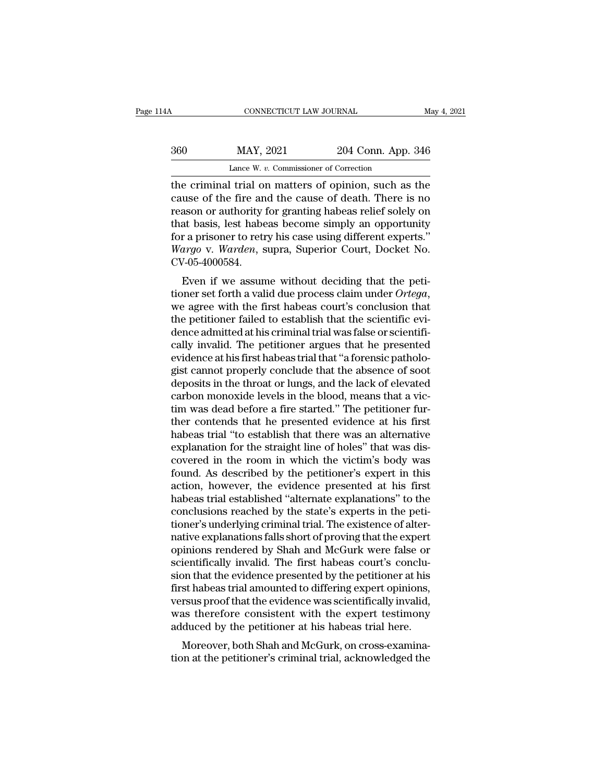| 14A | CONNECTICUT LAW JOURNAL                              |                    | May 4, 2021 |
|-----|------------------------------------------------------|--------------------|-------------|
| 360 | MAY, 2021                                            | 204 Conn. App. 346 |             |
|     | Lance W. v. Commissioner of Correction               |                    |             |
|     | the criminal trial on matters of oninion such as the |                    |             |

CONNECTICUT LAW JOURNAL May 4, 2021<br>
360 MAY, 2021 204 Conn. App. 346<br>
Lance W. v. Commissioner of Correction<br>
the criminal trial on matters of opinion, such as the<br>
cause of the fire and the cause of death. There is no<br>
r MAY, 2021 204 Conn. App. 346<br>Lance W. v. Commissioner of Correction<br>the criminal trial on matters of opinion, such as the<br>cause of the fire and the cause of death. There is no<br>reason or authority for granting habeas relief  $\frac{\text{MAY, 2021}}{\text{Lance W. } v. \text{ Commissioner of Correction}}$ <br>the criminal trial on matters of opinion, such as the cause of the fire and the cause of death. There is no reason or authority for granting habeas relief solely on that basis, lest hab 360 MAY, 2021 204 Conn. App. 346<br>
Lance W.  $v$ . Commissioner of Correction<br>
the criminal trial on matters of opinion, such as the<br>
cause of the fire and the cause of death. There is no<br>
reason or authority for granting ha Lance W. v. Commissioner of Correction<br>the criminal trial on matters of opinion, such as the<br>cause of the fire and the cause of death. There is no<br>reason or authority for granting habeas relief solely on<br>that basis, lest Lance W. *v.* Commissioner of Correction<br>the criminal trial on matters of opinion, such as the<br>cause of the fire and the cause of death. There is no<br>reason or authority for granting habeas relief solely on<br>that basis, lest CV-05-4000584. deciding that the peti-<br>asson or authority for granting habeas relief solely on<br>at basis, lest habeas become simply an opportunity<br>r a prisoner to retry his case using different experts."<br>argo v. Warden, supra, Superior Co

teason or authority for granting nabeas rener solety on<br>that basis, lest habeas become simply an opportunity<br>for a prisoner to retry his case using different experts."<br>*Wargo v. Warden*, supra, Superior Court, Docket No.<br>C to a prisoner to retry ins case using unferent experts.<br> *Wargo v. Warden*, supra, Superior Court, Docket No.<br>
CV-05-4000584.<br>
Even if we assume without deciding that the peti-<br>
tioner set forth a valid due process claim u Wargo v. Warden, supra, superior Court, Docket No.<br>CV-05-4000584.<br>Even if we assume without deciding that the peti-<br>tioner set forth a valid due process claim under *Ortega*,<br>we agree with the first habeas court's conclus Even if we assume without deciding that the petitioner set forth a valid due process claim under  $Ortega$ , we agree with the first habeas court's conclusion that the petitioner failed to establish that the scientific evidenc Even if we assume without deciding that the petitioner set forth a valid due process claim under  $Ortega$ , we agree with the first habeas court's conclusion that the petitioner failed to establish that the scientific evidenc tioner set forth a valid due process claim under *Ortega*,<br>we agree with the first habeas court's conclusion that<br>the petitioner failed to establish that the scientific<br>evidence admitted at his criminal trial was false or we agree with the first habeas court's conclusion that<br>the petitioner failed to establish that the scientific evi-<br>dence admitted at his criminal trial was false or scientifi-<br>cally invalid. The petitioner argues that he p the petitioner failed to establish that the scientific evidence admitted at his criminal trial was false or scientifically invalid. The petitioner argues that he presented evidence at his first habeas trial that "a forensi dence admitted at his criminal trial was false or scientifically invalid. The petitioner argues that he presented evidence at his first habeas trial that "a forensic pathologist cannot properly conclude that the absence of cally invalid. The petitioner argues that he presented<br>evidence at his first habeas trial that "a forensic patholo-<br>gist cannot properly conclude that the absence of soot<br>deposits in the throat or lungs, and the lack of el evidence at his first habeas trial that "a forensic pathologist cannot properly conclude that the absence of soot deposits in the throat or lungs, and the lack of elevated carbon monoxide levels in the blood, means that a gist cannot properly conclude that the absence of soot<br>deposits in the throat or lungs, and the lack of elevated<br>carbon monoxide levels in the blood, means that a vic-<br>tim was dead before a fire started." The petitioner fu deposits in the throat or lungs, and the lack of elevated<br>carbon monoxide levels in the blood, means that a vic-<br>tim was dead before a fire started." The petitioner fur-<br>ther contends that he presented evidence at his firs carbon monoxide levels in the blood, means that a victim was dead before a fire started." The petitioner further contends that he presented evidence at his first habeas trial "to establish that there was an alternative exp tim was dead before a fire started." The petitioner fur-<br>ther contends that he presented evidence at his first<br>habeas trial "to establish that there was an alternative<br>explanation for the straight line of holes" that was d ther contends that he presented evidence at his first<br>habeas trial "to establish that there was an alternative<br>explanation for the straight line of holes" that was dis-<br>covered in the room in which the victim's body was<br>fo habeas trial "to establish that there was an alternative<br>explanation for the straight line of holes" that was dis-<br>covered in the room in which the victim's body was<br>found. As described by the petitioner's expert in this<br>a explanation for the straight line of holes" that was discovered in the room in which the victim's body was found. As described by the petitioner's expert in this action, however, the evidence presented at his first habeas covered in the room in which the victim's body was<br>found. As described by the petitioner's expert in this<br>action, however, the evidence presented at his first<br>habeas trial established "alternate explanations" to the<br>conclu found. As described by the petitioner's expert in this<br>action, however, the evidence presented at his first<br>habeas trial established "alternate explanations" to the<br>conclusions reached by the state's experts in the peti-<br>t action, however, the evidence presented at his first<br>habeas trial established "alternate explanations" to the<br>conclusions reached by the state's experts in the peti-<br>tioner's underlying criminal trial. The existence of alt habeas trial established "alternate explanations" to the conclusions reached by the state's experts in the petitioner's underlying criminal trial. The existence of alternative explanations falls short of proving that the e conclusions reached by the state's experts in the petitioner's underlying criminal trial. The existence of alternative explanations falls short of proving that the expert opinions rendered by Shah and McGurk were false or tioner's underlying criminal trial. The existence of alternative explanations falls short of proving that the expert<br>opinions rendered by Shah and McGurk were false or<br>scientifically invalid. The first habeas court's concl native explanations falls short of proving that the expert<br>opinions rendered by Shah and McGurk were false or<br>scientifically invalid. The first habeas court's conclu-<br>sion that the evidence presented by the petitioner at h opinions rendered by Shah and McGurk were false or<br>scientifically invalid. The first habeas court's conclu-<br>sion that the evidence presented by the petitioner at his<br>first habeas trial amounted to differing expert opinions Moreover, both Shah and McGurk, on cross-examinative pertitioner at his st habeas trial amounted to differing expert opinions, rsus proof that the evidence was scientifically invalid, as therefore consistent with the exper sion that the evidence presented by the petitioner at his<br>first habeas trial amounted to differing expert opinions,<br>versus proof that the evidence was scientifically invalid,<br>was therefore consistent with the expert testim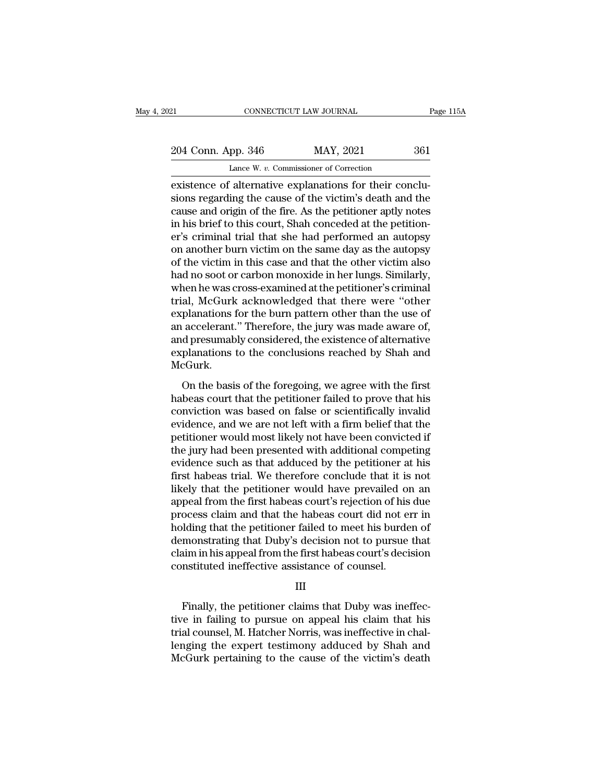Example 2014 Conn. App. 346 MAY, 2021 361<br>
Lance W. v. Commissioner of Correction<br>
existence of alternative explanations for their conclu-<br>
sions regarding the cause of the victim's death and the<br>
cause and origin of the f 204 Conn. App. 346 MAY, 2021 361<br>Lance W. v. Commissioner of Correction<br>existence of alternative explanations for their conclusions regarding the cause of the victim's death and the<br>cause and origin of the fire. As the pet 204 Conn. App. 346 MAY, 2021 361<br>
Lance W. v. Commissioner of Correction<br>
existence of alternative explanations for their conclusions regarding the cause of the victim's death and the<br>
cause and origin of the fire. As the 204 Conn. App. 346 MAY, 2021 361<br>
Lance W.  $v$ . Commissioner of Correction<br>
existence of alternative explanations for their conclu-<br>
sions regarding the cause of the victim's death and the<br>
cause and origin of the fire. A Lance W.  $v$ . Commissioner of Correction<br>existence of alternative explanations for their conclusions regarding the cause of the victim's death and the<br>cause and origin of the fire. As the petitioner aptly notes<br>in his bri Lance W. v. Commissioner of Correction<br>
existence of alternative explanations for their conclu-<br>
sions regarding the cause of the victim's death and the<br>
cause and origin of the fire. As the petitioner aptly notes<br>
in his existence of alternative explanations for their conclusions regarding the cause of the victim's death and the cause and origin of the fire. As the petitioner aptly notes in his brief to this court, Shah conceded at the pet sions regarding the cause of the victim's death and the cause and origin of the fire. As the petitioner aptly notes<br>in his brief to this court, Shah conceded at the petition-<br>er's criminal trial that she had performed an a cause and origin of the fire. As the petitioner aptly notes<br>in his brief to this court, Shah conceded at the petition-<br>er's criminal trial that she had performed an autopsy<br>on another burn victim on the same day as the aut in his brief to this court, Shah conceded at the petition-<br>er's criminal trial that she had performed an autopsy<br>on another burn victim on the same day as the autopsy<br>of the victim in this case and that the other victim al er's criminal trial that she had performed an autopsy<br>on another burn victim on the same day as the autopsy<br>of the victim in this case and that the other victim also<br>had no soot or carbon monoxide in her lungs. Similarly,<br> on another burn victim on the same day as the autopsy<br>of the victim in this case and that the other victim also<br>had no soot or carbon monoxide in her lungs. Similarly,<br>when he was cross-examined at the petitioner's crimina of the victim in this case and that the other victim also<br>had no soot or carbon monoxide in her lungs. Similarly,<br>when he was cross-examined at the petitioner's criminal<br>trial, McGurk acknowledged that there were "other<br>ex had no soot or carbon monoxide in her lungs. Similarly,<br>when he was cross-examined at the petitioner's criminal<br>trial, McGurk acknowledged that there were "other<br>explanations for the burn pattern other than the use of<br>an a McGurk. ally involve the basis of the basis of the foregoing, we agree with the first<br>basis of the conclusions reached by Shah and<br>cGurk.<br>On the basis of the foregoing, we agree with the first<br>beas court that the petitioner failed Expraindents for the bain pattern office that the disc of<br>an accelerant." Therefore, the jury was made aware of,<br>and presumably considered, the existence of alternative<br>explanations to the conclusions reached by Shah and<br>M

an accentrative. Therefore, are jury was hadded ware or,<br>and presumably considered, the existence of alternative<br>explanations to the conclusions reached by Shah and<br>McGurk.<br>On the basis of the foregoing, we agree with the explanations to the conclusions reached by Shah and<br>McGurk.<br>On the basis of the foregoing, we agree with the first<br>habeas court that the petitioner failed to prove that his<br>conviction was based on false or scientifically i McGurk.<br>
On the basis of the foregoing, we agree with the first<br>
habeas court that the petitioner failed to prove that his<br>
conviction was based on false or scientifically invalid<br>
evidence, and we are not left with a fir on the basis of the foregoing, we agree with the first<br>habeas court that the petitioner failed to prove that his<br>conviction was based on false or scientifically invalid<br>evidence, and we are not left with a firm belief that On the basis of the foregoing, we agree with the first<br>habeas court that the petitioner failed to prove that his<br>conviction was based on false or scientifically invalid<br>evidence, and we are not left with a firm belief that habeas court that the petitioner failed to prove that his conviction was based on false or scientifically invalid evidence, and we are not left with a firm belief that the petitioner would most likely not have been convict conviction was based on false or scientifically invalid<br>evidence, and we are not left with a firm belief that the<br>petitioner would most likely not have been convicted if<br>the jury had been presented with additional competin evidence, and we are not left with a firm belief that the<br>petitioner would most likely not have been convicted if<br>the jury had been presented with additional competing<br>evidence such as that adduced by the petitioner at his petitioner would most likely not have been convicted if<br>the jury had been presented with additional competing<br>evidence such as that adduced by the petitioner at his<br>first habeas trial. We therefore conclude that it is not<br> the jury had been presented with additional competing<br>evidence such as that adduced by the petitioner at his<br>first habeas trial. We therefore conclude that it is not<br>likely that the petitioner would have prevailed on an<br>ap evidence such as that adduced by the petitioner at his<br>first habeas trial. We therefore conclude that it is not<br>likely that the petitioner would have prevailed on an<br>appeal from the first habeas court's rejection of his du first habeas trial. We therefore conclude that it is not<br>likely that the petitioner would have prevailed on an<br>appeal from the first habeas court's rejection of his due<br>process claim and that the habeas court did not err i likely that the petitioner would have prevailed on<br>appeal from the first habeas court's rejection of his<br>process claim and that the habeas court did not en<br>holding that the petitioner failed to meet his burde<br>demonstrating lding that the petitioner failed to meet his burden of<br>monstrating that Duby's decision not to pursue that<br>im in his appeal from the first habeas court's decision<br>nstituted ineffective assistance of counsel.<br>III<br>Finally, t

# III

demonstrating that Duby's decision not to pursue that<br>claim in his appeal from the first habeas court's decision<br>constituted ineffective assistance of counsel.<br>III<br>Finally, the petitioner claims that Duby was ineffec-<br>tive claim in his appeal from the first habeas court's decision<br>constituted ineffective assistance of counsel.<br>III<br>Finally, the petitioner claims that Duby was ineffec-<br>tive in failing to pursue on appeal his claim that his<br>tri constituted ineffective assistance of counsel.<br>
III<br>
Finally, the petitioner claims that Duby was ineffec-<br>
tive in failing to pursue on appeal his claim that his<br>
trial counsel, M. Hatcher Norris, was ineffective in chal-III<br>Finally, the petitioner claims that Duby was ineffec-<br>tive in failing to pursue on appeal his claim that his<br>trial counsel, M. Hatcher Norris, was ineffective in chal-<br>lenging the expert testimony adduced by Shah and<br>M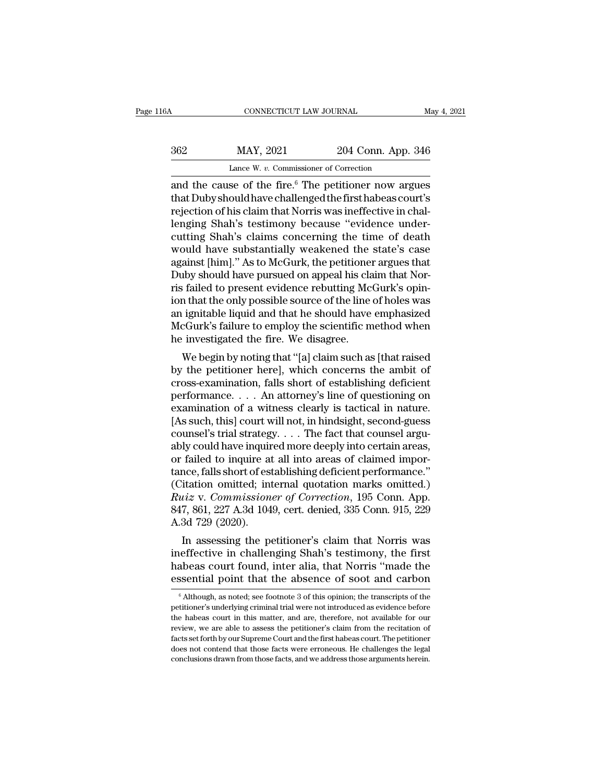CONNECTICUT LAW JOURNAL May 4, 2021<br>  $204$  Conn. App. 346<br>
Lance W. v. Commissioner of Correction<br>
and the cause of the fire.<sup>6</sup> The petitioner now argues<br>
that Duby should have challenged the first habeas court's<br>
reject MAY, 2021 204 Conn. App. 346<br>Lance W. v. Commissioner of Correction<br>and the cause of the fire.<sup>6</sup> The petitioner now argues<br>that Dubyshould have challenged the first habeas court's<br>rejection of his claim that Norris was in  $\frac{\text{B62}}{\text{Lance W. } v. \text{ Commissioner of Correction}}$ <br>
Lance W.  $v. \text{ Commissioner of Correction}}$ <br>
and the cause of the fire. <sup>6</sup> The petitioner now argues<br>
that Dubyshould have challenged the first habeas court's<br>
rejection of his claim that Norris was ineffect  $\begin{tabular}{ll} \multicolumn{1}{l}{{\bf \textbf{BAY, 2021}}} & \multicolumn{1}{l}{\bf \textbf{204 Conn. App. 346}}\\ \hline \hline \textbf{Lance W. } v. \textbf{ Commissioner of Correction} \\ \hline \textbf{and the cause of the fire.}^6 \textbf{The pertinent now argues that Duby should have challenged the first habeas court's rejection of his claim that Norris was ineffective in challenging Shah's testimony because "evidence undercutting Shah's claims concerning the time of death would have substantially weakened the state's case.} \end{tabular}$ Lance W. v. Commissioner of Correction<br>and the cause of the fire.<sup>6</sup> The petitioner now argues<br>that Duby should have challenged the first habeas court's<br>rejection of his claim that Norris was ineffective in chal-<br>lenging Lance W.  $v$ . Commissioner of Correction<br>and the cause of the fire.<sup>6</sup> The petitioner now argues<br>that Dubyshould have challenged the first habeas court's<br>rejection of his claim that Norris was ineffective in chal-<br>lenging and the cause of the fire.<sup>6</sup> The petitioner now argues<br>that Dubyshould have challenged the first habeas court's<br>rejection of his claim that Norris was ineffective in chal-<br>lenging Shah's testimony because "evidence underthat Duby should have challenged the first habeas court's<br>rejection of his claim that Norris was ineffective in chal-<br>lenging Shah's testimony because "evidence under-<br>cutting Shah's claims concerning the time of death<br>wou rejection of his claim that Norris was ineffective in challenging Shah's testimony because "evidence under-<br>cutting Shah's claims concerning the time of death<br>would have substantially weakened the state's case<br>against [him lenging Shah's testimony because "evidence under-<br>cutting Shah's claims concerning the time of death<br>would have substantially weakened the state's case<br>against [him]." As to McGurk, the petitioner argues that<br>Duby should h cutting Shah's claims concerning the time of death<br>would have substantially weakened the state's case<br>against [him]." As to McGurk, the petitioner argues that<br>Duby should have pursued on appeal his claim that Nor-<br>ris fail would have substantially weakened the state's case<br>against [him]." As to McGurk, the petitioner argues that<br>Duby should have pursued on appeal his claim that Nor-<br>ris failed to present evidence rebutting McGurk's opin-<br>ion against [him]." As to McGurk, the petitionen<br>Duby should have pursued on appeal his cla<br>ris failed to present evidence rebutting Mc<br>ion that the only possible source of the line<br>an ignitable liquid and that he should have<br> by should have pursued on appear his claim that No1-<br>
i failed to present evidence rebutting McGurk's opin-<br>
in that the only possible source of the line of holes was<br>
ignitable liquid and that he should have emphasized<br>
c ris raned to present evidence rebutting mcGurk's opin-<br>ion that the only possible source of the line of holes was<br>an ignitable liquid and that he should have emphasized<br>McGurk's failure to employ the scientific method when

for that the only possible source of the line of holes was<br>an ignitable liquid and that he should have emphasized<br>McGurk's failure to employ the scientific method when<br>he investigated the fire. We disagree.<br>We begin by not an ignitable induct and that he should have emphasized<br>McGurk's failure to employ the scientific method when<br>he investigated the fire. We disagree.<br>We begin by noting that "[a] claim such as [that raised<br>by the petitioner McGurk's failure to employ the scientific method when<br>he investigated the fire. We disagree.<br>We begin by noting that "[a] claim such as [that raised<br>by the petitioner here], which concerns the ambit of<br>cross-examination, f Me hegin by noting that "[a] claim such as [that raised<br>by the petitioner here], which concerns the ambit of<br>cross-examination, falls short of establishing deficient<br>performance.... An attorney's line of questioning on<br>exa We begin by noting that "[a] claim such as [that raised<br>by the petitioner here], which concerns the ambit of<br>cross-examination, falls short of establishing deficient<br>performance.... An attorney's line of questioning on<br>ex by the petitioner here], which concerns the ambit of<br>cross-examination, falls short of establishing deficient<br>performance.... An attorney's line of questioning on<br>examination of a witness clearly is tactical in nature.<br>[As cross-examination, falls short of establishing deficient<br>performance. . . . An attorney's line of questioning on<br>examination of a witness clearly is tactical in nature.<br>[As such, this] court will not, in hindsight, second performance.  $\ldots$  An attorney's line of questioning on examination of a witness clearly is tactical in nature.<br>[As such, this] court will not, in hindsight, second-guess counsel's trial strategy.  $\ldots$ . The fact that cou examination of a witness clearly is tactical in nature.<br>
[As such, this] court will not, in hindsight, second-guess<br>
counsel's trial strategy. . . . The fact that counsel argu-<br>
ably could have inquired more deeply into c [As such, this] court will not, in hindsight, second-guess<br>counsel's trial strategy. . . . The fact that counsel argu-<br>ably could have inquired more deeply into certain areas,<br>or failed to inquire at all into areas of clai counsel's trial strategy. . . . The fact that counsel arguably could have inquired more deeply into certain areas, or failed to inquire at all into areas of claimed importance, falls short of establishing deficient perform ably could have inquir<br>or failed to inquire at<br>tance, falls short of est<br>(Citation omitted; int<br>*Ruiz* v. *Commission*<br>847, 861, 227 A.3d 104<br>A.3d 729 (2020).<br>In assessing the po ranea to inquire at an into areas or claimed impor-<br>nce, falls short of establishing deficient performance."<br>itation omitted; internal quotation marks omitted.)<br> $uiz$  v. Commissioner of Correction, 195 Conn. App.<br>7, 861, 22 rance, rails short of establishing deficient performance.<br>
(Citation omitted; internal quotation marks omitted.)<br>
Ruiz v. Commissioner of Correction, 195 Conn. App.<br>
847, 861, 227 A.3d 1049, cert. denied, 335 Conn. 915, 22

(Chauon omitted; internal quotation marks omitted.)<br>
Ruiz v. Commissioner of Correction, 195 Conn. App.<br>
847, 861, 227 A.3d 1049, cert. denied, 335 Conn. 915, 229<br>
A.3d 729 (2020).<br>
In assessing the petitioner's claim that Example 19 Correction, 195 Conn. App.<br>847, 861, 227 A.3d 1049, cert. denied, 335 Conn. 915, 229<br>A.3d 729 (2020).<br>In assessing the petitioner's claim that Norris was<br>ineffective in challenging Shah's testimony, the first<br>ha In assessing the petitioner's claim that Norris was<br>eeffective in challenging Shah's testimony, the first<br>abeas court found, inter alia, that Norris "made the<br>ssential point that the absence of soot and carbon<br> $\frac{6}{6}$  A ineffective in challenging Shah's testimony, the first habeas court found, inter alia, that Norris "made the essential point that the absence of soot and carbon  $\frac{6}{\text{Although, as noted; see footnote 3 of this opinion; the transcripts of the petitioner's underlying criminal trial were not introduced as evidence before the habeas court in this matter, and are, therefore, not available for our$ 

habeas court found, inter alia, that Norris "made the essential point that the absence of soot and carbon  $\frac{1}{6}$  Although, as noted; see footnote 3 of this opinion; the transcripts of the petitioner's underlying crimin review, as noted; see footnote 3 of this opinion; the transcripts of the petitioner's underlying criminal trial were not introduced as evidence before the habeas court in this matter, and are, therefore, not available for ESSEIT CHAIL POINT LITE COURTED TO SOOT AND CATOON CONTROVER THE PRESENTED TO Although, as noted; see footnote 3 of this opinion; the transcripts of the petitioner's underlying criminal trial were not introduced as eviden  $^\circ$  Although, as noted; see footnote 3 of this opinion; the transcripts of the petitioner's underlying criminal trial were not introduced as evidence before the habeas court in this matter, and are, therefore, not availa petitioner's underlying criminal trial were not introduced as evidence before the habeas court in this matter, and are, therefore, not available for our review, we are able to assess the petitioner's claim from the recitat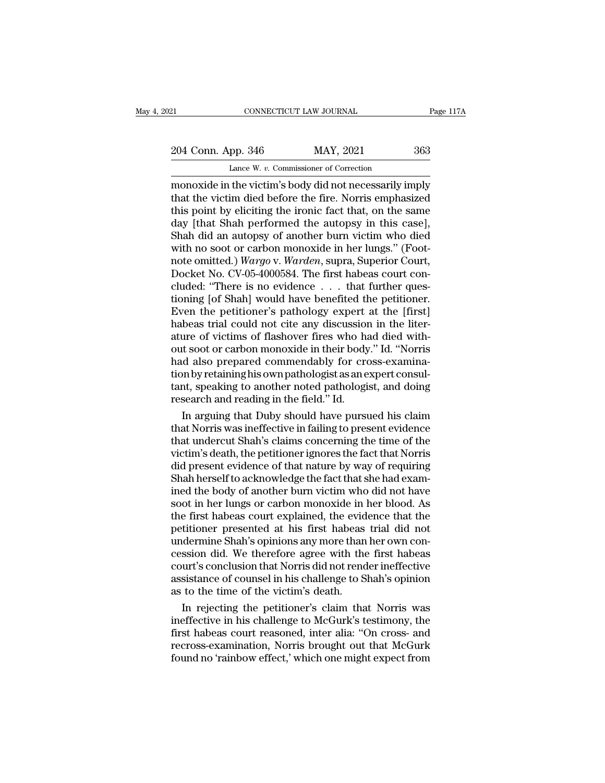21 CONNECTICUT LAW JOURNAL Page 117A<br>204 Conn. App. 346 MAY, 2021 363<br>Lance W. v. Commissioner of Correction

CONNECTICUT LAW JOURNAL<br>
pp. 346 MAY, 2021<br>
Lance W. *v.* Commissioner of Correction<br>
the victim's body did not necessarily in EXECTE AN SOURNAL Page 117A<br>
204 Conn. App. 346 MAY, 2021 363<br>
Lance W. v. Commissioner of Correction<br>
monoxide in the victim's body did not necessarily imply<br>
that the victim died before the fire. Norris emphasized<br>
this 204 Conn. App. 346 MAY, 2021 363<br>Lance W. v. Commissioner of Correction<br>monoxide in the victim's body did not necessarily imply<br>that the victim died before the fire. Norris emphasized<br>this point by eliciting the ironic fac 204 Conn. App. 346 MAY, 2021 363<br>
Lance W. v. Commissioner of Correction<br>
monoxide in the victim's body did not necessarily imply<br>
that the victim died before the fire. Norris emphasized<br>
this point by eliciting the ironi 204 Conn. App. 346 MAY, 2021 363<br>
Lance W.  $v$ . Commissioner of Correction<br>
monoxide in the victim's body did not necessarily imply<br>
that the victim died before the fire. Norris emphasized<br>
this point by eliciting the iro Lance W. v. Commissioner of Correction<br>
monoxide in the victim's body did not necessarily imply<br>
that the victim died before the fire. Norris emphasized<br>
this point by eliciting the ironic fact that, on the same<br>
day [tha Lance W. v. Commissioner of Correction<br>monoxide in the victim's body did not necessarily imply<br>that the victim died before the fire. Norris emphasized<br>this point by eliciting the ironic fact that, on the same<br>day [that Sha monoxide in the victim's body did not necessarily imply<br>that the victim died before the fire. Norris emphasized<br>this point by eliciting the ironic fact that, on the same<br>day [that Shah performed the autopsy in this case],<br> that the victim died before the fire. Norris emphasized<br>this point by eliciting the ironic fact that, on the same<br>day [that Shah performed the autopsy in this case],<br>Shah did an autopsy of another burn victim who died<br>with this point by eliciting the ironic fact that, on the same<br>day [that Shah performed the autopsy in this case],<br>Shah did an autopsy of another burn victim who died<br>with no soot or carbon monoxide in her lungs." (Foot-<br>note o day [that Shah performed the autopsy in this case],<br>Shah did an autopsy of another burn victim who died<br>with no soot or carbon monoxide in her lungs." (Foot-<br>note omitted.) *Wargo* v. *Warden*, supra, Superior Court,<br>Docke Shah did an autopsy of another burn victim who died<br>with no soot or carbon monoxide in her lungs." (Foot-<br>note omitted.) *Wargo* v. *Warden*, supra, Superior Court,<br>Docket No. CV-05-4000584. The first habeas court con-<br>clu with no soot or carbon monoxide in her lungs." (Foot-<br>note omitted.) Wargo v. Warden, supra, Superior Court,<br>Docket No. CV-05-4000584. The first habeas court con-<br>cluded: "There is no evidence . . . . that further ques-<br>ti note omitted.) Wargo v. Warden, supra, Superior Court, Docket No. CV-05-4000584. The first habeas court concluded: "There is no evidence  $\ldots$  that further questioning [of Shah] would have benefited the petitioner.<br>Even t Docket No. CV-05-4000584. The first habeas court concluded: "There is no evidence . . . that further questioning [of Shah] would have benefited the petitioner.<br>Even the petitioner's pathology expert at the [first] habeas t cluded: "There is no evidence . . . that further questioning [of Shah] would have benefited the petitioner.<br>Even the petitioner's pathology expert at the [first] habeas trial could not cite any discussion in the literature tioning [of Shah] would have benefited the petitioner.<br>Even the petitioner's pathology expert at the [first]<br>habeas trial could not cite any discussion in the liter-<br>ature of victims of flashover fires who had died with-<br>o Even the petitioner's pathology expert at the [first]<br>habeas trial could not cite any discussion in the liter-<br>ature of victims of flashover fires who had died with-<br>out soot or carbon monoxide in their body." Id. "Norris<br> habeas trial could not cite any discussion<br>ature of victims of flashover fires who ha<br>out soot or carbon monoxide in their body<br>had also prepared commendably for cro<br>tion by retaining his own pathologist as an e<br>tant, spea ure of victims of flashover fires who had died with-<br>it soot or carbon monoxide in their body." Id. "Norris<br>d also prepared commendably for cross-examina-<br>mby retaining his own pathologist as an expert consul-<br>nt, speaking out soot or carbon monoxide in their body." Id. "Norris<br>had also prepared commendably for cross-examina-<br>tion by retaining his own pathologist as an expert consul-<br>tant, speaking to another noted pathologist, and doing<br>res

had also prepared commendably for cross-examination by retaining his own pathologist as an expert consultant, speaking to another noted pathologist, and doing research and reading in the field." Id.<br>In arguing that Duby sh tion by retaining his own pathologist as an expert consul-<br>tant, speaking to another noted pathologist, and doing<br>research and reading in the field." Id.<br>In arguing that Duby should have pursued his claim<br>that Norris was i tant, speaking to another noted pathologist, and doing<br>research and reading in the field." Id.<br>In arguing that Duby should have pursued his claim<br>that Norris was ineffective in failing to present evidence<br>that undercut Sha research and reading in the field." Id.<br>In arguing that Duby should have pursued his claim<br>that Norris was ineffective in failing to present evidence<br>that undercut Shah's claims concerning the time of the<br>victim's death, t In arguing that Duby should have pursued his claim<br>that Norris was ineffective in failing to present evidence<br>that undercut Shah's claims concerning the time of the<br>victim's death, the petitioner ignores the fact that Norr that Norris was ineffective in failing to present evidence<br>that undercut Shah's claims concerning the time of the<br>victim's death, the petitioner ignores the fact that Norris<br>did present evidence of that nature by way of re that undercut Shah's claims concerning the time of the victim's death, the petitioner ignores the fact that Norris did present evidence of that nature by way of requiring Shah herself to acknowledge the fact that she had e victim's death, the petitioner ignores the fact that Norris<br>did present evidence of that nature by way of requiring<br>Shah herself to acknowledge the fact that she had exam-<br>ined the body of another burn victim who did not h did present evidence of that nature by way of requiring<br>Shah herself to acknowledge the fact that she had exam-<br>ined the body of another burn victim who did not have<br>soot in her lungs or carbon monoxide in her blood. As<br>th Shah herself to acknowledge the fact that she had examined the body of another burn victim who did not have<br>soot in her lungs or carbon monoxide in her blood. As<br>the first habeas court explained, the evidence that the<br>peti ined the body of another burn victim who did not have<br>soot in her lungs or carbon monoxide in her blood. As<br>the first habeas court explained, the evidence that the<br>petitioner presented at his first habeas trial did not<br>und soot in her lungs or carbon monoxide in her blood. As<br>the first habeas court explained, the evidence that the<br>petitioner presented at his first habeas trial did not<br>undermine Shah's opinions any more than her own con-<br>cess the first habeas court explained, the evid<br>petitioner presented at his first habeas<br>undermine Shah's opinions any more than<br>cession did. We therefore agree with the<br>court's conclusion that Norris did not rend<br>assistance of titioner presented at his first habeas trial did not<br>dermine Shah's opinions any more than her own con-<br>ssion did. We therefore agree with the first habeas<br>urt's conclusion that Norris did not render ineffective<br>sistance o undermine Shah's opinions any more than her own concession did. We therefore agree with the first habeas<br>court's conclusion that Norris did not render ineffective<br>assistance of counsel in his challenge to Shah's opinion<br>as

cession did. We therefore agree with the first habeas<br>court's conclusion that Norris did not render ineffective<br>assistance of counsel in his challenge to Shah's opinion<br>as to the time of the victim's death.<br>In rejecting th court's conclusion that Norris did not render ineffective<br>assistance of counsel in his challenge to Shah's opinion<br>as to the time of the victim's death.<br>In rejecting the petitioner's claim that Norris was<br>ineffective in hi assistance of counsel in his challenge to Shah's opinion<br>as to the time of the victim's death.<br>In rejecting the petitioner's claim that Norris was<br>ineffective in his challenge to McGurk's testimony, the<br>first habeas court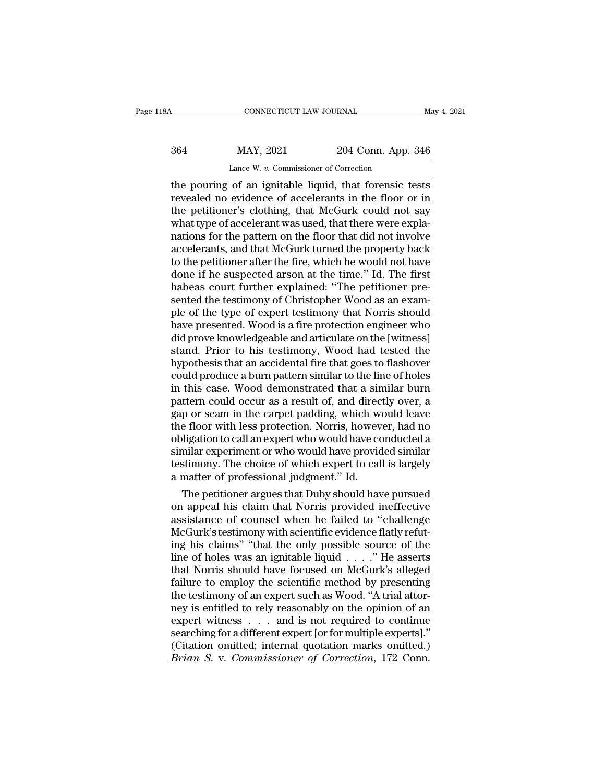CONNECTICUT LAW JOURNAL May 4, 2021<br>
364 MAY, 2021 204 Conn. App. 346<br>
Lance W. v. Commissioner of Correction<br>
the pouring of an ignitable liquid, that forensic tests<br>
revealed no evidence of accelerants in the floor or in MAY, 2021 204 Conn. App. 346<br>Lance W. v. Commissioner of Correction<br>the pouring of an ignitable liquid, that forensic tests<br>revealed no evidence of accelerants in the floor or in<br>the petitioner's clothing, that McGurk coul  $\frac{\text{MAX, 2021}}{\text{Lance W. } v. \text{ Commissioner of Correction}}$ <br>
Lance W.  $v. \text{ Commissioner of Correction}}$ <br>
the pouring of an ignitable liquid, that forensic tests<br>
revealed no evidence of accelerants in the floor or in<br>
the petitioner's clothing, that McGurk could not MAY, 2021 204 Conn. App. 346<br>
Lance W. v. Commissioner of Correction<br>
the pouring of an ignitable liquid, that forensic tests<br>
revealed no evidence of accelerants in the floor or in<br>
the petitioner's clothing, that McGurk Lance W. v. Commissioner of Correction<br>the pouring of an ignitable liquid, that forensic tests<br>revealed no evidence of accelerants in the floor or in<br>the petitioner's clothing, that McGurk could not say<br>what type of accele Lance W. v. Commissioner of Correction<br>the pouring of an ignitable liquid, that forensic tests<br>revealed no evidence of accelerants in the floor or in<br>the petitioner's clothing, that McGurk could not say<br>what type of accele the pouring of an ignitable liquid, that forensic tests<br>revealed no evidence of accelerants in the floor or in<br>the petitioner's clothing, that McGurk could not say<br>what type of accelerant was used, that there were expla-<br>n revealed no evidence of accelerants in the floor or in<br>the petitioner's clothing, that McGurk could not say<br>what type of accelerant was used, that there were expla-<br>nations for the pattern on the floor that did not involve the petitioner's clothing, that McGurk could not say<br>what type of accelerant was used, that there were expla-<br>nations for the pattern on the floor that did not involve<br>accelerants, and that McGurk turned the property back<br> what type of accelerant was used, that there were explanations for the pattern on the floor that did not involve accelerants, and that McGurk turned the property back to the petitioner after the fire, which he would not ha nations for the pattern on the floor that did not involve<br>accelerants, and that McGurk turned the property back<br>to the petitioner after the fire, which he would not have<br>done if he suspected arson at the time." Id. The fir accelerants, and that McGurk turned the property back<br>to the petitioner after the fire, which he would not have<br>done if he suspected arson at the time." Id. The first<br>habeas court further explained: "The petitioner pre-<br>se to the petitioner after the fire, which he would not have<br>done if he suspected arson at the time." Id. The first<br>habeas court further explained: "The petitioner pre-<br>sented the testimony of Christopher Wood as an exam-<br>ple done if he suspected arson at the time." Id. The first<br>habeas court further explained: "The petitioner pre-<br>sented the testimony of Christopher Wood as an exam-<br>ple of the type of expert testimony that Norris should<br>have p habeas court further explained: "The petitioner presented the testimony of Christopher Wood as an example of the type of expert testimony that Norris should have presented. Wood is a fire protection engineer who did prove sented the testimony of Christopher Wood as an example of the type of expert testimony that Norris should<br>have presented. Wood is a fire protection engineer who<br>did prove knowledgeable and articulate on the [witness]<br>stand ple of the type of expert testimony that Norris should<br>have presented. Wood is a fire protection engineer who<br>did prove knowledgeable and articulate on the [witness]<br>stand. Prior to his testimony, Wood had tested the<br>hypot have presented. Wood is a fire protection engineer who<br>did prove knowledgeable and articulate on the [witness]<br>stand. Prior to his testimony, Wood had tested the<br>hypothesis that an accidental fire that goes to flashover<br>co did prove knowledgeable and articulate on the [witness]<br>stand. Prior to his testimony, Wood had tested the<br>hypothesis that an accidental fire that goes to flashover<br>could produce a burn pattern similar to the line of holes stand. Prior to his testimony, Wood had tested the<br>hypothesis that an accidental fire that goes to flashover<br>could produce a burn pattern similar to the line of holes<br>in this case. Wood demonstrated that a similar burn<br>pat hypothesis that an accidental fire that goes to flashover<br>could produce a burn pattern similar to the line of holes<br>in this case. Wood demonstrated that a similar burn<br>pattern could occur as a result of, and directly over, could produce a burn pattern similar to the line of holes<br>in this case. Wood demonstrated that a similar burn<br>pattern could occur as a result of, and directly over, a<br>gap or seam in the carpet padding, which would leave<br>th in this case. Wood demonstrated that a similar burn<br>pattern could occur as a result of, and directly over, a<br>gap or seam in the carpet padding, which would leave<br>the floor with less protection. Norris, however, had no<br>obli pattern could occur as a result of, and direct gap or seam in the carpet padding, which we<br>the floor with less protection. Norris, howev<br>obligation to call an expert who would have co<br>similar experiment or who would have p p or seam in the carpet padding, which would leave<br>e floor with less protection. Norris, however, had no<br>ligation to call an expert who would have conducted a<br>milar experiment or who would have provided similar<br>stimony. Th the floor with less protection. Norris, however, had no<br>obligation to call an expert who would have conducted a<br>similar experiment or who would have provided similar<br>testimony. The choice of which expert to call is largely

obligation to call an expert who would have conducted a<br>similar experiment or who would have provided similar<br>testimony. The choice of which expert to call is largely<br>a matter of professional judgment." Id.<br>The petitioner similar experiment or who would nave provided similar<br>testimony. The choice of which expert to call is largely<br>a matter of professional judgment." Id.<br>The petitioner argues that Duby should have pursued<br>on appeal his claim testimony. The choice of which expert to call is largely<br>a matter of professional judgment." Id.<br>The petitioner argues that Duby should have pursued<br>on appeal his claim that Norris provided ineffective<br>assistance of counse a matter or proressional judgment." Id.<br>
The petitioner argues that Duby should have pursued<br>
on appeal his claim that Norris provided ineffective<br>
assistance of counsel when he failed to "challenge<br>
McGurk's testimony wit The petitioner argues that Duby should have pursued<br>on appeal his claim that Norris provided ineffective<br>assistance of counsel when he failed to "challenge<br>McGurk's testimony with scientific evidence flatly refut-<br>ing his on appeal his claim that Norris provided ineffective<br>assistance of counsel when he failed to "challenge<br>McGurk's testimony with scientific evidence flatly refut-<br>ing his claims" "that the only possible source of the<br>line o assistance of counsel when he failed to "challenge<br>McGurk's testimony with scientific evidence flatly refut-<br>ing his claims" "that the only possible source of the<br>line of holes was an ignitable liquid . . . ." He asserts<br>t McGurk's testimony with scientific evidence flatly refut-<br>ing his claims" "that the only possible source of the<br>line of holes was an ignitable liquid  $\ldots$ ." He asserts<br>that Norris should have focused on McGurk's alleged<br> ing his claims" "that the only possible source of the<br>line of holes was an ignitable liquid . . . ." He asserts<br>that Norris should have focused on McGurk's alleged<br>failure to employ the scientific method by presenting<br>the line of holes was an ignitable liquid  $\ldots$ ." He asserts<br>that Norris should have focused on McGurk's alleged<br>failure to employ the scientific method by presenting<br>the testimony of an expert such as Wood. "A trial attor-<br>n that Norris should have focused on McGurk's alleged<br>failure to employ the scientific method by presenting<br>the testimony of an expert such as Wood. "A trial attor-<br>ney is entitled to rely reasonably on the opinion of an<br>exp failure to employ the scientific method by presenting<br>the testimony of an expert such as Wood. "A trial attor-<br>ney is entitled to rely reasonably on the opinion of an<br>expert witness . . . and is not required to continue<br>se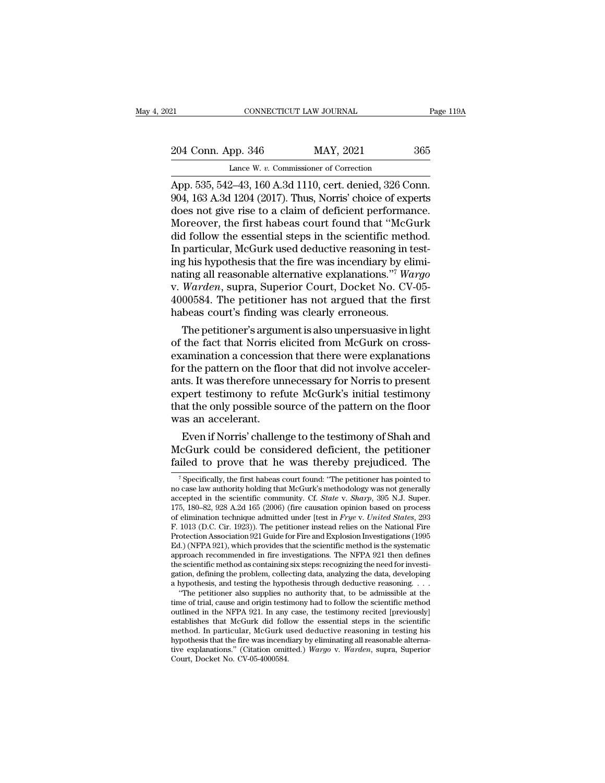# 21 CONNECTICUT LAW JOURNAL Page 119A<br>
204 Conn. App. 346 MAY, 2021 365<br>
Lance W. v. Commissioner of Correction CONNECTICUT LAW JOURNAL<br>
pp. 346 MAY, 2021<br>
Lance W. *v.* Commissioner of Correction<br>
2–43–160 A 3d 1110, cert, denied 326 Co

CONNECTICUT LAW JOURNAL Page 11<br>
204 Conn. App. 346 MAY, 2021 365<br>
Lance W. v. Commissioner of Correction<br>
App. 535, 542–43, 160 A.3d 1110, cert. denied, 326 Conn.<br>
904, 163 A.3d 1204 (2017). Thus, Norris' choice of expert 204 Conn. App. 346 MAY, 2021 365<br>Lance W. v. Commissioner of Correction<br>App. 535, 542–43, 160 A.3d 1110, cert. denied, 326 Conn.<br>904, 163 A.3d 1204 (2017). Thus, Norris' choice of experts<br>does not give rise to a claim of d 204 Conn. App. 346 MAY, 2021 365<br>
Lance W. v. Commissioner of Correction<br>
App. 535, 542–43, 160 A.3d 1110, cert. denied, 326 Conn.<br>
904, 163 A.3d 1204 (2017). Thus, Norris' choice of experts<br>
does not give rise to a claim 204 Conn. App. 346 MAY, 2021 365<br>
Lance W. v. Commissioner of Correction<br>
App. 535, 542–43, 160 A.3d 1110, cert. denied, 326 Conn.<br>
904, 163 A.3d 1204 (2017). Thus, Norris' choice of experts<br>
does not give rise to a claim Lance W. v. Commissioner of Correction<br>App. 535, 542–43, 160 A.3d 1110, cert. denied, 326 Conn.<br>904, 163 A.3d 1204 (2017). Thus, Norris' choice of experts<br>does not give rise to a claim of deficient performance.<br>Moreover, Lance W. v. Commissioner of Correction<br>App. 535, 542–43, 160 A.3d 1110, cert. denied, 326 Conn.<br>904, 163 A.3d 1204 (2017). Thus, Norris' choice of experts<br>does not give rise to a claim of deficient performance.<br>Moreover, App. 535, 542–43, 160 A.3d 1110, cert. denied, 326 Conn. 904, 163 A.3d 1204 (2017). Thus, Norris' choice of experts does not give rise to a claim of deficient performance. Moreover, the first habeas court found that "McGu 904, 163 A.3d 1204 (2017). Thus, Norris' choice of experts<br>does not give rise to a claim of deficient performance.<br>Moreover, the first habeas court found that "McGurk<br>did follow the essential steps in the scientific method does not give rise to a claim of deficient performance.<br>Moreover, the first habeas court found that "McGurk<br>did follow the essential steps in the scientific method.<br>In particular, McGurk used deductive reasoning in test-<br>i Moreover, the first habeas court found that "McGurk<br>did follow the essential steps in the scientific method.<br>In particular, McGurk used deductive reasoning in test-<br>ing his hypothesis that the fire was incendiary by elimidid follow the essential steps in the scientific meth<br>In particular, McGurk used deductive reasoning in t<br>ing his hypothesis that the fire was incendiary by el<br>nating all reasonable alternative explanations."<sup>7</sup> Wa<br>v. Ward particular, McGurk used deductive reasoning in test-<br>g his hypothesis that the fire was incendiary by elimi-<br>ting all reasonable alternative explanations."<sup>7</sup> Wargo<br>Warden, supra, Superior Court, Docket No. CV-05-<br>00584. T ing his hypothesis that the fire was incendiary by elmi-<br>nating all reasonable alternative explanations."<sup>7</sup> Wargo<br>v. Warden, supra, Superior Court, Docket No. CV-05-<br>4000584. The petitioner has not argued that the first<br>h

mating all reasonable alternative explanations.<sup>...</sup> *wargo*<br>v. *Warden*, supra, Superior Court, Docket No. CV-05-<br>4000584. The petitioner has not argued that the first<br>habeas court's finding was clearly erroneous.<br>The pet v. *warden*, supra, superior Court, Docket No. Cv-05-4000584. The petitioner has not argued that the first habeas court's finding was clearly erroneous.<br>The petitioner's argument is also unpersuasive in light of the fact t 4000584. The petitioner has not argued that the first<br>habeas court's finding was clearly erroneous.<br>The petitioner's argument is also unpersuasive in light<br>of the fact that Norris elicited from McGurk on cross-<br>examination rabeas court s imaing was clearly erroneous.<br>
The petitioner's argument is also unpersuasive in light<br>
of the fact that Norris elicited from McGurk on cross-<br>
examination a concession that there were explanations<br>
for the The petitioner's argument is also unpersuasive in light<br>of the fact that Norris elicited from McGurk on cross-<br>examination a concession that there were explanations<br>for the pattern on the floor that did not involve acceler of the fact that Norris e<br>examination a concessio<br>for the pattern on the flc<br>ants. It was therefore un<br>expert testimony to ref<br>that the only possible so<br>was an accelerant.<br>Even if Norris' challen ammation a concession that there were explanations<br>r the pattern on the floor that did not involve acceler-<br>ts. It was therefore unnecessary for Norris to present<br>pert testimony to refute McGurk's initial testimony<br>at the From the pattern on the floor that did not involve accelerants. It was therefore unnecessary for Norris to present expert testimony to refute McGurk's initial testimony that the only possible source of the pattern on the f ants. It was therefore unnecessary for Norris to present<br>expert testimony to refute McGurk's initial testimony<br>that the only possible source of the pattern on the floor<br>was an accelerant.<br>Even if Norris' challenge to the t

Even if Norris' challenge to the testimony of Shah and<br>
icGurk could be considered deficient, the petitioner<br>
iled to prove that he was thereby prejudiced. The<br>
<sup>7</sup> Specifically, the first habeas court found: "The petitio Even if Norris' challenge to the testimony of Shah and<br>McGurk could be considered deficient, the petitioner<br>failed to prove that he was thereby prejudiced. The<br> $\frac{1}{\pi}$  specifically, the first habeas court found: "The p

Event From Schancinge to the testantory of shart and McGurk could be considered deficient, the petitioner failed to prove that he was thereby prejudiced. The *specifically*, the first habeas court found: "The petitioner ha MCGUITK COUID De CONSIDETED deficient, the petitioner failed to prove that he was thereby prejudiced. The  $\frac{1}{\sqrt{2}}$  specifically, the first habeas court found: "The petitioner has pointed to no case law authority holdi failed to prove that he was thereby prejudiced. The  $\frac{1}{\sqrt{2}}$  specifically, the first habeas court found: "The petitioner has pointed to no case law authority holding that McGurk's methodology was not generally accepte <sup>7</sup> Specifically, the first habeas court found: "The petitioner has pointed to no case law authority holding that McGurk's methodology was not generally accepted in the scientific community. Cf. *State* v. *Sharp*, 395 N. <sup>7</sup> Specifically, the first habeas court found: "The petitioner has pointed to no case law authority holding that McGurk's methodology was not generally accepted in the scientific community. Cf. *State v. Sharp*, 395 N.J. no case law authority holding that McGurk's methodology was not generally accepted in the scientific community. Cf. *State v. Sharp*, 395 N.J. Super. 175, 180–82, 928 A.2d 165 (2006) (fire causation opinion based on proce accepted in the scientific community. Cf. *State* v. *Sharp*, 395 N.J. Super.<br>175, 180–82, 928 A.2d 165 (2006) (fire causation opinion based on process<br>of elimination technique admitted under [test in *Frye* v. *United Sta* 175, 180–82, 928 A.2d 165 (2006) (fire causation opinion based on process<br>of elimination technique admitted under [test in  $Frye$  v. United States, 293<br>F. 1013 (D.C. Cir. 1923)). The petitioner instead relies on the Nation of elimination technique admitted under [test in *Frye v. United States*, 293<br>F. 1013 (D.C. Cir. 1923)). The petitioner instead relies on the National Fire<br>Protection Association 921 Guide for Fire and Explosion Investigat F. 1013 (D.C. Cir. 1923)). The petitioner instead relies on the National Fire<br>Protection Association 921 Guide for Fire and Explosion Investigations (1995<br>Ed.) (NFPA 921), which provides that the scientific method is the s otection Association 921 Guide for Fire and Explosion Investigations (1995<br>
1.) (NFPA 921), which provides that the scientific method is the systematic<br>
proach recommended in fire investigations. The NFPA 921 then defines<br> Ed.) (NFPA 921), which provides that the scientific method is the systematic approach recommended in fire investigations. The NFPA 921 then defines the scientific method as containing six steps: recognizing the need for in

approach recommended in fire investigations. The NFPA 921 then defines<br>the scientific method as containing six steps: recognizing the need for investi-<br>gation, defining the problem, collecting data, analyzing the data, dev the scientific method as containing six steps: recognizing the need for investigation, defining the problem, collecting data, analyzing the data, developing a hypothesis, and testing the hypothesis through deductive reason gation, defining the problem, collecting data, analyzing the data, developing<br>a hypothesis, and testing the hypothesis through deductive reasoning. . . .<br>"The petitioner also supplies no authority that, to be admissible a hypothesis that the fire was incendiary by eliminating all reasonable alterna-"The petitioner also supplies no authority that, to be admissible at the time of trial, cause and origin testimony had to follow the scientific method outlined in the NFPA 921. In any case, the testimony recited [previousl time of trial, cause and origin testi<br>outlined in the NFPA 921. In any<br>establishes that McGurk did foll<br>method. In particular, McGurk u<br>hypothesis that the fire was incend<br>tive explanations." (Citation omit<br>Court, Docket N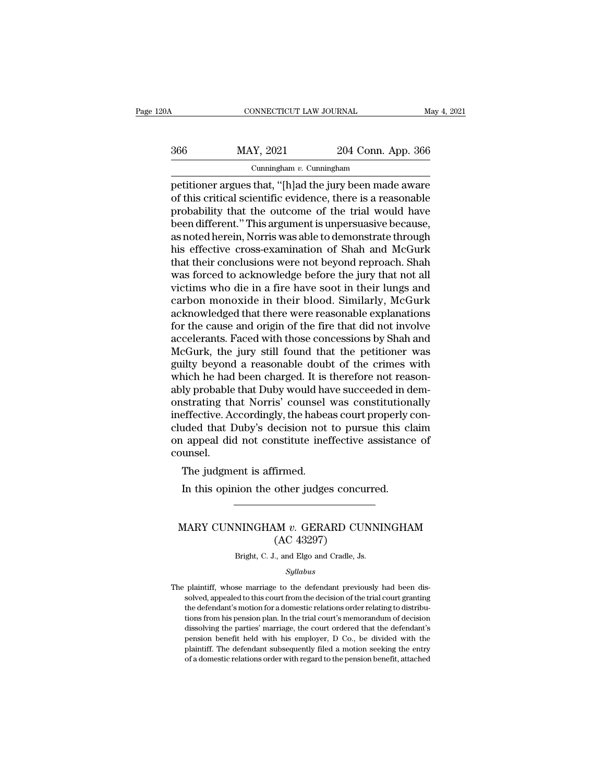| 20A | CONNECTICUT LAW JOURNAL     |                    | May 4, 2021 |
|-----|-----------------------------|--------------------|-------------|
| 366 | MAY, 2021                   | 204 Conn. App. 366 |             |
|     | Cunningham $v$ . Cunningham |                    |             |

connecticut LAW JOURNAL May 4, 2021<br>
366 MAY, 2021 204 Conn. App. 366<br>
Cunningham v. Cunningham<br>
petitioner argues that, "[h]ad the jury been made aware<br>
of this critical scientific evidence, there is a reasonable<br>
probabi  $\begin{array}{r} \text{MAX, } 2021 \\ \text{Cunningham } v. \text{ Cunningham} \\ \text{Definitioner argues that, "[h]ad the jury been made aware of this critical scientific evidence, there is a reasonable probability that the outcome of the trial would have been different "This argument is uncorqueive because.} \end{array}$  $\frac{366}{\text{Cunningham } v. \text{ Cunningham}}$  204 Conn. App. 366<br>  $\frac{\text{Cunningham}}{\text{I}}$ <br>
petitioner argues that, "[h]ad the jury been made aware<br>
of this critical scientific evidence, there is a reasonable<br>
probability that the outcome of the tri  $\frac{\text{MAX, 2021}}{\text{Cunningham } v. \text{ Cunningham}}$ <br>
petitioner argues that, "[h]ad the jury been made aware<br>
of this critical scientific evidence, there is a reasonable<br>
probability that the outcome of the trial would have<br>
been different." Cunningham v. Cunningham<br>
petitioner argues that, "[h]ad the jury been made aware<br>
of this critical scientific evidence, there is a reasonable<br>
probability that the outcome of the trial would have<br>
been different." This a Cunningham v. Cunningham<br>
petitioner argues that, "[h]ad the jury been made aware<br>
of this critical scientific evidence, there is a reasonable<br>
probability that the outcome of the trial would have<br>
been different." This a petitioner argues that, "[h]ad the jury been made aware<br>of this critical scientific evidence, there is a reasonable<br>probability that the outcome of the trial would have<br>been different." This argument is unpersuasive becaus of this critical scientific evidence, there is a reasonable<br>probability that the outcome of the trial would have<br>been different." This argument is unpersuasive because,<br>as noted herein, Norris was able to demonstrate throu probability that the outcome of the trial would have<br>been different." This argument is unpersuasive because,<br>as noted herein, Norris was able to demonstrate through<br>his effective cross-examination of Shah and McGurk<br>that t been different." This argument is unpersuasive because,<br>as noted herein, Norris was able to demonstrate through<br>his effective cross-examination of Shah and McGurk<br>that their conclusions were not beyond reproach. Shah<br>was f as noted herein, Norris was able to demonstrate through<br>his effective cross-examination of Shah and McGurk<br>that their conclusions were not beyond reproach. Shah<br>was forced to acknowledge before the jury that not all<br>victim his effective cross-examination of Shah and McGurk<br>that their conclusions were not beyond reproach. Shah<br>was forced to acknowledge before the jury that not all<br>victims who die in a fire have soot in their lungs and<br>carbon that their conclusions were not beyond reproach. Shah<br>was forced to acknowledge before the jury that not all<br>victims who die in a fire have soot in their lungs and<br>carbon monoxide in their blood. Similarly, McGurk<br>acknowle was forced to acknowledge before the jury that not all<br>victims who die in a fire have soot in their lungs and<br>carbon monoxide in their blood. Similarly, McGurk<br>acknowledged that there were reasonable explanations<br>for the c victims who die in a fire have soot in their lungs and<br>carbon monoxide in their blood. Similarly, McGurk<br>acknowledged that there were reasonable explanations<br>for the cause and origin of the fire that did not involve<br>accele carbon monoxide in their blood. Similarly, McGurk<br>acknowledged that there were reasonable explanations<br>for the cause and origin of the fire that did not involve<br>accelerants. Faced with those concessions by Shah and<br>McGurk, acknowledged that there were reasonable explanations<br>for the cause and origin of the fire that did not involve<br>accelerants. Faced with those concessions by Shah and<br>McGurk, the jury still found that the petitioner was<br>guil for the cause and origin of the fire that did not involve<br>accelerants. Faced with those concessions by Shah and<br>McGurk, the jury still found that the petitioner was<br>guilty beyond a reasonable doubt of the crimes with<br>which accelerants. Faced with those concessions by Shah and McGurk, the jury still found that the petitioner was guilty beyond a reasonable doubt of the crimes with which he had been charged. It is therefore not reasonably proba McGurk, the jury still found that the petitioner was<br>guilty beyond a reasonable doubt of the crimes with<br>which he had been charged. It is therefore not reason-<br>ably probable that Duby would have succeeded in dem-<br>onstratin guilty beyond a reasonable doubt of the crimes with<br>which he had been charged. It is therefore not reason-<br>ably probable that Duby would have succeeded in dem-<br>onstrating that Norris' counsel was constitutionally<br>ineffecti counsel. If probable that Duby Would has<br>strating that Norris' counsel<br>effective. Accordingly, the habea<br>uded that Duby's decision not<br>appeal did not constitute ine<br>unsel.<br>The judgment is affirmed.<br>In this opinion the other judge: Effective. Accordingly, the habeas court properly of uded that Duby's decision not to pursue this clare appeal did not constitute ineffective assistance unsel.<br>The judgment is affirmed.<br>In this opinion the other judges con

# ounsel.<br>
The judgment is affirmed.<br>
In this opinion the other judges concurred.<br>
MARY CUNNINGHAM *v.* GERARD CUNNINGHAM<br>
(AC 43297) firmed.<br>
other judges concu<br>
M v. GERARD CU<br>(AC 43297)<br>
., and Elgo and Cradle, Js. MARY CUNNINGHAM  $v$ . GERARD CUNNINGHAM<br>(AC 43297)<br>Bright, C. J., and Elgo and Cradle, Js.

## *Syllabus*

The plaintiff, whose marriage to the defendant previously had been dissolved, appealed to this court from the decision of the trial court granting  $(AC 43297)$ <br>Bright, C. J., and Elgo and Cradle, Js.<br>Syllabus<br>plaintiff, whose marriage to the defendant previously had been dis-<br>solved, appealed to this court from the decision of the trial court granting<br>the defendant's Bright, C. J., and Elgo and Cradle, Js.<br>Syllabus<br>plaintiff, whose marriage to the defendant previously had been dis-<br>solved, appealed to this court from the decision of the trial court granting<br>the defendant's motion for a Syllabus<br>Syllabus<br>plaintiff, whose marriage to the defendant previously had been dis-<br>solved, appealed to this court from the decision of the trial court granting<br>the defendant's motion for a domestic relations order relat tions from his pension plan. In the trial court's memorandum of decision dissolving the parties' marriage, the court ordered that the defendant's pension benefit held with his employer, D Co., be divided with the plaintiff plaintiff, whose marriage to the defendant previously had been dis-<br>solved, appealed to this court from the decision of the trial court granting<br>the defendant's motion for a domestic relations order relating to distribu-<br>t plantiff. Whose maringe to are defendant previously had been dis-<br>solved, appealed to this court from the decision of the trial court granting<br>the defendant's motion for a domestic relations order relating to distribu-<br>tio following the defendant's motion for a domestic relations order relating to distributions from his pension plan. In the trial court's memorandum of decision dissolving the parties' marriage, the court ordered that the defe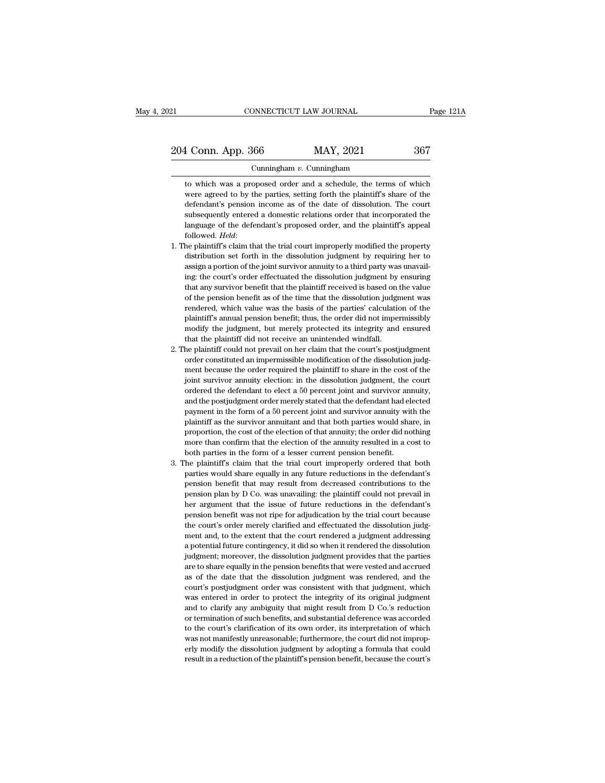### Cunningham *v.* Cunningham

1 Conn. App. 366 MAY, 2021 367<br>
Cunningham v. Cunningham<br>
to which was a proposed order and a schedule, the terms of which<br>
were agreed to by the parties, setting forth the plaintiff's share of the MAY, 2021 367<br>Cunningham v. Cunningham<br>to which was a proposed order and a schedule, the terms of which<br>were agreed to by the parties, setting forth the plaintiff's share of the<br>defendant's pension income as of the date of 1 Conn. App. 366 MAY, 2021 367<br>Cunningham v. Cunningham<br>to which was a proposed order and a schedule, the terms of which<br>were agreed to by the parties, setting forth the plaintiff's share of the<br>defendant's pension income Cunningham v. Cunningham<br>to which was a proposed order and a schedule, the terms of which<br>were agreed to by the parties, setting forth the plaintiff's share of the<br>defendant's pension income as of the date of dissolution. Cunningham  $v$ . Cunningham<br>to which was a proposed order and a schedule, the terms of which<br>were agreed to by the parties, setting forth the plaintiff's share of the<br>defendant's pension income as of the date of dissolutio were agreed to by the parties, setting forth the plaintiff's share of the defendant's pension income as of the date of dissolution. The court subsequently entered a domestic relations order that incorporated the language o defendant's pension income as of the date of dissolution. The court<br>defendant's pension income as of the date of dissolution. The court<br>subsequently entered a domestic relations order that incorporated the<br>language of the

- defendant's pension income as of the date of dissolution. The court subsequently entered a domestic relations order that incorporated the language of the defendant's proposed order, and the plaintiff's appeal followed. *H* language of the defendant's proposed order, and the plaintiff's appeal followed. *Held*:<br>he plaintiff's claim that the trial court improperly modified the property distribution set forth in the dissolution judgment by requ followed. *Held*:<br>followed. *Held*:<br>the plaintiff's claim that the trial court improperly modified the property<br>distribution set forth in the dissolution judgment by requiring her to<br>assign a portion of the joint survivor he plaintiff's claim that the trial court improperly modified the property distribution set forth in the dissolution judgment by requiring her to assign a portion of the joint survivor annuity to a third party was unavaili distribution set forth in the dissolution judgment by requiring her to assign a portion of the joint survivor annuity to a third party was unavailing: the court's order effectuated the dissolution judgment by ensuring that assign a portion of the joint survivor annuity to a third party was unavailing: the court's order effectuated the dissolution judgment by ensuring that any survivor benefit that the plaintiff received is based on the value ing: the court's order effectuated the dissolution judgment by ensuring<br>that any survivor benefit that the plaintiff received is based on the value<br>of the pension benefit as of the time that the dissolution judgment was<br>re that any survivor benefit that the plaintiff received is based on the value<br>of the pension benefit as of the time that the dissolution judgment was<br>rendered, which value was the basis of the parties' calculation of the<br>pla of the pension benefit as of the time that the dissolution judgment was<br>cendered, which value was the basis of the parties' calculation of the<br>plaintiff's annual pension benefit; thus, the order did not impermissibly<br>modif order constituted an impermissible modification of the dissolution of the plaintiff's annual pension benefit; thus, the order did not impermissibly modify the judgment, but merely protected its integrity and ensured that t
- plaintiff's annual pension benefit; thus, the order did not impermissibly modify the judgment, but merely protected its integrity and ensured that the plaintiff did not receive an unintended windfall.<br>The plaintiff could n modify the judgment, but merely protected its integrity and ensured that the plaintiff did not receive an unintended windfall.<br>The plaintiff could not prevail on her claim that the court's postjudgment<br>order constituted an that the plaintiff did not receive an unintended windfall.<br>that the plaintiff did not prevail on her claim that the court's postjudgment<br>order constituted an impermissible modification of the dissolution judg-<br>ment becaus are positive poster merely stated that the court's postjudgment order constituted an impermissible modification of the dissolution judgment because the order required the plaintiff to share in the cost of the joint survivo order constituted an impermissible modification of the dissolution judgement because the order required the plaintiff to share in the cost of the joint survivor annuity election: in the dissolution judgment, the court orde ment because the order required the plaintiff to share in the cost of the joint survivor annuity election: in the dissolution judgment, the court ordered the defendant to elect a 50 percent joint and survivor annuity, and proportion, the cost of the election of the annuity; the ordered the defendant to elect a 50 percent joint and survivor annuity, and the postjudgment order merely stated that the defendant had elected payment in the form bordered the defendant to elect a 50 percent joint and survivor annuity, and the postjudgment order merely stated that the defendant had elected payment in the form of a 50 percent joint and survivor annuity with the plain % ordered the defendant to elect a 50 percent joint and survivor annuity, and the postjudgment order merely stated that the defendant had elected payment in the form of a 50 percent joint and survivor annuity with the pla all provides the form of a 50 percent joint and survivor annuity with the plaintiff as the survivor annuitant and that both parties would share, in proportion, the cost of the election of that annuity; the order did nothin parties are survivor annuitant and that both parties would share, in proportion, the cost of the election of that annuity; the order did nothing more than confirm that the election of the annuity resulted in a cost to both
- persion the exist of the election of that annuity; the order did nothing<br>more than confirm that the election of the annuity resulted in a cost to<br>both parties in the form of a lesser current pension benefit.<br>The plaintiff' properation, continum that the election of the annuity resulted in a cost to both parties in the form of a lesser current pension benefit.<br>The plaintiff's claim that the trial court improperly ordered that both parties wou hoth parties in the form of a lesser current pension benefit.<br>
the plaintiff's claim that the trial court improperly ordered that both<br>
parties would share equally in any future reductions in the defendant's<br>
pension benef he plaintiff's claim that the trial court improperly ordered that both parties would share equally in any future reductions in the defendant's pension benefit that may result from decreased contributions to the pension pla parties would share equally in any future reductions in the defendant's pension benefit that may result from decreased contributions to the pension plan by D Co. was unavailing: the plaintiff could not prevail in her argum pension benefit that may result from decreased contributions to the pension plan by D Co. was unavailing: the plaintiff could not prevail in her argument that the issue of future reductions in the defendant's pension benef pension plan by D Co. was unavailing: the plaintiff could not prevail in<br>her argument that the issue of future reductions in the defendant's<br>pension benefit was not ripe for adjudication by the trial court because<br>the cour person parally that the issue of future reductions in the defendant's<br>pension benefit was not ripe for adjudication by the trial court because<br>the court's order merely clarified and effectuated the dissolution judg-<br>ment a pension benefit was not ripe for adjudication by the trial court because<br>the court's order merely clarified and effectuated the dissolution judg-<br>ment and, to the extent that the court rendered a judgment addressing<br>a pote person of the court's order merely clarified and effectuated the dissolution judgment and, to the extent that the court rendered a judgment addressing a potential future contingency, it did so when it rendered the dissolut ment and, to the extent that the court rendered a judgment addressing a potential future contingency, it did so when it rendered the dissolution judgment; moreover, the dissolution judgment provides that the parties are to as potential future contingency, it did so when it rendered the dissolution judgment; moreover, the dissolution judgment provides that the parties are to share equally in the pension benefits that were vested and accrued a and to clarify any ambiguity that might results of effective that the parties are to share equally in the pension benefits that were vested and accrued as of the date that the dissolution judgment was rendered, and the cou benefits that were vested and accrued as of the date that the pension benefits that were vested and accrued as of the date that the dissolution judgment was rendered, and the court's postjudgment order was consistent with as of the date that the dissolution judgment was rendered, and the court's postjudgment order was consistent with that judgment, which was entered in order to protect the integrity of its original judgment and to clarify a was externed in order was consistent with that judgment, which was entered in order to protect the integrity of its original judgment and to clarify any ambiguity that might result from D Co.'s reduction or termination of ers was entered in order to protect the integrity of its original judgment and to clarify any ambiguity that might result from D Co.'s reduction or termination of such benefits, and substantial deference was accorded to th and to clarify any ambiguity that might result from D Co.'s reduction<br>or termination of such benefits, and substantial deference was accorded<br>to the court's clarification of its own order, its interpretation of which<br>was n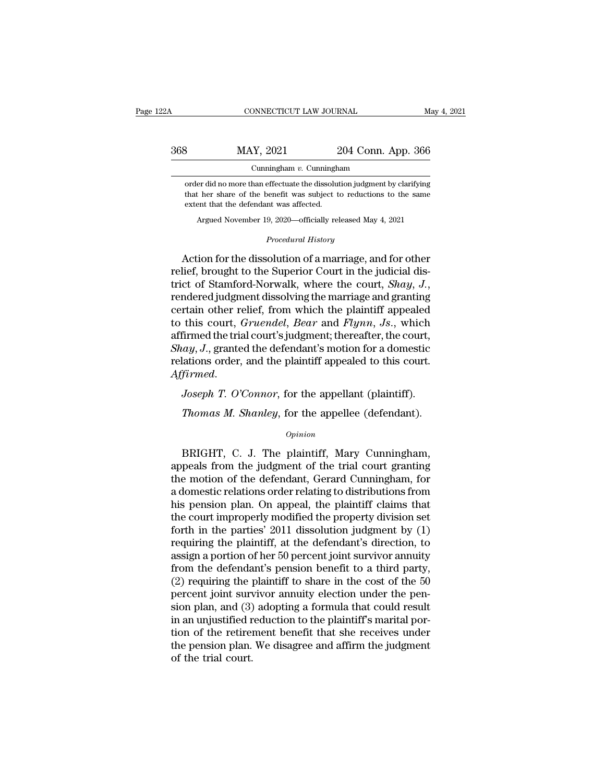# CONNECTICUT LAW JOURNAL May 4, 2021<br>368 MAY, 2021 204 Conn. App. 366<br>Cunningham v. Cunningham Cunningham *v.* Cunningham

MAY, 2021 204 Conn. App. 366<br>
Cunningham v. Cunningham<br>
order did no more than effectuate the dissolution judgment by clarifying<br>
that her share of the benefit was subject to reductions to the same MAY, 2021 204 Conn. App. 366<br>
Cunningham v. Cunningham<br>
order did no more than effectuate the dissolution judgment by clarifying<br>
that her share of the benefit was subject to reductions to the same<br>
extent that the defenda 368 MAY, 2021 204 Conn. App. 366<br>
Cunningham *v*. Cunningham<br>
order did no more than effectuate the dissolution judgment by clarifying<br>
that her share of the benefit was subject to reductions to the same<br>
extent that the Cunningham v. Cunningham<br>
er did no more than effectuate the dissolution judgment by clarifying<br>
t her share of the benefit was subject to reductions to the same<br>
ent that the defendant was affected.<br>
Argued November 19, 2 % that her share of the benefit was subject to reductions to the same extent that the defendant was affected.<br>Argued November 19, 2020—officially released May 4, 2021<br> $Procedural History$ 

order did no more than effectuate the dissolution judgment by clarifying<br>that her share of the benefit was subject to reductions to the same<br>extent that the defendant was affected.<br>Argued November 19, 2020—officially relea Action for the dissolution of a marriage, and for other relief, brought to the Superior Court in the judicial district of Stamford-Norwalk, where the court, *Shay*, *J*., rendered judgment dissolving the marriage and grant extent that the defendant was affected.<br>
Argued November 19, 2020—officially released May 4, 2021<br> *Procedural History*<br>
Action for the dissolution of a marriage, and for other<br>
relief, brought to the Superior Court in the *Procedural History*<br>Action for the dissolution of a marriage, and for other<br>relief, brought to the Superior Court in the judicial dis-<br>trict of Stamford-Norwalk, where the court, *Shay*, *J*.,<br>rendered judgment dissolving Action for the dissolution of a marriage, and for other<br>relief, brought to the Superior Court in the judicial dis-<br>trict of Stamford-Norwalk, where the court, *Shay*, *J*.,<br>rendered judgment dissolving the marriage and gra Action for the dissolution of a marriage, and for other<br>relief, brought to the Superior Court in the judicial dis-<br>trict of Stamford-Norwalk, where the court, *Shay*, *J*.,<br>rendered judgment dissolving the marriage and gr relief, brought to the Superior Court in the judicial district of Stamford-Norwalk, where the court, *Shay*, *J*.,<br>rendered judgment dissolving the marriage and granting<br>certain other relief, from which the plaintiff appea trict of Stamford-Norwalk, where the court, *Shay*, *J.*, rendered judgment dissolving the marriage and granting certain other relief, from which the plaintiff appealed to this court, *Gruendel*, *Bear* and *Flynn*, *Js.*, *Affirmed the inter tener, from which the plaintiff appeared* to this court, *Gruendel*, *Bear* and *Flynn*, *Js.*, which affirmed the trial court's judgment; thereafter, the court, *Shay*, *J.*, granted the defendant's mo Firmed the trial court's judgment; thereafter, the court,<br> *Tay, J.*, granted the defendant's motion for a domestic<br> *Tay, J.*, granted the plaintiff appealed to this court.<br> *Tirmed.*<br> *Joseph T. O'Connor*, for the appell

### *Opinion*

Firmed.<br>Joseph T. O'Connor, for the appellant (plaintiff).<br>Thomas M. Shanley, for the appellee (defendant).<br>opinion<br>BRIGHT, C. J. The plaintiff, Mary Cunningham,<br>peals from the judgment of the trial court granting<br>a motion Joseph T. O'Connor, for the appellant (plaintiff).<br>
Thomas M. Shanley, for the appellee (defendant).<br>
opinion<br>
BRIGHT, C. J. The plaintiff, Mary Cunningham,<br>
appeals from the judgment of the trial court granting<br>
the motio Thomas M. Shanley, for the appellee (defendant).<br>  $\frac{Opinion}{Opinion}$ <br>
BRIGHT, C. J. The plaintiff, Mary Cunningham,<br>
appeals from the judgment of the trial court granting<br>
the motion of the defendant, Gerard Cunningham, for<br>
a Thomas M. Shanley, for the appellee (defendant).<br>
opinion<br>
BRIGHT, C. J. The plaintiff, Mary Cunningham,<br>
appeals from the judgment of the trial court granting<br>
the motion of the defendant, Gerard Cunningham, for<br>
a domest **EXECUT CONTROV**<br> *Opinion*<br>
BRIGHT, C. J. The plaintiff, Mary Cunningham,<br>
appeals from the judgment of the trial court granting<br>
the motion of the defendant, Gerard Cunningham, for<br>
a domestic relations order relating to BRIGHT, C. J. The plaintiff, Mary Cunningham,<br>appeals from the judgment of the trial court granting<br>the motion of the defendant, Gerard Cunningham, for<br>a domestic relations order relating to distributions from<br>his pension BRIGHT, C. J. The plaintiff, Mary Cunningham,<br>appeals from the judgment of the trial court granting<br>the motion of the defendant, Gerard Cunningham, for<br>a domestic relations order relating to distributions from<br>his pension appeals from the judgment of the trial court granting<br>the motion of the defendant, Gerard Cunningham, for<br>a domestic relations order relating to distributions from<br>his pension plan. On appeal, the plaintiff claims that<br>the the motion of the defendant, Gerard Cunningham, for<br>a domestic relations order relating to distributions from<br>his pension plan. On appeal, the plaintiff claims that<br>the court improperly modified the property division set<br>f a domestic relations order relating to distributions from<br>his pension plan. On appeal, the plaintiff claims that<br>the court improperly modified the property division set<br>forth in the parties' 2011 dissolution judgment by (1 his pension plan. On appeal, the plaintiff claims that<br>the court improperly modified the property division set<br>forth in the parties' 2011 dissolution judgment by  $(1)$ <br>requiring the plaintiff, at the defendant's direction the court improperly modified the property division set<br>forth in the parties' 2011 dissolution judgment by  $(1)$ <br>requiring the plaintiff, at the defendant's direction, to<br>assign a portion of her 50 percent joint survivor forth in the parties' 2011 dissolution judgment by  $(1)$ <br>requiring the plaintiff, at the defendant's direction, to<br>assign a portion of her 50 percent joint survivor annuity<br>from the defendant's pension benefit to a third requiring the plaintiff, at the defendant's direction, to<br>assign a portion of her 50 percent joint survivor annuity<br>from the defendant's pension benefit to a third party,<br>(2) requiring the plaintiff to share in the cost of assign a portion of her 50 percent joint survivor annuity<br>from the defendant's pension benefit to a third party,<br>(2) requiring the plaintiff to share in the cost of the 50<br>percent joint survivor annuity election under the from the defendant's pension benefit to a third party,<br>(2) requiring the plaintiff to share in the cost of the 50<br>percent joint survivor annuity election under the pen-<br>sion plan, and (3) adopting a formula that could res (2) requiring the percent joint survey<br>ion plan, and (3) in an unjustified r<br>tion of the retire<br>the pension plan.<br>of the trial court.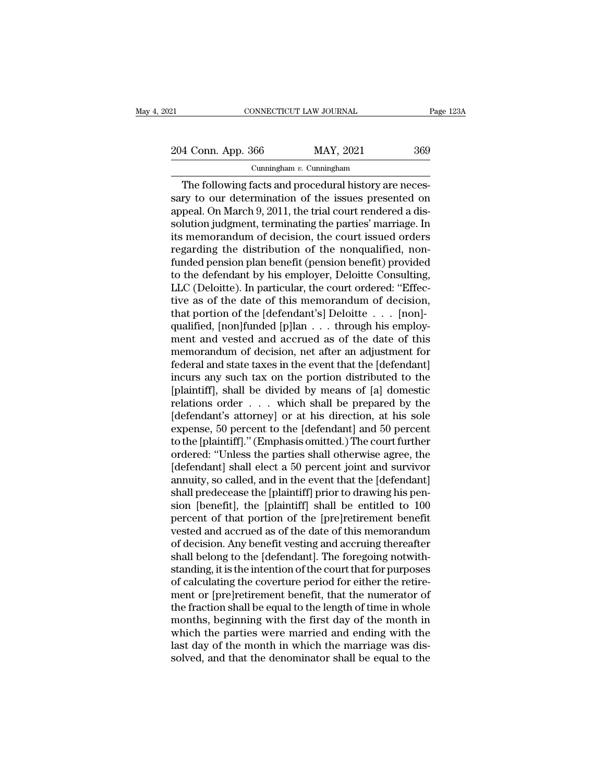## Cunningham *v.* Cunningham

CONNECTICUT LAW JOURNAL<br>
4 Conn. App. 366 MAY, 2021 369<br>
Cunningham v. Cunningham<br>
The following facts and procedural history are neces-<br>
try to our determination of the issues presented on<br>
The following facts and procedu  $\frac{204 \text{ Conn. App. 366}}{\text{Cumningham } v. \text{ Cunningham}}$ <br>The following facts and procedural history are necessary to our determination of the issues presented on appeal. On March 9, 2011, the trial court rendered a dissolution independent te 204 Conn. App. 366 MAY, 2021 369<br>
Cunningham v. Cunningham<br>
The following facts and procedural history are necessary to our determination of the issues presented on<br>
appeal. On March 9, 2011, the trial court rendered a di 204 Conn. App. 366 MAY, 2021 369<br>
Cunningham v. Cunningham<br>
The following facts and procedural history are necessary to our determination of the issues presented on<br>
appeal. On March 9, 2011, the trial court rendered a di Cunningham v. Cunningham<br>
The following facts and procedural history are necessary to our determination of the issues presented on<br>
appeal. On March 9, 2011, the trial court rendered a dissolution judgment, terminating th Cunningham v. Cunningham<br>
The following facts and procedural history are necessary to our determination of the issues presented on<br>
appeal. On March 9, 2011, the trial court rendered a dis-<br>
solution judgment, terminating The following facts and procedural history are necessary to our determination of the issues presented on<br>appeal. On March 9, 2011, the trial court rendered a dissolution judgment, terminating the parties' marriage. In<br>its sary to our determination of the issues presented on<br>appeal. On March 9, 2011, the trial court rendered a dis-<br>solution judgment, terminating the parties' marriage. In<br>its memorandum of decision, the court issued orders<br>re appeal. On March 9, 2011, the trial court rendered a dissolution judgment, terminating the parties' marriage. In<br>its memorandum of decision, the court issued orders<br>regarding the distribution of the nonqualified, non-<br>fund solution judgment, terminating the parties' marriage. In<br>its memorandum of decision, the court issued orders<br>regarding the distribution of the nonqualified, non-<br>funded pension plan benefit (pension benefit) provided<br>to th its memorandum of decision, the court issued orders<br>regarding the distribution of the nonqualified, non-<br>funded pension plan benefit (pension benefit) provided<br>to the defendant by his employer, Deloitte Consulting,<br>LLC (De regarding the distribution of the nonqualified, non-<br>funded pension plan benefit (pension benefit) provided<br>to the defendant by his employer, Deloitte Consulting,<br>LLC (Deloitte). In particular, the court ordered: "Effec-<br>t funded pension plan benefit (pension benefit) provided<br>to the defendant by his employer, Deloitte Consulting,<br>LLC (Deloitte). In particular, the court ordered: "Effec-<br>tive as of the date of this memorandum of decision,<br>th to the defendant by his employer, Deloitte Consulting,<br>LLC (Deloitte). In particular, the court ordered: "Effec-<br>tive as of the date of this memorandum of decision,<br>that portion of the [defendant's] Deloitte . . . [non]-<br>q LLC (Deloitte). In particular, the court ordered: "Effective as of the date of this memorandum of decision, that portion of the [defendant's] Deloitte . . . [non]-qualified, [non]funded [p]lan . . . through his employment tive as of the date of this memorandum of decision,<br>that portion of the [defendant's] Deloitte  $\ldots$  [non]-<br>qualified, [non]funded [p]lan  $\ldots$  through his employ-<br>ment and vested and accrued as of the date of this<br>memora that portion of the [defendant's] Deloitte . . . . [non]-<br>qualified, [non]funded [p]lan . . . through his employ-<br>ment and vested and accrued as of the date of this<br>memorandum of decision, net after an adjustment for<br>fede qualified, [non]funded [p]lan  $\ldots$  through his employ-<br>ment and vested and accrued as of the date of this<br>memorandum of decision, net after an adjustment for<br>federal and state taxes in the event that the [defendant]<br>incu ment and vested and accrued as of the date of this<br>memorandum of decision, net after an adjustment for<br>federal and state taxes in the event that the [defendant]<br>incurs any such tax on the portion distributed to the<br>[plain memorandum of decision, net after an adjustment for<br>federal and state taxes in the event that the [defendant]<br>incurs any such tax on the portion distributed to the<br>[plaintiff], shall be divided by means of [a] domestic<br>rel federal and state taxes in the event that the [defendant]<br>incurs any such tax on the portion distributed to the<br>[plaintiff], shall be divided by means of [a] domestic<br>relations order . . . which shall be prepared by the<br>[d incurs any such tax on the portion distributed to the [plaintiff], shall be divided by means of [a] domestic<br>relations order . . . which shall be prepared by the<br>[defendant's attorney] or at his direction, at his sole<br>expe [plaintiff], shall be divided by means of [a] domestic<br>relations order . . . which shall be prepared by the<br>[defendant's attorney] or at his direction, at his sole<br>expense, 50 percent to the [defendant] and 50 percent<br>to t relations order . . . which shall be prepared by the<br>[defendant's attorney] or at his direction, at his sole<br>expense, 50 percent to the [defendant] and 50 percent<br>to the [plaintiff]." (Emphasis omitted.) The court further<br> [defendant's attorney] or at his direction, at his sole expense, 50 percent to the [defendant] and 50 percent to the [plaintiff]." (Emphasis omitted.) The court further ordered: "Unless the parties shall otherwise agree, t expense, 50 percent to the [defendant] and 50 percent<br>to the [plaintiff]." (Emphasis omitted.) The court further<br>ordered: "Unless the parties shall otherwise agree, the<br>[defendant] shall elect a 50 percent joint and surviv to the [plaintiff]." (Emphasis omitted.) The court further<br>ordered: "Unless the parties shall otherwise agree, the<br>[defendant] shall elect a 50 percent joint and survivor<br>annuity, so called, and in the event that the [defe ordered: "Unless the parties shall otherwise agree, the<br>[defendant] shall elect a 50 percent joint and survivor<br>annuity, so called, and in the event that the [defendant]<br>shall predecease the [plaintiff] prior to drawing hi [defendant] shall elect a 50 percent joint and survivor<br>annuity, so called, and in the event that the [defendant]<br>shall predecease the [plaintiff] prior to drawing his pen-<br>sion [benefit], the [plaintiff] shall be entitled annuity, so called, and in the event that the [defendant]<br>shall predecease the [plaintiff] prior to drawing his pen-<br>sion [benefit], the [plaintiff] shall be entitled to 100<br>percent of that portion of the [pre]retirement b shall predecease the [plaintiff] prior to drawing his pension [benefit], the [plaintiff] shall be entitled to 100<br>percent of that portion of the [pre]retirement benefit<br>vested and accrued as of the date of this memorandum<br> sion [benefit], the [plaintiff] shall be entitled to 100<br>percent of that portion of the [pre]retirement benefit<br>vested and accrued as of the date of this memorandum<br>of decision. Any benefit vesting and accruing thereafter<br> percent of that portion of the [pre]retirement benefit<br>vested and accrued as of the date of this memorandum<br>of decision. Any benefit vesting and accruing thereafter<br>shall belong to the [defendant]. The foregoing notwith-<br>s vested and accrued as of the date of this memorandum<br>of decision. Any benefit vesting and accruing thereafter<br>shall belong to the [defendant]. The foregoing notwith-<br>standing, it is the intention of the court that for purp of decision. Any benefit vesting and accruing thereafter<br>shall belong to the [defendant]. The foregoing notwith-<br>standing, it is the intention of the court that for purposes<br>of calculating the coverture period for either t shall belong to the [defendant]. The foregoing notwith-<br>standing, it is the intention of the court that for purposes<br>of calculating the coverture period for either the retire-<br>ment or [pre]retirement benefit, that the nume standing, it is the intention of the court that for purposes<br>of calculating the coverture period for either the retire-<br>ment or [pre]retirement benefit, that the numerator of<br>the fraction shall be equal to the length of ti of calculating the coverture period for either the retirement or [pre]retirement benefit, that the numerator of the fraction shall be equal to the length of time in whole months, beginning with the first day of the month i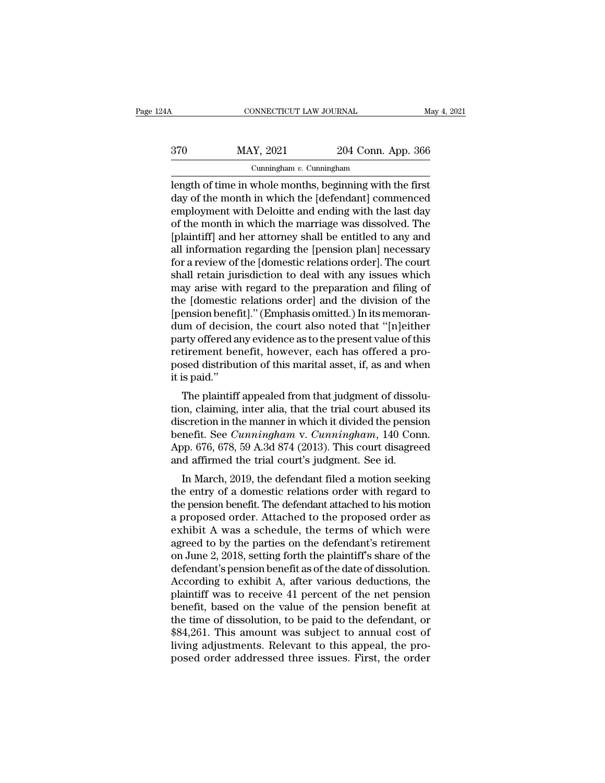# CONNECTICUT LAW JOURNAL May 4, 2021<br>370 MAY, 2021 204 Conn. App. 366<br>Cunningham v. Cunningham Cunningham *v.* Cunningham

CONNECTICUT LAW JOURNAL May 4, 202<br>
370 MAY, 2021 204 Conn. App. 366<br>
Cunningham v. Cunningham<br>
Length of time in whole months, beginning with the first<br>
day of the month in which the [defendant] commenced<br>
complexment wit  $\begin{array}{c} \text{MAX, } 2021 \\ \text{Cunningham } v. \text{ Cunningham} \\ \text{length of time in whole months, beginning with the first day of the month in which the [defendant] commented employment with Deloitte and ending with the last day of the month in which the married was dissolved.} \end{array}$  $\frac{\text{MAY, 2021}}{\text{Cunningham } v. \text{ Cunningham}}$ <br>
Length of time in whole months, beginning with the first<br>
day of the month in which the [defendant] commenced<br>
employment with Deloitte and ending with the last day<br>
of the month in which  $\frac{\text{MAY, 2021}}{\text{Cunningham } v. \text{ Cunningham}}$ <br>
Length of time in whole months, beginning with the first<br>
day of the month in which the [defendant] commenced<br>
employment with Deloitte and ending with the last day<br>
of the month in which Finally 1992 Columningham<br>
Cunningham v. Cunningham<br>
length of time in whole months, beginning with the first<br>
day of the month in which the [defendant] commenced<br>
employment with Deloitte and ending with the last day<br>
of Cunningham v. Cunningham<br>
length of time in whole months, beginning with the first<br>
day of the month in which the [defendant] commenced<br>
employment with Deloitte and ending with the last day<br>
of the month in which the mar length of time in whole months, beginning with the first<br>day of the month in which the [defendant] commenced<br>employment with Deloitte and ending with the last day<br>of the month in which the marriage was dissolved. The<br>[plai day of the month in which the [defendant] commenced<br>employment with Deloitte and ending with the last day<br>of the month in which the marriage was dissolved. The<br>[plaintiff] and her attorney shall be entitled to any and<br>all employment with Deloitte and ending with the last day<br>of the month in which the marriage was dissolved. The<br>[plaintiff] and her attorney shall be entitled to any and<br>all information regarding the [pension plan] necessary<br>f of the month in which the marriage was dissolved. The<br>[plaintiff] and her attorney shall be entitled to any and<br>all information regarding the [pension plan] necessary<br>for a review of the [domestic relations order]. The cou [plaintiff] and her attorney shall be entitled to any and<br>all information regarding the [pension plan] necessary<br>for a review of the [domestic relations order]. The court<br>shall retain jurisdiction to deal with any issues w all information regarding the [pension plan] necessary<br>for a review of the [domestic relations order]. The court<br>shall retain jurisdiction to deal with any issues which<br>may arise with regard to the preparation and filing o for a review of the [domestic relations order]. The court<br>shall retain jurisdiction to deal with any issues which<br>may arise with regard to the preparation and filing of<br>the [domestic relations order] and the division of th shall retain jurisdiction to deal with any issues which<br>may arise with regard to the preparation and filing of<br>the [domestic relations order] and the division of the<br>[pension benefit]." (Emphasis omitted.) In its memoran-<br> may arise with regard to the preparation and filing of<br>the [domestic relations order] and the division of the<br>[pension benefit]." (Emphasis omitted.) In its memoran-<br>dum of decision, the court also noted that "[n]either<br>pa the [domestic<br>[pension benef<br>dum of decisio<br>party offered a<br>retirement ben<br>posed distribut<br>it is paid."<br>The plaintiff Firston behempt. (Emphasis omitted.) in its intendent-<br>im of decision, the court also noted that "[n]either<br>rty offered any evidence as to the present value of this<br>tirement benefit, however, each has offered a pro-<br>seed d offered any evidence as to the present value of this<br>retirement benefit, however, each has offered a pro-<br>posed distribution of this marital asset, if, as and when<br>it is paid."<br>The plaintiff appealed from that judgment of

party offered any evidence as to the present value of this<br>retirement benefit, however, each has offered a pro-<br>posed distribution of this marital asset, if, as and when<br>it is paid."<br>The plaintiff appealed from that judgm Fetrient benefit, however, each has onered a proposed distribution of this marital asset, if, as and when<br>it is paid."<br>The plaintiff appealed from that judgment of dissolu-<br>tion, claiming, inter alia, that the trial court posed distribution of this matrix asset, if, as and when<br>it is paid."<br>The plaintiff appealed from that judgment of dissolu-<br>tion, claiming, inter alia, that the trial court abused its<br>discretion in the manner in which it d It is paid.<br>The plaintiff appealed from that judgment of dissol<br>tion, claiming, inter alia, that the trial court abused if<br>discretion in the manner in which it divided the pensic<br>benefit. See *Cunningham* v. *Cunningham*, The plannin appeared from that judgment of dissond-<br>
Scretion in the manner in which it divided the pension<br>
nefit. See *Cunningham* v. *Cunningham*, 140 Conn.<br>
pp. 676, 678, 59 A.3d 874 (2013). This court disagreed<br>
d aff tion, claiming, inter ana, that the that court abused its<br>discretion in the manner in which it divided the pension<br>benefit. See *Cunningham* v. *Cunningham*, 140 Conn.<br>App. 676, 678, 59 A.3d 874 (2013). This court disagree

discretion in the mail term which it divided the pension<br>benefit. See *Cunningham* v. *Cunningham*, 140 Conn.<br>App. 676, 678, 59 A.3d 874 (2013). This court disagreed<br>and affirmed the trial court's judgment. See id.<br>In Marc benefit. See Canningham v. Canningham, 140 Colui.<br>App. 676, 678, 59 A.3d 874 (2013). This court disagreed<br>and affirmed the trial court's judgment. See id.<br>In March, 2019, the defendant filed a motion seeking<br>the entry of a Expp. 070, 078, 39 A.3d 874 (2015). This court usagreed<br>and affirmed the trial court's judgment. See id.<br>In March, 2019, the defendant filed a motion seeking<br>the entry of a domestic relations order with regard to<br>the pens and antihied the trial court's judgment. See id.<br>
In March, 2019, the defendant filed a motion seeking<br>
the entry of a domestic relations order with regard to<br>
the pension benefit. The defendant attached to his motion<br>
a p In March, 2019, the defendant filed a motion seeking<br>the entry of a domestic relations order with regard to<br>the pension benefit. The defendant attached to his motion<br>a proposed order. Attached to the proposed order as<br>exhi the entry of a domestic relations order with regard to<br>the pension benefit. The defendant attached to his motion<br>a proposed order. Attached to the proposed order as<br>exhibit A was a schedule, the terms of which were<br>agreed the pension benefit. The defendant attached to his motion<br>a proposed order. Attached to the proposed order as<br>exhibit A was a schedule, the terms of which were<br>agreed to by the parties on the defendant's retirement<br>on June a proposed order. Attached to the proposed order as<br>exhibit A was a schedule, the terms of which were<br>agreed to by the parties on the defendant's retirement<br>on June 2, 2018, setting forth the plaintiff's share of the<br>defen exhibit A was a schedule, the terms of which were<br>agreed to by the parties on the defendant's retirement<br>on June 2, 2018, setting forth the plaintiff's share of the<br>defendant's pension benefit as of the date of dissolution agreed to by the parties on the defendant's retirement<br>on June 2, 2018, setting forth the plaintiff's share of the<br>defendant's pension benefit as of the date of dissolution.<br>According to exhibit A, after various deductions on June 2, 2018, setting forth the plaintiff's share of the<br>defendant's pension benefit as of the date of dissolution.<br>According to exhibit A, after various deductions, the<br>plaintiff was to receive 41 percent of the net pe defendant's pension benefit as of the date of dissolution.<br>According to exhibit A, after various deductions, the<br>plaintiff was to receive 41 percent of the net pension<br>benefit, based on the value of the pension benefit at<br> According to exhibit A, after various deductions, the plaintiff was to receive 41 percent of the net pension benefit, based on the value of the pension benefit at the time of dissolution, to be paid to the defendant, or \$8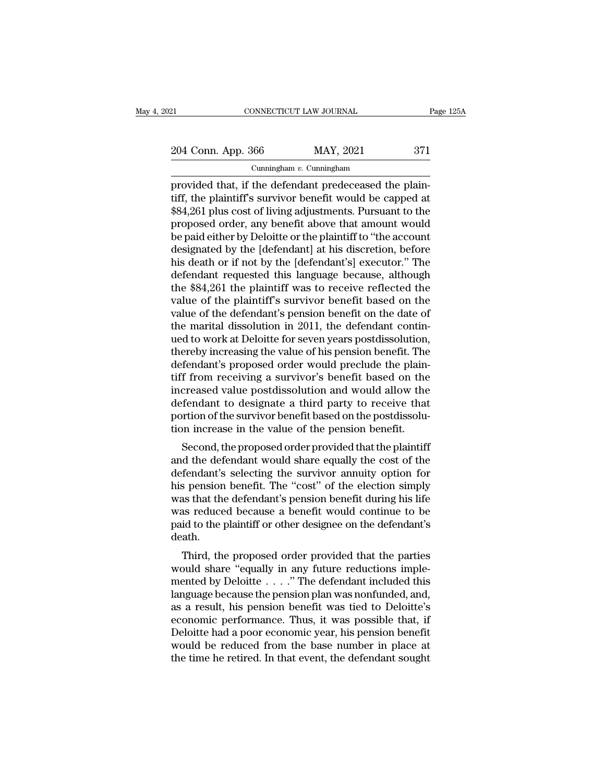21 CONNECTICUT LAW JOURNAL Page 125A<br>
204 Conn. App. 366 MAY, 2021 371<br>
Cunningham v. Cunningham

Cunningham *v.* Cunningham

EXECTE AN SOURNAL<br>
Provided that, if the defendant predeceased the plain-<br>
provided that, if the defendant predeceased the plain-<br>
tiff, the plaintiff's survivor benefit would be capped at<br>  $$84.261$  plus gost of living ad 204 Conn. App. 366 MAY, 2021 371<br>
Cunningham v. Cunningham<br>
provided that, if the defendant predeceased the plain-<br>
tiff, the plaintiff's survivor benefit would be capped at<br>
\$84,261 plus cost of living adjustments. Pursu 204 Conn. App. 366 MAY, 2021 371<br>
Cunningham v. Cunningham<br>
provided that, if the defendant predeceased the plain-<br>
tiff, the plaintiff's survivor benefit would be capped at<br>
\$84,261 plus cost of living adjustments. Pursu 204 Conn. App. 366 MAY, 2021 371<br>
Cunningham v. Cunningham<br>
provided that, if the defendant predeceased the plain-<br>
tiff, the plaintiff's survivor benefit would be capped at<br>
\$84,261 plus cost of living adjustments. Pursu Cunningham v. Cunningham<br>
provided that, if the defendant predeceased the plain-<br>
tiff, the plaintiff's survivor benefit would be capped at<br>
\$84,261 plus cost of living adjustments. Pursuant to the<br>
proposed order, any be Cunningham v. Cunningham<br>
provided that, if the defendant predeceased the plain-<br>
tiff, the plaintiff's survivor benefit would be capped at<br>  $$84,261$  plus cost of living adjustments. Pursuant to the<br>
proposed order, any provided that, if the defendant predeceased the plain-<br>tiff, the plaintiff's survivor benefit would be capped at<br>\$84,261 plus cost of living adjustments. Pursuant to the<br>proposed order, any benefit above that amount would<br> tiff, the plaintiff's survivor benefit would be capped at \$84,261 plus cost of living adjustments. Pursuant to the proposed order, any benefit above that amount would<br>be paid either by Deloitte or the plaintiff to "the acc \$84,261 plus cost of living adjustments. Pursuant to the proposed order, any benefit above that amount would<br>be paid either by Deloitte or the plaintiff to "the account<br>designated by the [defendant] at his discretion, befo proposed order, any benefit above that amount would<br>be paid either by Deloitte or the plaintiff to "the account<br>designated by the [defendant] at his discretion, before<br>his death or if not by the [defendant's] executor." Th be paid either by Deloitte or the plaintiff to "the account<br>designated by the [defendant] at his discretion, before<br>his death or if not by the [defendant's] executor." The<br>defendant requested this language because, althoug designated by the [defendant] at his discretion, before his death or if not by the [defendant's] executor." The defendant requested this language because, although the \$84,261 the plaintiff was to receive reflected the val his death or if not by the [defendant's] executor." The<br>defendant requested this language because, although<br>the \$84,261 the plaintiff was to receive reflected the<br>value of the plaintiff's survivor benefit based on the<br>valu defendant requested this language because, although<br>the \$84,261 the plaintiff was to receive reflected the<br>value of the plaintiff's survivor benefit based on the<br>value of the defendant's pension benefit on the date of<br>the the \$84,261 the plaintiff was to receive reflected the value of the plaintiff's survivor benefit based on the value of the defendant's pension benefit on the date of the marital dissolution in 2011, the defendant continued value of the plaintiff's survivor benefit based on the value of the defendant's pension benefit on the date of<br>the marital dissolution in 2011, the defendant contin-<br>ued to work at Deloitte for seven years postdissolution, value of the defendant's pension benefit on the date of<br>the marital dissolution in 2011, the defendant contin-<br>ued to work at Deloitte for seven years postdissolution,<br>thereby increasing the value of his pension benefit. T the marital dissolution in 2011, the defendant continued to work at Deloitte for seven years postdissolution,<br>thereby increasing the value of his pension benefit. The<br>defendant's proposed order would preclude the plain-<br>ti ued to work at Deloitte for seven years postdissolution,<br>thereby increasing the value of his pension benefit. The<br>defendant's proposed order would preclude the plain-<br>tiff from receiving a survivor's benefit based on the<br>i thereby increasing the value of his pension benefit. The<br>defendant's proposed order would preclude the plain-<br>tiff from receiving a survivor's benefit based on the<br>increased value postdissolution and would allow the<br>defend From receiving a survivor's benefit based on the<br>creased value postdissolution and would allow the<br>fendant to designate a third party to receive that<br>prima of the survivor benefit based on the postdissolu-<br>on increase in t and the defendant to designate a third party to receive that<br>defendant to designate a third party to receive that<br>portion of the survivor benefit based on the postdissolu-<br>tion increase in the value of the pension benefit.

Increased value postussolution and would allow the<br>defendant to designate a third party to receive that<br>portion of the survivor benefit based on the postdissolu-<br>tion increase in the value of the pension benefit.<br>Second, t defendant to designate a timulary to receive that<br>portion of the survivor benefit based on the postdissolu-<br>tion increase in the value of the pension benefit.<br>Second, the proposed order provided that the plaintiff<br>and the portion of the survivor benefit based on the posturisond-<br>tion increase in the value of the pension benefit.<br>Second, the proposed order provided that the plaintiff<br>and the defendant would share equally the cost of the<br>defe Second, the proposed order provided that the plaintiff<br>and the defendant would share equally the cost of the<br>defendant's selecting the survivor annuity option for<br>his pension benefit. The "cost" of the election simply<br>was Second, the proposed order provided that the plaintiff<br>and the defendant would share equally the cost of the<br>defendant's selecting the survivor annuity option for<br>his pension benefit. The "cost" of the election simply<br>was death. The presenting the survivor annuity option for<br>s pension benefit. The "cost" of the election simply<br>as that the defendant's pension benefit during his life<br>as reduced because a benefit would continue to be<br>id to the plaint Ins pension benefit. The "cost" of the efection simply<br>was that the defendant's pension benefit during his life<br>was reduced because a benefit would continue to be<br>paid to the plaintiff or other designee on the defendant's<br>

was that the defendant s pension benefit during his life<br>was reduced because a benefit would continue to be<br>paid to the plaintiff or other designee on the defendant's<br>death.<br>Third, the proposed order provided that the part was reduced because a benefit would continue to be<br>paid to the plaintiff or other designee on the defendant's<br>death.<br>Third, the proposed order provided that the parties<br>would share "equally in any future reductions implepaid to the plantiful of other designee on the detendant s<br>death.<br>Third, the proposed order provided that the parties<br>would share "equally in any future reductions imple-<br>mented by Deloitte . . . ." The defendant included Third, the proposed order provided that the parties<br>would share "equally in any future reductions imple-<br>mented by Deloitte  $\ldots$ ." The defendant included this<br>language because the pension plan was nonfunded, and,<br>as a re Third, the proposed order provided that the parties<br>would share "equally in any future reductions imple-<br>mented by Deloitte  $\ldots$ ." The defendant included this<br>language because the pension plan was nonfunded, and,<br>as a re would share "equally in any future reductions imple-<br>mented by Deloitte  $\ldots$ ." The defendant included this<br>language because the pension plan was nonfunded, and,<br>as a result, his pension benefit was tied to Deloitte's<br>eco mented by Deloitte  $\ldots$  ." The defendant included this language because the pension plan was nonfunded, and, as a result, his pension benefit was tied to Deloitte's economic performance. Thus, it was possible that, if De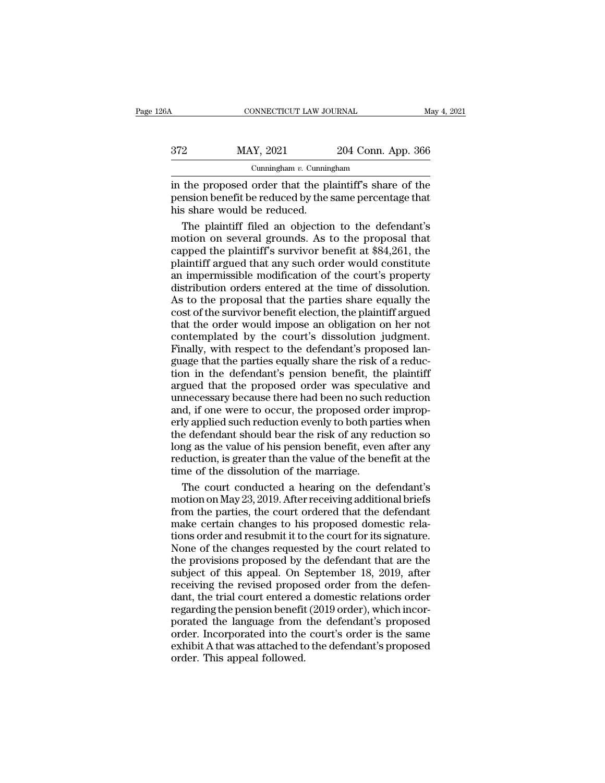| 26A | CONNECTICUT LAW JOURNAL                                                                                                                         |                    | May 4, 2021 |
|-----|-------------------------------------------------------------------------------------------------------------------------------------------------|--------------------|-------------|
| 372 | MAY, 2021                                                                                                                                       | 204 Conn. App. 366 |             |
|     | Cunningham $v$ . Cunningham                                                                                                                     |                    |             |
|     | in the proposed order that the plaintiff's share of the<br>pension benefit be reduced by the same percentage that<br>his share would he reduced |                    |             |

 $\frac{372}{204 \text{ Conn. App. 366}}$ <br>
Cunningham *v*. Cunningham<br>
in the proposed order that the plaintiff's share of the<br>
pension benefit be reduced by the same percentage that<br>
his share would be reduced.  $\begin{array}{c|c} \n 372 & \text{MAX, } 2021 \\ \n \text{Cunningham } v. \text{Cunnin} \\ \n \text{in the proposed order that the pl} \\ \n \text{pension benefit be reduced by the} \\ \n \text{his share would be reduced.} \\ \n \text{The plaintiff filed an objective} \n} \n\end{array}$ 2 MAY, 2021 204 Conn. App. 366<br>
cunningham *v*. Cunningham<br>
the proposed order that the plaintiff's share of the<br>
msion benefit be reduced by the same percentage that<br>
s share would be reduced.<br>
The plaintiff filed an obj

Cunningham  $v$ . Cunningham<br>
in the proposed order that the plaintiff's share of the<br>
pension benefit be reduced by the same percentage that<br>
his share would be reduced.<br>
The plaintiff filed an objection to the defendant's Cumingham *v*. Cumingham<br>
in the proposed order that the plaintiff's share of the<br>
pension benefit be reduced by the same percentage that<br>
his share would be reduced.<br>
The plaintiff filed an objection to the defendant's<br>
m in the proposed order that the plaintiff's share of the<br>pension benefit be reduced by the same percentage that<br>his share would be reduced.<br>The plaintiff filed an objection to the defendant's<br>motion on several grounds. As t pension benefit be reduced by the same percentage that<br>his share would be reduced.<br>The plaintiff filed an objection to the defendant's<br>motion on several grounds. As to the proposal that<br>capped the plaintiff's survivor bene his share would be reduced.<br>The plaintiff filed an objection to the defendant's<br>motion on several grounds. As to the proposal that<br>capped the plaintiff's survivor benefit at \$84,261, the<br>plaintiff argued that any such orde The plaintiff filed an objection to the defendant's<br>motion on several grounds. As to the proposal that<br>capped the plaintiff's survivor benefit at \$84,261, the<br>plaintiff argued that any such order would constitute<br>an imperm motion on several grounds. As to the proposal that<br>capped the plaintiff's survivor benefit at \$84,261, the<br>plaintiff argued that any such order would constitute<br>an impermissible modification of the court's property<br>distrib capped the plaintiff's survivor benefit at \$84,261, the<br>plaintiff argued that any such order would constitute<br>an impermissible modification of the court's property<br>distribution orders entered at the time of dissolution.<br>As Experiment and products and products an impermissible modification of the court's property distribution orders entered at the time of dissolution.<br>As to the proposal that the parties share equally the cost of the survivor Francian argued and any such start would be court's property<br>an impermissible modification of the court's property<br>distribution orders entered at the time of dissolution.<br>As to the proposal that the parties share equally t an impermissive insulted at the time of dissolution.<br>As to the proposal that the parties share equally the<br>cost of the survivor benefit election, the plaintiff argued<br>that the order would impose an obligation on her not<br>co As to the proposal that the parties share equally the<br>cost of the survivor benefit election, the plaintiff argued<br>that the order would impose an obligation on her not<br>contemplated by the court's dissolution judgment.<br>Final Fraction of the survivor benefit election, the plaintiff argued<br>that the order would impose an obligation on her not<br>contemplated by the court's dissolution judgment.<br>Finally, with respect to the defendant's proposed lan-<br> because the same of such a positive scheme in planting ages that the order would impose an obligation on her not contemplated by the court's dissolution judgment.<br>Finally, with respect to the defendant's proposed language and the burd mepbourt's dissolution judgment.<br>
Finally, with respect to the defendant's proposed language that the parties equally share the risk of a reduc-<br>
tion in the defendant's pension benefit, the plaintiff<br>
argued Einally, with respect to the defendant's proposed language that the parties equally share the risk of a reduction in the defendant's pension benefit, the plaintiff argued that the proposed order was speculative and unneces the defendant should be a finally share the risk of a reduction in the defendant's pension benefit, the plaintiff argued that the proposed order was speculative and unnecessary because there had been no such reduction and, dion in the defendant's pension benefit, the plaintiff<br>argued that the proposed order was speculative and<br>unnecessary because there had been no such reduction<br>and, if one were to occur, the proposed order improp-<br>erly appl reduction, in the streamants' perform scribing, and prairing argued that the proposed order was speculative and unnecessary because there had been no such reduction and, if one were to occur, the proposed order improperly anguard and the proposed state that special<br>unnecessary because there had been no such<br>and, if one were to occur, the proposed orde<br>erly applied such reduction evenly to both par<br>the defendant should bear the risk of any r d, if one were to occur, the proposed order improp-<br>ly applied such reduction evenly to both parties when<br>e defendant should bear the risk of any reduction so<br>ng as the value of his pension benefit, even after any<br>duction, erly applied such reduction evenly to both parties when<br>the defendant should bear the risk of any reduction so<br>long as the value of his pension benefit, even after any<br>reduction, is greater than the value of the benefit at

the defendant should bear the risk of any reduction so<br>long as the value of his pension benefit, even after any<br>reduction, is greater than the value of the benefit at the<br>time of the dissolution of the marriage.<br>The court long as the value of his pension benefit, even after any<br>reduction, is greater than the value of the benefit at the<br>time of the dissolution of the marriage.<br>The court conducted a hearing on the defendant's<br>motion on May 23 reduction, is greater than the value of the benefit at the<br>time of the dissolution of the marriage.<br>The court conducted a hearing on the defendant's<br>motion on May 23, 2019. After receiving additional briefs<br>from the partie time of the dissolution of the marriage.<br>The court conducted a hearing on the defendant's<br>motion on May 23, 2019. After receiving additional briefs<br>from the parties, the court ordered that the defendant<br>make certain change The court conducted a hearing on the defendant's<br>motion on May 23, 2019. After receiving additional briefs<br>from the parties, the court ordered that the defendant<br>make certain changes to his proposed domestic rela-<br>tions or subject of May 23, 2019. After receiving additional briefs<br>from the parties, the court ordered that the defendant<br>make certain changes to his proposed domestic rela-<br>tions order and resubmit it to the court for its signatu receiving as, and the court ordered that the defendant<br>from the parties, the court ordered that the defendant<br>make certain changes to his proposed domestic rela-<br>tions order and resubmit it to the court for its signature.<br> make certain changes to his proposed domestic relations order and resubmit it to the court for its signature.<br>None of the changes requested by the court related to the provisions proposed by the defendant that are the subj regarding the court of the court for its signature.<br>None of the changes requested by the court related to<br>the provisions proposed by the defendant that are the<br>subject of this appeal. On September 18, 2019, after<br>receiving porated the changes requested by the court related to<br>the provisions proposed by the defendant that are the<br>subject of this appeal. On September 18, 2019, after<br>receiving the revised proposed order from the defen-<br>dant, th The provisions proposed by the defendant that are the<br>subject of this appeal. On September 18, 2019, after<br>receiving the revised proposed order from the defen-<br>dant, the trial court entered a domestic relations order<br>regar exhibited to this appeal. On September 18, 2019, after<br>receiving the revised proposed order from the defen-<br>dant, the trial court entered a domestic relations order<br>regarding the pension benefit (2019 order), which incor-<br> From The Terror Conservative Technology<br>receiving the revised proposedant, the trial court entered<br>regarding the pension benefit<br>porated the language from<br>order. Incorporated into the<br>exhibit A that was attached to<br>order.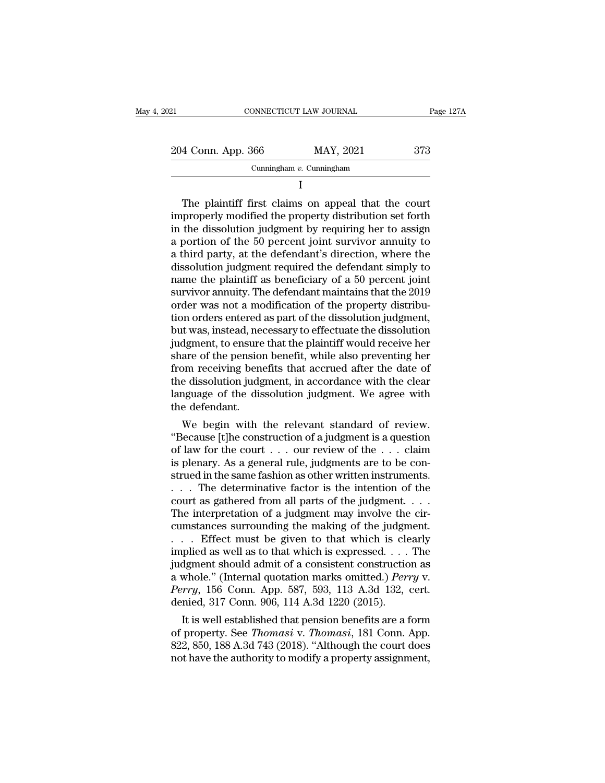| 021                | CONNECTICUT LAW JOURNAL     | Page 127A |
|--------------------|-----------------------------|-----------|
| 204 Conn. App. 366 | MAY, 2021                   | 373       |
|                    | Cunningham $v$ . Cunningham |           |
|                    |                             |           |

204 Conn. App. 366 MAY, 2021 373<br>
Cunningham *v*. Cunningham<br>
I<br>
The plaintiff first claims on appeal that the court<br>
improperly modified the property distribution set forth<br>
in the dissolution judgment by requiring her t 204 Conn. App. 366 MAY, 2021 373<br>
Cunningham v. Cunningham<br>
I<br>
The plaintiff first claims on appeal that the court<br>
improperly modified the property distribution set forth<br>
in the dissolution judgment by requiring her to Cunningham v. Cunningham<br>
I<br>
The plaintiff first claims on appeal that the court<br>
improperly modified the property distribution set forth<br>
in the dissolution judgment by requiring her to assign<br>
a portion of the 50 percen The plaintiff first claims on appeal that the court<br>improperly modified the property distribution set forth<br>in the dissolution judgment by requiring her to assign<br>a portion of the 50 percent joint survivor annuity to<br>a thi The plaintiff first claims on appeal that the court<br>improperly modified the property distribution set forth<br>in the dissolution judgment by requiring her to assign<br>a portion of the 50 percent joint survivor annuity to<br>a thi The plaintiff first claims on appeal that the court<br>improperly modified the property distribution set forth<br>in the dissolution judgment by requiring her to assign<br>a portion of the 50 percent joint survivor annuity to<br>a thi improperly modified the property distribution set forth<br>in the dissolution judgment by requiring her to assign<br>a portion of the 50 percent joint survivor annuity to<br>a third party, at the defendant's direction, where the<br>di in the dissolution judgment by requiring her to assign<br>a portion of the 50 percent joint survivor annuity to<br>a third party, at the defendant's direction, where the<br>dissolution judgment required the defendant simply to<br>nam a portion of the 50 percent joint survivor annuity to<br>a third party, at the defendant's direction, where the<br>dissolution judgment required the defendant simply to<br>name the plaintiff as beneficiary of a 50 percent joint<br>sur a third party, at the defendant's direction, where the<br>dissolution judgment required the defendant simply to<br>name the plaintiff as beneficiary of a 50 percent joint<br>survivor annuity. The defendant maintains that the 2019<br>o dissolution judgment required the defendant simply to<br>name the plaintiff as beneficiary of a 50 percent joint<br>survivor annuity. The defendant maintains that the 2019<br>order was not a modification of the property distribu-<br>t name the plaintiff as beneficiary of a 50 percent joint<br>survivor annuity. The defendant maintains that the 2019<br>order was not a modification of the property distribu-<br>tion orders entered as part of the dissolution judgment survivor annuity. The defendant maintains that the 2019<br>order was not a modification of the property distribu-<br>tion orders entered as part of the dissolution judgment,<br>but was, instead, necessary to effectuate the dissolut order was not a modification of the property distribution orders entered as part of the dissolution judgment,<br>but was, instead, necessary to effectuate the dissolution<br>judgment, to ensure that the plaintiff would receive h tion orders entered as part of the dissolution judgment,<br>but was, instead, necessary to effectuate the dissolution<br>judgment, to ensure that the plaintiff would receive her<br>share of the pension benefit, while also preventin but was, instead, neo<br>judgment, to ensure<br>share of the pension<br>from receiving bene<br>the dissolution judg<br>language of the dis<br>the defendant.<br>We begin with dependix to ensure that the plaintiff would receive her<br>are of the pension benefit, while also preventing her<br>om receiving benefits that accrued after the date of<br>e dissolution judgment, in accordance with the clear<br>nguage snare or the pension benefit, while also preventing her<br>from receiving benefits that accrued after the date of<br>the dissolution judgment, in accordance with the clear<br>language of the dissolution judgment. We agree with<br>the

rrom receiving benents that accrued after the date of<br>the dissolution judgment, in accordance with the clear<br>language of the dissolution judgment. We agree with<br>the defendant.<br>We begin with the relevant standard of review. In a guidal construction in accordance with the clear<br>language of the dissolution judgment. We agree with<br>the defendant.<br>We begin with the relevant standard of review.<br>"Because [t]he construction of a judgment is a questio ranguage or the dissolution judgment. We agree with<br>the defendant.<br>"Because [t]he construction of a judgment is a question<br>of law for the court . . . our review of the . . . claim<br>is plenary. As a general rule, judgments a the detendant.<br>
We begin with the relevant standard of review.<br>
"Because [t]he construction of a judgment is a question<br>
of law for the court . . . our review of the . . . claim<br>
is plenary. As a general rule, judgments a We begin with the relevant standard of review.<br>
"Because [t]he construction of a judgment is a question<br>
of law for the court . . . our review of the . . . claim<br>
is plenary. As a general rule, judgments are to be con-<br>
s "Because [t]he construction of a judgment is a question<br>of law for the court  $\dots$  our review of the  $\dots$  claim<br>is plenary. As a general rule, judgments are to be con-<br>strued in the same fashion as other written instrument % of law for the court  $\ldots$  our review of the  $\ldots$  claim<br>is plenary. As a general rule, judgments are to be con-<br>strued in the same fashion as other written instruments.<br> $\ldots$  The determinative factor is the intention o is plenary. As a general rule, judgments are to be construed in the same fashion as other written instruments.<br>
. . . . The determinative factor is the intention of the court as gathered from all parts of the judgment. . strued in the same fashion as other written instruments.<br>
. . . . The determinative factor is the intention of the<br>
court as gathered from all parts of the judgment. . . .<br>
The interpretation of a judgment may involve the Fig. 1. The determinative factor is the intention of the court as gathered from all parts of the judgment. . . . The interpretation of a judgment may involve the circumstances surrounding the making of the judgment.<br>. . . court as gathered from all parts of the judgment. . . . The interpretation of a judgment may involve the circumstances surrounding the making of the judgment.<br>. . . . Effect must be given to that which is clearly implied The interpretation of a judgment may involve the circumstances surrounding the making of the judgment.<br>
... Effect must be given to that which is clearly<br>
implied as well as to that which is expressed.... The<br>
judgment sho cumstances surrounding the making of the judgm . . . . Effect must be given to that which is clear inplied as well as to that which is expressed. . . . . judgment should admit of a consistent construction a whole." (Inter First must be given to that which is cearry<br>plied as well as to that which is expressed. . . . The<br>dgment should admit of a consistent construction as<br>whole." (Internal quotation marks omitted.) *Perry* v.<br>*rry*, 156 Conn mplied as well as to that which is expressed. . . . . The<br>judgment should admit of a consistent construction as<br>a whole." (Internal quotation marks omitted.) *Perry* v.<br>*Perry*, 156 Conn. App. 587, 593, 113 A.3d 132, cert.

quagment should admit of a consistent construction as<br>a whole." (Internal quotation marks omitted.) *Perry* v.<br>*Perry*, 156 Conn. App. 587, 593, 113 A.3d 132, cert.<br>denied, 317 Conn. 906, 114 A.3d 1220 (2015).<br>It is well e a whole. (Internal quotation marks omitted.) *Perry* v.<br>Perry, 156 Conn. App. 587, 593, 113 A.3d 132, cert.<br>denied, 317 Conn. 906, 114 A.3d 1220 (2015).<br>It is well established that pension benefits are a form<br>of property.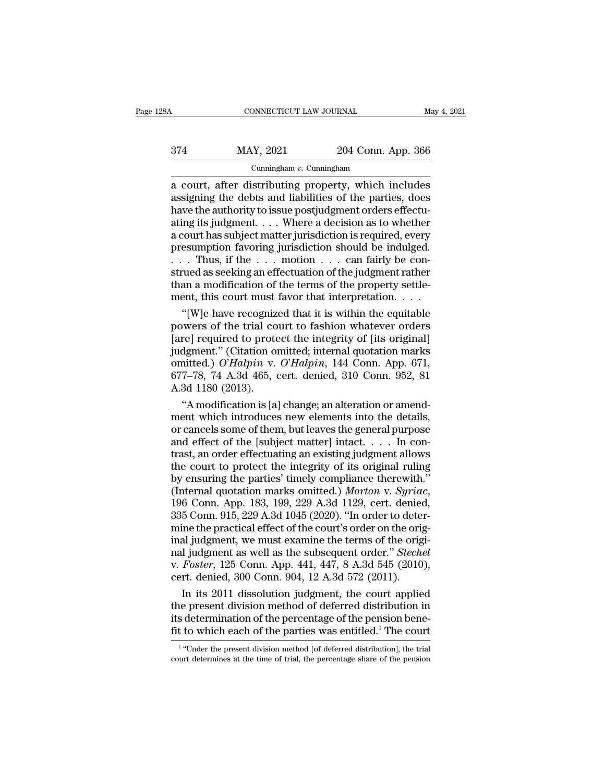|     | CONNECTICUT LAW JOURNAL     |                    | May 4, 2021 |
|-----|-----------------------------|--------------------|-------------|
|     |                             |                    |             |
| 374 | MAY, 2021                   | 204 Conn. App. 366 |             |
|     | Cunningham $v$ . Cunningham |                    |             |

# Cunningham *v.* Cunningham

CONNECTICUT LAW JOURNAL May 4, 2021<br>
374 MAY, 2021 204 Conn. App. 366<br>
Cunningham v. Cunningham<br>
a court, after distributing property, which includes<br>
assigning the debts and liabilities of the parties, does  $\frac{\text{MAX, 2021}}{\text{Cunningham } v \cdot \text{Cunningham}}$ <br>
a court, after distributing property, which includes<br>
assigning the debts and liabilities of the parties, does<br>
have the authority to issue postjudgment orders effectu-<br>
ating its judgmen 374 MAY, 2021 204 Conn. App. 366<br>
Cunningham v. Cunningham<br>
a court, after distributing property, which includes<br>
assigning the debts and liabilities of the parties, does<br>
have the authority to issue postjudgment orders e 374 MAY, 2021 204 Conn. App. 366<br>
Cunningham v. Cunningham<br>
a court, after distributing property, which includes<br>
assigning the debts and liabilities of the parties, does<br>
have the authority to issue postjudgment orders e Cunningham v. Cunningham<br>
Cunningham v. Cunningham<br>
a court, after distributing property, which includes<br>
assigning the debts and liabilities of the parties, does<br>
have the authority to issue postjudgment orders effectu-<br> Cunningham v. Cunningham<br>
a court, after distributing property, which includes<br>
assigning the debts and liabilities of the parties, does<br>
have the authority to issue postjudgment orders effectu-<br>
ating its judgment.... Wh a court, after distributing property, which includes<br>assigning the debts and liabilities of the parties, does<br>have the authority to issue postjudgment orders effectu-<br>ating its judgment. . . . Where a decision as to whethe assigning the debts and liabilities of the parties, does<br>have the authority to issue postjudgment orders effectu-<br>ating its judgment. . . . Where a decision as to whether<br>a court has subject matter jurisdiction is require have the authority to issue postjudgment orders effectuating its judgment. . . . Where a decision as to whether a court has subject matter jurisdiction is required, every presumption favoring jurisdiction should be indulg ating its judgment. . . . Where a decision as to whether<br>a court has subject matter jurisdiction is required, every<br>presumption favoring jurisdiction should be indulged.<br>. . . Thus, if the . . . motion . . . can fairly be court has subject matter jurisdiction is required, every<br>
esumption favoring jurisdiction should be indulged.<br>  $\therefore$  Thus, if the  $\dots$  motion  $\dots$  can fairly be con-<br>
rued as seeking an effectuation of the judgment rather presumption favoring jurisdiction should be indulged.<br>
. . . Thus, if the . . . motion . . . can fairly be construed as seeking an effectuation of the judgment rather<br>
than a modification of the terms of the property settl

... Thus, if the ... motion ... can fairly be construed as seeking an effectuation of the judgment rather than a modification of the terms of the property settlement, this court must favor that interpretation.... "[W]e ha strued as seeking an effectuation of the judgment rather<br>than a modification of the terms of the property settle-<br>ment, this court must favor that interpretation. . . .<br>"[W]e have recognized that it is within the equitabl omitted.) *<sup>O</sup>*'*Halpin* v. *<sup>O</sup>*'*Halpin*, 144 Conn. App. 671, ment, this court must favor that interpretation. . . . .<br>
"[W]e have recognized that it is within the equitable<br>
powers of the trial court to fashion whatever orders<br>
[are] required to protect the integrity of [its origin "[W]e have recogniz<br>powers of the trial co<br>[are] required to prote<br>judgment." (Citation or<br>omitted.)  $O'Halpin$  v.<br>677–78, 74 A.3d 465, c<br>A.3d 1180 (2013).<br>"A modification is [a] wers of the trial court to fashion whatever orders<br>
re] required to protect the integrity of [its original]<br>
dgment." (Citation omitted; internal quotation marks<br>
nitted.)  $O'Halpha'$  v.  $O'Halpha'$ ,  $144$  Conn. App. 671,<br>
7–78, 74 [are] required to protect the integrity of [its original]<br>judgment." (Citation omitted; internal quotation marks<br>omitted.) O'Halpin v. O'Halpin, 144 Conn. App. 671,<br>677–78, 74 A.3d 465, cert. denied, 310 Conn. 952, 81<br>A.3

judgment." (Citation omitted; internal quotation marks<br>omitted.) O'Halpin v. O'Halpin, 144 Conn. App. 671,<br>677–78, 74 A.3d 465, cert. denied, 310 Conn. 952, 81<br>A.3d 1180 (2013).<br>"A modification is [a] change; an alteratio omitted.) O'Halpin v. O'Halpin, 144 Conn. App. 671, 677–78, 74 A.3d 465, cert. denied, 310 Conn. 952, 81 A.3d 1180 (2013).<br>
"A modification is [a] change; an alteration or amendment which introduces new elements into the 677–78, 74 A.3d 465, cert. denied, 310 Conn. 952, 81<br>A.3d 1180 (2013).<br>"A modification is [a] change; an alteration or amend-<br>ment which introduces new elements into the details,<br>or cancels some of them, but leaves the ge A.3d 1180 (2013).<br>
"A modification is [a] change; an alteration or amend-<br>
ment which introduces new elements into the details,<br>
or cancels some of them, but leaves the general purpose<br>
and effect of the [subject matter] "A modification is [a] change; an alteration or amendment which introduces new elements into the details, or cancels some of them, but leaves the general purpose and effect of the [subject matter] intact. . . . In contras ment which introduces new elements into the details,<br>or cancels some of them, but leaves the general purpose<br>and effect of the [subject matter] intact. . . . In con-<br>trast, an order effectuating an existing judgment allows and effect of the [subject matter] intact. . . . . In contrast, an order effectuating an existing judgment allows<br>the court to protect the integrity of its original ruling<br>by ensuring the parties' timely compliance therew trast, an order effectuating an existing judgment allows<br>the court to protect the integrity of its original ruling<br>by ensuring the parties' timely compliance therewith."<br>(Internal quotation marks omitted.) *Morton v. Syria* the court to protect the integrity of its original ruling<br>by ensuring the parties' timely compliance therewith."<br>(Internal quotation marks omitted.) *Morton v. Syriac*,<br>196 Conn. App. 183, 199, 229 A.3d 1129, cert. denied by ensuring the parties' timely compliance therewith."<br>(Internal quotation marks omitted.) *Morton v. Syriac*,<br>196 Conn. App. 183, 199, 229 A.3d 1129, cert. denied,<br>335 Conn. 915, 229 A.3d 1045 (2020). "In order to deter-<br> (Internal quotation marks omitted.) *Morton v. Syriac*, 196 Conn. App. 183, 199, 229 A.3d 1129, cert. denied, 335 Conn. 915, 229 A.3d 1045 (2020). "In order to determine the practical effect of the court's order on the ori 196 Conn. App. 183, 199, 229 A.3d 1129, cert. denied, 335 Conn. 915, 229 A.3d 1045 (2020). "In order to determine the practical effect of the court's order on the original judgment, we must examine the terms of the origin 5 Conn. 915, 229 A.3d 1045 (2020). "In order to deter-<br>ine the practical effect of the court's order on the origi-<br>al judgment, we must examine the terms of the origi-<br>I judgment as well as the subsequent order." *Stechel* mine the practical effect of the court's order on the original judgment, we must examine the terms of the original judgment as well as the subsequent order." *Stechel* v. *Foster*, 125 Conn. App. 441, 447, 8 A.3d 545 (201

inal judgment, we must examine the terms of the original judgment as well as the subsequent order." *Stechel* v. *Foster*, 125 Conn. App. 441, 447, 8 A.3d 545 (2010), cert. denied, 300 Conn. 904, 12 A.3d 572 (2011). In it realistical as well as the subsequent order." *Stechel* v. *Foster*, 125 Conn. App. 441, 447, 8 A.3d 545 (2010), cert. denied, 300 Conn. 904, 12 A.3d 572 (2011). In its 2011 dissolution judgment, the court applied the pre In its 2011 dissolution judgment, the court applied<br>
e present division method of deferred distribution in<br>
determination of the percentage of the pension bene-<br>
to which each of the parties was entitled.<sup>1</sup> The court<br>
"U the present division method of deferred distribution in<br>its determination of the percentage of the pension bene-<br>fit to which each of the parties was entitled.<sup>1</sup> The court<br><sup>1</sup> "Under the present division method [of defer

<sup>&</sup>lt;sup>1</sup> "Under the present division method [of deferred distribution], the trial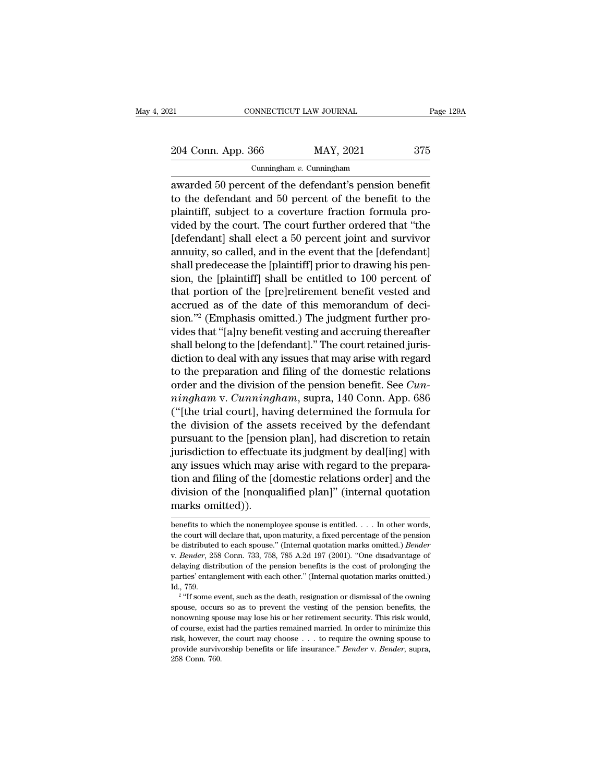21 CONNECTICUT LAW JOURNAL Page 129A<br>
204 Conn. App. 366 MAY, 2021 375<br>
Cunningham v. Cunningham

Cunningham *v.* Cunningham

ERECTIVE CONNECTICUT LAW JOURNAL Page 1294<br>
204 Conn. App. 366 MAY, 2021 375<br>
Cunningham v. Cunningham<br>
awarded 50 percent of the defendant's pension benefit<br>
to the defendant and 50 percent of the benefit to the 204 Conn. App. 366 MAY, 2021 375<br>
Cunningham v. Cunningham<br>
awarded 50 percent of the defendant's pension benefit<br>
to the defendant and 50 percent of the benefit to the<br>
plaintiff, subject to a coverture fraction formula 204 Conn. App. 366 MAY, 2021 375<br>
Cunningham v. Cunningham<br>
awarded 50 percent of the defendant's pension benefit<br>
to the defendant and 50 percent of the benefit to the<br>
plaintiff, subject to a coverture fraction formula 204 Conn. App. 366 MAY, 2021 375<br>
Cunningham v. Cunningham<br>
awarded 50 percent of the defendant's pension benefit<br>
to the defendant and 50 percent of the benefit to the<br>
plaintiff, subject to a coverture fraction formula Cunningham v. Cunningham<br>
awarded 50 percent of the defendant's pension benefit<br>
to the defendant and 50 percent of the benefit to the<br>
plaintiff, subject to a coverture fraction formula pro-<br>
vided by the court. The cour and a semanage of the defendant's pension benefit<br>to the defendant and 50 percent of the benefit to the<br>plaintiff, subject to a coverture fraction formula pro-<br>vided by the court. The court further ordered that "the<br>[defen awarded 50 percent of the defendant's pension benefit<br>to the defendant and 50 percent of the benefit to the<br>plaintiff, subject to a coverture fraction formula pro-<br>vided by the court. The court further ordered that "the<br>[d to the defendant and 50 percent of the benefit to the plaintiff, subject to a coverture fraction formula provided by the court. The court further ordered that "the [defendant] shall elect a 50 percent joint and survivor an plaintiff, subject to a coverture fraction formula pro-<br>vided by the court. The court further ordered that "the<br>[defendant] shall elect a 50 percent joint and survivor<br>annuity, so called, and in the event that the [defenda vided by the court. The court further ordered that "the<br>[defendant] shall elect a 50 percent joint and survivor<br>annuity, so called, and in the event that the [defendant]<br>shall predecease the [plaintiff] prior to drawing hi [defendant] shall elect a 50 percent joint and survivor<br>annuity, so called, and in the event that the [defendant]<br>shall predecease the [plaintiff] prior to drawing his pen-<br>sion, the [plaintiff] shall be entitled to 100 pe annuity, so called, and in the event that the [defendant]<br>shall predecease the [plaintiff] prior to drawing his pen-<br>sion, the [plaintiff] shall be entitled to 100 percent of<br>that portion of the [pre]retirement benefit ves shall predecease the [plaintif] prior to drawing his pension, the [plaintiff] shall be entitled to 100 percent of that portion of the [pre]retirement benefit vested and accrued as of the date of this memorandum of decision sion, the [plaintiff] shall be entitled to 100 percent of<br>that portion of the [pre]retirement benefit vested and<br>accrued as of the date of this memorandum of deci-<br>sion."<sup>2</sup> (Emphasis omitted.) The judgment further pro-<br>vi that portion of the [pre]retirement benefit vested and<br>accrued as of the date of this memorandum of deci-<br>sion."<sup>2</sup> (Emphasis omitted.) The judgment further pro-<br>vides that "[a]ny benefit vesting and accruing thereafter<br>s accrued as of the date of this memorandum of decision."<sup>2</sup> (Emphasis omitted.) The judgment further provides that "[a]ny benefit vesting and accruing thereafter shall belong to the [defendant]." The court retained jurisdic sion."<sup>2</sup> (Emphasis omitted.) The judgment further provides that "[a]ny benefit vesting and accruing thereafter shall belong to the [defendant]." The court retained jurisdiction to deal with any issues that may arise with vides that "[a]ny benefit vesting and accruing thereafter<br>shall belong to the [defendant]." The court retained juris-<br>diction to deal with any issues that may arise with regard<br>to the preparation and filing of the domesti shall belong to the [defendant]." The court retained jurisdiction to deal with any issues that may arise with regard<br>to the preparation and filing of the domestic relations<br>order and the division of the pension benefit. S diction to deal with any issues that may arise with regard<br>to the preparation and filing of the domestic relations<br>order and the division of the pension benefit. See *Cun-<br>ningham* v. *Cunningham*, supra, 140 Conn. App. 6 to the preparation and filing of the domestic relations<br>order and the division of the pension benefit. See *Cun-*<br> $ningham$  v. *Cunningham*, supra, 140 Conn. App. 686<br>("[the trial court], having determined the formula for<br>the order and the division of the pension benefit. See *Cunningham* v. *Cunningham*, supra, 140 Conn. App. 686 ("[the trial court], having determined the formula for the division of the assets received by the defendant pursua mingham v. Cunningham, supra, 140 Conn. App. 686<br>("[the trial court], having determined the formula for<br>the division of the assets received by the defendant<br>pursuant to the [pension plan], had discretion to retain<br>jurisdic ("[the trial court], having determined the formula for<br>the division of the assets received by the defendant<br>pursuant to the [pension plan], had discretion to retain<br>jurisdiction to effectuate its judgment by deal[ing] with the division of the as<br>pursuant to the [pensi-<br>jurisdiction to effectua<br>any issues which may<br>tion and filing of the [c<br>division of the [nonqu<br>marks omitted]).<br>benefits to which the nonempl any issues which may arise with regard to the preparation and filing of the [domestic relations order] and the division of the [nonqualified plan]" (internal quotation marks omitted)).<br>
benefits to which the nonemployee s division of the [nonqualified plan]" (internal quotation

division of the [nonqualified plan]" (internal quotation marks omitted)).<br>
benefits to which the nonemployee spouse is entitled. . . . In other words,<br>
the court will declare that, upon maturity, a fixed percentage of the delaying distribution of the pennemployee spouse is entitled. . . . In other words, the court will declare that, upon maturity, a fixed percentage of the pension be distributed to each spouse." (Internal quotation marks om benefits to which the nonemployee spouse is entitled. . . . In other words,<br>the court will declare that, upon maturity, a fixed percentage of the pension<br>be distributed to each spouse." (Internal quotation marks omitted.) the court will<br>be distribute<br>v. *Bender*, 25<br>delaying dist<br>parties' entar<br>Id., 759.<br><sup>2</sup> "If some  $\epsilon$ distributed to each spouse." (Internal quotation marks omitted.) *Bender*<br> *Bender*, 258 Conn. 733, 758, 785 A.2d 197 (2001). "One disadvantage of<br>
aying distribution of the pension benefits is the cost of prolonging the<br> by Render, 258 Conn. 733, 758, 785 A.2d 197 (2001). "One disadvantage of delaying distribution of the pension benefits is the cost of prolonging the parties' entanglement with each other." (Internal quotation marks omitted

nonowing distribution of the pension benefits is the cost of prolonging the delaying distribution of the pension benefits is the cost of prolonging the parties' entanglement with each other." (Internal quotation marks omit parties' entanglement with each other." (Internal quotation marks omitted.)<br>Id., 759.<br>
<sup>2</sup> "If some event, such as the death, resignation or dismissal of the owning<br>spouse, occurs so as to prevent the vesting of the pensi Id., 759.<br>
Id., 759.<br>
<sup>2</sup> "If some event, such as the death, resignation or dismissal of the owning<br>
spouse, occurs so as to prevent the vesting of the pension benefits, the<br>
nonowning spouse may lose his or her retirement <sup>2</sup> "If some event, such as the death, resignation or dismissal of the owning spouse, occurs so as to prevent the vesting of the pension benefits, the nonowning spouse may lose his or her retirement security. This risk wou nouse, occurs<br>nonowning spo<br>nonowning spo<br>of course, exis<br>risk, however,<br>provide survive<br>258 Conn. 760.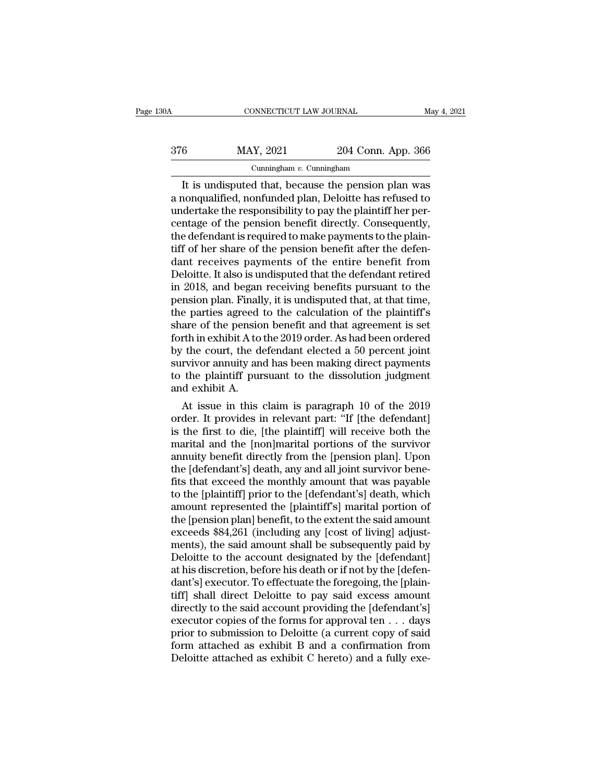| 30A | CONNECTICUT LAW JOURNAL     |                    | May 4, 2021 |
|-----|-----------------------------|--------------------|-------------|
| 376 | MAY, 2021                   | 204 Conn. App. 366 |             |
|     | Cunningham $v$ . Cunningham |                    |             |

CONNECTICUT LAW JOURNAL May 4, 2021<br> **It is undisputed that, because the pension plan was**<br> **It is undisputed that, because the pension plan was**<br> **It is undisputed that, because the pension plan was**<br> **It is undisputed th**  $\frac{\text{MAX, 2021}}{\text{Cunningham } v \cdot \text{Cunningham}}$ <br>It is undisputed that, because the pension plan was<br>a nonqualified, nonfunded plan, Deloitte has refused to<br>undertake the responsibility to pay the plaintiff her per-<br>centage of the nensio  $\frac{\text{MAX, } 2021}{\text{Cunningham } v. \text{ Cunningham}}$ <br>
It is undisputed that, because the pension plan was<br>
a nonqualified, nonfunded plan, Deloitte has refused to<br>
undertake the responsibility to pay the plaintiff her per-<br>
centage of the pe  $\frac{376}{204}$  MAY, 2021 204 Conn. App. 366<br>  $\frac{1}{204}$  Cunningham<br>
It is undisputed that, because the pension plan was<br>
a nonqualified, nonfunded plan, Deloitte has refused to<br>
undertake the responsibility to pay the pla Cunningham v. Cunningham<br>
It is undisputed that, because the pension plan was<br>
a nonqualified, nonfunded plan, Deloitte has refused to<br>
undertake the responsibility to pay the plaintiff her per-<br>
centage of the pension be Cunningham  $v$ . Cunningham<br>It is undisputed that, because the pension plan was<br>a nonqualified, nonfunded plan, Deloitte has refused to<br>undertake the responsibility to pay the plaintiff her per-<br>centage of the pension bene It is undisputed that, because the pension plan was<br>a nonqualified, nonfunded plan, Deloitte has refused to<br>undertake the responsibility to pay the plaintiff her per-<br>centage of the pension benefit directly. Consequently,<br> a nonqualified, nonfunded plan, Deloitte has refused to<br>undertake the responsibility to pay the plaintiff her per-<br>centage of the pension benefit directly. Consequently,<br>the defendant is required to make payments to the pl undertake the responsibility to pay the plaintiff her percentage of the pension benefit directly. Consequently,<br>the defendant is required to make payments to the plain-<br>tiff of her share of the pension benefit after the de centage of the pension benefit directly. Consequently,<br>the defendant is required to make payments to the plain-<br>tiff of her share of the pension benefit after the defen-<br>dant receives payments of the entire benefit from<br>De the defendant is required to make payments to the plaintiff of her share of the pension benefit after the defendant receives payments of the entire benefit from Deloitte. It also is undisputed that the defendant retired in tiff of her share of the pension benefit after the defendant receives payments of the entire benefit from Deloitte. It also is undisputed that the defendant retired in 2018, and began receiving benefits pursuant to the pen dant receives payments of the entire benefit from<br>Deloitte. It also is undisputed that the defendant retired<br>in 2018, and began receiving benefits pursuant to the<br>pension plan. Finally, it is undisputed that, at that time, Deloitte. It also is undisputed that the defendant retired<br>in 2018, and began receiving benefits pursuant to the<br>pension plan. Finally, it is undisputed that, at that time,<br>the parties agreed to the calculation of the plai in 2018, and began receiving benefits pursuant to the<br>pension plan. Finally, it is undisputed that, at that time,<br>the parties agreed to the calculation of the plaintiff's<br>share of the pension benefit and that agreement is pension plan. Finally, it is undisputed that, at that time,<br>the parties agreed to the calculation of the plaintiff's<br>share of the pension benefit and that agreement is set<br>forth in exhibit A to the 2019 order. As had been the parties agreed<br>share of the pensio<br>forth in exhibit A to<br>by the court, the do<br>survivor annuity an<br>to the plaintiff pur<br>and exhibit A.<br>At issue in this are of the pension benefit and that agreement is set<br>rth in exhibit A to the 2019 order. As had been ordered<br>the court, the defendant elected a 50 percent joint<br>rvivor annuity and has been making direct payments<br>the plaint Forth in exhibit A to the 2019 order. As had been ordered<br>by the court, the defendant elected a 50 percent joint<br>survivor annuity and has been making direct payments<br>to the plaintiff pursuant to the dissolution judgment<br>an

by the court, the detendant elected a 50 percent joint<br>survivor annuity and has been making direct payments<br>to the plaintiff pursuant to the dissolution judgment<br>and exhibit A.<br>At issue in this claim is paragraph 10 of the survivor annuity and has been making direct payments<br>to the plaintiff pursuant to the dissolution judgment<br>and exhibit A.<br>At issue in this claim is paragraph 10 of the 2019<br>order. It provides in relevant part: "If [the def to the plaintiff pursuant to the dissolution judgment<br>and exhibit A.<br>At issue in this claim is paragraph 10 of the 2019<br>order. It provides in relevant part: "If [the defendant]<br>is the first to die, [the plaintiff] will rec and exhibit A.<br>
At issue in this claim is paragraph 10 of the 2019<br>
order. It provides in relevant part: "If [the defendant]<br>
is the first to die, [the plaintiff] will receive both the<br>
marital and the [non]marital portion At issue in this claim is paragraph 10 of the 2019<br>order. It provides in relevant part: "If [the defendant]<br>is the first to die, [the plaintiff] will receive both the<br>marital and the [non]marital portions of the survivor<br>a order. It provides in relevant part: "If [the defendant]<br>is the first to die, [the plaintiff] will receive both the<br>marital and the [non]marital portions of the survivor<br>annuity benefit directly from the [pension plan]. Up is the first to die, [the plaintiff] will receive both the<br>marital and the [non]marital portions of the survivor<br>annuity benefit directly from the [pension plan]. Upon<br>the [defendant's] death, any and all joint survivor be marital and the [non]marital portions of the survivor<br>annuity benefit directly from the [pension plan]. Upon<br>the [defendant's] death, any and all joint survivor bene-<br>fits that exceed the monthly amount that was payable<br>to annuity benefit directly from the [pension plan]. Upon<br>the [defendant's] death, any and all joint survivor bene-<br>fits that exceed the monthly amount that was payable<br>to the [plaintiff] prior to the [defendant's] death, whi the [defendant's] death, any and all joint survivor bene-<br>fits that exceed the monthly amount that was payable<br>to the [plaintiff] prior to the [defendant's] death, which<br>amount represented the [plaintiff's] marital portion fits that exceed the monthly amount that was payable<br>to the [plaintiff] prior to the [defendant's] death, which<br>amount represented the [plaintiff's] marital portion of<br>the [pension plan] benefit, to the extent the said amo to the [plaintiff] prior to the [defendant's] death, which<br>amount represented the [plaintiff's] marital portion of<br>the [pension plan] benefit, to the extent the said amount<br>exceeds \$84,261 (including any [cost of living] a amount represented the [plaintiff's] marital portion of<br>the [pension plan] benefit, to the extent the said amount<br>exceeds \$84,261 (including any [cost of living] adjust-<br>ments), the said amount shall be subsequently paid b the [pension plan] benefit, to the extent the said amount<br>exceeds \$84,261 (including any [cost of living] adjust-<br>ments), the said amount shall be subsequently paid by<br>Deloitte to the account designated by the [defendant]<br> exceeds \$84,261 (including any [cost of living] adjust-<br>ments), the said amount shall be subsequently paid by<br>Deloitte to the account designated by the [defendant]<br>at his discretion, before his death or if not by the [defe ments), the said amount shall be subsequently paid by<br>Deloitte to the account designated by the [defendant]<br>at his discretion, before his death or if not by the [defen-<br>dant's] executor. To effectuate the foregoing, the [p Deloitte to the account designated by the [defendant]<br>at his discretion, before his death or if not by the [defen-<br>dant's] executor. To effectuate the foregoing, the [plain-<br>tiff] shall direct Deloitte to pay said excess a at his discretion, before his death or if not by the [defen-<br>dant's] executor. To effectuate the foregoing, the [plain-<br>tiff] shall direct Deloitte to pay said excess amount<br>directly to the said account providing the [defe dant's] executor. To effectuate the foregoing, the [plaintiff] shall direct Deloitte to pay said excess amount directly to the said account providing the [defendant's] executor copies of the forms for approval ten . . . da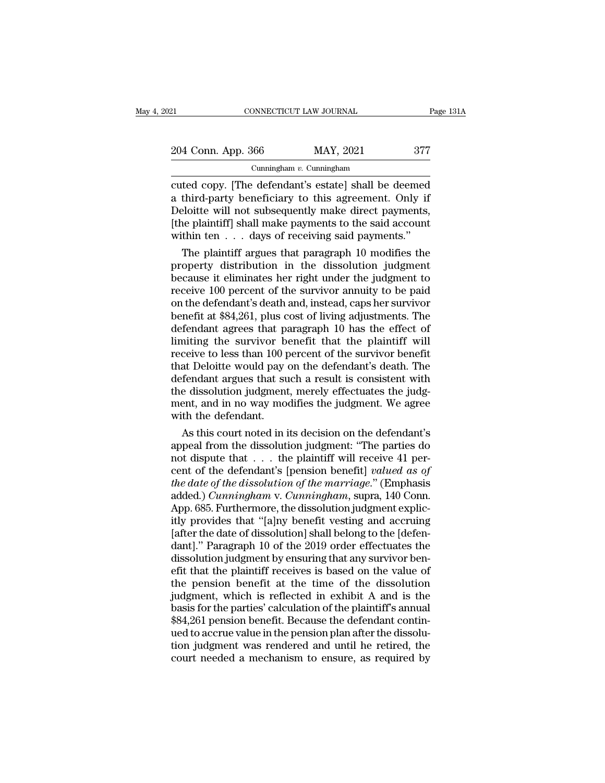| 21                 | CONNECTICUT LAW JOURNAL     | Page 131A |
|--------------------|-----------------------------|-----------|
| 204 Conn. App. 366 | MAY, 2021                   | 377       |
|                    | Cunningham $v$ . Cunningham |           |

CONNECTICUT LAW JOURNAL Page 131A<br>
204 Conn. App. 366 MAY, 2021 377<br>
Cunningham v. Cunningham<br>
cuted copy. [The defendant's estate] shall be deemed<br>
a third-party beneficiary to this agreement. Only if<br>
Deleitte will not s 204 Conn. App. 366 MAY, 2021 377<br>
Cunningham v. Cunningham<br>
Cuted copy. [The defendant's estate] shall be deemed<br>
a third-party beneficiary to this agreement. Only if<br>
Deloitte will not subsequently make direct payments,<br> 204 Conn. App. 366 MAY, 2021 377<br>
Cunningham v. Cunningham<br>
cuted copy. [The defendant's estate] shall be deemed<br>
a third-party beneficiary to this agreement. Only if<br>
Deloitte will not subsequently make direct payments,<br> 204 Conn. App. 366 MAY, 2021 377<br>
Cunningham v. Cunningham<br>
cuted copy. [The defendant's estate] shall be deemed<br>
a third-party beneficiary to this agreement. Only if<br>
Deloitte will not subsequently make direct payments,<br> Cunningham v. Cunningham<br>
Cunningham v. Cunningham<br>
a third-party beneficiary to this agreement. Only if<br>
Deloitte will not subsequently make direct payments,<br>
[the plaintiff] shall make payments to the said account<br>
withi Example and the commission of commission of the deemed<br>third-party beneficiary to this agreement. Only if<br>eloitte will not subsequently make direct payments,<br>ne plaintiff] shall make payments to the said account<br>thin ten . cuted copy. [The defendant's estate] shall be deemed<br>a third-party beneficiary to this agreement. Only if<br>Deloitte will not subsequently make direct payments,<br>(the plaintiff] shall make payments to the said account<br>within

a third-party beneficiary to this agreement. Only if<br>Deloitte will not subsequently make direct payments,<br>[the plaintiff] shall make payments to the said account<br>within ten  $\ldots$  days of receiving said payments."<br>The plai Deloitte will not subsequently make direct payments,<br>
[the plaintiff] shall make payments to the said account<br>
within ten  $\ldots$  days of receiving said payments."<br>
The plaintiff argues that paragraph 10 modifies the<br>
prope [the plaintiff] shall make payments to the said account<br>within ten  $\ldots$  days of receiving said payments."<br>The plaintiff argues that paragraph 10 modifies the<br>property distribution in the dissolution judgment<br>because it e within ten . . . days of receiving said payments."<br>The plaintiff argues that paragraph 10 modifies the<br>property distribution in the dissolution judgment<br>because it eliminates her right under the judgment to<br>receive 100 per The plaintiff argues that paragraph 10 modifies the<br>property distribution in the dissolution judgment<br>because it eliminates her right under the judgment to<br>receive 100 percent of the survivor annuity to be paid<br>on the defe property distribution in the dissolution judgment<br>because it eliminates her right under the judgment to<br>receive 100 percent of the survivor annuity to be paid<br>on the defendant's death and, instead, caps her survivor<br>benefi because it eliminates her right under the judgment to<br>receive 100 percent of the survivor annuity to be paid<br>on the defendant's death and, instead, caps her survivor<br>benefit at \$84,261, plus cost of living adjustments. The receive 100 percent of the survivor annuity to be paid<br>on the defendant's death and, instead, caps her survivor<br>benefit at \$84,261, plus cost of living adjustments. The<br>defendant agrees that paragraph 10 has the effect of<br> on the defendant's death and, instead, caps her survivor<br>benefit at \$84,261, plus cost of living adjustments. The<br>defendant agrees that paragraph 10 has the effect of<br>limiting the survivor benefit that the plaintiff will<br>r benefit at \$84,261, plus cost of living adjustments. The<br>defendant agrees that paragraph 10 has the effect of<br>limiting the survivor benefit that the plaintiff will<br>receive to less than 100 percent of the survivor benefit<br>t defendant agrees that paragraph 10 has the effect of<br>limiting the survivor benefit that the plaintiff will<br>receive to less than 100 percent of the survivor benefit<br>that Deloitte would pay on the defendant's death. The<br>defe limiting the survivor b<br>receive to less than 100 p<br>that Deloitte would pay<br>defendant argues that su<br>the dissolution judgment<br>ment, and in no way mo<br>with the defendant.<br>As this court noted in i ceive to less than 100 percent of the survivor benefit<br>at Deloitte would pay on the defendant's death. The<br>fendant argues that such a result is consistent with<br>e dissolution judgment, merely effectuates the judg-<br>ent, and that Deloitte would pay on the defendant's death. The<br>defendant argues that such a result is consistent with<br>the dissolution judgment, merely effectuates the judg-<br>ment, and in no way modifies the judgment. We agree<br>with

defendant argues that such a result is consistent with<br>the dissolution judgment, merely effectuates the judgment, and in no way modifies the judgment. We agree<br>with the defendant.<br>As this court noted in its decision on th the dissolution judgment, merely effectuates the judgment, and in no way modifies the judgment. We agree<br>with the defendant.<br>As this court noted in its decision on the defendant's<br>appeal from the dissolution judgment: "The ment, and in no way modifies the judgment. We agree<br>with the defendant.<br>As this court noted in its decision on the defendant's<br>appeal from the dissolution judgment: "The parties do<br>not dispute that . . . the plaintiff will with the defendant.<br>
As this court noted in its decision on the defendant's<br>
appeal from the dissolution judgment: "The parties do<br>
not dispute that . . . the plaintiff will receive 41 per-<br>
cent of the defendant's [pensio As this court noted in its decision on the defendant's<br>appeal from the dissolution judgment: "The parties do<br>not dispute that  $\ldots$  the plaintiff will receive 41 per-<br>cent of the defendant's [pension benefit] *valued as o* appeal from the dissolution judgment: "The parties do<br>not dispute that  $\ldots$  the plaintiff will receive 41 per-<br>cent of the defendant's [pension benefit] *valued as of*<br>the date of the dissolution of the marriage." (Empha not dispute that . . . the plaintiff will receive 41 percent of the defendant's [pension benefit] *valued as of* the date of the dissolution of the marriage." (Emphasis added.) *Cunningham* v. *Cunningham*, supra, 140 Conn cent of the defendant's [pension benefit] *valued as of*<br>the date of the dissolution of the marriage." (Emphasis<br>added.) *Cunningham* v. *Cunningham*, supra, 140 Conn.<br>App. 685. Furthermore, the dissolution judgment explic the date of the dissolution of the marriage." (Emphasis added.) *Cunningham* v. *Cunningham*, supra, 140 Conn.<br>App. 685. Furthermore, the dissolution judgment explicitly provides that "[a]ny benefit vesting and accruing<br>[a added.) *Cunningham* v. *Cunningham*, supra, 140 Conn.<br>App. 685. Furthermore, the dissolution judgment explicitly provides that "[a]ny benefit vesting and accruing<br>[after the date of dissolution] shall belong to the [defe App. 685. Furthermore, the dissolution judgment explicitly provides that "[a]ny benefit vesting and accruing<br>[after the date of dissolution] shall belong to the [defen-<br>dant]." Paragraph 10 of the 2019 order effectuates th itly provides that "[a]ny benefit vesting and accruing<br>[after the date of dissolution] shall belong to the [defen-<br>dant]." Paragraph 10 of the 2019 order effectuates the<br>dissolution judgment by ensuring that any survivor b [after the date of dissolution] shall belong to the [defen-<br>dant]." Paragraph 10 of the 2019 order effectuates the<br>dissolution judgment by ensuring that any survivor ben-<br>efit that the plaintiff receives is based on the va dant]." Paragraph 10 of the 2019 order effectuates the dissolution judgment by ensuring that any survivor benefit that the plaintiff receives is based on the value of the pension benefit at the time of the dissolution judg dissolution judgment by ensuring that any survivor benefit that the plaintiff receives is based on the value of the pension benefit at the time of the dissolution judgment, which is reflected in exhibit A and is the basis efit that the plaintiff receives is based on the value of<br>the pension benefit at the time of the dissolution<br>judgment, which is reflected in exhibit A and is the<br>basis for the parties' calculation of the plaintiff's annual the pension benefit at the time of the dissolution<br>judgment, which is reflected in exhibit A and is the<br>basis for the parties' calculation of the plaintiff's annual<br>\$84,261 pension benefit. Because the defendant contin-<br>ue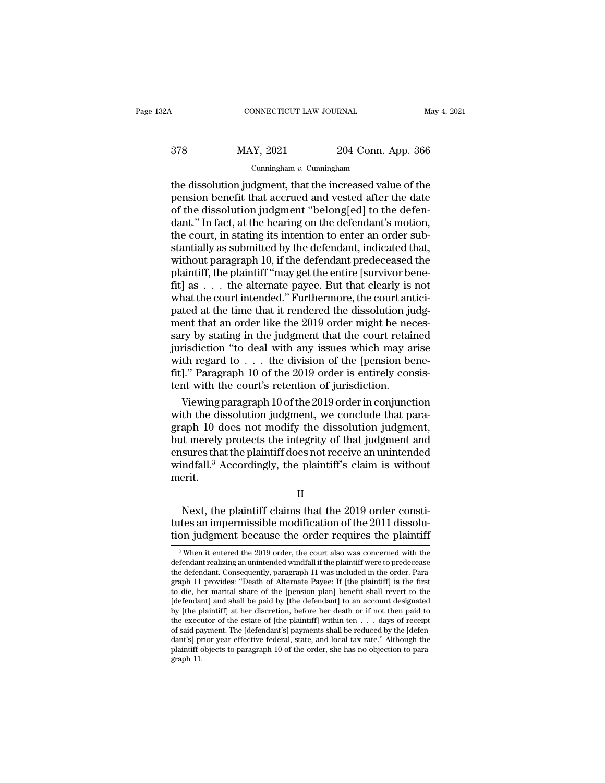CONNECTICUT LAW JOURNAL May 4, 2021<br>378 MAY, 2021 204 Conn. App. 366<br>Cunningham v. Cunningham

# Cunningham *v.* Cunningham

CONNECTICUT LAW JOURNAL May 4, 2021<br>  $204$  Conn. App. 366<br>
Cunningham v. Cunningham<br>
the dissolution judgment, that the increased value of the pension benefit that accrued and vested after the date  $\begin{array}{r} \text{MAX, } 2021 \\ \text{Cunningham } v. \text{ Cunningham} \\ \text{The dissolution judgment, that the increased value of the pension benefit that accrued and tested after the date of the dissolution judgment "belong[ed] to the defendant" In fact, at the hearing on the defendant's motion.} \end{array}$ 378 MAY, 2021 204 Conn. App. 366<br>
Cunningham v. Cunningham<br>
the dissolution judgment, that the increased value of the<br>
pension benefit that accrued and vested after the date<br>
of the dissolution judgment "belong[ed] to the  $\frac{378}{204}$  MAY, 2021 204 Conn. App. 366<br>  $\frac{1}{204}$  Cunningham<br>
the dissolution judgment, that the increased value of the<br>
pension benefit that accrued and vested after the date<br>
of the dissolution judgment "belong[ed Cunningham v. Cunningham<br>
Cunningham v. Cunningham<br>
the dissolution judgment, that the increased value of the<br>
pension benefit that accrued and vested after the date<br>
of the dissolution judgment "belong[ed] to the defen-<br> Cunningham  $v$ . Cunningham<br>the dissolution judgment, that the increased value of the<br>pension benefit that accrued and vested after the date<br>of the dissolution judgment "belong[ed] to the defen-<br>dant." In fact, at the hear the dissolution judgment, that the increased value of the<br>pension benefit that accrued and vested after the date<br>of the dissolution judgment "belong[ed] to the defen-<br>dant." In fact, at the hearing on the defendant's motio pension benefit that accrued and vested after the date<br>of the dissolution judgment "belong[ed] to the defen-<br>dant." In fact, at the hearing on the defendant's motion,<br>the court, in stating its intention to enter an order s of the dissolution judgment "belong[ed] to the defendant." In fact, at the hearing on the defendant's motion, the court, in stating its intention to enter an order substantially as submitted by the defendant, indicated tha dant." In fact, at the hearing on the defendant's motion,<br>the court, in stating its intention to enter an order sub-<br>stantially as submitted by the defendant, indicated that,<br>without paragraph 10, if the defendant predecea the court, in stating its intention to enter an order substantially as submitted by the defendant, indicated that, without paragraph 10, if the defendant predeceased the plaintiff, the plaintiff "may get the entire [survi stantially as submitted by the defendant, indicated that,<br>without paragraph 10, if the defendant predeceased the<br>plaintiff, the plaintiff "may get the entire [survivor bene-<br>fit] as . . . the alternate payee. But that clea without paragraph 10, if the defendant predeceased the<br>plaintiff, the plaintiff "may get the entire [survivor bene-<br>fit] as . . . the alternate payee. But that clearly is not<br>what the court intended." Furthermore, the cour plaintiff, the plaintiff "may get the entire [survivor bene-<br>fit] as . . . the alternate payee. But that clearly is not<br>what the court intended." Furthermore, the court antici-<br>pated at the time that it rendered the disso fit] as . . . the alternate payee. But that clearly is not what the court intended." Furthermore, the court antici-<br>pated at the time that it rendered the dissolution judg-<br>ment that an order like the 2019 order might be what the court intended." Furthermore, the court antici-<br>pated at the time that it rendered the dissolution judg-<br>ment that an order like the 2019 order might be neces-<br>sary by stating in the judgment that the court retai pated at the time that it rendered the dissolution jument that an order like the 2019 order might be neesary by stating in the judgment that the court retail jurisdiction "to deal with any issues which may a with regard to ent that an order like the 2019 order might be neces-<br>ry by stating in the judgment that the court retained<br>risdiction "to deal with any issues which may arise<br>th regard to . . . the division of the [pension bene-<br>]." Para sary by stating in the judgment that the court retained<br>jurisdiction "to deal with any issues which may arise<br>with regard to  $\ldots$  the division of the [pension bene-<br>fit]." Paragraph 10 of the 2019 order is entirely consi

jurisdiction "to deal with any issues which may arise<br>with regard to . . . the division of the [pension bene-<br>fit]." Paragraph 10 of the 2019 order is entirely consis-<br>tent with the court's retention of jurisdiction.<br>Viewi with regard to . . . the division of the [pension bene-<br>fit]." Paragraph 10 of the 2019 order is entirely consis-<br>tent with the court's retention of jurisdiction.<br>Viewing paragraph 10 of the 2019 order in conjunction<br>with fit]." Paragraph 10 of the 2019 order is entirely consistent with the court's retention of jurisdiction.<br>Viewing paragraph 10 of the 2019 order in conjunction<br>with the dissolution judgment, we conclude that para-<br>graph 10 tent with the court's retention of jurisdiction.<br>Viewing paragraph 10 of the 2019 order in conjunction<br>with the dissolution judgment, we conclude that para-<br>graph 10 does not modify the dissolution judgment,<br>but merely pro merit. Experience of the integrity of that judgment and<br>sures that the plaintiff does not receive an unintended<br>ndfall.<sup>3</sup> Accordingly, the plaintiff's claim is without<br>erit.<br>Next, the plaintiff claims that the 2019 order constibut inerely protects the integrity of that judgment and<br>ensures that the plaintiff does not receive an unintended<br>windfall.<sup>3</sup> Accordingly, the plaintiff's claim is without<br>merit.<br>II<br>Next, the plaintiff claims that the 201

II

the plant of the plaintiff's claim is without<br>the merit.<br> $II$ <br>Next, the plaintiff claims that the 2019 order constitutes an impermissible modification of the 2011 dissolu-<br>tion judgment because the order requires the plain  $\,$  Next, the plaintiff claims that the 2019 order consti-<br>tes an impermissible modification of the 2011 dissolu-<br>on judgment because the order requires the plaintiff<br> $\,$ <sup>3</sup> When it entered the 2019 order, the court als Next, the plaintiff claims that the 2019 order constitutes an impermissible modification of the 2011 dissolution judgment because the order requires the plaintiff  $\frac{3}{8}$  When it entered the 2019 order, the court also w tion judgment because the order requires the plaintiff

tutes an impermissible modification of the 2011 dissolution judgment because the order requires the plaintiff  $\frac{3}{8}$  When it entered the 2019 order, the court also was concerned with the defendant realizing an unintende tion judgment because the order requires the plaintiff  $\frac{3}{4}$  When it entered the 2019 order, the court also was concerned with the defendant realizing an unintended windfall if the plaintiff were to predecease the def <sup>3</sup> When it entered the 2019 order, the court also was concerned with the defendant realizing an unintended windfall if the plaintiff were to predecease the defendant. Consequently, paragraph 11 was included in the order. <sup>9</sup> When it entered the 2019 order, the court also was concerned with the defendant realizing an unintended windfall if the plaintiff were to predecease the defendant. Consequently, paragraph 11 was included in the order. the defendant. Consequently, paragraph 11 was included in the order. Paragraph 11 provides: "Death of Alternate Payee: If [the plaintiff] is the first to die, her marital share of the [pension plan] benefit shall revert t graph 11 provides: "Death of Alternate Payee: If [the plaintiff] is the first to die, her marital share of the [pension plan] benefit shall revert to the [defendant] and shall be paid by [the defendant] to an account desi graph 11 provides: "Death of Alternate Payee: If [the plaintiff] is the first to die, her marital share of the [pension plan] benefit shall revert to the [defendant] and shall be paid by [the defendant] to an account desig [defendant] and shall be paid by [the defendant] to an account designated by [the plaintiff] at her discretion, before her death or if not then paid to the executor of the estate of [the plaintiff] within ten  $\ldots$  days o the executor of the estate of [the plaintiff] within ten  $\dots$  days of receipt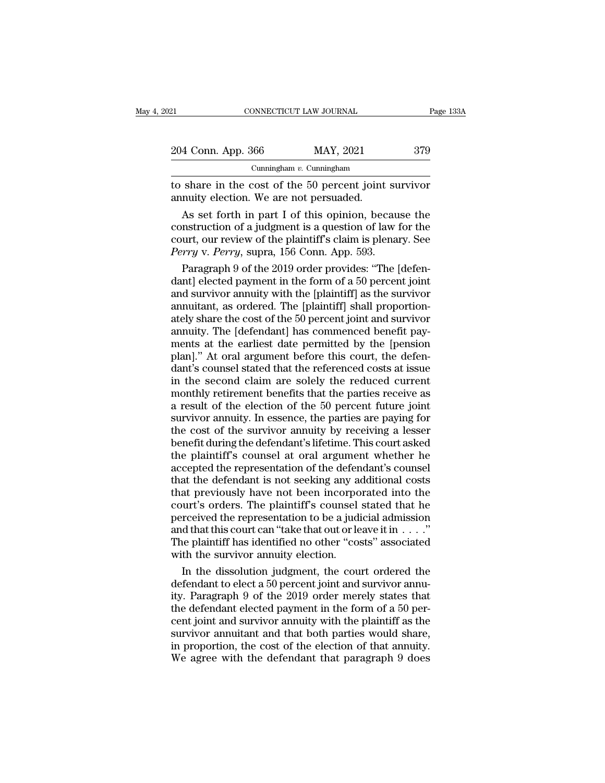| )21                                                                                                                                                                          | CONNECTICUT LAW JOURNAL     | Page 133A |
|------------------------------------------------------------------------------------------------------------------------------------------------------------------------------|-----------------------------|-----------|
|                                                                                                                                                                              |                             |           |
| 204 Conn. App. 366                                                                                                                                                           | MAY, 2021                   | 379       |
|                                                                                                                                                                              | Cunningham $v$ . Cunningham |           |
| to share in the cost of the 50 percent joint survivor<br>annuity election. We are not persuaded.                                                                             |                             |           |
| As set forth in part I of this opinion, because the<br>construction of a judgment is a question of law for the<br>court, our review of the plaintiff's claim is plenary. See |                             |           |

204 Conn. App. 366 MAY, 2021 379<br>
Cunningham *v*. Cunningham<br>
to share in the cost of the 50 percent joint survivor<br>
annuity election. We are not persuaded.<br>
As set forth in part I of this opinion, because the<br>
constructi Cunningham v. Cunningham<br>to share in the cost of the 50 percent joint survivor<br>annuity election. We are not persuaded.<br>As set forth in part I of this opinion, because the<br>construction of a judgment is a question of law fo *Perry* v. *Perry*, suppraction. We are not persuaded.<br>
As set forth in part I of this opinion, becau construction of a judgment is a question of law if court, our review of the plaintiff's claim is plenated *Perry* v. *Pe* share in the cost of the 30 percent joint survivor<br>nuity election. We are not persuaded.<br>As set forth in part I of this opinion, because the<br>nstruction of a judgment is a question of law for the<br>urt, our review of the plai dantary electron. We are not persuaded.<br>
As set forth in part I of this opinion, because the<br>
construction of a judgment is a question of law for the<br>
court, our review of the plaintiff's claim is plenary. See<br> *Perry v. P* 

As set forth in part I of this opinion, because the<br>construction of a judgment is a question of law for the<br>court, our review of the plaintiff's claim is plenary. See<br>*Perry* v. *Perry*, supra, 156 Conn. App. 593.<br>Paragra construction of a judgment is a question of law for the<br>court, our review of the plaintiff's claim is plenary. See<br>*Perry* v. *Perry*, supra, 156 Conn. App. 593.<br>Paragraph 9 of the 2019 order provides: "The [defen-<br>dant] e court, our review of the plaintiff's claim is plenary. See<br>Perry v. Perry, supra, 156 Conn. App. 593.<br>Paragraph 9 of the 2019 order provides: "The [defen-<br>dant] elected payment in the form of a 50 percent joint<br>and survivo Perry v. Perry, supra, 156 Conn. App. 593.<br>Paragraph 9 of the 2019 order provides: "The [defen-<br>dant] elected payment in the form of a 50 percent joint<br>and survivor annuity with the [plaintiff] as the survivor<br>annuitant, a Paragraph 9 of the 2019 order provides: "The [defen-<br>dant] elected payment in the form of a 50 percent joint<br>and survivor annuity with the [plaintiff] as the survivor<br>annuitant, as ordered. The [plaintiff] shall proportion dant] elected payment in the form of a 50 percent joint<br>and survivor annuity with the [plaintiff] as the survivor<br>annuitant, as ordered. The [plaintiff] shall proportion-<br>ately share the cost of the 50 percent joint and su and survivor annuity with the [plaintiff] as the survivor<br>annuitant, as ordered. The [plaintiff] shall proportion-<br>ately share the cost of the 50 percent joint and survivor<br>annuity. The [defendant] has commenced benefit pa annuitant, as ordered. The [plaintiff] shall proportion-<br>ately share the cost of the 50 percent joint and survivor<br>annuity. The [defendant] has commenced benefit pay-<br>ments at the earliest date permitted by the [pension<br>pl ately share the cost of the 50 percent joint and survivor<br>annuity. The [defendant] has commenced benefit pay-<br>ments at the earliest date permitted by the [pension<br>plan]." At oral argument before this court, the defen-<br>dant annuity. The [defendant] has commenced benefit payments at the earliest date permitted by the [pension plan]." At oral argument before this court, the defendant's counsel stated that the referenced costs at issue in the se ments at the earliest date permitted by the [pension<br>plan]." At oral argument before this court, the defen-<br>dant's counsel stated that the referenced costs at issue<br>in the second claim are solely the reduced current<br>monthl plan]." At oral argument before this court, the defendant's counsel stated that the referenced costs at issue<br>in the second claim are solely the reduced current<br>monthly retirement benefits that the parties receive as<br>a res dant's counsel stated that the referenced costs at issue<br>in the second claim are solely the reduced current<br>monthly retirement benefits that the parties receive as<br>a result of the election of the 50 percent future joint<br>su in the second claim are solely the reduced current<br>monthly retirement benefits that the parties receive as<br>a result of the election of the 50 percent future joint<br>survivor annuity. In essence, the parties are paying for<br>th monthly retirement benefits that the parties receive as<br>a result of the election of the 50 percent future joint<br>survivor annuity. In essence, the parties are paying for<br>the cost of the survivor annuity by receiving a lesse a result of the election of the 50 percent future joint<br>survivor annuity. In essence, the parties are paying for<br>the cost of the survivor annuity by receiving a lesser<br>benefit during the defendant's lifetime. This court as survivor annuity. In essence, the parties are paying for<br>the cost of the survivor annuity by receiving a lesser<br>benefit during the defendant's lifetime. This court asked<br>the plaintiff's counsel at oral argument whether he<br> the cost of the survivor annuity by receiving a lesser<br>benefit during the defendant's lifetime. This court asked<br>the plaintiff's counsel at oral argument whether he<br>accepted the representation of the defendant's counsel<br>th benefit during the defendant's lifetime. This court asked<br>the plaintiff's counsel at oral argument whether he<br>accepted the representation of the defendant's counsel<br>that the defendant is not seeking any additional costs<br>t the plaintiff's counsel at oral argument whether he accepted the representation of the defendant's counsel that the defendant is not seeking any additional costs that previously have not been incorporated into the court's accepted the representation of the defendant's counsel<br>that the defendant is not seeking any additional costs<br>that previously have not been incorporated into the<br>court's orders. The plaintiff's counsel stated that he<br>perc that the defendant is not seeking any a<br>that previously have not been incorpo<br>court's orders. The plaintiff's counsel<br>perceived the representation to be a judi<br>and that this court can "take that out or le<br>The plaintiff has at previously have not been incorporated into the<br>urt's orders. The plaintiff's counsel stated that he<br>rceived the representation to be a judicial admission<br>d that this court can "take that out or leave it in . . . ."<br>ne p court's orders. The plaintiff's counsel stated that he<br>perceived the representation to be a judicial admission<br>and that this court can "take that out or leave it in  $\dots$ ."<br>The plaintiff has identified no other "costs" ass

perceived the representation to be a judicial admission<br>and that this court can "take that out or leave it in  $\dots$ ".<br>The plaintiff has identified no other "costs" associated<br>with the survivor annuity election.<br>In the diss and that this court can "take that out or leave it in  $\dots$ "."<br>The plaintiff has identified no other "costs" associated<br>with the survivor annuity election.<br>In the dissolution judgment, the court ordered the<br>defendant to el The plaintiff has identified no other "costs" associated<br>with the survivor annuity election.<br>In the dissolution judgment, the court ordered the<br>defendant to elect a 50 percent joint and survivor annuity.<br>Paragraph 9 of the with the survivor annuity election.<br>In the dissolution judgment, the court ordered the<br>defendant to elect a 50 percent joint and survivor annuity.<br>Paragraph 9 of the 2019 order merely states that<br>the defendant elected paym In the dissolution judgment, the court ordered the<br>defendant to elect a 50 percent joint and survivor annuity.<br>Paragraph 9 of the 2019 order merely states that<br>the defendant elected payment in the form of a 50 per-<br>cent jo defendant to elect a 50 percent joint and survivor annuity. Paragraph 9 of the 2019 order merely states that the defendant elected payment in the form of a 50 percent joint and survivor annuity with the plaintiff as the su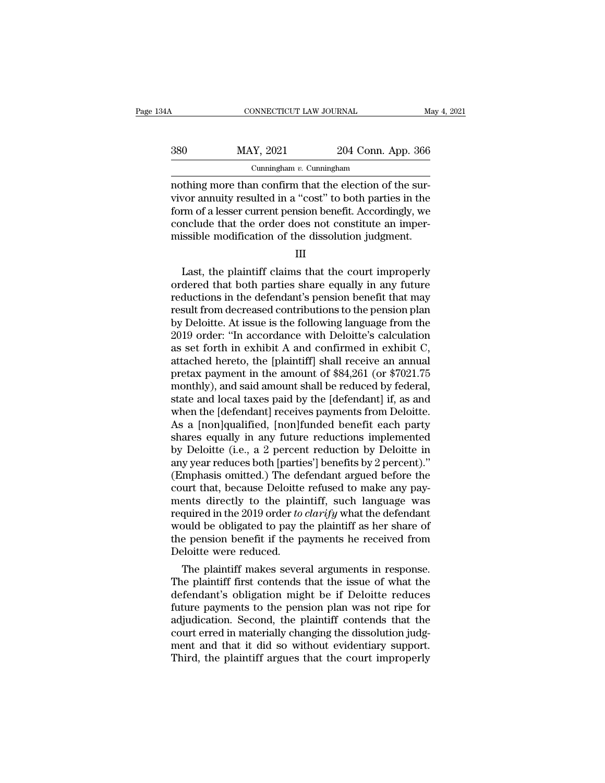|     | CONNECTICUT LAW JOURNAL     |                    | May 4, 2021 |
|-----|-----------------------------|--------------------|-------------|
| 380 | MAY, 2021                   | 204 Conn. App. 366 |             |
|     | Cunningham $v$ . Cunningham |                    |             |

CONNECTICUT LAW JOURNAL<br>
204 Conn. App. 366<br>
Cunningham v. Cunningham<br>
nothing more than confirm that the election of the sur-<br>
vivor annuity resulted in a "cost" to both parties in the<br>
form of a losser current popsion bo  $\begin{array}{r} \text{380} & \text{MAX, } 2021 & 204 \text{ Conn. App. } 366 \\ \text{Curningham } v. \text{ Cunningham} \\ \text{nothing more than confirm that the election of the survey} \\ \text{204 Cont. App. } 366 \text{ arbitrary} \\ \text{205 Find the cost of the study of the body.} \\ \text{206 Find the cost of the body.} \\ \text{207 Find the cost of the body.} \\ \text{208 Find the cost of the body.} \\ \text{209 Find the cost of the body.} \\ \text{200 Find the cost of the body.} \\ \text{201 Find the cost of the body.} \\ \text{201 Find the cost of the body.} \\$  $\frac{\text{MAY, 2021}}{\text{Cunningham } v. \text{ Cunningham}}$ <br>
cunningham v. Cunningham<br>
nothing more than confirm that the election of the survivor annuity resulted in a "cost" to both parties in the<br>
form of a lesser current pension benefit. Accord  $\frac{380}{\text{Cunningham } v. \text{ Cunningham}}$ <br>Cunningham *v.* Cunningham<br>nothing more than confirm that the election of the sur-<br>vivor annuity resulted in a "cost" to both parties in the<br>form of a lesser current pension benefit. Accordingl Cunningham v. Cunningham<br>
Cunningham v. Cunningham<br>
nothing more than confirm that the election of the survivor annuity resulted in a "cost" to both parties in the<br>
form of a lesser current pension benefit. Accordingly, we Frame and the plaintiff claims that the court in the plaintiff claims that the order does not constitute an imper-<br>issible modification of the dissolution judgment.<br>III<br>Last, the plaintiff claims that the court improperly<br>

| . . |
|-----|
|-----|

form of a lesser current pension benefit. Accordingly, we<br>conclude that the order does not constitute an imper-<br>missible modification of the dissolution judgment.<br>III<br>Last, the plaintiff claims that the court improperly<br>or conclude that the order does not constitute an imper-<br>missible modification of the dissolution judgment.<br> $\quad$  III<br>Last, the plaintiff claims that the court improperly<br>ordered that both parties share equally in any future<br> missible modification of the dissolution judgment.<br>
III<br>
Last, the plaintiff claims that the court improperly<br>
ordered that both parties share equally in any future<br>
reductions in the defendant's pension benefit that may<br>  $\frac{1}{2}$  and  $\frac{1}{2}$  and  $\frac{1}{2}$  and  $\frac{1}{2}$  and  $\frac{1}{2}$  and  $\frac{1}{2}$  and  $\frac{1}{2}$  and  $\frac{1}{2}$  and  $\frac{1}{2}$  and  $\frac{1}{2}$  and  $\frac{1}{2}$  and  $\frac{1}{2}$  and  $\frac{1}{2}$  and  $\frac{1}{2}$  and  $\frac{1}{2}$  and  $\frac{1}{2}$  a III<br>Last, the plaintiff claims that the court improperly<br>ordered that both parties share equally in any future<br>reductions in the defendant's pension benefit that may<br>result from decreased contributions to the pension plan<br> Last, the plaintiff claims that the court improperly<br>ordered that both parties share equally in any future<br>reductions in the defendant's pension benefit that may<br>result from decreased contributions to the pension plan<br>by ordered that both parties share equally in any future<br>reductions in the defendant's pension benefit that may<br>result from decreased contributions to the pension plan<br>by Deloitte. At issue is the following language from the<br> reductions in the defendant's pension benefit that may<br>result from decreased contributions to the pension plan<br>by Deloitte. At issue is the following language from the<br>2019 order: "In accordance with Deloitte's calculation result from decreased contributions to the pension plan<br>by Deloitte. At issue is the following language from the<br>2019 order: "In accordance with Deloitte's calculation<br>as set forth in exhibit A and confirmed in exhibit C,<br> by Deloitte. At issue is the following language from the 2019 order: "In accordance with Deloitte's calculation<br>as set forth in exhibit A and confirmed in exhibit C,<br>attached hereto, the [plaintiff] shall receive an annual 2019 order: "In accordance with Deloitte's calculation<br>as set forth in exhibit A and confirmed in exhibit C,<br>attached hereto, the [plaintiff] shall receive an annual<br>pretax payment in the amount of \$84,261 (or \$7021.75<br>mon as set forth in exhibit A and confirmed in exhibit C,<br>attached hereto, the [plaintiff] shall receive an annual<br>pretax payment in the amount of \$84,261 (or \$7021.75<br>monthly), and said amount shall be reduced by federal,<br>sta attached hereto, the [plaintiff] shall receive an annual<br>pretax payment in the amount of \$84,261 (or \$7021.75<br>monthly), and said amount shall be reduced by federal,<br>state and local taxes paid by the [defendant] if, as and<br> pretax payment in the amount of \$84,261 (or \$7021.75<br>monthly), and said amount shall be reduced by federal,<br>state and local taxes paid by the [defendant] if, as and<br>when the [defendant] receives payments from Deloitte.<br>As monthly), and said amount shall be reduced by federal,<br>state and local taxes paid by the [defendant] if, as and<br>when the [defendant] receives payments from Deloitte.<br>As a [non]qualified, [non]funded benefit each party<br>shar state and local taxes paid by the [defendant] if, as and<br>when the [defendant] receives payments from Deloitte.<br>As a [non]qualified, [non]funded benefit each party<br>shares equally in any future reductions implemented<br>by Delo when the [defendant] receives payments from Deloitte.<br>As a [non]qualified, [non]funded benefit each party<br>shares equally in any future reductions implemented<br>by Deloitte (i.e., a 2 percent reduction by Deloitte in<br>any year As a [non]qualified, [non]funded benefit each party<br>shares equally in any future reductions implemented<br>by Deloitte (i.e., a 2 percent reduction by Deloitte in<br>any year reduces both [parties'] benefits by 2 percent)."<br>(Em shares equally in any future reductions implemented<br>by Deloitte (i.e., a 2 percent reduction by Deloitte in<br>any year reduces both [parties'] benefits by 2 percent)."<br>(Emphasis omitted.) The defendant argued before the<br>cour by Deloitte (i.e., a 2 percent reduction by Deloitte in<br>any year reduces both [parties'] benefits by 2 percent)."<br>(Emphasis omitted.) The defendant argued before the<br>court that, because Deloitte refused to make any pay-<br>me any year reduces both [parties'] benefits by 2 percent)."<br>(Emphasis omitted.) The defendant argued before the<br>court that, because Deloitte refused to make any pay-<br>ments directly to the plaintiff, such language was<br>require (Emphasis omitted.) The de<br>court that, because Deloitte<br>ments directly to the plai<br>required in the 2019 order to<br>would be obligated to pay tl<br>the pension benefit if the p.<br>Deloitte were reduced.<br>The plaintiff makes sever Figure 1.1 and the plaintiff, such language was<br>quired in the 2019 order *to clarify* what the defendant<br>puld be obligated to pay the plaintiff as her share of<br>e pension benefit if the payments he received from<br>eloitte wer ments directly to the plaintiff, such language was<br>required in the 2019 order *to clarify* what the defendant<br>would be obligated to pay the plaintiff as her share of<br>the pension benefit if the payments he received from<br>De

required in the 2019 order *to clartyy* what the defendant<br>
would be obligated to pay the plaintiff as her share of<br>
the pension benefit if the payments he received from<br>
Deloitte were reduced.<br>
The plaintiff makes several would be obigated to pay the plaintiff as her snare of<br>the pension benefit if the payments he received from<br>Deloitte were reduced.<br>The plaintiff makes several arguments in response.<br>The plaintiff first contends that the is the pension benefit if the payments he received from<br>Deloitte were reduced.<br>The plaintiff makes several arguments in response.<br>The plaintiff first contends that the issue of what the<br>defendant's obligation might be if Delo Defolute were reduced.<br>The plaintiff makes several arguments in response.<br>The plaintiff first contends that the issue of what the<br>defendant's obligation might be if Deloitte reduces<br>future payments to the pension plan was The plaintiff makes several arguments in response.<br>The plaintiff first contends that the issue of what the<br>defendant's obligation might be if Deloitte reduces<br>future payments to the pension plan was not ripe for<br>adjudicati The plaintiff first contends that the issue of what the defendant's obligation might be if Deloitte reduces future payments to the pension plan was not ripe for adjudication. Second, the plaintiff contends that the court e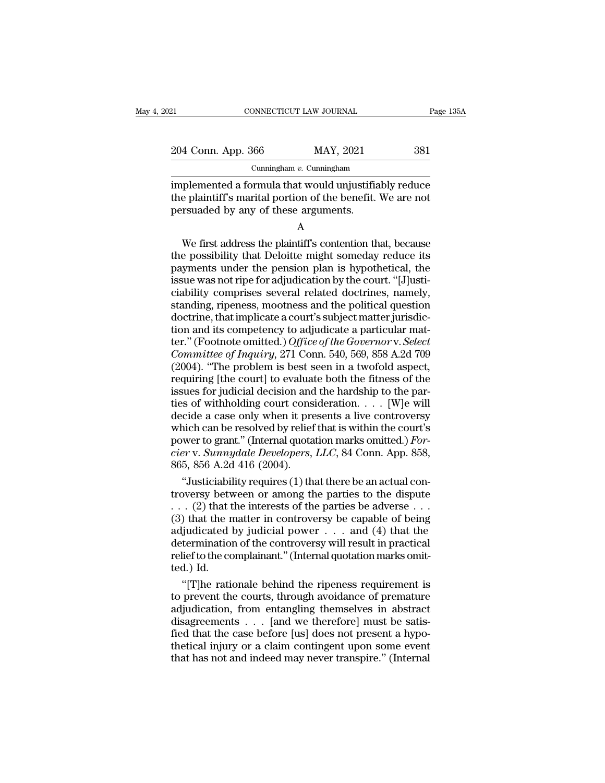| 21                 | CONNECTICUT LAW JOURNAL     | Page 135A |
|--------------------|-----------------------------|-----------|
| 204 Conn. App. 366 | MAY, 2021                   | 381       |
|                    | Cunningham $v$ . Cunningham |           |

Eq. 204 Conn. App. 366 MAY, 2021 Bage 135A<br>
204 Conn. App. 366 MAY, 2021 381<br>
Cunningham v. Cunningham<br>
implemented a formula that would unjustifiably reduce<br>
the plaintiff's marital portion of the benefit. We are not<br>
pe 204 Conn. App. 366 MAY, 2021 381<br>
Cunningham v. Cunningham<br>
implemented a formula that would unjustifiably reduce<br>
the plaintiff's marital portion of the benefit. We are not<br>
persuaded by any of these arguments. 204 Conn. App. 366 MAY, 2021<br>
Cunningham v. Cunningham<br>
implemented a formula that would unjustifiat<br>
the plaintiff's marital portion of the benefit.<br>
persuaded by any of these arguments.<br>
A Cunningham  $v$ . Cunningham<br>
uplemented a formula that would unjustifiably reduce<br>
e plaintiff's marital portion of the benefit. We are not<br>
rsuaded by any of these arguments.<br>
A<br>
We first address the plaintiff's contentio

A

implemented a formula that would unjustifiably reduce<br>the plaintiff's marital portion of the benefit. We are not<br>persuaded by any of these arguments.<br>A<br>We first address the plaintiff's contention that, because<br>the possibil miplemented a formula that would urjustinably reduce<br>the plaintiff's marital portion of the benefit. We are not<br>persuaded by any of these arguments.<br>A<br>We first address the plaintiff's contention that, because<br>the possibili Interpretation of these arguments.<br>
A<br>
We first address the plaintiff's contention that, because<br>
the possibility that Deloitte might someday reduce its<br>
payments under the pension plan is hypothetical, the<br>
issue was not A<br>
We first address the plaintiff's contention that, because<br>
the possibility that Deloitte might someday reduce its<br>
payments under the pension plan is hypothetical, the<br>
issue was not ripe for adjudication by the court. A<br>We first address the plaintiff's contention that, because<br>the possibility that Deloitte might someday reduce its<br>payments under the pension plan is hypothetical, the<br>issue was not ripe for adjudication by the court. "[J] We first address the plaintiff's contention that, because<br>the possibility that Deloitte might someday reduce its<br>payments under the pension plan is hypothetical, the<br>issue was not ripe for adjudication by the court. "[J]u the possibility that Deloitte might someday reduce its<br>payments under the pension plan is hypothetical, the<br>issue was not ripe for adjudication by the court. "[J]usti-<br>ciability comprises several related doctrines, namely, For Fourtain, the Footnote or Bension plan is hypothetical, the issue was not ripe for adjudication by the court. "[J]usticiability comprises several related doctrines, namely, standing, ripeness, mootness and the politica *Committee of Inquiry*, 271 Conn. 540, 569, 858 A.2d 709 (2004). "The problem is best several related doctrines, namely, standing, ripeness, mootness and the political question doctrine, that implicate a court's subject ma ciability comprises several related doctrines, namely,<br>standing, ripeness, mootness and the political question<br>doctrine, that implicate a court's subject matter jurisdic-<br>tion and its competency to adjudicate a particular standing, ripeness, mootness and the political question<br>doctrine, that implicate a court's subject matter jurisdic-<br>tion and its competency to adjudicate a particular mat-<br>ter." (Footnote omitted.) *Office of the Governor* doctrine, that implicate a court's subject matter jurisdiction and its competency to adjudicate a particular matter." (Footnote omitted.) Office of the Governor v. Select Committee of Inquiry, 271 Conn. 540, 569, 858 A.2d tion and its competency to adjudicate a particular matter." (Footnote omitted.) *Office of the Governor v. Select*<br>*Committee of Inquiry*, 271 Conn. 540, 569, 858 A.2d 709<br>(2004). "The problem is best seen in a twofold as ter." (Footnote omitted.) *Office of the Governor* v. *Select*<br>Committee of Inquiry, 271 Conn. 540, 569, 858 A.2d 709<br>(2004). "The problem is best seen in a twofold aspect,<br>requiring [the court] to evaluate both the fitne Committee of Inquiry, 271 Conn. 540, 569, 858 A.2d 709 (2004). "The problem is best seen in a twofold aspect, requiring [the court] to evaluate both the fitness of the issues for judicial decision and the hardship to the (2004). "The problem is best seen in a twofold aspect, requiring [the court] to evaluate both the fitness of the issues for judicial decision and the hardship to the parties of withholding court consideration.  $\ldots$  [W]e requiring [the court] to evaluate both the fitness of the issues for judicial decision and the hardship to the parties of withholding court consideration. . . . [W]e will decide a case only when it presents a live controve issues for judicial decision and<br>ties of withholding court cons<br>decide a case only when it pre<br>which can be resolved by relief<br>power to grant." (Internal quota<br>cier v. Sunnydale Developers,<br>865, 856 A.2d 416 (2004).<br>"Justi is of withholding court consideration. . . . . [W]e will<br>
cide a case only when it presents a live controversy<br>
nich can be resolved by relief that is within the court's<br>
wer to grant." (Internal quotation marks omitted.) decide a case only when it presents a live controversy<br>which can be resolved by relief that is within the court's<br>power to grant." (Internal quotation marks omitted.) For-<br>cier v. Sunnydale Developers, LLC, 84 Conn. App.

which can be resolved by relief that is within the court's<br>power to grant." (Internal quotation marks omitted.) For-<br>cier v. Sunnydale Developers, LLC, 84 Conn. App. 858,<br>865, 856 A.2d 416 (2004).<br>"Justiciability requires power to grant." (Internal quotation marks omitted.) For-<br>
cier v. Sunnydale Developers, LLC, 84 Conn. App. 858,<br>
865, 856 A.2d 416 (2004).<br>
"Justiciability requires (1) that there be an actual con-<br>
troversy between or a cier v. Sunnydale Developers, LLC, 84 Conn. App. 858,<br>865, 856 A.2d 416 (2004).<br>
"Justiciability requires (1) that there be an actual con-<br>
troversy between or among the parties to the dispute<br>
. . . . (2) that the intere 865, 856 A.2d 416 (2004).<br>
"Justiciability requires (1) that there be an actual controversy between or among the parties to the dispute<br>  $\ldots$  (2) that the interests of the parties be adverse . . .<br>
(3) that the matter in "Justiciability requires (1) that there be an actual controversy between or among the parties to the dispute ... (2) that the interests of the parties be adverse ... (3) that the matter in controversy be capable of being troversy between the two sets of the radjudicated leftermination relief to the control.) Id. "[T] he ration of the ration of the ration of the ration of the ration of the ration of the ration of the ration of the ration o . (2) that the interests of the parties be adverse . . .<br>) that the matter in controversy be capable of being<br>ijudicated by judicial power . . . and (4) that the<br>termination of the controversy will result in practical<br>lie (3) that the matter in controversy be capable of being<br>adjudicated by judicial power  $\dots$  and (4) that the<br>determination of the controversy will result in practical<br>relief to the complainant." (Internal quotation marks om

adjudicated by judicial power . . . and (4) that the<br>determination of the controversy will result in practical<br>relief to the complainant." (Internal quotation marks omit-<br>ted.) Id.<br>"[T]he rationale behind the ripeness requ determination of the controversy will result in practical<br>relief to the complainant." (Internal quotation marks omit-<br>ted.) Id.<br>"[T]he rationale behind the ripeness requirement is<br>to prevent the courts, through avoidance o relief to the complainant." (Internal quotation marks omitted.) Id.<br>
"[T]he rationale behind the ripeness requirement is<br>
to prevent the courts, through avoidance of premature<br>
adjudication, from entangling themselves in a ted.) Id.<br>
"[T]he rationale behind the ripeness requirement is<br>
to prevent the courts, through avoidance of premature<br>
adjudication, from entangling themselves in abstract<br>
disagreements . . . [and we therefore] must be sa "[T]<br/>he rationale behind the ripeness requirement is to prevent the courts, through avoidance of premature adjudication, from entangling themselves in abstract disagreements  $\dots$  [and we therefore] must be satisfied t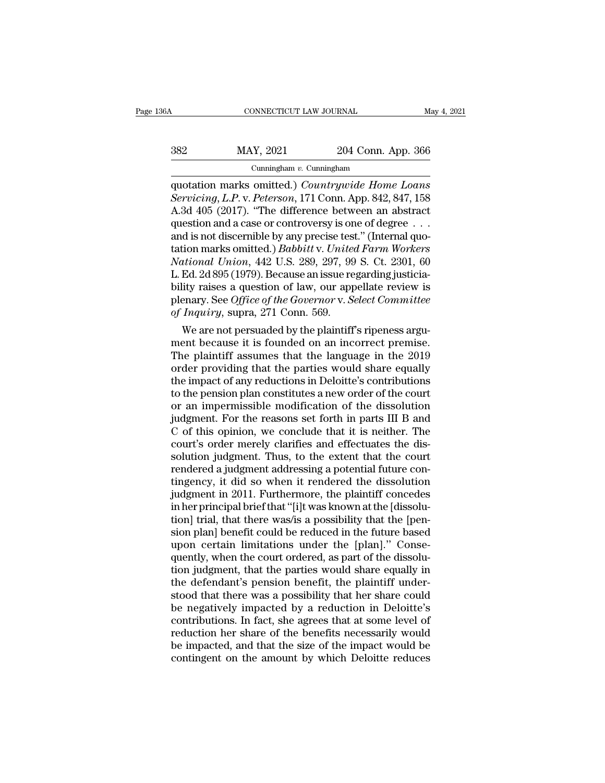| iΑ  | CONNECTICUT LAW JOURNAL     |                    | May 4, 2021 |
|-----|-----------------------------|--------------------|-------------|
| 382 | MAY, 2021                   | 204 Conn. App. 366 |             |
|     | Cunningham $v$ . Cunningham |                    |             |

CONNECTICUT LAW JOURNAL<br>
May 4, 2021<br>
MAY, 2021 204 Conn. App. 366<br>
Cunningham v. Cunningham<br>
quotation marks omitted.) *Countrywide Home Loans*<br>
Servicing, L.P. v. Peterson, 171 Conn. App. 842, 847, 158<br>
A 3d 405 (2017) " *Servicing, L.P. v. Peterson, 171 Conn. App. 366*<br>*Cunningham v. Cunningham*<br>*Servicing, L.P. v. Peterson, 171 Conn. App. 842, 847, 158*<br>*A.3d 405 (2017).* "The difference between an abstract question and a case or controv  $\begin{array}{r} \text{MAX, 2021} \text{204 Conn. App. 366} \\ \text{Cuningham } v. \text{ Cuningham} \\ \text{quotation marks omitted.) } \text{Countrywide Home Loans} \\ \text{Servicing, L.P. v. Peterson, 171 Conn. App. 842, 847, 158} \\ \text{A.3d 405 (2017). "The difference between an abstract question and a case or controversy is one of degree . . .} \\ \text{and is not discontiniable by any precise test." (Internal quo) \\ \end{array}$ 382 MAY, 2021 204 Conn. App. 366<br>
Cunningham v. Cunningham<br>
quotation marks omitted.) *Countrywide Home Loans*<br> *Servicing*, *L.P.* v. *Peterson*, 171 Conn. App. 842, 847, 158<br>
A.3d 405 (2017). "The difference between an Cunningham v. Cunningham<br>
quotation marks omitted.) Countrywide Home Loans<br>
Servicing, L.P. v. Peterson, 171 Conn. App. 842, 847, 158<br>
A.3d 405 (2017). "The difference between an abstract<br>
question and a case or controver Cunningham v. Cunningham<br>quotation marks omitted.) *Countrywide Home Loans*<br>Servicing, L.P. v. Peterson, 171 Conn. App. 842, 847, 158<br>A.3d 405 (2017). "The difference between an abstract<br>question and a case or controversy quotation marks omitted.) *Countrywide Home Loans*<br>*Servicing, L.P. v. Peterson,* 171 Conn. App. 842, 847, 158<br>A.3d 405 (2017). "The difference between an abstract<br>question and a case or controversy is one of degree . . .<br> Servicing, L.P. v. Peterson, 171 Conn. App. 842, 847, 158<br>A.3d 405 (2017). "The difference between an abstract<br>question and a case or controversy is one of degree . . .<br>and is not discernible by any precise test." (Interna A.3d 405 (2017). "The difference between an abstract<br>question and a case or controversy is one of degree  $\dots$ <br>and is not discernible by any precise test." (Internal quo-<br>tation marks omitted.) *Babbitt* v. *United Farm Wo* question and a case or controversy is one of degree . . .<br>and is not discernible by any precise test." (Internal quo-<br>tation marks omitted.) *Babbitt* v. *United Farm Workers*<br>National Union, 442 U.S. 289, 297, 99 S. Ct. 2 and is not discernible by any precise testation marks omitted.) *Babbitt* v. United National Union, 442 U.S. 289, 297, 99<br>*L.* Ed. 2d 895 (1979). Because an issue repolity raises a question of law, our app<br>plenary. See Off Mondell Marks omitted.) Baboutt V. United Farm Workers<br>titional Union, 442 U.S. 289, 297, 99 S. Ct. 2301, 60<br>Ed. 2d 895 (1979). Because an issue regarding justicia-<br>lity raises a question of law, our appellate review is<br>en Mational Union, 442 U.S. 289, 297, 99 S. Ut. 2301, 60<br>L. Ed. 2d 895 (1979). Because an issue regarding justicia-<br>bility raises a question of law, our appellate review is<br>plenary. See Office of the Governor v. Select Commi

L. Ed. 2d 895 (1979). Because an issue regarding justicia-<br>bility raises a question of law, our appellate review is<br>plenary. See *Office of the Governor* v. *Select Committee*<br>of *Inquiry*, supra, 271 Conn. 569.<br>We are no buity raises a question of law, our appellate review is<br>plenary. See *Office of the Governor* v. *Select Committee*<br>of *Inquiry*, supra, 271 Conn. 569.<br>We are not persuaded by the plaintiff's ripeness argu-<br>ment because it plenary. See *Office of the Governor v. Setect Committee*<br>of *Inquiry*, supra, 271 Conn. 569.<br>We are not persuaded by the plaintiff's ripeness argu-<br>ment because it is founded on an incorrect premise.<br>The plaintiff assumes of *Inquiry*, supra, 271 Conn. 569.<br>We are not persuaded by the plaintiff's ripeness argument because it is founded on an incorrect premise.<br>The plaintiff assumes that the language in the 2019<br>order providing that the par We are not persuaded by the plaintiff's ripeness argument because it is founded on an incorrect premise.<br>The plaintiff assumes that the language in the 2019<br>order providing that the parties would share equally<br>the impact o ment because it is founded on an incorrect premise.<br>The plaintiff assumes that the language in the 2019<br>order providing that the parties would share equally<br>the impact of any reductions in Deloitte's contributions<br>to the p The plaintiff assumes that the language in the 2019<br>order providing that the parties would share equally<br>the impact of any reductions in Deloitte's contributions<br>to the pension plan constitutes a new order of the court<br>or order providing that the parties would share equally<br>the impact of any reductions in Deloitte's contributions<br>to the pension plan constitutes a new order of the court<br>or an impermissible modification of the dissolution<br>jud the impact of any reductions in Deloitte's contributions<br>to the pension plan constitutes a new order of the court<br>or an impermissible modification of the dissolution<br>judgment. For the reasons set forth in parts III B and<br>C to the pension plan constitutes a new order of the court<br>or an impermissible modification of the dissolution<br>judgment. For the reasons set forth in parts III B and<br>C of this opinion, we conclude that it is neither. The<br>cou or an impermissible modification of the dissolution<br>judgment. For the reasons set forth in parts III B and<br>C of this opinion, we conclude that it is neither. The<br>court's order merely clarifies and effectuates the dis-<br>solu judgment. For the reasons set forth in parts III B and<br>C of this opinion, we conclude that it is neither. The<br>court's order merely clarifies and effectuates the dis-<br>solution judgment. Thus, to the extent that the court<br>re C of this opinion, we conclude that it is neither. The court's order merely clarifies and effectuates the dissolution judgment. Thus, to the extent that the court rendered a judgment addressing a potential future contingen court's order merely clarifies and effectuates the dissolution judgment. Thus, to the extent that the court<br>rendered a judgment addressing a potential future con-<br>tingency, it did so when it rendered the dissolution<br>judgme solution judgment. Thus, to the extent that the court<br>rendered a judgment addressing a potential future con-<br>tingency, it did so when it rendered the dissolution<br>judgment in 2011. Furthermore, the plaintiff concedes<br>in her rendered a judgment addressing a potential future contingency, it did so when it rendered the dissolution<br>judgment in 2011. Furthermore, the plaintiff concedes<br>in her principal brief that "[i]t was known at the [dissolu-<br>t tingency, it did so when it rendered the dissolution<br>judgment in 2011. Furthermore, the plaintiff concedes<br>in her principal brief that "[i]t was known at the [dissolu-<br>tion] trial, that there was/is a possibility that the judgment in 2011. Furthermore, the plaintiff concedes<br>in her principal brief that "[i]t was known at the [dissolu-<br>tion] trial, that there was/is a possibility that the [pen-<br>sion plan] benefit could be reduced in the futu in her principal brief that "[i]t was known at the [dissolution] trial, that there was/is a possibility that the [pension plan] benefit could be reduced in the future based upon certain limitations under the [plan]." Conse tion] trial, that there was/is a possibility that the [pension plan] benefit could be reduced in the future based<br>upon certain limitations under the [plan]." Conse-<br>quently, when the court ordered, as part of the dissolu-<br> sion plan] benefit could be reduced in the future based<br>upon certain limitations under the [plan]." Conse-<br>quently, when the court ordered, as part of the dissolu-<br>tion judgment, that the parties would share equally in<br>the upon certain limitations under the [plan]." Consequently, when the court ordered, as part of the dissolution judgment, that the parties would share equally in the defendant's pension benefit, the plaintiff understood that quently, when the court ordered, as part of the dissolution judgment, that the parties would share equally in<br>the defendant's pension benefit, the plaintiff under-<br>stood that there was a possibility that her share could<br>be tion judgment, that the parties would share equally in<br>the defendant's pension benefit, the plaintiff under-<br>stood that there was a possibility that her share could<br>be negatively impacted by a reduction in Deloitte's<br>contr the defendant's pension benefit, the plaintiff understood that there was a possibility that her share could<br>be negatively impacted by a reduction in Deloitte's<br>contributions. In fact, she agrees that at some level of<br>reduc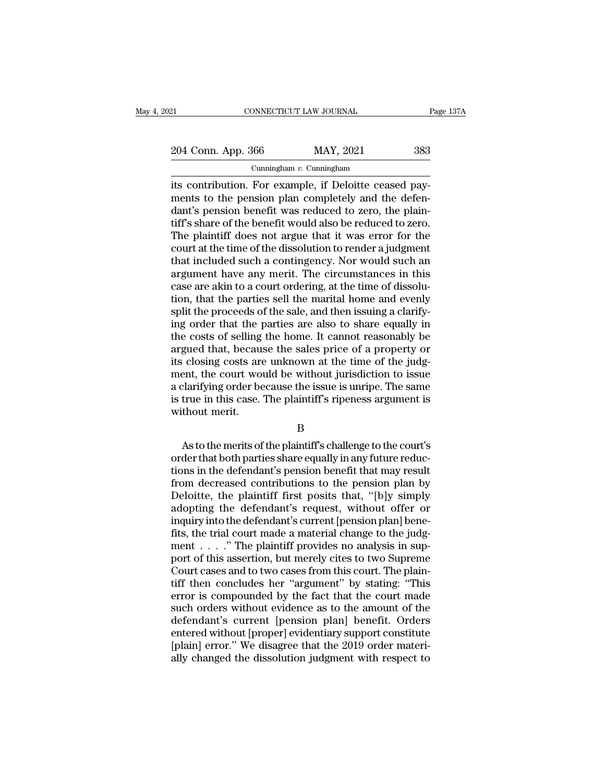| 21                 | CONNECTICUT LAW JOURNAL     | Page 137A |
|--------------------|-----------------------------|-----------|
| 204 Conn. App. 366 | MAY, 2021                   | 383       |
|                    | Cunningham $v$ . Cunningham |           |

EXECTE EXECT CONNECTICUT LAW JOURNAL<br>
204 Conn. App. 366 MAY, 2021 383<br>
Cunningham v. Cunningham<br>
its contribution. For example, if Deloitte ceased pay-<br>
ments to the pension plan completely and the defen-<br>
dant's ponsion 204 Conn. App. 366 MAY, 2021 383<br>
Cunningham v. Cunningham<br>
its contribution. For example, if Deloitte ceased pay-<br>
ments to the pension plan completely and the defen-<br>
dant's pension benefit was reduced to zero, the plai 204 Conn. App. 366 MAY, 2021 383<br>
Cunningham v. Cunningham<br>
its contribution. For example, if Deloitte ceased pay-<br>
ments to the pension plan completely and the defen-<br>
dant's pension benefit was reduced to zero, the plai 204 Conn. App. 366 MAY, 2021 383<br>
Cunningham *v.* Cunningham<br>
its contribution. For example, if Deloitte ceased pay-<br>
ments to the pension plan completely and the defen-<br>
dant's pension benefit was reduced to zero, the pl Cunningham v. Cunningham<br>
The plantiff doesn's contribution. For example, if Deloitte ceased pay-<br>
ments to the pension plan completely and the defen-<br>
dant's pension benefit was reduced to zero, the plain-<br>
tiff's share Cunningham  $v$ . Cunningham<br>its contribution. For example, if Deloitte ceased pay-<br>ments to the pension plan completely and the defen-<br>dant's pension benefit was reduced to zero, the plain-<br>tiff's share of the benefit woul its contribution. For example, if Deloitte ceased pay-<br>ments to the pension plan completely and the defen-<br>dant's pension benefit was reduced to zero, the plain-<br>tiff's share of the benefit would also be reduced to zero.<br>T ments to the pension plan completely and the defen-<br>dant's pension benefit was reduced to zero, the plain-<br>tiff's share of the benefit would also be reduced to zero.<br>The plaintiff does not argue that it was error for the<br>c dant's pension benefit was reduced to zero, the plain-<br>tiff's share of the benefit would also be reduced to zero.<br>The plaintiff does not argue that it was error for the<br>court at the time of the dissolution to render a judg tiff's share of the benefit would also be reduced to zero.<br>The plaintiff does not argue that it was error for the<br>court at the time of the dissolution to render a judgment<br>that included such a contingency. Nor would such a The plaintiff does not argue that it was error for the court at the time of the dissolution to render a judgment that included such a contingency. Nor would such an argument have any merit. The circumstances in this case a court at the time of the dissolution to render a judgment<br>that included such a contingency. Nor would such an<br>argument have any merit. The circumstances in this<br>case are akin to a court ordering, at the time of dissolu-<br>ti that included such a contingency. Nor would such an argument have any merit. The circumstances in this case are akin to a court ordering, at the time of dissolution, that the parties sell the marital home and evenly split argument have any merit. The circumstances in this<br>case are akin to a court ordering, at the time of dissolu-<br>tion, that the parties sell the marital home and evenly<br>split the proceeds of the sale, and then issuing a clari case are akin to a court ordering, at the time of dissolution, that the parties sell the marital home and evenly split the proceeds of the sale, and then issuing a clarifying order that the parties are also to share equall tion, that the parties sell the marital home and evenly<br>split the proceeds of the sale, and then issuing a clarify-<br>ing order that the parties are also to share equally in<br>the costs of selling the home. It cannot reasonabl split the proceeds of the sale, and then issuing a clarifying order that the parties are also to share equally in the costs of selling the home. It cannot reasonably be argued that, because the sales price of a property or ing order that the parties are also to share equally in<br>the costs of selling the home. It cannot reasonably be<br>argued that, because the sales price of a property or<br>its closing costs are unknown at the time of the judg-<br>me the costs of selling<br>argued that, becausits closing costs are<br>ment, the court wo<br>a clarifying order be<br>is true in this case.<br>without merit. From the court would be without jurisdiction to issue<br>that, the court would be without jurisdiction to issue<br>clarifying order because the issue is unripe. The same<br>true in this case. The plaintiff's ripeness argument is<br>th

B

order that both parties are in this case. The plaintiff's ripeness argument is<br>in the same is true in this case. The plaintiff's ripeness argument is<br>without merit.<br>B<br>As to the merits of the plaintiff's challenge to the co the definitions in the plaintiff's ripeness argument is<br>
is true in this case. The plaintiff's ripeness argument is<br>
Without merit.<br>
B<br>
As to the merits of the plaintiff's challenge to the court's<br>
order that both parties From decreased contributions to the pension plan by<br>Detections in the defendant's pension plan by<br>Deloitte, the plaintiff schallenge to the court's<br>perfections in the defendant's pension benefit that may result<br>from decrea B<br>
B<br>
As to the merits of the plaintiff's challenge to the court's<br>
order that both parties share equally in any future reduc-<br>
tions in the defendant's pension benefit that may result<br>
from decreased contributions to the B<br>As to the merits of the plaintiff's challenge to the court's<br>order that both parties share equally in any future reduc-<br>tions in the defendant's pension benefit that may result<br>from decreased contributions to the pension As to the merits of the plaintiff's challenge to the court's<br>order that both parties share equally in any future reduc-<br>tions in the defendant's pension benefit that may result<br>from decreased contributions to the pension p order that both parties share equally in any future reductions in the defendant's pension benefit that may result<br>from decreased contributions to the pension plan by<br>Deloitte, the plaintiff first posits that, "[b]y simply<br> tions in the defendant's pension benefit that may result<br>from decreased contributions to the pension plan by<br>Deloitte, the plaintiff first posits that, "[b]y simply<br>adopting the defendant's request, without offer or<br>inquir from decreased contributions to the pension plan by<br>Deloitte, the plaintiff first posits that, "[b]y simply<br>adopting the defendant's request, without offer or<br>inquiry into the defendant's current [pension plan] bene-<br>fits, Deloitte, the plaintiff first posits that, "[b]y simply<br>adopting the defendant's request, without offer or<br>inquiry into the defendant's current [pension plan] bene-<br>fits, the trial court made a material change to the judgadopting the defendant's request, without offer or<br>inquiry into the defendant's current [pension plan] bene-<br>fits, the trial court made a material change to the judg-<br>ment . . . . " The plaintiff provides no analysis in su inquiry into the defendant's current [pension plan] bene-<br>fits, the trial court made a material change to the judg-<br>ment  $\ldots$ ." The plaintiff provides no analysis in sup-<br>port of this assertion, but merely cites to two S fits, the trial court made a material change to the judgment  $\ldots$ ." The plaintiff provides no analysis in support of this assertion, but merely cites to two Supreme Court cases and to two cases from this court. The plain ment . . . ." The plaintiff provides no analysis in support of this assertion, but merely cites to two Supreme<br>Court cases and to two cases from this court. The plain-<br>tiff then concludes her "argument" by stating: "This<br>e port of this assertion, but merely cites to two Supreme<br>Court cases and to two cases from this court. The plain-<br>tiff then concludes her "argument" by stating: "This<br>error is compounded by the fact that the court made<br>such Court cases and to two cases from this court. The plain-<br>tiff then concludes her "argument" by stating: "This<br>error is compounded by the fact that the court made<br>such orders without evidence as to the amount of the<br>defenda tiff then concludes her "argument" by stating: "This<br>error is compounded by the fact that the court made<br>such orders without evidence as to the amount of the<br>defendant's current [pension plan] benefit. Orders<br>entered witho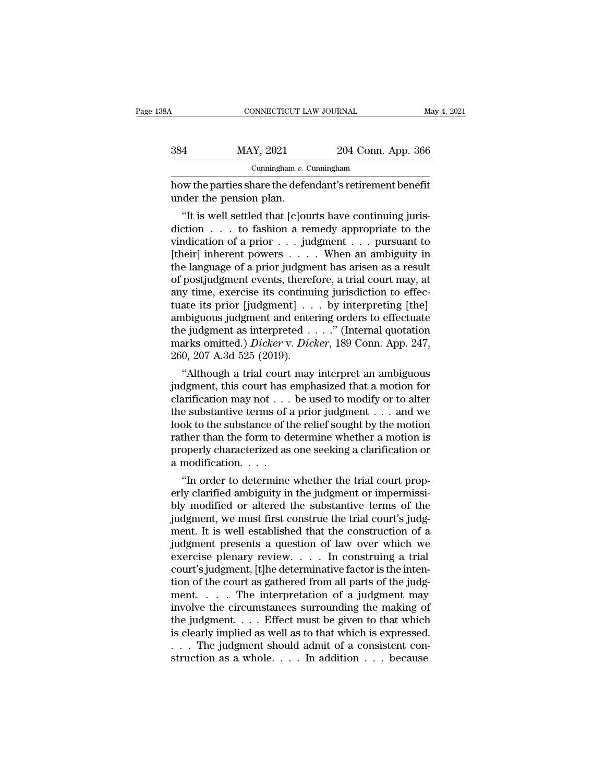| 88A | CONNECTICUT LAW JOURNAL                                                             |                    | May 4, 2021 |
|-----|-------------------------------------------------------------------------------------|--------------------|-------------|
| 384 | MAY, 2021                                                                           | 204 Conn. App. 366 |             |
|     | Cunningham $v$ . Cunningham                                                         |                    |             |
|     | how the parties share the defendant's retirement benefit<br>under the pension plan. |                    |             |
|     | "It is well settled that [c] ourts have continuing juris-                           |                    |             |

 $\frac{1}{204}$  MAY, 2021 204 Conn. App. 366<br>
Cunningham *v*. Cunningham<br>
w the parties share the defendant's retirement benefit<br>
der the pension plan.<br>
"It is well settled that [c]ourts have continuing juris-<br>
ction . . . to 384 MAY, 2021 204 Conn. App. 366<br>
Cunningham v. Cunningham<br>
how the parties share the defendant's retirement benefit<br>
under the pension plan.<br>
"It is well settled that [c]ourts have continuing juris-<br>
diction . . . to fas Cunningham v. Cunningham<br>
how the parties share the defendant's retirement benefit<br>
under the pension plan.<br>
"It is well settled that [c]ourts have continuing juris-<br>
diction . . . to fashion a remedy appropriate to the<br> how the parties share the defendant's retirement benefit<br>
under the pension plan.<br>
"It is well settled that [c]ourts have continuing juris-<br>
diction . . . to fashion a remedy appropriate to the<br>
vindication of a prior . . the parties share the defendant s retirement benefit<br>under the pension plan.<br>"It is well settled that [c]ourts have continuing juris-<br>diction  $\dots$  to fashion a remedy appropriate to the<br>vindication of a prior  $\dots$  judgmen under the pension plan.<br>
"It is well settled that [c]ourts have continuing juris-<br>
diction  $\ldots$  to fashion a remedy appropriate to the<br>
vindication of a prior  $\ldots$  judgment  $\ldots$  pursuant to<br>
[their] inherent powers  $\ld$ "It is well settled that [c]ourts have continuing juris-<br>diction  $\ldots$  to fashion a remedy appropriate to the<br>vindication of a prior  $\ldots$  judgment  $\ldots$  pursuant to<br>[their] inherent powers  $\ldots$ . When an ambiguity in<br>the diction . . . to fashion a remedy appropriate to the vindication of a prior . . . judgment . . . pursuant to [their] inherent powers . . . . When an ambiguity in the language of a prior judgment has arisen as a result of p vindication of a prior  $\dots$  judgment  $\dots$  pursuant to<br>[their] inherent powers  $\dots$ . When an ambiguity in<br>the language of a prior judgment has arisen as a result<br>of postjudgment events, therefore, a trial court may, at<br>any [their] inherent powers . . . . . When an ambiguity in<br>the language of a prior judgment has arisen as a result<br>of postjudgment events, therefore, a trial court may, at<br>any time, exercise its continuing jurisdiction to eff the language of a prior judgment has arisen as a result<br>of postjudgment events, therefore, a trial court may, at<br>any time, exercise its continuing jurisdiction to effec-<br>tuate its prior [judgment] . . . by interpreting [th % ambiguous judgment and entering orders to effectuate<br>the judgment as interpreted . . . . ." (Internal quotation<br>marks omitted.) *Dicker* v. *Dicker*, 189 Conn. App. 247,<br>260, 207 A.3d 525 (2019).<br>"Although a trial court y time, exercise its continuing jurisdiction to effect<br>ate its prior [judgment]  $\ldots$  by interpreting [the]<br>abiguous judgment and entering orders to effectuate<br>e judgment as interpreted  $\ldots$ ." (Internal quotation<br>arks om tuate its prior [Judgment]  $\ldots$  by interpreting [the]<br>ambiguous judgment and entering orders to effectuate<br>the judgment as interpreted  $\ldots$ ." (Internal quotation<br>marks omitted.) *Dicker* v. *Dicker*, 189 Conn. App. 247,

amolguous judgment and entering orders to effectuate<br>the judgment as interpreted . . . ." (Internal quotation<br>marks omitted.) *Dicker* v. *Dicker*, 189 Conn. App. 247,<br>260, 207 A.3d 525 (2019).<br>"Although a trial court may the judgment as interpreted . . . . (internal quotation<br>marks omitted.) *Dicker* v. *Dicker*, 189 Conn. App. 247,<br>260, 207 A.3d 525 (2019).<br>"Although a trial court may interpret an ambiguous<br>judgment, this court has empha marks omitted.) *Dicker* v. *Dicker*, 189 Conn. App. 247, 260, 207 A.3d 525 (2019).<br>
"Although a trial court may interpret an ambiguous judgment, this court has emphasized that a motion for clarification may not . . . be 260, 207 A.3d 525 (2019).<br>
"Although a trial court may interpret an ambiguous<br>
judgment, this court has emphasized that a motion for<br>
clarification may not  $\dots$  be used to modify or to alter<br>
the substantive terms of a pr "Although a trial court may interpret an ambiguous<br>judgment, this court has emphasized that a motion for<br>clarification may not . . . be used to modify or to alter<br>the substantive terms of a prior judgment . . . and we<br>loo % judgment, this court has clarification may not  $\dots$  the substantive terms of a look to the substance of the rather than the form to deproperly characterized as a modification.  $\dots$  "In order to determine  $\alpha$ <sup>'</sup><br>In order to determine whether a motion when the substantive terms of a prior judgment  $\dots$  and we<br>ok to the substance of the relief sought by the motion<br>ther than the form to determine whether a motion is<br>operly c the substantive terms of a prior judgment  $\ldots$  and we<br>look to the substance of the relief sought by the motion<br>rather than the form to determine whether a motion is<br>properly characterized as one seeking a clarification o

look to the substance of the relief sought by the motion<br>rather than the form to determine whether a motion is<br>properly characterized as one seeking a clarification or<br>a modification. . . .<br>"In order to determine whether rather than the form to determine whether a motion is<br>properly characterized as one seeking a clarification or<br>a modification. . . .<br>"In order to determine whether the trial court prop-<br>erly clarified ambiguity in the judg properly characterized as one seeking a clarification or<br>a modification. . . .<br>"In order to determine whether the trial court prop-<br>erly clarified ambiguity in the judgment or impermissi-<br>bly modified or altered the substa a modification. . . .<br>
"In order to determine whether the trial court prop-<br>
erly clarified ambiguity in the judgment or impermissi-<br>
bly modified or altered the substantive terms of the<br>
judgment, we must first construe t "In order to determine whether the trial court properly clarified ambiguity in the judgment or impermissi-<br>bly modified or altered the substantive terms of the<br>judgment, we must first construe the trial court's judgment. erly clarified ambiguity in the judgment or impermissi-<br>bly modified or altered the substantive terms of the<br>judgment, we must first construe the trial court's judg-<br>ment. It is well established that the construction of a<br> bly modified or altered the substantive terms of the judgment, we must first construe the trial court's judg-<br>ment. It is well established that the construction of a judgment presents a question of law over which we<br>exerci judgment, we must first construe the trial court's judgment. It is well established that the construction of a<br>judgment presents a question of law over which we<br>exercise plenary review. . . . In construing a trial<br>court's ment. It is well established that the construction of a<br>judgment presents a question of law over which we<br>exercise plenary review. . . . In construing a trial<br>court's judgment, [t]he determinative factor is the inten-<br>tio judgment presents a question of law over which we<br>exercise plenary review. . . . In construing a trial<br>court's judgment, [t]he determinative factor is the inten-<br>tion of the court as gathered from all parts of the judg-<br>m exercise plenary review. . . . In construing a trial<br>court's judgment, [t]he determinative factor is the inten-<br>tion of the court as gathered from all parts of the judg-<br>ment. . . . The interpretation of a judgment may<br>in court's judgment, [t]he determinative factor is the intention of the court as gathered from all parts of the judgment. . . . The interpretation of a judgment may involve the circumstances surrounding the making of the jud tion of the court as gathered from all parts of the judgement. . . . The interpretation of a judgment may involve the circumstances surrounding the making of the judgment. . . . Effect must be given to that which is clear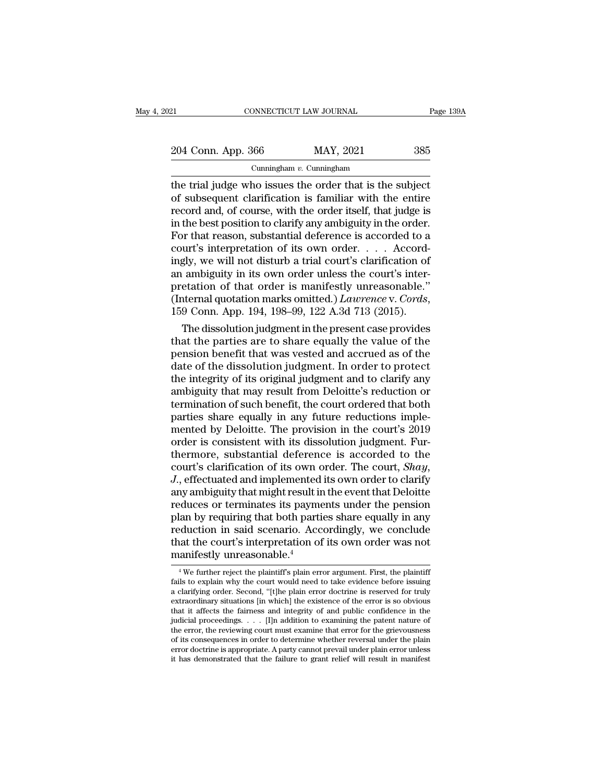21 CONNECTICUT LAW JOURNAL Page 139A<br>204 Conn. App. 366 MAY, 2021 385<br>Cunningham v. Cunningham

Cunningham *v.* Cunningham

EXECTE THE TRIAL TERRATE TELEVIDE THE TRIAL TERRATE ON THE TRIAL SET ON A Cunningham  $v$ . Cunningham<br>
The trial judge who issues the order that is the subject<br>
of subsequent clarification is familiar with the entire<br>
The 204 Conn. App. 366 MAY, 2021 385<br>
Cunningham v. Cunningham<br>
the trial judge who issues the order that is the subject<br>
of subsequent clarification is familiar with the entire<br>
record and, of course, with the order itself, 204 Conn. App. 366 MAY, 2021 385<br>
Cunningham v. Cunningham<br>
the trial judge who issues the order that is the subject<br>
of subsequent clarification is familiar with the entire<br>
record and, of course, with the order itself, 204 Conn. App. 366 MAY, 2021 385<br>
Cunningham v. Cunningham<br>
the trial judge who issues the order that is the subject<br>
of subsequent clarification is familiar with the entire<br>
record and, of course, with the order itself, For the trial judge who issues the order that is the subject<br>of subsequent clarification is familiar with the entire<br>record and, of course, with the order itself, that judge is<br>in the best position to clarify any ambiguit Cunningham v. Cunningham<br>the trial judge who issues the order that is the subject<br>of subsequent clarification is familiar with the entire<br>record and, of course, with the order itself, that judge is<br>in the best position to the trial judge who issues the order that is the subject<br>of subsequent clarification is familiar with the entire<br>record and, of course, with the order itself, that judge is<br>in the best position to clarify any ambiguity in of subsequent clarification is familiar with the entire<br>record and, of course, with the order itself, that judge is<br>in the best position to clarify any ambiguity in the order.<br>For that reason, substantial deference is acc record and, of course, with the order itself, that judge is<br>in the best position to clarify any ambiguity in the order.<br>For that reason, substantial deference is accorded to a<br>court's interpretation of its own order....Ac in the best position to clarify any ambiguity in the order.<br>For that reason, substantial deference is accorded to a<br>court's interpretation of its own order.... Accord-<br>ingly, we will not disturb a trial court's clarificati urt's interpretation of its own order. . . . Accord-<br>gly, we will not disturb a trial court's clarification of<br>ambiguity in its own order unless the court's inter-<br>etation of that order is manifestly unreasonable."<br>ternal ingly, we will not disturb a trial court's clarification of<br>an ambiguity in its own order unless the court's inter-<br>pretation of that order is manifestly unreasonable."<br>(Internal quotation marks omitted.) *Lawrence* v. *C* 

an ambiguity in its own order unless the court's inter-<br>pretation of that order is manifestly unreasonable."<br>(Internal quotation marks omitted.)  $Lawrence$  v.  $Cords$ ,<br>159 Conn. App. 194, 198–99, 122 A.3d 713 (2015).<br>The dissoluti pretation of that order is manifestly unreasonable."<br>(Internal quotation marks omitted.) *Lawrence* v. *Cords*,<br>159 Conn. App. 194, 198–99, 122 A.3d 713 (2015).<br>The dissolution judgment in the present case provides<br>that th (Internal quotation marks omitted.) *Lawrence* v. *Cords*,<br>159 Conn. App. 194, 198–99, 122 A.3d 713 (2015).<br>The dissolution judgment in the present case provides<br>that the parties are to share equally the value of the<br>pens 159 Conn. App. 194, 198–99, 122 A.3d 713 (2015).<br>
The dissolution judgment in the present case provides<br>
that the parties are to share equally the value of the<br>
pension benefit that was vested and accrued as of the<br>
date The dissolution judgment in the present case provides<br>that the parties are to share equally the value of the<br>pension benefit that was vested and accrued as of the<br>date of the dissolution judgment. In order to protect<br>the i that the parties are to share equally the value of the pension benefit that was vested and accrued as of the date of the dissolution judgment. In order to protect the integrity of its original judgment and to clarify any a pension benefit that was vested and accrued as of the<br>date of the dissolution judgment. In order to protect<br>the integrity of its original judgment and to clarify any<br>ambiguity that may result from Deloitte's reduction or<br>t date of the dissolution judgment. In order to protect<br>the integrity of its original judgment and to clarify any<br>ambiguity that may result from Deloitte's reduction or<br>termination of such benefit, the court ordered that bot the integrity of its original judgment and to clarify any<br>ambiguity that may result from Deloitte's reduction or<br>termination of such benefit, the court ordered that both<br>parties share equally in any future reductions imple ambiguity that may result from Deloitte's reduction or<br>termination of such benefit, the court ordered that both<br>parties share equally in any future reductions imple-<br>mented by Deloitte. The provision in the court's 2019<br>or parties share equally in any future reductions implemented by Deloitte. The provision in the court's 2019<br>order is consistent with its dissolution judgment. Fur-<br>thermore, substantial deference is accorded to the<br>court's c mented by Deloitte. The provision in the court's 2019<br>order is consistent with its dissolution judgment. Fur-<br>thermore, substantial deference is accorded to the<br>court's clarification of its own order. The court, *Shay*,<br>J. order is consistent with its dissolution judgment. Fur-<br>thermore, substantial deference is accorded to the<br>court's clarification of its own order. The court, *Shay*,<br>J., effectuated and implemented its own order to clarify thermore, substantial deference is accorded to the<br>court's clarification of its own order. The court, *Shay*,<br>J., effectuated and implemented its own order to clarify<br>any ambiguity that might result in the event that Deloi court's clarification of its own order. The court, *Shay*,<br>J., effectuated and implemented its own order to clarify<br>any ambiguity that might result in the event that Deloitte<br>reduces or terminates its payments under the pe  $J$ , effectuated and implemented<br>any ambiguity that might result in<br>reduces or terminates its payme<br>plan by requiring that both parti<br>reduction in said scenario. Acc<br>that the court's interpretation of<br>manifestly unreasona plan by requiring that both parties share equally in any<br>reduction in said scenario. Accordingly, we conclude<br>that the court's interpretation of its own order was not<br>manifestly unreasonable.<sup>4</sup><br>We further reject the plain reduction in said scenario. Accordingly, we conclude<br>that the court's interpretation of its own order was not<br>manifestly unreasonable.<sup>4</sup><br><sup>4</sup> We further reject the plaintiff's plain error argument. First, the plaintiff<br>fai

reduction in state sechario. The cordingly, we conclude that the court's interpretation of its own order was not manifestly unreasonable.<sup>4</sup><br><sup>4</sup> We further reject the plaintiff's plain error argument. First, the plaintiff that the COUT S Interpretation of its own order was not<br>manifestly unreasonable.<sup>4</sup><br> $\frac{4}{100}$  we further reject the plaintiff's plain error argument. First, the plaintiff<br>fails to explain why the court would need to tak manifestly unreasonable.<sup>4</sup><br>
<sup>4</sup> We further reject the plaintiff's plain error argument. First, the plaintiff<br>
fails to explain why the court would need to take evidence before issuing<br>
a clarifying order. Second, "[t]he <sup>4</sup> We further reject the plaintiff's plain error argument. First, the plaintiff fails to explain why the court would need to take evidence before issuing a clarifying order. Second, "[t]he plain error doctrine is reserve <sup>4</sup> We further reject the plaintiff's plain error argument. First, the plaintiff fails to explain why the court would need to take evidence before issuing a clarifying order. Second, "[t]he plain error doctrine is reserve fails to explain why the court would need to take evidence before issuing<br>a clarifying order. Second, "[t]he plain error doctrine is reserved for truly<br>extraordinary situations [in which] the existence of the error is so o a clarifying order. Second, "[t]he plain error doctrine is reserved for truly extraordinary situations [in which] the existence of the error is so obvious that it affects the fairness and integrity of and public confidence extraordinary situations [in which] the existence of the error is so obvious<br>that it affects the fairness and integrity of and public confidence in the<br>judicial proceedings. . . . [I]n addition to examining the patent nat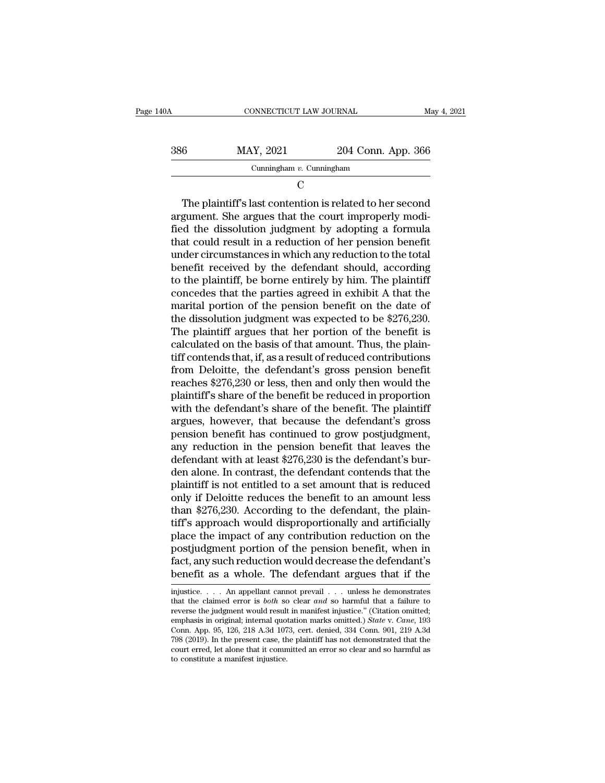| 140A | CONNECTICUT LAW JOURNAL     |                    | May 4, 2021 |
|------|-----------------------------|--------------------|-------------|
| 386  | MAY, 2021                   | 204 Conn. App. 366 |             |
|      | Cunningham $v$ . Cunningham |                    |             |
|      | €                           |                    |             |

386 MAY, 2021 204 Conn. App. 366<br>
Cunningham v. Cunningham<br>
C<br>
The plaintiff's last contention is related to her second<br>
argument. She argues that the court improperly modi-<br>
fied the dissolution judgment by adopting a fo  $f_{\text{MAY}}$ , 2021 204 Conn. App. 366<br>  $f_{\text{Cunningham}}$   $v_{\text{Cunningham}}$ <br>  $\text{C}$ <br>
The plaintiff's last contention is related to her second<br>
argument. She argues that the court improperly modi-<br>
fied the dissolution judgment by adopt Cunningham  $v$ . Cunningham<br>
C<br>
The plaintiff's last contention is related to her second<br>
argument. She argues that the court improperly modi-<br>
fied the dissolution judgment by adopting a formula<br>
that could result in a re C<br>
The plaintiff's last contention is related to her second<br>
argument. She argues that the court improperly modi-<br>
fied the dissolution judgment by adopting a formula<br>
that could result in a reduction of her pension benefi The plaintiff's last contention is related to her second<br>argument. She argues that the court improperly modi-<br>fied the dissolution judgment by adopting a formula<br>that could result in a reduction of her pension benefit<br>und The plaintiff's last contention is related to her second<br>argument. She argues that the court improperly modi-<br>fied the dissolution judgment by adopting a formula<br>that could result in a reduction of her pension benefit<br>unde argument. She argues that the court improperly modified the dissolution judgment by adopting a formula<br>that could result in a reduction of her pension benefit<br>under circumstances in which any reduction to the total<br>benefit fied the dissolution judgment by adopting a formula<br>that could result in a reduction of her pension benefit<br>under circumstances in which any reduction to the total<br>benefit received by the defendant should, according<br>to the that could result in a reduction of her pension benefit<br>under circumstances in which any reduction to the total<br>benefit received by the defendant should, according<br>to the plaintiff, be borne entirely by him. The plaintiff<br> under circumstances in which any reduction to the total<br>benefit received by the defendant should, according<br>to the plaintiff, be borne entirely by him. The plaintiff<br>concedes that the parties agreed in exhibit A that the<br>m benefit received by the defendant should, according<br>to the plaintiff, be borne entirely by him. The plaintiff<br>concedes that the parties agreed in exhibit A that the<br>marital portion of the pension benefit on the date of<br>the to the plaintiff, be borne entirely by him. The plaintiff<br>concedes that the parties agreed in exhibit A that the<br>marital portion of the pension benefit on the date of<br>the dissolution judgment was expected to be \$276,230.<br> concedes that the parties agreed in exhibit A that the<br>marital portion of the pension benefit on the date of<br>the dissolution judgment was expected to be \$276,230.<br>The plaintiff argues that her portion of the benefit is<br>cal marital portion of the pension benefit on the date of<br>the dissolution judgment was expected to be \$276,230.<br>The plaintiff argues that her portion of the benefit is<br>calculated on the basis of that amount. Thus, the plain-<br>t the dissolution judgment was expected to be \$276,230.<br>The plaintiff argues that her portion of the benefit is<br>calculated on the basis of that amount. Thus, the plain-<br>tiff contends that, if, as a result of reduced contribu The plaintiff argues that her portion of the benefit is<br>calculated on the basis of that amount. Thus, the plain-<br>tiff contends that, if, as a result of reduced contributions<br>from Deloitte, the defendant's gross pension ben calculated on the basis of that amount. Thus, the plain-<br>tiff contends that, if, as a result of reduced contributions<br>from Deloitte, the defendant's gross pension benefit<br>reaches \$276,230 or less, then and only then would tiff contends that, if, as a result of reduced contributions<br>from Deloitte, the defendant's gross pension benefit<br>reaches \$276,230 or less, then and only then would the<br>plaintiff's share of the benefit be reduced in propor from Deloitte, the defendant's gross pension benefit<br>reaches \$276,230 or less, then and only then would the<br>plaintiff's share of the benefit be reduced in proportion<br>with the defendant's share of the benefit. The plaintiff reaches \$276,230 or less, then and only then would the plaintiff's share of the benefit be reduced in proportion with the defendant's share of the benefit. The plaintiff argues, however, that because the defendant's gross plaintiff's share of the benefit be reduced in proportion<br>with the defendant's share of the benefit. The plaintiff<br>argues, however, that because the defendant's gross<br>pension benefit has continued to grow postjudgment,<br>any with the defendant's share of the benefit. The plaintiff<br>argues, however, that because the defendant's gross<br>pension benefit has continued to grow postjudgment,<br>any reduction in the pension benefit that leaves the<br>defendan argues, however, that because the defendant's gross<br>pension benefit has continued to grow postjudgment,<br>any reduction in the pension benefit that leaves the<br>defendant with at least \$276,230 is the defendant's bur-<br>den alon pension benefit has continued to grow postjudgment,<br>any reduction in the pension benefit that leaves the<br>defendant with at least \$276,230 is the defendant's bur-<br>den alone. In contrast, the defendant contends that the<br>plai any reduction in the pension benefit that leaves the<br>defendant with at least \$276,230 is the defendant's bur-<br>den alone. In contrast, the defendant contends that the<br>plaintiff is not entitled to a set amount that is reduce defendant with at least \$276,230 is the defendant's burden alone. In contrast, the defendant contends that the plaintiff is not entitled to a set amount that is reduced only if Deloitte reduces the benefit to an amount les den alone. In contrast, the defendant contends that the plaintiff is not entitled to a set amount that is reduced<br>only if Deloitte reduces the benefit to an amount less<br>than \$276,230. According to the defendant, the plainplaintiff is not entitled to a set amount that is reduced<br>only if Deloitte reduces the benefit to an amount less<br>than \$276,230. According to the defendant, the plain-<br>tiff's approach would disproportionally and artificiall only if Deloitte reduces the benefit to an amount less<br>than \$276,230. According to the defendant, the plain-<br>tiff's approach would disproportionally and artificially<br>place the impact of any contribution reduction on the<br>p place the impact of any contribution reduction on the postjudgment portion of the pension benefit, when in fact, any such reduction would decrease the defendant's benefit as a whole. The defendant argues that if the injus postjudgment portion of the pension benefit, when in fact, any such reduction would decrease the defendant's benefit as a whole. The defendant argues that if the injustice. . . . An appellant cannot prevail . . . unless he

fact, any such reduction would decrease the defendant's benefit as a whole. The defendant argues that if the injustice.... An appellant cannot prevail ... unless he demonstrates that the claimed error is *both* so clear Fact, any such reduction would decrease the defendant is<br>benefit as a whole. The defendant argues that if the<br>injustice.... An appellant cannot prevail ... unless he demonstrates<br>that the claimed error is *both* so clear a **benefit as a whole. The defendant argues that if the**<br>injustice. . . . An appellant cannot prevail . . . unless he demonstrates<br>that the claimed error is *both* so clear and so harmful that a failure to<br>reverse the judgm injustice. . . . An appellant cannot prevail . . . unless he demonstrates that the claimed error is *both* so clear *and* so harmful that a failure to reverse the judgment would result in manifest injustice." (Citation om injustice. . . . An appellant cannot prevail . . . unless he demonstrates<br>that the claimed error is *both* so clear *and* so harmful that a failure to<br>reverse the judgment would result in manifest injustice." (Citation om emphasis in original; internal quotation marks omitted.) State v. Cane, 193 Conn. App. 95, 126, 218 A.3d 1073, cert. denied, 334 Conn. 901, 219 A.3d 798 (2019). In the present case, the plaintiff has not demonstrated that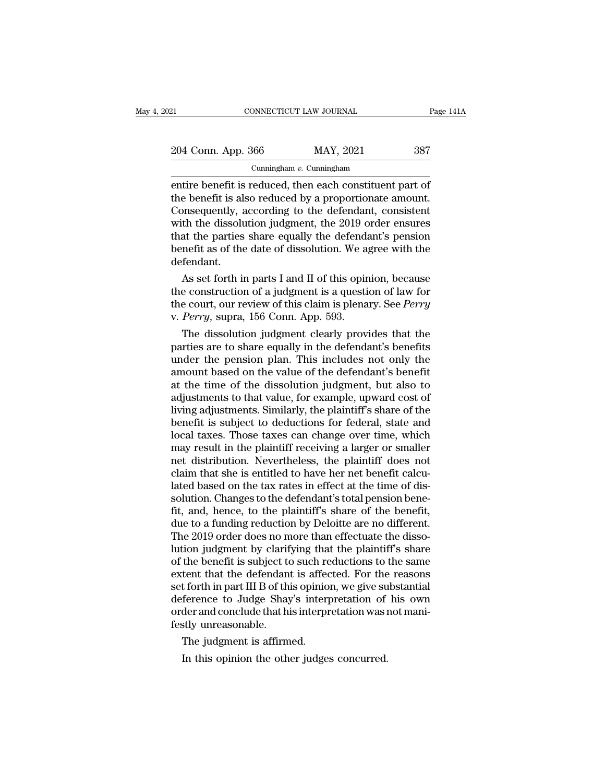| )21                                                                                                                                                                      | CONNECTICUT LAW JOURNAL     | Page 141A |
|--------------------------------------------------------------------------------------------------------------------------------------------------------------------------|-----------------------------|-----------|
| 204 Conn. App. 366                                                                                                                                                       | MAY, 2021                   | 387       |
|                                                                                                                                                                          | Cunningham $v$ . Cunningham |           |
| entire benefit is reduced, then each constituent part of<br>the benefit is also reduced by a proportionate amount.<br>Consequently according to the defendant consistent |                             |           |

204 Conn. App. 366 MAY, 2021 387<br>
Cunningham v. Cunningham<br>
entire benefit is reduced, then each constituent part of<br>
the benefit is also reduced by a proportionate amount.<br>
Consequently, according to the defendant, consis 204 Conn. App. 366 MAY, 2021 387<br>
Cunningham v. Cunningham<br>
entire benefit is reduced, then each constituent part of<br>
the benefit is also reduced by a proportionate amount.<br>
Consequently, according to the defendant, consi 204 Conn. App. 366 MAY, 2021 387<br>
Cunningham v. Cunningham<br>
entire benefit is reduced, then each constituent part of<br>
the benefit is also reduced by a proportionate amount.<br>
Consequently, according to the defendant, consi Cunningham v. Cunningham<br>
entire benefit is reduced, then each constituent part of<br>
the benefit is also reduced by a proportionate amount.<br>
Consequently, according to the defendant, consistent<br>
with the dissolution judgme Cunningham  $v$ . Cunningham<br>
entire benefit is reduced, then each constituent part of<br>
the benefit is also reduced by a proportionate amount.<br>
Consequently, according to the defendant, consistent<br>
with the dissolution judg defendant. e benefit is also reduced by a proportionate amount.<br>
Insequently, according to the defendant, consistent<br>
th the dissolution judgment, the 2019 order ensures<br>
at the parties share equally the defendant's pension<br>
nefit as Consequently, according to the detendant, consistent<br>with the dissolution judgment, the 2019 order ensures<br>that the parties share equally the defendant's pension<br>benefit as of the date of dissolution. We agree with the<br>de

with the alssolution judgment, the 2019 order ensures<br>that the parties share equally the defendant's pension<br>benefit as of the date of dissolution. We agree with the<br>defendant.<br>As set forth in parts I and II of this opinio that the parties share equally the defendable benefit as of the date of dissolution. We allefendant.<br>As set forth in parts I and II of this opir<br>the construction of a judgment is a questi<br>the court, our review of this clai The dissolution is a given that the dissolution.<br>
As set forth in parts I and II of this opinion, because<br>
e construction of a judgment is a question of law for<br>
e court, our review of this claim is plenary. See *Perry<br>
Pe* As set forth in parts I and II of this opinion, because<br>the construction of a judgment is a question of law for<br>the court, our review of this claim is plenary. See *Perry*<br>v. *Perry*, supra, 156 Conn. App. 593.<br>The dissol

As set forth in parts I and II of this opinion, because<br>the construction of a judgment is a question of law for<br>the court, our review of this claim is plenary. See *Perry*<br>v. *Perry*, supra, 156 Conn. App. 593.<br>The dissolu the construction of a judgment is a question of law for<br>the court, our review of this claim is plenary. See *Perry*<br>v. *Perry*, supra, 156 Conn. App. 593.<br>The dissolution judgment clearly provides that the<br>parties are to s the court, our review of this claim is plenary. See *Perry*<br>v. *Perry*, supra, 156 Conn. App. 593.<br>The dissolution judgment clearly provides that the<br>parties are to share equally in the defendant's benefits<br>under the pensi v. Perry, supra, 156 Conn. App. 593.<br>The dissolution judgment clearly provides that the<br>parties are to share equally in the defendant's benefits<br>under the pension plan. This includes not only the<br>amount based on the value The dissolution judgment clearly provides that the<br>parties are to share equally in the defendant's benefits<br>under the pension plan. This includes not only the<br>amount based on the value of the defendant's benefit<br>at the tim parties are to share equally in the defendant's benefits<br>under the pension plan. This includes not only the<br>amount based on the value of the defendant's benefit<br>at the time of the dissolution judgment, but also to<br>adjustme under the pension plan. This includes not only the<br>amount based on the value of the defendant's benefit<br>at the time of the dissolution judgment, but also to<br>adjustments to that value, for example, upward cost of<br>living adj amount based on the value of the defendant's benefit<br>at the time of the dissolution judgment, but also to<br>adjustments to that value, for example, upward cost of<br>living adjustments. Similarly, the plaintiff's share of the<br>b at the time of the dissolution judgment, but also to<br>adjustments to that value, for example, upward cost of<br>living adjustments. Similarly, the plaintiff's share of the<br>benefit is subject to deductions for federal, state an adjustments to that value, for example, upward cost of<br>living adjustments. Similarly, the plaintiff's share of the<br>benefit is subject to deductions for federal, state and<br>local taxes. Those taxes can change over time, whic living adjustments. Similarly, the plaintiff's share of the benefit is subject to deductions for federal, state and local taxes. Those taxes can change over time, which may result in the plaintiff receiving a larger or sma benefit is subject to deductions for federal, state and<br>local taxes. Those taxes can change over time, which<br>may result in the plaintiff receiving a larger or smaller<br>net distribution. Nevertheless, the plaintiff does not<br> local taxes. Those taxes can change over time, which<br>may result in the plaintiff receiving a larger or smaller<br>net distribution. Nevertheless, the plaintiff does not<br>claim that she is entitled to have her net benefit calcu may result in the plaintiff receiving a larger or smaller<br>net distribution. Nevertheless, the plaintiff does not<br>claim that she is entitled to have her net benefit calcu-<br>lated based on the tax rates in effect at the time net distribution. Nevertheless, the plaintiff does not<br>claim that she is entitled to have her net benefit calcu-<br>lated based on the tax rates in effect at the time of dis-<br>solution. Changes to the defendant's total pension claim that she is entitled to have her net benefit calculated based on the tax rates in effect at the time of dissolution. Changes to the defendant's total pension benefit, and, hence, to the plaintiff's share of the benef lated based on the tax rates in effect at the time of dissolution. Changes to the defendant's total pension benefit, and, hence, to the plaintiff's share of the benefit, due to a funding reduction by Deloitte are no differ solution. Changes to the defendant's total pension bene-<br>fit, and, hence, to the plaintiff's share of the benefit,<br>due to a funding reduction by Deloitte are no different.<br>The 2019 order does no more than effectuate the di fit, and, hence, to the plaintiff's share of the benefit,<br>due to a funding reduction by Deloitte are no different.<br>The 2019 order does no more than effectuate the disso-<br>lution judgment by clarifying that the plaintiff's s due to a funding reduction by Deloitte are no different.<br>The 2019 order does no more than effectuate the disso-<br>lution judgment by clarifying that the plaintiff's share<br>of the benefit is subject to such reductions to the s The 2019 order does no more than effectuate the dissolution judgment by clarifying that the plaintiff's share of the benefit is subject to such reductions to the same extent that the defendant is affected. For the reasons lution judgment by clarif<br>of the benefit is subject to<br>extent that the defendant<br>set forth in part III B of thi<br>deference to Judge Shay<br>order and conclude that hi<br>festly unreasonable.<br>The judgment is affirm the benefit is subject to such reflect that the defendant is affect forth in part III B of this opiniof ference to Judge Shay's interprence to Judge Shay's interprence and conclude that his interprently unreasonable.<br>The j In this opinion is already in the determinant is directed. To the<br>Interference to Judge Shay's interpretation of<br>der and conclude that his interpretation was istly unreasonable.<br>The judgment is affirmed.<br>In this opinion th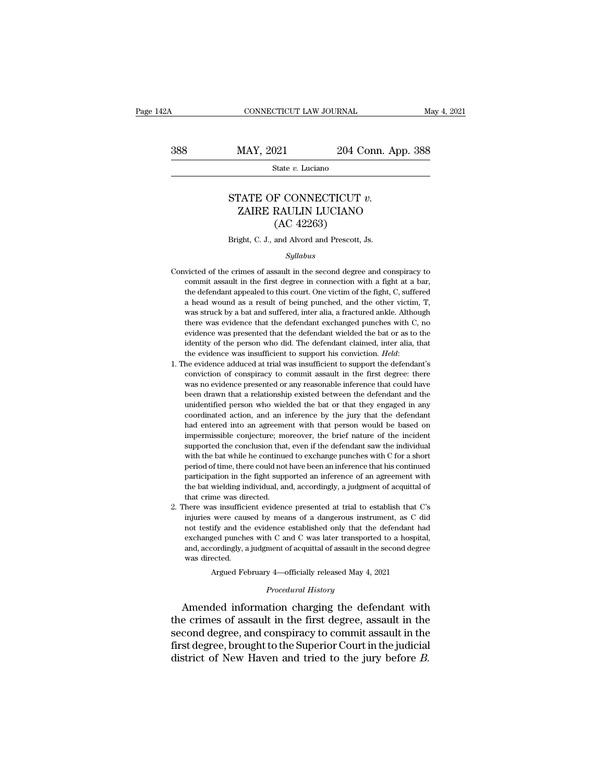$\begin{tabular}{lll} \multicolumn{2}{l}{{\text{CONNECTICUT LAW JOURNAL}}} & \multicolumn{2}{l}{May\ 4,\ 2021} \\ \hline & \multicolumn{2}{l}{\text{May 4, 2021}} & \multicolumn{2}{l}{204}\text{ Conn. App. 388} \\ & \multicolumn{2}{l}{\text{State $v$. Luciano}} & \end{tabular}$ 

State *v.* Luciano

# MAY, 2021 204 Conn. App. 3<br>
State *v.* Luciano<br>
STATE OF CONNECTICUT *v.*<br>
ZAIRE RAULIN LUCIANO MAY, 2021 204 Conn. App. 388<br>
State v. Luciano<br>
TATE OF CONNECTICUT v.<br>
ZAIRE RAULIN LUCIANO (AC 42263)  $\frac{204 \text{ C}}{204 \text{ C}}$ <br>
State v. Luciano<br>
F CONNECTICUT<br>
RAULIN LUCIANO<br>
(AC 42263)<br>
and Alvord and Prescott, . STATE OF CONNECTICUT  $v$ .<br>
ZAIRE RAULIN LUCIANO<br>
(AC 42263)<br>
Bright, C. J., and Alvord and Prescott, Js.<br>
Syllabus

### *Syllabus*

- CATIVE RAULIN LOUTAING<br>  $(AC 42263)$ <br>
Bright, C. J., and Alvord and Prescott, Js.<br>
Syllabus<br>
Convicted of the crimes of assault in the second degree and conspiracy to<br>
commit assault in the first degree in connection with  $(AC 42263)$ <br>Bright, C. J., and Alvord and Prescott, Js.<br>Syllabus<br>victed of the crimes of assault in the second degree and conspiracy to<br>commit assault in the first degree in connection with a fight at a bar,<br>the defendant Bright, C. J., and Alvord and Prescott, Js.<br>
Syllabus<br>
victed of the crimes of assault in the second degree and conspiracy to<br>
commit assault in the first degree in connection with a fight at a bar,<br>
the defendant appealed and the second degree and conspiracy to<br>significant assault in the second degree and conspiracy to<br>commit assault in the first degree in connection with a fight at a bar,<br>the defendant appealed to this court. One victim of  $Syllabus$ <br>wicted of the crimes of assault in the second degree and conspiracy to<br>commit assault in the first degree in connection with a fight at a bar,<br>the defendant appealed to this court. One victim of the fight, C, suffe victed of the crimes of assault in the second degree and conspiracy to commit assault in the first degree in connection with a fight at a bar, the defendant appealed to this court. One victim of the fight, C, suffered a he Freedom of the crimes of assault in the second degree and complete of commit assault in the first degree in connection with a fight at a bar, the defendant appealed to this court. One victim of the fight, C, suffered a he identify discussed in the most digree in connection with a right at bat, the defendant appealed to this court. One victim of the fight, C, suffered a head wound as a result of being punched, and the other victim, T, was s a head wound as a result of being punched, and the other victim, T, was struck by a bat and suffered, inter alia, a fractured ankle. Although there was evidence that the defendant exchanged punches with C, no evidence was There was evidence that the defendant exchanged punches with C, no<br>evidence was presented that the defendant wielded the bat or as to the<br>identity of the person who did. The defendant claimed, inter alia, that<br>the evidenc
- and the vidence was presented that the defendant wielded the bat or as to the identity of the person who did. The defendant claimed, inter alia, that the evidence was insufficient to support his conviction. *Held*: the evi between that a relationship existed between the defendant and the evidence was insufficient to support his conviction. *Held*: the evidence adduced at trial was insufficient to support the defendant's conviction of conspir netatively of are person who unately the evidence was insufficient to support his conviction. *Held*:<br>the evidence adduced at trial was insufficient to support the defendant's<br>conviction of conspiracy to commit assault in the evidence was insulficent to support its conviction. Treat.<br>
he evidence adduced at trial was insufficient to support the defendant's<br>
conviction of conspiracy to commit assault in the first degree: there<br>
was no eviden had entered and that was insulfuent to support the deretaints conviction of conspiracy to commit assault in the first degree: there was no evidence presented or any reasonable inference that could have been drawn that a re impermissible conjecture; moreover, the brief nature of the incident supported the open drawn that a relationship existed between the defendant and the unidentified person who wielded the bat or that they engaged in any co was no evidence presented or any reasonable interested that colled have been drawn that a relationship existed between the defendant and the unidentified person who wielded the bat or that they engaged in any coordinated a be different mannifold person who wielded the bat or that they engaged in any coordinated action, and an inference by the jury that the defendant had entered into an agreement with that person would be based on impermissib matchmed person who wielded are sub-<br>coordinated action, and an inference by the jury that the defendant<br>had entered into an agreement with that person would be based on<br>impermissible conjecture; moreover, the brief nature bad entered into an agreement with that person would be based on impermissible conjecture; moreover, the brief nature of the incident supported the conclusion that, even if the defendant saw the individual with the bat whi the bat wielding individual, and, accordingly, a judgment of acquittal of the model is upported the conclusion that, even if the defendant saw the individual with the bat while he continued to exchange punches with C for a % supported the conclusion that, even if the defendant saw the individual<br>with the bat while he continued to exchange punches with  $C$  for a short<br>period of time, there could not have been an inference that his continued<br> 2. There was insufficient evidence presented at trial to establish that C's injuries were caused by means of a dangerous instrument, as C did injuries were caused by means of a dangerous instrument, as C did  $\alpha$ . in the stable interest of the containing particles with the bat wind of the participation in the fight supported an inference of an agreement with the bat wielding individual, and, accordingly, a judgment of acquittal of t
- participation in the fight supported an inference and its continued<br>participation in the fight supported an inference of an agreement with<br>the bat wielding individual, and, accordingly, a judgment of acquittal of<br>that crim punched and interface of an agreement with<br>the bat wielding individual, and, accordingly, a judgment of acquittal of<br>that crime was directed.<br>here was insufficient evidence presented at trial to establish that C's<br>injuries that crime was directed.<br>here was insufficient evidence presented at trial to establish that C's<br>injuries were caused by means of a dangerous instrument, as C did<br>not testify and the evidence established only that the defe rata crine was an<br>here was insufficient<br>injuries were cause<br>not testify and the<br>exchanged punche<br>and, accordingly, a<br>was directed.<br>Argued Fel were caused by means of a dangerous instrument, as C diffy and the evidence established only that the defendant has<br>ged punches with C and C was later transported to a hospital cordingly, a judgment of acquittal of assaul % not testify and the evidence established only that the defendant had exchanged punches with C and C was later transported to a hospital, and, accordingly, a judgment of acquittal of assault in the second degree was dire not testify and the evidence established only that the defendant had<br>exchanged punches with C and C was later transported to a hospital,<br>and, accordingly, a judgment of acquittal of assault in the second degree<br>was directe

exchanged punches with C and C was later transported to a hospital,<br>and, accordingly, a judgment of acquittal of assault in the second degree<br>was directed.<br>Argued February 4—officially released May 4, 2021<br>*Procedural Hist* second degree, and conspiracy to commit assault in the second degree, and conspiracy to commit assault in the first degree, brought to the Superior Court in the judicial district of Now Havon and tried to the jury before Argued February 4—officially released May 4, 2021<br> *Procedural History*<br> **Amended information charging the defendant with**<br>
the crimes of assault in the first degree, assault in the<br>
second degree, and conspiracy to commit Procedural History<br>Amended information charging the defendant with<br>the crimes of assault in the first degree, assault in the<br>second degree, and conspiracy to commit assault in the<br>first degree, brought to the Superior Cour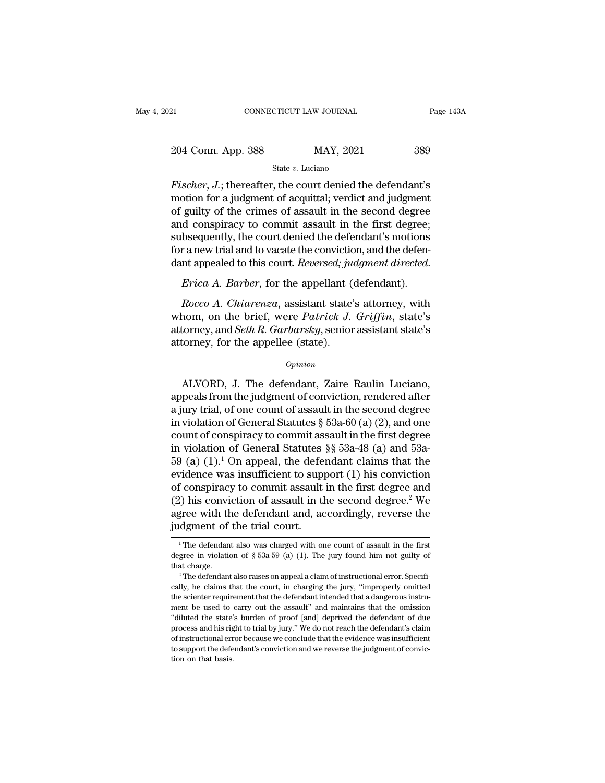| 21                 | CONNECTICUT LAW JOURNAL |           | Page 143A |
|--------------------|-------------------------|-----------|-----------|
|                    |                         |           |           |
| 204 Conn. App. 388 |                         | MAY, 2021 | 389       |
|                    | State v. Luciano        |           |           |

*Fischer, J.*; thereafter, the court denied the defendant's<br> *Fischer, J.*; thereafter, the court denied the defendant's<br> *Fischer, J.*; thereafter, the court denied the defendant's<br>
motion for a judgment of acquittal; ver 204 Conn. App. 388 MAY, 2021 389<br>
State v. Luciano<br>
Fischer, J.; thereafter, the court denied the defendant's<br>
motion for a judgment of acquittal; verdict and judgment<br>
of guilty of the crimes of assault in the second deg 204 Conn. App. 388 MAY, 2021 389<br>
State v. Luciano<br>
Fischer, J.; thereafter, the court denied the defendant's<br>
motion for a judgment of acquittal; verdict and judgment<br>
of guilty of the crimes of assault in the second deg 204 Conn. App. 388 MAY, 2021 389<br>  $\frac{\text{State } v. \text{ Luciano}}{\text{State } v. \text{ Luciano}}$ <br>
Fischer, J.; thereafter, the court denied the defendant's<br>
motion for a judgment of acquittal; verdict and judgment<br>
of guilty of the crimes of assault in State v. Luciano<br>Fischer, J.; thereafter, the court denied the defendant's<br>motion for a judgment of acquittal; verdict and judgment<br>of guilty of the crimes of assault in the second degree<br>and conspiracy to commit assault Fischer,  $J$ .; thereafter, the court denied the defendant's<br>motion for a judgment of acquittal; verdict and judgment<br>of guilty of the crimes of assault in the second degree<br>and conspiracy to commit assault in the first de Fischer, J.; thereafter, the court denied the defendant's<br>motion for a judgment of acquittal; verdict and judgment<br>of guilty of the crimes of assault in the second degree<br>and conspiracy to commit assault in the first degre *Rocco A. Chiarenza*, assistant state's attorney and Seth *P. Garbarchy* and the defendant's motions r a new trial and to vacate the conviction, and the defen-<br>*Rocco A. Barber*, for the appellant (defendant).<br>*Rocco A. Ch* 

subsequently, the court denied the defendant's motions<br>for a new trial and to vacate the conviction, and the defen-<br>dant appealed to this court. *Reversed*; judgment directed.<br>*Frica A. Barber*, for the appellant (defendan for a new trial and to vacate the conviction, and the defen-<br>dant appealed to this court. *Reversed*; *judgment directed.*<br>*Frica A. Barber*, for the appellant (defendant).<br>*Rocco A. Chiarenza*, assistant state's attorney, dant appealed to this court. *Reversed*; *ju*<br>*Erica A. Barber*, for the appellant (*Rocco A. Chiarenza*, assistant state'<br>whom, on the brief, were *Patrick J.*<br>attorney, and *Seth R. Garbarsky*, senior<br>attorney, for the a Rocco A. Chiarenza, assistant state's attorney, with<br>nom, on the brief, were *Patrick J. Griffin*, state's<br>torney, and *Seth R. Garbarsky*, senior assistant state's<br>formey, for the appellee (state).<br>*Opinion*<br>ALVORD, J. Th

## *Opinion*

whom, on the brief, were *Patrick J. Griffin*, state's<br>attorney, and *Seth R. Garbarsky*, senior assistant state's<br>attorney, for the appellee (state).<br> $o_{pinion}$ <br>ALVORD, J. The defendant, Zaire Raulin Luciano,<br>appeals from t attorney, and *Seth R. Garbarsky*, senior assistant state's<br>attorney, for the appellee (state).<br> $\frac{opinion}{opinon}$ <br>ALVORD, J. The defendant, Zaire Raulin Luciano,<br>appeals from the judgment of conviction, rendered after<br>a jury attorney, for the appellee (state).<br>  $\qquad$   $\qquad$   $\qquad$   $\qquad$   $\qquad$   $\qquad$   $\qquad$   $\qquad$   $\qquad$   $\qquad$   $\qquad$   $\qquad$   $\qquad$   $\qquad$   $\qquad$   $\qquad$   $\qquad$   $\qquad$   $\qquad$   $\qquad$   $\qquad$   $\qquad$   $\qquad$   $\qquad$   $\qquad$   $\qquad$   $\qquad$   $\qquad$   $\qquad$   $\qquad$   $\qquad$ opinion<br>
commission appeals from the judgment of conviction, rendered after<br>
a jury trial, of one count of assault in the second degree<br>
in violation of General Statutes § 53a-60 (a) (2), and one<br>
count of conspiracy to c ALVORD, J. The defendant, Zaire Raulin Luciano,<br>appeals from the judgment of conviction, rendered after<br>a jury trial, of one count of assault in the second degree<br>in violation of General Statutes §§ 53a-60 (a) (2), and on ALVORD, J. The defendant, Zaire Raulin Luciano,<br>appeals from the judgment of conviction, rendered after<br>a jury trial, of one count of assault in the second degree<br>in violation of General Statutes § 53a-60 (a) (2), and one appeals from the judgment of conviction, rendered after<br>a jury trial, of one count of assault in the second degree<br>in violation of General Statutes § 53a-60 (a) (2), and one<br>count of conspiracy to commit assault in the fi a jury trial, of one count of assault in the second degree<br>in violation of General Statutes § 53a-60 (a) (2), and one<br>count of conspiracy to commit assault in the first degree<br>in violation of General Statutes §§ 53a-48 (a in violation of General Statutes § 53a-60 (a) (2), and one<br>count of conspiracy to commit assault in the first degree<br>in violation of General Statutes §§ 53a-48 (a) and 53a-<br>59 (a) (1).<sup>1</sup> On appeal, the defendant claims t count of conspiracy to commit assault in the first degree<br>in violation of General Statutes §§ 53a-48 (a) and 53a-<br>59 (a)  $(1).^1$  On appeal, the defendant claims that the<br>evidence was insufficient to support  $(1)$  his conv in violation of General Statutes<br>59 (a)  $(1)$ .<sup>1</sup> On appeal, the deferevidence was insufficient to suppof conspiracy to commit assault in the trial court.<br>(2) his conviction of assault in the agree with the defendant and, % of conspiracy to commit assault in the first degree and (2) his conviction of assault in the second degree.<sup>2</sup> We agree with the defendant and, accordingly, reverse the judgment of the trial court.<br>
<sup>1</sup>The defendant als (2) his conviction of assault in the second degree.<sup>2</sup> We agree with the defendant and, accordingly, reverse the judgment of the trial court.<br>
<sup>1</sup>The defendant also was charged with one count of assault in the first degre

agree with the defendant and, accordingly, reverse the judgment of the trial court.<br>
<sup>1</sup>The defendant also was charged with one count of assault in the first degree in violation of § 53a-59 (a) (1). The jury found him not

The defendant also was charged with one count of assault in the first<br>degree in violation of  $\S$  53a-59 (a) (1). The jury found him not guilty of<br>that charge.<br><sup>2</sup> The defendant also raises on appeal a claim of instruction degree in violation of  $\S$  53a-59 (a) (1). The jury found him not guilty of that charge.<br>
<sup>2</sup> The defendant also raises on appeal a claim of instructional error. Specifically, he claims that the court, in charging the jur degree in violation of  $\S$  53a-59 (a) (1). The jury found him not guilty of that charge.<br><sup>2</sup> The defendant also raises on appeal a claim of instructional error. Specifically, he claims that the court, in charging the jury that charge.<br>
<sup>2</sup> The defendant also raises on appeal a claim of instructional error. Specifically, he claims that the court, in charging the jury, "improperly omitted the scienter requirement that the defendant intended <sup>2</sup> The defendant also raises on appeal a claim of instructional error. Specifically, he claims that the court, in charging the jury, "improperly omitted the scienter requirement that the defendant intended that a dangerou cally, he claims that the court, in charging the jury, "improperly omitted the scienter requirement that the defendant intended that a dangerous instrument be used to carry out the assault" and maintains that the omission the scienter requirement that the defendant intended that a dangerous instru-"diluted the state's burden of proof [and] deprived the defendant of due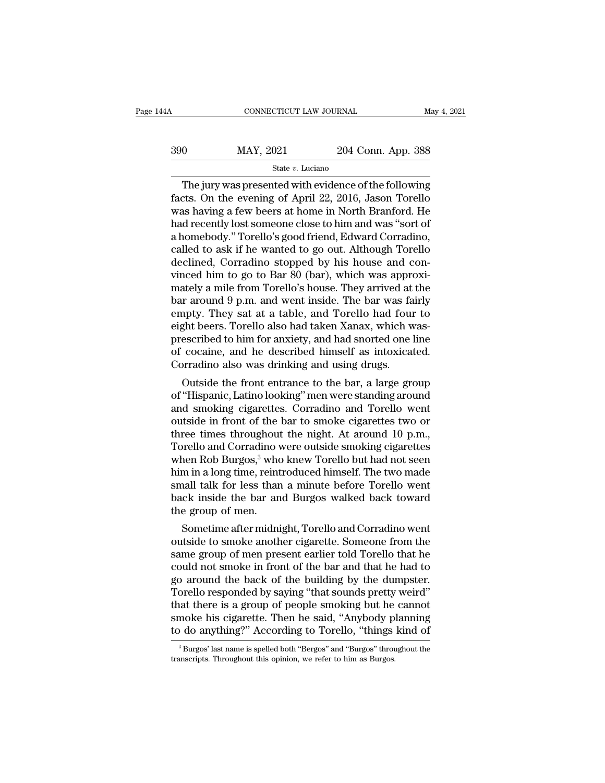| 44 A | CONNECTICUT LAW JOURNAL |                    | May 4, 2021 |
|------|-------------------------|--------------------|-------------|
| 390  | MAY, 2021               | 204 Conn. App. 388 |             |
|      | State v. Luciano        |                    |             |

CONNECTICUT LAW JOURNAL May 4, 2021<br>  $\begin{array}{r}\n 0 \text{ MAY, } 2021 \text{ Z04 Conn. App. 388}\n \hline\n \text{State } v. \text{ Luciano}\n \end{array}$ <br>
The jury was presented with evidence of the following<br>
cts. On the evening of April 22, 2016, Jason Torello  $\begin{array}{r} \text{MAX, 2021} \\ \text{State } v. \text{ Luciano} \end{array}$ <br>
The jury was presented with evidence of the following<br>
facts. On the evening of April 22, 2016, Jason Torello<br>
was having a few beers at home in North Branford. He<br>
had recently le  $\frac{\text{MAX, 2021}}{\text{State } v. \text{ Luciano}}$ <br>
State  $v. \text{ Luciano}}$ <br>
The jury was presented with evidence of the following<br>
facts. On the evening of April 22, 2016, Jason Torello<br>
was having a few beers at home in North Branford. He<br>
had rece  $\frac{\text{MAX, 2021}}{\text{State } v. \text{ Luciano}}$ <br>
The jury was presented with evidence of the following<br>
facts. On the evening of April 22, 2016, Jason Torello<br>
was having a few beers at home in North Branford. He<br>
had recently lost someone The jury was presented with evidence of the following<br>facts. On the evening of April 22, 2016, Jason Torello<br>was having a few beers at home in North Branford. He<br>had recently lost someone close to him and was "sort of<br>a h State v. Luciano<br>
The jury was presented with evidence of the following<br>
facts. On the evening of April 22, 2016, Jason Torello<br>
was having a few beers at home in North Branford. He<br>
had recently lost someone close to him The jury was presented with evidence of the following<br>facts. On the evening of April 22, 2016, Jason Torello<br>was having a few beers at home in North Branford. He<br>had recently lost someone close to him and was "sort of<br>a ho facts. On the evening of April 22, 2016, Jason Torello<br>was having a few beers at home in North Branford. He<br>had recently lost someone close to him and was "sort of<br>a homebody." Torello's good friend, Edward Corradino,<br>call was having a few beers at home in North Branford. He<br>had recently lost someone close to him and was "sort of<br>a homebody." Torello's good friend, Edward Corradino,<br>called to ask if he wanted to go out. Although Torello<br>decl had recently lost someone close to him and was "sort of<br>a homebody." Torello's good friend, Edward Corradino,<br>called to ask if he wanted to go out. Although Torello<br>declined, Corradino stopped by his house and con-<br>vinced a homebody." Torello's good friend, Edward Corradino,<br>called to ask if he wanted to go out. Although Torello<br>declined, Corradino stopped by his house and con-<br>vinced him to go to Bar 80 (bar), which was approxi-<br>mately a m called to ask if he wanted to go out. Although Torello<br>declined, Corradino stopped by his house and con-<br>vinced him to go to Bar 80 (bar), which was approxi-<br>mately a mile from Torello's house. They arrived at the<br>bar arou declined, Corradino stopped by his house and convinced him to go to Bar 80 (bar), which was approximately a mile from Torello's house. They arrived at the bar around 9 p.m. and went inside. The bar was fairly empty. They s vinced him to go to Bar 80 (bar), which was approximately a mile from Torello's house. They arrived at the bar around 9 p.m. and went inside. The bar was fairly empty. They sat at a table, and Torello had four to eight bee mately a mile from Torello's house. They arrived at<br>bar around 9 p.m. and went inside. The bar was fa<br>empty. They sat at a table, and Torello had four<br>eight beers. Torello also had taken Xanax, which w<br>prescribed to him fo Transmith a p.m. and went inside. The bar was fairly<br>apty. They sat at a table, and Torello had four to<br>ght beers. Torello also had taken Xanax, which was-<br>escribed to him for anxiety, and had snorted one line<br>cocaine, and entpty. They sat at a table, and Toreho had four to<br>eight beers. Torello also had taken Xanax, which was-<br>prescribed to him for anxiety, and had snorted one line<br>of cocaine, and he described himself as intoxicated.<br>Corradi

eignt beers. Torello also had taken Aanax, which was-<br>prescribed to him for anxiety, and had snorted one line<br>of cocaine, and he described himself as intoxicated.<br>Corradino also was drinking and using drugs.<br>Outside the fr prescribed to film for anxiety, and had shorted one line<br>of cocaine, and he described himself as intoxicated.<br>Corradino also was drinking and using drugs.<br>Outside the front entrance to the bar, a large group<br>of "Hispanic, or cocaine, and ne described filmself as intoxicated.<br>Corradino also was drinking and using drugs.<br>Outside the front entrance to the bar, a large group<br>of "Hispanic, Latino looking" men were standing around<br>and smoking cig Corradino also was drinking and using drugs.<br>
Outside the front entrance to the bar, a large group<br>
of "Hispanic, Latino looking" men were standing around<br>
and smoking cigarettes. Corradino and Torello went<br>
outside in fro Outside the front entrance to the bar, a large group<br>of "Hispanic, Latino looking" men were standing around<br>and smoking cigarettes. Corradino and Torello went<br>outside in front of the bar to smoke cigarettes two or<br>three ti of "Hispanic, Latino looking" men were standing around<br>and smoking cigarettes. Corradino and Torello went<br>outside in front of the bar to smoke cigarettes two or<br>three times throughout the night. At around 10 p.m.,<br>Torello and smoking cigarettes. Corradino and Torello went<br>outside in front of the bar to smoke cigarettes two or<br>three times throughout the night. At around 10 p.m.,<br>Torello and Corradino were outside smoking cigarettes<br>when Rob outside in front of the bar to smoke cigarettes two or<br>three times throughout the night. At around 10 p.m.,<br>Torello and Corradino were outside smoking cigarettes<br>when Rob Burgos,<sup>3</sup> who knew Torello but had not seen<br>him in three times throughout<br>Torello and Corradino v<br>when Rob Burgos,<sup>3</sup> who<br>him in a long time, reint<br>small talk for less than<br>back inside the bar an<br>the group of men.<br>Sometime after midni Freilo and Corradino were outside shloking cigareties<br>hen Rob Burgos,<sup>3</sup> who knew Torello but had not seen<br>m in a long time, reintroduced himself. The two made<br>hall talk for less than a minute before Torello went<br>ck inside when Kob Burgos," who khew Toreho but had hot seen<br>him in a long time, reintroduced himself. The two made<br>small talk for less than a minute before Torello went<br>back inside the bar and Burgos walked back toward<br>the group of

min in a long lime, reintroduced nimseli. The two made<br>small talk for less than a minute before Torello went<br>back inside the bar and Burgos walked back toward<br>the group of men.<br>Sometime after midnight, Torello and Corradin small talk for less than a minute before Torello went<br>back inside the bar and Burgos walked back toward<br>the group of men.<br>Sometime after midnight, Torello and Corradino went<br>outside to smoke another cigarette. Someone from back inside the bar and Burgos walked back toward<br>the group of men.<br>Sometime after midnight, Torello and Corradino went<br>outside to smoke another cigarette. Someone from the<br>same group of men present earlier told Torello th the group of ment.<br>
Sometime after midnight, Torello and Corradino went<br>
outside to smoke another cigarette. Someone from the<br>
same group of men present earlier told Torello that he<br>
could not smoke in front of the bar and Sometime after midnight, Torello and Corradino went<br>outside to smoke another cigarette. Someone from the<br>same group of men present earlier told Torello that he<br>could not smoke in front of the bar and that he had to<br>go arou outside to smoke another cigarette. Someone from the<br>same group of men present earlier told Torello that he<br>could not smoke in front of the bar and that he had to<br>go around the back of the building by the dumpster.<br>Torello same group of men present earlier told Torello that he could not smoke in front of the bar and that he had to go around the back of the building by the dumpster.<br>Torello responded by saying "that sounds pretty weird" that orello responded by saying "that sounds pretty weird"<br>nat there is a group of people smoking but he cannot<br>moke his cigarette. Then he said, "Anybody planning<br>o do anything?" According to Torello, "things kind of<br><sup>3</sup> Burgo that there is a group of people smoking but he smoke his cigarette. Then he said, "Anybody p to do anything?" According to Torello, "things aburgos" last name is spelled both "Bergos" and "Burgos" throut transcripts. Throu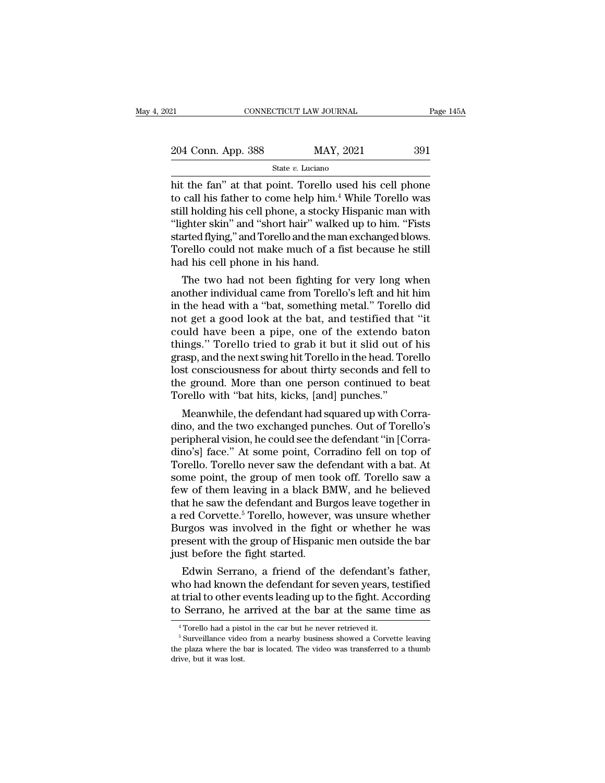| 21                 | CONNECTICUT LAW JOURNAL |           | Page 145A |
|--------------------|-------------------------|-----------|-----------|
|                    |                         |           |           |
| 204 Conn. App. 388 |                         | MAY, 2021 | 391       |
|                    | State $v$ . Luciano     |           |           |

EXECTE EXECT POINT CONNECTICUT LAW JOURNAL Page 145A<br>
204 Conn. App. 388 MAY, 2021 391<br>
State v. Luciano<br>
hit the fan'' at that point. Torello used his cell phone<br>
to call his father to come help him.<sup>4</sup> While Torello was 204 Conn. App. 388 MAY, 2021 391<br>
State v. Luciano<br>
hit the fan" at that point. Torello used his cell phone<br>
to call his father to come help him.<sup>4</sup> While Torello was<br>
still holding his cell phone, a stocky Hispanic man w 204 Conn. App. 388 MAY, 2021 391<br>
State v. Luciano<br>
hit the fan" at that point. Torello used his cell phone<br>
to call his father to come help him.<sup>4</sup> While Torello was<br>
still holding his cell phone, a stocky Hispanic man w 204 Conn. App. 388 MAY, 2021 391<br>
State v. Luciano<br>
hit the fan" at that point. Torello used his cell phone<br>
to call his father to come help him.<sup>4</sup> While Torello was<br>
still holding his cell phone, a stocky Hispanic man w State v. Luciano<br>
State v. Luciano<br>
hit the fan" at that point. Torello used his cell phone<br>
to call his father to come help him.<sup>4</sup> While Torello was<br>
still holding his cell phone, a stocky Hispanic man with<br>
"lighter ski State v. Luciano<br>hit the fan" at that point. Torello used his cell phone<br>to call his father to come help him.<sup>4</sup> While Torello was<br>still holding his cell phone, a stocky Hispanic man with<br>"lighter skin" and "short hair" wa hit the fan" at that point. Torello us<br>to call his father to come help him.<sup>4</sup><br>still holding his cell phone, a stocky l<br>"lighter skin" and "short hair" walke<br>started flying," and Torello and the man<br>Torello could not make can fils father to come help film. While Toreho was<br>Il holding his cell phone, a stocky Hispanic man with<br>ghter skin" and "short hair" walked up to him. "Fists<br>arted flying," and Torello and the man exchanged blows.<br>rello sun notaing his cen phone, a stocky rispanic mant with<br>"lighter skin" and "short hair" walked up to him. "Fists<br>started flying," and Torello and the man exchanged blows.<br>Torello could not make much of a fist because he sti

in the head with a ''bat, something metal.' The two had not been fighting for very long when<br>another individual came from Torello's left and hit him<br>in the head with a "bat, something metal." Torello did<br>not get a good loo started hying, and foreho and the mail exchanged blows.<br>Torello could not make much of a fist because he still<br>had his cell phone in his hand.<br>The two had not been fighting for very long when<br>another individual came from T Foreho could hot hake hitch of a fist because he sim<br>had his cell phone in his hand.<br>The two had not been fighting for very long when<br>another individual came from Torello's left and hit him<br>in the head with a "bat, somethi The two had not been fighting for very long when<br>another individual came from Torello's left and hit him<br>in the head with a "bat, something metal." Torello did<br>not get a good look at the bat, and testified that "it<br>could h The two had not been fighting for very long when<br>another individual came from Torello's left and hit him<br>in the head with a "bat, something metal." Torello did<br>not get a good look at the bat, and testified that "it<br>could h another individual came from Torello's left and hit him<br>in the head with a "bat, something metal." Torello did<br>not get a good look at the bat, and testified that "it<br>could have been a pipe, one of the extendo baton<br>things. in the head with a "bat, something metal." Torello did<br>not get a good look at the bat, and testified that "it<br>could have been a pipe, one of the extendo baton<br>things." Torello tried to grab it but it slid out of his<br>grasp, not get a good look at the bat, and testified tha<br>could have been a pipe, one of the extendo bathings." Torello tried to grab it but it slid out of<br>grasp, and the next swing hit Torello in the head. To<br>lost consciousness f und nave been a pipe, one of the extendo baton<br>ings." Torello tried to grab it but it slid out of his<br>asp, and the next swing hit Torello in the head. Torello<br>st consciousness for about thirty seconds and fell to<br>e ground. things. Toreho thed to grap it but it sind out of fils<br>grasp, and the next swing hit Torello in the head. Torello<br>lost consciousness for about thirty seconds and fell to<br>the ground. More than one person continued to beat<br>T

grasp, and the next swing int Toreno in the nead. Toreno<br>lost consciousness for about thirty seconds and fell to<br>the ground. More than one person continued to beat<br>Torello with "bat hits, kicks, [and] punches."<br>Meanwhile, fost conscrousness for about thirty seconds and fell to<br>the ground. More than one person continued to beat<br>Torello with "bat hits, kicks, [and] punches."<br>Meanwhile, the defendant had squared up with Corra-<br>dino, and the tw the ground. More than one person continued to beat.<br>Torello with "bat hits, kicks, [and] punches."<br>Meanwhile, the defendant had squared up with Corra-<br>dino, and the two exchanged punches. Out of Torello's<br>peripheral vision Torello with bat hus, kicks, [and] punches.<br>
Meanwhile, the defendant had squared up with Corra-<br>
dino, and the two exchanged punches. Out of Torello's<br>
peripheral vision, he could see the defendant "in [Corra-<br>
dino's] fa Meanwhile, the defendant had squared up with Corra-<br>dino, and the two exchanged punches. Out of Torello's<br>peripheral vision, he could see the defendant "in [Corra-<br>dino's] face." At some point, Corradino fell on top of<br>Tor dino, and the two exchanged punches. Out of Torello's<br>peripheral vision, he could see the defendant "in [Corra-<br>dino's] face." At some point, Corradino fell on top of<br>Torello. Torello never saw the defendant with a bat. At peripheral vision, he could see the defendant "in [Corradino's] face." At some point, Corradino fell on top of<br>Torello. Torello never saw the defendant with a bat. At<br>some point, the group of men took off. Torello saw a<br>fe dino's] face." At some point, Corradino fell on top of<br>Torello. Torello never saw the defendant with a bat. At<br>some point, the group of men took off. Torello saw a<br>few of them leaving in a black BMW, and he believed<br>that h Torello. Torello never saw the defendant with a bat. At<br>some point, the group of men took off. Torello saw a<br>few of them leaving in a black BMW, and he believed<br>that he saw the defendant and Burgos leave together in<br>a red some point, the group of men took off. Torello saw a few of them leaving in a black BMW, and he believed that he saw the defendant and Burgos leave together in a red Corvette.<sup>5</sup> Torello, however, was unsure whether Burgo W of them leaving in a black BMW, and he believed<br>at he saw the defendant and Burgos leave together in<br>red Corvette.<sup>5</sup> Torello, however, was unsure whether<br>urgos was involved in the fight or whether he was<br>esent with the that he saw the defendant and Burgos leave together in<br>a red Corvette.<sup>5</sup> Torello, however, was unsure whether<br>Burgos was involved in the fight or whether he was<br>present with the group of Hispanic men outside the bar<br>just

a rea Corvette." Toreho, however, was unsure whether<br>Burgos was involved in the fight or whether he was<br>present with the group of Hispanic men outside the bar<br>just before the fight started.<br>Edwin Serrano, a friend of the d Burgos was involved in the light or whether he was<br>present with the group of Hispanic men outside the bar<br>just before the fight started.<br>Edwin Serrano, a friend of the defendant's father,<br>who had known the defendant for se Edwin Serrano, a friend of the defendant's father,<br>ho had known the defendant for seven years, testified<br>trial to other events leading up to the fight. According<br>Serrano, he arrived at the bar at the same time as<br><sup>4</sup> Torel

at trial to other events leading up to the fight. According<br>to Serrano, he arrived at the bar at the same time as<br><sup>4</sup> Torello had a pistol in the car but he never retrieved it.<br><sup>5</sup> Surveillance video from a nearby business at trial to other events leading up to the fight. According<br>to Serrano, he arrived at the bar at the same time as<br> $\frac{1}{100}$  and a pistol in the car but he never retrieved it.<br> $\frac{1}{100}$  Surveillance video from a nearby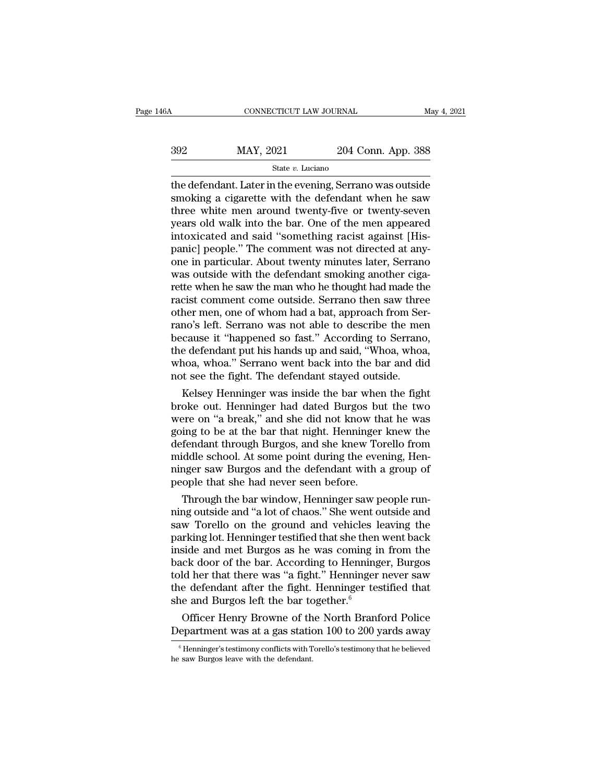| 46A | CONNECTICUT LAW JOURNAL |                    | May 4, 2021 |
|-----|-------------------------|--------------------|-------------|
| 392 | MAY, 2021               | 204 Conn. App. 388 |             |
|     | State v. Luciano        |                    |             |

the defendant. Later in the evening, Serrano was outside<br>  $\frac{1}{2}$  and  $\frac{1}{2}$  and  $\frac{1}{2}$  and  $\frac{1}{2}$  and  $\frac{1}{2}$  are  $v$ . Luciano<br>  $\frac{1}{2}$  are defendant. Later in the evening, Serrano was outside<br>  $\frac{1}{2}$  s  $\begin{array}{r} \text{392} & \text{MAX, } 2021 & 204 \text{ Conn. App. 388} \\ \text{State } v. \text{ Luciano} \end{array}$ <br>the defendant. Later in the evening, Serrano was outside smoking a cigarette with the defendant when he saw three white men around twenty-five or twenty-sev  $\frac{\text{MAX, 2021}}{\text{State } v. \text{ Luciano}}$ <br>  $\frac{\text{State } v. \text{ Luciano}}{\text{the defendant.} \text{ Later in the evening, Serrano was outside}}$ <br>
smoking a cigarette with the defendant when he saw<br>
three white men around twenty-five or twenty-seven<br>
years old walk into the bar. One of the men a  $\frac{\text{max}}{\text{State } v. \text{ Luciano}}$ <br>  $\frac{\text{State } v. \text{ Luciano}}{\text{State } v. \text{ Luciano}}$ <br>
the defendant. Later in the evening, Serrano was outside<br>
smoking a cigarette with the defendant when he saw<br>
three white men around twenty-five or twenty-seven<br>
yea State v. Luciano<br>
State v. Luciano<br>
the defendant. Later in the evening, Serrano was outside<br>
smoking a cigarette with the defendant when he saw<br>
three white men around twenty-five or twenty-seven<br>
years old walk into the state v. Luciano<br>the defendant. Later in the evening, Serrano was outside<br>smoking a cigarette with the defendant when he saw<br>three white men around twenty-five or twenty-seven<br>years old walk into the bar. One of the men a the defendant. Later in the evening, Serrano was outside<br>smoking a cigarette with the defendant when he saw<br>three white men around twenty-five or twenty-seven<br>years old walk into the bar. One of the men appeared<br>intoxicate smoking a cigarette with the defendant when he saw<br>three white men around twenty-five or twenty-seven<br>years old walk into the bar. One of the men appeared<br>intoxicated and said "something racist against [His-<br>panic] people. three white men around twenty-five or twenty-seven<br>years old walk into the bar. One of the men appeared<br>intoxicated and said "something racist against [His-<br>panic] people." The comment was not directed at any-<br>one in parti years old walk into the bar. One of the men appeared<br>intoxicated and said "something racist against [His-<br>panic] people." The comment was not directed at any-<br>one in particular. About twenty minutes later, Serrano<br>was outs intoxicated and said "something racist against [Hispanic] people." The comment was not directed at any-<br>one in particular. About twenty minutes later, Serrano<br>was outside with the defendant smoking another ciga-<br>rette when panic] people." The comment was not directed at any-<br>one in particular. About twenty minutes later, Serrano<br>was outside with the defendant smoking another ciga-<br>rette when he saw the man who he thought had made the<br>racist one in particular. About twenty minutes later, Serrano was outside with the defendant smoking another cigarette when he saw the man who he thought had made the racist comment come outside. Serrano then saw three other men, was outside with the defendant smoking another cigarette when he saw the man who he thought had made the racist comment come outside. Serrano then saw three other men, one of whom had a bat, approach from Serrano's left. S rette when he saw the man who he thought had made the<br>racist comment come outside. Serrano then saw three<br>other men, one of whom had a bat, approach from Ser-<br>rano's left. Serrano was not able to describe the men<br>because i racist comment come outside. Serrano then saw thre<br>other men, one of whom had a bat, approach from Ser<br>rano's left. Serrano was not able to describe the me<br>because it "happened so fast." According to Serrano<br>the defendant mer men, one or whom had a bat, approach from ser-<br>no's left. Serrano was not able to describe the men<br>cause it "happened so fast." According to Serrano,<br>e defendant put his hands up and said, "Whoa, whoa,<br>noa, whoa." Serr rano's left. Serrano was not able to describe the men<br>because it "happened so fast." According to Serrano,<br>the defendant put his hands up and said, "Whoa, whoa,<br>whoa, whoa." Serrano went back into the bar and did<br>not see t

because it "nappened so rast." According to Serrano,<br>the defendant put his hands up and said, "Whoa, whoa,<br>whoa, whoa." Serrano went back into the bar and did<br>not see the fight. The defendant stayed outside.<br>Kelsey Henning the defendant put his hands up and said, "Whoa, whoa,<br>whoa, whoa." Serrano went back into the bar and did<br>not see the fight. The defendant stayed outside.<br>Kelsey Henninger was inside the bar when the fight<br>broke out. Henni whoa, whoa." Serrano went back into the bar and did<br>not see the fight. The defendant stayed outside.<br>Kelsey Henninger was inside the bar when the fight<br>broke out. Henninger had dated Burgos but the two<br>were on "a break," a not see the right. The defendant stayed outside.<br>Kelsey Henninger was inside the bar when the fight<br>broke out. Henninger had dated Burgos but the two<br>were on "a break," and she did not know that he was<br>going to be at the b Kelsey Henninger was inside the bar when the fight<br>broke out. Henninger had dated Burgos but the two<br>were on "a break," and she did not know that he was<br>going to be at the bar that night. Henninger knew the<br>defendant throu broke out. Henninger had dated Burgos bu<br>were on "a break," and she did not know th<br>going to be at the bar that night. Henninger<br>defendant through Burgos, and she knew To<br>middle school. At some point during the eve<br>ninger Fre on "a break," and she did not know that he was<br>ing to be at the bar that night. Henninger knew the<br>fendant through Burgos, and she knew Torello from<br>iddle school. At some point during the evening, Hen-<br>nger saw Burgos going to be at the bar that night. Henninger knew the<br>defendant through Burgos, and she knew Torello from<br>middle school. At some point during the evening, Hen-<br>ninger saw Burgos and the defendant with a group of<br>people tha

derendant through Burgos, and she knew Torello from<br>middle school. At some point during the evening, Hen-<br>ninger saw Burgos and the defendant with a group of<br>people that she had never seen before.<br>Through the bar window, H minger saw Burgos and the defendant with a group of<br>people that she had never seen before.<br>Through the bar window, Henninger saw people run-<br>ning outside and "a lot of chaos." She went outside and<br>saw Torello on the ground minger saw Burgos and the defendant with a group of<br>people that she had never seen before.<br>Through the bar window, Henninger saw people run-<br>ning outside and "a lot of chaos." She went outside and<br>saw Torello on the ground people that she had never seen before.<br>
Through the bar window, Henninger saw people run-<br>
ning outside and "a lot of chaos." She went outside and<br>
saw. Torello on the ground and vehicles leaving the<br>
parking lot. Henninge Through the bar window, Henninger saw people run-<br>ning outside and "a lot of chaos." She went outside and<br>saw Torello on the ground and vehicles leaving the<br>parking lot. Henninger testified that she then went back<br>inside ning outside and "a lot of chaos." She went outside and<br>saw Torello on the ground and vehicles leaving the<br>parking lot. Henninger testified that she then went back<br>inside and met Burgos as he was coming in from the<br>back do saw Torello on the ground and vehicles left parking lot. Henninger testified that she then inside and met Burgos as he was coming in back door of the bar. According to Henning told her that there was "a fight." Henninger t rking lot. Henninger testified that she then went back<br>side and met Burgos as he was coming in from the<br>ck door of the bar. According to Henninger, Burgos<br>ld her that there was "a fight." Henninger never saw<br>e defendant a mside and met Burgos as he was coming in from the<br>back door of the bar. According to Henninger, Burgos<br>told her that there was "a fight." Henninger never saw<br>the defendant after the fight. Henninger testified that<br>she and

For the determinant and the Henri Christian Henri Christian Conflicts of the North Branford Police<br>epartment was at a gas station 100 to 200 yards away<br> $\frac{1}{6}$  Henninger's testimony conflicts with Torello's testimony th She and Burgos left the bar to<br>Officer Henry Browne of the<br>Department was at a gas statice<br> $\frac{1}{100}$ <br>Henninger's testimony conflicts with The saw Burgos leave with the defendant.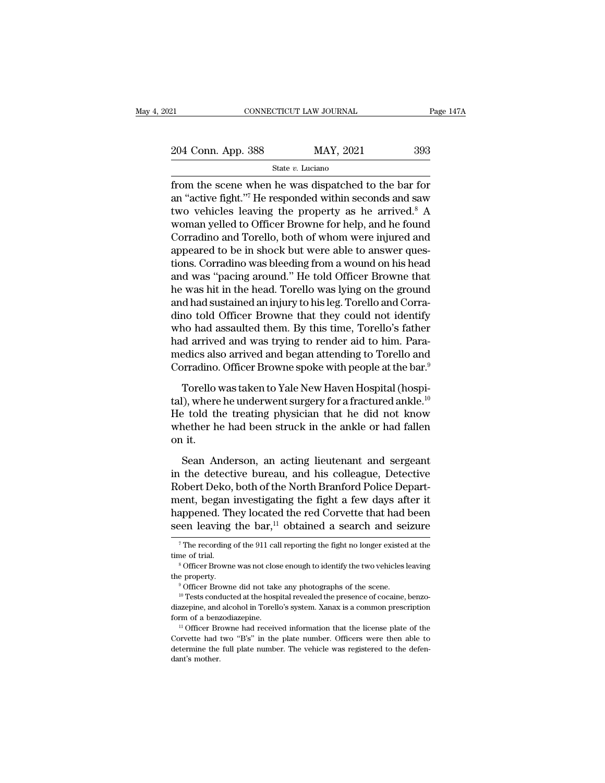| 21                 | CONNECTICUT LAW JOURNAL | Page 147A |
|--------------------|-------------------------|-----------|
| 204 Conn. App. 388 | MAY, 2021               | 393       |
|                    | State v. Luciano        |           |

From the scene when he was dispatched to the bar for<br>
the value of the scene when he was dispatched to the bar for<br>
the scene when he was dispatched to the bar for<br>
the scene when he was dispatched to the bar for<br>
the val 204 Conn. App. 388 MAY, 2021 393<br>
State v. Luciano<br>
from the scene when he was dispatched to the bar for<br>
an "active fight."<sup>7</sup> He responded within seconds and saw<br>
two vehicles leaving the property as he arrived.<sup>8</sup> A<br>
w 204 Conn. App. 388 MAY, 2021 393<br>
State v. Luciano<br>
from the scene when he was dispatched to the bar for<br>
an "active fight."<sup>7</sup> He responded within seconds and saw<br>
two vehicles leaving the property as he arrived.<sup>8</sup> A<br>
w 204 Conn. App. 388 MAY, 2021 393<br>
State v. Luciano<br>
from the scene when he was dispatched to the bar for<br>
an "active fight."<sup>7</sup> He responded within seconds and saw<br>
two vehicles leaving the property as he arrived.<sup>8</sup> A<br>
w State v. Luciano<br>
State v. Luciano<br>
from the scene when he was dispatched to the bar for<br>
an "active fight."<sup>7</sup> He responded within seconds and saw<br>
two vehicles leaving the property as he arrived.<sup>8</sup> A<br>
woman yelled to O state  $v$ . Luciano<br>from the scene when he was dispatched to the bar for<br>an "active fight."<sup>7</sup> He responded within seconds and saw<br>two vehicles leaving the property as he arrived.<sup>8</sup> A<br>woman yelled to Officer Browne for he from the scene when he was dispatched to the bar for<br>an "active fight."<sup>7</sup> He responded within seconds and saw<br>two vehicles leaving the property as he arrived.<sup>8</sup> A<br>woman yelled to Officer Browne for help, and he found<br>Cor an "active fight."<sup>7</sup> He responded within seconds and saw<br>two vehicles leaving the property as he arrived.<sup>8</sup> A<br>woman yelled to Officer Browne for help, and he found<br>Corradino and Torello, both of whom were injured and<br>app two vehicles leaving the property as he arrived.<sup>8</sup> A<br>woman yelled to Officer Browne for help, and he found<br>Corradino and Torello, both of whom were injured and<br>appeared to be in shock but were able to answer ques-<br>tions. woman yelled to Officer Browne for help, and he found<br>Corradino and Torello, both of whom were injured and<br>appeared to be in shock but were able to answer ques-<br>tions. Corradino was bleeding from a wound on his head<br>and wa Corradino and Torello, both of whom were injured and<br>appeared to be in shock but were able to answer ques-<br>tions. Corradino was bleeding from a wound on his head<br>and was "pacing around." He told Officer Browne that<br>he was appeared to be in shock but were able to answer questions. Corradino was bleeding from a wound on his head<br>and was "pacing around." He told Officer Browne that<br>he was hit in the head. Torello was lying on the ground<br>and ha tions. Corradino was bleeding from a wound on his head<br>and was "pacing around." He told Officer Browne that<br>he was hit in the head. Torello was lying on the ground<br>and had sustained an injury to his leg. Torello and Corraand was "pacing around." He told Officer Browne that<br>he was hit in the head. Torello was lying on the ground<br>and had sustained an injury to his leg. Torello and Corra-<br>dino told Officer Browne that they could not identify<br> he was hit in the head. Torello was lying on the ground<br>and had sustained an injury to his leg. Torello and Corra-<br>dino told Officer Browne that they could not identify<br>who had assaulted them. By this time, Torello's fathe To told Officer Browne that they could not identify<br>no had assaulted them. By this time, Torello's father<br>d arrived and was trying to render aid to him. Para-<br>edics also arrived and began attending to Torello and<br>paradino who had assaulted them. By this time, Torello's father<br>had arrived and was trying to render aid to him. Para-<br>medics also arrived and began attending to Torello and<br>Corradino. Officer Browne spoke with people at the bar.<sup></sup>

had arrived and was trying to render aid to him. Para-<br>medics also arrived and began attending to Torello and<br>Corradino. Officer Browne spoke with people at the bar.<sup>9</sup><br>Torello was taken to Yale New Haven Hospital (hospimedics also arrived and began attending to Torello and<br>Corradino. Officer Browne spoke with people at the bar.<sup>9</sup><br>Torello was taken to Yale New Haven Hospital (hospi-<br>tal), where he underwent surgery for a fractured ankle. corradino.<br>Corradino.<br>tal), where<br>He told th<br>whether he<br>on it.<br>Sean Ar Torello was taken to Yale New Haven Hospital (hospi-<br>), where he underwent surgery for a fractured ankle.<sup>10</sup><br>e told the treating physician that he did not know<br>nether he had been struck in the ankle or had fallen<br>it.<br>Sean In the detective bureau, and his colleague, Detective Robert Deko, both of the North Branford Police Department had a more than the detective bureau, and his colleague, Detective Robert Deko, both of the North Branford Pol

He told the treating physician that he did not know<br>whether he had been struck in the ankle or had fallen<br>on it.<br>Sean Anderson, an acting lieutenant and sergeant<br>in the detective bureau, and his colleague, Detective<br>Robert whether he had been struck in the ankle or had fallen<br>on it.<br>Sean Anderson, an acting lieutenant and sergeant<br>in the detective bureau, and his colleague, Detective<br>Robert Deko, both of the North Branford Police Depart-<br>me on it.<br>Sean Anderson, an acting lieutenant and sergeant<br>in the detective bureau, and his colleague, Detective<br>Robert Deko, both of the North Branford Police Depart-<br>ment, began investigating the fight a few days after it<br>h Sean Anderson, an acting lieutenant and sergeant<br>in the detective bureau, and his colleague, Detective<br>Robert Deko, both of the North Branford Police Depart-<br>ment, began investigating the fight a few days after it<br>happene From France Depart-<br>ent, began investigating the fight a few days after it<br>appened. They located the red Corvette that had been<br>een leaving the bar,<sup>11</sup> obtained a search and seizure<br> $\frac{1}{7}$  The recording of the 911 cal ment, began investigating the fight a few days after it<br>happened. They located the red Corvette that had been<br>seen leaving the bar,<sup>11</sup> obtained a search and seizure<br><sup>7</sup>The recording of the 911 call reporting the fight no

Seen leaving the bar,<sup>11</sup> obtained a search and seizure<br>
<sup>7</sup> The recording of the 911 call reporting the fight no longer existed at the<br>
<sup>8</sup> Officer Browne was not close enough to identify the two vehicles leaving<br>
the pr diazepine, and alcohol in Torello's system. Xanax is a common prescription<br>form of a benzone was not close enough to identify the two vehicles leaving<br>the property.<br><sup>10</sup> Tests conducted at the hospital revealed the presenc For a benzon of a benzo diazepine.<br>
<sup>16</sup> Officer Browne did not take any photographs of the scene.<br>
<sup>10</sup> Tests conducted at the hospital revealed the presence of cocaine, benzo-<br>
<sup>10</sup> Tests conducted at the hospital revea

<sup>&</sup>lt;sup>9</sup> Officer Browne did not take any photographs of the scene.<br><sup>10</sup> Tests conducted at the hospital revealed the presence of cocaine, benzo-<br>diazepine, and alcohol in Torello's system. Xanax is a common prescription<br>form o <sup>10</sup> Tests conducted at the hospital revealed the presence of cocaine, benzo-<br>diazepine, and alcohol in Torello's system. Xanax is a common prescription<br>form of a benzodiazepine.<br><sup>11</sup> Officer Browne had received informati a<br>diazepine, and<br>form of a benz<br><sup>11</sup> Officer Br<br>Corvette had<br>determine the<br>dant's mother.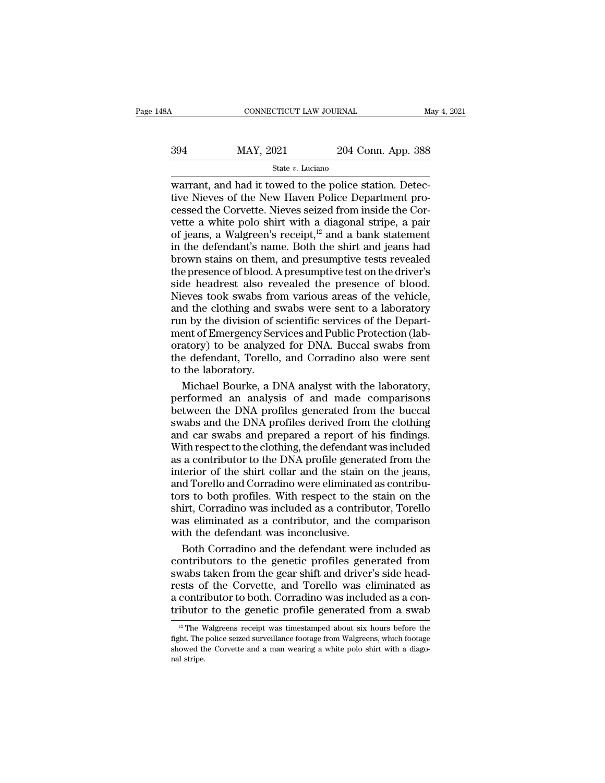### State *v.* Luciano

CONNECTICUT LAW JOURNAL<br>  $\begin{array}{r} \text{MAY, 2021} \\ \text{State } v. \text{ Luciano} \end{array}$ <br>  $\begin{array}{r} \text{State } v. \text{ Luciano} \\ \text{Warrant, and had it to  
the police Station. Detec-  
tive Nieves of the New Haven Police Department pro-  
cessed the Corvette Nieves seized from inside the Cor \frac{394}{\text{Mat }v. \text{ Luciano}}$ <br>  $\frac{\text{Star } v. \text{ Luciano}}{\text{Warrant}, \text{and had it to the police station. Detec-  
itive Nieves of the New Haven Police Department processed the Corvette. Nieves seized from inside the Cor-  
vette a white polo shirt with a diagonal stripe, a pair$ 394 MAY, 2021 204 Conn. App. 388<br>  $\frac{\text{State } v. \text{ Luciano}}{\text{water } v. \text{ Luciano}}$ <br>
warrant, and had it towed to the police station. Detective Nieves of the New Haven Police Department processed the Corvette. Nieves seized from inside the 394 MAY, 2021 204 Conn. App. 388<br>
state v. Luciano<br>
warrant, and had it towed to the police station. Detec-<br>
tive Nieves of the New Haven Police Department pro-<br>
cessed the Corvette. Nieves seized from inside the Cor-<br>
ve Solution 2011<br>
State v. Luciano<br>
State v. Luciano<br>
Warrant, and had it towed to the police station. Detec-<br>
tive Nieves of the New Haven Police Department pro-<br>
cessed the Corvette. Nieves seized from inside the Cor-<br>
vet State v. Luciano<br>
warrant, and had it towed to the police station. Detec-<br>
tive Nieves of the New Haven Police Department pro-<br>
cessed the Corvette. Nieves seized from inside the Cor-<br>
vette a white polo shirt with a diag warrant, and had it towed to the police station. Detective Nieves of the New Haven Police Department processed the Corvette. Nieves seized from inside the Corvette a white polo shirt with a diagonal stripe, a pair of jeans tive Nieves of the New Haven Police Department processed the Corvette. Nieves seized from inside the Corvette a white polo shirt with a diagonal stripe, a pair of jeans, a Walgreen's receipt,<sup>12</sup> and a bank statement in th cessed the Corvette. Nieves seized from inside the Corvette a white polo shirt with a diagonal stripe, a pair<br>of jeans, a Walgreen's receipt,<sup>12</sup> and a bank statement<br>in the defendant's name. Both the shirt and jeans had<br>b vette a white polo shirt with a diagonal stripe, a pair<br>of jeans, a Walgreen's receipt,<sup>12</sup> and a bank statement<br>in the defendant's name. Both the shirt and jeans had<br>brown stains on them, and presumptive tests revealed<br>th of jeans, a Walgreen's receipt,<sup>12</sup> and a bank statement<br>in the defendant's name. Both the shirt and jeans had<br>brown stains on them, and presumptive tests revealed<br>the presence of blood. A presumptive test on the driver's in the defendant's name. Both the shirt and jeans had<br>brown stains on them, and presumptive tests revealed<br>the presence of blood. A presumptive test on the driver's<br>side headrest also revealed the presence of blood.<br>Nieves brown stains on them, and presumptive tests revealed<br>the presence of blood. A presumptive test on the driver's<br>side headrest also revealed the presence of blood.<br>Nieves took swabs from various areas of the vehicle,<br>and the the presence of blood. A presumptive test on the driver's<br>side headrest also revealed the presence of blood.<br>Nieves took swabs from various areas of the vehicle,<br>and the clothing and swabs were sent to a laboratory<br>run by side headrest also revealed the presence of blood.<br>Nieves took swabs from various areas of the vehicle,<br>and the clothing and swabs were sent to a laboratory<br>run by the division of scientific services of the Depart-<br>ment of Nieves took swabs fro<br>and the clothing and s<br>run by the division of s<br>ment of Emergency Ser<br>oratory) to be analyze<br>the defendant, Torello<br>to the laboratory.<br>Michael Bourke, a D d the clothing and swabs were sent to a laboratory<br>in by the division of scientific services of the Depart-<br>ent of Emergency Services and Public Protection (lab-<br>atory) to be analyzed for DNA. Buccal swabs from<br>e defendant run by the division of scientific services of the Department of Emergency Services and Public Protection (laboratory) to be analyzed for DNA. Buccal swabs from the defendant, Torello, and Corradino also were sent to the la

ment of Emergency Services and Public Protection (laboratory) to be analyzed for DNA. Buccal swabs from<br>the defendant, Torello, and Corradino also were sent<br>to the laboratory.<br>Michael Bourke, a DNA analyst with the laborat oratory) to be analyzed for DNA. Buccal swabs from<br>the defendant, Torello, and Corradino also were sent<br>to the laboratory.<br>Michael Bourke, a DNA analyst with the laboratory,<br>performed an analysis of and made comparisons<br>be the defendant, Torello, and Corradino also were sent<br>to the laboratory.<br>Michael Bourke, a DNA analyst with the laboratory,<br>performed an analysis of and made comparisons<br>between the DNA profiles generated from the buccal<br>sw to the laboratory.<br>
Michael Bourke, a DNA analyst with the laboratory,<br>
performed an analysis of and made comparisons<br>
between the DNA profiles generated from the buccal<br>
swabs and the DNA profiles derived from the clothin Michael Bourke, a DNA analyst with the laboratory,<br>performed an analysis of and made comparisons<br>between the DNA profiles generated from the buccal<br>swabs and the DNA profiles derived from the clothing<br>and car swabs and pre interior beams, a bird analysis with and two states,<br>performed an analysis of and made comparisons<br>between the DNA profiles generated from the buccal<br>swabs and the DNA profiles derived from the clothing<br>and car swabs and p between the DNA profiles generated from the buccal<br>swabs and the DNA profiles derived from the clothing<br>and car swabs and prepared a report of his findings.<br>With respect to the clothing, the defendant was included<br>as a con swabs and the DNA profiles derived from the bothing<br>swabs and the DNA profiles derived from the clothing<br>and car swabs and prepared a report of his findings.<br>With respect to the clothing, the defendant was included<br>as a co shirts and carry provides and the state of the state of the state and carry said prepared a report of his findings.<br>With respect to the clothing, the defendant was included<br>as a contributor to the DNA profile generated fro with respect to the clothing, the defendant was included<br>as a contributor to the DNA profile generated from the<br>interior of the shirt collar and the stain on the jeans,<br>and Torello and Corradino were eliminated as contribu where of the DNA profile generation<br>as a contributor to the DNA profile generat<br>interior of the shirt collar and the stain of<br>and Torello and Corradino were eliminated<br>tors to both profiles. With respect to the s<br>shirt, Co terior of the shirt collar and the stain on the jeans,<br>d Torello and Corradino were eliminated as contribu-<br>rs to both profiles. With respect to the stain on the<br>irt, Corradino was included as a contributor, Torello<br>as eli and Torello and Corradino were eliminated as contribu-<br>tors to both profiles. With respect to the stain on the<br>shirt, Corradino was included as a contributor, Torello<br>was eliminated as a contributor, and the comparison<br>wit

tors to both profiles. With respect to the stain on the shirt, Corradino was included as a contributor, Torello was eliminated as a contributor, and the comparison with the defendant was inconclusive.<br>Both Corradino and th shirt, Corradino was included as a contributor, Torello<br>was eliminated as a contributor, and the comparison<br>with the defendant was inconclusive.<br>Both Corradino and the defendant were included as<br>contributors to the genetic was eliminated as a contributor, and the comparison<br>with the defendant was inconclusive.<br>Both Corradino and the defendant were included as<br>contributors to the genetic profiles generated from<br>swabs taken from the gear shift with the defendant was inconclusive.<br>Both Corradino and the defendant were included as<br>contributors to the genetic profiles generated from<br>swabs taken from the gear shift and driver's side head-<br>rests of the Corvette, and wabs taken from the gear shift and driver's side headests of the Corvette, and Torello was eliminated as a contributor to both. Corradino was included as a contibutor to the genetic profile generated from a swab<br><sup>12</sup> The W rests of the Corvette, and Torello was eliminated as a contributor to both. Corradino was included as a contributor to the genetic profile generated from a swab  $\frac{12}{12}$  The Walgreens receipt was timestamped about six tributor to the genetic profile generated from a swab

a contributor to both. Corradino was included as a contributor to the genetic profile generated from a swab  $\frac{12}{12}$  The Walgreens receipt was timestamped about six hours before the fight. The police seized surveillanc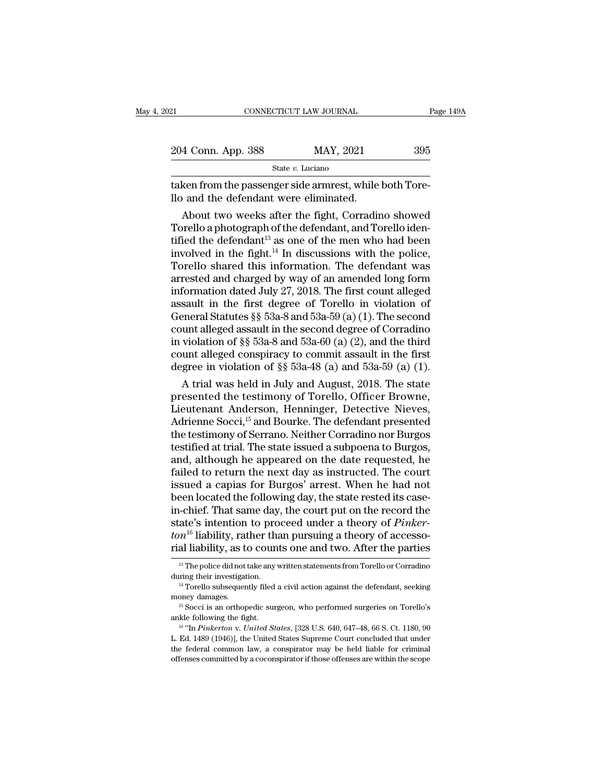| 21                                                                                                | CONNECTICUT LAW JOURNAL |                                                   | Page 149A |
|---------------------------------------------------------------------------------------------------|-------------------------|---------------------------------------------------|-----------|
| 204 Conn. App. 388                                                                                |                         | MAY, 2021                                         | 395       |
|                                                                                                   | State $v$ . Luciano     |                                                   |           |
| taken from the passenger side armrest, while both Tore-<br>llo and the defendant were eliminated. |                         |                                                   |           |
|                                                                                                   |                         | About two weeks after the fight, Corradino showed |           |

4 Conn. App. 388 MAY, 2021 395<br>
State v. Luciano<br>
ken from the passenger side armrest, while both Tore-<br>
and the defendant were eliminated.<br>
About two weeks after the fight, Corradino showed<br>
prello a photograph of the de 204 Conn. App. 388 MAY, 2021 395<br>
State v. Luciano<br>
Taken from the passenger side armrest, while both Torello and the defendant were eliminated.<br>
About two weeks after the fight, Corradino showed<br>
Torello a photograph of State v. Luciano<br>
taken from the passenger side armrest, while both Tore-<br>
Ilo and the defendant were eliminated.<br>
About two weeks after the fight, Corradino showed<br>
Torello a photograph of the defendant, and Torello iden Taken from the passenger side armrest, while both Tore-<br>llo and the defendant were eliminated.<br>About two weeks after the fight, Corradino showed<br>Torello a photograph of the defendant, and Torello iden-<br>tified the defendant taken from the passenger side armrest, while both Tore-<br>llo and the defendant were eliminated.<br>About two weeks after the fight, Corradino showed<br>Torello a photograph of the defendant, and Torello iden-<br>tified the defendan 110 and the detendant were eliminated.<br>
About two weeks after the fight, Corradino showed<br>
Torello a photograph of the defendant, and Torello identified the defendant<sup>13</sup> as one of the men who had been<br>
involved in the fi About two weeks after the fight, Corradino showed<br>Torello a photograph of the defendant, and Torello iden-<br>tified the defendant<sup>13</sup> as one of the men who had been<br>involved in the fight.<sup>14</sup> In discussions with the police, Torello a photograph of the defendant, and Torello identified the defendant<sup>13</sup> as one of the men who had been<br>involved in the fight.<sup>14</sup> In discussions with the police,<br>Torello shared this information. The defendant was<br> tified the defendant<sup>13</sup> as one of the men who had been<br>involved in the fight.<sup>14</sup> In discussions with the police,<br>Torello shared this information. The defendant was<br>arrested and charged by way of an amended long form<br>inf involved in the fight.<sup>14</sup> In discussions with the police,<br>Torello shared this information. The defendant was<br>arrested and charged by way of an amended long form<br>information dated July 27, 2018. The first count alleged<br>as Torello shared this information. The defendant was<br>arrested and charged by way of an amended long form<br>information dated July 27, 2018. The first count alleged<br>assault in the first degree of Torello in violation of<br>Genera arrested and charged by way of an amended long form<br>information dated July 27, 2018. The first count alleged<br>assault in the first degree of Torello in violation of<br>General Statutes §§ 53a-8 and 53a-59 (a) (1). The second<br> information dated July 27, 2018. The first count alleged<br>assault in the first degree of Torello in violation of<br>General Statutes §§ 53a-8 and 53a-59 (a) (1). The second<br>count alleged assault in the second degree of Corrad sault in the first degree of Torello in violation of<br>eneral Statutes §§ 53a-8 and 53a-59 (a) (1). The second<br>unt alleged assault in the second degree of Corradino<br>violation of §§ 53a-8 and 53a-60 (a) (2), and the third<br>un General Statutes §§ 53a-8 and 53a-59 (a) (1). The second<br>count alleged assault in the second degree of Corradino<br>in violation of §§ 53a-8 and 53a-60 (a) (2), and the third<br>count alleged conspiracy to commit assault in the

count alleged assault in the second degree of Corradino<br>in violation of §§ 53a-8 and 53a-60 (a) (2), and the third<br>count alleged conspiracy to commit assault in the first<br>degree in violation of §§ 53a-48 (a) and 53a-59 (a In violation of §§ 53a-8 and 53a-60 (a) (2), and the third<br>count alleged conspiracy to commit assault in the first<br>degree in violation of §§ 53a-48 (a) and 53a-59 (a) (1).<br>A trial was held in July and August, 2018. The st count alleged conspiracy to commit assault in the first<br>degree in violation of §§ 53a-48 (a) and 53a-59 (a) (1).<br>A trial was held in July and August, 2018. The state<br>presented the testimony of Torello, Officer Browne,<br>Lieu degree in violation of §§ 53a-48 (a) and 53a-59 (a) (1).<br>A trial was held in July and August, 2018. The state<br>presented the testimony of Torello, Officer Browne,<br>Lieutenant Anderson, Henninger, Detective Nieves,<br>Adrienne S A trial was held in July and August, 2018. The state<br>presented the testimony of Torello, Officer Browne,<br>Lieutenant Anderson, Henninger, Detective Nieves,<br>Adrienne Socci,<sup>15</sup> and Bourke. The defendant presented<br>the testimo presented the testimony of Torello, Officer Browne,<br>Lieutenant Anderson, Henninger, Detective Nieves,<br>Adrienne Socci,<sup>15</sup> and Bourke. The defendant presented<br>the testimony of Serrano. Neither Corradino nor Burgos,<br>testifie Lieutenant Anderson, Henninger, Detective Nieves,<br>Adrienne Socci,<sup>15</sup> and Bourke. The defendant presented<br>the testimony of Serrano. Neither Corradino nor Burgos<br>testified at trial. The state issued a subpoena to Burgos,<br>an Adrienne Socci,  $^{15}$  and Bourke. The defendant presented<br>the testimony of Serrano. Neither Corradino nor Burgos<br>testified at trial. The state issued a subpoena to Burgos,<br>and, although he appeared on the date requested, the testimony of Serrano. Neither Corradino nor Burgos<br>testified at trial. The state issued a subpoena to Burgos,<br>and, although he appeared on the date requested, he<br>failed to return the next day as instructed. The court<br>i testified at trial. The state issued a subpoena to Burgos,<br>and, although he appeared on the date requested, he<br>failed to return the next day as instructed. The court<br>issued a capias for Burgos' arrest. When he had not<br>been and, although he appeared on the date requested, he failed to return the next day as instructed. The court issued a capias for Burgos' arrest. When he had not been located the following day, the state rested its case-<br>in-c failed to return the next day as instructed. The court<br>issued a capias for Burgos' arrest. When he had not<br>been located the following day, the state rested its case-<br>in-chief. That same day, the court put on the record th 1-chief. That same day, the court put on the record the atte's intention to proceed under a theory of *Pinker-*<br>  $n^{16}$  liability, rather than pursuing a theory of accesso-<br>
al liability, as to counts one and two. After state's intention to proceed under a theory of *Pinker-*<br>ton<sup>16</sup> liability, rather than pursuing a theory of accesso-<br>rial liability, as to counts one and two. After the parties<br> $\frac{18}{18}$  The police did not take any wri

massing, taking a dicory of accessor<br>in the parties<br> $\frac{13}{13}$  The police did not take any written statements from Torello or Corradino<br>during their investigation.<br><sup>14</sup> Torello subsequently filed a civil action against t

<sup>&</sup>lt;sup>13</sup> The police did not take any written statements from Torello or Corradino during their investigation.<br><sup>14</sup> Torello subsequently filed a civil action against the defendant, seeking money damages.<br><sup>15</sup> Socci is an ortho <sup>14</sup> Torello subsequently filed a civil action against the defendant, seeking<br>money damages.<br><sup>15</sup> Socci is an orthopedic surgeon, who performed surgeries on Torello's<br>ankle following the fight.<br><sup>16</sup> "In *Pinkerton* v. *Un* money damages.<br>
<sup>15</sup> Socci is an orthopedic surgeon, who performed surgeries on Torello's ankle following the fight.<br>
<sup>16</sup> "In *Pinkerton v. United States*, [328 U.S. 640, 647–48, 66 S. Ct. 1180, 90 L. Ed. 1489 (1946)], t <sup>15</sup> Socci is an orthopedic surgeon, who performed surgeries on Torello's<br><sup>16</sup> Socci is an orthopedic surgeon, who performed surgeries on Torello's<br><sup>16</sup> "In *Pinkerton* v. *United States*, [328 U.S. 640, 647–48, 66 S. Ct.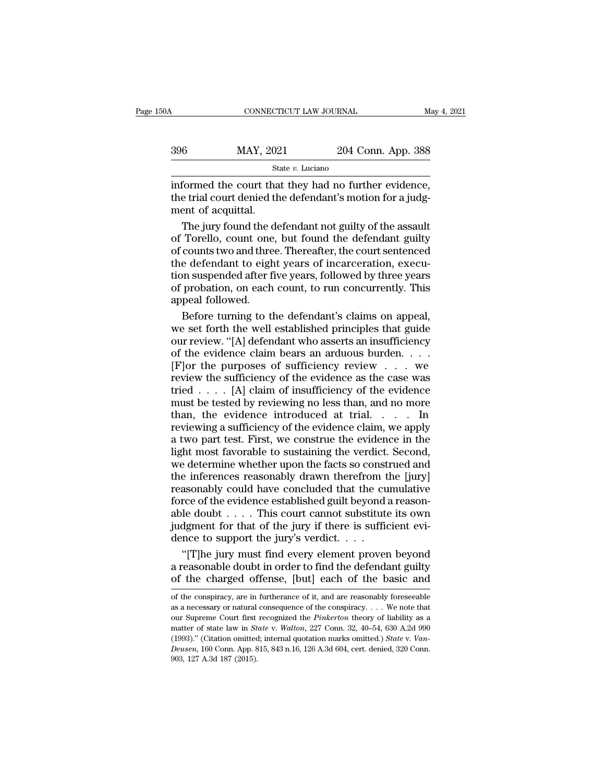$\begin{array}{r|l} \text{CONNECTICUT LAW JOURNAL} & \text{May 4, 2021} \\ \hline \text{396} & \text{MAX, 2021} & \text{204 Conn. App. 388} \\ & \text{State $v$. Luciano} & \end{array}$ 

State *v.* Luciano

CONNECTICUT LAW JOURNAL May 4, 2<br>  $\frac{396}{\text{Mate }v}$ . Luciano<br>
informed the court that they had no further evidence,<br>
the trial court denied the defendant's motion for a judg-<br>
ment of acquittal  $\begin{array}{r} \n 396 \quad \text{MAT, } 2021 \quad \text{204 Conn. App. } 388 \\
 \hline \n 388 \quad \text{State } v. \text{ Luciano} \\
 \n 56 \quad \text{Informed the court that they had no further evidence, the trial court denied the defendant's motion for a judgment of acquittal.\n\end{array}$ MAY, 2023<br>
ment of acquittal.<br>
The jury found the dependency of acquittal.  $\frac{\text{MAX, 2021}}{\text{State } v. \text{ Luciano}}$ <br>  $\frac{\text{State } v. \text{ Luciano}}{\text{formed the court that they had no further evidence,}}$ <br>  $\frac{\text{total court denied the defendant's motion for a judgment of acquital.}}{\text{The jury found the defendant not guilty of the assault Torello, count one, but found the defendant guilty counts two and three. Thereafter the court sentence.}$ 

State v. Luciano<br>
informed the court that they had no further evidence,<br>
the trial court denied the defendant's motion for a judg-<br>
ment of acquittal.<br>
The jury found the defendant not guilty of the assault<br>
of Torello, c state v. Luclaho<br>
informed the court that they had no further evidence,<br>
the trial court denied the defendant's motion for a judg-<br>
ment of acquittal.<br>
The jury found the defendant not guilty of the assault<br>
of Torello, c informed the court that they had no further evidence,<br>the trial court denied the defendant's motion for a judg-<br>ment of acquittal.<br>The jury found the defendant not guilty of the assault<br>of Torello, count one, but found the the trial court denied the defendant's motion for a judgment of acquittal.<br>The jury found the defendant not guilty of the assault<br>of Torello, count one, but found the defendant guilty<br>of counts two and three. Thereafter, t ment of acquittal.<br>The jury found the defendant not guilty of the assault<br>of Torello, count one, but found the defendant guilty<br>of counts two and three. Thereafter, the court sentenced<br>the defendant to eight years of incar The jury found the cof Torello, count one<br>of Counts two and thre<br>the defendant to eightion suspended after f<br>of probation, on each<br>appeal followed.<br>Before turning to the Torello, count one, but found the defendant guilty<br>counts two and three. Thereafter, the court sentenced<br>e defendant to eight years of incarceration, execu-<br>on suspended after five years, followed by three years<br>probation, of counts two and three. Thereafter, the court sentenced<br>the defendant to eight years of incarceration, execu-<br>tion suspended after five years, followed by three years<br>of probation, on each count, to run concurrently. This

the defendant to eight years of incarceration, execution suspended after five years, followed by three years<br>of probation, on each count, to run concurrently. This<br>appeal followed.<br>Before turning to the defendant's claims tion suspended after five years, followed by three years<br>of probation, on each count, to run concurrently. This<br>appeal followed.<br>Before turning to the defendant's claims on appeal,<br>we set forth the well established princi of probation, on each count, to run concurrently. This<br>appeal followed.<br>Before turning to the defendant's claims on appeal,<br>we set forth the well established principles that guide<br>our review. "[A] defendant who asserts an appeal followed.<br>
Before turning to the defendant's claims on appeal,<br>
we set forth the well established principles that guide<br>
our review. "[A] defendant who asserts an insufficiency<br>
of the evidence claim bears an arduou Before turning to the defendant's claims on appeal,<br>we set forth the well established principles that guide<br>our review. "[A] defendant who asserts an insufficiency<br>of the evidence claim bears an arduous burden....<br>[F] or we set forth the well established principles that guide<br>our review. "[A] defendant who asserts an insufficiency<br>of the evidence claim bears an arduous burden....<br>[F] or the purposes of sufficiency review ... we<br>review the our review. "[A] defendant who asserts an insufficiency<br>of the evidence claim bears an arduous burden....<br>[F] or the purposes of sufficiency review ... we<br>review the sufficiency of the evidence as the case was<br>tried .... reviewing a sufficiency of the evidence claim, we apply [F] or the purposes of sufficiency review  $\ldots$  we review the sufficiency of the evidence as the case was tried  $\ldots$ . [A] claim of insufficiency of the evidence must be tested by reviewing no less than, and no more than, light most favorable to sufficiency of the evidence as the case was<br>tried . . . . [A] claim of insufficiency of the evidence<br>must be tested by reviewing no less than, and no more<br>than, the evidence introduced at trial. . tried  $\ldots$  [A] claim of insufficiency of the evidence<br>must be tested by reviewing no less than, and no more<br>than, the evidence introduced at trial.  $\ldots$  In<br>reviewing a sufficiency of the evidence claim, we apply<br>a two p must be tested by reviewing no less than, and no more<br>than, the evidence introduced at trial. . . . . In<br>reviewing a sufficiency of the evidence claim, we apply<br>a two part test. First, we construe the evidence in the<br>light than, the evidence introduced at trial.  $\ldots$  In<br>reviewing a sufficiency of the evidence claim, we apply<br>a two part test. First, we construe the evidence in the<br>light most favorable to sustaining the verdict. Second,<br>we d reviewing a sufficiency of the evidence claim, we apply<br>a two part test. First, we construe the evidence in the<br>light most favorable to sustaining the verdict. Second,<br>we determine whether upon the facts so construed and<br>t a two part test. First, we construe the evidence in the light most favorable to sustaining the verdict. Second, we determine whether upon the facts so construed and the inferences reasonably drawn therefrom the [jury] rea light most favorable to sustaining the verdict. Second, we determine whether upon the facts so construed and the inferences reasonably drawn therefrom the [jury] reasonably could have concluded that the cumulative force o we determine whether upon the facts so const<br>the inferences reasonably drawn therefrom t<br>reasonably could have concluded that the cu<br>force of the evidence established guilt beyond:<br>able doubt . . . . This court cannot subs Examply drawn therefrom the [jury]<br>
asonably could have concluded that the cumulative<br>
rce of the evidence established guilt beyond a reason-<br>
le doubt . . . . This court cannot substitute its own<br>
dgment for that of the reasonably could have concluded that the cumulative<br>force of the evidence established guilt beyond a reason-<br>able doubt  $\dots$ . This court cannot substitute its own<br>judgment for that of the jury if there is sufficient evi-<br> force of the evidence established guilt beyond a reason-<br>able doubt . . . . This court cannot substitute its own<br>judgment for that of the jury if there is sufficient evi-<br>dence to support the jury's verdict. . . .<br>"[T]he

The jury must find every element proven beyond<br>a reasonable doubt in order to find the defendant guilty<br>of the charged offense, [but] each of the basic and<br>of the conspiracy, are in furtherance of it, and are reasonably f "[T]he jury must find every element proven beyond<br>a reasonable doubt in order to find the defendant guilty<br>of the charged offense, [but] each of the basic and<br>of the conspiracy, are in furtherance of it, and are reasonabl

a reasonable doubt in order to find the defendant guilty<br>of the charged offense, [but] each of the basic and<br>of the conspiracy, are in furtherance of it, and are reasonably foreseeable<br>as a necessary or natural consequenc of the charged offense, [but] each of the basic and<br>of the conspiracy, are in furtherance of it, and are reasonably foreseeable<br>as a necessary or natural consequence of the conspiracy.... We note that<br>our Supreme Court fir (1993). The Charged Offense, policy each of the basic and<br>of the conspiracy, are in furtherance of it, and are reasonably foreseeable<br>as a necessary or natural consequence of the conspiracy. . . . We note that<br>our Supreme of the conspiracy, are in furtherance of it, and are reasonably foreseeable as a necessary or natural consequence of the conspiracy. . . . We note that our Supreme Court first recognized the *Pinkerton* theory of liability or as a necessary or natural<br>as a necessary or natural<br>our Supreme Court first<br>matter of state law in *St*<br>(1993)." (Citation omitted<br>*Deusen*, 160 Conn. App. 8<br>903, 127 A.3d 187 (2015).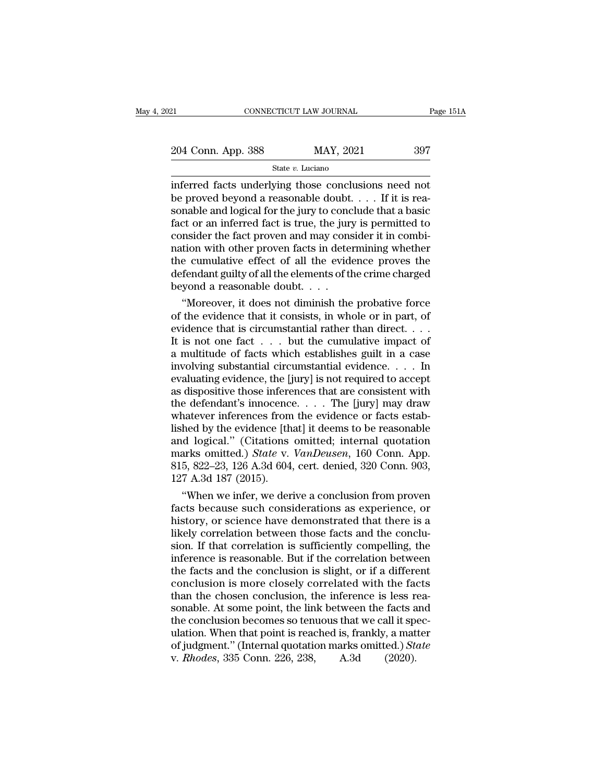21 CONNECTICUT LAW JOURNAL Page 151A<br>
204 Conn. App. 388 MAY, 2021 397<br>
State v. Luciano

State *v.* Luciano

EXECT 21 CONNECTICUT LAW JOURNAL Page 151/2<br>
204 Conn. App. 388 MAY, 2021 397<br>
State v. Luciano<br>
inferred facts underlying those conclusions need not<br>
be proved beyond a reasonable doubt. . . . If it is reasonable and logi 204 Conn. App. 388 MAY, 2021 397<br>
State v. Luciano<br>
inferred facts underlying those conclusions need not<br>
be proved beyond a reasonable doubt. . . . If it is rea-<br>
sonable and logical for the jury to conclude that a basic 204 Conn. App. 388 MAY, 2021 397<br>
State v. Luciano<br>
inferred facts underlying those conclusions need not<br>
be proved beyond a reasonable doubt. . . . If it is reasonable and logical for the jury to conclude that a basic<br>
f 204 Conn. App. 388 MAY, 2021 397<br>
State v. Luciano<br>
inferred facts underlying those conclusions need not<br>
be proved beyond a reasonable doubt. . . . If it is reasonable and logical for the jury to conclude that a basic<br>
f State v. Luciano<br>
State v. Luciano<br>
inferred facts underlying those conclusions need not<br>
be proved beyond a reasonable doubt.... If it is reasonable and logical for the jury to conclude that a basic<br>
fact or an inferred State v. Luciano<br>
inferred facts underlying those conclusions need not<br>
be proved beyond a reasonable doubt. . . . If it is rea-<br>
sonable and logical for the jury to conclude that a basic<br>
fact or an inferred fact is true inferred facts underlying those conclusions need not<br>be proved beyond a reasonable doubt. . . . If it is rea-<br>sonable and logical for the jury to conclude that a basic<br>fact or an inferred fact is true, the jury is permitt be proved beyond a reasonable doubt. . . . If it is reasonable and logical for the jury to conclude that a basic<br>fact or an inferred fact is true, the jury is permitted to<br>consider the fact proven and may consider it in co sonable and logical for the jury to conc<br>fact or an inferred fact is true, the jury<br>consider the fact proven and may cons<br>nation with other proven facts in deter<br>the cumulative effect of all the evident<br>defendant guilty of ct or an inferred fact is true, the jury is permitted to<br>
msider the fact proven and may consider it in combi-<br>
tion with other proven facts in determining whether<br>
e cumulative effect of all the evidence proves the<br>
fenda consider the fact proven and may consider it in combi-<br>nation with other proven facts in determining whether<br>the cumulative effect of all the evidence proves the<br>defendant guilty of all the elements of the crime charged<br>b

mation with other proven facts in determining whether<br>the cumulative effect of all the evidence proves the<br>defendant guilty of all the elements of the crime charged<br>beyond a reasonable doubt. . . .<br>"Moreover, it does not the cumulative effect of all the evidence proves the<br>defendant guilty of all the elements of the crime charged<br>beyond a reasonable doubt. . . .<br>"Moreover, it does not diminish the probative force<br>of the evidence that it c defendant guilty of all the elements of the crime charged<br>beyond a reasonable doubt. . . .<br>"Moreover, it does not diminish the probative force<br>of the evidence that it consists, in whole or in part, of<br>evidence that is cir beyond a reasonable doubt. . . .<br>
"Moreover, it does not diminish the probative force<br>
of the evidence that it consists, in whole or in part, of<br>
evidence that is circumstantial rather than direct. . . .<br>
It is not one fa "Moreover, it does not diminish the probative force<br>of the evidence that it consists, in whole or in part, of<br>evidence that is circumstantial rather than direct.  $\dots$ <br>It is not one fact  $\dots$  but the cumulative impact of<br>a % of the evidence that it consists, in whole or in part, of<br>evidence that is circumstantial rather than direct. . . .<br>It is not one fact . . . but the cumulative impact of<br>a multitude of facts which establishes guilt in a evidence that is circumstantial rather than direct. . . . .<br>It is not one fact . . . but the cumulative impact of<br>a multitude of facts which establishes guilt in a case<br>involving substantial circumstantial evidence. . . . It is not one fact . . . but the cumulative impact of<br>a multitude of facts which establishes guilt in a case<br>involving substantial circumstantial evidence. . . . In<br>evaluating evidence, the [jury] is not required to accept a multitude of facts which establishes guilt in a case<br>involving substantial circumstantial evidence. . . . In<br>evaluating evidence, the [jury] is not required to accept<br>as dispositive those inferences that are consistent involving substantial circumstantial evidence. . . . In<br>evaluating evidence, the [jury] is not required to accept<br>as dispositive those inferences that are consistent with<br>the defendant's innocence. . . . The [jury] may dr evaluating evidence, the [jury] is not required to accept<br>as dispositive those inferences that are consistent with<br>the defendant's innocence. . . . The [jury] may draw<br>whatever inferences from the evidence or facts estab-<br> as dispositive those inferences that are consistent with<br>the defendant's innocence. . . . The [jury] may draw<br>whatever inferences from the evidence or facts estab-<br>lished by the evidence [that] it deems to be reasonable<br>a the defendant's innocence<br>whatever inferences from<br>lished by the evidence [th<br>and logical." (Citations<br>marks omitted.) *State* v.<br>815, 822–23, 126 A.3d 604<br>127 A.3d 187 (2015).<br>"When we infer, we der natever inferences from the evidence or facts estab-<br>
hed by the evidence [that] it deems to be reasonable<br>
d logical." (Citations omitted; internal quotation<br>
arks omitted.) *State* v. *VanDeusen*, 160 Conn. App.<br>
5, 822– fished by the evidence [that] it deems to be reasonable<br>and logical." (Citations omitted; internal quotation<br>marks omitted.) *State* v. *VanDeusen*, 160 Conn. App.<br>815, 822–23, 126 A.3d 604, cert. denied, 320 Conn. 903,<br>1

and logical." (Citations omitted; internal quotation<br>marks omitted.) *State* v. *VanDeusen*, 160 Conn. App.<br>815, 822–23, 126 A.3d 604, cert. denied, 320 Conn. 903,<br>127 A.3d 187 (2015).<br>"When we infer, we derive a conclusio marks omitted.) *State v. VanDeusen*, 160 Conn. App.<br>815, 822–23, 126 A.3d 604, cert. denied, 320 Conn. 903,<br>127 A.3d 187 (2015).<br>"When we infer, we derive a conclusion from proven<br>facts because such considerations as expe 815, 822–23, 126 A.3d 604, cert. denied, 320 Conn. 903,<br>127 A.3d 187 (2015).<br>"When we infer, we derive a conclusion from proven<br>facts because such considerations as experience, or<br>history, or science have demonstrated that 127 A.3d 187 (2015).<br>
"When we infer, we derive a conclusion from proven<br>
facts because such considerations as experience, or<br>
history, or science have demonstrated that there is a<br>
likely correlation between those facts a "When we infer, we derive a conclusion from proven<br>facts because such considerations as experience, or<br>history, or science have demonstrated that there is a<br>likely correlation between those facts and the conclu-<br>sion. If t facts because such considerations as experience, or<br>history, or science have demonstrated that there is a<br>likely correlation between those facts and the conclu-<br>sion. If that correlation is sufficiently compelling, the<br>inf history, or science have demonstrated that there is a likely correlation between those facts and the conclusion. If that correlation is sufficiently compelling, the inference is reasonable. But if the correlation between t likely correlation between those facts and the conclusion. If that correlation is sufficiently compelling, the inference is reasonable. But if the correlation between the facts and the conclusion is slight, or if a differe sion. If that correlation is sufficiently compelling, the inference is reasonable. But if the correlation between the facts and the conclusion is slight, or if a different conclusion is more closely correlated with the fa inference is reasonable. But if the correlation between<br>the facts and the conclusion is slight, or if a different<br>conclusion is more closely correlated with the facts<br>than the chosen conclusion, the inference is less reathe facts and the conclusion is slight, or if a different<br>conclusion is more closely correlated with the facts<br>than the chosen conclusion, the inference is less rea-<br>sonable. At some point, the link between the facts and<br>t conclusion is more closely correlated with the fact<br>than the chosen conclusion, the inference is less r<br>sonable. At some point, the link between the facts a<br>the conclusion becomes so tenuous that we call it sp<br>ulation. Whe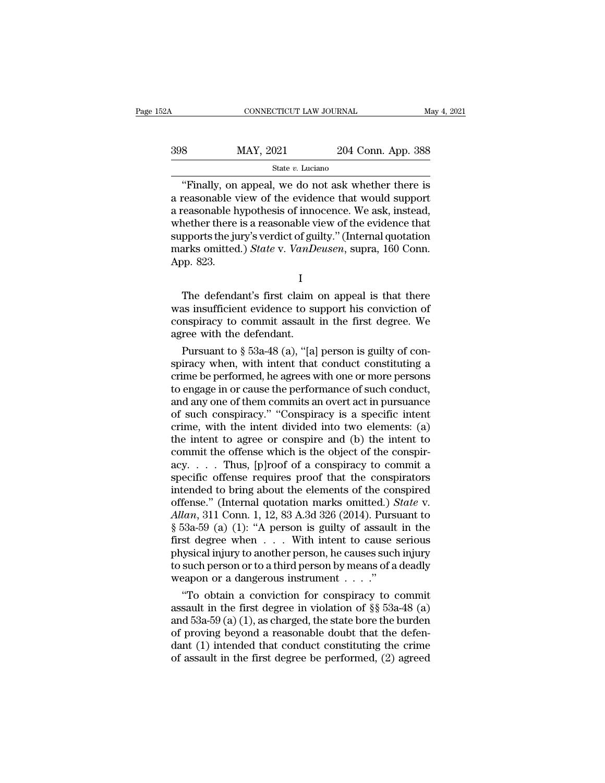### $\begin{tabular}{lllllll} \multicolumn{2}{l}{{\bf CONNECTICUT LAW JOURNAL}} & \multicolumn{2}{l}{{\bf May 4, 2021}}\\ \hline & \multicolumn{2}{l}{{\bf MAY, 2021}} & \multicolumn{2}{l}{{\bf 204 Conn. App. 388}}\\ & & \multicolumn{2}{l}{{\bf MAY, 2021}} & \multicolumn{2}{l}{{\bf 204 Conn. App. 388}}\\ \hline & & {\bf State}\ v. \ Luciano & \multicolumn{2}{l}{{\bf Step 1}} & \multicolumn{2}{l}{{\bf Type 2}}\\ \hline \end{tabular}$ State *v.* Luciano

CONNECTICUT LAW JOURNAL May 4, 2021<br>
8 MAY, 2021 204 Conn. App. 388<br>
State v. Luciano<br>
"Finally, on appeal, we do not ask whether there is<br>
reasonable view of the evidence that would support<br>
reasonable hypothosis of innoc  $\frac{398}{\text{State } v. \text{ Luciano}}$ <br>  $\frac{\text{State } v. \text{ Luciano}}{\text{Finally, on appeal, we do not ask whether there is a reasonable view of the evidence that would support a reasonable hypothesis of innocence. We ask, instead, whether there is a reasonable view of the evidence that$ 398 MAY, 2021 204 Conn. App. 388<br>  $\frac{\text{State } v. \text{ Luciano}}{\text{Finally, on appeal, we do not ask whether there is a reasonable view of the evidence that would support a reasonable hypothesis of innocence. We ask, instead, whether there is a reasonable view of the evidence that supports the jury's wordict of a!ty? (Iptornal question).$ 398 MAY, 2021 204 Conn. App. 388<br>  $\frac{\text{State } v. \text{ Luciano}}{\text{First } v. \text{ Luciano}}$ <br>
"Finally, on appeal, we do not ask whether there is<br>
a reasonable view of the evidence that would support<br>
a reasonable hypothesis of innocence. We ask, in Suppose the finally, on appeal, we do not ask whether there is<br>a reasonable view of the evidence that would support<br>a reasonable hypothesis of innocence. We ask, instead,<br>whether there is a reasonable view of the evidence <sup>State *v*. *Luciano*<br>
"Finally, on appeal, we do not ask whether there is<br>
a reasonable view of the evidence that would support<br>
a reasonable hypothesis of innocence. We ask, instead,<br>
whether there is a reasonable view o</sup> "Finally, on<br>a reasonable v<br>a reasonable h<br>whether there<br>supports the ju<br>marks omitted<br>App. 823. Example Hypericals of interestion to dist, instead,<br>
nether there is a reasonable view of the evidence that<br>
pports the jury's verdict of guilty." (Internal quotation<br>
arks omitted.) *State* v. *VanDeusen*, supra, 160 Conn

I

supports the jury's verdict of guilty." (Internal quotation<br>marks omitted.) *State* v. *VanDeusen*, supra, 160 Conn.<br>App. 823.<br>I<br>The defendant's first claim on appeal is that there<br>was insufficient evidence to support his Exapports and Jarly 5 vertice of gainty. (Internal quotation marks omitted.) State v. VanDeusen, supra, 160 Conn.<br>App. 823.<br>I<br>The defendant's first claim on appeal is that there<br>was insufficient evidence to support his con App. 823.<br>
The defendant's first claim<br>
was insufficient evidence to sue<br>
conspiracy to commit assault<br>
agree with the defendant.<br>
Pursuant to  $\S$  53a-48 (a), "[a] I<br>
The defendant's first claim on appeal is that there<br>
is insufficient evidence to support his conviction of<br>
nspiracy to commit assault in the first degree. We<br>
ree with the defendant.<br>
Pursuant to § 53a-48 (a), "[a] per The defendant's first claim on appeal is that there<br>was insufficient evidence to support his conviction of<br>conspiracy to commit assault in the first degree. We<br>agree with the defendant.<br>Pursuant to  $\S$  53a-48 (a), "[a] pe

The detendant's first claim on appeal is that there<br>was insufficient evidence to support his conviction of<br>conspiracy to commit assault in the first degree. We<br>agree with the defendant.<br>Pursuant to  $\S 53a-48$  (a), "[a] pe was insufficient evidence to support his conviction of<br>conspiracy to commit assault in the first degree. We<br>agree with the defendant.<br>Pursuant to  $\S$  53a-48 (a), "[a] person is guilty of con-<br>spiracy when, with intent tha conspiracy to commit assault in the first degree. We<br>agree with the defendant.<br>Pursuant to  $\S$  53a-48 (a), "[a] person is guilty of con-<br>spiracy when, with intent that conduct constituting a<br>crime be performed, he agrees agree with the defendant.<br>
Pursuant to  $\S$  53a-48 (a), "[a] person is guilty of conspiracy when, with intent that conduct constituting a<br>
crime be performed, he agrees with one or more persons<br>
to engage in or cause the p Pursuant to § 53a-48 (a), "[a] person is guilty of conspiracy when, with intent that conduct constituting a crime be performed, he agrees with one or more persons to engage in or cause the performance of such conduct, and spiracy when, with intent that conduct constituting a<br>crime be performed, he agrees with one or more persons<br>to engage in or cause the performance of such conduct,<br>and any one of them commits an overt act in pursuance<br>of s crime be performed, he agrees with one or more persons<br>to engage in or cause the performance of such conduct,<br>and any one of them commits an overt act in pursuance<br>of such conspiracy." "Conspiracy is a specific intent<br>crim to engage in or cause the performance of such conduct,<br>and any one of them commits an overt act in pursuance<br>of such conspiracy." "Conspiracy is a specific intent<br>crime, with the intent divided into two elements: (a)<br>the i and any one of them commits an overt act in pursuance<br>of such conspiracy." "Conspiracy is a specific intent<br>crime, with the intent divided into two elements: (a)<br>the intent to agree or conspire and (b) the intent to<br>commi of such conspiracy." "Conspiracy is a specific intent<br>crime, with the intent divided into two elements: (a)<br>the intent to agree or conspire and (b) the intent to<br>commit the offense which is the object of the conspir-<br>acy. crime, with the intent divided into two elements: (a)<br>the intent to agree or conspire and (b) the intent to<br>commit the offense which is the object of the conspir-<br>acy. . . . Thus, [p]roof of a conspiracy to commit a<br>speci the intent to agree or conspire and (b) the intent to<br>commit the offense which is the object of the conspir-<br>acy. . . . . Thus, [p]roof of a conspiracy to commit a<br>specific offense requires proof that the conspirators<br>int commit the offense which is the object of the conspiracy. . . . Thus, [p]roof of a conspiracy to commit a specific offense requires proof that the conspirators intended to bring about the elements of the conspired offense acy.... Thus, [p]roof of a conspiracy to commit a<br>specific offense requires proof that the conspirators<br>intended to bring about the elements of the conspired<br>offense." (Internal quotation marks omitted.) *State* v.<br>*Allan* specific offense requires proof that the conspirators<br>intended to bring about the elements of the conspired<br>offense." (Internal quotation marks omitted.) *State* v.<br>*Allan*, 311 Conn. 1, 12, 83 A.3d 326 (2014). Pursuant t intended to bring about the elements of the conspired<br>offense." (Internal quotation marks omitted.) *State* v.<br>*Allan*, 311 Conn. 1, 12, 83 A.3d 326 (2014). Pursuant to<br>§ 53a-59 (a) (1): "A person is guilty of assault in % offense." (Internal quotation marks omitted.)  $\Delta$  *Allan*, 311 Conn. 1, 12, 83 A.3d 326 (2014). Purses § 53a-59 (a) (1): "A person is guilty of assault first degree when  $\dots$  With intent to cause s physical injury to a *lan*, 311 Conn. 1, 12, 83 A.3d 326 (2014). Pursuant to<br>
53a-59 (a) (1): "A person is guilty of assault in the<br>
st degree when  $\dots$  With intent to cause serious<br>
ysical injury to another person, he causes such injury<br>
suc  $\S$  53a-59 (a) (1): "A person is guilty of assault in the<br>first degree when  $\dots$  With intent to cause serious<br>physical injury to another person, he causes such injury<br>to such person or to a third person by means of a dead

first degree when  $\dots$  With intent to cause serious<br>physical injury to another person, he causes such injury<br>to such person or to a third person by means of a deadly<br>weapon or a dangerous instrument  $\dots$ ."<br>"To obtain a co physical injury to another person, he causes such injury<br>to such person or to a third person by means of a deadly<br>weapon or a dangerous instrument . . . ."<br>"To obtain a conviction for conspiracy to commit<br>assault in the f to such person or to a third person by means of a deadly<br>weapon or a dangerous instrument . . . ."<br>"To obtain a conviction for conspiracy to commit<br>assault in the first degree in violation of §§ 53a-48 (a)<br>and 53a-59 (a) weapon or a dangerous instrument  $\ldots$ ."<br>
"To obtain a conviction for conspiracy to commit<br>
assault in the first degree in violation of §§ 53a-48 (a)<br>
and 53a-59 (a) (1), as charged, the state bore the burden<br>
of proving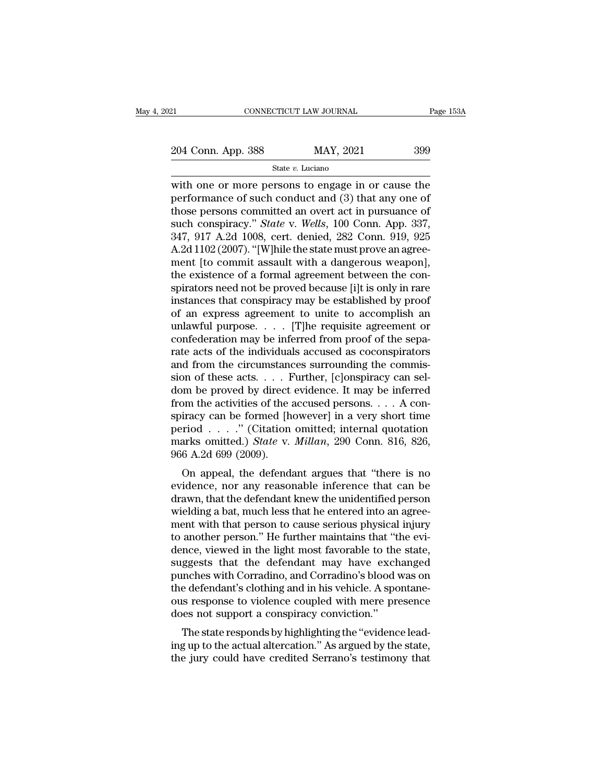State *v.* Luciano

EXECTE CONNECTICUT LAW JOURNAL Page 153A<br>
204 Conn. App. 388 MAY, 2021 399<br>
State v. Luciano<br>
with one or more persons to engage in or cause the<br>
performance of such conduct and (3) that any one of<br>
these persons committe 204 Conn. App. 388 MAY, 2021 399<br>
State v. Luciano<br>
with one or more persons to engage in or cause the<br>
performance of such conduct and (3) that any one of<br>
those persons committed an overt act in pursuance of<br>
such consp 204 Conn. App. 388 MAY, 2021 399<br>
State v. Luciano<br>
with one or more persons to engage in or cause the<br>
performance of such conduct and (3) that any one of<br>
those persons committed an overt act in pursuance of<br>
such consp Such conspiracy.<sup>388</sup> MAY, 2021 399<br>
State *v*. *Luciano*<br>
with one or more persons to engage in or cause the<br>
performance of such conduct and (3) that any one of<br>
those persons committed an overt act in pursuance of<br>
such State v. Luciano<br>
State v. Luciano<br>
with one or more persons to engage in or cause the<br>
performance of such conduct and (3) that any one of<br>
those persons committed an overt act in pursuance of<br>
such conspiracy." *State* State v. Luciano<br>
with one or more persons to engage in or cause the<br>
performance of such conduct and (3) that any one of<br>
those persons committed an overt act in pursuance of<br>
such conspiracy." State v. Wells, 100 Conn. with one or more persons to engage in or cause the<br>performance of such conduct and  $(3)$  that any one of<br>those persons committed an overt act in pursuance of<br>such conspiracy." *State* v. *Wells*, 100 Conn. App. 337,<br>347, performance of such conduct and (3) that any one of<br>those persons committed an overt act in pursuance of<br>such conspiracy." *State* v. *Wells*, 100 Conn. App. 337,<br>347, 917 A.2d 1008, cert. denied, 282 Conn. 919, 925<br>A.2d 1 those persons committed an overt act in pursuance of<br>such conspiracy." *State* v. *Wells*, 100 Conn. App. 337,<br>347, 917 A.2d 1008, cert. denied, 282 Conn. 919, 925<br>A.2d 1102 (2007). "[W]hile the state must prove an agree-<br> such conspiracy." *State* v. *Wells*, 100 Conn. App. 337, 347, 917 A.2d 1008, cert. denied, 282 Conn. 919, 925<br>A.2d 1102 (2007). "[W]hile the state must prove an agreement [to commit assault with a dangerous weapon], the e 347, 917 A.2d 1008, cert. denied, 282 Conn. 919, 925<br>A.2d 1102 (2007). "[W]hile the state must prove an agreement [to commit assault with a dangerous weapon],<br>the existence of a formal agreement between the con-<br>spirators A.2d 1102 (2007). "[W]hile the state must prove an agreement [to commit assault with a dangerous weapon],<br>the existence of a formal agreement between the con-<br>spirators need not be proved because [i]t is only in rare<br>inst ment [to commit assault with a dangerous weapon],<br>the existence of a formal agreement between the con-<br>spirators need not be proved because [i]t is only in rare<br>instances that conspiracy may be established by proof<br>of an e the existence of a formal agreement between the conspirators need not be proved because [i]t is only in rare<br>instances that conspiracy may be established by proof<br>of an express agreement to unite to accomplish an<br>unlawful spirators need not be proved because [i]t is only in rare<br>instances that conspiracy may be established by proof<br>of an express agreement to unite to accomplish an<br>unlawful purpose. . . . [T]he requisite agreement or<br>confed instances that conspiracy may be established by proof<br>of an express agreement to unite to accomplish an<br>unlawful purpose. . . . [T]he requisite agreement or<br>confederation may be inferred from proof of the sepa-<br>rate acts of an express agreement to unite to accomplish an<br>unlawful purpose. . . . [T]he requisite agreement or<br>confederation may be inferred from proof of the sepa-<br>rate acts of the individuals accused as coconspirators<br>and from unlawful purpose. . . . . [T]he requisite agreement or confederation may be inferred from proof of the separate acts of the individuals accused as coconspirators and from the circumstances surrounding the commission of th confederation may be inferred from proof of the separate acts of the individuals accused as coconspirators<br>and from the circumstances surrounding the commission of these acts. . . . Further, [c]onspiracy can sel-<br>dom be p rate acts of the individuals accused as coconspirators<br>and from the circumstances surrounding the commis-<br>sion of these acts. . . . Further, [c]onspiracy can sel-<br>dom be proved by direct evidence. It may be inferred<br>from and from the circumstances surrounding the commission of these acts. . . . Further, [c]onspiracy can sel-<br>dom be proved by direct evidence. It may be inferred<br>from the activities of the accused persons. . . . A con-<br>spira sion of these acts. . . . . From the proved by direct from the activities of the spiracy can be formed [h period  $\,\dots\,$  ." (Citation marks omitted.) *State* v. 966 A.2d 699 (2009). On appeal, the defends In be proved by direct evidence. It may be interfed<br>om the activities of the accused persons.... A con-<br>iracy can be formed [however] in a very short time<br>riod ....." (Citation omitted; internal quotation<br>arks omitted.) Fraction of the accused persons.  $\ldots$  A conspiracy can be formed [however] in a very short time<br>period  $\ldots$ ." (Citation omitted; internal quotation<br>marks omitted.) *State* v. *Millan*, 290 Conn. 816, 826,<br>966 A.2d 699 (

spiracy can be formed [nowever] in a very short time<br>period . . . ." (Citation omitted; internal quotation<br>marks omitted.) *State* v. *Millan*, 290 Conn. 816, 826,<br>966 A.2d 699 (2009).<br>On appeal, the defendant argues that period  $\therefore$  (Chation omitted, internal quotation<br>marks omitted.) *State* v. *Millan*, 290 Conn. 816, 826,<br>966 A.2d 699 (2009).<br>On appeal, the defendant argues that "there is no<br>evidence, nor any reasonable inference that marks omitted.) *State V. Muturi*, 250 Comit. 510, 620, 966 A.2d 699 (2009).<br>
On appeal, the defendant argues that "there is no<br>
evidence, nor any reasonable inference that can be<br>
drawn, that the defendant knew the unide of anotation appeal, the defendant argues that "there is no<br>evidence, nor any reasonable inference that can be<br>drawn, that the defendant knew the unidentified person<br>wielding a bat, much less that he entered into an agree On appeal, the defendant argues that "there is no<br>evidence, nor any reasonable inference that can be<br>drawn, that the defendant knew the unidentified person<br>wielding a bat, much less that he entered into an agree-<br>ment with evidence, nor any reasonable inference that can be<br>drawn, that the defendant knew the unidentified person<br>wielding a bat, much less that he entered into an agree-<br>ment with that person to cause serious physical injury<br>to a drawn, that the defendant knew the unidentified person<br>wielding a bat, much less that he entered into an agree-<br>ment with that person to cause serious physical injury<br>to another person." He further maintains that "the eviwielding a bat, much less that he entered into an agreement with that person to cause serious physical injury<br>to another person." He further maintains that "the evidence, viewed in the light most favorable to the state,<br>su ment with that person to cause serious physical injury<br>to another person." He further maintains that "the evi-<br>dence, viewed in the light most favorable to the state,<br>suggests that the defendant may have exchanged<br>punches to another person." He further maintains that "tidence, viewed in the light most favorable to the suggests that the defendant may have exch punches with Corradino, and Corradino's blood the defendant's clothing and in his rice, viewed in the light most favorable to the state,<br>ggests that the defendant may have exchanged<br>inches with Corradino, and Corradino's blood was on<br>e defendant's clothing and in his vehicle. A spontane-<br>is response to suggests that the defendant may have exchanged<br>punches with Corradino, and Corradino's blood was on<br>the defendant's clothing and in his vehicle. A spontane-<br>ous response to violence coupled with mere presence<br>does not supp punches with Corradino, and Corradino's blood was on<br>the defendant's clothing and in his vehicle. A spontane-<br>ous response to violence coupled with mere presence<br>does not support a conspiracy conviction."<br>The state respond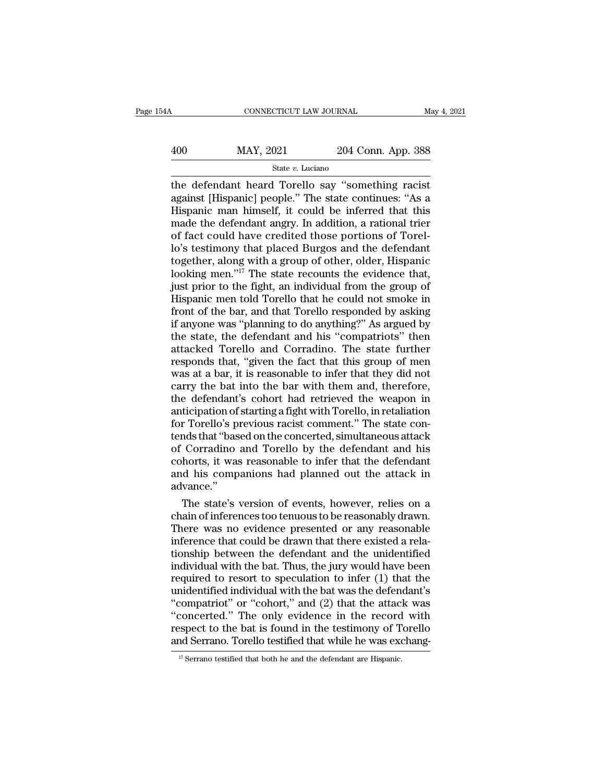# CONNECTICUT LAW JOURNAL May 4, 2021<br>
400 MAY, 2021 204 Conn. App. 388<br>
5tate v. Luciano

### State *v.* Luciano

CONNECTICUT LAW JOURNAL May 4, 2021<br>
MAY, 2021 204 Conn. App. 388<br>
State v. Luciano<br>
the defendant heard Torello say "something racist<br>
against [Hispanic] people." The state continues: "As a<br>
Hispanic man bimself, it could  $\begin{array}{r} \hline \text{MAX, } 2021 \text{ } \text{ } \text{ } 204 \text{ Conn. App. 388} \\ \hline \text{State } v. \text{ Luciano} \\ \hline \text{the defendant heard Torello say "something racist against [Hispanic] people." The state continues: "As a Hispanic man himself, it could be inferred that this made the defendant energy. In addition, a rational tirier.} \end{array}$  $\frac{\text{MAX, 2021}}{\text{State } v. \text{ Luciano}}$ <br>
State v. Luciano<br>
the defendant heard Torello say "something racist<br>
against [Hispanic] people." The state continues: "As a<br>
Hispanic man himself, it could be inferred that this<br>
made the de  $\frac{\text{MAX, 2021}}{\text{State } v. \text{ Luciano}}$ <br>  $\frac{\text{State } v. \text{ Luciano}}{\text{the defendant heard Torello say "something racist}}$ <br>
against [Hispanic] people." The state continues: "As a<br>
Hispanic man himself, it could be inferred that this<br>
made the defendant angry. In addition, a ratio State v. Luciano<br>
State v. Luciano<br>
the defendant heard Torello say "something racist<br>
against [Hispanic] people." The state continues: "As a<br>
Hispanic man himself, it could be inferred that this<br>
made the defendant angry State v. Luciano<br>
the defendant heard Torello say "something racist<br>
against [Hispanic] people." The state continues: "As a<br>
Hispanic man himself, it could be inferred that this<br>
made the defendant angry. In addition, a r the defendant heard Torello say "something racist<br>against [Hispanic] people." The state continues: "As a<br>Hispanic man himself, it could be inferred that this<br>made the defendant angry. In addition, a rational trier<br>of fact against [Hispanic] people." The state continues: "As a<br>Hispanic man himself, it could be inferred that this<br>made the defendant angry. In addition, a rational trier<br>of fact could have credited those portions of Torel-<br>lo's Hispanic man himself, it could be inferred that this<br>made the defendant angry. In addition, a rational trier<br>of fact could have credited those portions of Torel-<br>lo's testimony that placed Burgos and the defendant<br>together made the defendant angry. In addition, a rational trier<br>of fact could have credited those portions of Torel-<br>lo's testimony that placed Burgos and the defendant<br>together, along with a group of other, older, Hispanic<br>lookin of fact could have credited those portions of Torel-<br>lo's testimony that placed Burgos and the defendant<br>together, along with a group of other, older, Hispanic<br>looking men."<sup>17</sup> The state recounts the evidence that,<br>just p lo's testimony that placed Burgos and the defendant<br>together, along with a group of other, older, Hispanic<br>looking men."<sup>17</sup> The state recounts the evidence that,<br>just prior to the fight, an individual from the group of<br>Hi together, along with a group of other, older, Hispanic<br>looking men."<sup>17</sup> The state recounts the evidence that,<br>just prior to the fight, an individual from the group of<br>Hispanic men told Torello that he could not smoke in<br>f looking men."<sup>17</sup> The state recounts the evidence that, just prior to the fight, an individual from the group of Hispanic men told Torello that he could not smoke in front of the bar, and that Torello responded by asking just prior to the fight, an individual from the group of<br>Hispanic men told Torello that he could not smoke in<br>front of the bar, and that Torello responded by asking<br>if anyone was "planning to do anything?" As argued by<br>the Hispanic men told Torello that he could not smoke in<br>front of the bar, and that Torello responded by asking<br>if anyone was "planning to do anything?" As argued by<br>the state, the defendant and his "compatriots" then<br>attacked front of the bar, and that Torello responded by asking<br>if anyone was "planning to do anything?" As argued by<br>the state, the defendant and his "compatriots" then<br>attacked Torello and Corradino. The state further<br>responds th if anyone was "planning to do anything?" As argued by<br>the state, the defendant and his "compatriots" then<br>attacked Torello and Corradino. The state further<br>responds that, "given the fact that this group of men<br>was at a bar the state, the defendant and his "compatriots" then<br>attacked Torello and Corradino. The state further<br>responds that, "given the fact that this group of men<br>was at a bar, it is reasonable to infer that they did not<br>carry th attacked Torello and Corradino. The state further<br>responds that, "given the fact that this group of men<br>was at a bar, it is reasonable to infer that they did not<br>carry the bat into the bar with them and, therefore,<br>the def responds that, "given the fact that this group of men<br>was at a bar, it is reasonable to infer that they did not<br>carry the bat into the bar with them and, therefore,<br>the defendant's cohort had retrieved the weapon in<br>antici was at a bar, it is reasonable to infer that they did not<br>carry the bat into the bar with them and, therefore,<br>the defendant's cohort had retrieved the weapon in<br>anticipation of starting a fight with Torello, in retaliatio carry the bat into the bar with them and, therefore,<br>the defendant's cohort had retrieved the weapon in<br>anticipation of starting a fight with Torello, in retaliation<br>for Torello's previous racist comment." The state con-<br>t the defendant's cohort had retrieved the weapon in<br>anticipation of starting a fight with Torello, in retaliation<br>for Torello's previous racist comment." The state con-<br>tends that "based on the concerted, simultaneous attac advance.'' r Torello's previous racist comment." The state con-<br>nds that "based on the concerted, simultaneous attack<br>Corradino and Torello by the defendant and his<br>horts, it was reasonable to infer that the defendant<br>d his companion tends that "based on the concerted, simultaneous attack<br>of Corradino and Torello by the defendant and his<br>cohorts, it was reasonable to infer that the defendant<br>and his companions had planned out the attack in<br>advance."<br>Th

of Corradino and Torello by the defendant and his<br>cohorts, it was reasonable to infer that the defendant<br>and his companions had planned out the attack in<br>advance."<br>The state's version of events, however, relies on a<br>chain cohorts, it was reasonable to infer that the defendant<br>and his companions had planned out the attack in<br>advance."<br>The state's version of events, however, relies on a<br>chain of inferences too tenuous to be reasonably drawn.<br> and his companions had planned out the attack in<br>advance."<br>The state's version of events, however, relies on a<br>chain of inferences too tenuous to be reasonably drawn.<br>There was no evidence presented or any reasonable<br>infer advance."<br>
The state's version of events, however, relies on a<br>
chain of inferences too tenuous to be reasonably drawn.<br>
There was no evidence presented or any reasonable<br>
inference that could be drawn that there existed a The state's version of events, however, relies on a<br>chain of inferences too tenuous to be reasonably drawn.<br>There was no evidence presented or any reasonable<br>inference that could be drawn that there existed a rela-<br>tionsh chain of inferences too tenuous to be reasonably drawn.<br>There was no evidence presented or any reasonable<br>inference that could be drawn that there existed a rela-<br>tionship between the defendant and the unidentified<br>individ There was no evidence presented or any reasonable<br>
inference that could be drawn that there existed a rela-<br>
tionship between the defendant and the unidentified<br>
individual with the bat. Thus, the jury would have been<br>
req inference that could be drawn that there existed a rela-<br>tionship between the defendant and the unidentified<br>individual with the bat. Thus, the jury would have been<br>required to resort to speculation to infer (1) that the<br>u tionship between the defendant and the unidentified<br>individual with the bat. Thus, the jury would have been<br>required to resort to speculation to infer (1) that the<br>unidentified individual with the bat was the defendant's<br>" individual with the bat. Thus, the jury would have been<br>required to resort to speculation to infer (1) that the<br>unidentified individual with the bat was the defendant's<br>"compatriot" or "cohort," and (2) that the attack wa "concerted." The only evidence in the record with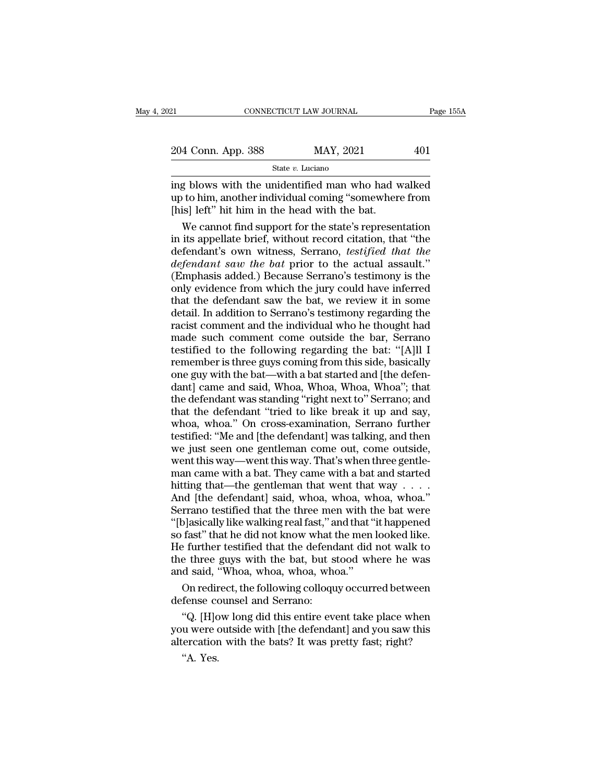| 21                 | CONNECTICUT LAW JOURNAL |           | Page 155A |
|--------------------|-------------------------|-----------|-----------|
|                    |                         |           |           |
| 204 Conn. App. 388 |                         | MAY, 2021 | 401       |
|                    | State $v$ . Luciano     |           |           |

EXECT 21 CONNECTICUT LAW JOURNAL Page 155A<br>
204 Conn. App. 388 MAY, 2021 401<br>
State v. Luciano<br>
ing blows with the unidentified man who had walked<br>
up to him, another individual coming "somewhere from<br>
[his] left" bit him 204 Conn. App. 388 MAY, 2021 401<br>State v. Luciano<br>ing blows with the unidentified man who had walked<br>up to him, another individual coming "somewhere from<br>[his] left" hit him in the head with the bat. ing blows with the unidentified man who had walked<br>up to him, another individual coming "somewhere from<br>[his] left" hit him in the head with the bat.<br>We cannot find support for the state's representation<br>in its appellate b 4 Conn. App. 388 MAY, 2021 401<br>
State v. Luciano<br>
State v. Luciano<br>
State v. Luciano<br>
to him, another individual coming "somewhere from<br>
is] left" hit him in the head with the bat.<br>
We cannot find support for the state's

State v. Luciano<br>
ing blows with the unidentified man who had walked<br>
up to him, another individual coming "somewhere from<br>
[his] left" hit him in the head with the bat.<br>
We cannot find support for the state's representat state *v*. Lucture<br>
ing blows with the unidentified man who had walked<br>
up to him, another individual coming "somewhere from<br>
[his] left" hit him in the head with the bat.<br>
We cannot find support for the state's representa ing blows with the unidentified man who had walked<br>up to him, another individual coming "somewhere from<br>[his] left" hit him in the head with the bat.<br>We cannot find support for the state's representation<br>in its appellate b up to him, another individual coming "somewhere from<br>[his] left" hit him in the head with the bat.<br>We cannot find support for the state's representation<br>in its appellate brief, without record citation, that "the<br>defendant' [his] left" hit him in the head with the bat.<br>We cannot find support for the state's representation<br>in its appellate brief, without record citation, that "the<br>defendant's own witness, Serrano, *testified that the*<br>defendan We cannot find support for the state's representation<br>in its appellate brief, without record citation, that "the<br>defendant's own witness, Serrano, *testified that the*<br>defendant saw the bat prior to the actual assault."<br>(E in its appellate brief, without record citation, that "the defendant's own witness, Serrano, *testified that the defendant saw the bat* prior to the actual assault." (Emphasis added.) Because Serrano's testimony is the onl defendant's own witness, Serrano, *testified that the*<br>defendant saw the bat prior to the actual assault."<br>(Emphasis added.) Because Serrano's testimony is the<br>only evidence from which the jury could have inferred<br>that the defendant saw the bat prior to the actual assault."<br>(Emphasis added.) Because Serrano's testimony is the<br>only evidence from which the jury could have inferred<br>that the defendant saw the bat, we review it in some<br>detail. In (Emphasis added.) Because Serrano's testimony is the<br>only evidence from which the jury could have inferred<br>that the defendant saw the bat, we review it in some<br>detail. In addition to Serrano's testimony regarding the<br>racis only evidence from which the jury could have inferred<br>that the defendant saw the bat, we review it in some<br>detail. In addition to Serrano's testimony regarding the<br>racist comment and the individual who he thought had<br>made that the defendant saw the bat, we review it in some<br>detail. In addition to Serrano's testimony regarding the<br>racist comment and the individual who he thought had<br>made such comment come outside the bar, Serrano<br>testified t detail. In addition to Serrano's testimony regarding the racist comment and the individual who he thought had made such comment come outside the bar, Serrano testified to the following regarding the bat: "[A]ll I remember racist comment and the individual who he thought had<br>made such comment come outside the bar, Serrano<br>testified to the following regarding the bat: "[A]ll I<br>remember is three guys coming from this side, basically<br>one guy wi made such comment come outside the bar, Serrano<br>testified to the following regarding the bat: "[A]ll I<br>remember is three guys coming from this side, basically<br>one guy with the bat—with a bat started and [the defen-<br>dant] c testified to the following regarding the bat: "[A]ll I<br>remember is three guys coming from this side, basically<br>one guy with the bat—with a bat started and [the defen-<br>dant] came and said, Whoa, Whoa, Whoa, Whoa''; that<br>the remember is three guys coming from this side, basically<br>one guy with the bat—with a bat started and [the defen-<br>dant] came and said, Whoa, Whoa, Whoa, Whoa"; that<br>the defendant was standing "right next to" Serrano; and<br>tha one guy with the bat—with a bat started and [the defendant] came and said, Whoa, Whoa, Whoa, Whoa"; that the defendant was standing "right next to" Serrano; and that the defendant "tried to like break it up and say, whoa, one guy with the bat—with a bat started and [the defendant] came and said, Whoa, Whoa, Whoa, Whoa"; that the defendant was standing "right next to" Serrano; and that the defendant "tried to like break it up and say, whoa, the defendant was standing "right next to" Serrano; and<br>that the defendant "tried to like break it up and say,<br>whoa, whoa." On cross-examination, Serrano further<br>testified: "Me and [the defendant] was talking, and then<br>we that the defendant "tried to like break it up and say,<br>whoa, whoa." On cross-examination, Serrano further<br>testified: "Me and [the defendant] was talking, and then<br>we just seen one gentleman come out, come outside,<br>went thi whoa, whoa." On cross-examination, Serrano further<br>testified: "Me and [the defendant] was talking, and then<br>we just seen one gentleman come out, come outside,<br>went this way—went this way. That's when three gentle-<br>man cam testified: "Me and [the defendant] was talking, and then<br>we just seen one gentleman come out, come outside,<br>went this way—went this way. That's when three gentle-<br>man came with a bat. They came with a bat and started<br>hitti we just seen one gentleman come out, come outside,<br>went this way—went this way. That's when three gentle-<br>man came with a bat. They came with a bat and started<br>hitting that—the gentleman that went that way . . . .<br>And [the went this way—went this way. That's when three gentle-<br>man came with a bat. They came with a bat and started<br>hitting that—the gentleman that went that way  $\ldots$ .<br>And [the defendant] said, whoa, whoa, whoa, whoa."<br>Serrano man came with a bat. They came with a bat and started<br>hitting that—the gentleman that went that way  $\dots$ .<br>And [the defendant] said, whoa, whoa, whoa, whoa."<br>Serrano testified that the three men with the bat were<br>"[b]asica hitting that—the gentleman that went that way  $\ldots$ .<br>And [the defendant] said, whoa, whoa, whoa, whoa."<br>Serrano testified that the three men with the bat were<br>"[b]asically like walking real fast," and that "it happened<br>so And [the defendant] said, whoa, whoa, whoa<br>Serrano testified that the three men with tifely<br>so fast" that he did not know what the men<br>He further testified that the defendant did<br>the three guys with the bat, but stood wh<br>a rrano testified that the three men with the bat were<br>plasically like walking real fast," and that "it happened<br>fast" that he did not know what the men looked like.<br>e further testified that the defendant did not walk to<br>e t "[b]asically like walking real fast," a<br>so fast" that he did not know what t<br>He further testified that the defend<br>the three guys with the bat, but s<br>and said, "Whoa, whoa, whoa, who<br>On redirect, the following colloqu<br>defen Tast "that he did not know what the hier hooked like."<br>
E further testified that the defendant did not walk to<br>
d said, "Whoa, whoa, whoa, whoa."<br>
On redirect, the following colloquy occurred between<br>
fense counsel and Ser

The further testined that the defendant did not wark to<br>the three guys with the bat, but stood where he was<br>and said, "Whoa, whoa, whoa, whoa."<br>On redirect, the following colloquy occurred between<br>defense counsel and Serra die three guys with the bat, but stood where he was<br>and said, "Whoa, whoa, whoa, whoa."<br>On redirect, the following colloquy occurred between<br>defense counsel and Serrano:<br>"Q. [H]ow long did this entire event take place when On redir<br>fense co<br>"Q. [H]c<br>u were c<br>ercatior<br>"A. Yes.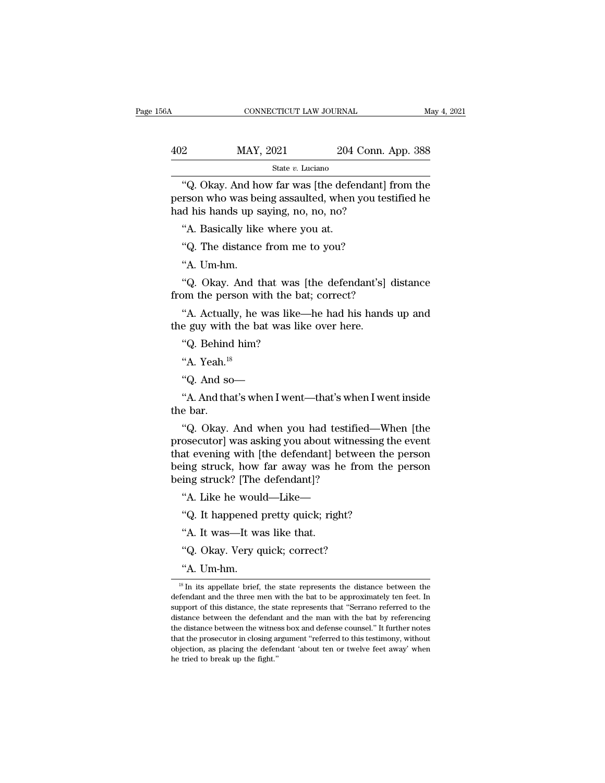| ŝΑ  | CONNECTICUT LAW JOURNAL |                    | May 4, 2021 |
|-----|-------------------------|--------------------|-------------|
| 402 | MAY, 2021               | 204 Conn. App. 388 |             |
|     | State v. Luciano        |                    |             |

CONNECTICUT LAW JOURNAL May 4, 2021<br>
201 Conn. App. 388<br>
5tate v. Luciano<br>
"Q. Okay. And how far was [the defendant] from the<br>
rson who was being assaulted, when you testified he<br>
d his bands up saying no. no. no. 2  $\begin{array}{r} \text{MAX, } 2021 \\ \text{State } v. \text{ Luciano} \end{array}$ <br>  $\begin{array}{r} \text{State } v. \text{ Luciano} \end{array}$ <br>
"Q. Okay. And how far was [the defendant] from the person who was being assaulted, when you testified he had his hands up saying, no, no, no?  $\begin{array}{r} \text{402}\qquad \text{MAX, } 2021\qquad \text{204 Conn.} \ \text{State } v \text{. Luciano} \ \hline \text{``Q. Okay. And how far was [the defendant] person who was being assaulted, when you tes had his hands up saying, no, no, no?} \ \text{``A. Basically like where you at.} \end{array}$ 22 MAY, 2021 204<br>
State v. Luciano<br>
"Q. Okay. And how far was [the deferm rson who was being assaulted, when d his hands up saying, no, no, no?<br>
"A. Basically like where you at.<br>
"Q. The distance from me to you? State v. Luciano<br>
"Q. Okay. And how far was [the defendant]<br>
rson who was being assaulted, when you tes<br>
d his hands up saying, no, no, no?<br>
"A. Basically like where you at.<br>
"Q. The distance from me to you?<br>"A. Um-hm. "Q. Okay. And how far was [the defendant] from the<br>person who was being assaulted, when you testified he<br>had his hands up saying, no, no, no?<br>"A. Basically like where you at.<br>"Q. The distance from me to you?<br>"A. Um-hm.<br>"Q

The Mass being assaured, when you assumed he<br>d his hands up saying, no, no, no?<br>"A. Basically like where you at.<br>"Q. The distance from me to you?<br>"A. Um-hm.<br>"Q. Okay. And that was [the defendant's] distance<br>bm the person w "A. Basically like where you at.<br>"Q. The distance from me to you?<br>"A. Um-hm.<br>"Q. Okay. And that was [the defendant's] difrom the person with the bat; correct?<br>"A. Actually, he was like—he had his hands i "Q. The distance from me to you?"<br>
"A. Um-hm."<br>
Q. Okay. And that was [the defendant's]<br>
from the person with the bat; correct?<br>
"A. Actually, he was like—he had his hand<br>
the guy with the bat was like over here.<br>"Q. Behin "A. Um-hm.<br>"Q. Okay. And that was<br>om the person with the ba<br>"A. Actually, he was like-<br>e guy with the bat was lik<br>"Q. Behind him?<br>"A. Yeah.<sup>18</sup>

"A. Baskeary me where you all."<br>"Q. The distance from me to you?<br>"A. Um-hm."<br>Q. Okay. And that was [the defendant's] distance<br>pm the person with the bat; correct?<br>"A. Actually, he was like—he had his hands up and<br>e guy wit "Q. Okay. And the person wi<br>"A. Actually, he<br>"Q. Behind him?"<br>"Q. Behind him?"<br>"A. Yeah.<sup>18</sup> "A. Actually, he was like—he had<br>e guy with the bat was like over l<br>"Q. Behind him?<br>"A. Yeah.<sup>18</sup><br>"Q. And so—<br>"A. And that's when I went—that's

T. Tectually, he was like the had his hands up and<br>e guy with the bat was like over here.<br>"Q. Behind him?<br>"A. And so—<br>"A. And that's when I went—that's when I went inside<br>e bar. "Q. Behind"<br>"A. Yeah.<sup>18</sup><br>"A. And sc<br>"A. And thathe bar.<br>"Q. Okay.

"A. Yeah.<sup>18</sup><br>"Q. And so—<br>"A. And that's when I went—that's when I went inside<br>e bar.<br>"Q. Okay. And when you had testified—When [the<br>osecutor] was asking you about witnessing the event<br>at evoning with [the defondant] betwe "A. Yeah."<br>
"Q. And so—<br>
"A. And that's when I went—that's when I went inside<br>
the bar.<br>
"Q. Okay. And when you had testified—When [the<br>
prosecutor] was asking you about witnessing the event<br>
that evening with [the defenda "Q. And so—<br>"A. And that's when I went—that's when I went inside<br>the bar.<br>"Q. Okay. And when you had testified—When [the<br>prosecutor] was asking you about witnessing the event<br>that evening with [the defendant] between the p "A. And that's when I went—that's when I went inside<br>the bar.<br>"Q. Okay. And when you had testified—When [the<br>prosecutor] was asking you about witnessing the event<br>that evening with [the defendant] between the person<br>being A. And that s when I went—that s where<br>the bar.<br>"Q. Okay. And when you had testifie<br>prosecutor] was asking you about witnes<br>that evening with [the defendant] betwe<br>being struck, how far away was he fro<br>being struck? [The d "Q. Okay. And when you had testified—When<br>osecutor] was asking you about witnessing the e<br>at evening with [the defendant] between the pe<br>ing struck, how far away was he from the pe<br>ing struck? [The defendant]?<br>"A. Like he osecutor] was asking you about witnessing th<br>at evening with [the defendant] between the<br>ing struck, how far away was he from the<br>ing struck? [The defendant]?<br>"A. Like he would—Like—<br>"Q. It happened pretty quick; right?<br>"A at evening with [the defendant] b<br>
ing struck, how far away was h<br>
ing struck? [The defendant]?<br>
"A. Like he would—Like—<br>"Q. It happened pretty quick; rigl<br>"A. It was—It was like that.<br>"Q. Okay. Very quick; correct? the struck? [The defendant]?<br>
"A. Like he would—Like—<br>
"Q. It happened pretty quick; right?<br>
"A. It was—It was like that.<br>
"Q. Okay. Very quick; correct?<br>
"A. Um-hm.

<sup>&</sup>quot;A. Like he woul<br>"Q. It happened<br>"A. It was—It wa"<br>"Q. Okay. Very q<br>"A. Um-hm. "A. It was—It was like that.<br>
"Q. Okay. Very quick; correct?<br>
"A. Um-hm.<br>  $\frac{18 \text{ In its appellate brief, the state represents the distance between the  
fendant and the three men with the bat to be approximately ten feet. In$ "Q. Okay. Very quick; correct?<br>"A. Um-hm.<br><sup>18</sup> In its appellate brief, the state represents the distance between the defendant and the three men with the bat to be approximately ten feet. In support of this distance, the s "Q. Okay. Very quick; correct?<br>
"A. Um-hm.<br>
<sup>18</sup> In its appellate brief, the state represents the distance between the defendant and the three men with the bat to be approximately ten feet. In support of this distance, the "A. Um-hm.<br>  $\frac{18 \text{ In its appellate brief, the state represents the distance between the  
defendant and the three men with the bat to be approximately ten feet. In  
support of this distance, the state represents that "Serrano referred to the  
distance between the defendant and the man with the bat by referencing  
the distance between the witness box and defense course!." It further notes$ A. UIII-IIII.<br>
<sup>18</sup> In its appellate brief, the state represents the distance between the defendant and the three men with the bat to be approximately ten feet. In support of this distance, the state represents that "Serr <sup>18</sup> In its appellate brief, the state represents the distance between the defendant and the three men with the bat to be approximately ten feet. In support of this distance, the state represents that "Serrano referred to defendant and the three men with the bat to be approximately ten feet. In support of this distance, the state represents that "Serrano referred to the distance between the defendant and the man with the bat by referencing defendant and the three men with the bat to be approximately ten feet. In support of this distance, the state represents that "Serrano referred to the distance between the defendant and the man with the bat by referencing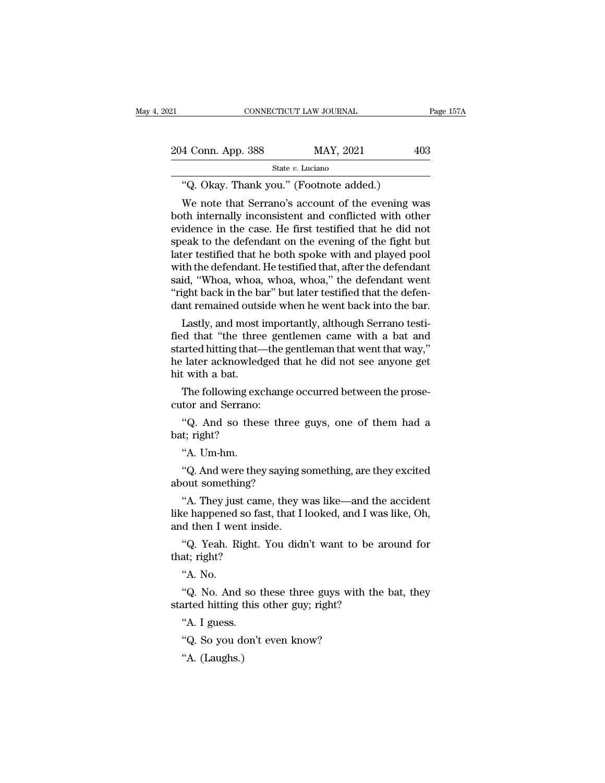| 21                 | CONNECTICUT LAW JOURNAL                           | Page 157A |
|--------------------|---------------------------------------------------|-----------|
| 204 Conn. App. 388 | MAY, 2021                                         | 403       |
|                    | State $v$ . Luciano                               |           |
|                    | "Q. Okay. Thank you." (Footnote added.)           |           |
|                    | We note that Serrano's account of the evening was |           |

4 Conn. App. 388 MAY, 2021 403<br>
State v. Luciano<br>
"Q. Okay. Thank you." (Footnote added.)<br>
We note that Serrano's account of the evening was<br>
the internally inconsistent and conflicted with other<br>
idonce in the case. He f 204 Conn. App. 388 MAY, 2021 403<br>
State v. Luciano<br>
"Q. Okay. Thank you." (Footnote added.)<br>
We note that Serrano's account of the evening was<br>
both internally inconsistent and conflicted with other<br>
evidence in the case. 204 Conn. App. 388 MAY, 2021 403<br>
State v. Luciano<br>
"Q. Okay. Thank you." (Footnote added.)<br>
We note that Serrano's account of the evening was<br>
both internally inconsistent and conflicted with other<br>
evidence in the case. State  $v$ . Luciano<br>
"Q. Okay. Thank you." (Footnote added.)<br>
We note that Serrano's account of the evening was<br>
both internally inconsistent and conflicted with other<br>
evidence in the case. He first testified that he did "Q. Okay. Thank you." (Footnote added.)<br>We note that Serrano's account of the evening was<br>both internally inconsistent and conflicted with other<br>evidence in the case. He first testified that he did not<br>speak to the defenda Q. Okay. Thank you. (Foothote added.)<br>We note that Serrano's account of the evening was<br>both internally inconsistent and conflicted with other<br>evidence in the case. He first testified that he did not<br>speak to the defendant We note that Serrano's account of the evening was<br>both internally inconsistent and conflicted with other<br>evidence in the case. He first testified that he did not<br>speak to the defendant on the evening of the fight but<br>later both internally inconsistent and conflicted with other<br>evidence in the case. He first testified that he did not<br>speak to the defendant on the evening of the fight but<br>later testified that he both spoke with and played pool evidence in the case. He first testified that he did not<br>speak to the defendant on the evening of the fight but<br>later testified that he both spoke with and played pool<br>with the defendant. He testified that, after the defen eak to the defendant on the evening of the light but<br>ter testified that he both spoke with and played pool<br>th the defendant. He testified that, after the defendant<br>id, "Whoa, whoa, whoa, whoa," the defendant went<br>ight back rater testined that he both spoke with and played pool<br>with the defendant. He testified that, after the defendant<br>said, "Whoa, whoa, whoa, whoa," the defendant went<br>"right back in the bar" but later testified that the defe

with the defendant. He testified that, after the defendant<br>said, "Whoa, whoa, whoa, whoa," the defendant went<br>"right back in the bar" but later testified that the defen-<br>dant remained outside when he went back into the bar said, whoa, whoa, whoa, whoa, the defendant went<br>"right back in the bar" but later testified that the defen-<br>dant remained outside when he went back into the bar.<br>Lastly, and most importantly, although Serrano testi-<br>fied right back in the bad<br>dant remained outs:<br>Lastly, and most if<br>ied that "the three<br>started hitting that—<br>he later acknowled<br>hit with a bat.<br>The following exc Lastly, and most importantly, although Serrano testi-<br>d that "the three gentlemen came with a bat and<br>arted hitting that—the gentleman that went that way,"<br>later acknowledged that he did not see anyone get<br>t with a bat.<br>Th Lastly, and most importion<br>fied that "the three ger<br>started hitting that—the<br>he later acknowledged t<br>hit with a bat.<br>The following exchang<br>cutor and Serrano:<br>"Q. And so these th: arted hitting that—the gentleman that went that way,"<br>
' later acknowledged that he did not see anyone get<br>
t with a bat.<br>
The following exchange occurred between the prose-<br>
tor and Serrano:<br>
"Q. And so these three guys, he later acknowled<br>hit with a bat.<br>The following exc<br>cutor and Serrano:<br>"Q. And so thes<br>bat; right?"<br>"A. Um-hm.

t with a bat.<br>The following exetor and Serrano:<br>"Q. And so thes<br>t; right?<br>"A. Um-hm.<br>"Q. And were the

The following exchange occurred between the prosetor and Serrano:<br>
"Q. And so these three guys, one of them had a<br>
t; right?<br>
"A. Um-hm.<br>
"Q. And were they saying something, are they excited<br>
out something? cutor and Serrano:<br>
"Q. And so these three<br>
bat; right?<br>
"A. Um-hm.<br>
"Q. And were they saying<br>
about something?<br>
"A. They just came, they

"Q. And so these three guys, one of them had a<br>t; right?<br>"A. Um-hm.<br>"Q. And were they saying something, are they excited<br>out something?<br>"A. They just came, they was like—and the accident<br>te happened so fast, that I looked, bat; right?<br>
"A. Um-hm.<br>
"Q. And were they saying something, are they excited<br>
about something?<br>
"A. They just came, they was like—and the accident<br>
like happened so fast, that I looked, and I was like, Oh,<br>
and then I wen "A. Um-hm.<br>"Q. And were they saying s<br>about something?<br>"A. They just came, they w<br>like happened so fast, that I l<br>and then I went inside.<br>"Q. Yeah. Right. You didr "Q. And were they saying something, are they excited<br>out something?<br>"A. They just came, they was like—and the accident<br>te happened so fast, that I looked, and I was like, Oh,<br>d then I went inside.<br>"Q. Yeah. Right. You didn about something?<br>
"A. They just cam<br>
like happened so fas<br>
and then I went insi<br>
"Q. Yeah. Right. '<br>
that; right?<br>"A. No. "A. They just<br>"e happened"<br>d then I wer<br>"Q. Yeah. Ri<br>at; right?"<br>A. No.

and then I went inside.<br>
"Q. Yeah. Right. You didn't want to be at<br>
that; right?<br>
"A. No.<br>
"Q. No. And so these three guys with the<br>
started hitting this other guy; right?<br>
"A. I guess.

the happened so fast, that I looked, and I was like, Oh, d then I went inside.<br>
"Q. Yeah. Right. You didn't want to be around for at; right?<br>
"A. No.<br>
"Q. No. And so these three guys with the bat, they arted hitting this o "Q. Yeah. Right.<br>at; right?<br>"A. No.<br>"Q. No. And so<br>arted hitting this<br>"A. I guess.<br>"Q. So you don't 4. No.<br>"Q. No. And so these three guys with<br>arted hitting this other guy; right?<br>"A. I guess.<br>"Q. So you don't even know?<br>"A. (Laughs.) "Q. No. And<br>"Q. No. And<br>arted hitting t<br>"A. I guess.<br>"Q. So you de"A. (Laughs.)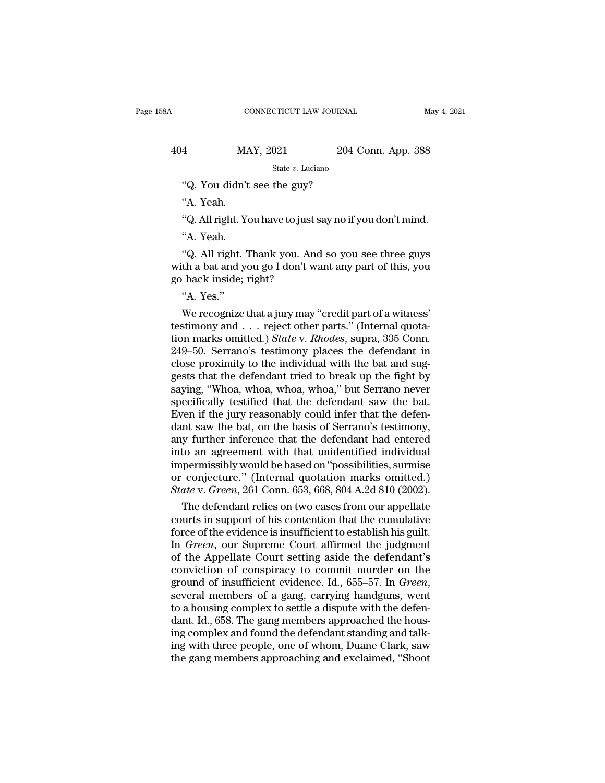|     | CONNECTICUT LAW JOURNAL                                   |                    | May 4, 2021 |
|-----|-----------------------------------------------------------|--------------------|-------------|
|     |                                                           |                    |             |
| 404 | MAY, 2021                                                 | 204 Conn. App. 388 |             |
|     | State $v$ . Luciano                                       |                    |             |
|     | "Q. You didn't see the guy?                               |                    |             |
|     | "A. Yeah.                                                 |                    |             |
|     | "Q. All right. You have to just say no if you don't mind. |                    |             |
|     | "A. Yeah.                                                 |                    |             |

"<br>"Q. You didn't"<br>A. Yeah.<br>"Q. All right. Yo "Q. You didn't see the guy?<br>"A. Yeah.<br>"Q. All right. You have to just say no if you don't mind.<br>"A. Yeah.<br>"Q. All right. Thank you. And so you see three guys<br>th a bat and you go I don't want any part of this, you "Q. You didn't see the guy?<br>"A. Yeah.<br>"Q. All right. You have to just say no if you don't mind.<br>"A. Yeah.<br>"Q. All right. Thank you. And so you see three guys<br>with a bat and you go I don't want any part of this, you<br>go back "A. Yeah.<br>"Q. All right. You have to just:<br>"A. Yeah.<br>"Q. All right. Thank you. An<br>with a bat and you go I don't w<br>go back inside; right?<br>"A. Yes." ("Q. All right. Y<br>
"A. Yeah.<br>
"Q. All right.<br>
th a bat and y<br>
back inside;<br>"A. Yes."<br>
We recognize "A. Yeah.<br>"Q. All right. Thank you. And so you see three guys<br>th a bat and you go I don't want any part of this, you<br>back inside; right?<br>"A. Yes."<br>We recognize that a jury may "credit part of a witness'<br>stimony and . . . r

"Q. All right. Thank you. And so you see three guys<br>with a bat and you go I don't want any part of this, you<br>go back inside; right?<br>"A. Yes."<br>We recognize that a jury may "credit part of a witness"<br>testimony and . . . reje We have a bot and you go I don't want any part of this, you<br>go back inside; right?<br>"A. Yes."<br>We recognize that a jury may "credit part of a witness"<br>testimony and . . . reject other parts." (Internal quota-<br>tion marks omit 249–50. Serrano's testimony places the defendant rise of and suggests that a jury may "credit part of a witness"<br>testimony and  $\ldots$  reject other parts." (Internal quotation marks omitted.) *State v. Rhodes*, supra, 335 C "A. Yes."<br>
We recognize that a jury may "credit part of a witness"<br>
testimony and  $\ldots$  reject other parts." (Internal quota-<br>
tion marks omitted.) *State* v. *Rhodes*, supra, 335 Conn.<br>
249–50. Serrano's testimony places "A. Yes."<br>We recognize that a jury may "credit part of a witness"<br>testimony and . . . reject other parts." (Internal quota-<br>tion marks omitted.) *State* v. *Rhodes*, supra, 335 Conn.<br>249–50. Serrano's testimony places the We recognize that a jury may "credit part of a witness"<br>testimony and . . . reject other parts." (Internal quota-<br>tion marks omitted.) *State* v. *Rhodes*, supra, 335 Conn.<br>249–50. Serrano's testimony places the defendant testimony and . . . reject other parts." (Internal quotation marks omitted.) *State* v. *Rhodes*, supra, 335 Conn. 249–50. Serrano's testimony places the defendant in close proximity to the individual with the bat and sugg tion marks omitted.) *State* v. *Rhodes*, supra, 335 Conn.<br>249–50. Serrano's testimony places the defendant in<br>close proximity to the individual with the bat and sug-<br>gests that the defendant tried to break up the fight by 249–50. Serrano's testimony places the defendant in close proximity to the individual with the bat and suggests that the defendant tried to break up the fight by saying, "Whoa, whoa, whoa, whoa," but Serrano never specific close proximity to the individual with the bat and suggests that the defendant tried to break up the fight by<br>saying, "Whoa, whoa, whoa, whoa," but Serrano never<br>specifically testified that the defendant saw the bat.<br>Even gests that the defendant tried to break up the fight by<br>saying, "Whoa, whoa, whoa, whoa," but Serrano never<br>specifically testified that the defendant saw the bat.<br>Even if the jury reasonably could infer that the defen-<br>dan saying, "Whoa, whoa, whoa, whoa," but Serrano never<br>specifically testified that the defendant saw the bat.<br>Even if the jury reasonably could infer that the defen-<br>dant saw the bat, on the basis of Serrano's testimony,<br>any specifically testified that the defendant saw the bat.<br>Even if the jury reasonably could infer that the defendant saw the bat, on the basis of Serrano's testimony,<br>any further inference that the defendant had entered<br>into Even if the jury reasonably could infer that the defendant saw the bat, on the basis of Serrano's testimony, any further inference that the defendant had entered into an agreement with that unidentified individual impermis In the bat, on the basis of Serrano's testimony,<br>y further inference that the defendant had entered<br>to an agreement with that unidentified individual<br>permissibly would be based on "possibilities, surmise<br>conjecture." (Inte any further interence that the defendant had entered<br>into an agreement with that unidentified individual<br>impermissibly would be based on "possibilities, surmise<br>or conjecture." (Internal quotation marks omitted.)<br>*State* v

into an agreement with that unidentified individual<br>impermissibly would be based on "possibilities, surmise<br>or conjecture." (Internal quotation marks omitted.)<br>State v. Green, 261 Conn. 653, 668, 804 A.2d 810 (2002).<br>The d Impermissibly would be based on "possibilities, surmise<br>or conjecture." (Internal quotation marks omitted.)<br>*State* v. *Green*, 261 Conn. 653, 668, 804 A.2d 810 (2002).<br>The defendant relies on two cases from our appellate<br> or conjecture." (Internal quotation marks omitted.)<br>
State v. Green, 261 Conn. 653, 668, 804 A.2d 810 (2002).<br>
The defendant relies on two cases from our appellate<br>
courts in support of his contention that the cumulative<br> State v. Green, 261 Conn. 653, 668, 804 A.2d 810 (2002).<br>
The defendant relies on two cases from our appellate<br>
courts in support of his contention that the cumulative<br>
force of the evidence is insufficient to establish hi The defendant relies on two cases from our appellate<br>courts in support of his contention that the cumulative<br>force of the evidence is insufficient to establish his guilt.<br>In *Green*, our Supreme Court affirmed the judgment force of the evidence is insufficient to establish his guilt.<br>In *Green*, our Supreme Court affirmed the judgment<br>of the Appellate Court setting aside the defendant's<br>conviction of conspiracy to commit murder on the<br>ground In *Green*, our Supreme Court affirmed the judgment<br>of the Appellate Court setting aside the defendant's<br>conviction of conspiracy to commit murder on the<br>ground of insufficient evidence. Id., 655–57. In *Green*,<br>several me of the Appellate Court setting aside the defendant's<br>conviction of conspiracy to commit murder on the<br>ground of insufficient evidence. Id., 655–57. In *Green*,<br>several members of a gang, carrying handguns, went<br>to a housin conviction of conspiracy to commit murder on the<br>ground of insufficient evidence. Id., 655–57. In *Green*,<br>several members of a gang, carrying handguns, went<br>to a housing complex to settle a dispute with the defen-<br>dant. I ground of insufficient evidence. Id., 655–57. In *Green*, several members of a gang, carrying handguns, went to a housing complex to settle a dispute with the defendant. Id., 658. The gang members approached the housing co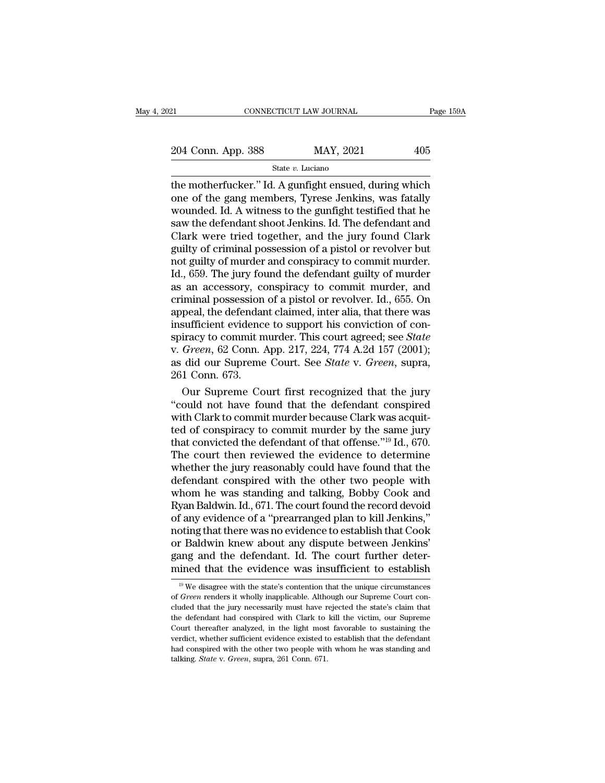State *v.* Luciano

EXECT MOTHER MAY MOURNAL Page 159A<br>
204 Conn. App. 388 MAY, 2021 405<br>
5 State v. Luciano<br>
the motherfucker.'' Id. A gunfight ensued, during which<br>
one of the gang members, Tyrese Jenkins, was fatally<br>
wounded Id. A witness  $\frac{204 \text{ Conn. App. 388}}{\text{State } v. \text{ Luciano}}$  MAY, 2021 405<br>the motherfucker." Id. A gunfight ensued, during which<br>one of the gang members, Tyrese Jenkins, was fatally<br>wounded. Id. A witness to the gunfight testified that he<br>saw the 204 Conn. App. 388 MAY, 2021 405<br>
State v. Luciano<br>
the motherfucker." Id. A gunfight ensued, during which<br>
one of the gang members, Tyrese Jenkins, was fatally<br>
wounded. Id. A witness to the gunfight testified that he<br>
s 204 Conn. App. 388 MAY, 2021 405<br>
State v. Luciano<br>
the motherfucker." Id. A gunfight ensued, during which<br>
one of the gang members, Tyrese Jenkins, was fatally<br>
wounded. Id. A witness to the gunfight testified that he<br>
s State v. Luciano<br>
State v. Luciano<br>
the motherfucker." Id. A gunfight ensued, during which<br>
one of the gang members, Tyrese Jenkins, was fatally<br>
wounded. Id. A witness to the gunfight testified that he<br>
saw the defendant state *v*. Luciano<br>the motherfucker." Id. A gunfight ensued, during which<br>one of the gang members, Tyrese Jenkins, was fatally<br>wounded. Id. A witness to the gunfight testified that he<br>saw the defendant shoot Jenkins. Id. T the motherfucker." Id. A gunfight ensued, during which<br>one of the gang members, Tyrese Jenkins, was fatally<br>wounded. Id. A witness to the gunfight testified that he<br>saw the defendant shoot Jenkins. Id. The defendant and<br>Cl one of the gang members, Tyrese Jenkins, was fatally<br>wounded. Id. A witness to the gunfight testified that he<br>saw the defendant shoot Jenkins. Id. The defendant and<br>Clark were tried together, and the jury found Clark<br>guilt wounded. Id. A witness to the gunfight testified that he<br>saw the defendant shoot Jenkins. Id. The defendant and<br>Clark were tried together, and the jury found Clark<br>guilty of criminal possession of a pistol or revolver but<br> saw the defendant shoot Jenkins. Id. The defendant and<br>Clark were tried together, and the jury found Clark<br>guilty of criminal possession of a pistol or revolver but<br>not guilty of murder and conspiracy to commit murder.<br>Id. Clark were tried together, and the jury found Clark<br>guilty of criminal possession of a pistol or revolver but<br>not guilty of murder and conspiracy to commit murder.<br>Id., 659. The jury found the defendant guilty of murder<br>as guilty of criminal possession of a pistol or revolver but<br>not guilty of murder and conspiracy to commit murder.<br>Id., 659. The jury found the defendant guilty of murder<br>as an accessory, conspiracy to commit murder, and<br>crim not guilty of murder and conspiracy to commit murder.<br>Id., 659. The jury found the defendant guilty of murder<br>as an accessory, conspiracy to commit murder, and<br>criminal possession of a pistol or revolver. Id., 655. On<br>appe Id., 659. The jury found the defendant guilty of murder<br>as an accessory, conspiracy to commit murder, and<br>criminal possession of a pistol or revolver. Id., 655. On<br>appeal, the defendant claimed, inter alia, that there was<br> as an accessory, conspiracy to commit murder, and<br>criminal possession of a pistol or revolver. Id., 655. On<br>appeal, the defendant claimed, inter alia, that there was<br>insufficient evidence to support his conviction of con-<br> criminal possession<br>appeal, the defendar<br>insufficient evidence<br>spiracy to commit n<br>v. *Green*, 62 Conn. *1*<br>as did our Supreme<br>261 Conn. 673.<br>Our Supreme Co peal, the detendant claimed, inter alia, that there was<br>sufficient evidence to support his conviction of con-<br>iracy to commit murder. This court agreed; see *State*<br>Green, 62 Conn. App. 217, 224, 774 A.2d 157 (2001);<br>did o msufficient evidence to support his conviction of con-<br>spiracy to commit murder. This court agreed; see *State*<br>v. *Green*, 62 Conn. App. 217, 224, 774 A.2d 157 (2001);<br>as did our Supreme Court. See *State* v. *Green*, sup

spiracy to commit murder. This court agreed; see *State* v. *Green*, 62 Conn. App. 217, 224, 774 A.2d 157 (2001); as did our Supreme Court. See *State* v. *Green*, supra, 261 Conn. 673. Our Supreme Court first recognized v. Green, 62 Conn. App. 217, 224, 774 A.2d 157 (2001);<br>as did our Supreme Court. See *State* v. *Green*, supra,<br>261 Conn. 673.<br>Our Supreme Court first recognized that the jury<br>"could not have found that the defendant cons as did our Supreme Court. See *State* v. *Green*, supra, 261 Conn. 673.<br>
Our Supreme Court first recognized that the jury<br>
"could not have found that the defendant conspired<br>
with Clark to commit murder because Clark was 261 Conn. 673.<br>
Our Supreme Court first recognized that the jury<br>
"could not have found that the defendant conspired<br>
with Clark to commit murder because Clark was acquit-<br>
ted of conspiracy to commit murder by the same j Our Supreme Court first recognized that the jury<br>
"could not have found that the defendant conspired<br>
with Clark to commit murder because Clark was acquit-<br>
ted of conspiracy to commit murder by the same jury<br>
that convict "could not have found that the defendant conspired<br>with Clark to commit murder because Clark was acquit-<br>ted of conspiracy to commit murder by the same jury<br>that convicted the defendant of that offense." $^{19}$  Id., 670.<br>T with Clark to commit murder because Clark was acquit-<br>ted of conspiracy to commit murder by the same jury<br>that convicted the defendant of that offense."<sup>19</sup> Id., 670.<br>The court then reviewed the evidence to determine<br>wheth ted of conspiracy to commit murder by the same jury<br>that convicted the defendant of that offense."<sup>19</sup> Id., 670.<br>The court then reviewed the evidence to determine<br>whether the jury reasonably could have found that the<br>defen that convicted the defendant of that offense."<sup>19</sup> Id., 670.<br>The court then reviewed the evidence to determine<br>whether the jury reasonably could have found that the<br>defendant conspired with the other two people with<br>whom h The court then reviewed the evidence to determine<br>whether the jury reasonably could have found that the<br>defendant conspired with the other two people with<br>whom he was standing and talking, Bobby Cook and<br>Ryan Baldwin. Id., whether the jury reasonably could have found that the<br>defendant conspired with the other two people with<br>whom he was standing and talking, Bobby Cook and<br>Ryan Baldwin. Id., 671. The court found the record devoid<br>of any evi defendant conspired with the other two people with<br>whom he was standing and talking, Bobby Cook and<br>Ryan Baldwin. Id., 671. The court found the record devoid<br>of any evidence of a "prearranged plan to kill Jenkins,"<br>noting whom he was standing and talking, Bobby Cook and<br>Ryan Baldwin. Id., 671. The court found the record devoid<br>of any evidence of a "prearranged plan to kill Jenkins,"<br>noting that there was no evidence to establish that Cook<br>o oting that there was no evidence to establish that Cook<br>r Baldwin knew about any dispute between Jenkins'<br>ang and the defendant. Id. The court further deter-<br>ined that the evidence was insufficient to establish<br><sup>19</sup> We dis or Baldwin knew about any dispute between Jenkins'<br>gang and the defendant. Id. The court further deter-<br>mined that the evidence was insufficient to establish<br><sup>19</sup> We disagree with the state's contention that the unique cir

gang and the defendant. Id. The court further deter-<br>mined that the evidence was insufficient to establish<br> $\frac{19}{19}$  We disagree with the state's contention that the unique circumstances<br>of *Green* renders it wholly ina mined that the evidence was insufficient to establish<br>
<sup>19</sup> We disagree with the state's contention that the unique circumstances<br>
of *Green* renders it wholly inapplicable. Although our Supreme Court con-<br>
cluded that th Trutted trial the evidence was insufficient to establish<br>
<sup>19</sup> We disagree with the state's contention that the unique circumstances<br>
of *Green* renders it wholly inapplicable. Although our Supreme Court con-<br>
cluded that of *Green* renders it wholly inapplicable. Although our Supreme Court concluded that the jury necessarily must have rejected the state's claim that the defendant had conspired with Clark to kill the victim, our Supreme Co of *Green* renders it wholly inapplicable. Although our Supreme Court concluded that the jury necessarily must have rejected the state's claim that the defendant had conspired with Clark to kill the victim, our Supreme Cou cluded that the jury necessarily must have rejected the state's claim that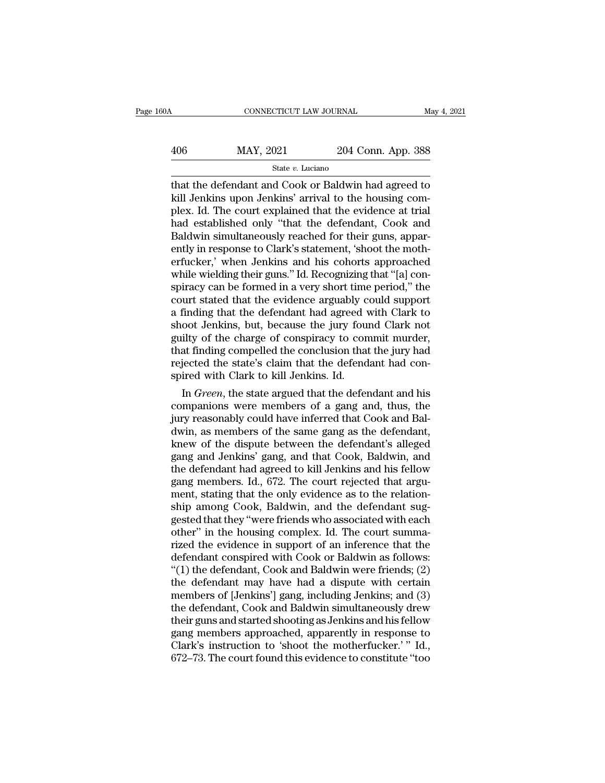| 30A | CONNECTICUT LAW JOURNAL |                    | May 4, 2021 |
|-----|-------------------------|--------------------|-------------|
| 406 | MAY, 2021               | 204 Conn. App. 388 |             |
|     | State $v$ . Luciano     |                    |             |

CONNECTICUT LAW JOURNAL May 4, 2021<br>
MAY, 2021 204 Conn. App. 388<br>
State v. Luciano<br>
that the defendant and Cook or Baldwin had agreed to<br>
kill Jenkins upon Jenkins' arrival to the housing com-<br>
rlox Id. The court explaine  $\begin{array}{ll} \text{MAX, } 2021 & 204 \text{ Conn. App. } 388 \\ \text{State } v. \text{ Luciano} \end{array}$ <br>
that the defendant and Cook or Baldwin had agreed to kill Jenkins upon Jenkins' arrival to the housing complex. Id. The court explained that the evidence at trial  $\frac{\text{MAX, } 2021}{\text{State } v. \text{ Luciano}}$ <br>  $\frac{\text{State } v. \text{ Luciano}}{\text{that the defendant and Cook or Baldwin had agreed to kill Jenkins upon Jenkins' arrival to the housing complex. Id. The court explained that the evidence at trial had established only "that the defendant, Cook and Baldwin simultaneously reached for their guns.$  $\frac{\text{MAX, 2021}}{\text{State } v. \text{ Luciano}}$ <br>  $\frac{\text{State } v. \text{ Luciano}}{\text{that the defendant and Cook or Baldwin had agreed to kill Jenkins upon Jenkins' arrival to the housing complex. Id. The court explained that the evidence at trial had established only "that the defendant, Cook and Baldwin simultaneously reached for their guns, apparently in response to Clark's statement 'shoot the math.$  $\begin{array}{l} \hline \text{State } v. \text{ Luciano} \end{array}$ State v. Luciano<br>
that the defendant and Cook or Baldwin had agreed to<br>
kill Jenkins upon Jenkins' arrival to the housing com-<br>
plex. Id. The court explained that the evidence at trial<br>
had state v. Luciano<br>that the defendant and Cook or Baldwin had agreed to<br>kill Jenkins upon Jenkins' arrival to the housing com-<br>plex. Id. The court explained that the evidence at trial<br>had established only "that the defendan that the defendant and Cook or Baldwin had agreed to<br>kill Jenkins upon Jenkins' arrival to the housing com-<br>plex. Id. The court explained that the evidence at trial<br>had established only "that the defendant, Cook and<br>Baldwi kill Jenkins upon Jenkins' arrival to the housing complex. Id. The court explained that the evidence at trial<br>had established only "that the defendant, Cook and<br>Baldwin simultaneously reached for their guns, appar-<br>ently i plex. Id. The court explained that the evidence at trial<br>had established only "that the defendant, Cook and<br>Baldwin simultaneously reached for their guns, appar-<br>ently in response to Clark's statement, 'shoot the moth-<br>erf had established only "that the defendant, Cook and<br>Baldwin simultaneously reached for their guns, appar-<br>ently in response to Clark's statement, 'shoot the moth-<br>erfucker,' when Jenkins and his cohorts approached<br>while wie Baldwin simultaneously reached for their guns, apparently in response to Clark's statement, 'shoot the motherfucker,' when Jenkins and his cohorts approached while wielding their guns." Id. Recognizing that "[a] conspiracy ently in response to Clark's statement, 'shoot the motherfucker,' when Jenkins and his cohorts approached<br>while wielding their guns." Id. Recognizing that "[a] con-<br>spiracy can be formed in a very short time period," the<br>c erfucker,' when Jenkins and his cohorts approached<br>while wielding their guns." Id. Recognizing that "[a] con-<br>spiracy can be formed in a very short time period," the<br>court stated that the evidence arguably could support<br>a while wielding their guns." Id. Recognizing that "[a] conspiracy can be formed in a very short time period," the court stated that the evidence arguably could support a finding that the defendant had agreed with Clark to s spiracy can be formed in a very short time period," the court stated that the evidence arguably could support a finding that the defendant had agreed with Clark to shoot Jenkins, but, because the jury found Clark not guilt court stated that the evidence arguably c<br>a finding that the defendant had agreed v<br>shoot Jenkins, but, because the jury four<br>guilty of the charge of conspiracy to con<br>that finding compelled the conclusion that<br>rejected th In any that the defendant had agreed with Clark to<br>coot Jenkins, but, because the jury found Clark not<br>ilty of the charge of conspiracy to commit murder,<br>at finding compelled the conclusion that the jury had<br>jected the sta shoot Jenkins, but, because the jury found Clark not<br>guilty of the charge of conspiracy to commit murder,<br>that finding compelled the conclusion that the jury had<br>rejected the state's claim that the defendant had con-<br>spire

guilty of the charge of conspiracy to commit murder,<br>that finding compelled the conclusion that the jury had<br>rejected the state's claim that the defendant had con-<br>spired with Clark to kill Jenkins. Id.<br>In *Green*, the sta that finding compelled the conclusion that the jury had<br>rejected the state's claim that the defendant had con-<br>spired with Clark to kill Jenkins. Id.<br>In *Green*, the state argued that the defendant and his<br>companions were rejected the state's claim that the defendant had conspired with Clark to kill Jenkins. Id.<br>
In *Green*, the state argued that the defendant and his<br>
companions were members of a gang and, thus, the<br>
jury reasonably could spired with Clark to Kill Jenkins. Id.<br>
In *Green*, the state argued that the defendant and his<br>
companions were members of a gang and, thus, the<br>
jury reasonably could have inferred that Cook and Bal-<br>
dwin, as members o In *Green*, the state argued that the defendant and his companions were members of a gang and, thus, the jury reasonably could have inferred that Cook and Bal-<br>dwin, as members of the same gang as the defendant, knew of th companions were members of a gang and, thus, the<br>jury reasonably could have inferred that Cook and Bal-<br>dwin, as members of the same gang as the defendant,<br>knew of the dispute between the defendant's alleged<br>gang and Jenki jury reasonably could have inferred that Cook and Baldwin, as members of the same gang as the defendant, knew of the dispute between the defendant's alleged gang and Jenkins' gang, and that Cook, Baldwin, and the defendant dwin, as members of the same gang as the defendant,<br>knew of the dispute between the defendant's alleged<br>gang and Jenkins' gang, and that Cook, Baldwin, and<br>the defendant had agreed to kill Jenkins and his fellow<br>gang membe knew of the dispute between the defendant's alleged<br>gang and Jenkins' gang, and that Cook, Baldwin, and<br>the defendant had agreed to kill Jenkins and his fellow<br>gang members. Id., 672. The court rejected that argu-<br>ment, st gang and Jenkins' gang, and that Cook, Baldwin, and<br>the defendant had agreed to kill Jenkins and his fellow<br>gang members. Id., 672. The court rejected that argu-<br>ment, stating that the only evidence as to the relation-<br>shi the defendant had agreed to kill Jenkins and his fellow<br>gang members. Id., 672. The court rejected that argu-<br>ment, stating that the only evidence as to the relation-<br>ship among Cook, Baldwin, and the defendant sug-<br>gested gang members. Id., 672. The court rejected that argument, stating that the only evidence as to the relationship among Cook, Baldwin, and the defendant suggested that they "were friends who associated with each other" in th ment, stating that the only evidence as to the relationship among Cook, Baldwin, and the defendant suggested that they "were friends who associated with each other" in the housing complex. Id. The court summarized the evid ship among Cook, Baldwin, and the defendant suggested that they "were friends who associated with each other" in the housing complex. Id. The court summarized the evidence in support of an inference that the defendant cons gested that they "were friends who associated with each<br>other" in the housing complex. Id. The court summa-<br>rized the evidence in support of an inference that the<br>defendant conspired with Cook or Baldwin as follows:<br>"(1) t other" in the housing complex. Id. The court summa-<br>rized the evidence in support of an inference that the<br>defendant conspired with Cook or Baldwin as follows:<br>"(1) the defendant, Cook and Baldwin were friends; (2)<br>the def rized the evidence in support of an inference that the<br>defendant conspired with Cook or Baldwin as follows:<br>"(1) the defendant, Cook and Baldwin were friends; (2)<br>the defendant may have had a dispute with certain<br>members o defendant conspired with Cook or Baldwin as follows:<br>"(1) the defendant, Cook and Baldwin were friends; (2)<br>the defendant may have had a dispute with certain<br>members of [Jenkins'] gang, including Jenkins; and (3)<br>the defen "(1) the defendant, Cook and Baldwin were friends; (2) the defendant may have had a dispute with certain members of [Jenkins'] gang, including Jenkins; and (3) the defendant, Cook and Baldwin simultaneously drew their gun the defendant may have had a dispute with certain<br>members of [Jenkins'] gang, including Jenkins; and (3)<br>the defendant, Cook and Baldwin simultaneously drew<br>their guns and started shooting as Jenkins and his fellow<br>gang me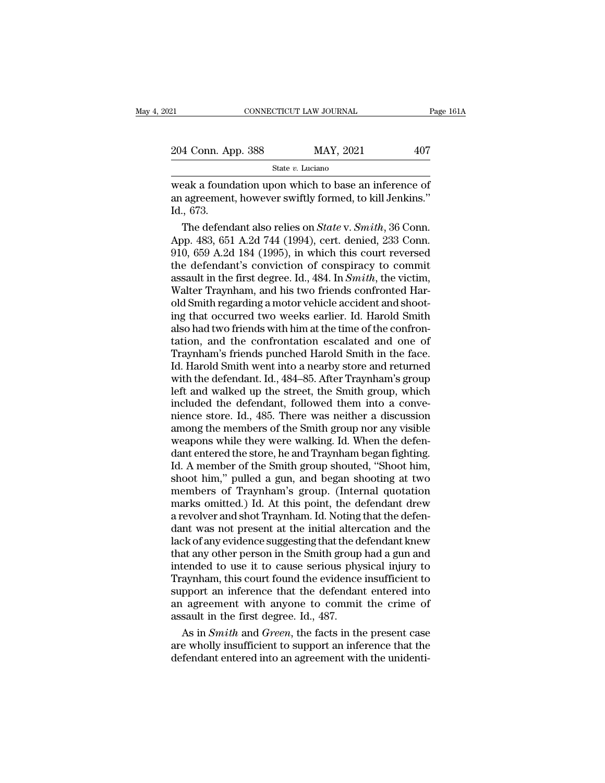| 21                 | CONNECTICUT LAW JOURNAL |           | Page 161A |  |
|--------------------|-------------------------|-----------|-----------|--|
|                    |                         |           |           |  |
| 204 Conn. App. 388 |                         | MAY, 2021 | 407       |  |
|                    | State $v$ . Luciano     |           |           |  |

EREA FRIEND CONNECTICUT LAW JOURNAL Page 161/<br>
204 Conn. App. 388 MAY, 2021 407<br>
State v. Luciano<br>
Weak a foundation upon which to base an inference of<br>
an agreement, however swiftly formed, to kill Jenkins." 204 Conn. App. 388 MAY, 2021 407<br>
State v. Luciano<br>
weak a foundation upon which to base an inference of<br>
an agreement, however swiftly formed, to kill Jenkins."<br>
Id., 673. 204 Conn. Ap<br>
weak a found<br>
an agreement<br>
Id., 673.<br>
The defend 4 Conn. App. 388 MAY, 2021 407<br>
State *v*. *Luciano*<br>
Eak a foundation upon which to base an inference of<br>
agreement, however swiftly formed, to kill Jenkins."<br>
573.<br>
The defendant also relies on *State* v. *Smith*, 36 Con

State v. Luciano<br>
Weak a foundation upon which to base an inference of<br>
an agreement, however swiftly formed, to kill Jenkins."<br>
Id., 673.<br>
The defendant also relies on *State* v. *Smith*, 36 Conn.<br>
App. 483, 651 A.2d 744 weak a foundation upon which to base an inference of<br>an agreement, however swiftly formed, to kill Jenkins."<br>Id., 673.<br>The defendant also relies on *State* v. *Smith*, 36 Conn.<br>App. 483, 651 A.2d 744 (1994), cert. denied, weak a foundation upon which to base an inference of<br>an agreement, however swiftly formed, to kill Jenkins."<br>Id., 673.<br>The defendant also relies on *State* v. *Smith*, 36 Conn.<br>App. 483, 651 A.2d 744 (1994), cert. denied, an agreement, however swiftly formed, to kill Jenkins."<br>Id., 673.<br>The defendant also relies on *State* v. *Smith*, 36 Conn.<br>App. 483, 651 A.2d 744 (1994), cert. denied, 233 Conn.<br>910, 659 A.2d 184 (1995), in which this cou 1d., 673.<br>The defendant also relies on *State* v. *Smith*, 36 Conn.<br>App. 483, 651 A.2d 744 (1994), cert. denied, 233 Conn.<br>910, 659 A.2d 184 (1995), in which this court reversed<br>the defendant's conviction of conspiracy to The defendant also relies on *State* v. *Smith*, 36 Conn.<br>App. 483, 651 A.2d 744 (1994), cert. denied, 233 Conn.<br>910, 659 A.2d 184 (1995), in which this court reversed<br>the defendant's conviction of conspiracy to commit<br>ass App. 483, 651 A.2d 744 (1994), cert. denied, 233 Conn.<br>910, 659 A.2d 184 (1995), in which this court reversed<br>the defendant's conviction of conspiracy to commit<br>assault in the first degree. Id., 484. In *Smith*, the victim 910, 659 A.2d 184 (1995), in which this court reversed<br>the defendant's conviction of conspiracy to commit<br>assault in the first degree. Id., 484. In *Smith*, the victim,<br>Walter Traynham, and his two friends confronted Harthe defendant's conviction of conspiracy to commit<br>assault in the first degree. Id., 484. In *Smith*, the victim,<br>Walter Traynham, and his two friends confronted Har-<br>old Smith regarding a motor vehicle accident and shootassault in the first degree. Id., 484. In *Smith*, the victim,<br>Walter Traynham, and his two friends confronted Har-<br>old Smith regarding a motor vehicle accident and shoot-<br>ing that occurred two weeks earlier. Id. Harold Sm Walter Traynham, and his two friends confronted Harold Smith regarding a motor vehicle accident and shooting that occurred two weeks earlier. Id. Harold Smith also had two friends with him at the time of the confrontation, old Smith regarding a motor vehicle accident and shooting that occurred two weeks earlier. Id. Harold Smith also had two friends with him at the time of the confrontation, and the confrontation escalated and one of Traynha ing that occurred two weeks earlier. Id. Harold Smith<br>also had two friends with him at the time of the confron-<br>tation, and the confrontation escalated and one of<br>Traynham's friends punched Harold Smith in the face.<br>Id. Ha also had two friends with him at the time of the confrontation, and the confrontation escalated and one of Traynham's friends punched Harold Smith in the face.<br>Id. Harold Smith went into a nearby store and returned with th tation, and the confrontation escalated and one of<br>Traynham's friends punched Harold Smith in the face.<br>Id. Harold Smith went into a nearby store and returned<br>with the defendant. Id., 484–85. After Traynham's group<br>left an Traynham's friends punched Harold Smith in the face.<br>Id. Harold Smith went into a nearby store and returned<br>with the defendant. Id., 484–85. After Traynham's group<br>left and walked up the street, the Smith group, which<br>incl Id. Harold Smith went into a nearby store and returned<br>with the defendant. Id., 484–85. After Traynham's group<br>left and walked up the street, the Smith group, which<br>included the defendant, followed them into a conve-<br>nienc with the defendant. Id., 484–85. After Traynham's group<br>left and walked up the street, the Smith group, which<br>included the defendant, followed them into a conve-<br>nience store. Id., 485. There was neither a discussion<br>among left and walked up the street, the Smith group, which<br>included the defendant, followed them into a conve-<br>nience store. Id., 485. There was neither a discussion<br>among the members of the Smith group nor any visible<br>weapons included the defendant, followed them into a conve-<br>nience store. Id., 485. There was neither a discussion<br>among the members of the Smith group nor any visible<br>weapons while they were walking. Id. When the defen-<br>dant ente nience store. Id., 485. There was neither a discussion<br>among the members of the Smith group nor any visible<br>weapons while they were walking. Id. When the defen-<br>dant entered the store, he and Traynham began fighting.<br>Id. A among the members of the Smith group nor any visible<br>weapons while they were walking. Id. When the defen-<br>dant entered the store, he and Traynham began fighting.<br>Id. A member of the Smith group shouted, "Shoot him,<br>shoot h weapons while they were walking. Id. When the defen-<br>dant entered the store, he and Traynham began fighting.<br>Id. A member of the Smith group shouted, "Shoot him,<br>shoot him," pulled a gun, and began shooting at two<br>members dant entered the store, he and Traynham began fighting.<br>Id. A member of the Smith group shouted, "Shoot him,<br>shoot him," pulled a gun, and began shooting at two<br>members of Traynham's group. (Internal quotation<br>marks omitte Id. A member of the Smith group shouted, "Shoot him,<br>shoot him," pulled a gun, and began shooting at two<br>members of Traynham's group. (Internal quotation<br>marks omitted.) Id. At this point, the defendant drew<br>a revolver and shoot him," pulled a gun, and began shooting at two<br>members of Traynham's group. (Internal quotation<br>marks omitted.) Id. At this point, the defendant drew<br>a revolver and shot Traynham. Id. Noting that the defen-<br>dant was n members of Traynham's group. (Internal quotation<br>marks omitted.) Id. At this point, the defendant drew<br>a revolver and shot Traynham. Id. Noting that the defen-<br>dant was not present at the initial altercation and the<br>lack o marks omitted.) Id. At this point, the defendant drew<br>a revolver and shot Traynham. Id. Noting that the defen-<br>dant was not present at the initial altercation and the<br>lack of any evidence suggesting that the defendant knew a revolver and shot Traynham. Id. Noting that the defendant was not present at the initial altercation and the lack of any evidence suggesting that the defendant knew that any other person in the Smith group had a gun and dant was not present at the initial altercation and the lack of any evidence suggesting that the defendant knew that any other person in the Smith group had a gun and intended to use it to cause serious physical injury to lack of any evidence suggesting that the d<br>that any other person in the Smith group<br>intended to use it to cause serious phy<br>Traynham, this court found the evidence<br>support an inference that the defendan<br>an agreement with a as any other person in the Smith group had a gun and<br>tended to use it to cause serious physical injury to<br>aynham, this court found the evidence insufficient to<br>pport an inference that the defendant entered into<br>agreement w intended to use it to cause serious physical injury to<br>Traynham, this court found the evidence insufficient to<br>support an inference that the defendant entered into<br>an agreement with anyone to commit the crime of<br>assault in Traynham, this court found the evidence insufficient to<br>support an inference that the defendant entered into<br>an agreement with anyone to commit the crime of<br>assault in the first degree. Id., 487.<br>As in *Smith* and *Green*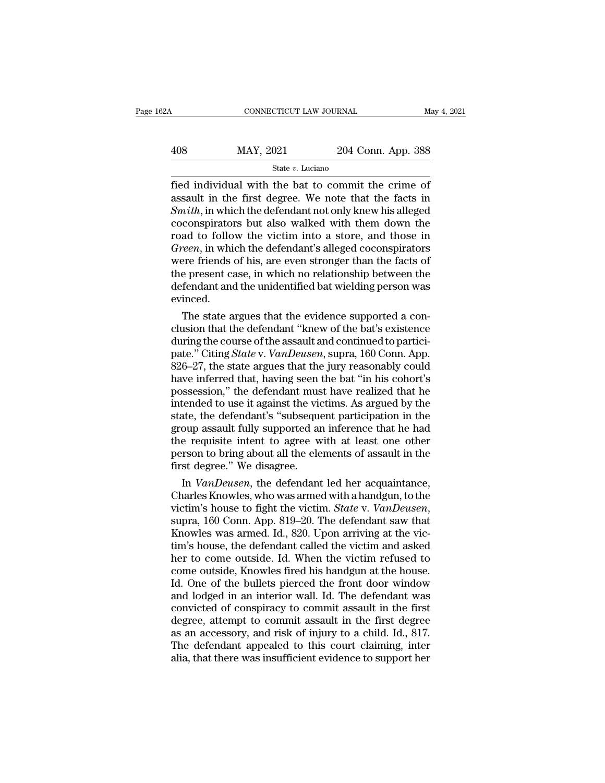# CONNECTICUT LAW JOURNAL May 4, 2021<br>408 MAY, 2021 204 Conn. App. 388<br>5tate v. Luciano

### State *v.* Luciano

Fig. 2021 CONNECTICUT LAW JOURNAL May 4, 2021<br>  $\frac{408}{\text{State } v. \text{ Luciano}}$  State v. Luciano<br>  $\frac{60}{\text{State } v. \text{ Luciano}}$  and  $\frac{1}{\text{State } v. \text{ Luciano}}$  and  $\frac{1}{\text{State } v. \text{ Luciano}}$  and  $\frac{1}{\text{State } v. \text{ Luciano}}$  and  $\frac{1}{\text{State } v. \text{ Luciano}}$  and  $\frac{1}{\$  $\begin{array}{r} \text{MAX, } 2021 \\ \text{State } v. \text{ Luciano} \\ \text{fied individual with the bat to commit the crime of assault in the first degree. We note that the facts in Smith, in which the defendant not only knew his alleged coconsivators, but also walked with them down the$ *State v.* Luciano<br> *State v.* Luciano<br> *State v.* Luciano<br> **State v.** Luciano<br> **State v.** Luciano<br> **State v.** Luciano<br> **State v.** Luciano<br> **State Commit the crime of**<br> **State in Smith**, in which the defendant not only kn  $\frac{\text{MAX}}{\text{State } v. \text{ Luciano}}$ <br>  $\frac{\text{State } v. \text{ Luciano}}{\text{State } v. \text{ Luciano}}$ <br>
fied individual with the bat to commit the crime of<br>
assault in the first degree. We note that the facts in<br>  $Smith$ , in which the defendant not only knew his alleged<br>
c For  $\frac{1}{201}$  and  $\frac{1}{201}$  and  $\frac{1}{201}$  and  $\frac{1}{201}$  and  $\frac{1}{201}$  and  $\frac{1}{201}$  and  $\frac{1}{201}$  and  $\frac{1}{201}$  and  $\frac{1}{201}$  and  $\frac{1}{201}$  and  $\frac{1}{201}$  and  $\frac{1}{201}$  and  $\frac{1}{201}$  and  $\frac{1}{201$ *State v. Luciano*<br> *Green*, *Green*, *Green*, *Green*, *Green*, *Green*, *Green*, *in* which the defendant not only knew his alleged<br> *Green*, *in* which the defendant not only knew his alleged<br>
coconspirators but also wa fied individual with the bat to commit the crime of<br>assault in the first degree. We note that the facts in<br>*Smith*, in which the defendant not only knew his alleged<br>coconspirators but also walked with them down the<br>road to assault in the first degree. We note that the facts in *Smith*, in which the defendant not only knew his alleged coconspirators but also walked with them down the road to follow the victim into a store, and those in *Green* Smith, in which the defendant not only knew his alleged<br>coconspirators but also walked with them down the<br>road to follow the victim into a store, and those in<br>*Green*, in which the defendant's alleged coconspirators<br>were evinced. ad to follow the victim into a store, and those in<br>*een*, in which the defendant's alleged coconspirators<br>ere friends of his, are even stronger than the facts of<br>e present case, in which no relationship between the<br>fendant Green, in which the defendant's alleged coconspirators<br>were friends of his, are even stronger than the facts of<br>the present case, in which no relationship between the<br>defendant and the unidentified bat wielding person was

were friends of his, are even stronger than the facts of<br>the present case, in which no relationship between the<br>defendant and the unidentified bat wielding person was<br>evinced.<br>The state argues that the evidence supported the present case, in which no relationship between the<br>defendant and the unidentified bat wielding person was<br>evinced.<br>The state argues that the evidence supported a con-<br>clusion that the defendant "knew of the bat's exist defendant and the unidentified bat wielding person was<br>evinced.<br>The state argues that the evidence supported a con-<br>clusion that the defendant "knew of the bat's existence<br>during the course of the assault and continued to evinced.<br>
The state argues that the evidence supported a conclusion that the defendant "knew of the bat's existence<br>
during the course of the assault and continued to partici-<br>
pate." Citing *State* v. *VanDeusen*, supra, The state argues that the evidence supported a conclusion that the defendant "knew of the bat's existence during the course of the assault and continued to participate." Citing *State* v. *VanDeusen*, supra, 160 Conn. App. clusion that the defendant "knew of the bat's existence<br>during the course of the assault and continued to partici-<br>pate." Citing *State* v. *VanDeusen*, supra, 160 Conn. App.<br>826–27, the state argues that the jury reasonab during the course of the assault and continued to partici-<br>pate." Citing *State* v. *VanDeusen*, supra, 160 Conn. App.<br>826–27, the state argues that the jury reasonably could<br>have inferred that, having seen the bat "in his pate." Citing *State* v. *VanDeusen*, supra, 160 Conn. App.<br>826–27, the state argues that the jury reasonably could<br>have inferred that, having seen the bat "in his cohort's<br>possession," the defendant must have realized tha  $826-27$ , the state argues that the jury reasonably could<br>have inferred that, having seen the bat "in his cohort's<br>possession," the defendant must have realized that he<br>intended to use it against the victims. As argued by have inferred that, having seen the bat "in his cohort's<br>possession," the defendant must have realized that he<br>intended to use it against the victims. As argued by the<br>state, the defendant's "subsequent participation in th possession," the defendant mus<br>intended to use it against the vic<br>state, the defendant's "subseque<br>group assault fully supported ar<br>the requisite intent to agree w<br>person to bring about all the ele<br>first degree." We disagr tended to use it against the victims. As argued by the<br>ate, the defendant's "subsequent participation in the<br>oup assault fully supported an inference that he had<br>e requisite intent to agree with at least one other<br>rson to state, the defendant's "subsequent participation in the<br>group assault fully supported an inference that he had<br>the requisite intent to agree with at least one other<br>person to bring about all the elements of assault in the<br>

group assault fully supported an inference that he had<br>the requisite intent to agree with at least one other<br>person to bring about all the elements of assault in the<br>first degree." We disagree.<br>In *VanDeusen*, the defendan person to bring about all the elements of assault in the<br>first degree." We disagree.<br>In *VanDeusen*, the defendant led her acquaintance,<br>Charles Knowles, who was armed with a handgun, to the<br>victim's house to fight the vic first degree." We disagree.<br>
In *VanDeusen*, the defendant led her acquaintance,<br>
Charles Knowles, who was armed with a handgun, to the<br>
victim's house to fight the victim. *State* v. *VanDeusen*,<br>
supra, 160 Conn. App. 81 In *VanDeusen*, the defendant led her acquaintance,<br>Charles Knowles, who was armed with a handgun, to the<br>victim's house to fight the victim. *State* v. *VanDeusen*,<br>supra, 160 Conn. App. 819–20. The defendant saw that<br>Kno Charles Knowles, who was armed with a handgun, to the victim's house to fight the victim. *State* v. *VanDeusen*, supra, 160 Conn. App. 819–20. The defendant saw that Knowles was armed. Id., 820. Upon arriving at the victi victim's house to fight the victim. *State* v. *VanDeusen*,<br>supra, 160 Conn. App. 819–20. The defendant saw that<br>Knowles was armed. Id., 820. Upon arriving at the vic-<br>tim's house, the defendant called the victim and asked supra, 160 Conn. App. 819–20. The defendant saw that<br>Knowles was armed. Id., 820. Upon arriving at the victim's house, the defendant called the victim and asked<br>her to come outside. Id. When the victim refused to<br>come outs Knowles was armed. Id., 820. Upon arriving at the victim's house, the defendant called the victim and asked<br>her to come outside. Id. When the victim refused to<br>come outside, Knowles fired his handgun at the house.<br>Id. One tim's house, the defendant called the victim and asked<br>her to come outside. Id. When the victim refused to<br>come outside, Knowles fired his handgun at the house.<br>Id. One of the bullets pierced the front door window<br>and lodg her to come outside. Id. When the victim refused to come outside, Knowles fired his handgun at the house.<br>Id. One of the bullets pierced the front door window<br>and lodged in an interior wall. Id. The defendant was<br>convicted come outside, Knowles fired his handgun at the house.<br>Id. One of the bullets pierced the front door window<br>and lodged in an interior wall. Id. The defendant was<br>convicted of conspiracy to commit assault in the first<br>degree Id. One of the bullets pierced the front door window<br>and lodged in an interior wall. Id. The defendant was<br>convicted of conspiracy to commit assault in the first<br>degree, attempt to commit assault in the first degree<br>as an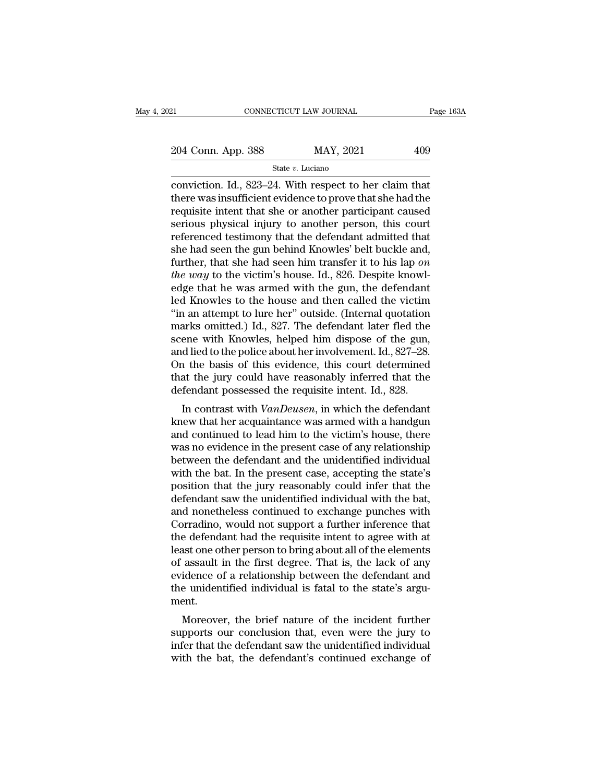21 CONNECTICUT LAW JOURNAL Page 163A<br>
204 Conn. App. 388 MAY, 2021 409<br>
State v. Luciano

State *v.* Luciano

conviction. In the same of the same of the same of the same of the state  $v$ . Luciano<br>  $\frac{1}{204}$  Conviction. Id., 823–24. With respect to her claim that<br>
there was insufficient evidence to prove that she had the<br>
requis 204 Conn. App. 388 MAY, 2021 409<br>
State v. Luciano<br>
conviction. Id., 823–24. With respect to her claim that<br>
there was insufficient evidence to prove that she had the<br>
requisite intent that she or another participant caus 204 Conn. App. 388 MAY, 2021 409<br>
State v. Luciano<br>
conviction. Id., 823–24. With respect to her claim that<br>
there was insufficient evidence to prove that she had the<br>
requisite intent that she or another participant caus 204 Conn. App. 388 MAY, 2021 409<br>
State v. Luciano<br>
conviction. Id., 823–24. With respect to her claim that<br>
there was insufficient evidence to prove that she had the<br>
requisite intent that she or another participant caus State v. Luciano<br>
State v. Luciano<br>
conviction. Id., 823–24. With respect to her claim that<br>
there was insufficient evidence to prove that she had the<br>
requisite intent that she or another participant caused<br>
serious phys state v. Luciano<br>
state v. Luciano<br>
conviction. Id., 823–24. With respect to her claim that<br>
there was insufficient evidence to prove that she had the<br>
requisite intent that she or another person, this court<br>
referenced t conviction. Id., 823–24. With respect to her claim that<br>there was insufficient evidence to prove that she had the<br>requisite intent that she or another participant caused<br>serious physical injury to another person, this cour there was insufficient evidence to prove that she had the requisite intent that she or another participant caused serious physical injury to another person, this court referenced testimony that the defendant admitted that requisite intent that she or another participant caused<br>serious physical injury to another person, this court<br>referenced testimony that the defendant admitted that<br>she had seen the gun behind Knowles' belt buckle and,<br>furt serious physical injury to another person, this court<br>referenced testimony that the defendant admitted that<br>she had seen the gun behind Knowles' belt buckle and,<br>further, that she had seen him transfer it to his lap on<br>th referenced testimony that the defendant admitted that<br>
she had seen the gun behind Knowles' belt buckle and,<br>
further, that she had seen him transfer it to his lap on<br> *the way* to the victim's house. Id., 826. Despite kno she had seen the gun behind Knowles' belt buckle and,<br>further, that she had seen him transfer it to his lap on<br>*the way* to the victim's house. Id., 826. Despite knowl-<br>edge that he was armed with the gun, the defendant<br>l further, that she had seen him transfer it to his lap on<br>the way to the victim's house. Id., 826. Despite knowl-<br>edge that he was armed with the gun, the defendant<br>led Knowles to the house and then called the victim<br>"in a the way to the victim's house. Id., 826. Despite knowledge that he was armed with the gun, the defendant led Knowles to the house and then called the victim "in an attempt to lure her" outside. (Internal quotation marks om edge that he was armed with the gun, the defendant<br>led Knowles to the house and then called the victim<br>"in an attempt to lure her" outside. (Internal quotation<br>marks omitted.) Id., 827. The defendant later fled the<br>scene w led Knowles to the house and then called the victim<br>"in an attempt to lure her" outside. (Internal quotation<br>marks omitted.) Id., 827. The defendant later fled the<br>scene with Knowles, helped him dispose of the gun,<br>and lie "in an attempt to lure her" outside. (Internal quotation marks omitted.) Id., 827. The defendant later fled the scene with Knowles, helped him dispose of the gun, and lied to the police about her involvement. Id., 827–28. arks onlined.) Id.,  $\delta 2t$ . The defendant later fied the ene with Knowles, helped him dispose of the gun, d lied to the police about her involvement. Id., 827–28.<br>
1 the basis of this evidence, this court determined at t scene with Khowes, helped film dispose of the gant,<br>and lied to the police about her involvement. Id., 827–28.<br>On the basis of this evidence, this court determined<br>that the jury could have reasonably inferred that the<br>defe

and hed to the police about her involvement.  $a_1, a_2, a_3$ .<br>On the basis of this evidence, this court determined<br>that the jury could have reasonably inferred that the<br>defendant possessed the requisite intent. Id., 828.<br>In on the basis of this evidence, this court determined<br>that the jury could have reasonably inferred that the<br>defendant possessed the requisite intent. Id., 828.<br>In contrast with *VanDeusen*, in which the defendant<br>knew that that the jury collid have reasonably interfed that the<br>defendant possessed the requisite intent. Id., 828.<br>In contrast with  $VanDeusen$ , in which the defendant<br>knew that her acquaintance was armed with a handgun<br>and continued In contrast with *VanDeusen*, in which the defendant<br>knew that her acquaintance was armed with a handgun<br>and continued to lead him to the victim's house, there<br>was no evidence in the present case of any relationship<br>betwee In contrast with *VanDeusen*, in which the defendant<br>knew that her acquaintance was armed with a handgun<br>and continued to lead him to the victim's house, there<br>was no evidence in the present case of any relationship<br>betwee knew that her acquaintance was armed with a handgun<br>and continued to lead him to the victim's house, there<br>was no evidence in the present case of any relationship<br>between the defendant and the unidentified individual<br>with and continued to lead him to the victim's house, there was no evidence in the present case of any relationship<br>between the defendant and the unidentified individual<br>with the bat. In the present case, accepting the state's<br> was no evidence in the present case of any relationship<br>between the defendant and the unidentified individual<br>with the bat. In the present case, accepting the state's<br>position that the jury reasonably could infer that the<br> between the defendant and the unidentified individual<br>with the bat. In the present case, accepting the state's<br>position that the jury reasonably could infer that the<br>defendant saw the unidentified individual with the bat,<br> with the bat. In the present case, accepting the state's<br>position that the jury reasonably could infer that the<br>defendant saw the unidentified individual with the bat,<br>and nonetheless continued to exchange punches with<br>Cor position that the jury reasonably could infer that the defendant saw the unidentified individual with the bat, and nonetheless continued to exchange punches with Corradino, would not support a further inference that the de defendant saw the unidentified individual with the bat,<br>and nonetheless continued to exchange punches with<br>Corradino, would not support a further inference that<br>the defendant had the requisite intent to agree with at<br>least and nonetheless continued to exchange punches with<br>Corradino, would not support a further inference that<br>the defendant had the requisite intent to agree with at<br>least one other person to bring about all of the elements<br>of ment. e detendant had the requisite intent to agree with at<br>ast one other person to bring about all of the elements<br>assault in the first degree. That is, the lack of any<br>idence of a relationship between the defendant and<br>e unide supports one other person to oring about an or the elements<br>of assault in the first degree. That is, the lack of any<br>evidence of a relationship between the defendant and<br>the unidentified individual is fatal to the state's

or assaut in the first degree. That is, the fack of any<br>evidence of a relationship between the defendant and<br>the unidentified individual is fatal to the state's argu-<br>ment.<br>Moreover, the brief nature of the incident furthe evidence of a relationship between the defendant and<br>the unidentified individual is fatal to the state's argu-<br>ment.<br>Moreover, the brief nature of the incident further<br>supports our conclusion that, even were the jury to<br>in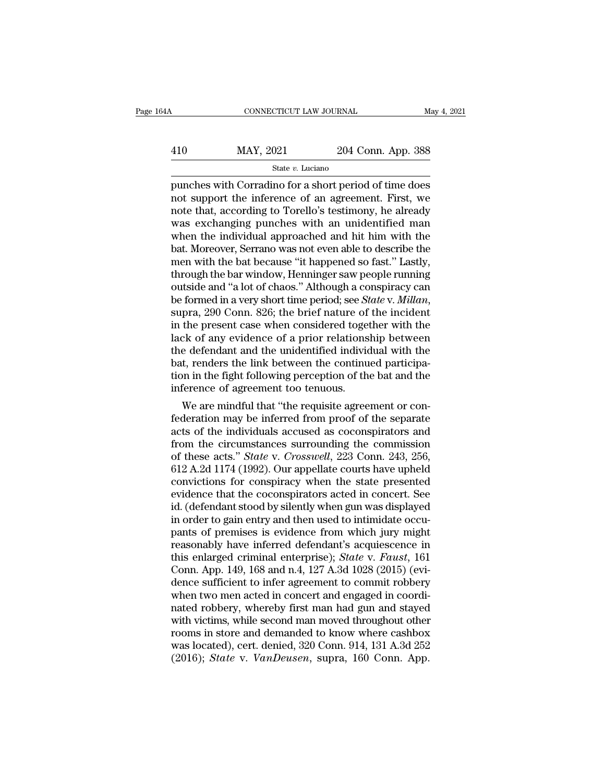### $\begin{array}{lll}\n & \text{COMNECTICUT LAW JOURNAL} \qquad \text{May 4, 2021} \\
 & \text{MAX, 2021} & \text{204 Conn. App. 388} \\
 & \text{State $v$. Luciano}\n\end{array}$ State *v.* Luciano

cONNECTICUT LAW JOURNAL May 4, 2021<br>
MAY, 2021 204 Conn. App. 388<br>
State v. Luciano<br>
punches with Corradino for a short period of time does<br>
not support the inference of an agreement. First, we<br>
note that according to Toro  $\begin{array}{r} \hline \text{MAX, } 2021 \text{ } \text{204 Conn. App. 388} \\ \text{State } v. \text{ Luciano} \\ \text{punches with Corradino for a short period of time does not support the inference of an agreement. First, we note that, according to Torello's testimony, he already was exchanging numbers with an unidentified man.} \end{array}$  $\frac{\text{MAX, } 2021}{\text{State } v. \text{ Luciano}}$ <br>  $\frac{\text{State } v. \text{ Luciano}}{\text{punches with Corradio for a short period of time does}}$ <br>
not support the inference of an agreement. First, we<br>
note that, according to Torello's testimony, he already<br>
was exchanging punches with an unidentified  $\frac{\text{MAX, 2021}}{\text{State } v. \text{ Luciano}}$ <br>  $\frac{\text{State } v. \text{ Luciano}}{\text{punches with Corradio for a short period of time does}}$ <br>
not support the inference of an agreement. First, we<br>
note that, according to Torello's testimony, he already<br>
was exchanging punches with an unidentified State v. Luciano<br>
State v. Luciano<br>
punches with Corradino for a short period of time does<br>
not support the inference of an agreement. First, we<br>
note that, according to Torello's testimony, he already<br>
was exchanging pun State v. Luciano<br>punches with Corradino for a short period of time does<br>not support the inference of an agreement. First, we<br>note that, according to Torello's testimony, he already<br>was exchanging punches with an unidentifi punches with Corradino for a short period of time does<br>not support the inference of an agreement. First, we<br>note that, according to Torello's testimony, he already<br>was exchanging punches with an unidentified man<br>when the i not support the inference of an agreement. First, we<br>note that, according to Torello's testimony, he already<br>was exchanging punches with an unidentified man<br>when the individual approached and hit him with the<br>bat. Moreover note that, according to Torello's testimony, he already<br>was exchanging punches with an unidentified man<br>when the individual approached and hit him with the<br>bat. Moreover, Serrano was not even able to describe the<br>men with was exchanging punches with an unidentified man<br>when the individual approached and hit him with the<br>bat. Moreover, Serrano was not even able to describe the<br>men with the bat because "it happened so fast." Lastly,<br>through t bat. Moreover, Serrano was not even able to describe the<br>men with the bat because "it happened so fast." Lastly,<br>through the bar window, Henninger saw people running<br>outside and "a lot of chaos." Although a conspiracy can<br> men with the bat because "it happened so fast." Lastly,<br>through the bar window, Henninger saw people running<br>outside and "a lot of chaos." Although a conspiracy can<br>be formed in a very short time period; see *State v. Mill* through the bar window, Henninger saw people running<br>outside and "a lot of chaos." Although a conspiracy can<br>be formed in a very short time period; see *State* v. *Millan*,<br>supra, 290 Conn. 826; the brief nature of the inc outside and "a lot of chaos." Although a conspiracy can<br>be formed in a very short time period; see *State* v. *Millan*,<br>supra, 290 Conn. 826; the brief nature of the incident<br>in the present case when considered together w be formed in a very short time period; see *State* v. *Millan*, supra, 290 Conn. 826; the brief nature of the incident in the present case when considered together with the lack of any evidence of a prior relationship betw supra, 290 Conn. 826; the brief nature of<br>in the present case when considered toge<br>lack of any evidence of a prior relations<br>the defendant and the unidentified indivio<br>bat, renders the link between the continu<br>tion in the the present case when considered together with the<br>ck of any evidence of a prior relationship between<br>e defendant and the unidentified individual with the<br>t, renders the link between the continued participa-<br>in in the figh fack of any evidence of a prior relationship between<br>the defendant and the unidentified individual with the<br>bat, renders the link between the continued participa-<br>tion in the fight following perception of the bat and the<br>i

the defendant and the undentified individual with the<br>bat, renders the link between the continued participa-<br>tion in the fight following perception of the bat and the<br>inference of agreement too tenuous.<br>We are mindful tha bat, renders the link between the continued participation in the fight following perception of the bat and the inference of agreement too tenuous.<br>We are mindful that "the requisite agreement or confederation may be infer tion in the fight following perception of the bat and the<br>
inference of agreement too tenuous.<br>
We are mindful that "the requisite agreement or con-<br>
federation may be inferred from proof of the separate<br>
acts of the indiv merence of agreement too tenuous.<br>
We are mindful that "the requisite agreement or con-<br>
federation may be inferred from proof of the separate<br>
acts of the individuals accused as coconspirators and<br>
from the circumstances We are mindful that "the requisite agreement or con-<br>federation may be inferred from proof of the separate<br>acts of the individuals accused as coconspirators and<br>from the circumstances surrounding the commission<br>of these ac federation may be inferred from proof of the separate<br>acts of the individuals accused as coconspirators and<br>from the circumstances surrounding the commission<br>of these acts." *State* v. *Crosswell*, 223 Conn. 243, 256,<br>612 acts of the individuals accused as coconspirators and<br>from the circumstances surrounding the commission<br>of these acts." *State* v. *Crosswell*, 223 Conn. 243, 256,<br>612 A.2d 1174 (1992). Our appellate courts have upheld<br>con from the circumstances surrounding the commission<br>of these acts." *State* v. *Crosswell*, 223 Conn. 243, 256,<br>612 A.2d 1174 (1992). Our appellate courts have upheld<br>convictions for conspiracy when the state presented<br>evide of these acts." *State* v. *Crosswell*, 223 Conn. 243, 256, 612 A.2d 1174 (1992). Our appellate courts have upheld convictions for conspiracy when the state presented evidence that the coconspirators acted in concert. See 612 A.2d 1174 (1992). Our appellate courts have upheld<br>convictions for conspiracy when the state presented<br>evidence that the coconspirators acted in concert. See<br>id. (defendant stood by silently when gun was displayed<br>in convictions for conspiracy when the state presented<br>evidence that the coconspirators acted in concert. See<br>id. (defendant stood by silently when gun was displayed<br>in order to gain entry and then used to intimidate occu-<br>pa evidence that the coconspirators acted in concert. See<br>id. (defendant stood by silently when gun was displayed<br>in order to gain entry and then used to intimidate occu-<br>pants of premises is evidence from which jury might<br>re id. (defendant stood by silently when gun was displayed<br>in order to gain entry and then used to intimidate occu-<br>pants of premises is evidence from which jury might<br>reasonably have inferred defendant's acquiescence in<br>this in order to gain entry and then used to intimidate occupants of premises is evidence from which jury might reasonably have inferred defendant's acquiescence in this enlarged criminal enterprise); *State* v. *Faust*, 161 Co pants of premises is evidence from which jury might<br>reasonably have inferred defendant's acquiescence in<br>this enlarged criminal enterprise); *State v. Faust*, 161<br>Conn. App. 149, 168 and n.4, 127 A.3d 1028 (2015) (evi-<br>den reasonably have inferred defendant's acquiescence in<br>this enlarged criminal enterprise); *State* v. *Faust*, 161<br>Conn. App. 149, 168 and n.4, 127 A.3d 1028 (2015) (evi-<br>dence sufficient to infer agreement to commit robbery this enlarged criminal enterprise); *State v. Faust*, 161<br>Conn. App. 149, 168 and n.4, 127 A.3d 1028 (2015) (evi-<br>dence sufficient to infer agreement to commit robbery<br>when two men acted in concert and engaged in coordi-<br> Conn. App. 149, 168 and n.4, 127 A.3d 1028 (2015) (evidence sufficient to infer agreement to commit robbery<br>when two men acted in concert and engaged in coordinated robbery, whereby first man had gun and stayed<br>with victim dence sufficient to infer agreement to commit robbery<br>when two men acted in concert and engaged in coordi-<br>nated robbery, whereby first man had gun and stayed<br>with victims, while second man moved throughout other<br>rooms in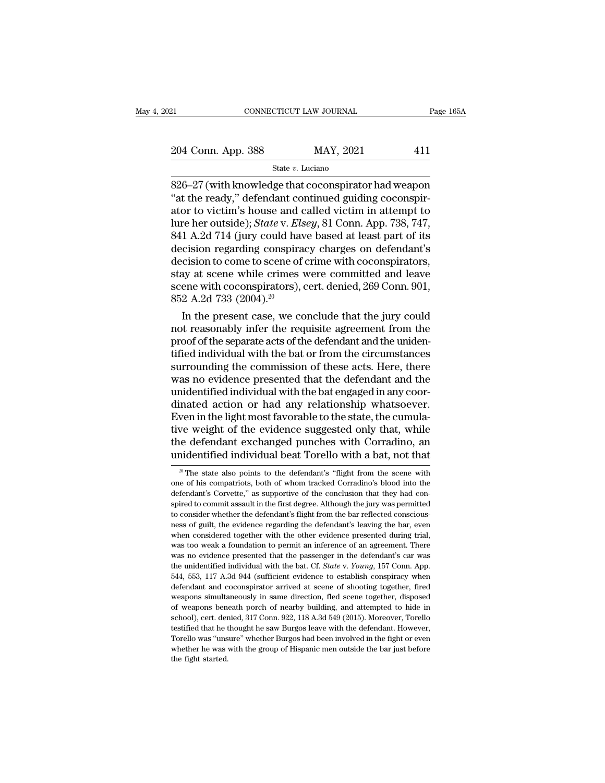21 CONNECTICUT LAW JOURNAL Page 165A<br>
204 Conn. App. 388 MAY, 2021 411<br>
State v. Luciano

State *v.* Luciano

EREA CONNECTICUT LAW JOURNAL Page 165A<br>
204 Conn. App. 388 MAY, 2021 411<br>
826–27 (with knowledge that coconspirator had weapon<br>
"at the ready," defendant continued guiding coconspirator to victim's bouse and called victim <sup>204</sup> Conn. App. 388 MAY, 2021 411<br>
<sup>State v.</sup> Luciano<br>
826–27 (with knowledge that coconspirator had weapon<br>
"at the ready," defendant continued guiding coconspir-<br>
ator to victim's house and called victim in attempt to<br> 204 Conn. App. 388 MAY, 2021 411<br>
State v. Luciano<br>
826–27 (with knowledge that coconspirator had weapon<br>
"at the ready," defendant continued guiding coconspirator to victim's house and called victim in attempt to<br>
lure h 204 Conn. App. 388 MAY, 2021 411<br>
State *v*. *Luciano*<br>
S26–27 (with knowledge that coconspirator had weapon<br>
"at the ready," defendant continued guiding coconspir-<br>
ator to victim's house and called victim in attempt to<br> Since 1 Boldar  $\frac{1}{2}$  and  $\frac{1}{2}$  and  $\frac{1}{2}$  and  $\frac{1}{2}$  and  $\frac{1}{2}$  are  $\frac{1}{2}$  a. Luciano<br>
"at the ready," defendant continued guiding coconspir-<br>
ator to victim's house and called victim in attempt to<br>
lu state v. Luciano<br>
826–27 (with knowledge that coconspirator had weapon<br>
"at the ready," defendant continued guiding coconspir-<br>
ator to victim's house and called victim in attempt to<br>
lure her outside); *State* v. *Elsey* 826–27 (with knowledge that coconspirator had weapon<br>"at the ready," defendant continued guiding coconspirator to victim's house and called victim in attempt to<br>lure her outside); *State* v. *Elsey*, 81 Conn. App. 738, 74 " at the ready," defendant continued guiding coconspirator to victim's house and called victim in attempt to lure her outside); *State* v. *Elsey*, 81 Conn. App. 738, 747, 841 A.2d 714 (jury could have based at least part ator to victim's house and called victim in attempt to<br>lure her outside); *State* v. *Elsey*, 81 Conn. App. 738, 747,<br>841 A.2d 714 (jury could have based at least part of its<br>decision regarding conspiracy charges on defend lure her outside); *State* v. *Els*<br>841 A.2d 714 (jury could have<br>decision regarding conspira<br>decision to come to scene of<br>stay at scene while crimes<br>scene with coconspirators),<br>852 A.2d 733 (2004).<sup>20</sup><br>In the present case I A.2d 714 (jury could have based at least part of its<br>cision regarding conspiracy charges on defendant's<br>cision to come to scene of crime with coconspirators,<br>ay at scene while crimes were committed and leave<br>ene with co decision regarding conspiracy charges on detendant's<br>decision to come to scene of crime with coconspirators,<br>stay at scene while crimes were committed and leave<br>scene with coconspirators), cert. denied, 269 Conn. 901,<br>852

decision to come to scene of crime with coconspirators,<br>stay at scene while crimes were committed and leave<br>scene with coconspirators), cert. denied, 269 Conn. 901,<br>852 A.2d 733 (2004).<sup>20</sup><br>In the present case, we conclud stay at scene while crimes were committed and leave<br>scene with coconspirators), cert. denied, 269 Conn. 901,<br>852 A.2d 733 (2004).<sup>20</sup><br>In the present case, we conclude that the jury could<br>not reasonably infer the requisite scene with coconspirators), cert. denied, 269 Conn. 901,<br>852 A.2d 733 (2004).<sup>20</sup><br>In the present case, we conclude that the jury could<br>not reasonably infer the requisite agreement from the<br>proof of the separate acts of th  $852$  A.2d  $733$  ( $2004$ ).<sup>20</sup><br>In the present case, we conclude that the jury could<br>not reasonably infer the requisite agreement from the<br>proof of the separate acts of the defendant and the uniden-<br>tified individual with In the present case, we conclude that the jury could<br>not reasonably infer the requisite agreement from the<br>proof of the separate acts of the defendant and the uniden-<br>tified individual with the bat or from the circumstance not reasonably infer the requisite agreement from the<br>proof of the separate acts of the defendant and the uniden-<br>tified individual with the bat or from the circumstances<br>surrounding the commission of these acts. Here, the proof of the separate acts of the defendant and the unidentified individual with the bat or from the circumstances<br>surrounding the commission of these acts. Here, there<br>was no evidence presented that the defendant and the<br> tified individual with the bat or from the circumstances<br>surrounding the commission of these acts. Here, there<br>was no evidence presented that the defendant and the<br>unidentified individual with the bat engaged in any coor-<br> surrounding the commission of these acts. Here, there was no evidence presented that the defendant and the unidentified individual with the bat engaged in any coordinated action or had any relationship whatsoever. Even in was no evidence presented that the defendant and the unidentified individual with the bat engaged in any coordinated action or had any relationship whatsoever.<br>Even in the light most favorable to the state, the cumulative ven in the light most favorable to the state, the cumula-<br>ve weight of the evidence suggested only that, while<br>ne defendant exchanged punches with Corradino, an<br>indentified individual beat Torello with a bat, not that<br> $\frac{$ tive weight of the evidence suggested only that, while<br>the defendant exchanged punches with Corradino, an<br>unidentified individual beat Torello with a bat, not that<br> $\frac{20 \text{ T}}{100 \text{ N}}$  The state also points to the defenda

the defendant exchanged punches with Corradino, an unidentified individual beat Torello with a bat, not that  $\frac{20 \text{ T}}{20 \text{ T}}$  The state also points to the defendant's "flight from the scene with one of his compatriots and calcridatic commit assault in the defendant's "flight from the scene with<br>a particular association of the defendant's "flight from the scene with<br>one of his compatriots, both of whom tracked Corradino's blood into the<br> one of his compatriots, both of whom tracked Corradino's blood into the defendant's Corvette," as supportive of the conclusion that they had conspired to commit assault in the first degree. Although the jury was permitted <sup>20</sup> The state also points to the defendant's "flight from the scene with one of his compatriots, both of whom tracked Corradino's blood into the defendant's Corvette," as supportive of the conclusion that they had conspi one of his compatriots, both of whom tracked Corradino's blood into the defendant's Corvette," as supportive of the conclusion that they had conspired to commit assault in the first degree. Although the jury was permitted defendant's Corvette," as supportive of the conclusion that they had conspired to commit assault in the first degree. Although the jury was permitted to consider whether the defendant's flight from the bar reflected consci spired to commit assault in the first degree. Although the jury was permitted to consider whether the defendant's flight from the bar reflected consciousness of guilt, the evidence regarding the defendant's leaving the ba to consider whether the defendant's flight from the bar reflected conscious-<br>ness of guilt, the evidence regarding the defendant's leaving the bar, even<br>when considered together with the other evidence presented during tri ness of guilt, the evidence regarding the defendant's leaving the bar, even<br>when considered together with the other evidence presented during trial,<br>was too weak a foundation to permit an inference of an agreement. There<br>w when considered together with the other evidence presented during trial, was too weak a foundation to permit an inference of an agreement. There was no evidence presented that the passenger in the defendant's car was the was too weak a foundation to permit an inference of an agreement. There was no evidence presented that the passenger in the defendant's car was the unidentified individual with the bat. Cf. *State* v. *Young*, 157 Conn. Ap was no evidence presented that the passenger in the defendant's car was<br>the unidentified individual with the bat. Cf. *State* v. *Young*, 157 Conn. App.<br>544, 553, 117 A.3d 944 (sufficient evidence to establish conspiracy school), the unidentified individual with the bat. Cf. *State* v. *Young*, 157 Conn. App. 644, 553, 117 A.3d 944 (sufficient evidence to establish conspiracy when defendant and coconspirator arrived at scene of shooting to 544, 553, 117 A.3d 944 (sufficient evidence to establish conspiracy when defendant and coconspirator arrived at scene of shooting together, fired weapons simultaneously in same direction, fled scene together, disposed of For the defendant and coconspirator arrived at scene of shooting together, fired weapons simultaneously in same direction, fled scene together, disposed of weapons beneath porch of nearby building, and attempted to hide in weapons simultaneously in same direction, fled scene together, disposed of weapons beneath porch of nearby building, and attempted to hide in school), cert. denied, 317 Conn. 922, 118 A.3d 549 (2015). Moreover, Torello tes of weapons beneath porch of nearby building, and attempted to hide in school), cert. denied, 317 Conn. 922, 118 A.3d 549 (2015). Moreover, Torello testified that he thought he saw Burgos leave with the defendant. However,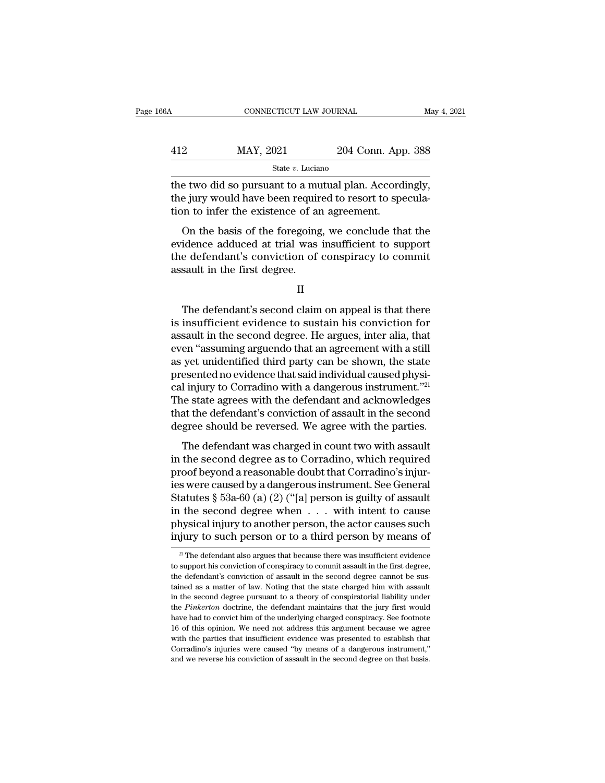<sup>412</sup> MAY, 2021 204 Conn. App. 388 State *v.* Luciano

CONNECTICUT LAW JOURNAL May 4, 2<br>
MAY, 2021 204 Conn. App. 388<br>
State v. Luciano<br>
the two did so pursuant to a mutual plan. Accordingly,<br>
the jury would have been required to resort to specula-<br>
tion to infor the existence  $\begin{array}{r} \text{MAX, } 2021 \\ \text{State } v. \text{ Luciano} \end{array}$ <br>
the two did so pursuant to a mutual plan. Accordingly, the jury would have been required to resort to speculation to infer the existence of an agreement.  $\frac{\text{MAX, } 2021}{\text{State } v. \text{ Luciano}}$ <br>  $\frac{\text{State } v. \text{ Luciano}}{\text{the two did so pursuit to a mutual plan. According to the jury would have been required to resort to spe}$ <br>
the jury would have been required to resort to spection to infer the existence of an agreement.<br>
On the basis of the foregoing, we conclude tha MAY, 2021 204 Conn. App. 388<br>
State v. Luciano<br>
E two did so pursuant to a mutual plan. Accordingly,<br>
e jury would have been required to resort to specula-<br>
on the basis of the foregoing, we conclude that the<br>
idence addu

State  $v$ . Luciano<br>the two did so pursuant to a mutual plan. Accordingly,<br>the jury would have been required to resort to specula-<br>tion to infer the existence of an agreement.<br>On the basis of the foregoing, we conclude tha the two did so pursuant to a mutual plan. Accordingly, the jury would have been required to resort to speculation to infer the existence of an agreement.<br>On the basis of the foregoing, we conclude that the evidence adduced the jury would have been required the jury would have been required tion to infer the existence of an On the basis of the foregoing evidence adduced at trial was the defendant's conviction of assault in the first degree. On the basis of the foregoing, we conclude that the<br>idence adduced at trial was insufficient to support<br>e defendant's conviction of conspiracy to commit<br>sault in the first degree.<br>II<br>The defendant's second claim on appeal

II

evidence adduced at trial was insufficient to support<br>the defendant's conviction of conspiracy to commit<br>assault in the first degree.<br>II<br>The defendant's second claim on appeal is that there<br>is insufficient evidence to sust the defendant's conviction of conspiracy to commit<br>assault in the first degree.<br>He argues, inter alia, that there<br>is insufficient evidence to sustain his conviction for<br>assault in the second degree. He argues, inter alia, II<br>II<br>In the first degree.<br>II<br>The defendant's second claim on appeal is that there<br>is insufficient evidence to sustain his conviction for<br>assault in the second degree. He argues, inter alia, that<br>even "assuming arguendo th II<br>
The defendant's second claim on appeal is that there<br>
is insufficient evidence to sustain his conviction for<br>
assault in the second degree. He argues, inter alia, that<br>
even "assuming arguendo that an agreement with a The defendant's second claim on appeal is that there<br>is insufficient evidence to sustain his conviction for<br>assault in the second degree. He argues, inter alia, that<br>even "assuming arguendo that an agreement with a still<br>a The defendant's second claim on appeal is that there<br>is insufficient evidence to sustain his conviction for<br>assault in the second degree. He argues, inter alia, that<br>even "assuming arguendo that an agreement with a still<br> is insufficient evidence to sustain his conviction for<br>assault in the second degree. He argues, inter alia, that<br>even "assuming arguendo that an agreement with a still<br>as yet unidentified third party can be shown, the stat assault in the second degree. He argues, inter alia, that<br>even "assuming arguendo that an agreement with a still<br>as yet unidentified third party can be shown, the state<br>presented no evidence that said individual caused phy even "assuming arguendo that an agreement with a still<br>as yet unidentified third party can be shown, the state<br>presented no evidence that said individual caused physi-<br>cal injury to Corradino with a dangerous instrument."<sup></sup> The defendant was charged in count two with assault<br>the sesented no evidence that said individual caused physi-<br>l injury to Corradino with a dangerous instrument."<sup>21</sup><br>he state agrees with the defendant and acknowledges<br>at resented to chactice and salar matricial calls a physical injury to Corradino with a dangerous instrument."<sup>21</sup><br>The state agrees with the defendant and acknowledges<br>that the defendant's conviction of assault in the second<br>

The state agrees with the defendant and acknowledges<br>that the defendant's conviction of assault in the second<br>degree should be reversed. We agree with the parties.<br>The defendant was charged in count two with assault<br>in th The state agrees what are determined and definitive<br>degree should be reversed. We agree with the parties.<br>The defendant was charged in count two with assault<br>in the second degree as to Corradino, which required<br>proof beyo The defendant is convicted of assault in the second<br>degree should be reversed. We agree with the parties.<br>The defendant was charged in count two with assault<br>in the second degree as to Corradino, which required<br>proof beyo The defendant was charged in count two with assault<br>in the second degree as to Corradino, which required<br>proof beyond a reasonable doubt that Corradino's injur-<br>ies were caused by a dangerous instrument. See General<br>Statu The defendant was charged in count two with assault<br>in the second degree as to Corradino, which required<br>proof beyond a reasonable doubt that Corradino's injur-<br>ies were caused by a dangerous instrument. See General<br>Statu in the second degree as to Corradino, which required<br>proof beyond a reasonable doubt that Corradino's injur-<br>ies were caused by a dangerous instrument. See General<br>Statutes § 53a-60 (a) (2) ("[a] person is guilty of assau tatutes  $\S$  53a-60 (a) (2) ("[a] person is guilty of assault<br>i the second degree when  $\ldots$  with intent to cause<br>hysical injury to another person, the actor causes such<br>jury to such person or to a third person by means of in the second degree when  $\ldots$  with intent to cause physical injury to another person, the actor causes such injury to such person or to a third person by means of  $\frac{2!}{\sqrt{2}}$  The defendant also argues that because the

physical injury to another person, the actor causes such<br>injury to such person or to a third person by means of<br><sup>21</sup> The defendant also argues that because there was insufficient evidence<br>to support his conviction of consp injury to such person or to a third person by means of  $\frac{2!}{2!}$  The defendant also argues that because there was insufficient evidence to support his conviction of conspiracy to commit assault in the first degree, the <sup>21</sup> The defendant also argues that because there was insufficient evidence to support his conviction of conspiracy to commit assault in the first degree, the defendant's conviction of assault in the second degree cannot <sup>21</sup> The defendant also argues that because there was insufficient evidence to support his conviction of conspiracy to commit assault in the first degree, the defendant's conviction of assault in the second degree cannot to support his conviction of conspiracy to commit assault in the first degree, the defendant's conviction of assault in the second degree cannot be sustained as a matter of law. Noting that the state charged him with assau the defendant's conviction of assault in the second degree cannot be sustained as a matter of law. Noting that the state charged him with assault in the second degree pursuant to a theory of conspiratorial liability under tained as a matter of law. Noting that the state charged him with assault<br>in the second degree pursuant to a theory of conspiratorial liability under<br>the *Pinkerton* doctrine, the defendant maintains that the jury first w in the second degree pursuant to a theory of conspiratorial liability under the Pinkerton doctrine, the defendant maintains that the jury first would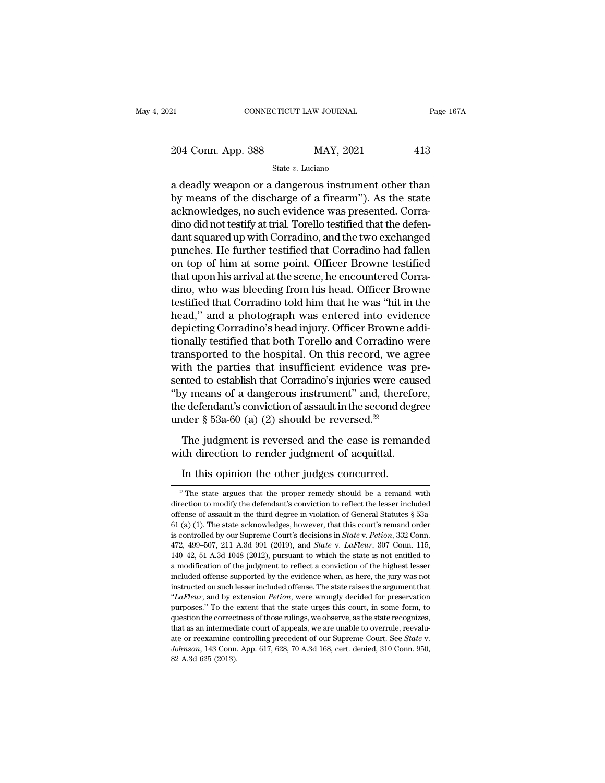21 CONNECTICUT LAW JOURNAL Page 167A<br>
204 Conn. App. 388 MAY, 2021 413<br>
State v. Luciano

State *v.* Luciano

EREA CONNECTICUT LAW JOURNAL Page 167A<br>
204 Conn. App. 388 MAY, 2021 413<br>
State v. Luciano<br>
a deadly weapon or a dangerous instrument other than<br>
by means of the discharge of a firearm''). As the state 204 Conn. App. 388 MAY, 2021 413<br>
State v. Luciano<br>
a deadly weapon or a dangerous instrument other than<br>
by means of the discharge of a firearm''). As the state<br>
acknowledges, no such evidence was presented. Corra-<br>
dino 204 Conn. App. 388 MAY, 2021 413<br>
State v. Luciano<br>
a deadly weapon or a dangerous instrument other than<br>
by means of the discharge of a firearm''). As the state<br>
acknowledges, no such evidence was presented. Corra-<br>
dino 204 Conn. App. 388 MAY, 2021 413<br>  $\frac{364}{100}$  State v. Luciano<br>
a deadly weapon or a dangerous instrument other than<br>
by means of the discharge of a firearm''). As the state<br>
acknowledges, no such evidence was presented State v. Luciano<br>
a deadly weapon or a dangerous instrument other than<br>
by means of the discharge of a firearm"). As the state<br>
acknowledges, no such evidence was presented. Corra-<br>
dino did not testify at trial. Torello state  $v$ . Luctano<br>
a deadly weapon or a dangerous instrument other than<br>
by means of the discharge of a firearm"). As the state<br>
acknowledges, no such evidence was presented. Corra-<br>
dino did not testify at trial. Torell a deadly weapon or a dangerous instrument other than<br>by means of the discharge of a firearm"). As the state<br>acknowledges, no such evidence was presented. Corra-<br>dino did not testify at trial. Torello testified that the def by means of the discharge of a firearm"). As the state<br>acknowledges, no such evidence was presented. Corra-<br>dino did not testify at trial. Torello testified that the defen-<br>dant squared up with Corradino, and the two excha acknowledges, no such evidence was presented. Corradino did not testify at trial. Torello testified that the defendant squared up with Corradino, and the two exchanged punches. He further testified that Corradino had falle dino did not testify at trial. Torello testified that the defendant squared up with Corradino, and the two exchanged<br>punches. He further testified that Corradino had fallen<br>on top of him at some point. Officer Browne testi dant squared up with Corradino, and the two exchanged<br>punches. He further testified that Corradino had fallen<br>on top of him at some point. Officer Browne testified<br>that upon his arrival at the scene, he encountered Corra-<br> punches. He further testified that Corradino had fallen<br>on top of him at some point. Officer Browne testified<br>that upon his arrival at the scene, he encountered Corra-<br>dino, who was bleeding from his head. Officer Browne<br>t on top of him at some point. Officer Browne testified<br>that upon his arrival at the scene, he encountered Corra-<br>dino, who was bleeding from his head. Officer Browne<br>testified that Corradino told him that he was "hit in the that upon his arrival at the scene, he encountered Corradino, who was bleeding from his head. Officer Browne<br>testified that Corradino told him that he was "hit in the<br>head," and a photograph was entered into evidence<br>depic dino, who was bleeding from his head. Officer Browne<br>testified that Corradino told him that he was "hit in the<br>head," and a photograph was entered into evidence<br>depicting Corradino's head injury. Officer Browne addi-<br>tiona testified that Corradino told him that he was "hit in the<br>head," and a photograph was entered into evidence<br>depicting Corradino's head injury. Officer Browne addi-<br>tionally testified that both Torello and Corradino were<br>tr head," and a photograph was entered into evidence<br>depicting Corradino's head injury. Officer Browne addi-<br>tionally testified that both Torello and Corradino were<br>transported to the hospital. On this record, we agree<br>with depicting Corradino's head injury. Officer Browne additionally testified that both Torello and Corradino were transported to the hospital. On this record, we agree with the parties that insufficient evidence was presented tionally testified that both Torello and Corradino were<br>transported to the hospital. On this record, we agree<br>with the parties that insufficient evidence was pre-<br>sented to establish that Corradino's injuries were caused<br> th the parties that insufficient evidence was pre-<br>the the parties that insufficient evidence was pre-<br>nted to establish that Corradino's injuries were caused<br>y means of a dangerous instrument" and, therefore,<br>e defendant where the bestablish that Corradino's injuries were caused to establish that Corradino's injuries were caused.<br>"By means of a dangerous instrument" and, therefore the defendant's conviction of assault in the second degrad y means of a dangerous instrument" and, theretered effendant's conviction of assault in the second degater  $\S$  53a-60 (a) (2) should be reversed.<sup>22</sup><br>The judgment is reversed and the case is remanth direction to render ju

The judgment is reversed and the case is remanded<br>with direction to render judgment of acquittal.<br>In this opinion the other judges concurred.<br> $\frac{2}{\pi}$ The state argues that the proper remedy should be a remand with<br>direc with direction to render judgment of acquittal.<br>
In this opinion the other judges concurred.<br>
<sup>22</sup> The state argues that the proper remedy should be a remand with direction to modify the defendant's conviction to reflect direction to modify the defendant's conviction to reflect the lesser included offense of assault in the third degree in violation of General Statutes § 53a-61 (a) (1). The state acknowledges, however, that this court's re In this opinion the other judges concurred.<br><sup>22</sup> The state argues that the proper remedy should be a remand with direction to modify the defendant's conviction to reflect the lesser included offense of assault in the thir <sup>22</sup> The state argues that the proper remedy should be a remand with direction to modify the defendant's conviction to reflect the lesser included offense of assault in the third degree in violation of General Statutes § 5 <sup>22</sup> The state argues that the proper remedy should be a remand with direction to modify the defendant's conviction to reflect the lesser included offense of assault in the third degree in violation of General Statutes  $\S$ direction to modify the defendant's conviction to reflect the lesser included offense of assault in the third degree in violation of General Statutes § 53a-61 (a) (1). The state acknowledges, however, that this court's re a model of the state is controlled by our Superbuck in the third degree in violation of General Statutes § 53a-61 (a) (1). The state acknowledges, however, that this court's remand order is controlled by our Supreme Court 61 (a) (1). The state acknowledges, however, that this court's remand order is controlled by our Supreme Court's decisions in *State v. Petion*, 332 Conn. 472, 499–507, 211 A.3d 991 (2019), and *State v. LaFleur*, 307 Con is controlled by our Supreme Court's decisions in *State v. Petion*, 332 Conn. 472, 499-507, 211 A.3d 991 (2019), and *State v. LaFleur*, 307 Conn. 115, 140-42, 51 A.3d 1048 (2012), pursuant to which the state is not enti 472, 499–507, 211 A.3d 991 (2019), and *State* v. *LaFleur*, 307 Conn. 115, 140–42, 51 A.3d 1048 (2012), pursuant to which the state is not entitled to a modification of the judgment to reflect a conviction of the highest 140–42, 51 A.3d 1048 (2012), pursuant to which the state is not entitled to a modification of the judgment to reflect a conviction of the highest lesser included offense supported by the evidence when, as here, the jury w a modification of the judgment to reflect a conviction of the highest lesser included offense supported by the evidence when, as here, the jury was not instructed on such lesser included offense. The state raises the argu instructed on such lesser included offense. The state raises the argument that " $LaFleur$ , and by extension *Petion*, were wrongly decided for preservation purposes." To the extent that the state urges this court, in some for instructed on such lesser included offense. The state raises the argument that "*LaFleur*, and by extension *Petion*, were wrongly decided for preservation purposes." To the extent that the state urges this court, in some purposes." To the extent that the state urges this court, in some form, to question the correctness of those rulings, we observe, as the state recognizes, that as an intermediate court of appeals, we are unable to overrul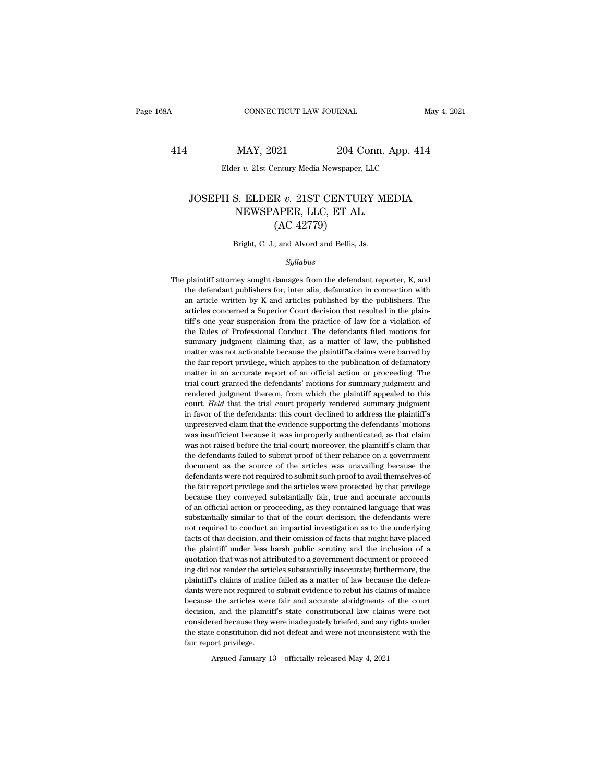### MAY, 2021 204 Conn. App. 414<br>Elder *v.* 21st Century Media Newspaper, LLC<br>JOSEPH S. ELDER *v.* 21ST CENTURY MEDIA<br>NEWSPAPER, LLC, ET AL. MAY, 2021 204 Conn.<br>
204 Conn.<br>
205 Century Media Newspaper, LLC<br>
3. ELDER v. 21ST CENTURY ME<br>
NEWSPAPER, LLC, ET AL.<br>
(AC 42779) 204 Contury Media Newspaper,<br>
R v. 21ST CENTUR<br>
APER, LLC, ET AL.<br>
(AC 42779)<br>
, and Alvord and Bellis, Js JOSEPH S. ELDER  $v$ . 21ST CENTURY MEDIA<br>NEWSPAPER, LLC, ET AL.<br>(AC 42779)<br>Bright, C. J., and Alvord and Bellis, Js.

### *Syllabus*

 $(AC 42779)$ <br>Bright, C. J., and Alvord and Bellis, Js.<br> $Syllabus$ <br>The plaintiff attorney sought damages from the defendant reporter, K, and<br>the defendant publishers for, inter alia, defamation in connection with Bright, C. J., and Alvord and Bellis, Js.<br>
Syllabus<br>
plaintiff attorney sought damages from the defendant reporter, K, and<br>
the defendant publishers for, inter alia, defamation in connection with<br>
an article written by K a Bright, C. J., and Alvord and Bellis, Js.<br>
Syllabus<br>
plaintiff attorney sought damages from the defendant reporter, K, and<br>
the defendant publishers for, inter alia, defamation in connection with<br>
an article written by K a The plaintiff attorney sought damages from the defendant reporter, K, and the defendant publishers for, inter alia, defamation in connection with an article written by K and articles published by the publishers. The artic Sytuabus<br>
plaintiff attorney sought damages from the defendant reporter, K, and<br>
the defendant publishers for, inter alia, defamation in connection with<br>
an article written by K and articles published by the publishers. Th plaintiff attorney sought damages from the defendant reporter, K, and<br>the defendant publishers for, inter alia, defamation in connection with<br>an article written by K and articles published by the publishers. The<br>articles c plane defendant publishers for, inter alia, defamation in connection with an article written by K and articles published by the publishers. The articles concerned a Superior Court decision that resulted in the plaintiff's an article written by K and articles published by the publishers. The articles concerned a Superior Court decision that resulted in the plaintiff's one year suspension from the practice of law for a violation of the Rules articles concerned a Superior Court decision that resulted in the plain-<br>tiff's one year suspension from the practice of law for a violation of<br>the Rules of Professional Conduct. The defendants filed motions for<br>summary ju tiff's one year suspension from the practice of law for a violation of the Rules of Professional Conduct. The defendants filed motions for summary judgment claiming that, as a matter of law, the published matter was not ac the Rules of Professional Conduct. The defendants filed motions for summary judgment claiming that, as a matter of law, the published matter was not actionable because the plaintiff's claims were barred by the fair report summary judgment claiming that, as a matter of law, the published matter was not actionable because the plaintiff's claims were barred by the fair report privilege, which applies to the publication of defamatory matter in matter was not actionable because the plaintiff's claims were barred by the fair report privilege, which applies to the publication of defamatory matter in an accurate report of an official action or proceeding. The trial in favor of the defendants: this court defendants in the dair report privilege, which applies to the publication of defamatory matter in an accurate report of an official action or proceeding. The trial court granted the d matter in an accurate report of an official action or proceeding. The<br>trial court granted the defendants' motions for summary judgment and<br>rendered judgment thereon, from which the plaintiff appealed to this<br>court. *Held* Final court granted the defendants' motions for summary judgment and rendered judgment thereon, from which the plaintiff appealed to this court. *Held* that the trial court properly rendered summary judgment in favor of t rendered judgment thereon, from which the plaintiff' appealed to this court. *Held* that the trial court properly rendered summary judgment in favor of the defendants: this court declined to address the plaintiff's unprese court. Held that the trial court properly rendered summary judgment<br>in favor of the defendants: this court declined to address the plaintiff's<br>unpreserved claim that the evidence supporting the defendants' motions<br>was insu in favor of the defendants: this court declined to address the plaintiff's unpreserved claim that the evidence supporting the defendants' motions was insufficient because it was improperly authenticated, as that claim was m are unpreserved claim that the evidence supporting the defendants' motions was insufficient because it was improperly authenticated, as that claim was not raised before the trial court; moreover, the plaintiff's claim th was insufficient because it was improperly authenticated, as that claim<br>was not raised before the trial court; moreover, the plaintiff's claim that<br>the defendants failed to submit proof of their reliance on a government<br>do was not raised before the trial court; moreover, the plaintiff's claim that the defendants failed to submit proof of their reliance on a government document as the source of the articles was unavailing because the defendan The defendants failed to submit proof of their reliance on a government document as the source of the articles was unavailing because the defendants were not required to submit such proof to avail themselves of the fair re document as the source of the articles was unavailing because the defendants were not required to submit such proof to avail themselves of the fair report privilege and the articles were protected by that privilege because defendants were not required to submit such proof to avail themselves of the fair report privilege and the articles were protected by that privilege because they conveyed substantially fair, true and accurate accounts of a the fair report privilege and the articles were protected by that privilege because they conveyed substantially fair, true and accurate accounts of an official action or proceeding, as they contained language that was subs the cause they conveyed substantially fair, true and accurate accounts of an official action or proceeding, as they contained language that was substantially similar to that of the court decision, the defendants were not r of an official action or proceeding, as they contained language that was substantially similar to that of the court decision, the defendants were not required to conduct an impartial investigation as to the underlying fac substantially similar to that of the court decision, the defendants were<br>not required to conduct an impartial investigation as to the underlying<br>facts of that decision, and their omission of facts that might have placed<br>th not required to conduct an impartial investigation as to the underlying facts of that decision, and their omission of facts that might have placed the plaintiff under less harsh public scrutiny and the inclusion of a quota facts of that decision, and their omission of facts that might have placed<br>the plaintiff under less harsh public scrutiny and the inclusion of a<br>quotation that was not attributed to a government document or proceed-<br>ing di the plaintiff under less harsh public scrutiny and the inclusion of a quotation that was not attributed to a government document or proceeding did not render the articles substantially inaccurate; furthermore, the plaintif quotation that was not attributed to a government document or proceeding did not render the articles substantially inaccurate; furthermore, the plaintiff's claims of malice failed as a matter of law because the defendants ing did not render the articles substantially inaccurate; furthermore, the plaintiff's claims of malice failed as a matter of law because the defendants were not required to submit evidence to rebut his claims of malice be plaintiff's claims of malice failed as a matter of law because the defendants were not required to submit evidence to rebut his claims of malice because the articles were fair and accurate abridgments of the court decision plaintiff's claims of malice failed as a matter of law because the defendants were not required to submit evidence to rebut his claims of malice because the articles were fair and accurate abridgments of the court decision

Argued January 13—officially released May 4, 2021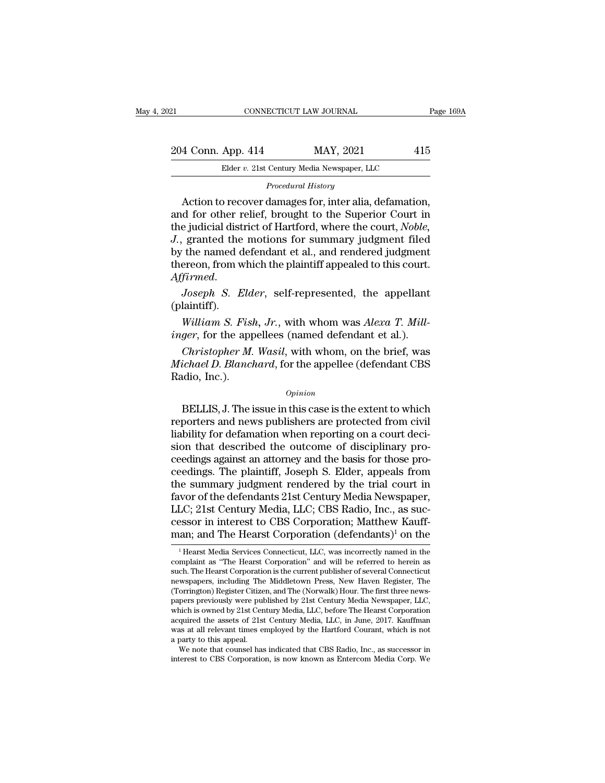*Procedural History*<br>*Procedural History*<br>*Procedural History*<br>*Procedural History*<br>*Procedural History*<br>*Procedural History* 4 Conn. App. 414 MAY, 2021 415<br>
Elder v. 21st Century Media Newspaper, LLC<br>
Procedural History<br>
Action to recover damages for, inter alia, defamation,<br>
d for other relief, brought to the Superior Court in<br>
a judicial dist 204 Conn. App. 414 MAY, 2021 415<br>
Elder v. 21st Century Media Newspaper, LLC<br>
Procedural History<br>
Action to recover damages for, inter alia, defamation,<br>
and for other relief, brought to the Superior Court in<br>
the judicia 204 Conn. App. 414 MAY, 2021 415<br>
Elder v. 21st Century Media Newspaper, LLC<br> *Procedural History*<br>
Action to recover damages for, inter alia, defamation,<br>
and for other relief, brought to the Superior Court in<br>
the judici *Elder v. 21st Century Media Newspaper, LLC*<br>*Procedural History*<br>*Action to recover damages for, inter alia, defamation,*<br>and for other relief, brought to the Superior Court in<br>the judicial district of Hartford, where the But the state chainly shead Newspaper, 2008<br>Procedural History<br>Action to recover damages for, inter alia, defamation,<br>and for other relief, brought to the Superior Court in<br>the judicial district of Hartford, where the cour *Procedural History*<br>Action to recover damages for, inter alia, defamation,<br>and for other relief, brought to the Superior Court in<br>the judicial district of Hartford, where the court, *Noble,*<br>J., granted the motions for su and for other relief, brought to the Superior Court in<br>the judicial district of Hartford, where the court, *Noble*,<br>*J.*, granted the motions for summary judgment filed<br>by the named defendant et al., and rendered judgment<br> *We state the motions for summary juggment med*<br>the named defendant et al., and rendered judgment<br>ereon, from which the plaintiff appealed to this court.<br>*Firmed.*<br>*Joseph S. Elder*, self-represented, the appellant<br>laintif *is* the named definant et al., and rendered judgment<br>thereon, from which the plaintiff appealed to this court.<br>*Affirmed.*<br>*Joseph S. Elder*, self-represented, the appellant<br>(plaintiff).<br>*William S. Fish, Jr.*, with whom

(plaintiff).

*Firmed.*<br> *Joseph S. Elder*, self-represented, the appellant<br>
laintiff).<br> *William S. Fish, Jr.*, with whom was *Alexa T. Mill-*<br> *ger*, for the appellees (named defendant et al.).<br> *Christopher M. Wasil*, with whom, on t *Joseph S. Elder*, self-represented, the appellant (plaintiff).<br>William S. Fish, Jr., with whom was Alexa T. Millinger, for the appellees (named defendant et al.).<br>Christopher M. Wasil, with whom, on the brief, was Michael (plaintiff).<br>
(plaintiff).<br>
William S. Fissinger, for the app<br>
Christopher M.<br>
Michael D. Blanci<br>
Radio, Inc.). ger, for the appellees (named defendant et al.).<br>
Christopher M. Wasil, with whom, on the brief, was<br>
ichael D. Blanchard, for the appellee (defendant CBS<br>
udio, Inc.).<br>
opinion<br>
BELLIS, J. The issue in this case is the ex

### *Opinion*

Christopher M. Wasil, with whom, on the brief, was<br>
Michael D. Blanchard, for the appellee (defendant CBS<br>
Radio, Inc.).<br>
Opinion<br>
BELLIS, J. The issue in this case is the extent to which<br>
reporters and news publishers are Christopher M. Wasti, with whold, of the brief, was<br>Michael D. Blanchard, for the appellee (defendant CBS<br>Radio, Inc.).<br>Opinion<br>BELLIS, J. The issue in this case is the extent to which<br>reporters and news publishers are pro sion that described the outcome of disciplinary proopinion<br>
opinion<br>
BELLIS, J. The issue in this case is the extent to which<br>
reporters and news publishers are protected from civil<br>
liability for defamation when reporting on a court deci-<br>
sion that described the outcome  $o$ <sub>pinion</sub><br>BELLIS, J. The issue in this case is the extent to which<br>reporters and news publishers are protected from civil<br>liability for defamation when reporting on a court deci-<br>sion that described the outcome of disci BELLIS, J. The issue in this case is the extent to which<br>reporters and news publishers are protected from civil<br>liability for defamation when reporting on a court deci-<br>sion that described the outcome of disciplinary pro-<br> reporters and news publishers are protected from civil<br>liability for defamation when reporting on a court deci-<br>sion that described the outcome of disciplinary pro-<br>ceedings against an attorney and the basis for those proliability for defamation when reporting on a court decision that described the outcome of disciplinary proceedings against an attorney and the basis for those proceedings. The plaintiff, Joseph S. Elder, appeals from the s sion that described the outcome of disciplinary proceedings against an attorney and the basis for those proceedings. The plaintiff, Joseph S. Elder, appeals from the summary judgment rendered by the trial court in favor of ceedings against an attorney and the basis for those proceedings. The plaintiff, Joseph S. Elder, appeals from<br>the summary judgment rendered by the trial court in<br>favor of the defendants 21st Century Media Newspaper,<br>LLC; wor of the defendants 21st Century Media Newspaper,<br>LC; 21st Century Media, LLC; CBS Radio, Inc., as suc-<br>essor in interest to CBS Corporation; Matthew Kauff-<br>an; and The Hearst Corporation (defendants)<sup>1</sup> on the<br><sup>1</sup>Hearst LLC; 21st Century Media, LLC; CBS Radio, Inc., as successor in interest to CBS Corporation; Matthew Kauff-<br>man; and The Hearst Corporation (defendants)<sup>1</sup> on the<br><sup>1</sup> Hearst Media Services Connecticut, LLC, was incorrectly

cessor in interest to CBS Corporation; Matthew Kauff-<br>man; and The Hearst Corporation (defendants)<sup>1</sup> on the<br><sup>1</sup>Hearst Media Services Connecticut, LLC, was incorrectly named in the<br>complaint as "The Hearst Corporation" an cessor in interest to CBS Corporation; Matthew Kaull-<br>man; and The Hearst Corporation (defendants)<sup>1</sup> on the<br><sup>1</sup> Hearst Media Services Connecticut, LLC, was incorrectly named in the<br>complaint as "The Hearst Corporation" an man; and The Hearst Corporation (defendants)<sup>1</sup> on the<br><sup>1</sup> Hearst Media Services Connecticut, LLC, was incorrectly named in the<br>complaint as "The Hearst Corporation" and will be referred to herein as<br>such. The Hearst Corpo <sup>1</sup> Hearst Media Services Connecticut, LLC, was incorrectly named in the complaint as "The Hearst Corporation" and will be referred to herein as such. The Hearst Corporation is the current publisher of several Connecticut <sup>1</sup> Hearst Media Services Connecticut, LLC, was incorrectly named in the complaint as "The Hearst Corporation" and will be referred to herein as such. The Hearst Corporation is the current publisher of several Connecticut complaint as "The Hearst Corporation" and will be referred to herein as<br>such. The Hearst Corporation is the current publisher of several Connecticut<br>newspapers, including The Middletown Press, New Haven Register, The<br>(Torr such. The Hearst Corporation is the current publisher of several Connecticut<br>newspapers, including The Middletown Press, New Haven Register, The<br>(Torrington) Register Citizen, and The (Norwalk) Hour. The first three news-<br> newspapers, including The<br>(Torrington) Register Citize<br>papers previously were put<br>which is owned by 21st Cen<br>acquired the assets of 21st<br>was at all relevant times e<br>a party to this appeal.<br>We note that counsel has orrington) Register Citizen, and The (Norwalk) Hour. The first three news-<br>pers previously were published by 21st Century Media Newspaper, LLC,<br>nich is owned by 21st Century Media, LLC, before The Hearst Corporation<br>quired papers previously were published by 21st Century Media Newspaper, LLC, which is owned by 21st Century Media, LLC, before The Hearst Corporation acquired the assets of 21st Century Media, LLC, in June, 2017. Kauffman was at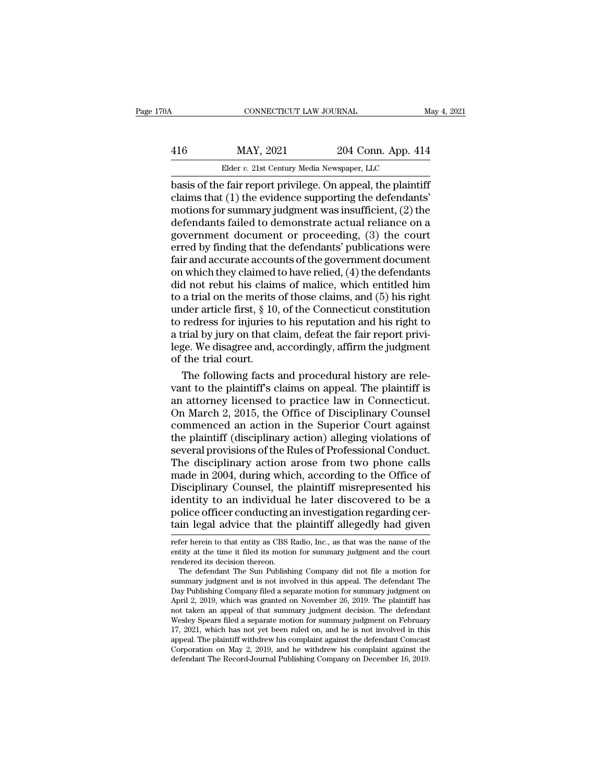|                    | May 4, 2021                                                                                                                           |
|--------------------|---------------------------------------------------------------------------------------------------------------------------------------|
| 204 Conn. App. 414 |                                                                                                                                       |
|                    |                                                                                                                                       |
|                    | CONNECTICUT LAW JOURNAL<br>Elder v. 21st Century Media Newspaper, LLC<br>hasis of the fair report privilege. On appeal, the plaintiff |

 $\begin{array}{ll}\n & \text{COMRECTICUT LAW JOURNAL} & \text{May 4, 202} \\
 \hline\n 416 & \text{MAX, } 2021 & 204 & \text{Conn. App. 414} \\
 \hline\n \text{Elder } v. \text{ 21st Century Media Newspaper, LLC} \\
 \text{basis of the fair report, the original, the plaintiff claims that (1) the evidence supporting the defendants' motions for summary, judgment was insufficient. (2) the\n\end{array}$  $\frac{\text{MAY, 2021}}{\text{Elder } v. \text{ 21st Century Media Newspaper, LLC}}$ <br>
basis of the fair report privilege. On appeal, the plaintiff<br>
claims that (1) the evidence supporting the defendants'<br>
motions for summary judgment was insufficient, (2) the<br>
defen  $\frac{\text{MAP, 2021}}{\text{Elder } v. 2 \text{1st Century Media Newspaper, LLC}}$ <br>
basis of the fair report privilege. On appeal, the plaintiff<br>
claims that (1) the evidence supporting the defendants'<br>
motions for summary judgment was insufficient, (2) the<br>
defend  $\frac{\text{MAY, 2021}}{\text{Elder } v. \text{ 21st Century Media Newspaper, LLC}}$ <br>
basis of the fair report privilege. On appeal, the plaintiff<br>
claims that (1) the evidence supporting the defendants'<br>
motions for summary judgment was insufficient, (2) the<br>
defen Elder v. 21st Century Media Newspaper, LLC<br>
basis of the fair report privilege. On appeal, the plaintiff<br>
claims that (1) the evidence supporting the defendants'<br>
motions for summary judgment was insufficient, (2) the<br>
de Elder v. 21st Century Media Newspaper, LLC<br>
basis of the fair report privilege. On appeal, the plaintiff<br>
claims that (1) the evidence supporting the defendants'<br>
motions for summary judgment was insufficient, (2) the<br>
de basis of the fair report privilege. On appeal, the plaintiff<br>claims that (1) the evidence supporting the defendants'<br>motions for summary judgment was insufficient, (2) the<br>defendants failed to demonstrate actual reliance o claims that (1) the evidence supporting the defendants'<br>motions for summary judgment was insufficient, (2) the<br>defendants failed to demonstrate actual reliance on a<br>government document or proceeding, (3) the court<br>erred by motions for summary judgment was insufficient,  $(2)$  the<br>defendants failed to demonstrate actual reliance on a<br>government document or proceeding,  $(3)$  the court<br>erred by finding that the defendants' publications were<br>fai defendants failed to demonstrate actual reliance on a<br>government document or proceeding, (3) the court<br>erred by finding that the defendants' publications were<br>fair and accurate accounts of the government document<br>on which government document or proceeding, (3) the court<br>erred by finding that the defendants' publications were<br>fair and accurate accounts of the government document<br>on which they claimed to have relied, (4) the defendants<br>did no erred by finding that the defendants' publications were<br>fair and accurate accounts of the government document<br>on which they claimed to have relied, (4) the defendants<br>did not rebut his claims of malice, which entitled him<br> fair and accurate accounts of the government document<br>on which they claimed to have relied,  $(4)$  the defendants<br>did not rebut his claims of malice, which entitled him<br>to a trial on the merits of those claims, and  $(5)$  h on which they claimed to have relied,  $(4)$  the defendants<br>did not rebut his claims of malice, which entitled him<br>to a trial on the merits of those claims, and  $(5)$  his right<br>under article first, § 10, of the Connecticut did not rebut his clain<br>to a trial on the merits<br>under article first, § 10<br>to redress for injuries<br>a trial by jury on that c<br>lege. We disagree and, of<br>the trial court.<br>The following facts a trial on the merits of those claims, and  $(5)$  his right<br>der article first,  $\S$  10, of the Connecticut constitution<br>redress for injuries to his reputation and his right to<br>rial by jury on that claim, defeat the fair rep under article first, § 10, of the Connecticut constitution<br>to redress for injuries to his reputation and his right to<br>a trial by jury on that claim, defeat the fair report privi-<br>lege. We disagree and, accordingly, affirm

to redress for injuries to his reputation and his right to<br>a trial by jury on that claim, defeat the fair report privi-<br>lege. We disagree and, accordingly, affirm the judgment<br>of the trial court.<br>The following facts and pr a trial by jury on that claim, defeat the fair report privi-<br>lege. We disagree and, accordingly, affirm the judgment<br>of the trial court.<br>The following facts and procedural history are rele-<br>vant to the plaintiff's claims o lege. We disagree and, accordingly, affirm the judgment<br>of the trial court.<br>The following facts and procedural history are rele-<br>vant to the plaintiff's claims on appeal. The plaintiff is<br>an attorney licensed to practice l of the trial court.<br>The following facts and procedural history are relevant to the plaintiff's claims on appeal. The plaintiff is<br>an attorney licensed to practice law in Connecticut.<br>On March 2, 2015, the Office of Discipl The following facts and procedural history are relevant to the plaintiff's claims on appeal. The plaintiff is<br>an attorney licensed to practice law in Connecticut.<br>On March 2, 2015, the Office of Disciplinary Counsel<br>commen vant to the plaintiff's claims on appeal. The plaintiff is<br>an attorney licensed to practice law in Connecticut.<br>On March 2, 2015, the Office of Disciplinary Counsel<br>commenced an action in the Superior Court against<br>the pla an attorney licensed to practice law in Connecticut.<br>On March 2, 2015, the Office of Disciplinary Counsel<br>commenced an action in the Superior Court against<br>the plaintiff (disciplinary action) alleging violations of<br>several On March 2, 2015, the Office of Disciplinary Counsel<br>commenced an action in the Superior Court against<br>the plaintiff (disciplinary action) alleging violations of<br>several provisions of the Rules of Professional Conduct.<br>The commenced an action in the Superior Court against<br>the plaintiff (disciplinary action) alleging violations of<br>several provisions of the Rules of Professional Conduct.<br>The disciplinary action arose from two phone calls<br>made the plaintiff (disciplinary action) alleging violations of<br>several provisions of the Rules of Professional Conduct.<br>The disciplinary action arose from two phone calls<br>made in 2004, during which, according to the Office of<br> several provisions of the Rules of Professional Conduct.<br>The disciplinary action arose from two phone calls<br>made in 2004, during which, according to the Office of<br>Disciplinary Counsel, the plaintiff misrepresented his<br>iden Disciplinary Counsel, the plaintiff misrepresented his<br>identity to an individual he later discovered to be a<br>police officer conducting an investigation regarding cer-<br>tain legal advice that the plaintiff allegedly had give identity to an individual he later discovered to be a<br>police officer conducting an investigation regarding cer-<br>tain legal advice that the plaintiff allegedly had given<br>refer herein to that entity as CBS Radio, Inc., as th

police officer conducting an investigation regarding certain legal advice that the plaintiff allegedly had given<br>refer herein to that entity as CBS Radio, Inc., as that was the name of the<br>entity at the time it filed its m Different Conducting an investigation regarding cer-<br>in legal advice that the plaintiff allegedly had given<br>fer herein to that entity as CBS Radio, Inc., as that was the name of the<br>tity at the time it filed its motion for

tain legal advice that the plaintiff allegedly had given<br>refer herein to that entity as CBS Radio, Inc., as that was the name of the<br>entity at the time it filed its motion for summary judgment and the court<br>rendered its de refer herein to that entity as CBS Radio, Inc., as that was the name of the entity at the time it filed its motion for summary judgment and the court rendered its decision thereon.<br>The defendant The Sun Publishing Company refer nerem to that entity as CBS Radio, Inc., as that was the name of the entity at the time it filed its motion for summary judgment and the court rendered its decision thereon.<br>The defendant The Sun Publishing Company d The defendant The Sun Publishing Company did not file a motion for summary judgment and is not involved in this appeal. The defendant The Day Publishing Company filed a separate motion for summary judgment on April 2, 2019 rendered its decision thereon.<br>
The defendant The Sun Publishing Company did not file a motion for<br>
summary judgment and is not involved in this appeal. The defendant The<br>
Day Publishing Company filed a separate motion for The detendant The Sun Publishing Company did not file a motion for<br>summary judgment and is not involved in this appeal. The defendant The<br>Day Publishing Company filed a separate motion for summary judgment on<br>April 2, 2019 summary judgment and is not involved in this appeal. The detendant The Day Publishing Company filed a separate motion for summary judgment on April 2, 2019, which was granted on November 26, 2019. The plaintiff has not tak Day Publishing Company filed a separate motion for summary judgment on<br>April 2, 2019, which was granted on November 26, 2019. The plaintiff has<br>not taken an appeal of that summary judgment decision. The defendant<br>Wesley Sp not taken an appeal of that summary judgment decision. The defendant Wesley Spears filed a separate motion for summary judgment on February 17, 2021, which has not yet been ruled on, and he is not involved in this appeal.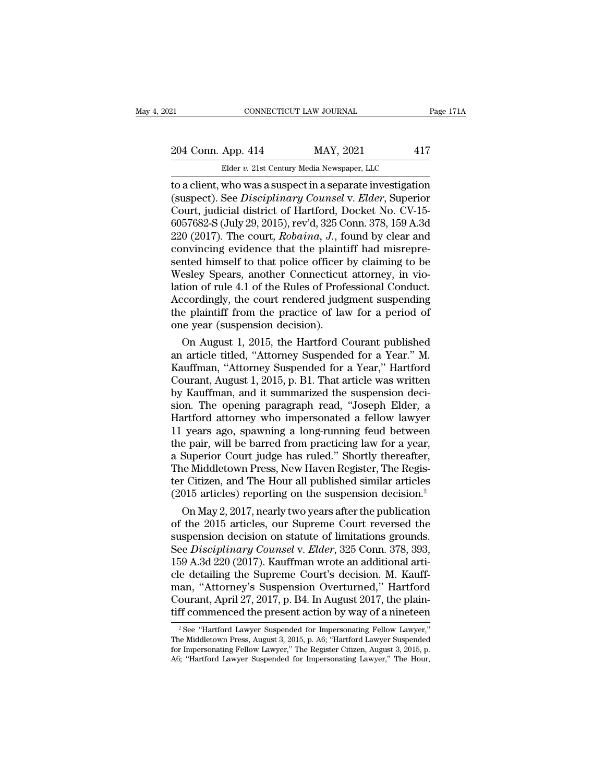## 21 CONNECTICUT LAW JOURNAL Page 171A<br>204 Conn. App. 414 MAY, 2021 417<br>Elder v. 21st Century Media Newspaper, LLC CONNECTICUT LAW JOURNAL<br>
App. 414 MAY, 2021 41<br>
Elder *v.* 21st Century Media Newspaper, LLC<br>
who was a suspect in a separate investigation

EXECTIVE CONNECTICUT LAW JOURNAL Page 171A<br>
204 Conn. App. 414 MAY, 2021 417<br>
Elder v. 21st Century Media Newspaper, LLC<br>
to a client, who was a suspect in a separate investigation<br>
(suspect). See *Disciplinary Counsel* v. 204 Conn. App. 414 MAY, 2021 417<br>Elder v. 21st Century Media Newspaper, LLC<br>to a client, who was a suspect in a separate investigation<br>(suspect). See *Disciplinary Counsel* v. *Elder*, Superior<br>Court, judicial district of 204 Conn. App. 414 MAY, 2021 417<br>Elder v. 21st Century Media Newspaper, LLC<br>to a client, who was a suspect in a separate investigation<br>(suspect). See *Disciplinary Counsel* v. *Elder*, Superior<br>Court, judicial district of 204 Conn. App. 414 MAY, 2021 417<br>
Elder v. 21st Century Media Newspaper, LLC<br>
to a client, who was a suspect in a separate investigation<br>
(suspect). See *Disciplinary Counsel* v. *Elder*, Superior<br>
Court, judicial distric Elder v. 21st Century Media Newspaper, LLC<br>to a client, who was a suspect in a separate investigation<br>(suspect). See *Disciplinary Counsel* v. *Elder*, Superior<br>Court, judicial district of Hartford, Docket No. CV-15-<br>60576 Elder v. 21st Century Media Newspaper, LLC<br>to a client, who was a suspect in a separate investigation<br>(suspect). See *Disciplinary Counsel* v. *Elder*, Superior<br>Court, judicial district of Hartford, Docket No. CV-15-<br>6057 to a client, who was a suspect in a separate investigation<br>(suspect). See *Disciplinary Counsel* v. *Elder*, Superior<br>Court, judicial district of Hartford, Docket No. CV-15-<br>6057682-S (July 29, 2015), rev'd, 325 Conn. 378, (suspect). See *Disciplinary Counsel* v. *Elder*, Superior Court, judicial district of Hartford, Docket No. CV-15-6057682-S (July 29, 2015), rev'd, 325 Conn. 378, 159 A.3d 220 (2017). The court, *Robaina*, *J.*, found by Court, judicial district of Hartford, Docket No. CV-15-6057682-S (July 29, 2015), rev'd, 325 Conn. 378, 159 A.3d<br>220 (2017). The court, *Robaina*, J., found by clear and<br>convincing evidence that the plaintiff had misrepre-6057682-S (July 29, 2015), rev'd, 325 Conn. 378, 159 A.3d<br>220 (2017). The court, *Robaina*, *J*., found by clear and<br>convincing evidence that the plaintiff had misrepre-<br>sented himself to that police officer by claiming t  $220$  ( $2017$ ). The court, *Robaina*, *J*., found by clear and convincing evidence that the plaintiff had misrepresented himself to that police officer by claiming to be Wesley Spears, another Connecticut attorney, in vio convincing evidence that the plaint<br>sented himself to that police officer<br>Wesley Spears, another Connecticut<br>lation of rule 4.1 of the Rules of Profe<br>Accordingly, the court rendered judg<br>the plaintiff from the practice of nted nimself to that police officer by claiming to be<br>esley Spears, another Connecticut attorney, in vio-<br>ion of rule 4.1 of the Rules of Professional Conduct.<br>coordingly, the court rendered judgment suspending<br>e plaintiff Wesley Spears, another Connecticut attorney, in vio-<br>lation of rule 4.1 of the Rules of Professional Conduct.<br>Accordingly, the court rendered judgment suspending<br>the plaintiff from the practice of law for a period of<br>one y

lation of rule 4.1 of the Kules of Professional Conduct.<br>Accordingly, the court rendered judgment suspending<br>the plaintiff from the practice of law for a period of<br>one year (suspension decision).<br>On August 1, 2015, the Har Accordingly, the court rendered judgment suspending<br>the plaintiff from the practice of law for a period of<br>one year (suspension decision).<br>On August 1, 2015, the Hartford Courant published<br>an article titled, "Attorney Susp the plaintiff from the practice of law for a period of<br>one year (suspension decision).<br>On August 1, 2015, the Hartford Courant published<br>an article titled, "Attorney Suspended for a Year," Hartford<br>Courant, August 1, 2015, one year (suspension decision).<br>
On August 1, 2015, the Hartford Courant published<br>
an article titled, "Attorney Suspended for a Year." M.<br>
Kauffman, "Attorney Suspended for a Year," Hartford<br>
Courant, August 1, 2015, p. B On August 1, 2015, the Hartford Courant published<br>an article titled, "Attorney Suspended for a Year." M.<br>Kauffman, "Attorney Suspended for a Year," Hartford<br>Courant, August 1, 2015, p. B1. That article was written<br>by Kauff an article titled, "Attorney Suspended for a Year." M.<br>Kauffman, "Attorney Suspended for a Year," Hartford<br>Courant, August 1, 2015, p. B1. That article was written<br>by Kauffman, and it summarized the suspension deci-<br>sion. Kauffman, "Attorney Suspended for a Year," Hartford<br>Courant, August 1, 2015, p. B1. That article was written<br>by Kauffman, and it summarized the suspension deci-<br>sion. The opening paragraph read, "Joseph Elder, a<br>Hartford a Courant, August 1, 2015, p. B1. That article was written<br>by Kauffman, and it summarized the suspension deci-<br>sion. The opening paragraph read, "Joseph Elder, a<br>Hartford attorney who impersonated a fellow lawyer<br>11 years ag by Kauffman, and it summarized the suspension decision. The opening paragraph read, "Joseph Elder, a Hartford attorney who impersonated a fellow lawyer 11 years ago, spawning a long-running feud between the pair, will be b sion. The opening paragraph read, "Joseph Elder, a<br>Hartford attorney who impersonated a fellow lawyer<br>11 years ago, spawning a long-running feud between<br>the pair, will be barred from practicing law for a year,<br>a Superior C Hartford attorney who impersonated a fellow lawyer<br>11 years ago, spawning a long-running feud between<br>the pair, will be barred from practicing law for a year,<br>a Superior Court judge has ruled." Shortly thereafter,<br>The Midd years ago, spawning a long-running feud between<br>e pair, will be barred from practicing law for a year,<br>Superior Court judge has ruled." Shortly thereafter,<br>ne Middletown Press, New Haven Register, The Regis-<br>r Citizen, and the pair, will be barred from practicing law for a year,<br>a Superior Court judge has ruled." Shortly thereafter,<br>The Middletown Press, New Haven Register, The Regis-<br>ter Citizen, and The Hour all published similar articles

a Superior Court judge has ruled." Shortly thereafter,<br>The Middletown Press, New Haven Register, The Register Citizen, and The Hour all published similar articles<br>(2015 articles) reporting on the suspension decision.<sup>2</sup><br>O The Middletown Press, New Haven Register, The Register Citizen, and The Hour all published similar articles (2015 articles) reporting on the suspension decision.<sup>2</sup> On May 2, 2017, nearly two years after the publication of ter Citizen, and The Hour all published similar articles<br>
(2015 articles) reporting on the suspension decision.<sup>2</sup><br>
On May 2, 2017, nearly two years after the publication<br>
of the 2015 articles, our Supreme Court reversed t (2015 articles) reporting on the suspension decision.<sup>2</sup><br>On May 2, 2017, nearly two years after the publication<br>of the 2015 articles, our Supreme Court reversed the<br>suspension decision on statute of limitations grounds.<br>S On May 2, 2017, nearly two years after the publication<br>of the 2015 articles, our Supreme Court reversed the<br>suspension decision on statute of limitations grounds.<br>See *Disciplinary Counsel* v. *Elder*, 325 Conn. 378, 393,<br> of the 2015 articles, our Supreme Court reversed the<br>suspension decision on statute of limitations grounds.<br>See *Disciplinary Counsel* v. *Elder*, 325 Conn. 378, 393,<br>159 A.3d 220 (2017). Kauffman wrote an additional artisuspension decision on statute of limitations grounds.<br>See *Disciplinary Counsel* v. *Elder*, 325 Conn. 378, 393, 159 A.3d 220 (2017). Kauffman wrote an additional article detailing the Supreme Court's decision. M. Kauffma e detailing the Supreme Court's decision. M. Kauff-<br>an, "Attorney's Suspension Overturned," Hartford<br>ourant, April 27, 2017, p. B4. In August 2017, the plain-<br>ff commenced the present action by way of a nineteen<br><sup>2</sup> See "H man, "Attorney's Suspension Overturned," Hartford<br>Courant, April 27, 2017, p. B4. In August 2017, the plain-<br>tiff commenced the present action by way of a nineteen<br><sup>2</sup> See "Hartford Lawyer Suspended for Impersonating Fello tiff commenced the present action by way of a nineteen

Courant, April 27, 2017, p. B4. In August 2017, the plain-<br>tiff commenced the present action by way of a nineteen<br> $\frac{1}{2}$ See "Hartford Lawyer Suspended for Impersonating Fellow Lawyer,"<br>The Middletown Press, August 3, 2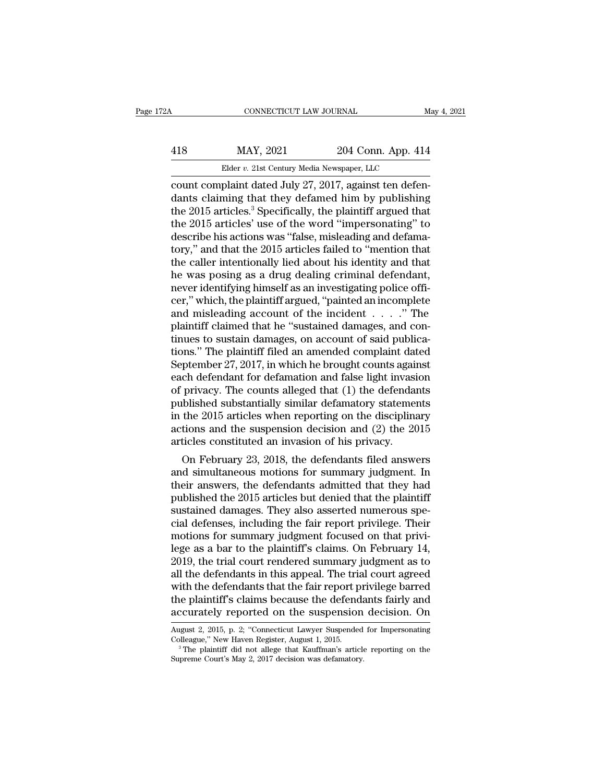# CONNECTICUT LAW JOURNAL May 4, 2021<br>418 MAY, 2021 204 Conn. App. 414<br>Elder v. 21st Century Media Newspaper, LLC

Elder *v.* 21st Century Media Newspaper, LLC<br>
Plaint dated July 27 2017 against ten defen connecticut LAW JOURNAL<br>
MAY, 2021 204 Conn. App. 414<br>
Elder v. 21st Century Media Newspaper, LLC<br>
count complaint dated July 27, 2017, against ten defen-<br>
dants claiming that they defamed him by publishing<br>
the 2015 extic MAY, 2021 204 Conn. App. 414<br>Elder v. 21st Century Media Newspaper, LLC<br>Count complaint dated July 27, 2017, against ten defen-<br>dants claiming that they defamed him by publishing<br>the 2015 articles.<sup>3</sup> Specifically, the pla 418 MAY, 2021 204 Conn. App. 414<br>Elder v. 21st Century Media Newspaper, LLC<br>count complaint dated July 27, 2017, against ten defen-<br>dants claiming that they defamed him by publishing<br>the 2015 articles.<sup>3</sup> Specifically, th  $\frac{\text{MAY, 2021}}{\text{Elder } v. 21 \text{st Century Media Newspaper, LLC}}$ <br>
count complaint dated July 27, 2017, against ten defendants claiming that they defamed him by publishing<br>
the 2015 articles.<sup>3</sup> Specifically, the plaintiff argued that<br>
the 2015 a Elder v. 21st Century Media Newspaper, LLC<br>
count complaint dated July 27, 2017, against ten defen-<br>
dants claiming that they defamed him by publishing<br>
the 2015 articles.<sup>3</sup> Specifically, the plaintiff argued that<br>
the 20 Elder v. 21st Century Media Newspaper, LLC<br>
count complaint dated July 27, 2017, against ten defen-<br>
dants claiming that they defamed him by publishing<br>
the 2015 articles.<sup>3</sup> Specifically, the plaintiff argued that<br>
the 2 count complaint dated July 27, 2017, against ten defendants claiming that they defamed him by publishing<br>the 2015 articles.<sup>3</sup> Specifically, the plaintiff argued that<br>the 2015 articles' use of the word "impersonating" to<br>d dants claiming that they defamed him by publishing<br>the 2015 articles.<sup>3</sup> Specifically, the plaintiff argued that<br>the 2015 articles' use of the word "impersonating" to<br>describe his actions was "false, misleading and defamathe 2015 articles.<sup>3</sup> Specifically, the plaintiff argued that<br>the 2015 articles' use of the word "impersonating" to<br>describe his actions was "false, misleading and defama-<br>tory," and that the 2015 articles failed to "menti the 2015 articles' use of the word "impersonating" to<br>describe his actions was "false, misleading and defama-<br>tory," and that the 2015 articles failed to "mention that<br>the caller intentionally lied about his identity and t describe his actions was "false, misleading and defama-<br>tory," and that the 2015 articles failed to "mention that<br>the caller intentionally lied about his identity and that<br>he was posing as a drug dealing criminal defendant tory," and that the 2015 articles failed to "mention that<br>the caller intentionally lied about his identity and that<br>he was posing as a drug dealing criminal defendant,<br>never identifying himself as an investigating police the caller intentionally lied about his identity and that<br>he was posing as a drug dealing criminal defendant,<br>never identifying himself as an investigating police offi-<br>cer," which, the plaintiff argued, "painted an incom he was posing as a drug dealing criminal defendant,<br>never identifying himself as an investigating police offi-<br>cer," which, the plaintiff argued, "painted an incomplete<br>and misleading account of the incident . . . . ." The never identifying himself as an investigating police officer," which, the plaintiff argued, "painted an incomplete<br>and misleading account of the incident . . . . ." The<br>plaintiff claimed that he "sustained damages, and con cer," which, the plaintiff argued, "painted an incomplete<br>and misleading account of the incident  $\dots$ ." The<br>plaintiff claimed that he "sustained damages, and con-<br>tinues to sustain damages, on account of said publica-<br>tio and misleading account of the incident  $\ldots$  . . ." The plaintiff claimed that he "sustained damages, and continues to sustain damages, on account of said publications." The plaintiff filed an amended complaint dated Sept plaintiff claimed that he "sustained damages, and continues to sustain damages, on account of said publications." The plaintiff filed an amended complaint dated September 27, 2017, in which he brought counts against each d tinues to sustain damages, on account of said publications." The plaintiff filed an amended complaint dated<br>September 27, 2017, in which he brought counts against<br>each defendant for defamation and false light invasion<br>of p tions." The plaintiff filed an amended complaint dated<br>September 27, 2017, in which he brought counts against<br>each defendant for defamation and false light invasion<br>of privacy. The counts alleged that (1) the defendants<br>pu September 27, 2017, in which he brought counts againeach defendant for defamation and false light invasion of privacy. The counts alleged that (1) the defendant published substantially similar defamatory statemers in the 2 on detendant for detaination and taise light invasion<br>privacy. The counts alleged that (1) the defendants<br>blished substantially similar defamatory statements<br>the 2015 articles when reporting on the disciplinary<br>tions and t or privacy. The counts aneged that (1) the defendants<br>published substantially similar defamatory statements<br>in the 2015 articles when reporting on the disciplinary<br>actions and the suspension decision and (2) the 2015<br>arti

published substantially similar defainatory statements<br>in the 2015 articles when reporting on the disciplinary<br>actions and the suspension decision and (2) the 2015<br>articles constituted an invasion of his privacy.<br>On Februa m the 2015 articles when reporting on the disciplinary<br>actions and the suspension decision and (2) the 2015<br>articles constituted an invasion of his privacy.<br>On February 23, 2018, the defendants filed answers<br>and simultaneo sustained an invasion decision and  $(2)$  the 2015<br>articles constituted an invasion of his privacy.<br>On February 23, 2018, the defendants filed answers<br>and simultaneous motions for summary judgment. In<br>their answers, the de articles constituted an invasion of his privacy.<br>
On February 23, 2018, the defendants filed answers<br>
and simultaneous motions for summary judgment. In<br>
their answers, the defendants admitted that they had<br>
published the 2 On February 23, 2018, the defendants filed answers<br>and simultaneous motions for summary judgment. In<br>their answers, the defendants admitted that they had<br>published the 2015 articles but denied that the plaintiff<br>sustained and simultaneous motions for summary judgment. In<br>their answers, the defendants admitted that they had<br>published the 2015 articles but denied that the plaintiff<br>sustained damages. They also asserted numerous spe-<br>cial defe their answers, the defendants admitted that they had<br>published the 2015 articles but denied that the plaintiff<br>sustained damages. They also asserted numerous spe-<br>cial defenses, including the fair report privilege. Their<br>m published the 2015 articles but denied that the plaintiff<br>sustained damages. They also asserted numerous spe-<br>cial defenses, including the fair report privilege. Their<br>motions for summary judgment focused on that privi-<br>le sustained damages. They also asserted numerous special defenses, including the fair report privilege. Their motions for summary judgment focused on that privilege as a bar to the plaintiff's claims. On February 14, 2019, t cial defenses, including the fair report privilege. Their<br>motions for summary judgment focused on that privi-<br>lege as a bar to the plaintiff's claims. On February 14,<br>2019, the trial court rendered summary judgment as to<br>a motions for summary judgment focused on that privi-<br>lege as a bar to the plaintiff's claims. On February 14,<br>2019, the trial court rendered summary judgment as to<br>all the defendants in this appeal. The trial court agreed<br>w all the defendants in this appeal. The trial court agreed<br>with the defendants that the fair report privilege barred<br>the plaintiff's claims because the defendants fairly and<br>accurately reported on the suspension decision. with the defendants that the fair report privilege barred<br>the plaintiff's claims because the defendants fairly and<br>accurately reported on the suspension decision. On<br>August 2, 2015, p. 2; "Connecticut Lawyer Suspended for

accurately reported on the suspension decision. On<br>August 2, 2015, p. 2; "Connecticut Lawyer Suspended for Impersonating<br>Colleague," New Haven Register, August 1, 2015.<br><sup>3</sup> The plaintiff did not allege that Kauffman's arti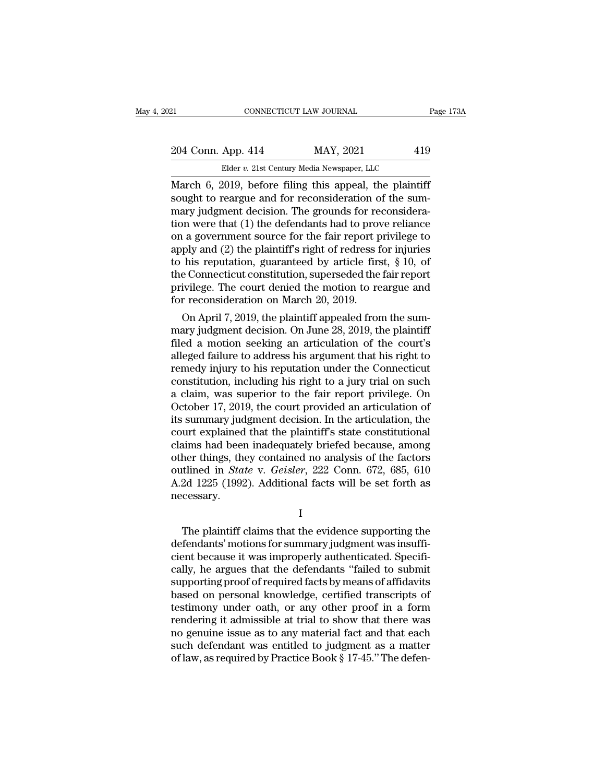| 21                                                     | CONNECTICUT LAW JOURNAL                    | Page 173A |
|--------------------------------------------------------|--------------------------------------------|-----------|
|                                                        |                                            |           |
| 204 Conn. App. 414                                     | MAY, 2021                                  | 419       |
|                                                        | Elder v. 21st Century Media Newspaper, LLC |           |
| March 6, 2019, before filing this anneal the plaintiff |                                            |           |

EXECTIVE CONNECTICUT LAW JOURNAL Page 1731<br>
204 Conn. App. 414 MAY, 2021 419<br>
Elder v. 21st Century Media Newspaper, LLC<br>
March 6, 2019, before filing this appeal, the plaintiff<br>
sought to reargue and for reconsideration o 204 Conn. App. 414 MAY, 2021 419<br>Elder v. 21st Century Media Newspaper, LLC<br>March 6, 2019, before filing this appeal, the plaintiff<br>sought to reargue and for reconsideration of the sum-<br>mary judgment decision. The grounds 204 Conn. App. 414 MAY, 2021 419<br>
Elder v. 21st Century Media Newspaper, LLC<br>
March 6, 2019, before filing this appeal, the plaintiff<br>
sought to reargue and for reconsideration of the sum-<br>
mary judgment decision. The gro 204 Conn. App. 414 MAY, 2021 419<br>Elder v. 21st Century Media Newspaper, LLC<br>March 6, 2019, before filing this appeal, the plaintiff<br>sought to reargue and for reconsideration of the sum-<br>mary judgment decision. The grounds Elder v. 21st Century Media Newspaper, LLC<br>March 6, 2019, before filing this appeal, the plaintiff<br>sought to reargue and for reconsideration of the sum-<br>mary judgment decision. The grounds for reconsidera-<br>tion were that Elder v. 21st Century Media Newspaper, LLC<br>
March 6, 2019, before filing this appeal, the plaintiff<br>
sought to reargue and for reconsideration of the sum-<br>
mary judgment decision. The grounds for reconsidera-<br>
tion were t March 6, 2019, before filing this appeal, the plaintiff<br>sought to reargue and for reconsideration of the sum-<br>mary judgment decision. The grounds for reconsidera-<br>tion were that (1) the defendants had to prove reliance<br>on sought to reargue and for reconsideration of the summary judgment decision. The grounds for reconsideration were that (1) the defendants had to prove reliance<br>on a government source for the fair report privilege to<br>apply a mary judgment decision. The grounds for reconsideration were that (1) the defendants had to prove reliance<br>on a government source for the fair report privilege to<br>apply and (2) the plaintiff's right of redress for injuries tion were that (1) the defendants had to prov<br>on a government source for the fair report p<br>apply and (2) the plaintiff's right of redress f<br>to his reputation, guaranteed by article firs<br>the Connecticut constitution, supers For a government source for the fair report privilege to<br>ply and (2) the plaintiff's right of redress for injuries<br>his reputation, guaranteed by article first,  $\S$  10, of<br>e Connecticut constitution, superseded the fair re apply and (2) the plaintiff stright of redress for injuries<br>to his reputation, guaranteed by article first, § 10, of<br>the Connecticut constitution, superseded the fair report<br>privilege. The court denied the motion to rearg

to his reputation, guaranteed by article first, § 10, of<br>the Connecticut constitution, superseded the fair report<br>privilege. The court denied the motion to reargue and<br>for reconsideration on March 20, 2019.<br>On April 7, 201 the Connecticut constitution, superseded the fair report<br>privilege. The court denied the motion to reargue and<br>for reconsideration on March 20, 2019.<br>On April 7, 2019, the plaintiff appealed from the sum-<br>mary judgment dec privilege. The court denied the motion to reargue and<br>for reconsideration on March 20, 2019.<br>On April 7, 2019, the plaintiff appealed from the sum-<br>mary judgment decision. On June 28, 2019, the plaintiff<br>filed a motion see for reconstaeration on march 20, 2019.<br>
On April 7, 2019, the plaintiff appealed from the summary judgment decision. On June 28, 2019, the plaintiff<br>
filed a motion seeking an articulation of the court's<br>
alleged failure t On April 7, 2019, the plaintiff appealed from the summary judgment decision. On June 28, 2019, the plaintiff<br>filed a motion seeking an articulation of the court's<br>alleged failure to address his argument that his right to<br>r mary judgment decision. On June 28, 2019, the plaintiff<br>filed a motion seeking an articulation of the court's<br>alleged failure to address his argument that his right to<br>remedy injury to his reputation under the Connecticut<br> filed a motion seeking an articulation of the court's<br>alleged failure to address his argument that his right to<br>remedy injury to his reputation under the Connecticut<br>constitution, including his right to a jury trial on suc alleged failure to address his argument that his right to<br>remedy injury to his reputation under the Connecticut<br>constitution, including his right to a jury trial on such<br>a claim, was superior to the fair report privilege. remedy injury to his reputation under the Connecticut<br>constitution, including his right to a jury trial on such<br>a claim, was superior to the fair report privilege. On<br>October 17, 2019, the court provided an articulation o constitution, including his right to a jury trial on such<br>a claim, was superior to the fair report privilege. On<br>October 17, 2019, the court provided an articulation of<br>its summary judgment decision. In the articulation, a claim, was superior to the fair report privilege. On<br>October 17, 2019, the court provided an articulation of<br>its summary judgment decision. In the articulation, the<br>court explained that the plaintiff's state constitution October 17, 2019, the court provided an articulation of<br>its summary judgment decision. In the articulation, the<br>court explained that the plaintiff's state constitutional<br>claims had been inadequately briefed because, among<br> necessary. the plantiff claims that the evidence supporting the factors<br>thined in *State* v. *Geisler*, 222 Conn. 672, 685, 610<br>2d 1225 (1992). Additional facts will be set forth as<br>cessary.<br>I<br>The plaintiff claims that the evidence s

I

outlined in *State* v. *Geisler*, 222 Conn. 672, 685, 610<br>A.2d 1225 (1992). Additional facts will be set forth as<br>necessary.<br>I<br>The plaintiff claims that the evidence supporting the<br>defendants' motions for summary judgment  $\rm A.2d\ 1225\ (1992).$  Additional facts will be set forth as<br>necessary.<br> $\rm I$ <br>The plaintiff claims that the evidence supporting the<br>defendants' motions for summary judgment was insuffi-<br>cient because it was improperly auth I<br>
The plaintiff claims that the evidence supporting the<br>
defendants' motions for summary judgment was insuffi-<br>
cient because it was improperly authenticated. Specifi-<br>
cally, he argues that the defendants "failed to subm I<br>
The plaintiff claims that the evidence supporting the<br>
defendants' motions for summary judgment was insuffi-<br>
cient because it was improperly authenticated. Specifi-<br>
cally, he argues that the defendants "failed to subm I<br>The plaintiff claims that the evidence supporting the<br>defendants' motions for summary judgment was insuffi-<br>cient because it was improperly authenticated. Specifi-<br>cally, he argues that the defendants "failed to submit<br>s The plaintiff claims that the evidence supporting the<br>defendants' motions for summary judgment was insuffi-<br>cient because it was improperly authenticated. Specifi-<br>cally, he argues that the defendants "failed to submit<br>sup defendants' motions for summary judgment was insufficient because it was improperly authenticated. Specifically, he argues that the defendants "failed to submit supporting proof of required facts by means of affidavits bas cient because it was improperly authenticated. Specifically, he argues that the defendants "failed to submit<br>supporting proof of required facts by means of affidavits<br>based on personal knowledge, certified transcripts of<br>t cally, he argues that the defendants "failed to submit<br>supporting proof of required facts by means of affidavits<br>based on personal knowledge, certified transcripts of<br>testimony under oath, or any other proof in a form<br>rend supporting proof of required facts by means of affidavits<br>based on personal knowledge, certified transcripts of<br>testimony under oath, or any other proof in a form<br>rendering it admissible at trial to show that there was<br>no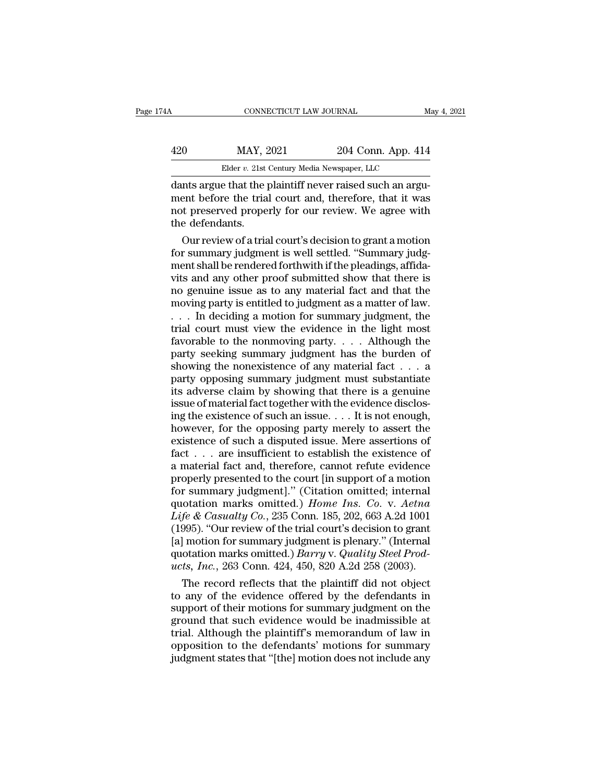## CONNECTICUT LAW JOURNAL May 4, 2021<br>
420 MAY, 2021 204 Conn. App. 414<br>
Elder v. 21st Century Media Newspaper, LLC CONNECTICUT LAW JOURNAL<br>MAY, 2021 204 Conn. App. 414<br>Elder *v.* 21st Century Media Newspaper, LLC<br>e that the plaintiff never raised such an argu

CONNECTICUT LAW JOURNAL<br>
420 MAY, 2021 204 Conn. App. 414<br>
Elder v. 21st Century Media Newspaper, LLC<br>
dants argue that the plaintiff never raised such an argu-<br>
ment before the trial court and, therefore, that it was MAY, 2021 204 Conn. App. 414<br>Elder v. 21st Century Media Newspaper, LLC<br>dants argue that the plaintiff never raised such an argu-<br>ment before the trial court and, therefore, that it was<br>not preserved properly for our revie  $\frac{\text{HAY, 2021}}{\text{Euler } v. 21 \text{st Century Media Newspaper, LLC}}$ <br>dants argue that the plaintiff never raised such an argument before the trial court and, therefore, that it was<br>not preserved properly for our review. We agree with<br>the defendants.  $\begin{array}{ll} \text{MAX, 2} \\ \text{Elder } v. \text{ 21st} \\ \text{dants argue that the }\text{I} \\ \text{ment before the tria} \\ \text{not preserved propee} \\ \text{the defendants.} \\ \text{Our review of a tria} \end{array}$ Elder v. 21st Century Media Newspaper, LLC<br>
Ints argue that the plaintiff never raised such an argu-<br>
ent before the trial court and, therefore, that it was<br>
t preserved properly for our review. We agree with<br>
e defendants For summary instanting the plaintiff never raised such an argument before the trial court and, therefore, that it was<br>not preserved properly for our review. We agree with<br>the defendants.<br>Our review of a trial court's decis

dants argue that the plaintiff never raised such an argument before the trial court and, therefore, that it was<br>not preserved properly for our review. We agree with<br>the defendants.<br>Our review of a trial court's decision to ment before the trial court and, therefore, that it was<br>not preserved properly for our review. We agree with<br>the defendants.<br>Our review of a trial court's decision to grant a motion<br>for summary judgment is well settled. "S not preserved properly for our review. We agree with<br>the defendants.<br>Our review of a trial court's decision to grant a motion<br>for summary judgment is well settled. "Summary judg-<br>ment shall be rendered forthwith if the ple the defendants.<br>
Our review of a trial court's decision to grant a motion<br>
for summary judgment is well settled. "Summary judg-<br>
ment shall be rendered forthwith if the pleadings, affida-<br>
vits and any other proof submitte Our review of a trial court's decision to grant a motion<br>for summary judgment is well settled. "Summary judg-<br>ment shall be rendered forthwith if the pleadings, affida-<br>vits and any other proof submitted show that there is for summary judgment is well settled. "Summary judgment shall be rendered forthwith if the pleadings, affidavits and any other proof submitted show that there is<br>no genuine issue as to any material fact and that the<br>movin ment shall be rendered forthwith if the pleadings, affidavits and any other proof submitted show that there is<br>no genuine issue as to any material fact and that the<br>moving party is entitled to judgment as a matter of law.<br> vits and any other proof submitted show that there is<br>no genuine issue as to any material fact and that the<br>moving party is entitled to judgment as a matter of law.<br> $\dots$  In deciding a motion for summary judgment, the<br>tria no genuine issue as to any material fact and that the<br>moving party is entitled to judgment as a matter of law.<br>... In deciding a motion for summary judgment, the<br>trial court must view the evidence in the light most<br>favora moving party is entitled to judgment as a matter of law.<br>  $\dots$  In deciding a motion for summary judgment, the<br>
trial court must view the evidence in the light most<br>
favorable to the nonmoving party.  $\dots$  Although the<br>
par ... In deciding a motion for summary judgment, the<br>trial court must view the evidence in the light most<br>favorable to the nonmoving party.... Although the<br>party seeking summary judgment has the burden of<br>showing the nonexi trial court must view the evidence in the light most<br>favorable to the nonmoving party.... Although the<br>party seeking summary judgment has the burden of<br>showing the nonexistence of any material fact ... a<br>party opposing su favorable to the nonmoving party. . . . . Although the party seeking summary judgment has the burden of showing the nonexistence of any material fact . . . a party opposing summary judgment must substantiate its adverse c party seeking summary judgment has the burden of showing the nonexistence of any material fact . . . a<br>party opposing summary judgment must substantiate<br>its adverse claim by showing that there is a genuine<br>issue of materi showing the nonexistence of any material fact  $\dots$  a<br>party opposing summary judgment must substantiate<br>its adverse claim by showing that there is a genuine<br>issue of material fact together with the evidence disclos-<br>ing th party opposing summary judgment must substantiate<br>its adverse claim by showing that there is a genuine<br>issue of material fact together with the evidence disclos-<br>ing the existence of such an issue.  $\dots$  It is not enough,<br> The state of material fact together with the evidence disclosing the existence of such an issue.  $\dots$  It is not enough, however, for the opposing party merely to assert the existence of such a disputed issue. Mere asserti issue of material fact together with the evidence disclosing the existence of such an issue.  $\dots$  It is not enough, however, for the opposing party merely to assert the existence of such a disputed issue. Mere assertions ing the existence of such an issue.... It is not enough,<br>however, for the opposing party merely to assert the<br>existence of such a disputed issue. Mere assertions of<br>fact ... are insufficient to establish the existence of<br> however, for the opposing party merely to assert the<br>existence of such a disputed issue. Mere assertions of<br>fact . . . are insufficient to establish the existence of<br>a material fact and, therefore, cannot refute evidence<br>p existence of such a disputed issue. Mere assertions of<br>fact . . . are insufficient to establish the existence of<br>a material fact and, therefore, cannot refute evidence<br>properly presented to the court [in support of a moti fact . . . are insufficient to establish the existence of<br>a material fact and, therefore, cannot refute evidence<br>properly presented to the court [in support of a motion<br>for summary judgment]." (Citation omitted; internal<br> a material fact and, therefore, cannot refute evidence<br>properly presented to the court [in support of a motion<br>for summary judgment]." (Citation omitted; internal<br>quotation marks omitted.) *Home Ins. Co.* v. *Aetna*<br> $Life & Cas$ properly presented to the court [in support of a motion<br>for summary judgment]." (Citation omitted; internal<br>quotation marks omitted.) *Home Ins. Co.* v. *Aetna<br>Life & Casualty Co.*, 235 Conn. 185, 202, 663 A.2d 1001<br>(1995) For summary judgment]." (Citation omitted; internal quotation marks omitted.) *Home Ins. Co. v. Aetna Life & Casualty Co.*, 235 Conn. 185, 202, 663 A.2d 1001 (1995). "Our review of the trial court's decision to grant [a] fe & Casualty Co., 235 Conn. 185, 202, 663 A.2d 1001<br>fe & Casualty Co., 235 Conn. 185, 202, 663 A.2d 1001<br>995). "Our review of the trial court's decision to grant<br>| motion for summary judgment is plenary." (Internal<br>otati Life & Casualty Co., 235 Conn. 185, 202, 663 A.2d 1001<br>(1995). "Our review of the trial court's decision to grant<br>[a] motion for summary judgment is plenary." (Internal<br>quotation marks omitted.) *Barry v. Quality Steel Pr* 

(1995). "Our review of the trial court's decision to grant<br>[a] motion for summary judgment is plenary." (Internal<br>quotation marks omitted.) *Barry* v. *Quality Steel Prod-<br>ucts, Inc.*, 263 Conn. 424, 450, 820 A.2d 258 (20 [a] motion for summary judgment is plenary." (Internal<br>quotation marks omitted.) *Barry* v. *Quality Steel Prod-<br>ucts, Inc.*, 263 Conn. 424, 450, 820 A.2d 258 (2003).<br>The record reflects that the plaintiff did not object<br> quotation marks omitted.) *Barry* v. *Quality Steel Prod-<br>ucts, Inc., 263 Conn. 424, 450, 820 A.2d 258 (2003).*<br>The record reflects that the plaintiff did not object<br>to any of the evidence offered by the defendants in<br>sup ucts, Inc., 263 Conn. 424, 450, 820 A.2d 258 (2003).<br>The record reflects that the plaintiff did not object<br>to any of the evidence offered by the defendants in<br>support of their motions for summary judgment on the<br>ground tha The record reflects that the plaintiff did not object<br>to any of the evidence offered by the defendants in<br>support of their motions for summary judgment on the<br>ground that such evidence would be inadmissible at<br>trial. Altho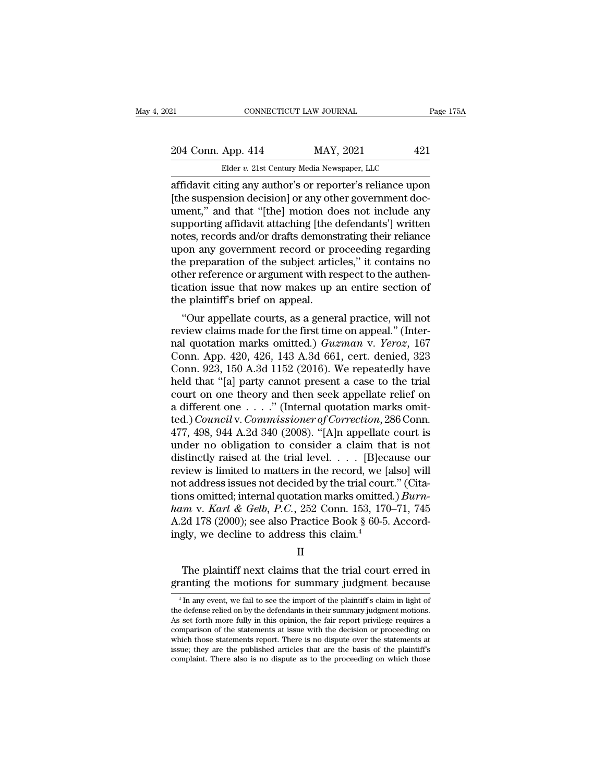## 21 CONNECTICUT LAW JOURNAL Page 175A<br>204 Conn. App. 414 MAY, 2021 421<br>Elder v. 21st Century Media Newspaper, LLC CONNECTICUT LAW JOURNAL<br>
App. 414 MAY, 2021 42<br>
Elder *v.* 21st Century Media Newspaper, LLC<br>
ting any author's or reporter's reliance upon

EXECTIVE CONNECTICUT LAW JOURNAL Page 175A<br>
204 Conn. App. 414 MAY, 2021 421<br>
Elder v. 21st Century Media Newspaper, LLC<br>
affidavit citing any author's or reporter's reliance upon<br>
[the suspension decision] or any other go 204 Conn. App. 414 MAY, 2021 421<br>Elder v. 21st Century Media Newspaper, LLC<br>affidavit citing any author's or reporter's reliance upon<br>[the suspension decision] or any other government doc-<br>ument," and that "[the] motion do 204 Conn. App. 414 MAY, 2021 421<br>
Elder v. 21st Century Media Newspaper, LLC<br>
affidavit citing any author's or reporter's reliance upon<br>
[the suspension decision] or any other government doc-<br>
ument," and that "[the] moti 204 Conn. App. 414 MAY, 2021 421<br>
Elder v. 21st Century Media Newspaper, LLC<br>
affidavit citing any author's or reporter's reliance upon<br>
[the suspension decision] or any other government doc-<br>
ument," and that "[the] moti Elder v. 21st Century Media Newspaper, LLC<br>
affidavit citing any author's or reporter's reliance upon<br>
[the suspension decision] or any other government doc-<br>
ument," and that "[the] motion does not include any<br>
supporting Elder v. 21st Century Media Newspaper, LLC<br>affidavit citing any author's or reporter's reliance upon<br>[the suspension decision] or any other government doc-<br>ument," and that "[the] motion does not include any<br>supporting aff affidavit citing any author's or reporter's reliance upon<br>[the suspension decision] or any other government doc-<br>ument," and that "[the] motion does not include any<br>supporting affidavit attaching [the defendants'] written<br> [the suspension decision] or any other government doc-<br>ument," and that "[the] motion does not include any<br>supporting affidavit attaching [the defendants'] written<br>notes, records and/or drafts demonstrating their reliance<br> ument," and that "[the] motion does not include any<br>supporting affidavit attaching [the defendants'] written<br>notes, records and/or drafts demonstrating their reliance<br>upon any government record or proceeding regarding<br>the supporting affidavit attaching [the cords, records and/or drafts demons<br>upon any government record or pr<br>the preparation of the subject artic<br>other reference or argument with re<br>tication issue that now makes up :<br>the plain tes, records and/or draits demonstrating their renance<br>on any government record or proceeding regarding<br>e preparation of the subject articles," it contains no<br>her reference or argument with respect to the authen-<br>ation iss upon any government record or proceeding regarding<br>the preparation of the subject articles," it contains no<br>other reference or argument with respect to the authen-<br>tication issue that now makes up an entire section of<br>the

the preparation of the subject articles, it contains no<br>other reference or argument with respect to the authen-<br>tication issue that now makes up an entire section of<br>the plaintiff's brief on appeal.<br>"Our appellate courts, other reference or argument with respect to the auther-<br>tication issue that now makes up an entire section of<br>the plaintiff's brief on appeal.<br>"Our appellate courts, as a general practice, will not<br>review claims made for tication issue that now makes up an entire section of<br>the plaintiff's brief on appeal.<br>"Our appellate courts, as a general practice, will not<br>review claims made for the first time on appeal." (Inter-<br>nal quotation marks o the plaintiff s brief on appear.<br>
"Our appellate courts, as a general practice, will not<br>
review claims made for the first time on appeal." (Inter-<br>
nal quotation marks omitted.)  $Guzman$  v.  $Yeroz$ , 167<br>
Conn. App. 420, 426, "Our appellate courts, as a general practice, will not<br>review claims made for the first time on appeal." (Inter-<br>nal quotation marks omitted.)  $Guzman$  v.  $Yeroz$ , 167<br>Conn. App. 420, 426, 143 A.3d 661, cert. denied, 323<br>Conn. review claims made for the first time on appeal." (Internal quotation marks omitted.)  $Guzman$  v. Yeroz, 167 Conn. App. 420, 426, 143 A.3d 661, cert. denied, 323 Conn. 923, 150 A.3d 1152 (2016). We repeatedly have held that nal quotation marks omitted.) *Guzman* v. *Yeroz*, 167<br>Conn. App. 420, 426, 143 A.3d 661, cert. denied, 323<br>Conn. 923, 150 A.3d 1152 (2016). We repeatedly have<br>held that "[a] party cannot present a case to the trial<br>court Conn. App. 420, 426, 143 A.3d 661, cert. denied, 323<br>Conn. 923, 150 A.3d 1152 (2016). We repeatedly have<br>held that "[a] party cannot present a case to the trial<br>court on one theory and then seek appellate relief on<br>a diff Conn. 923, 150 A.3d 1152 (2016). We repeatedly have<br>held that "[a] party cannot present a case to the trial<br>court on one theory and then seek appellate relief on<br>a different one . . . . " (Internal quotation marks omit-<br>t held that "[a] party cannot present a case to the trial<br>court on one theory and then seek appellate relief on<br>a different one . . . ." (Internal quotation marks omit-<br>ted.) *Council* v. *Commissioner of Correction*, 286 C court on one theory and then seek appellate relief on<br>a different one . . . ." (Internal quotation marks omit-<br>ted.) *Council* v. *Commissioner of Correction*, 286 Conn.<br>477, 498, 944 A.2d 340 (2008). "[A]n appellate cour a different one . . . ." (Internal quotation marks omitted.) *Council* v. *Commissioner of Correction*, 286 Conn. 477, 498, 944 A.2d 340 (2008). "[A]n appellate court is under no obligation to consider a claim that is not ted.) *Council* v. *Commissioner of Correction*, 286 Conn.<br>477, 498, 944 A.2d 340 (2008). "[A]n appellate court is<br>under no obligation to consider a claim that is not<br>distinctly raised at the trial level. . . . [B]ecause o 477, 498, 944 A.2d 340 (2008). "[A]n appellate court is<br>
under no obligation to consider a claim that is not<br>
distinctly raised at the trial level. . . . [B]ecause our<br>
review is limited to matters in the record, we [also] under no obligation to consider a claim that is not distinctly raised at the trial level. . . . [B]ecause our review is limited to matters in the record, we [also] will not address issues not decided by the trial court." distinctly raised at the trial level. . . . . [B]ecareview is limited to matters in the record, we [and address issues not decided by the trial courtions omitted; internal quotation marks omitted ham v. Karl & Gelb, P.C., by point of the plaintiff next claims that the trial court erred in anting the motions for summary judgment because<br>that the trial court erred in anting the motions for summary judgment because ham v. Karl & Gelb, P.C., 252 Conn. 153, 170–71, 745<br>A.2d 178 (2000); see also Practice Book § 60-5. Accordingly, we decline to address this claim.<sup>4</sup><br>II<br>The plaintiff next claims that the trial court erred in<br>granting th

### II

II<br>The plaintiff next claims that the trial court erred in<br>canting the motions for summary judgment because<br><sup>4</sup>In any event, we fail to see the import of the plaintiff's claim in light of<br>e defense relied on by the defenda II<br>The plaintiff next claims that the trial court erred in<br>granting the motions for summary judgment because<br><sup>4</sup> In any event, we fail to see the import of the plaintiff's claim in light of<br>the defense relied on by the def The plaintiff next claims that the trial court erred in granting the motions for summary judgment because  $\frac{4 \text{ In any event, we fail to see the import of the plaintiff's claim in light of the defense relied on by the defendants in their summary judgment motions. As set forth more fully in this opinion, the fair report private requires a comparison of the statements at issue with the decision or proceeding on the same dataset.$ The plaintiff flext claims that the trial court erred in<br>granting the motions for summary judgment because<br> $\frac{4 \text{ In any event, we fail to see the import of the plaintexts claim in light of the defense relied on by the defendants in their summary judgment motions. As set forth more fully in this opinion, the fair report, the given the statements of the statements at issue with the decision or proceeding on which those statements report. There is no dispute over the statements at the other hand, the statement is a specific result.$ granting the motions for summary judgment because<br>  $\frac{4 \text{ In any event, we fail to see the import of the plaintiff's claim in light of the defense relied on by the defendants in their summary judgment motions. As set forth more fully in this opinion, the fair report the prize requires a comparison of the statements at issue with the decision or proceeding on which those statements report. There is no dispute over the statements at issue; they are the published articles that are the basis of the plaintiff's$ <sup>4</sup> In any event, we fail to see the import of the plaintiff's claim in light of the defense relied on by the defendants in their summary judgment motions. As set forth more fully in this opinion, the fair report privileg <sup>4</sup> In any event, we fail to see the import of the plaintiff's claim in light of the defense relied on by the defendants in their summary judgment motions. As set forth more fully in this opinion, the fair report privileg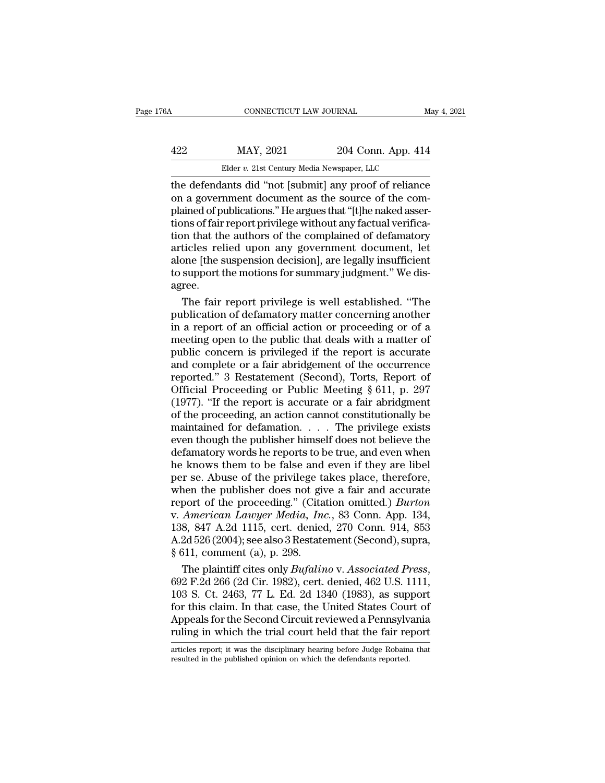|           |                    | May 4, 2021                                                                                                                     |
|-----------|--------------------|---------------------------------------------------------------------------------------------------------------------------------|
| MAY, 2021 | 204 Conn. App. 414 |                                                                                                                                 |
|           |                    |                                                                                                                                 |
|           |                    | CONNECTICUT LAW JOURNAL<br>Elder v. 21st Century Media Newspaper, LLC<br>the defendants did "not [submit] any proof of reliance |

CONNECTICUT LAW JOURNAL May 4, 2021<br>
422 MAY, 2021 204 Conn. App. 414<br>
Elder v. 21st Century Media Newspaper, LLC<br>
the defendants did "not [submit] any proof of reliance<br>
on a government document as the source of the com-<br> MAY, 2021 204 Conn. App. 414<br>Elder v. 21st Century Media Newspaper, LLC<br>the defendants did "not [submit] any proof of reliance<br>on a government document as the source of the com-<br>plained of publications." He argues that "[t  $\frac{422}{\text{Elder } v. 21 \text{st Century Media Newspaper, LLC}}$ <br>
Elder v. 21st Century Media Newspaper, LLC<br>
the defendants did "not [submit] any proof of reliance<br>
on a government document as the source of the com-<br>
plained of publications." He argue  $\frac{422}{\text{Elder } v. 21 \times \text{Century Media Newspaper, LLC}}$ <br>
Elder  $v. 21 \times \text{Century Media Newspaper, LLC}$ <br>
the defendants did "not [submit] any proof of reliance<br>
on a government document as the source of the com-<br>
plained of publications." He argues that "[t]he na Elder v. 21st Century Media Newspaper, LLC<br>
the defendants did "not [submit] any proof of reliance<br>
on a government document as the source of the com-<br>
plained of publications." He argues that "[t]he naked asser-<br>
tions o Elder v. 21st Century Media Newspaper, LLC<br>the defendants did "not [submit] any proof of reliance<br>on a government document as the source of the com-<br>plained of publications." He argues that "[t]he naked asser-<br>tions of fa the defendants did "not [submit] any proof of reliance<br>on a government document as the source of the com-<br>plained of publications." He argues that "[t]he naked asser-<br>tions of fair report privilege without any factual veri on a government document as the source of the complained of publications." He argues that "[t]he naked assertions of fair report privilege without any factual verification that the authors of the complained of defamatory a agree. in that the authors of the complained of defamatory<br>in that the authors of the complained of defamatory<br>ticles relied upon any government document, let<br>one [the suspension decision], are legally insufficient<br>support the mo tion that the authors of the complained of defamatory<br>articles relied upon any government document, let<br>alone [the suspension decision], are legally insufficient<br>to support the motions for summary judgment." We dis-<br>agree.

articles relied upon any government document, let<br>alone [the suspension decision], are legally insufficient<br>to support the motions for summary judgment." We dis-<br>agree.<br>The fair report privilege is well established. "The<br>p alone [the suspension decision], are legally insufficient<br>to support the motions for summary judgment." We dis-<br>agree.<br>The fair report privilege is well established. "The<br>publication of defamatory matter concerning another to support the motions for summary judgment." We disagree.<br>
The fair report privilege is well established. "The<br>
publication of defamatory matter concerning another<br>
in a report of an official action or proceeding or of a<br> agree.<br>
The fair report privilege is well established. "The<br>
publication of defamatory matter concerning another<br>
in a report of an official action or proceeding or of a<br>
meeting open to the public that deals with a matter The fair report privilege is well established. "The<br>publication of defamatory matter concerning another<br>in a report of an official action or proceeding or of a<br>meeting open to the public that deals with a matter of<br>public publication of defamatory matter concerning another<br>in a report of an official action or proceeding or of a<br>meeting open to the public that deals with a matter of<br>public concern is privileged if the report is accurate<br>and in a report of an official action or proceeding or of a<br>meeting open to the public that deals with a matter of<br>public concern is privileged if the report is accurate<br>and complete or a fair abridgement of the occurrence<br>re meeting open to the public that deals with a matter of<br>public concern is privileged if the report is accurate<br>and complete or a fair abridgement of the occurrence<br>reported." 3 Restatement (Second), Torts, Report of<br>Officia public concern is privileged if the report is accurate<br>and complete or a fair abridgement of the occurrence<br>reported." 3 Restatement (Second), Torts, Report of<br>Official Proceeding or Public Meeting § 611, p. 297<br>(1977). "I and complete or a fair abridgement of the occurrence<br>reported." 3 Restatement (Second), Torts, Report of<br>Official Proceeding or Public Meeting § 611, p. 297<br>(1977). "If the report is accurate or a fair abridgment<br>of the p reported." 3 Restatement (Second), Torts, Report of<br>Official Proceeding or Public Meeting § 611, p. 297<br>(1977). "If the report is accurate or a fair abridgment<br>of the proceeding, an action cannot constitutionally be<br>mainta Official Proceeding or Public Meeting  $\S 611$ , p. 297<br>(1977). "If the report is accurate or a fair abridgment<br>of the proceeding, an action cannot constitutionally be<br>maintained for defamation. . . . The privilege exists<br>e (1977). "If the report is accurate or a fair abridgment<br>of the proceeding, an action cannot constitutionally be<br>maintained for defamation. . . . . The privilege exists<br>even though the publisher himself does not believe th of the proceeding, an action cannot constitutionally be<br>maintained for defamation. . . . The privilege exists<br>even though the publisher himself does not believe the<br>defamatory words he reports to be true, and even when<br>he maintained for defamation..... The privilege exists<br>even though the publisher himself does not believe the<br>defamatory words he reports to be true, and even when<br>he knows them to be false and even if they are libel<br>per se. even though the publisher himself does not believe the<br>defamatory words he reports to be true, and even when<br>he knows them to be false and even if they are libel<br>per se. Abuse of the privilege takes place, therefore,<br>when defamatory words he reports to be true, and even when<br>he knows them to be false and even if they are libel<br>per se. Abuse of the privilege takes place, therefore,<br>when the publisher does not give a fair and accurate<br>report he knows them to be false and even if they are libel<br>per se. Abuse of the privilege takes place, therefore,<br>when the publisher does not give a fair and accurate<br>report of the proceeding." (Citation omitted.) *Burton*<br>v. Am per se. Abuse of the privilege takes place, therefore, when the publisher does not give a fair and accurate report of the proceeding." (Citation omitted.) *Burton* v. *American Lawyer Media*, *Inc.*, 83 Conn. App. 134, 13 when the publisher does not give a fair and accurate<br>report of the proceeding." (Citation omitted.) *Burton*<br>v. *American Lawyer Media, Inc.*, 83 Conn. App. 134,<br>138, 847 A.2d 1115, cert. denied, 270 Conn. 914, 853<br>A.2d 52

v. *American Lawyer Media, Inc.*, 83 Conn. App. 134,<br>138, 847 A.2d 1115, cert. denied, 270 Conn. 914, 853<br>A.2d 526 (2004); see also 3 Restatement (Second), supra,<br>§ 611, comment (a), p. 298.<br>The plaintiff cites only *Bufal* 138, 847 A.2d 1115, cert. denied, 270 Conn. 914, 853<br>A.2d 526 (2004); see also 3 Restatement (Second), supra,<br>§ 611, comment (a), p. 298.<br>The plaintiff cites only *Bufalino* v. Associated Press,<br>692 F.2d 266 (2d Cir. 1982 A.2d 526 (2004); see also 3 Restatement (Second), supra,<br>§ 611, comment (a), p. 298.<br>The plaintiff cites only *Bufalino* v. Associated Press,<br>692 F.2d 266 (2d Cir. 1982), cert. denied, 462 U.S. 1111,<br>103 S. Ct. 2463, 77 L. § 611, comment (a), p. 298.<br>The plaintiff cites only *Bufalino* v. Associated Press, 692 F.2d 266 (2d Cir. 1982), cert. denied, 462 U.S. 1111, 103 S. Ct. 2463, 77 L. Ed. 2d 1340 (1983), as support for this claim. In that c 103 S. Ct. 2463, 77 L. Ed. 2d 1340 (1983), as support<br>for this claim. In that case, the United States Court of<br>Appeals for the Second Circuit reviewed a Pennsylvania<br>ruling in which the trial court held that the fair repor for this claim. In that case, the United States Cour<br>Appeals for the Second Circuit reviewed a Pennsylv<br>ruling in which the trial court held that the fair re<br>articles report; it was the disciplinary hearing before Judge Ro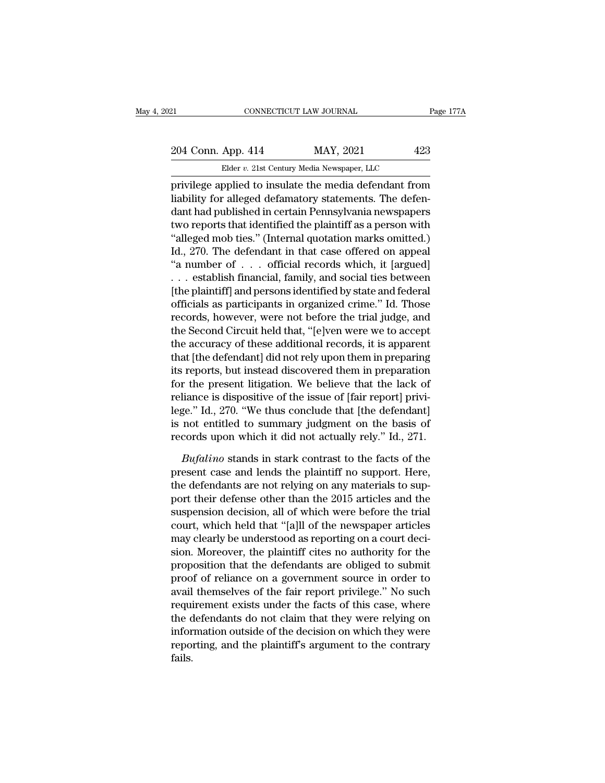CONNECTICUT LAW JOURNAL<br>
App. 414 MAY, 2021 42;<br>
Elder *v.* 21st Century Media Newspaper, LLC<br>
pplied to insulate the media defendant from Page 177A<br>
204 Conn. App. 414 MAY, 2021 423<br>
Elder v. 21st Century Media Newspaper, LLC<br>
privilege applied to insulate the media defendant from<br>
liability for alleged defamatory statements. The defen-204 Conn. App. 414 MAY, 2021 423<br>Elder v. 21st Century Media Newspaper, LLC<br>privilege applied to insulate the media defendant from<br>liability for alleged defamatory statements. The defen-<br>dant had published in certain Penns 204 Conn. App. 414 MAY, 2021 423<br>
Elder v. 21st Century Media Newspaper, LLC<br>
privilege applied to insulate the media defendant from<br>
liability for alleged defamatory statements. The defen-<br>
dant had published in certain 204 Conn. App. 414 MAY, 2021 423<br>
Elder v. 21st Century Media Newspaper, LLC<br>
privilege applied to insulate the media defendant from<br>
liability for alleged defamatory statements. The defen-<br>
dant had published in certain Elder v. 21st Century Media Newspaper, LLC<br>
privilege applied to insulate the media defendant from<br>
liability for alleged defamatory statements. The defen-<br>
dant had published in certain Pennsylvania newspapers<br>
two report Ender b. 21st Century media Newspaper, ELC<br>
privilege applied to insulate the media defendant from<br>
liability for alleged defamatory statements. The defen-<br>
dant had published in certain Pennsylvania newspapers<br>
two repor privilege applied to insulate the media defendant from<br>liability for alleged defamatory statements. The defen-<br>dant had published in certain Pennsylvania newspapers<br>two reports that identified the plaintiff as a person wit liability for alleged defamatory statements. The defen-<br>dant had published in certain Pennsylvania newspapers<br>two reports that identified the plaintiff as a person with<br>"alleged mob ties." (Internal quotation marks omitted dant had published in certain Pennsylvania newspapers<br>two reports that identified the plaintiff as a person with<br>"alleged mob ties." (Internal quotation marks omitted.)<br>Id., 270. The defendant in that case offered on appea two reports that identified the plaintiff as a person with<br>
"alleged mob ties." (Internal quotation marks omitted.)<br>
Id., 270. The defendant in that case offered on appeal<br>
"a number of . . . official records which, it [ar "alleged mob ties." (Internal quotation marks omitted.)<br>Id., 270. The defendant in that case offered on appeal<br>"a number of . . . official records which, it [argued]<br>. . . establish financial, family, and social ties betwe Id., 270. The defendant in that case offered on appeal<br>"a number of . . . official records which, it [argued]<br>. . . establish financial, family, and social ties between<br>[the plaintiff] and persons identified by state and f "a number of  $\ldots$  official records which, it [argued]<br> $\ldots$  establish financial, family, and social ties between<br>[the plaintiff] and persons identified by state and federal<br>officials as participants in organized crime." ... establish financial, family, and social ties between<br>[the plaintiff] and persons identified by state and federal<br>officials as participants in organized crime." Id. Those<br>records, however, were not before the trial judg [the plaintiff] and persons identified by state and federal<br>officials as participants in organized crime." Id. Those<br>records, however, were not before the trial judge, and<br>the Second Circuit held that, "[e]ven were we to a officials as participants in organized crime." Id. Those<br>records, however, were not before the trial judge, and<br>the Second Circuit held that, "[e]ven were we to accept<br>the accuracy of these additional records, it is appare records, however, were not before the trial judge, and<br>the Second Circuit held that, "[e]ven were we to accept<br>the accuracy of these additional records, it is apparent<br>that [the defendant] did not rely upon them in prepara the Second Circuit held that, "[e]ven were we to accept<br>the accuracy of these additional records, it is apparent<br>that [the defendant] did not rely upon them in preparation<br>its reports, but instead discovered them in prepar the accuracy of these additional records, it is apparent<br>that [the defendant] did not rely upon them in preparing<br>its reports, but instead discovered them in preparation<br>for the present litigation. We believe that the lack that [the defendant] did not rely upon them in preparing<br>its reports, but instead discovered them in preparation<br>for the present litigation. We believe that the lack of<br>reliance is dispositive of the issue of [fair report] *Bufalino* stark in the lack of the interest that the lack of the interest in stark contrast of [fair report] privi-<br>ge." Id., 270. "We thus conclude that [the defendant]<br>not entitled to summary judgment on the basis of<br>co reliance is dispositive of the issue of [fair report] privi-<br>lege." Id., 270. "We thus conclude that [the defendant]<br>is not entitled to summary judgment on the basis of<br>records upon which it did not actually rely." Id., 27

lege." Id., 270. "We thus conclude that [the defendant]<br>is not entitled to summary judgment on the basis of<br>records upon which it did not actually rely." Id., 271.<br>*Bufalino* stands in stark contrast to the facts of the<br>pr is not entitled to summary judgment on the basis of<br>records upon which it did not actually rely." Id., 271.<br>*Bufalino* stands in stark contrast to the facts of the<br>present case and lends the plaintiff no support. Here,<br>the records upon which it did not actually rely." Id., 271.<br> *Bufalino* stands in stark contrast to the facts of the<br>
present case and lends the plaintiff no support. Here,<br>
the defendants are not relying on any materials to s Bufalino stands in stark contrast to the facts of the<br>present case and lends the plaintiff no support. Here,<br>the defendants are not relying on any materials to sup-<br>port their defense other than the 2015 articles and the<br>s *Bufalino* stands in stark contrast to the facts of the present case and lends the plaintiff no support. Here, the defendants are not relying on any materials to support their defense other than the 2015 articles and the s present case and lends the plaintiff no support. Here,<br>the defendants are not relying on any materials to sup-<br>port their defense other than the 2015 articles and the<br>suspension decision, all of which were before the trial the defendants are not relying on any materials to support their defense other than the 2015 articles and the suspension decision, all of which were before the trial court, which held that "[a]ll of the newspaper articles port their defense other than the 2015 articles and the<br>suspension decision, all of which were before the trial<br>court, which held that "[a]ll of the newspaper articles<br>may clearly be understood as reporting on a court deci suspension decision, all of which were before the trial<br>court, which held that "[a]ll of the newspaper articles<br>may clearly be understood as reporting on a court deci-<br>sion. Moreover, the plaintiff cites no authority for t court, which held that "[a]II of the newspaper articles<br>may clearly be understood as reporting on a court deci-<br>sion. Moreover, the plaintiff cites no authority for the<br>proposition that the defendants are obliged to submit may clearly be understood as reporting on a court decision. Moreover, the plaintiff cites no authority for the<br>proposition that the defendants are obliged to submit<br>proof of reliance on a government source in order to<br>avai sion. Moreover, the plaintiff cites no authority for the<br>proposition that the defendants are obliged to submit<br>proof of reliance on a government source in order to<br>avail themselves of the fair report privilege." No such<br>re proposition that the defendants are obliged to submit<br>proof of reliance on a government source in order to<br>avail themselves of the fair report privilege." No such<br>requirement exists under the facts of this case, where<br>the fails.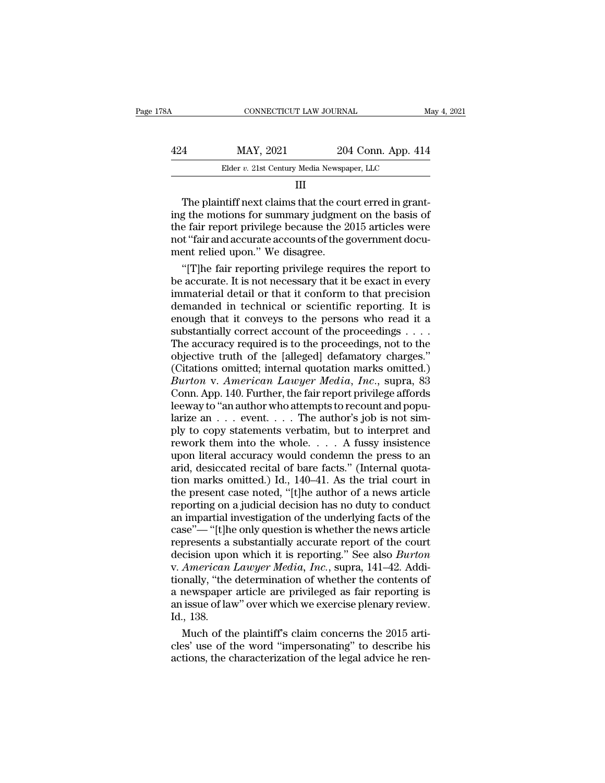| 78A | CONNECTICUT LAW JOURNAL                    |                    | May 4, 2021 |
|-----|--------------------------------------------|--------------------|-------------|
| 424 | MAY, 2021                                  | 204 Conn. App. 414 |             |
|     | Elder v. 21st Century Media Newspaper, LLC |                    |             |
|     | Ш                                          |                    |             |

### III

 $\frac{424}{\text{Elder } v. 21 \text{st } \text{Century Media Newspaper, LLC}}$ <br>  $\frac{114}{\text{III}}$ <br>
The plaintiff next claims that the court erred in granting the motions for summary judgment on the basis of the fair report privilege because the 2015 articles were n  $\begin{array}{r} \text{424}\qquad \text{MAX, } 2021 \qquad \text{204 Conn. App. 414}\ \text{Elder } v. \text{ 21st Century Media Newspaper, LLC} \qquad \qquad \text{III} \end{array}$ <br>
The plaintiff next claims that the court erred in granting the motions for summary judgment on the basis of the fair report privilege Elder v. 21st Century Media Newspaper, LLC<br>
III<br>
The plaintiff next claims that the court erred in grant-<br>
ing the motions for summary judgment on the basis of<br>
the fair report privilege because the 2015 articles were<br>
not ment of the plaintiff next claims that the couring the motions for summary judgment<br>the fair report privilege because the 2 not "fair and accurate accounts of the g<br>ment relied upon." We disagree.<br>"[T]he fair reporting pri The plaintiff next claims that the court erred in grant-<br>g the motions for summary judgment on the basis of<br>e fair report privilege because the 2015 articles were<br>t"fair and accurate accounts of the government docu-<br>ent re The plaintiff next claims that the court erred in grant-<br>ing the motions for summary judgment on the basis of<br>the fair report privilege because the 2015 articles were<br>not "fair and accurate accounts of the government docu-

ing the motions for summary judgment on the basis of<br>the fair report privilege because the 2015 articles were<br>not "fair and accurate accounts of the government docu-<br>ment relied upon." We disagree.<br>"[T]he fair reporting pr the fair report privilege because the 2015 articles were<br>not "fair and accurate accounts of the government docu-<br>ment relied upon." We disagree.<br>"[T]he fair reporting privilege requires the report to<br>be accurate. It is not not "fair and accurate accounts of the government document relied upon." We disagree.<br>
"[T]he fair reporting privilege requires the report to<br>
be accurate. It is not necessary that it be exact in every<br>
immaterial detail o ment relied upon." We disagree.<br>
"[T]he fair reporting privilege requires the report to<br>
be accurate. It is not necessary that it be exact in every<br>
immaterial detail or that it conform to that precision<br>
demanded in techn "[T]he fair reporting privilege requires the report to<br>be accurate. It is not necessary that it be exact in every<br>immaterial detail or that it conform to that precision<br>demanded in technical or scientific reporting. It is be accurate. It is not necessary that it be exact in every<br>immaterial detail or that it conform to that precision<br>demanded in technical or scientific reporting. It is<br>enough that it conveys to the persons who read it a<br>su immaterial detail or that it conform to that precision<br>demanded in technical or scientific reporting. It is<br>enough that it conveys to the persons who read it a<br>substantially correct account of the proceedings, not to the<br>o demanded in technical or scientific reporting. It is<br>enough that it conveys to the persons who read it a<br>substantially correct account of the proceedings . . . .<br>The accuracy required is to the proceedings, not to the<br>obje enough that it conveys to the persons who read it a<br>substantially correct account of the proceedings . . . .<br>The accuracy required is to the proceedings, not to the<br>objective truth of the [alleged] defamatory charges."<br>(C substantially correct account of the proceedings . . . . . The accuracy required is to the proceedings, not to the objective truth of the [alleged] defamatory charges."<br>(Citations omitted; internal quotation marks omitted The accuracy required is to the proceedings, not to the objective truth of the [alleged] defamatory charges."<br>(Citations omitted; internal quotation marks omitted.)<br> $Burton$  v. American Lawyer Media, Inc., supra, 83<br>Conn. App objective truth of the [alleged] defamatory charges."<br>(Citations omitted; internal quotation marks omitted.)<br> *Burton* v. *American Lawyer Media, Inc.*, supra, 83<br>
Conn. App. 140. Further, the fair report privilege afford (Citations omitted; internal quotation marks omitted.)<br> *Burton v. American Lawyer Media, Inc.*, supra, 83<br>
Conn. App. 140. Further, the fair report privilege affords<br>
leeway to "an author who attempts to recount and popu Burton v. American Lawyer Media, Inc., supra, 83<br>Conn. App. 140. Further, the fair report privilege affords<br>leeway to "an author who attempts to recount and popu-<br>larize an  $\dots$  event.  $\dots$  The author's job is not sim-<br>pl Conn. App. 140. Further, the fair report privilege affords<br>leeway to "an author who attempts to recount and popularize an  $\dots$  event.  $\dots$  The author's job is not sim-<br>ply to copy statements verbatim, but to interpret and leeway to "an author who attempts to recount and popularize an  $\dots$  event.  $\dots$  The author's job is not simply to copy statements verbatim, but to interpret and rework them into the whole.  $\dots$  A fussy insistence upon lit larize an  $\ldots$  event  $\ldots$ . The author's job is not simply to copy statements verbatim, but to interpret and rework them into the whole.  $\ldots$  A fussy insistence upon literal accuracy would condemn the press to an arid, ply to copy statements verbatim, but to interpret and<br>rework them into the whole. . . . A fussy insistence<br>upon literal accuracy would condemn the press to an<br>arid, desiccated recital of bare facts." (Internal quota-<br>tion rework them into the whole. . . . A fussy insistence<br>upon literal accuracy would condemn the press to an<br>arid, desiccated recital of bare facts." (Internal quota-<br>tion marks omitted.) Id., 140–41. As the trial court in<br>th upon literal accuracy would condemn the press to an<br>arid, desiccated recital of bare facts." (Internal quota-<br>tion marks omitted.) Id., 140–41. As the trial court in<br>the present case noted, "[t]he author of a news article<br> arid, desiccated recital of bare facts." (Internal quotation marks omitted.) Id., 140–41. As the trial court in the present case noted, "[t]he author of a news article reporting on a judicial decision has no duty to condu tion marks omitted.) Id., 140–41. As the trial court in<br>the present case noted, "[t]he author of a news article<br>reporting on a judicial decision has no duty to conduct<br>an impartial investigation of the underlying facts of the present case noted, "[t]he author of a news article<br>reporting on a judicial decision has no duty to conduct<br>an impartial investigation of the underlying facts of the<br>case"—"[t]he only question is whether the news artic reporting on a judicial decision has no duty to conduct<br>an impartial investigation of the underlying facts of the<br>case"—"[t]he only question is whether the news article<br>represents a substantially accurate report of the cou an impartial investigation of the underlying facts of the<br>case"—"[t]he only question is whether the news article<br>represents a substantially accurate report of the court<br>decision upon which it is reporting." See also *Burto* case"— "[t]he only question is whether the news article<br>represents a substantially accurate report of the court<br>decision upon which it is reporting." See also *Burton*<br>v. American Lawyer Media, Inc., supra, 141–42. Addi-<br>t represents a<br>decision upo<br>v. American<br>tionally, "the<br>a newspaper<br>an issue of lav<br>Id., 138.<br>Much of th cision upon which it is reporting." See also *Burton*<br>American Lawyer Media, Inc., supra, 141–42. Addi-<br>mally, "the determination of whether the contents of<br>newspaper article are privileged as fair reporting is<br>issue of la v. American Lawyer Media, Inc., supra, 141–42. Additionally, "the determination of whether the contents of a newspaper article are privileged as fair reporting is an issue of law" over which we exercise plenary review.<br>Id. tionally, "the determination of whether the contents of<br>a newspaper article are privileged as fair reporting is<br>an issue of law" over which we exercise plenary review.<br>Id., 138.<br>Much of the plaintiff's claim concerns the 2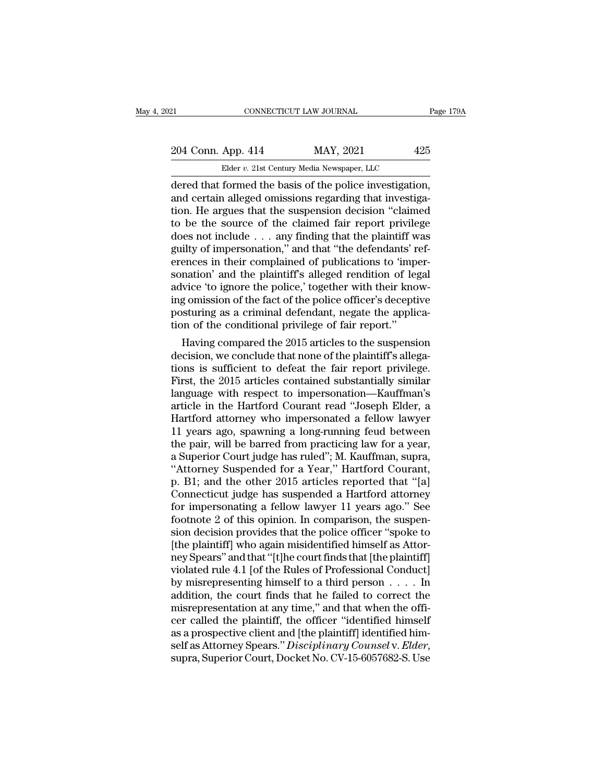Example 2014 Conn. App. 414 MAY, 2021 Page 17<br>
204 Conn. App. 414 MAY, 2021 425<br>
Elder v. 21st Century Media Newspaper, LLC<br>
dered that formed the basis of the police investigation,<br>
and certain alleged omissions regarding 204 Conn. App. 414 MAY, 2021 425<br>Elder v. 21st Century Media Newspaper, LLC<br>dered that formed the basis of the police investigation,<br>and certain alleged omissions regarding that investiga-<br>tion. He argues that the suspensi 204 Conn. App. 414 MAY, 2021 425<br>
Elder v. 21st Century Media Newspaper, LLC<br>
dered that formed the basis of the police investigation,<br>
and certain alleged omissions regarding that investiga-<br>
tion. He argues that the sus 204 Conn. App. 414 MAY, 2021 425<br>
Elder v. 21st Century Media Newspaper, LLC<br>
dered that formed the basis of the police investigation,<br>
and certain alleged omissions regarding that investiga-<br>
tion. He argues that the sus Elder v. 21st Century Media Newspaper, LLC<br>
dered that formed the basis of the police investigation,<br>
and certain alleged omissions regarding that investiga-<br>
tion. He argues that the suspension decision "claimed<br>
to be t Elder v. 21st Century Media Newspaper, LLC<br>dered that formed the basis of the police investigation,<br>and certain alleged omissions regarding that investiga-<br>tion. He argues that the suspension decision "claimed<br>to be the s dered that formed the basis of the police investigation,<br>and certain alleged omissions regarding that investiga-<br>tion. He argues that the suspension decision "claimed<br>to be the source of the claimed fair report privilege<br>d and certain alleged omissions regarding that investigation. He argues that the suspension decision "claimed<br>to be the source of the claimed fair report privilege<br>does not include . . . any finding that the plaintiff was<br>gu tion. He argues that the suspension decision "claimed<br>to be the source of the claimed fair report privilege<br>does not include  $\ldots$  any finding that the plaintiff was<br>guilty of impersonation," and that "the defendants' ref to be the source of the claimed fair report privilege<br>does not include  $\ldots$  any finding that the plaintiff was<br>guilty of impersonation," and that "the defendants' ref-<br>erences in their complained of publications to 'impe does not include  $\ldots$  any finding that the plaintiff was guilty of impersonation," and that "the defendants' references in their complained of publications to 'impersonation' and the plaintiff's alleged rendition of lega guilty of impersonation," and that "the defendants' revences in their complained of publications to 'impersonation' and the plaintiff's alleged rendition of legadvice 'to ignore the police,' together with their knowing omi ences in their complained or publications to imper-<br>nation' and the plaintiff's alleged rendition of legal<br>vice 'to ignore the police,' together with their know-<br>g omission of the fact of the police officer's deceptive<br>stu sonation and the plaintiff's alleged rendition of legal<br>advice 'to ignore the police,' together with their know-<br>ing omission of the fact of the police officer's deceptive<br>posturing as a criminal defendant, negate the appl

advice to ignore the police, together with their knowing omission of the fact of the police officer's deceptive<br>posturing as a criminal defendant, negate the application of the conditional privilege of fair report."<br>Having Ing omission of the fact of the police officers acceptive<br>posturing as a criminal defendant, negate the applica-<br>tion of the conditional privilege of fair report."<br>Having compared the 2015 articles to the suspension<br>decisi posturing as a criminal detendant, negate the application of the conditional privilege of fair report."<br>Having compared the 2015 articles to the suspension<br>decision, we conclude that none of the plaintiff's allega-<br>tions i tion of the conditional privilege of fair report."<br>
Having compared the 2015 articles to the suspension<br>
decision, we conclude that none of the plaintiff's allega-<br>
tions is sufficient to defeat the fair report privilege.<br> Having compared the 2015 articles to the suspension<br>decision, we conclude that none of the plaintiff's allega-<br>tions is sufficient to defeat the fair report privilege.<br>First, the 2015 articles contained substantially simil decision, we conclude that none of the plaintiff's allegations is sufficient to defeat the fair report privilege.<br>First, the 2015 articles contained substantially similar<br>language with respect to impersonation—Kauffman's<br>a tions is sufficient to defeat the fair report privilege.<br>First, the 2015 articles contained substantially similar<br>language with respect to impersonation—Kauffman's<br>article in the Hartford Courant read "Joseph Elder, a<br>Hart First, the 2015 articles contained substantially similar<br>language with respect to impersonation—Kauffman's<br>article in the Hartford Courant read "Joseph Elder, a<br>Hartford attorney who impersonated a fellow lawyer<br>11 years a language with respect to impersonation—Kauffman's<br>article in the Hartford Courant read "Joseph Elder, a<br>Hartford attorney who impersonated a fellow lawyer<br>11 years ago, spawning a long-running feud between<br>the pair, will b article in the Hartford Courant read "Joseph Elder, a<br>Hartford attorney who impersonated a fellow lawyer<br>11 years ago, spawning a long-running feud between<br>the pair, will be barred from practicing law for a year,<br>a Superio Hartford attorney who impersonated a fellow lawyer<br>11 years ago, spawning a long-running feud between<br>the pair, will be barred from practicing law for a year,<br>a Superior Court judge has ruled"; M. Kauffman, supra,<br>"Attorne 11 years ago, spawning a long-running feud between<br>the pair, will be barred from practicing law for a year,<br>a Superior Court judge has ruled"; M. Kauffman, supra,<br>"Attorney Suspended for a Year," Hartford Courant,<br>p. B1; a the pair, will be barred from practicing law for a year,<br>a Superior Court judge has ruled"; M. Kauffman, supra,<br>"Attorney Suspended for a Year," Hartford Courant,<br>p. B1; and the other 2015 articles reported that "[a]<br>Conne a Superior Court judge has ruled"; M. Kauffman, supra,<br>"Attorney Suspended for a Year," Hartford Courant,<br>p. B1; and the other 2015 articles reported that "[a]<br>Connecticut judge has suspended a Hartford attorney<br>for impers "Attorney Suspended for a Year," Hartford Courant,<br>p. B1; and the other 2015 articles reported that "[a]<br>Connecticut judge has suspended a Hartford attorney<br>for impersonating a fellow lawyer 11 years ago." See<br>footnote 2 p. B1; and the other 2015 articles reported that "[a]<br>Connecticut judge has suspended a Hartford attorney<br>for impersonating a fellow lawyer 11 years ago." See<br>footnote 2 of this opinion. In comparison, the suspen-<br>sion dec Connecticut judge has suspended a Hartford attorney<br>for impersonating a fellow lawyer 11 years ago." See<br>footnote 2 of this opinion. In comparison, the suspen-<br>sion decision provides that the police officer "spoke to<br>[the for impersonating a fellow lawyer 11 years ago." See<br>footnote 2 of this opinion. In comparison, the suspension decision provides that the police officer "spoke to<br>[the plaintiff] who again misidentified himself as Attor-<br> footnote 2 of this opinion. In comparison, the suspension decision provides that the police officer "spoke to [the plaintiff] who again misidentified himself as Attorney Spears" and that "[t]he court finds that [the plain sion decision provides that the police officer "spoke to<br>[the plaintiff] who again misidentified himself as Attor-<br>ney Spears" and that "[t]he court finds that [the plaintiff]<br>violated rule 4.1 [of the Rules of Profession [the plaintiff] who again misidentified himself as Attor-<br>ney Spears" and that "[t]he court finds that [the plaintiff]<br>violated rule 4.1 [of the Rules of Professional Conduct]<br>by misrepresenting himself to a third person . ney Spears" and that "[t]he court finds that [the plaintiff]<br>violated rule 4.1 [of the Rules of Professional Conduct]<br>by misrepresenting himself to a third person . . . . In<br>addition, the court finds that he failed to corr violated rule 4.1 [of the Rules of Professional Conduct]<br>by misrepresenting himself to a third person . . . . In<br>addition, the court finds that he failed to correct the<br>misrepresentation at any time," and that when the off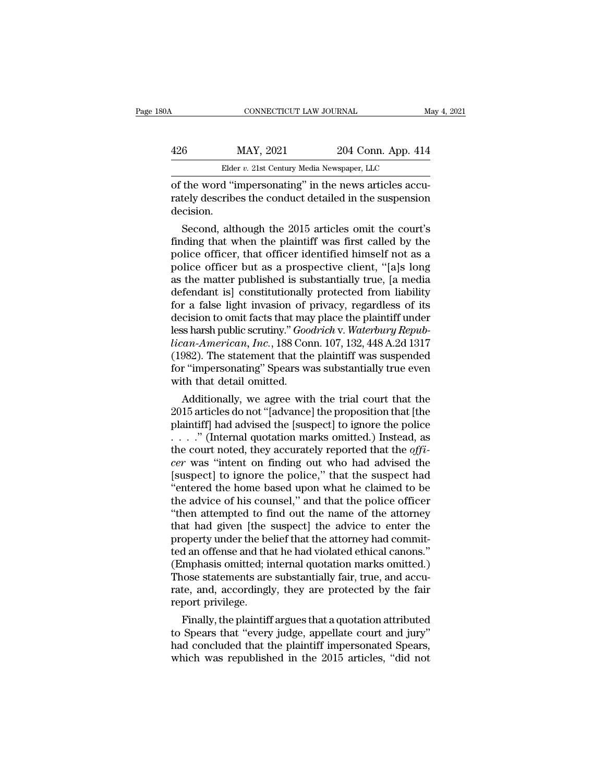## CONNECTICUT LAW JOURNAL May 4, 2021<br>426 MAY, 2021 204 Conn. App. 414<br>Elder v. 21st Century Media Newspaper, LLC CONNECTICUT LAW JOURNAL<br>MAY, 2021 204 Conn. App. 414<br>Elder *v.* 21st Century Media Newspaper, LLC<br>d "impersonating" in the news articles accu

CONNECTICUT LAW JOURNAL<br>
MAY, 2021 204 Conn. App. 414<br>
Elder v. 21st Century Media Newspaper, LLC<br>
of the word "impersonating" in the news articles accu-<br>
rately describes the conduct detailed in the suspension<br>
docision MAY, 2021 204 Conn. App. 414<br>Elder v. 21st Century Media Newspaper, LLC<br>of the word "impersonating" in the news articles accurately describes the conduct detailed in the suspension<br>decision. decision.  $\frac{\text{MAY, 2021}}{\text{Elder } v. 21 \text{st Century Media Newspaper, LLC}}$ <br>
the word "impersonating" in the news articles accuracy describes the conduct detailed in the suspension<br>
cision.<br>
Second, although the 2015 articles omit the court's<br>
ding that whe

Elder v. 21st Century Media Newspaper, LLC<br>
of the word "impersonating" in the news articles accurately describes the conduct detailed in the suspension<br>
decision.<br>
Second, although the 2015 articles omit the court's<br>
fin of the word "impersonating" in the news articles accurately describes the conduct detailed in the suspension<br>decision.<br>Second, although the 2015 articles omit the court's<br>finding that when the plaintiff was first called by or the word impersonating in the news articles accurately describes the conduct detailed in the suspension<br>decision.<br>Second, although the 2015 articles omit the court's<br>finding that when the plaintiff was first called by t rately describes the conduct detailed in the suspension<br>decision.<br>Second, although the 2015 articles omit the court's<br>finding that when the plaintiff was first called by the<br>police officer, that officer identified himself decision.<br>
Second, although the 2015 articles omit the court's<br>
finding that when the plaintiff was first called by the<br>
police officer, that officer identified himself not as a<br>
police officer but as a prospective client, Second, although the 2015 articles omit the court's<br>finding that when the plaintiff was first called by the<br>police officer, that officer identified himself not as a<br>police officer but as a prospective client, "[a]s long<br>as finding that when the plaintiff was first called by the<br>police officer, that officer identified himself not as a<br>police officer but as a prospective client, "[a]s long<br>as the matter published is substantially true, [a medi police officer, that officer identified himself not as a police officer but as a prospective client, "[a]s long as the matter published is substantially true, [a media defendant is] constitutionally protected from liabilit police officer but as a prospective client, "[a]s long<br>as the matter published is substantially true, [a media<br>defendant is] constitutionally protected from liability<br>for a false light invasion of privacy, regardless of it as the matter published is substantially true, [a media<br>defendant is] constitutionally protected from liability<br>for a false light invasion of privacy, regardless of its<br>decision to omit facts that may place the plaintiff u defendant is] constitutionally protected from liability<br>for a false light invasion of privacy, regardless of its<br>decision to omit facts that may place the plaintiff under<br>less harsh public scrutiny." *Goodrich* v. *Waterbu* for a false light invasion of  $\eta$ <br>decision to omit facts that may<br>less harsh public scrutiny." *Goodican-American*, *Inc.*, 188 Cor<br>(1982). The statement that the<br>for "impersonating" Spears with<br>with that detail omitted. cision to omit racts that may place the plaintiff under<br>is harsh public scrutiny." *Goodrich* v. *Waterbury Repub-<br>can-American, Inc.*, 188 Conn. 107, 132, 448 A.2d 1317<br>982). The statement that the plaintiff was suspended designation and the plaintiff). Goodrich v. Waterbury Republican-American, Inc., 188 Conn. 107, 132, 448 A.2d 1317<br>(1982). The statement that the plaintiff was suspended<br>for "impersonating" Spears was substantially true ev

*lican-American, Inc.*, 188 Conn. 107, 132, 448 A.2d 1317<br>(1982). The statement that the plaintiff was suspended<br>for "impersonating" Spears was substantially true even<br>with that detail omitted.<br>Additionally, we agree with (1982). The statement that the plaintiff was suspended<br>for "impersonating" Spears was substantially true even<br>with that detail omitted.<br>Additionally, we agree with the trial court that the<br>2015 articles do not "[advance] for impersonating Spears was substantially true even<br>with that detail omitted.<br>Additionally, we agree with the trial court that the<br>2015 articles do not "[advance] the proposition that [the<br>plaintiff] had advised the [susp Multimally, we agree with the trial court that the<br>
2015 articles do not "[advance] the proposition that [the<br>
plaintiff] had advised the [suspect] to ignore the police<br>  $\ldots$  ." (Internal quotation marks omitted.) Instea Additionally, we agree with the trial court that the 2015 articles do not "[advance] the proposition that [the plaintiff] had advised the [suspect] to ignore the police  $\ldots$  ." (Internal quotation marks omitted.) Instead 2015 articles do not "[advance] the proposition that [the plaintiff] had advised the [suspect] to ignore the police  $\ldots$  ." (Internal quotation marks omitted.) Instead, as the court noted, they accurately reported that t plaintiff] had advised the [suspect] to ignore the police  $\ldots$  ." (Internal quotation marks omitted.) Instead, as<br>the court noted, they accurately reported that the *offi-*<br>*cer* was "intent on finding out who had advise ...." (Internal quotation marks omitted.) Instead, as<br>the court noted, they accurately reported that the *offi-*<br>*cer* was "intent on finding out who had advised the<br>[suspect] to ignore the police," that the suspect had<br>" the court noted, they accurately reported that the *offi*-<br> *cer* was "intent on finding out who had advised the<br>
[suspect] to ignore the police," that the suspect had<br>
"entered the home based upon what he claimed to be<br> cer was "intent on finding out who had advised the [suspect] to ignore the police," that the suspect had "entered the home based upon what he claimed to be the advice of his counsel," and that the police officer "then atte [suspect] to ignore the police," that the suspect had<br>"entered the home based upon what he claimed to be<br>the advice of his counsel," and that the police officer<br>"then attempted to find out the name of the attorney<br>that had "entered the home based upon what he claimed to be<br>the advice of his counsel," and that the police officer<br>"then attempted to find out the name of the attorney<br>that had given [the suspect] the advice to enter the<br>property the advice of his counsel," and that the police officer<br>"then attempted to find out the name of the attorney<br>that had given [the suspect] the advice to enter the<br>property under the belief that the attorney had commit-<br>ted "then attempted to find out the name of the attorney<br>that had given [the suspect] the advice to enter the<br>property under the belief that the attorney had commit-<br>ted an offense and that he had violated ethical canons."<br>(Em that had given [the sproperty under the be<br>ted an offense and that<br>(Emphasis omitted; in<br>Those statements are<br>rate, and, accordingl;<br>report privilege.<br>Finally, the plaintiff operty under the belief that the attorney had commut-<br>d an offense and that he had violated ethical canons."<br>mphasis omitted; internal quotation marks omitted.)<br>ose statements are substantially fair, true, and accu-<br>te, an ted an oriense and that he had violated ethical canons.<br>
(Emphasis omitted; internal quotation marks omitted.)<br>
Those statements are substantially fair, true, and accurate, and, accordingly, they are protected by the fair<br>

(Empnasis omitted; internal quotation marks omitted.)<br>Those statements are substantially fair, true, and accurate, and, accordingly, they are protected by the fair<br>report privilege.<br>Finally, the plaintiff argues that a quo Those statements are substantially fair, true, and accurate, and, accordingly, they are protected by the fair<br>report privilege.<br>Finally, the plaintiff argues that a quotation attributed<br>to Spears that "every judge, appella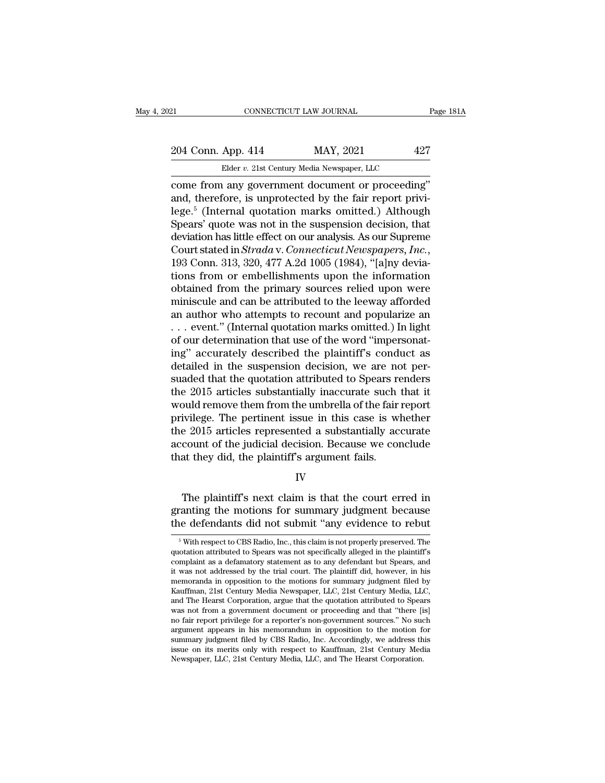## 21 CONNECTICUT LAW JOURNAL Page 181A<br>
204 Conn. App. 414 MAY, 2021 427<br>
Elder v. 21st Century Media Newspaper, LLC Elder *v.* 21st Century Media Newspaper, LLC<br>
1987 – 21st Century Media Newspaper, LLC<br>
1988 – 21st Century Media Newspaper, LLC<br>
1989 – 2000 – 2000 Media Newspaper, LLC

come from any government document or proceeding''<br>
and, therefore, is unprotected by the fair report privi-<br>
come from any government document or proceeding''<br>
and, therefore, is unprotected by the fair report privi-<br>
logo 204 Conn. App. 414 MAY, 2021 427<br>
Elder v. 21st Century Media Newspaper, LLC<br>
come from any government document or proceeding"<br>
and, therefore, is unprotected by the fair report privi-<br>
lege.<sup>5</sup> (Internal quotation marks o 204 Conn. App. 414 MAY, 2021 427<br>
Elder v. 21st Century Media Newspaper, LLC<br>
come from any government document or proceeding"<br>
and, therefore, is unprotected by the fair report privi-<br>
lege.<sup>5</sup> (Internal quotation marks 204 Conn. App. 414 MAY, 2021 427<br>Elder v. 21st Century Media Newspaper, LLC<br>come from any government document or proceeding"<br>and, therefore, is unprotected by the fair report privi-<br>lege.<sup>5</sup> (Internal quotation marks omit Elder v. 21st Century Media Newspaper, LLC<br>
come from any government document or proceeding"<br>
and, therefore, is unprotected by the fair report privi-<br>
lege.<sup>5</sup> (Internal quotation marks omitted.) Although<br>
Spears' quote w Elder v. 21st Century Media Newspaper, LLC<br>
come from any government document or proceeding"<br>
and, therefore, is unprotected by the fair report privi-<br>
lege.<sup>5</sup> (Internal quotation marks omitted.) Although<br>
Spears' quote w and, therefore, is unprotected by the fair report privi-<br>lege.<sup>5</sup> (Internal quotation marks omitted.) Although<br>Spears' quote was not in the suspension decision, that<br>deviation has little effect on our analysis. As our Supr lege.<sup>5</sup> (Internal quotation marks omitted.) Although<br>Spears' quote was not in the suspension decision, that<br>deviation has little effect on our analysis. As our Supreme<br>Court stated in *Strada* v. *Connecticut Newspapers*, Spears' quote was not in the suspension decision, that<br>deviation has little effect on our analysis. As our Supreme<br>Court stated in *Strada* v. *Connecticut Newspapers, Inc.*,<br>193 Conn. 313, 320, 477 A.2d 1005 (1984), "[a] deviation has little effect on our analysis. As our Supreme<br>Court stated in *Strada* v. *Connecticut Newspapers, Inc.*,<br>193 Conn. 313, 320, 477 A.2d 1005 (1984), "[a]ny devia-<br>tions from or embellishments upon the informat Court stated in *Strada* v. *Connecticut Newspapers, Inc.*, 193 Conn. 313, 320, 477 A.2d 1005 (1984), "[a]ny deviations from or embellishments upon the information obtained from the primary sources relied upon were minisc 193 Conn. 313, 320, 477 A.2d 1005 (1984), "[a]ny deviations from or embellishments upon the information obtained from the primary sources relied upon were miniscule and can be attributed to the leeway afforded an author w tions from or embellishments upon the information<br>obtained from the primary sources relied upon were<br>miniscule and can be attributed to the leeway afforded<br>an author who attempts to recount and popularize an<br>... event." (I % obtained from the primary sources relied upon were<br>miniscule and can be attributed to the leeway afforded<br>an author who attempts to recount and popularize an<br> $\dots$  event." (Internal quotation marks omitted.) In light<br>of miniscule and can be attributed to the leeway afforded<br>an author who attempts to recount and popularize an<br> $\dots$  event." (Internal quotation marks omitted.) In light<br>of our determination that use of the word "impersonat-<br>i an author who attempts to recount and popularize an<br>  $\ldots$  event." (Internal quotation marks omitted.) In light<br>
of our determination that use of the word "impersonat-<br>
ing" accurately described the plaintiff's conduct as would remove that we of the word "impersonating" accurately described the plaintiff's conduct as<br>detailed in the suspension decision, we are not per-<br>suaded that the quotation attributed to Spears renders<br>the 2015 articles of our determination that use of the word "impersonating" accurately described the plaintiff's conduct as<br>detailed in the suspension decision, we are not per-<br>suaded that the quotation attributed to Spears renders<br>the 2015 ing" accurately described the plaintiff's conduct as<br>detailed in the suspension decision, we are not per-<br>suaded that the quotation attributed to Spears renders<br>the 2015 articles substantially inaccurate such that it<br>would detailed in the suspension decision, we are not per-<br>suaded that the quotation attributed to Spears renders<br>the 2015 articles substantially inaccurate such that it<br>would remove them from the umbrella of the fair report<br>pri suaded that the quotation attributed to Spears reform the 2015 articles substantially inaccurate such would remove them from the umbrella of the fair privilege. The pertinent issue in this case is withe 2015 articles repre ivilege. The pertinent issue in this case is whether<br>
e 2015 articles represented a substantially accurate<br>
count of the judicial decision. Because we conclude<br>
at they did, the plaintiff's argument fails.<br>
IV<br>
The plainti

IV

the 2015 articles represented a substantially accurate<br>account of the judicial decision. Because we conclude<br>that they did, the plaintiff's argument fails.<br>IV<br>The plaintiff's next claim is that the court erred in<br>granting account of the judicial decision. Because we conclude<br>that they did, the plaintiff's argument fails.<br>IV<br>The plaintiff's next claim is that the court erred in<br>granting the motions for summary judgment because<br>the defendants The plaintiff's next claim is that the court erred in canting the motions for summary judgment because in edefendants did not submit "any evidence to rebut  $\frac{5}{5}$  With respect to CBS Radio, Inc., this claim is not prop The plaintiff's next claim is that the court erred in granting the motions for summary judgment because<br>the defendants did not submit "any evidence to rebut<br><sup>5</sup> With respect to CBS Radio, Inc., this claim is not properly p

granting the motions for summary judgment because<br>the defendants did not submit "any evidence to rebut<br><sup>5</sup> With respect to CBS Radio, Inc., this claim is not properly preserved. The<br>quotation attributed to Spears was not s the defendants did not submit "any evidence to rebut  $\frac{1}{100}$  is with respect to CBS Radio, Inc., this claim is not properly preserved. The quotation attributed to Spears was not specifically alleged in the plaintiff's the defendants did not submit "any evidence to rebut<br>
<sup>5</sup> With respect to CBS Radio, Inc., this claim is not properly preserved. The<br>
quotation attributed to Spears was not specifically alleged in the plaintiff's<br>
complain  $^5$  With respect to CBS Radio, Inc., this claim is not properly preserved. The quotation attributed to Spears was not specifically alleged in the plaintiff's complaint as a defamatory statement as to any defendant but Sp <sup>9</sup> With respect to CBS Radio, Inc., this claim is not properly preserved. The quotation attributed to Spears was not specifically alleged in the plaintiff's complaint as a defamatory statement as to any defendant but Spea quotation attributed to Spears was not specifically alleged in the plaintiff's<br>complaint as a defamatory statement as to any defendant but Spears, and<br>it was not addressed by the trial court. The plaintiff did, however, in complaint as a defamatory statement as to any defendant but Spears, and<br>it was not addressed by the trial court. The plaintiff did, however, in his<br>memoranda in opposition to the motions for summary judgment filed by<br>Kauff memoranda in opposition to the motions for summary judgment filed by Kauffman, 21st Century Media Newspaper, LLC, 21st Century Media, LLC, and The Hearst Corporation, argue that the quotation attributed to Spears was not f memoranda in opposition to the motions for summary judgment filed by Kauffman, 21st Century Media Newspaper, LLC, 21st Century Media, LLC, and The Hearst Corporation, argue that the quotation attributed to Spears was not f Kautiman, 21st Century Media Newspaper, LLC, 21st Century Media, LLC, and The Hearst Corporation, argue that the quotation attributed to Spears was not from a government document or proceeding and that "there [is] no fair and The Hearst Corporation, argue that the quotation attributed to Spea<br>was not from a government document or proceeding and that "there [i<br>no fair report privilege for a reporter's non-government sources." No sua<br>argument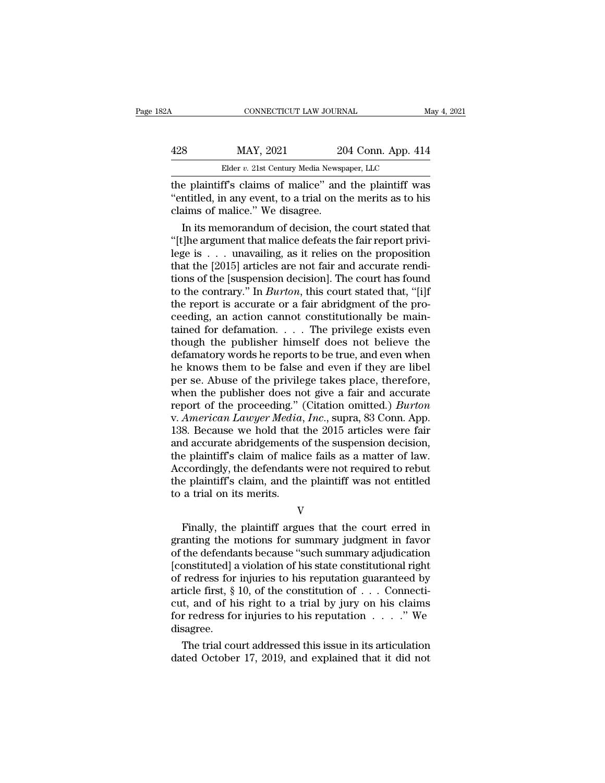| 82A | CONNECTICUT LAW JOURNAL                                 |                    | May 4, 2021 |
|-----|---------------------------------------------------------|--------------------|-------------|
| 428 | MAY, 2021                                               | 204 Conn. App. 414 |             |
|     | Elder v. 21st Century Media Newspaper, LLC              |                    |             |
|     | the plaintiff's claims of malice" and the plaintiff was |                    |             |

CONNECTICUT LAW JOURNAL May 4, 2021<br>
428 MAY, 2021 204 Conn. App. 414<br>
Elder v. 21st Century Media Newspaper, LLC<br>
the plaintiff's claims of malice'' and the plaintiff was<br>
"entitled, in any event, to a trial on the merits MAY, 2021 204 Conn. App. 414<br>
Elder v. 21st Century Media Newspaper, LLC<br>
the plaintiff's claims of malice'' and the plaintiff was<br>
"entitled, in any event, to a trial on the merits as to his<br>
claims of malice." We disagre claims of malice.'' We disagree.  $\frac{\text{MAP}}{\text{Elder } v. 21 \text{st Century Media Newspaper, LLC}}$ <br>
Elder *v.* 21st Century Media Newspaper, LLC<br>
e plaintiff's claims of malice'' and the plaintiff was<br>
matitled, in any event, to a trial on the merits as to his<br>
stated that<br>
in its memor

Elder v. 21st Century Media Newspaper, LLC<br>
the plaintiff's claims of malice" and the plaintiff was<br>
"entitled, in any event, to a trial on the merits as to his<br>
claims of malice." We disagree.<br>
In its memorandum of decis The plaintiff's claims of malice" and the plaintiff was<br>
"entitled, in any event, to a trial on the merits as to his<br>
claims of malice." We disagree.<br>
In its memorandum of decision, the court stated that<br>
"[t]he argument t the plaintiff's claims of malice" and the plaintiff was<br>
"entitled, in any event, to a trial on the merits as to his<br>
claims of malice." We disagree.<br>
In its memorandum of decision, the court stated that<br>
"[t]he argument t "entitled, in any event, to a trial on the merits as to his<br>claims of malice." We disagree.<br>In its memorandum of decision, the court stated that<br>"[t]he argument that malice defeats the fair report privi-<br>lege is . . . una claims of malice." We disagree.<br>
In its memorandum of decision, the court stated that<br>
"[t]he argument that malice defeats the fair report privi-<br>
lege is  $\dots$  unavailing, as it relies on the proposition<br>
that the [2015] In its memorandum of decision, the court stated that "[t]he argument that malice defeats the fair report privi-<br>lege is  $\dots$  unavailing, as it relies on the proposition<br>that the [2015] articles are not fair and accurate r "[t]he argument that malice defeats the fair report privi-<br>lege is  $\dots$  unavailing, as it relies on the proposition<br>that the [2015] articles are not fair and accurate rendi-<br>tions of the [suspension decision]. The court h lege is . . . . unavailing, as it relies on the proposition<br>that the [2015] articles are not fair and accurate rendi-<br>tions of the [suspension decision]. The court has found<br>to the contrary." In *Burton*, this court state that the [2015] articles are not fair and accurate rendi-<br>tions of the [suspension decision]. The court has found<br>to the contrary." In *Burton*, this court stated that, "[i]f<br>the report is accurate or a fair abridgment of tions of the [suspension decision]. The court has found<br>to the contrary." In *Burton*, this court stated that, "[i]f<br>the report is accurate or a fair abridgment of the pro-<br>ceeding, an action cannot constitutionally be ma to the contrary." In *Burton*, this court stated that, "[i]f<br>the report is accurate or a fair abridgment of the pro-<br>ceeding, an action cannot constitutionally be main-<br>tained for defamation. . . . The privilege exists ev the report is accurate or a fair abridgment of the proceeding, an action cannot constitutionally be maintained for defamation. . . . The privilege exists even though the publisher himself does not believe the defamatory w ceeding, an action cannot constitutionally be maintained for defamation. . . . The privilege exists even<br>though the publisher himself does not believe the<br>defamatory words he reports to be true, and even when<br>he knows the tained for defamation. . . . The privilege exists even<br>though the publisher himself does not believe the<br>defamatory words he reports to be true, and even when<br>he knows them to be false and even if they are libel<br>per se. Ab though the publisher himself does not believe the<br>defamatory words he reports to be true, and even when<br>he knows them to be false and even if they are libel<br>per se. Abuse of the privilege takes place, therefore,<br>when the p defamatory words he reports to be true, and even when<br>he knows them to be false and even if they are libel<br>per se. Abuse of the privilege takes place, therefore,<br>when the publisher does not give a fair and accurate<br>report he knows them to be false and even if they are libel<br>per se. Abuse of the privilege takes place, therefore,<br>when the publisher does not give a fair and accurate<br>report of the proceeding." (Citation omitted.) *Burton*<br>v. Am per se. Abuse of the privilege takes place, therefore,<br>when the publisher does not give a fair and accurate<br>report of the proceeding." (Citation omitted.) *Burton*<br>v. American Lawyer Media, Inc., supra, 83 Conn. App.<br>138. when the publisher does not give a fair and accurate<br>report of the proceeding." (Citation omitted.) *Burton*<br>v. American Lawyer Media, Inc., supra, 83 Conn. App.<br>138. Because we hold that the 2015 articles were fair<br>and ac report of the proceeding." (Citation omitted.) *Burton* v. American Lawyer Media, Inc., supra, 83 Conn. App. 138. Because we hold that the 2015 articles were fair and accurate abridgements of the suspension decision, the p v. American Lawyer Media,<br>138. Because we hold that<br>and accurate abridgements of<br>the plaintiff's claim of malic<br>Accordingly, the defendants<br>the plaintiff's claim, and the<br>to a trial on its merits. Finally, the plaintiff argues that the court erred in<br>the defendants were not required to rebut<br>a trial on its merits.<br>We finally, the plaintiff argues that the court erred in<br>anting the motions for summary judgment in fav

V

Frankling Scham of maked ranging at a maked of law.<br>Accordingly, the defendants were not required to rebut<br>the plaintiff's claim, and the plaintiff was not entitled<br>to a trial on its merits.<br>V<br>Finally, the plaintiff argues recordingly, are defendants were not required to restar<br>the plaintiff's claim, and the plaintiff was not entitled<br>to a trial on its merits.<br>V<br>Finally, the plaintiff argues that the court erred in<br>granting the motions for s In the plant of state, and the plant of was not entried<br>to a trial on its merits.<br>V<br>Finally, the plaintiff argues that the court erred in<br>granting the motions for summary judgment in favor<br>of the defendants because "such s V<br>
Finally, the plaintiff argues that the court erred in<br>
granting the motions for summary judgment in favor<br>
of the defendants because "such summary adjudication<br>
[constituted] a violation of his state constitutional rig Finally, the plaintiff argues that the court erred in granting the motions for summary judgment in favor of the defendants because "such summary adjudication [constituted] a violation of his state constitutional right of Finally, the plaintiff argues that the court erred in granting the motions for summary judgment in favor of the defendants because "such summary adjudication [constituted] a violation of his state constitutional right of granting the motions for summary judgment in favor<br>of the defendants because "such summary adjudication<br>[constituted] a violation of his state constitutional right<br>of redress for injuries to his reputation guaranteed by<br>ar disagree. onstituted] a violation of his state constitutional right<br>redress for injuries to his reputation guaranteed by<br>ticle first, § 10, of the constitution of  $\dots$  Connecti-<br>t, and of his right to a trial by jury on his claims<br> of redress for myuries to his reputation guaranteed by article first, § 10, of the constitution of  $\ldots$  Connecticut, and of his right to a trial by jury on his claims for redress for injuries to his reputation  $\ldots$  ." W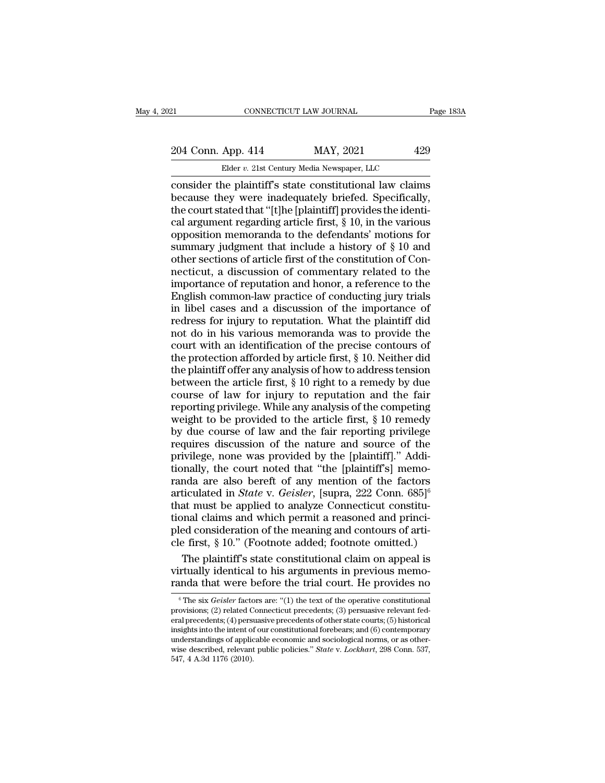# 21 CONNECTICUT LAW JOURNAL Page 183A<br>204 Conn. App. 414 MAY, 2021 429<br>Elder v. 21st Century Media Newspaper, LLC CONNECTICUT LAW JOURNAL<br>
App. 414 MAY, 2021 429<br>
Elder *v.* 21st Century Media Newspaper, LLC<br>
ne plaintiff's state constitutional law claims

consider the plaintiff's state constitutional law claims<br>
because they were inadequately briefed. Specifically,<br>
the court stated that "It lhe Inlaintiff's provides the identi-204 Conn. App. 414 MAY, 2021 429<br>Elder v. 21st Century Media Newspaper, LLC<br>consider the plaintiff's state constitutional law claims<br>because they were inadequately briefed. Specifically,<br>the court stated that "[t]he [plai 204 Conn. App. 414 MAY, 2021 429<br>
Elder v. 21st Century Media Newspaper, LLC<br>
consider the plaintiff's state constitutional law claims<br>
because they were inadequately briefed. Specifically,<br>
the court stated that "[t]he [ 204 Conn. App. 414 MAY, 2021 429<br>
Elder v. 21st Century Media Newspaper, LLC<br>
consider the plaintiff's state constitutional law claims<br>
because they were inadequately briefed. Specifically,<br>
the court stated that "[t]he [ Elder v. 21st Century Media Newspaper, LLC<br>
consider the plaintiff's state constitutional law claims<br>
because they were inadequately briefed. Specifically,<br>
the court stated that "[t]he [plaintiff] provides the identi-<br>
c Elder v. 21st Century Media Newspaper, LLC<br>
consider the plaintiff's state constitutional law claims<br>
because they were inadequately briefed. Specifically,<br>
the court stated that "[t]he [plaintiff] provides the identi-<br>
c consider the plaintiff's state constitutional law claims<br>because they were inadequately briefed. Specifically,<br>the court stated that "[t]he [plaintiff] provides the identi-<br>cal argument regarding article first, § 10, in th because they were inadequately briefed. Specifically,<br>the court stated that "[t]he [plaintiff] provides the identi-<br>cal argument regarding article first,  $\S$  10, in the various<br>opposition memoranda to the defendants' moti the court stated that "[t]he [plaintiff] provides the identi-<br>cal argument regarding article first, § 10, in the various<br>opposition memoranda to the defendants' motions for<br>summary judgment that include a history of § 10 a cal argument regarding article first,  $\S$  10, in the various<br>opposition memoranda to the defendants' motions for<br>summary judgment that include a history of  $\S$  10 and<br>other sections of article first of the constitution of opposition memoranda to the defendants' motions for summary judgment that include a history of  $\S$  10 and other sections of article first of the constitution of Connecticut, a discussion of commentary related to the impor Funnmary judgment that include a history of  $\S$  10 and<br>other sections of article first of the constitution of Con-<br>necticut, a discussion of commentary related to the<br>importance of reputation and honor, a reference to the other sections of article first of the constitution of Connecticut, a discussion of commentary related to the<br>importance of reputation and honor, a reference to the<br>English common-law practice of conducting jury trials<br>in necticut, a discussion of commentary related to the<br>importance of reputation and honor, a reference to the<br>English common-law practice of conducting jury trials<br>in libel cases and a discussion of the importance of<br>redress importance of reputation and honor, a reference to the English common-law practice of conducting jury trials<br>in libel cases and a discussion of the importance of<br>redress for injury to reputation. What the plaintiff did<br>not English common-law practice of conducting jury trials<br>in libel cases and a discussion of the importance of<br>redress for injury to reputation. What the plaintiff did<br>not do in his various memoranda was to provide the<br>court in libel cases and a discussion of the importance of<br>redress for injury to reputation. What the plaintiff did<br>not do in his various memoranda was to provide the<br>court with an identification of the precise contours of<br>the redress for injury to reputation. What the plaintiff did<br>not do in his various memoranda was to provide the<br>court with an identification of the precise contours of<br>the protection afforded by article first,  $\S$  10. Neither not do in his various memoranda was to provide the<br>court with an identification of the precise contours of<br>the protection afforded by article first,  $\S$  10. Neither did<br>the plaintiff offer any analysis of how to address t court with an identification of the precise contours of<br>the protection afforded by article first, § 10. Neither did<br>the plaintiff offer any analysis of how to address tension<br>between the article first, § 10 right to a rem the protection afforded by article first,  $\S$  10. Neither did<br>the plaintiff offer any analysis of how to address tension<br>between the article first,  $\S$  10 right to a remedy by due<br>course of law for injury to reputation an the plaintiff offer any analysis of how to address tension<br>between the article first, § 10 right to a remedy by due<br>course of law for injury to reputation and the fair<br>reporting privilege. While any analysis of the competi between the article first, § 10 right to a remedy by due<br>course of law for injury to reputation and the fair<br>reporting privilege. While any analysis of the competing<br>weight to be provided to the article first, § 10 remedy<br> course of law for injury to reputation and the fair<br>reporting privilege. While any analysis of the competing<br>weight to be provided to the article first,  $\S$  10 remedy<br>by due course of law and the fair reporting privilege<br> reporting privilege. While any analysis of the competing<br>weight to be provided to the article first,  $\S$  10 remedy<br>by due course of law and the fair reporting privilege<br>requires discussion of the nature and source of the<br> weight to be provided to the article first, § 10 remedy<br>by due course of law and the fair reporting privilege<br>requires discussion of the nature and source of the<br>privilege, none was provided by the [plaintiff]." Addi-<br>tion by due course of law and the fair reporting privilege<br>requires discussion of the nature and source of the<br>privilege, none was provided by the [plaintiff]." Addi-<br>tionally, the court noted that "the [plaintiff's] memo-<br>ran requires discussion of the nature and source of the<br>privilege, none was provided by the [plaintiff]." Addi-<br>tionally, the court noted that "the [plaintiff's] memo-<br>randa are also bereft of any mention of the factors<br>artic privilege, none was provided by the [plaintiff]." Additionally, the court noted that "the [plaintiff's] memoranda are also bereft of any mention of the factors articulated in *State* v. *Geisler*, [supra, 222 Conn. 685]<sup>6</sup> tionally, the court noted that "the [plaintiff's] memoranda are also bereft of any mention of the factors articulated in *State* v. *Geisler*, [supra, 222 Conn. 685]<sup>6</sup> that must be applied to analyze Connecticut constitu nda are also bereft of any mention of the factors<br>ticulated in *State* v. *Geisler*, [supra, 222 Conn. 685]<sup>6</sup><br>at must be applied to analyze Connecticut constitu-<br>nnal claims and which permit a reasoned and princi-<br>ed con articulated in *State* v. *Geisler*, [supra, 222 Conn. 685]<sup>6</sup><br>that must be applied to analyze Connecticut constitu-<br>tional claims and which permit a reasoned and princi-<br>pled consideration of the meaning and contours of that must be applied to analyze Connecticut constitu-<br>tional claims and which permit a reasoned and princi-<br>pled consideration of the meaning and contours of arti-<br>cle first, § 10." (Footnote added; footnote omitted.)<br>The

e first, § 10.<sup>7</sup> (Footnote added; footnote omitted.)<br>The plaintiff's state constitutional claim on appeal is<br>rtually identical to his arguments in previous memo-<br>and that were before the trial court. He provides no<br><sup>6</sup>The The plaintiff's state constitutional claim on appeal is<br>virtually identical to his arguments in previous memo-<br>randa that were before the trial court. He provides no<br> $\frac{1}{\pi}$  The six *Geisler* factors are: "(1) the text

Fire praintern 9 state constructional claim on appear is<br>virtually identical to his arguments in previous memo-<br>randa that were before the trial court. He provides no<br><sup>6</sup>The six *Geisler* factors are: "(1) the text of the randa that were before the trial court. He provides no<br>  $\overline{ }$ <sup>6</sup>The six *Geisler* factors are: "(1) the text of the operative constitutional<br>
provisions; (2) related Connecticut precedents; (3) persuasive relevant fed-<br> randa that were before the trial court. He provides no<br>
<sup>6</sup> The six *Geisler* factors are: "(1) the text of the operative constitutional<br>
provisions; (2) related Connecticut precedents; (3) persuasive relevant fed-<br>
eral <sup>6</sup> The six *Geisler* factors are: "(1) the text of the operative constitutional provisions; (2) related Connecticut precedents; (3) persuasive relevant federal precedents; (4) persuasive precedents of other state courts; The six *Geister* factor provisions; (2) related C<br>eral precedents; (4) persi<br>insights into the intent of<br>understandings of applic<br>wise described, relevant<br>547, 4 A.3d 1176 (2010).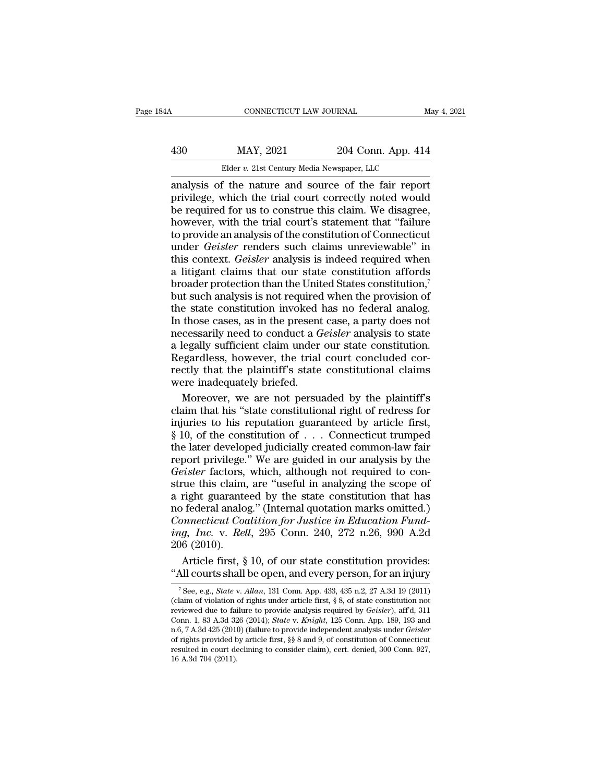# CONNECTICUT LAW JOURNAL May 4, 2021<br>
430 MAY, 2021 204 Conn. App. 414<br>
Elder v. 21st Century Media Newspaper, LLC

CONNECTICUT LAW JOURNAL<br>
MAY, 2021 204 Conn. App. 414<br>
Elder *v.* 21st Century Media Newspaper, LLC<br>
f the nature and source of the fair repor CONNECTICUT LAW JOURNAL May 4, 202<br>
430 MAY, 2021 204 Conn. App. 414<br>
Elder v. 21st Century Media Newspaper, LLC<br>
analysis of the nature and source of the fair report<br>
privilege, which the trial court correctly noted would MAY, 2021 204 Conn. App. 414<br>Elder v. 21st Century Media Newspaper, LLC<br>analysis of the nature and source of the fair report<br>privilege, which the trial court correctly noted would<br>be required for us to construe this claim.  $\begin{array}{ll}\n & \text{MAX, } 2021 \quad \text{204 Conn. App. 414}\n \hline\n & \text{Elder } v. \text{ 21st Century Media Newspaper, LLC}\n \end{array}$ <br>
analysis of the nature and source of the fair report<br>
privilege, which the trial court correctly noted would<br>
be required for us to construe this  $\frac{130}{204 \text{ Com. App. 414}}$ <br>Elder v. 21st Century Media Newspaper, LLC<br>analysis of the nature and source of the fair report<br>privilege, which the trial court correctly noted would<br>be required for us to construe this claim. We Elder v. 21st Century Media Newspaper, LLC<br>
analysis of the nature and source of the fair report<br>
privilege, which the trial court correctly noted would<br>
be required for us to construe this claim. We disagree,<br>
however, w Elder *v.* 21st Century Media Newspaper, LLC<br>analysis of the nature and source of the fair report<br>privilege, which the trial court correctly noted would<br>be required for us to construe this claim. We disagree,<br>however, with analysis of the nature and source of the fair report<br>privilege, which the trial court correctly noted would<br>be required for us to construe this claim. We disagree,<br>however, with the trial court's statement that "failure<br>to privilege, which the trial court correctly noted would<br>be required for us to construe this claim. We disagree,<br>however, with the trial court's statement that "failure<br>to provide an analysis of the constitution of Connectic be required for us to construe this claim. We disagree,<br>however, with the trial court's statement that "failure<br>to provide an analysis of the constitution of Connecticut<br>under *Geisler* renders such claims unreviewable" in however, with the trial court's statement that "failure<br>to provide an analysis of the constitution of Connecticut<br>under *Geisler* renders such claims unreviewable" in<br>this context. *Geisler* analysis is indeed required wh to provide an analysis of the constitution of Connecticut<br>under *Geisler* renders such claims unreviewable" in<br>this context. *Geisler* analysis is indeed required when<br>a litigant claims that our state constitution affords under *Geisler* renders such claims unreviewable" in<br>this context. *Geisler* analysis is indeed required when<br>a litigant claims that our state constitution affords<br>broader protection than the United States constitution,<sup>7</sup> this context. *Geisler* analysis is indeed required when<br>a litigant claims that our state constitution affords<br>broader protection than the United States constitution,<sup>7</sup><br>but such analysis is not required when the provision a litigant claims that our state constitution affords<br>broader protection than the United States constitution,<sup>7</sup><br>but such analysis is not required when the provision of<br>the state constitution invoked has no federal analog. broader protection than the United States constitution,<sup>7</sup><br>but such analysis is not required when the provision of<br>the state constitution invoked has no federal analog.<br>In those cases, as in the present case, a party does but such analysis is not required when the provision of<br>the state constitution invoked has no federal analog.<br>In those cases, as in the present case, a party does not<br>necessarily need to conduct a *Geisler* analysis to sta The state constitution invoked.<br>In those cases, as in the present<br>necessarily need to conduct a G<br>a legally sufficient claim under<br>Regardless, however, the trial<br>rectly that the plaintiff's state<br>were inadequately briefed. those cases, as in the present case, a party does not<br>cessarily need to conduct a *Geisler* analysis to state<br>legally sufficient claim under our state constitution.<br>gardless, however, the trial court concluded cor-<br>ctly th necessarily need to conduct a *Geisler* analysis to state<br>a legally sufficient claim under our state constitution.<br>Regardless, however, the trial court concluded cor-<br>rectly that the plaintiff's state constitutional claims

a legally sufficient claim under our state constitution.<br>Regardless, however, the trial court concluded correctly that the plaintiff's state constitutional claims<br>were inadequately briefed.<br>Moreover, we are not persuaded b Regardless, however, the trial court concluded correctly that the plaintiff's state constitutional claims<br>were inadequately briefed.<br>Moreover, we are not persuaded by the plaintiff's<br>claim that his "state constitutional r rectly that the plaintiff's state constitutional claims<br>were inadequately briefed.<br>Moreover, we are not persuaded by the plaintiff's<br>claim that his "state constitutional right of redress for<br>injuries to his reputation guar were inadequately briefed.<br>
Moreover, we are not persuaded by the plaintiff's<br>
claim that his "state constitutional right of redress for<br>
injuries to his reputation guaranteed by article first,<br>
§ 10, of the constitution Moreover, we are not persuaded by the plaintiff's<br>claim that his "state constitutional right of redress for<br>injuries to his reputation guaranteed by article first,<br>§ 10, of the constitution of . . . Connecticut trumped<br>the claim that his "state constitutional right of redress for<br>injuries to his reputation guaranteed by article first,<br> $\S$  10, of the constitution of  $\ldots$  Connecticut trumped<br>the later developed judicially created common-law injuries to his reputation guaranteed by article first,<br>
§ 10, of the constitution of  $\ldots$  Connecticut trumped<br>
the later developed judicially created common-law fair<br>
report privilege." We are guided in our analysis by is 10, of the constitution of . . . Connecticut trumped<br>the later developed judicially created common-law fair<br>report privilege." We are guided in our analysis by the<br>*Geisler* factors, which, although not required to con *Connection Comment* Commentation for *Commentation comment* the later developed judicially created common-law fair report privilege." We are guided in our analysis by the *Geisler* factors, which, although not required to *incertially strated conduct and take terroriginal* report privilege." We are guided in our analysis by the *Geisler* factors, which, although not required to construe this claim, are "useful in analyzing the scope of a ri *Geisler factors,*<br> *Geisler factors,*<br>
strue this claim,<br>
a right guarante<br>
no federal analo,<br> *Connecticut Coding, Inc.* v. *Rel*<br>
206 (2010).<br>
Article first, § rue this claim, are "useful in analyzing the scope of<br>right guaranteed by the state constitution that has<br>federal analog." (Internal quotation marks omitted.)<br>*mnecticut Coalition for Justice in Education Fund-*<br> $g$ , *Inc.* a right guaranteed by the state constitution that has<br>no federal analog." (Internal quotation marks omitted.)<br>*Connecticut Coalition for Justice in Education Fund-*<br>ing, *Inc.* v. *Rell*, 295 Conn. 240, 272 n.26, 990 A.2d

*ug*, *Inc.* v. *Rett*, 295 Conn. 240, 272 n.26, 990 A.2d<br>06 (2010).<br>Article first, § 10, of our state constitution provides:<br>All courts shall be open, and every person, for an injury<br><sup>7</sup>See, e.g., *State* v. *Allan*, 131 206 (2010).<br>
Article first, § 10, of our state constitution provides:<br>
"All courts shall be open, and every person, for an injury<br>
<sup>7</sup> See, e.g., *State v. Allan*, 131 Conn. App. 433, 435 n.2, 27 A.3d 19 (2011)<br>
(claim of Article first, § 10, of our state constitution provides:<br>
"All courts shall be open, and every person, for an injury<br>
<sup>7</sup> See, e.g., *State* v. *Allan*, 131 Conn. App. 433, 435 n.2, 27 A.3d 19 (2011)<br>
(claim of violation o Article Hrst, § 10, 01 our state constitution provides:<br>
"All courts shall be open, and every person, for an injury<br>
<sup>7</sup> See, e.g., *State* v. *Allan*, 131 Conn. App. 433, 435 n.2, 27 A.3d 19 (2011)<br>
(claim of violation of "All courts shall be open, and every person, for an injury<br>
<sup>7</sup> See, e.g., *State v. Allan*, 131 Conn. App. 433, 435 n.2, 27 A.3d 19 (2011)<br>
(claim of violation of rights under article first, § 8, of state constitution no <sup>7</sup> See, e.g., *State v. Allan*, 131 Conn. App. 433, 435 n.2, 27 A.3d 19 (2011) (claim of violation of rights under article first, § 8, of state constitution not reviewed due to failure to provide analysis required by *Ge* see, e.g., *State v. Attan*, 131 Conn. App. 433, 435 n.2, 27 A.3d 19 (2011)<br>(claim of violation of rights under article first, § 8, of state constitution not<br>reviewed due to failure to provide analysis required by *Geisle* (claim of violation of rights under article first, § 8, of state constitution not reviewed due to failure to provide analysis required by *Geisler*), aff'd, 311 Conn. 1, 83 A.3d 326 (2014); *State* v. *Knight*, 125 Conn.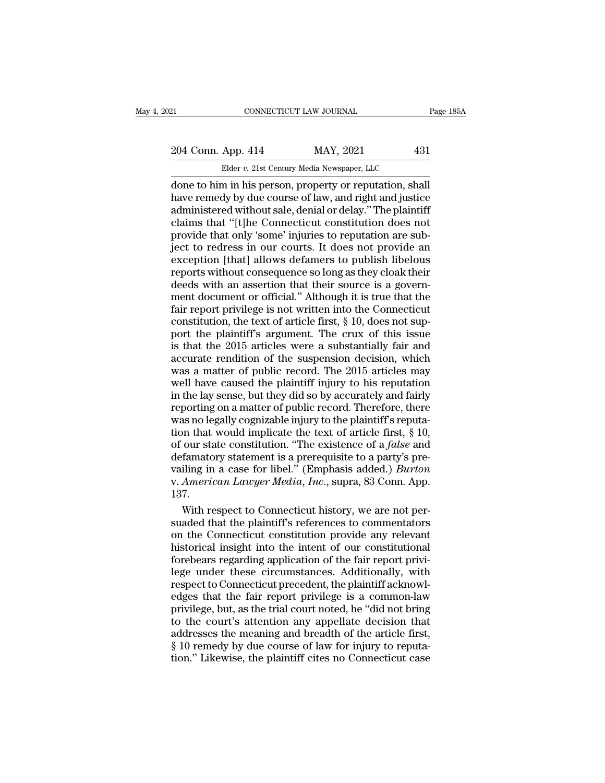CONNECTICUT LAW JOURNAL Page 18<br>
204 Conn. App. 414 MAY, 2021 431<br>
Elder v. 21st Century Media Newspaper, LLC<br>
done to him in his person, property or reputation, shall<br>
have remedy by due course of law, and right and justi 204 Conn. App. 414 MAY, 2021 431<br>Elder v. 21st Century Media Newspaper, LLC<br>done to him in his person, property or reputation, shall<br>have remedy by due course of law, and right and justice<br>administered without sale, denial 204 Conn. App. 414 MAY, 2021 431<br>
Elder v. 21st Century Media Newspaper, LLC<br>
done to him in his person, property or reputation, shall<br>
have remedy by due course of law, and right and justice<br>
administered without sale, d 204 Conn. App. 414 MAY, 2021 431<br>
Elder v. 21st Century Media Newspaper, LLC<br>
done to him in his person, property or reputation, shall<br>
have remedy by due course of law, and right and justice<br>
administered without sale, d Elder v. 21st Century Media Newspaper, LLC<br>
done to him in his person, property or reputation, shall<br>
have remedy by due course of law, and right and justice<br>
administered without sale, denial or delay." The plaintiff<br>
cla Elder v. 21st Century Media Newspaper, LLC<br>
done to him in his person, property or reputation, shall<br>
have remedy by due course of law, and right and justice<br>
administered without sale, denial or delay." The plaintiff<br>
cl done to him in his person, property or reputation, shall<br>have remedy by due course of law, and right and justice<br>administered without sale, denial or delay." The plaintiff<br>claims that "[t]he Connecticut constitution does n have remedy by due course of law, and right and justice<br>administered without sale, denial or delay." The plaintiff<br>claims that "[t]he Connecticut constitution does not<br>provide that only 'some' injuries to reputation are su administered without sale, denial or delay." The plaintiff<br>claims that "[t]he Connecticut constitution does not<br>provide that only 'some' injuries to reputation are sub-<br>ject to redress in our courts. It does not provide an claims that "[t]he Connecticut constitution does not<br>provide that only 'some' injuries to reputation are sub-<br>ject to redress in our courts. It does not provide an<br>exception [that] allows defamers to publish libelous<br>repor provide that only 'some' injuries to reputation are sub-<br>ject to redress in our courts. It does not provide an<br>exception [that] allows defamers to publish libelous<br>reports without consequence so long as they cloak their<br>de is ject to redress in our courts. It does not provide an exception [that] allows defamers to publish libelous<br>reports without consequence so long as they cloak their<br>deeds with an assertion that their source is a govern-<br>m exception [that] allows defamers to publish libelous<br>reports without consequence so long as they cloak their<br>deeds with an assertion that their source is a govern-<br>ment document or official." Although it is true that the<br>f reports without consequence so long as they cloak their<br>deeds with an assertion that their source is a govern-<br>ment document or official." Although it is true that the<br>fair report privilege is not written into the Connecti deeds with an assertion that their source is a government document or official." Although it is true that the<br>fair report privilege is not written into the Connecticut<br>constitution, the text of article first, § 10, does no ment document or official." Although it is true that the<br>fair report privilege is not written into the Connecticut<br>constitution, the text of article first, § 10, does not sup-<br>port the plaintiff's argument. The crux of thi fair report privilege is not written into the Connecticut<br>constitution, the text of article first,  $\S$  10, does not sup-<br>port the plaintiff's argument. The crux of this issue<br>is that the 2015 articles were a substantially constitution, the text of article first, § 10, does not support the plaintiff's argument. The crux of this issue<br>is that the 2015 articles were a substantially fair and<br>accurate rendition of the suspension decision, which<br> port the plaintiff's argument. The crux of this issue<br>is that the 2015 articles were a substantially fair and<br>accurate rendition of the suspension decision, which<br>was a matter of public record. The 2015 articles may<br>well h is that the 2015 articles were a substantially fair and accurate rendition of the suspension decision, which was a matter of public record. The 2015 articles may well have caused the plaintiff injury to his reputation in accurate rendition of the suspension decision, which<br>was a matter of public record. The 2015 articles may<br>well have caused the plaintiff injury to his reputation<br>in the lay sense, but they did so by accurately and fairly<br> was a matter of public record. The 2015 articles may<br>well have caused the plaintiff injury to his reputation<br>in the lay sense, but they did so by accurately and fairly<br>reporting on a matter of public record. Therefore, the well have caused the plaintiff injury to his reputation<br>in the lay sense, but they did so by accurately and fairly<br>reporting on a matter of public record. Therefore, there<br>was no legally cognizable injury to the plaintiff in the lay sense, but they did so by accurately and fairly<br>reporting on a matter of public record. Therefore, there<br>was no legally cognizable injury to the plaintiff's reputa-<br>tion that would implicate the text of article reporting on a matter of public record. Therefore, there was no legally cognizable injury to the plaintiff's reputation that would implicate the text of article first, § 10, of our state constitution. "The existence of a 137. In that would implicate the text of article first,  $\S$  10,<br>our state constitution. "The existence of a *false* and<br>famatory statement is a prerequisite to a party's pre-<br>iling in a case for libel." (Emphasis added.) *Burt* of our state constitution. "The existence of a *false* and<br>defamatory statement is a prerequisite to a party's pre-<br>vailing in a case for libel." (Emphasis added.) *Burton*<br>v. American Lawyer Media, Inc., supra, 83 Conn. A

defamatory statement is a prerequisite to a party's prevailing in a case for libel." (Emphasis added.) *Burton* v. American Lawyer Media, Inc., supra, 83 Conn. App. 137.<br>With respect to Connecticut history, we are not pers vailing in a case for libel." (Emphasis added.) *Burton*<br>v. American Lawyer Media, Inc., supra, 83 Conn. App.<br>137.<br>With respect to Connecticut history, we are not per-<br>suaded that the plaintiff's references to commentators v. American Lawyer Media, Inc., supra, 83 Conn. App.<br>137.<br>With respect to Connecticut history, we are not per-<br>suaded that the plaintiff's references to commentators<br>on the Connecticut constitution provide any relevant<br>his 137.<br>With respect to Connecticut history, we are not per-<br>suaded that the plaintiff's references to commentators<br>on the Connecticut constitution provide any relevant<br>historical insight into the intent of our constitutional With respect to Connecticut history, we are not per-<br>suaded that the plaintiff's references to commentators<br>on the Connecticut constitution provide any relevant<br>historical insight into the intent of our constitutional<br>fore suaded that the plaintiff's references to commentators<br>on the Connecticut constitution provide any relevant<br>historical insight into the intent of our constitutional<br>forebears regarding application of the fair report privion the Connecticut constitution provide any relevant<br>historical insight into the intent of our constitutional<br>forebears regarding application of the fair report privi-<br>lege under these circumstances. Additionally, with<br>res historical insight into the intent of our constitutional<br>forebears regarding application of the fair report privi-<br>lege under these circumstances. Additionally, with<br>respect to Connecticut precedent, the plaintiff acknowlforebears regarding application of the fair report privi-<br>lege under these circumstances. Additionally, with<br>respect to Connecticut precedent, the plaintiff acknowl-<br>edges that the fair report privilege is a common-law<br>pri lege under these circumstances. Additionally, with<br>respect to Connecticut precedent, the plaintiff acknowl-<br>edges that the fair report privilege is a common-law<br>privilege, but, as the trial court noted, he "did not bring<br>t respect to Connecticut precedent, the plaintiff acknowledges that the fair report privilege is a common-law privilege, but, as the trial court noted, he "did not bring to the court's attention any appellate decision that a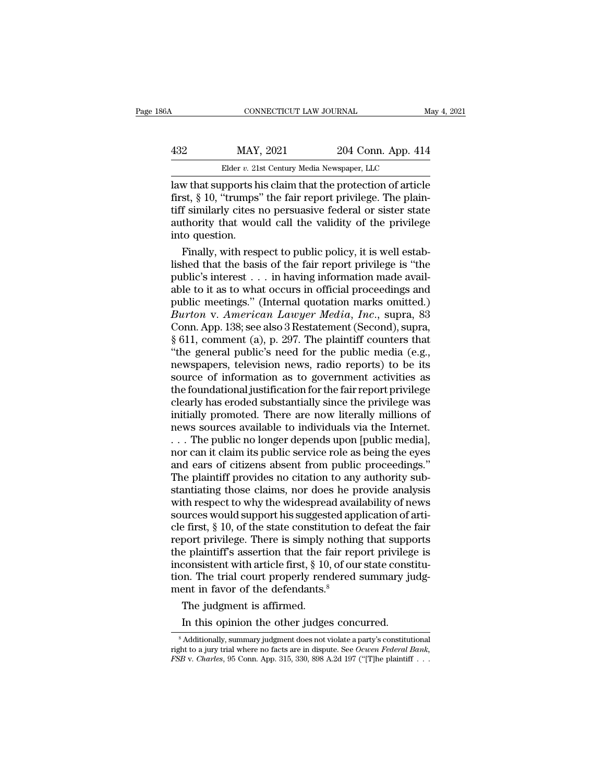| 86A | CONNECTICUT LAW JOURNAL                    |                    | May 4, 2021 |
|-----|--------------------------------------------|--------------------|-------------|
|     |                                            |                    |             |
| 432 | MAY, 2021                                  | 204 Conn. App. 414 |             |
|     | Elder v. 21st Century Media Newspaper, LLC |                    |             |

CONNECTICUT LAW JOURNAL May 4, 2021<br>
MAY, 2021 204 Conn. App. 414<br>
Elder v. 21st Century Media Newspaper, LLC<br>
Law that supports his claim that the protection of article<br>
first, § 10, "trumps" the fair report privilege. Th MAY, 2021 204 Conn. App. 414<br>Elder v. 21st Century Media Newspaper, LLC<br>Law that supports his claim that the protection of article<br>first, § 10, "trumps" the fair report privilege. The plain-<br>tiff similarly cites no persuas  $\frac{\text{MAX, 2021}}{\text{Elder } v. 21 \text{st Century Media Newspaper, LLC}}$ <br>
Law that supports his claim that the protection of article<br>
first, § 10, "trumps" the fair report privilege. The plain-<br>
tiff similarly cites no persuasive federal or sister state<br> 432 MAY, 2021 204 Conn. App. 414<br>Elder v. 21st Century Media Newspaper, LLC<br>Law that supports his claim that the protection of article<br>first, § 10, "trumps" the fair report privilege. The plain-<br>tiff similarly cites no pe  $\begin{tabular}{l|c} \hline \textbf{Elder } v. 21s \\ \hline \textbf{law that supports h} \\ \hline \textbf{first, $ $10$, "trumps'} \\ \textbf{diff similarly cities } \textbf{in} \\ \textbf{authority that wou \\ \textbf{into question.} \\ \textbf{Finally, with resp} \end{tabular}$ Finally, it is claim that the protection of article<br>st,  $\S$  10, "trumps" the fair report privilege. The plain-<br>f similarly cites no persuasive federal or sister state<br>thority that would call the validity of the privilege<br> law that supports his claim that the protection of article<br>first, § 10, "trumps" the fair report privilege. The plain-<br>tiff similarly cites no persuasive federal or sister state<br>authority that would call the validity of th

first, § 10, "trumps" the fair report privilege. The plain-<br>tiff similarly cites no persuasive federal or sister state<br>authority that would call the validity of the privilege<br>into question.<br>Finally, with respect to public tiff similarly cites no persuasive federal or sister state<br>authority that would call the validity of the privilege<br>into question.<br>Finally, with respect to public policy, it is well estab-<br>lished that the basis of the fair authority that would call the validity of the privilege<br>into question.<br>'' Finally, with respect to public policy, it is well estab-<br>lished that the basis of the fair report privilege is "the<br>public's interest . . . in havi into question.<br> *Finally, with respect to public policy, it is well established that the basis of the fair report privilege is "the public's interest . . . in having information made available to it as to what occurs in of* Finally, with respect to public policy, it is well established that the basis of the fair report privilege is "the public's interest  $\ldots$  in having information made available to it as to what occurs in official proceedin lished that the basis of the fair report privilege is "the public's interest . . . in having information made available to it as to what occurs in official proceedings and public meetings." (Internal quotation marks omitt public's interest . . . in having information made available to it as to what occurs in official proceedings and public meetings." (Internal quotation marks omitted.)<br>Burton v. American Lawyer Media, Inc., supra, 83<br>Conn. able to it as to what occurs in official proceedings and<br>public meetings." (Internal quotation marks omitted.)<br>*Burton v. American Lawyer Media, Inc.*, supra, 83<br>Conn. App. 138; see also 3 Restatement (Second), supra,<br> $\S$ public meetings." (Internal quotation marks omitted.)<br>Burton v. American Lawyer Media, Inc., supra, 83<br>Conn. App. 138; see also 3 Restatement (Second), supra,<br>§ 611, comment (a), p. 297. The plaintiff counters that<br>"the ge Burton v. American Lawyer Media, Inc., supra, 83<br>Conn. App. 138; see also 3 Restatement (Second), supra,<br>§ 611, comment (a), p. 297. The plaintiff counters that<br>"the general public's need for the public media (e.g.,<br>newspa Conn. App. 138; see also 3 Restatement (Second), supra, § 611, comment (a), p. 297. The plaintiff counters that "the general public's need for the public media (e.g., newspapers, television news, radio reports) to be its s  $\S$  611, comment (a), p. 297. The plaintiff counters that<br>
"the general public's need for the public media (e.g.,<br>
newspapers, television news, radio reports) to be its<br>
source of information as to government activities a "the general public's need for the public media (e.g., newspapers, television news, radio reports) to be its source of information as to government activities as the foundational justification for the fair report privilege newspapers, television news, radio reports) to be its<br>source of information as to government activities as<br>the foundational justification for the fair report privilege<br>clearly has eroded substantially since the privilege w source of information as to government activities as<br>the foundational justification for the fair report privilege<br>clearly has eroded substantially since the privilege was<br>initially promoted. There are now literally million the foundational justification for the fair report privilege<br>clearly has eroded substantially since the privilege was<br>initially promoted. There are now literally millions of<br>news sources available to individuals via the In clearly has eroded substantially since the privilege was<br>initially promoted. There are now literally millions of<br>news sources available to individuals via the Internet.<br>. . . The public no longer depends upon [public media initially promoted. There are now literally millions of<br>news sources available to individuals via the Internet.<br>. . . The public no longer depends upon [public media],<br>nor can it claim its public service role as being the news sources available to individuals via the Internet.<br>
... The public no longer depends upon [public media],<br>
nor can it claim its public service role as being the eyes<br>
and ears of citizens absent from public proceeding ... The public no longer depends upon [public media], nor can it claim its public service role as being the eyes and ears of citizens absent from public proceedings."<br>The plaintiff provides no citation to any authority sub nor can it claim its public service role as being the eyes<br>and ears of citizens absent from public proceedings."<br>The plaintiff provides no citation to any authority sub-<br>stantiating those claims, nor does he provide analys and ears of citizens absent from public proceedings."<br>The plaintiff provides no citation to any authority substantiating those claims, nor does he provide analysis<br>with respect to why the widespread availability of news<br>so The plaintiff provides no citation to any authority substantiating those claims, nor does he provide analysis<br>with respect to why the widespread availability of news<br>sources would support his suggested application of arti stantiating those claims, nor does he provide analysis<br>with respect to why the widespread availability of news<br>sources would support his suggested application of arti-<br>cle first, § 10, of the state constitution to defeat t with respect to why the widespread availability of news<br>sources would support his suggested application of arti-<br>cle first,  $\S$  10, of the state constitution to defeat the fair<br>report privilege. There is simply nothing th sources would support his suggested app<br>cle first,  $\S$  10, of the state constitution to<br>report privilege. There is simply nothing<br>the plaintiff's assertion that the fair rep<br>inconsistent with article first,  $\S$  10, of our e first, § 10, of the state constitution port privilege. There is simply replaint<br>if if a ssertion that the factor is affinited. Such that the factor<br>sistent with article first, § 10, on. The trial court properly rendent<br>i port privilege. There is simply nothing that supple<br>e plaintiff's assertion that the fair report privileg<br>consistent with article first, § 10, of our state const<br>on. The trial court properly rendered summary ju<br>ent in favo

<sup>8</sup> Additionally, summary judgment does not violate a party's constitutional<br>  $\frac{1}{8}$  Additionally, summary judgment does not violate a party's constitutional<br>  $\frac{1}{8}$  Additionally, summary judgment does not violate a p The judgment is affirmed.<br>
In this opinion the other judges concurred.<br>
<sup>8</sup> Additionally, summary judgment does not violate a party's constitutional<br>
right to a jury trial where no facts are in dispute. See *Ocwen Federal FRE Judgment is affirmed.*<br> *FSB* v. *Charles*, 95 Conn. App. 315, 330, 898 A.2d 197 ("T]he plaintiff . . .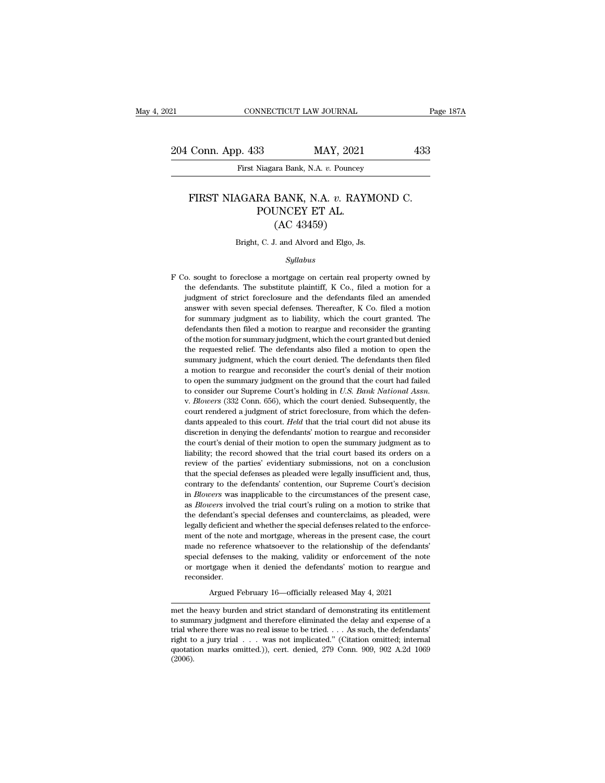EXECTIVE CONNECTICUT LAW JOURNAL Page 187A<br>204 Conn. App. 433 MAY, 2021 433<br>First Niagara Bank, N.A. v. Pouncey

First Niagara Bank, N.A. *v.* Pouncey

### Exp. 433<br>
First Niagara Bank, N.A. *v.* Pouncey<br>
FIRST NIAGARA BANK, N.A. *v.* RAYMOND C.<br>
POUNCEY ET AL. MAY, 2021<br>
Niagara Bank, N.A. v. Pouncey<br>
RA BANK, N.A. v. RAYI<br>
POUNCEY ET AL.<br>
(AC 43459) MAY, 2021<br>
Tan Bank, N.A. v. Pouncey<br>
BANK, N.A. v. RAY<br>
UNCEY ET AL.<br>
(AC 43459)<br>
L. and Alvord and Elgo, Js. FIRST NIAGARA BANK, N.A. v. RAYMOND C.<br>POUNCEY ET AL.<br>(AC 43459)<br>Bright, C. J. and Alvord and Elgo, Js.

### *Syllabus*

( $\rm AC$  43459)<br>Bright, C. J. and Alvord and Elgo, Js.<br> $Syllabus$ <br>F Co. sought to foreclose a mortgage on certain real property owned by<br>the defendants. The substitute plaintiff, K Co., filed a motion for a Bright, C. J. and Alvord and Elgo, Js.<br>Syllabus<br>o. sought to foreclose a mortgage on certain real property owned by<br>the defendants. The substitute plaintiff, K Co., filed a motion for a<br>judgment of strict foreclosure and t Bright, C. J. and Alvord and Elgo, Js.<br>Syllabus<br>o. sought to foreclose a mortgage on certain real property owned by<br>the defendants. The substitute plaintiff, K Co., filed a motion for a<br>judgment of strict foreclosure and t *Syllabus*<br>
o. sought to foreclose a mortgage on certain real property owned by<br>
the defendants. The substitute plaintiff, K Co., filed a motion for a<br>
judgment of strict foreclosure and the defendants filed an amended<br>
an Syllabus<br>
for summary in the defendants. The substitute plaintiff, K Co., filed a motion for a<br>
judgment of strict foreclosure and the defendants filed an amended<br>
answer with seven special defenses. Thereafter, K Co. file o. sought to foreclose a mortgage on certain real property owned by<br>the defendants. The substitute plaintiff, K Co., filed a motion for a<br>judgment of strict foreclosure and the defendants filed an amended<br>answer with seven of the defendants. The substitute plaintiff, K Co., filed a motion for a judgment of strict foreclosure and the defendants filed an amended answer with seven special defenses. Thereafter, K Co. filed a motion for summary j in the requested relief. The defendants also filed an amended answer with seven special defenses. Thereafter, K Co. filed a motion for summary judgment as to liability, which the court granted. The defendants then filed a summary intervalses are special defenses. Thereafter, K Co. filed a motion for summary judgment as to liability, which the court granted. The defendants then filed a motion to reargue and reconsider the granting of the mot for summary judgment as to liability, which the court granted. The defendants then filed a motion to reargue and reconsider the granting of the motion for summary judgment, which the court granted but denied the requested defendants then filed a motion to reargue and reconsider the granting<br>of the motion for summary judgment, which the court granted but denied<br>the requested relief. The defendants also filed a motion to open the<br>summary judg of the motion for summary judgment, which the court granted but denied<br>the requested relief. The defendants also filed a motion to open the<br>summary judgment, which the court denied. The defendants then filed<br>a motion to re the requested relief. The defendants also filed a motion to open the summary judgment, which the court denied. The defendants then filed a motion to reargue and reconsider the court's denial of their motion to open the su a motion to reargue and reconsider the court's denial of their motion<br>to open the summary judgment on the ground that the court had failed<br>to consider our Supreme Court's holding in *U.S. Bank National Assn.*<br>v. *Blowers* to open the summary judgment on the ground that the court had failed<br>to consider our Supreme Court's holding in  $U.S. Bank National Assn$ .<br>v. Blowers (332 Conn. 656), which the court denied. Subsequently, the<br>court rendered a judgment of to consider our Supreme Court's holding in *U.S. Bank National Assn.*<br>v. *Blowers* (332 Conn. 656), which the court denied. Subsequently, the<br>court rendered a judgment of strict foreclosure, from which the defen-<br>dants app v. *Blowers* (332 Conn. 656), which the court denied. Subsequently, the court rendered a judgment of strict foreclosure, from which the defendants appealed to this court. *Held* that the trial court did not abuse its discr review of the parties' evidentiary submissions, not on a conclusion that the parties' evidentiary submission in denying the defendants' motion to reargue and reconsider the court's denial of their motion to open the summar dants appealed to this court. *Held* that the trial court did not abuse its discretion in denying the defendants' motion to reargue and reconsider the court's denial of their motion to open the summary judgment as to liabi discretion in denying the defendants' motion to reargue and reconsider<br>the court's denial of their motion to open the summary judgment as to<br>liability; the record showed that the trial court based its orders on a<br>review of the court's denial of their motion to open the summary judgment as to liability; the record showed that the trial court based its orders on a review of the parties' evidentiary submissions, not on a conclusion that the spe review of the parties' evidentiary submissions, not on a conclusion<br>that the special defenses as pleaded were legally insufficient and, thus,<br>contrary to the defendants' contention, our Supreme Court's decision<br>in *Blowers* First that the special defenses as pleaded were legally insufficient and, thus, contrary to the defendants' contention, our Supreme Court's decision in *Blowers* was inapplicable to the circumstances of the present case, a contrary to the defendants' contention, our Supreme Court's decision<br>in *Blowers* was inapplicable to the circumstances of the present case,<br>as *Blowers* involved the trial court's ruling on a motion to strike that<br>the def in *Blowers* was inapplicable to the circumstances of the present case, as *Blowers* involved the trial court's ruling on a motion to strike that the defendant's special defenses and counterclaims, as pleaded, were legally as *Blowers* involved the trial court's ruling on a motion to strike that the defendant's special defenses and counterclaims, as pleaded, were legally deficient and whether the special defenses related to the enforcement o the defendant's special defenses and counterclaims, as pleaded, were legally deficient and whether the special defenses related to the enforcement of the note and mortgage, whereas in the present case, the court made no re reconsider. ment of the note and mortgage, whereas in the present case, the court<br>made no reference whatsoever to the relationship of the defendants'<br>special defenses to the making, validity or enforcement of the note<br>or mortgage when special defenses to the making, validity or enforcement of the note<br>or mortgage when it denied the defendants' motion to reargue and<br>reconsider.<br>Argued February 16—officially released May 4, 2021<br>met the heavy burden and s

or mortgage when it denied the defendants' motion to reargue and<br>reconsider.<br>Argued February 16—officially released May 4, 2021<br>met the heavy burden and strict standard of demonstrating its entitlement<br>to summary judgment reconsider.<br>Argued February 16—officially released May 4, 2021<br>met the heavy burden and strict standard of demonstrating its entitlement<br>to summary judgment and therefore eliminated the delay and expense of a<br>trial where t Argued February 16—officially released May 4, 2021<br>
met the heavy burden and strict standard of demonstrating its entitlement<br>
to summary judgment and therefore eliminated the delay and expense of a<br>
trial where there was Argued February 16—officially released May 4, 2021<br>met the heavy burden and strict standard of demonstrating its entitlement<br>to summary judgment and therefore eliminated the delay and expense of a<br>trial where there was no (2006).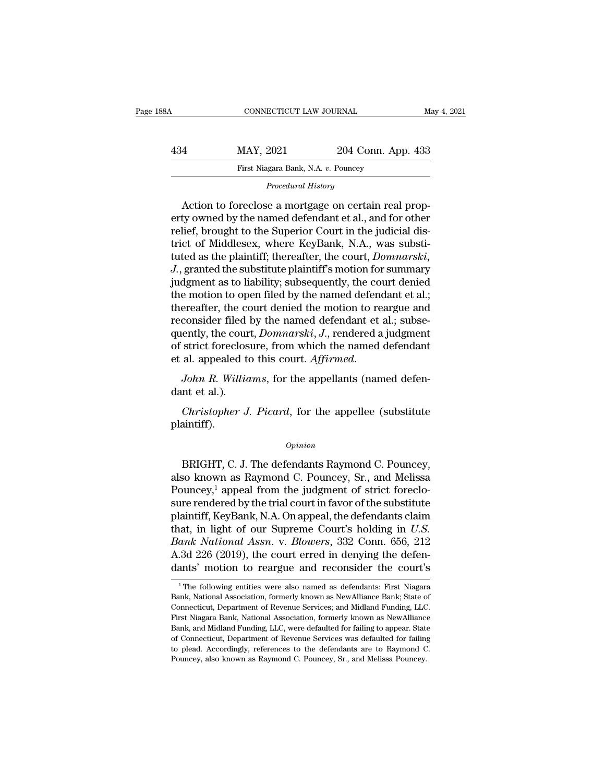|     | CONNECTICUT LAW JOURNAL                             |                    | May 4, 2021 |
|-----|-----------------------------------------------------|--------------------|-------------|
| 434 | MAY, 2021                                           | 204 Conn. App. 433 |             |
|     | First Niagara Bank, N.A. v. Pouncey                 |                    |             |
|     | Procedural History                                  |                    |             |
|     | Letian to faracless a mortgage on cortain real prop |                    |             |

MAY, 2021 204 Conn. App. 433<br>
First Niagara Bank, N.A. v. Pouncey<br>
Procedural History<br>
Action to foreclose a mortgage on certain real prop-<br>
ty owned by the named defendant et al., and for other<br>
Night to the Superior Cour MAY, 2021 204 Conn. App. 433<br>
First Niagara Bank, N.A. v. Pouncey<br>
Procedural History<br>
Action to foreclose a mortgage on certain real property<br>
owned by the named defendant et al., and for other<br>
relief, brought to the Sup MAY, 2021 204 Conn. App. 433<br>
First Niagara Bank, N.A. v. Pouncey<br>
Procedural History<br>
Action to foreclose a mortgage on certain real prop-<br>
erty owned by the named defendant et al., and for other<br>
relief, brought to the S First Niagara Bank, N.A. v. Pouncey<br>
Procedural History<br>
Action to foreclose a mortgage on certain real prop-<br>
erty owned by the named defendant et al., and for other<br>
relief, brought to the Superior Court in the judicial Procedural History<br>Action to foreclose a mortgage on certain real prop-<br>erty owned by the named defendant et al., and for other<br>relief, brought to the Superior Court in the judicial dis-<br>trict of Middlesex, where KeyBank, *J. Locedard History*<br>Action to foreclose a mortgage on certain real prop-<br>erty owned by the named defendant et al., and for other<br>relief, brought to the Superior Court in the judicial dis-<br>trict of Middlesex, where KeyBan Action to foreclose a mortgage on certain real property owned by the named defendant et al., and for other relief, brought to the Superior Court in the judicial district of Middlesex, where KeyBank, N.A., was substituted a erty owned by the named defendant et al., and for other<br>relief, brought to the Superior Court in the judicial dis-<br>trict of Middlesex, where KeyBank, N.A., was substi-<br>tuted as the plaintiff; thereafter, the court, *Domnar* relief, brought to the Superior Court in the judicial district of Middlesex, where KeyBank, N.A., was substituted as the plaintiff; thereafter, the court, *Domnarski*, J., granted the substitute plaintiff's motion for summ trict of Middlesex, where KeyBank, N.A., was substituted as the plaintiff; thereafter, the court, *Domnarski*, *J.*, granted the substitute plaintiff's motion for summary judgment as to liability; subsequently, the court d tuted as the plaintiff; thereafter, the court, *Domnarski*, *J.*, granted the substitute plaintiff's motion for summary judgment as to liability; subsequently, the court denied the motion to open filed by the named defenda J., granted the substitute plaintiff's motion for summary<br>judgment as to liability; subsequently, the court denied<br>the motion to open filed by the named defendant et al.;<br>thereafter, the court denied the motion to reargue judgment as to liability; subsequently, the court denied<br>the motion to open filed by the named defendant et al.;<br>thereafter, the court denied the motion to reargue and<br>reconsider filed by the named defendant et al.; subserecenter, the correct<br>reconsider filed<br>quently, the cour<br>of strict foreclos<br>et al. appealed to<br>John R. Willia<br>dant et al.).<br>*Christopher J.* ently, the court, *Domnarski*, *J.*, rendered a judgment<br>strict foreclosure, from which the named defendant<br>al. appealed to this court. Affirmed.<br>*John R. Williams*, for the appellants (named defen-<br>nt et al.).<br>*Christophe* 

plaintiff).

### *Opinion*

France Channel (named actor)<br>
In et al.).<br>
Christopher J. Picard, for the appellee (substitute<br>
aintiff).<br>  $\frac{1}{2}$ <br>  $\frac{1}{2}$ <br>
BRIGHT, C. J. The defendants Raymond C. Pouncey,<br>
so known as Raymond C. Pouncey, Sr., and Me Christopher J. Picard, for the appellee (substitute<br>plaintiff).<br> $\qquad$ <br> $\qquad$   $\qquad$   $\qquad$   $\qquad$   $\qquad$   $\qquad$   $\qquad$   $\qquad$   $\qquad$   $\qquad$   $\qquad$   $\qquad$   $\qquad$   $\qquad$   $\qquad$   $\qquad$   $\qquad$   $\qquad$   $\qquad$   $\qquad$   $\qquad$   $\qquad$   $\qquad$   $\qquad$   $\qquad$  Christopher J. Picard, for the appellee (substitute<br>plaintiff).<br> $\frac{opinion}{D}$ <br>BRIGHT, C. J. The defendants Raymond C. Pouncey,<br>also known as Raymond C. Pouncey, Sr., and Melissa<br>Pouncey,<sup>1</sup> appeal from the judgment of strict opinion<br>
opinion<br>
BRIGHT, C. J. The defendants Raymond C. Pouncey,<br>
also known as Raymond C. Pouncey, Sr., and Melissa<br>
Pouncey,<sup>1</sup> appeal from the judgment of strict foreclo-<br>
sure rendered by the trial court in favor of *Opinion*<br>BRIGHT, C. J. The defendants Raymond C. Pouncey,<br>also known as Raymond C. Pouncey, Sr., and Melissa<br>Pouncey,<sup>1</sup> appeal from the judgment of strict foreclo-<br>sure rendered by the trial court in favor of the substi BRIGHT, C. J. The defendants Raymond C. Pouncey,<br>also known as Raymond C. Pouncey, Sr., and Melissa<br>Pouncey,<sup>1</sup> appeal from the judgment of strict foreclo-<br>sure rendered by the trial court in favor of the substitute<br>plaint *BRIGHT*, C. J. The defendants Raymond C. Pouncey,<br>also known as Raymond C. Pouncey, Sr., and Melissa<br>Pouncey,<sup>1</sup> appeal from the judgment of strict foreclo-<br>sure rendered by the trial court in favor of the substitute<br>plai also known as Raymond C. Pouncey, Sr., and Melissa<br>Pouncey,<sup>1</sup> appeal from the judgment of strict foreclo-<br>sure rendered by the trial court in favor of the substitute<br>plaintiff, KeyBank, N.A. On appeal, the defendants cla Pouncey,<sup>1</sup> appeal from the judgment of strict foreclosure rendered by the trial court in favor of the substitute plaintiff, KeyBank, N.A. On appeal, the defendants claim that, in light of our Supreme Court's holding in aat, in light of our Supreme Court's holding in  $U.S.$ <br>ank National Assn. v. Blowers, 332 Conn. 656, 212<br>.3d 226 (2019), the court erred in denying the defen-<br>ants' motion to reargue and reconsider the court's<br> $^1$ The foll Bank National Assn. v. Blowers, 332 Conn. 656, 212<br>A.3d 226 (2019), the court erred in denying the defen-<br>dants' motion to reargue and reconsider the court's<br><sup>1</sup>The following entities were also named as defendants: First N

A.3d 226 (2019), the court erred in denying the defendants' motion to reargue and reconsider the court's<br><sup>1</sup>The following entities were also named as defendants: First Niagara<br>Bank, National Association, formerly known as First Niagara Bank, National Association, formerly known as NewAlliance Bank, State of Connecticut, Department of Revenue Services; and Midland Funding, LLC. First Niagara Bank, National Association, formerly known as NewA The following entities were also named as defendants: First Niagara<br>Bank, National Association, formerly known as NewAlliance Bank; State of<br>Connecticut, Department of Revenue Services; and Midland Funding, LLC.<br>First Niag <sup>1</sup> The following entities were also named as defendants: First Niagara Bank, National Association, formerly known as NewAlliance Bank; State of Connecticut, Department of Revenue Services; and Midland Funding, LLC. First <sup>1</sup> The following entities were also named as defendants: First Niagara Bank, National Association, formerly known as NewAlliance Bank; State of Connecticut, Department of Revenue Services; and Midland Funding, LLC. First First Niagara Bank, National Association, formerly known as NewAlliance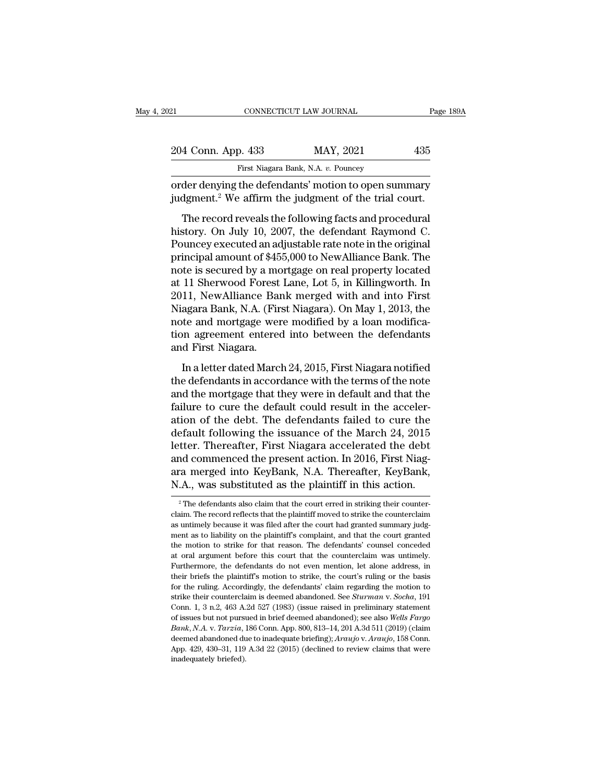| 21                                                                                                                        | CONNECTICUT LAW JOURNAL             | Page 189A |
|---------------------------------------------------------------------------------------------------------------------------|-------------------------------------|-----------|
|                                                                                                                           |                                     |           |
| 204 Conn. App. 433                                                                                                        | MAY, 2021                           | 435       |
|                                                                                                                           | First Niagara Bank, N.A. v. Pouncey |           |
| order denying the defendants' motion to open summary<br>judgment. <sup>2</sup> We affirm the judgment of the trial court. |                                     |           |
| The record reveals the following facts and procedural                                                                     |                                     |           |
| history. On July 10, 2007, the defendant Raymond C.                                                                       |                                     |           |
| Downsey executed an ediversible rate note in the original                                                                 |                                     |           |

204 Conn. App. 433 MAY, 2021<br>
First Niagara Bank, N.A. v. Pouncey<br>
order denying the defendants' motion to open summary<br>
judgment.<sup>2</sup> We affirm the judgment of the trial court.<br>
The record reveals the following facts and First Niagara Bank, N.A. v. Pouncey<br>
order denying the defendants' motion to open summary<br>
judgment.<sup>2</sup> We affirm the judgment of the trial court.<br>
The record reveals the following facts and procedural<br>
history. On July 10 order denying the defendants' motion to open summary<br>judgment.<sup>2</sup> We affirm the judgment of the trial court.<br>The record reveals the following facts and procedural<br>history. On July 10, 2007, the defendant Raymond C.<br>Pouncey judgment.<sup>2</sup> We affirm the judgment of the trial court.<br>The record reveals the following facts and procedural<br>history. On July 10, 2007, the defendant Raymond C.<br>Pouncey executed an adjustable rate note in the original<br>pr The record reveals the following facts and procedural<br>history. On July 10, 2007, the defendant Raymond C.<br>Pouncey executed an adjustable rate note in the original<br>principal amount of \$455,000 to NewAlliance Bank. The<br>note The record reveals the following facts and procedural<br>history. On July 10, 2007, the defendant Raymond C.<br>Pouncey executed an adjustable rate note in the original<br>principal amount of \$455,000 to NewAlliance Bank. The<br>note history. On July 10, 2007, the defendant Raymond C.<br>Pouncey executed an adjustable rate note in the original<br>principal amount of \$455,000 to NewAlliance Bank. The<br>note is secured by a mortgage on real property located<br>at 1 Pouncey executed an adjustable rate note in the original<br>principal amount of \$455,000 to NewAlliance Bank. The<br>note is secured by a mortgage on real property located<br>at 11 Sherwood Forest Lane, Lot 5, in Killingworth. In<br>2 principal amount of \$455,000 to NewAlliance Bank. The<br>note is secured by a mortgage on real property located<br>at 11 Sherwood Forest Lane, Lot 5, in Killingworth. In<br>2011, NewAlliance Bank merged with and into First<br>Niagara note is secured by a mo<br>at 11 Sherwood Forest<br>2011, NewAlliance Ban<br>Niagara Bank, N.A. (Fir<br>note and mortgage wer<br>tion agreement entered<br>and First Niagara.<br>In a letter dated Marc 11 sherwood 1 stess Earte, Esse 9, It Hamily World: It<br>11, NewAlliance Bank merged with and into First<br>agara Bank, N.A. (First Niagara). On May 1, 2013, the<br>te and mortgage were modified by a loan modifica-<br>on agreement en EUT, NUMTHARRY DAIN INCREAST WITH AND THE NIAGRAY NIAGRAY NIAGRAY NIAGRANDING and mortgage were modified by a loan modification agreement entered into between the defendants and First Niagara.<br>In a letter dated March 24, 2

Finagura Bank, Finit (First Finagura). On half 1, 2010, are<br>note and mortgage were modified by a loan modifica-<br>tion agreement entered into between the defendants<br>and First Niagara.<br>In a letter dated March 24, 2015, First fraction agreement entered into between the defendants<br>and First Niagara.<br>In a letter dated March 24, 2015, First Niagara notified<br>the defendants in accordance with the terms of the note<br>and the mortgage that they were in and First Niagara.<br>
In a letter dated March 24, 2015, First Niagara notified<br>
the defendants in accordance with the terms of the note<br>
and the mortgage that they were in default and that the<br>
failure to cure the default co In a letter dated March 24, 2015, First Niagara notified<br>the defendants in accordance with the terms of the note<br>and the mortgage that they were in default and that the<br>failure to cure the default could result in the acce In a letter dated March 24, 2015, First Niagara notified<br>the defendants in accordance with the terms of the note<br>and the mortgage that they were in default and that the<br>failure to cure the default could result in the acce the defendants in accordance with the terms of the note<br>and the mortgage that they were in default and that the<br>failure to cure the default could result in the acceler-<br>ation of the debt. The defendants failed to cure the<br> and the mortgage that they were in default and that the failure to cure the default could result in the acceleration of the debt. The defendants failed to cure the default following the issuance of the March 24, 2015 lette failure to cure the default could result in the acceleration of the debt. The defendants failed to cure the default following the issuance of the March 24, 2015 letter. Thereafter, First Niagara accelerated the debt and c tter. Thereafter, First Niagara accelerated the debt<br>nd commenced the present action. In 2016, First Niag-<br>ra merged into KeyBank, N.A. Thereafter, KeyBank,<br>A., was substituted as the plaintiff in this action.<br><sup>2</sup> The defe and commenced the present action. In 2016, First Niag-<br>ara merged into KeyBank, N.A. Thereafter, KeyBank,<br>N.A., was substituted as the plaintiff in this action.<br> $\frac{1}{2}$ The defendants also claim that the counterclain str

ara merged into KeyBank, N.A. Thereafter, KeyBank, N.A., was substituted as the plaintiff in this action.<br> $\frac{1}{2}$ The defendants also claim that the court erred in striking their counterclaim. The record reflects that th M.A., was substituted as the plaintiff in this action.<br>
<sup>2</sup> The defendants also claim that the court erred in striking their counter-<br>
claim. The record reflects that the plaintiff moved to strike the counterclaim<br>
as unt The motion to strike for that the court erred in striking their counter-<br>claim. The record reflects that the plaintiff moved to strike the counterclaim<br>as untimely because it was filed after the court had granted summary <sup>2</sup> The defendants also claim that the court erred in striking their counterclaim. The record reflects that the plaintiff moved to strike the counterclaim as untimely because it was filed after the court had granted summa claim. The record reflects that the plaintiff moved to strike the counterclaim as untimely because it was filed after the court had granted summary judgment as to liability on the plaintiff's complaint, and that the court as untimely because it was filed after the court had granted summary judgment as to liability on the plaintiff's complaint, and that the court granted the motion to strike for that reason. The defendants' counsel conceded ment as to liability on the plaintiff's complaint, and that the court granted the motion to strike for that reason. The defendants' counsel conceded at oral argument before this court that the counterclaim was untimely. Fu the motion to strike for that reason. The defendants' counsel conceded at oral argument before this court that the counterclaim was untimely. Furthermore, the defendants do not even mention, let alone address, in their bri at oral argument before this court that the counterclaim was untimely.<br>Furthermore, the defendants do not even mention, let alone address, in<br>their briefs the plaintiff's motion to strike, the court's ruling or the basis<br>f Furthermore, the defendants do not even mention, let alone address, in<br>their briefs the plaintiff's motion to strike, the court's ruling or the basis<br>for the ruling. Accordingly, the defendants' claim regarding the motion *Bank*, *N.A.* v. *Tarzia*, 186 Conn. App. 800, 813–14, 201 A.3d 511 (2019) (claim deemed abandoned use to more about 3 claim regarding the motion to strike their counterclaim is deemed abandoned. See *Sturman v. Socha*, 1 for the ruling. Accordingly, the defendants' claim regarding the motion to strike their counterclaim is deemed abandoned. See *Sturman v. Socha*, 191 Conn. 1, 3 n.2, 463 A.2d 527 (1983) (issue raised in preliminary stateme Extrike their counterclaim is deemed abandoned. See *Sturman* v. *Socha*, 191 Conn. 1, 3 n.2, 463 A.2d 527 (1983) (issue raised in preliminary statement of issues but not pursued in brief deemed abandoned); see also *Well* strike their counterclaim is deemed abandoned. See *Sturman v. Socha*, 191 Conn. 1, 3 n.2, 463 A.2d 527 (1983) (issue raised in preliminary statement of issues but not pursued in brief deemed abandoned); see also *Wells F*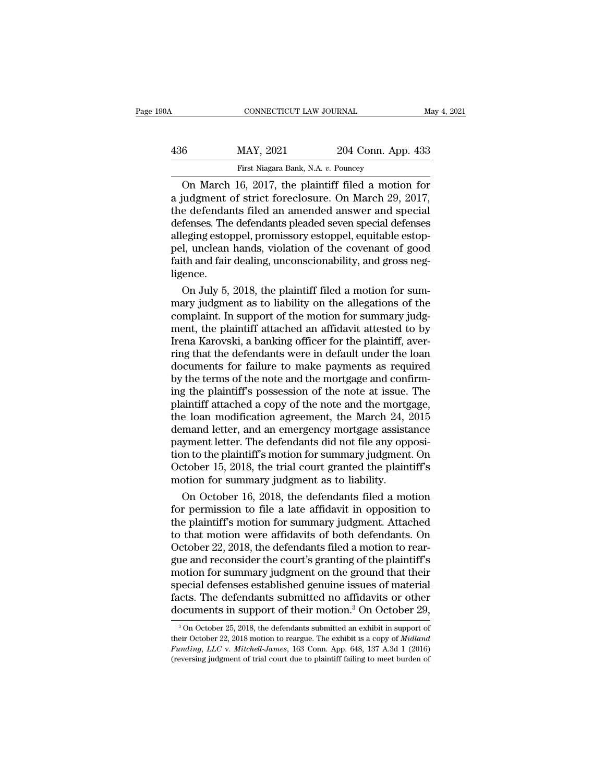| 190A | CONNECTICUT LAW JOURNAL             |                                                                                                                                                                   | May 4, 2021 |
|------|-------------------------------------|-------------------------------------------------------------------------------------------------------------------------------------------------------------------|-------------|
| 436  | MAY, 2021                           | 204 Conn. App. 433                                                                                                                                                |             |
|      | First Niagara Bank, N.A. v. Pouncey |                                                                                                                                                                   |             |
|      |                                     | On March 16, 2017, the plaintiff filed a motion for<br>a judgment of strict foreclosure. On March 29, 2017,<br>the defendants filed an amonded answer and special |             |

MAY, 2021 204 Conn. App. 433<br>
First Niagara Bank, N.A. v. Pouncey<br>
On March 16, 2017, the plaintiff filed a motion for<br>
a judgment of strict foreclosure. On March 29, 2017,<br>
the defendants filed an amended answer and speci  $\frac{\text{MAX, } 2021}{\text{First Niagara Bank, N.A. } v. \text{ Pounces}}$ <br>On March 16, 2017, the plaintiff filed a motion for<br>a judgment of strict foreclosure. On March 29, 2017,<br>the defendants filed an amended answer and special<br>defenses. The defendants p MAY, 2021 204 Conn. App. 433<br>
First Niagara Bank, N.A. v. Pouncey<br>
On March 16, 2017, the plaintiff filed a motion for<br>
a judgment of strict foreclosure. On March 29, 2017,<br>
the defendants filed an amended answer and speci First Niagara Bank, N.A. v. Pouncey<br>
On March 16, 2017, the plaintiff filed a motion for<br>
a judgment of strict foreclosure. On March 29, 2017,<br>
the defendants filed an amended answer and special<br>
defenses. The defendants p First Niagara Bank, N.A. v. Pouncey<br>
On March 16, 2017, the plaintiff filed a motion for<br>
a judgment of strict foreclosure. On March 29, 2017,<br>
the defendants filed an amended answer and special<br>
defenses. The defendants p On March 16, 2017, the plaintiff filed a motion for<br>a judgment of strict foreclosure. On March 29, 2017,<br>the defendants filed an amended answer and special<br>defenses. The defendants pleaded seven special defenses<br>alleging e ligence. e defendants filed an amended answer and special<br>fenses. The defendants pleaded seven special defenses<br>eging estoppel, promissory estoppel, equitable estop-<br>l, unclean hands, violation of the covenant of good<br>th and fair d defenses. The defendants pleaded seven special defenses<br>alleging estoppel, promissory estoppel, equitable estop-<br>pel, unclean hands, violation of the covenant of good<br>faith and fair dealing, unconscionability, and gross ne

alleging estoppel, promissory estoppel, equitable estop-<br>pel, unclean hands, violation of the covenant of good<br>faith and fair dealing, unconscionability, and gross neg-<br>ligence.<br>On July 5, 2018, the plaintiff filed a motio pel, unclean hands, violation of the covenant of good<br>faith and fair dealing, unconscionability, and gross neg-<br>ligence.<br>On July 5, 2018, the plaintiff filed a motion for sum-<br>mary judgment as to liability on the allegatio faith and fair dealing, unconscionability, and gross neg-<br>ligence.<br>On July 5, 2018, the plaintiff filed a motion for sum-<br>mary judgment as to liability on the allegations of the<br>complaint. In support of the motion for summ ligence.<br>
On July 5, 2018, the plaintiff filed a motion for summary judgment as to liability on the allegations of the<br>
complaint. In support of the motion for summary judgment, the plaintiff attached an affidavit attested On July 5, 2018, the plaintiff filed a motion for summary judgment as to liability on the allegations of the complaint. In support of the motion for summary judgment, the plaintiff attached an affidavit attested to by Iren mary judgment as to liability on the allegations of the complaint. In support of the motion for summary judgment, the plaintiff attached an affidavit attested to by Irena Karovski, a banking officer for the plaintiff, aver complaint. In support of the motion for summary judgment, the plaintiff attached an affidavit attested to by<br>Irena Karovski, a banking officer for the plaintiff, aver-<br>ring that the defendants were in default under the loa ment, the plaintiff attached an affidavit attested to by<br>Irena Karovski, a banking officer for the plaintiff, aver-<br>ring that the defendants were in default under the loan<br>documents for failure to make payments as required Irena Karovski, a banking officer for the plaintiff, aver-<br>ring that the defendants were in default under the loan<br>documents for failure to make payments as required<br>by the terms of the note and the mortgage and confirm-<br>i ring that the defendants were in default under the loan<br>documents for failure to make payments as required<br>by the terms of the note and the mortgage and confirm-<br>ing the plaintiff's possession of the note at issue. The<br>pla documents for failure to make payments as required<br>by the terms of the note and the mortgage and confirm-<br>ing the plaintiff's possession of the note at issue. The<br>plaintiff attached a copy of the note and the mortgage,<br>the by the terms of the note and the mortgage and confirming the plaintiff's possession of the note at issue. The plaintiff attached a copy of the note and the mortgage, the loan modification agreement, the March 24, 2015 dema ing the plaintiff's possession of the note at issue. The plaintiff attached a copy of the note and the mortgage, the loan modification agreement, the March 24, 2015 demand letter, and an emergency mortgage assistance payme plaintiff attached a copy of the note and the mortg<br>the loan modification agreement, the March 24, 2<br>demand letter, and an emergency mortgage assists<br>payment letter. The defendants did not file any opp<br>tion to the plaintif e loan modification agreement, the March 24, 2015<br>mand letter, and an emergency mortgage assistance<br>yment letter. The defendants did not file any opposi-<br>in to the plaintiff's motion for summary judgment. On<br>tober 15, 2018 demand letter, and an emergency mortgage assistance<br>payment letter. The defendants did not file any opposi-<br>tion to the plaintiff's motion for summary judgment. On<br>October 15, 2018, the trial court granted the plaintiff's<br>

payment letter. The defendants did not file any opposition to the plaintiff's motion for summary judgment. On<br>October 15, 2018, the trial court granted the plaintiff's<br>motion for summary judgment as to liability.<br>On Octobe tion to the plaintiff's motion for summary judgment. On<br>October 15, 2018, the trial court granted the plaintiff's<br>motion for summary judgment as to liability.<br>On October 16, 2018, the defendants filed a motion<br>for permissi October 15, 2018, the trial court granted the plaintiff's<br>motion for summary judgment as to liability.<br>On October 16, 2018, the defendants filed a motion<br>for permission to file a late affidavit in opposition to<br>the plainti motion for summary judgment as to liability.<br>
On October 16, 2018, the defendants filed a motion<br>
for permission to file a late affidavit in opposition to<br>
the plaintiff's motion for summary judgment. Attached<br>
to that mot On October 16, 2018, the defendants filed a motion<br>for permission to file a late affidavit in opposition to<br>the plaintiff's motion for summary judgment. Attached<br>to that motion were affidavits of both defendants. On<br>Octobe for permission to file a late affidavit in opposition to<br>the plaintiff's motion for summary judgment. Attached<br>to that motion were affidavits of both defendants. On<br>October 22, 2018, the defendants filed a motion to rear-<br> the plaintiff's motion for summary judgment. Attached<br>to that motion were affidavits of both defendants. On<br>October 22, 2018, the defendants filed a motion to rear-<br>gue and reconsider the court's granting of the plaintiff' to that motion were affidavits of both defendants. On October 22, 2018, the defendants filed a motion to reargue and reconsider the court's granting of the plaintiff's motion for summary judgment on the ground that their oction for summary judgment on the ground that their<br>pecial defenses established genuine issues of material<br>ccts. The defendants submitted no affidavits or other<br>pocuments in support of their motion.<sup>3</sup> On October 29,<br> $\frac$ special defenses established genuine issues of material facts. The defendants submitted no affidavits or other documents in support of their motion.<sup>3</sup> On October 29, <sup>3</sup> On October 25, 2018, the defendants submitted an ex

**Facts. The defendants submitted no affidavits or other documents in support of their motion.<sup>3</sup> On October 29,<br><sup>3</sup>On October 25, 2018, the defendants submitted an exhibit in support of their October 22, 2018 motion to rea** documents in support of their motion.<sup>3</sup> On October 29,<br><sup>3</sup> On October 25, 2018, the defendants submitted an exhibit in support of their October 22, 2018 motion to reargue. The exhibit is a copy of *Midland Funding, LLC*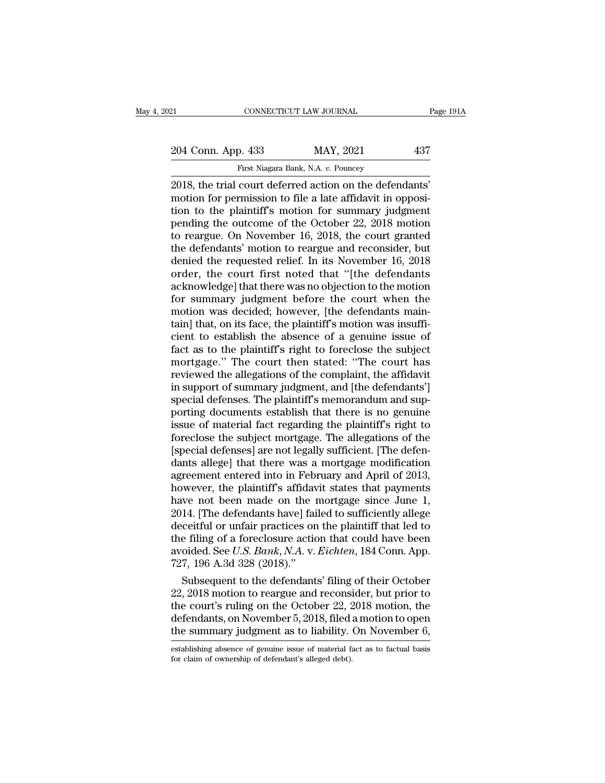# 21 CONNECTICUT LAW JOURNAL Page 191A<br>204 Conn. App. 433 MAY, 2021 437<br>First Niagara Bank, N.A. v. Pouncey FIRST CONNECTICUT LAW JOURNAL<br>P. 433 MAY, 2021<br>First Niagara Bank, N.A. *v.* Pouncey<br>COUT deferred action on the defer

2018, the trial court deferred action on the defendants'<br>
2018, the trial court deferred action on the defendants'<br>
2018, the trial court deferred action on the defendants'<br>
2018, the trial court deferred action on the def 204 Conn. App. 433 MAY, 2021 437<br>
First Niagara Bank, N.A. v. Pouncey<br>
2018, the trial court deferred action on the defendants'<br>
motion for permission to file a late affidavit in opposi-<br>
tion to the plaintiff's motion for 204 Conn. App. 433 MAY, 2021 437<br>
First Niagara Bank, N.A. v. Pouncey<br>
2018, the trial court deferred action on the defendants'<br>
motion for permission to file a late affidavit in opposi-<br>
tion to the plaintiff's motion fo 204 Conn. App. 433 MAY, 2021 437<br>
First Niagara Bank, N.A. v. Pouncey<br>
2018, the trial court deferred action on the defendants'<br>
motion for permission to file a late affidavit in opposi-<br>
tion to the plaintiff's motion for First Niagara Bank, N.A. v. Pouncey<br>2018, the trial court deferred action on the defendants'<br>motion for permission to file a late affidavit in opposi-<br>tion to the plaintiff's motion for summary judgment<br>pending the outcom First Niagara Bank, N.A. v. Pouncey<br>2018, the trial court deferred action on the defendants'<br>motion for permission to file a late affidavit in opposi-<br>tion to the plaintiff's motion for summary judgment<br>pending the outcome 2018, the trial court deferred action on the defendants'<br>motion for permission to file a late affidavit in opposi-<br>tion to the plaintiff's motion for summary judgment<br>pending the outcome of the October 22, 2018 motion<br>to r motion for permission to file a late affidavit in opposition to the plaintiff's motion for summary judgment<br>pending the outcome of the October 22, 2018 motion<br>to reargue. On November 16, 2018, the court granted<br>the defenda tion to the plaintiff's motion for summary judgment<br>pending the outcome of the October 22, 2018 motion<br>to reargue. On November 16, 2018, the court granted<br>the defendants' motion to reargue and reconsider, but<br>denied the re pending the outcome of the October 22, 2018 motion<br>to reargue. On November 16, 2018, the court granted<br>the defendants' motion to reargue and reconsider, but<br>denied the requested relief. In its November 16, 2018<br>order, the to reargue. On November 16, 2018, the court granted<br>the defendants' motion to reargue and reconsider, but<br>denied the requested relief. In its November 16, 2018<br>order, the court first noted that "[the defendants<br>acknowledge the defendants' motion to reargue and reconsider, but<br>denied the requested relief. In its November 16, 2018<br>order, the court first noted that "[the defendants<br>acknowledge] that there was no objection to the motion<br>for summ denied the requested relief. In its November 16, 2018<br>order, the court first noted that "[the defendants<br>acknowledge] that there was no objection to the motion<br>for summary judgment before the court when the<br>motion was deci order, the court first noted that "[the defendants<br>acknowledge] that there was no objection to the motion<br>for summary judgment before the court when the<br>motion was decided; however, [the defendants main-<br>tain] that, on its acknowledge] that there was no objection to the motion<br>for summary judgment before the court when the<br>motion was decided; however, [the defendants main-<br>tain] that, on its face, the plaintiff's motion was insuffi-<br>cient to for summary judgment before the court when the<br>motion was decided; however, [the defendants main-<br>tain] that, on its face, the plaintiff's motion was insuffi-<br>cient to establish the absence of a genuine issue of<br>fact as to motion was decided; however, [the defendants maintain] that, on its face, the plaintiff's motion was insufficient to establish the absence of a genuine issue of fact as to the plaintiff's right to foreclose the subject mor tain] that, on its face, the plaintiff's motion was insufficient to establish the absence of a genuine issue of fact as to the plaintiff's right to foreclose the subject mortgage." The court then stated: "The court has rev cient to establish the absence of a genuine issue of<br>fact as to the plaintiff's right to foreclose the subject<br>mortgage." The court then stated: "The court has<br>reviewed the allegations of the complaint, the affidavit<br>in su fact as to the plaintiff's right to foreclose the subject<br>mortgage." The court then stated: "The court has<br>reviewed the allegations of the complaint, the affidavit<br>in support of summary judgment, and [the defendants']<br>spec mortgage." The court then stated: "The court has<br>reviewed the allegations of the complaint, the affidavit<br>in support of summary judgment, and [the defendants']<br>special defenses. The plaintiff's memorandum and sup-<br>porting reviewed the allegations of the complaint, the affidavit<br>in support of summary judgment, and [the defendants']<br>special defenses. The plaintiff's memorandum and sup-<br>porting documents establish that there is no genuine<br>issu in support of summary judgment, and [the defendants']<br>special defenses. The plaintiff's memorandum and sup-<br>porting documents establish that there is no genuine<br>issue of material fact regarding the plaintiff's right to<br>for special defenses. The plaintiff's memorandum and sup-<br>porting documents establish that there is no genuine<br>issue of material fact regarding the plaintiff's right to<br>foreclose the subject mortgage. The allegations of the<br>[s porting documents establish that there is no genuine<br>issue of material fact regarding the plaintiff's right to<br>foreclose the subject mortgage. The allegations of the<br>[special defenses] are not legally sufficient. [The defe issue of material fact regarding the plaintiff's right to<br>foreclose the subject mortgage. The allegations of the<br>[special defenses] are not legally sufficient. [The defen-<br>dants allege] that there was a mortgage modificati foreclose the subject mortgage. The allegations of the<br>[special defenses] are not legally sufficient. [The defen-<br>dants allege] that there was a mortgage modification<br>agreement entered into in February and April of 2013,<br>h [special defenses] are not legally sufficient. [The defendants allege] that there was a mortgage modification<br>agreement entered into in February and April of 2013,<br>however, the plaintiff's affidavit states that payments<br>h dants allege] that there was a mortgage modification<br>agreement entered into in February and April of 2013,<br>however, the plaintiff's affidavit states that payments<br>have not been made on the mortgage since June 1,<br>2014. [Th agreement entered into in February and April of 2013,<br>however, the plaintiff's affidavit states that payments<br>have not been made on the mortgage since June 1,<br>2014. [The defendants have] failed to sufficiently allege<br>decei however, the plaintiff's affidave not been made on the 1<br>2014. [The defendants have] failed deceitful or unfair practices or<br>the filing of a foreclosure actic<br>avoided. See  $U.S. Bank, N.A. v.$ <br>727, 196 A.3d 328 (2018)."<br>Subsequen we not been made on the mortgage since June 1,<br>14. [The defendants have] failed to sufficiently allege<br>ceitful or unfair practices on the plaintiff that led to<br>6 filing of a foreclosure action that could have been<br>oided. 2014. [The defendants have] failed to sufficiently allege<br>deceitful or unfair practices on the plaintiff that led to<br>the filing of a foreclosure action that could have been<br>avoided. See *U.S. Bank*, *N.A.* v. *Eichten*, 1

deceitful or unfair practices on the plaintiff that led to<br>the filing of a foreclosure action that could have been<br>avoided. See *U.S. Bank*, *N.A.* v. *Eichten*, 184 Conn. App.<br>727, 196 A.3d 328 (2018)."<br>Subsequent to the the filing of a foreclosure action that could have been<br>avoided. See *U.S. Bank*, *N.A.* v*. Eichten*, 184 Conn. App.<br>727, 196 A.3d 328 (2018)."<br>Subsequent to the defendants' filing of their October<br>22, 2018 motion to rear avoided. See *U.S. Bank*, *N.A.* v. *Eichten*, 184 Conn. App.<br>727, 196 A.3d 328 (2018)."<br>Subsequent to the defendants' filing of their October<br>22, 2018 motion to reargue and reconsider, but prior to<br>the court's ruling on 22, 2018 motion to reargue and reconsider, but prior to<br>the court's ruling on the October 22, 2018 motion, the<br>defendants, on November 5, 2018, filed a motion to open<br>the summary judgment as to liability. On November 6,<br>es the court's ruling on the October 22, 2<br>defendants, on November 5, 2018, filed at<br>the summary judgment as to liability.<br>establishing absence of genuine issue of material fa<br>for claim of ownership of defendant's alleged deb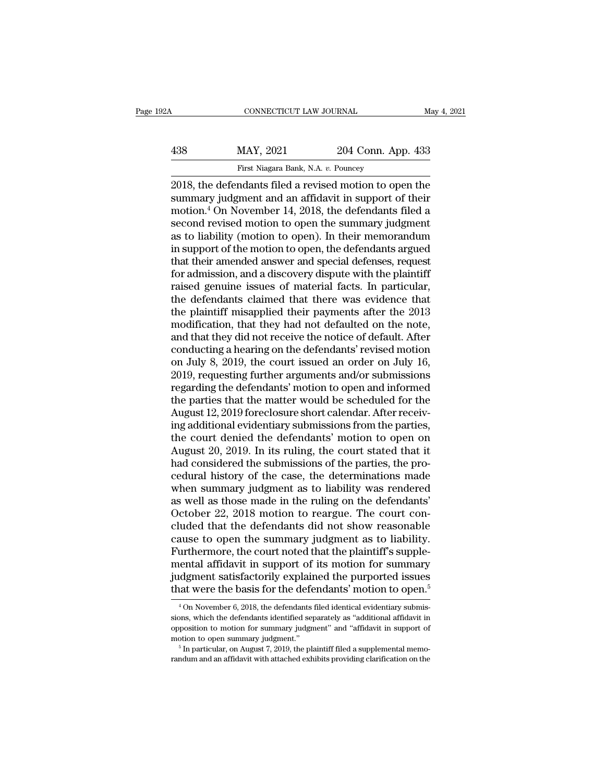| 12A | CONNECTICUT LAW JOURNAL                                |                    | May 4, 2021 |
|-----|--------------------------------------------------------|--------------------|-------------|
| 438 | MAY, 2021                                              | 204 Conn. App. 433 |             |
|     | First Niagara Bank, N.A. v. Pouncey                    |                    |             |
|     | 2018 the defendants filed a revised motion to open the |                    |             |

2021 CONNECTICUT LAW JOURNAL May 4, 2021<br>
2018, the defendants filed a revised motion to open the<br>
2018, the defendants filed a revised motion to open the<br>
2018 step of their<br>
2018 for a revised motion open the motion of t MAY, 2021 204 Conn. App. 433<br>
First Niagara Bank, N.A. v. Pouncey<br>
2018, the defendants filed a revised motion to open the<br>
summary judgment and an affidavit in support of their<br>
motion.<sup>4</sup> On November 14, 2018, the defend MAY, 2021 204 Conn. App. 433<br>
First Niagara Bank, N.A. v. Pouncey<br>
2018, the defendants filed a revised motion to open the<br>
summary judgment and an affidavit in support of their<br>
motion.<sup>4</sup> On November 14, 2018, the defen  $\frac{\text{MAX}}{\text{First Niagara Bank, N.A. } v. \text{ Pounces}}$ <br>
First Niagara Bank, N.A.  $v. \text{ Pounces}}$ <br>
2018, the defendants filed a revised motion to open the<br>
summary judgment and an affidavit in support of their<br>
motion.<sup>4</sup> On November 14, 2018, the de First Niagara Bank, N.A. v. Pouncey<br>2018, the defendants filed a revised motion to open the<br>summary judgment and an affidavit in support of their<br>motion.<sup>4</sup> On November 14, 2018, the defendants filed a<br>second revised moti First Niagara Bank, N.A. v. Pouncey<br>2018, the defendants filed a revised motion to open the<br>summary judgment and an affidavit in support of their<br>motion.<sup>4</sup> On November 14, 2018, the defendants filed a<br>second revised motio 2018, the defendants filed a revised motion to open the summary judgment and an affidavit in support of their motion.<sup>4</sup> On November 14, 2018, the defendants filed a second revised motion to open the summary judgment as to summary judgment and an affidavit in support of their<br>motion.<sup>4</sup> On November 14, 2018, the defendants filed a<br>second revised motion to open the summary judgment<br>as to liability (motion to open). In their memorandum<br>in supp motion.<sup>4</sup> On November 14, 2018, the defendants filed a<br>second revised motion to open the summary judgment<br>as to liability (motion to open). In their memorandum<br>in support of the motion to open, the defendants argued<br>that second revised motion to open the summary judgment<br>as to liability (motion to open). In their memorandum<br>in support of the motion to open, the defendants argued<br>that their amended answer and special defenses, request<br>for a as to liability (motion to open). In their memorandum<br>in support of the motion to open, the defendants argued<br>that their amended answer and special defenses, request<br>for admission, and a discovery dispute with the plaintif in support of the motion to open, the defendants argued<br>that their amended answer and special defenses, request<br>for admission, and a discovery dispute with the plaintiff<br>raised genuine issues of material facts. In particul that their amended answer and special defenses, request<br>for admission, and a discovery dispute with the plaintiff<br>raised genuine issues of material facts. In particular,<br>the defendants claimed that there was evidence that<br> for admission, and a discovery dispute with the plaintiff<br>raised genuine issues of material facts. In particular,<br>the defendants claimed that there was evidence that<br>the plaintiff misapplied their payments after the 2013<br>m raised genuine issues of material facts. In particular,<br>the defendants claimed that there was evidence that<br>the plaintiff misapplied their payments after the 2013<br>modification, that they had not defaulted on the note,<br>and the defendants claimed that there was evidence that<br>the plaintiff misapplied their payments after the 2013<br>modification, that they had not defaulted on the note,<br>and that they did not receive the notice of default. After<br>c the plaintiff misapplied their payments after the 2013<br>modification, that they had not defaulted on the note,<br>and that they did not receive the notice of default. After<br>conducting a hearing on the defendants' revised motio modification, that they had not defaulted on the note,<br>and that they did not receive the notice of default. After<br>conducting a hearing on the defendants' revised motion<br>on July 8, 2019, the court issued an order on July 16 and that they did not receive the notice of default. After<br>conducting a hearing on the defendants' revised motion<br>on July 8, 2019, the court issued an order on July 16,<br>2019, requesting further arguments and/or submissions conducting a hearing on the defendants' revised motion<br>on July 8, 2019, the court issued an order on July 16,<br>2019, requesting further arguments and/or submissions<br>regarding the defendants' motion to open and informed<br>the on July 8, 2019, the court issued an order on July 16,<br>2019, requesting further arguments and/or submissions<br>regarding the defendants' motion to open and informed<br>the parties that the matter would be scheduled for the<br>Augu 2019, requesting further arguments and/or submissions<br>regarding the defendants' motion to open and informed<br>the parties that the matter would be scheduled for the<br>August 12, 2019 foreclosure short calendar. After receiv-<br>i regarding the defendants' motion to open and informed<br>the parties that the matter would be scheduled for the<br>August 12, 2019 foreclosure short calendar. After receiv-<br>ing additional evidentiary submissions from the parties the parties that the matter would be scheduled for the<br>August 12, 2019 foreclosure short calendar. After receiv-<br>ing additional evidentiary submissions from the parties,<br>the court denied the defendants' motion to open on<br>A August 12, 2019 foreclosure short calendar. After receiving additional evidentiary submissions from the parties, the court denied the defendants' motion to open on August 20, 2019. In its ruling, the court stated that it h ing additional evidentiary submissions from the parties,<br>the court denied the defendants' motion to open on<br>August 20, 2019. In its ruling, the court stated that it<br>had considered the submissions of the parties, the pro-<br>c the court denied the defendants' motion to open on<br>August 20, 2019. In its ruling, the court stated that it<br>had considered the submissions of the parties, the pro-<br>cedural history of the case, the determinations made<br>when August 20, 2019. In its ruling, the court stated that it<br>had considered the submissions of the parties, the pro-<br>cedural history of the case, the determinations made<br>when summary judgment as to liability was rendered<br>as we had considered the submissions of the parties, the procedural history of the case, the determinations made<br>when summary judgment as to liability was rendered<br>as well as those made in the ruling on the defendants'<br>October 2 cedural history of the case, the determinations made<br>when summary judgment as to liability was rendered<br>as well as those made in the ruling on the defendants'<br>October 22, 2018 motion to reargue. The court con-<br>cluded that when summary judgment as to liability was rendered<br>as well as those made in the ruling on the defendants'<br>October 22, 2018 motion to reargue. The court con-<br>cluded that the defendants did not show reasonable<br>cause to open as well as those made in the ruling on the defendants'<br>October 22, 2018 motion to reargue. The court con-<br>cluded that the defendants did not show reasonable<br>cause to open the summary judgment as to liability.<br>Furthermore, October 22, 2018 motion to reargue. The court concluded that the defendants did not show reasonable cause to open the summary judgment as to liability. Furthermore, the court noted that the plaintiff's supplemental affida urthermore, the court noted that the plaintiff's supple-<br>ental affidavit in support of its motion for summary<br>dgment satisfactorily explained the purported issues<br>at were the basis for the defendants' motion to open.<sup>5</sup><br><sup>4</sup> mental affidavit in support of its motion for summary<br>judgment satisfactorily explained the purported issues<br>that were the basis for the defendants' motion to open.<sup>5</sup><br><sup>4</sup>On November 6, 2018, the defendants filed identical

judgment satisfactorily explained the purported issues<br>that were the basis for the defendants' motion to open.<sup>5</sup><br><sup>4</sup>On November 6, 2018, the defendants filed identical evidentiary submis-<br>sions, which the defendants ident that were the basis for the defendants' motion to open.<sup>5</sup><br> $^{4}$  On November 6, 2018, the defendants filed identical evidentiary submis-<br>sions, which the defendants identified separately as "additional affidavit in<br>opposi  $^4$  On November 6, 2018, the defendants filed identical evidentiary submissions, which the defendants identified separately as "additional affidavit in opposition to motion for summary judgment" and "affidavit in support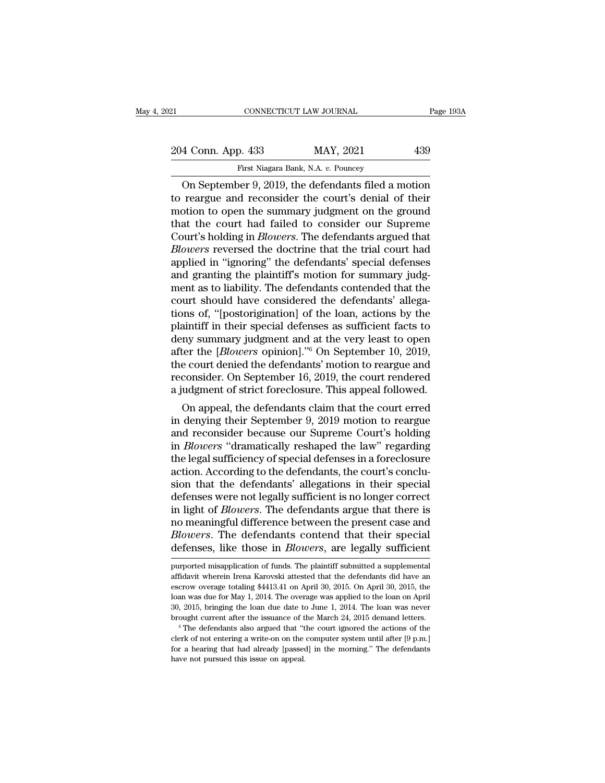| 21                 | CONNECTICUT LAW JOURNAL                             | Page 193A |
|--------------------|-----------------------------------------------------|-----------|
| 204 Conn. App. 433 | MAY, 2021                                           | 439       |
|                    | First Niagara Bank, N.A. v. Pouncey                 |           |
|                    | On Sentember 9, 2019, the defendants filed a motion |           |

CONNECTICUT LAW JOURNAL Page 193A<br>
4 Conn. App. 433 MAY, 2021 439<br>
First Niagara Bank, N.A. v. Pouncey<br>
On September 9, 2019, the defendants filed a motion<br>
reargue and reconsider the court's denial of their<br>
point to open 204 Conn. App. 433 MAY, 2021 439<br>
First Niagara Bank, N.A. v. Pouncey<br>
On September 9, 2019, the defendants filed a motion<br>
to reargue and reconsider the court's denial of their<br>
motion to open the summary judgment on the 204 Conn. App. 433 MAY, 2021 439<br>
First Niagara Bank, N.A. v. Pouncey<br>
On September 9, 2019, the defendants filed a motion<br>
to reargue and reconsider the court's denial of their<br>
motion to open the summary judgment on the 204 Conn. App. 433 MAY, 2021 439<br>
First Niagara Bank, N.A. v. Pouncey<br>
On September 9, 2019, the defendants filed a motion<br>
to reargue and reconsider the court's denial of their<br>
motion to open the summary judgment on the First Niagara Bank, N.A. v. Pouncey<br>
On September 9, 2019, the defendants filed a motion<br>
to reargue and reconsider the court's denial of their<br>
motion to open the summary judgment on the ground<br>
that the court had failed First Niagara Bank, N.A. v. Pouncey<br> **Dn September 9, 2019, the defendants filed a motion**<br>
to reargue and reconsider the court's denial of their<br>
motion to open the summary judgment on the ground<br>
that the court had faile On September 9, 2019, the defendants filed a motion<br>to reargue and reconsider the court's denial of their<br>motion to open the summary judgment on the ground<br>that the court had failed to consider our Supreme<br>Court's holding to reargue and reconsider the court's denial of their<br>motion to open the summary judgment on the ground<br>that the court had failed to consider our Supreme<br>Court's holding in *Blowers*. The defendants argued that<br>*Blowers* r motion to open the summary judgment on the ground<br>that the court had failed to consider our Supreme<br>Court's holding in *Blowers*. The defendants argued that<br>*Blowers* reversed the doctrine that the trial court had<br>applied that the court had failed to consider our Supreme<br>Court's holding in *Blowers*. The defendants argued that<br>*Blowers* reversed the doctrine that the trial court had<br>applied in "ignoring" the defendants' special defenses<br>an Court's holding in *Blowers*. The defendants argued that *Blowers* reversed the doctrine that the trial court had applied in "ignoring" the defendants' special defenses and granting the plaintiff's motion for summary judgm *Blowers* reversed the doctrine that the trial court had<br>applied in "ignoring" the defendants' special defenses<br>and granting the plaintiff's motion for summary judg-<br>ment as to liability. The defendants contended that the<br> applied in "ignoring" the defendants' special defenses<br>and granting the plaintiff's motion for summary judg-<br>ment as to liability. The defendants contended that the<br>court should have considered the defendants' allega-<br>tion and granting the plaintiff's motion for summary judgment as to liability. The defendants contended that the court should have considered the defendants' allegations of, "[postorigination] of the loan, actions by the plaint ment as to liability. The defendants contended that the<br>court should have considered the defendants' allega-<br>tions of, "[postorigination] of the loan, actions by the<br>plaintiff in their special defenses as sufficient facts court should have considered the defendants' allegations of, "[postorigination] of the loan, actions by the plaintiff in their special defenses as sufficient facts to deny summary judgment and at the very least to open aft tions of, "[postorigination] of the loan, actions by the plaintiff in their special defenses as sufficient facts to deny summary judgment and at the very least to open after the [*Blowers* opinion]."<sup>6</sup> On September 10, 2 annum in their special defenses as sumcient racts to<br>ny summary judgment and at the very least to open<br>ter the [*Blowers* opinion]."<sup>6</sup> On September 10, 2019,<br>e court denied the defendants' motion to reargue and<br>consider. deny summary judgment and at the very least to open<br>after the [*Blowers* opinion]."<sup>6</sup> On September 10, 2019,<br>the court denied the defendants' motion to reargue and<br>reconsider. On September 16, 2019, the court rendered<br>a j

anter the *phowers* ophthon]. <sup>5</sup> On September 10, 2019,<br>the court denied the defendants' motion to reargue and<br>reconsider. On September 16, 2019, the court rendered<br>a judgment of strict foreclosure. This appeal followed.<br> the court denied the defendants motion to reargue and<br>reconsider. On September 16, 2019, the court rendered<br>a judgment of strict foreclosure. This appeal followed.<br>On appeal, the defendants claim that the court erred<br>in de reconsider. On september 10, 2019, the court rendered<br>a judgment of strict foreclosure. This appeal followed.<br>On appeal, the defendants claim that the court erred<br>in denying their September 9, 2019 motion to reargue<br>and re a judgment of strict foreclosure. This appeal followed.<br>On appeal, the defendants claim that the court erred<br>in denying their September 9, 2019 motion to reargue<br>and reconsider because our Supreme Court's holding<br>in *Blowe* On appeal, the defendants claim that the court erred<br>in denying their September 9, 2019 motion to reargue<br>and reconsider because our Supreme Court's holding<br>in *Blowers* "dramatically reshaped the law" regarding<br>the legal in denying their September 9, 2019 motion to reargue<br>and reconsider because our Supreme Court's holding<br>in *Blowers* "dramatically reshaped the law" regarding<br>the legal sufficiency of special defenses in a foreclosure<br>acti and reconsider because our Supreme Court's holding<br>in *Blowers* "dramatically reshaped the law" regarding<br>the legal sufficiency of special defenses in a foreclosure<br>action. According to the defendants, the court's conclu-<br> in *Blowers* "dramatically reshaped the law" regarding<br>the legal sufficiency of special defenses in a foreclosure<br>action. According to the defendants, the court's conclu-<br>sion that the defendants' allegations in their spec the legal sufficiency of special defenses in a foreclosure action. According to the defendants, the court's conclusion that the defendants' allegations in their special defenses were not legally sufficient is no longer cor action. According to the defendants, the court's conclusion that the defendants' allegations in their special<br>defenses were not legally sufficient is no longer correct<br>in light of *Blowers*. The defendants argue that there in light of *Blowers*. The defendants argue that there is<br>no meaningful difference between the present case and<br>*Blowers*. The defendants contend that their special<br>defenses, like those in *Blowers*, are legally sufficient no meaningful difference between the present case and *Blowers*. The defendants contend that their special defenses, like those in *Blowers*, are legally sufficient purported misapplication of funds. The plaintiff submitte

Blowers. The defendants contend that their special defenses, like those in *Blowers*, are legally sufficient purported misapplication of funds. The plaintiff submitted a supplemental affidavit wherein Irena Karovski attest Blowers. The defendants contend that their special defenses, like those in *Blowers*, are legally sufficient purported misapplication of funds. The plaintiff submitted a supplemental affidavit wherein Irena Karovski attest purported misapplication of funds. The plaintiff submitted a supplemental affidavit wherein Irena Karovski attested that the defendants did have an escrow overage totaling \$4413.41 on April 30, 2015. On April 30, 2015, th purported misapplication of funds. The plaintiff submitted a supplemental affidavit wherein Irena Karovski attested that the defendants did have an escrow overage totaling \$4413.41 on April 30, 2015. On April 30, 2015, th escrow overage totaling \$4413.41 on April 30, 2015. On April 30, 2015, the loan was due for May 1, 2014. The overage was applied to the loan on April 30, 2015, bringing the loan due date to June 1, 2014. The loan was neve loan was due for May 1, 2014. The overage was applied to the loan on April 30, 2015, bringing the loan due date to June 1, 2014. The loan was never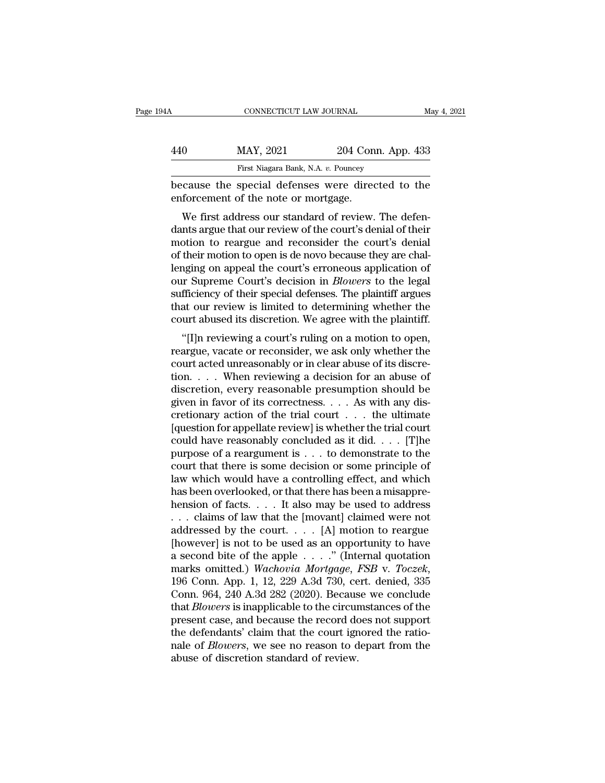| 94 A | CONNECTICUT LAW JOURNAL                                                                   |                    | May 4, 2021 |
|------|-------------------------------------------------------------------------------------------|--------------------|-------------|
| 440  | MAY, 2021                                                                                 | 204 Conn. App. 433 |             |
|      | First Niagara Bank, N.A. v. Pouncey                                                       |                    |             |
|      | because the special defenses were directed to the<br>enforcement of the note or mortgage. |                    |             |
|      | We first address our standard of review. The defen-                                       |                    |             |

 $\frac{\text{MAX, 2021}}{\text{First Niagara Bank, N.A. } v. \text{ Pounce} \cdot \text{Pounce}}$ <br>
Cause the special defenses were directed to the forcement of the note or mortgage.<br>
We first address our standard of review. The defen-<br>
nts argue that our review of the cour  $\frac{\text{MAX, } 2021}{\text{First Niagara Bank, N.A. } v. \text{ Pounces}}$ <br>
because the special defenses were directed to the<br>
enforcement of the note or mortgage.<br>
We first address our standard of review. The defen-<br>
dants argue that our review of the cour First Niagara Bank, N.A. v. Pouncey<br>because the special defenses were directed to the<br>enforcement of the note or mortgage.<br>We first address our standard of review. The defen-<br>dants argue that our review of the court's deni because the special defenses were directed to the<br>enforcement of the note or mortgage.<br>We first address our standard of review. The defen-<br>dants argue that our review of the court's denial of their<br>motion to reargue and re because the special defenses were directed to the<br>enforcement of the note or mortgage.<br>We first address our standard of review. The defen-<br>dants argue that our review of the court's denial of their<br>motion to reargue and re We first address our standard of review. The defendants argue that our review of the court's denial of their motion to reargue and reconsider the court's denial of their motion to open is de novo because they are challengi We first address our standard of review. The defendants argue that our review of the court's denial of their motion to reargue and reconsider the court's denial of their motion to open is de novo because they are challengi dants argue that our review of the court's denial of their<br>motion to reargue and reconsider the court's denial<br>of their motion to open is de novo because they are chal-<br>lenging on appeal the court's erroneous application o motion to reargue and reconsider the court's denial<br>of their motion to open is de novo because they are chal-<br>lenging on appeal the court's erroneous application of<br>our Supreme Court's decision in *Blowers* to the legal<br>su The includion to open is de novo because they are changing on appeal the court's erroneous application of the special defenses. The plaintiff argues at our review is limited to determining whether the urt abused its discre renging on appear the court's efforeous application or<br>our Supreme Court's decision in *Blowers* to the legal<br>sufficiency of their special defenses. The plaintiff argues<br>that our review is limited to determining whether th

our supreme Court's decision in *Blowers* to the legal<br>sufficiency of their special defenses. The plaintiff argues<br>that our review is limited to determining whether the<br>court abused its discretion. We agree with the plaint sumclency of their special defenses. The plantificant agues<br>that our review is limited to determining whether the<br>court abused its discretion. We agree with the plaintiff.<br>"[I]n reviewing a court's ruling on a motion to o diat our review is influed to determining whether the<br>court abused its discretion. We agree with the plaintiff.<br>"[I]n reviewing a court's ruling on a motion to open,<br>reargue, vacate or reconsider, we ask only whether the<br> "[I]n reviewing a court's ruling on a motion to open,<br>""[I]n reviewing a court's ruling on a motion to open,<br>reargue, vacate or reconsider, we ask only whether the<br>court acted unreasonably or in clear abuse of its discre-"[I]n reviewing a court's ruling on a motion to open,<br>reargue, vacate or reconsider, we ask only whether the<br>court acted unreasonably or in clear abuse of its discre-<br>tion. . . . . When reviewing a decision for an abuse o reargue, vacate or reconsider, we ask only whether the<br>court acted unreasonably or in clear abuse of its discre-<br>tion.... When reviewing a decision for an abuse of<br>discretion, every reasonable presumption should be<br>given court acted unreasonably or in clear abuse of its discretion. . . . When reviewing a decision for an abuse of discretion, every reasonable presumption should be given in favor of its correctness. . . . As with any discret tion. . . . When reviewing a decision for an abuse of discretion, every reasonable presumption should be given in favor of its correctness. . . . As with any discretionary action of the trial court . . . the ultimate [que discretion, every reasonable presumption should be<br>given in favor of its correctness. . . . As with any dis-<br>cretionary action of the trial court . . . the ultimate<br>[question for appellate review] is whether the trial cou given in favor of its correctness. . . . As with any discretionary action of the trial court . . . the ultimate [question for appellate review] is whether the trial court could have reasonably concluded as it did. . . . [ cretionary action of the trial court  $\dots$  the ultimate<br>[question for appellate review] is whether the trial court<br>could have reasonably concluded as it did.  $\dots$  [T]he<br>purpose of a reargument is  $\dots$  to demonstrate to the [question for appellate review] is whether the trial court<br>.could have reasonably concluded as it did. . . . [T]he<br>purpose of a reargument is . . . to demonstrate to the<br>court that there is some decision or some principle could have reasonably concluded as it did. . . . [T]he<br>purpose of a reargument is . . . to demonstrate to the<br>court that there is some decision or some principle of<br>law which would have a controlling effect, and which<br>has purpose of a reargument is . . . to demonstrate to the<br>court that there is some decision or some principle of<br>law which would have a controlling effect, and which<br>has been overlooked, or that there has been a misappre-<br>he court that there is some decision or some principle of<br>law which would have a controlling effect, and which<br>has been overlooked, or that there has been a misappre-<br>hension of facts. . . . It also may be used to address<br> $\d$ law which would have a controlling effect, and which<br>has been overlooked, or that there has been a misappre-<br>hension of facts. . . . It also may be used to address<br>. . . claims of law that the [movant] claimed were not<br>ad has been overlooked, or that there has been a misapprehension of facts. . . . It also may be used to address<br>
. . . claims of law that the [movant] claimed were not<br>
addressed by the court. . . . [A] motion to reargue<br>
[ho ... claims of law that the [movant] claimed were not addressed by the court.... [A] motion to reargue [however] is not to be used as an opportunity to have a second bite of the apple ....." (Internal quotation marks omitt addressed by the court. . . . [A] motion to reargue<br>[however] is not to be used as an opportunity to have<br>a second bite of the apple . . . ." (Internal quotation<br>marks omitted.) *Wachovia Mortgage, FSB* v. *Toczek*,<br>196 C [however] is not to be used as an opportunity to have<br>a second bite of the apple  $\ldots$ ." (Internal quotation<br>marks omitted.) *Wachovia Mortgage, FSB* v. *Toczek*,<br>196 Conn. App. 1, 12, 229 A.3d 730, cert. denied, 335<br>Conn a second bite of the apple  $\ldots$ ." (Internal quotation marks omitted.) Wachovia Mortgage, FSB v. Toczek, 196 Conn. App. 1, 12, 229 A.3d 730, cert. denied, 335 Conn. 964, 240 A.3d 282 (2020). Because we conclude that *Blow* marks omitted.) *Wachovia Mortgage, FSB* v. *Toczek*, 196 Conn. App. 1, 12, 229 A.3d 730, cert. denied, 335 Conn. 964, 240 A.3d 282 (2020). Because we conclude that *Blowers* is inapplicable to the circumstances of the pre 196 Conn. App. 1, 12, 229 A.3d 730, ce Conn. 964, 240 A.3d 282 (2020). Becaus that *Blowers* is inapplicable to the circure present case, and because the record do the defendants' claim that the court ign nale of *Blowers*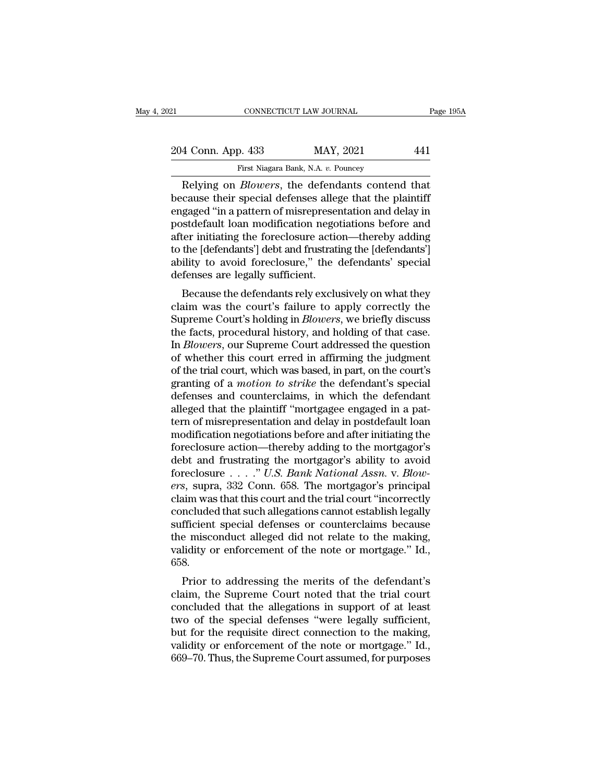| 21                                                    | CONNECTICUT LAW JOURNAL             | Page 195A |
|-------------------------------------------------------|-------------------------------------|-----------|
| 204 Conn. App. 433                                    | MAY, 2021                           | 441       |
|                                                       | First Niagara Bank, N.A. v. Pouncey |           |
| Relying on <i>Rlowers</i> the defendants contend that |                                     |           |

CONNECTICUT LAW JOURNAL Page 1954<br>
4 Conn. App. 433 MAY, 2021 441<br>
First Niagara Bank, N.A. v. Pouncey<br>
Relying on *Blowers*, the defendants contend that<br>
cause their special defenses allege that the plaintiff 204 Conn. App. 433 MAY, 2021 441<br>
First Niagara Bank, N.A. v. Pouncey<br>
Relying on *Blowers*, the defendants contend that<br>
because their special defenses allege that the plaintiff<br>
engaged "in a pattern of misrepresentation 204 Conn. App. 433 MAY, 2021 441<br>
First Niagara Bank, N.A. v. Pouncey<br>
Relying on *Blowers*, the defendants contend that<br>
because their special defenses allege that the plaintiff<br>
engaged "in a pattern of misrepresentatio 204 Conn. App. 433 MAY, 2021 441<br>
First Niagara Bank, N.A. v. Pouncey<br>
Relying on *Blowers*, the defendants contend that<br>
because their special defenses allege that the plaintiff<br>
engaged "in a pattern of misrepresentation First Niagara Bank, N.A. v. Pouncey<br>
Relying on *Blowers*, the defendants contend that<br>
because their special defenses allege that the plaintiff<br>
engaged "in a pattern of misrepresentation and delay in<br>
postdefault loan mo FITST Niagara Bank, N.A. v. Pouncey<br>
Relying on *Blowers*, the defendants contend that<br>
because their special defenses allege that the plaintiff<br>
engaged "in a pattern of misrepresentation and delay in<br>
postdefault loan mo Relying on *Blowers*, the defendants contend that<br>because their special defenses allege that the plaintiff<br>engaged "in a pattern of misrepresentation and delay in<br>postdefault loan modification negotiations before and<br>after because their special defenses allegengaged "in a pattern of misrepreser<br>postdefault loan modification negot<br>after initiating the foreclosure actic<br>to the [defendants'] debt and frustrati<br>ability to avoid foreclosure," the gaged in a pattern of instepresentation and detay in<br>stdefault loan modification negotiations before and<br>ter initiating the foreclosure action—thereby adding<br>the [defendants'] debt and frustrating the [defendants']<br>ility t postuerant foat modification negotiations before and<br>after initiating the foreclosure action—thereby adding<br>to the [defendants'] debt and frustrating the [defendants']<br>ability to avoid foreclosure," the defendants' special

atter initiating the foreclosure action—thereby adding<br>to the [defendants'] debt and frustrating the [defendants']<br>ability to avoid foreclosure," the defendants' special<br>defenses are legally sufficient.<br>Because the defenda to the [defendants] debt and frustrating the [defendants]<br>ability to avoid foreclosure," the defendants' special<br>defenses are legally sufficient.<br>Because the defendants rely exclusively on what they<br>claim was the court's f Example 19 avoid foreclosure, the defendants special<br>defenses are legally sufficient.<br>Because the defendants rely exclusively on what they<br>claim was the court's failure to apply correctly the<br>Supreme Court's holding in *Bl* derenses are regany sunnerm.<br>
Because the defendants rely exclusively on what they<br>
claim was the court's failure to apply correctly the<br>
Supreme Court's holding in *Blowers*, we briefly discuss<br>
the facts, procedural hist Because the defendants rely exclusively on what they<br>claim was the court's failure to apply correctly the<br>Supreme Court's holding in *Blowers*, we briefly discuss<br>the facts, procedural history, and holding of that case.<br>In claim was the court's failure to apply correctly the<br>Supreme Court's holding in *Blowers*, we briefly discuss<br>the facts, procedural history, and holding of that case.<br>In *Blowers*, our Supreme Court addressed the question<br> Supreme Court's holding in *Blowers*, we briefly discuss<br>the facts, procedural history, and holding of that case.<br>In *Blowers*, our Supreme Court addressed the question<br>of whether this court erred in affirming the judgment the facts, procedural history, and holding of that case.<br>In *Blowers*, our Supreme Court addressed the question<br>of whether this court erred in affirming the judgment<br>of the trial court, which was based, in part, on the cou In *Blowers*, our Supreme Court addressed the question<br>of whether this court erred in affirming the judgment<br>of the trial court, which was based, in part, on the court's<br>granting of a *motion to strike* the defendant's spe of whether this court erred in affirming the judgment<br>of the trial court, which was based, in part, on the court's<br>granting of a *motion to strike* the defendant's special<br>defenses and counterclaims, in which the defendant % of the trial court, which was based, in part, on the court's<br>granting of a *motion to strike* the defendant's special<br>defenses and counterclaims, in which the defendant<br>alleged that the plaintiff "mortgagee engaged in a granting of a *motion to strike* the defendant's special<br>defenses and counterclaims, in which the defendant<br>alleged that the plaintiff "mortgagee engaged in a pat-<br>tern of misrepresentation and delay in postdefault loan<br>m defenses and counterclaims, in which the defendant alleged that the plaintiff "mortgagee engaged in a pattern of misrepresentation and delay in postdefault loan modification negotiations before and after initiating the for alleged that the plaintiff "mortgagee engaged in a pattern of misrepresentation and delay in postdefault loan<br>modification negotiations before and after initiating the<br>foreclosure action—thereby adding to the mortgagor's<br>d tern of misrepresentation and delay in postdefault loan<br>modification negotiations before and after initiating the<br>foreclosure action—thereby adding to the mortgagor's<br>debt and frustrating the mortgagor's ability to avoid<br>f modification negotiations before and after initiating the<br>foreclosure action—thereby adding to the mortgagor's<br>debt and frustrating the mortgagor's ability to avoid<br>foreclosure  $\ldots$ ." U.S. Bank National Assn. v. Blow-<br>er foreclosure action—thereby adding to the mortgagor's<br>debt and frustrating the mortgagor's ability to avoid<br>foreclosure . . . . ." U.S. Bank National Assn. v. Blow-<br>ers, supra, 332 Conn. 658. The mortgagor's principal<br>clai debt and frustrating the mortgagor's ability to avoid<br>foreclosure . . . ." U.S. Bank National Assn. v. Blow-<br>ers, supra, 332 Conn. 658. The mortgagor's principal<br>claim was that this court and the trial court "incorrectly<br> foreclosure . . . . ." U.S. Bank National Assn. v. Blow-<br>ers, supra, 332 Conn. 658. The mortgagor's principal<br>claim was that this court and the trial court "incorrectly<br>concluded that such allegations cannot establish lega 658. Finally was that this court and the that court incorrectly<br>ncluded that such allegations cannot establish legally<br>fficient special defenses or counterclaims because<br>e misconduct alleged did not relate to the making,<br>idity concluded that such alregations cannot establish regary<br>sufficient special defenses or counterclaims because<br>the misconduct alleged did not relate to the making,<br>validity or enforcement of the note or mortgage." Id.,<br>658.<br>

sumcrent special defenses or counterclaints because<br>the misconduct alleged did not relate to the making,<br>validity or enforcement of the note or mortgage." Id.,<br>658.<br>Prior to addressing the merits of the defendant's<br>claim, the misconduct aneged did not felate to the making,<br>validity or enforcement of the note or mortgage." Id.,<br>658.<br>Prior to addressing the merits of the defendant's<br>claim, the Supreme Court noted that the trial court<br>conclude but for the requisite direct connect conditions.<br>
Frior to addressing the merits of the defendant's<br>
claim, the Supreme Court noted that the trial court<br>
concluded that the allegations in support of at least<br>
two of the sp Prior to addressing the merits of the defendant's<br>claim, the Supreme Court noted that the trial court<br>concluded that the allegations in support of at least<br>two of the special defenses "were legally sufficient,<br>but for the Prior to addressing the merits of the defendant's<br>claim, the Supreme Court noted that the trial court<br>concluded that the allegations in support of at least<br>two of the special defenses "were legally sufficient,<br>but for the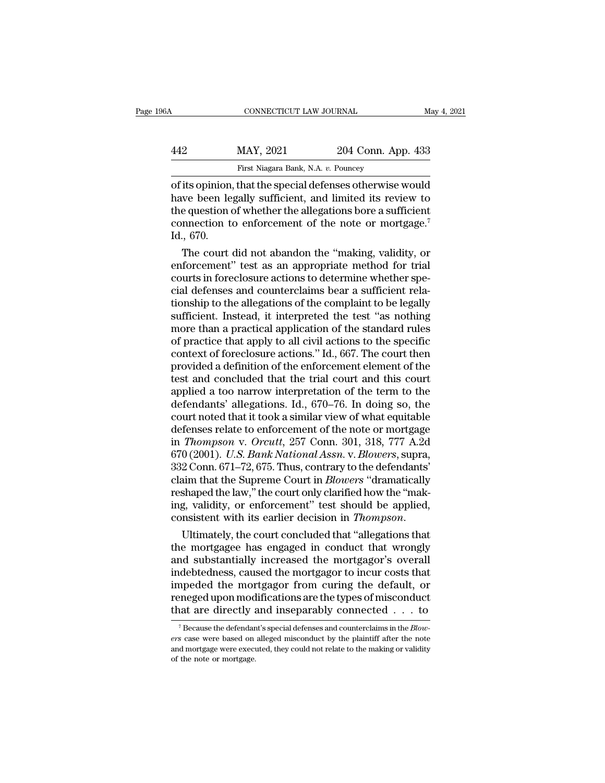# CONNECTICUT LAW JOURNAL May 4, 2021<br>442 MAY, 2021 204 Conn. App. 433<br>First Niagara Bank, N.A. v. Pouncey EXERICUT LAW JOURNAL<br>MAY, 2021 204 Conn. Ap<br>First Niagara Bank, N.A. *v.* Pouncey<br>that the special defenses otherwise

CONNECTICUT LAW JOURNAL May 4, 2021<br>
MAY, 2021 204 Conn. App. 433<br>
First Niagara Bank, N.A. v. Pouncey<br>
of its opinion, that the special defenses otherwise would<br>
have been legally sufficient, and limited its review to<br>
th MAY, 2021 204 Conn. App. 433<br>
First Niagara Bank, N.A. v. Pouncey<br>
of its opinion, that the special defenses otherwise would<br>
have been legally sufficient, and limited its review to<br>
the question of whether the allegations  $\frac{\text{MAX, 2021}}{\text{First Niagara Bank, N.A. } v. \text{ Pounces}}$ <br>
of its opinion, that the special defenses otherwise would<br>
have been legally sufficient, and limited its review to<br>
the question of whether the allegations bore a sufficient<br>
connect MAY, 2021 204 Conn. App. 433<br>
First Niagara Bank, N.A. v. Pouncey<br>
of its opinion, that the special defenses otherwise would<br>
have been legally sufficient, and limited its review to<br>
the question of whether the allegations The same of its opinion,<br>
have been le<br>
the question of<br>
connection to<br>
Id., 670.<br>
The court The court did not abandon the "making, valid its review to<br>equestion of whether the allegations bore a sufficient<br>nnection to enforcement of the note or mortgage.<sup>7</sup><br>., 670.<br>The court did not abandon the "making, validity, of its opinion, that the special defenses otherwise would<br>have been legally sufficient, and limited its review to<br>the question of whether the allegations bore a sufficient<br>connection to enforcement of the note or mortgage.

have been legally sufficient, and limited its review to<br>the question of whether the allegations bore a sufficient<br>connection to enforcement of the note or mortgage.<sup>7</sup><br>Id., 670.<br>The court did not abandon the "making, valid the question of whether the allegations bore a sufficient<br>connection to enforcement of the note or mortgage.<sup>7</sup><br>Id., 670.<br>The court did not abandon the "making, validity, or<br>enforcement" test as an appropriate method for t connection to enforcement of the note or mortgage.'<br>Id., 670.<br>The court did not abandon the "making, validity, or<br>enforcement" test as an appropriate method for trial<br>courts in foreclosure actions to determine whether spe-Id., 670.<br>The court did not abandon the "making, validity, or<br>enforcement" test as an appropriate method for trial<br>courts in foreclosure actions to determine whether spe-<br>cial defenses and counterclaims bear a sufficient r The court did not abandon the "making, validity, or<br>enforcement" test as an appropriate method for trial<br>courts in foreclosure actions to determine whether spe-<br>cial defenses and counterclaims bear a sufficient rela-<br>tions enforcement" test as an appropriate method for trial<br>courts in foreclosure actions to determine whether spe-<br>cial defenses and counterclaims bear a sufficient rela-<br>tionship to the allegations of the complaint to be legall courts in foreclosure actions to determine whether special defenses and counterclaims bear a sufficient relationship to the allegations of the complaint to be legally sufficient. Instead, it interpreted the test "as nothin cial defenses and counterclaims bear a sufficient rela-<br>tionship to the allegations of the complaint to be legally<br>sufficient. Instead, it interpreted the test "as nothing<br>more than a practical application of the standard tionship to the allegations of the complaint to be legally<br>sufficient. Instead, it interpreted the test "as nothing<br>more than a practical application of the standard rules<br>of practice that apply to all civil actions to th sufficient. Instead, it interpreted the test "as nothing<br>more than a practical application of the standard rules<br>of practice that apply to all civil actions to the specific<br>context of foreclosure actions." Id., 667. The co more than a practical application of the standard rules<br>of practice that apply to all civil actions to the specific<br>context of foreclosure actions." Id., 667. The court then<br>provided a definition of the enforcement element of practice that apply to all civil actions to the specific<br>context of foreclosure actions." Id., 667. The court then<br>provided a definition of the enforcement element of the<br>test and concluded that the trial court and thi context of foreclosure actions." Id., 667. The court then<br>provided a definition of the enforcement element of the<br>test and concluded that the trial court and this court<br>applied a too narrow interpretation of the term to t provided a definition of the enforcement element of the<br>test and concluded that the trial court and this court<br>applied a too narrow interpretation of the term to the<br>defendants' allegations. Id., 670–76. In doing so, the<br>c test and concluded that the trial court and this court<br>applied a too narrow interpretation of the term to the<br>defendants' allegations. Id., 670–76. In doing so, the<br>court noted that it took a similar view of what equitable applied a too narrow interpretation of the term to the<br>defendants' allegations. Id., 670–76. In doing so, the<br>court noted that it took a similar view of what equitable<br>defenses relate to enforcement of the note or mortgage defendants' allegations. Id., 670–76. In doing so, the<br>court noted that it took a similar view of what equitable<br>defenses relate to enforcement of the note or mortgage<br>in *Thompson v. Orcutt*, 257 Conn. 301, 318, 777 A.2d<br> court noted that it took a similar view of what equitable<br>defenses relate to enforcement of the note or mortgage<br>in *Thompson v. Orcutt*, 257 Conn. 301, 318, 777 A.2d<br>670 (2001). U.S. Bank National Assn. v. Blowers, supra, defenses relate to enforcement of the note or mortgage<br>in *Thompson v. Orcutt*, 257 Conn. 301, 318, 777 A.2d<br>670 (2001). *U.S. Bank National Assn. v. Blowers*, supra,<br>332 Conn. 671–72, 675. Thus, contrary to the defendants in *Thompson v. Orcutt,* 257 Conn. 301, 318, 777 A.2d<br>670 (2001). *U.S. Bank National Assn. v. Blowers*, supra,<br>332 Conn. 671–72, 675. Thus, contrary to the defendants'<br>claim that the Supreme Court in *Blowers* "dramatical 332 Conn. 671–72, 675. Thus, contrary to the defendants'<br>claim that the Supreme Court in *Blowers* "dramatically<br>reshaped the law," the court only clarified how the "mak-<br>ing, validity, or enforcement" test should be appl

claim that the Supreme Court in *Blowers* "dramatically<br>reshaped the law," the court only clarified how the "mak-<br>ing, validity, or enforcement" test should be applied,<br>consistent with its earlier decision in *Thompson*.<br> reshaped the law," the court only clarified how the "making, validity, or enforcement" test should be applied,<br>consistent with its earlier decision in *Thompson*.<br>Ultimately, the court concluded that "allegations that<br>the ing, validity, or enforcement" test should be applied,<br>consistent with its earlier decision in *Thompson*.<br>Ultimately, the court concluded that "allegations that<br>the mortgagee has engaged in conduct that wrongly<br>and substa consistent with its earlier decision in *Thompson*.<br>Ultimately, the court concluded that "allegations that<br>the mortgagee has engaged in conduct that wrongly<br>and substantially increased the mortgagor's overall<br>indebtedness Ultimately, the court concluded that "allegations that<br>the mortgagee has engaged in conduct that wrongly<br>and substantially increased the mortgagor's overall<br>indebtedness, caused the mortgagor to incur costs that<br>impeded t indebtedness, caused the mortgagor to incur costs that<br>
impeded the mortgagor from curing the default, or<br>
reneged upon modifications are the types of misconduct<br>
that are directly and inseparably connected  $\dots$  to<br>
<sup>7</sup> B that are directly and inseparably connected  $\ldots$  to

impeded the mortgagor from curing the default, or reneged upon modifications are the types of misconduct that are directly and inseparably connected  $\ldots$  to  $\frac{1}{\sqrt{2}}$  Because the defendant's special defenses and count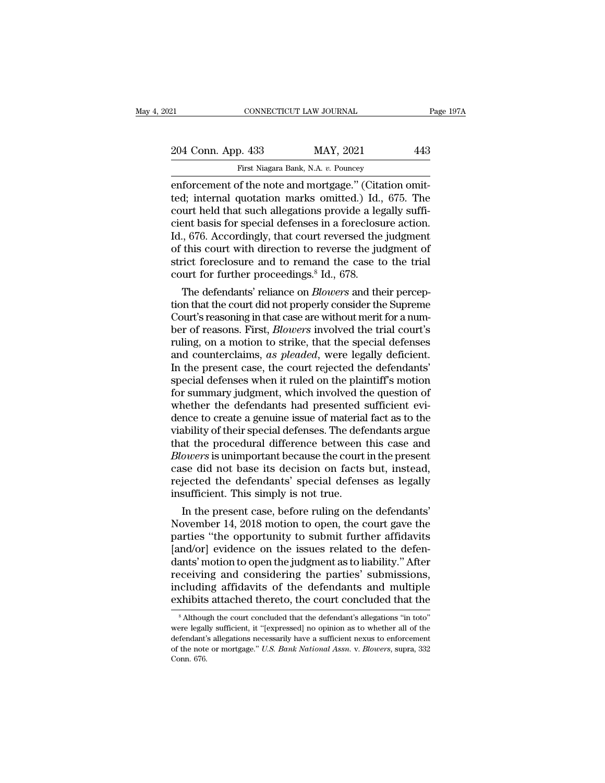| 21                 | CONNECTICUT LAW JOURNAL                                | Page 197A |
|--------------------|--------------------------------------------------------|-----------|
| 204 Conn. App. 433 | MAY, 2021                                              | 443       |
|                    | First Niagara Bank, N.A. v. Pouncey                    |           |
|                    | enforcement of the note and mortgage " (Citation omit- |           |

enforcement of the note and mortgage." (Citation omitted; internal quotation marks omitted.) Id., 675. The<br>
enforcement of the note and mortgage." (Citation omitted; internal quotation marks omitted.) Id., 675. The court h 204 Conn. App. 433 MAY, 2021 443<br>
First Niagara Bank, N.A. v. Pouncey<br>
enforcement of the note and mortgage." (Citation omit-<br>
ted; internal quotation marks omitted.) Id., 675. The<br>
court held that such allegations provide 204 Conn. App. 433 MAY, 2021 443<br>
First Niagara Bank, N.A. v. Pouncey<br>
enforcement of the note and mortgage." (Citation omit-<br>
ted; internal quotation marks omitted.) Id., 675. The<br>
court held that such allegations provid 204 Conn. App. 433 MAY, 2021 443<br>
First Niagara Bank, N.A. v. Pouncey<br>
enforcement of the note and mortgage." (Citation omit-<br>
ted; internal quotation marks omitted.) Id., 675. The<br>
court held that such allegations provide First Niagara Bank, N.A. v. Pouncey<br>
enforcement of the note and mortgage." (Citation omit-<br>
ted; internal quotation marks omitted.) Id., 675. The<br>
court held that such allegations provide a legally suffi-<br>
cient basis for First Niagara Bank, N.A. v. Pouncey<br>
enforcement of the note and mortgage." (Citation omit-<br>
ted; internal quotation marks omitted.) Id., 675. The<br>
court held that such allegations provide a legally suffi-<br>
cient basis fo enforcement of the note and mortgage." (Citation omit-<br>ted; internal quotation marks omitted.) Id., 675. The<br>court held that such allegations provide a legally suffi-<br>cient basis for special defenses in a foreclosure actio ted; internal quotation marks omitted.) Id., court held that such allegations provide a leg<br>cient basis for special defenses in a foreclost<br>Id., 676. Accordingly, that court reversed the<br>of this court with direction to rev urt neid that such allegations provide a legally sum-<br>ent basis for special defenses in a foreclosure action.<br>., 676. Accordingly, that court reversed the judgment<br>this court with direction to reverse the judgment of<br>rict cient basis for special defenses in a foreclosure action.<br>Id., 676. Accordingly, that court reversed the judgment of<br>strict foreclosure and to remand the case to the trial<br>court for further proceedings.<sup>8</sup> Id., 678.<br>The de

Id., 676. Accordingly, that court reversed the judgment<br>of this court with direction to reverse the judgment of<br>strict foreclosure and to remand the case to the trial<br>court for further proceedings.<sup>8</sup> Id., 678.<br>The defenda or this court with direction to reverse the judgment of<br>strict foreclosure and to remand the case to the trial<br>court for further proceedings.<sup>8</sup> Id., 678.<br>The defendants' reliance on *Blowers* and their percep-<br>tion that t strict foreclosure and to remand the case to the trial<br>court for further proceedings.<sup>8</sup> Id., 678.<br>The defendants' reliance on *Blowers* and their percep-<br>tion that the court did not properly consider the Supreme<br>Court's r court for further proceedings.<sup>8</sup> Id., 678.<br>The defendants' reliance on *Blowers* and their perception that the court did not properly consider the Supreme<br>Court's reasoning in that case are without merit for a num-<br>ber of The defendants' reliance on *Blowers* and their perception that the court did not properly consider the Supreme<br>Court's reasoning in that case are without merit for a num-<br>ber of reasons. First, *Blowers* involved the tria tion that the court did not properly consider the Supreme<br>Court's reasoning in that case are without merit for a num-<br>ber of reasons. First, *Blowers* involved the trial court's<br>ruling, on a motion to strike, that the spec Court's reasoning in that case are without merit for a num-<br>ber of reasons. First, *Blowers* involved the trial court's<br>ruling, on a motion to strike, that the special defenses<br>and counterclaims, as pleaded, were legally d ber of reasons. First, *Blowers* involved the trial court's ruling, on a motion to strike, that the special defenses and counterclaims, as *pleaded*, were legally deficient. In the present case, the court rejected the defe ruling, on a motion to strike, that the special defenses<br>and counterclaims, as pleaded, were legally deficient.<br>In the present case, the court rejected the defendants'<br>special defenses when it ruled on the plaintiff's moti and counterclaims, *as pleaded*, were legally deficient.<br>In the present case, the court rejected the defendants'<br>special defenses when it ruled on the plaintiff's motion<br>for summary judgment, which involved the question of In the present case, the court rejected the defendants'<br>special defenses when it ruled on the plaintiff's motion<br>for summary judgment, which involved the question of<br>whether the defendants had presented sufficient evi-<br>den special defenses when it ruled on the plaintiff's motion<br>for summary judgment, which involved the question of<br>whether the defendants had presented sufficient evi-<br>dence to create a genuine issue of material fact as to the<br> for summary judgment, which involved the question of<br>whether the defendants had presented sufficient evi-<br>dence to create a genuine issue of material fact as to the<br>viability of their special defenses. The defendants argue whether the defendants had presented sufficient evi-<br>dence to create a genuine issue of material fact as to the<br>viability of their special defenses. The defendants argue<br>that the procedural difference between this case and dence to create a genuine issue of material<br>viability of their special defenses. The defe<br>that the procedural difference between<br>*Blowers* is unimportant because the court<br>case did not base its decision on facts<br>rejected t Ability of their special defenses. The defendants argue<br>at the procedural difference between this case and<br>owers is unimportant because the court in the present<br>se did not base its decision on facts but, instead,<br>jected th that the procedural difference between this case and<br>*Blowers* is unimportant because the court in the present<br>case did not base its decision on facts but, instead,<br>rejected the defendants' special defenses as legally<br>insu

*Blowers* is unimportant because the court in the present<br>case did not base its decision on facts but, instead,<br>rejected the defendants' special defenses as legally<br>insufficient. This simply is not true.<br>In the present cas case and not base its decision on facts but, instead,<br>rejected the defendants' special defenses as legally<br>insufficient. This simply is not true.<br>In the present case, before ruling on the defendants'<br>November 14, 2018 moti rejected the derendants' special derenses as legally<br>insufficient. This simply is not true.<br>In the present case, before ruling on the defendants'<br>November 14, 2018 motion to open, the court gave the<br>parties "the opportunit receiving a fidavits of the court concluded that the<br>absolution of the consideration of the consideration<br>farties "the opportunity to submit further affidavits<br>[and/or] evidence on the issues related to the defen-<br>dants' m In the present case, before ruling on the defendants'<br>November 14, 2018 motion to open, the court gave the<br>parties "the opportunity to submit further affidavits<br>[and/or] evidence on the issues related to the defen-<br>dants' November 14, 2018 motion to open, the court gave the parties "the opportunity to submit further affidavits [and/or] evidence on the issues related to the defendants' motion to open the judgment as to liability." After rec ants' motion to open the judgment as to liability." After<br>eceiving and considering the parties' submissions,<br>cluding affidavits of the defendants and multiple<br>khibits attached thereto, the court concluded that the<br><sup>8</sup> Alth receiving and considering the parties' submissions,<br>including affidavits of the defendants and multiple<br>exhibits attached thereto, the court concluded that the<br><sup>8</sup> Although the court concluded that the defendant's allegati

including affidavits of the defendants and multiple exhibits attached thereto, the court concluded that the  $*$  Although the court concluded that the defendant's allegations "in toto" were legally sufficient, it "[express exhibits attached thereto, the court concluded that the same exhibits attached thereto, the court concluded that the sale at the same of the note or mortgage." *U.S. Bank National Assn.* v. *Blowers*, supra, 332 Conn. 676. were legally sufficient, it "[expressed] no opinion as to whether all of the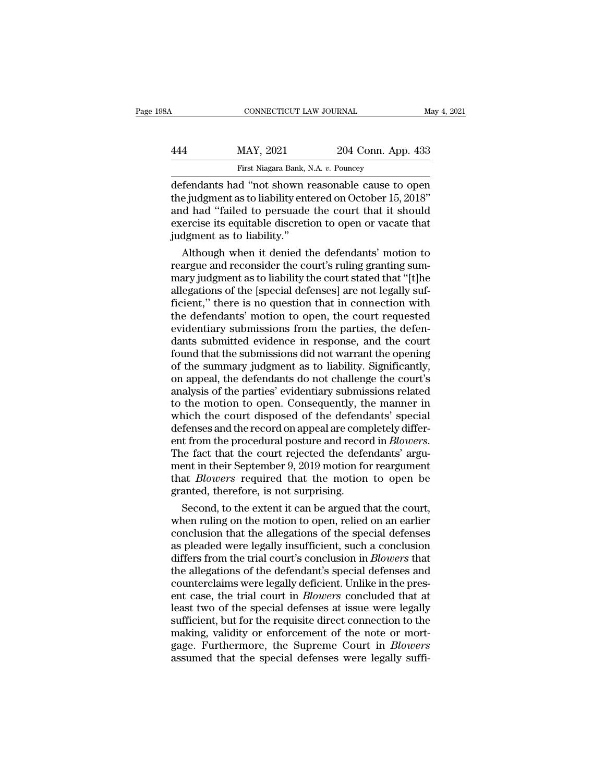# CONNECTICUT LAW JOURNAL May 4, 2021<br>444 MAY, 2021 204 Conn. App. 433<br>First Niagara Bank, N.A. v. Pouncey FIRST CONNECTICUT LAW JOURNAL<br>MAY, 2021 204 Conn. Applies 204 Conn. Applies 204 Conn. Applies 204 Conn. Applies 2018<br>In the Shown reasonable cause to

CONNECTICUT LAW JOURNAL May 4, 2021<br>
MAY, 2021 204 Conn. App. 433<br>
First Niagara Bank, N.A. v. Pouncey<br>
defendants had "not shown reasonable cause to open<br>
the judgment as to liability entered on October 15, 2018"<br>
and had MAY, 2021 204 Conn. App. 433<br>
First Niagara Bank, N.A. v. Pouncey<br>
defendants had "not shown reasonable cause to open<br>
the judgment as to liability entered on October 15, 2018"<br>
and had "failed to persuade the court that i  $\frac{\text{MAX, } 2021}{\text{First Niagara Bank, N.A. } v. \text{ Pounces}}$ <br>
defendants had "not shown reasonable cause to open<br>
the judgment as to liability entered on October 15, 2018"<br>
and had "failed to persuade the court that it should<br>
exercise its equ MAY, 2021 204 Conn. App. 433<br>
First Niagara Bank, N.A. v. Pouncey<br>
defendants had "not shown reasonable cause to open<br>
the judgment as to liability entered on October 15, 2018"<br>
and had "failed to persuade the court that i First Niagara Bank, N<br>First Niagara Bank, N<br>defendants had "not shown r<br>the judgment as to liability ent<br>and had "failed to persuade<br>exercise its equitable discreti-<br>judgment as to liability."<br>Although when it denied tl Fendants had "not shown reasonable cause to open<br>e judgment as to liability entered on October 15, 2018"<br>d had "failed to persuade the court that it should<br>ercise its equitable discretion to open or vacate that<br>dgment as t defendants had "not shown reasonable cause to open<br>the judgment as to liability entered on October 15, 2018"<br>and had "failed to persuade the court that it should<br>exercise its equitable discretion to open or vacate that<br>jud

the judgment as to liability entered on October 15, 2018"<br>and had "failed to persuade the court that it should<br>exercise its equitable discretion to open or vacate that<br>judgment as to liability."<br>Although when it denied the and had "failed to persuade the court that it should<br>exercise its equitable discretion to open or vacate that<br>judgment as to liability."<br>Although when it denied the defendants' motion to<br>reargue and reconsider the court's exercise its equitable discretion to open or vacate that<br>judgment as to liability."<br>Although when it denied the defendants' motion to<br>reargue and reconsider the court's ruling granting sum-<br>mary judgment as to liability th judgment as to liability."<br>Although when it denied the defendants' motion to<br>reargue and reconsider the court's ruling granting sum-<br>mary judgment as to liability the court stated that "[t]he<br>allegations of the [special de Although when it denied the defendants' motion to<br>reargue and reconsider the court's ruling granting sum-<br>mary judgment as to liability the court stated that "[t]he<br>allegations of the [special defenses] are not legally suf reargue and reconsider the court's ruling granting summary judgment as to liability the court stated that "[t]he allegations of the [special defenses] are not legally sufficient," there is no question that in connection wi mary judgment as to liability the court stated that "[t]he<br>allegations of the [special defenses] are not legally suf-<br>ficient," there is no question that in connection with<br>the defendants' motion to open, the court request allegations of the [special defenses] are not legally suf-<br>ficient," there is no question that in connection with<br>the defendants' motion to open, the court requested<br>evidentiary submissions from the parties, the defen-<br>dan ficient," there is no question that in connection with<br>the defendants' motion to open, the court requested<br>evidentiary submissions from the parties, the defen-<br>dants submitted evidence in response, and the court<br>found that the defendants' motion to open, the court requested<br>evidentiary submissions from the parties, the defen-<br>dants submitted evidence in response, and the court<br>found that the submissions did not warrant the opening<br>of the sum evidentiary submissions from the parties, the defen-<br>dants submitted evidence in response, and the court<br>found that the submissions did not warrant the opening<br>of the summary judgment as to liability. Significantly,<br>on app dants submitted evidence in response, and the court<br>found that the submissions did not warrant the opening<br>of the summary judgment as to liability. Significantly,<br>on appeal, the defendants do not challenge the court's<br>anal found that the submissions did not warrant the opening<br>of the summary judgment as to liability. Significantly,<br>on appeal, the defendants do not challenge the court's<br>analysis of the parties' evidentiary submissions related of the summary judgment as to liability. Significantly,<br>on appeal, the defendants do not challenge the court's<br>analysis of the parties' evidentiary submissions related<br>to the motion to open. Consequently, the manner in<br>whi analysis of the parties' evidentiary submissions related<br>to the motion to open. Consequently, the manner in<br>which the court disposed of the defendants' special<br>defenses and the record on appeal are completely differ-<br>ent f to the motion to open. Consequently, the manner in<br>which the court disposed of the defendants' special<br>defenses and the record on appeal are completely differ-<br>ent from the procedural posture and record in *Blowers*.<br>The f which the court disposed of the defend<br>defenses and the record on appeal are coment from the procedural posture and recor<br>The fact that the court rejected the deferent in their September 9, 2019 motion for<br>that *Blowers* r fenses and the record on appeal are completely differ-<br>t from the procedural posture and record in *Blowers*.<br>le fact that the court rejected the defendants' argu-<br>ent in their September 9, 2019 motion for reargument<br>at *B* ent from the procedural posture and record in *Blowers*.<br>The fact that the court rejected the defendants' argument<br>in their September 9, 2019 motion for reargument<br>that *Blowers* required that the motion to open be<br>granted

The fact that the court rejected the defendants' argument in their September 9, 2019 motion for reargument<br>that *Blowers* required that the motion to open be<br>granted, therefore, is not surprising.<br>Second, to the extent it ment in their September 9, 2019 motion for reargument<br>that *Blowers* required that the motion to open be<br>granted, therefore, is not surprising.<br>Second, to the extent it can be argued that the court,<br>when ruling on the moti that *Blowers* required that the motion to open be<br>granted, therefore, is not surprising.<br>Second, to the extent it can be argued that the court,<br>when ruling on the motion to open, relied on an earlier<br>conclusion that the a granted, therefore, is not surprising.<br>
Second, to the extent it can be argued that the court,<br>
when ruling on the motion to open, relied on an earlier<br>
conclusion that the allegations of the special defenses<br>
as pleaded w Second, to the extent it can be argued that the court,<br>when ruling on the motion to open, relied on an earlier<br>conclusion that the allegations of the special defenses<br>as pleaded were legally insufficient, such a conclusion when ruling on the motion to open, relied on an earlier<br>conclusion that the allegations of the special defenses<br>as pleaded were legally insufficient, such a conclusion<br>differs from the trial court's conclusion in *Blowers* conclusion that the allegations of the special defenses<br>as pleaded were legally insufficient, such a conclusion<br>differs from the trial court's conclusion in *Blowers* that<br>the allegations of the defendant's special defense as pleaded were legally insufficient, such a conclusion<br>differs from the trial court's conclusion in *Blowers* that<br>the allegations of the defendant's special defenses and<br>counterclaims were legally deficient. Unlike in th differs from the trial court's conclusion in *Blowers* that<br>the allegations of the defendant's special defenses and<br>counterclaims were legally deficient. Unlike in the pres-<br>ent case, the trial court in *Blowers* concluded the allegations of the defendant's special defenses and<br>counterclaims were legally deficient. Unlike in the pres-<br>ent case, the trial court in *Blowers* concluded that at<br>least two of the special defenses at issue were leg counterclaims were legally deficient. Unlike in the present case, the trial court in *Blowers* concluded that at least two of the special defenses at issue were legally sufficient, but for the requisite direct connection t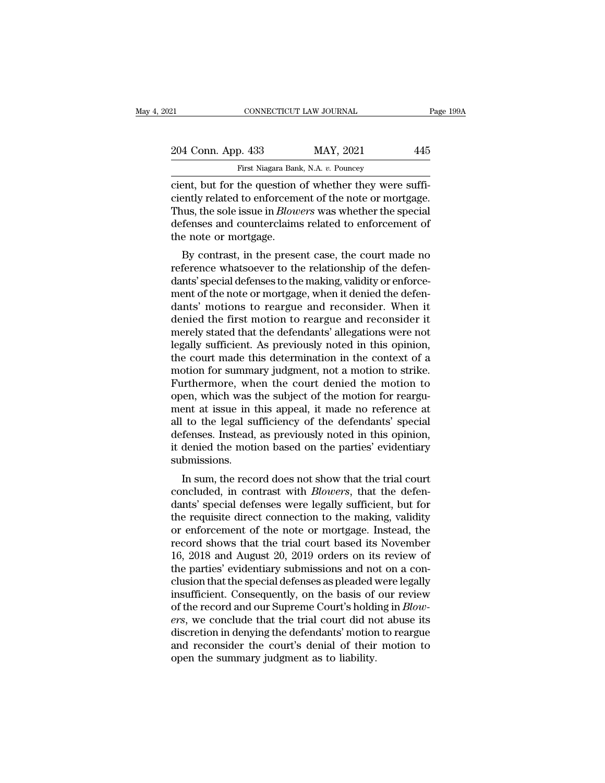| 12                 | CONNECTICUT LAW JOURNAL                                | Page 199A |
|--------------------|--------------------------------------------------------|-----------|
| 204 Conn. App. 433 | MAY, 2021                                              | 445       |
|                    | First Niagara Bank, N.A. v. Pouncey                    |           |
|                    | cient but for the question of whether they were suffi- |           |

connectricut LAW JOURNAL<br>
204 Conn. App. 433 MAY, 2021 445<br>
First Niagara Bank, N.A. v. Pouncey<br>
cient, but for the question of whether they were suffi-<br>
ciently related to enforcement of the note or mortgage.<br>
Thus the so 204 Conn. App. 433 MAY, 2021 445<br>
First Niagara Bank, N.A. v. Pouncey<br>
cient, but for the question of whether they were suffi-<br>
ciently related to enforcement of the note or mortgage.<br>
Thus, the sole issue in *Blowers* was 204 Conn. App. 433 MAY, 2021 445<br>First Niagara Bank, N.A. v. Pouncey<br>cient, but for the question of whether they were suffi-<br>ciently related to enforcement of the note or mortgage.<br>Thus, the sole issue in *Blowers* was whe 204 Conn. App. 433 MAY, 2021 445<br>First Niagara Bank, N.A. v. Pouncey<br>cient, but for the question of whether they were suffi-<br>ciently related to enforcement of the note or mortgage.<br>Thus, the sole issue in *Blowers* was whe First Niagara Ban<br>
cient, but for the question<br>
ciently related to enforcemently related to enforcement<br>
Thus, the sole issue in *Blow*<br>
defenses and counterclaim<br>
the note or mortgage.<br>
By contrast, in the prese ent, but for the question of whether they were suffi-<br>ently related to enforcement of the note or mortgage.<br>uus, the sole issue in *Blowers* was whether the special<br>fenses and counterclaims related to enforcement of<br>e note referrit, but for the question of whether they were sum-<br>ciently related to enforcement of the note or mortgage.<br>Thus, the sole issue in *Blowers* was whether the special<br>defenses and counterclaims related to enforcement o

defenses and counterclaims related to enforcement of the mote of mortgage.<br>Thus, the sole issue in *Blowers* was whether the special<br>defenses and counterclaims related to enforcement of<br>the note or mortgage.<br>By contrast, i Thus, the sole issue in *Blowers* was whether the special<br>defenses and counterclaims related to enforcement of<br>the note or mortgage.<br>By contrast, in the present case, the court made no<br>reference whatsoever to the relations deferises and countercraints related to enforcement of<br>the note or mortgage.<br>By contrast, in the present case, the court made no<br>reference whatsoever to the relationship of the defen-<br>dants' special defenses to the making, derive of mortgage.<br>By contrast, in the present case, the court made no<br>reference whatsoever to the relationship of the defen-<br>dants' special defenses to the making, validity or enforce-<br>ment of the note or mortgage, when By contrast, in the present case, the court made no<br>reference whatsoever to the relationship of the defen-<br>dants' special defenses to the making, validity or enforce-<br>ment of the note or mortgage, when it denied the defenreference whatsoever to the relationship of the defendants' special defenses to the making, validity or enforcement of the note or mortgage, when it denied the defendants' motions to reargue and reconsider. When it denied dants' special defenses to the making, validity or enforcement of the note or mortgage, when it denied the defendants' motions to reargue and reconsider. When it denied the first motion to reargue and reconsider it merely ment of the note or mortgage, when it denied the defendants' motions to reargue and reconsider. When it denied the first motion to reargue and reconsider it merely stated that the defendants' allegations were not legally s dants' motions to reargue and reconsider. When it<br>denied the first motion to reargue and reconsider it<br>merely stated that the defendants' allegations were not<br>legally sufficient. As previously noted in this opinion,<br>the co denied the first motion to reargue and reconsider it<br>merely stated that the defendants' allegations were not<br>legally sufficient. As previously noted in this opinion,<br>the court made this determination in the context of a<br>mo merely stated that the defendants' allegations were not<br>legally sufficient. As previously noted in this opinion,<br>the court made this determination in the context of a<br>motion for summary judgment, not a motion to strike.<br>Fu legally sufficient. As previously noted in this opinion,<br>the court made this determination in the context of a<br>motion for summary judgment, not a motion to strike.<br>Furthermore, when the court denied the motion to<br>open, whi the court made this determination in the context of a<br>motion for summary judgment, not a motion to strike.<br>Furthermore, when the court denied the motion to<br>open, which was the subject of the motion for reargu-<br>ment at issu motion for summary judgment, not a motion to strike.<br>Furthermore, when the court denied the motion to<br>open, which was the subject of the motion for reargu-<br>ment at issue in this appeal, it made no reference at<br>all to the l submissions. Figure 1. Which was the subject of the hotion for rearguent at issue in this appeal, it made no reference at<br>to the legal sufficiency of the defendants' special<br>fenses. Instead, as previously noted in this opinion,<br>denied ment at issue in this appeat, it made no reference at<br>all to the legal sufficiency of the defendants' special<br>defenses. Instead, as previously noted in this opinion,<br>it denied the motion based on the parties' evidentiary<br>s

an to the legal sufficiently of the defendants' special<br>defenses. Instead, as previously noted in this opinion,<br>it denied the motion based on the parties' evidentiary<br>submissions.<br>In sum, the record does not show that the defenses. Instead, as previously noted in this opinion,<br>it denied the motion based on the parties' evidentiary<br>submissions.<br>In sum, the record does not show that the trial court<br>concluded, in contrast with *Blowers*, that submissions.<br>
In sum, the record does not show that the trial court<br>
concluded, in contrast with *Blowers*, that the defen-<br>
dants' special defenses were legally sufficient, but for<br>
the requisite direct connection to the In sum, the record does not show that the trial court<br>concluded, in contrast with *Blowers*, that the defen-<br>dants' special defenses were legally sufficient, but for<br>the requisite direct connection to the making, validity In sum, the record does not show that the trial court<br>concluded, in contrast with *Blowers*, that the defen-<br>dants' special defenses were legally sufficient, but for<br>the requisite direct connection to the making, validity<br> concluded, in contrast with *Blowers*, that the defendants' special defenses were legally sufficient, but for the requisite direct connection to the making, validity or enforcement of the note or mortgage. Instead, the rec dants' special defenses were legally sufficient, but for<br>the requisite direct connection to the making, validity<br>or enforcement of the note or mortgage. Instead, the<br>record shows that the trial court based its November<br>16, the requisite direct connection to the making, validity<br>or enforcement of the note or mortgage. Instead, the<br>record shows that the trial court based its November<br>16, 2018 and August 20, 2019 orders on its review of<br>the par or enforcement of the note or mortgage. Instead, the record shows that the trial court based its November 16, 2018 and August 20, 2019 orders on its review of the parties' evidentiary submissions and not on a conclusion th record shows that the trial court based its November 16, 2018 and August 20, 2019 orders on its review of the parties' evidentiary submissions and not on a conclusion that the special defenses as pleaded were legally insuf 16, 2018 and August 20, 2019 orders on its review of<br>the parties' evidentiary submissions and not on a con-<br>clusion that the special defenses as pleaded were legally<br>insufficient. Consequently, on the basis of our review<br> the parties' evidentiary submissions and not on a conclusion that the special defenses as pleaded were legally insufficient. Consequently, on the basis of our review of the record and our Supreme Court's holding in *Blower* clusion that the special defenses as pleaded vinsufficient. Consequently, on the basis of of the record and our Supreme Court's holdiers, we conclude that the trial court did not discretion in denying the defendants' motio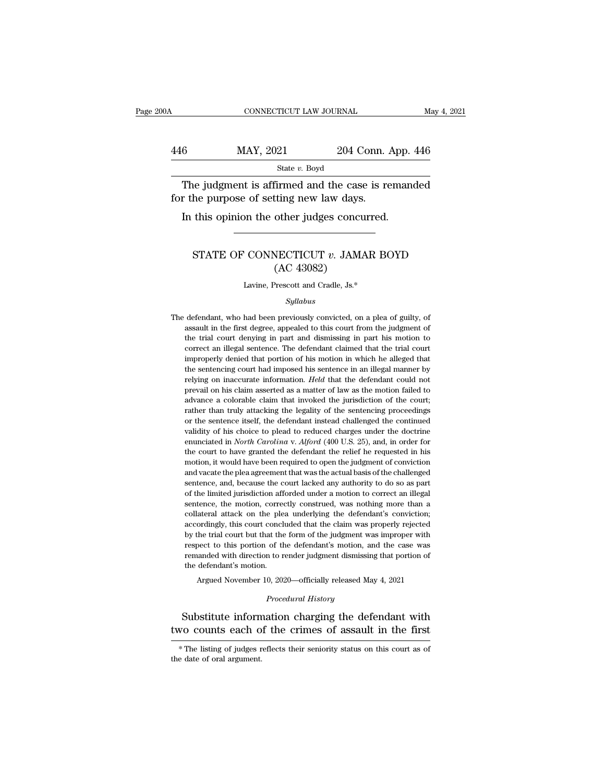### CONNECTICUT LAW JOURNAL May 4, 2021<br>446 MAY, 2021 204 Conn. App. 446<br>5tate v. Boyd State *v.* Boyd CONNECTICUT LAW JOURNAL May 4, 2021<br>
6 MAY, 2021 204 Conn. App. 446<br>
State v. Boyd<br>
The judgment is affirmed and the case is remanded<br>
r the purpose of setting new law days. 446 MAY, 2021 204 Conn. 4<br>
State v. Boyd<br>
The judgment is affirmed and the case is refor the purpose of setting new law days.<br>
In this opinion the other judges concurred.  $\frac{\text{MAX, 2021}}{\text{State } v. \text{ Boyd}}$ <br>The judgment is affirmed and the case is remand the purpose of setting new law days.<br>In this opinion the other judges concurred.

Ne judgment is affirmed and the case is remanded<br>the purpose of setting new law days.<br>this opinion the other judges concurred.<br>STATE OF CONNECTICUT *v.* JAMAR BOYD<br>(AC 43082)

### Inned and the case<br>tting new law days.<br>other judges concu<br>NECTICUT v. JAMA<br>(AC 43082)<br>Prescott and Cradle, Js.\* STATE OF CONNECTICUT  $v$ . JAMAR BOYD<br>(AC 43082)<br>Lavine, Prescott and Cradle, Js.\*

### *Syllabus*

The defendant, who had been previously convicted, on a plea of guilty, of<br>assault in the first degree, appealed to this court from the judgment of  $(AC 45002)$ <br>Lavine, Prescott and Cradle, Js.\*<br>Syllabus<br>defendant, who had been previously convicted, on a plea of guilty, of<br>assault in the first degree, appealed to this court from the judgment of<br>the trial court denying Lavine, Prescott and Cradle, Js.\*<br>Syllabus<br>defendant, who had been previously convicted, on a plea of guilty, of<br>assault in the first degree, appealed to this court from the judgment of<br>the trial court denying in part and Syllabus<br>defendant, who had been previously convicted, on a plea of guilty, of<br>assault in the first degree, appealed to this court from the judgment of<br>the trial court denying in part and dismissing in part his motion to<br>c *Syllabus*<br>defendant, who had been previously convicted, on a plea of guilty, of<br>assault in the first degree, appealed to this court from the judgment of<br>the trial court denying in part and dismissing in part his motion to defendant, who had been previously convicted, on a plea of guilty, of<br>assault in the first degree, appealed to this court from the judgment of<br>the trial court denying in part and dismissing in part his motion to<br>correct an assault in the first degree, appealed to this court from the judgment of the trial court denying in part and dismissing in part his motion to correct an illegal sentence. The defendant claimed that the trial court improper the trial court denying in part and dismissing in part his motion to correct an illegal sentence. The defendant claimed that the trial court improperly denied that portion of his motion in which he alleged that the sentenc correct an illegal sentence. The defendant claimed that the trial court<br>improperly denied that portion of his motion in which he alleged that<br>the sentencing court had imposed his sentence in an illegal manner by<br>relying on improperly denied that portion of his motion in which he alleged that the sentencing court had imposed his sentence in an illegal manner by relying on inaccurate information. *Held* that the defendant could not prevail on methe sentence in an illegal manner by<br>the sentencing court had imposed his sentence in an illegal manner by<br>relying on inaccurate information. *Held* that the defendant could not<br>prevail on his claim asserted as a matter relying on inaccurate information. *Held* that the defendant could not prevail on his claim asserted as a matter of law as the motion failed to advance a colorable claim that invoked the jurisdiction of the court; rather t entifying on macculate merited as a matter of law as the motion failed to advance a colorable claim that invoked the jurisdiction of the court; rather than truly attacking the legality of the sentencing proceedings or the provided a colorable claim that invoked the jurisdiction of the court;<br>rather than truly attacking the legality of the sentencing proceedings<br>or the sentence itself, the defendant instead challenged the continued<br>validity rather than truly attacking the legality of the sentencing proceedings<br>or the sentence itself, the defendant instead challenged the continued<br>validity of his choice to plead to reduced charges under the doctrine<br>enunciated For the sentence itself, the defendant instead challenged the continued validity of his choice to plead to reduced charges under the doctrine enunciated in *North Carolina* v. *Alford* (400 U.S. 25), and, in order for the validity of his choice to plead to reduced charges under the doctrine<br>enunciated in *North Carolina* v. *Alford* (400 U.S. 25), and, in order for<br>the court to have granted the defendant the relief he requested in his<br>moti remunciated in *North Carolina* v. *Alford* (400 U.S. 25), and, in order for the court to have granted the defendant the relief he requested in his motion, it would have been required to open the judgment of conviction an the court to have granted the defendant the relief he requested in his motion, it would have been required to open the judgment of conviction and vacate the plea agreement that was the actual basis of the challenged senten motion, it would have been required to open the judgment of conviction and vacate the plea agreement that was the actual basis of the challenged sentence, and, because the court lacked any authority to do so as part of the and vacate the plea agreement that was the actual basis of the challenged sentence, and, because the court lacked any authority to do so as part of the limited jurisdiction afforded under a motion to correct an illegal sen sentence, and, because the court lacked any authority to do so as part of the limited jurisdiction afforded under a motion to correct an illegal sentence, the motion, correctly construed, was nothing more than a collateral of the limited jurisdiction afforded under a motion to correct an illegal<br>sentence, the motion, correctly construed, was nothing more than a<br>collateral attack on the plea underlying the defendant's conviction;<br>accordingly, sentence, the motion, correctly construed, was nothing more than a collateral attack on the plea underlying the defendant's conviction; accordingly, this court concluded that the claim was properly rejected by the trial co collateral attack on the ple<br>accordingly, this court concl<br>by the trial court but that the<br>respect to this portion of the<br>remanded with direction to r<br>the defendant's motion.<br>Argued November 10, 202 ordingly, this court concluded that the claim was properly rejected<br>the trial court but that the form of the judgment was improper with<br>bect to this portion of the defendant's motion, and the case was<br>anaded with direction of the defendant's motion, and<br> *Procedural History*<br> *Procedural History*<br> **Procedural History**<br> **Procedural History** by the trial court but that the form of the judgment was improper with<br>respect to this portion of the defendant's motion, and the case was<br>remanded with direction to render judgment dismissing that portion of<br>the defendant remanded with direction to render judgment dismissing that portion of<br>the defendant's motion.<br>Argued November 10, 2020—officially released May 4, 2021<br>*Procedural History*<br>Substitute information charging the defendant with

Frocedural History<br>Substitute information charging the defendant with<br>vo counts each of the crimes of assault in the first<br>\*The listing of judges reflects their seniority status on this court as of<br>e date of oral argument. Substitute inform<br>two counts each of<br> $*$  The listing of judges r<br>the date of oral argument.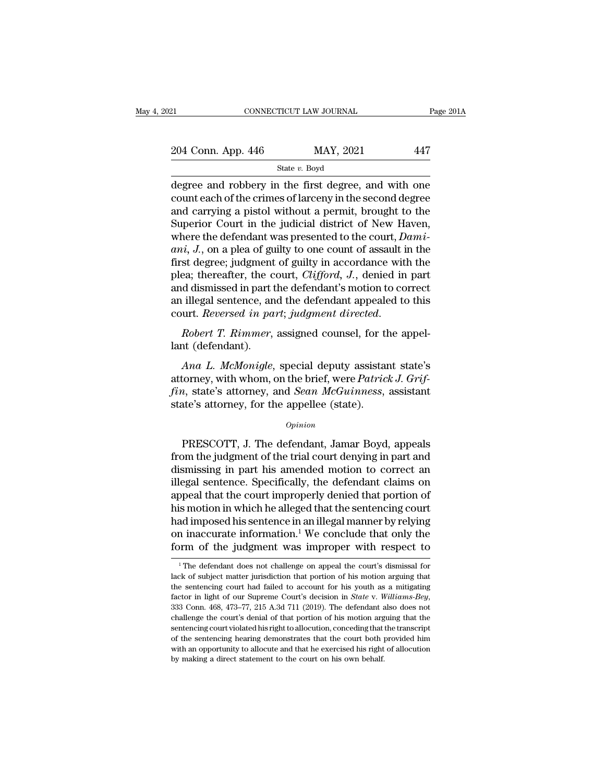| 21                 | CONNECTICUT LAW JOURNAL | Page 201A |
|--------------------|-------------------------|-----------|
| 204 Conn. App. 446 | MAY, 2021               | 447       |
|                    | State $v$ . Boyd        |           |

 $\begin{array}{|l|l|} \hline \text{1} & \text{CONPECTICUT LAW JOURNAL} & \text{Page 201A} \ \hline \end{array}$ <br>  $\begin{array}{|l|l|} \hline \text{204 Conn. App. 446} & \text{MAX, 2021} & \text{447} \ \hline \text{State } v. \text{ Boyd} \ \hline \text{degree and robberg in the first degree, and with one} \text{count each of the crimes of larceny in the second degree} \text{and carrying a pixel without a permit brought to the} \end{array}$ 204 Conn. App. 446 MAY, 2021 447<br>State v. Boyd<br>degree and robbery in the first degree, and with one<br>count each of the crimes of larceny in the second degree<br>and carrying a pistol without a permit, brought to the<br>Superior 204 Conn. App. 446 MAY, 2021 447<br>
State v. Boyd<br>
degree and robbery in the first degree, and with one<br>
count each of the crimes of larceny in the second degree<br>
and carrying a pistol without a permit, brought to the<br>
Supe 204 Conn. App. 446 MAY, 2021 447<br>
State v. Boyd<br>
degree and robbery in the first degree, and with one<br>
count each of the crimes of larceny in the second degree<br>
and carrying a pistol without a permit, brought to the<br>
Supe State *v*. Boyd<br>
degree and robbery in the first degree, and with one<br>
count each of the crimes of larceny in the second degree<br>
and carrying a pistol without a permit, brought to the<br>
Superior Court in the judicial distri <sup>state v. Boyd</sup><br>degree and robbery in the first degree, and with one<br>count each of the crimes of larceny in the second degree<br>and carrying a pistol without a permit, brought to the<br>Superior Court in the judicial district o degree and robbery in the first degree, and with one<br>count each of the crimes of larceny in the second degree<br>and carrying a pistol without a permit, brought to the<br>Superior Court in the judicial district of New Haven,<br>whe count each of the crimes of larceny in the second degree<br>and carrying a pistol without a permit, brought to the<br>Superior Court in the judicial district of New Haven,<br>where the defendant was presented to the court,  $Dami-$ <br>an and carrying a pistol without a permit, brought to the Superior Court in the judicial district of New Haven, where the defendant was presented to the court,  $Dami$ .<br>ani,  $J$ ., on a plea of guilty to one count of assault in Superior Court in the judicial district of New Haven,<br>where the defendant was presented to the court,  $Dami$ .<br> $ani$ ,  $J$ ., on a plea of guilty to one count of assault in the<br>first degree; judgment of guilty in accordance with where the defendant was presented to the court, *Damiani*, *J*., on a plea of guilty to one count of assault in the first degree; judgment of guilty in accordance with the plea; thereafter, the court, *Clifford*, *J.*, den max degree, judgment<br>plea; thereafter, the c<br>and dismissed in part t<br>an illegal sentence, an<br>court. *Reversed in pa*<br>*Robert T. Rimmer*,<br>lant (defendant).<br>*Ana L. McMonigle*, *A* dismissed in part the defendant's motion to correct<br> *Ana L. Reversed in part; judgment directed.*<br> *Ana L. McMonigle*, special deputy assistant state's<br> *Ana L. McMonigle*, special deputy assistant state's<br> *Ana L. Mc* 

an illegal sentence, and the defendant appealed to this<br>
court. *Reversed in part; judgment directed.*<br> *Robert T. Rimmer*, assigned counsel, for the appel-<br>
lant (defendant).<br> *Ana L. McMonigle*, special deputy assistant resourt. *Reversed in part; judgment directed.*<br> *Robert T. Rimmer,* assigned counsel, for the appellant (defendant).<br> *Ana L. McMonigle*, special deputy assistant state's attorney, with whom, on the brief, were *Patrick J* Robert T. Rimmer, assigned counsel, for the about (defendant).<br>Ana L. McMonigle, special deputy assistant attorney, with whom, on the brief, were *Patric* fin, state's attorney, and *Sean McGuinness*, state's attorney, for Ana L. McMonigle, special deputy assistant state's<br>torney, with whom, on the brief, were *Patrick J. Grif-*<br>i, state's attorney, and *Sean McGuinness*, assistant<br>te's attorney, for the appellee (state).<br>Opinion<br>PRESCOTT, J

### *Opinion*

attorney, with whom, on the brief, were *Patrick J. Grif-*<br> *fin*, state's attorney, and *Sean McGuinness*, assistant<br>
state's attorney, for the appellee (state).<br> *Opinion*<br>
PRESCOTT, J. The defendant, Jamar Boyd, appeals fin, state's attorney, and *Sean McGuinness*, assistant<br>state's attorney, for the appellee (state).<br> $opinion$ <br> $PRESCOTT$ , J. The defendant, Jamar Boyd, appeals<br>from the judgment of the trial court denying in part and<br>dismissing in state's attorney, for the appellee (state).<br>
opinion<br>
PRESCOTT, J. The defendant, Jamar Boyd, appeals<br>
from the judgment of the trial court denying in part and<br>
dismissing in part his amended motion to correct an<br>
illegal opinion<br>
opinion<br>
PRESCOTT, J. The defendant, Jamar Boyd, appeals<br>
from the judgment of the trial court denying in part and<br>
dismissing in part his amended motion to correct an<br>
illegal sentence. Specifically, the defendan FRESCOTT, J. The defendant, Jamar Boyd, appeals<br>from the judgment of the trial court denying in part and<br>dismissing in part his amended motion to correct an<br>illegal sentence. Specifically, the defendant claims on<br>appeal t PRESCOTT, J. The defendant, Jamar Boyd, appeals<br>from the judgment of the trial court denying in part and<br>dismissing in part his amended motion to correct an<br>illegal sentence. Specifically, the defendant claims on<br>appeal t from the judgment of the trial court denying in part and<br>dismissing in part his amended motion to correct an<br>illegal sentence. Specifically, the defendant claims on<br>appeal that the court improperly denied that portion of<br>h dismissing in part his amended motion to correct an<br>illegal sentence. Specifically, the defendant claims on<br>appeal that the court improperly denied that portion of<br>his motion in which he alleged that the sentencing court<br>h is motion in which he alleged that the sentencing court<br>ad imposed his sentence in an illegal manner by relying<br>in inaccurate information.<sup>1</sup> We conclude that only the<br>prm of the judgment was improper with respect to<br><sup>1</sup>Th had imposed his sentence in an illegal manner by relying<br>on inaccurate information.<sup>1</sup> We conclude that only the<br>form of the judgment was improper with respect to<br> $\frac{1}{1}$  The defendant does not challenge on appeal the c

on inaccurate information.<sup>1</sup> We conclude that only the form of the judgment was improper with respect to  $\frac{1}{1}$  The defendant does not challenge on appeal the court's dismissal for lack of subject matter jurisdiction form of the judgment was improper with respect to<br>
<sup>1</sup>The defendant does not challenge on appeal the court's dismissal for<br>
lack of subject matter jurisdiction that portion of his motion arguing that<br>
the sentencing court <sup>1</sup> The defendant does not challenge on appeal the court's dismissal for lack of subject matter jurisdiction that portion of his motion arguing that the sentencing court had failed to account for his youth as a mitigating <sup>1</sup> The defendant does not challenge on appeal the court's dismissal for lack of subject matter jurisdiction that portion of his motion arguing that the sentencing court had failed to account for his youth as a mitigating the sentencing court had failed to account for his youth as a mitigating factor in light of our Supreme Court's decision in *State* v. *Williams-Bey*, 333 Conn. 468, 473–77, 215 A.3d 711 (2019). The defendant also does not factor in light of our Supreme Court's decision in *State* v. *Williams-Bey*, 333 Conn. 468, 473–77, 215 A.3d 711 (2019). The defendant also does not challenge the court's denial of that portion of his motion arguing that 333 Conn. 468, 473–77, 215 A.3d 711 (2019). The defendant also does not challenge the court's denial of that portion of his motion arguing that the sentencing court violated his right to allocution, conceding that the tra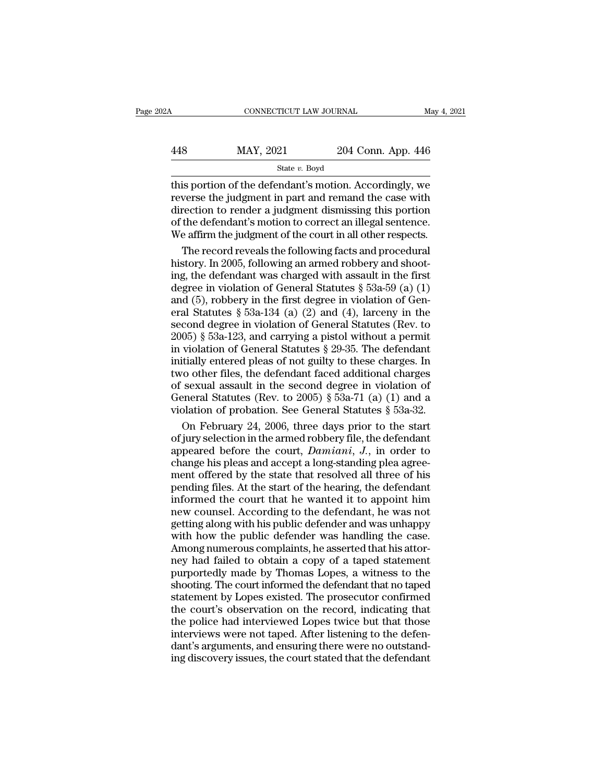|     | CONNECTICUT LAW JOURNAL |                    | May 4, 2021 |
|-----|-------------------------|--------------------|-------------|
| 448 | MAY, 2021               | 204 Conn. App. 446 |             |
|     | State $v$ . Boyd        |                    |             |

CONNECTICUT LAW JOURNAL May 4, 2021<br>  $\begin{array}{r}\n 448 \text{ MAY}, 2021 \text{ Z04 Conn. App. 446}\n \hline\n \text{State } v. \text{ Boyd}\n \end{array}$ <br>
this portion of the defendant's motion. Accordingly, we<br>
reverse the judgment in part and remand the case with<br>
directio  $\begin{array}{r} \hline \text{MAX, 2021} \text{204 Conn. App. 446} \text{State } v. \text{ Boyd} \ \hline \text{this portion of the defendant's motion. Accordingly, we reverse the judgment in part and remain the case with direction to render a judgment dismissing this portion of the defendant's motion to correct an illegal sentence.} \end{array}$  $\frac{\text{MAX, 2021}}{\text{State } v. \text{ Boyd}}$ <br>  $\frac{\text{State } v. \text{ Boyd}}{\text{this portion of the defendant's motion. Accordingly, we}}$ <br>
reverse the judgment in part and remand the case with<br>
direction to render a judgment dismissing this portion<br>
of the defendant's motion to correct an illegal  $\frac{\text{MAX, } 2021}{\text{State } v.$  Boyd<br>
State  $v.$  Boyd<br>
this portion of the defendant's motion. Accordingly, we<br>
reverse the judgment in part and remand the case with<br>
direction to render a judgment dismissing this portion<br>
of the State v. Boyd<br>
State v. Boyd<br>
This portion of the defendant's motion. Accordingly, we<br>
reverse the judgment in part and remand the case with<br>
direction to render a judgment dismissing this portion<br>
of the defendant's moti  $\frac{1}{2}$ <br>is portion of the defendant's motion. Accordingly, we<br>verse the judgment in part and remand the case with<br>rection to render a judgment dismissing this portion<br>the defendant's motion to correct an illegal sentenc this portion of the defendant's motion. Accordingly, we<br>reverse the judgment in part and remand the case with<br>direction to render a judgment dismissing this portion<br>of the defendant's motion to correct an illegal sentence

reverse the judgment in part and remand the case with<br>direction to render a judgment dismissing this portion<br>of the defendant's motion to correct an illegal sentence.<br>We affirm the judgment of the court in all other respec direction to render a judgment dismissing this portion<br>of the defendant's motion to correct an illegal sentence.<br>We affirm the judgment of the court in all other respects.<br>The record reveals the following facts and proced % of the defendant's motion to correct an illegal sentence.<br>We affirm the judgment of the court in all other respects.<br>The record reveals the following facts and procedural<br>history. In 2005, following an armed robbery and We affirm the judgment of the court in all other respects.<br>
The record reveals the following facts and procedural<br>
history. In 2005, following an armed robbery and shoot-<br>
ing, the defendant was charged with assault in th The record reveals the following facts and procedural<br>history. In 2005, following an armed robbery and shoot-<br>ing, the defendant was charged with assault in the first<br>degree in violation of General Statutes  $\S$  53a-59 (a) history. In 2005, following an armed robbery and shooting, the defendant was charged with assault in the first degree in violation of General Statutes § 53a-59 (a) (1) and (5), robbery in the first degree in violation of ing, the defendant was charged with assault in the first<br>degree in violation of General Statutes § 53a-59 (a) (1)<br>and (5), robbery in the first degree in violation of Gen-<br>eral Statutes § 53a-134 (a) (2) and (4), larceny ing, the dividuation of General Statutes § 53a-59 (a) (1)<br>degree in violation of General Statutes § 53a-59 (a) (1)<br>and (5), robbery in the first degree in violation of Gen-<br>eral Statutes § 53a-134 (a) (2) and (4), larceny and (5), robbery in the first degree in violation of General Statutes § 53a-134 (a) (2) and (4), larceny in the second degree in violation of General Statutes (Rev. to 2005) § 53a-123, and carrying a pistol without a perm and (e), resears 53a-134 (a) (2) and (4), larceny in the<br>second degree in violation of General Statutes (Rev. to<br>2005) § 53a-123, and carrying a pistol without a permit<br>in violation of General Statutes § 29-35. The defend second degree in violation of General Statutes (Rev. to 2005) § 53a-123, and carrying a pistol without a permit in violation of General Statutes § 29-35. The defendant initially entered pleas of not guilty to these charge 2005) § 53a-123, and carrying a pistol without a permit<br>in violation of General Statutes § 29-35. The defendant<br>initially entered pleas of not guilty to these charges. In<br>two other files, the defendant faced additional ch violation of General Statutes § 29-35. The defendant<br>itially entered pleas of not guilty to these charges. In<br>ro other files, the defendant faced additional charges<br>sexual assault in the second degree in violation of<br>pene initially entered pleas of not guilty to these charges. In<br>two other files, the defendant faced additional charges<br>of sexual assault in the second degree in violation of<br>General Statutes (Rev. to 2005) § 53a-71 (a) (1) an

two other files, the defendant faced additional charges<br>of sexual assault in the second degree in violation of<br>General Statutes (Rev. to 2005) § 53a-71 (a) (1) and a<br>violation of probation. See General Statutes § 53a-32.<br>O of sexual assault in the second degree in violation of General Statutes (Rev. to 2005) § 53a-71 (a) (1) and a violation of probation. See General Statutes § 53a-32.<br>On February 24, 2006, three days prior to the start of j General Statutes (Rev. to 2005) § 53a-71 (a) (1) and a violation of probation. See General Statutes § 53a-32.<br>On February 24, 2006, three days prior to the start of jury selection in the armed robbery file, the defendant violation of probation. See General Statutes  $\S$  53a-32.<br>On February 24, 2006, three days prior to the start<br>of jury selection in the armed robbery file, the defendant<br>appeared before the court, *Damiani*, *J*., in order On February 24, 2006, three days prior to the start<br>of jury selection in the armed robbery file, the defendant<br>appeared before the court,  $Damiani$ ,  $J$ ., in order to<br>change his pleas and accept a long-standing plea agree-<br>me of jury selection in the armed robbery file, the defendant<br>appeared before the court, *Damiani*, *J*., in order to<br>change his pleas and accept a long-standing plea agree-<br>ment offered by the state that resolved all three along the count. Damiani, J., in order to change his pleas and accept a long-standing plea agreement offered by the state that resolved all three of his pending files. At the start of the hearing, the defendant informed t wherear a state and accept a long-standing plea agreement offered by the state that resolved all three of his pending files. At the start of the hearing, the defendant informed the court that he wanted it to appoint him ne Example the proton prototom generating producting the ment offered by the state that resolved all three of his pending files. At the start of the hearing, the defendant informed the court that he wanted it to appoint him n next, officially the start of the hearing, the defendant<br>informed the court that he wanted it to appoint him<br>new counsel. According to the defendant, he was not<br>getting along with his public defender and was unhappy<br>with h informed the court that he wanted it to appoint him<br>new counsel. According to the defendant, he was not<br>getting along with his public defender and was unhappy<br>with how the public defender was handling the case.<br>Among numer mew counsel. According to the defendant, he was not<br>getting along with his public defender and was unhappy<br>with how the public defender was handling the case.<br>Among numerous complaints, he asserted that his attor-<br>ney had For the public defender and was unhappy<br>getting along with his public defender and was unhappy<br>with how the public defender was handling the case.<br>Among numerous complaints, he asserted that his attor-<br>ney had failed to ob with how the public defender was handling the case.<br>Among numerous complaints, he asserted that his attor-<br>ney had failed to obtain a copy of a taped statement<br>purportedly made by Thomas Lopes, a witness to the<br>shooting. T Among numerous complaints, he asserted that his attor-<br>hey had failed to obtain a copy of a taped statement<br>purportedly made by Thomas Lopes, a witness to the<br>shooting. The court informed the defendant that no taped<br>statem interignative as complaints), the associated that the attempt<br>mey had failed to obtain a copy of a taped statement<br>purportedly made by Thomas Lopes, a witness to the<br>shooting. The court informed the defendant that no taped Fig. That Tally made by Thomas Lopes, a witness to the shooting. The court informed the defendant that no taped statement by Lopes existed. The prosecutor confirmed the court's observation on the record, indicating that th Furnitum The court informed the defendant that no taped<br>statement by Lopes existed. The prosecutor confirmed<br>the court's observation on the record, indicating that<br>the police had interviewed Lopes twice but that those<br>inte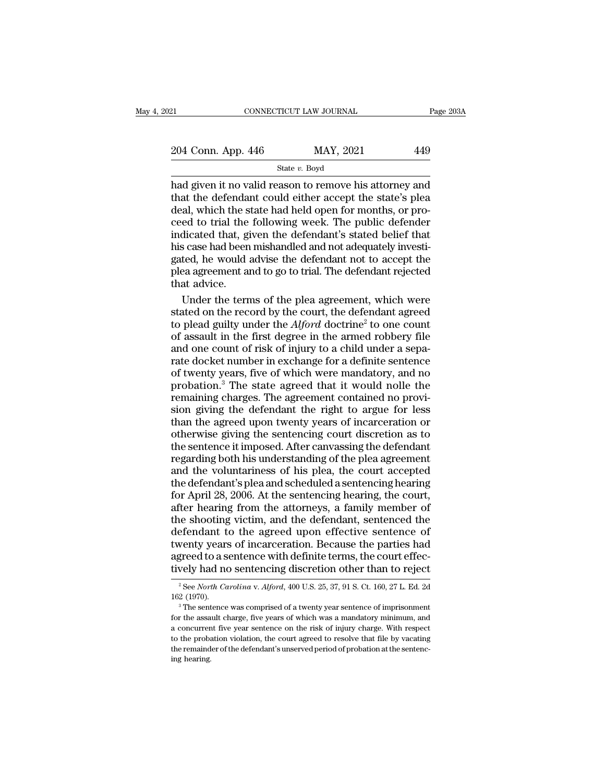| 21                 | CONNECTICUT LAW JOURNAL | Page 203A |  |
|--------------------|-------------------------|-----------|--|
|                    |                         |           |  |
| 204 Conn. App. 446 | MAY, 2021               | 449       |  |
|                    | State $v$ . Boyd        |           |  |

EXECT 21 CONNECTICUT LAW JOURNAL Page 203A<br>
204 Conn. App. 446 MAY, 2021 449<br>
State v. Boyd<br>
had given it no valid reason to remove his attorney and<br>
that the defendant could either accept the state's plea<br>
deal which the 204 Conn. App. 446 MAY, 2021 449<br>State v. Boyd<br>had given it no valid reason to remove his attorney and<br>that the defendant could either accept the state's plea<br>deal, which the state had held open for months, or pro-<br>ceed t 204 Conn. App. 446 MAY, 2021 449<br>
State v. Boyd<br>
had given it no valid reason to remove his attorney and<br>
that the defendant could either accept the state's plea<br>
deal, which the state had held open for months, or pro-<br>
c 204 Conn. App. 446 MAY, 2021 449<br>
State v. Boyd<br>
had given it no valid reason to remove his attorney and<br>
that the defendant could either accept the state's plea<br>
deal, which the state had held open for months, or pro-<br>
c State v. Boyd<br>
State v. Boyd<br>
had given it no valid reason to remove his attorney and<br>
that the defendant could either accept the state's plea<br>
deal, which the state had held open for months, or pro-<br>
ceed to trial the fo State  $v$ . Boyd<br>had given it no valid reason to remove his attorney and<br>that the defendant could either accept the state's plea<br>deal, which the state had held open for months, or pro-<br>ceed to trial the following week. The had given it no valid reason to remove his attorney and<br>that the defendant could either accept the state's plea<br>deal, which the state had held open for months, or pro-<br>ceed to trial the following week. The public defender<br> that the defendant could either accept the state's pleadeal, which the state had held open for months, or proceed to trial the following week. The public defender indicated that, given the defendant's stated belief that hi deal, which the s<br>ceed to trial the<br>indicated that, gi<br>his case had been<br>gated, he would :<br>plea agreement and<br>that advice.<br>Under the term ed to trial the following week. The public defender<br>dicated that, given the defendant's stated belief that<br>s case had been mishandled and not adequately investi-<br>ted, he would advise the defendant not to accept the<br>ea agre indicated that, given the defendant's stated belief that<br>his case had been mishandled and not adequately investigated, he would advise the defendant not to accept the<br>plea agreement and to go to trial. The defendant rejec

his case had been mishandled and not adequately investigated, he would advise the defendant not to accept the<br>plea agreement and to go to trial. The defendant rejected<br>that advice.<br>Under the terms of the plea agreement, wh gated, he would advise the defendant not to accept the<br>plea agreement and to go to trial. The defendant rejected<br>that advice.<br>Under the terms of the plea agreement, which were<br>stated on the record by the court, the defenda plea agreement and to go to trial. The defendant rejected<br>that advice.<br>Under the terms of the plea agreement, which were<br>stated on the record by the court, the defendant agreed<br>to plead guilty under the *Alford* doctrine<sup>2</sup> that advice.<br>
Under the terms of the plea agreement, which were<br>
stated on the record by the court, the defendant agreed<br>
to plead guilty under the  $Alford$  doctrine<sup>2</sup> to one count<br>
of assault in the first degree in the arme Under the terms of the plea agreement, which were<br>stated on the record by the court, the defendant agreed<br>to plead guilty under the  $Alford$  doctrine<sup>2</sup> to one count<br>of assault in the first degree in the armed robbery file<br>an stated on the record by the court, the defendant agreed<br>to plead guilty under the *Alford* doctrine<sup>2</sup> to one count<br>of assault in the first degree in the armed robbery file<br>and one count of risk of injury to a child under to plead guilty under the  $Alford$  doctrine<sup>2</sup> to one count<br>of assault in the first degree in the armed robbery file<br>and one count of risk of injury to a child under a sepa-<br>rate docket number in exchange for a definite sente sion giving the first degree in the armed robbery file<br>of assault in the first degree in the armed robbery file<br>and one count of risk of injury to a child under a sepa-<br>rate docket number in exchange for a definite sentenc or assaure in the risk of injury to a child under a separate docket number in exchange for a definite sentence of twenty years, five of which were mandatory, and no probation.<sup>3</sup> The state agreed that it would nolle the re and she set in the strip of a galaxy of a stand didner a separate docket number in exchange for a definite sentence of twenty years, five of which were mandatory, and no probation.<sup>3</sup> The state agreed that it would nolle t The sentence is in the sentence of twenty years, five of which were mandatory, and no<br>probation.<sup>3</sup> The state agreed that it would nolle the<br>remaining charges. The agreement contained no provi-<br>sion giving the defendant th regarding of the state agreed that it would nolle the<br>probation.<sup>3</sup> The state agreed that it would nolle the<br>remaining charges. The agreement contained no provi-<br>sion giving the defendant the right to argue for less<br>than t remaining charges. The agreement contained no provision giving the defendant the right to argue for less<br>than the agreed upon twenty years of incarceration or<br>otherwise giving the sentencing court discretion as to<br>the sent Formality of the defendant the right to argue for less<br>than the agreed upon twenty years of incarceration or<br>otherwise giving the sentencing court discretion as to<br>the sentence it imposed. After canvassing the defendant<br>re Form and the agreed upon twenty years of incarceration or<br>otherwise giving the sentencing court discretion as to<br>the sentence it imposed. After canvassing the defendant<br>regarding both his understanding of the plea agreemen and the served epert energy, years of included attachment of the sentence it imposed. After canvassing the defendant regarding both his understanding of the plea agreement and the voluntariness of his plea, the court accep Final and the sentence it imposed. After canvassing the defendant<br>regarding both his understanding of the plea agreement<br>and the voluntariness of his plea, the court accepted<br>the defendant's plea and scheduled a sentencing definite to the school of the plea agreement<br>regarding both his understanding of the plea agreement<br>and the voluntariness of his plea, the court accepted<br>the defendant's plea and scheduled a sentencing hearing<br>for April 28 Figure and the voluntariness of his plea, the court accepted<br>the defendant's plea and scheduled a sentencing hearing<br>for April 28, 2006. At the sentencing hearing, the court,<br>after hearing from the attorneys, a family memb and the defendant's plea and scheduled a sentencing hearing<br>for April 28, 2006. At the sentencing hearing, the court,<br>after hearing from the attorneys, a family member of<br>the shooting victim, and the defendant, sentenced t for April 28, 2006. At the sentencing hearing, the court,<br>after hearing from the attorneys, a family member of<br>the shooting victim, and the defendant, sentenced the<br>defendant to the agreed upon effective sentence of<br>twent defendant to the agreed upon effective sentence of<br>twenty years of incarceration. Because the parties had<br>agreed to a sentence with definite terms, the court effec-<br>tively had no sentencing discretion other than to reject<br> twenty years of incarceration. Because the parties had agreed to a sentence with definite terms, the court effectively had no sentencing discretion other than to reject  $\frac{1}{2}$  See *North Carolina* v. *Alford*, 400 U.S.

for the assault charge, five years of which was a mandatory minimum, and a concurrent five year sentence on the risk of injury charge. With respectively had no sentence was comprised of a twenty year sentence of imprisonme EVETY Had To Settlent file anscere to the rital to reflect<br>
<sup>2</sup> See *North Carolina* v. *Alford*, 400 U.S. 25, 37, 91 S. Ct. 160, 27 L. Ed. 2d<br>
162 (1970).<br>
<sup>3</sup> The sentence was comprised of a twenty year sentence of impr <sup>2</sup> See *North Carolina* v. *Alford*, 400 U.S. 25, 37, 91 S. Ct. 160, 27 L. Ed. 2d 162 (1970).<br><sup>3</sup> The sentence was comprised of a twenty year sentence of imprisonment for the assault charge, five years of which was a man 162 (1970).<br>
<sup>3</sup> The sentence was comprised of a twenty year sentence of imprisonment<br>
for the assault charge, five years of which was a mandatory minimum, and<br>
a concurrent five year sentence on the risk of injury charge <sup>3</sup> The sent<br><sup>3</sup> The sent<br>for the assa<br>a concurrer<br>to the proba<br>the remaind<br>ing hearing.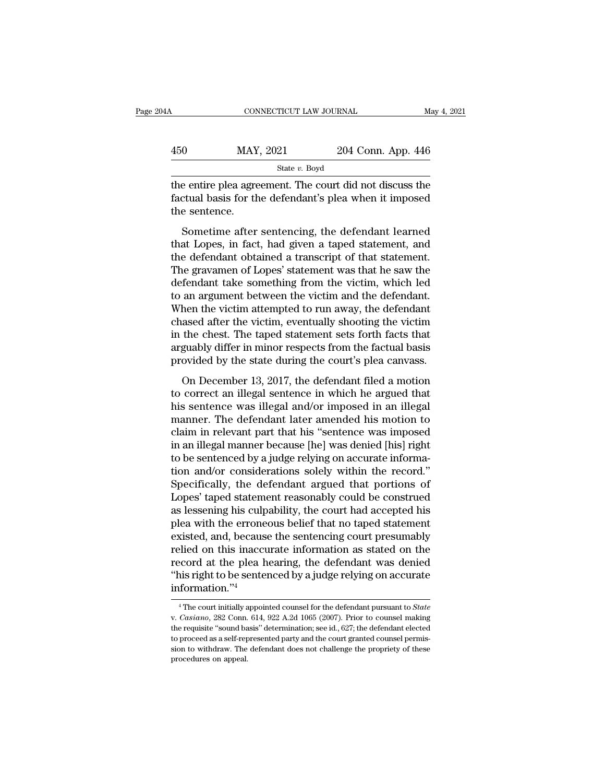|     | CONNECTICUT LAW JOURNAL |                    | May 4, 2021 |
|-----|-------------------------|--------------------|-------------|
|     |                         |                    |             |
| 450 | MAY, 2021               | 204 Conn. App. 446 |             |
|     | State $v$ . Boyd        |                    |             |

the entire plea agreement. The court did not discuss the<br>discuss for the defendant's plea when it imposed<br>the courtons of the defendant's plea when it imposed<br>the contons of the defendant's plea when it imposed  $\begin{array}{r} \text{MAX, } 2021 \\ \text{State } v. \text{ Boyd} \end{array}$ <br>
the entire plea agreement. The court did not discuss the factual basis for the defendant's plea when it imposed the sentence. MAY<br>
the entire plea agree<br>
factual basis for the<br>
the sentence.<br>
Sometime after  $\frac{\text{MAY, } 2021}{\text{State } v.$  Boyd<br>
e entire plea agreement. The court did not discuss the<br>
ctual basis for the defendant's plea when it imposed<br>
e sentence.<br>
Sometime after sentencing, the defendant learned<br>
at Lopes, in fact

State v. Boyd<br>the entire plea agreement. The court did not discuss the<br>factual basis for the defendant's plea when it imposed<br>the sentence.<br>Sometime after sentencing, the defendant learned<br>that Lopes, in fact, had given a the entire plea agreement. The court did not discuss the factual basis for the defendant's plea when it imposed<br>the sentence.<br>Sometime after sentencing, the defendant learned<br>that Lopes, in fact, had given a taped statemen The gravament of the defendant's plea when it imposed<br>the sentence.<br>Sometime after sentencing, the defendant learned<br>that Lopes, in fact, had given a taped statement, and<br>the defendant obtained a transcript of that stateme defendant some for the defendant speed when a tappessed<br>the sentence.<br>Sometime after sentencing, the defendant learned<br>that Lopes, in fact, had given a taped statement, and<br>the defendant obtained a transcript of that state Sometime after sentencing, the defendant learned<br>that Lopes, in fact, had given a taped statement, and<br>the defendant obtained a transcript of that statement.<br>The gravamen of Lopes' statement was that he saw the<br>defendant t Sometime after sentencing, the defendant learned<br>that Lopes, in fact, had given a taped statement, and<br>the defendant obtained a transcript of that statement.<br>The gravamen of Lopes' statement was that he saw the<br>defendant t that Lopes, in fact, had given a taped statement, and<br>the defendant obtained a transcript of that statement.<br>The gravamen of Lopes' statement was that he saw the<br>defendant take something from the victim, which led<br>to an ar the defendant obtained a transcript of that statement.<br>The gravamen of Lopes' statement was that he saw the<br>defendant take something from the victim, which led<br>to an argument between the victim and the defendant.<br>When the The gravamen of Lopes' statement was that he saw the<br>defendant take something from the victim, which led<br>to an argument between the victim and the defendant.<br>When the victim attempted to run away, the defendant<br>chased afte defendant take something from the victim, which led<br>to an argument between the victim and the defendant.<br>When the victim attempted to run away, the defendant<br>chased after the victim, eventually shooting the victim<br>in the c and a game the victim and a diverted and and a diverted and a medicinal and a diverted and a seed after the victim, eventually shooting the victim the chest. The taped statement sets forth facts that guably differ in minor then are viesni assempted to rain away, the derentiant<br>chased after the victim, eventually shooting the victim<br>in the chest. The taped statement sets forth facts that<br>arguably differ in minor respects from the factual basi

Find the chest. The taped statement sets forth facts that<br>arguably differ in minor respects from the factual basis<br>provided by the state during the court's plea canvass.<br>On December 13, 2017, the defendant filed a motion<br>t manner. The defect statement sets form facts that<br>arguably differ in minor respects from the factual basis<br>provided by the state during the court's plea canvass.<br>On December 13, 2017, the defendant filed a motion<br>to correc claim in relation of the state during the court's plea canvass.<br>
On December 13, 2017, the defendant filed a motion<br>
to correct an illegal sentence in which he argued that<br>
his sentence was illegal and/or imposed in an ill In December 13, 2017, the defendant filed a motion<br>to correct an illegal sentence in which he argued that<br>his sentence was illegal and/or imposed in an illegal<br>manner. The defendant later amended his motion to<br>claim in rel On December 13, 2017, the defendant filed a motion<br>to correct an illegal sentence in which he argued that<br>his sentence was illegal and/or imposed in an illegal<br>manner. The defendant later amended his motion to<br>claim in rel to correct an illegal sentence in which he argued that<br>his sentence was illegal and/or imposed in an illegal<br>manner. The defendant later amended his motion to<br>claim in relevant part that his "sentence was imposed<br>in an ill his sentence was illegal and/or imposed in an illegal<br>manner. The defendant later amended his motion to<br>claim in relevant part that his "sentence was imposed<br>in an illegal manner because [he] was denied [his] right<br>to be s manner. The defendant later amended his motion to<br>claim in relevant part that his "sentence was imposed<br>in an illegal manner because [he] was denied [his] right<br>to be sentenced by a judge relying on accurate informa-<br>tion claim in relevant part that his "sentence was imposed<br>in an illegal manner because [he] was denied [his] right<br>to be sentenced by a judge relying on accurate informa-<br>tion and/or considerations solely within the record."<br>S in an illegal manner because [he] was denied [his] right<br>to be sentenced by a judge relying on accurate informa-<br>tion and/or considerations solely within the record."<br>Specifically, the defendant argued that portions of<br>Lop to be sentenced by a judge relying on accurate information and/or considerations solely within the record."<br>Specifically, the defendant argued that portions of<br>Lopes' taped statement reasonably could be construed<br>as lessen tion and/or considerations solely within the record."<br>Specifically, the defendant argued that portions of<br>Lopes' taped statement reasonably could be construed<br>as lessening his culpability, the court had accepted his<br>plea w Specifically, the defendant argued that portions of<br>Lopes' taped statement reasonably could be construed<br>as lessening his culpability, the court had accepted his<br>plea with the erroneous belief that no taped statement<br>exist Lopes' taped statement reasonably could be construed<br>as lessening his culpability, the court had accepted his<br>plea with the erroneous belief that no taped statement<br>existed, and, because the sentencing court presumably<br>rel information.''<sup>4</sup> relied on this inaccurate information as stated on the<br>record at the plea hearing, the defendant was denied<br>"his right to be sentenced by a judge relying on accurate<br>information."<sup>4</sup><br>"The court initially appointed counsel

<sup>&</sup>quot;his right to be sentenced by a judge relying on accurate information."<sup>4</sup><br> $\overline{ }$ " The court initially appointed counsel for the defendant pursuant to *State* v. *Casiano*, 282 Conn. 614, 922 A.2d 1065 (2007). Prior to c information."<sup>4</sup><br> $\frac{4}{1}$  The court initially appointed counsel for the defendant pursuant to *State*<br>v. *Casiano*, 282 Conn. 614, 922 A.2d 1065 (2007). Prior to counsel making<br>the requisite "sound basis" determination; The court initially appointed counsel for the defendant pursuant to *State* v. *Casiano*, 282 Conn. 614, 922 A.2d 1065 (2007). Prior to counsel making the requisite "sound basis" determination; see id., 627; the defendant <sup>4</sup> The court initially a<br>v. *Casiano*, 282 Conn.<br>the requisite "sound ba<br>to proceed as a self-rep<br>sion to withdraw. The<br>procedures on appeal.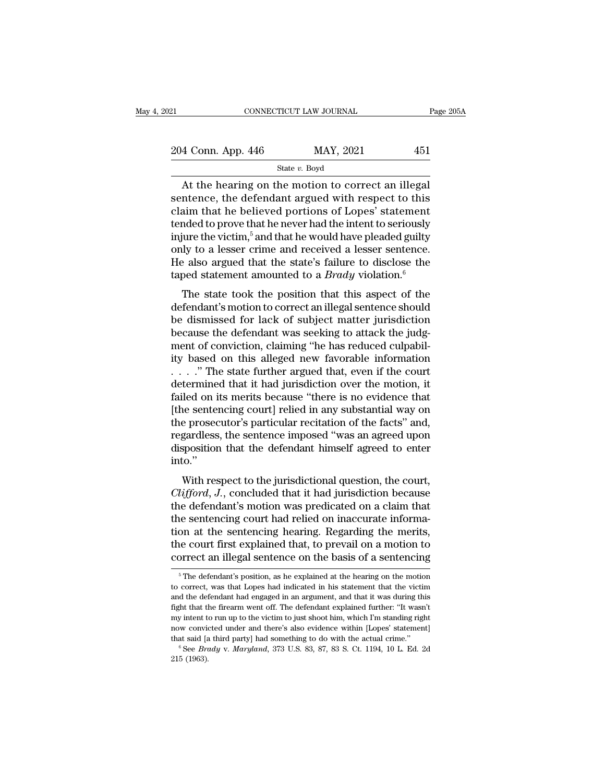| 21                 | CONNECTICUT LAW JOURNAL | Page 205A |
|--------------------|-------------------------|-----------|
| 204 Conn. App. 446 | MAY, 2021               | 451       |
|                    | State $v$ . Boyd        |           |

 $\begin{array}{r|l}\n\text{COMNETICUT LAW JOURNAL} & \text{Page 20} \\
\hline\n\text{4 Conn. App. 446} & \text{MAY, 2021} & \text{451} \\
\hline\n\text{State } v. \text{ Boyd} \\
\hline\n\text{At the hearing on the motion to correct an illegal} \\
\text{intence, the defendant argued with respect to this} \\
\text{sim that be believed portions of Jones' statement}\n\end{array}$ 204 Conn. App. 446 MAY, 2021 451<br>
State v. Boyd<br>
At the hearing on the motion to correct an illegal<br>
sentence, the defendant argued with respect to this<br>
claim that he believed portions of Lopes' statement<br>
tonded to prov 204 Conn. App. 446 MAY, 2021 451<br>
State v. Boyd<br>
At the hearing on the motion to correct an illegal<br>
sentence, the defendant argued with respect to this<br>
claim that he believed portions of Lopes' statement<br>
tended to prov 204 Conn. App. 446 MAY, 2021 451<br>
State v. Boyd<br>
At the hearing on the motion to correct an illegal<br>
sentence, the defendant argued with respect to this<br>
claim that he believed portions of Lopes' statement<br>
tended to prov State v. Boyd<br>
At the hearing on the motion to correct an illegal<br>
sentence, the defendant argued with respect to this<br>
claim that he believed portions of Lopes' statement<br>
tended to prove that he never had the intent to State v. Boyd<br>At the hearing on the motion to correct an illegal<br>sentence, the defendant argued with respect to this<br>claim that he believed portions of Lopes' statement<br>tended to prove that he never had the intent to seri At the hearing on the motion to correct an illegal<br>sentence, the defendant argued with respect to this<br>claim that he believed portions of Lopes' statement<br>tended to prove that he never had the intent to seriously<br>injure t sentence, the defendant argued with respect to this<br>claim that he believed portions of Lopes' statement<br>tended to prove that he never had the intent to seriously<br>injure the victim,<sup>5</sup> and that he would have pleaded guilty and that he beneved portions of hopes statement<br>inded to prove that he never had the intent to seriously<br>iure the victim,<sup>5</sup> and that he would have pleaded guilty<br>ly to a lesser crime and received a lesser sentence.<br>e als injure the victim,<sup>5</sup> and that he would have pleaded guilty<br>only to a lesser crime and received a lesser sentence.<br>He also argued that the state's failure to disclose the<br>taped statement amounted to a *Brady* violation.<sup>6</sup>

be dismissed for lack of subject matter jurisdiction<br>be discovered a lesser sentence.<br>He also argued that the state's failure to disclose the<br>taped statement amounted to a *Brady* violation.<sup>6</sup><br>The state took the position because the defendant the state's failure to disclose the taped statement amounted to a *Brady* violation.<sup>6</sup><br>The state took the position that this aspect of the defendant's motion to correct an illegal sentence should<br>be The also algeed that the state's familie to disclose the<br>taped statement amounted to a *Brady* violation.<sup>6</sup><br>The state took the position that this aspect of the<br>defendant's motion to correct an illegal sentence should<br>be The state took the position that this aspect of the<br>defendant's motion to correct an illegal sentence should<br>be dismissed for lack of subject matter jurisdiction<br>because the defendant was seeking to attack the judg-<br>ment The state took the position that this aspect of the<br>defendant's motion to correct an illegal sentence should<br>be dismissed for lack of subject matter jurisdiction<br>because the defendant was seeking to attack the judg-<br>ment defendant's motion to correct an illegal sentence should<br>be dismissed for lack of subject matter jurisdiction<br>because the defendant was seeking to attack the judg-<br>ment of conviction, claiming "he has reduced culpabil-<br>ity be dismissed for lack of subject matter jurisdiction<br>because the defendant was seeking to attack the judg-<br>ment of conviction, claiming "he has reduced culpabil-<br>ity based on this alleged new favorable information<br> $\ldots$ ." because the defendant was seeking to attack the judgment of conviction, claiming "he has reduced culpability based on this alleged new favorable information  $\ldots$ ..." The state further argued that, even if the court deter ment of conviction, claiming "he has reduced culpability based on this alleged new favorable information  $\ldots$ ..." The state further argued that, even if the court determined that it had jurisdiction over the motion, it f ity based on this alleged new favorable information<br>  $\ldots$  ." The state further argued that, even if the court<br>
determined that it had jurisdiction over the motion, it<br>
failed on its merits because "there is no evidence t ...." The state further argued that, even if the court<br>determined that it had jurisdiction over the motion, it<br>failed on its merits because "there is no evidence that<br>[the sentencing court] relied in any substantial way o into.'' The separation of the state of the state of the state of the sentencing court] relied in any substantial way on<br>e prosecutor's particular recitation of the facts" and,<br>gardless, the sentence imposed "was an agreed upon<br>spo Fine schicheng court<sub>1</sub> renea in any substantial way on<br>the prosecutor's particular recitation of the facts" and,<br>regardless, the sentence imposed "was an agreed upon<br>disposition that the defendant himself agreed to enter<br>

the prosecutor's particular rechainor of the facts and,<br>regardless, the sentence imposed "was an agreed upon<br>disposition that the defendant himself agreed to enter<br>into."<br>With respect to the jurisdictional question, the co tegaturess, the sentence imposed was an agreed upon<br>disposition that the defendant himself agreed to enter<br>into."<br>With respect to the jurisdictional question, the court,<br>*Clifford*, J., concluded that it had jurisdiction b the sentencing must be a given that the sentencing with respect to the jurisdictional question, the court, *Clifford*, *J*., concluded that it had jurisdiction because the defendant's motion was predicated on a claim that With respect to the jurisdictional question, the court,<br>Clifford, J., concluded that it had jurisdiction because<br>the defendant's motion was predicated on a claim that<br>the sentencing court had relied on inaccurate informa-<br> With respect to the jurisdictional question, the court,<br>Clifford, J., concluded that it had jurisdiction because<br>the defendant's motion was predicated on a claim that<br>the sentencing court had relied on inaccurate informa-<br> Frame on a the sentencing hearing. Regarding the merits,<br>ne court first explained that, to prevail on a motion to<br>prrect an illegal sentence on the basis of a sentencing<br> $\frac{5}{n}$ The defendant's position, as he explained tion at the sentencing hearing. Regarding the merits,<br>the court first explained that, to prevail on a motion to<br>correct an illegal sentence on the basis of a sentencing<br> $\frac{1}{\pi}$  The defendant's position, as he explained

the court first explained that, to prevail on a motion to correct an illegal sentence on the basis of a sentencing  $\frac{1}{\pi}$ . The defendant's position, as he explained at the hearing on the motion to correct, was that Lo correct an illegal sentence on the basis of a sentencing<br>  $\overline{ }$ <sup>5</sup> The defendant's position, as he explained at the hearing on the motion<br>
to correct, was that Lopes had indicated in his statement that the victim<br>
and t <sup>5</sup> The defendant's position, as he explained at the hearing on the motion to correct, was that Lopes had indicated in his statement that the victim and the defendant had engaged in an argument, and that it was during thi <sup>5</sup> The defendant's position, as he explained at the hearing on the motion to correct, was that Lopes had indicated in his statement that the victim and the defendant had engaged in an argument, and that it was during thi the correct, was that Lopes had indicated in his statement that the victim and the defendant had engaged in an argument, and that it was during this fight that the firearm went off. The defendant explained further: "It was fight that the firearm went off. The defendant explained further: "It wasn't my intent to run up to the victim to just shoot him, which I'm standing right now convicted under and there's also evidence within [Lopes' state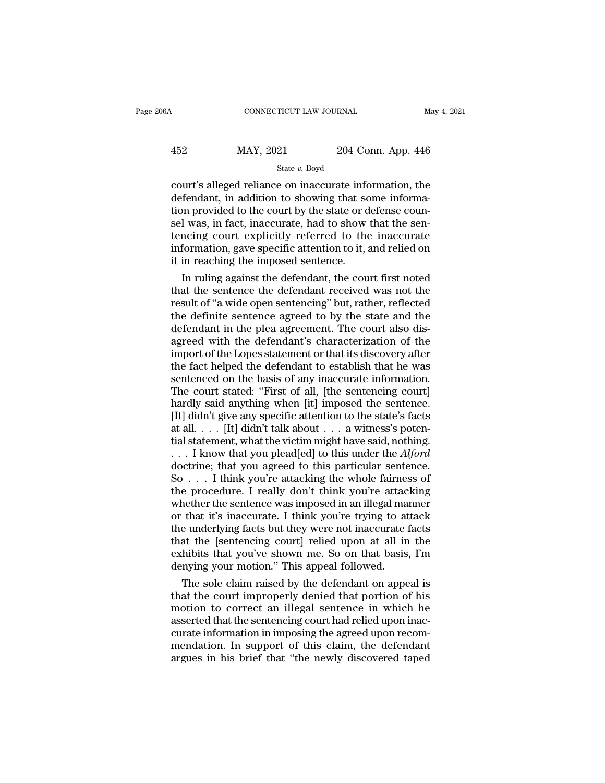CONNECTICUT LAW JOURNAL May 4, 2021<br>452 MAY, 2021 204 Conn. App. 446<br>52 MAY, 2021 204 Conn. App. 446 State *v.* Boyd

CONNECTICUT LAW JOURNAL May 4, 2021<br>  $\begin{array}{r}\n 452 \text{ MAY}, 2021 \text{ Z04 Conn. App. 446}\n \hline\n \text{State } v. \text{ Boyd}\n \end{array}$ <br>
court's alleged reliance on inaccurate information, the<br>
defendant, in addition to showing that some information provide  $\begin{array}{r} \text{452} & \text{MAX, } 2021 & 204 \text{ Conn. App. 446} \\ \text{State } v. \text{ Boyd} \\ \text{court's alleged reliance on inaccurate information, the defendant, in addition to showing that some information provided to the court by the state or defense causal was in fact inaccurate had to show that the sen \frac{\text{MAX, } 2021}{\text{State } v. \text{ Boyd}}$ <br>  $\frac{\text{State } v. \text{ Boyd}}{\text{court's alleged reliance on inaccurate information, the}\end{equation}$ <br>  $\frac{\text{defendant, in addition to showing that some information provided to the court by the state or defense count-  
self was, in fact, inaccurate, had to show that the sentening court explicitly referred to the inaccurate.}$  $\frac{\text{MAX, 2021}}{\text{State } v. \text{ Boyd}}$ <br>  $\frac{\text{State } v. \text{ Boyd}}{\text{court's alleged reliance on inaccurate information, the}$ <br>
defendant, in addition to showing that some information provided to the court by the state or defense counsel was, in fact, inaccurate, had to show that the sent State v. Boyd<br>
State v. Boyd<br>
Court's alleged reliance on inaccurate information, the<br>
defendant, in addition to showing that some informa-<br>
state or defense coun-<br>
sel was, in fact, inaccurate, had to show that the sen-<br> State  $v$ . Boyd<br>
court's alleged reliance on inaccurate information, the<br>
defendant, in addition to showing that some informa-<br>
tion provided to the court by the state or defense coun-<br>
sel was, in fact, inaccurate, had t court's alleged reliance on inaccurate information defendant, in addition to showing that so<br>tion provided to the court by the state or d<br>sel was, in fact, inaccurate, had to show<br>tencing court explicitly referred to the<br>i fendant, in addition to showing that some informa-<br>on provided to the court by the state or defense coun-<br>l was, in fact, inaccurate, had to show that the sen-<br>ncing court explicitly referred to the inaccurate<br>formation, g tion provided to the court by the state or defense counsel was, in fact, inaccurate, had to show that the sentencing court explicitly referred to the inaccurate information, gave specific attention to it, and relied on it

sel was, in fact, inaccurate, had to show that the sentencing court explicitly referred to the inaccurate information, gave specific attention to it, and relied on it in reaching the imposed sentence.<br>In ruling against the tencing court explicitly referred to the inaccurate<br>information, gave specific attention to it, and relied on<br>it in reaching the imposed sentence.<br>In ruling against the defendant, the court first noted<br>that the sentence th information, gave specific attention to it, and relied on<br>it in reaching the imposed sentence.<br>In ruling against the defendant, the court first noted<br>that the sentence the defendant received was not the<br>result of "a wide o it in reaching the imposed sentence.<br>
In ruling against the defendant, the court first noted<br>
that the sentence the defendant received was not the<br>
result of "a wide open sentencing" but, rather, reflected<br>
the definite se In ruling against the defendant, the court first noted<br>that the sentence the defendant received was not the<br>result of "a wide open sentencing" but, rather, reflected<br>the definite sentence agreed to by the state and the<br>def that the sentence the defendant received was not the<br>result of "a wide open sentencing" but, rather, reflected<br>the definite sentence agreed to by the state and the<br>defendant in the plea agreement. The court also dis-<br>agree result of "a wide open sentencing" but, rather, reflected<br>the definite sentence agreed to by the state and the<br>defendant in the plea agreement. The court also dis-<br>agreed with the defendant's characterization of the<br>import the definite sentence agreed to by the state and the defendant in the plea agreement. The court also disagreed with the defendant's characterization of the import of the Lopes statement or that its discovery after the fact defendant in the plea agreement. The court also dis-<br>agreed with the defendant's characterization of the<br>import of the Lopes statement or that its discovery after<br>the fact helped the defendant to establish that he was<br>sent agreed with the defendant's characterization of the<br>import of the Lopes statement or that its discovery after<br>the fact helped the defendant to establish that he was<br>sentenced on the basis of any inaccurate information.<br>Th import of the Lopes statement or that its discovery after<br>the fact helped the defendant to establish that he was<br>sentenced on the basis of any inaccurate information.<br>The court stated: "First of all, [the sentencing court the fact helped the defendant to establish that he was<br>sentenced on the basis of any inaccurate information.<br>The court stated: "First of all, [the sentencing court]<br>hardly said anything when [it] imposed the sentence.<br>[It sentenced on the basis of any inaccurate information.<br>The court stated: "First of all, [the sentencing court]<br>hardly said anything when [it] imposed the sentence.<br>[It] didn't give any specific attention to the state's fact The court stated: "First of all, [the sentencing court]<br>hardly said anything when [it] imposed the sentence.<br>[It] didn't give any specific attention to the state's facts<br>at all. . . . [It] didn't talk about . . . a witnes hardly said anything when [it] imposed the sentence.<br>[It] didn't give any specific attention to the state's facts<br>at all. . . . [It] didn't talk about . . . a witness's poten-<br>tial statement, what the victim might have sa [It] didn't give any specific attention to the state's facts<br>at all. . . . [It] didn't talk about . . . a witness's poten-<br>tial statement, what the victim might have said, nothing.<br>. . . I know that you plead[ed] to this at all. . . . [It] didn't talk about . . . a witness's potential statement, what the victim might have said, nothing.<br>
. . . I know that you plead[ed] to this under the *Alford* doctrine; that you agreed to this particula tial statement, what the victim might have said, nothing.<br>  $\ldots$  I know that you plead[ed] to this under the *Alford*<br>
doctrine; that you agreed to this particular sentence.<br>
So  $\ldots$  I think you're attacking the whole fa ... I know that you plead[ed] to this under the *Alford* doctrine; that you agreed to this particular sentence.<br>So ... I think you're attacking the whole fairness of the procedure. I really don't think you're attacking wh doctrine; that you agreed to this particular sentence.<br>So . . . I think you're attacking the whole fairness of<br>the procedure. I really don't think you're attacking<br>whether the sentence was imposed in an illegal manner<br>or t So . . . I think you're attacking the whole fairness of<br>the procedure. I really don't think you're attacking<br>whether the sentence was imposed in an illegal manner<br>or that it's inaccurate. I think you're trying to attack<br>th the procedure. I really don't think you're attace whether the sentence was imposed in an illegal ma<br>or that it's inaccurate. I think you're trying to at<br>the underlying facts but they were not inaccurate t<br>that the [sentenc nether the sentence was imposed in an illegal manner<br>that it's inaccurate. I think you're trying to attack<br>e underlying facts but they were not inaccurate facts<br>at the [sentencing court] relied upon at all in the<br>hibits th or that it's inaccurate. I think you're trying to attack<br>the underlying facts but they were not inaccurate facts<br>that the [sentencing court] relied upon at all in the<br>exhibits that you've shown me. So on that basis, I'm<br>de

the underlying facts but they were not inaccurate facts<br>that the [sentencing court] relied upon at all in the<br>exhibits that you've shown me. So on that basis, I'm<br>denying your motion." This appeal followed.<br>The sole claim that the [sentencing court] relied upon at all in the<br>exhibits that you've shown me. So on that basis, I'm<br>denying your motion." This appeal followed.<br>The sole claim raised by the defendant on appeal is<br>that the court impr exhibits that you've shown me. So on that basis, I'm<br>denying your motion." This appeal followed.<br>The sole claim raised by the defendant on appeal is<br>that the court improperly denied that portion of his<br>motion to correct an denying your motion." This appeal followed.<br>The sole claim raised by the defendant on appeal is<br>that the court improperly denied that portion of his<br>motion to correct an illegal sentence in which he<br>asserted that the sente The sole claim raised by the defendant on appeal is<br>that the court improperly denied that portion of his<br>motion to correct an illegal sentence in which he<br>asserted that the sentencing court had relied upon inac-<br>curate inf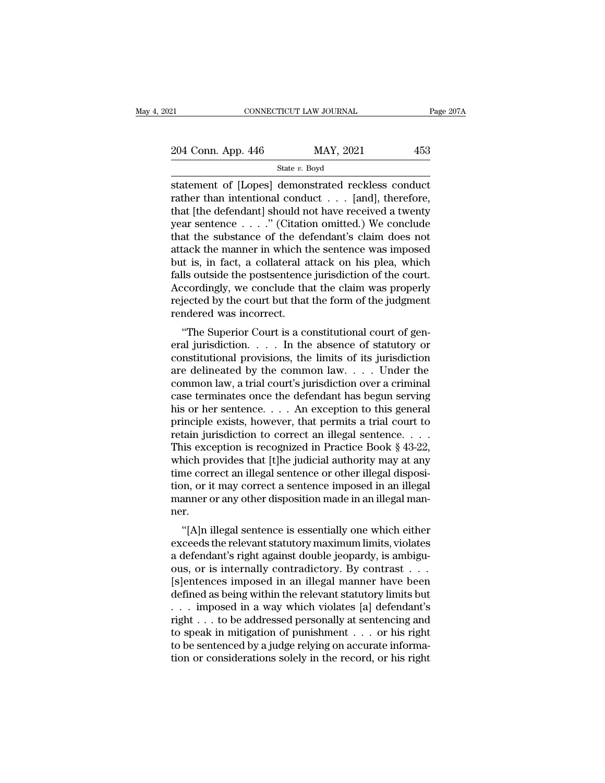| 21                 | CONNECTICUT LAW JOURNAL | Page 207A |
|--------------------|-------------------------|-----------|
| 204 Conn. App. 446 | MAY, 2021               | 453       |
|                    | State $v$ . Boyd        |           |

ERECTIVE CONNECTICUT LAW JOURNAL Page 2074<br>
204 Conn. App. 446 MAY, 2021 453<br>
State v. Boyd<br>
Statement of [Lopes] demonstrated reckless conduct<br>
rather than intentional conduct . . . [and], therefore,<br>
that ithe defendant 204 Conn. App. 446 MAY, 2021 453<br>
State v. Boyd<br>
statement of [Lopes] demonstrated reckless conduct<br>
rather than intentional conduct . . . [and], therefore,<br>
that [the defendant] should not have received a twenty<br>
year so 204 Conn. App. 446 MAY, 2021 453<br>
State v. Boyd<br>
statement of [Lopes] demonstrated reckless conduct<br>
rather than intentional conduct . . . [and], therefore,<br>
that [the defendant] should not have received a twenty<br>
year se 204 Conn. App. 446 MAY, 2021 453<br>
State v. Boyd<br>
statement of [Lopes] demonstrated reckless conduct<br>
rather than intentional conduct . . . [and], therefore,<br>
that [the defendant] should not have received a twenty<br>
year se State v. Boyd<br>
State v. Boyd<br>
Statement of [Lopes] demonstrated reckless conduct<br>
rather than intentional conduct . . . [and], therefore,<br>
that [the defendant] should not have received a twenty<br>
year sentence . . . . ." ( statement of [Lopes] demonstrated reckless conduct<br>rather than intentional conduct  $\dots$  [and], therefore,<br>that [the defendant] should not have received a twenty<br>year sentence  $\dots$ ." (Citation omitted.) We conclude<br>that th statement of [Lopes] demonstrated reckless conduct<br>rather than intentional conduct  $\ldots$  [and], therefore,<br>that [the defendant] should not have received a twenty<br>year sentence  $\ldots$ ..." (Citation omitted.) We conclude<br>tha rather than intentional conduct  $\ldots$  [and], therefore,<br>that [the defendant] should not have received a twenty<br>year sentence  $\ldots$ ..." (Citation omitted.) We conclude<br>that the substance of the defendant's claim does not<br>a that [the defendant] should not have received a twenty<br>year sentence  $\ldots$  ." (Citation omitted.) We conclude<br>that the substance of the defendant's claim does not<br>attack the manner in which the sentence was imposed<br>but is year sentence  $\ldots$  ." (Citation omitted.) We conclude that the substance of the defendant's claim does not attack the manner in which the sentence was imposed but is, in fact, a collateral attack on his plea, which falls that the substance of the de<br>attack the manner in which tl<br>but is, in fact, a collateral a<br>falls outside the postsentence<br>Accordingly, we conclude tha<br>rejected by the court but that<br>rendered was incorrect.<br>"The Superior Co ack the manner in which the sentence was imposed<br>tt is, in fact, a collateral attack on his plea, which<br>lls outside the postsentence jurisdiction of the court.<br>coordingly, we conclude that the claim was properly<br>jected by but is, in fact, a conateral attack on his piea, which<br>falls outside the postsentence jurisdiction of the court.<br>Accordingly, we conclude that the claim was properly<br>rejected by the court but that the form of the judgment<br>

Frame of the possession of the court.<br>Accordingly, we conclude that the claim was properly<br>rejected by the court but that the form of the judgment<br>rendered was incorrect.<br>"The Superior Court is a constitutional court of g Accordingly, we conclude that the claim was properly<br>rejected by the court but that the form of the judgment<br>rendered was incorrect.<br>"The Superior Court is a constitutional court of gen-<br>eral jurisdiction.... In the absenc rejected by the court but that the form of the judgment<br>rendered was incorrect.<br>"The Superior Court is a constitutional court of gen-<br>eral jurisdiction.... In the absence of statutory or<br>constitutional provisions, the limi "The Superior Court is a constitutional court of general jurisdiction. . . . . In the absence of statutory or constitutional provisions, the limits of its jurisdiction are delineated by the common law. . . . Under the com "The Superior Court is a constitutional court of general jurisdiction. . . . . In the absence of statutory or constitutional provisions, the limits of its jurisdiction are delineated by the common law. . . . Under the com eral jurisdiction. . . . . In the absence of statutory or constitutional provisions, the limits of its jurisdiction<br>are delineated by the common law. . . . Under the<br>common law, a trial court's jurisdiction over a crimina constitutional provisions, the limits of its jurisdiction<br>are delineated by the common law. . . . Under the<br>common law, a trial court's jurisdiction over a criminal<br>case terminates once the defendant has begun serving<br>his are delineated by the common law. . . . Under the common law, a trial court's jurisdiction over a criminal case terminates once the defendant has begun serving his or her sentence. . . . An exception to this general princ common law, a trial court's jurisdiction over a criminal<br>case terminates once the defendant has begun serving<br>his or her sentence. . . . An exception to this general<br>principle exists, however, that permits a trial court t case terminates once the defendant has begun serving<br>his or her sentence. . . . An exception to this general<br>principle exists, however, that permits a trial court to<br>retain jurisdiction to correct an illegal sentence. . . his or her sentence. . . . An exception to this general<br>principle exists, however, that permits a trial court to<br>retain jurisdiction to correct an illegal sentence. . . . .<br>This exception is recognized in Practice Book § 4 principle exists, however, that permits a trial court to<br>retain jurisdiction to correct an illegal sentence. . . . This exception is recognized in Practice Book § 43-22,<br>which provides that [t]he judicial authority may at ner. is exception is recognized in 1 ractice book § 45-22,<br>nich provides that [t]he judicial authority may at any<br>me correct an illegal sentence or other illegal disposi-<br>m, or it may correct a sentence imposed in an illegal<br>na which provides that [t]he judicial additionly hay at any<br>time correct an illegal sentence or other illegal disposi-<br>tion, or it may correct a sentence imposed in an illegal<br>manner.<br>"[A]n illegal sentence is essentially one

a defendant's right against double jeopardy, is ambiguated in the second in the second in the second manner.<br>"[A]n illegal sentence is essentially one which either exceeds the relevant statutory maximum limits, violates<br>a outing one of a sentence imposed in an illegal manner.<br>
"[A]n illegal sentence is essentially one which either<br>
exceeds the relevant statutory maximum limits, violates<br>
a defendant's right against double jeopardy, is ambig manner or any other usposition made in an inegar man-<br>ner.<br>"[A]n illegal sentence is essentially one which either<br>exceeds the relevant statutory maximum limits, violates<br>a defendant's right against double jeopardy, is ambi "[A]n illegal sentence is essentially one which either<br>exceeds the relevant statutory maximum limits, violates<br>a defendant's right against double jeopardy, is ambigu-<br>ous, or is internally contradictory. By contrast . . .<br> "[A]n illegal sentence is essentially one which either<br>exceeds the relevant statutory maximum limits, violates<br>a defendant's right against double jeopardy, is ambigu-<br>ous, or is internally contradictory. By contrast  $\ldots$ exceeds the relevant statutory maximum limits, violates<br>a defendant's right against double jeopardy, is ambiguous, or is internally contradictory. By contrast . . .<br>[s]entences imposed in an illegal manner have been<br>define a defendant's right against double jeopardy, is ambiguous, or is internally contradictory. By contrast . . .<br>[s]entences imposed in an illegal manner have been<br>defined as being within the relevant statutory limits but<br> $\dots$ ous, or is internally contradictory. By contrast  $\ldots$  [s]entences imposed in an illegal manner have been defined as being within the relevant statutory limits but  $\ldots$  imposed in a way which violates [a] defendant's rig [s]entences imposed in an illegal manner have been<br>defined as being within the relevant statutory limits but<br>... imposed in a way which violates [a] defendant's<br>right ... to be addressed personally at sentencing and<br>to spe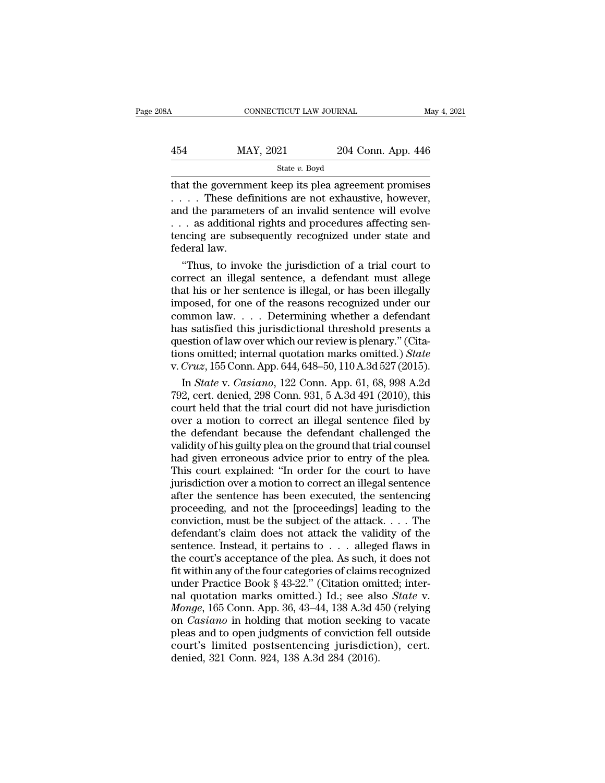| 8Α  | CONNECTICUT LAW JOURNAL |                    | May 4, 2021 |
|-----|-------------------------|--------------------|-------------|
| 454 | MAY, 2021               | 204 Conn. App. 446 |             |
|     | State v. Boyd           |                    |             |

CONNECTICUT LAW JOURNAL May 4, 2021<br>  $\begin{array}{r}\n 454 \text{ MAY}, 2021 \text{ Z04 Conn. App. 446}\n \hline\n \text{State } v. \text{ Boyd}\n \end{array}$ <br>
that the government keep its plea agreement promises<br>
.... These definitions are not exhaustive, however,<br>
and the param 454 MAY, 2021 204 Conn. App. 446<br>  $\frac{\text{State } v. \text{ Boyd}}{\text{State } v. \text{ Boyd}}$ <br>
that the government keep its plea agreement promises<br>
.... These definitions are not exhaustive, however,<br>
and the parameters of an invalid sentence will evo 454 MAY, 2021 204 Conn. App. 446<br>  $\frac{\text{State } v. \text{ Boyd}}{\text{that the government keep its pla agreement promises}}$ <br>  $\dots$  These definitions are not exhaustive, however,<br>
and the parameters of an invalid sentence will evolve<br>  $\dots$  as additional rights and procedures affectin 454 MAY, 2021 204 Conn. App. 446<br>
State v. Boyd<br>
that the government keep its plea agreement promises<br>  $\dots$  These definitions are not exhaustive, however,<br>
and the parameters of an invalid sentence will evolve<br>  $\dots$  as ad State v. Boyd<br>
State v. Boyd<br>
that the government keep its plea agreement promises<br>  $\ldots$ . These definitions are not exhaustive, however,<br>
and the parameters of an invalid sentence will evolve<br>  $\ldots$  as additional rights that the governm<br>
.... These def<br>
and the paramet<br>
... as additiona<br>
tencing are subs<br>
federal law.<br>
"Thus, to invo at the government keep its plea agreement promises<br>
. These definitions are not exhaustive, however,<br>
d the parameters of an invalid sentence will evolve<br>
. as additional rights and procedures affecting sen-<br>
noing are sub correct an illegal sentence is illegal sentence will evolve<br>that is and the parameters of an invalid sentence will evolve<br>correct an additional rights and procedures affecting sen-<br>tencing are subsequently recognized unde

and the parameters of an invalid sentence will evolve<br>  $\ldots$  as additional rights and procedures affecting sen-<br>
tencing are subsequently recognized under state and<br>
federal law.<br>
"Thus, to invoke the jurisdiction of a tr ... as additional rights and procedures affecting sentencing are subsequently recognized under state and federal law.<br>"Thus, to invoke the jurisdiction of a trial court to correct an illegal sentence, a defendant must alle common law. . . . Determining whether a defendant federal law.<br>
"Thus, to invoke the jurisdiction of a trial court to<br>
correct an illegal sentence, a defendant must allege<br>
that his or her sentence is illegal, or has been illegally<br>
imposed, for one of the reasons recogni "Thus, to invoke the jurisdiction of a trial court to correct an illegal sentence, a defendant must allege that his or her sentence is illegal, or has been illegally imposed, for one of the reasons recognized under our co correct an illegal sentence, a defendant must allege<br>that his or her sentence is illegal, or has been illegally<br>imposed, for one of the reasons recognized under our<br>common law. . . . Determining whether a defendant<br>has sat that his or her sentence is illegal, or has been illegally<br>imposed, for one of the reasons recognized under our<br>common law.... Determining whether a defendant<br>has satisfied this jurisdictional threshold presents a<br>question posed, for one of the reasons recognized under our<br>mmon law.... Determining whether a defendant<br>is satisfied this jurisdictional threshold presents a<br>estion of law over which our review is plenary." (Cita-<br>ms omitted; inte common law.... Determining whether a defendant<br>has satisfied this jurisdictional threshold presents a<br>question of law over which our review is plenary." (Cita-<br>tions omitted; internal quotation marks omitted.) *State*<br>v.

has satisfied this jurisdictional threshold presents a<br>question of law over which our review is plenary." (Cita-<br>tions omitted; internal quotation marks omitted.) State<br>v. Cruz, 155 Conn. App. 644, 648–50, 110 A.3d 527 (2 question of law over which our review is plenary." (Citations omitted; internal quotation marks omitted.) State<br>v. Cruz, 155 Conn. App. 644, 648–50, 110 A.3d 527 (2015).<br>In State v. Casiano, 122 Conn. App. 61, 68, 998 A.2 tions omitted; internal quotation marks omitted.) State<br>v. Cruz, 155 Conn. App. 644, 648–50, 110 A.3d 527 (2015).<br>In State v. Casiano, 122 Conn. App. 61, 68, 998 A.2d<br>792, cert. denied, 298 Conn. 931, 5 A.3d 491 (2010), t v. Cruz, 155 Conn. App. 644, 648–50, 110 A.3d 527 (2015).<br>
In *State* v. *Casiano*, 122 Conn. App. 61, 68, 998 A.2d<br>
792, cert. denied, 298 Conn. 931, 5 A.3d 491 (2010), this<br>
court held that the trial court did not have In *State* v. *Casiano*, 122 Conn. App. 61, 68, 998 A.2d 792, cert. denied, 298 Conn. 931, 5 A.3d 491 (2010), this court held that the trial court did not have jurisdiction over a motion to correct an illegal sentence file 792, cert. denied, 298 Conn. 931, 5  $\overline{A}.\overline{3}d$  491 (2010), this court held that the trial court did not have jurisdiction over a motion to correct an illegal sentence filed by the defendant because the defendant chal court held that the trial court did not have jurisdiction<br>over a motion to correct an illegal sentence filed by<br>the defendant because the defendant challenged the<br>validity of his guilty plea on the ground that trial counse over a motion to correct an illegal sentence filed by<br>the defendant because the defendant challenged the<br>validity of his guilty plea on the ground that trial counsel<br>had given erroneous advice prior to entry of the plea.<br>T the defendant because the defendant challenged the validity of his guilty plea on the ground that trial counsel<br>had given erroneous advice prior to entry of the plea.<br>This court explained: "In order for the court to have<br>j validity of his guilty plea on the ground that trial counsel<br>had given erroneous advice prior to entry of the plea.<br>This court explained: "In order for the court to have<br>jurisdiction over a motion to correct an illegal sen had given erroneous advice prior to entry of the plea.<br>This court explained: "In order for the court to have<br>jurisdiction over a motion to correct an illegal sentence<br>after the sentence has been executed, the sentencing<br>p This court explained: "In order for the court to have<br>jurisdiction over a motion to correct an illegal sentence<br>after the sentence has been executed, the sentencing<br>proceeding, and not the [proceedings] leading to the<br>con jurisdiction over a motion to correct an illegal sentence<br>after the sentence has been executed, the sentencing<br>proceeding, and not the [proceedings] leading to the<br>conviction, must be the subject of the attack. . . . The<br> factor the sentence has been executed, the sentencing<br>proceeding, and not the [proceedings] leading to the<br>conviction, must be the subject of the attack.... The<br>defendant's claim does not attack the validity of the<br>senten proceeding, and not the [proceedings] leading to the conviction, must be the subject of the attack. . . . The defendant's claim does not attack the validity of the sentence. Instead, it pertains to . . . alleged flaws in conviction, must be the subject of the attack. . . . The<br>defendant's claim does not attack the validity of the<br>sentence. Instead, it pertains to . . . alleged flaws in<br>the court's acceptance of the plea. As such, it does n defendant's claim does not attack the validity of the<br>sentence. Instead, it pertains to . . . alleged flaws in<br>the court's acceptance of the plea. As such, it does not<br>fit within any of the four categories of claims recogn sentence. Instead, it pertains to . . . . alleged flaws in<br>the court's acceptance of the plea. As such, it does not<br>fit within any of the four categories of claims recognized<br>under Practice Book § 43-22." (Citation omitted the court's acceptance of the plea. As such, it does not<br>fit within any of the four categories of claims recognized<br>under Practice Book § 43-22." (Citation omitted; inter-<br>nal quotation marks omitted.) Id.; see also *State* fit within any of the four categories of claims recognized<br>under Practice Book § 43-22." (Citation omitted; inter-<br>nal quotation marks omitted.) Id.; see also *State* v.<br>*Monge*, 165 Conn. App. 36, 43–44, 138 A.3d 450 (rel under Practice Book § 43-22." (Citation omi<br>nal quotation marks omitted.) Id.; see als<br>*Monge*, 165 Conn. App. 36, 43–44, 138 A.3d 4<br>on *Casiano* in holding that motion seeking<br>pleas and to open judgments of conviction f<br>c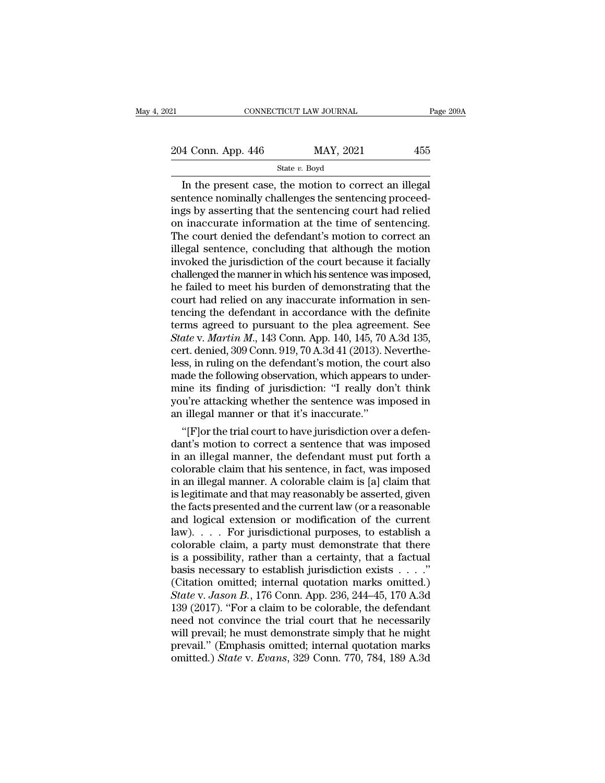21 CONNECTICUT LAW JOURNAL Page 209A<br>
204 Conn. App. 446 MAY, 2021 455<br>
State v. Boyd

State *v.* Boyd

 $\begin{array}{r|l} \hline \text{COMNETICUT LAW JOURNAL} \ \text{Page 20:} \ \end{array}$ <br>  $\begin{array}{r|l} \hline \text{4 Conn. App. 446} \ \text{State $v$. Boyd} \ \hline \text{In the present case, the motion to correct an illegal} \ \end{array}$ <br>  $\begin{array}{r|l} \hline \text{Intercept case, the motion to correct an illegal} \ \end{array} \ \text{Integrating the sentencing proceed} \ \end{array}$ 204 Conn. App. 446 MAY, 2021 455<br>
State v. Boyd<br>
In the present case, the motion to correct an illegal<br>
sentence nominally challenges the sentencing proceed-<br>
ings by asserting that the sentencing court had relied<br>
on ina 204 Conn. App. 446 MAY, 2021 455<br>
State v. Boyd<br>
In the present case, the motion to correct an illegal<br>
sentence nominally challenges the sentencing proceed-<br>
ings by asserting that the sentencing court had relied<br>
on ina 204 Conn. App. 446 MAY, 2021 455<br>
State v. Boyd<br>
In the present case, the motion to correct an illegal<br>
sentence nominally challenges the sentencing proceed-<br>
ings by asserting that the sentencing court had relied<br>
on ina The countries of the defendant's motion to correct an illegal<br>sentence nominally challenges the sentencing proceed-<br>ings by asserting that the sentencing court had relied<br>on inaccurate information at the time of sentencin state  $v$ . Boyd<br>In the present case, the motion to correct an illegal<br>sentence nominally challenges the sentencing proceed-<br>ings by asserting that the sentencing court had relied<br>on inaccurate information at the time of s In the present case, the motion to correct an illegal<br>sentence nominally challenges the sentencing proceed-<br>ings by asserting that the sentencing court had relied<br>on inaccurate information at the time of sentencing.<br>The co sentence nominally challenges the sentencing proceed-<br>ings by asserting that the sentencing court had relied<br>on inaccurate information at the time of sentencing.<br>The court denied the defendant's motion to correct an<br>illega ings by asserting that the sentencing court had relied<br>on inaccurate information at the time of sentencing.<br>The court denied the defendant's motion to correct an<br>illegal sentence, concluding that although the motion<br>invoke on inaccurate information at the time of sentencing.<br>The court denied the defendant's motion to correct an<br>illegal sentence, concluding that although the motion<br>invoked the jurisdiction of the court because it facially<br>cha The court denied the defendant's motion to correct an illegal sentence, concluding that although the motion invoked the jurisdiction of the court because it facially challenged the manner in which his sentence was imposed illegal sentence, concluding that although the motion<br>invoked the jurisdiction of the court because it facially<br>challenged the manner in which his sentence was imposed,<br>he failed to meet his burden of demonstrating that th invoked the jurisdiction of the court because it facially<br>challenged the manner in which his sentence was imposed,<br>he failed to meet his burden of demonstrating that the<br>court had relied on any inaccurate information in se challenged the manner in which his sentence was imposed,<br>he failed to meet his burden of demonstrating that the<br>court had relied on any inaccurate information in sen-<br>tencing the defendant in accordance with the definite<br>t he failed to meet his burden of demonstrating that the court had relied on any inaccurate information in sentencing the defendant in accordance with the definite terms agreed to pursuant to the plea agreement. See *State v* court had relied on any inaccurate information in sentencing the defendant in accordance with the definite<br>terms agreed to pursuant to the plea agreement. See<br>State v. Martin M., 143 Conn. App. 140, 145, 70 A.3d 135,<br>cert. tencing the defendant in accordance with the definite<br>terms agreed to pursuant to the plea agreement. See<br>*State* v. *Martin M.*, 143 Conn. App. 140, 145, 70 A.3d 135,<br>cert. denied, 309 Conn. 919, 70 A.3d 41 (2013). Nevert terms agreed to pursuant to the plea agreement. See<br>State v. Martin M., 143 Conn. App. 140, 145, 70 A.3d 135,<br>cert. denied, 309 Conn. 919, 70 A.3d 41 (2013). Neverthe-<br>less, in ruling on the defendant's motion, the court a State v. Martin M., 143 Conn. App. 140, 145, 70 .<br>cert. denied, 309 Conn. 919, 70 A.3d 41 (2013). N<br>less, in ruling on the defendant's motion, the co<br>made the following observation, which appears<br>mine its finding of juris rt. denied, 309 Conn. 919, 70 A.3d 41 (2013). Neverthess, in ruling on the defendant's motion, the court also<br>ade the following observation, which appears to under-<br>ine its finding of jurisdiction: "I really don't think<br>u' less, in ruling on the detendant's motion, the court also<br>made the following observation, which appears to under-<br>mine its finding of jurisdiction: "I really don't think<br>you're attacking whether the sentence was imposed in

made the following observation, which appears to under-<br>mine its finding of jurisdiction: "I really don't think<br>you're attacking whether the sentence was imposed in<br>an illegal manner or that it's inaccurate."<br>"[F]or the tr mine its finding of jurisdiction: "I really don't think<br>you're attacking whether the sentence was imposed in<br>an illegal manner or that it's inaccurate."<br>"[F]or the trial court to have jurisdiction over a defen-<br>dant's moti you're attacking whether the sentence was imposed in<br>an illegal manner or that it's inaccurate."<br>"[F]or the trial court to have jurisdiction over a defen-<br>dant's motion to correct a sentence that was imposed<br>in an illegal an illegal manner or that it's inaccurate."<br>
"[F]or the trial court to have jurisdiction over a defendant's motion to correct a sentence that was imposed<br>
in an illegal manner, the defendant must put forth a<br>
colorable cla "[F] or the trial court to have jurisdiction over a defendant's motion to correct a sentence that was imposed<br>in an illegal manner, the defendant must put forth a<br>colorable claim that his sentence, in fact, was imposed<br>in dant's motion to correct a sentence that was imposed<br>in an illegal manner, the defendant must put forth a<br>colorable claim that his sentence, in fact, was imposed<br>in an illegal manner. A colorable claim is [a] claim that<br>is in an illegal manner, the defendant must put forth a<br>colorable claim that his sentence, in fact, was imposed<br>in an illegal manner. A colorable claim is [a] claim that<br>is legitimate and that may reasonably be asserted, give colorable claim that his sentence, in fact, was imposed<br>in an illegal manner. A colorable claim is [a] claim that<br>is legitimate and that may reasonably be asserted, given<br>the facts presented and the current law (or a reaso in an illegal manner. A colorable claim is [a] claim that<br>is legitimate and that may reasonably be asserted, given<br>the facts presented and the current law (or a reasonable<br>and logical extension or modification of the curr is legitimate and that may reasonably be asserted, given<br>the facts presented and the current law (or a reasonable<br>and logical extension or modification of the current<br>law). . . . For jurisdictional purposes, to establish the facts presented and the current law (or a reasonable<br>and logical extension or modification of the current<br>law). . . . For jurisdictional purposes, to establish a<br>colorable claim, a party must demonstrate that there<br>is and logical extension or modification of the current<br>law). . . . For jurisdictional purposes, to establish a<br>colorable claim, a party must demonstrate that there<br>is a possibility, rather than a certainty, that a factual<br>b law). . . . For jurisdictional purposes, to establish a colorable claim, a party must demonstrate that there is a possibility, rather than a certainty, that a factual basis necessary to establish jurisdiction exists . . . colorable claim, a party must demonstrate that there<br>is a possibility, rather than a certainty, that a factual<br>basis necessary to establish jurisdiction exists . . . ."<br>(Citation omitted; internal quotation marks omitted. is a possibility, rather than a certainty, that a factual<br>basis necessary to establish jurisdiction exists . . . ."<br>(Citation omitted; internal quotation marks omitted.)<br>State v. Jason B., 176 Conn. App. 236, 244–45, 170 basis necessary to establish jurisdiction exists . . . ."<br>(Citation omitted; internal quotation marks omitted.)<br> $State$  v. Jason B., 176 Conn. App. 236, 244–45, 170 A.3d<br>139 (2017). "For a claim to be colorable, the defendant (Citation omitted; internal quotation marks omitted.)<br> *State* v. *Jason B.*, 176 Conn. App. 236, 244–45, 170 A.3d<br>
139 (2017). "For a claim to be colorable, the defendant<br>
need not convince the trial court that he necessa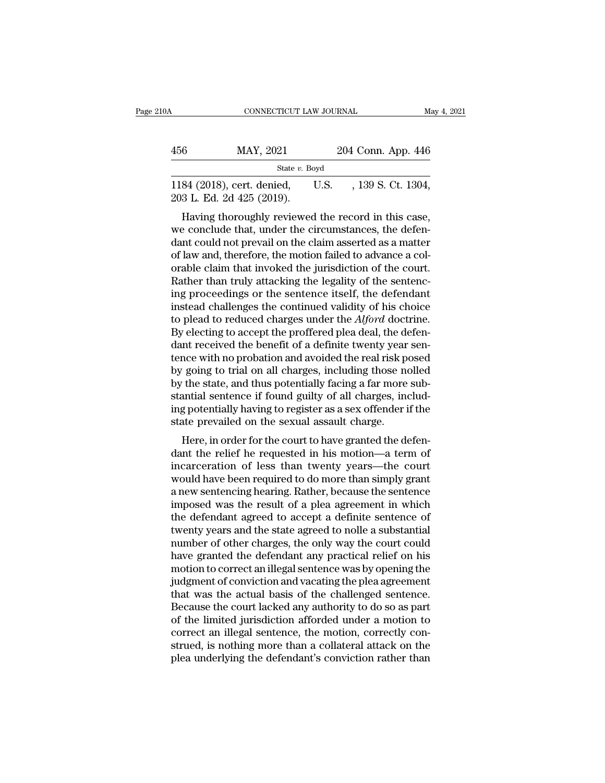| ۱A  | CONNECTICUT LAW JOURNAL                                 |      | May 4, 2021        |
|-----|---------------------------------------------------------|------|--------------------|
| 456 | MAY, 2021                                               |      | 204 Conn. App. 446 |
|     | State $v$ . Boyd                                        |      |                    |
|     | 1184 (2018), cert. denied,<br>203 L. Ed. 2d 425 (2019). | U.S. | , 139 S. Ct. 1304, |

456 MAY, 2021 204 Conn. App. 446<br>  $\frac{\text{State } v. \text{ Boyd}}{1184 \text{ (2018), cert. denied, U.S. }, 139 \text{ S. Ct. } 1304, 203 \text{ L. Ed. } 2d \text{ 425 (2019).}$ Having thoroughly reviewed the record in this case, we conclude that, under the circumstances, the de State v. Boyd<br>
1184 (2018), cert. denied, U.S. , 139 S. Ct. 1304,<br>
203 L. Ed. 2d 425 (2019).<br>
Having thoroughly reviewed the record in this case,<br>
we conclude that, under the circumstances, the defen-<br>
dant could not prev 1184 (2018), cert. denied, U.S. , 139 S. Ct. 1304, 203 L. Ed. 2d 425 (2019).<br>
Having thoroughly reviewed the record in this case, we conclude that, under the circumstances, the defendant could not prevail on the claim ass 1134 (2013), cert. defined,  $\sigma$  0.5.  $\sigma$ , 159 5. 0t. 1504, 203 L. Ed. 2d 425 (2019).<br>Having thoroughly reviewed the record in this case, we conclude that, under the circumstances, the defendant could not prevail on the Having thoroughly reviewed the record in this case,<br>we conclude that, under the circumstances, the defen-<br>dant could not prevail on the claim asserted as a matter<br>of law and, therefore, the motion failed to advance a col-Having thoroughly reviewed the record in this case,<br>we conclude that, under the circumstances, the defen-<br>dant could not prevail on the claim asserted as a matter<br>of law and, therefore, the motion failed to advance a col-<br> we conclude that, under the circumstances, the defendant could not prevail on the claim asserted as a matter of law and, therefore, the motion failed to advance a colorable claim that invoked the jurisdiction of the court dant could not prevail on the claim asserted as a matter<br>of law and, therefore, the motion failed to advance a col-<br>orable claim that invoked the jurisdiction of the court.<br>Rather than truly attacking the legality of the s of law and, therefore, the motion failed to advance a colorable claim that invoked the jurisdiction of the court.<br>Rather than truly attacking the legality of the sentencing proceedings or the sentence itself, the defendant orable claim that invoked the jurisdiction of the court.<br>Rather than truly attacking the legality of the sentenc-<br>ing proceedings or the sentence itself, the defendant<br>instead challenges the continued validity of his choi Rather than truly attacking the legality of the sentenc-<br>ing proceedings or the sentence itself, the defendant<br>instead challenges the continued validity of his choice<br>to plead to reduced charges under the  $Alford$  doctrine.<br>B ing proceedings or the sentence itself, the defendant<br>instead challenges the continued validity of his choice<br>to plead to reduced charges under the *Alford* doctrine.<br>By electing to accept the proffered plea deal, the defe instead challenges the continued validity of his choice<br>to plead to reduced charges under the *Alford* doctrine.<br>By electing to accept the proffered plea deal, the defen-<br>dant received the benefit of a definite twenty year to plead to reduced charges under the *Alford* doctrine.<br>By electing to accept the proffered plea deal, the defen-<br>dant received the benefit of a definite twenty year sen-<br>tence with no probation and avoided the real risk By electing to accept the proffered plea deal, the defendant received the benefit of a definite twenty year sentence with no probation and avoided the real risk posed by going to trial on all charges, including those nolle dant received the benefit of a definite twenty year<br>tence with no probation and avoided the real risk p<br>by going to trial on all charges, including those no<br>by the state, and thus potentially facing a far more<br>stantial sen Frequence with no probation and avoided the real risk posed<br>Frequence if to trial on all charges, including those nolled<br>the state, and thus potentially facing a far more sub-<br>antial sentence if found guilty of all charges by going to that on an charges, including those noiled<br>by the state, and thus potentially facing a far more sub-<br>stantial sentence if found guilty of all charges, includ-<br>ing potentially having to register as a sex offende

by the state, and thus potentially facing a far into e substantial sentence if found guilty of all charges, including potentially having to register as a sex offender if the state prevailed on the sexual assault charge.<br>
H stantial sentence in found guiny of an charges, includ-<br>ing potentially having to register as a sex offender if the<br>state prevailed on the sexual assault charge.<br>Here, in order for the court to have granted the defen-<br>dant ing potentially having to register as a sex ofielder if the<br>state prevailed on the sexual assault charge.<br>Here, in order for the court to have granted the defen-<br>dant the relief he requested in his motion—a term of<br>incarce state prevalled on the sexual assault charge.<br>
Here, in order for the court to have granted the defendant the relief he requested in his motion—a term of<br>
incarceration of less than twenty years—the court<br>
would have been Here, in order for the court to have granted the defendant the relief he requested in his motion—a term of incarceration of less than twenty years—the court would have been required to do more than simply grant a new sente dant the relief he requested in his motion—a term of<br>incarceration of less than twenty years—the court<br>would have been required to do more than simply grant<br>a new sentencing hearing. Rather, because the sentence<br>imposed wa incarceration of less than twenty years—the court<br>would have been required to do more than simply grant<br>a new sentencing hearing. Rather, because the sentence<br>imposed was the result of a plea agreement in which<br>the defenda would have been required to do more than simply grant<br>a new sentencing hearing. Rather, because the sentence<br>imposed was the result of a plea agreement in which<br>the defendant agreed to accept a definite sentence of<br>twenty a new sentencing hearing. Rather, because the sentence<br>imposed was the result of a plea agreement in which<br>the defendant agreed to accept a definite sentence of<br>twenty years and the state agreed to nolle a substantial<br>numb imposed was the result of a plea agreement in which<br>the defendant agreed to accept a definite sentence of<br>twenty years and the state agreed to nolle a substantial<br>number of other charges, the only way the court could<br>have the defendant agreed to accept a definite sentence of<br>twenty years and the state agreed to nolle a substantial<br>number of other charges, the only way the court could<br>have granted the defendant any practical relief on his<br>mo twenty years and the state agreed to nolle a substantial<br>number of other charges, the only way the court could<br>have granted the defendant any practical relief on his<br>motion to correct an illegal sentence was by opening the number of other charges, the only way the court could<br>have granted the defendant any practical relief on his<br>motion to correct an illegal sentence was by opening the<br>judgment of conviction and vacating the plea agreement<br>t have granted the defendant any practical relief on his<br>motion to correct an illegal sentence was by opening the<br>judgment of conviction and vacating the plea agreement<br>that was the actual basis of the challenged sentence.<br>B motion to correct an illegal sentence was by opening the<br>judgment of conviction and vacating the plea agreement<br>that was the actual basis of the challenged sentence.<br>Because the court lacked any authority to do so as part<br> judgment of conviction and vacating the plea agreement<br>that was the actual basis of the challenged sentence.<br>Because the court lacked any authority to do so as part<br>of the limited jurisdiction afforded under a motion to<br>co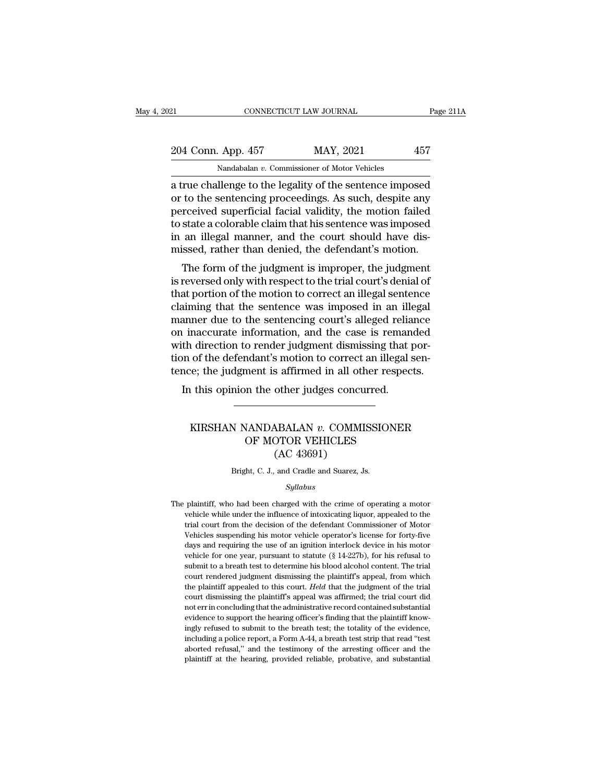# 21 CONNECTICUT LAW JOURNAL Page 211A<br>
204 Conn. App. 457 MAY, 2021 457<br>
Nandabalan v. Commissioner of Motor Vehicles CONNECTICUT LAW JOURNAL<br>
App. 457 MAY, 2021<br>
Nandabalan *v.* Commissioner of Motor Vehicles<br>
Ilenge to the legality of the sentence impos

ERECTIVE CONNECTICUT LAW JOURNAL Page 211A<br>
204 Conn. App. 457 MAY, 2021 457<br>
Nandabalan v. Commissioner of Motor Vehicles<br>
a true challenge to the legality of the sentence imposed<br>
or to the sentencing proceedings. As suc 204 Conn. App. 457 MAY, 2021 457<br>
Nandabalan v. Commissioner of Motor Vehicles<br>
a true challenge to the legality of the sentence imposed<br>
or to the sentencing proceedings. As such, despite any<br>
perceived superficial facial 204 Conn. App. 457 MAY, 2021 457<br>
Nandabalan v. Commissioner of Motor Vehicles<br>
a true challenge to the legality of the sentence imposed<br>
or to the sentencing proceedings. As such, despite any<br>
perceived superficial facia 204 Conn. App. 457 MAY, 2021 457<br>
Nandabalan v. Commissioner of Motor Vehicles<br>
a true challenge to the legality of the sentence imposed<br>
or to the sentencing proceedings. As such, despite any<br>
perceived superficial facia Nandabalan v. Commissioner of Motor Vehicles<br>a true challenge to the legality of the sentence imposed<br>or to the sentencing proceedings. As such, despite any<br>perceived superficial facial validity, the motion failed<br>to state Nandabalan v. Commissioner of Motor Vehicles<br>a true challenge to the legality of the sentence imposed<br>or to the sentencing proceedings. As such, despite any<br>perceived superficial facial validity, the motion failed<br>to state The channelige to the leganty of the sentence imposed<br>to the sentencing proceedings. As such, despite any<br>rceived superficial facial validity, the motion failed<br>state a colorable claim that his sentence was imposed<br>an ille or to the sentencing proceedings. As such, despite any<br>perceived superficial facial validity, the motion failed<br>to state a colorable claim that his sentence was imposed<br>in an illegal manner, and the court should have dis-<br>

perceived superficial factar validity, the motion falled<br>to state a colorable claim that his sentence was imposed<br>in an illegal manner, and the court should have dis-<br>missed, rather than denied, the defendant's motion.<br>The to state a colorable claim that his sentence was imposed<br>in an illegal manner, and the court should have dis-<br>missed, rather than denied, the defendant's motion.<br>The form of the judgment is improper, the judgment<br>is revers missed, rather than denied, the defendant's motion.<br>The form of the judgment is improper, the judgment<br>is reversed only with respect to the trial court's denial of<br>that portion of the motion to correct an illegal sentence<br> missed, rather than defied, the defendant's motion.<br>The form of the judgment is improper, the judgment<br>is reversed only with respect to the trial court's denial of<br>that portion of the motion to correct an illegal sentence<br> The form of the judgment is improper, the judgment<br>is reversed only with respect to the trial court's denial of<br>that portion of the motion to correct an illegal sentence<br>claiming that the sentence was imposed in an illegal is reversed only with respect to the trial court's denial of<br>that portion of the motion to correct an illegal sentence<br>claiming that the sentence was imposed in an illegal<br>manner due to the sentencing court's alleged relia that portion of the motion to correct an illegal sentence<br>claiming that the sentence was imposed in an illegal<br>manner due to the sentencing court's alleged reliance<br>on inaccurate information, and the case is remanded<br>with  $\frac{1}{100}$  and the sentence was imposed in an imaginary and the sentencing court's alleged reliation in accurate information, and the case is remant the direction to render judgment dismissing that  $\frac{1}{100}$  and one of referred to Fender Judgment ushinssing that point<br>of the defendant's motion to correct an illegal sen-<br>ie; the judgment is affirmed in all other respects.<br>this opinion the other judges concurred.<br>WIRSHAN NANDABALAN *v*. CO

### Mannet is affirmed in all other respected.<br>
The other judges concurred.<br>
MANDABALAN v. COMMISSIONER<br>
OF MOTOR VEHICLES<br>
(AC 43691) other judges concu<br>
other judges concu<br>
ABALAN v. COMMI<br>
OTOR VEHICLES<br>
(AC 43691)<br>
and Cradle and Suarez, J. KIRSHAN NANDABALAN  $v$ . COMMISSIONER<br>OF MOTOR VEHICLES<br>(AC 43691)<br>Bright, C. J., and Cradle and Suarez, Js.

### *Syllabus*

The plaintiff, c. J., and Cradle and Suarez, Js.<br>Syllabus<br>The plaintiff, who had been charged with the crime of operating a motor<br>vehicle while under the influence of intoxicating liquor, appealed to the (AC 40091)<br>Bright, C. J., and Cradle and Suarez, Js.<br>Syllabus<br>plaintiff, who had been charged with the crime of operating a motor<br>vehicle while under the influence of intoxicating liquor, appealed to the<br>trial court from t Bright, C. J., and Cradle and Suarez, Js.<br>
Syllabus<br>
plaintiff, who had been charged with the crime of operating a motor<br>
vehicle while under the influence of intoxicating liquor, appealed to the<br>
trial court from the deci Syllabus<br>
Syllabus<br>
plaintiff, who had been charged with the crime of operating a motor<br>
vehicle while under the influence of intoxicating liquor, appealed to the<br>
trial court from the decision of the defendant Commissione  $Sylabus$ <br>plaintiff, who had been charged with the crime of operating a motor<br>vehicle while under the influence of intoxicating liquor, appealed to the<br>trial court from the decision of the defendant Commissioner of Motor<br>Veh plaintiff, who had been charged with the crime of operating a motor<br>vehicle while under the influence of intoxicating liquor, appealed to the<br>trial court from the decision of the defendant Commissioner of Motor<br>Vehicles su vehicle while under the influence of intoxicating liquor, appealed to the trial court from the decision of the defendant Commissioner of Motor Vehicles suspending his motor vehicle operator's license for forty-five days an trial court from the decision of the defendant Commissioner of Motor<br>Vehicles suspending his motor vehicle operator's license for forty-five<br>days and requiring the use of an ignition interlock device in his motor<br>vehicle Vehicles suspending his motor vehicle operator's license for forty-five days and requiring the use of an ignition interlock device in his motor vehicle for one year, pursuant to statute (§ 14-227b), for his refusal to subm days and requiring the use of an ignition interlock device in his motor vehicle for one year, pursuant to statute  $(\S 14-227b)$ , for his refusal to submit to a breath test to determine his blood alcohol content. The trial wehicle for one year, pursuant to statute (§ 14-227b), for his refusal to submit to a breath test to determine his blood alcohol content. The trial court rendered judgment dismissing the plaintiff's appeal, from which the submit to a breath test to determine his blood alcohol content. The trial court rendered judgment dismissing the plaintiff's appeal, from which the plaintiff appealed to this court. *Held* that the judgment of the trial c court rendered judgment dismissing the plaintiff's appeal, from which<br>the plaintiff appealed to this court. Held that the judgment of the trial<br>court dismissing the plaintiff's appeal was affirmed; the trial court did<br>not the plaintiff appealed to this court. *Held* that the judgment of the trial court dismissing the plaintiff's appeal was affirmed; the trial court did not err in concluding that the administrative record contained substant court dismissing the plaintiff's appeal was affirmed; the trial court did<br>not err in concluding that the administrative record contained substantial<br>evidence to support the hearing officer's finding that the plaintiff know evidence to support the hearing officer's finding that the plaintiff know-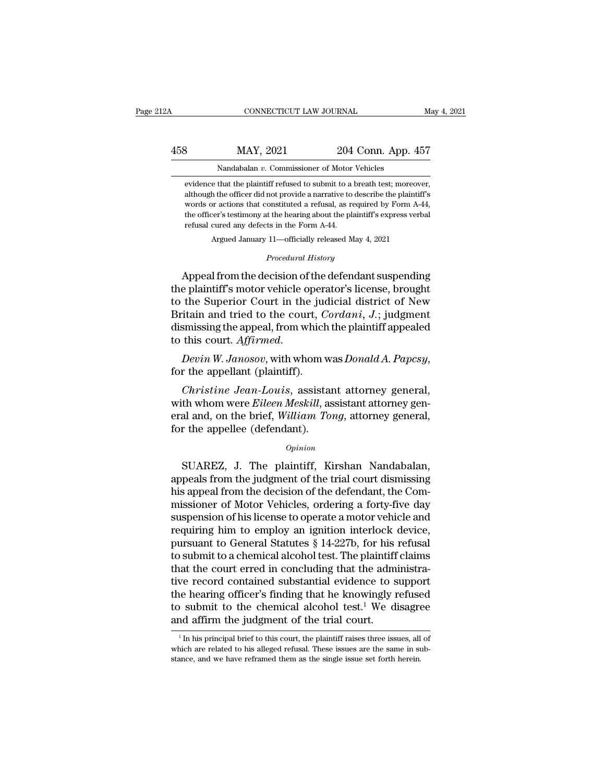# CONNECTICUT LAW JOURNAL May 4, 2021<br>458 MAY, 2021 204 Conn. App. 457<br>Nandabalan v. Commissioner of Motor Vehicles CONNECTICUT LAW JOURNAL<br>MAY, 2021 204 Conn. App. 4<br>Nandabalan *v.* Commissioner of Motor Vehicles<br>that the plaintiff refused to submit to a breath test; more

MAY, 2021 204 Conn. App. 457<br>
Nandabalan v. Commissioner of Motor Vehicles<br>
evidence that the plaintiff refused to submit to a breath test; moreover,<br>
although the officer did not provide a narrative to describe the plaint  $\frac{\text{MAX}}{\text{Nandabalan } v}$ . Commissioner of Motor Vehicles<br>evidence that the plaintiff refused to submit to a breath test; moreover,<br>although the officer did not provide a narrative to describe the plaintiff's<br>words or actions t MAY, 2021 204 Conn. App. 457<br>Nandabalan v. Commissioner of Motor Vehicles<br>evidence that the plaintiff refused to submit to a breath test; moreover,<br>although the officer did not provide a narrative to describe the plaintiff Nandabalan  $v$ . Commissioner of Motor Vehicles<br>evidence that the plaintiff refused to submit to a breath test; moreover,<br>although the officer did not provide a narrative to describe the plaintiff's<br>words or actions that c Nandabalan  $v$ . Commissioner of Motor<br>evidence that the plaintiff refused to submit to a lathough the officer did not provide a narrative to<br>words or actions that constituted a refusal, as re<br>the officer's testimony at th % although the officer did not provide a narrative to describe the plaintiff's words or actions that constituted a refusal, as required by Form A-44, the officer's testimony at the hearing about the plaintiff's express ve although the olicer did not provide a narrative to describe the plantili s<br>words or actions that constituted a refusal, as required by Form A-44,<br>the officer's testimony at the hearing about the plaintiff's express verbal<br>

Argued January 11—officially released May 4, 2021<br>*Procedural History*<br>Appeal from the decision of the defendant suspending the officer's testimony at the hearing about the plaintiff's express verbal<br>refusal cured any defects in the Form A-44.<br>Argued January 11—officially released May 4, 2021<br>*Procedural History*<br>Appeal from the decision of the refusal cured any defects in the Form A-44.<br>
Argued January 11—officially released May 4, 2021<br>
Procedural History<br>
Appeal from the decision of the defendant suspending<br>
the plaintiff's motor vehicle operator's license, br Argued January 11—officially released May 4, 2021<br> *Procedural History*<br> **Appeal from the decision of the defendant suspending**<br>
the plaintiff's motor vehicle operator's license, brought<br>
to the Superior Court in the judic Procedural History<br>Appeal from the decision of the defendant suspending<br>the plaintiff's motor vehicle operator's license, brought<br>to the Superior Court in the judicial district of New<br>Britain and tried to the court, *Corda* Froceaural History<br>the plaintiff's motor vehicle operator's license, brought<br>to the Superior Court in the judicial district of New<br>Britain and tried to the court, *Cordani*, *J*.; judgment<br>dismissing the appeal, from which *Cordani, J.*; judgment<br>
smissing the appeal, from which the plaintiff appealed<br>
this court. *Affirmed.*<br> *Devin W. Janosov*, with whom was *Donald A. Papcsy*,<br>
r the appellant (plaintiff).<br> *Christine Jean-Louis*, assista

dismissing the appeal, from which the plaintiff appealed<br>to this court. *Affirmed.*<br>Devin W. Janosov, with whom was Donald A. Papcsy,<br>for the appellant (plaintiff).<br>Christine Jean-Louis, assistant attorney general,<br>with wh to this court. *Affirmed.*<br>
Devin W. Janosov, with whom was Donald A. Papcsy,<br>
for the appellant (plaintiff).<br>
Christine Jean-Louis, assistant attorney general,<br>
with whom were Eileen Meskill, assistant attorney general<br>
a Devin W. Janosov, with whom wifor the appellant (plaintiff).<br>
Christine Jean-Louis, assistan<br>
with whom were Eileen Meskill, as<br>
eral and, on the brief, William Tor<br>
for the appellee (defendant).<br>
opinion *Christine Jean-Louis,* assistant attorney general,<br>th whom were *Eileen Meskill*, assistant attorney gen-<br>al and, on the brief, *William Tong*, attorney general,<br>r the appellee (defendant).<br>*Opinion*<br>SUAREZ, J. The plaint

### *Opinion*

with whom were *Eileen Meskill*, assistant attorney general<br>
eral and, on the brief, *William Tong*, attorney general,<br>
for the appellee (defendant).<br> *Opinion*<br>
SUAREZ, J. The plaintiff, Kirshan Nandabalan,<br>
appeals from eral and, on the brief, *William Tong*, attorney general,<br>for the appellee (defendant).<br>*Opinion*<br>SUAREZ, J. The plaintiff, Kirshan Nandabalan,<br>appeals from the judgment of the trial court dismissing<br>his appeal from the de opinion<br>
suare appellee (defendant).<br>
SUAREZ, J. The plaintiff, Kirshan Nandabalan,<br>
appeals from the judgment of the trial court dismissing<br>
his appeal from the decision of the defendant, the Com-<br>
missioner of Motor Vehi **SUAREZ, J. The plaintiff, Kirshan Nandabalan,**<br>appeals from the judgment of the trial court dismissing<br>his appeal from the decision of the defendant, the Com-<br>missioner of Motor Vehicles, ordering a forty-five day<br>suspens  $\sigma_{\text{prmon}}$ <br>SUAREZ, J. The plaintiff, Kirshan Nandabalan,<br>appeals from the judgment of the trial court dismissing<br>his appeal from the decision of the defendant, the Com-<br>missioner of Motor Vehicles, ordering a forty-five SUAREZ, J. The plaintiff, Kirshan Nandabalan,<br>appeals from the judgment of the trial court dismissing<br>his appeal from the decision of the defendant, the Com-<br>missioner of Motor Vehicles, ordering a forty-five day<br>suspensio appeals from the judgment of the trial court dismissing<br>his appeal from the decision of the defendant, the Com-<br>missioner of Motor Vehicles, ordering a forty-five day<br>suspension of his license to operate a motor vehicle an his appeal from the decision of the defendant, the Commissioner of Motor Vehicles, ordering a forty-five day suspension of his license to operate a motor vehicle and requiring him to employ an ignition interlock device, pu missioner of Motor Vehicles, ordering a forty-five day<br>suspension of his license to operate a motor vehicle and<br>requiring him to employ an ignition interlock device,<br>pursuant to General Statutes § 14-227b, for his refusal suspension of his license to operate a motor vehicle and<br>requiring him to employ an ignition interlock device,<br>pursuant to General Statutes § 14-227b, for his refusal<br>to submit to a chemical alcohol test. The plaintiff cla requiring him to employ an ignition interlock device,<br>pursuant to General Statutes § 14-227b, for his refusal<br>to submit to a chemical alcohol test. The plaintiff claims<br>that the court erred in concluding that the administr pursuant to General Statutes § 14-227b, for his refusal<br>to submit to a chemical alcohol test. The plaintiff claims<br>that the court erred in concluding that the administra-<br>tive record contained substantial evidence to supp we record contained substantial evidence to support<br>
ie hearing officer's finding that he knowingly refused<br>
is submit to the chemical alcohol test.<sup>1</sup> We disagree<br>
and affirm the judgment of the trial court.<br>
<sup>1</sup>In his p the hearing officer's finding that he knowingly refused<br>to submit to the chemical alcohol test.<sup>1</sup> We disagree<br>and affirm the judgment of the trial court.<br> $\frac{1}{1}$  In his principal brief to this court, the plaintiff rais

to submit to the chemical alcohol test.<sup>1</sup> We disagre and affirm the judgment of the trial court.<br> $\frac{1}{1}$  In his principal brief to this court, the plaintiff raises three issues, all which are related to his alleged ref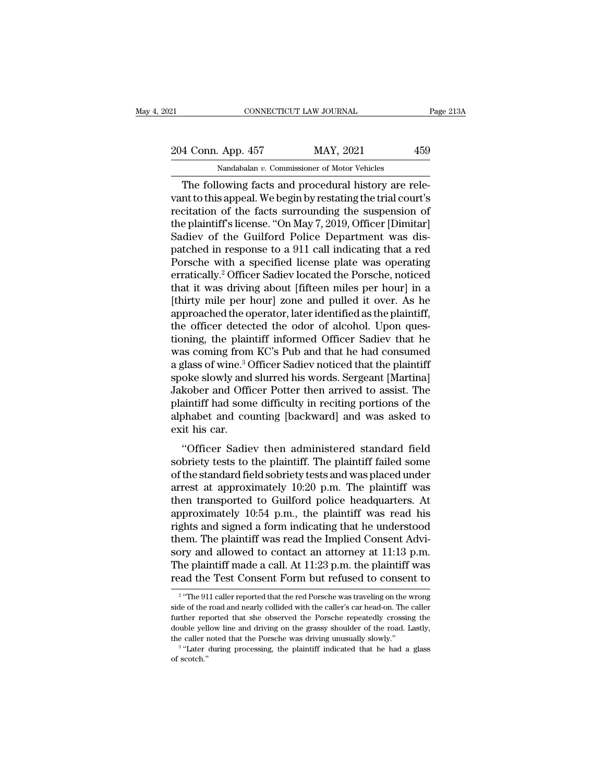# 21 CONNECTICUT LAW JOURNAL Page 213A<br>204 Conn. App. 457 MAY, 2021 459<br>Nandabalan v. Commissioner of Motor Vehicles CONNECTICUT LAW JOURNAL<br>
App. 457 MAY, 2021<br>
Nandabalan *v.* Commissioner of Motor Vehicles<br>
Iowing facts and procedural history are re

CONNECTICUT LAW JOURNAL<br>
4 Conn. App. 457 MAY, 2021 459<br>
Nandabalan v. Commissioner of Motor Vehicles<br>
The following facts and procedural history are rele-<br>
nt to this appeal. We begin by restating the trial court's<br>
citat 204 Conn. App. 457 MAY, 2021 459<br>Nandabalan v. Commissioner of Motor Vehicles<br>The following facts and procedural history are rele-<br>vant to this appeal. We begin by restating the trial court's<br>recitation of the facts surrou 204 Conn. App. 457 MAY, 2021 459<br>
Nandabalan v. Commissioner of Motor Vehicles<br>
The following facts and procedural history are relevant to this appeal. We begin by restating the trial court's<br>
recitation of the facts surr 204 Conn. App. 457 MAY, 2021 459<br>
Nandabalan v. Commissioner of Motor Vehicles<br>
The following facts and procedural history are relevant to this appeal. We begin by restating the trial court's<br>
recitation of the facts surr Nandabalan v. Commissioner of Motor Vehicles<br>The following facts and procedural history are rele-<br>vant to this appeal. We begin by restating the trial court's<br>recitation of the facts surrounding the suspension of<br>the plai Nandabalan v. Commissioner of Motor Vehicles<br>
The following facts and procedural history are rele-<br>
vant to this appeal. We begin by restating the trial court's<br>
recitation of the facts surrounding the suspension of<br>
the The following facts and procedural history are relevant to this appeal. We begin by restating the trial court's<br>recitation of the facts surrounding the suspension of<br>the plaintiff's license. "On May 7, 2019, Officer [Dimit vant to this appeal. We begin by restating the trial court's<br>recitation of the facts surrounding the suspension of<br>the plaintiff's license. "On May 7, 2019, Officer [Dimitar]<br>Sadiev of the Guilford Police Department was di recitation of the facts surrounding the suspension of<br>the plaintiff's license. "On May 7, 2019, Officer [Dimitar]<br>Sadiev of the Guilford Police Department was dis-<br>patched in response to a 911 call indicating that a red<br>Po the plaintiff's license. "On May 7, 2019, Officer [Dimitar]<br>Sadiev of the Guilford Police Department was dis-<br>patched in response to a 911 call indicating that a red<br>Porsche with a specified license plate was operating<br>err Sadiev of the Guilford Police Department was dis-<br>patched in response to a 911 call indicating that a red<br>Porsche with a specified license plate was operating<br>erratically.<sup>2</sup> Officer Sadiev located the Porsche, noticed<br>tha patched in response to a 911 call indicating that a red<br>Porsche with a specified license plate was operating<br>erratically.<sup>2</sup> Officer Sadiev located the Porsche, noticed<br>that it was driving about [fifteen miles per hour] in Porsche with a specified license plate was operating<br>erratically.<sup>2</sup> Officer Sadiev located the Porsche, noticed<br>that it was driving about [fifteen miles per hour] in a<br>[thirty mile per hour] zone and pulled it over. As he erratically.<sup>2</sup> Officer Sadiev located the Porsche, noticed<br>that it was driving about [fifteen miles per hour] in a<br>[thirty mile per hour] zone and pulled it over. As he<br>approached the operator, later identified as the pla that it was driving about [fifteen miles per hour] in a<br>[thirty mile per hour] zone and pulled it over. As he<br>approached the operator, later identified as the plaintiff,<br>the officer detected the odor of alcohol. Upon ques-[thirty mile per hour] zone and pulled it over. As he<br>approached the operator, later identified as the plaintiff,<br>the officer detected the odor of alcohol. Upon ques-<br>tioning, the plaintiff informed Officer Sadiev that he<br> approached the operator, later identified as the plaintiff,<br>the officer detected the odor of alcohol. Upon ques-<br>tioning, the plaintiff informed Officer Sadiev that he<br>was coming from KC's Pub and that he had consumed<br>a gl the officer detected the odor of alcohol. Upon questioning, the plaintiff informed Officer Sadiev that he was coming from KC's Pub and that he had consumed a glass of wine.<sup>3</sup> Officer Sadiev noticed that the plaintiff spok tioning, the plaintiff informed Officer Sadiev that he<br>was coming from KC's Pub and that he had consumed<br>a glass of wine.<sup>3</sup> Officer Sadiev noticed that the plaintiff<br>spoke slowly and slurred his words. Sergeant [Martina]<br> was coming from<br>a glass of wine.<sup>3</sup> C<br>spoke slowly and<br>Jakober and Offi<br>plaintiff had som<br>alphabet and cou<br>exit his car.<br>"Officer Sadie he slowly and slurred his words. Sergeant [Martina]<br>
oke slowly and slurred his words. Sergeant [Martina]<br>
kober and Officer Potter then arrived to assist. The<br>
aintiff had some difficulty in reciting portions of the<br>
bhab Jakober and Officer Potter then arrived to assist. The<br>plaintiff had some difficulty in reciting portions of the<br>alphabet and counting [backward] and was asked to<br>exit his car.<br>"Officer Sadiev then administered standard fi

plaintiff had some difficulty in reciting portions of the<br>alphabet and counting [backward] and was asked to<br>exit his car.<br>"Officer Sadiev then administered standard field<br>sobriety tests to the plaintiff. The plaintiff fai plantar had solid dinetally in rectaing portions of the<br>alphabet and counting [backward] and was asked to<br>exit his car.<br>"Officer Sadiev then administered standard field<br>sobriety tests to the plaintiff. The plaintiff faile exit his car.<br>
"Officer Sadiev then administered standard field<br>
sobriety tests to the plaintiff. The plaintiff failed some<br>
of the standard field sobriety tests and was placed under<br>
arrest at approximately 10:20 p.m. The "Officer Sadiev then administered standard field<br>sobriety tests to the plaintiff. The plaintiff failed some<br>of the standard field sobriety tests and was placed under<br>arrest at approximately 10:20 p.m. The plaintiff was<br>th "Officer Sadiev then administered standard field<br>sobriety tests to the plaintiff. The plaintiff failed some<br>of the standard field sobriety tests and was placed under<br>arrest at approximately 10:20 p.m. The plaintiff was<br>th sobriety tests to the plaintiff. The plaintiff failed some<br>of the standard field sobriety tests and was placed under<br>arrest at approximately  $10:20$  p.m. The plaintiff was<br>then transported to Guilford police headquarters. of the standard field sobriety tests and was placed under<br>arrest at approximately 10:20 p.m. The plaintiff was<br>then transported to Guilford police headquarters. At<br>approximately 10:54 p.m., the plaintiff was read his<br>right arrest at approximately 10:20 p.m. The plaintiff was<br>then transported to Guilford police headquarters. At<br>approximately 10:54 p.m., the plaintiff was read his<br>rights and signed a form indicating that he understood<br>them. Th then transported to Guilford police headquarters. At approximately 10:54 p.m., the plaintiff was read his rights and signed a form indicating that he understood them. The plaintiff was read the Implied Consent Advisory an m. The plaintiff was read the Implied Consent Adviesty and allowed to contact an attorney at 11:13 p.m.<br>
e plaintiff made a call. At 11:23 p.m. the plaintiff was<br>
ad the Test Consent Form but refused to consent to<br>
"The 91 sory and allowed to contact an attorney at  $11:13$  p.m.<br>The plaintiff made a call. At  $11:23$  p.m. the plaintiff was<br>read the Test Consent Form but refused to consent to<br> $\frac{1}{2}$  "The 911 caller reported that the red Por

 $2$  "Tho ( The plaintiff made a call. At  $11:23$  p.m. the plaintiff was<br>read the Test Consent Form but refused to consent to<br> $\frac{2}{10}$  "The 911 caller reported that the red Porsche was traveling on the wrong<br>side of the road and ne The plant of the standard reduced that the reduced to consent to read the Test Consent Form but refused to consent to  $\frac{1}{2}$  "The 911 caller reported that the red Porsche was traveling on the wrong side of the road and The caller noted that the red Porsche was traveling on the video of the road and nearly collided with the caller's car head-on. The further reported that she observed the Porsche repeatedly crossing double yellow line and "The 911 caller reported that the red Porsche was traveling on the wrong<br>e of the road and nearly collided with the caller's car head-on. The caller<br>ther reported that she observed the Porsche repeatedly crossing the<br>ble y side of the road and nearly collided with the caller's car head-on. The caller further reported that she observed the Porsche repeatedly crossing the double yellow line and driving on the grassy shoulder of the road. Last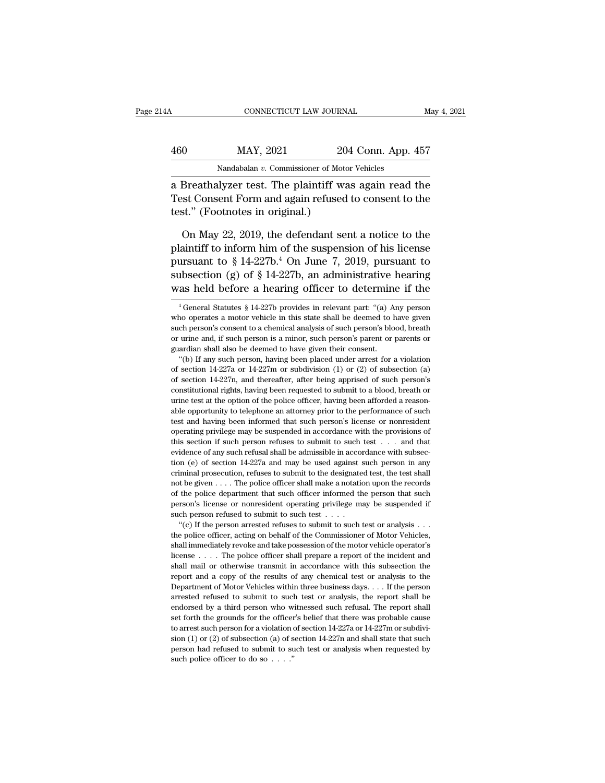# CONNECTICUT LAW JOURNAL May 4, 2021<br>460 MAY, 2021 204 Conn. App. 457<br>Nandabalan v. Commissioner of Motor Vehicles CONNECTICUT LAW JOURNAL<br>MAY, 2021 204 Conn. App. 4<br>Nandabalan *v.* Commissioner of Motor Vehicles<br>Nuzer test. The plaintiff was again read

CONNECTICUT LAW JOURNAL May 4, 2021<br>
460 MAY, 2021 204 Conn. App. 457<br>
Nandabalan v. Commissioner of Motor Vehicles<br>
a Breathalyzer test. The plaintiff was again read the<br>
Test Consent Form and again refused to consent to MAY, 2021 204 Conn. App. 457<br>
Mandabalan v. Commissioner of Motor Vehicles<br>
a Breathalyzer test. The plaintiff was again read the<br>
Test Consent Form and again refused to consent to the<br>
test." (Footnotes in original.)  $\frac{\text{MAX, } 2021}{\text{Nandabalan } v. \text{ Commissioner of Moto}}$ <br>
a Breathalyzer test. The plaintiff wa<br>
Test Consent Form and again refused<br>
test.'' (Footnotes in original.)<br>
On Mav 22, 2019, the defendant set Nandabalan v. Commissioner of Motor Vehicles<br>
Breathalyzer test. The plaintiff was again read the<br>
set Consent Form and again refused to consent to the<br>
st." (Footnotes in original.)<br>
On May 22, 2019, the defendant sent a

Nandabalan v. Commissioner of Motor Vehicles<br>
a Breathalyzer test. The plaintiff was again read the<br>
Test Consent Form and again refused to consent to the<br>
test." (Footnotes in original.)<br>
On May 22, 2019, the defendant s a Breathalyzer test. The plaintiff was again read the<br>Test Consent Form and again refused to consent to the<br>test." (Footnotes in original.)<br>On May 22, 2019, the defendant sent a notice to the<br>plaintiff to inform him of th Test Consent Form and again refused to consent to the<br>test." (Footnotes in original.)<br>On May 22, 2019, the defendant sent a notice to the<br>plaintiff to inform him of the suspension of his license<br>pursuant to § 14-227b.<sup>4</sup> test." (Footnotes in original.)<br>
On May 22, 2019, the defendant sent a notice to the<br>
plaintiff to inform him of the suspension of his license<br>
pursuant to § 14-227b.<sup>4</sup> On June 7, 2019, pursuant to<br>
subsection (g) of § 1 plaintiff to inform him of the suspension of his license<br>pursuant to § 14-227b.<sup>4</sup> On June 7, 2019, pursuant to<br>subsection (g) of § 14-227b, an administrative hearing<br>was held before a hearing officer to determine if the<br> pursuant to § 14-227b.<sup>4</sup> On June 7, 2019, pursuant to<br>subsection (g) of § 14-227b, an administrative hearing<br>was held before a hearing officer to determine if the<br> $\frac{4}{1}$  General Statutes § 14-227b provides in relevant

such person's consent to a chemical analysis of such person's blood, breath<br>or urine and, if such person is a minor, such person's parent or parents or<br>guardian shall also be deemed to have given their consent.<br>"(b) If an or urine and, if such person is a minor, such person's parent or parents or guardian shall also be deemed to have given their consent.<br>
"(b) If any such person, having been placed under arrest for a violation of section 14 of section 14-227a or 14-227m or subdivision (1) or (2) of subsection (a) of section 14-227n, and thereafter, after being apprised of such person's constitutional rights, having been requested to submit to a blood, breath "(b) If any such person, having been placed under arrest for a violation of section 14-227a or 14-227m or subdivision (1) or (2) of subsection (a) of section 14-227n, and thereafter, after being apprised of such person's of section 14-227a or 14-227m or subdivision (1) or (2) of subsection (a) of section 14-227a or 14-227m or subdivision (1) or (2) of subsection (a) of section 14-227n, and thereafter, after being apprised of such person's of section 14-227n, and thereafter, after being apprised of such person's constitutional rights, having been requested to submit to a blood, breath or urine test at the option of the police officer, having been afforded a constitutional rights, having been requested to submit to a blood, breath or<br>constitutional rights, having been requested to submit to a blood, breath or<br>urine test at the option of the police officer, having been afforded urine test at the option of the police officer, having been afforded a reasonable opportunity to telephone an attorney prior to the performance of such test and having been informed that such person's license or nonreside able opportunity to telephone an attorney prior to the performance of such test and having been informed that such person's license or nonresident operating privilege may be suspended in accordance with the provisions of these the matrix and having been informed that such person's license or nonresident operating privilege may be suspended in accordance with the provisions of this section if such person refuses to submit to such test  $\ldots$ operating privilege may be suspended in accordance with the provisions of this section if such person refuses to submit to such test . . . and that evidence of any such refusal shall be admissible in accordance with subse this section if such person refuses to submit to such test . . . and that evidence of any such refusal shall be admissible in accordance with subsection (e) of section 14-227a and may be used against such person in any cr evidence of any such refusal shall be admissible in accordance with subsection (e) of section 14-227a and may be used against such person in any criminal prosecution, refuses to submit to the designated test, the test sha tion (e) of section 14-227a and may be used against such person in any criminal prosecution, refuses to submit to the designated test, the test shall not be given . . . . The police officer shall make a notation upon the  $\mu$  is a prosecution, refuses to submit to the designated test, the test shall in<br>the given . . . . The police officer shall make a notation upon the records<br>the police department that such officer informed the person th not be given . . . . The police officer shall make a notation upon the records of the police department that such officer informed the person that such person's license or nonresident operating privilege may be suspended i

shall immediately revoke and take possession of the motor vehicle operator's license or nonresident operating privilege may be suspended if such person refused to submit to such test  $\dots$  "(c) If the person arrested refus license . . . . The police officer shall prepare a report of the incident and Fraction person refused to submit to such test  $\dots$ . The such person refused to submit to such test  $\dots$  the such test or analysis  $\dots$  the police officer, acting on behalf of the Commissioner of Motor Vehicles, shall imm "(c) If the person arrested refuses to submit to such test or analysis  $\ldots$  "(c) If the person arrested refuses to submit to such test or analysis  $\ldots$  the police officer, acting on behalf of the Commissioner of Motor V the police officer, acting on behalf of the Commissioner of Motor Vehicles, shall immediately revoke and take possession of the motor vehicle operator's license . . . . The police officer shall prepare a report of the inc shall immediately revoke and take possession of the motor vehicle operator's license . . . . The police officer shall prepare a report of the incident and shall mail or otherwise transmit in accordance with this subsectio Framework of the police officer shall prepare a report of the incident and shall mail or otherwise transmit in accordance with this subsection the report and a copy of the results of any chemical test or analysis to the D shall mail or otherwise transmit in accordance with this subsection the report and a copy of the results of any chemical test or analysis to the Department of Motor Vehicles within three business days. . . . If the person shall mail or otherwise transmit in accordance with this subsection the report and a copy of the results of any chemical test or analysis to the Department of Motor Vehicles within three business days. . . . If the person Department of Motor Vehicles within three business days. . . . If the person arrested refused to submit to such test or analysis, the report shall be endorsed by a third person who witnessed such refusal. The report shall are sted refused to submit to such test or analysis, the report shall be endorsed by a third person who witnessed such refusal. The report shall set forth the grounds for the officer's belief that there was probable cause endorsed by a third person who witnessed such refusal. The report shall set forth the grounds for the officer's belief that there was probable cause to arrest such person for a violation of section 14-227a or 14-227m or s

subsection (g) of § 14-227b, an administrative hearing<br>was held before a hearing officer to determine if the<br> $\frac{4}{3}$  feneral Statutes § 14-227b provides in relevant part: "(a) Any person<br>who operates a motor vehicle in was held before a hearing officer to determine if the  $\frac{1}{4}$  General Statutes § 14-227b provides in relevant part: "(a) Any person who operates a motor vehicle in this state shall be deemed to have given such person's or urine and, if such person is a minor, such person's parent or parents or guardian shall also be deemed to have given their consent.<br>"(b) If any such person, having been placed under arrest for a violation <sup>4</sup> General Statutes § 14-227b provides in relevant part: "(a) Any person,<br>no operates a motor vehicle in this state shall be deemed to have given<br>ch person's consent to a chemical analysis of such person's blood, breath<br> who operates a motor vehicle in this state shall be deemed to have given<br>such person's consent to a chemical analysis of such person's blood, breath<br>or urine and, if such person is a minor, such person's parent or parents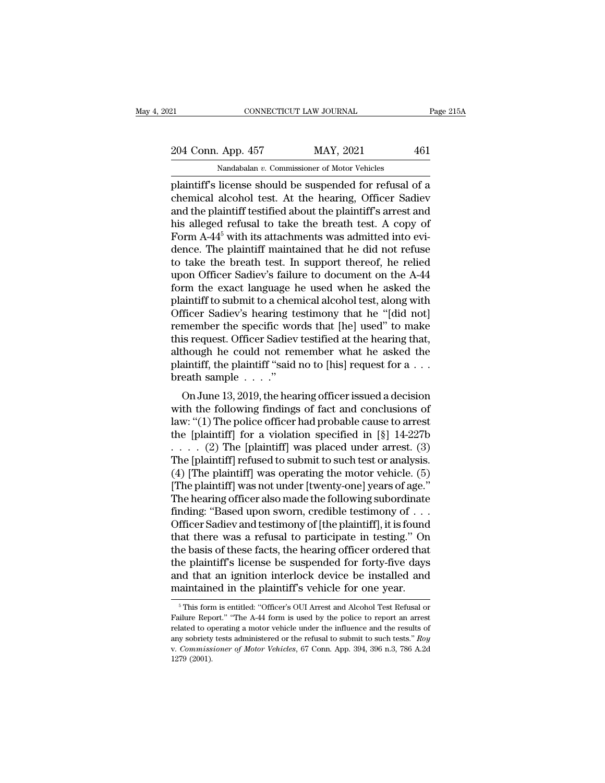# 21 CONNECTICUT LAW JOURNAL Page 215A<br>
204 Conn. App. 457 MAY, 2021 461<br>
Nandabalan v. Commissioner of Motor Vehicles CONNECTICUT LAW JOURNAL<br>
App. 457 MAY, 2021<br>
Nandabalan *v.* Commissioner of Motor Vehicles<br>
license should be suspended for refusal c

ERECTIVE CONNECTICUT LAW JOURNAL Page 215A<br>
204 Conn. App. 457 MAY, 2021 461<br>
Nandabalan v. Commissioner of Motor Vehicles<br>
plaintiff's license should be suspended for refusal of a<br>
chemical alcohol test. At the hearing, O 204 Conn. App. 457 MAY, 2021 461<br>
Nandabalan v. Commissioner of Motor Vehicles<br>
plaintiff's license should be suspended for refusal of a<br>
chemical alcohol test. At the hearing, Officer Sadiev<br>
and the plaintiff testified a 204 Conn. App. 457 MAY, 2021 461<br>
Nandabalan v. Commissioner of Motor Vehicles<br>
plaintiff's license should be suspended for refusal of a<br>
chemical alcohol test. At the hearing, Officer Sadiev<br>
and the plaintiff testified 204 Conn. App. 457 MAY, 2021 461<br>
Nandabalan v. Commissioner of Motor Vehicles<br>
plaintiff's license should be suspended for refusal of a<br>
chemical alcohol test. At the hearing, Officer Sadiev<br>
and the plaintiff testified Nandabalan v. Commissioner of Motor Vehicles<br>plaintiff's license should be suspended for refusal of a<br>chemical alcohol test. At the hearing, Officer Sadiev<br>and the plaintiff testified about the plaintiff's arrest and<br>his Nandabalan v. Commissioner of Motor Venicles<br>plaintiff's license should be suspended for refusal of a<br>chemical alcohol test. At the hearing, Officer Sadiev<br>and the plaintiff testified about the plaintiff's arrest and<br>his plaintiff's license should be suspended for refusal of a<br>chemical alcohol test. At the hearing, Officer Sadiev<br>and the plaintiff testified about the plaintiff's arrest and<br>his alleged refusal to take the breath test. A cop chemical alcohol test. At the hearing, Officer Sadiev<br>and the plaintiff testified about the plaintiff's arrest and<br>his alleged refusal to take the breath test. A copy of<br>Form A-44<sup>5</sup> with its attachments was admitted into and the plaintiff testified about the plaintiff's arrest and<br>his alleged refusal to take the breath test. A copy of<br>Form A-44<sup>5</sup> with its attachments was admitted into evi-<br>dence. The plaintiff maintained that he did not r his alleged refusal to take the breath test. A copy of<br>Form A-44<sup>5</sup> with its attachments was admitted into evi-<br>dence. The plaintiff maintained that he did not refuse<br>to take the breath test. In support thereof, he relied<br> Form A-44<sup>5</sup> with its attachments was admitted into evidence. The plaintiff maintained that he did not refuse<br>to take the breath test. In support thereof, he relied<br>upon Officer Sadiev's failure to document on the A-44<br>fo dence. The plaintiff maintained that he did not refuse<br>to take the breath test. In support thereof, he relied<br>upon Officer Sadiev's failure to document on the A-44<br>form the exact language he used when he asked the<br>plaintif to take the breath test. In support thereof, he relied<br>upon Officer Sadiev's failure to document on the A-44<br>form the exact language he used when he asked the<br>plaintiff to submit to a chemical alcohol test, along with<br>Offi upon Officer Sadiev's failure to document on the A-44<br>form the exact language he used when he asked the<br>plaintiff to submit to a chemical alcohol test, along with<br>Officer Sadiev's hearing testimony that he "[did not]<br>remem form the exact language he used when he asked the plaintiff to submit to a chemical alcohol test, along with Officer Sadiev's hearing testimony that he "[did not] remember the specific words that [he] used" to make this r plaintiff to submit to a chemical alcohol test, along with<br>Officer Sadiev's hearing testimony that he "[did not]<br>remember the specific words that [he] used" to make<br>this request. Officer Sadiev testified at the hearing th Incer Saulev's hearing testimoly that he<sup>ri</sup> (uid not]<br>
imember the specific words that [he] used" to make<br>
is request. Officer Sadiev testified at the hearing that,<br>
hough he could not remember what he asked the<br>
aintiff, Fementioer the specific words that [He] used to flake<br>this request. Officer Sadiev testified at the hearing that,<br>although he could not remember what he asked the<br>plaintiff, the plaintiff "said no to [his] request for a

dus request. Officer sadiev testified at the flearing that,<br>although he could not remember what he asked the<br>plaintiff, the plaintiff "said no to [his] request for a . . .<br>breath sample . . . ."<br>On June 13, 2019, the hear attributiff, the plaint iff "said no to [his] request for a  $\dots$ <br>breath sample  $\dots$ ."<br>On June 13, 2019, the hearing officer issued a decision<br>with the following findings of fact and conclusions of<br>law: "(1) The police off plantiff, the plantiff said no to [ins] request for  $a \dots$ <br>breath sample  $\dots$ ."<br>On June 13, 2019, the hearing officer issued a decision<br>with the following findings of fact and conclusions of<br>law: "(1) The police officer ha On June 13, 2019, the hearing officer issued a decision<br>with the following findings of fact and conclusions of<br>law: "(1) The police officer had probable cause to arrest<br>the [plaintiff] for a violation specified in [§] 14-On June 13, 2019, the hearing officer issued a decision<br>with the following findings of fact and conclusions of<br>law: "(1) The police officer had probable cause to arrest<br>the [plaintiff] for a violation specified in [§] 14with the following findings of fact and conclusions of<br>law: "(1) The police officer had probable cause to arrest<br>the [plaintiff] for a violation specified in [§] 14-227b<br> $\ldots$  (2) The [plaintiff] was placed under arrest. law: "(1) The police officer had probable cause to arrest<br>the [plaintiff] for a violation specified in [§] 14-227b<br>.... (2) The [plaintiff] was placed under arrest. (3)<br>The [plaintiff] refused to submit to such test or an the [plaintiff] for a violation specified in [§] 14-227b<br>
. . . . . (2) The [plaintiff] was placed under arrest. (3)<br>
The [plaintiff] refused to submit to such test or analysis.<br>
(4) [The plaintiff] was not under [twenty-. . . . . (2) The [plaintiff] was placed under arrest. (3)<br>The [plaintiff] refused to submit to such test or analysis.<br>(4) [The plaintiff] was operating the motor vehicle. (5)<br>[The plaintiff] was not under [twenty-one] ye The [plaintiff] refused to submit to such test or analysis.<br>
(4) [The plaintiff] was operating the motor vehicle. (5)<br>
[The plaintiff] was not under [twenty-one] years of age."<br>
The hearing officer also made the following (4) [The plaintiff] was operating the motor vehicle. (5)<br>[The plaintiff] was not under [twenty-one] years of age."<br>The hearing officer also made the following subordinate<br>finding: "Based upon sworn, credible testimony of [The plaintiff] was not under [twenty-one] years of age."<br>The hearing officer also made the following subordinate<br>finding: "Based upon sworn, credible testimony of . . .<br>Officer Sadiev and testimony of [the plaintiff], it The hearing officer also made the following subordinate<br>finding: "Based upon sworn, credible testimony of  $\dots$ <br>Officer Sadiev and testimony of [the plaintiff], it is found<br>that there was a refusal to participate in testin finding: "Based upon sworn, credible testimony of . . . Officer Sadiev and testimony of [the plaintiff], it is found that there was a refusal to participate in testing." On the basis of these facts, the hearing officer or ie basis of these facts, the hearing officer ordered that<br>the plaintiff's license be suspended for forty-five days<br>and that an ignition interlock device be installed and<br>aintained in the plaintiff's vehicle for one year.<br><sup></sup> the plaintiff's license be suspended for forty-five days<br>and that an ignition interlock device be installed and<br>maintained in the plaintiff's vehicle for one year.<br><sup>5</sup>This form is entitled: "Officer's OUI Arrest and Alcoho

and that an ignition interlock device be installed and<br>maintained in the plaintiff's vehicle for one year.<br><sup>5</sup>This form is entitled: "Officer's OUI Arrest and Alcohol Test Refusal or<br>Failure Report." "The A-44 form is used maintained in the plaintiff's vehicle for one year.<br>
<sup>5</sup> This form is entitled: "Officer's OUI Arrest and Alcohol Test Refusal or Failure Report." "The A-44 form is used by the police to report an arrest related to operati <sup>5</sup> This form is entitled: "Officer's OUI Arrest and Alcohol Test Refusal or Failure Report." "The A-44 form is used by the police to report an arrest related to operating a motor vehicle under the influence and the result <sup>5</sup> This form<br>Failure Reperented to open<br>related to open<br>w. *Commiss*<br>1279 (2001).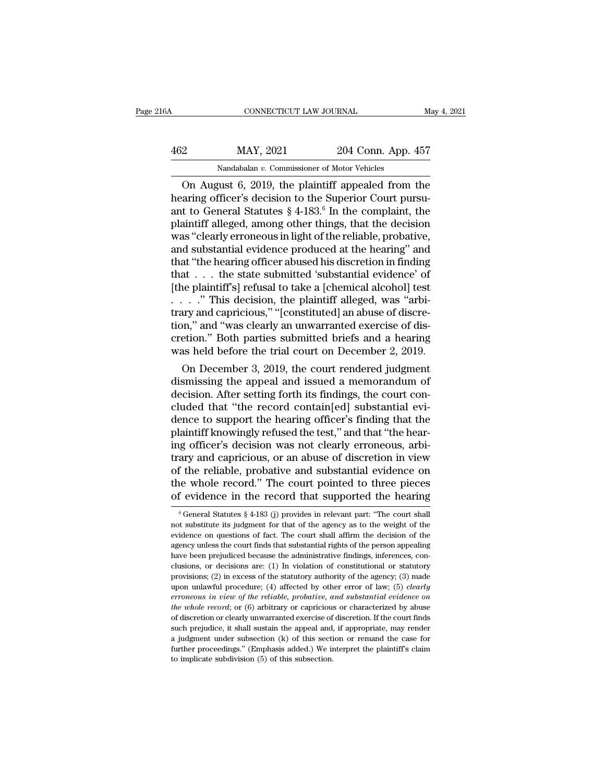| 16A | CONNECTICUT LAW JOURNAL                            |                    | May 4, 2021 |
|-----|----------------------------------------------------|--------------------|-------------|
| 462 | MAY, 2021                                          | 204 Conn. App. 457 |             |
|     | Nandabalan v. Commissioner of Motor Vehicles       |                    |             |
|     | On August 6, 2019, the plaintiff appealed from the |                    |             |

CONNECTICUT LAW JOURNAL May 4, 2021<br>
2014 Conn. App. 457<br>
Nandabalan v. Commissioner of Motor Vehicles<br>
On August 6, 2019, the plaintiff appealed from the<br>
aring officer's decision to the Superior Court pursu-<br>
t to Genera MAY, 2021 204 Conn. App. 457<br>
Mandabalan v. Commissioner of Motor Vehicles<br>
On August 6, 2019, the plaintiff appealed from the<br>
hearing officer's decision to the Superior Court pursu-<br>
ant to General Statutes § 4-183.<sup>6</sup> I 462 MAY, 2021 204 Conn. App. 457<br>
Nandabalan v. Commissioner of Motor Vehicles<br>
On August 6, 2019, the plaintiff appealed from the<br>
hearing officer's decision to the Superior Court pursu-<br>
ant to General Statutes § 4-183.  $\frac{\text{MAX, 2021}}{\text{Nandabalan } v. \text{ Commissioner of Motor Vehicles}}$ <br>On August 6, 2019, the plaintiff appealed from the hearing officer's decision to the Superior Court pursu-<br>ant to General Statutes § 4-183.<sup>6</sup> In the complaint, the plaintiff alleged, Nandabalan v. Commissioner of Motor Vehicles<br>
On August 6, 2019, the plaintiff appealed from the<br>
hearing officer's decision to the Superior Court pursu-<br>
ant to General Statutes  $\S 4$ -183.<sup>6</sup> In the complaint, the<br>
plain Nandabalan v. Commissioner of Motor Vehicles<br>
On August 6, 2019, the plaintiff appealed from the<br>
hearing officer's decision to the Superior Court pursu-<br>
ant to General Statutes  $\S 4$ -183.<sup>6</sup> In the complaint, the<br>
plain On August 6, 2019, the plaintiff appealed from the<br>hearing officer's decision to the Superior Court pursu-<br>ant to General Statutes  $\S 4$ -183.<sup>6</sup> In the complaint, the<br>plaintiff alleged, among other things, that the decisi hearing officer's decision to the Superior Court pursu-<br>ant to General Statutes  $\S 4$ -183.<sup>6</sup> In the complaint, the<br>plaintiff alleged, among other things, that the decision<br>was "clearly erroneous in light of the reliable, ant to General Statutes  $\S 4$ -183.<sup>6</sup> In the complaint, the plaintiff alleged, among other things, that the decision was "clearly erroneous in light of the reliable, probative, and substantial evidence produced at the hea plaintiff alleged, among other things, that the decision was "clearly erroneous in light of the reliable, probative, and substantial evidence produced at the hearing" and that "the hearing officer abused his discretion in was "clearly erroneous in light of the reliable, probative,<br>and substantial evidence produced at the hearing" and<br>that "the hearing officer abused his discretion in finding<br>that  $\dots$  the state submitted 'substantial evide and substantial evidence produced at the hearing" and<br>that "the hearing officer abused his discretion in finding<br>that . . . the state submitted 'substantial evidence' of<br>[the plaintiff's] refusal to take a [chemical alcoh that "the hearing officer abused his discretion in finding<br>that  $\ldots$  the state submitted 'substantial evidence' of<br>[the plaintiff's] refusal to take a [chemical alcohol] test<br> $\ldots$  ." This decision, the plaintiff alleged that  $\ldots$  the state submitted 'substantial evidence' of [the plaintiff's] refusal to take a [chemical alcohol] test  $\ldots$  ." This decision, the plaintiff alleged, was "arbitrary and capricious," "[constituted] an abuse o e plaintif s] refusal to take a [chemical alcohol] test<br>
. . ." This decision, the plaintiff alleged, was "arbi-<br>
ary and capricious," "[constituted] an abuse of discre-<br>
in," and "was clearly an unwarranted exercise of di  $\ldots$  and capricious," "[constituted] an abuse of discretion," and "was clearly an unwarranted exercise of discretion." Both parties submitted briefs and a hearing was held before the trial court on December 2, 2019.<br>On D

trary and capricious, [consultured] an abuse of discretion," and "was clearly an unwarranted exercise of discretion." Both parties submitted briefs and a hearing was held before the trial court on December 2, 2019.<br>On Dece tion, and was clearly an unwarranted exercise of discretion." Both parties submitted briefs and a hearing was held before the trial court on December 2, 2019.<br>On December 3, 2019, the court rendered judgment dismissing the cretion. Both parties submitted priers and a nearing<br>was held before the trial court on December 2, 2019.<br>On December 3, 2019, the court rendered judgment<br>dismissing the appeal and issued a memorandum of<br>decision. After se was neid before the trial court on December 2, 2019.<br>
On December 3, 2019, the court rendered judgment<br>
dismissing the appeal and issued a memorandum of<br>
decision. After setting forth its findings, the court con-<br>
cluded t On December 3, 2019, the court rendered judgment<br>dismissing the appeal and issued a memorandum of<br>decision. After setting forth its findings, the court con-<br>cluded that "the record contain[ed] substantial evi-<br>dence to sup dismissing the appeal and issued a memorandum of<br>decision. After setting forth its findings, the court con-<br>cluded that "the record contain[ed] substantial evi-<br>dence to support the hearing officer's finding that the<br>plain decision. After setting forth its findings, the court concluded that "the record contain[ed] substantial evidence to support the hearing officer's finding that the plaintiff knowingly refused the test," and that "the heari cluded that "the record contain[ed] substantial evi-<br>dence to support the hearing officer's finding that the<br>plaintiff knowingly refused the test," and that "the hear-<br>ing officer's decision was not clearly erroneous, arbi dence to support the hearing officer's finding that the plaintiff knowingly refused the test," and that "the hearing officer's decision was not clearly erroneous, arbitrary and capricious, or an abuse of discretion in vie ary and capricious, or an abuse of discretion in view<br>f the reliable, probative and substantial evidence on<br>ne whole record." The court pointed to three pieces<br>f evidence in the record that supported the hearing<br> $\frac{6}{6}$ of the reliable, probative and substantial evidence on<br>the whole record." The court pointed to three pieces<br>of evidence in the record that supported the hearing<br> $\frac{6}{6}$  General Statutes § 4-183 (j) provides in relevant

the whole record." The court pointed to three pieces<br>of evidence in the record that supported the hearing<br> $\frac{6}{6}$  General Statutes  $\frac{6}{9}$  4-183 (j) provides in relevant part: "The court shall<br>not substitute its judgm of evidence in the record that supported the hearing<br>  $\frac{1}{6}$  General Statutes § 4-183 (j) provides in relevant part: "The court shall<br>
not substitute its judgment for that of the agency as to the weight of the<br>
evidenc The vidence in the record that supported the hearing<br>  $\frac{1}{6}$  General Statutes § 4-183 (j) provides in relevant part: "The court shall<br>
not substitute its judgment for that of the agency as to the weight of the<br>
evidenc <sup>6</sup> General Statutes § 4-183 (j) provides in relevant part: "The court shall not substitute its judgment for that of the agency as to the weight of the evidence on questions of fact. The court shall affirm the decision of not substitute its judgment for that of the agency as to the weight of the evidence on questions of fact. The court shall affirm the decision of the agency unless the court finds that substantial rights of the person appe evidence on questions of fact. The court shall affirm the decision of the agency unless the court finds that substantial rights of the person appealing have been prejudiced because the administrative findings, inferences, *errories* when the court finds that substantial rights of the person appealing have been prejudiced because the administrative findings, inferences, conclusions, or decisions are: (1) In violation of constitutional or sta *the been prejudiced because the administrative findings, inferences, conclusions, or decisions are: (1) In violation of constitutional or statutory provisions; (2) in excess of the statutory authority of the agency; (3) m* clusions, or decisions are: (1) In violation of constitutional or statuory<br>provisions; (2) in excess of the statuory authority of the agency; (3) made<br>upon unlawful procedure; (4) affected by other error of law; (5) *clea* provisions; (2) in excess of the statutory authority of the agency; (3) made upon unlawful procedure; (4) affected by other error of law; (5) *clearly erroneous in view of the reliable, probative, and substantial evidence* upon unlawful procedure; (4) affected by other error of law; (5) *clearly* erroneous in view of the reliable, probative, and substantial evidence on the whole record; or (6) arbitrary or capricious or characterized by abu from eous in view of the reliable, probative, and substantial evidence on<br>the whole record; or (6) arbitrary or capricious or characterized by abuse<br>of discretion or clearly unwarranted exercise of discretion. If the court the whole record; or  $(6)$  arbitrary or capricious or characterized by abuse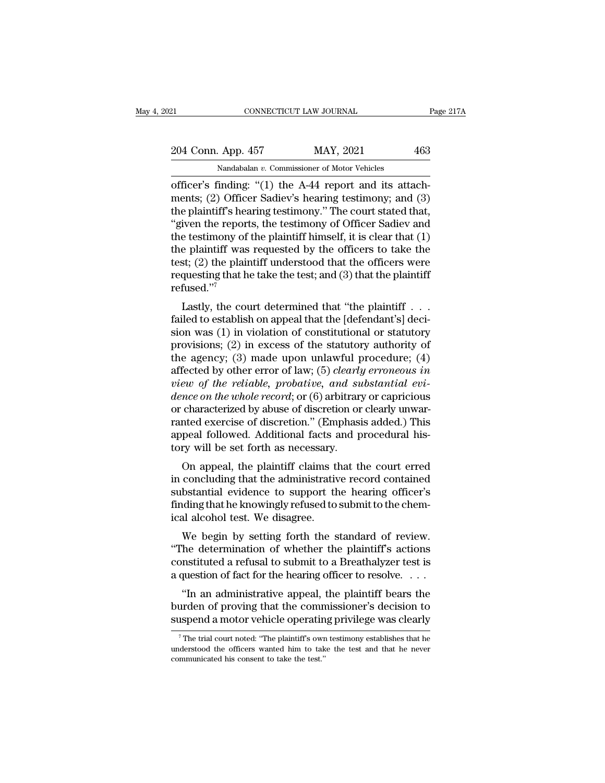CONNECTICUT LAW JOURNAL<br>
204 Conn. App. 457 MAY, 2021 463<br>
Nandabalan v. Commissioner of Motor Vehicles<br>
officer's finding: "(1) the A-44 report and its attach-<br>
ments; (2) Officer Sadiev's hearing testimony; and (3)<br>
the 204 Conn. App. 457 MAY, 2021 463<br>
Nandabalan v. Commissioner of Motor Vehicles<br>
officer's finding: "(1) the A-44 report and its attach-<br>
ments; (2) Officer Sadiev's hearing testimony; and (3)<br>
the plaintiff's hearing testi 204 Conn. App. 457 MAY, 2021 463<br>
Nandabalan v. Commissioner of Motor Vehicles<br>
officer's finding: "(1) the A-44 report and its attach-<br>
ments; (2) Officer Sadiev's hearing testimony; and (3)<br>
the plaintiff's hearing test 204 Conn. App. 457 MAY, 2021 463<br>
Nandabalan v. Commissioner of Motor Vehicles<br>
officer's finding: "(1) the A-44 report and its attach-<br>
ments; (2) Officer Sadiev's hearing testimony; and (3)<br>
the plaintiff's hearing test Nandabalan v. Commissioner of Motor Vehicles<br>
officer's finding: "(1) the A-44 report and its attach-<br>
ments; (2) Officer Sadiev's hearing testimony; and (3)<br>
the plaintiff's hearing testimony." The court stated that,<br>
"g Nandabalan v. Commissioner of Motor Venicles<br>
officer's finding: "(1) the A-44 report and its attach-<br>
ments; (2) Officer Sadiev's hearing testimony; and (3)<br>
the plaintiff's hearing testimony." The court stated that,<br>
"g officer's finding: "(1) the A-44 report and its attachments; (2) Officer Sadiev's hearing testimony; and (3) the plaintiff's hearing testimony." The court stated that, "given the reports, the testimony of Officer Sadiev a ments; (2) Officer Sadiev's hearing testimony; and (3)<br>the plaintiff's hearing testimony." The court stated that,<br>"given the reports, the testimony of Officer Sadiev and<br>the testimony of the plaintiff himself, it is clear refused.''<sup>7</sup> Even the reports, the testhinony of Officer Sadiev and<br>
de testimony of the plaintiff himself, it is clear that (1)<br>
e plaintiff was requested by the officers to take the<br>
st; (2) the plaintiff understood that the officer the estimony of the plaintiff minisen, it is clear that  $(1)$ <br>the plaintiff was requested by the officers to take the<br>test; (2) the plaintiff understood that the officers were<br>requesting that he take the test; and (3) tha

the plant was requested by the officers to take the<br>test; (2) the plaintiff understood that the officers were<br>requesting that he take the test; and (3) that the plaintiff<br>refused."<br>Lastly, the court determined that "the p best, (2) the plaintiff understood that the officers were<br>requesting that he take the test; and (3) that the plaintiff<br>refused."<br>Lastly, the court determined that "the plaintiff . . .<br>failed to establish on appeal that th the agency; (3) matrice and substantial and<br>refused."<sup>7</sup><br>Lastly, the court determined that "the plaintiff . . . .<br>failed to establish on appeal that the [defendant's] deci-<br>sion was (1) in violation of constitutional or s Lastly, the court determined that "the plaintiff  $\dots$  failed to establish on appeal that the [defendant's] decision was (1) in violation of constitutional or statutory provisions; (2) in excess of the statutory authority Lastly, the court determined that "the plaintiff....<br>failed to establish on appeal that the [defendant's] deci-<br>sion was (1) in violation of constitutional or statutory<br>provisions; (2) in excess of the statutory authority failed to establish on appeal that the [defendant's] decision was (1) in violation of constitutional or statutory<br>provisions; (2) in excess of the statutory authority of<br>the agency; (3) made upon unlawful procedure; (4)<br>af sion was (1) in violation of constitutional or statutory<br>provisions; (2) in excess of the statutory authority of<br>the agency; (3) made upon unlawful procedure; (4)<br>affected by other error of law; (5) *clearly erroneous in* provisions; (2) in excess of the statutory authority of<br>the agency; (3) made upon unlawful procedure; (4)<br>affected by other error of law; (5) *clearly erroneous in*<br>view of the reliable, probative, and substantial evi-<br>den the agency; (3) made upon unlawful procedure; (4) affected by other error of law; (5) *clearly erroneous in view of the reliable, probative, and substantial evidence on the whole record*; or (6) arbitrary or capricious affected by other error of law; (5) *clearly view of the reliable, probative, and su dence on the whole record*; or (6) arbitrary or characterized by abuse of discretion or ranted exercise of discretion." (Emphasi appe Figure 1.1 and Substitute ever-<br> *nce on the whole record*; or (6) arbitrary or capricious<br>
characterized by abuse of discretion or clearly unwar-<br>
anted exercise of discretion." (Emphasis added.) This<br>
peal followed. Addi mete on the university, or (b) arbitrary or capricious<br>or characterized by abuse of discretion or clearly unwar-<br>ranted exercise of discretion." (Emphasis added.) This<br>appeal followed. Additional facts and procedural his-<br>

or characterized by abuse or discretion or clearly diwar-<br>ranted exercise of discretion." (Emphasis added.) This<br>appeal followed. Additional facts and procedural his-<br>tory will be set forth as necessary.<br>On appeal, the pla France exercise of discretion. (Emphasis added.) This<br>appeal followed. Additional facts and procedural his-<br>tory will be set forth as necessary.<br>On appeal, the plaintiff claims that the court erred<br>in concluding that the a appear followed: Additional facts a<br>tory will be set forth as necessary.<br>On appeal, the plaintiff claims tl<br>in concluding that the administrativ<br>substantial evidence to support th<br>finding that he knowingly refused to<br>ical On appeal, the plaintiff claims that the court erred<br>concluding that the administrative record contained<br>bstantial evidence to support the hearing officer's<br>ding that he knowingly refused to submit to the chem-<br>al alcohol On appear, the plantific transis that the court effect<br>in concluding that the administrative record contained<br>substantial evidence to support the hearing officer's<br>finding that he knowingly refused to submit to the chem-<br>i

In concluding that the administrative record contained<br>substantial evidence to support the hearing officer's<br>finding that he knowingly refused to submit to the chem-<br>ical alcohol test. We disagree.<br>We begin by setting for substantial evidence to support the hearing officer s<br>finding that he knowingly refused to submit to the chemical alcohol test. We disagree.<br>We begin by setting forth the standard of review.<br>"The determination of whether al alcohol test. We disagree.<br>
We begin by setting forth the standard of review.<br>
The determination of whether the plaintiff's actions<br>
mstituted a refusal to submit to a Breathalyzer test is<br>
question of fact for the hear We begin by setting forth the standard of review.<br>
"The determination of whether the plaintiff's actions<br>
constituted a refusal to submit to a Breathalyzer test is<br>
a question of fact for the hearing officer to resolve.<br>
. We begin by setting form the standard of fevrew.<br>
"The determination of whether the plaintiff's actions<br>
constituted a refusal to submit to a Breathalyzer test is<br>
a question of fact for the hearing officer to resolve....

"In an administrative appeal, the plaintiff bears the urden of proving that the commissioner's decision to uspend a motor vehicle operating privilege was clearly  $\frac{1}{7}$  The trial court noted: "The plaintiff's own testi "In an administrative appeal, the plaintiff bears the burden of proving that the commissioner's decision to suspend a motor vehicle operating privilege was clearly  $\frac{1}{\pi}$ . The trial court noted: "The plaintiff's own t

burden of proving that the communisy<br>suspend a motor vehicle operating  $\frac{1}{\sqrt{2}}$ .<br>The trial court noted: "The plaintiff's own<br>understood the officers wanted him to take communicated his consent to take the test."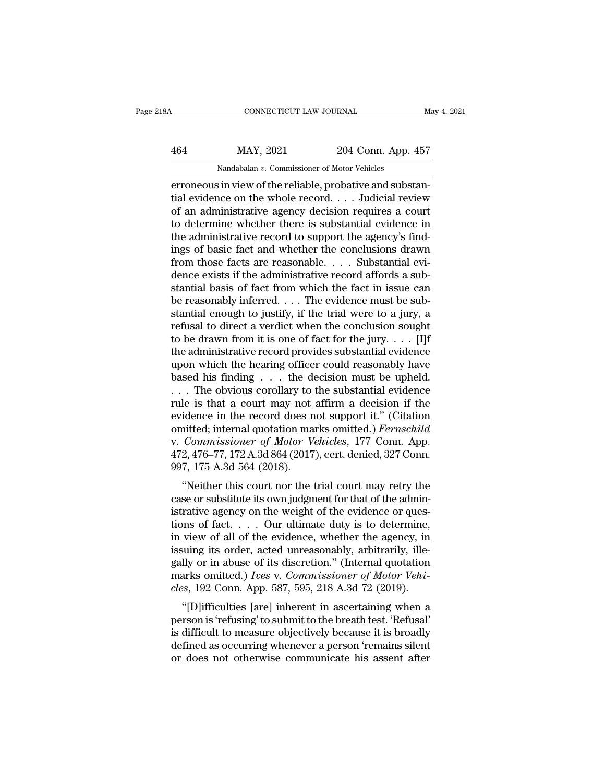# CONNECTICUT LAW JOURNAL May 4, 2021<br>464 MAY, 2021 204 Conn. App. 457<br>Nandabalan v. Commissioner of Motor Vehicles CONNECTICUT LAW JOURNAL<br>MAY, 2021 204 Conn. App. 4<br>Nandabalan *v.* Commissioner of Motor Vehicles<br>in view of the reliable probative and subst

ERREY CONNECTICUT LAW JOURNAL<br>
MAY, 2021 204 Conn. App. 457<br>
Nandabalan v. Commissioner of Motor Vehicles<br>
ERREY CONNECTION CONTROL CONTROL CONTROL CONTROL CONTROL CONTROL CONTROL CONTROL CONTROL CONTROL CONTROL CONTROL CO MAY, 2021 204 Conn. App. 457<br>
Mandabalan v. Commissioner of Motor Vehicles<br>
erroneous in view of the reliable, probative and substantial evidence on the whole record. . . . Judicial review<br>
of an administrative agency deci  $\frac{\text{MAX, 2021}}{\text{Nandabalan } v. \text{ Commissioner of Motor Vehicles}}$ <br>
erroneous in view of the reliable, probative and substantial evidence on the whole record. . . . Judicial review of an administrative agency decision requires a court to determine whe  $\frac{\text{MAX, 2021}}{\text{Nandabalan } v. \text{ Commissioner of Motor Vehicles}}$ <br>
erroneous in view of the reliable, probative and substantial evidence on the whole record. . . . Judicial review<br>
of an administrative agency decision requires a court<br>
to determine w Nandabalan v. Commissioner of Motor Vehicles<br>
erroneous in view of the reliable, probative and substan-<br>
tial evidence on the whole record.... Judicial review<br>
of an administrative agency decision requires a court<br>
to det Nandabalan v. Commissioner of Motor Vehicles<br>
erroneous in view of the reliable, probative and substan-<br>
tial evidence on the whole record. . . . Judicial review<br>
of an administrative agency decision requires a court<br>
to erroneous in view of the reliable, probative and substantial evidence on the whole record. . . . Judicial review of an administrative agency decision requires a court to determine whether there is substantial evidence in tial evidence on the whole record.  $\dots$  Judicial review<br>of an administrative agency decision requires a court<br>to determine whether there is substantial evidence in<br>the administrative record to support the agency's find-<br>i of an administrative agency decision requires a court<br>to determine whether there is substantial evidence in<br>the administrative record to support the agency's find-<br>ings of basic fact and whether the conclusions drawn<br>from to determine whether there is substantial evidence in<br>the administrative record to support the agency's find-<br>ings of basic fact and whether the conclusions drawn<br>from those facts are reasonable. . . . Substantial evi-<br>de the administrative record to support the agency's findings of basic fact and whether the conclusions drawn<br>from those facts are reasonable. . . . Substantial evidence exists if the administrative record affords a sub-<br>sta ings of basic fact and whether the conclusions drawn<br>from those facts are reasonable. . . . Substantial evi-<br>dence exists if the administrative record affords a sub-<br>stantial basis of fact from which the fact in issue can from those facts are reasonable. . . . Substantial evidence exists if the administrative record affords a substantial basis of fact from which the fact in issue can<br>be reasonably inferred. . . . The evidence must be subst dence exists if the administrative record affords a substantial basis of fact from which the fact in issue can<br>be reasonably inferred. . . . The evidence must be sub-<br>stantial enough to justify, if the trial were to a jur stantial basis of fact from which the fact in issue can<br>be reasonably inferred. . . . The evidence must be sub-<br>stantial enough to justify, if the trial were to a jury, a<br>refusal to direct a verdict when the conclusion so be reasonably inferred. . . . The evidence must be substantial enough to justify, if the trial were to a jury, a refusal to direct a verdict when the conclusion sought to be drawn from it is one of fact for the jury. . . stantial enough to justify, if the trial were to a jury, a<br>refusal to direct a verdict when the conclusion sought<br>to be drawn from it is one of fact for the jury. . . . . [I]f<br>the administrative record provides substantia refusal to direct a verdict when the conclusion sought<br>to be drawn from it is one of fact for the jury. . . . [I]f<br>the administrative record provides substantial evidence<br>upon which the hearing officer could reasonably ha to be drawn from it is one of fact for the jury. . . . [I]f<br>the administrative record provides substantial evidence<br>upon which the hearing officer could reasonably have<br>based his finding . . . the decision must be upheld. the administrative record provides substantial evidence<br>upon which the hearing officer could reasonably have<br>based his finding . . . the decision must be upheld.<br>. . . The obvious corollary to the substantial evidence<br>rule upon which the hearing officer could reasonably have<br>based his finding . . . the decision must be upheld.<br>. . . The obvious corollary to the substantial evidence<br>rule is that a court may not affirm a decision if the<br>eviden based his finding . . . the decision must be upheld.<br>... The obvious corollary to the substantial evidence<br>rule is that a court may not affirm a decision if the<br>evidence in the record does not support it." (Citation<br>omitt ... The obvious corollary to<br>rule is that a court may not<br>evidence in the record does n<br>omitted; internal quotation ma<br>v. Commissioner of Motor V<br>472, 476–77, 172 A.3d 864 (2017<br>997, 175 A.3d 564 (2018).<br>"Neither this cour idence in the record does not support it." (Citation<br>
inted; internal quotation marks omitted.) *Fernschild*<br> *Commissioner of Motor Vehicles*, 177 Conn. App.<br>
2, 476–77, 172 A.3d 864 (2017), cert. denied, 327 Conn.<br>
7, 17 evidence in the record does not support it. (Citation<br>omitted; internal quotation marks omitted.) *Fernschild*<br>v. *Commissioner of Motor Vehicles*, 177 Conn. App.<br>472, 476–77, 172 A.3d 864 (2017), cert. denied, 327 Conn.<br>9

ontitied, internal quotation marks ontitied.) *Fernsthittel*<br>v. *Commissioner of Motor Vehicles*, 177 Conn. App.<br>472, 476–77, 172 A.3d 864 (2017), cert. denied, 327 Conn.<br>997, 175 A.3d 564 (2018).<br>"Neither this court nor t v. Commissioner of motor ventures, 177 Collii. App.<br>472, 476–77, 172 A.3d 864 (2017), cert. denied, 327 Conn.<br>997, 175 A.3d 564 (2018).<br>"Neither this court nor the trial court may retry the<br>case or substitute its own judg  $\frac{472}{472,470-11}$ ,  $\frac{172}{430,004}$  (2017), cert. defined, 327 Collit.<br>997, 175 A.3d 564 (2018).<br>"Neither this court nor the trial court may retry the<br>case or substitute its own judgment for that of the admin-<br>istrati "Neither this court nor the trial court may retry the<br>case or substitute its own judgment for that of the admin-<br>istrative agency on the weight of the evidence or ques-<br>tions of fact.... Our ultimate duty is to determine, "Neither this court nor the trial court may retry the case or substitute its own judgment for that of the administrative agency on the weight of the evidence or questions of fact. . . . Our ultimate duty is to determine, case or substitute its own judgment for that of the administrative agency on the weight of the evidence or questions of fact. . . . Our ultimate duty is to determine, in view of all of the evidence, whether the agency, in istrative agency on the weight of the evidence or questions of fact. . . . Our ultimate duty is to determine, in view of all of the evidence, whether the agency, in issuing its order, acted unreasonably, arbitrarily, illeg This of fact.  $\ldots$  Our unfinate duty is to determine,<br>
view of all of the evidence, whether the agency, in<br>
suing its order, acted unreasonably, arbitrarily, ille-<br>
lly or in abuse of its discretion." (Internal quotation In view of an of the evidence, whether the agency, in<br>issuing its order, acted unreasonably, arbitrarily, ille-<br>gally or in abuse of its discretion." (Internal quotation<br>marks omitted.) Ives v. Commissioner of Motor Vehi-<br>

is difficulties (and all the breath of means of Motor Vehicles, 192 Conn. App. 587, 595, 218 A.3d 72 (2019).<br>
"[D] ifficulties [are] inherent in ascertaining when a<br>
person is 'refusing' to submit to the breath test. 'Refu gany of in abuse of its uiscretion. (Internal quotation marks omitted.) *Ives v. Commissioner of Motor Vehicles*, 192 Conn. App. 587, 595, 218 A.3d 72 (2019). "[D]ifficulties [are] inherent in ascertaining when a person is des, 192 Conn. App. 587, 595, 218 A.3d 72 (2019).<br>
"[D]ifficulties [are] inherent in ascertaining when a<br>
person is 'refusing' to submit to the breath test. 'Refusal'<br>
is difficult to measure objectively because it is broa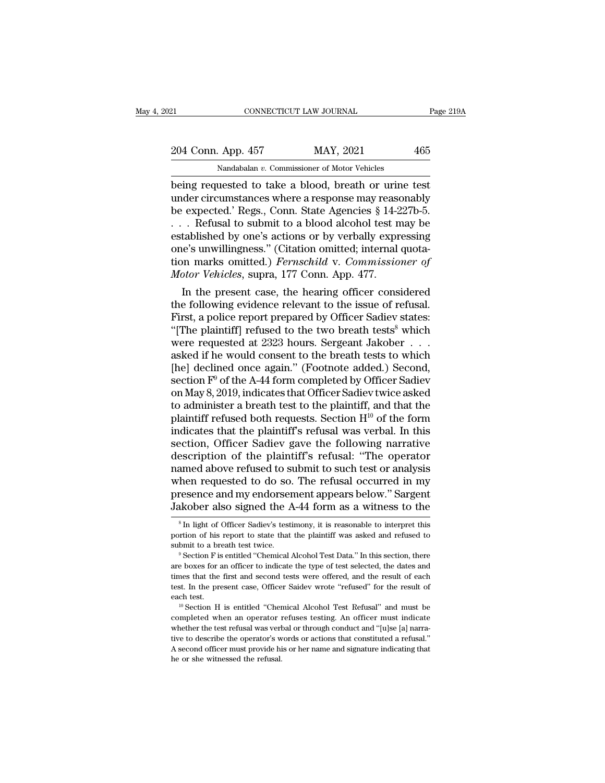| 21                 | CONNECTICUT LAW JOURNAL                              | Page 219A |
|--------------------|------------------------------------------------------|-----------|
| 204 Conn. App. 457 | MAY, 2021                                            | 465       |
|                    | Nandabalan v. Commissioner of Motor Vehicles         |           |
|                    | heing requested to take a blood breath or urine test |           |

ERECTIVE REVIEW OF THE PAGE 219.<br>
204 Conn. App. 457 MAY, 2021 465<br>
Nandabalan v. Commissioner of Motor Vehicles<br>
being requested to take a blood, breath or urine test<br>
under circumstances where a response may reasonably<br> 204 Conn. App. 457 MAY, 2021 465<br>
Nandabalan v. Commissioner of Motor Vehicles<br>
being requested to take a blood, breath or urine test<br>
under circumstances where a response may reasonably<br>
be expected.' Regs., Conn. State A 204 Conn. App. 457 MAY, 2021 465<br>
Nandabalan v. Commissioner of Motor Vehicles<br>
being requested to take a blood, breath or urine test<br>
under circumstances where a response may reasonably<br>
be expected.' Regs., Conn. State 204 Conn. App. 457 MAY, 2021 465<br>
Nandabalan v. Commissioner of Motor Vehicles<br>
being requested to take a blood, breath or urine test<br>
under circumstances where a response may reasonably<br>
be expected.' Regs., Conn. State Nandabalan v. Commissioner of Motor Vehicles<br>
being requested to take a blood, breath or urine test<br>
under circumstances where a response may reasonably<br>
be expected.' Regs., Conn. State Agencies § 14-227b-5.<br>
... Refusal Nandabalan v. Commissioner of Motor Vehicles<br>
being requested to take a blood, breath or urine test<br>
under circumstances where a response may reasonably<br>
be expected.' Regs., Conn. State Agencies § 14-227b-5.<br>
. . . Refus being requested to take a blood, breath or urine test<br>under circumstances where a response may reasonably<br>be expected.' Regs., Conn. State Agencies § 14-227b-5.<br>... Refusal to submit to a blood alcohol test may be<br>establis under circumstances where a response may rease<br>be expected.' Regs., Conn. State Agencies § 14-2<br>... Refusal to submit to a blood alcohol test n<br>established by one's actions or by verbally expr<br>one's unwillingness." (Citati Expected. Regs., Conn. State Agencies  $\S$  14-2270-5.<br>
Refusal to submit to a blood alcohol test may be<br>
tablished by one's actions or by verbally expressing<br>
ie's unwillingness." (Citation omitted; internal quota-<br>
por ma The following to submit to a blood alcohol test may be established by one's actions or by verbally expressing<br>one's unwillingness." (Citation omitted; internal quotation marks omitted.) *Fernschild* v. *Commissioner of*<br>

established by one's actions or by verbally expressing<br>one's unwillingness." (Citation omitted; internal quota-<br>tion marks omitted.) *Fernschild* v. *Commissioner of*<br>*Motor Vehicles*, supra, 177 Conn. App. 477.<br>In the pre one's unwillingness." (Citation omitted; internal quotation marks omitted.) *Fernschild* v. *Commissioner of*<br> *Motor Vehicles*, supra, 177 Conn. App. 477.<br>
In the present case, the hearing officer considered<br>
the followin tion marks omitted.) *Fernschud* v. Commissioner of<br>Motor Vehicles, supra, 177 Conn. App. 477.<br>In the present case, the hearing officer considered<br>the following evidence relevant to the issue of refusal.<br>First, a police r Motor Vencles, supra, 177 Conn. App. 477.<br>
In the present case, the hearing officer considered<br>
the following evidence relevant to the issue of refusal.<br>
First, a police report prepared by Officer Sadiev states:<br>
"[The pl In the present case, the hearing officer considered<br>the following evidence relevant to the issue of refusal.<br>First, a police report prepared by Officer Sadiev states:<br>"[The plaintiff] refused to the two breath tests<sup>8</sup> wh the following evidence relevant to the issue of refusal.<br>First, a police report prepared by Officer Sadiev states:<br>"[The plaintiff] refused to the two breath tests<sup>8</sup> which<br>were requested at 2323 hours. Sergeant Jakober . First, a police report prepared by Officer Sadiev states:<br>"[The plaintiff] refused to the two breath tests<sup>8</sup> which<br>were requested at 2323 hours. Sergeant Jakober . . .<br>asked if he would consent to the breath tests to whi "[The plaintiff] refused to the two breath tests<sup>8</sup> which<br>were requested at 2323 hours. Sergeant Jakober . . .<br>asked if he would consent to the breath tests to which<br>[he] declined once again." (Footnote added.) Second,<br>se were requested at 2323 hours. Sergeant Jakober . . . .<br>asked if he would consent to the breath tests to which<br>[he] declined once again." (Footnote added.) Second,<br>section F<sup>0</sup> of the A-44 form completed by Officer Sadiev<br> asked if he would consent to the breath tests to which<br>[he] declined once again." (Footnote added.) Second,<br>section  $\mathbf{F}^0$  of the A-44 form completed by Officer Sadiev<br>on May 8, 2019, indicates that Officer Sadiev twi [he] declined once again." (Footnote added.) Second,<br>section  $F^0$  of the A-44 form completed by Officer Sadiev<br>on May 8, 2019, indicates that Officer Sadiev twice asked<br>to administer a breath test to the plaintiff, and t section  $F^0$  of the A-44 form completed by Officer Sadiev<br>on May 8, 2019, indicates that Officer Sadiev twice asked<br>to administer a breath test to the plaintiff, and that the<br>plaintiff refused both requests. Section  $H^{1$ on May 8, 2019, indicates that Officer Sadiev twice asked<br>to administer a breath test to the plaintiff, and that the<br>plaintiff refused both requests. Section  $H^{10}$  of the form<br>indicates that the plaintiff's refusal was to administer a breath test to the plaintiff, and that the plaintiff refused both requests. Section  $H^{10}$  of the form indicates that the plaintiff's refusal was verbal. In this section, Officer Sadiev gave the following plaintiff refused both requests. Section  $H^{10}$  of the form<br>indicates that the plaintiff's refusal was verbal. In this<br>section, Officer Sadiev gave the following narrative<br>description of the plaintiff's refusal: "The ope indicates that the plaintiff's refusal was verbal. In this section, Officer Sadiev gave the following narrative description of the plaintiff's refusal: "The operator named above refused to submit to such test or analysis w amed above refused to submit to such test or analysis<br>then requested to do so. The refusal occurred in my<br>resence and my endorsement appears below." Sargent<br>akober also signed the A-44 form as a witness to the<br><sup>8</sup>In light when requested to do so. The refusal occurred in my<br>presence and my endorsement appears below." Sargent<br>Jakober also signed the A-44 form as a witness to the<br><sup>8</sup>In light of Officer Sadiev's testimony, it is reasonable to i

presence and my endorsement appears below." Sargent Jakober also signed the A-44 form as a witness to the  $\frac{1}{\pi}$  in light of Officer Sadiev's testimony, it is reasonable to interpret this portion of his report to state

FOR ALL THE BOXEM SIGNED THE A-44 IOTHT AS A WILHESS TO THE  $\frac{1}{8}$  In light of Officer Sadiev's testimony, it is reasonable to interpret this portion of his report to state that the plaintiff was asked and refused to s <sup>8</sup> In light of Officer Sadiev's testimony, it is reasonable to interpret this portion of his report to state that the plaintiff was asked and refused to submit to a breath test twice.<br><sup>9</sup> Section F is entitled "Chemical portion of his report to state that the plaintiff was asked and refused to submit to a breath test twice.<br>
<sup>9</sup> Section F is entitled "Chemical Alcohol Test Data." In this section, there are boxes for an officer to indicate submit to a breath test twice.<br>
<sup>9</sup> Section F is entitled "Chemical Alcohol Test Data." In this section, there are boxes for an officer to indicate the type of test selected, the dates and times that the first and second t are boxes for an officer to indicate the type of test selected, the dates and times that the first and second tests were offered, and the result of each test. In the present case, Officer Saidev wrote "refused" for the res

dentities that the first and second tests were offered, and the result of each test. In the present case, Officer Saidev wrote "refused" for the result of each test.<br><sup>10</sup> Section H is entitled "Chemical Alcohol Test Refusa thest. In the present case, Officer Saidev wrote "refused" for the result of each test.<br>
<sup>10</sup> Section H is entitled "Chemical Alcohol Test Refusal" and must be completed when an operator refuses testing. An officer must in A second officer must provide his or here is that a second of test.<br>
<sup>10</sup> Section H is entitled "Chemical Alcohol Test Refusal" and must be completed when an operator refuses testing. An officer must indicate whether the each test.<br>
<sup>10</sup> Section H is entitled "Chemical Alcohol Test Refusal" and must be completed when an operator refuses testing. An officer must indicate whether the test refusal was verbal or through conduct and "[u]se [a]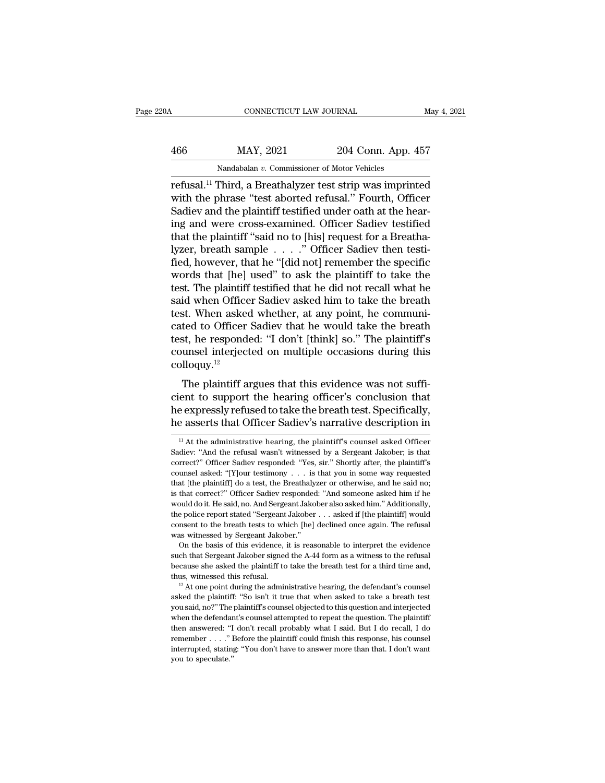| '0A | CONNECTICUT LAW JOURNAL                                             |                    | May 4, 2021 |
|-----|---------------------------------------------------------------------|--------------------|-------------|
| 466 | MAY, 2021                                                           | 204 Conn. App. 457 |             |
|     | Nandabalan v. Commissioner of Motor Vehicles                        |                    |             |
|     | refusal <sup>11</sup> Third a Breathalyzer test strip was imprinted |                    |             |

CONNECTICUT LAW JOURNAL May 4, 2021<br>
MAY, 2021 204 Conn. App. 457<br>
Nandabalan v. Commissioner of Motor Vehicles<br>
refusal.<sup>11</sup> Third, a Breathalyzer test strip was imprinted<br>
with the phrase "test aborted refusal." Fourth, MAY, 2021 204 Conn. App. 457<br>
Mandabalan v. Commissioner of Motor Vehicles<br>
Tefusal.<sup>11</sup> Third, a Breathalyzer test strip was imprinted<br>
with the phrase "test aborted refusal." Fourth, Officer<br>
Sadiev and the plaintiff tes  $\frac{\text{MAX, } 2021}{\text{Nandabalan } v. \text{ Commissioner of Motor Vehicles}}$ <br>
Third, a Breathalyzer test strip was imprinted with the phrase "test aborted refusal." Fourth, Officer Sadiev and the plaintiff testified under oath at the hear-<br>
ing and were cross- $\frac{\text{MAX, 2021}}{\text{Nandabalan } v. \text{ Commissioner of Motor Vehicles}}$ <br>
refusal.<sup>11</sup> Third, a Breathalyzer test strip was imprinted<br>
with the phrase "test aborted refusal." Fourth, Officer<br>
Sadiev and the plaintiff testified under oath at the hear-<br>
ing a Nandabalan v. Commissioner of Motor Vehicles<br>
refusal.<sup>11</sup> Third, a Breathalyzer test strip was imprinted<br>
with the phrase "test aborted refusal." Fourth, Officer<br>
Sadiev and the plaintiff testified under oath at the hear Nandabalan v. Commissioner of Motor Vehicles<br>
refusal.<sup>11</sup> Third, a Breathalyzer test strip was imprinted<br>
with the phrase "test aborted refusal." Fourth, Officer<br>
Sadiev and the plaintiff testified under oath at the hear refusal.<sup>11</sup> Third, a Breathalyzer test strip was imprinted<br>with the phrase "test aborted refusal." Fourth, Officer<br>Sadiev and the plaintiff testified under oath at the hear-<br>ing and were cross-examined. Officer Sadiev tes with the phrase "test aborted refusal." Fourth, Officer<br>Sadiev and the plaintiff testified under oath at the hear-<br>ing and were cross-examined. Officer Sadiev testified<br>that the plaintiff "said no to [his] request for a Br Sadiev and the plaintiff testified under oath at the hear-<br>ing and were cross-examined. Officer Sadiev testified<br>that the plaintiff "said no to [his] request for a Breatha-<br>lyzer, breath sample  $\ldots$ ." Officer Sadiev then ing and were cross-examined. Officer Sadiev testified<br>that the plaintiff "said no to [his] request for a Breatha-<br>lyzer, breath sample  $\ldots$ ." Officer Sadiev then testi-<br>fied, however, that he "[did not] remember the spec that the plaintiff "said no to [his] request for a Breatha-<br>lyzer, breath sample  $\ldots$  " Officer Sadiev then testi-<br>fied, however, that he "[did not] remember the specific<br>words that [he] used" to ask the plaintiff to tak lyzer, breath sample . . . ." Officer Sadiev then testi-<br>fied, however, that he "[did not] remember the specific<br>words that [he] used" to ask the plaintiff to take the<br>test. The plaintiff testified that he did not recall w fied, however, that he "[did not] remember the specific<br>words that [he] used" to ask the plaintiff to take the<br>test. The plaintiff testified that he did not recall what he<br>said when Officer Sadiev asked him to take the bre words that [he] used" to ask the plaintiff to take the<br>test. The plaintiff testified that he did not recall what he<br>said when Officer Sadiev asked him to take the breath<br>test. When asked whether, at any point, he communi-<br> colloquy.<sup>12</sup> It. When asked whether, at any point, he communited to Officer Sadiev that he would take the breath st, he responded: "I don't [think] so." The plaintiff's unsel interjected on multiple occasions during this lloquy.<sup>12</sup><br>Th cated to Officer Sadiev that he would take the breath<br>test, he responded: "I don't [think] so." The plaintiff's<br>counsel interjected on multiple occasions during this<br>colloquy.<sup>12</sup><br>The plaintiff argues that this evidence wa

eated to Officer Sadev that it would take the breath<br>test, he responded: "I don't [think] so." The plaintiff's<br>counsel interjected on multiple occasions during this<br>colloquy.<sup>12</sup><br>The plaintiff argues that this evidence was counsel interjected on multiple occasions during this colloquy.<sup>12</sup><br>The plaintiff argues that this evidence was not suffi-<br>cient to support the hearing officer's conclusion that<br>he expressly refused to take the breath tes The plaintiff argues that this evidence was not sufficient to support the hearing officer's conclusion that he expressly refused to take the breath test. Specifically, he asserts that Officer Sadiev's narrative descriptio cient to support the hearing officer's conclusion that<br>he expressly refused to take the breath test. Specifically,<br>he asserts that Officer Sadiev's narrative description in<br> $\frac{11}{11}$  At the administrative hearing, the pl

he expressly refused to take the breath test. Specifically,<br>
he asserts that Officer Sadiev's narrative description in<br>
<sup>11</sup>At the administrative hearing, the plaintiff's counsel asked Officer<br>
Sadiev: "And the refusal was The asserts that Officer Sadiev's narrative description in<br>
<sup>11</sup> At the administrative hearing, the plaintiff's counsel asked Officer<br>
Sadiev: "And the refusal wasn't witnessed by a Sergeant Jakober; is that<br>
correct?" Off The asserts that Officer Sadiev S harrative description in<br>
<sup>11</sup> At the administrative hearing, the plaintiff's counsel asked Officer<br>
Sadiev: "And the refusal wasn't witnessed by a Sergeant Jakober; is that<br>
correct?" Off <sup>11</sup> At the administrative hearing, the plaintiff's counsel asked Officer Sadiev: "And the refusal wasn't witnessed by a Sergeant Jakober; is that correct?" Officer Sadiev responded: "Yes, sir." Shortly after, the plainti Sadiev: "And the refusal wasn't witnessed by a Sergeant Jakober; is that correct?" Officer Sadiev responded: "Yes, sir." Shortly after, the plaintiff's counsel asked: "[Y]our testimony . . . is that you in some way request scorrect?" Officer Sadiev responded: "Yes, sir." Shortly after, the plaintiff's counsel asked: "[Y]our testimony . . . is that you in some way requested that [the plaintiff] do a test, the Breathalyzer or otherwise, and h counsel asked: "[Y]our testimony  $\ldots$  is that you in some way requested that [the plaintiff] do a test, the Breathalyzer or otherwise, and he said no; is that correct?" Officer Sadiev responded: "And someone asked him if counsel asked: "[Y]<br>our testimony . . . is that you in some way requested that [the plaintiff] do a test, the Breath<br>alyzer or otherwise, and he said no; is that correct?" Officer Sadiev responded: "And some<br>one asked him as the basis of this evidence, it is reasonable to interpret that correct?" Officer Sadiev responded: "And someone asked him if he build do it. He said, no. And Sergeant Jakober also asked him." Additionally, e police repo such that Sergeant Jakober signed the A-44 form as a witness to the refusal because the police report stated "Sergeant Jakober  $\ldots$  asked if [the plaintiff] would consent to the breath tests to which [he] declined once a

the police report stated "Sergeant Jakober  $\ldots$  asked if [the plaintiff] would consent to the breath tests to which [he] declined once again. The refusal was witnessed by Sergeant Jakober."<br>On the basis of this evidence, consent to the breath tests to which [he] declined once again. The refusal<br>was witnessed by Sergeant Jakober."<br>On the basis of this evidence, it is reasonable to interpret the evidence<br>such that Sergeant Jakober signed th On the basis of this evidence, it is reasonable to interpret the evidence such that Sergeant Jakober signed the A-44 form as a witness to the refusal because she asked the plaintiff to take the breath test for a third tim

such that Sergeant Jakober signed the A-44 form as a witness to the refusal<br>because she asked the plaintiff to take the breath test for a third time and,<br>thus, witnessed this refusal.<br> $^{12}$  At one point during the admini because she asked the plaintiff to take the breath test for a third time and, thus, witnessed this refusal. <sup>12</sup> At one point during the administrative hearing, the defendant's counsel asked the plaintiff: "So isn't it tr thus, witnessed this refusal.<br>
<sup>12</sup> At one point during the administrative hearing, the defendant's counsel asked the plaintiff: "So isn't it true that when asked to take a breath test you said, no?" The plaintiff's couns <sup>11</sup>. <sup>12</sup> At one point during the administrative hearing, the defendant's counsel asked the plaintiff: "So isn't it true that when asked to take a breath test you said, no?" The plaintiff's counsel objected to this quest interrupted, stating: ''So isn't it true that when asked to take a breath test<br>you said, no?'' The plaintiff's counsel objected to this question and interjected<br>when the defendant's counsel attempted to repeat the question you said, no?" The plaintiff's counsel objected to this question and interjected when the defendant's counsel attempted to repeat the question. The plaintiff then answered: "I don't recall probably what I said. But I do r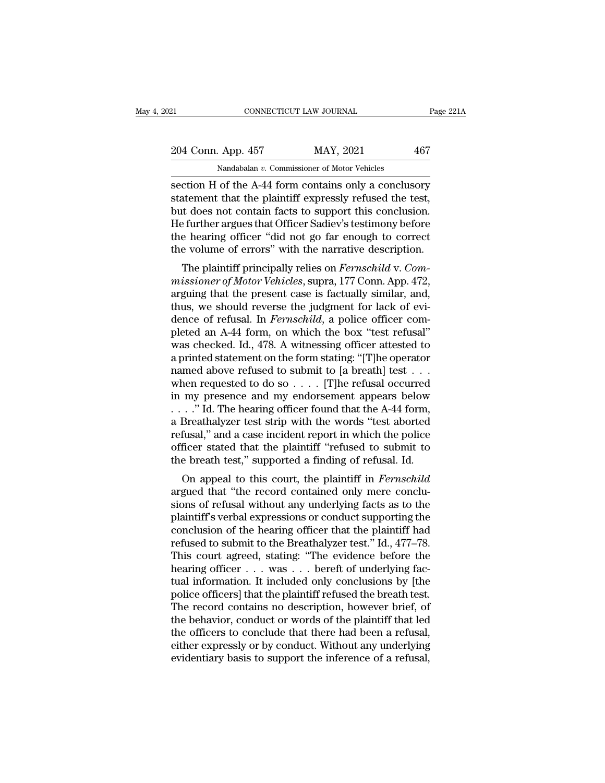# 21 CONNECTICUT LAW JOURNAL Page 221A<br>
204 Conn. App. 457 MAY, 2021 467<br>
Nandabalan v. Commissioner of Motor Vehicles Example 2014 Conn. App. 457 MAY, 2021 467<br>Nandabalan *v*. Commissioner of Motor Vehicles<br>Section H of the A-44 form contains only a conclusory

ERECT CONNECTICUT LAW JOURNAL Page 221A<br>
204 Conn. App. 457 MAY, 2021 467<br>
Nandabalan v. Commissioner of Motor Vehicles<br>
Section H of the A-44 form contains only a conclusory<br>
statement that the plaintiff expressly refused 204 Conn. App. 457 MAY, 2021 467<br>Nandabalan v. Commissioner of Motor Vehicles<br>section H of the A-44 form contains only a conclusory<br>statement that the plaintiff expressly refused the test,<br>but does not contain facts to sup  $\frac{204 \text{ Conn. App. 457}}{\text{Nandabalan } v. \text{ Commissioner of Motor Vehicles}}$ <br>
section H of the A-44 form contains only a conclusory<br>
statement that the plaintiff expressly refused the test,<br>
but does not contain facts to support this conclusion.<br>
He furthe 204 Conn. App. 457 MAY, 2021 467<br>
Mandabalan v. Commissioner of Motor Vehicles<br>
section H of the A-44 form contains only a conclusory<br>
statement that the plaintiff expressly refused the test,<br>
but does not contain facts t Nandabalan v. Commissioner of Motor Vehicles<br>
section H of the A-44 form contains only a conclusory<br>
statement that the plaintiff expressly refused the test,<br>
but does not contain facts to support this conclusion.<br>
He furt Nandabalan  $v$ . Commissioner of Motor Venicles<br>section H of the A-44 form contains only a conclusory<br>statement that the plaintiff expressly refused the test,<br>but does not contain facts to support this conclusion.<br>He furth Etion IT of the A-44 form contains only a conclusiory<br>atement that the plaintiff expressly refused the test,<br>it does not contain facts to support this conclusion.<br>Paint argues that Officer Sadiev's testimony before<br>e heari statement that the plaintin expressly refused the test,<br>but does not contain facts to support this conclusion.<br>He further argues that Officer Sadiev's testimony before<br>the hearing officer "did not go far enough to correct<br>

but does not contain racts to support this conclusion.<br>He further argues that Officer Sadiev's testimony before<br>the volume of errors" with the narrative description.<br>The plaintiff principally relies on *Fernschild* v. Com-The further argues that Officer Sadiev s testimoly before<br>the hearing officer "did not go far enough to correct<br>the volume of errors" with the narrative description.<br>The plaintiff principally relies on *Fernschild* v. Comthe volume of errors" with the narrative description.<br>The plaintiff principally relies on *Fernschild* v. Com-<br>missioner of Motor Vehicles, supra, 177 Conn. App. 472,<br>arguing that the present case is factually similar, and The plaintiff principally relies on *Fernschild v. Commissioner of Motor Vehicles*, supra, 177 Conn. App. 472, arguing that the present case is factually similar, and, thus, we should reverse the judgment for lack of evide The plaintiff principally relies on *Fernschild* v. Commissioner of Motor Vehicles, supra, 177 Conn. App. 472, arguing that the present case is factually similar, and, thus, we should reverse the judgment for lack of evide missioner of Motor Vehicles, supra, 177 Conn. App. 472, arguing that the present case is factually similar, and, thus, we should reverse the judgment for lack of evidence of refusal. In *Fernschild*, a police officer comp arguing that the present case is factually similar, and,<br>thus, we should reverse the judgment for lack of evi-<br>dence of refusal. In *Fernschild*, a police officer com-<br>pleted an A-44 form, on which the box "test refusal"<br> thus, we should reverse the judgment for lack of evidence of refusal. In *Fernschild*, a police officer completed an A-44 form, on which the box "test refusal" was checked. Id., 478. A witnessing officer attested to a pri dence of refusal. In *Fernschild*, a police officer completed an A-44 form, on which the box "test refusal" was checked. Id., 478. A witnessing officer attested to a printed statement on the form stating: "[T]he operator pleted an A-44 form, on which the box "test refusal"<br>was checked. Id., 478. A witnessing officer attested to<br>a printed statement on the form stating: "[T]he operator<br>named above refused to submit to [a breath] test . . .<br>w was checked. Id., 478. A witnessing officer attested to<br>a printed statement on the form stating: "[T]he operator<br>named above refused to submit to [a breath] test  $\dots$ <br>when requested to do so  $\dots$ . [T]he refusal occurred<br>i a printed statement on the form stating: "[T]he operator<br>named above refused to submit to [a breath] test  $\dots$ <br>when requested to do so  $\dots$ . [T]he refusal occurred<br>in my presence and my endorsement appears below<br> $\dots$ ." Id named above refused to submit to [a breath] test  $\ldots$  when requested to do so  $\ldots$  . [T]he refusal occurred in my presence and my endorsement appears below  $\ldots$  ." Id. The hearing officer found that the A-44 form, a Br when requested to do so  $\dots$ . [T]he refusal occurred<br>in my presence and my endorsement appears below<br> $\dots$ ." Id. The hearing officer found that the A-44 form,<br>a Breathalyzer test strip with the words "test aborted<br>refusal, In the plane of the main of the plane of the A-44 form,<br>Breathalyzer test strip with the words "test aborted<br>fusal," and a case incident report in which the police<br>ficer stated that the plaintiff "refused to submit to<br>e br argued that the record contained only mere conclusions of refusal," and a case incident report in which the police officer stated that the plaintiff "refused to submit to the breath test," supported a finding of refusal.

a breathayzer test strip with the words lest aborted<br>refusal," and a case incident report in which the police<br>officer stated that the plaintiff "refused to submit to<br>the breath test," supported a finding of refusal. Id.<br>On plantiff' in the plaintiff' in the police officer stated that the plaintiff ''refused to submit to the breath test,'' supported a finding of refusal. Id.<br>
On appeal to this court, the plaintiff in *Fernschild*<br>
argued that of the breath test," supported a finding of refusal. Id.<br>
On appeal to this court, the plaintiff in *Fernschild*<br>
argued that "the record contained only mere conclu-<br>
sions of refusal without any underlying facts as to the refused to this court, the plaintiff in *Fernschild*<br>argued that "the record contained only mere conclu-<br>sions of refusal without any underlying facts as to the<br>plaintiff's verbal expressions or conduct supporting the<br>conc On appeal to this court, the plaintiff in *Fernschild*<br>argued that "the record contained only mere conclu-<br>sions of refusal without any underlying facts as to the<br>plaintiff's verbal expressions or conduct supporting the<br>c argued that "the record contained only mere conclusions of refusal without any underlying facts as to the plaintiff's verbal expressions or conduct supporting the conclusion of the hearing officer that the plaintiff had re sions of refusal without any underlying facts as to the plaintiff's verbal expressions or conduct supporting the conclusion of the hearing officer that the plaintiff had refused to submit to the Breathalyzer test." Id., 4 plaintiff's verbal expressions or conduct supporting the conclusion of the hearing officer that the plaintiff had<br>refused to submit to the Breathalyzer test." Id., 477–78.<br>This court agreed, stating: "The evidence before t conclusion of the hearing officer that the plaintiff had<br>refused to submit to the Breathalyzer test." Id., 477–78.<br>This court agreed, stating: "The evidence before the<br>hearing officer  $\dots$  was  $\dots$  bereft of underlying fa refused to submit to the Breathalyzer test." Id., 477–78.<br>This court agreed, stating: "The evidence before the<br>hearing officer  $\dots$  was  $\dots$  bereft of underlying fac-<br>tual information. It included only conclusions by [the This court agreed, stating: "The evidence before the<br>hearing officer  $\ldots$  was  $\ldots$  bereft of underlying fac-<br>tual information. It included only conclusions by [the<br>police officers] that the plaintiff refused the breath hearing officer  $\dots$  was  $\dots$  bereft of underlying factual information. It included only conclusions by [the police officers] that the plaintiff refused the breath test. The record contains no description, however brief, tual information. It included only conclusions by [the police officers] that the plaintiff refused the breath test. The record contains no description, however brief, of the behavior, conduct or words of the plaintiff that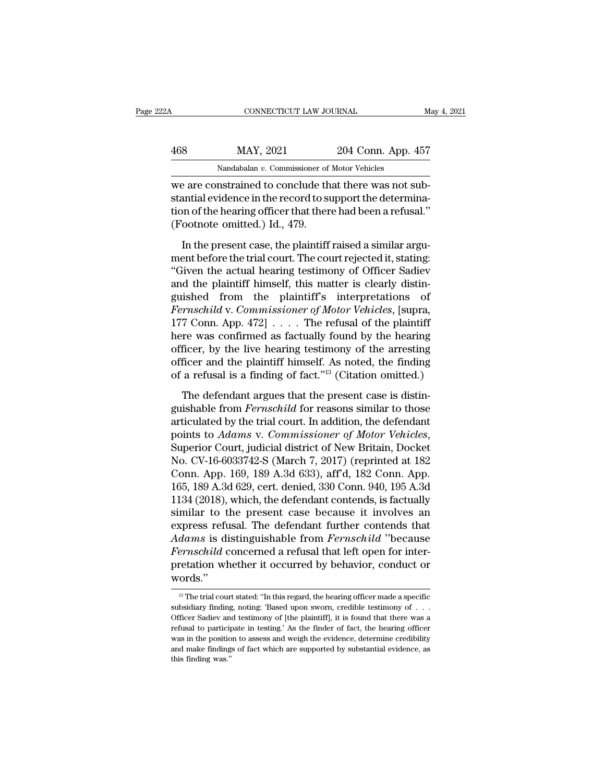|           | May 4, 2021                                                                                                                                             |
|-----------|---------------------------------------------------------------------------------------------------------------------------------------------------------|
| MAY, 2021 |                                                                                                                                                         |
|           |                                                                                                                                                         |
|           | CONNECTICUT LAW JOURNAL<br>204 Conn. App. 457<br>Nandabalan v. Commissioner of Motor Vehicles<br>we are constrained to conclude that there was not sub- |

CONNECTICUT LAW JOURNAL<br>
MAS MAY, 2021 204 Conn. App. 457<br>
Nandabalan v. Commissioner of Motor Vehicles<br>
We are constrained to conclude that there was not sub-<br>
stantial evidence in the record to support the determina-<br>
ti  $\begin{array}{lll} \text{468} & \text{MAX, } 2021 & \text{204 Conn. App. 457} \ \text{Nandabalan } v. & \text{Commissioner of Motor Vehicles} \ \text{we are constrained to conclude that there was not substantial evidence in the record to support the determination of the hearing officer that there had been a refusal.} \ \text{76.} & \text{77.} \ \text{78.} & \text{79.} \ \text{79.} & \text{70.} \ \text{70.} & \text{71.} \ \text{71.} & \text{72.} \ \text{73.} & \text{74.} \ \text{74.} & \text{75.} \ \text{75.$  $\frac{\text{MAX, 2021}}{\text{Nandabalan } v. \text{ Commissioner of Motor Vehicles}}$ <br>we are constrained to conclude that there was not substantial evidence in the record to support the determination of the hearing officer that there had been a refusal.''<br>(Footnote omit  $\frac{\text{MAX, 2021}}{\text{Nandabalan } v. \text{ Commissioner of}}$ <br>we are constrained to conclude the stantial evidence in the record to such to fthe hearing officer that then<br>(Footnote omitted.) Id., 479.<br>In the present case, the plaintiff Nandabalan v. Commissioner of Motor Vehicles<br>
2 are constrained to conclude that there was not sub-<br>
antial evidence in the record to support the determina-<br>
2 no of the hearing officer that there had been a refusal.<br>
2 no we are constrained to conclude that there was not substantial evidence in the record to support the determination of the hearing officer that there had been a refusal."<br>(Footnote omitted.) Id., 479.<br>In the present case, th

The actual evidence in the record to support the determination of the hearing officer that there had been a refusal."<br>
(Footnote omitted.) Id., 479.<br>
In the present case, the plaintiff raised a similar argument before the France is the plaintiff of the plaintiff in the present case, the plaintiff raised a similar argument before the trial court. The court rejected it, stating:<br>"Given the actual hearing testimony of Officer Sadiev and the p (Footnote omitted.) Id., 479.<br>
In the present case, the plaintiff raised a similar argument before the trial court. The court rejected it, stating:<br>
"Given the actual hearing testimony of Officer Sadiev<br>
and the plaintiff In the present case, the plaintiff raised a similar argument before the trial court. The court rejected it, stating:<br>
"Given the actual hearing testimony of Officer Sadiev<br>
and the plaintiff himself, this matter is clearly In the present case, the plaintiff raised a similar argument before the trial court. The court rejected it, stating:<br>
"Given the actual hearing testimony of Officer Sadiev<br>
and the plaintiff himself, this matter is clearl ment before the trial court. The court rejected it, stating:<br>
"Given the actual hearing testimony of Officer Sadiev<br>
and the plaintiff himself, this matter is clearly distinguished from the plaintiff's interpretations of<br> "Given the actual hearing testimony of Officer Sadiev<br>and the plaintiff himself, this matter is clearly distinguished from the plaintiff's interpretations of<br>*Fernschild* v. *Commissioner of Motor Vehicles*, [supra,<br>177 C and the plaintiff himself, this matter is clearly distinguished from the plaintiff's interpretations of *Fernschild* v. *Commissioner of Motor Vehicles*, [supra, 177 Conn. App. 472] . . . . The refusal of the plaintiff he guished from the plaintiff's interpretations of *Fernschild* v. *Commissioner of Motor Vehicles*, [supra, 177 Conn. App. 472]  $\ldots$ . The refusal of the plaintiff here was confirmed as factually found by the hearing office *Fernschild v. Commissioner of Motor Vehicles*, [supra, 177 Conn. App. 472]  $\ldots$ . The refusal of the plaintiff here was confirmed as factually found by the hearing officer, by the live hearing testimony of the arresting guishable from *Fernschild* for reasons similar to those

Fraction was continuous and the plantiff himself. As noted, the finding of a refusal is a finding of fact."<sup>13</sup> (Citation omitted.)<br>The defendant argues that the present case is distinguishable from *Fernschild* for reaso pointing the *Adams* of the Indian of a refusal is a finding of fact."<sup>13</sup> (Citation omitted.)<br>The defendant argues that the present case is distinguishable from *Fernschild* for reasons similar to those<br>articulated by the The defendant argues that the present case is distinguishable from *Fernschild* for reasons similar to those<br>articulated by the trial court. In addition, the defendant<br>points to *Adams* v. *Commissioner of Motor Vehicles*, The defendant argues that the present case is distinguishable from *Fernschild* for reasons similar to those articulated by the trial court. In addition, the defendant points to *Adams v. Commissioner of Motor Vehicles*, S guishable from *Fernschild* for reasons similar to those<br>articulated by the trial court. In addition, the defendant<br>points to Adams v. Commissioner of Motor Vehicles,<br>Superior Court, judicial district of New Britain, Docke articulated by the trial court. In addition, the defendant<br>points to Adams v. Commissioner of Motor Vehicles,<br>Superior Court, judicial district of New Britain, Docket<br>No. CV-16-6033742-S (March 7, 2017) (reprinted at 182<br>C points to *Adams* v. *Commissioner of Motor Vehicles*,<br>Superior Court, judicial district of New Britain, Docket<br>No. CV-16-6033742-S (March 7, 2017) (reprinted at 182<br>Conn. App. 169, 189 A.3d 633), aff'd, 182 Conn. App.<br>165 Superior Court, judicial district of New Britain, Docket<br>No. CV-16-6033742-S (March 7, 2017) (reprinted at 182<br>Conn. App. 169, 189 A.3d 633), aff'd, 182 Conn. App.<br>165, 189 A.3d 629, cert. denied, 330 Conn. 940, 195 A.3d<br>1 No. CV-16-6033742-S (March 7, 2017) (reprinted at 182<br>Conn. App. 169, 189 A.3d 633), aff<sup>7</sup>d, 182 Conn. App.<br>165, 189 A.3d 629, cert. denied, 330 Conn. 940, 195 A.3d<br>1134 (2018), which, the defendant contends, is factually Conn. App. 169, 189 A.3d 633), aff'd, 182 Conn. App. 165, 189 A.3d 629, cert. denied, 330 Conn. 940, 195 A.3d 1134 (2018), which, the defendant contends, is factually similar to the present case because it involves an expr 165, 189 A.3d 629, cert. denied, 330 Conn. 940, 195 A.3d<br>1134 (2018), which, the defendant contends, is factually<br>similar to the present case because it involves an<br>express refusal. The defendant further contends that<br>*Ada* words.'' *dams* is distinguishable from *Fernschild* "because<br>*ernschild* concerned a refusal that left open for inter-<br>retation whether it occurred by behavior, conduct or<br>ords."<br><sup>13</sup> The trial court stated: "In this regard, the h Fernschild concerned a refusal that left open for inter-<br>pretation whether it occurred by behavior, conduct or<br>words."<br><sup>13</sup> The trial court stated: "In this regard, the hearing officer made a specific<br>subsidiary finding, n

pretation whether it occurred by behavior, conduct or words."<br>
<sup>13</sup> The trial court stated: "In this regard, the hearing officer made a specific subsidiary finding, noting: 'Based upon sworn, credible testimony of . . . Of mords."<br>
<sup>13</sup> The trial court stated: "In this regard, the hearing officer made a specific<br>
subsidiary finding, noting: 'Based upon sworn, credible testimony of . . .<br>
Officer Sadiev and testimony of [the plaintiff], it is wortus.<br>
<sup>13</sup> The trial court stated: "In this regard, the hearing officer made a specific<br>
subsidiary finding, noting: 'Based upon sworn, credible testimony of  $\ldots$ <br>
Officer Sadiev and testimony of [the plaintiff], it i <sup>13</sup> The trial court stated: "In this regard, the hearing officer made a specific subsidiary finding, noting: 'Based upon sworn, credible testimony of  $\ldots$  Officer Sadiev and testimony of [the plaintiff], it is found tha subsidiary finding, noting: 'Based upon sworn, credible testimony of  $\ldots$  Officer Sadiev and testimony of [the plaintiff], it is found that there was a refusal to participate in testing.' As the finder of fact, the heari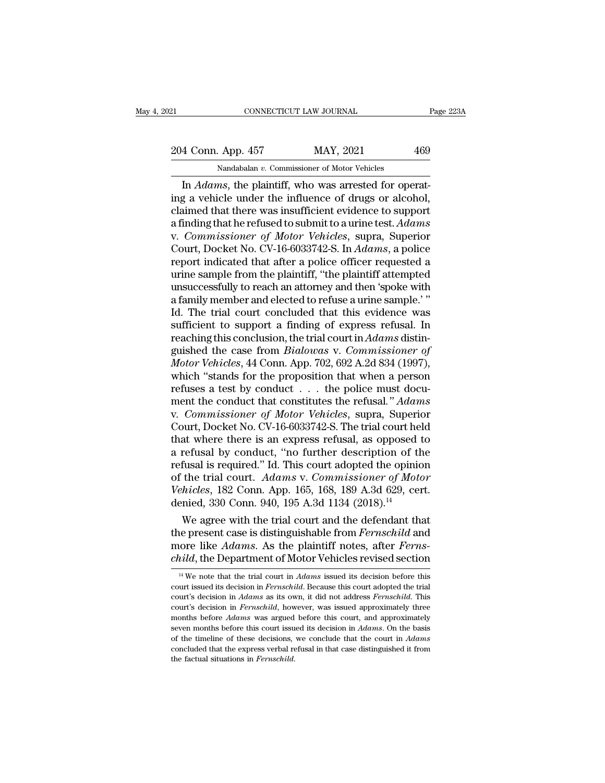21 CONNECTICUT LAW JOURNAL Page 223A<br>
204 Conn. App. 457 MAY, 2021 469<br>
Nandabalan v. Commissioner of Motor Vehicles

CONNECTICUT LAW JOURNAL<br>
App. 457 MAY, 2021<br>
Nandabalan *v.* Commissioner of Motor Vehicles<br>
ans the plaintiff who was arrested for one

CONNECTICUT LAW JOURNAL<br>
4 Conn. App. 457 MAY, 2021 469<br>
<sup>Nandabalan v. Commissioner of Motor Vehicles<br>
In *Adams*, the plaintiff, who was arrested for operat-<br>
g a vehicle under the influence of drugs or alcohol,<br>
pimed t</sup> 204 Conn. App. 457 MAY, 2021 469<br>
Nandabalan v. Commissioner of Motor Vehicles<br>
In *Adams*, the plaintiff, who was arrested for operating a vehicle under the influence of drugs or alcohol,<br>
claimed that there was insuffic 204 Conn. App. 457 MAY, 2021 469<br>
Nandabalan v. Commissioner of Motor Vehicles<br>
In *Adams*, the plaintiff, who was arrested for operat-<br>
ing a vehicle under the influence of drugs or alcohol,<br>
claimed that there was insuf 204 Conn. App. 457 MAY, 2021 469<br>
Nandabalan v. Commissioner of Motor Vehicles<br>
In *Adams*, the plaintiff, who was arrested for operat-<br>
ing a vehicle under the influence of drugs or alcohol,<br>
claimed that there was insuff Nandabalan v. Commissioner of Motor Vehicles<br>
In *Adams*, the plaintiff, who was arrested for operat-<br>
ing a vehicle under the influence of drugs or alcohol,<br>
claimed that there was insufficient evidence to support<br>
a find Nandabalan v. Commissioner of Motor Vehicles<br>In *Adams*, the plaintiff, who was arrested for operat-<br>ing a vehicle under the influence of drugs or alcohol,<br>claimed that there was insufficient evidence to support<br>a finding In *Adams*, the plaintiff, who was arrested for operating a vehicle under the influence of drugs or alcohol, claimed that there was insufficient evidence to support a finding that he refused to submit to a urine test. *Ada* ing a vehicle under the influence of drugs or alcohol,<br>claimed that there was insufficient evidence to support<br>a finding that he refused to submit to a urine test. Adams<br>v. Commissioner of Motor Vehicles, supra, Superior<br>C claimed that there was insufficient evidence to support<br>a finding that he refused to submit to a urine test. Adams<br>v. Commissioner of Motor Vehicles, supra, Superior<br>Court, Docket No. CV-16-6033742-S. In Adams, a police<br>re a finding that he refused to submit to a urine test. Adams<br>v. Commissioner of Motor Vehicles, supra, Superior<br>Court, Docket No. CV-16-6033742-S. In Adams, a police<br>report indicated that after a police officer requested a<br>u v. *Commissioner of Motor Vehicles*, supra, Superior<br>Court, Docket No. CV-16-6033742-S. In *Adams*, a police<br>report indicated that after a police officer requested a<br>urine sample from the plaintiff, "the plaintiff attempte Court, Docket No. CV-16-6033742-S. In *Adams*, a police<br>report indicated that after a police officer requested a<br>urine sample from the plaintiff, "the plaintiff attempted<br>unsuccessfully to reach an attorney and then 'spok report indicated that after a police officer requested a<br>urine sample from the plaintiff, "the plaintiff attempted<br>unsuccessfully to reach an attorney and then 'spoke with<br>a family member and elected to refuse a urine samp urine sample from the plaintiff, "the plaintiff attempted<br>unsuccessfully to reach an attorney and then 'spoke with<br>a family member and elected to refuse a urine sample.'"<br>Id. The trial court concluded that this evidence wa unsuccessfully to reach an attorney and then 'spoke with<br>a family member and elected to refuse a urine sample.'"<br>Id. The trial court concluded that this evidence was<br>sufficient to support a finding of express refusal. In<br>r a family member and elected to refuse a urine sample.'"<br>Id. The trial court concluded that this evidence was<br>sufficient to support a finding of express refusal. In<br>reaching this conclusion, the trial court in Adams distin-Id. The trial court concluded that this evidence was sufficient to support a finding of express refusal. In reaching this conclusion, the trial court in *Adams* distinguished the case from *Bialowas* v. *Commissioner of M* sufficient to support a finding of express refusal. In reaching this conclusion, the trial court in *Adams* distinguished the case from *Bialowas* v. *Commissioner of Motor Vehicles*, 44 Conn. App. 702, 692 A.2d 834 (1997) reaching this conclusion, the trial court in *Adams* distinguished the case from *Bialowas* v. *Commissioner of Motor Vehicles*, 44 Conn. App. 702, 692 A.2d 834 (1997), which "stands for the proposition that when a perso guished the case from *Bialowas v. Commissioner of*<br>Motor Vehicles, 44 Conn. App. 702, 692 A.2d 834 (1997),<br>which "stands for the proposition that when a person<br>refuses a test by conduct . . . the police must docu-<br>ment th Motor Vehicles, 44 Conn. App. 702, 692 A.2d 834 (1997),<br>which "stands for the proposition that when a person<br>refuses a test by conduct . . . the police must docu-<br>ment the conduct that constitutes the refusal."  $Adams$ <br>v. Co which "stands for the proposition that when a person<br>refuses a test by conduct . . . the police must docu-<br>ment the conduct that constitutes the refusal." Adams<br>v. Commissioner of Motor Vehicles, supra, Superior<br>Court, Do refuses a test by conduct . . . the police must document the conduct that constitutes the refusal." Adams<br>v. Commissioner of Motor Vehicles, supra, Superior<br>Court, Docket No. CV-16-6033742-S. The trial court held<br>that wher ment the conduct that constitutes the refusal." *Adams* v. *Commissioner of Motor Vehicles*, supra, Superior Court, Docket No. CV-16-6033742-S. The trial court held that where there is an express refusal, as opposed to a r *v. Commissioner of Motor Vehicles*, supra, Superior Court, Docket No. CV-16-6033742-S. The trial court held that where there is an express refusal, as opposed to a refusal by conduct, "no further description of the refusa Court, Docket No. CV-16-6033742-S. The trial court held<br>that where there is an express refusal, as opposed to<br>a refusal by conduct, "no further description of the<br>refusal is required." Id. This court adopted the opinion<br>o at where there is an express refusal, as opposed to<br>refusal by conduct, "no further description of the<br>fusal is required." Id. This court adopted the opinion<br>the trial court. Adams v. Commissioner of Motor<br>hicles, 182 Con a rerusal by conduct, "no further description of the<br>refusal is required." Id. This court adopted the opinion<br>of the trial court. Adams v. Commissioner of Motor<br>Vehicles, 182 Conn. App. 165, 168, 189 A.3d 629, cert.<br>denied

refusal is required." Id. This court adopted the opinion<br>of the trial court. Adams v. Commissioner of Motor<br>Vehicles, 182 Conn. App. 165, 168, 189 A.3d 629, cert.<br>denied, 330 Conn. 940, 195 A.3d 1134 (2018).<sup>14</sup><br>We agree w of the trial court. Adams v. Commissioner of Motor<br>Vehicles, 182 Conn. App. 165, 168, 189 A.3d 629, cert.<br>denied, 330 Conn. 940, 195 A.3d 1134 (2018).<sup>14</sup><br>We agree with the trial court and the defendant that<br>the present ca We agree with the trial court and the defendant that<br>he present case is distinguishable from *Fernschild* and<br>ore like *Adams*. As the plaintiff notes, after *Ferns-*<br>*aild*, the Department of Motor Vehicles revised sectio the present case is distinguishable from *Fernschild* and<br>more like *Adams*. As the plaintiff notes, after *Ferns-*<br>*child*, the Department of Motor Vehicles revised section<br><sup>14</sup> We note that the trial court in *Adams* iss

more like *Adams*. As the plaintiff notes, after *Ferns-child*, the Department of Motor Vehicles revised section  $\frac{14 \text{ We}}{4}$  we note that the trial court in *Adams* issued its decision before this court issued its dec child, the Department of Motor Vehicles revised section<br><sup>14</sup> We note that the trial court in *Adams* issued its decision before this<br>court issued its decision in *Fernschild*. Because this court adopted the trial<br>court's d *Mutu*, the Department of MOtor venicies revised section<br><sup>14</sup> We note that the trial court in *Adams* issued its decision before this<br>court issued its decision in *Fernschild*. Because this court adopted the trial<br>court's <sup>14</sup> We note that the trial court in *Adams* issued its decision before this court issued its decision in *Adams* as its own, it did not address *Fernschild*. This court's decision in *Adams* as its own, it did not addres court issued its decision in *Fernschild*. Because this court adopted the trial court's decision in *Adams* as its own, it did not address *Fernschild*. This court's decision in *Adams* as its own, it did not address *Fern* court's decision in *Adams* as its own, it did not address *Fernschild*. This court's decision in *Adams* as its own, it did not address *Fernschild*. This court's decision in *Fernschild*, however, was issued approximatel court's decision in *Fernschild*, however, was issued approximately three months before  $Adams$  was argued before this court, and approximately seven months before this court issued its decision in  $Adams$ . On the basis of the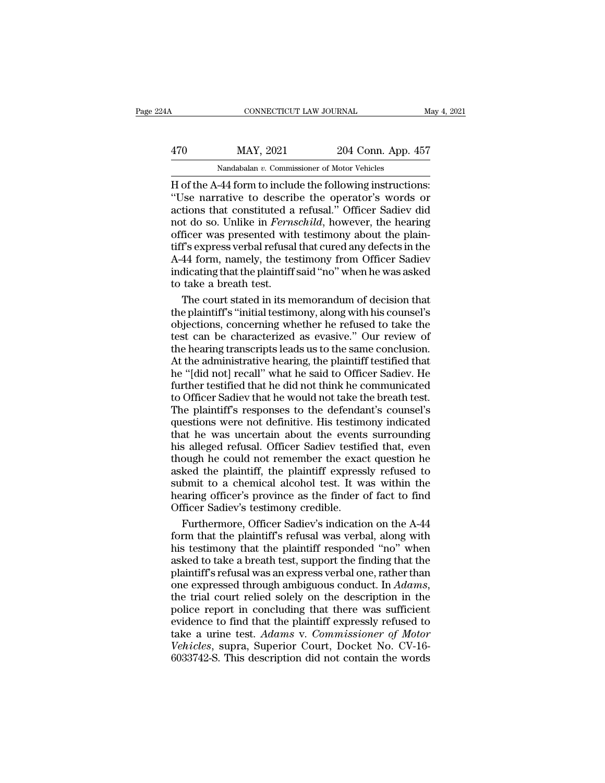### CONNECTICUT LAW JOURNAL May 4, 2021<br>470 MAY, 2021 204 Conn. App. 457<br>Nandabalan v. Commissioner of Motor Vehicles CONNECTICUT LAW JOURNAL<br>MAY, 2021 204 Conn. App. 4<br>Nandabalan *v.* Commissioner of Motor Vehicles<br>-44 form to include the following instruction

CONNECTICUT LAW JOURNAL May 4, 2<br>
470 MAY, 2021 204 Conn. App. 457<br>
Nandabalan v. Commissioner of Motor Vehicles<br>
H of the A-44 form to include the following instructions:<br>
"Use narrative to describe the operator's words o MAY, 2021 204 Conn. App. 457<br>
Mandabalan v. Commissioner of Motor Vehicles<br>
H of the A-44 form to include the following instructions:<br>
"Use narrative to describe the operator's words or<br>
actions that constituted a refusal.  $\frac{\text{MAX, 2021}}{\text{Nandabalan } v \cdot \text{Commissioner of Motor Vehicles}}$ <br>
H of the A-44 form to include the following instructions:<br>
"Use narrative to describe the operator's words or actions that constituted a refusal." Officer Sadiev did not do so. Unlik 170 MAY, 2021 204 Conn. App. 457<br>
Nandabalan v. Commissioner of Motor Vehicles<br>
H of the A-44 form to include the following instructions:<br>
"Use narrative to describe the operator's words or<br>
actions that constituted a refu Mandabalan v. Commissioner of Motor Vehicles<br>
H of the A-44 form to include the following instructions:<br>
"Use narrative to describe the operator's words or<br>
actions that constituted a refusal." Officer Sadiev did<br>
not do Nandabalan v. Commissioner of Motor Vehicles<br>
H of the A-44 form to include the following instructions:<br>
"Use narrative to describe the operator's words or<br>
actions that constituted a refusal." Officer Sadiev did<br>
not do H of the A-44 form to include the following instructions:<br>"Use narrative to describe the operator's words or<br>actions that constituted a refusal." Officer Sadiev did<br>not do so. Unlike in *Fernschild*, however, the hearing<br>o "Use narrative to describe the operator's words or actions that constituted a refusal." Officer Sadiev did not do so. Unlike in *Fernschild*, however, the hearing officer was presented with testimony about the plaintiff's actions that constituted a<br>not do so. Unlike in *Ferns*<br>officer was presented with<br>tiff's express verbal refusal<br>A-44 form, namely, the tes<br>indicating that the plaintiff<br>to take a breath test.<br>The court stated in its m t do so. Unlike in *Fernschild*, however, the hearing<br>ficer was presented with testimony about the plain-<br>f's express verbal refusal that cured any defects in the<br>44 form, namely, the testimony from Officer Sadiev<br>dicating officer was presented with testimony about the plain-<br>tiff's express verbal refusal that cured any defects in the<br>A-44 form, namely, the testimony from Officer Sadiev<br>indicating that the plaintiff said "no" when he was ask

tiff's express verbal refusal that cured any defects in the<br>A-44 form, namely, the testimony from Officer Sadiev<br>indicating that the plaintiff said "no" when he was asked<br>to take a breath test.<br>The court stated in its memo A-44 form, namely, the testimony from Officer Sadiev<br>indicating that the plaintiff said "no" when he was asked<br>to take a breath test.<br>The court stated in its memorandum of decision that<br>the plaintiff's "initial testimony, indicating that the plaintiff said "no" when he was asked<br>to take a breath test.<br>The court stated in its memorandum of decision that<br>the plaintiff's "initial testimony, along with his counsel's<br>objections, concerning wheth to take a breath test.<br>The court stated in its memorandum of decision that<br>the plaintiff's "initial testimony, along with his counsel's<br>objections, concerning whether he refused to take the<br>test can be characterized as eva The court stated in its memorandum of decision that<br>the plaintiff's "initial testimony, along with his counsel's<br>objections, concerning whether he refused to take the<br>test can be characterized as evasive." Our review of<br>th furthermal intertions, concerning whether he refused to take the test can be characterized as evasive." Our review of the hearing transcripts leads us to the same conclusion. At the administrative hearing, the plaintiff te The plantary of the content of the refused to take the test can be characterized as evasive." Our review of the hearing transcripts leads us to the same conclusion. At the administrative hearing, the plaintiff testified th Experiency, enterting whence the state of the defect can be characterized as evasive." Our review of the hearing transcripts leads us to the same conclusion. At the administrative hearing, the plaintiff testified that he " the hearing transcripts leads us to the same conclusion.<br>At the administrative hearing, the plaintiff testified that<br>he "[did not] recall" what he said to Officer Sadiev. He<br>further testified that he did not think he commu At the administrative hearing, the plaintiff testified that<br>he "[did not] recall" what he said to Officer Sadiev. He<br>further testified that he did not think he communicated<br>to Officer Sadiev that he would not take the brea For "[did not] recall" what he said to Officer Sadiev. He<br>further testified that he did not think he communicated<br>to Officer Sadiev that he would not take the breath test.<br>The plaintiff's responses to the defendant's couns The test interest and the communicated to Officer Sadiev that he did not think he communicated to Officer Sadiev that he would not take the breath test.<br>The plaintiff's responses to the defendant's counsel's questions were Fraction Statistics that the would not take the breath test.<br>The plaintiff's responses to the defendant's counsel's<br>questions were not definitive. His testimony indicated<br>that he was uncertain about the events surrounding<br> submit the model of anti-state and solutions of the plaintiff's responses to the defendant's counsel's questions were not definitive. His testimony indicated that he was uncertain about the events surrounding his alleged r Frame Pranchia Proposition. His testimony indicated<br>questions were not definitive. His testimony indicated<br>that he was uncertain about the events surrounding<br>his alleged refusal. Officer Sadiev testified that, even<br>though That he was uncertain about the events<br>his alleged refusal. Officer Sadiev testific<br>though he could not remember the exace<br>asked the plaintiff, the plaintiff express<br>submit to a chemical alcohol test. It w<br>hearing officer' is alleged refusal. Officer Sadiev testified that, even<br>ough he could not remember the exact question he<br>ked the plaintiff, the plaintiff expressly refused to<br>bmit to a chemical alcohol test. It was within the<br>aring office though he could not remember the exact question he<br>asked the plaintiff, the plaintiff expressly refused to<br>submit to a chemical alcohol test. It was within the<br>hearing officer's province as the finder of fact to find<br>Offic

asked the plaintiff, the plaintiff expressly refused to<br>submit to a chemical alcohol test. It was within the<br>hearing officer's province as the finder of fact to find<br>Officer Sadiev's testimony credible.<br>Furthermore, Office submit to a chemical alcohol test. It was within the<br>hearing officer's province as the finder of fact to find<br>Officer Sadiev's testimony credible.<br>Furthermore, Officer Sadiev's indication on the A-44<br>form that the plaintif hearing officer's province as the finder of fact to find<br>Officer Sadiev's testimony credible.<br>Furthermore, Officer Sadiev's indication on the A-44<br>form that the plaintiff's refusal was verbal, along with<br>his testimony that Officer Sadiev's testimony credible.<br>Furthermore, Officer Sadiev's indication on the A-44<br>form that the plaintiff's refusal was verbal, along with<br>his testimony that the plaintiff responded "no" when<br>asked to take a breath Form that the plaintiff's refusal was verbal, along with<br>his testimony that the plaintiff responded "no" when<br>asked to take a breath test, support the finding that the<br>plaintiff's refusal was an express verbal one, rather Followish that the plaintiff responded "no" when<br>asked to take a breath test, support the finding that the<br>plaintiff's refusal was an express verbal one, rather than<br>one expressed through ambiguous conduct. In *Adams*,<br>th the session of the plantin Tesponded The Which<br>asked to take a breath test, support the finding that the<br>plaintiff's refusal was an express verbal one, rather than<br>one expressed through ambiguous conduct. In *Adams*,<br>the t **VERTUAL WARES, Example 2018 and the plaintiff's refusal was an express verbal one, rather than one expressed through ambiguous conduct. In** *Adams***, the trial court relied solely on the description in the police report in** France expressed through ambiguous conduct. In *Adams*, the trial court relied solely on the description in the police report in concluding that there was sufficient evidence to find that the plaintiff expressly refused to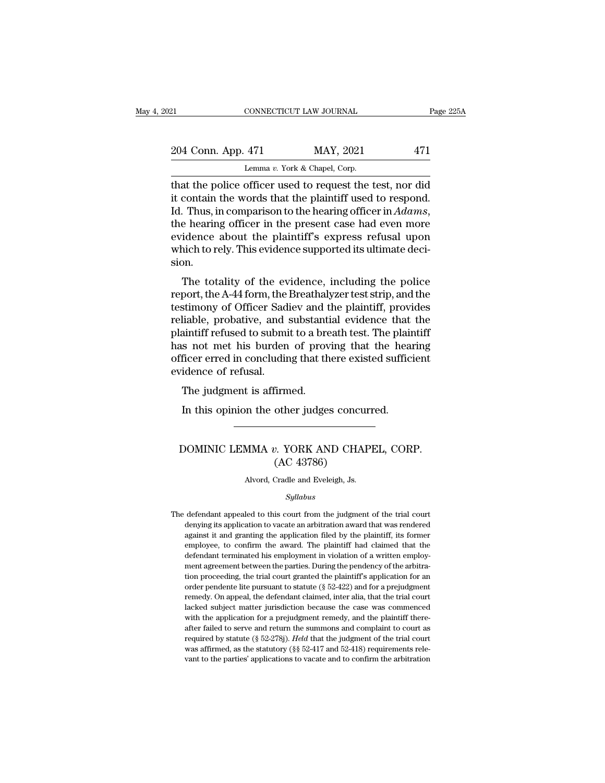| 21 |                    | CONNECTICUT LAW JOURNAL                                  | Page 225A |
|----|--------------------|----------------------------------------------------------|-----------|
|    |                    |                                                          |           |
|    | 204 Conn. App. 471 | MAY, 2021                                                | 471       |
|    |                    | Lemma v. York & Chapel, Corp.                            |           |
|    |                    | that the police officer used to request the test nor did |           |

CONNECTICUT LAW JOURNAL Page 225A<br>
204 Conn. App. 471 MAY, 2021 471<br>
Lemma v. York & Chapel, Corp.<br>
that the police officer used to request the test, nor did<br>
it contain the words that the plaintiff used to respond.<br>
Id. T 204 Conn. App. 471 MAY, 2021 471<br>
Lemma v. York & Chapel, Corp.<br>
that the police officer used to request the test, nor did<br>
it contain the words that the plaintiff used to respond.<br>
Id. Thus, in comparison to the hearing 204 Conn. App. 471 MAY, 2021 471<br>
Lemma v. York & Chapel, Corp.<br>
that the police officer used to request the test, nor did<br>
it contain the words that the plaintiff used to respond.<br>
Id. Thus, in comparison to the hearing o Lemma v. York & Chapel, Corp.<br>
that the police officer used to request the test, nor did<br>
it contain the words that the plaintiff used to respond.<br>
Id. Thus, in comparison to the hearing officer in *Adams*,<br>
the hearing o Lemma v. York & Chapel, Corp.<br>
that the police officer used to request the test, nor did<br>
it contain the words that the plaintiff used to respond.<br>
Id. Thus, in comparison to the hearing officer in  $Adams$ ,<br>
the hearing offi sion. Thus, in comparison to the hearing officer in  $Adams$ ,<br>e hearing officer in the present case had even more<br>idence about the plaintiff's express refusal upon<br>uich to rely. This evidence supported its ultimate deci-<br>on.<br>The to report, the hearing officer in the present case had even more<br>evidence about the plaintiff's express refusal upon<br>which to rely. This evidence supported its ultimate deci-<br>sion.<br>The totality of the evidence, including the

the hearing officer in the present case had even more<br>evidence about the plaintiff's express refusal upon<br>which to rely. This evidence supported its ultimate deci-<br>sion.<br>The totality of the evidence, including the police<br>r revidence about the plaintiff s express refusar upon<br>which to rely. This evidence supported its ultimate deci-<br>sion.<br>The totality of the evidence, including the police<br>report, the A-44 form, the Breathalyzer test strip, an metric forcy. This evidence supported its diffinate decision.<br>The totality of the evidence, including the police<br>report, the A-44 form, the Breathalyzer test strip, and the<br>testimony of Officer Sadiev and the plaintiff, pr The totality of the evidence, including the police<br>report, the A-44 form, the Breathalyzer test strip, and the<br>testimony of Officer Sadiev and the plaintiff, provides<br>reliable, probative, and substantial evidence that the<br> The totality of the evidence, including the police<br>report, the A-44 form, the Breathalyzer test strip, and the<br>testimony of Officer Sadiev and the plaintiff, provides<br>reliable, probative, and substantial evidence that the<br> report, the A-44 form, the<br>testimony of Officer Sad<br>reliable, probative, and<br>plaintiff refused to submi<br>has not met his burden<br>officer erred in concludir<br>evidence of refusal.<br>The judgment is affirm Examoly of Officer Badley and the<br>liable, probative, and substantiant<br>intiff refused to submit to a brease not met his burden of prove<br>ficer erred in concluding that the<br>idence of refusal.<br>The judgment is affirmed.<br>In this Number is a breath test. The plair is not met his burden of proving that the head<br>ficer erred in concluding that there existed sufficience of refusal.<br>The judgment is affirmed.<br>In this opinion the other judges concurred.

### %<br>
idence of refusal.<br>
The judgment is affirmed.<br>
In this opinion the other judges concurred.<br>
DOMINIC LEMMA *v*. YORK AND CHAPEL, CORP.<br>
(AC 43786) firmed.<br>
other judges concu<br>
2. YORK AND CHA<br>
(AC 43786)<br>
Cradle and Eveleigh, Js. DOMINIC LEMMA  $v$ . YORK AND CHAPEL, CORP.<br>(AC 43786)<br>Alvord, Cradle and Eveleigh, Js.

### *Syllabus*

 $\rm (AC~43786)$ <br>Alvord, Cradle and Eveleigh, Js.<br> $Syllabus$ <br>The defendant appealed to this court from the judgment of the trial court<br>denying its application to vacate an arbitration award that was rendered Alvord, Cradle and Eveleigh, Js.<br> *Syllabus*<br>
defendant appealed to this court from the judgment of the trial court<br>
denying its application to vacate an arbitration award that was rendered<br>
against it and granting the app Alvord, Cradle and Eveleigh, Js.<br> *Syllabus*<br>
defendant appealed to this court from the judgment of the trial court<br>
denying its application to vacate an arbitration award that was rendered<br>
against it and granting the app  $Syllabus$ <br>defendant appealed to this court from the judgment of the trial court<br>denying its application to vacate an arbitration award that was rendered<br>against it and granting the application filed by the plaintiff, its form *Syltabus*<br>defendant appealed to this court from the judgment of the trial court<br>denying its application to vacate an arbitration award that was rendered<br>against it and granting the application filed by the plaintiff, its defendant appealed to this court from the judgment of the trial court<br>denying its application to vacate an arbitration award that was rendered<br>against it and granting the application filed by the plaintiff, its former<br>empl denying its application to vacate an arbitration award that was rendered against it and granting the application filed by the plaintiff, its former employee, to confirm the award. The plaintiff had claimed that the defend against it and granting the application filed by the plaintiff, its former employee, to confirm the award. The plaintiff had claimed that the defendant terminated his employment in violation of a written employment agreem employee, to confirm the award. The plaintiff had claimed that the defendant terminated his employment in violation of a written employment agreement between the parties. During the pendency of the arbitration proceeding, defendant terminated his employment in violation of a written employment agreement between the parties. During the pendency of the arbitration proceeding, the trial court granted the plaintiff's application for an order pe ment agreement between the parties. During the pendency of the arbitration proceeding, the trial court granted the plaintiff's application for an order pendente lite pursuant to statute ( $\S$  52-422) and for a prejudgment after failed to serve and return the summons and complaint of the trial court proceeding, the trial court granted the plaintiff's application for an order pendente lite pursuant to statute (§ 52-422) and for a prejudgment order pendente lite pursuant to statute (§ 52-422) and for a prejudgment remedy. On appeal, the defendant claimed, inter alia, that the trial court lacked subject matter jurisdiction because the case was commenced with th remedy. On appeal, the defendant claimed, inter alia, that the trial court lacked subject matter jurisdiction because the case was commenced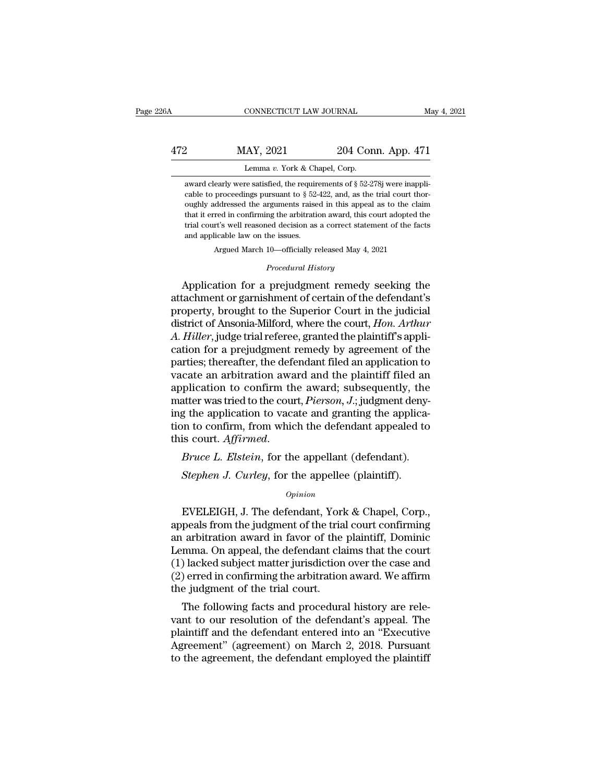### CONNECTICUT LAW JOURNAL May 4, 2021<br>472 MAY, 2021 204 Conn. App. 471<br>Lemma v. York & Chapel, Corp. CONNECTICUT LAW JOURNAL<br>LAY, 2021 204 Cor<br>Lemma *v.* York & Chapel, Corp.<br>re satisfied, the requirements of § 52-2 204 Conn. App. 471<br>Lemma v. York & Chapel, Corp.<br>award clearly were satisfied, the requirements of § 52-278j were inappli-<br>cable to proceedings pursuant to § 52-422, and, as the trial court thor-

Cable to proceedings pursuant to § 52-422, and, as the trial court thor-<br>cable to proceedings pursuant to § 52-422, and, as the trial court thor-<br>oughly addressed the arguments raised in this appeal as to the claim MAY, 2021 204 Conn. App. 471<br>Lemma v. York & Chapel, Corp.<br>award clearly were satisfied, the requirements of § 52-278j were inappli-<br>cable to proceedings pursuant to § 52-422, and, as the trial court thor-<br>oughly addresse Lemma v. York & Chapel, Corp.<br>
award clearly were satisfied, the requirements of § 52-278j were inappli-<br>
cable to proceedings pursuant to § 52-422, and, as the trial court thor-<br>
oughly addressed the arguments raised in Lemma v. York & Chapel, Corp.<br>award clearly were satisfied, the requirements of  $\S$  52-278j were inappli-<br>cable to proceedings pursuant to  $\S$  52-422, and, as the trial court thor-<br>oughly addressed the arguments raised in award clearly were satisfied, the require<br>cable to proceedings pursuant to  $\S$  52-<br>oughly addressed the arguments raise<br>that it erred in confirming the arbitration<br>trial court's well reasoned decision as<br>and applicable la % cable to proceedings pursuant to  $\S$  52-422, and, as the trial court thoroughly addressed the arguments raised in this appeal as to the claim that it erred in confirming the arbitration award, this court adopted the tri oughly addressed the arguments raised in this appeal as to the claim<br>that it erred in confirming the arbitration award, this court adopted the<br>trial court's well reasoned decision as a correct statement of the facts<br>and ap

Argued March 10—officially released May 4, 2021<br>*Procedural History*<br>Application for a prejudgment remedy seeking the at a tered in comming the abutation award, this court adopted the<br>trial court's well reasoned decision as a correct statement of the facts<br>and applicable law on the issues.<br>Argued March 10—officially released May 4, 2021<br>P and applicable law on the issues.<br>Argued March 10—officially released May 4, 2021<br>*Procedural History*<br>Application for a prejudgment remedy seeking the<br>attachment or garnishment of certain of the defendant's<br>property, brou Argued March 10—officially released May 4, 2021<br> *Procedural History*<br> **Application for a prejudgment remedy seeking the<br>
attachment or garnishment of certain of the defendant's<br>
property, brought to the Superior Court in** *Procedural History*<br>
Application for a prejudgment remedy seeking the<br>
attachment or garnishment of certain of the defendant's<br>
property, brought to the Superior Court in the judicial<br>
district of Ansonia-Milford, where t *Procedural History*<br>Application for a prejudgment remedy seeking the<br>attachment or garnishment of certain of the defendant's<br>property, brought to the Superior Court in the judicial<br>district of Ansonia-Milford, where the c Application for a prejudgment remedy seeking the<br>attachment or garnishment of certain of the defendant's<br>property, brought to the Superior Court in the judicial<br>district of Ansonia-Milford, where the court, *Hon. Arthur*<br>A attachment or garnishment of certain of the defendant's<br>property, brought to the Superior Court in the judicial<br>district of Ansonia-Milford, where the court, *Hon. Arthur*<br>A. *Hiller*, judge trial referee, granted the plai property, brought to the Superior Court in the judicial<br>district of Ansonia-Milford, where the court, *Hon. Arthur*<br>A. *Hiller*, judge trial referee, granted the plaintiff's appli-<br>cation for a prejudgment remedy by agreem district of Ansonia-Milford, where the court, *Hon. Arthur A. Hiller*, judge trial referee, granted the plaintiff's application for a prejudgment remedy by agreement of the parties; thereafter, the defendant filed an app A. Hiller, judge trial referee, granted the plaintiff's application for a prejudgment remedy by agreement of the parties; thereafter, the defendant filed an application to vacate an arbitration award and the plaintiff fil cation for a prejudgment remedy by agreement of the<br>parties; thereafter, the defendant filed an application to<br>vacate an arbitration award and the plaintiff filed an<br>application to confirm the award; subsequently, the<br>matt parties; thereafter, the defendant filed an application to vacate an arbitration award and the plaintiff filed an application to confirm the award; subsequently, the matter was tried to the court, *Pierson*, *J*.; judgment Atter was tried to the court, *Pierson*, *J*.; judgment deny<br> *Stephen in to confirm, from which the defendant appealed to<br>
<i>Stephen J. Curley, for the appellant (defendant).*<br> *Stephen J. Curley, for the appellee (plainti* 

### *Opinion*

EVELEIGH, J. The defendant, York & Chapel, Corp.,<br>
Frace L. Elstein, for the appellant (defendant).<br>
Stephen J. Curley, for the appellee (plaintiff).<br>
Opinion<br>
EVELEIGH, J. The defendant, York & Chapel, Corp.,<br>
peals from Bruce L. Elstein, for the appellant (defendant).<br>
Stephen J. Curley, for the appellee (plaintiff).<br>
opinion<br>
EVELEIGH, J. The defendant, York & Chapel, Corp.,<br>
appeals from the judgment of the trial court confirming<br>
an ar *Bruce L. Elstern*, for the appellant (defendant).<br> *Stephen J. Curley*, for the appellee (plaintiff).<br>  $\frac{opinion}{D}$ <br>
EVELEIGH, J. The defendant, York & Chapel, Corp.,<br>
appeals from the judgment of the trial court confirmin Stephen J. Curley, for the appellee (plaintiff).<br>
opinion<br>
EVELEIGH, J. The defendant, York & Chapel, Corp.,<br>
appeals from the judgment of the trial court confirming<br>
an arbitration award in favor of the plaintiff, Dominic Opinion<br>
Copinion<br>
EVELEIGH, J. The defendant, York & Chapel, Corp.,<br>
appeals from the judgment of the trial court confirming<br>
an arbitration award in favor of the plaintiff, Dominic<br>
Lemma. On appeal, the defendant claims Uppear Comparison<br>
EVELEIGH, J. The defendant, York & Chapel, Corp.,<br>
appeals from the judgment of the trial court confirming<br>
an arbitration award in favor of the plaintiff, Dominic<br>
Lemma. On appeal, the defendant claims EVELEIGH, J. The defendant, Yorlappeals from the judgment of the tria<br>an arbitration award in favor of the<br>Lemma. On appeal, the defendant cla<br>(1) lacked subject matter jurisdiction<br>(2) erred in confirming the arbitration<br> pears from the judgment of the trial court commiting<br>arbitration award in favor of the plaintiff, Dominic<br>mma. On appeal, the defendant claims that the court<br>) lacked subject matter jurisdiction over the case and<br>) erred i an arontration award in favor of the plaintin, Dominic<br>Lemma. On appeal, the defendant claims that the court<br>(1) lacked subject matter jurisdiction over the case and<br>(2) erred in confirming the arbitration award. We affirm

Leninia. On appear, the defendant claims that the court<br>
(1) lacked subject matter jurisdiction over the case and<br>
(2) erred in confirming the arbitration award. We affirm<br>
the judgment of the trial court.<br>
The following f (1) facked subject matter jurisuit for over the case and<br>(2) erred in confirming the arbitration award. We affirm<br>the judgment of the trial court.<br>The following facts and procedural history are rele-<br>vant to our resolution ( $2$ ) erred in commining the arbitration award. We ariffit<br>the judgment of the trial court.<br>The following facts and procedural history are rele-<br>vant to our resolution of the defendant's appeal. The<br>plaintiff and the defe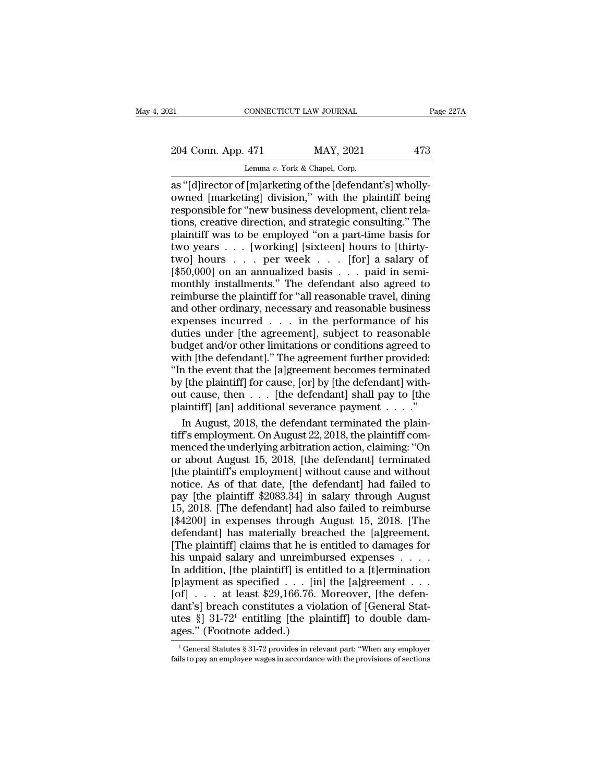21 CONNECTICUT LAW JOURNAL Page 227A<br>
204 Conn. App. 471 MAY, 2021 473<br>
Lemma v. York & Chapel, Corp.

CONNECTICUT LAW JOURNAL<br>
204 Conn. App. 471 MAY, 2021 473<br>
Lemma *v*. York & Chapel, Corp.<br>
as "[d]irector of [m]arketing of the [defendant's] whollycONNECTICUT LAW JOURNAL<br>
204 Conn. App. 471 MAY, 2021 473<br>
Lemma v. York & Chapel, Corp.<br>
as "[d]irector of [m]arketing of the [defendant's] wholly-<br>
owned [marketing] division," with the plaintiff being<br>
responsible for " 204 Conn. App. 471 MAY, 2021 473<br>
Lemma v. York & Chapel, Corp.<br>
as "[d]irector of [m]arketing of the [defendant's] wholly-<br>
owned [marketing] division," with the plaintiff being<br>
responsible for "new business development, 204 Conn. App. 471 MAY, 2021 473<br>
Lemma v. York & Chapel, Corp.<br>
as "[d]irector of [m]arketing of the [defendant's] wholly-<br>
owned [marketing] division," with the plaintiff being<br>
responsible for "new business development 204 Conn. App. 471 MAY, 2021 473<br>
Lemma v. York & Chapel, Corp.<br>
as "[d]irector of [m]arketing of the [defendant's] wholly-<br>
owned [marketing] division," with the plaintiff being<br>
responsible for "new business development Lemma v. York & Chapel, Corp.<br>
Lemma v. York & Chapel, Corp.<br>
as "[d]irector of [m]arketing of the [defendant's] wholly-<br>
owned [marketing] division," with the plaintiff being<br>
responsible for "new business development, c Lemma v. York & Chapel, Corp.<br>
as "[d]irector of [m]arketing of the [defendant's] wholly-<br>
owned [marketing] division," with the plaintiff being<br>
responsible for "new business development, client rela-<br>
tions, creative di as "[d]irector of [m]arketing of the [defendant's] wholly-<br>owned [marketing] division," with the plaintiff being<br>responsible for "new business development, client rela-<br>tions, creative direction, and strategic consulting." owned [marketing] division," with the plaintiff being<br>responsible for "new business development, client rela-<br>tions, creative direction, and strategic consulting." The<br>plaintiff was to be employed "on a part-time basis fo responsible for "new business development, client rela-<br>tions, creative direction, and strategic consulting." The<br>plaintiff was to be employed "on a part-time basis for<br>two years  $\ldots$  [working] [sixteen] hours to [thirty tions, creative direction, and strategic consulting." The<br>plaintiff was to be employed "on a part-time basis for<br>two years  $\ldots$  [working] [sixteen] hours to [thirty-<br>two] hours  $\ldots$  per week  $\ldots$  [for] a salary of<br>[\$50 plaintiff was to be employed "on a part-time basis for<br>two years  $\ldots$  [working] [sixteen] hours to [thirty-<br>two] hours  $\ldots$  per week  $\ldots$  [for] a salary of<br>[\$50,000] on an annualized basis  $\ldots$  paid in semi-<br>monthly i two years . . . [working] [sixteen] hours to [thirty-<br>two] hours . . . per week . . . [for] a salary of<br>[\$50,000] on an annualized basis . . . paid in semi-<br>monthly installments." The defendant also agreed to<br>reimburse th two] hours . . . per week . . . [for] a salary of<br>[\$50,000] on an annualized basis . . . paid in semi-<br>monthly installments." The defendant also agreed to<br>reimburse the plaintiff for "all reasonable travel, dining<br>and oth [ $$50,000$ ] on an annualized basis . . . paid in semi-<br>monthly installments." The defendant also agreed to<br>reimburse the plaintiff for "all reasonable travel, dining<br>and other ordinary, necessary and reasonable business<br>e monthly installments." The defendant also agreed to<br>reimburse the plaintiff for "all reasonable travel, dining<br>and other ordinary, necessary and reasonable business<br>expenses incurred  $\ldots$  in the performance of his<br>duties reimburse the plaintiff for "all reasonable travel, dining<br>
and other ordinary, necessary and reasonable business<br>
expenses incurred . . . in the performance of his<br>
duties under [the agreement], subject to reasonable<br>
bud and other ordinary, necessary and reasonable business<br>expenses incurred  $\ldots$  in the performance of his<br>duties under [the agreement], subject to reasonable<br>budget and/or other limitations or conditions agreed to<br>with [the expenses incurred . . . in the performance of his<br>duties under [the agreement], subject to reasonable<br>budget and/or other limitations or conditions agreed to<br>with [the defendant]." The agreement further provided:<br>"In the e duties under [the agreement], subject to reasonable<br>budget and/or other limitations or conditions agreed to<br>with [the defendant]." The agreement further provided:<br>"In the event that the [a]greement becomes terminated<br>by [t dget and/or other limitations or conditions agreed to<br>th [the defendant]." The agreement further provided:<br>a the event that the [a]greement becomes terminated<br>[the plaintiff] for cause, [or] by [the defendant] with-<br>it cau with [the defendant]." The agreement further provided:<br>"In the event that the [a]greement becomes terminated<br>by [the plaintiff] for cause, [or] by [the defendant] with-<br>out cause, then  $\dots$  [the defendant] shall pay to [t

"In the event that the [a]greement becomes terminated<br>by [the plaintiff] for cause, [or] by [the defendant] with-<br>out cause, then  $\dots$  [the defendant] shall pay to [the<br>plaintiff] [an] additional severance payment  $\dots$ ."<br> by [the plaintiff] for cause, [or] by [the defendant] without cause, then . . . [the defendant] shall pay to [the plaintiff] [an] additional severance payment . . . ."<br>In August, 2018, the defendant terminated the plaintif out cause, then  $\ldots$  [the defendant] shall pay to [the plaintiff] [an] additional severance payment  $\ldots$ ."<br>In August, 2018, the defendant terminated the plaintiff's employment. On August 22, 2018, the plaintiff com-<br>men plaintiff] [an] additional severance payment . . . ."<br>
In August, 2018, the defendant terminated the plain-<br>
tiff's employment. On August 22, 2018, the plaintiff com-<br>
menced the underlying arbitration action, claiming: "O In August, 2018, the defendant terminated the plaintiff's employment. On August 22, 2018, the plaintiff commenced the underlying arbitration action, claiming: "On or about August 15, 2018, [the defendant] terminated [the 11, 12, 2018, 100 and 12, 2018, the plaintiff com-<br>tiff's employment. On August 22, 2018, the plaintiff com-<br>menced the underlying arbitration action, claiming: "On<br>or about August 15, 2018, [the defendant] terminated<br>[the and suppressional variation action, claiming: "On<br>or about August 15, 2018, [the defendant] terminated<br>[the plaintiff's employment] without cause and without<br>notice. As of that date, [the defendant] had failed to<br>pay [the For about August 15, 2018, [the defendant] terminated<br>[the plaintiff's employment] without cause and without<br>notice. As of that date, [the defendant] had failed to<br>pay [the plaintiff \$2083.34] in salary through August<br>15, [the plaintiff's employment] without cause and without<br>notice. As of that date, [the defendant] had failed to<br>pay [the plaintiff \$2083.34] in salary through August<br>15, 2018. [The defendant] had also failed to reimburse<br>[\$ From Franchilling and the defendant] had failed to<br>pay [the plaintiff \$2083.34] in salary through August<br>15, 2018. [The defendant] had also failed to reimburse<br>[\$4200] in expenses through August 15, 2018. [The<br>defendant] h pay [the plaintiff \$2083.34] in salary through August 15, 2018. [The defendant] had also failed to reimburse [\$4200] in expenses through August 15, 2018. [The defendant] has materially breached the [a]greement. [The plain [5, 2018. [The defendant] had also failed to reimburse [\$4200] in expenses through August 15, 2018. [The defendant] has materially breached the [a]greement. [The plaintiff] claims that he is entitled to damages for his un [\$4200] in expenses through August 15, 2018. [The<br>defendant] has materially breached the [a]greement<br>[The plaintiff] claims that he is entitled to damages for<br>his unpaid salary and unreimbursed expenses . . .<br>In addition, defendant] has materially breached the [a]greement.<br>
[The plaintiff] claims that he is entitled to damages for<br>
his unpaid salary and unreimbursed expenses . . . .<br>
In addition, [the plaintiff] is entitled to a [t]erminat The plaintiff] claims that he is entitled to damages for<br>his unpaid salary and unreimbursed expenses . . . . .<br>In addition, [the plaintiff] is entitled to a [t]ermination<br>[p]ayment as specified . . . [in] the [a]greement This unpaid salary and unreimbuln<br>
In addition, [the plaintiff] is entit<br>
[p]ayment as specified . . . [in]<br>
[of] . . . at least \$29,166.76. M<br>
dant's] breach constitutes a viola<br>
utes §] 31-72<sup>1</sup> entitling [the plainages of] . . . . at least \$29,166.76. Moreover, [the defenant's] breach constitutes a violation of [General Stattes §] 31-72<sup>1</sup> entitling [the plaintiff] to double dam-<br>ges." (Footnote added.)<br><sup>1</sup> General Statutes § 31-72 prov dant's] breach constitutes a violation of [General Stat-<br>utes §] 31-72<sup>1</sup> entitling [the plaintiff] to double dam-<br>ages." (Footnote added.)<br> $\frac{1}{1}$  General Statutes § 31-72 provides in relevant part: "When any employer<br>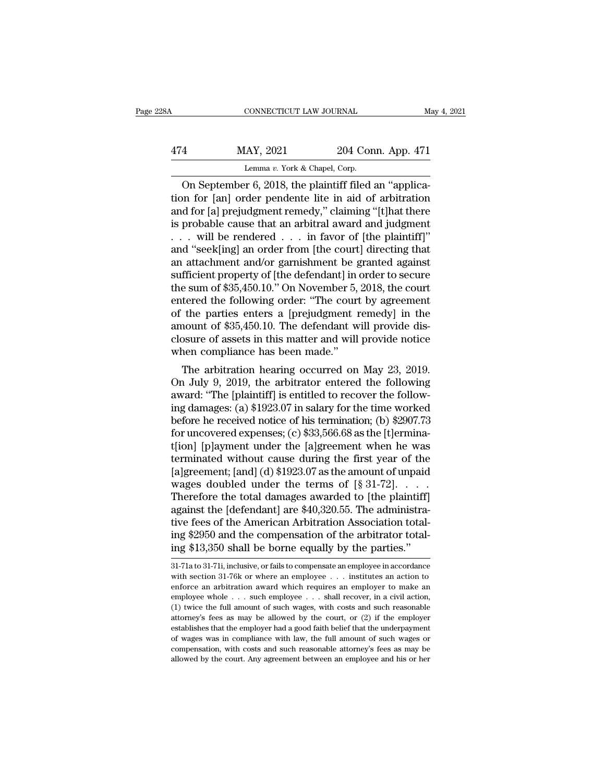|     | CONNECTICUT LAW JOURNAL                                |                    | May 4, 2021 |
|-----|--------------------------------------------------------|--------------------|-------------|
| 474 | MAY, 2021                                              | 204 Conn. App. 471 |             |
|     | Lemma v. York & Chapel, Corp.                          |                    |             |
|     | On Sentember 6, 2018, the plaintiff filed an "applica- |                    |             |

CONNECTICUT LAW JOURNAL<br>
4 MAY, 2021 204 Conn. App. 471<br>
Lemma v. York & Chapel, Corp.<br>
On September 6, 2018, the plaintiff filed an "applica-<br>
on for [an] order pendente lite in aid of arbitration<br>
of for [a] projudement MAY, 2021 204 Conn. App. 471<br>
Lemma v. York & Chapel, Corp.<br>
On September 6, 2018, the plaintiff filed an "application for [an] order pendente lite in aid of arbitration<br>
and for [a] prejudgment remedy," claiming "[t] hat 474 MAY, 2021 204 Conn. App. 471<br>
Lemma v. York & Chapel, Corp.<br>
On September 6, 2018, the plaintiff filed an "applica-<br>
tion for [an] order pendente lite in aid of arbitration<br>
and for [a] prejudgment remedy," claiming " 474 MAY, 2021 204 Conn. App. 471<br>
Lemma v. York & Chapel, Corp.<br>
On September 6, 2018, the plaintiff filed an "applica-<br>
tion for [an] order pendente lite in aid of arbitration<br>
and for [a] prejudgment remedy," claiming " Lemma v. York & Chapel, Corp.<br>
On September 6, 2018, the plaintiff filed an "application for [an] order pendente lite in aid of arbitration<br>
and for [a] prejudgment remedy," claiming "[t]hat there<br>
is probable cause that Lemma v. York & Chapel, Corp.<br>
On September 6, 2018, the plaintiff filed an "applica-<br>
tion for [an] order pendente lite in aid of arbitration<br>
and for [a] prejudgment remedy," claiming "[t] hat there<br>
is probable cause t On September 6, 2018, the plaintiff filed an "application for [an] order pendente lite in aid of arbitration<br>and for [a] prejudgment remedy," claiming "[t]hat there<br>is probable cause that an arbitral award and judgment<br> $\d$ tion for [an] order pendente lite in aid of arbitration<br>and for [a] prejudgment remedy," claiming "[t]hat there<br>is probable cause that an arbitral award and judgment<br> $\dots$  will be rendered  $\dots$  in favor of [the plaintiff]" and for [a] prejudgment remedy," claiming "[t]hat there<br>is probable cause that an arbitral award and judgment<br>... will be rendered ... in favor of [the plaintiff]"<br>and "seek[ing] an order from [the court] directing that<br>a is probable cause that an arbitral award and judgment<br>  $\ldots$  will be rendered  $\ldots$  in favor of [the plaintiff]"<br>
and "seek[ing] an order from [the court] directing that<br>
an attachment and/or garnishment be granted agains . . . will be rendered . . . in favor of [the plaintiff]"<br>and "seek[ing] an order from [the court] directing that<br>an attachment and/or garnishment be granted against<br>sufficient property of [the defendant] in order to secu and "seek[ing] an order from [the court] directing that<br>an attachment and/or garnishment be granted against<br>sufficient property of [the defendant] in order to secure<br>the sum of \$35,450.10." On November 5, 2018, the court<br>e an attachment and/or garnishment be granted against<br>sufficient property of [the defendant] in order to secure<br>the sum of \$35,450.10." On November 5, 2018, the court<br>entered the following order: "The court by agreement<br>of t sufficient property of [the defendant] in the sum of \$35,450.10." On November 5, entered the following order: "The court of the parties enters a [prejudgment 1 amount of \$35,450.10. The defendant w closure of assets in thi E sum of \$35,450.10. On November 3, 2018, the court<br>tered the following order: "The court by agreement<br>the parties enters a [prejudgment remedy] in the<br>nount of \$35,450.10. The defendant will provide dis-<br>posure of assets entered the following order: The court by agreement<br>of the parties enters a [prejudgment remedy] in the<br>amount of \$35,450.10. The defendant will provide dis-<br>closure of assets in this matter and will provide notice<br>when co

of the parties enters a [prejudgment remedy] in the<br>amount of \$35,450.10. The defendant will provide dis-<br>closure of assets in this matter and will provide notice<br>when compliance has been made."<br>The arbitration hearing oc amount of \$59,450.10. The defendant will provide disclosure of assets in this matter and will provide notice<br>when compliance has been made."<br>The arbitration hearing occurred on May 23, 2019.<br>On July 9, 2019, the arbitrato closure of assets in this matter and will provide notice<br>when compliance has been made."<br>The arbitration hearing occurred on May 23, 2019.<br>On July 9, 2019, the arbitrator entered the following<br>award: "The [plaintiff] is e when compliance has been made.<br>The arbitration hearing occurred on May 23, 2019.<br>On July 9, 2019, the arbitrator entered the following<br>award: "The [plaintiff] is entitled to recover the follow-<br>ing damages: (a) \$1923.07 i The arbitration hearing occurred on May 23, 2019.<br>On July 9, 2019, the arbitrator entered the following<br>award: "The [plaintiff] is entitled to recover the follow-<br>ing damages: (a) \$1923.07 in salary for the time worked<br>be On July 9, 2019, the arbitrator entered the following<br>award: "The [plaintiff] is entitled to recover the follow-<br>ing damages: (a) \$1923.07 in salary for the time worked<br>before he received notice of his termination; (b) \$2 award: "The [plaintiff] is entitled to recover the following damages: (a) \$1923.07 in salary for the time worked<br>before he received notice of his termination; (b) \$2907.73<br>for uncovered expenses; (c) \$33,566.68 as the [t] ing damages: (a) \$1923.07 in salary for the time worked<br>before he received notice of his termination; (b) \$2907.73<br>for uncovered expenses; (c) \$33,566.68 as the [t]ermina-<br>t[ion] [p]ayment under the [a]greement when he wa before he received notice of his termination; (b) \$2907.73<br>for uncovered expenses; (c) \$33,566.68 as the [t]ermina-<br>t[ion] [p]ayment under the [a]greement when he was<br>terminated without cause during the first year of the<br> for uncovered expenses; (c) \$33,566.68 as the [t]erminat<br>t[ion] [p]ayment under the [a]greement when he was<br>terminated without cause during the first year of the<br>[a]greement; [and] (d) \$1923.07 as the amount of unpaid<br>wag t[ion] [p]ayment under the [a]greement when he was<br>terminated without cause during the first year of the<br>[a]greement; [and] (d) \$1923.07 as the amount of unpaid<br>wages doubled under the terms of [§ 31-72]. . . . .<br>Therefor terminated without cause during the first year of the [a]greement; [and] (d)  $$1923.07$  as the amount of unpaid wages doubled under the terms of [ $$31-72]$ .....<br>Therefore the total damages awarded to [the plaintiff] again [a]greement; [and] (d) \$1923.07 as the amount of unpaid wages doubled under the terms of [§ 31-72].  $\dots$ .<br>Therefore the total damages awarded to [the plaintiff] against the [defendant] are \$40,320.55. The administrative f against the [defendant] are \$40,320.55. The administrative fees of the American Arbitration Association total-<br>ing \$2950 and the compensation of the arbitrator total-<br>ing \$13,350 shall be borne equally by the parties."<br>31tive fees of the American Arbitration Association total-<br>ing \$2950 and the compensation of the arbitrator total-<br>ing \$13,350 shall be borne equally by the parties."<br>31-71a to 31-71i, inclusive, or fails to compensate an em

ing \$2950 and the compensation of the arbitrator total-<br>ing \$13,350 shall be borne equally by the parties."<br>31-71a to 31-71i, inclusive, or fails to compensate an employee in accordance<br>with section 31-76k or where an empl ing \$13,350 shall be borne equally by the parties."<br>  $\frac{31\cdot71a \text{ to } 31\cdot71i}{31\cdot71a \text{ to } 31\cdot71i}$ , inclusive, or fails to compensate an employee in accordance<br>
with section 31-76k or where an employee . . . institutes (1) twice the full amount of such wages, with costs and such employee  $\frac{31-71a \text{ to } 31-71i}{26}$ , inclusive, or fails to compensate an employee in accordance with section 31-76k or where an employee  $\ldots$  institutes an a 31-71a to 31-71i, inclusive, or fails to compensate an employee in accordance with section 31-76k or where an employee  $\ldots$  institutes an action to enforce an arbitration award which requires an employer to make an emplo establishes that the employer had a good faith belief that the underpayment of wages or an arbitration award which requires an employer to make an employee whole  $\ldots$  such employee  $\ldots$  shall recover, in a civil action, matrice an arbitration award which requires an employer to make an employee whole  $\ldots$  such employee  $\ldots$  shall recover, in a civil action, (1) twice the full amount of such wages, with costs and such reasonable attorne employee whole  $\ldots$  such employee  $\ldots$  shall recover, in a civil action, (1) twice the full amount of such wages, with costs and such reasonable attorney's fees as may be allowed by the court, or (2) if the employer est employee whole  $\ldots$  such employee  $\ldots$  shall recover, in a civil action, (1) twice the full amount of such wages, with costs and such reasonable attorney's fees as may be allowed by the court, or (2) if the employer est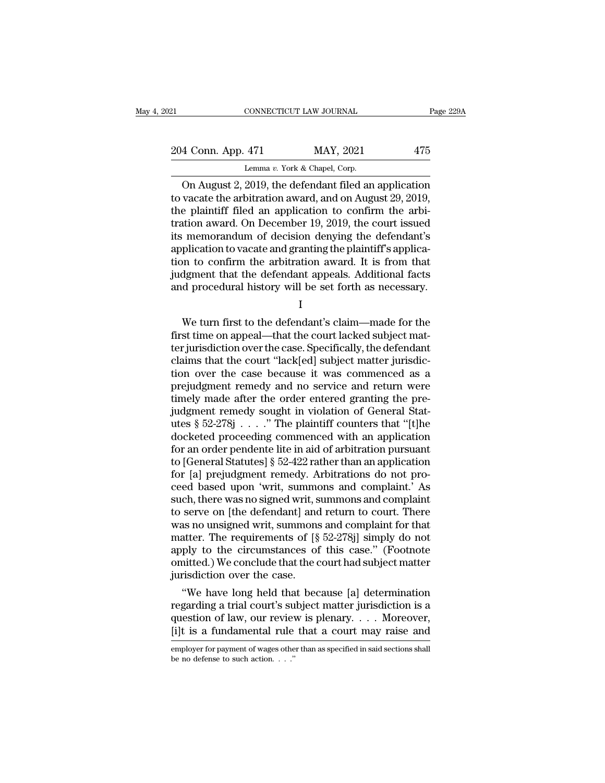| 21                 | CONNECTICUT LAW JOURNAL       |                                                       | Page 229A |
|--------------------|-------------------------------|-------------------------------------------------------|-----------|
| 204 Conn. App. 471 |                               | MAY, 2021                                             | 475       |
|                    | Lemma v. York & Chapel, Corp. |                                                       |           |
|                    |                               | On August $2,2019$ the defendant filed an application |           |

CONNECTICUT LAW JOURNAL Page 229A<br>
4 Conn. App. 471 MAY, 2021 475<br>
Lemma v. York & Chapel, Corp.<br>
On August 2, 2019, the defendant filed an application<br>
vacate the arbitration award, and on August 29, 2019,<br>
a plaintiff fi 204 Conn. App. 471 MAY, 2021 475<br>
Lemma v. York & Chapel, Corp.<br>
On August 2, 2019, the defendant filed an application<br>
to vacate the arbitration award, and on August 29, 2019,<br>
the plaintiff filed an application to confi 204 Conn. App. 471 MAY, 2021 475<br>
Lemma v. York & Chapel, Corp.<br>
On August 2, 2019, the defendant filed an application<br>
to vacate the arbitration award, and on August 29, 2019,<br>
the plaintiff filed an application to confi 204 Conn. App. 471 MAY, 2021 475<br>
Lemma v. York & Chapel, Corp.<br>
On August 2, 2019, the defendant filed an application<br>
to vacate the arbitration award, and on August 29, 2019,<br>
the plaintiff filed an application to confi Lemma v. York & Chapel, Corp.<br>
On August 2, 2019, the defendant filed an application<br>
to vacate the arbitration award, and on August 29, 2019,<br>
the plaintiff filed an application to confirm the arbitration award. On Decem Lemma v. York & Chapel, Corp.<br>
On August 2, 2019, the defendant filed an application<br>
to vacate the arbitration award, and on August 29, 2019,<br>
the plaintiff filed an application to confirm the arbi-<br>
tration award. On De On August 2, 2019, the defendant filed an application<br>to vacate the arbitration award, and on August 29, 2019,<br>the plaintiff filed an application to confirm the arbi-<br>tration award. On December 19, 2019, the court issued<br>i to vacate the arbitration award, and on August 29, 2019,<br>the plaintiff filed an application to confirm the arbitration award. On December 19, 2019, the court issued<br>its memorandum of decision denying the defendant's<br>applic the plaintiff filed an application to confirm the arbitration award. On December 19, 2019, the court issued its memorandum of decision denying the defendant's application to vacate and granting the plaintiff's application plication to vacate and granting the plaintiff's application to confirm the arbitration award. It is from that<br>dgment that the defendant appeals. Additional facts<br>d procedural history will be set forth as necessary.<br>I<br>We t

I and the set of  $\mathbf I$ 

frich to confirm the arbitration award. It is from that<br>judgment that the defendant appeals. Additional facts<br>and procedural history will be set forth as necessary.<br>I<br>We turn first to the defendant's claim—made for the<br>fir interpretendant appeals. Additional facts<br>and procedural history will be set forth as necessary.<br>I<br>We turn first to the defendant's claim—made for the<br>first time on appeal—that the court lacked subject mat-<br>ter jurisdictio and procedural history will be set forth as necessary.<br>  $I$ <br>
We turn first to the defendant's claim—made for the<br>
first time on appeal—that the court lacked subject matter<br>
jurisdiction over the case is Specifically, the I<br>I<br>We turn first to the defendant's claim—made for the<br>first time on appeal—that the court lacked subject mat-<br>ter jurisdiction over the case. Specifically, the defendant<br>claims that the court "lack[ed] subject matter jur I<br>We turn first to the defendant's claim—made for the<br>first time on appeal—that the court lacked subject mat-<br>ter jurisdiction over the case. Specifically, the defendant<br>claims that the court "lack[ed] subject matter juris We turn first to the defendant's claim—made for the<br>first time on appeal—that the court lacked subject mat-<br>ter jurisdiction over the case. Specifically, the defendant<br>claims that the court "lack[ed] subject matter jurisd first time on appeal—that the court lacked subject matter jurisdiction over the case. Specifically, the defendant claims that the court "lack[ed] subject matter jurisdiction over the case because it was commenced as a pre ter jurisdiction over the case. Specifically, the defendant<br>claims that the court "lack[ed] subject matter jurisdic-<br>tion over the case because it was commenced as a<br>prejudgment remedy and no service and return were<br>timely claims that the court "lack[ed] subject matter jurisdiction over the case because it was commenced as a prejudgment remedy and no service and return were timely made after the order entered granting the prejudgment remedy tion over the case because it was commenced as a<br>prejudgment remedy and no service and return were<br>timely made after the order entered granting the pre-<br>judgment remedy sought in violation of General Stat-<br>utes  $\S 52-278j$ prejudgment remedy and no service and return were<br>timely made after the order entered granting the pre-<br>judgment remedy sought in violation of General Stat-<br>utes § 52-278j . . . . " The plaintiff counters that "[t]he<br>docke timely made after the order entered granting the pre-<br>judgment remedy sought in violation of General Stat-<br>utes  $\S 52-278j \ldots$ ." The plaintiff counters that "[t]he<br>docketed proceeding commenced with an application<br>for an judgment remedy sought in violation of General Stat-<br>utes  $\S 52-278j$  . . . ." The plaintiff counters that "[t]he<br>docketed proceeding commenced with an application<br>for an order pendente lite in aid of arbitration pursuant utes § 52-278j . . . . " The plaintiff counters that "[t]he<br>docketed proceeding commenced with an application<br>for an order pendente lite in aid of arbitration pursuant<br>to [General Statutes] § 52-422 rather than an applicat docketed proceeding commenced with an application<br>for an order pendente lite in aid of arbitration pursuant<br>to [General Statutes] § 52-422 rather than an application<br>for [a] prejudgment remedy. Arbitrations do not pro-<br>cee for an order pendente lite in aid of arbitration pursuant<br>to [General Statutes]  $\S$  52-422 rather than an application<br>for [a] prejudgment remedy. Arbitrations do not pro-<br>ceed based upon 'writ, summons and complaint.' As<br> to [General Statutes]  $\S$  52-422 rather than an application<br>for [a] prejudgment remedy. Arbitrations do not pro-<br>ceed based upon 'writ, summons and complaint.' As<br>such, there was no signed writ, summons and complaint<br>to s for [a] prejudgment remedy. Arbitrations do not proceed based upon 'writ, summons and complaint.' As<br>such, there was no signed writ, summons and complaint<br>to serve on [the defendant] and return to court. There<br>was no unsi ceed based upon 'writ, summons and complaint.' As<br>such, there was no signed writ, summons and complaint<br>to serve on [the defendant] and return to court. There<br>was no unsigned writ, summons and complaint for that<br>matter. Th such, there was no signed writ, s<br>to serve on [the defendant] and<br>was no unsigned writ, summons<br>matter. The requirements of [§<br>apply to the circumstances of<br>omitted.) We conclude that the c<br>jurisdiction over the case.<br>"We serve on [the defendant] and return to court. There<br>as no unsigned writ, summons and complaint for that<br>atter. The requirements of [§ 52-278j] simply do not<br>ply to the circumstances of this case." (Footnote<br>aitted.) We con was no unsigned writ, summons and complaint for that<br>matter. The requirements of  $[\S$  52-278j] simply do not<br>apply to the circumstances of this case." (Footnote<br>omitted.) We conclude that the court had subject matter<br>juri

matter. The requirements of [§ 52-278]] simply do not<br>apply to the circumstances of this case." (Footnote<br>omitted.) We conclude that the court had subject matter<br>jurisdiction over the case.<br>"We have long held that because apply to the circumstances of this case." (Footnote<br>omitted.) We conclude that the court had subject matter<br>jurisdiction over the case.<br>"We have long held that because [a] determination<br>regarding a trial court's subject m "We have long held that because [a] determination regarding a trial court's subject matter jurisdiction is a question of law, our review is plenary.... Moreover, [i]t is a fundamental rule that a court may raise and emplo regarding a trial court's su<br>question of law, our reviev<br>[i]t is a fundamental rule<br>employer for payment of wages othe<br>be no defense to such action. . . . ."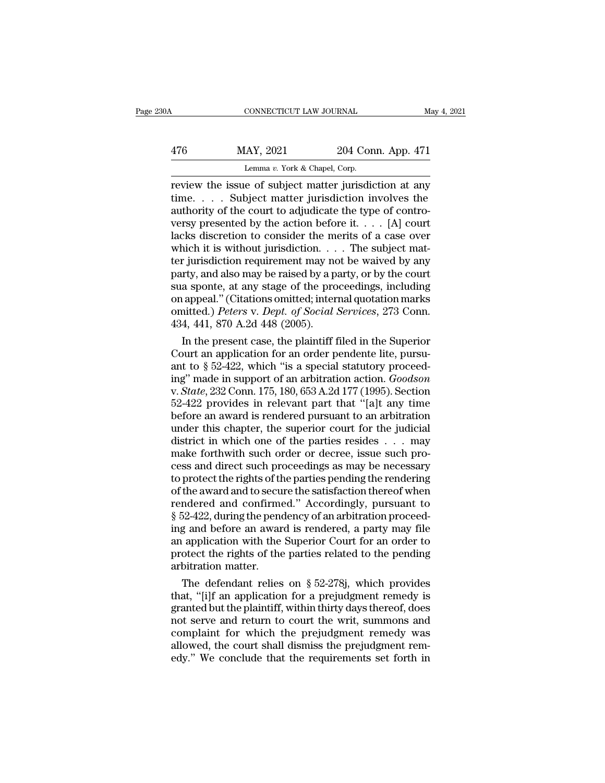| 30A | CONNECTICUT LAW JOURNAL                                |                    | May 4, 2021 |
|-----|--------------------------------------------------------|--------------------|-------------|
| 476 | MAY, 2021                                              | 204 Conn. App. 471 |             |
|     | Lemma v. York & Chapel, Corp.                          |                    |             |
|     | review the issue of subject matter inrisdiction at any |                    |             |

CONNECTICUT LAW JOURNAL May 4, 2021<br>
176 MAY, 2021 204 Conn. App. 471<br>
Lemma v. York & Chapel, Corp.<br>
Teview the issue of subject matter jurisdiction at any<br>
time.... Subject matter jurisdiction involves the<br>
nuthority of 476 MAY, 2021 204 Conn. App. 471<br>
Lemma v. York & Chapel, Corp.<br>
Teview the issue of subject matter jurisdiction at any<br>
time.... Subject matter jurisdiction involves the<br>
authority of the court to adjudicate the type of 476 MAY, 2021 204 Conn. App. 471<br>
Lemma v. York & Chapel, Corp.<br>
review the issue of subject matter jurisdiction at any<br>
time.... Subject matter jurisdiction involves the<br>
authority of the court to adjudicate the type of 476 MAY, 2021 204 Conn. App. 471<br>
Lemma v. York & Chapel, Corp.<br>
review the issue of subject matter jurisdiction at any<br>
time.... Subject matter jurisdiction involves the<br>
authority of the court to adjudicate the type of Lemma v. York & Chapel, Corp.<br>
The merits of subject matter jurisdiction at any<br>
time.... Subject matter jurisdiction involves the<br>
authority of the court to adjudicate the type of contro-<br>
versy presented by the action b Lemma v. York & Chapel, Corp.<br>
review the issue of subject matter jurisdiction at any<br>
time.... Subject matter jurisdiction involves the<br>
authority of the court to adjudicate the type of contro-<br>
versy presented by the ac review the issue of subject matter jurisdiction at any<br>time. . . . Subject matter jurisdiction involves the<br>authority of the court to adjudicate the type of contro-<br>versy presented by the action before it. . . . [A] court time. . . . Subject matter jurisdiction involves the authority of the court to adjudicate the type of contro-<br>versy presented by the action before it. . . . [A] court lacks discretion to consider the merits of a case over authority of the court to adjudicate the type of contro-<br>versy presented by the action before it. . . . [A] court<br>lacks discretion to consider the merits of a case over<br>which it is without jurisdiction. . . . The subject versy presented by the action before it. . . . [A] court<br>lacks discretion to consider the merits of a case over<br>which it is without jurisdiction. . . . The subject mat-<br>ter jurisdiction requirement may not be waived by an lacks discretion to consider the merits of a case over<br>which it is without jurisdiction. . . . The subject mat-<br>ter jurisdiction requirement may not be waived by any<br>party, and also may be raised by a party, or by the cour which it is without jurisdiction. . . .<br>ter jurisdiction requirement may no<br>party, and also may be raised by a p<br>sua sponte, at any stage of the pro<br>on appeal." (Citations omitted; inter<br>omitted.) *Peters* v. *Dept. of Soc* r jurnsdiction requirement may not be waived by any<br>
rty, and also may be raised by a party, or by the court<br>
a sponte, at any stage of the proceedings, including<br>
appeal." (Citations omitted; internal quotation marks<br>
ni party, and also may be raised by a party, or by the court<br>sua sponte, at any stage of the proceedings, including<br>on appeal." (Citations omitted; internal quotation marks<br>omitted.) Peters v. Dept. of Social Services, 273 C

sua sponte, at any stage of the proceedings, including<br>on appeal." (Citations omitted; internal quotation marks<br>omitted.) *Peters v. Dept. of Social Services*, 273 Conn.<br>434, 441, 870 A.2d 448 (2005).<br>In the present case, on appeal." (Citations omitted; internal quotation marks<br>
omitted.) *Peters v. Dept. of Social Services*, 273 Conn.<br>
434, 441, 870 A.2d 448 (2005).<br>
In the present case, the plaintiff filed in the Superior<br>
Court an applic omitted.) *Peters v. Dept. of Social Services*, 273 Conn.<br>434, 441, 870 A.2d 448 (2005).<br>In the present case, the plaintiff filed in the Superior<br>Court an application for an order pendente lite, pursu-<br>ant to § 52-422, whi 434, 441, 870 A.2d 448 (2005).<br>
In the present case, the plaintiff filed in the Superior<br>
Court an application for an order pendente lite, pursu-<br>
ant to § 52-422, which "is a special statutory proceed-<br>
ing" made in supp In the present case, the plaintiff filed in the Superior<br>Court an application for an order pendente lite, pursu-<br>ant to  $\S 52-422$ , which "is a special statutory proceed-<br>ing" made in support of an arbitration action. *Go* Court an application for an order pendente lite, pursu-<br>ant to § 52-422, which "is a special statutory proceed-<br>ing" made in support of an arbitration action. *Goodson*<br>v. *State*, 232 Conn. 175, 180, 653 A.2d 177 (1995). ant to § 52-422, which "is a special statutory proceeding" made in support of an arbitration action. *Goodson* v. *State*, 232 Conn. 175, 180, 653 A.2d 177 (1995). Section 52-422 provides in relevant part that "[a]t any t ing" made in support of an arbitration action. *Goodson* v. *State*, 232 Conn. 175, 180, 653 A.2d 177 (1995). Section 52-422 provides in relevant part that "[a]t any time before an award is rendered pursuant to an arbitrat v. *State*, 232 Conn. 175, 180, 653 A.2d 177 (1995). Section 52-422 provides in relevant part that "[a]t any time<br>before an award is rendered pursuant to an arbitration<br>under this chapter, the superior court for the judic 52-422 provides in relevant part that "[a]t any time<br>before an award is rendered pursuant to an arbitration<br>under this chapter, the superior court for the judicial<br>district in which one of the parties resides  $\dots$  may<br>mak before an award is rendered pursuant to an arbitration<br>under this chapter, the superior court for the judicial<br>district in which one of the parties resides . . . may<br>make forthwith such order or decree, issue such pro-<br>ces under this chapter, the superior court for the judicial<br>district in which one of the parties resides . . . may<br>make forthwith such order or decree, issue such pro-<br>cess and direct such proceedings as may be necessary<br>to p district in which one of the parties resides . . . . may<br>make forthwith such order or decree, issue such pro-<br>cess and direct such proceedings as may be necessary<br>to protect the rights of the parties pending the rendering<br> make forthwith such order or decree, issue such process and direct such proceedings as may be necessary<br>to protect the rights of the parties pending the rendering<br>of the award and to secure the satisfaction thereof when<br>re cess and direct such proceedings as may be necessary<br>to protect the rights of the parties pending the rendering<br>of the award and to secure the satisfaction thereof when<br>rendered and confirmed." Accordingly, pursuant to<br>§ 5 to protect the rights of the parties pending the rendering<br>of the award and to secure the satisfaction thereof when<br>rendered and confirmed." Accordingly, pursuant to<br>§ 52-422, during the pendency of an arbitration proceedof the award and to secure<br>nedered and confirme § 52-422, during the pending and before an awar<br>an application with the<br>protect the rights of the<br>arbitration matter.<br>The defendant relies ndered and confirmed." Accordingly, pursuant to<br>52-422, during the pendency of an arbitration proceed-<br>g and before an award is rendered, a party may file<br>application with the Superior Court for an order to<br>otect the right  $\S$  52-422, during the pendency of an arbitration proceeding and before an award is rendered, a party may file<br>an application with the Superior Court for an order to<br>protect the rights of the parties related to the pendin

ing and before an award is rendered, a party may file<br>an application with the Superior Court for an order to<br>protect the rights of the parties related to the pending<br>arbitration matter.<br>The defendant relies on § 52-278j, w an application with the Superior Court for an order to<br>protect the rights of the parties related to the pending<br>arbitration matter.<br>The defendant relies on § 52-278j, which provides<br>that, "[i]f an application for a prejudg protect the rights of the parties related to the pending<br>arbitration matter.<br>The defendant relies on § 52-278j, which provides<br>that, "[i]f an application for a prejudgment remedy is<br>granted but the plaintiff, within thirty arbitration matter.<br>The defendant relies on  $\S$  52-278j, which provides<br>that, "[i]f an application for a prejudgment remedy is<br>granted but the plaintiff, within thirty days thereof, does<br>not serve and return to court the The defendant relies on  $\S$  52-278j, which provides<br>that, "[i]f an application for a prejudgment remedy is<br>granted but the plaintiff, within thirty days thereof, does<br>not serve and return to court the writ, summons and<br>co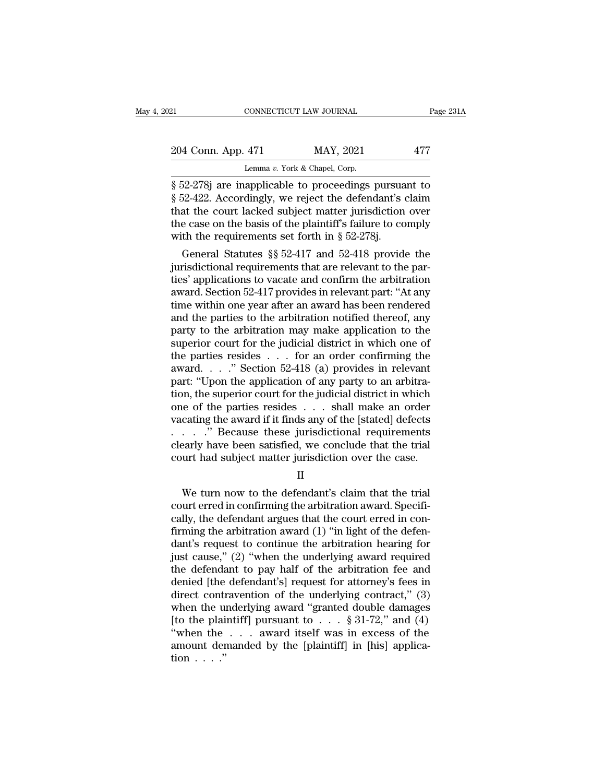# 21 CONNECTICUT LAW JOURNAL Page 231A<br>
204 Conn. App. 471 MAY, 2021 477<br>
Lemma v. York & Chapel, Corp. CONNECTICUT LAW JOURNAL<br>
204 Conn. App. 471 MAY, 2021 477<br>
Lemma *v*. York & Chapel, Corp.<br>
852-278j are inapplicable to proceedings pursuant to

EXECUTE EXECUTE THE SUITE OF THE PART OF THE SERVICE THE MAY, 2021<br>
Separate to proceedings pursuant to<br>
Secret the defendant's claim<br>
Secret that the court looked subject matter iurisdiction over <sup>204</sup> Conn. App. 471 MAY, 2021 477<br>
Lemma v. York & Chapel, Corp.<br>
§ 52-278j are inapplicable to proceedings pursuant to<br>
§ 52-422. Accordingly, we reject the defendant's claim<br>
that the court lacked subject matter jurisd 204 Conn. App. 471 MAY, 2021 477<br>
Lemma v. York & Chapel, Corp.<br>
§ 52-278j are inapplicable to proceedings pursuant to<br>
§ 52-422. Accordingly, we reject the defendant's claim<br>
that the court lacked subject matter jurisdic 204 Conn. App. 471 MAY, 2021 477<br>
Lemma v. York & Chapel, Corp.<br>
§ 52-278j are inapplicable to proceedings pursuant to<br>
§ 52-422. Accordingly, we reject the defendant's claim<br>
that the court lacked subject matter jurisdic Lemma v. York & Chapel, Corp.<br>
§ 52-278j are inapplicable to proceedings pursua<br>
§ 52-422. Accordingly, we reject the defendant's of<br>
that the court lacked subject matter jurisdiction<br>
the case on the basis of the plainti  $\frac{1}{22-278j}$  are inapplicable to proceedings pursuant to<br>52-422. Accordingly, we reject the defendant's claim<br>at the court lacked subject matter jurisdiction over<br>e case on the basis of the plaintiff's failure to compl  $\S$  52-278] are mappicable to proceedings pursuant to  $\S$  52-422. Accordingly, we reject the defendant's claim that the court lacked subject matter jurisdiction over the case on the basis of the plaintiff's failure to com

s 52-422. Accordingly, we reject the detendant s claim<br>that the court lacked subject matter jurisdiction over<br>the case on the basis of the plaintiff's failure to comply<br>with the requirements set forth in § 52-278j.<br>Genera that the court lacked subject matter jurisdiction over<br>the case on the basis of the plaintiff's failure to comply<br>with the requirements set forth in § 52-278j.<br>General Statutes §§ 52-417 and 52-418 provide the<br>jurisdictio the case on the basis of the plaintiff s failure to compty<br>with the requirements set forth in § 52-278j.<br>General Statutes §§ 52-417 and 52-418 provide the<br>jurisdictional requirements that are relevant to the par-<br>ties' ap with the requirements set forth in  $\S$  52-278].<br>
General Statutes  $\S$  52-417 and 52-418 provide the<br>
jurisdictional requirements that are relevant to the par-<br>
ties' applications to vacate and confirm the arbitration<br>
awa General Statutes  $\S$  52-417 and 52-418 provide the<br>jurisdictional requirements that are relevant to the par-<br>ties' applications to vacate and confirm the arbitration<br>award. Section 52-417 provides in relevant part: "At an jurisdictional requirements that are relevant to the parties' applications to vacate and confirm the arbitration<br>award. Section 52-417 provides in relevant part: "At any<br>time within one year after an award has been rendere ties' applications to vacate and confirm the arbitration<br>award. Section 52-417 provides in relevant part: "At any<br>time within one year after an award has been rendered<br>and the parties to the arbitration notified thereof, a award. Section 52-417 provides in relevant part: "At any<br>time within one year after an award has been rendered<br>and the parties to the arbitration notified thereof, any<br>party to the arbitration may make application to the<br>s time within one year after an award has been rendered<br>and the parties to the arbitration notified thereof, any<br>party to the arbitration may make application to the<br>superior court for the judicial district in which one of<br> and the parties to the arbitration notified thereof, any<br>party to the arbitration may make application to the<br>superior court for the judicial district in which one of<br>the parties resides  $\dots$  for an order confirming the<br>a party to the arbitration may make application to the<br>superior court for the judicial district in which one of<br>the parties resides . . . for an order confirming the<br>award. . . ." Section 52-418 (a) provides in relevant<br>par superior court for the judicial district in which one of<br>the parties resides . . . for an order confirming the<br>award . . . ." Section 52-418 (a) provides in relevant<br>part: "Upon the application of any party to an arbitrathe parties resides . . . . for an order confirming the<br>award. . . ." Section 52-418 (a) provides in relevant<br>part: "Upon the application of any party to an arbitra-<br>tion, the superior court for the judicial district in w award. . . ." Section 52-418 (a) provides in relevant<br>part: "Upon the application of any party to an arbitra-<br>tion, the superior court for the judicial district in which<br>one of the parties resides . . . shall make an orde part: "Upon the application of any party to an arbitration, the superior court for the judicial district in which<br>one of the parties resides . . . shall make an order<br>vacating the award if it finds any of the [stated] def cating the award if it finds any of the [stated] defects . . . ." Because these jurisdictional requirements<br>early have been satisfied, we conclude that the trial<br>urt had subject matter jurisdiction over the case.<br> $II$ <br>We t

II

 $\therefore$   $\therefore$   $\therefore$  Because these jurisdictional requirements<br>clearly have been satisfied, we conclude that the trial<br>court had subject matter jurisdiction over the case.<br>II<br>We turn now to the defendant's claim that the tri clearly have been satisfied, we conclude that the trial<br>court had subject matter jurisdiction over the case.<br> $II$ <br>We turn now to the defendant's claim that the trial<br>court erred in confirming the arbitration award. Specifi Figure 2.1 The arbitration are the case.<br>
The same arbitration over the case.<br>
The same that the trial court erred in confirming the arbitration award. Specifically, the defendant argues that the court erred in confirming II<br>
We turn now to the defendant's claim that the trial<br>
court erred in confirming the arbitration award. Specifi-<br>
cally, the defendant argues that the court erred in con-<br>
firming the arbitration award (1) "in light of t II<br>We turn now to the defendant's claim that the trial<br>court erred in confirming the arbitration award. Specifi-<br>cally, the defendant argues that the court erred in con-<br>firming the arbitration award (1) "in light of the d We turn now to the defendant's claim that the trial<br>court erred in confirming the arbitration award. Specifi-<br>cally, the defendant argues that the court erred in con-<br>firming the arbitration award (1) "in light of the def court erred in confirming the arbitration award. Specifically, the defendant argues that the court erred in confirming the arbitration award (1) "in light of the defendant's request to continue the arbitration hearing for cally, the defendant argues that the court erred in confirming the arbitration award  $(1)$  "in light of the defendant's request to continue the arbitration hearing for just cause,"  $(2)$  "when the underlying award require firming the arbitration award (1) "in light of the defen-<br>dant's request to continue the arbitration hearing for<br>just cause," (2) "when the underlying award required<br>the defendant to pay half of the arbitration fee and<br>de dant's request to continue the arbitration hearing for<br>just cause," (2) "when the underlying award required<br>the defendant to pay half of the arbitration fee and<br>denied [the defendant's] request for attorney's fees in<br>dire just cause," (2) "when the underlying award required<br>the defendant to pay half of the arbitration fee and<br>denied [the defendant's] request for attorney's fees in<br>direct contravention of the underlying contract," (3)<br>when the defendant to pay half of the arbitration fee and<br>denied [the defendant's] request for attorney's fees in<br>direct contravention of the underlying contract," (3)<br>when the underlying award "granted double damages<br>[to the denied [the<br>direct conti<br>when the u<br>[to the plai<br>"when the<br>amount der<br>tion . . . ."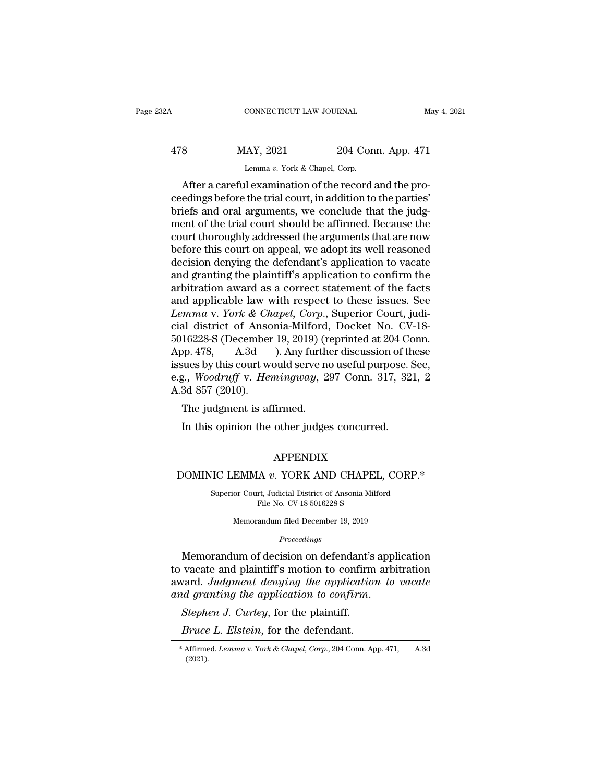| 32A | CONNECTICUT LAW JOURNAL                                |                    | May 4, 2021 |
|-----|--------------------------------------------------------|--------------------|-------------|
| 478 | MAY, 2021                                              | 204 Conn. App. 471 |             |
|     | Lemma v. York & Chapel, Corp.                          |                    |             |
|     | After a careful examination of the record and the pro- |                    |             |

CONNECTICUT LAW JOURNAL<br>
B MAY, 2021 204 Conn. App. 471<br>
Lemma v. York & Chapel, Corp.<br>
After a careful examination of the record and the pro-<br>
edings before the trial court, in addition to the parties'<br>
sight and oral arg  $\begin{array}{lll} \text{MAX, } 2021 & 204 \text{ Conn. App. 471} \ \text{Lemma } v. \text{ York & Chapter 201} \end{array}$ <br>
After a careful examination of the record and the proceedings before the trial court, in addition to the parties'<br>
briefs and oral arguments, we conclude t 478 MAY, 2021 204 Conn. App. 471<br>
Lemma v. York & Chapel, Corp.<br>
After a careful examination of the record and the proceedings before the trial court, in addition to the parties'<br>
briefs and oral arguments, we conclude th  $\frac{\text{MAY, 2021}}{\text{Lemma } v. \text{ York & Chapter 4.} \cdot \text{Chapel, Corp.}}$ <br>
After a careful examination of the record and the proceedings before the trial court, in addition to the parties'<br>
briefs and oral arguments, we conclude that the judgment o Lemma v. York & Chapel, Corp.<br>
After a careful examination of the record and the pro-<br>
ceedings before the trial court, in addition to the parties'<br>
briefs and oral arguments, we conclude that the judg-<br>
ment of the trial Lemma v. York & Chapel, Corp.<br>
After a careful examination of the record and the pro-<br>
ceedings before the trial court, in addition to the parties'<br>
briefs and oral arguments, we conclude that the judg-<br>
ment of the trial After a careful examination of the record and the proceedings before the trial court, in addition to the parties'<br>briefs and oral arguments, we conclude that the judgment of the trial court should be affirmed. Because the<br> ceedings before the trial court, in addition to the parties'<br>briefs and oral arguments, we conclude that the judg-<br>ment of the trial court should be affirmed. Because the<br>court thoroughly addressed the arguments that are n briefs and oral arguments, we conclude that the judgment of the trial court should be affirmed. Because the court thoroughly addressed the arguments that are now before this court on appeal, we adopt its well reasoned deci ment of the trial court should be affirmed. Because the<br>court thoroughly addressed the arguments that are now<br>before this court on appeal, we adopt its well reasoned<br>decision denying the defendant's application to vacate<br> court thoroughly addressed the arguments that are now<br>before this court on appeal, we adopt its well reasoned<br>decision denying the defendant's application to vacate<br>and granting the plaintiff's application to confirm the<br>a before this court on appeal, we adopt its well reasoned<br>decision denying the defendant's application to vacate<br>and granting the plaintiff's application to confirm the<br>arbitration award as a correct statement of the facts<br> decision denying the defendant's application to vacate<br>and granting the plaintiff's application to confirm the<br>arbitration award as a correct statement of the facts<br>and applicable law with respect to these issues. See<br>*Lem* and granting the plaintiff's application to confirm the<br>arbitration award as a correct statement of the facts<br>and applicable law with respect to these issues. See<br>*Lemma v. York & Chapel, Corp.*, Superior Court, judi-<br>cia arbitration award as a correct statement of the facts<br>and applicable law with respect to these issues. See<br>*Lemma* v. *York & Chapel*, *Corp.*, Superior Court, judi-<br>cial district of Ansonia-Milford, Docket No. CV-18-<br>501 and applicable law with respect to these issues. See<br>*Lemma v. York & Chapel, Corp.*, Superior Court, judi-<br>cial district of Ansonia-Milford, Docket No. CV-18-<br>5016228-S (December 19, 2019) (reprinted at 204 Conn.<br>App. 478 Lemma v. York & Ch<br>cial district of Anso<br>5016228-S (December<br>App. 478, A.3d<br>issues by this court we<br>e.g., Woodruff v. Her<br>A.3d 857 (2010).<br>The judgment is af at district of Ansonia-Minord,<br>16228-S (December 19, 2019) (rop. 478, A.3d ). Any further<br>sues by this court would serve no<br>g., Woodruff v. Hemingway, 2:<br>3d 857 (2010).<br>The judgment is affirmed.<br>In this opinion the other j In this opinion the other judges concurred.<br>
In this overtical serve no useful purpose.<br>
In this opinion the other judges concurred.<br>
In this opinion the other judges concurred.

### APPENDIX

# The judgment is affirmed.<br>
In this opinion the other judges concurred.<br>
APPENDIX<br>
DOMINIC LEMMA *v*. YORK AND CHAPEL, CORP.\*<br>
Superior Court, Judicial District of Ansonia-Milford

APPENDIX<br>IIC LEMMA v. YORK AND CHAPEL, CORP.\*<br>Superior Court, Judicial District of Ansonia-Milford<br>File No. CV-18-5016228-S APPENDIX<br>A v. YORK AND CHAPEL,<br>rt, Judicial District of Ansonia-Milfo<br>File No. CV-18-5016228-S<br>andum filed December 19, 2019 EMMA v. YORK AND CHAPEL, CO<br>or Court, Judicial District of Ansonia-Milford<br>File No. CV-18-5016228-S<br>Memorandum filed December 19, 2019

*Proceedings*

MUNINIC LEMMA  $v$ . YORK AND CHAPEL, CORP.\*<br>
Superior Court, Judicial District of Ansonia-Milford<br>
File No. CV-18-5016228-S<br>
Memorandum filed December 19, 2019<br>
Proceedings<br>
Memorandum of decision on defendant's applicatio Superior Court, Judicial District of Ansonia-Milford<br>File No. CV-18-5016228-S<br>Memorandum filed December 19, 2019<br>Proceedings<br>Memorandum of decision on defendant's application<br>to vacate and plaintiff's motion to confirm arb File No. CV-18-5016228-S<br>
Memorandum filed December 19, 2019<br> *Proceedings*<br> **Memorandum of decision on defendant's application<br>
to vacate and plaintiff's motion to confirm arbitration<br>
award. Judgment denying the applicat** *Proceedings*<br>*Proceedings*<br>*Proceedings*<br>**and granting of decision on defendant's application to vacate and plaintiff's motion to confirm arb<br>award. Judgment denying the application to<br>and granting the application to conf** *Bruce L. Elstein*, for the defendant's application<br>ward. *Judgment denying the application to vacate*<br>*nd granting the application to confirm.*<br>*Stephen J. Curley*, for the plaintiff.<br>*Bruce L. Elstein*, for the defendant

<sup>(2021).</sup>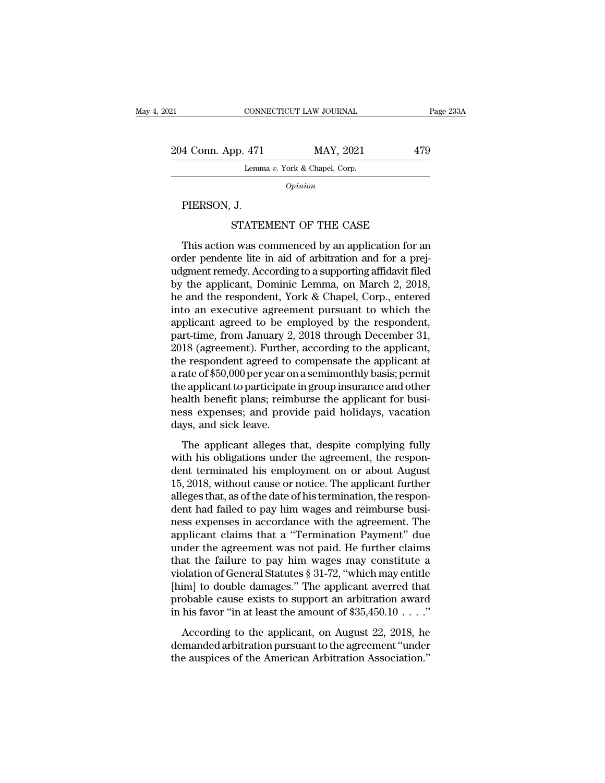21 CONNECTICUT LAW JOURNAL Page 233A<br>
204 Conn. App. 471 MAY, 2021 479<br>
Lemma v. York & Chapel, Corp. CONNECTICUT LAW JOURNAL<br>
471 MAY, 2021<br>
Lemma *v*. York & Chapel, Corp. 4 Conn. App. 471<br>
Lemm<br>
PIERSON, J.<br>
STATE 9 (pp. 471 MAY, 2021 479<br>
Lemma v. York & Chapel, Corp.<br>
Opinion<br>
J.<br>
STATEMENT OF THE CASE<br>
Nuvas commenced by an application for an

*Opinion*

Lemma v. York & Chapel, Corp.<br>
Opinion<br>
PIERSON, J.<br>
STATEMENT OF THE CASE<br>
This action was commenced by an application for an<br>
der pendente lite in aid of arbitration and for a prej-<br>
smoot remody. According to a supporti order pendente lite in aid of arbitration for an<br>order pendente lite in aid of arbitration and for a prej-<br>udgment remedy. According to a supporting affidavit filed<br>by the applicant. Deminic Lemma, on March 2, 2018 PIERSON, J.<br>
STATEMENT OF THE CASE<br>
This action was commenced by an application for an<br>
order pendente lite in aid of arbitration and for a prej-<br>
udgment remedy. According to a supporting affidavit filed<br>
by the applicant PIERSON, J.<br>STATEMENT OF THE CASE<br>This action was commenced by an application for an<br>order pendente lite in aid of arbitration and for a prej-<br>udgment remedy. According to a supporting affidavit filed<br>by the applicant, Dom STATEMENT OF THE CASE<br>This action was commenced by an application for an<br>order pendente lite in aid of arbitration and for a prej-<br>udgment remedy. According to a supporting affidavit filed<br>by the applicant, Dominic Lemma, This action was commenced by an application for an order pendente lite in aid of arbitration and for a prejudgment remedy. According to a supporting affidavit filed by the applicant, Dominic Lemma, on March 2, 2018, he an This action was commenced by an application for an order pendente lite in aid of arbitration and for a prejudgment remedy. According to a supporting affidavit filed by the applicant, Dominic Lemma, on March 2, 2018, he and order pendente lite in aid of arbitration and for a prejudgment remedy. According to a supporting affidavit filed<br>by the applicant, Dominic Lemma, on March 2, 2018,<br>he and the respondent, York & Chapel, Corp., entered<br>into udgment remedy. According to a supporting affidavit filed<br>by the applicant, Dominic Lemma, on March 2, 2018,<br>he and the respondent, York & Chapel, Corp., entered<br>into an executive agreement pursuant to which the<br>applicant by the applicant, Dominic Lemma, on March 2, 2018,<br>he and the respondent, York & Chapel, Corp., entered<br>into an executive agreement pursuant to which the<br>applicant agreed to be employed by the respondent,<br>part-time, from J he and the respondent, York & Chapel, Corp., entered<br>into an executive agreement pursuant to which the<br>applicant agreed to be employed by the respondent,<br>part-time, from January 2, 2018 through December 31,<br>2018 (agreement into an executive agreement pursuant to which the<br>applicant agreed to be employed by the respondent,<br>part-time, from January 2, 2018 through December 31,<br>2018 (agreement). Further, according to the applicant,<br>the responden applicant agreed to be employed by the respondent,<br>part-time, from January 2, 2018 through December 31,<br>2018 (agreement). Further, according to the applicant,<br>the respondent agreed to compensate the applicant at<br>a rate of part-time, from January 2, 2018 through December 31,<br>2018 (agreement). Further, according to the applicant,<br>the respondent agreed to compensate the applicant at<br>a rate of \$50,000 per year on a semimonthly basis; permit<br>the 2018 (agreement). Further<br>the respondent agreed to<br>a rate of \$50,000 per year or<br>the applicant to participate<br>health benefit plans; reim<br>ness expenses; and prov<br>days, and sick leave.<br>The applicant alleges t referred to compensate the applicant at<br>ate of \$50,000 per year on a semimonthly basis; permit<br>e applicant to participate in group insurance and other<br>alth benefit plans; reimburse the applicant for busi-<br>ss expenses; and The applicant to participate in group insurance and other<br>health benefit plans; reimburse the applicant for busi-<br>ness expenses; and provide paid holidays, vacation<br>days, and sick leave.<br>The applicant alleges that, despite

are applicant to paracipate in group institute and other<br>health benefit plans; reimburse the applicant for busi-<br>ness expenses; and provide paid holidays, vacation<br>days, and sick leave.<br>The applicant alleges that, despite The applicant point plans, removide paid holidays, vacation<br>days, and sick leave.<br>The applicant alleges that, despite complying fully<br>with his obligations under the agreement, the respon-<br>dent terminated his employment on days, and sick leave.<br>
The applicant alleges that, despite complying fully<br>
with his obligations under the agreement, the respon-<br>
dent terminated his employment on or about August<br>
15, 2018, without cause or notice. The a days, and sick icave.<br>The applicant alleges that, despite complying fully<br>with his obligations under the agreement, the respon-<br>dent terminated his employment on or about August<br>15, 2018, without cause or notice. The appli The applicant alleges that, despite complying fully<br>with his obligations under the agreement, the respon-<br>dent terminated his employment on or about August<br>15, 2018, without cause or notice. The applicant further<br>alleges t with his obligations under the agreement, the respondent terminated his employment on or about August 15, 2018, without cause or notice. The applicant further alleges that, as of the date of his termination, the respondent dent terminated his employment on or about August<br>15, 2018, without cause or notice. The applicant further<br>alleges that, as of the date of his termination, the respon-<br>dent had failed to pay him wages and reimburse busi-<br>n 15, 2018, without cause or notice. The applicant further<br>alleges that, as of the date of his termination, the respon-<br>dent had failed to pay him wages and reimburse busi-<br>ness expenses in accordance with the agreement. Th alleges that, as of the date of his termination, the respondent had failed to pay him wages and reimburse business expenses in accordance with the agreement. The applicant claims that a "Termination Payment" due under the dent had failed to pay him wages and reimburse business expenses in accordance with the agreement. The applicant claims that a "Termination Payment" due under the agreement was not paid. He further claims that the failure ness expenses in accordance with the agreement. The<br>applicant claims that a "Termination Payment" due<br>under the agreement was not paid. He further claims<br>that the failure to pay him wages may constitute a<br>violation of Gen applicant claims that a "Termination Payment" due<br>under the agreement was not paid. He further claims<br>that the failure to pay him wages may constitute a<br>violation of General Statutes § 31-72, "which may entitle<br>[him] to d at the failure to pay him wages may constitute a<br>plation of General Statutes § 31-72, "which may entitle<br>im] to double damages." The applicant averred that<br>obable cause exists to support an arbitration award<br>his favor "in violation of General Statutes § 31-72, "which may entitle [him] to double damages." The applicant averred that probable cause exists to support an arbitration award in his favor "in at least the amount of \$35,450.10  $\dots$ . Final is double damages." The applicant averred that probable cause exists to support an arbitration award in his favor "in at least the amount of \$35,450.10  $\dots$ ."<br>According to the applicant, on August 22, 2018, he deman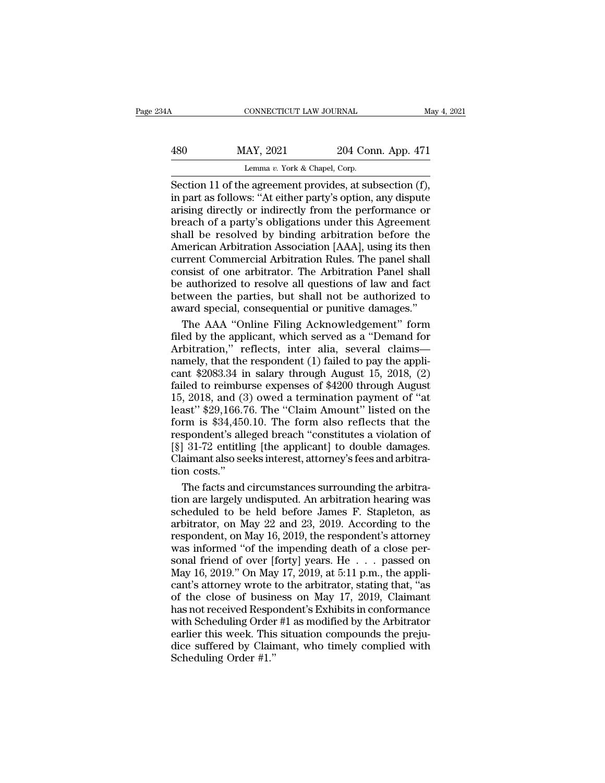| 34A | CONNECTICUT LAW JOURNAL                                  |                    | May 4, 2021 |
|-----|----------------------------------------------------------|--------------------|-------------|
| 480 | MAY, 2021                                                | 204 Conn. App. 471 |             |
|     | Lemma v. York & Chapel, Corp.                            |                    |             |
|     | Section 11 of the agreement provides at subsection $(f)$ |                    |             |

CONNECTICUT LAW JOURNAL May 4, 2<br>
MAY, 2021 204 Conn. App. 471<br>
Lemma v. York & Chapel, Corp.<br>
Section 11 of the agreement provides, at subsection (f),<br>
in part as follows: "At either party's option, any dispute<br>
arising d MAY, 2021 204 Conn. App. 471<br>
Lemma v. York & Chapel, Corp.<br>
Section 11 of the agreement provides, at subsection (f),<br>
in part as follows: "At either party's option, any dispute<br>
arising directly or indirectly from the per 480 MAY, 2021 204 Conn. App. 471<br>
Lemma v. York & Chapel, Corp.<br>
Section 11 of the agreement provides, at subsection (f),<br>
in part as follows: "At either party's option, any dispute<br>
arising directly or indirectly from th  $\frac{\text{MAX}}{\text{Lemma } v. \text{ York & Chapter 471}}$ <br>
Lemma  $v. \text{ York & Chapter 471}$ <br>
Section 11 of the agreement provides, at subsection (f),<br>
in part as follows: "At either party's option, any dispute<br>
arising directly or indirectly from the perform Section 11 of the agreement provides, at subsection (f),<br>
Section 11 of the agreement provides, at subsection (f),<br>
in part as follows: "At either party's option, any dispute<br>
arising directly or indirectly from the perfo Lemma v. York & Chapel, Corp.<br>
Section 11 of the agreement provides, at subsection (f),<br>
in part as follows: "At either party's option, any dispute<br>
arising directly or indirectly from the performance or<br>
breach of a party Section 11 of the agreement provides, at subsection (f),<br>in part as follows: "At either party's option, any dispute<br>arising directly or indirectly from the performance or<br>breach of a party's obligations under this Agreemen in part as follows: "At either party's option, any dispute<br>arising directly or indirectly from the performance or<br>breach of a party's obligations under this Agreement<br>shall be resolved by binding arbitration before the<br>Ame arising directly or indirectly from the performance or<br>breach of a party's obligations under this Agreement<br>shall be resolved by binding arbitration before the<br>American Arbitration Association [AAA], using its then<br>current breach of a party's obligations under this Agreement<br>shall be resolved by binding arbitration before the<br>American Arbitration Association [AAA], using its then<br>current Commercial Arbitration Rules. The panel shall<br>consist shall be resolved by binding arbitration before the<br>American Arbitration Association [AAA], using its then<br>current Commercial Arbitration Rules. The panel shall<br>consist of one arbitrator. The Arbitration Panel shall<br>be aut merican Arbitration Association [AAA], using its then<br>rrent Commercial Arbitration Rules. The panel shall<br>nsist of one arbitrator. The Arbitration Panel shall<br>authorized to resolve all questions of law and fact<br>tween the p current Commercial Arbitration Rules. The panel shall<br>consist of one arbitrator. The Arbitration Panel shall<br>be authorized to resolve all questions of law and fact<br>between the parties, but shall not be authorized to<br>award

consist of one arbitrator. The Arbitration Panel shall<br>be authorized to resolve all questions of law and fact<br>between the parties, but shall not be authorized to<br>award special, consequential or punitive damages."<br>The AAA " be authorized to resolve all questions of law and fact<br>between the parties, but shall not be authorized to<br>award special, consequential or punitive damages."<br>The AAA "Online Filing Acknowledgement" form<br>filed by the applic between the parties, but shall not be authorized to<br>award special, consequential or punitive damages."<br>The AAA "Online Filing Acknowledgement" form<br>filed by the applicant, which served as a "Demand for<br>Arbitration," reflec award special, consequential or punitive damages."<br>The AAA "Online Filing Acknowledgement" form<br>filed by the applicant, which served as a "Demand for<br>Arbitration," reflects, inter-alia, several claims—<br>namely, that the res The AAA "Online Filing Acknowledgement" form<br>filed by the applicant, which served as a "Demand for<br>Arbitration," reflects, inter alia, several claims—<br>namely, that the respondent (1) failed to pay the appli-<br>cant \$2083.34 Filed by the applicant, which served as a "Demand for<br>Arbitration," reflects, inter alia, several claims—<br>namely, that the respondent (1) failed to pay the appli-<br>cant \$2083.34 in salary through August 15, 2018, (2)<br>failed Arbitration," reflects, inter alia, several claims—<br>namely, that the respondent (1) failed to pay the applicant \$2083.34 in salary through August 15, 2018, (2)<br>failed to reimburse expenses of \$4200 through August<br>15, 2018 respondent (1) failed to pay the applicant \$2083.34 in salary through August 15, 2018, (2) failed to reimburse expenses of \$4200 through August 15, 2018, and (3) owed a termination payment of "at least" \$29,166.76. The "C Framely, the applicant (1) rance to pay and  $\frac{1}{2}$  cant \$2083.34 in salary through August 15, 2018, (2) failed to reimburse expenses of \$4200 through August 15, 2018, and (3) owed a termination payment of "at least" \$2 Called to reimburse expenses of \$4200 through August 15, 2018, and (3) owed a termination payment of "at least" \$29,166.76. The "Claim Amount" listed on the form is \$34,450.10. The form also reflects that the respondent's 15, 2018, and  $(3$ <br>least" \$29,166.7<br>form is \$34,456<br>respondent's all<br>[§] 31-72 entitlin<br>Claimant also se<br>tion costs."<br>The facts and ast" \$29,166.76. The "Claim Amount" listed on the<br>rm is \$34,450.10. The form also reflects that the<br>spondent's alleged breach "constitutes a violation of<br>31-72 entitling [the applicant] to double damages.<br>aimant also seeks form is \$34,450.10. The form also reflects that the<br>respondent's alleged breach "constitutes a violation of<br>[§] 31-72 entitling [the applicant] to double damages.<br>Claimant also seeks interest, attorney's fees and arbitra-

respondent's alleged breach "constitutes a violation of<br>[§] 31-72 entitling [the applicant] to double damages.<br>Claimant also seeks interest, attorney's fees and arbitra-<br>tion costs."<br>The facts and circumstances surrounding [§] 31-72 entitling [the applicant] to double damages.<br>Claimant also seeks interest, attorney's fees and arbitration costs."<br>The facts and circumstances surrounding the arbitration are largely undisputed. An arbitration h Claimant also seeks interest, attorney's fees and arbitration costs."<br>The facts and circumstances surrounding the arbitration are largely undisputed. An arbitration hearing was<br>scheduled to be held before James F. Stapleto tion costs."<br>The facts and circumstances surrounding the arbitration are largely undisputed. An arbitration hearing was<br>scheduled to be held before James F. Stapleton, as<br>arbitrator, on May 22 and 23, 2019. According to t The facts and circumstances surrounding the arbitration are largely undisputed. An arbitration hearing was scheduled to be held before James F. Stapleton, as arbitrator, on May 22 and 23, 2019. According to the respondent The recent of a connected. An arbitrating the aring was<br>scheduled to be held before James F. Stapleton, as<br>arbitrator, on May 22 and 23, 2019. According to the<br>respondent, on May 16, 2019, the respondent's attorney<br>was in scheduled to be held before James F. Stapleton, as<br>arbitrator, on May 22 and 23, 2019. According to the<br>respondent, on May 16, 2019, the respondent's attorney<br>was informed "of the impending death of a close per-<br>sonal fri arbitrator, on May 22 and 23, 2019. According to the<br>respondent, on May 16, 2019, the respondent's attorney<br>was informed "of the impending death of a close per-<br>sonal friend of over [forty] years. He . . . passed on<br>May 1 respondent, on May 16, 2019, the respondent's attorney<br>was informed "of the impending death of a close per-<br>sonal friend of over [forty] years. He  $\ldots$  passed on<br>May 16, 2019." On May 17, 2019, at 5:11 p.m., the appli-<br>c was informed "of the impending death of a close per-<br>sonal friend of over [forty] years. He . . . passed on<br>May 16, 2019." On May 17, 2019, at 5:11 p.m., the appli-<br>cant's attorney wrote to the arbitrator, stating that, " sonal friend of over [forty] years. He  $\ldots$  passed on May 16, 2019." On May 17, 2019, at 5:11 p.m., the applicant's attorney wrote to the arbitrator, stating that, "as of the close of business on May 17, 2019, Claimant h May 16, 2019." On May 17, 2019, at 5:11 p.m., the applicant's attorney wrote to the arbitrator, stating that, "as of the close of business on May 17, 2019, Claimant has not received Respondent's Exhibits in conformance wi From Prote 1<br>Cant's attorney wrote 1<br>of the close of busin<br>has not received Respo<br>with Scheduling Order<br>earlier this week. This<br>dice suffered by Clain<br>Scheduling Order #1."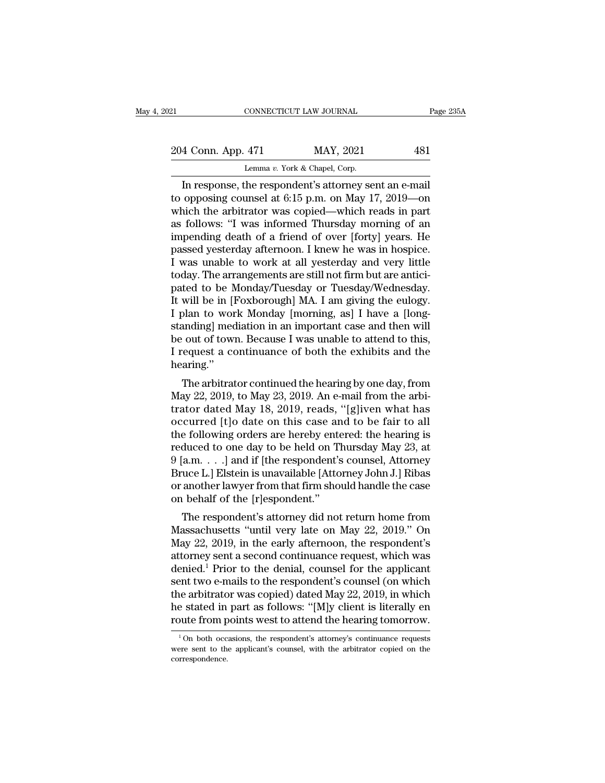| 21                 | CONNECTICUT LAW JOURNAL                              | Page 235A |
|--------------------|------------------------------------------------------|-----------|
| 204 Conn. App. 471 | MAY, 2021                                            | 481       |
|                    | Lemma v. York & Chapel, Corp.                        |           |
|                    | In response the respondent's attorney sent an e-mail |           |

CONNECTICUT LAW JOURNAL Page 23<br>
4 Conn. App. 471 MAY, 2021 481<br>
Lemma v. York & Chapel, Corp.<br>
In response, the respondent's attorney sent an e-mail<br>
opposing counsel at 6:15 p.m. on May 17, 2019—on<br>
aich the arbitrator w 204 Conn. App. 471 MAY, 2021 481<br>
Lemma v. York & Chapel, Corp.<br>
In response, the respondent's attorney sent an e-mail<br>
to opposing counsel at 6:15 p.m. on May 17, 2019—on<br>
which the arbitrator was copied—which reads in pa 204 Conn. App. 471 MAY, 2021 481<br>
Lemma v. York & Chapel, Corp.<br>
In response, the respondent's attorney sent an e-mail<br>
to opposing counsel at 6:15 p.m. on May 17, 2019—on<br>
which the arbitrator was copied—which reads in p 204 Conn. App. 471 MAY, 2021 481<br>
Lemma v. York & Chapel, Corp.<br>
In response, the respondent's attorney sent an e-mail<br>
to opposing counsel at 6:15 p.m. on May 17, 2019—on<br>
which the arbitrator was copied—which reads in p Lemma v. York & Chapel, Corp.<br>
In response, the respondent's attorney sent an e-mail<br>
to opposing counsel at 6:15 p.m. on May 17, 2019—on<br>
which the arbitrator was copied—which reads in part<br>
as follows: "I was informed T Lemma v. York & Chapel, Corp.<br>In response, the respondent's attorney sent an e-mail<br>to opposing counsel at 6:15 p.m. on May 17, 2019—on<br>which the arbitrator was copied—which reads in part<br>as follows: "I was informed Thursd In response, the respondent's attorney sent an e-mail<br>to opposing counsel at 6:15 p.m. on May 17, 2019—on<br>which the arbitrator was copied—which reads in part<br>as follows: "I was informed Thursday morning of an<br>impending dea to opposing counsel at 6:15 p.m. on May 17, 2019—on<br>which the arbitrator was copied—which reads in part<br>as follows: "I was informed Thursday morning of an<br>impending death of a friend of over [forty] years. He<br>passed yester which the arbitrator was copied—which reads in part<br>as follows: "I was informed Thursday morning of an<br>impending death of a friend of over [forty] years. He<br>passed yesterday afternoon. I knew he was in hospice.<br>I was unabl as follows: "I was informed Thursday morning of an impending death of a friend of over [forty] years. He passed yesterday afternoon. I knew he was in hospice. I was unable to work at all yesterday and very little today. Th impending death of a friend of over [forty] years. He<br>passed yesterday afternoon. I knew he was in hospice.<br>I was unable to work at all yesterday and very little<br>today. The arrangements are still not firm but are antici-<br>p passed yesterday afternoon. I knew he was in hospice.<br>I was unable to work at all yesterday and very little today. The arrangements are still not firm but are anticipated to be Monday/Tuesday or Tuesday/Wednesday.<br>It will I was unable to work at all yesterday and very little<br>today. The arrangements are still not firm but are antici-<br>pated to be Monday/Tuesday or Tuesday/Wednesday.<br>It will be in [Foxborough] MA. I am giving the eulogy.<br>I pla today. The arrangements are still not firm but are antici-<br>pated to be Monday/Tuesday or Tuesday/Wednesday.<br>It will be in [Foxborough] MA. I am giving the eulogy.<br>I plan to work Monday [morning, as] I have a [long-<br>standin hearing.'' will be in [roxborough] MA. I and giving the ethogy.<br>plan to work Monday [morning, as] I have a [long-<br>anding] mediation in an important case and then will<br>cout of town. Because I was unable to attend to this,<br>request a co I plan to work Monday [morning, as] I have a [long-<br>standing] mediation in an important case and then will<br>be out of town. Because I was unable to attend to this,<br>I request a continuance of both the exhibits and the<br>hearin

standing) inediation in an important case and then will<br>be out of town. Because I was unable to attend to this,<br>I request a continuance of both the exhibits and the<br>hearing."<br>The arbitrator continued the hearing by one day be out of town. Because 1 was unable to attent to this,<br>I request a continuance of both the exhibits and the<br>hearing."<br>The arbitrator continued the hearing by one day, from<br>May 22, 2019, to May 23, 2019. An e-mail from th Trequest a continuance of both the exhibits and the<br>hearing."<br>The arbitrator continued the hearing by one day, from<br>May 22, 2019, to May 23, 2019. An e-mail from the arbi-<br>trator dated May 18, 2019, reads, "[g]iven what ha The arbitrator continued the hearing by one day, from<br>May 22, 2019, to May 23, 2019. An e-mail from the arbitrator dated May 18, 2019, reads, "[g]iven what has<br>occurred [t]o date on this case and to be fair to all<br>the fol The arbitrator continued the hearing by one day, from<br>May 22, 2019, to May 23, 2019. An e-mail from the arbitrator dated May 18, 2019, reads, "[g]iven what has<br>occurred [t]o date on this case and to be fair to all<br>the foll May 22, 2019, to May 23, 2019. An e-mail from the arbitrator dated May 18, 2019, reads, "[g]iven what has occurred [t]o date on this case and to be fair to all the following orders are hereby entered: the hearing is reduce trator dated May 18, 2019, reads, "[g]iven what has<br>occurred [t]o date on this case and to be fair to all<br>the following orders are hereby entered: the hearing is<br>reduced to one day to be held on Thursday May 23, at<br>9 [a.m. occurred [t]o date on this case are<br>the following orders are hereby entereduced to one day to be held on T<br>9 [a.m. . . .] and if [the respondent's<br>Bruce L.] Elstein is unavailable [Atto<br>or another lawyer from that firm sho E rollowing orders are hereby entered. the hearing is<br>duced to one day to be held on Thursday May 23, at<br>a.m. . . .] and if [the respondent's counsel, Attorney<br>uce L.] Elstein is unavailable [Attorney John J.] Ribas<br>anoth Feduced to one day to be held on Thursday may 25, at  $9$  [a.m. . . . ] and if [the respondent's counsel, Attorney Bruce L.] Elstein is unavailable [Attorney John J.] Ribas or another lawyer from that firm should handle the

 $B$  and  $B$  and  $B$  are respondent s counser, Adomey<br>Bruce L.] Elstein is unavailable [Attorney John J.] Ribas<br>or another lawyer from that firm should handle the case<br>on behalf of the [r]espondent."<br>The respondent's attor Bruce E. Esteem is unavanable [Attorney John J.] Knows<br>or another lawyer from that firm should handle the case<br>on behalf of the [r]espondent."<br>The respondent's attorney did not return home from<br>Massachusetts "until very l or another lawyer front that first should name the case<br>on behalf of the [r]espondent."<br>The respondent's attorney did not return home from<br>Massachusetts "until very late on May 22, 2019." On<br>May 22, 2019, in the early aft on benan of the plespontent.<br>The respondent's attorney did not return home from<br>Massachusetts "until very late on May 22, 2019." On<br>May 22, 2019, in the early afternoon, the respondent's<br>attorney sent a second continuance The respondent's attorney did not return home from<br>Massachusetts "until very late on May 22, 2019." On<br>May 22, 2019, in the early afternoon, the respondent's<br>attorney sent a second continuance request, which was<br>denied.<sup>1</sup> Massachusetts "until very late on May 22, 2019." On<br>May 22, 2019, in the early afternoon, the respondent's<br>attorney sent a second continuance request, which was<br>denied.<sup>1</sup> Prior to the denial, counsel for the applicant<br>sen May 22, 2019, in the early afternoon, the respondent's<br>attorney sent a second continuance request, which was<br>denied.<sup>1</sup> Prior to the denial, counsel for the applicant<br>sent two e-mails to the respondent's counsel (on which exercit two e-mails to the respondent's counsel (on which<br>he arbitrator was copied) dated May 22, 2019, in which<br>estated in part as follows: "[M]y client is literally en<br>oute from points west to attend the hearing tomorro the arbitrator was copied) dated May 22, 2019, in which<br>he stated in part as follows: "[M]y client is literally en<br>route from points west to attend the hearing tomorrow.<br> $\frac{1}{100}$  both occasions, the respondent's attorn

correspondence.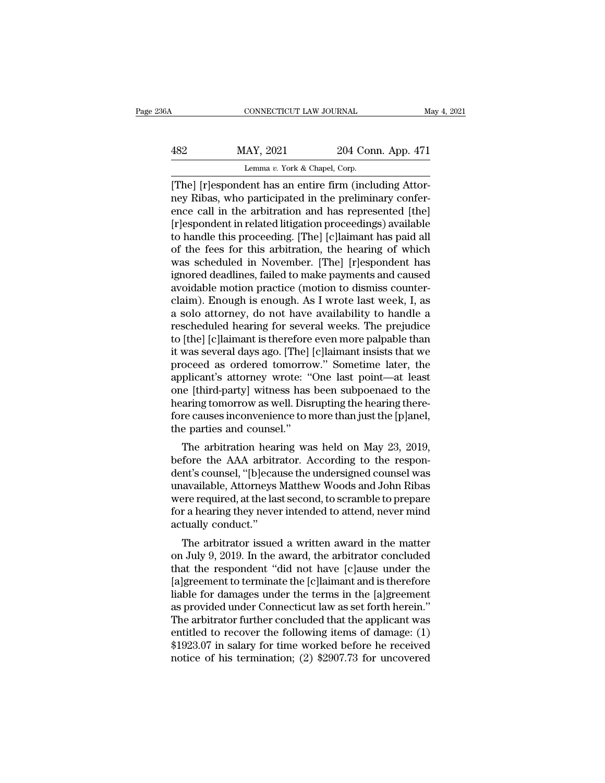# CONNECTICUT LAW JOURNAL May 4, 2021<br>482 MAY, 2021 204 Conn. App. 471<br>Lemma v. York & Chapel, Corp. Lemma *v.* York & Chapel, Corp.

CONNECTICUT LAW JOURNAL<br>
MAY, 2021 204 Conn. App. 471<br>
Lemma v. York & Chapel, Corp.<br>
[The] [r]espondent has an entire firm (including Attor-<br>
ney Ribas, who participated in the preliminary confer-<br>
ange gull in the arbitr MAY, 2021 204 Conn. App. 471<br>
Lemma v. York & Chapel, Corp.<br>
[The] [r]espondent has an entire firm (including Attor-<br>
ney Ribas, who participated in the preliminary confer-<br>
ence call in the arbitration and has represented  $\begin{tabular}{ll} \multicolumn{1}{l}{{\text{1}}}\\ \multicolumn{1}{l}{Max, 2021} & 204 \text{ Conn. App. 471}\\ \hline \multicolumn{1}{l}{\text{Lemma }v. York & Chapter,}\\ \hline \end{tabular} \begin{tabular}{ll} {\text{1}}\\ \multicolumn{1}{l}{\text{Lemma }v. York & Chapter,}\\ \multicolumn{1}{l}{\text{[The] [r]}}\\ \multicolumn{1}{l}{\text{[The] In the arbitration and has represented [the]}}\\ \multicolumn{1}{l}{\text{[the] [r]}}\\ \multicolumn{1}{l}{\text{[the] in the application proceeding}}} \end{$  $\frac{\text{MAY, 2021}}{\text{Lemma } v. \text{ York & Chapter 471}}$ <br>
Lemma  $v. \text{ York & Chapter 471}$ <br>
[The] [r]espondent has an entire firm (including Attor-<br>
ney Ribas, who participated in the preliminary confer-<br>
ence call in the arbitration and has represen Lemma v. York & Chapel, Corp.<br>
[The] [r]espondent has an entire firm (including Attor-<br>
ney Ribas, who participated in the preliminary confer-<br>
ence call in the arbitration and has represented [the]<br>
[r]espondent in relat Lemma v. York & Chapel, Corp.<br>
[The] [r]espondent has an entire firm (including Attor-<br>
ney Ribas, who participated in the preliminary confer-<br>
ence call in the arbitration and has represented [the]<br>
[r]espondent in relat [The] [r]espondent has an entire firm (including Attor-<br>ney Ribas, who participated in the preliminary confer-<br>ence call in the arbitration and has represented [the]<br>[r]espondent in related litigation proceedings) availabl ney Ribas, who participated in the preliminary conference call in the arbitration and has represented [the] [r]espondent in related litigation proceedings) available to handle this proceeding. [The] [c]laimant has paid all ence call in the arbitration and has represented [the] [r]espondent in related litigation proceedings) available to handle this proceeding. [The] [c]laimant has paid all of the fees for this arbitration, the hearing of whi [r]espondent in related litigation proceedings) available<br>to handle this proceeding. [The] [c]laimant has paid all<br>of the fees for this arbitration, the hearing of which<br>was scheduled in November. [The] [r]espondent has<br>ig to handle this proceeding. [The] [c]laimant has paid all<br>of the fees for this arbitration, the hearing of which<br>was scheduled in November. [The] [r]espondent has<br>ignored deadlines, failed to make payments and caused<br>avoida of the fees for this arbitration, the hearing of which<br>was scheduled in November. [The] [r]espondent has<br>ignored deadlines, failed to make payments and caused<br>avoidable motion practice (motion to dismiss counter-<br>claim). E was scheduled in November. [The] [r]espondent has<br>ignored deadlines, failed to make payments and caused<br>avoidable motion practice (motion to dismiss counter-<br>claim). Enough is enough. As I wrote last week, I, as<br>a solo att ignored deadlines, failed to make payments and caused<br>avoidable motion practice (motion to dismiss counter-<br>claim). Enough is enough. As I wrote last week, I, as<br>a solo attorney, do not have availability to handle a<br>resche avoidable motion practice (motion to dismiss counter-<br>claim). Enough is enough. As I wrote last week, I, as<br>a solo attorney, do not have availability to handle a<br>rescheduled hearing for several weeks. The prejudice<br>to [the claim). Enough is enough. As I wrote last week, I, as<br>a solo attorney, do not have availability to handle a<br>rescheduled hearing for several weeks. The prejudice<br>to [the] [c]laimant is therefore even more palpable than<br>it w a solo attorney, do not have availability to handle a<br>rescheduled hearing for several weeks. The prejudice<br>to [the] [c]laimant is therefore even more palpable than<br>it was several days ago. [The] [c]laimant insists that we<br> rescheduled hearing for several weeks. The prejudice<br>to [the] [c]laimant is therefore even more palpable than<br>it was several days ago. [The] [c]laimant insists that we<br>proceed as ordered tomorrow." Sometime later, the<br>appl to [the] [c]laimant is therefore even more palpable than<br>it was several days ago. [The] [c]laimant insists that we<br>proceed as ordered tomorrow." Sometime later, the<br>applicant's attorney wrote: "One last point—at least<br>one proceed as ordered tomorrow." Sometime later, the<br>applicant's attorney wrote: "One last point—at least<br>one [third-party] witness has been subpoenaed to the<br>hearing tomorrow as well. Disrupting the hearing there-<br>fore cause between as ordered tomorrow. Sometime fater, the<br>plicant's attorney wrote: "One last point—at least<br>hearing tomorrow as well. Disrupting the hearing there-<br>re causes inconvenience to more than just the [p]anel,<br>e parties a applicant's attorney wrote. One last point—at least<br>one [third-party] witness has been subpoenaed to the<br>hearing tomorrow as well. Disrupting the hearing there-<br>fore causes inconvenience to more than just the [p]anel,<br>the

one [uniu-party] writess has been subpoented to the<br>hearing tomorrow as well. Disrupting the hearing there-<br>fore causes inconvenience to more than just the [p]anel,<br>the parties and counsel."<br>The arbitration hearing was hel rearing comorrow as wen. Disrupting the hearing there-<br>fore causes inconvenience to more than just the [p]anel,<br>the parties and counsel."<br>The arbitration hearing was held on May 23, 2019,<br>before the AAA arbitrator. Accordi Fore causes inconvenience to note than just the ppaner,<br>the parties and counsel."<br>The arbitration hearing was held on May 23, 2019,<br>before the AAA arbitrator. According to the respon-<br>dent's counsel, "[b]ecause the undersi The arbitration hearing was held on May 23, 2019,<br>before the AAA arbitrator. According to the respon-<br>dent's counsel, "[b]ecause the undersigned counsel was<br>unavailable, Attorneys Matthew Woods and John Ribas<br>were required The arbitration hear<br>before the AAA arbitr<br>dent's counsel, "[b]ecau<br>unavailable, Attorneys<br>were required, at the las<br>for a hearing they neve<br>actually conduct."<br>The arbitrator issued The arbitrator issued a written award in the matter is although the matter required, at the last second, to scramble to prepare r a hearing they never intended to attend, never mind tually conduct."<br>The arbitrator issued a dent is counset, pojecause the undersighed counser was<br>unavailable, Attorneys Matthew Woods and John Ribas<br>were required, at the last second, to scramble to prepare<br>for a hearing they never intended to attend, never mind<br>a

that the respondent the last second, to scramble to prepare<br>for a hearing they never intended to attend, never mind<br>actually conduct."<br>The arbitrator issued a written award in the matter<br>on July 9, 2019. In the award, the were required, at the last second, to scramble to prepare<br>for a hearing they never intended to attend, never mind<br>actually conduct."<br>The arbitrator issued a written award in the matter<br>on July 9, 2019. In the award, the ar liable for damages under the terms in the matter on July 9, 2019. In the award, the arbitrator concluded that the respondent "did not have [c]ause under the [a]greement to terminate the [c]laimant and is therefore liable f actually conduct.<br>The arbitrator issued a written award in the matter<br>on July 9, 2019. In the award, the arbitrator concluded<br>that the respondent "did not have [c]ause under the<br>[a]greement to terminate the [c]laimant and The arbitrator issued a written award in the matter<br>on July 9, 2019. In the award, the arbitrator concluded<br>that the respondent "did not have [c]ause under the<br>[a]greement to terminate the [c]laimant and is therefore<br>liabl on July 9, 2019. In the award, the arbitrator concluded<br>that the respondent "did not have [c]ause under the<br>[a]greement to terminate the [c]laimant and is therefore<br>liable for damages under the terms in the [a]greement<br>as that the respondent "did not have [c]ause under the<br>[a]greement to terminate the [c]laimant and is therefore<br>liable for damages under the terms in the [a]greement<br>as provided under Connecticut law as set forth herein."<br>The [a]greement to terminate the [c]laimant and is therefore<br>liable for damages under the terms in the [a]greement<br>as provided under Connecticut law as set forth herein."<br>The arbitrator further concluded that the applicant wa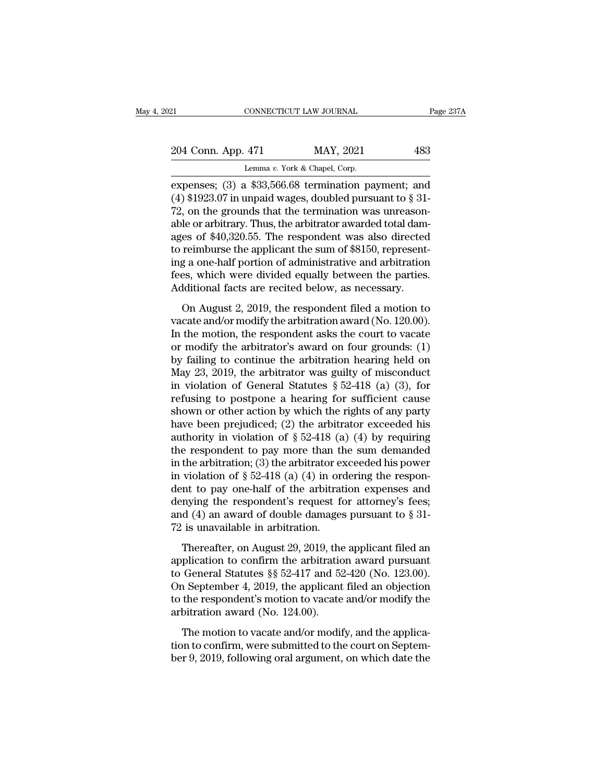| 21                 | CONNECTICUT LAW JOURNAL                                | Page 237A |
|--------------------|--------------------------------------------------------|-----------|
| 204 Conn. App. 471 | MAY, 2021                                              | 483       |
|                    | Lemma v. York & Chapel, Corp.                          |           |
|                    | expenses: $(3)$ a \$33.566.68 termination payment: and |           |

expenses; (3) a \$33,566.68 termination was unreason that the series of the series of the series of the series of the series of the series of the series of the series of the series of the series of the series of the series (4)  $\frac{204 \text{ Conn. App. 471}}{204 \text{ Conn. App. 471}}$  MAY, 2021 483<br>Lemma v. York & Chapel, Corp.<br>expenses; (3) a \$33,566.68 termination payment; and<br>(4) \$1923.07 in unpaid wages, doubled pursuant to § 31-<br>72, on the grounds that the 204 Conn. App. 471 MAY, 2021 483<br>
Lemma v. York & Chapel, Corp.<br>
expenses; (3) a \$33,566.68 termination payment; and<br>
(4) \$1923.07 in unpaid wages, doubled pursuant to § 31-<br>
72, on the grounds that the termination was un 204 Conn. App. 471 MAY, 2021 483<br>
Lemma v. York & Chapel, Corp.<br>
expenses; (3) a \$33,566.68 termination payment; and<br>
(4) \$1923.07 in unpaid wages, doubled pursuant to § 31-<br>
72, on the grounds that the termination was un Lemma v. York & Chapel, Corp.<br>
expenses; (3) a \$33,566.68 termination payment; and<br>
(4) \$1923.07 in unpaid wages, doubled pursuant to § 31-<br>
72, on the grounds that the termination was unreason-<br>
able or arbitrary. Thus, Lemma v. York & Chapel, Corp.<br>
expenses; (3) a \$33,566.68 termination payment; and<br>
(4) \$1923.07 in unpaid wages, doubled pursuant to \$31-<br>
72, on the grounds that the termination was unreason-<br>
able or arbitrary. Thus, t expenses; (3) a \$33,566.68 termination payment; and (4) \$1923.07 in unpaid wages, doubled pursuant to  $\S$  31-72, on the grounds that the termination was unreasonable or arbitrary. Thus, the arbitrator awarded total damage (4) \$1923.07 in unpaid wages, doubled pursuant to  $\S$  31-72, on the grounds that the termination was unreasonable or arbitrary. Thus, the arbitrator awarded total damages of \$40,320.55. The respondent was also directed to 72, on the grounds that the termination was unreasonable or arbitrary. Thus, the arbitrator awarded total damages of  $$40,320.55$ . The respondent was also directed to reimburse the applicant the sum of  $$8150$ , representi E of abstraint, thus, are abstracted awarded toda dation<br>
es of \$40,320.55. The respondent was also directed<br>
reimburse the applicant the sum of \$8150, represent-<br>
g a one-half portion of administrative and arbitration<br>
e vacation of alministrative and arbitration<br>to reimburse the applicant the sum of \$8150, represent-<br>ing a one-half portion of administrative and arbitration<br>fees, which were divided equally between the parties.<br>Additional

In the motion of administrative and arbitration<br>ing a one-half portion of administrative and arbitration<br>fees, which were divided equally between the parties.<br>Additional facts are recited below, as necessary.<br>On August 2, right of main porton of administrator and absoluted fees, which were divided equally between the parties.<br>Additional facts are recited below, as necessary.<br>On August 2, 2019, the respondent filed a motion to<br>vacate and/or By failured and the parameter of the parameters.<br>Additional facts are recited below, as necessary.<br>On August 2, 2019, the respondent filed a motion to<br>vacate and/or modify the arbitration award (No. 120.00).<br>In the motion On August 2, 2019, the respondent filed a motion to vacate and/or modify the arbitration award (No. 120.00).<br>In the motion, the respondent asks the court to vacate or modify the arbitrator's award on four grounds: (1) by On August 2, 2019, the respondent filed a motion to vacate and/or modify the arbitration award (No. 120.00).<br>In the motion, the respondent asks the court to vacate or modify the arbitrator's award on four grounds: (1) by vacate and/or modify the arbitration award (No. 120.00).<br>In the motion, the respondent asks the court to vacate<br>or modify the arbitrator's award on four grounds: (1)<br>by failing to continue the arbitration hearing held on<br> In the motion, the respondent asks the court to vacate<br>or modify the arbitrator's award on four grounds: (1)<br>by failing to continue the arbitration hearing held on<br>May 23, 2019, the arbitrator was guilty of misconduct<br>in or modify the arbitrator's award on four grounds: (1)<br>by failing to continue the arbitration hearing held on<br>May 23, 2019, the arbitrator was guilty of misconduct<br>in violation of General Statutes  $\S 52-418$  (a) (3), for<br>r by failing to continue the arbitration hearing held on<br>May 23, 2019, the arbitrator was guilty of misconduct<br>in violation of General Statutes § 52-418 (a) (3), for<br>refusing to postpone a hearing for sufficient cause<br>shown May 23, 2019, the arbitrator was guilty of misconduct<br>in violation of General Statutes § 52-418 (a) (3), for<br>refusing to postpone a hearing for sufficient cause<br>shown or other action by which the rights of any party<br>have in violation of General Statutes  $\S$  52-418 (a) (3), for<br>refusing to postpone a hearing for sufficient cause<br>shown or other action by which the rights of any party<br>have been prejudiced; (2) the arbitrator exceeded his<br>aut refusing to postpone a hearing for sufficient cause<br>shown or other action by which the rights of any party<br>have been prejudiced; (2) the arbitrator exceeded his<br>authority in violation of  $\S 52-418$  (a) (4) by requiring<br>th shown or other action by which the rights of any party<br>have been prejudiced; (2) the arbitrator exceeded his<br>authority in violation of  $\S 52-418$  (a) (4) by requiring<br>the respondent to pay more than the sum demanded<br>in th have been prejudiced; (2) the arbitrator exceeded his<br>authority in violation of  $\S$  52-418 (a) (4) by requiring<br>the respondent to pay more than the sum demanded<br>in the arbitration; (3) the arbitrator exceeded his power<br>in authority in violation of  $\S$  52-418 (a) (4) by requiring<br>the respondent to pay more than the sum demanded<br>in the arbitration; (3) the arbitrator exceeded his power<br>in violation of  $\S$  52-418 (a) (4) in ordering the respo the respondent to pay more than the arbitration; (3) the arbitrator ex<br>in violation of  $\S$  52-418 (a) (4) in ordent to pay one-half of the arbitrat<br>denying the respondent's request fo<br>and (4) an award of double damages<br>72 included in Space and power<br>violation of § 52-418 (a) (4) in ordering the respon-<br>nt to pay one-half of the arbitration expenses and<br>nying the respondent's request for attorney's fees;<br>d (4) an award of double damages pur are visualized or  $\frac{1}{3}$  or  $\frac{1}{2}$  and  $\frac{1}{2}$  are otherwise and denying the respondent's request for attorney's fees;<br>and (4) an award of double damages pursuant to  $\frac{1}{3}$  31-<br>72 is unavailable in arbitration.

denying the respondent's request for attorney's fees;<br>and (4) an award of double damages pursuant to  $\S$  31-<br>72 is unavailable in arbitration.<br>Thereafter, on August 29, 2019, the applicant filed an<br>application to confirm and (4) an award of double damages pursuant to § 31-<br>72 is unavailable in arbitration.<br>Thereafter, on August 29, 2019, the applicant filed an<br>application to confirm the arbitration award pursuant<br>to General Statutes §§ 52 The responsalid is a module consider an applicant of  $\frac{1}{3}$  or  $\frac{1}{2}$  is unavailable in arbitration.<br>Thereafter, on August 29, 2019, the applicant filed an application to confirm the arbitration award pursuant to Ge Thereafter, on August 29, 2019, the<br>application to confirm the arbitratic<br>to General Statutes  $\S$  52-417 and 52<br>On September 4, 2019, the applicant<br>to the respondent's motion to vacate<br>arbitration award (No. 124.00).<br>The plication to confirm the arbitration award pursuant<br>plication to confirm the arbitration award pursuant<br>General Statutes §§ 52-417 and 52-420 (No. 123.00).<br>a September 4, 2019, the applicant filed an objection<br>the respond to General Statutes  $\S$  52-417 and 52-420 (No. 123.00).<br>On September 4, 2019, the applicant filed an objection<br>to the respondent's motion to vacate and/or modify the<br>arbitration award (No. 124.00).<br>The motion to vacate an ber 9, 2019, the applicant filed an objection<br>to the respondent's motion to vacate and/or modify the<br>arbitration award (No. 124.00).<br>The motion to vacate and/or modify, and the applica-<br>tion to confirm, were submitted to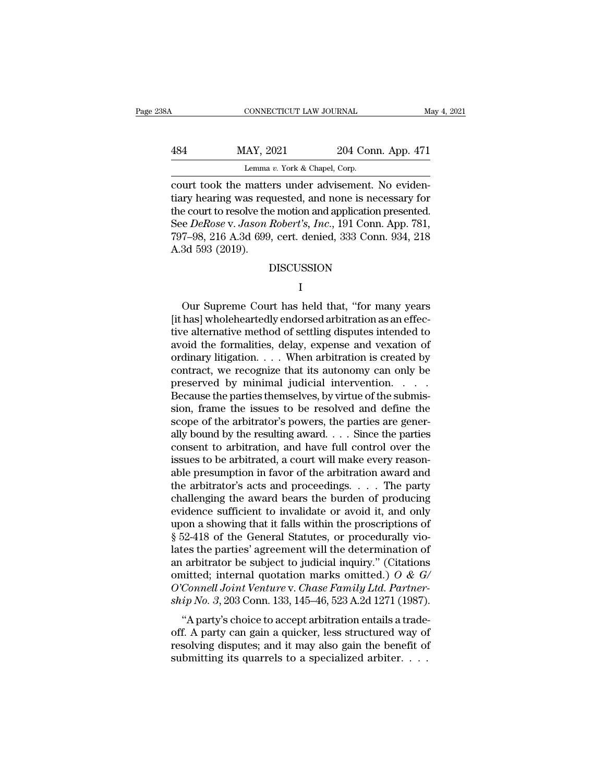| 38A | CONNECTICUT LAW JOURNAL                                                                                       |                                                           | May 4, 2021 |
|-----|---------------------------------------------------------------------------------------------------------------|-----------------------------------------------------------|-------------|
|     |                                                                                                               |                                                           |             |
| 484 | MAY, 2021                                                                                                     | 204 Conn. App. 471                                        |             |
|     | Lemma v. York & Chapel, Corp.                                                                                 |                                                           |             |
|     | court took the matters under advisement. No eviden-<br>tiary hearing was requested, and none is necessary for | the court to resolve the motion and application presented |             |

MAY, 2021 204 Conn. App. 471<br>
Lemma v. York & Chapel, Corp.<br>
court took the matters under advisement. No eviden-<br>
tiary hearing was requested, and none is necessary for<br>
the court to resolve the motion and application pres  $\frac{\text{MAX, } 2021}{\text{Lemma } v. \text{ York & Chapter, } \text{Copy. } 471}{\text{Lemma } v. \text{ York & Chapter, } \text{Copy.}}$ <br>
court took the matters under advisement. No evidentiary hearing was requested, and none is necessary for<br>
the court to resolve the motion and applicatio MAY, 2021 204 Conn. App. 471<br>
Lemma v. York & Chapel, Corp.<br>
court took the matters under advisement. No eviden-<br>
tiary hearing was requested, and none is necessary for<br>
the court to resolve the motion and application pres Lemma v. York & Chapel, Corp.<br>
court took the matters under advisement. No eviden-<br>
tiary hearing was requested, and none is necessary for<br>
the court to resolve the motion and application presented.<br>
See DeRose v. Jason Ro court took the matters under advisement. No evidentiary hearing was requested, and none is necessary for the court to resolve the motion and application presented. See *DeRose v. Jason Robert's, Inc.*, 191 Conn. App. 781,

### DISCUSSION

### I and the set of  $\mathbf{I}$

E Denose v. Jason hovert s, The., 191 Court. App. 761,<br>7–98, 216 A.3d 699, cert. denied, 333 Conn. 934, 218<br>3d 593 (2019).<br>DISCUSSION<br>I<br>Our Supreme Court has held that, "for many years<br>has] whole<br>heartedly endorsed arbitra  $[187–98, 210$  A.3d  $593$  (2019).<br>DISCUSSION<br>I<br>Our Supreme Court has held that, "for many years<br>[it has] wholeheartedly endorsed arbitration as an effec-<br>tive alternative method of settling disputes intended to<br>avoid the DISCUSSION<br>
DISCUSSION<br>
I<br>
Our Supreme Court has held that, "for many years<br>
[it has] whole<br>heartedly endorsed arbitration as an effec-<br>
tive alternative method of settling disputes intended to<br>
avoid the formalities, dela DISCUSSION<br>
I<br>
Our Supreme Court has held that, "for many years<br>
[it has] wholeheartedly endorsed arbitration as an effec-<br>
tive alternative method of settling disputes intended to<br>
avoid the formalities, delay, expense an I<br>
Our Supreme Court has held that, "for many years<br>
[it has] wholeheartedly endorsed arbitration as an effec-<br>
tive alternative method of settling disputes intended to<br>
avoid the formalities, delay, expense and vexation o Our Supreme Court has held that, "for many years<br>[it has] wholeheartedly endorsed arbitration as an effec-<br>tive alternative method of settling disputes intended to<br>avoid the formalities, delay, expense and vexation of<br>ordi Our Supreme Court has held that, "for many years<br>[it has] wholeheartedly endorsed arbitration as an effec-<br>tive alternative method of settling disputes intended to<br>avoid the formalities, delay, expense and vexation of<br>ord [it has] wholeheartedly endorsed arbitration as an effective alternative method of settling disputes intended to avoid the formalities, delay, expense and vexation of ordinary litigation.  $\dots$  When arbitration is created tive alternative method of settling disputes intended to<br>avoid the formalities, delay, expense and vexation of<br>ordinary litigation. . . . When arbitration is created by<br>contract, we recognize that its autonomy can only be<br> avoid the formalities, delay, expense and vexation of ordinary litigation. . . . When arbitration is created by contract, we recognize that its autonomy can only be preserved by minimal judicial intervention. . . . . Beca ordinary litigation. . . . When arbitration is created by<br>contract, we recognize that its autonomy can only be<br>preserved by minimal judicial intervention. . . . .<br>Because the parties themselves, by virtue of the submis-<br>si contract, we recognize that its autonomy can only be<br>preserved by minimal judicial intervention. . . . .<br>Because the parties themselves, by virtue of the submis-<br>sion, frame the issues to be resolved and define the<br>scope preserved by minimal judicial intervention. . . . . . Because the parties themselves, by virtue of the submission, frame the issues to be resolved and define the scope of the arbitrator's powers, the parties are generally Because the parties themselves, by virtue of the submission, frame the issues to be resolved and define the scope of the arbitrator's powers, the parties are generally bound by the resulting award.... Since the parties co sion, frame the issues to be resolved and define the<br>scope of the arbitrator's powers, the parties are gener-<br>ally bound by the resulting award. . . . Since the parties<br>consent to arbitration, and have full control over t scope of the arbitrator's powers, the parties are generally bound by the resulting award. . . . Since the parties<br>consent to arbitration, and have full control over the<br>issues to be arbitrated, a court will make every rea ally bound by the resulting award. . . . Since the parties<br>consent to arbitration, and have full control over the<br>issues to be arbitrated, a court will make every reason-<br>able presumption in favor of the arbitration award consent to arbitration, and have full control over the issues to be arbitrated, a court will make every reasonable presumption in favor of the arbitration award and the arbitrator's acts and proceedings.  $\dots$  The party ch issues to be arbitrated, a court will make every reasonable presumption in favor of the arbitration award and the arbitrator's acts and proceedings.  $\dots$  The party challenging the award bears the burden of producing evide able presumption in favor of the arbitration award and<br>the arbitrator's acts and proceedings. . . . The party<br>challenging the award bears the burden of producing<br>evidence sufficient to invalidate or avoid it, and only<br>upo the arbitrator's acts and proceedings. . . . . The party<br>challenging the award bears the burden of producing<br>evidence sufficient to invalidate or avoid it, and only<br>upon a showing that it falls within the proscriptions of challenging the award bears the burden of producing<br>evidence sufficient to invalidate or avoid it, and only<br>upon a showing that it falls within the proscriptions of<br> $\S 52-418$  of the General Statutes, or procedurally vioevidence sufficient to invalidate or avoid it, and only<br>upon a showing that it falls within the proscriptions of<br>§ 52-418 of the General Statutes, or procedurally vio-<br>lates the parties' agreement will the determination of upon a showing that it falls within the proscriptions of § 52-418 of the General Statutes, or procedurally violates the parties' agreement will the determination of an arbitrator be subject to judicial inquiry." (Citations  $\alpha$  particles the parties' agreement will the determination of arbitrator be subject to judicial inquiry." (Citations initted; internal quotation marks omitted.) O & G/Connell Joint Venture v. Chase Family Ltd. Partner-<br> rates the parties agreement win the determination of<br>an arbitrator be subject to judicial inquiry." (Citations<br>omitted; internal quotation marks omitted.) O & G/<br>O'Connell Joint Venture v. Chase Family Ltd. Partner-<br>ship

an arbitrator be subject to judicial inquiry. (Citations<br>omitted; internal quotation marks omitted.)  $O \& G$ <br> $O'Connell Joint Venture v. Chase Family Ltd. Partner-  
ship No. 3, 203 Conn. 133, 145–46, 523 A.2d 1271 (1987).$ <br>"A party's choice to accept arbitration entails a of Connell Joint Venture v. Chase Family Ltd. Partner-<br>Ship No. 3, 203 Conn. 133, 145–46, 523 A.2d 1271 (1987).<br>"A party's choice to accept arbitration entails a trade-<br>off. A party can gain a quicker, less structured way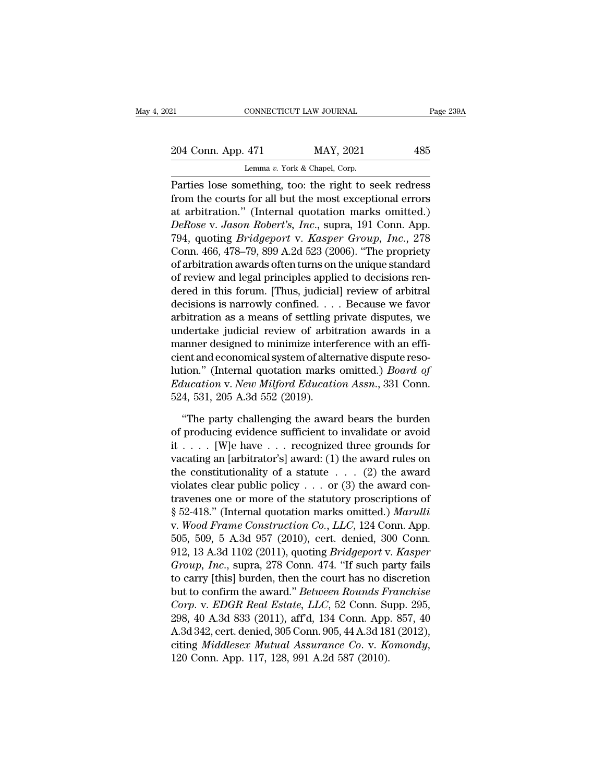# 21 CONNECTICUT LAW JOURNAL Page 239A<br>
204 Conn. App. 471 MAY, 2021 485<br>
Lemma v. York & Chapel, Corp. CONNECTICUT LAW JOURNAL<br>
204 Conn. App. 471 MAY, 2021 485<br>
Lemma *v*. York & Chapel, Corp.<br>
Parties lose something, too: the right to seek redress

Page 239A<br>
204 Conn. App. 471 MAY, 2021 485<br>
Lemma v. York & Chapel, Corp.<br>
Parties lose something, too: the right to seek redress<br>
from the courts for all but the most exceptional errors<br>
at arbitration " (Internal quotat 204 Conn. App. 471 MAY, 2021 485<br>
Lemma v. York & Chapel, Corp.<br>
Parties lose something, too: the right to seek redress<br>
from the courts for all but the most exceptional errors<br>
at arbitration." (Internal quotation marks 204 Conn. App. 471 MAY, 2021 485<br>
Lemma v. York & Chapel, Corp.<br>
Parties lose something, too: the right to seek redress<br>
from the courts for all but the most exceptional errors<br>
at arbitration." (Internal quotation marks *Derose v. York & Chapel, Corp.* 485<br> *Lemma v. York & Chapel, Corp.*<br> *Parties lose something, too: the right to seek redress*<br>
from the courts for all but the most exceptional errors<br>
at arbitration." (Internal quotation Lemma *v*. York & Chapel, Corp.<br>
Parties lose something, too: the right to seek redress<br>
from the courts for all but the most exceptional errors<br>
at arbitration." (Internal quotation marks omitted.)<br> *DeRose v. Jason Rober* Lemma *i*. Fork & Chaper, Corp.<br>
Parties lose something, too: the right to seek redress<br>
from the courts for all but the most exceptional errors<br>
at arbitration." (Internal quotation marks omitted.)<br> *DeRose v. Jason Rober* Parties lose something, too: the right to seek redress<br>from the courts for all but the most exceptional errors<br>at arbitration." (Internal quotation marks omitted.)<br>*DeRose v. Jason Robert's, Inc.*, supra, 191 Conn. App.<br>79 from the courts for all but the most exceptional errors<br>at arbitration." (Internal quotation marks omitted.)<br>DeRose v. Jason Robert's, Inc., supra, 191 Conn. App.<br>794, quoting Bridgeport v. Kasper Group, Inc., 278<br>Conn. 46 at arbitration." (Internal quotation marks omitted.)<br> *DeRose v. Jason Robert's, Inc.,* supra, 191 Conn. App.<br>
794, quoting *Bridgeport v. Kasper Group, Inc.*, 278<br>
Conn. 466, 478–79, 899 A.2d 523 (2006). "The propriety<br>
o DeRose v. Jason Robert's, Inc., supra, 191 Conn. App.<br>794, quoting Bridgeport v. Kasper Group, Inc., 278<br>Conn. 466, 478–79, 899 A.2d 523 (2006). "The propriety<br>of arbitration awards often turns on the unique standard<br>of re 794, quoting *Bridgeport* v. Kasper Group, Inc., 278<br>Conn. 466, 478–79, 899 A.2d 523 (2006). "The propriety<br>of arbitration awards often turns on the unique standard<br>of review and legal principles applied to decisions ren-Conn. 466, 478–79, 899 A.2d 523 (2006). "The propriety<br>of arbitration awards often turns on the unique standard<br>of review and legal principles applied to decisions ren-<br>dered in this forum. [Thus, judicial] review of arbit of arbitration awards often turns on the unique standard<br>of review and legal principles applied to decisions ren-<br>dered in this forum. [Thus, judicial] review of arbitral<br>decisions is narrowly confined. . . . Because we fa of review and legal principles applied to decisions rendered in this forum. [Thus, judicial] review of arbitral<br>decisions is narrowly confined. . . . Because we favor<br>arbitration as a means of settling private disputes, w dered in this forum. [Thus, judicial] review of arbitral<br>decisions is narrowly confined. . . . Because we favor<br>arbitration as a means of settling private disputes, we<br>undertake judicial review of arbitration awards in a<br>m decisions is narrowly confined. . . . Because we favor<br>arbitration as a means of settling private disputes, we<br>undertake judicial review of arbitration awards in a<br>manner designed to minimize interference with an effi-<br>cie arbitration as a means of settling p<br>undertake judicial review of arbit<br>manner designed to minimize interf<br>cient and economical system of alter<br>lution." (Internal quotation marks<br>*Education v. New Milford Educatio*<br>524, 53 when the party challenging the award bears are spectrum."<br>
The party challenging the award bears the burden producing evidence sufficient to invalidate or avoid<br>
The party challenging the award bears the burden producing e cient and economical system of alternative dispute resolution." (Internal quotation marks omitted.) *Board of*<br>*Education v. New Milford Education Assn.*, 331 Conn.<br>524, 531, 205 A.3d 552 (2019).<br>"The party challenging th

lution." (Internal quotation marks omitted.) *Board of*<br> *Education v. New Milford Education Assn.*, 331 Conn.<br>
524, 531, 205 A.3d 552 (2019).<br>
"The party challenging the award bears the burden<br>
of producing evidence suffi Education v. New Milford Education Assn., 331 Conn.<br>524, 531, 205 A.3d 552 (2019).<br>
"The party challenging the award bears the burden<br>
of producing evidence sufficient to invalidate or avoid<br>
it . . . . [W]e have . . . re 524, 531, 205 A.3d 552 (2019).<br>
"The party challenging the award bears the burden<br>
of producing evidence sufficient to invalidate or avoid<br>
it . . . . [W]e have . . . recognized three grounds for<br>
vacating an [arbitrator' "The party challenging the award bears the burden<br>of producing evidence sufficient to invalidate or avoid<br>it . . . . [W]e have . . . recognized three grounds for<br>vacating an [arbitrator's] award: (1) the award rules on<br>th "The party challenging the award bears the burden<br>of producing evidence sufficient to invalidate or avoid<br>it . . . . [W]e have . . . recognized three grounds for<br>vacating an [arbitrator's] award: (1) the award rules on<br>th of producing evidence sufficient to invalidate or avoid<br>it . . . . [W]e have . . . recognized three grounds for<br>vacating an [arbitrator's] award: (1) the award rules on<br>the constitutionality of a statute . . . (2) the awa it . . . . [W]e have . . . recognized three grounds for vacating an [arbitrator's] award: (1) the award rules on the constitutionality of a statute . . . (2) the award contravenes one or more of the statutory proscription vacating an [arbitrator's] award: (1) the award rules on<br>the constitutionality of a statute . . . (2) the award<br>violates clear public policy . . . or (3) the award con-<br>travenes one or more of the statutory proscriptions the constitutionality of a statute . . . (2) the award<br>violates clear public policy . . . or (3) the award con-<br>travenes one or more of the statutory proscriptions of<br> $\S 52-418$ ." (Internal quotation marks omitted.) *Maru* violates clear public policy . . . or (3) the award con-<br>travenes one or more of the statutory proscriptions of<br>§ 52-418." (Internal quotation marks omitted.) *Marulli*<br>v. *Wood Frame Construction Co., LLC,* 124 Conn. App. travenes one or more of the statutory proscriptions of<br>
§ 52-418." (Internal quotation marks omitted.) *Marulli*<br>
v. *Wood Frame Construction Co., LLC,* 124 Conn. App.<br>
505, 509, 5 A.3d 957 (2010), cert. denied, 300 Conn. § 52-418." (Internal quotation marks omitted.) *Marulli*<br>v. *Wood Frame Construction Co., LLC,* 124 Conn. App.<br>505, 509, 5 A.3d 957 (2010), cert. denied, 300 Conn.<br>912, 13 A.3d 1102 (2011), quoting *Bridgeport* v. *Kasper Corp. 124 Conn. App.*<br> *Co., LLC, 124 Conn. App.*<br> *Co., 509, 5 A.3d 957 (2010), cert. denied, 300 Conn.*<br> *Corp. 12, 13 A.3d 1102 (2011), quoting Bridgeport v. Kasper*<br> *Group, Inc., supra, 278 Conn. 474. "If such party* 505, 509, 5 A.3d 957 (2010), cert. denied, 300 Conn.<br>912, 13 A.3d 1102 (2011), quoting *Bridgeport* v. *Kasper*<br>*Group, Inc.*, supra, 278 Conn. 474. "If such party fails<br>to carry [this] burden, then the court has no discre 912, 13 A.3d 1102 (2011), quoting *Bridgeport* v. Kasper<br> *Group*, *Inc.*, supra, 278 Conn. 474. "If such party fails<br>
to carry [this] burden, then the court has no discretion<br>
but to confirm the award." *Between Rounds F* Group, Inc., supra, 278 Conn. 474. "If such party fails<br>to carry [this] burden, then the court has no discretion<br>but to confirm the award." *Between Rounds Franchise*<br>Corp. v. *EDGR Real Estate*, *LLC*, 52 Conn. Supp. 295,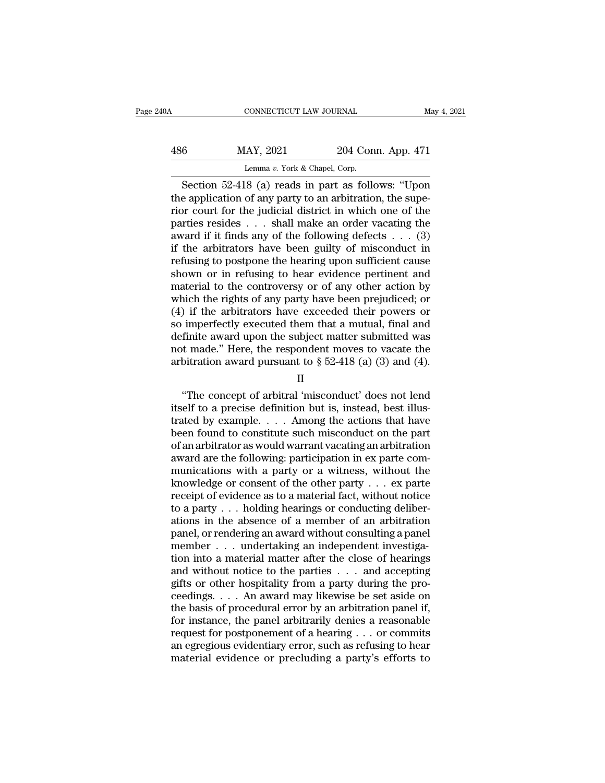| 240A | CONNECTICUT LAW JOURNAL                              |                    | May 4, 2021 |
|------|------------------------------------------------------|--------------------|-------------|
| 486  | MAY, 2021                                            | 204 Conn. App. 471 |             |
|      | Lemma v. York & Chapel, Corp.                        |                    |             |
|      | Section $52-418$ (a) reads in part as follows: "Upon |                    |             |

CONNECTICUT LAW JOURNAL May 4, 2021<br>
Section 52-418 (a) reads in part as follows: "Upon<br>
e application of any party to an arbitration, the superse court for the judicial district in which one of the 486 MAY, 2021 204 Conn. App. 471<br>
Lemma v. York & Chapel, Corp.<br>
Section 52-418 (a) reads in part as follows: "Upon<br>
the application of any party to an arbitration, the supe-<br>
rior court for the judicial district in which 486 MAY, 2021 204 Conn. App. 471<br>
Lemma v. York & Chapel, Corp.<br>
Section 52-418 (a) reads in part as follows: "Upon<br>
the application of any party to an arbitration, the superior court for the judicial district in which on 486 MAY, 2021 204 Conn. App. 471<br>
Lemma v. York & Chapel, Corp.<br>
Section 52-418 (a) reads in part as follows: "Upon<br>
the application of any party to an arbitration, the superior court for the judicial district in which on award if it finds any of the following defects . . . (3) Lemma v. York & Chapel, Corp.<br>
Section 52-418 (a) reads in part as follows: "Upon<br>
the application of any party to an arbitration, the supe-<br>
rior court for the judicial district in which one of the<br>
parties resides . . . Section 52-418 (a) reads in part as follows: "Upon<br>the application of any party to an arbitration, the supe-<br>rior court for the judicial district in which one of the<br>parties resides . . . shall make an order vacating the<br> the application of any party to an arbitration, the superior court for the judicial district in which one of the parties resides  $\dots$  shall make an order vacating the award if it finds any of the following defects  $\dots$  (3 rior court for the judicial district in which one of the<br>parties resides . . . shall make an order vacating the<br>award if it finds any of the following defects . . . (3)<br>if the arbitrators have been guilty of misconduct in parties resides . . . shall make an order vacating the award if it finds any of the following defects . . . (3) if the arbitrators have been guilty of misconduct in refusing to postpone the hearing upon sufficient cause s award if it finds any of the following defects  $\ldots$  (3)<br>if the arbitrators have been guilty of misconduct in<br>refusing to postpone the hearing upon sufficient cause<br>shown or in refusing to hear evidence pertinent and<br>mate if the arbitrators have been guilty of misconduct in<br>refusing to postpone the hearing upon sufficient cause<br>shown or in refusing to hear evidence pertinent and<br>material to the controversy or of any other action by<br>which th refusing to postpone the hearing upon sufficient cause<br>shown or in refusing to hear evidence pertinent and<br>material to the controversy or of any other action by<br>which the rights of any party have been prejudiced; or<br>(4) i shown or in refusing to hear evidence pertinent and<br>material to the controversy or of any other action by<br>which the rights of any party have been prejudiced; or<br>(4) if the arbitrators have exceeded their powers or<br>so impe material to the controversy or of any other action by<br>which the rights of any party have been prejudiced; or<br>(4) if the arbitrators have exceeded their powers or<br>so imperfectly executed them that a mutual, final and<br>defin The concrete of arbitral 'misconduct' does not lend<br>that a mutual, final and<br>finite award upon the subject matter submitted was<br>t made." Here, the respondent moves to vacate the<br>bitration award pursuant to  $\S 52-418$  (a)

II

so imperiectly executed them that a matual, mail and<br>definite award upon the subject matter submitted was<br>not made." Here, the respondent moves to vacate the<br>arbitration award pursuant to § 52-418 (a) (3) and (4).<br>II<br>"The transies a ward upon the subject matter submitted was<br>not made." Here, the respondent moves to vacate the<br>arbitration award pursuant to  $\S 52-418$  (a) (3) and (4).<br>II<br>"The concept of arbitral 'misconduct' does not lend<br>it arbitration award pursuant to  $\S$  52-418 (a) (3) and (4).<br>
II<br>
"The concept of arbitral 'misconduct' does not lend<br>
itself to a precise definition but is, instead, best illus-<br>
trated by example.... Among the actions that II<br>
"The concept of arbitral 'misconduct' does not lend<br>
itself to a precise definition but is, instead, best illus-<br>
trated by example.... Among the actions that have<br>
been found to constitute such misconduct on the part <sup>11</sup><br>
"The concept of arbitral 'misconduct' does not lend<br>
itself to a precise definition but is, instead, best illus-<br>
trated by example. . . . Among the actions that have<br>
been found to constitute such misconduct on the "The concept of arbitral 'misconduct' does not lend<br>itself to a precise definition but is, instead, best illus-<br>trated by example. . . . Among the actions that have<br>been found to constitute such misconduct on the part<br>of itself to a precise definition but is, instead, best illus-<br>trated by example. . . . Among the actions that have<br>been found to constitute such misconduct on the part<br>of an arbitrator as would warrant vacating an arbitrati trated by example. . . . Among the actions that have<br>been found to constitute such misconduct on the part<br>of an arbitrator as would warrant vacating an arbitration<br>award are the following: participation in ex parte com-<br>m been found to constitute such misconduct on the part of an arbitrator as would warrant vacating an arbitration award are the following: participation in ex parte communications with a party or a witness, without the knowl of an arbitrator as would warrant vacating an arbitration<br>award are the following: participation in ex parte com-<br>munications with a party or a witness, without the<br>knowledge or consent of the other party  $\ldots$  ex parte<br>r award are the following: participation in ex parte com-<br>munications with a party or a witness, without the<br>knowledge or consent of the other party  $\dots$  ex parte<br>receipt of evidence as to a material fact, without notice<br>to munications with a party or a witness, without the<br>knowledge or consent of the other party . . . ex parte<br>receipt of evidence as to a material fact, without notice<br>to a party . . . holding hearings or conducting deliber-<br> knowledge or consent of the other party  $\dots$  ex parte<br>receipt of evidence as to a material fact, without notice<br>to a party  $\dots$  holding hearings or conducting deliber-<br>ations in the absence of a member of an arbitration<br>p receipt of evidence as to a material fact, without notice<br>to a party . . . holding hearings or conducting deliber-<br>ations in the absence of a member of an arbitration<br>panel, or rendering an award without consulting a pane to a party  $\dots$  holding hearings or conducting deliberations in the absence of a member of an arbitration panel, or rendering an award without consulting a panel member  $\dots$  undertaking an independent investigation into a ations in the absence of a member of an arbitration<br>panel, or rendering an award without consulting a panel<br>member  $\ldots$  undertaking an independent investiga-<br>tion into a material matter after the close of hearings<br>and wi panel, or rendering an award without consulting a panel<br>member  $\ldots$  undertaking an independent investiga-<br>tion into a material matter after the close of hearings<br>and without notice to the parties  $\ldots$  and accepting<br>gift member . . . undertaking an independent investigation into a material matter after the close of hearings<br>and without notice to the parties . . . and accepting<br>gifts or other hospitality from a party during the pro-<br>ceedin tion into a material matter after the close of hearings<br>and without notice to the parties . . . and accepting<br>gifts or other hospitality from a party during the pro-<br>ceedings. . . . An award may likewise be set aside on<br>t and without notice to the parties . . . and accepting<br>gifts or other hospitality from a party during the pro-<br>ceedings. . . . An award may likewise be set aside on<br>the basis of procedural error by an arbitration panel if,<br> gifts or other hospitality from a party during the proceedings. . . . An award may likewise be set aside on the basis of procedural error by an arbitration panel if, for instance, the panel arbitrarily denies a reasonable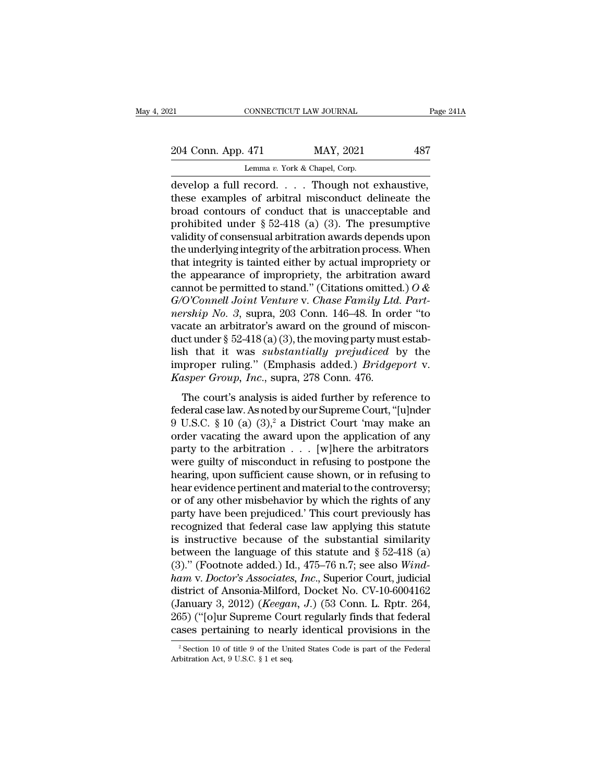| 21                    | CONNECTICUT LAW JOURNAL       | Page 241A |
|-----------------------|-------------------------------|-----------|
|                       |                               |           |
| 204 Conn. App. 471    | MAY, 2021                     | 487       |
|                       | Lemma v. York & Chapel, Corp. |           |
| develon a full record | Though not exhaustive         |           |

CONNECTICUT LAW JOURNAL Page 2<br>
204 Conn. App. 471 MAY, 2021 487<br>
Lemma v. York & Chapel, Corp.<br>
develop a full record. . . . Though not exhaustive,<br>
these examples of arbitral misconduct delineate the<br>
head contours of co 204 Conn. App. 471 MAY, 2021 487<br>
Lemma v. York & Chapel, Corp.<br>
develop a full record. . . . Though not exhaustive,<br>
these examples of arbitral misconduct delineate the<br>
broad contours of conduct that is unacceptable and 204 Conn. App. 471 MAY, 2021 487<br>
Lemma v. York & Chapel, Corp.<br>
develop a full record. . . . Though not exhaustive,<br>
these examples of arbitral misconduct delineate the<br>
broad contours of conduct that is unacceptable and 204 Conn. App. 471 MAY, 2021 487<br>
Lemma v. York & Chapel, Corp.<br>
develop a full record. . . . Though not exhaustive,<br>
these examples of arbitral misconduct delineate the<br>
broad contours of conduct that is unacceptable and Lemma v. York & Chapel, Corp.<br>
develop a full record. . . . Though not exhaustive,<br>
these examples of arbitral misconduct delineate the<br>
broad contours of conduct that is unacceptable and<br>
prohibited under § 52-418 (a) (3 Lemma v. York & Chapel, Corp.<br>
develop a full record. . . . Though not exhaustive,<br>
these examples of arbitral misconduct delineate the<br>
broad contours of conduct that is unacceptable and<br>
prohibited under § 52-418 (a) (3 develop a full record. . . . Though not exhaustive,<br>these examples of arbitral misconduct delineate the<br>broad contours of conduct that is unacceptable and<br>prohibited under § 52-418 (a) (3). The presumptive<br>validity of con these examples of arbitral misconduct delineate the<br>broad contours of conduct that is unacceptable and<br>prohibited under § 52-418 (a) (3). The presumptive<br>validity of consensual arbitration awards depends upon<br>the underlyi broad contours of conduct that is unacceptable and<br>prohibited under § 52-418 (a) (3). The presumptive<br>validity of consensual arbitration awards depends upon<br>the underlying integrity of the arbitration process. When<br>that in prohibited under § 52-418 (a) (3). The presumptive<br>validity of consensual arbitration awards depends upon<br>the underlying integrity of the arbitration process. When<br>that integrity is tainted either by actual impropriety or<br> validity of consensual arbitration awards depends upon<br>the underlying integrity of the arbitration process. When<br>that integrity is tainted either by actual impropriety or<br>the appearance of impropriety, the arbitration awar the underlying integrity of the arbitration process. When<br>that integrity is tainted either by actual impropriety or<br>the appearance of impropriety, the arbitration award<br>cannot be permitted to stand." (Citations omitted.) that integrity is tainted either by actual impropriety or<br>the appearance of impropriety, the arbitration award<br>cannot be permitted to stand." (Citations omitted.)  $O & G/O'Comell Joint Venture v. Chase Family Ltd. Part-  
nership No. 3, supra, 203 Conn. 146–48. In order "to  
vacate an arbitrary's award on$ the appearance of impropriety, the arbitration award<br>cannot be permitted to stand." (Citations omitted.)  $O &$ <br> $G/O'Comell Joint Venture v. Chase Family Ltd. Part-  
nership No. 3, supra, 203 Conn. 146–48. In order "to  
vacate an arbitrary as a con-  
duct under § 52-418 (a) (3), the moving party must estab-  
lish that it was substantially prejudiced by the  
improper ruling." (Emphasis added.) Bridge$ cannot be permitted to stand." (Citations omitted.) *O &*<br>G/O'Connell Joint Venture v. Chase Family Ltd. Part-<br>nership No. 3, supra, 203 Conn. 146–48. In order "to<br>vacate an arbitrator's award on the ground of miscon-<br>duct *G/O'Connell Joint Venture v. Chase Family Ltd*<br>*nership No. 3*, supra, 203 Conn. 146–48. In ord<br>vacate an arbitrator's award on the ground of n<br>duct under § 52-418 (a) (3), the moving party must<br>lish that it was *substant* The court's analysis is aided further by reference to<br>
the content and arbitrator's award on the ground of miscon-<br>
onct under § 52-418 (a) (3), the moving party must estab-<br>
the that it was *substantially prejudiced* by vacate an arbitrator 3 award on the ground or insection<br>duct under § 52-418 (a) (3), the moving party must establish that it was *substantially prejudiced* by the<br>improper ruling." (Emphasis added.) *Bridgeport* v.<br>*Kaspe* 

duct didct  $\frac{1}{3}$  of  $\frac{1}{2}$  Ho  $\frac{1}{2}$  ( $\frac{1}{2}$ ), the filomag party mast establish that it was *substantially prejudiced* by the improper ruling." (Emphasis added.) *Bridgeport* v. *Kasper Group, Inc.*, supra, 2 improper ruling." (Emphasis added.) *Bridgeport* v.<br> *Kasper Group, Inc.*, supra, 278 Conn. 476.<br>
The court's analysis is aided further by reference to<br>
federal case law. As noted by our Supreme Court, "[u]nder<br>
9 U.S.C. *Highoper Tamig.* (Emphasis added.) *Dreageport* v.<br> *Kasper Group, Inc.*, supra, 278 Conn. 476.<br>
The court's analysis is aided further by reference to<br>
federal case law. As noted by our Supreme Court, "[u]nder<br>
9 U.S.C. The court's analysis is aided further by reference to<br>federal case law. As noted by our Supreme Court, "[u]nder<br>9 U.S.C. § 10 (a) (3),<sup>2</sup> a District Court 'may make an<br>order vacating the award upon the application of any<br> The court's analysis is aided further by reference to<br>federal case law. As noted by our Supreme Court, "[u]nder<br>9 U.S.C. § 10 (a) (3),<sup>2</sup> a District Court 'may make an<br>order vacating the award upon the application of any<br> federal case law. As noted by our Supreme Court, "[u]nder<br>9 U.S.C. § 10 (a) (3),<sup>2</sup> a District Court 'may make an<br>order vacating the award upon the application of any<br>party to the arbitration  $\ldots$  [w]here the arbitrators 9 U.S.C. § 10 (a) (3),<sup>2</sup> a District Court 'may make an order vacating the award upon the application of any party to the arbitration  $\ldots$  [w]here the arbitrators were guilty of misconduct in refusing to postpone the hea order vacating the award upon the application of any<br>party to the arbitration  $\ldots$  [w]here the arbitrators<br>were guilty of misconduct in refusing to postpone the<br>hearing, upon sufficient cause shown, or in refusing to<br>hea party to the arbitration  $\ldots$  [w]here the arbitrators<br>were guilty of misconduct in refusing to postpone the<br>hearing, upon sufficient cause shown, or in refusing to<br>hear evidence pertinent and material to the controversy; were guilty of misconduct in refusing to postpone the<br>hearing, upon sufficient cause shown, or in refusing to<br>hear evidence pertinent and material to the controversy;<br>or of any other misbehavior by which the rights of any hearing, upon sufficient cause shown, or in refusing to<br>hear evidence pertinent and material to the controversy;<br>or of any other misbehavior by which the rights of any<br>party have been prejudiced.' This court previously ha hear evidence pertinent and material to the controversy;<br>or of any other misbehavior by which the rights of any<br>party have been prejudiced.' This court previously has<br>recognized that federal case law applying this statute<br> or of any other misbehavior by which the rights of any<br>party have been prejudiced.' This court previously has<br>recognized that federal case law applying this statute<br>is instructive because of the substantial similarity<br>betw party have been prejudiced.' This court previously has<br>recognized that federal case law applying this statute<br>is instructive because of the substantial similarity<br>between the language of this statute and  $\S 52-418$  (a)<br>(3 recognized that federal case law applying this statute<br>is instructive because of the substantial similarity<br>between the language of this statute and § 52-418 (a)<br>(3)." (Footnote added.) Id., 475–76 n.7; see also *Wind-<br>ham* is instructive because of the substantial similarity<br>between the language of this statute and § 52-418 (a)<br>(3)." (Footnote added.) Id., 475–76 n.7; see also *Wind-<br>ham v. Doctor's Associates, Inc.*, Superior Court, judici between the language of this statute and § 52-418 (a) (3)." (Footnote added.) Id., 475–76 n.7; see also *Windham v. Doctor's Associates, Inc.*, Superior Court, judicial district of Ansonia-Milford, Docket No. CV-10-600416 district of Ansonia-Milford, Docket No. CV-10-6004162 (January 3, 2012) (*Keegan*, J.) (53 Conn. L. Rptr. 264, 265) ("[o]ur Supreme Court regularly finds that federal cases pertaining to nearly identical provisions in the cases pertaining to nearly identical provisions in the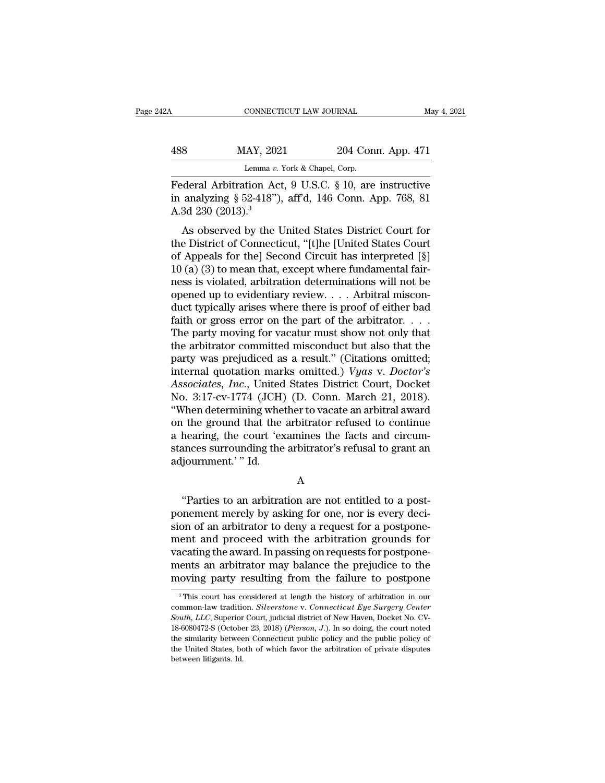| 12A | CONNECTICUT LAW JOURNAL                                   |                    | May 4, 2021 |
|-----|-----------------------------------------------------------|--------------------|-------------|
| 488 | MAY, 2021                                                 | 204 Conn. App. 471 |             |
|     | Lemma v. York & Chapel, Corp.                             |                    |             |
|     | $F$ ederal Arbitration Act $9$ IISC $810$ are instructive |                    |             |

CONNECTICUT LAW JOURNAL May 4, 2021<br>
HAS MAY, 2021 204 Conn. App. 471<br>
Lemma v. York & Chapel, Corp.<br>
Federal Arbitration Act, 9 U.S.C. § 10, are instructive<br>
in analyzing § 52-418"), aff'd, 146 Conn. App. 768, 81<br>
A 3d 33 188 MAY, 2021 204 Conn. App. 471<br>
Lemma v. York & Chapel, Corp.<br>
Federal Arbitration Act, 9 U.S.C. § 10, are instructive<br>
in analyzing § 52-418"), aff'd, 146 Conn. App. 768, 81<br>
A.3d 230 (2013).<sup>3</sup> 488 MAY, 202<br>
Lemma v.<br>
Federal Arbitration Ac<br>
in analyzing § 52-418")<br>
A.3d 230 (2013).<sup>3</sup><br>
As observed by the U MAY, 2021 204 Conn. App. 471<br>
Lemma v. York & Chapel, Corp.<br>
deral Arbitration Act, 9 U.S.C. § 10, are instructive<br>
analyzing § 52-418"), aff'd, 146 Conn. App. 768, 81<br>
3d 230 (2013).<sup>3</sup><br>
As observed by the United States

Lemma v. York & Chapel, Corp.<br>
Federal Arbitration Act, 9 U.S.C. § 10, are instructive<br>
in analyzing § 52-418"), aff'd, 146 Conn. App. 768, 81<br>
A.3d 230 (2013).<sup>3</sup><br>
As observed by the United States District Court for<br>
the Federal Arbitration Act, 9 U.S.C. § 10, are instructive<br>in analyzing § 52-418"), aff'd, 146 Conn. App. 768, 81<br>A.3d 230 (2013).<sup>3</sup><br>As observed by the United States District Court for<br>the District of Connecticut, "[t]he [Un Federal Arbitration Act, 9 0.5.0. § 10, are instructive<br>in analyzing § 52-418"), aff'd, 146 Conn. App. 768, 81<br>A.3d 230 (2013).<sup>3</sup><br>As observed by the United States District Court for<br>the District of Connecticut, "[t]he [U ness and 230 (2013).<sup>3</sup><br>A.3d 230 (2013).<sup>3</sup><br>As observed by the United States District Court for<br>the District of Connecticut, "[t]he [United States Court<br>of Appeals for the] Second Circuit has interpreted [§]<br>10 (a) (3) to Also 250 (2015).<br>
As observed by the United States District Court for<br>
the District of Connecticut, "[t]he [United States Court<br>
of Appeals for the] Second Circuit has interpreted [§]<br>
10 (a) (3) to mean that, except wher As observed by the United States District Court for<br>the District of Connecticut, "[t]he [United States Court<br>of Appeals for the] Second Circuit has interpreted [§]<br> $10 (a) (3)$  to mean that, except where fundamental fair-<br>n the District of Connecticut, "[t]he [United States Court<br>of Appeals for the] Second Circuit has interpreted [§]<br>10 (a) (3) to mean that, except where fundamental fair-<br>ness is violated, arbitration determinations will not of Appeals for the] Second Circuit has interpreted [§] 10 (a) (3) to mean that, except where fundamental fair-<br>ness is violated, arbitration determinations will not be<br>opened up to evidentiary review.... Arbitral miscon-<br> 10 (a) (3) to mean that, except where fundamental fair-<br>ness is violated, arbitration determinations will not be<br>opened up to evidentiary review. . . . Arbitral miscon-<br>duct typically arises where there is proof of either ness is violated, arbitration determinations will not be<br>opened up to evidentiary review.... Arbitral miscon-<br>duct typically arises where there is proof of either bad<br>faith or gross error on the part of the arbitrator.... opened up to evidentiary review.... Arbitral misconduct typically arises where there is proof of either bad faith or gross error on the part of the arbitrator....<br>The party moving for vacatur must show not only that the ar duct typically arises where there is proof of either bad<br>faith or gross error on the part of the arbitrator. . . .<br>The party moving for vacatur must show not only that<br>the arbitrator committed misconduct but also that the<br> faith or gross error on the part of the arbitrator. . . . The party moving for vacatur must show not only that<br>the arbitrator committed misconduct but also that the<br>party was prejudiced as a result." (Citations omitted;<br>i The party moving for vacatur must show not only that<br>the arbitrator committed misconduct but also that the<br>party was prejudiced as a result." (Citations omitted;<br>internal quotation marks omitted.) *Vyas v. Doctor's*<br>Associ the arbitrator committed misconduct but also that the<br>party was prejudiced as a result." (Citations omitted;<br>internal quotation marks omitted.)  $Vyas$  v.  $Doctor's$ <br>Associates, Inc., United States District Court, Docket<br>No. 3:1 party was prejudiced as a result." (Citations omitted; internal quotation marks omitted.) *Vyas v. Doctor's Associates, Inc.*, United States District Court, Docket No. 3:17-cv-1774 (JCH) (D. Conn. March 21, 2018). "When internal quotation marks omitted.) *Vyas v. Doctor's*<br>Associates, *Inc.*, United States District Court, Docket<br>No. 3:17-cv-1774 (JCH) (D. Conn. March 21, 2018).<br>"When determining whether to vacate an arbitral award<br>on the Associates, *Inc.*, United<br>No. 3:17-cv-1774 (JCH)<br>"When determining whe<br>on the ground that the<br>a hearing, the court 'ex<br>stances surrounding the<br>adjournment.'" Id. I the ground that the arbitrator refused to continue<br>
hearing, the court 'examines the facts and circum-<br>
increases surrounding the arbitrator's refusal to grant an<br>
journment.'" Id.<br>
A<br>
"Parties to an arbitration are not

A

a hearing, the court 'examines the facts and circum-<br>stances surrounding the arbitrator's refusal to grant an<br>adjournment.' " Id.<br>A<br>"Parties to an arbitration are not entitled to a post-<br>ponement merely by asking for one, stances surrounding the arbitrator's refusal to grant an<br>adjournment.' " Id.<br>A<br>"Parties to an arbitration are not entitled to a post-<br>ponement merely by asking for one, nor is every deci-<br>sion of an arbitrator to deny a re adjournment.' " Id.<br>A<br>"Parties to an arbitration are not entitled to a post-<br>ponement merely by asking for one, nor is every deci-<br>sion of an arbitrator to deny a request for a postpone-<br>ment and proceed with the arbitrati A<br>
"Parties to an arbitration are not entitled to a post-<br>
ponement merely by asking for one, nor is every deci-<br>
sion of an arbitrator to deny a request for a postpone-<br>
ment and proceed with the arbitration grounds for<br> "Parties to an arbitration are not entitled to a post-<br>ponement merely by asking for one, nor is every deci-<br>sion of an arbitrator to deny a request for a postpone-<br>ment and proceed with the arbitration grounds for<br>vacatin "Parties to an arbitration are not entitled to a post-<br>ponement merely by asking for one, nor is every deci-<br>sion of an arbitrator to deny a request for a postpone-<br>ment and proceed with the arbitration grounds for<br>vacati Figure 1 and proceed with the arbitration grounds for a<br>cating the award. In passing on requests for postpone-<br>ents an arbitrator may balance the prejudice to the<br>oving party resulting from the failure to postpone<br> $\frac{3}{1$ vacating the award. In passing on requests for postpone-<br>ments an arbitrator may balance the prejudice to the<br>moving party resulting from the failure to postpone<br><sup>3</sup>This court has considered at length the history of arbitr

ments an arbitrator may balance the prejudice to the<br>moving party resulting from the failure to postpone<br><sup>3</sup>This court has considered at length the history of arbitration in our<br>common-law tradition. *Silverstone* v. *Conn* moving party resulting from the failure to postpone<br>
<sup>3</sup>This court has considered at length the history of arbitration in our<br>
common-law tradition. *Silverstone* v. *Connecticut Eye Surgery Center*<br> *South, LLC*, Superior The similar similar of the latter of postpone<br>
<sup>3</sup> This court has considered at length the history of arbitration in our<br>
common-law tradition. Silverstone v. Connecticut Eye Surgery Center<br>
South, LLC, Superior Court, ju <sup>3</sup> This court has considered at length the history of arbitration in our common-law tradition. *Silverstone* v. *Connecticut Eye Surgery Center South, LLC*, Superior Court, judicial district of New Haven, Docket No. CV-1 common-law tradition. Silverstone v. Connecticut Eye Surgery Center South, LLC, Superior Court, judicial district of New Haven, Docket No. CV-18-6080472-S (October 23, 2018) (Pierson, J.). In so doing, the court noted the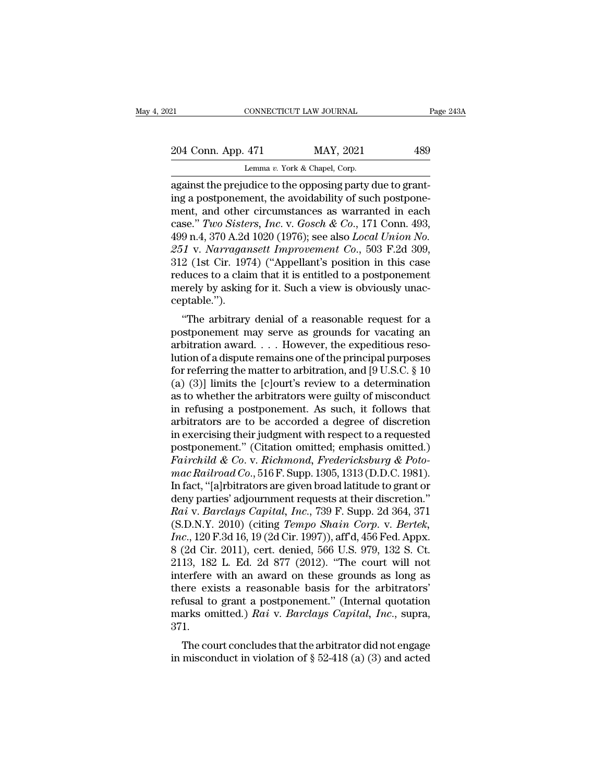| 121                                                      | CONNECTICUT LAW JOURNAL       | Page 243A |
|----------------------------------------------------------|-------------------------------|-----------|
| 204 Conn. App. 471                                       | MAY, 2021                     | 489       |
|                                                          | Lemma v. York & Chapel, Corp. |           |
| against the prejudice to the opposing party due to grap- |                               |           |

connectricut LAW JOURNAL<br>
204 Conn. App. 471 MAY, 2021 489<br>
Lemma v. York & Chapel, Corp.<br>
against the prejudice to the opposing party due to grant-<br>
ing a postponement, the avoidability of such postpone-204 Conn. App. 471 MAY, 2021 489<br>
Lemma v. York & Chapel, Corp.<br>
against the prejudice to the opposing party due to grant-<br>
ing a postponement, the avoidability of such postpone-<br>
ment, and other circumstances as warrante 204 Conn. App. 471 MAY, 2021 489<br>
Lemma v. York & Chapel, Corp.<br>
against the prejudice to the opposing party due to grant-<br>
ing a postponement, the avoidability of such postpone-<br>
ment, and other circumstances as warrante 204 Conn. App. 471 MAY, 2021 489<br>
Lemma v. York & Chapel, Corp.<br>
against the prejudice to the opposing party due to grant-<br>
ing a postponement, the avoidability of such postpone-<br>
ment, and other circumstances as warranted Lemma v. York & Chapel, Corp.<br>
against the prejudice to the opposing party due to grant-<br>
ing a postponement, the avoidability of such postpone-<br>
ment, and other circumstances as warranted in each<br>
case." Two Sisters, Inc. *251* Lemma *v.* York & Chapel, Corp.<br>
261 against the prejudice to the opposing party due to grant-<br>
251 v. *Narragansett Improvement Co.*, 503 F.2d 309,<br>
251 v. *Narragansett Improvement Co.*, 503 F.2d 309,<br>
251 v. *Narr* against the prejudice to the opposing party due to grant-<br>ing a postponement, the avoidability of such postpone-<br>ment, and other circumstances as warranted in each<br>case." Two Sisters, Inc. v. Gosch & Co., 171 Conn. 493,<br>49 ing a postponement, the avoidability of such postponement, and other circumstances as warranted in each case." Two Sisters, Inc. v. Gosch & Co., 171 Conn. 493, 499 n.4, 370 A.2d 1020 (1976); see also *Local Union No.* 251 ment, and other circumstances as warranted in each case." Two Sisters, Inc. v. Gosch & Co., 171 Conn. 493, 499 n.4, 370 A.2d 1020 (1976); see also *Local Union No.* 251 v. Narragansett Improvement Co., 503 F.2d 309, 312 (1 ceptable.'').  $\mathcal{F}_1$ . And  $\mathcal{F}_2$  are also *Local Union No.*<br>  $\mathcal{F}_2$  (1st Cir. 1974) ("Appellant's position in this case<br>
duces to a claim that it is entitled to a postponement<br>
erely by asking for it. Such a view is obviously 251 v. Narragaisett Improvement Co., 505 F.2d 509,<br>312 (1st Cir. 1974) ("Appellant's position in this case<br>reduces to a claim that it is entitled to a postponement<br>merely by asking for it. Such a view is obviously unac-<br>c

 $\sigma$ 12 (1st Cn. 1974) (Appenant's position in this case<br>reduces to a claim that it is entitled to a postponement<br>merely by asking for it. Such a view is obviously unac-<br>ceptable.").<br>"The arbitrary denial of a reasonable r reduces to a claim that it is entitled to a postponentent<br>merely by asking for it. Such a view is obviously unac-<br>ceptable.").<br>"The arbitrary denial of a reasonable request for a<br>postponement may serve as grounds for vaca for referring the arbitration and the matter to arbitration and the matter of a<br>for vacating and arbitration award. . . . However, the expeditious reso-<br>lution of a dispute remains one of the principal purposes<br>for referri (equal).<br>
"The arbitrary denial of a reasonable request for a<br>
postponement may serve as grounds for vacating an<br>
arbitration award....However, the expeditious reso-<br>
lution of a dispute remains one of the principal purpo "The arbitrary denial of a reasonable request for a<br>postponement may serve as grounds for vacating an<br>arbitration award.... However, the expeditious reso-<br>lution of a dispute remains one of the principal purposes<br>for refe postponement may serve as grounds for vacating an arbitration award. . . . However, the expeditious resolution of a dispute remains one of the principal purposes for referring the matter to arbitration, and [9 U.S.C.  $\S$  arbitration award. . . . However, the expeditious resolution of a dispute remains one of the principal purposes<br>for referring the matter to arbitration, and [9 U.S.C. § 10<br>(a) (3)] limits the [c]ourt's review to a determi lution of a dispute remains one of the principal purposes<br>for referring the matter to arbitration, and [9 U.S.C. § 10<br>(a) (3)] limits the [c]ourt's review to a determination<br>as to whether the arbitrators were guilty of mi for referring the matter to arbitration, and [9 U.S.C. § 10<br>
(a) (3)] limits the [c]ourt's review to a determination<br>
as to whether the arbitrators were guilty of misconduct<br>
in refusing a postponement. As such, it follow (a) (3)] limits the [c]ourt's review to a determination<br>as to whether the arbitrators were guilty of misconduct<br>in refusing a postponement. As such, it follows that<br>arbitrators are to be accorded a degree of discretion<br>in as to whether the arbitrators were guilty of misconduct<br>in refusing a postponement. As such, it follows that<br>arbitrators are to be accorded a degree of discretion<br>in exercising their judgment with respect to a requested<br>po in refusing a postponement. As such, it follows that<br>arbitrators are to be accorded a degree of discretion<br>in exercising their judgment with respect to a requested<br>postponement." (Citation omitted; emphasis omitted.)<br> $Fairrichild$ arbitrators are to be accorded a degree of discretion<br>in exercising their judgment with respect to a requested<br>postponement." (Citation omitted; emphasis omitted.)<br>Fairchild & Co. v. Richmond, Fredericksburg & Poto-<br>mac Ra in exercising their judgment with respect to a requested<br>postponement." (Citation omitted; emphasis omitted.)<br>*Fairchild & Co.* v. *Richmond, Fredericksburg & Poto-<br>mac Railroad Co.*, 516 F. Supp. 1305, 1313 (D.D.C. 1981). postponement." (Citation omitted; emphasis omitted.)<br>Fairchild & Co. v. Richmond, Fredericksburg & Poto-<br>mac Railroad Co., 516 F. Supp. 1305, 1313 (D.D.C. 1981).<br>In fact, "[a]rbitrators are given broad latitude to grant or *Fairchild & Co.* v. *Richmond, Fredericksburg & Potomac Railroad Co.*, 516 F. Supp. 1305, 1313 (D.D.C. 1981).<br>In fact, "[a]rbitrators are given broad latitude to grant or<br>deny parties' adjournment requests at their discre mac Railroad Co., 516 F. Supp. 1305, 1313 (D.D.C. 1981).<br>In fact, "[a]rbitrators are given broad latitude to grant or<br>deny parties' adjournment requests at their discretion."<br>Rai v. *Barclays Capital*, Inc., 739 F. Supp. 2 In fact, "[a]rbitrators are given broad latitude to grant or<br>deny parties' adjournment requests at their discretion."<br>*Rai* v. *Barclays Capital*, *Inc.*, 739 F. Supp. 2d 364, 371<br>(S.D.N.Y. 2010) (citing *Tempo Shain Corp.* deny parties' adjournment requests at their discretion."<br>
Rai v. Barclays Capital, Inc., 739 F. Supp. 2d 364, 371<br>
(S.D.N.Y. 2010) (citing *Tempo Shain Corp.* v. *Bertek*,<br>
Inc., 120 F.3d 16, 19 (2d Cir. 1997)), aff'd, 456 Rai v. Barclays Capital, Inc., 739 F. Supp. 2d 364, 371 (S.D.N.Y. 2010) (citing *Tempo Shain Corp.* v. *Bertek*, Inc., 120 F.3d 16, 19 (2d Cir. 1997)), aff'd, 456 Fed. Appx. 8 (2d Cir. 2011), cert. denied, 566 U.S. 979, 1 (S.D.N.Y. 2010) (citing *Tempo Shain Corp. v. Bertek,*<br> *Inc.*, 120 F.3d 16, 19 (2d Cir. 1997)), aff<sup>d</sup>, 456 Fed. Appx.<br>
8 (2d Cir. 2011), cert. denied, 566 U.S. 979, 132 S. Ct.<br>
2113, 182 L. Ed. 2d 877 (2012). "The court Inc., 120 F.3d 16, 19 (2d Cir. 1997)), aff<sup>d</sup>, 456 Fed. Appx.<br>8 (2d Cir. 2011), cert. denied, 566 U.S. 979, 132 S. Ct.<br>2113, 182 L. Ed. 2d 877 (2012). "The court will not<br>interfere with an award on these grounds as long as 371. The court with an award on these grounds as long as<br>ere exists a reasonable basis for the arbitrators'<br>fusal to grant a postponement." (Internal quotation<br>arks omitted.) Rai v. Barclays Capital, Inc., supra,<br>1.<br>The court interfere with all award on these grounds as long as<br>there exists a reasonable basis for the arbitrators'<br>refusal to grant a postponement." (Internal quotation<br>marks omitted.) *Rai* v. *Barclays Capital*, *Inc.*, supra,<br>3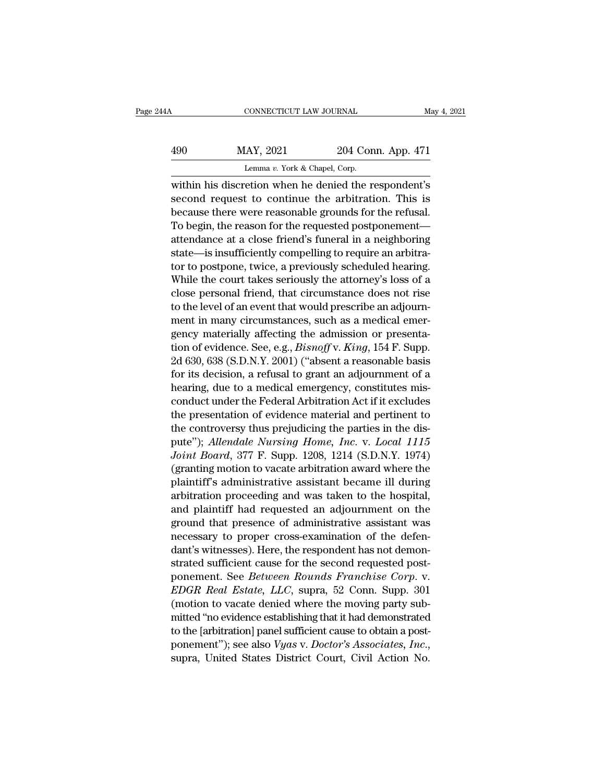| 14A | CONNECTICUT LAW JOURNAL                               |                    | May 4, 2021 |
|-----|-------------------------------------------------------|--------------------|-------------|
| 490 | MAY, 2021                                             | 204 Conn. App. 471 |             |
|     | Lemma v. York & Chapel, Corp.                         |                    |             |
|     | within his discretion when he denied the respondent's |                    |             |

CONNECTICUT LAW JOURNAL May 4, 2021<br>
MAY, 2021 204 Conn. App. 471<br>
Lemma v. York & Chapel, Corp.<br>
within his discretion when he denied the respondent's<br>
second request to continue the arbitration. This is<br>
hegave there we  $\frac{\text{MAX, 2021}}{\text{Lemma } v. \text{ York & Chapter, Corp.}}$ <br>Lemma v. York & Chapel, Corp.<br>within his discretion when he denied the respondent's<br>second request to continue the arbitration. This is<br>because there were reasonable grounds for the refu  $\frac{1}{204}$  MAY, 2021 204 Conn. App. 471<br>
Lemma v. York & Chapel, Corp.<br>
within his discretion when he denied the respondent's<br>
second request to continue the arbitration. This is<br>
because there were reasonable grounds fo  $\frac{\text{MAY, 2021}}{\text{Lemma } v. \text{ York & Chapter 204:} \text{Conn. App. 471}}$ <br>within his discretion when he denied the respondent's<br>second request to continue the arbitration. This is<br>because there were reasonable grounds for the refusal.<br>To begin, Lemma v. York & Chapel, Corp.<br>
within his discretion when he denied the respondent's<br>
second request to continue the arbitration. This is<br>
because there were reasonable grounds for the refusal.<br>
To begin, the reason for t state of the dealers, exp.<br>
within his discretion when he denied the respondent's<br>
second request to continue the arbitration. This is<br>
because there were reasonable grounds for the refusal.<br>
To begin, the reason for the r within his discretion when he denied the respondent's<br>second request to continue the arbitration. This is<br>because there were reasonable grounds for the refusal.<br>To begin, the reason for the requested postponement—<br>attendan second request to continue the arbitration. This is<br>because there were reasonable grounds for the refusal.<br>To begin, the reason for the requested postponement—<br>attendance at a close friend's funeral in a neighboring<br>state because there were reasonable grounds for the refusal.<br>To begin, the reason for the requested postponement—<br>attendance at a close friend's funeral in a neighboring<br>state—is insufficiently compelling to require an arbitra-<br> To begin, the reason for the requested postponement—<br>attendance at a close friend's funeral in a neighboring<br>state—is insufficiently compelling to require an arbitra-<br>tor to postpone, twice, a previously scheduled hearing. attenaance at a close mend's funeral in a neignboring<br>state—is insufficiently compelling to require an arbitra-<br>tor to postpone, twice, a previously scheduled hearing.<br>While the court takes seriously the attorney's loss of state—is insumciently compelling to require an arbitrator to postpone, twice, a previously scheduled hearing.<br>While the court takes seriously the attorney's loss of a close personal friend, that circumstance does not rise tor to postpone, twice, a previously scheduled hearing.<br>While the court takes seriously the attorney's loss of a<br>close personal friend, that circumstance does not rise<br>to the level of an event that would prescribe an adjou while the court takes seriously the attorney's loss of a<br>close personal friend, that circumstance does not rise<br>to the level of an event that would prescribe an adjourn-<br>ment in many circumstances, such as a medical emerclose personal friend, that circumstance does not rise<br>to the level of an event that would prescribe an adjourn-<br>ment in many circumstances, such as a medical emer-<br>gency materially affecting the admission or presenta-<br>ti to the level of an event that would prescribe an adjournment in many circumstances, such as a medical emergency materially affecting the admission or presentation of evidence. See, e.g., *Bisnoff* v. *King*, 154 F. Supp. 2 ment in many circumstances, such as a medical emergency materially affecting the admission or presentation of evidence. See, e.g., *Bisnoff* v. *King*, 154 F. Supp. 2d 630, 638 (S.D.N.Y. 2001) ("absent a reasonable basis f gency materially affecting the admission or presenta-<br>tion of evidence. See, e.g., *Bisnoff* v. *King*, 154 F. Supp.<br>2d 630, 638 (S.D.N.Y. 2001) ("absent a reasonable basis<br>for its decision, a refusal to grant an adjournme tion of evidence. see, e.g., *Bisnoff* v. *King*, 154 F. Supp.<br>2d 630, 638 (S.D.N.Y. 2001) ("absent a reasonable basis<br>for its decision, a refusal to grant an adjournment of a<br>hearing, due to a medical emergency, constitu 2d 630, 638 (S.D.N.Y. 2001) ("absent a reasonable basis<br>for its decision, a refusal to grant an adjournment of a<br>hearing, due to a medical emergency, constitutes mis-<br>conduct under the Federal Arbitration Act if it exclude *Joint Boarda, 377 F. Supp. 1208, 1214 (S.D.N.Y. 1974)*<br>*Joint Boarda Joint Boarda Joint Boarda Learning, due to a medical emergency, constitutes misconduct under the Federal Arbitration Act if it excludes*<br>*the pres* nearing, que to a medical emergency, constitutes mis-<br>conduct under the Federal Arbitration Act if it excludes<br>the presentation of evidence material and pertinent to<br>the controversy thus prejudicing the parties in the disconduct under the Federal Arbitration Act II it excludes<br>the presentation of evidence material and pertinent to<br>the controversy thus prejudicing the parties in the dis-<br>pute"); Allendale Nursing Home, Inc. v. Local 1115<br>Jo the presentation of evidence material and pertinent to<br>the controversy thus prejudicing the parties in the dis-<br>pute"); *Allendale Nursing Home, Inc.* v. *Local 1115*<br>Joint Board, 377 F. Supp. 1208, 1214 (S.D.N.Y. 1974)<br>(g the controversy thus prejudicing the parties in the dis-<br>pute"); *Allendale Nursing Home, Inc.* v. *Local 1115*<br>Joint Board, 377 F. Supp. 1208, 1214 (S.D.N.Y. 1974)<br>(granting motion to vacate arbitration award where the<br>pl pute *f*; *Auenaate Nursing Home, Inc. v. Local 1115*<br>Joint Board, 377 F. Supp. 1208, 1214 (S.D.N.Y. 1974)<br>(granting motion to vacate arbitration award where the<br>plaintiff's administrative assistant became ill during<br>arbit *Joint Boara, 311* F. Supp. 1208, 1214 (S.D.N.Y. 1974) (granting motion to vacate arbitration award where the plaintiff's administrative assistant became ill during arbitration proceeding and was taken to the hospital, an (granting motion to vacate arbitration award where the<br>plaintiff's administrative assistant became ill during<br>arbitration proceeding and was taken to the hospital,<br>and plaintiff had requested an adjournment on the<br>ground t plaintiff is administrative assistant became ill during<br>arbitration proceeding and was taken to the hospital,<br>and plaintiff had requested an adjournment on the<br>ground that presence of administrative assistant was<br>necessary arbitration proceeding and was taken to the hospital,<br>and plaintiff had requested an adjournment on the<br>ground that presence of administrative assistant was<br>necessary to proper cross-examination of the defen-<br>dant's witnes and plaintiff had requested an adjournment on the<br>ground that presence of administrative assistant was<br>necessary to proper cross-examination of the defen-<br>dant's witnesses). Here, the respondent has not demon-<br>strated suff ground that presence of administrative assistant was<br>necessary to proper cross-examination of the defen-<br>dant's witnesses). Here, the respondent has not demon-<br>strated sufficient cause for the second requested post-<br>poneme mecessary to proper cross-examination of the defendant's witnesses). Here, the respondent has not demonstrated sufficient cause for the second requested post-<br>ponement. See *Between Rounds Franchise Corp.* v.<br>*EDGR Real Es* dant s witnesses). Here, the respondent has not demonstrated sufficient cause for the second requested post-<br>ponement. See *Between Rounds Franchise Corp.* v.<br>*EDGR Real Estate, LLC*, supra, 52 Conn. Supp. 301<br>(motion to v strated sumclent cause for the second requested post-<br>ponement. See *Between Rounds Franchise Corp.* v.<br>*EDGR Real Estate, LLC*, supra, 52 Conn. Supp. 301<br>(motion to vacate denied where the moving party sub-<br>mitted "no evi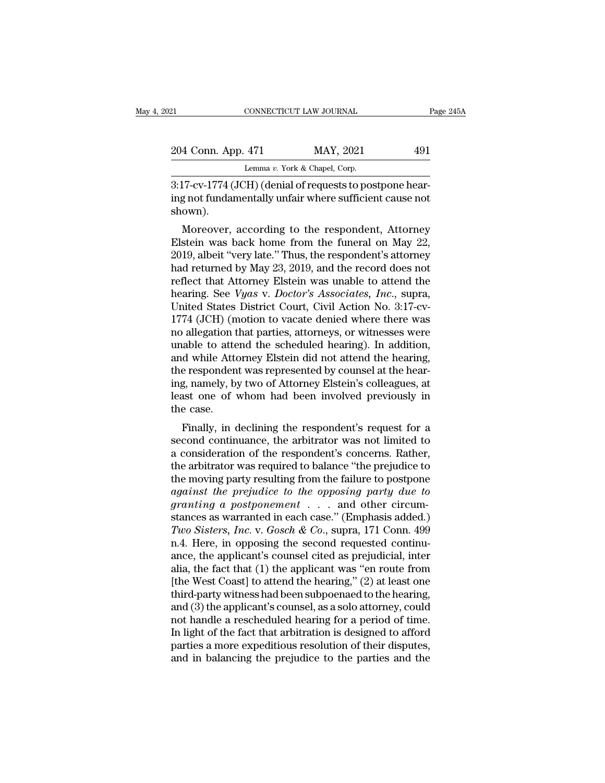| 21                                                             | CONNECTICUT LAW JOURNAL       | Page 245A |  |
|----------------------------------------------------------------|-------------------------------|-----------|--|
| 204 Conn. App. 471                                             | MAY, 2021                     | 491       |  |
|                                                                | Lemma v. York & Chapel, Corp. |           |  |
| $3.17$ -cy- $1774$ (JCH) (denial of requests to postpone hear- |                               |           |  |

3:17-cv-1774 (JCH) (denial of requests to postpone hear-<br>
3:17-cv-1774 (JCH) (denial of requests to postpone hear-<br>
and the members of tundamentally unfair where sufficient cause not<br>
chown) 204 Conn. App. 471 MAY, 2021 491<br>Lemma v. York & Chapel, Corp.<br>3:17-cv-1774 (JCH) (denial of requests to postpone hearing not fundamentally unfair where sufficient cause not shown). shown). 4 Conn. App. 471 MAY, 2021 491<br>
Lemma v. York & Chapel, Corp.<br>
17-cv-1774 (JCH) (denial of requests to postpone hear-<br>
g not fundamentally unfair where sufficient cause not<br>
own).<br>
Moreover, according to the respondent, A

Lemma v. York & Chapel, Corp.<br>  $\frac{3:17\text{-cv-1774}}{3:17\text{-cv-1774}}$  (JCH) (denial of requests to postpone hearing not fundamentally unfair where sufficient cause not<br>
shown).<br>
Moreover, according to the respondent, Attorney 3:17-cv-1774 (JCH) (denial of requests to postpone hearing not fundamentally unfair where sufficient cause not<br>shown).<br>Moreover, according to the respondent, Attorney<br>Elstein was back home from the funeral on May 22,<br>2019, 3.17-cv-1774 (JCH) (definal of requests to postpone nearing not fundamentally unfair where sufficient cause not<br>shown).<br>Moreover, according to the respondent, Attorney<br>Elstein was back home from the funeral on May 22,<br>2019 reflect that Attorney Elstein was back home from the funeral on May 22,<br>2019, albeit "very late." Thus, the respondent's attorney<br>had returned by May 23, 2019, and the record does not<br>reflect that Attorney Elstein was una Moreover, according to the respondent, Attorney<br>Elstein was back home from the funeral on May 22,<br>2019, albeit "very late." Thus, the respondent's attorney<br>had returned by May 23, 2019, and the record does not<br>reflect that Moreover, according to the respondent, Attorney<br>Elstein was back home from the funeral on May 22,<br>2019, albeit "very late." Thus, the respondent's attorney<br>had returned by May 23, 2019, and the record does not<br>reflect tha Elstein was back home from the funeral on May 22, 2019, albeit "very late." Thus, the respondent's attorney<br>had returned by May 23, 2019, and the record does not<br>reflect that Attorney Elstein was unable to attend the<br>hear 2019, albeit "very late." Thus, the respondent's attorney<br>had returned by May 23, 2019, and the record does not<br>reflect that Attorney Elstein was unable to attend the<br>hearing. See *Vyas* v. *Doctor's Associates, Inc.*, sup had returned by May 23, 2019, and the record does not<br>reflect that Attorney Elstein was unable to attend the<br>hearing. See *Vyas* v. *Doctor's Associates, Inc.*, supra,<br>United States District Court, Civil Action No. 3:17-cv reflect that Attorney Elstein was unable to attend the<br>hearing. See *Vyas v. Doctor's Associates, Inc.*, supra,<br>United States District Court, Civil Action No. 3:17-cv-<br>1774 (JCH) (motion to vacate denied where there was<br>no hearing. See *Vyas* v. *Doctor's Associates, Inc.*, supra, United States District Court, Civil Action No. 3:17-cv-<br>1774 (JCH) (motion to vacate denied where there was<br>no allegation that parties, attorneys, or witnesses wer United States District Court, Civil Action No. 3:17-cv-<br>1774 (JCH) (motion to vacate denied where there was<br>no allegation that parties, attorneys, or witnesses were<br>unable to attend the scheduled hearing). In addition,<br>and 1774 (JCH) (motion to vacate denied where there was<br>no allegation that parties, attorneys, or witnesses were<br>unable to attend the scheduled hearing). In addition,<br>and while Attorney Elstein did not attend the hearing,<br>the no allegation t<br>unable to atte<br>and while Atte<br>the responden<br>ing, namely, b<br>least one of<br>the case.<br>Finally, in o Finally, in declining the respondent's concerns. Bathor<br>Finally, in declining the respondent was represented by counsel at the hear-<br>g, namely, by two of Attorney Elstein's colleagues, at<br>ast one of whom had been involved and while Attorney Eistein did not attend the hearing,<br>the respondent was represented by counsel at the hear-<br>ing, namely, by two of Attorney Elstein's colleagues, at<br>least one of whom had been involved previously in<br>the c

the respondent was represented by counser at the nearing, namely, by two of Attorney Elstein's colleagues, at<br>least one of whom had been involved previously in<br>the case.<br>Finally, in declining the respondent's request for a the arbitrator was required to the arbitrator was requested to the moving previously in the case.<br>Finally, in declining the respondent's request for a second continuance, the arbitrator was not limited to a consideration o the case.<br>
Finally, in declining the respondent's request for a<br>
second continuance, the arbitrator was not limited to<br>
a consideration of the respondent's concerns. Rather,<br>
the arbitrator was required to balance "the pre Finally, in declining the respondent's request for a<br>second continuance, the arbitrator was not limited to<br>a consideration of the respondent's concerns. Rather,<br>the arbitrator was required to balance "the prejudice to<br>the Finally, in declining the respondent's request for a<br>second continuance, the arbitrator was not limited to<br>a consideration of the respondent's concerns. Rather<br>the arbitrator was required to balance "the prejudice to<br>the second continuance, the arbitrator was not limited to<br>a consideration of the respondent's concerns. Rather,<br>the arbitrator was required to balance "the prejudice to<br>the moving party resulting from the failure to postpone<br> a consideration of the respondent's concerns. Rather,<br>the arbitrator was required to balance "the prejudice to<br>the moving party resulting from the failure to postpone<br>*against the prejudice to the opposing party due to*<br>*g* the arbitrator was required to balance "the prejudice to<br>the moving party resulting from the failure to postpone<br>against the prejudice to the opposing party due to<br>granting a postponement . . . and other circum-<br>stances a the moving party resulting from the failure to postpone<br>against the prejudice to the opposing party due to<br>granting a postponement . . . and other circum-<br>stances as warranted in each case." (Emphasis added.)<br>Two Sisters, against the prejudice to the opposing party due to<br>granting a postponement . . . . and other circum-<br>stances as warranted in each case." (Emphasis added.)<br>Two Sisters, Inc. v. Gosch & Co., supra, 171 Conn. 499<br>n.4. Here, granting a postponement . . . . and other circum-<br>stances as warranted in each case." (Emphasis added.)<br>Two Sisters, Inc. v. Gosch & Co., supra, 171 Conn. 499<br>n.4. Here, in opposing the second requested continu-<br>ance, the stances as warranted in each case." (Emphasis added.)<br>
Two Sisters, Inc. v. Gosch & Co., supra, 171 Conn. 499<br>
n.4. Here, in opposing the second requested continu-<br>
ance, the applicant's counsel cited as prejudicial, inte Two Sisters, Inc. v. Gosch & Co., supra, 171 Conn. 499<br>n.4. Here, in opposing the second requested continu-<br>ance, the applicant's counsel cited as prejudicial, inter<br>alia, the fact that (1) the applicant was "en route fro n.4. Here, in opposing the second requested continu-<br>ance, the applicant's counsel cited as prejudicial, inter<br>alia, the fact that (1) the applicant was "en route from<br>[the West Coast] to attend the hearing," (2) at least ance, the applicant's counsel cited as prejudicial, inter<br>alia, the fact that (1) the applicant was "en route from<br>[the West Coast] to attend the hearing," (2) at least one<br>third-party witness had been subpoenaed to the he alia, the fact that (1) the applicant was "en route from<br>[the West Coast] to attend the hearing," (2) at least one<br>third-party witness had been subpoenaed to the hearing,<br>and (3) the applicant's counsel, as a solo attorney [the West Coast] to attend the hearing," (2) at least one third-party witness had been subpoenaed to the hearing, and (3) the applicant's counsel, as a solo attorney, could not handle a rescheduled hearing for a period of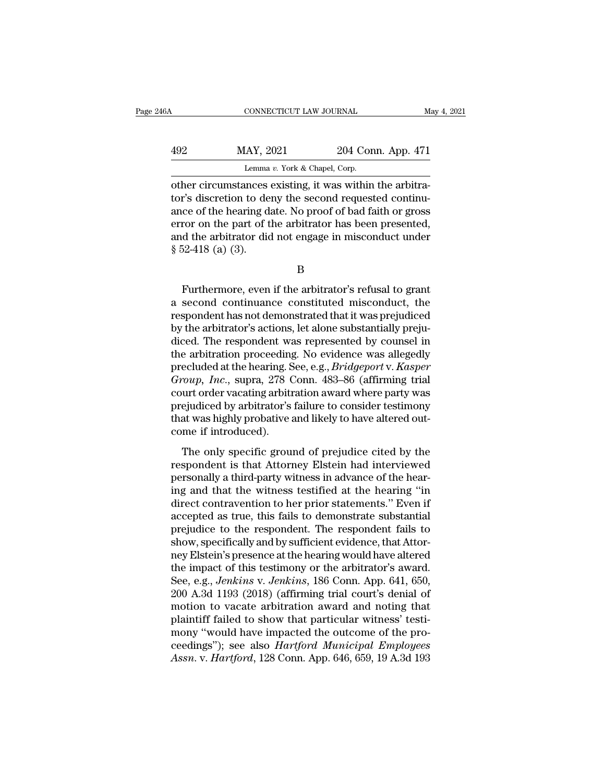# CONNECTICUT LAW JOURNAL May 4, 2021<br>
MAY, 2021 204 Conn. App. 471<br>
Lemma v. York & Chapel, Corp. CONNECTICUT LAW JOURNAL<br>
MAY, 2021 204 Conn. App. 471<br>
Lemma *v*. York & Chapel, Corp.<br>
other circumstances existing, it was within the arbitra-

CONNECTICUT LAW JOURNAL<br>
MAY, 2021 204 Conn. App. 471<br>
Lemma v. York & Chapel, Corp.<br>
Other circumstances existing, it was within the arbitra-<br>
tor's discretion to deny the second requested continu-<br>
ange of the bearing da MAY, 2021 204 Conn. App. 471<br>
Lemma v. York & Chapel, Corp.<br>
other circumstances existing, it was within the arbitra-<br>
tor's discretion to deny the second requested continu-<br>
ance of the hearing date. No proof of bad faith  $\frac{492}{\text{Lemma } v. \text{ York & Chapter 471}}$ <br>
Lemma  $v. \text{ York & Chapter 471}$ <br>
other circumstances existing, it was within the arbitrator's discretion to deny the second requested continu-<br>
ance of the hearing date. No proof of bad faith or gro 492 MAY, 2021 204 Conn. App. 471<br>
Lemma v. York & Chapel, Corp.<br>
other circumstances existing, it was within the arbitra-<br>
tor's discretion to deny the second requested continu-<br>
ance of the hearing date. No proof of bad Lemma v. York & Chapel, Corp.<br>
other circumstances existing, it was within the arbitra-<br>
tor's discretion to deny the second requested continu-<br>
ance of the hearing date. No proof of bad faith or gross<br>
error on the part Lemma<br>
other circumstances<br>
tor's discretion to de<br>
ance of the hearing derror on the part of t<br>
and the arbitrator did<br>
§ 52-418 (a) (3). ce of the hearing date. No proof of bad faith or gross<br>ror on the part of the arbitrator has been presented,<br>d the arbitrator did not engage in misconduct under<br> $52-418$  (a) (3).<br>B<br>Furthermore, even if the arbitrator's ref

error on the part of the arbitrator has been presented,<br>and the arbitrator did not engage in misconduct under<br>§ 52-418 (a) (3).<br>B<br>Furthermore, even if the arbitrator's refusal to grant<br>a second continuance constituted misc and the arbitrator did not engage in misconduct under<br>
§ 52-418 (a) (3).<br>
B<br>
Furthermore, even if the arbitrator's refusal to grant<br>
a second continuance constituted misconduct, the<br>
respondent has not demonstrated that it § 52-418 (a) (3).<br>B<br>Furthermore, even if the arbitrator's refusal to grant<br>a second continuance constituted misconduct, the<br>respondent has not demonstrated that it was prejudiced<br>by the arbitrator's actions, let alone subs  $B$ <br>Furthermore, even if the arbitrator's refusal to grant<br>a second continuance constituted misconduct, the<br>respondent has not demonstrated that it was prejudiced<br>by the arbitrator's actions, let alone substantially preju Furthermore, even if the arbitrator's refusal to grant<br>a second continuance constituted misconduct, the<br>respondent has not demonstrated that it was prejudiced<br>by the arbitrator's actions, let alone substantially preju-<br>di Furthermore, even if the arbitrator's refusal to grant<br>a second continuance constituted misconduct, the<br>respondent has not demonstrated that it was prejudiced<br>by the arbitrator's actions, let alone substantially preju-<br>dic a second continuance constituted misconduct, the<br>respondent has not demonstrated that it was prejudiced<br>by the arbitrator's actions, let alone substantially preju-<br>diced. The respondent was represented by counsel in<br>the ar respondent has not demonstrated that it was prejudiced<br>by the arbitrator's actions, let alone substantially preju-<br>diced. The respondent was represented by counsel in<br>the arbitration proceeding. No evidence was allegedly<br>p by the arbitrator's actions, let alone substantially prejudiced. The respondent was represented by counsel in<br>the arbitration proceeding. No evidence was allegedly<br>precluded at the hearing. See, e.g., *Bridgeport* v. *Kasp* diced. The respondent was represented by counsel in<br>the arbitration proceeding. No evidence was allegedly<br>precluded at the hearing. See, e.g., *Bridgeport v. Kasper*<br>*Group, Inc.*, supra, 278 Conn. 483–86 (affirming trial<br> the arbitration proceeding<br>precluded at the hearing. S<br>*Group, Inc.*, supra, 278 (<br>court order vacating arbitr<br>prejudiced by arbitrator's<br>that was highly probative :<br>come if introduced).<br>The only specific grou  $Tov$ ,  $Inc$ , supra, 278 Conn. 483–86 (affirming trial<br>urt order vacating arbitration award where party was<br>ejudiced by arbitrator's failure to consider testimony<br>at was highly probative and likely to have altered out-<br>me if respondent vacating arbitration award where party was<br>prejudiced by arbitrator's failure to consider testimony<br>that was highly probative and likely to have altered out-<br>come if introduced).<br>The only specific ground of prej

personal of the variance of the hear-<br>prejudiced by arbitrator's failure to consider testimony<br>that was highly probative and likely to have altered out-<br>come if introduced).<br>The only specific ground of prejudice cited by t prejadiced by distributed b randic to consider testimoly<br>that was highly probative and likely to have altered out-<br>come if introduced).<br>The only specific ground of prejudice cited by the<br>respondent is that Attorney Elstein direct come if introduced).<br>
The only specific ground of prejudice cited by the<br>
respondent is that Attorney Elstein had interviewed<br>
personally a third-party witness in advance of the hear-<br>
ing and that the witness testi The only specific ground of prejudice cited by the<br>respondent is that Attorney Elstein had interviewed<br>personally a third-party witness in advance of the hear-<br>ing and that the witness testified at the hearing "in<br>direct c The only specific ground of prejudice cited by the<br>respondent is that Attorney Elstein had interviewed<br>personally a third-party witness in advance of the hear-<br>ing and that the witness testified at the hearing "in<br>direct c respondent is that Attorney Elstein had interviewed<br>personally a third-party witness in advance of the hear-<br>ing and that the witness testified at the hearing "in<br>direct contravention to her prior statements." Even if<br>acce personally a third-party witness in advance of the hearing and that the witness testified at the hearing "in direct contravention to her prior statements." Even if accepted as true, this fails to demonstrate substantial pr ing and that the witness testified at the hearing "in<br>direct contravention to her prior statements." Even if<br>accepted as true, this fails to demonstrate substantial<br>prejudice to the respondent. The respondent fails to<br>show direct contravention to her prior statements." Even if<br>accepted as true, this fails to demonstrate substantial<br>prejudice to the respondent. The respondent fails to<br>show, specifically and by sufficient evidence, that Attoraccepted as true, this fails to demonstrate substantial<br>prejudice to the respondent. The respondent fails to<br>show, specifically and by sufficient evidence, that Attor-<br>ney Elstein's presence at the hearing would have alter prejudice to the respondent. The respondent fails to<br>show, specifically and by sufficient evidence, that Attor-<br>ney Elstein's presence at the hearing would have altered<br>the impact of this testimony or the arbitrator's awar show, specifically and by sufficient evidence, that Attorney Elstein's presence at the hearing would have altered<br>the impact of this testimony or the arbitrator's award.<br>See, e.g., *Jenkins v. Jenkins*, 186 Conn. App. 641, ney Elstein's presence at the hearing would have altered<br>the impact of this testimony or the arbitrator's award.<br>See, e.g., *Jenkins* v. *Jenkins*, 186 Conn. App. 641, 650,<br>200 A.3d 1193 (2018) (affirming trial court's den the impact of this testimony or the arbitrator's award.<br>See, e.g., *Jenkins* v. *Jenkins*, 186 Conn. App. 641, 650,<br>200 A.3d 1193 (2018) (affirming trial court's denial of<br>motion to vacate arbitration award and noting that See, e.g., *Jenkins v. Jenkins*, 186 Conn. App. 641, 650, 200 A.3d 1193 (2018) (affirming trial court's denial of motion to vacate arbitration award and noting that plaintiff failed to show that particular witness' testimo

B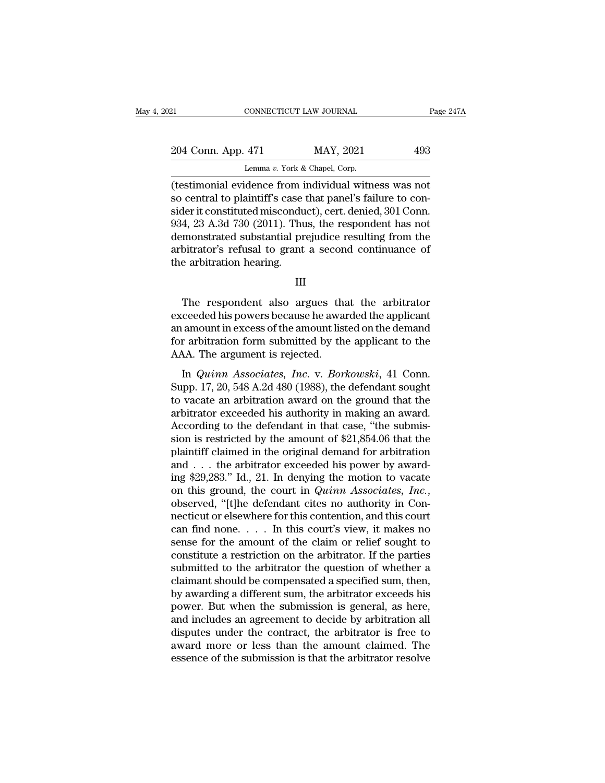| 21                 | CONNECTICUT LAW JOURNAL |                                                                                                                                                                               | Page 247A |  |
|--------------------|-------------------------|-------------------------------------------------------------------------------------------------------------------------------------------------------------------------------|-----------|--|
| 204 Conn. App. 471 |                         | MAY, 2021                                                                                                                                                                     | 493       |  |
|                    |                         | Lemma v. York & Chapel, Corp.                                                                                                                                                 |           |  |
|                    |                         | (testimonial evidence from individual witness was not<br>so central to plaint if s case that panel's failure to con-<br>sider it constituted missenduct) cart denied 201 Conn |           |  |

204 Conn. App. 471 MAY, 2021 493<br>
Lemma v. York & Chapel, Corp.<br>
(testimonial evidence from individual witness was not<br>
so central to plaintiff's case that panel's failure to con-<br>
sider it constituted misconduct), cert. 204 Conn. App. 471 MAY, 2021 493<br>
Lemma v. York & Chapel, Corp.<br>
(testimonial evidence from individual witness was not<br>
so central to plaintiff's case that panel's failure to con-<br>
sider it constituted misconduct), cert. 204 Conn. App. 471 MAY, 2021 493<br>
Lemma v. York & Chapel, Corp.<br>
(testimonial evidence from individual witness was not<br>
so central to plaintiff's case that panel's failure to con-<br>
sider it constituted misconduct), cert. Lemma v. York & Chapel, Corp.<br>
(testimonial evidence from individual witness was not<br>
so central to plaintiff's case that panel's failure to con-<br>
sider it constituted misconduct), cert. denied, 301 Conn.<br>
934, 23 A.3d 73 Lemma v. York & Chapel, Corp.<br>
(testimonial evidence from individual witness was not<br>
so central to plaintiff's case that panel's failure to con-<br>
sider it constituted misconduct), cert. denied, 301 Conn.<br>
934, 23 A.3d 73 (testimonial evidence from i<br>so central to plaintiff's case<br>sider it constituted miscondu<br>934, 23 A.3d 730 (2011). Thu<br>demonstrated substantial pr<br>arbitrator's refusal to grant<br>the arbitration hearing. 4, 23 A.3d 730 (2011). Thus, the respondent has not<br>monstrated substantial prejudice resulting from the<br>bitrator's refusal to grant a second continuance of<br>e arbitration hearing.<br>III<br>The respondent also argues that the arb

### III

demonstrated substantial prejudice resulting from the<br>arbitrator's refusal to grant a second continuance of<br>the arbitration hearing.<br>III<br>The respondent also argues that the arbitrator<br>exceeded his powers because he awarded arbitrator's refusal to grant a second continuance of<br>the arbitration hearing.<br>III<br>The respondent also argues that the arbitrator<br>exceeded his powers because he awarded the applicant<br>an amount in excess of the amount liste III<br>III<br>The respondent also argues that the arbitrator<br>exceeded his powers because he awarded the applicant<br>an amount in excess of the amount listed on the demand<br>for arbitration form submitted by the applicant to the<br>AAA. III<br>The respondent also argues the<br>exceeded his powers because he awa<br>an amount in excess of the amount list<br>for arbitration form submitted by the<br>AAA. The argument is rejected.<br>In *Quinn Associates, Inc.* v. *Bor*. The respondent also argues that the arbitrator ceeded his powers because he awarded the applicant amount in excess of the amount listed on the demand<br>r arbitration form submitted by the applicant to the AA. The argument is The Tespondent diso digacs that the distributed<br>exceeded his powers because he awarded the applicant<br>an amount in excess of the amount listed on the demand<br>for arbitration form submitted by the applicant to the<br>AAA. The ar

an amount in excess of the amount listed on the demand<br>for arbitration form submitted by the applicant to the<br>AAA. The argument is rejected.<br>In *Quinn Associates*, *Inc.* v. *Borkowski*, 41 Conn.<br>Supp. 17, 20, 548 A.2d 480 for arbitration form submitted by the applicant to the<br>AAA. The argument is rejected.<br>In *Quinn Associates, Inc.* v. *Borkowski*, 41 Conn.<br>Supp. 17, 20, 548 A.2d 480 (1988), the defendant sought<br>to vacate an arbitration a AAA. The argument is rejected.<br>
In *Quinn Associates, Inc.* v. *Borkowski*, 41 Conn.<br>
Supp. 17, 20, 548 A.2d 480 (1988), the defendant sought<br>
to vacate an arbitration award on the ground that the<br>
arbitrator exceeded his In all measurements of  $\epsilon$  regions of  $\epsilon$ . v. Borkowski, 41 Conn.<br>Supp. 17, 20, 548 A.2d 480 (1988), the defendant sought<br>to vacate an arbitration award on the ground that the<br>arbitrator exceeded his authority in making In *Quinn Associates, Inc.* v. *Borkowski*, 41 Conn.<br>Supp. 17, 20, 548 A.2d 480 (1988), the defendant sought<br>to vacate an arbitration award on the ground that the<br>arbitrator exceeded his authority in making an award.<br>Acco Supp. 17, 20, 548 A.2d 480 (1988), the defendant sought<br>to vacate an arbitration award on the ground that the<br>arbitrator exceeded his authority in making an award.<br>According to the defendant in that case, "the submis-<br>sio to vacate an arbitration award on the ground that the<br>arbitrator exceeded his authority in making an award.<br>According to the defendant in that case, "the submis-<br>sion is restricted by the amount of \$21,854.06 that the<br>pla arbitrator exceeded his authority in making an award.<br>According to the defendant in that case, "the submission is restricted by the amount of \$21,854.06 that the<br>plaintiff claimed in the original demand for arbitration<br>an sion is restricted by the amount of \$21,854.06 that the plaintiff claimed in the original demand for arbitration and . . . the arbitrator exceeded his power by awarding \$29,283." Id., 21. In denying the motion to vacate o plaintiff claimed in the original demand for arbitration<br>and . . . the arbitrator exceeded his power by award-<br>ing \$29,283." Id., 21. In denying the motion to vacate<br>on this ground, the court in *Quinn Associates, Inc.*,<br> and . . . the arbitrator exceeded his power by award-<br>ing \$29,283." Id., 21. In denying the motion to vacate<br>on this ground, the court in *Quinn Associates, Inc.*,<br>observed, "[t]he defendant cites no authority in Con-<br>nec ing \$29,283." Id., 21. In denying the motion to vacate<br>on this ground, the court in  $Quinn$  Associates, Inc.,<br>observed, "[t]he defendant cites no authority in Con-<br>necticut or elsewhere for this contention, and this court<br>ca on this ground, the court in *Quinn Associates, Inc.*, observed, "[t]he defendant cites no authority in Connecticut or elsewhere for this contention, and this court can find none. . . . In this court's view, it makes no s observed, "[t]he defendant cites no authority in Connecticut or elsewhere for this contention, and this court<br>can find none. . . . In this court's view, it makes no<br>sense for the amount of the claim or relief sought to<br>co mecticut or elsewhere for this contention, and this court<br>can find none. . . . In this court's view, it makes no<br>sense for the amount of the claim or relief sought to<br>constitute a restriction on the arbitrator. If the par can find none. . . . . In this court's view, it makes no<br>sense for the amount of the claim or relief sought to<br>constitute a restriction on the arbitrator. If the parties<br>submitted to the arbitrator the question of whether sense for the amount of the claim or relief sought to constitute a restriction on the arbitrator. If the parties submitted to the arbitrator the question of whether a claimant should be compensated a specified sum, then, b constitute a restriction on the arbitrator. If the parties<br>submitted to the arbitrator the question of whether a<br>claimant should be compensated a specified sum, then,<br>by awarding a different sum, the arbitrator exceeds his submitted to the arbitrator the question of whether a<br>claimant should be compensated a specified sum, then,<br>by awarding a different sum, the arbitrator exceeds his<br>power. But when the submission is general, as here,<br>and in claimant should be compensated a specified sum, then,<br>by awarding a different sum, the arbitrator exceeds his<br>power. But when the submission is general, as here,<br>and includes an agreement to decide by arbitration all<br>dispu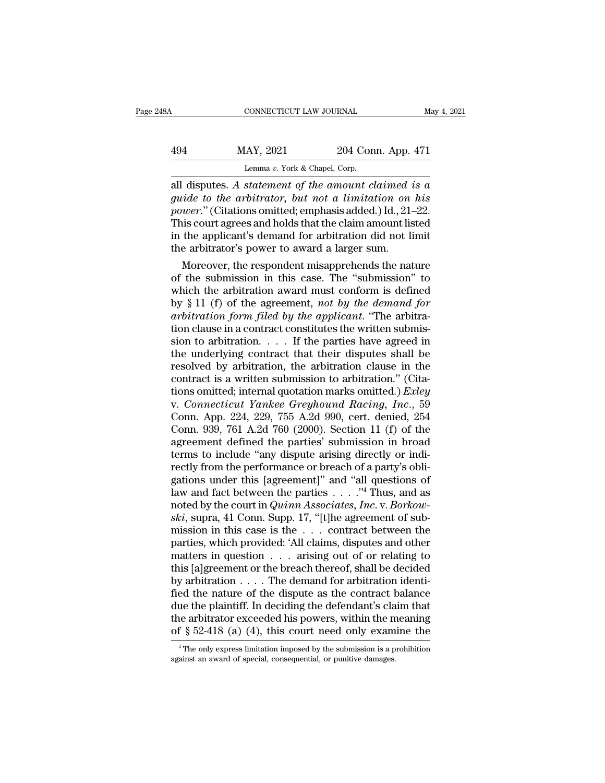### CONNECTICUT LAW JOURNAL May 4, 2021<br>
494 MAY, 2021 204 Conn. App. 471<br>
Lemma v. York & Chapel, Corp. ECONNECTICUT LAW JOURNAL<br>LAY, 2021 204 Corp.<br>Lemma *v.* York & Chapel, Corp.<br>statement of the amount c

connecticut LAW JOURNAL May 4, 2021<br> **A94** MAY, 2021 204 Conn. App. 471<br>
Lemma v. York & Chapel, Corp.<br> **All disputes.** A statement of the amount claimed is a<br>
guide to the arbitrator, but not a limitation on his<br>
mount "( *guide to the arbitrator, but not a limitation on his*<br>*guide to the arbitrator, but not a limitation on his*<br>*guide to the arbitrator, but not a limitation on his*<br>*power.*" (Citations omitted; emphasis added.) Id., 21–22 *power.''* (Citations omitted; emphasis added.) Id., 21–22.<br> *power.''* (Citations omitted; emphasis added.) Id., 21–22.<br>
This court agrees and holds that the claim amount listed<br>
in the applicant's demand for arbitration 494 MAY, 2021 204 Conn. App. 471<br>
Lemma v. York & Chapel, Corp.<br>
all disputes. A statement of the amount claimed is a<br>
guide to the arbitrator, but not a limitation on his<br>
power." (Citations omitted; emphasis added.) Id. Lemma v. York & Chapel, Corp.<br>
all disputes. A statement of the amount claimed is a<br>
guide to the arbitrator, but not a limitation on his<br>
power." (Citations omitted; emphasis added.) Id., 21–22.<br>
This court agrees and ho Lemma v. York & Chapel, Corp.<br>
all disputes. A statement of the amount claimed a<br>
guide to the arbitrator, but not a limitation on<br>
power." (Citations omitted; emphasis added.) Id., 21-<br>
This court agrees and holds that t disputes. A statement of the amount claimed is a<br>ide to the arbitrator, but not a limitation on his<br>wer." (Citations omitted; emphasis added.) Id., 21–22.<br>is court agrees and holds that the claim amount listed<br>the applica guide to the arbitrator, but not a limitation on his<br>power." (Citations omitted; emphasis added.) Id., 21–22.<br>This court agrees and holds that the claim amount listed<br>in the applicant's demand for arbitration did not limit

power." (Citations omitted; emphasis added.) Id., 21–22.<br>This court agrees and holds that the claim amount listed<br>in the applicant's demand for arbitration did not limit<br>the arbitrator's power to award a larger sum.<br>Moreo This court agrees and holds that the claim amount listed<br>in the applicant's demand for arbitration did not limit<br>the arbitrator's power to award a larger sum.<br>Moreover, the respondent misapprehends the nature<br>of the submis in the applicant's demand for arbitration did not limit<br>the arbitrator's power to award a larger sum.<br>Moreover, the respondent misapprehends the nature<br>of the submission in this case. The "submission" to<br>which the arbitrat the arbitrator's power to award a larger sum.<br>
Moreover, the respondent misapprehends the nature<br>
of the submission in this case. The "submission" to<br>
which the arbitration award must conform is defined<br>
by § 11 (f) of th Moreover, the respondent misapprehends the nature<br>of the submission in this case. The "submission" to<br>which the arbitration award must conform is defined<br>by § 11 (f) of the agreement, *not by the demand for*<br>arbitration f of the submission in this case. The "submission" to<br>which the arbitration award must conform is defined<br>by § 11 (f) of the agreement, *not by the demand for*<br>arbitration form filed by the applicant. "The arbitra-<br>tion cla which the arbitration award must conform is defined<br>by § 11 (f) of the agreement, *not by the demand for*<br>arbitration form filed by the applicant. "The arbitra-<br>tion clause in a contract constitutes the written submis-<br>si by § 11 (f) of the agreement, *not by the demand for*<br>arbitration form filed by the applicant. "The arbitra-<br>tion clause in a contract constitutes the written submis-<br>sion to arbitration.... If the parties have agreed in<br> arbitration form filed by the applicant. "The arbitration clause in a contract constitutes the written submission to arbitration. . . . . If the parties have agreed in the underlying contract that their disputes shall be tion clause in a contract constitutes the written submission to arbitration.  $\ldots$  If the parties have agreed in the underlying contract that their disputes shall be resolved by arbitration, the arbitration clause in the sion to arbitration. . . . If the parties have agreed in<br>the underlying contract that their disputes shall be<br>resolved by arbitration, the arbitration clause in the<br>contract is a written submission to arbitration." (Citathe underlying contract that their disputes shall be<br>resolved by arbitration, the arbitration clause in the<br>contract is a written submission to arbitration." (Cita-<br>tions omitted; internal quotation marks omitted.) *Exley* resolved by arbitration, the arbitration clause in the contract is a written submission to arbitration." (Citations omitted; internal quotation marks omitted.) *Exley* v. *Connecticut Yankee Greyhound Racing*, *Inc.*, 59 C contract is a written submission to arbitration." (Citations omitted; internal quotation marks omitted.) *Exley* v. *Connecticut Yankee Greyhound Racing, Inc.*, 59 Conn. App. 224, 229, 755 A.2d 990, cert. denied, 254 Conn. tions omitted; internal quotation marks omitted.) *Exley*<br>v. *Connecticut Yankee Greyhound Racing*, *Inc.*, 59<br>Conn. App. 224, 229, 755 A.2d 990, cert. denied, 254<br>Conn. 939, 761 A.2d 760 (2000). Section 11 (f) of the<br>agr v. Connecticut Yankee Greyhound Racing, Inc., 59<br>Conn. App. 224, 229, 755 A.2d 990, cert. denied, 254<br>Conn. 939, 761 A.2d 760 (2000). Section 11 (f) of the<br>agreement defined the parties' submission in broad<br>terms to inclu Conn. App. 224, 229, 755 A.2d 990, cert. denied, 254<br>Conn. 939, 761 A.2d 760 (2000). Section 11 (f) of the<br>agreement defined the parties' submission in broad<br>terms to include "any dispute arising directly or indi-<br>rectly Conn. 939, 761 A.2d 760 (2000). Section 11 (f) of the agreement defined the parties' submission in broad terms to include "any dispute arising directly or indirectly from the performance or breach of a party's obligations agreement defined the parties' submission in broad<br>terms to include "any dispute arising directly or indi-<br>rectly from the performance or breach of a party's obli-<br>gations under this [agreement]" and "all questions of<br>law terms to include "any dispute arising directly or indi-<br>rectly from the performance or breach of a party's obli-<br>gations under this [agreement]" and "all questions of<br>law and fact between the parties . . . . ."<sup>4</sup> Thus, a rectly from the performance or breach of a party's obligations under this [agreement]" and "all questions of law and fact between the parties . . . . ."<sup>4</sup> Thus, and as noted by the court in *Quinn Associates, Inc.* v. *B* gations under this [agreement]" and "all questions of<br>law and fact between the parties . . . . "<sup>4</sup> Thus, and as<br>noted by the court in *Quinn Associates, Inc.* v. *Borkow-*<br>*ski*, supra, 41 Conn. Supp. 17, "[t]he agreemen law and fact between the parties . . . . "<sup>4</sup> Thus, and as<br>noted by the court in *Quinn Associates, Inc.* v. *Borkow-*<br>ski, supra, 41 Conn. Supp. 17, "[t]he agreement of sub-<br>mission in this case is the . . . contract bet noted by the court in *Quinn Associates, Inc.* v. *Borkowski*, supra, 41 Conn. Supp. 17, "[t]he agreement of submission in this case is the . . . contract between the parties, which provided: 'All claims, disputes and oth *ski*, supra, 41 Conn. Supp. 17, "[t]he agreement of sub-<br>mission in this case is the  $\ldots$  contract between the<br>parties, which provided: 'All claims, disputes and other<br>matters in question  $\ldots$  arising out of or relatin mission in this case is the ... contract between the<br>parties, which provided: 'All claims, disputes and other<br>matters in question ... arising out of or relating to<br>this [a]greement or the breach thereof, shall be decided<br> parties, which provided: 'All claims, disputes and other<br>matters in question . . . arising out of or relating to<br>this [a]greement or the breach thereof, shall be decided<br>by arbitration . . . . The demand for arbitration i matters in question . . . arising out of or relating to<br>this [a]greement or the breach thereof, shall be decided<br>by arbitration . . . . The demand for arbitration identi-<br>fied the nature of the dispute as the contract bal ed the nature of the dispute as the contract balance<br>ue the plaintiff. In deciding the defendant's claim that<br>the arbitrator exceeded his powers, within the meaning<br> $\frac{2}{3}$  52-418 (a) (4), this court need only examine t due the plaintiff. In deciding the defendant's cla<br>the arbitrator exceeded his powers, within the m<br>of  $\S$  52-418 (a) (4), this court need only exam<br> $\frac{4}{1}$ The only express limitation imposed by the submission is a p<br>ag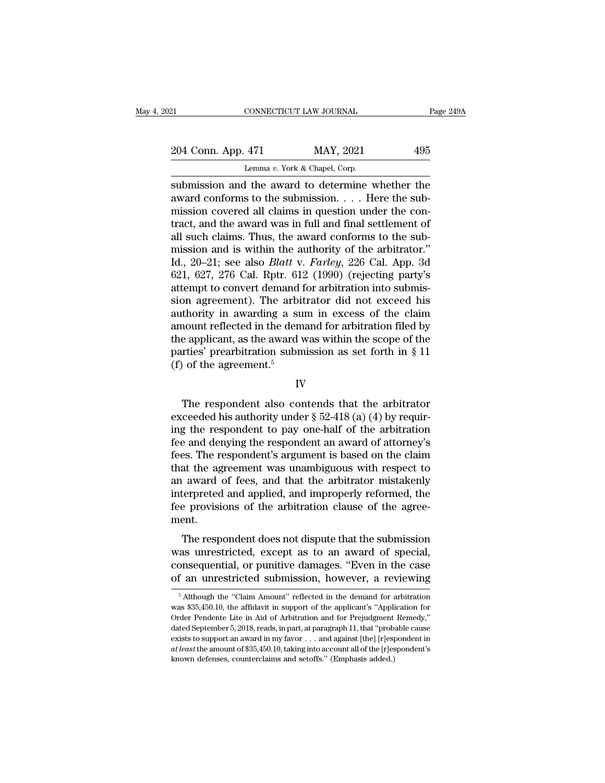| 21                                                | CONNECTICUT LAW JOURNAL       | Page 249A |
|---------------------------------------------------|-------------------------------|-----------|
| 204 Conn. App. 471                                | MAY, 2021                     | 495       |
|                                                   | Lemma v. York & Chapel, Corp. |           |
| submission and the award to determine whether the |                               |           |

Fage 249A<br>
Submission and the award to determine whether the<br>
submission and the award to determine whether the<br>
award conforms to the submission.... Here the sub-<br>
mission acycrod all claims in question under the con-204 Conn. App. 471 MAY, 2021 495<br>
Lemma v. York & Chapel, Corp.<br>
submission and the award to determine whether the<br>
award conforms to the submission.... Here the sub-<br>
mission covered all claims in question under the con-204 Conn. App. 471 MAY, 2021 495<br>
Lemma v. York & Chapel, Corp.<br>
submission and the award to determine whether the<br>
award conforms to the submission.... Here the sub-<br>
mission covered all claims in question under the con-204 Conn. App. 471 MAY, 2021 495<br>
Lemma v. York & Chapel, Corp.<br>
submission and the award to determine whether the<br>
award conforms to the submission. . . . Here the sub-<br>
mission covered all claims in question under the c Lemma v. York & Chapel, Corp.<br>
submission and the award to determine whether the<br>
award conforms to the submission.... Here the sub-<br>
mission covered all claims in question under the con-<br>
tract, and the award was in full Lemma v. York & Chapel, Corp.<br>
submission and the award to determine whether the<br>
award conforms to the submission.... Here the sub-<br>
mission covered all claims in question under the con-<br>
tract, and the award was in full submission and the award to determine whether the<br>award conforms to the submission. . . . Here the sub-<br>mission covered all claims in question under the con-<br>tract, and the award was in full and final settlement of<br>all suc award conforms to the submission. . . . Here the submission covered all claims in question under the contract, and the award was in full and final settlement of all such claims. Thus, the award conforms to the submission mission covered all claims in question under the contract, and the award was in full and final settlement of all such claims. Thus, the award conforms to the submission and is within the authority of the arbitrator."<br>Id., tract, and the award was in full and final settlement of<br>all such claims. Thus, the award conforms to the sub-<br>mission and is within the authority of the arbitrator."<br>Id., 20–21; see also *Blatt v. Farley*, 226 Cal. App. 3 all such claims. Thus, the award conforms to the sub-<br>mission and is within the authority of the arbitrator."<br>Id., 20–21; see also *Blatt* v. *Farley*, 226 Cal. App. 3d<br>621, 627, 276 Cal. Rptr. 612 (1990) (rejecting party' mission and is within the authority of the arbitrator."<br>Id., 20–21; see also *Blatt v. Farley*, 226 Cal. App. 3d<br>621, 627, 276 Cal. Rptr. 612 (1990) (rejecting party's<br>attempt to convert demand for arbitration into submis Id., 20–21; see also *Blatt* v. *Farley*, 226 Cal. App. 3d 621, 627, 276 Cal. Rptr. 612 (1990) (rejecting party's attempt to convert demand for arbitration into submission agreement). The arbitrator did not exceed his aut 621, 627, 276 Cal. Rptr. 612 (1990) (rejecting party's attempt to convert demand for arbitration into submission agreement). The arbitrator did not exceed his authority in awarding a sum in excess of the claim amount refl attempt to convert demand is<br>sion agreement). The arbit<br>authority in awarding a su<br>amount reflected in the dem<br>the applicant, as the award v<br>parties' prearbitration subn<br>(f) of the agreement.<sup>5</sup> Notice and the demand for arbitration filed by<br>
the applicant, as the award was within the scope of the<br>
rties' prearbitration submission as set forth in § 11<br>
of the agreement.<sup>5</sup><br>
IV<br>
The respondent also contends that t

### IV

the applicant, as the award was within the scope of the<br>parties' prearbitration submission as set forth in § 11<br>(f) of the agreement.<sup>5</sup><br>IV<br>The respondent also contends that the arbitrator<br>exceeded his authority under § 5 parties' prearbitration submission as set forth in § 11<br>
(f) of the agreement.<sup>5</sup><br>
IV<br>
The respondent also contends that the arbitrator<br>
exceeded his authority under § 52-418 (a) (4) by requir-<br>
ing the respondent to pay (f) of the agreement.<sup>5</sup><br>IV<br>IV<br>The respondent also contends that the arbitrator<br>exceeded his authority under  $\S~52-418$  (a) (4) by requir-<br>ing the respondent to pay one-half of the arbitration<br>fee and denying the responde IV<br>The respondent also contends that the arbitrator<br>exceeded his authority under  $\S 52-418$  (a) (4) by requir-<br>ing the respondent to pay one-half of the arbitration<br>fee and denying the respondent an award of attorney's<br>fe The respondent also contends that the arbitrator<br>exceeded his authority under  $\S$  52-418 (a) (4) by requir-<br>ing the respondent to pay one-half of the arbitration<br>fee and denying the respondent an award of attorney's<br>fees. The respondent also contends that the arbitrator<br>exceeded his authority under  $\S$  52-418 (a) (4) by requir-<br>ing the respondent to pay one-half of the arbitration<br>fee and denying the respondent an award of attorney's<br>fees. exceeded his authority under  $\S$  52-418 (a) (4) by requiring the respondent to pay one-half of the arbitration fee and denying the respondent an award of attorney's fees. The respondent's argument is based on the claim th ing the respondent to pay one-half of the arbitration<br>fee and denying the respondent an award of attorney's<br>fees. The respondent's argument is based on the claim<br>that the agreement was unambiguous with respect to<br>an award ment. at the agreement was unambiguous with respect to<br>award of fees, and that the arbitrator mistakenly<br>terpreted and applied, and improperly reformed, the<br>e provisions of the arbitration clause of the agree-<br>ent.<br>The responden and the agreement was unaninguous what respect to<br>an award of fees, and that the arbitrator mistakenly<br>interpreted and applied, and improperly reformed, the<br>fee provisions of the arbitration clause of the agree-<br>ment.<br>The

an award of recs, and that the arbitrator mistakerity<br>interpreted and applied, and improperly reformed, the<br>fee provisions of the arbitration clause of the agree-<br>ment.<br>The respondent does not dispute that the submission<br>w The provisions of the arbitration clause of the agreement.<br>The respondent does not dispute that the submission<br>was unrestricted, except as to an award of special,<br>consequential, or punitive damages. "Even in the case<br>of an The respondent does not dispute that the submission<br>as unrestricted, except as to an award of special,<br>onsequential, or punitive damages. "Even in the case<br>f an unrestricted submission, however, a reviewing<br> $\frac{5 \text{ Although the "Claim Amount" reflected$ was unrestricted, except as to an award of special, consequential, or punitive damages. "Even in the case of an unrestricted submission, however, a reviewing  $\frac{5 \text{ Although the "Claim Amount" reflected in the demand for arbitrary mass $35,450.10, the affidavit in support of the application for Order Pendente Life in Aid of Arbitration and for Prejudgment Remedy,"}$ 

consequential, or punitive damages. "Even in the case<br>of an unrestricted submission, however, a reviewing<br><sup>5</sup> Although the "Claim Amount" reflected in the demand for arbitration<br>was \$35,450.10, the affidavit in support of of an unrestricted submission, however, a reviewing<br>of an unrestricted submission, however, a reviewing<br> $\frac{1}{100}$  and  $\frac{1}{100}$  and  $\frac{1}{100}$  and  $\frac{1}{100}$  and  $\frac{1}{100}$  and  $\frac{1}{100}$  and  $\frac{1}{100}$  and  $\frac{1$ For all the stricted submission, nowever, a reviewing<br>
Falthough the "Claim Amount" reflected in the demand for arbitration<br>
was \$35,450.10, the affidavit in support of the applicant's "Application for<br>
Order Pendente Lit <sup>5</sup> Although the "Claim Amount" reflected in the demand for arbitration was \$35,450.10, the affidavit in support of the applicant's "Application for Order Pendente Lite in Aid of Arbitration and for Prejudgment Remedy," d was \$35,450.10, the affidavit in support of the applicant's "Application for Order Pendente Lite in Aid of Arbitration and for Prejudgment Remedy," dated September 5, 2018, reads, in part, at paragraph 11, that "probable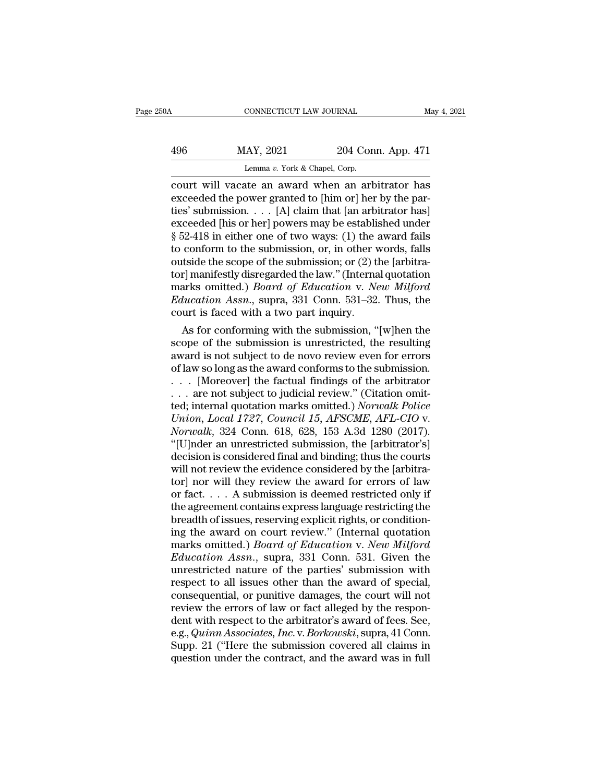| May 4, 2021        | CONNECTICUT LAW JOURNAL                                                            | 50A |  |
|--------------------|------------------------------------------------------------------------------------|-----|--|
| 204 Conn. App. 471 | MAY, 2021                                                                          | 496 |  |
|                    |                                                                                    |     |  |
|                    | Lemma v. York & Chapel, Corp.<br>court will vacate an award when an arbitrator has |     |  |

connecticut LAW JOURNAL May 4, 2021<br>
MAY, 2021 204 Conn. App. 471<br>
Lemma v. York & Chapel, Corp.<br>
court will vacate an award when an arbitrator has<br>
exceeded the power granted to [him or] her by the parties' submission. MAY, 2021 204 Conn. App. 471<br>
Lemma v. York & Chapel, Corp.<br>
court will vacate an award when an arbitrator has<br>
exceeded the power granted to [him or] her by the par-<br>
ties' submission.... [A] claim that [an arbitrator has 496 MAY, 2021 204 Conn. App. 471<br>
Lemma v. York & Chapel, Corp.<br>
court will vacate an award when an arbitrator has<br>
exceeded the power granted to [him or] her by the par-<br>
ties' submission.... [A] claim that [an arbitrato 496 MAY, 2021 204 Conn. App. 471<br>
Lemma v. York & Chapel, Corp.<br>
court will vacate an award when an arbitrator has<br>
exceeded the power granted to [him or] her by the par-<br>
ties' submission.... [A] claim that [an arbitrato For the same of the submission: or (2) the laphratic contours of the score of the score of the submission of the award fails to conform to the submission, or, in other words, falls outside the score of the submission or ( Lemma v. York & Chapel, Corp.<br>
court will vacate an award when an arbitrator has<br>
exceeded the power granted to [him or] her by the par-<br>
ties' submission. . . . [A] claim that [an arbitrator has]<br>
exceeded [his or her] p court will vacate an award when an arbitrator has<br>exceeded the power granted to [him or] her by the par-<br>ties' submission. . . . [A] claim that [an arbitrator has]<br>exceeded [his or her] powers may be established under<br>§ 5 exceeded the power granted to [him or] her by the parties' submission. . . . [A] claim that [an arbitrator has]<br>exceeded [his or her] powers may be established under<br>§ 52-418 in either one of two ways: (1) the award fails ties' submission. . . . [A] claim that [an arbitrator has]<br>exceeded [his or her] powers may be established under<br>§ 52-418 in either one of two ways: (1) the award fails<br>to conform to the submission, or, in other words, fal exceeded [his or her] powers may be established under § 52-418 in either one of two ways: (1) the award fails to conform to the submission, or, in other words, falls outside the scope of the submission; or (2) the [arbitra § 52-418 in either one of two ways: (1) the ato conform to the submission, or, in other v<br>outside the scope of the submission; or (2) tl<br>tor] manifestly disregarded the law." (Interna<br>marks omitted.) *Board of Education* conform to the submission, or, in other words, rails<br>triside the scope of the submission; or (2) the [arbitra-<br>r] manifestly disregarded the law." (Internal quotation<br>arks omitted.) *Board of Education* v. *New Milford*<br> outside the scope of the submission; or  $(2)$  the farbitra-<br>tor] manifestly disregarded the law." (Internal quotation<br>marks omitted.) *Board of Education* v. *New Milford*<br>*Education Assn.*, supra, 331 Conn. 531–32. Thus,

tor manifestly disregarded the law." (internal quotation<br>marks omitted.) *Board of Education* v. *New Milford*<br>*Education Assn.*, supra, 331 Conn. 531–32. Thus, the<br>court is faced with a two part inquiry.<br>As for conforming marks omitted.) *Board of Education v. New Mitford*<br> *Education Assn.*, supra, 331 Conn. 531–32. Thus, the<br>
court is faced with a two part inquiry.<br>
As for conforming with the submission, "[w]hen the<br>
scope of the submiss *Education Assn.*, supra, 331 Conn. 531–32. Thus, the<br>court is faced with a two part inquiry.<br>As for conforming with the submission, "[w]hen the<br>scope of the submission is unrestricted, the resulting<br>award is not subject court is faced with a two part inquiry.<br>
As for conforming with the submission, "[w]hen the<br>
scope of the submission is unrestricted, the resulting<br>
award is not subject to de novo review even for errors<br>
of law so long a As for conforming with the submission, "[w]hen the<br>scope of the submission is unrestricted, the resulting<br>award is not subject to de novo review even for errors<br>of law so long as the award conforms to the submission.<br>... [ *Scope of the submission is unrestricted, the resulting award is not subject to de novo review even for errors of law so long as the award conforms to the submission.*<br>  $\ldots$  [Moreover] the factual findings of the arbitrat *Normal* is not subject to de novo review even for errors of law so long as the award conforms to the submission.<br>  $\ldots$  [Moreover] the factual findings of the arbitrator  $\ldots$  are not subject to judicial review." (Citatio of law so long as the award conforms to the submission.<br>  $\ldots$  [Moreover] the factual findings of the arbitrator<br>  $\ldots$  are not subject to judicial review." (Citation omit-<br>
ted; internal quotation marks omitted.) *Norwal* . . . [Moreover] the factual findings of the arbitrator<br>
. . . are not subject to judicial review." (Citation omit-<br>
ted; internal quotation marks omitted.) *Norwalk Police*<br>
Union, Local 1727, Council 15, AFSCME, AFL-CIO where the subject to judicial review." (Citation omitted; internal quotation marks omitted.) Norwalk Police Union, Local 1727, Council 15, AFSCME, AFL-CIO v. Norwalk, 324 Conn. 618, 628, 153 A.3d 1280 (2017).<br>"[U]nder an ted; internal quotation marks omitted.) *Norwalk Police*<br>
Union, Local 1727, Council 15, AFSCME, AFL-CIO v.<br>
Norwalk, 324 Conn. 618, 628, 153 A.3d 1280 (2017).<br>
"[U]nder an unrestricted submission, the [arbitrator's]<br>
deci Union, Local 1727, Council 15, AFSCME, AFL-CIO v.<br>Norwalk, 324 Conn. 618, 628, 153 A.3d 1280 (2017).<br>"[U]nder an unrestricted submission, the [arbitrator's]<br>decision is considered final and binding; thus the courts<br>will n Norwalk, 324 Conn. 618, 628, 153 A.3d 1280 (2017).<br>
"[U]nder an unrestricted submission, the [arbitrator's]<br>
decision is considered final and binding; thus the courts<br>
will not review the evidence considered by the [arbit "[U]nder an unrestricted submission, the [arbitrator's] decision is considered final and binding; thus the courts will not review the evidence considered by the [arbitrator] nor will they review the award for errors of la decision is considered final and binding; thus the courts<br>will not review the evidence considered by the [arbitra-<br>tor] nor will they review the award for errors of law<br>or fact.... A submission is deemed restricted only i will not review the evidence considered by the [arbitrator] nor will they review the award for errors of law or fact. . . . A submission is deemed restricted only if the agreement contains express language restricting the *Education Assn.*, supra, 331 Conn. 531. Given<br>the agreement contains express language restricted only if<br>the agreement contains express language restricting the<br>breadth of issues, reserving explicit rights, or condition-<br> or fact.... A submission is deemed restricted only if<br>the agreement contains express language restricting the<br>breadth of issues, reserving explicit rights, or condition-<br>ing the award on court review." (Internal quotation<br> the agreement contains express language restricting the<br>breadth of issues, reserving explicit rights, or condition-<br>ing the award on court review." (Internal quotation<br>marks omitted.) *Board of Education* v. *New Milford*<br> breadth of issues, reserving explicit rights, or condition-<br>ing the award on court review." (Internal quotation<br>marks omitted.) *Board of Education* v. *New Milford*<br>*Education Assn.*, supra, 331 Conn. 531. Given the<br>unres ing the award on court review." (Internal quotation marks omitted.) *Board of Education v. New Milford Education Assn.*, supra, 331 Conn. 531. Given the unrestricted nature of the parties' submission with respect to all i marks omitted.) *Board of Education* v. *New Milford*<br>*Education Assn.*, supra, 331 Conn. 531. Given the<br>unrestricted nature of the parties' submission with<br>respect to all issues other than the award of special,<br>consequent Education Assn., supra, 331 Conn. 531. Given the<br>unrestricted nature of the parties' submission with<br>respect to all issues other than the award of special,<br>consequential, or punitive damages, the court will not<br>review the unrestricted nature of the parties' submission with<br>respect to all issues other than the award of special,<br>consequential, or punitive damages, the court will not<br>review the errors of law or fact alleged by the respon-<br>dent respect to all issues other than the award of special, consequential, or punitive damages, the court will not<br>review the errors of law or fact alleged by the respondent with respect to the arbitrator's award of fees. See,<br>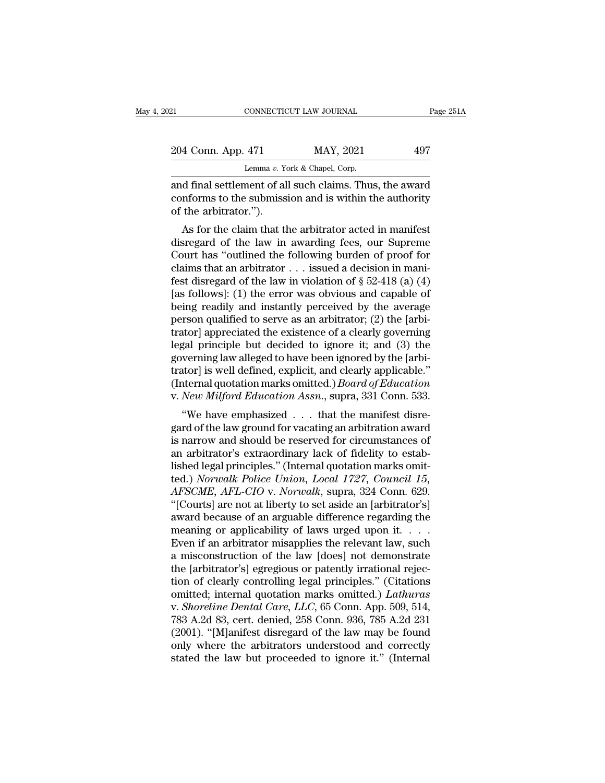| 21.                  |  | CONNECTICUT LAW JOURNAL                                                                                            | Page 251A |  |
|----------------------|--|--------------------------------------------------------------------------------------------------------------------|-----------|--|
| 204 Conn. App. 471   |  | MAY, 2021                                                                                                          | 497       |  |
|                      |  | Lemma v. York & Chapel, Corp.                                                                                      |           |  |
| of the orbitrator ") |  | and final settlement of all such claims. Thus, the award<br>conforms to the submission and is within the authority |           |  |

204 Conn. App. 471 MAY, 2021 497<br>Lemma v. York & Chapel, Corp.<br>and final settlement of all such claims. Thus, the award<br>conforms to the submission and is within the authority<br>of the arbitrator."). 204 Conn. App. 471<br>
Lemma v. Yumma v. Yumma v. Yumma v. Yumma v. Yumma v. Yumma v. Yumma conforms to the submiss<br>
of the arbitrator.'').<br>
As for the claim that the 4 Conn. App. 471 MAY, 2021 497<br>
Lemma v. York & Chapel, Corp.<br>
d final settlement of all such claims. Thus, the award<br>
nforms to the submission and is within the authority<br>
the arbitrator.").<br>
As for the claim that the ar

Lemma v. York & Chapel, Corp.<br>
and final settlement of all such claims. Thus, the award<br>
conforms to the submission and is within the authority<br>
of the arbitrator.").<br>
As for the claim that the arbitrator acted in manifes and final settlement of all such claims. Thus, the award<br>conforms to the submission and is within the authority<br>of the arbitrator.").<br>As for the claim that the arbitrator acted in manifest<br>disregard of the law in awarding and mai settlement of an such claims. Thus, the award<br>conforms to the submission and is within the authority<br>of the arbitrator.").<br>As for the claim that the arbitrator acted in manifest<br>disregard of the law in awarding fe for the arbitrator.").<br>
As for the claim that the arbitrator acted in manifest<br>
disregard of the law in awarding fees, our Supreme<br>
Court has "outlined the following burden of proof for<br>
claims that an arbitrator . . . is As for the claim that the arbitrator acted in manifest<br>disregard of the law in awarding fees, our Supreme<br>Court has "outlined the following burden of proof for<br>claims that an arbitrator . . . issued a decision in mani-<br>fe As for the claim that the arbitrator acted in manifest<br>disregard of the law in awarding fees, our Supreme<br>Court has "outlined the following burden of proof for<br>claims that an arbitrator . . . issued a decision in mani-<br>fe disregard of the law in awarding fees, our Supreme<br>Court has "outlined the following burden of proof for<br>claims that an arbitrator . . . issued a decision in mani-<br>fest disregard of the law in violation of § 52-418 (a) (4 Court has "outlined the following burden of proof for<br>claims that an arbitrator . . . issued a decision in mani-<br>fest disregard of the law in violation of  $\S$  52-418 (a) (4)<br>[as follows]: (1) the error was obvious and cap claims that an arbitrator  $\ldots$  issued a decision in manifest disregard of the law in violation of § 52-418 (a) (4) [as follows]: (1) the error was obvious and capable of being readily and instantly perceived by the avera fest disregard of the law in violation of  $\S$  52-418 (a) (4)<br>[as follows]: (1) the error was obvious and capable of<br>being readily and instantly perceived by the average<br>person qualified to serve as an arbitrator; (2) the [as follows]: (1) the error was obvious and capable of<br>being readily and instantly perceived by the average<br>person qualified to serve as an arbitrator; (2) the [arbi-<br>trator] appreciated the existence of a clearly governi being readily and instantly perceived by the average<br>person qualified to serve as an arbitrator; (2) the [arbi-<br>trator] appreciated the existence of a clearly governing<br>legal principle but decided to ignore it; and (3) the person qualified to serve as an arbitrator; (2) the [arbitrator] appreciated the existence of a clearly governing<br>legal principle but decided to ignore it; and (3) the<br>governing law alleged to have been ignored by the [arb and principle but decided to ignore it; and (3) the<br>
verning law alleged to have been ignored by the [arbi-<br>
ator] is well defined, explicit, and clearly applicable."<br>
iternal quotation marks omitted.) *Board of Education* regar principle but decided to ignore it, and (3) the<br>governing law alleged to have been ignored by the [arbi-<br>trator] is well defined, explicit, and clearly applicable."<br>(Internal quotation marks omitted.) *Board of Educ* 

governing law aneged to have been ignored by the [arbitrator] is well defined, explicit, and clearly applicable."<br>(Internal quotation marks omitted.) *Board of Education*<br>v. *New Milford Education Assn.*, supra, 331 Conn. (Internal quotation marks omitted.) *Board of Education*<br>v. *New Milford Education Assn.*, supra, 331 Conn. 533.<br>"We have emphasized  $\ldots$  that the manifest disregard of the law ground for vacating an arbitration award<br>is v. *New Milford Education Assn.*, supra, 331 Conn. 533.<br>
"We have emphasized  $\ldots$  that the manifest disregard of the law ground for vacating an arbitration award<br>
is narrow and should be reserved for circumstances of<br>
an v. *New Intigora Education Assn.*, supra, 351 Conit. 355.<br>
"We have emphasized . . . that the manifest disregard of the law ground for vacating an arbitration award<br>
is narrow and should be reserved for circumstances of<br>
a *AFT We have emphasized* . . . that the manifest disregard of the law ground for vacating an arbitration award is narrow and should be reserved for circumstances of an arbitrator's extraordinary lack of fidelity to establi gard of the law ground for vacating an arbitration award<br>
is narrow and should be reserved for circumstances of<br>
an arbitrator's extraordinary lack of fidelity to estab-<br>
lished legal principles." (Internal quotation marks is narrow and should be reserved for circumstances of<br>an arbitrator's extraordinary lack of fidelity to estab-<br>lished legal principles." (Internal quotation marks omit-<br>ted.) Norwalk Police Union, Local 1727, Council 15,<br> an arbitrator's extraordinary lack of fidelity to established legal principles." (Internal quotation marks omitted.) Norwalk Police Union, Local 1727, Council 15, AFSCME, AFL-CIO v. Norwalk, supra, 324 Conn. 629.<br>"[Courts] lished legal principles." (Internal quotation marks omit-<br>ted.) *Norwalk Police Union, Local 1727, Council 15,*<br>*AFSCME, AFL-CIO v. Norwalk,* supra, 324 Conn. 629.<br>"[Courts] are not at liberty to set aside an [arbitrator's ted.) *Norwalk Police Union, Local 1727, Council 15,*<br>AFSCME, AFL-CIO v. *Norwalk*, supra, 324 Conn. 629.<br>"[Courts] are not at liberty to set aside an [arbitrator's]<br>award because of an arguable difference regarding the<br>me AFSCME, AFL-CIO v. Norwalk, supra, 324 Conn. 629.<br>
"[Courts] are not at liberty to set aside an [arbitrator's]<br>
award because of an arguable difference regarding the<br>
meaning or applicability of laws urged upon it. . . .<br> "[Courts] are not at liberty to set aside an [arbitrator's]<br>award because of an arguable difference regarding the<br>meaning or applicability of laws urged upon it. . . .<br>Even if an arbitrator misapplies the relevant law, su award because of an arguable difference regarding the<br>meaning or applicability of laws urged upon it. . . .<br>Even if an arbitrator misapplies the relevant law, such<br>a misconstruction of the law [does] not demonstrate<br>the [ meaning or applicability of laws urged upon it. . . . . Even if an arbitrator misapplies the relevant law, such<br>a misconstruction of the law [does] not demonstrate<br>the [arbitrator's] egregious or patently irrational rejec-Even if an arbitrator misapplies the relevant law, such<br>a misconstruction of the law [does] not demonstrate<br>the [arbitrator's] egregious or patently irrational rejec-<br>tion of clearly controlling legal principles." (Citatio a misconstruction of the law [does] not demonstrate<br>the [arbitrator's] egregious or patently irrational rejec-<br>tion of clearly controlling legal principles." (Citations<br>omitted; internal quotation marks omitted.) *Lathuras* the [arbitrator's] egregious or patently irrational rejection of clearly controlling legal principles." (Citations omitted; internal quotation marks omitted.) *Lathuras* v. *Shoreline Dental Care, LLC*, 65 Conn. App. 509, tion of clearly controlling legal principles." (Citations omitted; internal quotation marks omitted.) *Lathuras* v. *Shoreline Dental Care, LLC*, 65 Conn. App. 509, 514, 783 A.2d 83, cert. denied, 258 Conn. 936, 785 A.2d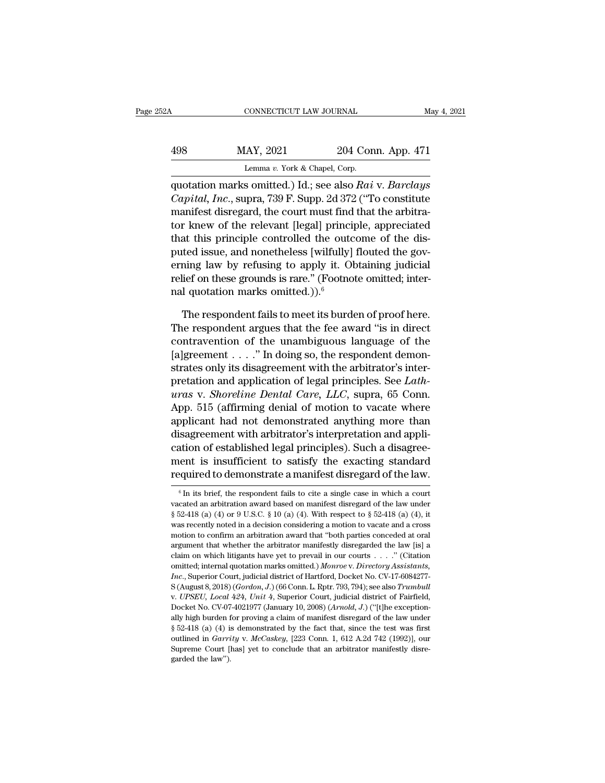# CONNECTICUT LAW JOURNAL May 4, 2021<br>
498 MAY, 2021 204 Conn. App. 471<br>
Lemma v. York & Chapel, Corp. CONNECTICUT LAW JOURNAL<br>
MAY, 2021 204 Conn. App. 471<br>
Lemma *v*. York & Chapel, Corp.<br>
quotation marks omitted.) Id.; see also *Rai* v. *Barclays*

CONNECTICUT LAW JOURNAL May 4, 2021<br>
MAY, 2021 204 Conn. App. 471<br>
Lemma v. York & Chapel, Corp.<br>
quotation marks omitted.) Id.; see also *Rai* v. *Barclays*<br>
Capital, *Inc.*, supra, 739 F. Supp. 2d 372 ("To constitute *Capital, Inc.*, supra, 739 F. Supp. 204 Conn. App. 471<br> *Capital, Inc.*, supra, 739 F. Supp. 2d 372 ("To constitute manifest disregard, the court must find that the arbitration linear of the relevant local limingiple emmo 498 MAY, 2021 204 Conn. App. 471<br>
Lemma v. York & Chapel, Corp.<br>
quotation marks omitted.) Id.; see also Rai v. Barclays<br>
Capital, Inc., supra, 739 F. Supp. 2d 372 ("To constitute<br>
manifest disregard, the court must find 498 MAY, 2021 204 Conn. App. 471<br>
Lemma v. York & Chapel, Corp.<br>
quotation marks omitted.) Id.; see also Rai v. Barclays<br>
Capital, Inc., supra, 739 F. Supp. 2d 372 ("To constitute<br>
manifest disregard, the court must find

Lemma v. York & Chapel, Corp.<br>
quotation marks omitted.) Id.; see also Rai v. Barclays<br>
Capital, Inc., supra, 739 F. Supp. 2d 372 ("To constitute<br>
manifest disregard, the court must find that the arbitra-<br>
tor knew of the putation marks omitted.) Id.; see also Rai v. Barclays<br>Capital, Inc., supra, 739 F. Supp. 2d 372 ("To constitute<br>manifest disregard, the court must find that the arbitra-<br>tor knew of the relevant [legal] principle, appreci quotation marks omitted.) Id.; see also Rai v. Barclays<br>Capital, Inc., supra, 739 F. Supp. 2d 372 ("To constitute<br>manifest disregard, the court must find that the arbitra-<br>tor knew of the relevant [legal] principle, appre Capital, Inc., supra, 739 F. Supp. 2d 372 ("To constitute manifest disregard, the court must find that the arbitrator knew of the relevant [legal] principle, appreciated that this principle controlled the outcome of the d manifest disregard, the court must find<br>tor knew of the relevant [legal] princi<br>that this principle controlled the outc<br>puted issue, and nonetheless [wilfully]<br>erning law by refusing to apply it. Ol<br>relief on these grounds at this principle controlled the outcome of the dis-<br>ted issue, and nonetheless [wilfully] flouted the gov-<br>ning law by refusing to apply it. Obtaining judicial<br>lief on these grounds is rare." (Footnote omitted; inter-<br>1 puted issue, and nonetheless [wilfully] flouted the governing law by refusing to apply it. Obtaining judicial<br>relief on these grounds is rare." (Footnote omitted; inter-<br>nal quotation marks omitted.)).<sup>6</sup><br>The respondent fa

erning law by refusing to apply it. Obtaining judicial<br>relief on these grounds is rare." (Footnote omitted; inter-<br>nal quotation marks omitted.)).<sup>6</sup><br>The respondent fails to meet its burden of proof here.<br>The respondent a relief on these grounds is rare." (Footnote omitted; inter-<br>nal quotation marks omitted.)).<sup>6</sup><br>The respondent fails to meet its burden of proof here.<br>The respondent argues that the fee award "is in direct<br>contravention of nal quotation marks omitted.)).<sup>6</sup><br>The respondent fails to meet its burden of proof here.<br>The respondent argues that the fee award "is in direct<br>contravention of the unambiguous language of the<br>[a]greement . . . . " In do The respondent fails to meet its burden of proof here.<br>The respondent argues that the fee award "is in direct<br>contravention of the unambiguous language of the<br>[a]greement . . . . " In doing so, the respondent demon-<br>strate The respondent fails to meet its burden of proof here.<br>
The respondent argues that the fee award "is in direct<br>
contravention of the unambiguous language of the<br>
[a]greement . . . . ." In doing so, the respondent demon-<br>
s The respondent argues that the fee award "is in direct<br>contravention of the unambiguous language of the<br>[a]greement . . . . " In doing so, the respondent demon-<br>strates only its disagreement with the arbitrator's inter-<br>p contravention of the unambiguous language of the<br>[a]greement . . . ." In doing so, the respondent demon-<br>strates only its disagreement with the arbitrator's inter-<br>pretation and application of legal principles. See *Lath-*[a]greement  $\dots$  " In doing so, the respondent demonstrates only its disagreement with the arbitrator's inter-<br>pretation and application of legal principles. See *Lath-*<br> $uras$  v. *Shoreline Dental Care*, *LLC*, supra, 65 Co strates only its disagreement with the arbitrator's inter-<br>pretation and application of legal principles. See *Lath-*<br>*uras* v. *Shoreline Dental Care, LLC*, supra, 65 Conn.<br>App. 515 (affirming denial of motion to vacate w pretation and application of legal principles. See *Lathauras v. Shoreline Dental Care, LLC*, supra, 65 Conn.<br>App. 515 (affirming denial of motion to vacate where<br>applicant had not demonstrated anything more than<br>disagreem *uras* v. *Shoreline Dental Care, LLC*, supra, 65 Conn.<br>App. 515 (affirming denial of motion to vacate where<br>applicant had not demonstrated anything more than<br>disagreement with arbitrator's interpretation and appli-<br>catio Figure 1.1 In the respondent fails be respondent is insufficient to satisfy the exacting standard equired to demonstrate a manifest disregard of the law.<br>  $\frac{1}{6}$  In its brief, the respondent fails to cite a single case cation of established legal principles). Such a disagreement is insufficient to satisfy the exacting standard required to demonstrate a manifest disregard of the law.<br>  $\frac{1}{10}$  in its brief, the respondent fails to cite

ment is insufficient to satisfy the exacting standard<br>required to demonstrate a manifest disregard of the law.<br> $\frac{1}{\sqrt{1-\epsilon}}$  fin its brief, the respondent fails to cite a single case in which a court<br>vacated an arbitrati required to demonstrate a manifest disregard of the law.<br>  $\overline{}}$ <sup>6</sup> In its brief, the respondent fails to cite a single case in which a court vacated an arbitration award based on manifest disregard of the law under § 52 required to definition to a final mest distegard of the law.<br>
<sup>6</sup> In its brief, the respondent fails to cite a single case in which a court<br>
wacated an arbitration award based on manifest disregard of the law under<br>
§ 52-<sup>6</sup> In its brief, the respondent fails to cite a single case in which a court vacated an arbitration award based on manifest disregard of the law under § 52-418 (a) (4) or 9 U.S.C. § 10 (a) (4). With respect to § 52-418 ( vacated an arbitration award based on manifest disregard of the law under § 52-418 (a) (4) or 9 U.S.C. § 10 (a) (4). With respect to § 52-418 (a) (4), it was recently noted in a decision considering a motion to vacate and vaction marks omitted; internal quotation marks omitted.) *Aonien marks omitted* in a decision considering a motion to vacate and a cross motion to confirm an arbitration award that "both parties conceded at oral argument *Increase to the increase and a decision considering a motion to vacate and a cross* motion to confirm an arbitration award that "both parties conceded at oral argument that whether the arbitrator manifestly disregarded th motion to confirm an arbitration award that "both parties conceded at oral argument that whether the arbitrator manifestly disregarded the law [is] a claim on which litigants have yet to prevail in our courts . . . . " (Ci elaim on which litigants have yet to prevail in our courts . . . . " (Citation<br>claim on which litigants have yet to prevail in our courts . . . . " (Citation<br>face, Superior Court, judicial district of Hartford, Docket No. contributed; internal quotation marks omitted.) Monroe v. Directory Assistants, Inc., Superior Court, judicial district of Hartford, Docket No. CV-17-6084277-<br>S (August 8, 2018) (*Gordon, J.*) (66 Conn. L. Rptr. 793, 794) *Inc.*, Superior Court, judicial district of Hartford, Docket No. CV-17-6084277-<br>S (August 8, 2018) (*Gordon, J.*) (66 Conn. L. Rptr. 793, 794); see also *Trumbull* v. *UPSEU*, *Local 424*, *Unit 4*, Superior Court, judic S (August 8, 2018) (*Gordon, J.*) (66 Conn. L. Rptr. 793, 794); see also *Trumbull* v. *UPSEU*, *Local 424*, *Unit 4*, Superior Court, judicial district of Fairfield, Docket No. CV-07-4021977 (January 10, 2008) (*Arnold,* v. UPSEU, Local 424, Unit 4, Superior Court, judicial district of Fairfield, Docket No. CV-07-4021977 (January 10, 2008) (Arnold, J.) ("[t]he exception-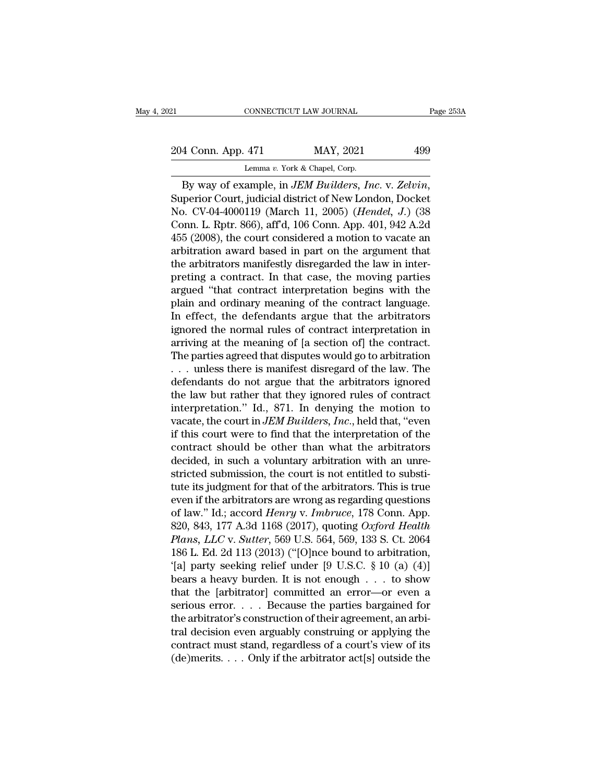CONNECTICUT LAW JOURNAL<br>
204 Conn. App. 471 MAY, 2021 499<br>
Lemma *v.* York & Chapel, Corp.<br>
By way of example, in *JEM Builders, Inc.* v. Zelvin, EXAMPLE CONNECTICUT LAW JOURNAL Page 2531<br>
204 Conn. App. 471 MAY, 2021 499<br>
Lemma v. York & Chapel, Corp.<br>
By way of example, in *JEM Builders, Inc.* v. *Zelvin*,<br>
Superior Court, judicial district of New London, Docket<br> 204 Conn. App. 471 MAY, 2021 499<br>
Lemma v. York & Chapel, Corp.<br>
By way of example, in *JEM Builders, Inc.* v. Zelvin,<br>
Superior Court, judicial district of New London, Docket<br>
No. CV-04-4000119 (March 11, 2005) (*Hendel,* 204 Conn. App. 471 MAY, 2021 499<br>
Lemma v. York & Chapel, Corp.<br>
By way of example, in *JEM Builders, Inc.* v. Zelvin,<br>
Superior Court, judicial district of New London, Docket<br>
No. CV-04-4000119 (March 11, 2005) (*Hendel,* Lemma v. York & Chapel, Corp.<br>
By way of example, in *JEM Builders, Inc.* v. Zelvin,<br>
Superior Court, judicial district of New London, Docket<br>
No. CV-04-4000119 (March 11, 2005) (*Hendel, J.*) (38<br>
Conn. L. Rptr. 866), af By way of example, in *JEM Builders, Inc. v. Zelvin*,<br>Superior Court, judicial district of New London, Docket<br>No. CV-04-4000119 (March 11, 2005) (*Hendel*, *J.*) (38<br>Conn. L. Rptr. 866), aff'd, 106 Conn. App. 401, 942 A.2 By way of example, in *JEM Builders, Inc.* v. Zelvin,<br>Superior Court, judicial district of New London, Docket<br>No. CV-04-4000119 (March 11, 2005) (*Hendel*, *J.*) (38<br>Conn. L. Rptr. 866), aff<sup>d</sup>, 106 Conn. App. 401, 942 A.2 Superior Court, judicial district of New London, Docket<br>No. CV-04-4000119 (March 11, 2005) (*Hendel*, *J.*) (38<br>Conn. L. Rptr. 866), aff'd, 106 Conn. App. 401, 942 A.2d<br>455 (2008), the court considered a motion to vacate a No. CV-04-4000119 (March 11, 2005) (*Hendel*, J.) (38<br>Conn. L. Rptr. 866), aff<sup>'</sup>d, 106 Conn. App. 401, 942 A.2d<br>455 (2008), the court considered a motion to vacate an<br>arbitration award based in part on the argument that<br>t Conn. L. Rptr. 866), aff'd, 106 Conn. App. 401, 942 A.2d<br>455 (2008), the court considered a motion to vacate an<br>arbitration award based in part on the argument that<br>the arbitrators manifestly disregarded the law in inter-<br> 455 (2008), the court considered a motion to vacate an arbitration award based in part on the argument that the arbitrators manifestly disregarded the law in interpreting a contract. In that case, the moving parties argue arbitration award based in part on the argument that<br>the arbitrators manifestly disregarded the law in inter-<br>preting a contract. In that case, the moving parties<br>argued "that contract interpretation begins with the<br>plain the arbitrators manifestly disregarded the law in inter-<br>preting a contract. In that case, the moving parties<br>argued "that contract interpretation begins with the<br>plain and ordinary meaning of the contract language.<br>In eff preting a contract. In that case, the moving parties<br>argued "that contract interpretation begins with the<br>plain and ordinary meaning of the contract language.<br>In effect, the defendants argue that the arbitrators<br>ignored th argued "that contract interpretation begins with the<br>plain and ordinary meaning of the contract language.<br>In effect, the defendants argue that the arbitrators<br>ignored the normal rules of contract interpretation in<br>arriving plain and ordinary meaning of the contract language.<br>In effect, the defendants argue that the arbitrators<br>ignored the normal rules of contract interpretation in<br>arriving at the meaning of [a section of] the contract.<br>The In effect, the defendants argue that the arbitrators<br>ignored the normal rules of contract interpretation in<br>arriving at the meaning of [a section of] the contract.<br>The parties agreed that disputes would go to arbitration<br> ignored the normal rules of contract interpretation in<br>arriving at the meaning of [a section of] the contract.<br>The parties agreed that disputes would go to arbitration<br> $\dots$  unless there is manifest disregard of the law. T arriving at the meaning of [a section of] the contract.<br>The parties agreed that disputes would go to arbitration<br>... unless there is manifest disregard of the law. The<br>defendants do not argue that the arbitrators ignored<br>t The parties agreed that disputes would go to arbitration<br>  $\ldots$  unless there is manifest disregard of the law. The<br>
defendants do not argue that the arbitrators ignored<br>
the law but rather that they ignored rules of contr ... unless there is manifest disregard of the law. The<br>defendants do not argue that the arbitrators ignored<br>the law but rather that they ignored rules of contract<br>interpretation." Id., 871. In denying the motion to<br>vacate defendants do not argue that the arbitrators ignored<br>the law but rather that they ignored rules of contract<br>interpretation." Id., 871. In denying the motion to<br>vacate, the court in *JEM Builders, Inc.*, held that, "even<br>if the law but rather that they ignored rules of contract<br>interpretation." Id., 871. In denying the motion to<br>vacate, the court in *JEM Builders, Inc.*, held that, "even<br>if this court were to find that the interpretation of interpretation." Id., 871. In denying the motion to<br>vacate, the court in *JEM Builders*, *Inc.*, held that, "even<br>if this court were to find that the interpretation of the<br>contract should be other than what the arbitrator vacate, the court in *JEM Builders*, *Inc.*, held that, "even<br>if this court were to find that the interpretation of the<br>contract should be other than what the arbitrators<br>decided, in such a voluntary arbitration with an u if this court were to find that the interpretation of the<br>contract should be other than what the arbitrators<br>decided, in such a voluntary arbitration with an unre-<br>stricted submission, the court is not entitled to substi-<br> contract should be other than what the arbitrators<br>decided, in such a voluntary arbitration with an unre-<br>stricted submission, the court is not entitled to substi-<br>tute its judgment for that of the arbitrators. This is tru decided, in such a voluntary arbitration with an unrestricted submission, the court is not entitled to substitute its judgment for that of the arbitrators. This is true<br>even if the arbitrators are wrong as regarding questi stricted submission, the court is not entitled to substitute its judgment for that of the arbitrators. This is true<br>even if the arbitrators are wrong as regarding questions<br>of law." Id.; accord *Henry v. Imbruce*, 178 Con tute its judgment for that of the arbitrators. This is true<br>
even if the arbitrators are wrong as regarding questions<br>
of law." Id.; accord *Henry v. Imbruce*, 178 Conn. App.<br>
820, 843, 177 A.3d 1168 (2017), quoting *Oxfor* even if the arbitrators are wrong as regarding questions<br>of law." Id.; accord *Henry v. Imbruce*, 178 Conn. App.<br>820, 843, 177 A.3d 1168 (2017), quoting *Oxford Health*<br>Plans, LLC v. Sutter, 569 U.S. 564, 569, 133 S. Ct. of law." Id.; accord *Henry v. Imbruce*, 178 Conn. App.<br>820, 843, 177 A.3d 1168 (2017), quoting *Oxford Health*<br>*Plans, LLC v. Sutter*, 569 U.S. 564, 569, 133 S. Ct. 2064<br>186 L. Ed. 2d 113 (2013) ("[O]nce bound to arbitra 820, 843, 177 A.3d 1168 (2017), quoting *Oxford Health Plans, LLC v. Sutter*, 569 U.S. 564, 569, 133 S. Ct. 2064 186 L. Ed. 2d 113 (2013) ("[O]nce bound to arbitration, '[a] party seeking relief under [9 U.S.C. § 10 (a) ( Plans, LLC v. Sutter, 569 U.S. 564, 569, 133 S. Ct. 2064<br>186 L. Ed. 2d 113 (2013) ("[O]nce bound to arbitration,<br>'[a] party seeking relief under [9 U.S.C. § 10 (a) (4)]<br>bears a heavy burden. It is not enough . . . to show 186 L. Ed. 2d 113 (2013) ("[O]nce bound to arbitration,<br>
'[a] party seeking relief under [9 U.S.C. § 10 (a) (4)]<br>
bears a heavy burden. It is not enough . . . to show<br>
that the [arbitrator] committed an error—or even a<br>
s '[a] party seeking relief under [9 U.S.C. § 10 (a) (4)]<br>bears a heavy burden. It is not enough . . . to show<br>that the [arbitrator] committed an error—or even a<br>serious error. . . . Because the parties bargained for<br>the ar bears a heavy burden. It is not enough  $\ldots$  to show<br>that the [arbitrator] committed an error—or even a<br>serious error.  $\ldots$  Because the parties bargained for<br>the arbitrator's construction of their agreement, an arbi-<br>tra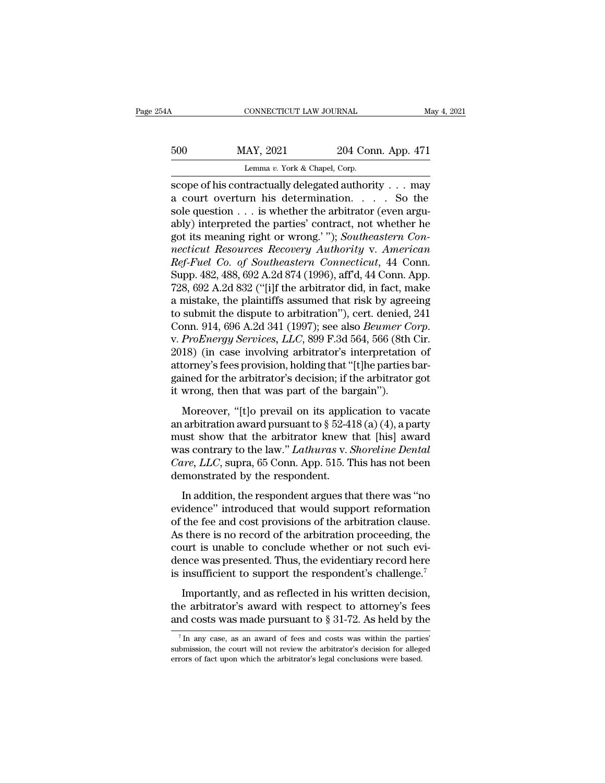SOO MAY, 2021 204 Conn. App. 471<br>
Lemma v. York & Chapel, Corp.<br>
Scope of his contractually delegated authority . . . may<br>
a court overturn his determination. . . . So the<br>
scale question is whother the sphitter (oven argu  $\begin{array}{lll}\n 500 & \text{MAY, } 2021 & \text{204 Conn. App. 471} \\
 & \text{Lemma } v. \text{ York & Chapter, } 471 \\
 \hline\n \text{score of his contractually delegated authority . . . may a court overturn his determination. . . . So the sole question . . . is whether the arbitrary (even argu-  
ably) introduced the parties' context not whether he$ 500 MAY, 2021 204 Conn. App. 471<br>
Lemma v. York & Chapel, Corp.<br>
scope of his contractually delegated authority . . . may<br>
a court overturn his determination. . . . . So the<br>
sole question . . . is whether the arbitrator 500 MAY, 2021 204 Conn. App. 471<br>
Lemma v. York & Chapel, Corp.<br>
scope of his contractually delegated authority . . . may<br>
a court overturn his determination. . . . . So the<br>
sole question . . . is whether the arbitrator Lenma *v*. York & Chapel, Corp.<br>
scope of his contractually delegated authority . . . may<br>
a court overturn his determination. . . . . So the<br>
sole question . . . is whether the arbitrator (even argu-<br>
aby) interpreted the *Lemma v. York & Chapel, Corp.*<br> **nection necticulary delegated authority**  $\ldots$  may<br> **a** court overturn his determination.  $\ldots$  So the<br>
sole question  $\ldots$  is whether the arbitrator (even argu-<br>
ably) interpreted the p *Ref-Fuel Co. of Southeastern Connection Apple (Figure 28 Co. of Southeastern Connecticut Resources Recovery Authority v. American*<br>*Ref-Fuel Co. of Southeastern Connecticut Resources Recovery Authority v. American*<br>*Ref-F* a court overturn his determination. . . . So the<br>sole question . . . is whether the arbitrator (even argu-<br>ably) interpreted the parties' contract, not whether he<br>got its meaning right or wrong.'"); *Southeastern Con-<br>nect* sole question . . . is whether the arbitrator (even arguably) interpreted the parties' contract, not whether he<br>got its meaning right or wrong.' "); *Southeastern Connecticut Resources Recovery Authority v. American*<br>*Ref*ably) interpreted the parties' contract, not whether he<br>got its meaning right or wrong.' "); *Southeastern Con-<br>necticut Resources Recovery Authority v. American<br>Ref-Fuel Co. of Southeastern Connecticut, 44 Conn.<br>Supp. 482* got its meaning right or wrong.' "); Southeastern Con-<br>necticut Resources Recovery Authority v. American<br>Ref-Fuel Co. of Southeastern Connecticut, 44 Conn.<br>Supp. 482, 488, 692 A.2d 874 (1996), aff'd, 44 Conn. App.<br>728, 692 necticut Resources Recovery Authority v. American<br>Ref-Fuel Co. of Southeastern Connecticut, 44 Conn.<br>Supp. 482, 488, 692 A.2d 874 (1996), aff'd, 44 Conn. App.<br>728, 692 A.2d 832 ("[i]f the arbitrator did, in fact, make<br>a mi Supp. 482, 488, 692 A.2d 874 (1996), aff'd, 44 Conn. App.<br>728, 692 A.2d 832 ("[i]f the arbitrator did, in fact, make<br>a mistake, the plaintiffs assumed that risk by agreeing<br>to submit the dispute to arbitration"), cert. den 728, 692 A.2d 832 ("[i]f the arbitrator did, in fact, make<br>a mistake, the plaintiffs assumed that risk by agreeing<br>to submit the dispute to arbitration"), cert. denied, 241<br>Conn. 914, 696 A.2d 341 (1997); see also *Beumer* a mistake, the plaintiffs assumed that risk by agreeing<br>to submit the dispute to arbitration''), cert. denied, 241<br>Conn. 914, 696 A.2d 341 (1997); see also *Beumer Corp.*<br>v. *ProEnergy Services*, *LLC*, 899 F.3d 564, 566 ( to submit the dispute to arbitration"), cert. denied,<br>Conn. 914, 696 A.2d 341 (1997); see also *Beumer Co*<br>v. *ProEnergy Services*, *LLC*, 899 F.3d 564, 566 (8th<br>2018) (in case involving arbitrator's interpretation<br>attorne *ProEnergy Services, LLC*, 899 F.3d 564, 566 (8th Cir.<br>18) (in case involving arbitrator's interpretation of torney's fees provision, holding that "[t]he parties bar-<br>ined for the arbitrator's decision; if the arbitrator an arbitration award pursuant to § 52-418 (a) (4), a party<br>and a provision arbitrator's interpretation of<br>attorney's fees provision, holding that "[t]he parties bar-<br>gained for the arbitrator's decision; if the arbitrator

attorney's fees provision, holding that "[t]he parties bargained for the arbitrator's decision; if the arbitrator got<br>it wrong, then that was part of the bargain").<br>Moreover, "[t]o prevail on its application to vacate<br>an ationary sites provision, notaing and [t]ne parties surfained for the arbitrator's decision; if the arbitrator got<br>it wrong, then that was part of the bargain").<br>Moreover, "[t]o prevail on its application to vacate<br>an arbi it wrong, then that was part of the bargain").<br> *Care Moreover,* "[t]o prevail on its application to vacate<br>
an arbitration award pursuant to § 52-418 (a) (4), a party<br>
must show that the arbitrator knew that [his] award<br> Moreover, "[t]o prevail on its applies an arbitration award pursuant to  $\S$  52-41 must show that the arbitrator knew twas contrary to the law." *Lathuras v. S* Care, *LLC*, supra, 65 Conn. App. 515. T demonstrated by the arbitration award pursuant to § 52-418 (a) (4), a party<br>and the arbitration award pursuant to § 52-418 (a) (4), a party<br>as contrary to the law." *Lathuras v. Shoreline Dental*<br>are, *LLC*, supra, 65 Conn. App. 515. This ha must show that the arbitrator knew that [his] award<br>was contrary to the law." *Lathuras v. Shoreline Dental*<br>*Care, LLC*, supra, 65 Conn. App. 515. This has not been<br>demonstrated by the respondent.<br>In addition, the respon

mass show and the distributed hat we had [the] award<br>was contrary to the law." Lathuras v. Shoreline Dental<br>Care, LLC, supra, 65 Conn. App. 515. This has not been<br>demonstrated by the respondent.<br>In addition, the respondent *Care, LLC*, supra, 65 Conn. App. 515. This has not been<br>demonstrated by the respondent.<br>In addition, the respondent argues that there was "no<br>evidence" introduced that would support reformation<br>of the fee and cost provisi care,  $2.2$ , supra, so contain apply one. This has not seen<br>demonstrated by the respondent.<br>In addition, the respondent argues that there was "no<br>evidence" introduced that would support reformation<br>of the fee and cost pro In addition, the respondent argues that there was "no<br>evidence" introduced that would support reformation<br>of the fee and cost provisions of the arbitration clause.<br>As there is no record of the arbitration proceeding, the<br>c In addition, the respondent argues that there was "no<br>evidence" introduced that would support reformation<br>of the fee and cost provisions of the arbitration clause.<br>As there is no record of the arbitration proceeding, the<br>c The fee and cost provisions of the arbitration clause.<br>
Subset is no record of the arbitration proceeding, the<br>
urt is unable to conclude whether or not such evi-<br>
note was presented. Thus, the evidentiary record here<br>
in As there is no record of the arbitration crosse.<br>As there is no record of the arbitration proceeding, the court is unable to conclude whether or not such evidence was presented. Thus, the evidentiary record here is insuff For the absolution proceeding, the court is unable to conclude whether or not such evidence was presented. Thus, the evidentiary record here is insufficient to support the respondent's challenge.<sup>7</sup> Importantly, and as re

Importantly, and as reflected in his written decision,<br>ne arbitrator's award with respect to attorney's fees<br>nd costs was made pursuant to  $\S 31-72$ . As held by the<br> $\frac{7}{1}$  In any case, as an award of fees and costs was Importantly, and as reflected in his written decision,<br>the arbitrator's award with respect to attorney's fees<br>and costs was made pursuant to  $\S 31-72$ . As held by the<br> $\frac{7 \text{ In any case, as an award of fees and costs was within the parties'}}$ <br>submission, the court will n

the arbitrator's award with respect to attorney's fee<br>and costs was made pursuant to  $\S 31-72$ . As held by th<br> $\frac{7 \text{ In any case, as an award of fees and costs was within the partial  
submission, the court will not review the arbitrary's decision for alleg  
errors of fact upon which the arbitrary's legal conclusions were based.$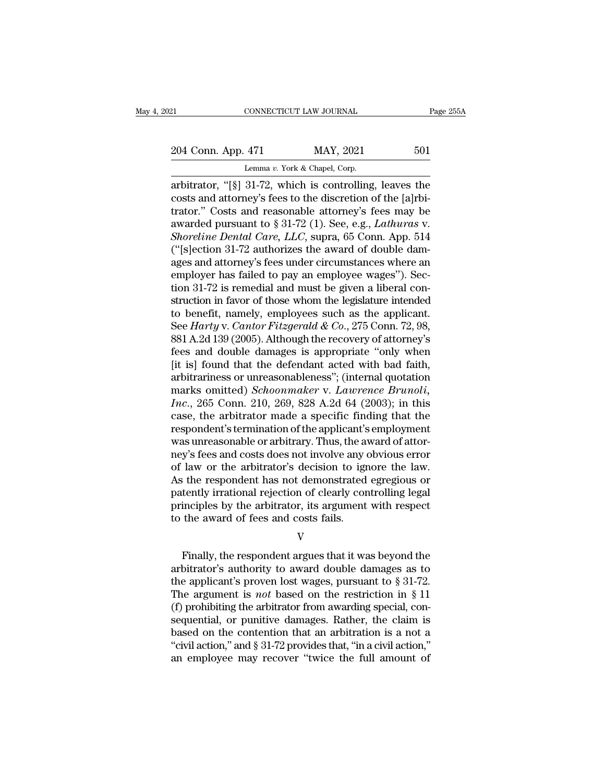# 21 CONNECTICUT LAW JOURNAL Page 255A<br>
204 Conn. App. 471 MAY, 2021 501<br>
Lemma v. York & Chapel, Corp.

CONNECTICUT LAW JOURNAL<br>
204 Conn. App. 471 MAY, 2021 501<br>
Lemma *v*. York & Chapel, Corp.<br>
arbitrator, "[§] 31-72, which is controlling, leaves the CONNECTICUT LAW JOURNAL Page 255A<br>
204 Conn. App. 471 MAY, 2021 501<br>
Lemma v. York & Chapel, Corp.<br>
arbitrator, "[§] 31-72, which is controlling, leaves the<br>
costs and attorney's fees to the discretion of the [a]rbitrator. 204 Conn. App. 471 MAY, 2021 501<br>
Lemma v. York & Chapel, Corp.<br>
arbitrator, "[§] 31-72, which is controlling, leaves the<br>
costs and attorney's fees to the discretion of the [a]rbi-<br>
trator." Costs and reasonable attorney 204 Conn. App. 471 MAY, 2021 501<br>
Lemma v. York & Chapel, Corp.<br>
arbitrator, "[§] 31-72, which is controlling, leaves the<br>
costs and attorney's fees to the discretion of the [a]rbi-<br>
trator." Costs and reasonable attorney 204 Conn. App. 471 MAY, 2021 501<br>
Lemma v. York & Chapel, Corp.<br>
arbitrator, "[§] 31-72, which is controlling, leaves the<br>
costs and attorney's fees to the discretion of the [a]rbi-<br>
trator." Costs and reasonable attorney' *Soreling the Collar App.* 1.12 *Soreling Dental Care, Corp.*<br> *Shoreline v. York & Chapel, Corp.*<br> *Soreline of the discretion of the [a]rbitrator.*" Costs and reasonable attorney's fees may be awarded pursuant to § 31-72 Lemma v. York & Chapel, Corp.<br>
arbitrator, "[§] 31-72, which is controlling, leaves the<br>
costs and attorney's fees to the discretion of the [a]rbi-<br>
trator." Costs and reasonable attorney's fees may be<br>
awarded pursuant t arbitrator, "[§] 31-72, which is controlling, leaves the<br>costs and attorney's fees to the discretion of the [a]rbi-<br>trator." Costs and reasonable attorney's fees may be<br>awarded pursuant to § 31-72 (1). See, e.g., *Lathura* costs and attorney's fees to the discretion of the [a]rbitrator." Costs and reasonable attorney's fees may be awarded pursuant to  $\S 31-72$  (1). See, e.g., *Lathuras v. Shoreline Dental Care, LLC*, supra, 65 Conn. App. 51 trator." Costs and reasonable attorney's fees may be awarded pursuant to  $\S 31-72$  (1). See, e.g., *Lathuras v.*<br>*Shoreline Dental Care, LLC*, supra, 65 Conn. App. 514 ("[s]ection 31-72 authorizes the award of double dama awarded pursuant to § 31-72 (1). See, e.g., *Lathuras* v.<br> *Shoreline Dental Care, LLC*, supra, 65 Conn. App. 514<br>
("[s]ection 31-72 authorizes the award of double dam-<br>
ages and attorney's fees under circumstances where Shoreline Dental Care, LLC, supra, 65 Conn. App. 514 ("[s]ection 31-72 authorizes the award of double damages and attorney's fees under circumstances where an employer has failed to pay an employee wages"). Section 31-72 ("[s]ection 31-72 authorizes the award of double dam-<br>ages and attorney's fees under circumstances where an<br>employer has failed to pay an employee wages"). Sec-<br>tion 31-72 is remedial and must be given a liberal con-<br>struc ages and attorney's fees under circumstances where an employer has failed to pay an employee wages"). Section 31-72 is remedial and must be given a liberal construction in favor of those whom the legislature intended to be employer has failed to pay an employee wages"). Section 31-72 is remedial and must be given a liberal construction in favor of those whom the legislature intended<br>to benefit, namely, employees such as the applicant.<br>See *H* tion 31-72 is remedial and must be given a liberal construction in favor of those whom the legislature intended<br>to benefit, namely, employees such as the applicant.<br>See *Harty* v. *Cantor Fitzgerald & Co.*, 275 Conn. 72, struction in favor of those whom the legislature intended<br>to benefit, namely, employees such as the applicant.<br>See *Harty* v. *Cantor Fitzgerald & Co.*, 275 Conn. 72, 98,<br>881 A.2d 139 (2005). Although the recovery of attor to benefit, namely, employees such as the applicant.<br>See *Harty* v. *Cantor Fitzgerald* & *Co.*, 275 Conn. 72, 98,<br>881 A.2d 139 (2005). Although the recovery of attorney's<br>fees and double damages is appropriate "only when<br> See *Harty* v. *Cantor Fitzgerald* & *Co.*, 275 Conn. 72, 98, 881 A.2d 139 (2005). Although the recovery of attorney's fees and double damages is appropriate "only when [it is] found that the defendant acted with bad faith 881 A.2d 139 (2005). Although the recovery of attorney's<br>fees and double damages is appropriate "only when<br>[it is] found that the defendant acted with bad faith,<br>arbitrariness or unreasonableness"; (internal quotation<br>mar fees and double damages is appropriate "only when<br>[it is] found that the defendant acted with bad faith,<br>arbitrariness or unreasonableness"; (internal quotation<br>marks omitted) *Schoonmaker* v. *Lawrence Brunoli*,<br>*Inc.*, 2 [it is] found that the defendant acted with bad faith,<br>arbitrariness or unreasonableness"; (internal quotation<br>marks omitted) *Schoonmaker* v. *Lawrence Brunoli*,<br>*Inc.*, 265 Conn. 210, 269, 828 A.2d 64 (2003); in this<br>cas arbitrariness or unreasonableness"; (internal quotation<br>marks omitted) *Schoonmaker* v. *Lawrence Brunoli*,<br>*Inc.*, 265 Conn. 210, 269, 828 A.2d 64 (2003); in this<br>case, the arbitrator made a specific finding that the<br>resp marks omitted) *Schoonmaker* v. *Lawrence Brunoli*,<br>*Inc.*, 265 Conn. 210, 269, 828 A.2d 64 (2003); in this<br>case, the arbitrator made a specific finding that the<br>respondent's termination of the applicant's employment<br>was u Inc., 265 Conn. 210, 269, 828 A.2d 64 (2003); in this case, the arbitrator made a specific finding that the respondent's termination of the applicant's employment was unreasonable or arbitrary. Thus, the award of attorney' case, the arbitrator made a specific finding that the respondent's termination of the applicant's employment was unreasonable or arbitrary. Thus, the award of attorney's fees and costs does not involve any obvious error of respondent's termination of the applicant's employment<br>was unreasonable or arbitrary. Thus, the award of attor-<br>ney's fees and costs does not involve any obvious error<br>of law or the arbitrator's decision to ignore the law. was unreasonable or arbitrary. Thus, the award of attorney's fees and costs does not involve any obvious error of law or the arbitrator's decision to ignore the law.<br>As the respondent has not demonstrated egregious or pate Finally irrational rejection of clearly controlling legal<br>inciples by the arbitrator, its argument with respect<br>the award of fees and costs fails.<br> $V$ <br>Finally, the respondent argues that it was beyond the<br>bitrator's autho

V

patently irrational rejection of clearly controlling legal<br>principles by the arbitrator, its argument with respect<br>to the award of fees and costs fails.<br> $V$ <br>Finally, the respondent argues that it was beyond the<br>arbitrator principles by the arbitrator, its argument with respect<br>to the award of fees and costs fails.<br> $V$ <br>Finally, the respondent argues that it was beyond the<br>arbitrator's authority to award double damages as to<br>the applicant's to the award of fees and costs fails.<br>
V<br>
Finally, the respondent argues that it was beyond the<br>
arbitrator's authority to award double damages as to<br>
the applicant's proven lost wages, pursuant to § 31-72.<br>
The argument i V<br>
Finally, the respondent argues that it was beyond the<br>
arbitrator's authority to award double damages as to<br>
the applicant's proven lost wages, pursuant to § 31-72.<br>
The argument is *not* based on the restriction in § Finally, the respondent argues that it was beyond the<br>arbitrator's authority to award double damages as to<br>the applicant's proven lost wages, pursuant to § 31-72.<br>The argument is *not* based on the restriction in § 11<br>(f) Finally, the respondent argues that it was beyond the arbitrator's authority to award double damages as to the applicant's proven lost wages, pursuant to  $\S 31-72$ . The argument is *not* based on the restriction in  $\S 11$ arbitrator's authority to award double damages as to<br>the applicant's proven lost wages, pursuant to  $\S 31-72$ .<br>The argument is *not* based on the restriction in  $\S 11$ <br>(f) prohibiting the arbitrator from awarding special, the applicant's proven lost wages, pursuant to  $\S 31-72$ .<br>The argument is *not* based on the restriction in  $\S 11$ <br>(f) prohibiting the arbitrator from awarding special, con-<br>sequential, or punitive damages. Rather, the cl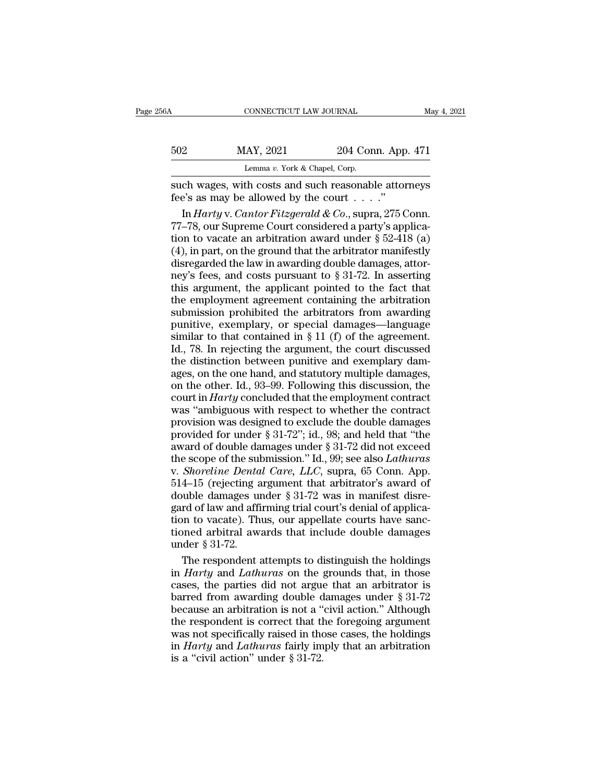| 6A  | CONNECTICUT LAW JOURNAL                                                                                 |                    | May 4, 2021 |
|-----|---------------------------------------------------------------------------------------------------------|--------------------|-------------|
| 502 | MAY, 2021                                                                                               | 204 Conn. App. 471 |             |
|     | Lemma v. York & Chapel, Corp.                                                                           |                    |             |
|     | such wages, with costs and such reasonable attorneys<br>fee's as may be allowed by the court $\dots$ .  |                    |             |
|     | In <i>Harty</i> v. <i>Cantor Fitzgerald &amp; Co.</i> , supra, 275 Conn.<br>$\sim$ $\sim$ $\sim$ $\sim$ |                    |             |

In *Harty* v. 2021 204 Conn. App. 471<br>
Lemma v. York & Chapel, Corp.<br>
ch wages, with costs and such reasonable attorneys<br>
e's as may be allowed by the court . . . ."<br>
In *Harty* v. *Cantor Fitzgerald & Co.*, supra, 275 Con 502 MAY, 2021 204 Conn. App. 471<br>
Lemma v. York & Chapel, Corp.<br>
such wages, with costs and such reasonable attorneys<br>
fee's as may be allowed by the court . . . ."<br>
In *Harty* v. *Cantor Fitzgerald* & *Co.*, supra, 275 C Lemma v. York & Chapel, Corp.<br>
such wages, with costs and such reasonable attorneys<br>
fee's as may be allowed by the court . . . ."<br>
In *Harty* v. *Cantor Fitzgerald* & *Co.*, supra, 275 Conn.<br>
77–78, our Supreme Court con Lemma *i*. For a chaper, Corp.<br>
such wages, with costs and such reasonable attorneys<br>
fee's as may be allowed by the court . . . ."<br>
In *Harty* v. *Cantor Fitzgerald & Co.*, supra, 275 Conn.<br>
77–78, our Supreme Court cons such wages, with costs and such reasonable attorneys<br>fee's as may be allowed by the court . . . ."<br>In *Harty* v. *Cantor Fitzgerald & Co.*, supra, 275 Conn.<br>77–78, our Supreme Court considered a party's applica-<br>tion to v fee's as may be allowed by the court . . . . ."<br>
In *Harty* v. *Cantor Fitzgerald & Co.*, supra, 275 Conn.<br>
77–78, our Supreme Court considered a party's applica-<br>
tion to vacate an arbitration award under § 52-418 (a)<br>
( In Harty v. Cantor Fitzgerald & Co., supra, 275 Conn.<br>77–78, our Supreme Court considered a party's applica-<br>tion to vacate an arbitration award under § 52-418 (a)<br>(4), in part, on the ground that the arbitrator manifestl 77–78, our Supreme Court considered a party's applica-<br>tion to vacate an arbitration award under § 52-418 (a)<br>(4), in part, on the ground that the arbitrator manifestly<br>disregarded the law in awarding double damages, atto tion to vacate an arbitration award under  $\S$  52-418 (a)<br>(4), in part, on the ground that the arbitrator manifestly<br>disregarded the law in awarding double damages, attor-<br>ney's fees, and costs pursuant to  $\S$  31-72. In as (4), in part, on the ground that the arbitrator manifestly<br>disregarded the law in awarding double damages, attor-<br>ney's fees, and costs pursuant to  $\S 31-72$ . In asserting<br>this argument, the applicant pointed to the fact ( $\sigma$ ),  $\Delta r$ ) are extracted the law in awarding double damages, attor-<br>ney's fees, and costs pursuant to § 31-72. In asserting<br>this argument, the applicant pointed to the fact that<br>the employment agreement containing the  $\frac{1}{2}$  and  $\frac{1}{2}$  and costs pursuant to § 31-72. In asserting this argument, the applicant pointed to the fact that the employment agreement containing the arbitration submission prohibited the arbitrators from awar this argument, the applicant pointed to the fact that<br>the employment agreement containing the arbitration<br>submission prohibited the arbitrators from awarding<br>punitive, exemplary, or special damages—language<br>similar to tha and angulary, the opposite particle in the employment agreement containing the arbitration<br>submission prohibited the arbitrators from awarding<br>punitive, exemplary, or special damages—language<br>similar to that contained in submission prohibited the arbitrators from awarding<br>submission prohibited the arbitrators from awarding<br>punitive, exemplary, or special damages—language<br>similar to that contained in § 11 (f) of the agreement.<br>Id., 78. In punitive, exemplary, or special damages—language<br>punitive, exemplary, or special damages—language<br>similar to that contained in § 11 (f) of the agreement.<br>Id., 78. In rejecting the argument, the court discussed<br>the distinct similar to that contained in § 11 (f) of the agreement.<br>Id., 78. In rejecting the argument, the court discussed<br>the distinction between punitive and exemplary dam-<br>ages, on the one hand, and statutory multiple damages,<br>on Id., 78. In rejecting the argument, the court discussed<br>the distinction between punitive and exemplary dam-<br>ages, on the one hand, and statutory multiple damages,<br>on the other. Id., 93–99. Following this discussion, the<br>c the distinction between punitive and exemplary damages, on the one hand, and statutory multiple damages, on the other. Id., 93–99. Following this discussion, the court in *Harty* concluded that the employment contract was are significant sentech parallel tory multiple damages,<br>ages, on the one hand, and statutory multiple damages,<br>on the other. Id., 93–99. Following this discussion, the<br>court in *Harty* concluded that the employment contra eges, on the state state of the submission, the<br>court in *Harty* concluded that the employment contract<br>was "ambiguous with respect to whether the contract<br>provision was designed to exclude the double damages<br>provided for on the strict. Fai, so set Following ans also<br>also account in *Harty* concluded that the employment contract<br>was "ambiguous with respect to whether the contract<br>provision was designed to exclude the double damages<br>provided was "ambiguous with respect to whether the contract<br>provision was designed to exclude the double damages<br>provided for under  $\S 31-72$ "; id., 98; and held that "the<br>award of double damages under  $\S 31-72$  did not exceed<br>th row since a was designed to exclude the double damages<br>provided for under § 31-72"; id., 98; and held that "the<br>award of double damages under § 31-72 did not exceed<br>the scope of the submission." Id., 99; see also *Lathura* provided for under § 31-72"; id., 98; and held that "the award of double damages under § 31-72 did not exceed the scope of the submission." Id., 99; see also *Lathuras* v. *Shoreline Dental Care*, *LLC*, supra, 65 Conn. A award of double damages under  $\S$  31-72 did not exceed<br>the scope of the submission." Id., 99; see also *Lathuras*<br>v. *Shoreline Dental Care*, *LLC*, supra, 65 Conn. App.<br>514–15 (rejecting argument that arbitrator's award the scope of the submission." Id., 99; see also *Lathuras*<br>v. *Shoreline Dental Care, LLC*, supra, 65 Conn. App.<br>514–15 (rejecting argument that arbitrator's award of<br>double damages under  $\S 31-72$  was in manifest disre-<br> under Store Community Controller<br>514–15 (rejecting a double damages under a<br>gard of law and affition to vacate). The tioned arbitral away<br>under § 31-72.<br>The respondent and 4–15 (rejecting argument that arbitrator's award of<br>vuble damages under § 31-72 was in manifest disre-<br>rd of law and affirming trial court's denial of applica-<br>on to vacate). Thus, our appellate courts have sanc-<br>need arb double damages under § 31-72 was in manifest disregard of law and affirming trial court's denial of application to vacate). Thus, our appellate courts have sanctioned arbitral awards that include double damages under § 31-

gard of law and affirming trial court's denial of application to vacate). Thus, our appellate courts have sanctioned arbitral awards that include double damages under  $\S 31-72$ .<br>The respondent attempts to distinguish the tion to vacate). Thus, our appellate courts have sanctioned arbitral awards that include double damages<br>under § 31-72.<br>The respondent attempts to distinguish the holdings<br>in *Harty* and *Lathuras* on the grounds that, in tioned arbitral awards that include double damages<br>under  $\S 31-72$ .<br>The respondent attempts to distinguish the holdings<br>in *Harty* and *Lathuras* on the grounds that, in those<br>cases, the parties did not argue that an arbi under § 31-72.<br>The respondent attempts to distinguish the holdings<br>in *Harty* and *Lathuras* on the grounds that, in those<br>cases, the parties did not argue that an arbitrator is<br>barred from awarding double damages under § The respondent attempts to distinguish the holdings<br>in *Harty* and *Lathuras* on the grounds that, in those<br>cases, the parties did not argue that an arbitrator is<br>barred from awarding double damages under  $\S 31-72$ <br>becaus in *Harty* and *Lathuras* on the grounds that, in those cases, the parties did not argue that an arbitrator is barred from awarding double damages under § 31-72 because an arbitration is not a "civil action." Although the Fraction and actions are cases, the parties did not argue barred from awarding double d<br>because an arbitration is not a "<br>the respondent is correct that the vas not specifically raised in the<br>in *Harty* and *Lathuras* fair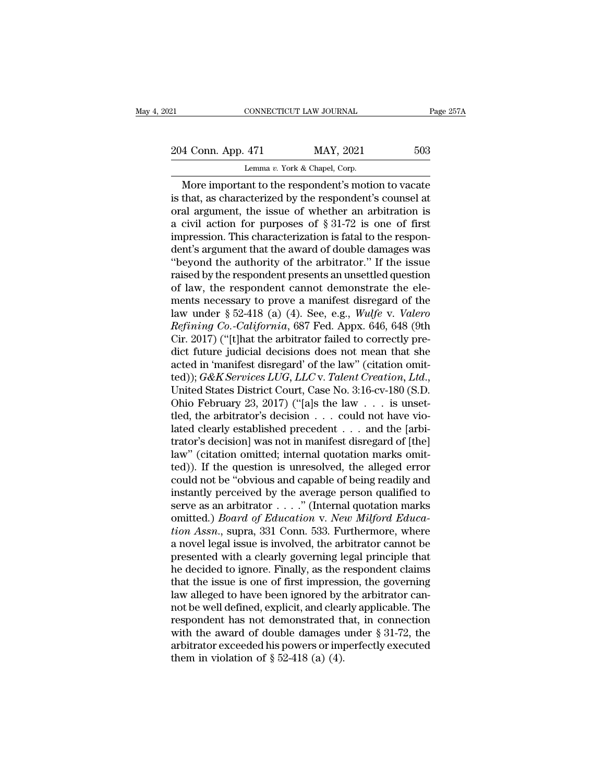CONNECTICUT LAW JOURNAL<br>
204 Conn. App. 471 MAY, 2021 503<br>
Lemma *v*. York & Chapel, Corp.<br>
More important to the respondent's motion to vacate CONNECTICUT LAW JOURNAL Page 257A<br>
4 Conn. App. 471 MAY, 2021 503<br>
Lemma v. York & Chapel, Corp.<br>
More important to the respondent's motion to vacate<br>
that, as characterized by the respondent's counsel at<br>
al argument the 204 Conn. App. 471 MAY, 2021 503<br>
Lemma v. York & Chapel, Corp.<br>
More important to the respondent's motion to vacate<br>
is that, as characterized by the respondent's counsel at<br>
oral argument, the issue of whether an arbitr 204 Conn. App. 471 MAY, 2021 503<br>
Lemma v. York & Chapel, Corp.<br>
More important to the respondent's motion to vacate<br>
is that, as characterized by the respondent's counsel at<br>
oral argument, the issue of whether an arbitr 204 Conn. App. 471 MAY, 2021 503<br>
Lemma v. York & Chapel, Corp.<br>
More important to the respondent's motion to vacate<br>
is that, as characterized by the respondent's counsel at<br>
oral argument, the issue of whether an arbitr Lemma v. York & Chapel, Corp.<br>
More important to the respondent's motion to vacate<br>
is that, as characterized by the respondent's counsel at<br>
oral argument, the issue of whether an arbitration is<br>
a civil action for purpo Lemma v. York & Chapel, Corp.<br>
More important to the respondent's motion to vacate<br>
is that, as characterized by the respondent's counsel at<br>
oral argument, the issue of whether an arbitration is<br>
a civil action for purpo More important to the respondent's motion to vacate<br>is that, as characterized by the respondent's counsel at<br>oral argument, the issue of whether an arbitration is<br>a civil action for purposes of  $\S 31-72$  is one of first<br>i is that, as characterized by the respondent's counsel at<br>oral argument, the issue of whether an arbitration is<br>a civil action for purposes of  $\S 31-72$  is one of first<br>impression. This characterization is fatal to the res oral argument, the issue of whether an arbitration is<br>a civil action for purposes of § 31-72 is one of first<br>impression. This characterization is fatal to the respon-<br>den's argument that the award of double damages was<br>"b a civil action for purposes of § 31-72 is one of first<br>impression. This characterization is fatal to the respon-<br>dent's argument that the award of double damages was<br>"beyond the authority of the arbitrator." If the issue<br> impression. This characterization is fatal to the respondent's argument that the award of double damages was<br>"beyond the authority of the arbitrator." If the issue<br>raised by the respondent presents an unsettled question<br>of dent's argument that the award of double damages was<br>
"beyond the authority of the arbitrator." If the issue<br>
raised by the respondent presents an unsettled question<br>
of law, the respondent cannot demonstrate the ele-<br>
men "beyond the authority of the arbitrator." If the issue<br>raised by the respondent presents an unsettled question<br>of law, the respondent cannot demonstrate the ele-<br>ments necessary to prove a manifest disregard of the<br>law un raised by the respondent presents an unsettled question<br>of law, the respondent cannot demonstrate the ele-<br>ments necessary to prove a manifest disregard of the<br>law under § 52-418 (a) (4). See, e.g., *Wulfe* v. *Valero<br>Ref* of law, the respondent cannot demonstrate the elements necessary to prove a manifest disregard of the law under § 52-418 (a) (4). See, e.g., *Wulfe v. Valero Refining Co.-California*, 687 Fed. Appx. 646, 648 (9th Cir. 201 ments necessary to prove a manifest disregard of the<br>law under § 52-418 (a) (4). See, e.g., *Wulfe v. Valero*<br>*Refining Co.-California*, 687 Fed. Appx. 646, 648 (9th<br>Cir. 2017) ("[t]hat the arbitrator failed to correctly p Refining Co.-California, 687 Fed. Appx. 646, 648 (9th<br>Cir. 2017) ("[t]hat the arbitrator failed to correctly pre-<br>dict future judicial decisions does not mean that she<br>acted in 'manifest disregard' of the law'' (citation Cir. 2017) ("[t]hat the arbitrator failed to correctly predict future judicial decisions does not mean that she<br>acted in 'manifest disregard' of the law" (citation omit-<br>ted)); *G&K Services LUG*, *LLC* v. *Talent Creatio* dict future judicial decisions does not mean that she<br>acted in 'manifest disregard' of the law" (citation omit-<br>ted)); *G&K Services LUG*, *LLC* v. *Talent Creation*, *Ltd.*,<br>United States District Court, Case No. 3:16-cvacted in 'manifest disregard' of the law" (citation omit-<br>ted)); *G&K Services LUG*, *LLC* v. *Talent Creation*, *Ltd.*,<br>United States District Court, Case No. 3:16-cv-180 (S.D.<br>Ohio February 23, 2017) ("[a]s the law . . ted));  $G\&K\,Services\,LUG, \,LLC$  v. Talent Creation, Ltd., United States District Court, Case No. 3:16-cv-180 (S.D.<br>Ohio February 23, 2017) ("[a]s the law . . . is unset-<br>tled, the arbitrator's decision . . . could not have vi United States District Court, Case No. 3:16-cv-180 (S.D.<br>
Ohio February 23, 2017) ("[a]s the law . . . is unset-<br>
tled, the arbitrator's decision . . . could not have vio-<br>
lated clearly established precedent . . . and th Ohio February 23, 2017) ("[a]s the law  $\ldots$  is unset-<br>tled, the arbitrator's decision  $\ldots$  could not have vio-<br>lated clearly established precedent  $\ldots$  and the [arbi-<br>trator's decision] was not in manifest disregard of tled, the arbitrator's decision . . . could not have vio-<br>lated clearly established precedent . . . and the [arbi-<br>trator's decision] was not in manifest disregard of [the]<br>law" (citation omitted; internal quotation marks lated clearly established precedent . . . and the [arbitrator's decision] was not in manifest disregard of [the] law" (citation omitted; internal quotation marks omitted)). If the question is unresolved, the alleged error trator's decision] was not in manifest disregard of [the]<br>law" (citation omitted; internal quotation marks omit-<br>ted)). If the question is unresolved, the alleged error<br>could not be "obvious and capable of being readily an Iaw" (citation omitted; internal quotation marks omitted)). If the question is unresolved, the alleged error could not be "obvious and capable of being readily and instantly perceived by the average person qualified to ser ted)). If the question is unresolved, the alleged error could not be "obvious and capable of being readily and instantly perceived by the average person qualified to serve as an arbitrator  $\ldots$ ." (Internal quotation mark could not be "obvious and capable of being readily and<br>instantly perceived by the average person qualified to<br>serve as an arbitrator  $\ldots$ ." (Internal quotation marks<br>omitted.) *Board of Education* v. *New Milford Educa-<br>* instantly perceived by the average person qualified to<br>serve as an arbitrator  $\dots$ ." (Internal quotation marks<br>omitted.) *Board of Education v. New Milford Educa-<br>tion Assn.*, supra, 331 Conn. 533. Furthermore, where<br>a no serve as an arbitrator  $\ldots$ ." (Internal quotation marks<br>omitted.) *Board of Education* v. *New Milford Educa-<br>tion Assn.*, supra, 331 Conn. 533. Furthermore, where<br>a novel legal issue is involved, the arbitrator cannot b omitted.) *Board of Education v. New Milford Education Assn.*, supra, 331 Conn. 533. Furthermore, where a novel legal issue is involved, the arbitrator cannot be presented with a clearly governing legal principle that he d tion Assn., supra, 331 Conn. 533. Furthermore, where<br>a novel legal issue is involved, the arbitrator cannot be<br>presented with a clearly governing legal principle that<br>he decided to ignore. Finally, as the respondent claims a novel legal issue is involved, the arbitrator cannot be<br>presented with a clearly governing legal principle that<br>he decided to ignore. Finally, as the respondent claims<br>that the issue is one of first impression, the gove presented with a clearly governing legal principle that<br>he decided to ignore. Finally, as the respondent claims<br>that the issue is one of first impression, the governing<br>law alleged to have been ignored by the arbitrator c he decided to ignore. Finally, as the respondent claims<br>that the issue is one of first impression, the governing<br>law alleged to have been ignored by the arbitrator can-<br>not be well defined, explicit, and clearly applicabl that the issue is one of first impressi<br>law alleged to have been ignored by  $\frac{1}{100}$ <br>not be well defined, explicit, and clear<br>respondent has not demonstrated the<br>with the award of double damages<br>arbitrator exceeded his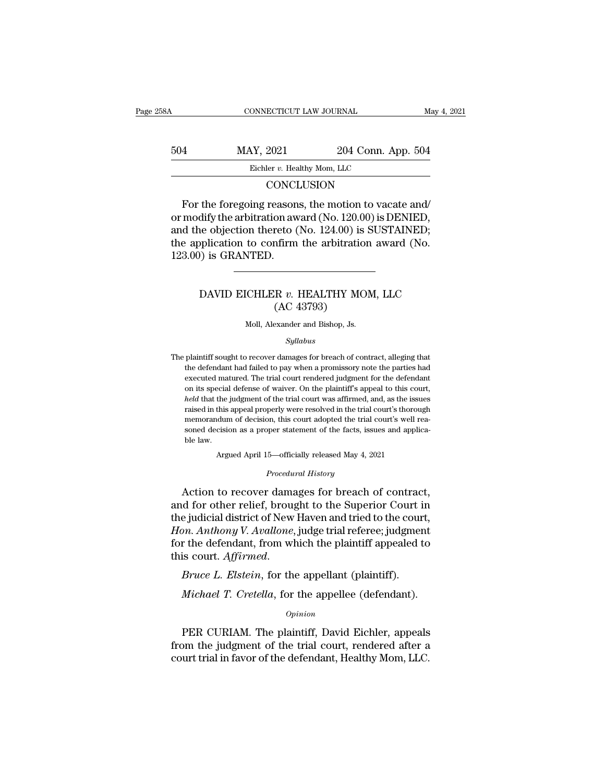| 8Α  | CONNECTICUT LAW JOURNAL     |                    | May 4, 2021 |
|-----|-----------------------------|--------------------|-------------|
| 504 | MAY, 2021                   | 204 Conn. App. 504 |             |
|     | Eichler v. Healthy Mom, LLC |                    |             |
|     | CONCLISION                  |                    |             |

# **CONCLUSION**

 $\frac{\text{MAX, } 2021}{\text{Eichler } v. \text{ Healthy } \text{Mom, } \text{LLC}}$ <br>CONCLUSION<br>For the foregoing reasons, the motion to vacate and/<br>modify the arbitration award (No. 120.00) is DENIED,<br>d the objection therete (No. 124.00) is SUSTAINED. 504 MAY, 2021 204 Conn. App. 504<br>Eichler v. Healthy Mom, LLC<br>CONCLUSION<br>For the foregoing reasons, the motion to vacate and/<br>or modify the arbitration award (No. 120.00) is DENIED,<br>and the objection thereto (No. 124.00) is 504 MAY, 2021 204 Conn. App. 504<br>Eichler v. Healthy Mom, LLC<br>CONCLUSION<br>For the foregoing reasons, the motion to vacate and/<br>or modify the arbitration award (No. 120.00) is DENIED,<br>and the objection thereto (No. 124.00) i Eichler v. Healthy Mom, LLC<br>CONCLUSION<br>For the foregoing reasons, the motion to vacate and/<br>or modify the arbitration award (No. 120.00) is DENIED,<br>and the objection thereto (No. 124.00) is SUSTAINED;<br>the application to co CONCI<br>
For the foregoing reason<br>
or modify the arbitration aw<br>
and the objection thereto (<br>
the application to confirm<br>
123.00) is GRANTED. dify the arbitration award (No. 120.00) is DENIED,<br>he objection thereto (No. 124.00) is SUSTAINED;<br>pplication to confirm the arbitration award (No.<br>)) is GRANTED.<br>DAVID EICHLER *v*. HEALTHY MOM, LLC (AC 43793) reto (No. 124.00) is<br>nfirm the arbitratio<br>R v. HEALTHY MC<br>(AC 43793)<br>exander and Bishop, Js.

# DAVID EICHLER  $v$ . HEALTHY MOM, LLC (AC 43793)<br>Moll, Alexander and Bishop, Js.

## *Syllabus*

 $(AC 43793)$ <br>Moll, Alexander and Bishop, Js.<br>Syllabus<br>The plaintiff sought to recover damages for breach of contract, alleging that<br>the defendant had failed to pay when a promissory note the parties had (AC 45135)<br>Moll, Alexander and Bishop, Js.<br>Syllabus<br>plaintiff sought to recover damages for breach of contract, alleging that<br>the defendant had failed to pay when a promissory note the parties had<br>executed matured. The tri Moll, Alexander and Bishop, Js.<br>Syllabus<br>plaintiff sought to recover damages for breach of contract, alleging that<br>the defendant had failed to pay when a promissory note the parties had<br>executed matured. The trial court re *Syllabus*<br>
plaintiff sought to recover damages for breach of contract, alleging that<br>
the defendant had failed to pay when a promissory note the parties had<br>
executed matured. The trial court rendered judgment for the def *held* that the defendant had failed to pay when a promissory note the parties had executed matured. The trial court rendered judgment for the defendant on its special defense of waiver. On the plaintiff's appeal to this c plaintiff sought to recover damages for breach of contract, alleging that<br>the defendant had failed to pay when a promissory note the parties had<br>executed matured. The trial court rendered judgment for the defendant<br>on its The plaintiff sought to recover damages for breach of contract, alleging that<br>the defendant had failed to pay when a promissory note the parties had<br>executed matured. The trial court rendered judgment for the defendant<br>on executed matured. The trial court rendered judgment for the defendant on its special defense of waiver. On the plaintiff's appeal to this court, *held* that the judgment of the trial court was affirmed, and, as the issues on its special<br>on its special<br>held that the<br>raised in this<br>memorandun<br>soned decisid<br>ble law.<br>Arg % raised in this appeal properly were resolved in the trial court's thorough memorandum of decision, this court adopted the trial court's well reased decision as a proper statement of the facts, issues and applicable law. memorandum of decision, this court adopted the trial court's well reasoned decision as a proper statement of the facts, issues and applicable law.<br>Argued April 15—officially released May 4, 2021<br>*Procedural History*<br>Action rased in this appear property were resolved in the trial court's thorough<br>memorandum of decision, this court adopted the trial court's well reasoned decision as a proper statement of the facts, issues and applica-<br>ble law.

soned decision as a proper statement of the facts, issues and applica-<br>ble law.<br>Argued April 15—officially released May 4, 2021<br>*Procedural History*<br>Action to recover damages for breach of contract,<br>and for other relief, b ble law.<br>Argued April 15—officially released May 4, 2021<br>Procedural History<br>Action to recover damages for breach of contract,<br>and for other relief, brought to the Superior Court in<br>the judicial district of New Haven and tr *Argued April 15—officially released May 4, 2021<br><i>Procedural History*<br>*Procedural History*<br>*Action to recover damages for breach of contract,*<br>and for other relief, brought to the Superior Court in<br>the judicial district of Frocedural History<br>Action to recover damages for breach of contract,<br>and for other relief, brought to the Superior Court in<br>the judicial district of New Haven and tried to the court,<br>Hon. Anthony V. Avallone, judge trial r Froceaural History<br>Action to recover damages for breach of contrac<br>and for other relief, brought to the Superior Court i<br>the judicial district of New Haven and tried to the cour<br>*Hon. Anthony V. Avallone*, judge trial refe e judicial district of New Haven and tried to the court,<br> *M. Anthony V. Avallone*, judge trial referee; judgment<br>
r the defendant, from which the plaintiff appealed to<br>
is court. *Affirmed.*<br> *Bruce L. Elstein*, for the a

# *Opinion*

is court. *Affirmed.*<br> *Bruce L. Elstein*, for the appellant (plaintiff).<br> *Michael T. Cretella*, for the appellee (defendant).<br> *Opinion*<br>
PER CURIAM. The plaintiff, David Eichler, appeals<br>
pm the judgment of the trial co *Bruce L. Elstein*, for the appellant (plaintiff).<br> *Michael T. Cretella*, for the appellee (defendant).<br> *Opinion*<br>
PER CURIAM. The plaintiff, David Eichler, appeals<br>
from the judgment of the trial court, rendered after a *Cretella*, for the appellee (defendant).<br>*Opinion*<br>PER CURIAM. The plaintiff, David Eichler, appeals<br>from the judgment of the trial court, rendered after a<br>court trial in favor of the defendant, Healthy Mom, LLC.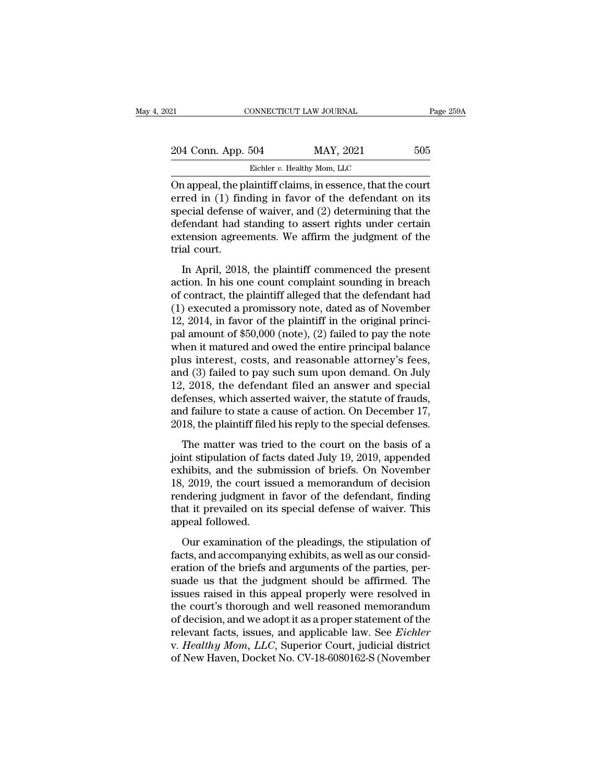| 21                 | CONNECTICUT LAW JOURNAL                                                                                                                                                               | Page 259A |
|--------------------|---------------------------------------------------------------------------------------------------------------------------------------------------------------------------------------|-----------|
| 204 Conn. App. 504 | MAY, 2021                                                                                                                                                                             | 505       |
|                    | Eichler v. Healthy Mom, LLC                                                                                                                                                           |           |
|                    | On appeal, the plaintiff claims, in essence, that the court<br>erred in (1) finding in favor of the defendant on its<br>$\alpha$ and defense of weiver and $(2)$ determining that the |           |

204 Conn. App. 504 MAY, 2021 505<br>Eichler v. Healthy Mom, LLC<br>On appeal, the plaintiff claims, in essence, that the court<br>erred in (1) finding in favor of the defendant on its<br>special defense of waiver, and (2) determining 204 Conn. App. 504 MAY, 2021 505<br>Eicher v. Healthy Mom, LLC<br>On appeal, the plaintiff claims, in essence, that the court<br>erred in (1) finding in favor of the defendant on its<br>special defense of waiver, and (2) determining 204 Conn. App. 504 MAY, 2021 505<br>Eichler v. Healthy Mom, LLC<br>On appeal, the plaintiff claims, in essence, that the court<br>erred in (1) finding in favor of the defendant on its<br>special defense of waiver, and (2) determining Eichler *v*. Healthy Mom, LLC<br>
On appeal, the plaintiff claims, in essence, that the court<br>
erred in (1) finding in favor of the defendant on its<br>
special defense of waiver, and (2) determining that the<br>
defendant had sta On appeal, the p<br>erred in (1) fin<br>special defense<br>defendant had :<br>extension agree<br>trial court.<br>In April, 2018 rappear, the plaintiff clambs, in essence, that the court<br>red in (1) finding in favor of the defendant on its<br>ecial defense of waiver, and (2) determining that the<br>fendant had standing to assert rights under certain<br>tensio special defense of waiver, and (2) determining that the<br>defendant had standing to assert rights under certain<br>extension agreements. We affirm the judgment of the<br>trial court.<br>In April, 2018, the plaintiff commenced the pr

special defendant had standing to assert rights under certain<br>extension agreements. We affirm the judgment of the<br>trial court.<br>In April, 2018, the plaintiff commenced the present<br>action. In his one count complaint soundin extension agreements. We affirm the judgment of the<br>trial court.<br>In April, 2018, the plaintiff commenced the present<br>action. In his one count complaint sounding in breach<br>of contract, the plaintiff alleged that the defend trial court.<br>
In April, 2018, the plaintiff commenced the present<br>
action. In his one count complaint sounding in breach<br>
of contract, the plaintiff alleged that the defendant had<br>
(1) executed a promissory note, dated as In April, 2018, the plaintiff commenced the present<br>action. In his one count complaint sounding in breach<br>of contract, the plaintiff alleged that the defendant had<br> $(1)$  executed a promissory note, dated as of November<br>12 In April, 2018, the plaintiff commenced the present<br>action. In his one count complaint sounding in breach<br>of contract, the plaintiff alleged that the defendant had<br> $(1)$  executed a promissory note, dated as of November<br>12 action. In his one count complaint sounding in breach<br>of contract, the plaintiff alleged that the defendant had<br>(1) executed a promissory note, dated as of November<br>12, 2014, in favor of the plaintiff in the original princ of contract, the plaintiff alleged that the defendant had<br>
(1) executed a promissory note, dated as of November<br>
12, 2014, in favor of the plaintiff in the original princi-<br>
pal amount of \$50,000 (note), (2) failed to pay (1) executed a promissory note, dated as of November 12, 2014, in favor of the plaintiff in the original princi-<br>pal amount of  $$50,000$  (note), (2) failed to pay the note<br>when it matured and owed the entire principal bal 12, 2014, in favor of the plaintiff in the original princi-<br>pal amount of  $$50,000$  (note), (2) failed to pay the note<br>when it matured and owed the entire principal balance<br>plus interest, costs, and reasonable attorney's pal amount of \$50,000 (note), (2) failed to pay the note<br>when it matured and owed the entire principal balance<br>plus interest, costs, and reasonable attorney's fees,<br>and (3) failed to pay such sum upon demand. On July<br>12, 2 when it matured and owed the entire principal balance<br>plus interest, costs, and reasonable attorney's fees,<br>and (3) failed to pay such sum upon demand. On July<br>12, 2018, the defendant filed an answer and special<br>defenses, d (3) failed to pay such sum upon demand. On July<br>
, 2018, the defendant filed an answer and special<br>
fenses, which asserted waiver, the statute of frauds,<br>
d failure to state a cause of action. On December 17,<br>
18, the p 12, 2018, the defendant filed an answer and special<br>12, 2018, the defendant filed an answer and special<br>defenses, which asserted waiver, the statute of frauds,<br>and failure to state a cause of action. On December 17,<br>2018,

12, 2010, the deterministic and an answer and special<br>defenses, which asserted waiver, the statute of frauds,<br>and failure to state a cause of action. On December 17,<br>2018, the plaintiff filed his reply to the special defen and failure to state a cause of action. On December 17,<br>2018, the plaintiff filed his reply to the special defenses.<br>The matter was tried to the court on the basis of a<br>joint stipulation of facts dated July 19, 2019, appen 2018, the plaintiff filed his reply to the special defenses.<br>The matter was tried to the court on the basis of a<br>joint stipulation of facts dated July 19, 2019, appended<br>exhibits, and the submission of briefs. On November<br> The matter was tried to the court on the basis of a<br>joint stipulation of facts dated July 19, 2019, appended<br>exhibits, and the submission of briefs. On November<br>18, 2019, the court issued a memorandum of decision<br>rendering The matter was tries<br>joint stipulation of face<br>exhibits, and the sub<br>18, 2019, the court iss<br>rendering judgment in<br>that it prevailed on its<br>appeal followed.<br>Our examination of In the superation of facts dated sary 10, 2010, appended<br>hibits, and the submission of briefs. On November<br>, 2019, the court issued a memorandum of decision<br>ndering judgment in favor of the defendant, finding<br>at it prevail factured is a memorandum of decision<br>18, 2019, the court issued a memorandum of decision<br>rendering judgment in favor of the defendant, finding<br>that it prevailed on its special defense of waiver. This<br>appeal followed.<br>Our e

Form 2010, the board associal argumentation of the defendant, finding<br>that it prevailed on its special defense of waiver. This<br>appeal followed.<br>Our examination of the pleadings, the stipulation of<br>facts, and accompanying e suade us that is special defense of waiver. This<br>appeal followed.<br>Our examination of the pleadings, the stipulation of<br>facts, and accompanying exhibits, as well as our consid-<br>eration of the briefs and arguments of the par appeal followed.<br>
Our examination of the pleadings, the stipulation of<br>
facts, and accompanying exhibits, as well as our consid-<br>
eration of the briefs and arguments of the parties, per-<br>
suade us that the judgment should Our examination of the pleadings, the stipulation of<br>facts, and accompanying exhibits, as well as our consideration of the briefs and arguments of the parties, per-<br>suade us that the judgment should be affirmed. The<br>issue Our examination of the pleadings, the stipulation of<br>facts, and accompanying exhibits, as well as our consid-<br>eration of the briefs and arguments of the parties, per-<br>suade us that the judgment should be affirmed. The<br>issu facts, and accompanying exhibits, as well as our consideration of the briefs and arguments of the parties, per-<br>suade us that the judgment should be affirmed. The<br>issues raised in this appeal properly were resolved in<br>the eration of the briefs and arguments of the parties, per-<br>suade us that the judgment should be affirmed. The<br>issues raised in this appeal properly were resolved in<br>the court's thorough and well reasoned memorandum<br>of decisi suade us that the judgment should be affirmed. The<br>issues raised in this appeal properly were resolved in<br>the court's thorough and well reasoned memorandum<br>of decision, and we adopt it as a proper statement of the<br>relevant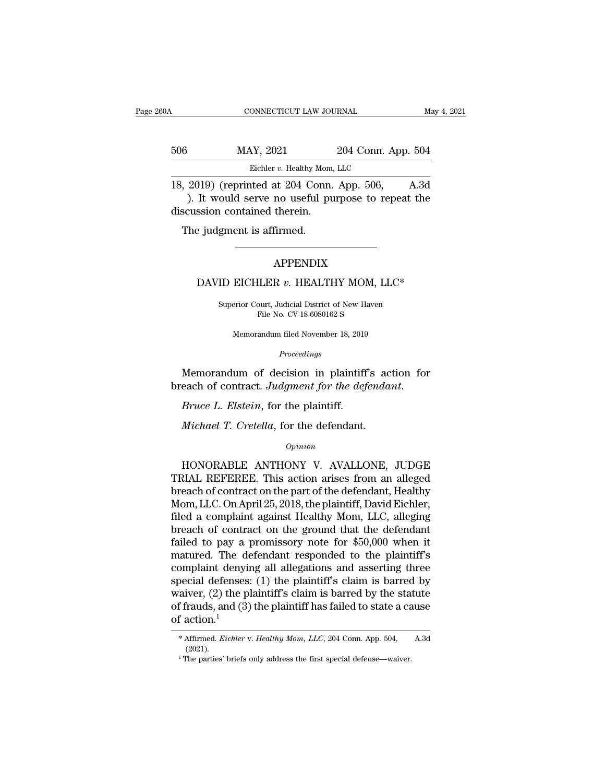| ЭA  | CONNECTICUT LAW JOURNAL                       |                    | May 4, 2021 |
|-----|-----------------------------------------------|--------------------|-------------|
| 506 | MAY, 2021                                     | 204 Conn. App. 504 |             |
|     | Eichler v. Healthy Mom, LLC                   |                    |             |
|     | $18, 2019$ (reprinted at $204$ Conn. App. 506 |                    | A 3d        |

CONNECTICUT LAW JOURNAL May 4, 2021<br>
18, 2019) (reprinted at 204 Conn. App. 506, A.3d<br>
18, 2019) (reprinted at 204 Conn. App. 506, A.3d<br>
1. It would serve no useful purpose to repeat the discussion contained therein MAY, 2021 204 Conn. App. 504<br>Eichler v. Healthy Mom, LLC<br>2019) (reprinted at 204 Conn. App. 506, A.3d<br>). It would serve no useful purpose to repeat the<br>cussion contained therein. 506 MAY, 2021<br>Eichler v. Healthy Mom,<br>18, 2019) (reprinted at 204 Conn.<br>). It would serve no useful pudiscussion contained therein.<br>The judgment is affirmed.  $\frac{\text{MAX, } 2021}{\text{Eichler } v. \text{ Healthy Mon}}$ <br>  $\frac{2019}{\text{N}}$  (reprinted at 204 Conn<br>  $\frac{1}{\text{N}}$ ). It would serve no useful provided therein.<br>
The judgment is affirmed. It would serve no useful purpose to repeat the<br>ssion contained therein.<br><br>DAVID EICHLER *v*. HEALTHY MOM, LLC\*<br>Superior Court, Judicial District of New Haven

# APPENDIX

APPENDIX<br>ID EICHLER v. HEALTHY MOM, LLC\*<br>Superior Court, Judicial District of New Haven<br>File No. CV-18-6080162-S APPENDIX<br>ILER v. HEALTHY MOM, I<br>pourt, Judicial District of New Haven<br>File No. CV-18-6080162-S EICHLER v. HEALTHY MOM, LLC\*<br>
erior Court, Judicial District of New Haven<br>
File No. CV-18-6080162-S<br>
Memorandum filed November 18, 2019

*Proceedings*

Superior Court, Judicial District of New Haven<br>File No. CV-18-6080162-S<br>Memorandum filed November 18, 2019<br>*Proceedings*<br>Memorandum of decision in plaintiff's action for<br>each of contract. *Judgment for the defendant*. breach of court, Judicial District of New Haven<br>File No. CV-18-6080162-S<br>*Proceedings*<br>*Proceedings*<br>**Memorandum of decision in plaintiff's action for<br>breach of contract. Judgment for the defendant.<br>***Bruce L. Elstein***, for** *Proceedings*<br>
Memorandum of decision in plaintiff's aceach of contract. Judgment for the defenda<br> *Bruce L. Elstein*, for the plaintiff.<br> *Michael T. Cretella*, for the defendant.<br> *Opinion* 

*Opinion*

each of contract. Judgment for the defendant.<br> *Bruce L. Elstein*, for the plaintiff.<br> *Michael T. Cretella*, for the defendant.<br> *Opinion*<br>
HONORABLE ANTHONY V. AVALLONE, JUDGE<br>
RIAL REFEREE. This action arises from an al *Bruce L. Elstein*, for the plaintiff.<br> *Michael T. Cretella*, for the defendant.<br> *Opinion*<br>
HONORABLE ANTHONY V. AVALLONE, JUDGE<br>
TRIAL REFEREE. This action arises from an alleged<br>
breach of contract on the part of the d *Michael T. Cretella*, for the defendant.<br> *Opinion*<br>
HONORABLE ANTHONY V. AVALLONE, JUDGE<br>
TRIAL REFEREE. This action arises from an alleged<br>
breach of contract on the part of the defendant, Healthy<br>
Mom, LLC. On April 25 Michael T. Cretella, for the defendant.<br>
opinion<br>
HONORABLE ANTHONY V. AVALLONE, JUDGE<br>
TRIAL REFEREE. This action arises from an alleged<br>
breach of contract on the part of the defendant, Healthy<br>
Mom, LLC. On April 25, 20 opinion<br>
HONORABLE ANTHONY V. AVALLONE, JUDGE<br>
TRIAL REFEREE. This action arises from an alleged<br>
breach of contract on the part of the defendant, Healthy<br>
Mom, LLC. On April 25, 2018, the plaintiff, David Eichler,<br>
filed breach of contract ANTHONY V. AVALLONE, JUDGE<br>TRIAL REFEREE. This action arises from an alleged<br>breach of contract on the part of the defendant, Healthy<br>Mom, LLC. On April 25, 2018, the plaintiff, David Eichler,<br>filed a co HONORABLE ANTHONY V. AVALLONE, JUDGE<br>TRIAL REFEREE. This action arises from an alleged<br>breach of contract on the part of the defendant, Healthy<br>Mom, LLC. On April 25, 2018, the plaintiff, David Eichler,<br>filed a complaint a TRIAL REFEREE. This action arises from an alleged<br>breach of contract on the part of the defendant, Healthy<br>Mom, LLC. On April 25, 2018, the plaintiff, David Eichler,<br>filed a complaint against Healthy Mom, LLC, alleging<br>bre breach of contract on the part of the defendant, Healthy<br>Mom, LLC. On April 25, 2018, the plaintiff, David Eichler,<br>filed a complaint against Healthy Mom, LLC, alleging<br>breach of contract on the ground that the defendant<br>f Mom, LLC. On April 25, 2018, the plaintiff, David Eichler,<br>filed a complaint against Healthy Mom, LLC, alleging<br>breach of contract on the ground that the defendant<br>failed to pay a promissory note for \$50,000 when it<br>mature filed a complaint against Healthy Mom, LLC, alleging<br>breach of contract on the ground that the defendant<br>failed to pay a promissory note for \$50,000 when it<br>matured. The defendant responded to the plaintiff's<br>complaint den breach of contract on the ground that the defendant<br>failed to pay a promissory note for \$50,000 when it<br>matured. The defendant responded to the plaintiff's<br>complaint denying all allegations and asserting three<br>special def failed to pay a promissory note for \$50,000 when it<br>matured. The defendant responded to the plaintiff's<br>complaint denying all allegations and asserting three<br>special defenses: (1) the plaintiff's claim is barred by<br>waiver % of frauds, and (3) the plaintiff has failed to state a cause<br>of action.<sup>1</sup><br>\* Affirmed. *Eichler v. Healthy Mom, LLC*, 204 Conn. App. 504, A.3d (2021).<br><sup>1</sup> The parties' briefs only address the first special defense—waive

<sup>(2021).</sup>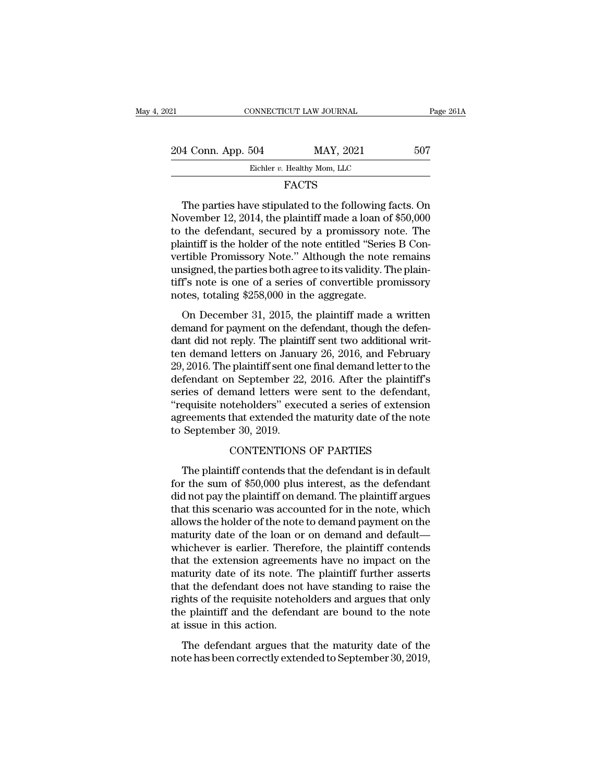| 2021               | CONNECTICUT LAW JOURNAL     | Page 261A |
|--------------------|-----------------------------|-----------|
| 204 Conn. App. 504 | MAY, 2021                   | 507       |
|                    | Eichler v. Healthy Mom, LLC |           |
|                    | FACTS                       |           |

# FACTS

 $\begin{array}{r} \text{4 Conn. App. 504} \qquad \text{MAX, } 2021 \qquad \text{507} \ \text{Eichler } v. \text{ Healthy Mom, LLC} \qquad \qquad \text{FACTS} \ \text{The parties have stipulated to the following facts. On } v \text{cember 12, } 2014, \text{ the plaintiff made a loan of $50,000} \ \text{the deformation sequence by a promissory note. The} \end{array}$ 204 Conn. App. 504 MAY, 2021 507<br>Eichler v. Healthy Mom, LLC<br>FACTS<br>The parties have stipulated to the following facts. On<br>November 12, 2014, the plaintiff made a loan of \$50,000<br>to the defendant, secured by a promissory n 204 Conn. App. 504 MAY, 2021 507<br>Eicher v. Healthy Mom, LLC<br>FACTS<br>The parties have stipulated to the following facts. On<br>November 12, 2014, the plaintiff made a loan of \$50,000<br>to the defendant, secured by a promissory no Eichler v. Healthy Mom, LLC<br>
FACTS<br>
The parties have stipulated to the following facts. On<br>
November 12, 2014, the plaintiff made a loan of \$50,000<br>
to the defendant, secured by a promissory note. The<br>
plaintiff is the hol FACTS<br>The parties have stipulated to the following facts. On<br>November 12, 2014, the plaintiff made a loan of \$50,000<br>to the defendant, secured by a promissory note. The<br>plaintiff is the holder of the note entitled "Series The parties have stipulated to the following facts. On<br>November 12, 2014, the plaintiff made a loan of \$50,000<br>to the defendant, secured by a promissory note. The<br>plaintiff is the holder of the note entitled "Series B Con The parties have stipulated to the following facts. On<br>November 12, 2014, the plaintiff made a loan of \$50,000<br>to the defendant, secured by a promissory note. The<br>plaintiff is the holder of the note entitled "Series B Con-November 12, 2014, the plaintiff made a loan of<br>to the defendant, secured by a promissory n<br>plaintiff is the holder of the note entitled "Serie<br>vertible Promissory Note." Although the note<br>unsigned, the parties both agree in the determinant, secured by a promissory note. The<br>aintiff is the holder of the note entitled "Series B Con-<br>rtible Promissory Note." Although the note remains<br>signed, the parties both agree to its validity. The plain-<br> plantant is are notice of the note entated series  $B$  convertible Promissory Note." Although the note remains unsigned, the parties both agree to its validity. The plaintiff's note is one of a series of convertible promis

dentified a parties both agree to its validity. The plain-<br>tiff's note is one of a series of convertible promissory<br>notes, totaling \$258,000 in the aggregate.<br>On December 31, 2015, the plaintiff made a written<br>demand for p tiff's note is one of a series of convertible promissory<br>tiff's note is one of a series of convertible promissory<br>notes, totaling \$258,000 in the aggregate.<br>On December 31, 2015, the plaintiff made a written<br>demand for pa 29, 2016. The plaintiff sent on the aggregate.<br>
On December 31, 2015, the plaintiff made a written<br>
demand for payment on the defendant, though the defendant did not reply. The plaintiff sent two additional writ-<br>
ten dema forces, totaling \$250,000 in the aggregate.<br>
On December 31, 2015, the plaintiff made a written<br>
demand for payment on the defendant, though the defen-<br>
dant did not reply. The plaintiff sent two additional writ-<br>
ten dema On December 31, 2015, the plaintiff made a written<br>demand for payment on the defendant, though the defen-<br>dant did not reply. The plaintiff sent two additional writ-<br>ten demand letters on January 26, 2016, and February<br>29, demand for payment on the defendant, though the defendant did not reply. The plaintiff sent two additional writ-<br>ten demand letters on January 26, 2016, and February<br>29, 2016. The plaintiff sent one final demand letter to dant did not reply. The plaintiff sent two additional writ-<br>ten demand letters on January 26, 2016, and February<br>29, 2016. The plaintiff sent one final demand letter to the<br>defendant on September 22, 2016. After the plaint ten demand letters on Janua<br>29, 2016. The plaintiff sent on<br>defendant on September 22<br>series of demand letters we<br>"requisite noteholders" exec<br>agreements that extended th<br>to September 30, 2019.<br>CONTENTIONS m September 22, 2016. After the plaintiff'<br>mand letters were sent to the defendant<br>oteholders" executed a series of extension<br>that extended the maturity date of the not<br>er 30, 2019.<br>CONTENTIONS OF PARTIES<br>iff contends that ries of demand letters were sent to the defendant,<br>equisite noteholders" executed a series of extension<br>reements that extended the maturity date of the note<br>September 30, 2019.<br>CONTENTIONS OF PARTIES<br>The plaintiff contends

"requisite noteholders" executed a series of extension<br>agreements that extended the maturity date of the note<br>to September 30, 2019.<br>CONTENTIONS OF PARTIES<br>The plaintiff contends that the defendant is in default<br>for the su agreements that extended the maturity date of the note<br>to September 30, 2019.<br>CONTENTIONS OF PARTIES<br>The plaintiff contends that the defendant is in default<br>for the sum of \$50,000 plus interest, as the defendant<br>did not pa to September 30, 2019.<br>CONTENTIONS OF PARTIES<br>The plaintiff contends that the defendant is in default<br>for the sum of \$50,000 plus interest, as the defendant<br>did not pay the plaintiff on demand. The plaintiff argues<br>that th CONTENTIONS OF PARTIES<br>The plaintiff contends that the defendant is in default<br>for the sum of \$50,000 plus interest, as the defendant<br>did not pay the plaintiff on demand. The plaintiff argues<br>that this scenario was account The plaintiff contends that the defendant is in default<br>for the sum of \$50,000 plus interest, as the defendant<br>did not pay the plaintiff on demand. The plaintiff argues<br>that this scenario was accounted for in the note, whi The plaintiff contends that the defendant is in default<br>for the sum of \$50,000 plus interest, as the defendant<br>did not pay the plaintiff on demand. The plaintiff argues<br>that this scenario was accounted for in the note, whi for the sum of \$50,000 plus interest, as the defendant<br>did not pay the plaintiff on demand. The plaintiff argues<br>that this scenario was accounted for in the note, which<br>allows the holder of the note to demand payment on th did not pay the plaintiff on demand. The plaintiff argues<br>that this scenario was accounted for in the note, which<br>allows the holder of the note to demand payment on the<br>maturity date of the loan or on demand and default—<br>w that this scenario was accounted for in the note, which<br>allows the holder of the note to demand payment on the<br>maturity date of the loan or on demand and default—<br>whichever is earlier. Therefore, the plaintiff contends<br>tha allows the holder of the note to demand payment on the<br>maturity date of the loan or on demand and default—<br>whichever is earlier. Therefore, the plaintiff contends<br>that the extension agreements have no impact on the<br>maturit maturity date of the loan or on demand and default—<br>whichever is earlier. Therefore, the plaintiff contends<br>that the extension agreements have no impact on the<br>maturity date of its note. The plaintiff further asserts<br>that whichever is earlier. There<br>that the extension agreeme<br>maturity date of its note. T<br>that the defendant does not<br>rights of the requisite noteh<br>the plaintiff and the defend<br>at issue in this action.<br>The defendant argues the aturity date of its note. The plaintiff further asserts<br>at the defendant does not have standing to raise the<br>these of the requisite noteholders and argues that only<br>e plaintiff and the defendant are bound to the note<br>issue nationally date of its hote. The plaintin further disserts<br>that the defendant does not have standing to raise the<br>rights of the requisite noteholders and argues that only<br>the plaintiff and the defendant are bound to the no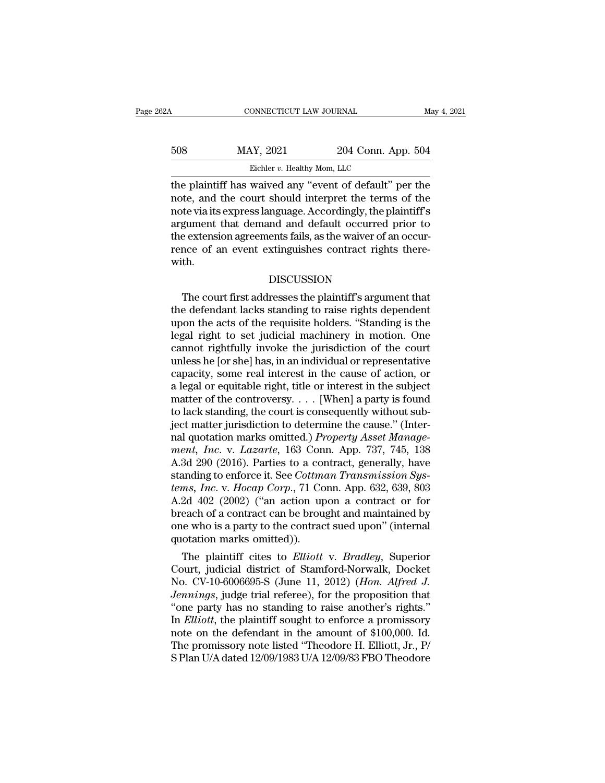| 62A | CONNECTICUT LAW JOURNAL     |                                                                                                                                                                                | May 4, 2021 |
|-----|-----------------------------|--------------------------------------------------------------------------------------------------------------------------------------------------------------------------------|-------------|
| 508 | MAY, 2021                   | 204 Conn. App. 504                                                                                                                                                             |             |
|     | Eichler v. Healthy Mom, LLC |                                                                                                                                                                                |             |
|     |                             | the plaintiff has waived any "event of default" per the<br>note, and the court should interpret the terms of the<br>notorio ita express languade. Accordingly, the plaintiff's |             |

MAY, 2021 204 Conn. App. 504<br>Eicher v. Healthy Mom, LLC<br>the plaintiff has waived any "event of default" per the<br>note, and the court should interpret the terms of the<br>note via its express language. Accordingly, the plaintif  $\frac{\text{MAX, 2021}}{\text{Eichler } v. \text{ Healthy } \text{Mom, LLC}}$ <br>
the plaintiff has waived any "event of default" per the<br>
note, and the court should interpret the terms of the<br>
note via its express language. Accordingly, the plaintiff's<br>
argument  $\frac{\text{MAX}}{\text{Eichler } v. \text{ Healthy } \text{Mom. } \text{LLC}}$ <br>
the plaintiff has waived any "event of default" per the<br>
note, and the court should interpret the terms of the<br>
note via its express language. Accordingly, the plaintiff's<br>
argument t Eichler v. Healthy Mom, LLC<br>
the plaintiff has waived any "event of default" per the<br>
note, and the court should interpret the terms of the<br>
note via its express language. Accordingly, the plaintiff's<br>
argument that demand Eichler v. Healthy Mom, LLC<br>the plaintiff has waived any "event of default" per the<br>note, and the court should interpret the terms of the<br>note via its express language. Accordingly, the plaintiff's<br>argument that demand an with. gument that demand and default occurred prior to<br>e extension agreements fails, as the waiver of an occur-<br>nce of an event extinguishes contract rights there-<br>th.<br>DISCUSSION<br>The court first addresses the plaintiff's argumen

## DISCUSSION

the extension agreements fails, as the waiver of an occurrence of an event extinguishes contract rights therewith.<br>DISCUSSION<br>The court first addresses the plaintiff's argument that<br>the defendant lacks standing to raise ri rence of an event extinguishes contract rights there-<br>with.<br>DISCUSSION<br>The court first addresses the plaintiff's argument that<br>the defendant lacks standing to raise rights dependent<br>upon the acts of the requisite holders. with.<br>
DISCUSSION<br>
The court first addresses the plaintiff's argument that<br>
the defendant lacks standing to raise rights dependent<br>
upon the acts of the requisite holders. "Standing is the<br>
legal right to set judicial mach DISCUSSION<br>The court first addresses the plaintiff's argument that<br>the defendant lacks standing to raise rights dependent<br>upon the acts of the requisite holders. "Standing is the<br>legal right to set judicial machinery in mo DISCUSSION<br>The court first addresses the plaintiff's argument that<br>the defendant lacks standing to raise rights dependent<br>upon the acts of the requisite holders. "Standing is the<br>legal right to set judicial machinery in mo The court first addresses the plaintiff's argument that<br>the defendant lacks standing to raise rights dependent<br>upon the acts of the requisite holders. "Standing is the<br>legal right to set judicial machinery in motion. One<br>c the defendant lacks standing to raise rights dependent<br>upon the acts of the requisite holders. "Standing is the<br>legal right to set judicial machinery in motion. One<br>cannot rightfully invoke the jurisdiction of the court<br>un upon the acts of the requisite holders. "Standing is the legal right to set judicial machinery in motion. One cannot rightfully invoke the jurisdiction of the court unless he [or she] has, in an individual or representativ legal right to set judicial machinery in motion. One<br>cannot rightfully invoke the jurisdiction of the court<br>unless he [or she] has, in an individual or representative<br>capacity, some real interest in the cause of action, o cannot rightfully invoke the jurisdiction of the court<br>unless he [or she] has, in an individual or representative<br>capacity, some real interest in the cause of action, or<br>a legal or equitable right, title or interest in th unless he [or she] has, in an individual or representative<br>capacity, some real interest in the cause of action, or<br>a legal or equitable right, title or interest in the subject<br>matter of the controversy.... [When] a party i *capacity, some real interest in the cause of action, or a legal or equitable right, title or interest in the subject matter of the controversy.... [When] a party is found to lack standing, the court is consequently withou* a legal or equitable right, title or interest in the subject<br>matter of the controversy. . . . [When] a party is found<br>to lack standing, the court is consequently without sub-<br>ject matter jurisdiction to determine the caus matter of the controversy.... [When] a party is found<br>to lack standing, the court is consequently without sub-<br>ject matter jurisdiction to determine the cause." (Inter-<br>nal quotation marks omitted.) *Property Asset Manage*to lack standing, the court is consequently without sub-<br>ject matter jurisdiction to determine the cause." (Inter-<br>nal quotation marks omitted.) *Property Asset Manage-<br>ment, Inc.* v. *Lazarte*, 163 Conn. App. 737, 745, 13 ject matter jurisdiction to determine the cause." (Inter-<br>nal quotation marks omitted.) *Property Asset Manage-<br>ment, Inc.* v. *Lazarte*, 163 Conn. App. 737, 745, 138<br>A.3d 290 (2016). Parties to a contract, generally, have nal quotation marks omitted.) *Property Asset Manage-<br>ment, Inc.* v. *Lazarte*, 163 Conn. App. 737, 745, 138<br>A.3d 290 (2016). Parties to a contract, generally, have<br>standing to enforce it. See *Cottman Transmission Sys-*<br>t ment, Inc. v. Lazarte, 163 Conn. App. 737, 745, 138<br>A.3d 290 (2016). Parties to a contract, generally, have<br>standing to enforce it. See *Cottman Transmission Sys-*<br>tems, Inc. v. Hocap Corp., 71 Conn. App. 632, 639, 803<br>A.2 A.3d 290 (2016). Parties to a contract, generally, have<br>standing to enforce it. See *Cottman Transmission Systems, Inc.* v. *Hocap Corp.*, 71 Conn. App. 632, 639, 803<br>A.2d 402 (2002) ("an action upon a contract or for<br>bre anding to enforce it. See *Cottman Transmission Sys-*<br>ms, *Inc.* v. *Hocap Corp.*, 71 Conn. App. 632, 639, 803<br>2d 402 (2002) ("an action upon a contract or for<br>each of a contract can be brought and maintained by<br>le who is tems,  $Inc$  v.  $Hocap$  Corp.,  $\ell_1$  Conn. App. 632, 639, 803<br>A.2d 402 (2002) ("an action upon a contract or for<br>breach of a contract can be brought and maintained by<br>one who is a party to the contract sued upon" (internal<br>qu

A.2d 402 (2002) ("an action upon a contract or for<br>breach of a contract can be brought and maintained by<br>one who is a party to the contract sued upon" (internal<br>quotation marks omitted)).<br>The plaintiff cites to *Elliott* v *Jennings*, judge trial referee), for the proposition of *Filiott* v. *Bradley*, Superior Court, judicial district of Stamford-Norwalk, Docket No. CV-10-6006695-S (June 11, 2012) (*Hon. Alfred J. Jennings*, judge trial ref one who is a party to the contract sued upon (internal<br>quotation marks omitted)).<br>The plaintiff cites to *Elliott* v. *Bradley*, Superior<br>Court, judicial district of Stamford-Norwalk, Docket<br>No. CV-10-6006695-S (June 11, 2 quotation marks omitted)).<br>
The plaintiff cites to *Elliott* v. *Bradley*, Superior<br>
Court, judicial district of Stamford-Norwalk, Docket<br>
No. CV-10-6006695-S (June 11, 2012) (*Hon. Alfred J.*<br> *Jennings*, judge trial refe The plaintiff cites to *Elliott v. Bradley*, Superior Court, judicial district of Stamford-Norwalk, Docket No. CV-10-6006695-S (June 11, 2012) (*Hon. Alfred J. Jennings*, judge trial referee), for the proposition that "on Court, judicial district of Stamford-Norwalk, Docket<br>No. CV-10-6006695-S (June 11, 2012) (*Hon. Alfred J.*<br>*Jennings*, judge trial referee), for the proposition that<br>"one party has no standing to raise another's rights."<br>I No. CV-10-6006695-S (June 11, 2012) (*Hon. Alfred J.*<br>*Jennings*, judge trial referee), for the proposition that "one party has no standing to raise another's rights."<br>In *Elliott*, the plaintiff sought to enforce a promis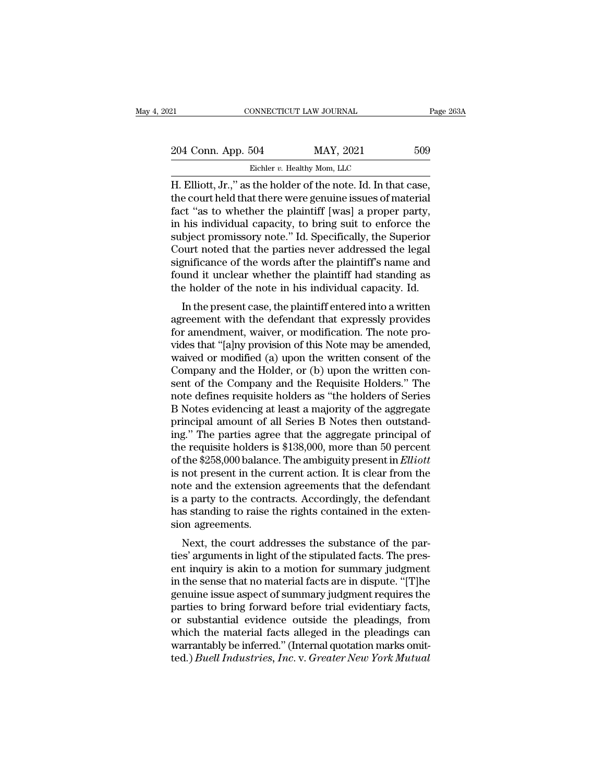| )21                                                                                                                                                                                   | CONNECTICUT LAW JOURNAL     | Page 263A |
|---------------------------------------------------------------------------------------------------------------------------------------------------------------------------------------|-----------------------------|-----------|
| 204 Conn. App. 504                                                                                                                                                                    | MAY, 2021                   | 509       |
|                                                                                                                                                                                       | Eichler v. Healthy Mom, LLC |           |
| H. Elliott, Jr.," as the holder of the note. Id. In that case,<br>the court held that there were genuine issues of material<br>fact "as to whother the plaintiff [weel a preper party |                             |           |

204 Conn. App. 504 MAY, 2021 509<br>Eichler v. Healthy Mom, LLC<br>H. Elliott, Jr.," as the holder of the note. Id. In that case,<br>the court held that there were genuine issues of material<br>fact "as to whether the plaintiff [was] 204 Conn. App. 504 MAY, 2021 509<br>Eichler v. Healthy Mom, LLC<br>H. Elliott, Jr.," as the holder of the note. Id. In that case,<br>the court held that there were genuine issues of material<br>fact "as to whether the plaintiff [was] 204 Conn. App. 504 MAY, 2021 509<br>Eichler v. Healthy Mom, LLC<br>H. Elliott, Jr.," as the holder of the note. Id. In that case,<br>the court held that there were genuine issues of material<br>fact "as to whether the plaintiff [was] Eichler v. Healthy Mom, LLC<br>
H. Elliott, Jr.," as the holder of the note. Id. In that case,<br>
the court held that there were genuine issues of material<br>
fact "as to whether the plaintiff [was] a proper party,<br>
in his indiv Eicher v. Healthy Mom, LLC<br>
H. Elliott, Jr.," as the holder of the note. Id. In that case,<br>
the court held that there were genuine issues of material<br>
fact "as to whether the plaintiff [was] a proper party,<br>
in his indivi H. Elliott, Jr.," as the holder of the note. Id. In that case,<br>the court held that there were genuine issues of material<br>fact "as to whether the plaintiff [was] a proper party,<br>in his individual capacity, to bring suit to the court held that there were genuine issues of material<br>fact "as to whether the plaintiff [was] a proper party,<br>in his individual capacity, to bring suit to enforce the<br>subject promissory note." Id. Specifically, the Sup fact "as to whether the plaintiff [was] a proper party,<br>in his individual capacity, to bring suit to enforce the<br>subject promissory note." Id. Specifically, the Superior<br>Court noted that the parties never addressed the leg Ins murvidual capacity, to bring suit to emotice the<br>bject promissory note." Id. Specifically, the Superior<br>purt noted that the parties never addressed the legal<br>gnificance of the words after the plaintiff's name and<br>und i subject promissory note. The specifically, the superior<br>Court noted that the parties never addressed the legal<br>significance of the words after the plaintiff's name and<br>found it unclear whether the plaintiff had standing as

Fourt hoted that the parties hever addressed the legal<br>significance of the words after the plaintiff's name and<br>found it unclear whether the plaintiff had standing as<br>the holder of the note in his individual capacity. Id.<br> significance of the words after the plaintiff had standing as<br>found it unclear whether the plaintiff had standing as<br>the holder of the note in his individual capacity. Id.<br>In the present case, the plaintiff entered into a From the holder of the note in his individual capacity. Id.<br>
In the present case, the plaintiff entered into a written<br>
agreement with the defendant that expressly provides<br>
for amendment, waiver, or modification. The note In the present case, the plaintiff entered into a written<br>agreement with the defendant that expressly provides<br>for amendment, waiver, or modification. The note pro-<br>vides that "[a]ny provision of this Note may be amended,<br> In the present case, the plaintiff entered into a written<br>agreement with the defendant that expressly provides<br>for amendment, waiver, or modification. The note pro-<br>vides that "[a]ny provision of this Note may be amended,<br> agreement with the defendant that expressly provides<br>for amendment, waiver, or modification. The note pro-<br>vides that "[a]ny provision of this Note may be amended,<br>waived or modified (a) upon the written consent of the<br>Com for amendment, waiver, or modification. The note provides that "[a]ny provision of this Note may be amended, waived or modified (a) upon the written consent of the Company and the Requisite Holders." The note defines requi vides that "[a]ny provision of this Note may be amended,<br>waived or modified (a) upon the written consent of the<br>Company and the Holder, or (b) upon the written con-<br>sent of the Company and the Requisite Holders." The<br>note waived or modified (a) upon the written consent of the Company and the Holder, or (b) upon the written consent of the Company and the Requisite Holders." The note defines requisite holders as "the holders of Series B Notes Company and the Holder, or (b) upon the written consent of the Company and the Requisite Holders." The note defines requisite holders as "the holders of Series B Notes evidencing at least a majority of the aggregate princi sent of the Company and the Requisite Holders." The<br>note defines requisite holders as "the holders of Series<br>B Notes evidencing at least a majority of the aggregate<br>principal amount of all Series B Notes then outstand-<br>ing note defines requisite holders as "the holders of Series B Notes evidencing at least a majority of the aggregate principal amount of all Series B Notes then outstanding." The parties agree that the aggregate principal of t B Notes evidencing at least a majority of the aggregate<br>principal amount of all Series B Notes then outstand-<br>ing." The parties agree that the aggregate principal of<br>the requisite holders is \$138,000, more than 50 percent<br> principal amount of all Series B Notes then outstand-<br>ing." The parties agree that the aggregate principal of<br>the requisite holders is \$138,000, more than 50 percent<br>of the \$258,000 balance. The ambiguity present in *Ellio* ing." The parties agree that the aggregate principal of<br>the requisite holders is \$138,000, more than 50 percent<br>of the \$258,000 balance. The ambiguity present in *Elliott*<br>is not present in the current action. It is clear the requisite holders is<br>of the \$258,000 balance<br>is not present in the cu<br>note and the extension<br>is a party to the contr<br>has standing to raise t<br>sion agreements.<br>Next, the court add The session balance. The amolgony present in *Eutott*<br>not present in the current action. It is clear from the<br>te and the extension agreements that the defendant<br>a party to the contracts. Accordingly, the defendant<br>s standi the standard in the current action. It is clear from the<br>note and the extension agreements that the defendant<br>is a party to the contracts. Accordingly, the defendant<br>has standing to raise the rights contained in the exten-

rote and the extension agreements that the defendant<br>is a party to the contracts. Accordingly, the defendant<br>has standing to raise the rights contained in the exten-<br>sion agreements.<br>Next, the court addresses the substance is a party to the contracts. Accordingly, the defendant<br>has standing to raise the rights contained in the exten-<br>sion agreements.<br>Next, the court addresses the substance of the par-<br>ties' arguments in light of the stipulat ras standing to raise the rights contained in the extension agreements.<br>Next, the court addresses the substance of the parties' arguments in light of the stipulated facts. The present inquiry is akin to a motion for summar sion agreements.<br>
Next, the court addresses the substance of the par-<br>
ties' arguments in light of the stipulated facts. The pres-<br>
ent inquiry is akin to a motion for summary judgment<br>
in the sense that no material facts Next, the court addresses the substance of the parties' arguments in light of the stipulated facts. The present inquiry is akin to a motion for summary judgment<br>in the sense that no material facts are in dispute. "[T]he<br>ge ties' arguments in light of the stipulated facts. The pres-<br>ent inquiry is akin to a motion for summary judgment<br>in the sense that no material facts are in dispute. "[T]he<br>genuine issue aspect of summary judgment requires ent inquiry is akin to a motion for summary judgment<br>in the sense that no material facts are in dispute. "[T]he<br>genuine issue aspect of summary judgment requires the<br>parties to bring forward before trial evidentiary facts, in the sense that no material facts are in dispute. "[T]he genuine issue aspect of summary judgment requires the parties to bring forward before trial evidentiary facts, or substantial evidence outside the pleadings, from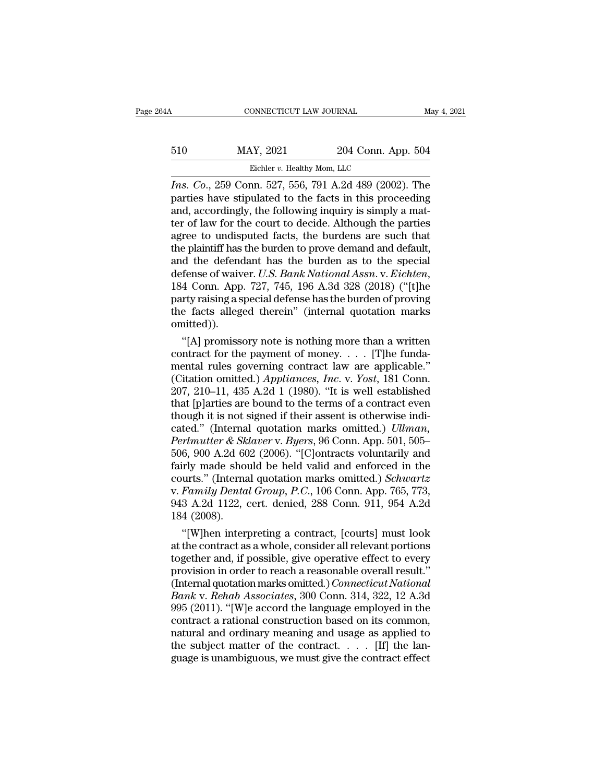# CONNECTICUT LAW JOURNAL May 4, 2021<br>510 MAY, 2021 204 Conn. App. 504<br>Eichler v. Healthy Mom, LLC 00NNECTICUT LAW JOURNAL<br>
XY, 2021 204 Conn. Ap<br>
Eichler *v.* Healthy Mom, LLC<br>
204 204 489 (2002

**IVENTE AN SURNAL** May 4, 2021<br> **IIO** MAY, 2021 204 Conn. App. 504<br> **IPORE AN EXECUTE:** *I*C Excher *v*. Healthy Mom, LLC<br> **IPORE AN EXECUTE:** FINE PARTIES have stipulated to the facts in this proceeding<br>
and accordingly t  $\begin{array}{lll} \text{BAY} & \text{BAY} & \text{2021} & \text{204 Conn. App. 504} \\ & \text{Eichler } v. \text{ Healthly Mom, LLC} \ \hline \end{array}$ <br>
First. Co., 259 Conn. 527, 556, 791 A.2d 489 (2002). The parties have stipulated to the facts in this proceeding and, accordingly, the followi  $\frac{\text{BA10}}{\text{B_1}} = \frac{100}{100}$  MAY, 2021 204 Conn. App. 504<br>  $\frac{100}{100}$  Eichler v. Healthy Mom, LLC<br>  $\frac{100}{100}$  Lns. Co., 259 Conn. 527, 556, 791 A.2d 489 (2002). The<br>
parties have stipulated to the facts in this pr 510 MAY, 2021 204 Conn. App. 504<br>Eichler v. Healthy Mom, LLC<br>*Ins. Co.*, 259 Conn. 527, 556, 791 A.2d 489 (2002). The<br>parties have stipulated to the facts in this proceeding<br>and, accordingly, the following inquiry is simp Eichler v. Healthy Mom, LLC<br> *Ins. Co.*, 259 Conn. 527, 556, 791 A.2d 489 (2002). The<br>
parties have stipulated to the facts in this proceeding<br>
and, accordingly, the following inquiry is simply a mat-<br>
ter of law for the Eichler v. Healthy Mom, LLC<br> *Ins. Co.*, 259 Conn. 527, 556, 791 A.2d 489 (2002). The<br>
parties have stipulated to the facts in this proceeding<br>
and, accordingly, the following inquiry is simply a mat-<br>
ter of law for the *Ins. Co.*, 259 Conn. 527, 556, 791 A.2d 489 (2002). The parties have stipulated to the facts in this proceeding and, accordingly, the following inquiry is simply a matter of law for the court to decide. Although the part parties have stipulated to the facts in this proceeding<br>and, accordingly, the following inquiry is simply a mat-<br>ter of law for the court to decide. Although the parties<br>agree to undisputed facts, the burdens are such that ter of law for the court to decide. Although the parties<br>agree to undisputed facts, the burdens are such that<br>the plaintiff has the burden to prove demand and default,<br>and the defendant has the burden as to the special<br>def agree to undisputed facts, the burdens are such that<br>the plaintiff has the burden to prove demand and default,<br>and the defendant has the burden as to the special<br>defense of waiver. U.S. Bank National Assn. v. Eichten,<br>184 omitted)). d the defendant has the burden as to the special<br>
fense of waiver. U.S. Bank National Assn. v. Eichten,<br>
4 Conn. App. 727, 745, 196 A.3d 328 (2018) ("[t]he<br>
rty raising a special defense has the burden of proving<br>
e facts defense of waiver. *U.S. Bank National Assn.* v. *Eichten*,<br>184 Conn. App. 727, 745, 196 A.3d 328 (2018) ("[t]he<br>party raising a special defense has the burden of proving<br>the facts alleged therein" (internal quotation mar

184 Conn. App. 727, 745, 196 A.3d 328 (2018) ("[t]he<br>party raising a special defense has the burden of proving<br>the facts alleged therein" (internal quotation marks<br>omitted)).<br>"[A] promissory note is nothing more than a wr party raising a special defense has the burden of proving<br>the facts alleged therein" (internal quotation marks<br>omitted)).<br>"[A] promissory note is nothing more than a written<br>contract for the payment of money.... [T]he fund the facts alleged therein" (internal quotation marks<br>
omitted)).<br>
"[A] promissory note is nothing more than a written<br>
contract for the payment of money.... [T]he funda-<br>
mental rules governing contract law are applicable omitted)).<br>
"[A] promissory note is nothing more than a written<br>
contract for the payment of money.... [T]he funda-<br>
mental rules governing contract law are applicable."<br>
(Citation omitted.) Appliances, Inc. v. Yost, 181 "[A] promissory note is nothing more than a written<br>contract for the payment of money.... [T]he funda-<br>mental rules governing contract law are applicable."<br>(Citation omitted.) *Appliances, Inc.* v. *Yost*, 181 Conn.<br>207, contract for the payment of money. . . . . [T]he funda-<br>mental rules governing contract law are applicable."<br>(Citation omitted.) *Appliances, Inc.* v. *Yost*, 181 Conn.<br>207, 210–11, 435 A.2d 1 (1980). "It is well establis mental rules governing contract law are applicable."<br>
(Citation omitted.) *Appliances, Inc.* v. *Yost*, 181 Conn.<br>
207, 210–11, 435 A.2d 1 (1980). "It is well established<br>
that [p]arties are bound to the terms of a contrac (Citation omitted.) *Appliances, Inc.* v. *Yost*, 181 Conn.<br>207, 210–11, 435 A.2d 1 (1980). "It is well established<br>that [p]arties are bound to the terms of a contract even<br>though it is not signed if their assent is other  $207, 210-11, 435$   $A.2d$  1 (1980). "It is well established<br>that [p]arties are bound to the terms of a contract even<br>though it is not signed if their assent is otherwise indi-<br>cated." (Internal quotation marks omitted.) that [p]arties are bound to the terms of a contract even<br>though it is not signed if their assent is otherwise indi-<br>cated." (Internal quotation marks omitted.) *Ullman,*<br>Perlmutter & Sklaver v. Byers, 96 Conn. App. 501, 50 though it is not signed if their assent is otherwise indicated." (Internal quotation marks omitted.) *Ullman,*<br>*Perlmutter & Sklaver* v. *Byers*, 96 Conn. App. 501, 505–506, 900 A.2d 602 (2006). "[C]ontracts voluntarily an cated." (Internal quotation marks omitted.) *Ullman,*<br>Perlmutter & Sklaver v. Byers, 96 Conn. App. 501, 505–506, 900 A.2d 602 (2006). "[C]ontracts voluntarily and<br>fairly made should be held valid and enforced in the<br>courts Perlmutter & Sklaver v. Byers, 96 Conn. App. 501, 505–506, 900 A.2d 602 (2006). "[C]ontracts voluntarily and fairly made should be held valid and enforced in the courts." (Internal quotation marks omitted.) Schwartz v. Fa 6, 900 A.2d 602 (2006). "[C]ontracts voluntarily and<br>
irly made should be held valid and enforced in the<br>
urts." (Internal quotation marks omitted.) *Schwartz*<br> *Family Dental Group*, *P.C.*, 106 Conn. App. 765, 773,<br>
3 A fairly made should be held valid and enforced in the<br>courts." (Internal quotation marks omitted.) *Schwartz*<br>v. Family Dental Group, P.C., 106 Conn. App. 765, 773,<br>943 A.2d 1122, cert. denied, 288 Conn. 911, 954 A.2d<br>184 (

courts." (Internal quotation marks omitted.) *Schwartz*<br>v. Family Dental Group, P.C., 106 Conn. App. 765, 773,<br>943 A.2d 1122, cert. denied, 288 Conn. 911, 954 A.2d<br>184 (2008).<br>"[W]hen interpreting a contract, [courts] must v. Family Dental Group, P.C., 106 Conn. App. 765, 773,<br>943 A.2d 1122, cert. denied, 288 Conn. 911, 954 A.2d<br>184 (2008).<br>"[W]hen interpreting a contract, [courts] must look<br>at the contract as a whole, consider all relevant 943 A.2d 1122, cert. denied, 288 Conn. 911, 954 A.2d<br>184 (2008).<br>"[W]hen interpreting a contract, [courts] must look<br>at the contract as a whole, consider all relevant portions<br>together and, if possible, give operative effe 184 (2008).<br>
"[W]hen interpreting a contract, [courts] must look<br>
at the contract as a whole, consider all relevant portions<br>
together and, if possible, give operative effect to every<br>
provision in order to reach a reasona "[W]hen interpreting a contract, [courts] must look<br>at the contract as a whole, consider all relevant portions<br>together and, if possible, give operative effect to every<br>provision in order to reach a reasonable overall resu at the contract as a whole, consider all relevant portions<br>together and, if possible, give operative effect to every<br>provision in order to reach a reasonable overall result."<br>(Internal quotation marks omitted.) *Connecticu* together and, if possible, give operative effect to every<br>provision in order to reach a reasonable overall result."<br>(Internal quotation marks omitted.) *Connecticut National*<br>Bank v. Rehab Associates, 300 Conn. 314, 322, 1 provision in order to reach a reasonable overall result."<br>(Internal quotation marks omitted.) *Connecticut National*<br>Bank v. Rehab Associates, 300 Conn. 314, 322, 12 A.3d<br>995 (2011). "[W]e accord the language employed in t (Internal quotation marks omitted.) *Connecticut National* Bank v. Rehab Associates, 300 Conn. 314, 322, 12 A.3d 995 (2011). "[W]e accord the language employed in the contract a rational construction based on its common,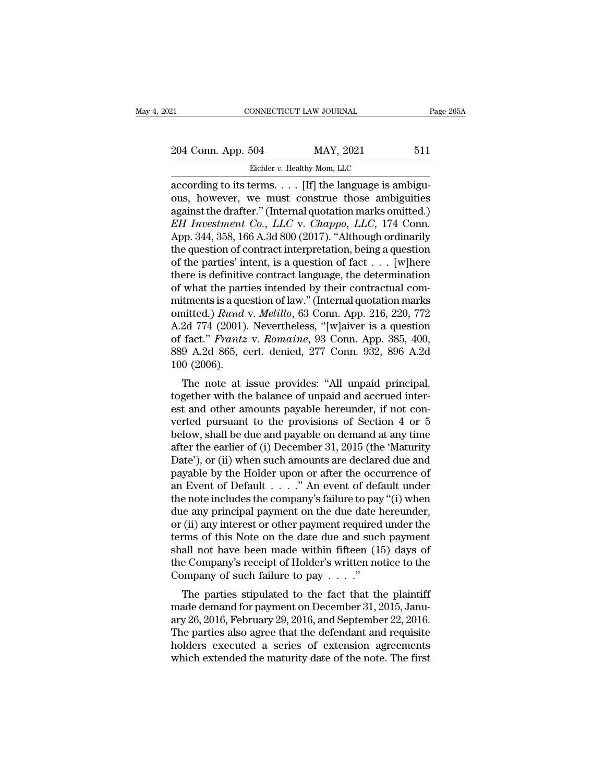21 CONNECTICUT LAW JOURNAL Page 265A<br>
204 Conn. App. 504 MAY, 2021 511<br>
Eichler v. Healthy Mom, LLC

MONNECTICUT LAW JOURNAL<br>504 MAY, 2021<br>Eichler *v.* Healthy Mom, LLC<br>rerms Hfl the language is a Eq. 204 Conn. App. 504 MAY, 2021 511<br>  $\frac{\text{Eichler } v. \text{ Health } M \text{Mm, LLC}}{\text{Eichler } v. \text{ Health } M \text{mm, LLC}}$ <br>
according to its terms. . . . [If] the language is ambiguities<br>
against the drafter " (Internal quotation marks emitted) 204 Conn. App. 504 MAY, 2021 511<br>Eichler v. Healthy Mom, LLC<br>according to its terms. . . . [If] the language is ambiguities<br>against the drafter." (Internal quotation marks omitted.)<br>FH Investment Co., LLC v. Channo, LLC, 204 Conn. App. 504 MAY, 2021 511<br>Eichler v. Healthy Mom, LLC<br>according to its terms. . . . . [If] the language is ambigu-<br>ous, however, we must construe those ambiguities<br>against the drafter.'' (Internal quotation marks o *Eicher v. Healthy Mom, LLC*<br> *Eicher v. Healthy Mom, LLC*<br> *Eicher v. Healthy Mom, LLC*<br> *Cording to its terms.* . . . [If] the language is ambiguous, however, we must construe those ambiguities<br>
against the drafter." (In Eichler v. Healthy Mom, LLC<br>
according to its terms. . . . [If] the language is ambiguities<br>
against the drafter." (Internal quotation marks omitted.)<br> *EH Investment Co., LLC v. Chappo, LLC, 174 Conn.*<br>
App. 344, 358, 16 Eichler v. Healthy Mom, LLC<br>according to its terms. . . . [If] the language is ambiguities<br>against the drafter." (Internal quotation marks omitted.)<br>*EH Investment Co., LLC* v. *Chappo, LLC*, 174 Conn.<br>App. 344, 358, 166 according to its terms. . . . [If] the language is ambiguous, however, we must construe those ambiguities against the drafter." (Internal quotation marks omitted.)  $EH$  Investment Co.,  $LLC$  v. Chappo,  $LLC$ , 174 Conn. App. ous, however, we must construe those ambiguities<br>against the drafter." (Internal quotation marks omitted.)<br>*EH Investment Co., LLC* v. *Chappo, LLC*, 174 Conn.<br>App. 344, 358, 166 A.3d 800 (2017). "Although ordinarily<br>the q against the drafter." (Internal quotation marks omitted.)<br> *EH Investment Co., LLC* v. *Chappo, LLC*, 174 Conn.<br>
App. 344, 358, 166 A.3d 800 (2017). "Although ordinarily<br>
the question of contract interpretation, being a q *EH Investment Co., LLC v. Chappo, LLC,* 174 Conn.<br>App. 344, 358, 166 A.3d 800 (2017). "Although ordinarily<br>the question of contract interpretation, being a question<br>of the parties' intent, is a question of fact  $\dots$  [w]h App. 344, 358, 166 A.3d 800 (2017). "Although ordinarily<br>the question of contract interpretation, being a question<br>of the parties' intent, is a question of fact . . . [w]here<br>there is definitive contract language, the dete the question of contract interpretation, being a question<br>of the parties' intent, is a question of fact . . . [w]here<br>there is definitive contract language, the determination<br>of what the parties intended by their contract of the parties' intent, is a question of fact... [w]here<br>there is definitive contract language, the determination<br>of what the parties intended by their contractual com-<br>mitments is a question of law." (Internal quotation m there is definitive contract language, the determination<br>of what the parties intended by their contractual com-<br>mitments is a question of law." (Internal quotation marks<br>omitted.) *Rund v. Melillo*, 63 Conn. App. 216, 220, of what the part<br>mitments is a que<br>omitted.) *Rund*<br>A.2d 774 (2001).<br>of fact." *Frantz*<br>889 A.2d 865, c<br>100 (2006).<br>The note at i the note at issue provides: "All unpaid principal,<br>The note at issue provides: "[w]aiver is a question<br>fact." *Frantz v. Romaine*, 93 Conn. App. 385, 400,<br>9 A.2d 865, cert. denied, 277 Conn. 932, 896 A.2d<br>0 (2006).<br>The not of the balance of Social Apple 210, 220, 772<br>A.2d 774 (2001). Nevertheless, "[w]aiver is a question<br>of fact." *Frantz v. Romaine*, 93 Conn. App. 385, 400,<br>889 A.2d 865, cert. denied, 277 Conn. 932, 896 A.2d<br>100 (2006).<br>Th

A.2d  $1/4$  (2001). Nevertheless, [w]aiver is a question<br>of fact." *Frantz v. Romaine*, 93 Conn. App. 385, 400,<br>889 A.2d 865, cert. denied, 277 Conn. 932, 896 A.2d<br>100 (2006).<br>The note at issue provides: "All unpaid princi of fact. *Frantz v. homaine*, 55 Conf. App. 565, 400, 889 A.2d 865, cert. denied, 277 Conn. 932, 896 A.2d 100 (2006).<br>The note at issue provides: "All unpaid principal, together with the balance of unpaid and accrued inte  $b_{32}$ ,  $b_{32}$ ,  $b_{32}$ ,  $b_{32}$ ,  $b_{32}$ ,  $b_{32}$ ,  $b_{32}$ ,  $b_{32}$  and  $b_{32}$ .<br>
The note at issue provides: "All unpaid principal,<br>
together with the balance of unpaid and accrued inter-<br>
est and other amounts payabl The note at issue provides: "All unpaid principal,<br>together with the balance of unpaid and accrued inter-<br>est and other amounts payable hereunder, if not con-<br>verted pursuant to the provisions of Section 4 or 5<br>below, shal The note at issue provides: "All unpaid principal,<br>together with the balance of unpaid and accrued inter-<br>est and other amounts payable hereunder, if not con-<br>verted pursuant to the provisions of Section 4 or 5<br>below, shal together with the balance of unpaid and accrued interest and other amounts payable hereunder, if not converted pursuant to the provisions of Section 4 or 5 below, shall be due and payable on demand at any time after the e est and other amounts payable hereunder, if not converted pursuant to the provisions of Section 4 or 5<br>below, shall be due and payable on demand at any time<br>after the earlier of (i) December 31, 2015 (the 'Maturity<br>Date'), verted pursuant to the provisions of Section 4 or 5<br>below, shall be due and payable on demand at any time<br>after the earlier of (i) December 31, 2015 (the 'Maturity<br>Date'), or (ii) when such amounts are declared due and<br>pay below, shall be due and payable on demand at any time<br>after the earlier of (i) December 31, 2015 (the 'Maturity<br>Date'), or (ii) when such amounts are declared due and<br>payable by the Holder upon or after the occurrence of<br>a after the earlier of (i) December 31, 2015 (the 'Maturity<br>Date'), or (ii) when such amounts are declared due and<br>payable by the Holder upon or after the occurrence of<br>an Event of Default . . . . . " An event of default un Date'), or (ii) when such amounts are declared due and<br>payable by the Holder upon or after the occurrence of<br>an Event of Default  $\ldots$ ..." An event of default under<br>the note includes the company's failure to pay "(i) when payable by the Holder upon or after the occurrence of<br>an Event of Default  $\ldots$ ." An event of default under<br>the note includes the company's failure to pay "(i) when<br>due any principal payment on the due date hereunder,<br>or an Event of Default . . . . ." An event of default under<br>the note includes the company's failure to pay "(i) when<br>due any principal payment on the due date hereunder,<br>or (ii) any interest or other payment required under t the note includes the company's failure to pay due any principal payment on the due date  $l$  or (ii) any interest or other payment required terms of this Note on the date due and such shall not have been made within fifte (ii) any interest or other payment required under the<br>rms of this Note on the date due and such payment<br>all not have been made within fifteen (15) days of<br>e Company's receipt of Holder's written notice to the<br>pmpany of su or (ii) any interest or other payment required under the<br>terms of this Note on the date due and such payment<br>shall not have been made within fifteen (15) days of<br>the Company's receipt of Holder's written notice to the<br>Com

First of this rote on the date due and such payment<br>shall not have been made within fifteen  $(15)$  days of<br>the Company's receipt of Holder's written notice to the<br>Company of such failure to pay  $\ldots$ ."<br>The parties stipula Shan not have been made whilm inteen  $(15)$  days of<br>the Company's receipt of Holder's written notice to the<br>Company of such failure to pay  $\dots$ ."<br>The parties stipulated to the fact that the plaintiff<br>made demand for payme The parties stipulated to the fact that the plaintiff<br>made demand for payment on December 31, 2015, January 26, 2016, February 29, 2016, and September 22, 2016.<br>The parties also agree that the defendant and requisite<br>hold The parties stipulated to the fact that the plaintiff<br>made demand for payment on December 31, 2015, January 26, 2016, February 29, 2016, and September 22, 2016.<br>The parties also agree that the defendant and requisite<br>hold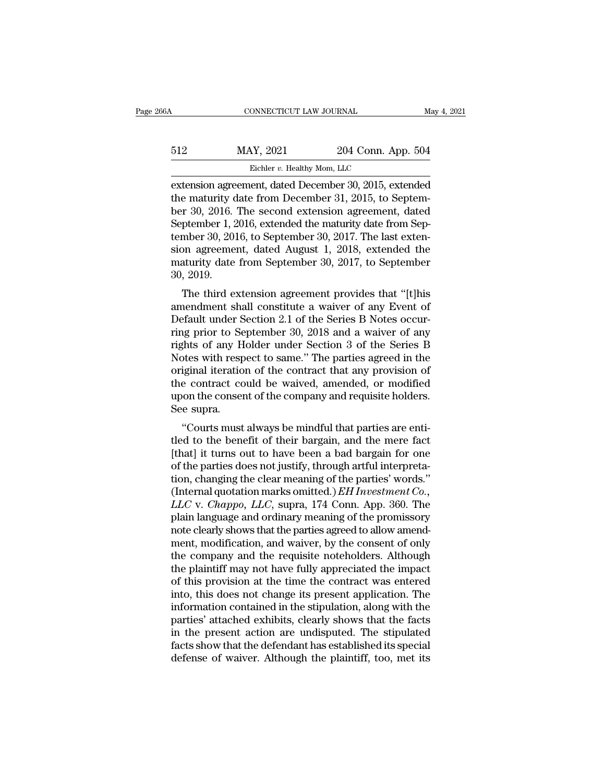| 6А  | CONNECTICUT LAW JOURNAL                             |                    | May 4, 2021 |
|-----|-----------------------------------------------------|--------------------|-------------|
| 512 | MAY, 2021                                           | 204 Conn. App. 504 |             |
|     | Eichler v. Healthy Mom, LLC                         |                    |             |
|     | extension agreement dated December 30 2015 extended |                    |             |

Extension agreement, dated December 30, 2015, extended<br>the maturity date from December 30, 2015, extended<br>the maturity date from December 31, 2015, to September 30, 2016. The second extension agreement, dated the maturity date of maturity date from December 30, 2015, extended<br>the maturity date from December 30, 2015, extended<br>the maturity date from December 31, 2015, to Septem-<br>ber 30, 2016. The second extension agreement, date  $\frac{\text{Eichler } v. \text{ Health } y \text{ Mom, LLC}}{\text{Extension agreement, dated December 30, 2015, extended}}$ <br>
the maturity date from December 30, 2015, extended<br>
the maturity date from December 31, 2015, to September 30, 2016. The second extension agreement, dated<br>
September 1, 2 MAY, 2021 204 Conn. App. 504<br>Eichler v. Healthy Mom, LLC<br>extension agreement, dated December 30, 2015, extended<br>the maturity date from December 31, 2015, to Septem-<br>ber 30, 2016. The second extension agreement, dated<br>Septe Eichler v. Healthy Mom, LLC<br>extension agreement, dated December 30, 2015, extended<br>the maturity date from December 31, 2015, to Septem-<br>ber 30, 2016. The second extension agreement, dated<br>September 1, 2016, to September 3 Eichler v. Healthy Mom, LLC<br>extension agreement, dated December 30, 2015, extended<br>the maturity date from December 31, 2015, to Septem-<br>ber 30, 2016. The second extension agreement, dated<br>September 1, 2016, extended the m extension agreement, dated December 30, 2015, extended<br>the maturity date from December 31, 2015, to Septem-<br>ber 30, 2016. The second extension agreement, dated<br>September 1, 2016, extended the maturity date from Sep-<br>tember the maturity c<br>ber 30, 2016.<br>September 1, 2<br>tember 30, 201<br>sion agreeme<br>maturity date<br>30, 2019.<br>The third e: The third extended the maturity date from Sep-<br>mber 30, 2016, to September 30, 2017. The last exten-<br>on agreement, dated August 1, 2018, extended the<br>aturity date from September 30, 2017, to September<br>, 2019.<br>The third ext beptender 1, 2010, extended the hiatunty date from September 30, 2016, to September 30, 2017. The last extension agreement, dated August 1, 2018, extended the maturity date from September 30, 2017, to September 30, 2019.<br>T

Eniber 30, 2010, to September 30, 2017. The last extension agreement, dated August 1, 2018, extended the maturity date from September 30, 2017, to September 30, 2019.<br>The third extension agreement provides that "[t]his ame sion agreement, dated August 1, 2016, extended the<br>maturity date from September 30, 2017, to September<br>30, 2019.<br>The third extension agreement provides that "[t]his<br>amendment shall constitute a waiver of any Event of<br>Defau rights of any Holder under September Soletic September<br>30, 2019.<br>The third extension agreement provides that "[t]his<br>amendment shall constitute a waiver of any Event of<br>Default under Section 2.1 of the Series B Notes occur 30, 2019.<br>The third extension agreement provides that "[t]his<br>amendment shall constitute a waiver of any Event of<br>Default under Section 2.1 of the Series B Notes occur-<br>ring prior to September 30, 2018 and a waiver of any<br> The third extension agreement provides that "[t]his<br>amendment shall constitute a waiver of any Event of<br>Default under Section 2.1 of the Series B Notes occur-<br>ring prior to September 30, 2018 and a waiver of any<br>rights of amendment shall constitute a waiver of any Event of<br>Default under Section 2.1 of the Series B Notes occur-<br>ring prior to September 30, 2018 and a waiver of any<br>rights of any Holder under Section 3 of the Series B<br>Notes wit Default under Section 2.1 of the Series B Notes occurring prior to September 30, 2018 and a waiver of any rights of any Holder under Section 3 of the Series B Notes with respect to same." The parties agreed in the original ring prior to Se<br>rights of any H<br>Notes with resp<br>original iteratio<br>the contract co<br>upon the conser<br>See supra.<br>"Courts must The parties of any froncer under Section 3 of the Series B<br>btes with respect to same." The parties agreed in the<br>iginal iteration of the contract that any provision of<br>e contract could be waived, amended, or modified<br>on th to the contract that any provision of<br>the contract could be waived, amended, or modified<br>upon the consent of the company and requisite holders.<br>See supra.<br>"Courts must always be mindful that parties are enti-<br>tled to the b

original iteration of the contract that any provision of<br>the contract could be waived, amended, or modified<br>upon the consent of the company and requisite holders.<br>See supra.<br>"Courts must always be mindful that parties are the contract collid be waived, alternated, or modified<br>upon the consent of the company and requisite holders.<br>See supra.<br>"Courts must always be mindful that parties are enti-<br>tled to the benefit of their bargain, and the the consent of the company and requisite notices.<br>See supra.<br>"Courts must always be mindful that parties are entitled to the benefit of their bargain, and the mere fact<br>[that] it turns out to have been a bad bargain for o "Courts must always be mindful that parties are entitled to the benefit of their bargain, and the mere fact [that] it turns out to have been a bad bargain for one of the parties does not justify, through artful interpretat "Courts must always be mindful that parties are enti-<br>tled to the benefit of their bargain, and the mere fact<br>[that] it turns out to have been a bad bargain for one<br>of the parties does not justify, through artful interpret tled to the benefit of their bargain, and the mere fact<br>[that] it turns out to have been a bad bargain for one<br>of the parties does not justify, through artful interpreta-<br>tion, changing the clear meaning of the parties' wo [that] it turns out to have been a bad bargain for one<br>of the parties does not justify, through artful interpreta-<br>tion, changing the clear meaning of the parties' words."<br>(Internal quotation marks omitted.)  $EH$  Investmen of the parties does not justify, through artful interpretation, changing the clear meaning of the parties' words."<br>(Internal quotation marks omitted.) *EH Investment Co.,*<br>*LLC* v. *Chappo, LLC*, supra, 174 Conn. App. 360. tion, changing the clear meaning of the parties' words."<br>(Internal quotation marks omitted.) *EH Investment Co.,*<br>*LLC* v. *Chappo, LLC*, supra, 174 Conn. App. 360. The<br>plain language and ordinary meaning of the promissory (Internal quotation marks omitted.) *EH Investment Co.*,  $LLC$  v. *Chappo*,  $LLC$ , supra, 174 Conn. App. 360. The plain language and ordinary meaning of the promissory note clearly shows that the parties agreed to allow ame LLC v. Chappo, LLC, supra, 174 Conn. App. 360. The<br>plain language and ordinary meaning of the promissory<br>note clearly shows that the parties agreed to allow amend-<br>ment, modification, and waiver, by the consent of only<br>the plain language and ordinary meaning of the promissory<br>note clearly shows that the parties agreed to allow amend-<br>ment, modification, and waiver, by the consent of only<br>the company and the requisite noteholders. Although<br>th note clearly shows that the parties agreed to allow amendment, modification, and waiver, by the consent of only the company and the requisite noteholders. Although the plaintiff may not have fully appreciated the impact of ment, modification, and waiver, by the consent of only<br>the company and the requisite noteholders. Although<br>the plaintiff may not have fully appreciated the impact<br>of this provision at the time the contract was entered<br>into the company and the requisite noteholders. Although<br>the plaintiff may not have fully appreciated the impact<br>of this provision at the time the contract was entered<br>into, this does not change its present application. The<br>inf the plaintiff may not have fully appreciated the impact<br>of this provision at the time the contract was entered<br>into, this does not change its present application. The<br>information contained in the stipulation, along with th of this provision at the time the contract was entered<br>into, this does not change its present application. The<br>information contained in the stipulation, along with the<br>parties' attached exhibits, clearly shows that the fac